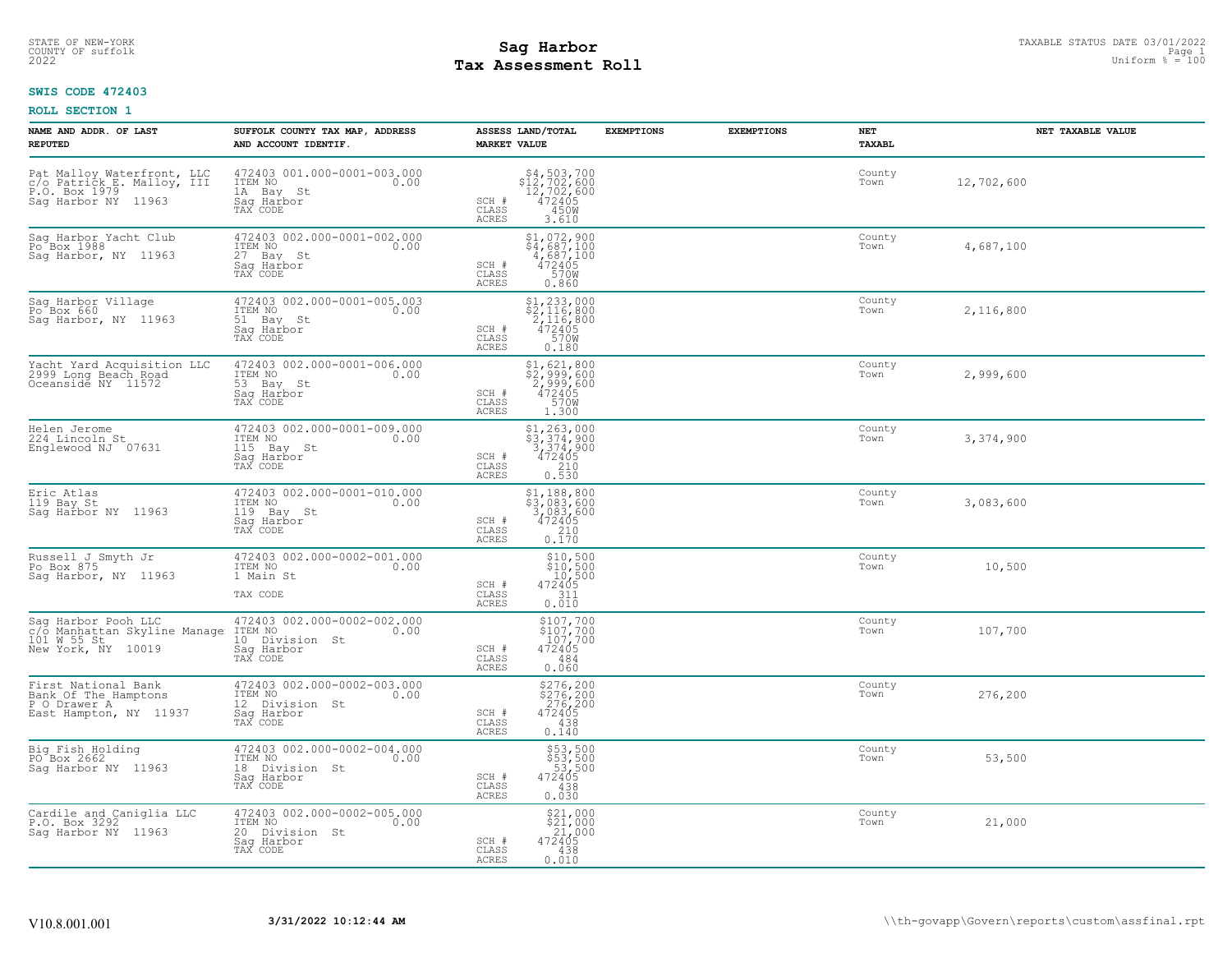# **Tax Assessment Roll Existed Strategies of the Contract Strategies** of the Uniform  $\frac{1}{2}$  Uniform  $\frac{1}{2}$  = 100

#### **SWIS CODE 472403**

| NAME AND ADDR. OF LAST<br><b>REPUTED</b>                                                         | SUFFOLK COUNTY TAX MAP, ADDRESS<br>AND ACCOUNT IDENTIF.                                    | ASSESS LAND/TOTAL<br><b>MARKET VALUE</b>                                                                                | <b>EXEMPTIONS</b> | <b>EXEMPTIONS</b> | NET<br>TAXABL  | NET TAXABLE VALUE |
|--------------------------------------------------------------------------------------------------|--------------------------------------------------------------------------------------------|-------------------------------------------------------------------------------------------------------------------------|-------------------|-------------------|----------------|-------------------|
| Pat Malloy Waterfront, LLC<br>c/o Patrick_E. Malloy, III<br>P.O. Box 1979<br>Saq Harbor NY 11963 | 472403 001.000-0001-003.000<br>ITEM NO<br>0.00<br>1A Bay St<br>Saq Harbor<br>TAX CODE      | $$12,702,600$<br>$12,702,600$<br>$12,702,600$<br>$472405$<br>SCH #<br>$\mathtt{CLASS}$<br>450W<br><b>ACRES</b><br>3.610 |                   |                   | County<br>Town | 12,702,600        |
| Sag Harbor Yacht Club<br>Po <sup>Box</sup> 1988<br>Sag Harbor, NY 11963                          | 472403 002.000-0001-002.000<br>ITEM NO<br>0.00<br>27 Bay St<br>Saq Harbor<br>TAX CODE      | $$4,687,100$<br>$$4,687,100$<br>$4,687,100$<br>$472405$<br>SCH #<br>CLASS<br>570W<br><b>ACRES</b><br>0.860              |                   |                   | County<br>Town | 4,687,100         |
| Sag Harbor Village<br>Po Box 660<br>Saq Harbor, NY 11963                                         | 472403 002.000-0001-005.003<br>ITEM NO<br>0.00<br>51 Bay St<br>Sag Harbor<br>TAX CODE      | $$2, 233, 000$<br>$$2, 116, 800$<br>$2, 116, 800$<br>$472405$<br>$$70W$<br>SCH #<br>CLASS<br><b>ACRES</b><br>0.180      |                   |                   | County<br>Town | 2,116,800         |
| Yacht Yard Acquisition LLC<br>2999 Long Beach Road<br>Oceanside NY 11572                         | 472403 002.000-0001-006.000<br>ITEM NO<br>0.00<br>53 Bay St<br>Sag Harbor<br>TAX CODE      | \$1,621,800<br>\$2,999,600<br>2,999,600<br>472405<br>SCH #<br>CLASS<br>570W<br><b>ACRES</b><br>1.300                    |                   |                   | County<br>Town | 2,999,600         |
| Helen Jerome<br>224 Lincoln St<br>Englewood NJ 07631                                             | 472403 002.000-0001-009.000<br>ITEM NO<br>0.00<br>115 Bay St<br>Saq Harbor<br>TAX CODE     | \$1,263,000<br>\$3,374,900<br>3,374,900<br>472405<br>SCH #<br>CLASS<br>210<br><b>ACRES</b><br>0.530                     |                   |                   | County<br>Town | 3,374,900         |
| Eric Atlas<br>119 Bay St<br>Saq Harbor NY 11963                                                  | 472403 002.000-0001-010.000<br>ITEM NO<br>0.00<br>119 Bay St<br>Saq Harbor<br>TAX CODE     | \$1,188,800<br>\$3,083,600<br>3,083,600<br>472405<br>SCH #<br>CLASS<br>$\frac{210}{0.170}$<br><b>ACRES</b>              |                   |                   | County<br>Town | 3,083,600         |
| Russell J Smyth Jr<br>Po Box 875<br>Sag Harbor, NY 11963                                         | 472403 002.000-0002-001.000<br>ITEM NO<br>0.00<br>1 Main St<br>TAX CODE                    | \$10,500<br>\$10,500<br>10,500<br>472405<br>SCH #<br>311<br>CLASS<br>0.010<br>ACRES                                     |                   |                   | County<br>Town | 10,500            |
| Sag Harbor Pooh LLC<br>c/o Manhattan Skyline Manage<br>101 W 55 St<br>New York, NY 10019         | 472403 002.000-0002-002.000<br>ITEM NO<br>0.00<br>10 Division St<br>Saq Harbor<br>TAX CODE | $$107,700$<br>$$107,700$<br>$107,700$<br>$472405$<br>SCH #<br>CLASS<br>484<br><b>ACRES</b><br>0.060                     |                   |                   | County<br>Town | 107,700           |
| First National Bank<br>Bank Of The Hamptons<br>P O Drawer A<br>East Hampton, NY 11937            | 472403 002.000-0002-003.000<br>0.00 0.00<br>12 Division St<br>Saq Harbor<br>TAX CODE       | \$276,200<br>\$276,200<br>276,200<br>472405<br>SCH #<br>CLASS<br>438<br><b>ACRES</b><br>0.140                           |                   |                   | County<br>Town | 276,200           |
| Big Fish Holding<br>PO Box 2662<br>Sag Harbor NY 11963                                           | 472403 002.000-0002-004.000<br>ITEM NO<br>0.00<br>18 Division St<br>Saq Harbor<br>TAX CODE | $$53,500$<br>$$53,500$<br>$$3,500$<br>472405<br>438<br>SCH #<br>CLASS<br><b>ACRES</b><br>0.030                          |                   |                   | County<br>Town | 53,500            |
| Cardile and Caniglia LLC<br>P.O. Box 3292<br>Sag Harbor NY 11963                                 | 472403 002.000-0002-005.000<br>ITEM NO<br>0.00<br>20 Division St<br>Saq Harbor<br>TAX CODE | \$21,000<br>\$21,000<br>21,000<br>472405<br>SCH #<br>CLASS<br>438<br><b>ACRES</b><br>0.010                              |                   |                   | County<br>Town | 21,000            |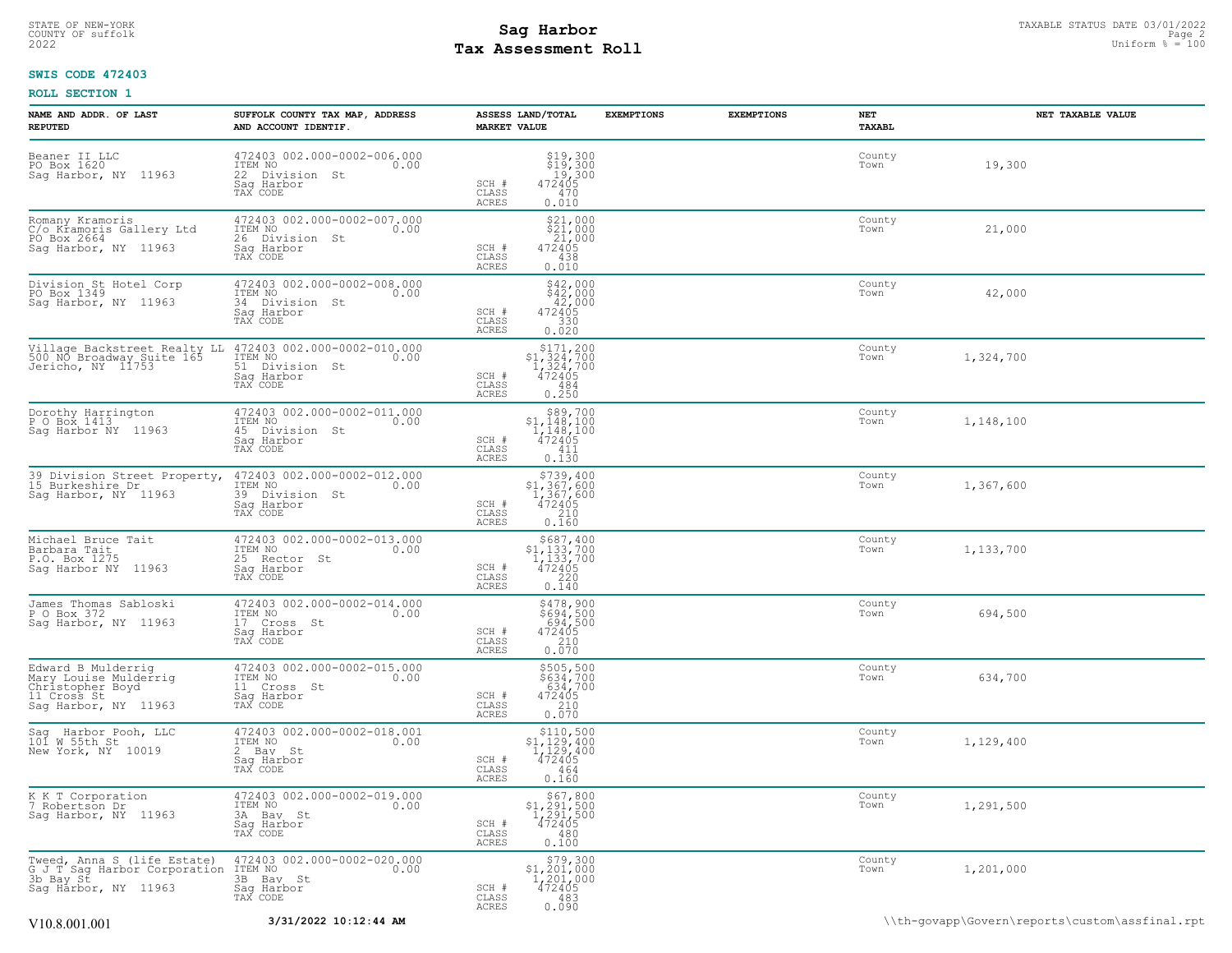# STATE OF NEW-YORK STATUS DATE 03/01/2022<br>
COUNTY OF suffolk Page 2 and the suffolk Page 2 and the suffolk Page 2 and the suffolk Page 2 and the sufform  $\frac{p}{q}$  = 100<br>
2022 Tax Assessment Roll **Tax Assessment Roll**

# **SWIS CODE 472403**

| NAME AND ADDR. OF LAST<br><b>REPUTED</b>                                                               | SUFFOLK COUNTY TAX MAP, ADDRESS<br>AND ACCOUNT IDENTIF.                                         | ASSESS LAND/TOTAL<br><b>MARKET VALUE</b>                                                                                                    | <b>EXEMPTIONS</b> | <b>EXEMPTIONS</b> | NET<br>TAXABL  | NET TAXABLE VALUE                              |
|--------------------------------------------------------------------------------------------------------|-------------------------------------------------------------------------------------------------|---------------------------------------------------------------------------------------------------------------------------------------------|-------------------|-------------------|----------------|------------------------------------------------|
| Beaner II LLC<br>PO Box 1620<br>Sag Harbor, NY 11963                                                   | 472403 002.000-0002-006.000<br>ITEM NO 0.00<br>22 Division St<br>Saq Harbor<br>TAX CODE         | $$19,300$<br>$$19,300$<br>$19,300$<br>SCH #<br>472405<br>CLASS<br>470<br>ACRES<br>0.010                                                     |                   |                   | County<br>Town | 19,300                                         |
| Romany Kramoris<br>C/o Kramoris Gallery Ltd<br>PO Box 2664<br>Sag Harbor, NY 11963                     | 472403 002.000-0002-007.000<br>ITEM NO<br>0.00<br>26<br>Division St<br>Saq Harbor<br>TAX CODE   | $\begin{array}{r} $21,000 \\ $21,000 \\ 21,000 \\ 472405 \end{array}$<br>SCH #<br>CLASS<br>438<br>0.010<br>ACRES                            |                   |                   | County<br>Town | 21,000                                         |
| Division St Hotel Corp<br>PO Box 1349<br>Saq Harbor, NY 11963                                          | 472403 002.000-0002-008.000<br>ITEM NO<br>0.00<br>34 Division St<br>Sag Harbor<br>TAX CODE      | \$42,000<br>\$42,000<br>$4727000$<br>$472405$<br>$330$<br>0.020<br>SCH #<br>CLASS<br>ACRES                                                  |                   |                   | County<br>Town | 42,000                                         |
| Village Backstreet Realty LL<br>500 NO Broadway Suite 165<br>Jericho, NY 11753                         | 472403 002.000-0002-010.000<br>ITEM NO<br>0.00<br>51 Division St<br>Saq Harbor<br>TAX CODE      | $\begin{array}{r} $171,200 \\ $1,324,700 \\ $1,324,700 \\ $472405 \end{array}$<br>SCH #<br>CLASS<br>484<br>ACRES<br>0.250                   |                   |                   | County<br>Town | 1,324,700                                      |
| Dorothy Harrington<br>P O Box 1413<br>Sag Harbor NY 11963                                              | 472403 002.000-0002-011.000<br>TTEM NO 0.00<br>0.00<br>45 Division St<br>Saq Harbor<br>TAX CODE | $\begin{array}{c} 589,700 \\ 51,148,100 \\ 1,148,100 \\ 472405 \end{array}$<br>SCH #<br>CLASS<br>411<br>ACRES<br>0.130                      |                   |                   | County<br>Town | 1,148,100                                      |
| 39 Division Street Property,<br>15 Burkeshire Dr<br>Sag Harbor, NY 11963                               | 472403 002.000-0002-012.000<br>ITEM NO<br>0.00<br>39 Division St<br>Saq Harbor<br>TAX CODE      | $$739, 400$<br>$$1, 367, 600$<br>$1, 367, 600$<br>$472405$<br>SCH #<br>CLASS<br>210<br>0.160<br>ACRES                                       |                   |                   | County<br>Town | 1,367,600                                      |
| Michael Bruce Tait<br>Barbara Tait<br>P.O. Box 1275<br>Sag Harbor NY 11963                             | 472403 002.000-0002-013.000<br>ITEM NO<br>0.00<br>25 Rector St<br>Saq Harbor<br>TAX CODE        | \$687,400<br>\$1,133,700<br>1,133,700<br>$\begin{array}{c}\n472405 \\ 220 \\ 0.140\n\end{array}$<br>SCH #<br>CLASS<br>ACRES                 |                   |                   | County<br>Town | 1,133,700                                      |
| James Thomas Sabloski<br>P O Box 372<br>Sag Harbor, NY 11963                                           | 472403 002.000-0002-014.000<br>ITEM NO<br>0.00<br>17 Cross St<br>Saq Harbor<br>TAX CODE         | \$478,900<br>\$694,500<br>694,500<br>SCH #<br>472405<br>CLASS<br>$0.210$<br>$0.070$<br>ACRES                                                |                   |                   | County<br>Town | 694,500                                        |
| Edward B Mulderrig<br>Mary Louise Mulderrig<br>Christopher Boyd<br>11 Cross St<br>Sag Harbor, NY 11963 | 472403 002.000-0002-015.000<br>ITEM NO<br>0.00<br>11 Cross St<br>Saq Harbor<br>TAX CODE         | \$505,500<br>\$634,700<br>634,700<br>472405<br>SCH #<br>$\frac{210}{0.070}$<br>CLASS<br>ACRES                                               |                   |                   | County<br>Town | 634,700                                        |
| Harbor Pooh, LLC<br>Sag Harbor Po<br>101 W 55th St<br>New York, NY 10019                               | 472403 002.000-0002-018.001<br>ITEM NO<br>0.00<br>2 Bay St<br>Sag Harbor<br>TAX CODE            | \$110,500<br>\$1,129,400<br>1,129,400<br>472405<br>SCH #<br>CLASS<br>464<br><b>ACRES</b><br>0.160                                           |                   |                   | County<br>Town | 1,129,400                                      |
| K K T Corporation<br>Robertson Dr<br>Sag Harbor, NY 11963                                              | 472403 002.000-0002-019.000<br>ITEM NO<br>0.00<br>3A Bav St<br>Saq Harbor<br>TAX CODE           | \$67,800<br>\$1,291,500<br>$\frac{1}{2}$ $\frac{2}{9}$ $\frac{1}{5}$ $\frac{5}{9}$ $\frac{1}{9}$<br>SCH #<br>CLASS<br>480<br>0.100<br>ACRES |                   |                   | County<br>Town | 1,291,500                                      |
| Tweed, Anna S (life Estate)<br>G J T Sag Harbor Corporation<br>3b Bay St<br>Sag Harbor, NY 11963       | 472403 002.000-0002-020.000<br>0.00 0.00<br>3B Bay St<br>Saq Harbor<br>TAX CODE                 | $\begin{array}{c} 579,300 \\ 51,201,000 \\ 1,201,000 \\ 472405 \end{array}$<br>SCH #<br>CLASS<br>$483$<br>$0.090$<br>ACRES                  |                   |                   | County<br>Town | 1,201,000                                      |
| V10.8.001.001                                                                                          | 3/31/2022 10:12:44 AM                                                                           |                                                                                                                                             |                   |                   |                | \\th-govapp\Govern\reports\custom\assfinal.rpt |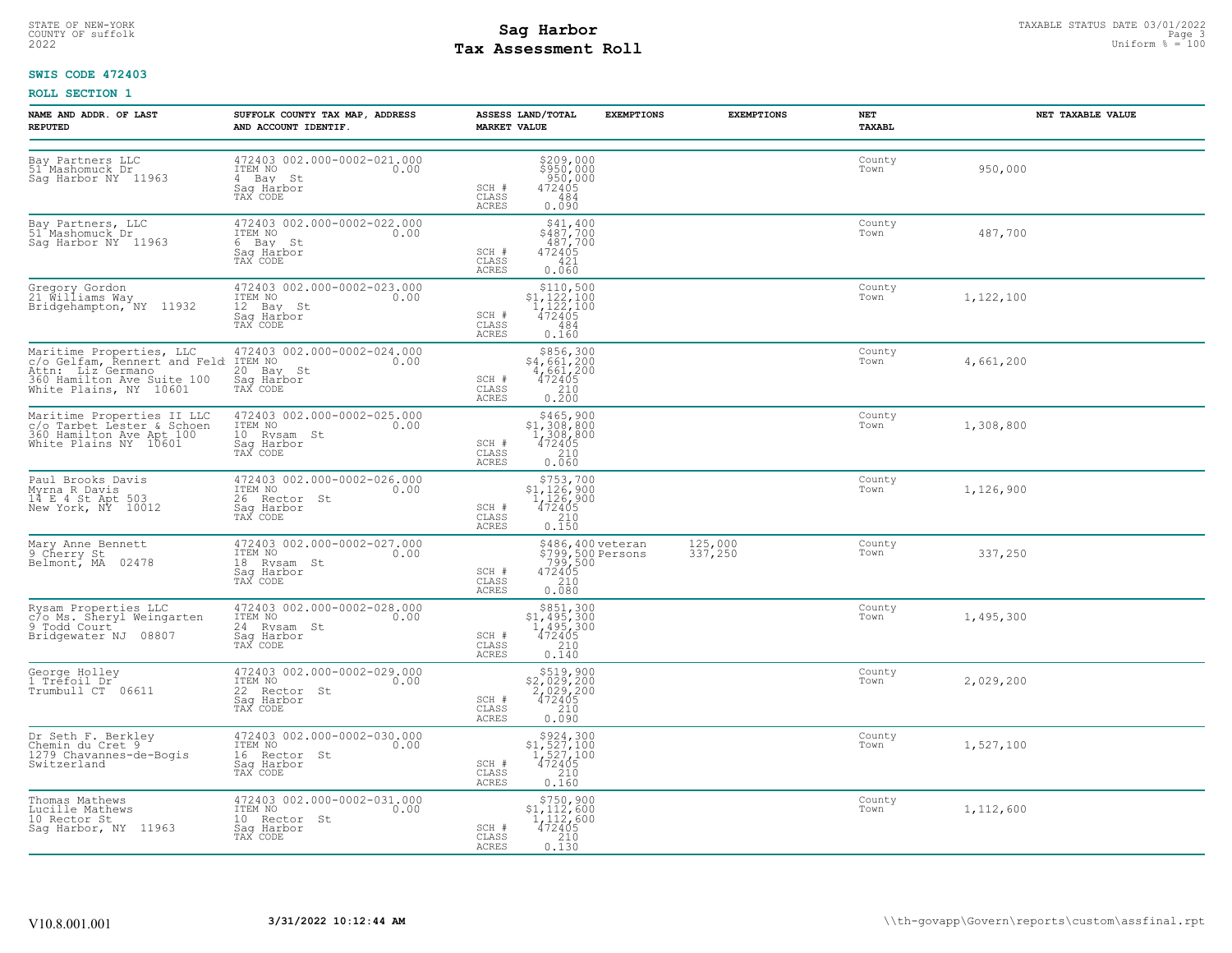# STATE OF NEW-YORK STATUS DATE 03/01/2022<br>
COUNTY OF suffolk Page 3 and the suffolk Page 3 and the suffolk Page 3 and the suffolk Page 3 and the sufform  $\frac{Page}{3} = 100$ **Tax Assessment Roll**

# **SWIS CODE 472403**

| NAME AND ADDR. OF LAST<br><b>REPUTED</b>                                                                      | SUFFOLK COUNTY TAX MAP, ADDRESS<br>AND ACCOUNT IDENTIF.                                  | <b>MARKET VALUE</b>            | ASSESS LAND/TOTAL<br><b>EXEMPTIONS</b>                                                               | <b>EXEMPTIONS</b>  | NET<br><b>TAXABL</b> | NET TAXABLE VALUE |
|---------------------------------------------------------------------------------------------------------------|------------------------------------------------------------------------------------------|--------------------------------|------------------------------------------------------------------------------------------------------|--------------------|----------------------|-------------------|
| Bay Partners LLC<br>51 Mashomuck Dr<br>Saq Harbor NY 11963                                                    | 472403 002.000-0002-021.000<br>ITEM NO<br>0.00<br>4 Bay St<br>Sag Harbor<br>TAX CODE     | SCH #<br>CLASS<br><b>ACRES</b> | \$209,000<br>\$950,000<br>950,000<br>472405<br>484<br>0.090                                          |                    | County<br>Town       | 950,000           |
| Bay Partners, LLC<br>51 Mashomuck Dr<br>Sag Harbor NY 11963                                                   | 472403 002.000-0002-022.000<br>ITEM NO<br>0.00<br>6 Bay St<br>Saq Harbor<br>TAX CODE     | SCH #<br>CLASS<br>ACRES        | \$41,400<br>\$487,700<br>487,700<br>472405<br>421<br>0.060                                           |                    | County<br>Town       | 487,700           |
| Gregory Gordon<br>21 Williams Way<br>Bridgehampton, NY 11932                                                  | 472403 002.000-0002-023.000<br>ITEM NO<br>0.00<br>12 Bay St<br>Sag Harbor<br>TAX CODE    | SCH #<br>CLASS<br>ACRES        | $\begin{array}{r} $110,500 \\ $1,122,100 \\ $1,122,100 \\ $472405 \end{array}$<br>484<br>0.160       |                    | County<br>Town       | 1,122,100         |
| 360 Hamilton Ave Suite 100<br>White Plains, NY 10601                                                          | 472403 002.000-0002-024.000<br>0.00<br>20 Bay St<br>Sag Harbor<br>TAX CODE               | SCH #<br>CLASS<br><b>ACRES</b> | $\begin{array}{r} 5856, 300 \\ 4, 661, 200 \\ 4, 661, 200 \\ 472405 \\ 210 \\ 0.200 \end{array}$     |                    | County<br>Town       | 4,661,200         |
| Maritime Properties II LLC<br>c/o Tarbet Lester & Schoen<br>360 Hamilton Ave Apt 100<br>White Plains NY 10601 | 472403 002.000-0002-025.000<br>ITEM NO<br>0.00<br>10 Rysam St<br>Sag Harbor<br>TAX CODE  | SCH #<br>CLASS<br>ACRES        | $$465,900$<br>$$1,308,800$<br>$1,308,800$<br>$472405$<br>210<br>0.060                                |                    | County<br>Town       | 1,308,800         |
| Paul Brooks Davis<br>Myrna R Davis<br>14 E 4 St Apt 503<br>New York, NY 10012                                 | 472403 002.000-0002-026.000<br>TTEM NO 0.00<br>26 Rector St<br>Saq Harbor<br>TAX CODE    | SCH #<br>CLASS<br>ACRES        | $$753,700$<br>$$1,126,900$<br>$1,126,900$<br>$472405$<br>0.150                                       |                    | County<br>Town       | 1,126,900         |
| Mary Anne Bennett<br>9 Cherry St<br>Belmont, MA 02478                                                         | 472403 002.000-0002-027.000<br>ITEM NO<br>0.00<br>18 Rysam St<br>Saq Harbor<br>TAX CODE  | SCH #<br>CLASS<br><b>ACRES</b> | \$486,400 veteran<br>\$799,500 Persons<br>799,500<br>472405<br>240<br>0.080                          | 125,000<br>337,250 | County<br>Town       | 337,250           |
| Rysam Properties LLC<br>c/o Ms. Sheryl Weingarten<br>9 Todd Court<br>Bridgewater NJ 08807                     | 472403 002.000-0002-028.000<br>ITEM NO<br>0.00<br>24 Rysam St<br>Sag Harbor<br>TAX CODE  | SCH #<br>CLASS<br>ACRES        | $5851, 300$<br>$1, 495, 300$<br>$472405$<br>$210$<br>0.140                                           |                    | County<br>Town       | 1,495,300         |
| George Holley<br>1 Trefoil Dr<br>Trumbull CT 06611                                                            | 472403 002.000-0002-029.000<br>ITEM NO<br>0.00<br>22 Rector St<br>Sag Harbor<br>TAX CODE | SCH #<br>CLASS<br><b>ACRES</b> | $$519,900$<br>$$2,029,200$<br>$2,029,200$<br>$472405$<br>$210$<br>0.090                              |                    | County<br>Town       | 2,029,200         |
| Dr Seth F. Berkley<br>Chemin du Cret 9<br>1279 Chavannes-de-Bogis<br>Switzerland                              | 472403 002.000-0002-030.000<br>ITEM NO<br>0.00<br>16 Rector St<br>Saq Harbor<br>TAX CODE | SCH #<br>CLASS<br>ACRES        | $$924,300$<br>$$1,527,100$<br>$1,527,100$<br>$472405$<br>$\begin{array}{c} 210 \\ 0.160 \end{array}$ |                    | County<br>Town       | 1,527,100         |
| Thomas Mathews<br>Lucille Mathews<br>10 Rector St<br>Sag Harbor, NY 11963                                     | 472403 002.000-0002-031.000<br>ITEM NO 0.00<br>10 Rector St<br>Saq Harbor<br>TAX CODE    | SCH #<br>CLASS<br>ACRES        | \$750,900<br>\$1,112,600<br>1,112,600<br>472405<br>210<br>0.130                                      |                    | County<br>Town       | 1,112,600         |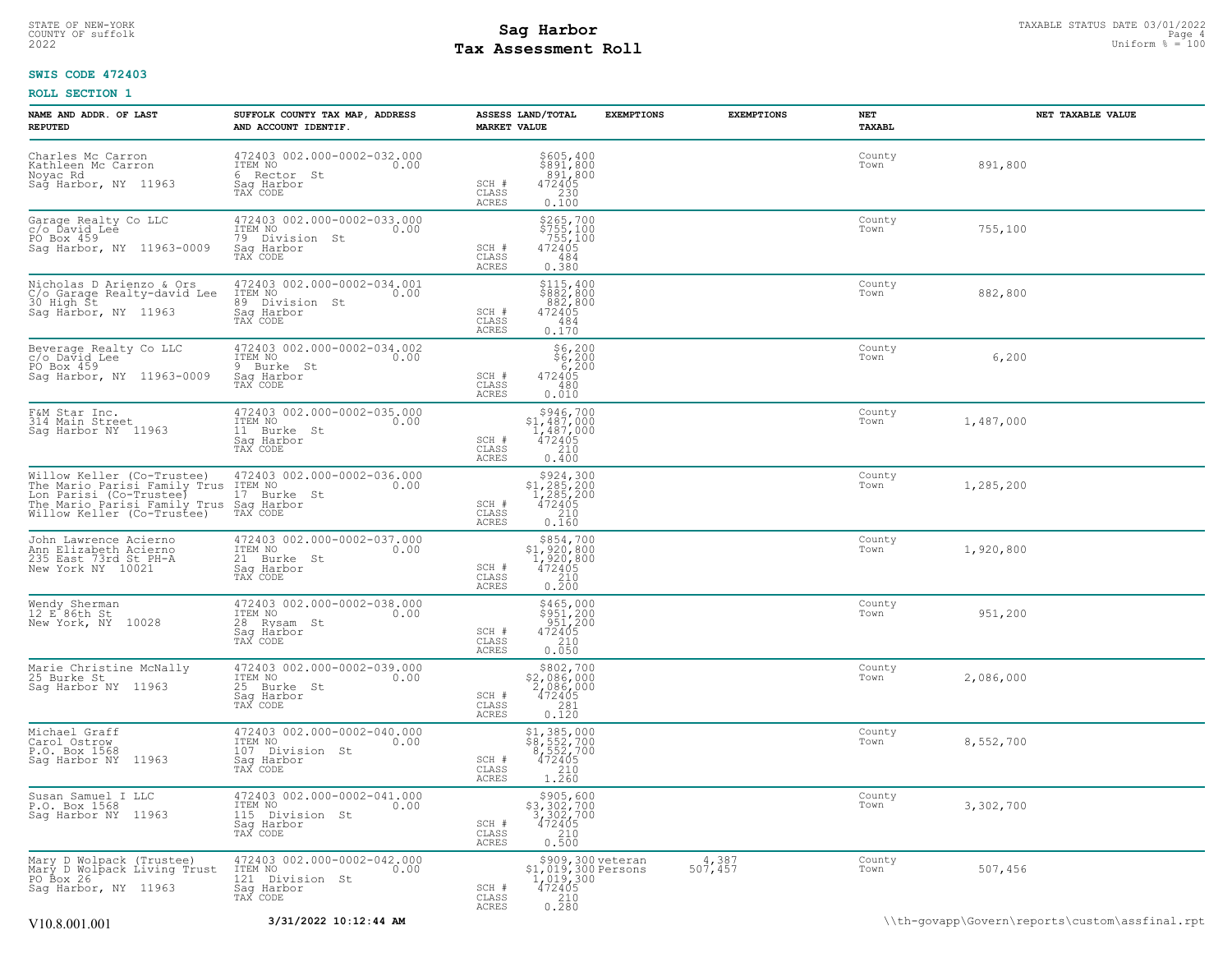# **Tax Assessment Roll Existed Strategies of the Contract Strategies** of the Uniform  $\frac{100}{2022}$

# **SWIS CODE 472403**

| NAME AND ADDR. OF LAST<br><b>REPUTED</b>                                                                                                                                                                                            | SUFFOLK COUNTY TAX MAP, ADDRESS<br>AND ACCOUNT IDENTIF.                                      | ASSESS LAND/TOTAL<br><b>MARKET VALUE</b>                                                                                  | <b>EXEMPTIONS</b>                        | <b>EXEMPTIONS</b>       | NET<br>TAXABL  | NET TAXABLE VALUE                              |
|-------------------------------------------------------------------------------------------------------------------------------------------------------------------------------------------------------------------------------------|----------------------------------------------------------------------------------------------|---------------------------------------------------------------------------------------------------------------------------|------------------------------------------|-------------------------|----------------|------------------------------------------------|
| Charles Mc Carron<br>Kathleen Mc Carron<br>Noyac Rd<br>Sag Harbor, NY 11963                                                                                                                                                         | 472403 002.000-0002-032.000<br>TTEM NO 0.00<br>6 Rector St<br>Saq Harbor<br>TAX CODE         | \$605,400<br>\$891,800<br>891,800<br>SCH #<br>472405<br>CLASS<br>230<br>ACRES<br>0.100                                    |                                          |                         | County<br>Town | 891,800                                        |
| Garage Realty Co LLC<br>c/o Ďavid Lee<br>PO Box 459<br>Sag Harbor, NY 11963-0009                                                                                                                                                    | 472403 002.000-0002-033.000<br>ITEM NO<br>0.00<br>79 Division St<br>Sag Harbor<br>TAX CODE   | \$265,700<br>\$755,100<br>755,100<br>472405<br>SCH #<br>CLASS<br>484<br>ACRES<br>0.380                                    |                                          |                         | County<br>Town | 755,100                                        |
| Nicholas D Arienzo & Ors<br>C/o Garage Realty-david Lee<br>30 High St<br>Sag Harbor, NY 11963                                                                                                                                       | 472403 002.000-0002-034.001<br>ITEM NO<br>0.00<br>89 Division St<br>Sag Harbor<br>TAX CODE   | \$115,400<br>\$882,800<br>882,800<br>472405<br>SCH #<br>CLASS<br>484<br>0.170<br>ACRES                                    |                                          |                         | County<br>Town | 882,800                                        |
| Beverage Realty Co LLC<br>c/o David Lee<br>PO Box 459<br>Sag Harbor, NY 11963-0009                                                                                                                                                  | 472403 002.000-0002-034.002<br>ITEM NO<br>0.00<br>9 Burke St<br>Saq Harbor<br>TAX CODE       | \$6,200<br>\$6,200<br>6,200<br>SCH #<br>472405<br>CLASS<br>480<br>ACRES<br>0.010                                          |                                          |                         | County<br>Town | 6,200                                          |
| F&M Star Inc.<br>314 Main Street<br>Sag Harbor NY 11963                                                                                                                                                                             | 472403 002.000-0002-035.000<br>ITEM NO<br>0.00<br>11 Burke St<br>Saq Harbor<br>TAX CODE      | \$946,700<br>\$1,487,000<br>1,487,000<br>SCH #<br>$\frac{472405}{210}$<br>CLASS<br>ACRES<br>0.400                         |                                          |                         | County<br>Town | 1,487,000                                      |
| Willow Keller (Co-Trustee)<br>The Mario Parisi Family Trus ITEM NO<br>The Mario rails is the common to Burke<br>In Parisi (Co-Trustee) 17 Burke<br>The Mario Parisi Family Trus Sag Harbor<br>The Mario Parisi Co-Trustee) TAX CODE | 472403 002.000-0002-036.000<br>0.00<br>17 Burke St                                           | $$924,300$<br>$$1,285,200$<br>$1,285,200$<br>$472405$<br>210<br>210<br>SCH #<br>CLASS<br>0.160<br>ACRES                   |                                          |                         | County<br>Town | 1,285,200                                      |
| John Lawrence Acierno<br>Ann Elizabeth Acierno<br>235 East 73rd St PH-A<br>New York NY 10021                                                                                                                                        | 472403 002.000-0002-037.000<br>ITEM NO<br>0.00<br>21 Burke St<br>Saq Harbor<br>TAX CODE      | \$854,700<br>\$1,920,800<br>1,920,800<br>472405<br>SCH #<br>210<br>CLASS<br>0.200<br>ACRES                                |                                          |                         | County<br>Town | 1,920,800                                      |
| Wendy Sherman<br>12 E 86th St<br>New York, NY 10028                                                                                                                                                                                 | 472403 002.000-0002-038.000<br>TTEM NO 0.00<br>0.00<br>28 Rysam St<br>Saq Harbor<br>TAX CODE | \$465,000<br>\$951,200<br>951,200<br>SCH #<br>472405<br>CLASS<br>210<br>ACRES<br>0.050                                    |                                          |                         | County<br>Town | 951,200                                        |
| Marie Christine McNally<br>25 Burke St<br>Sag Harbor NY 11963                                                                                                                                                                       | 472403 002.000-0002-039.000<br>ITEM NO<br>0.00<br>25 Burke St<br>Sag Harbor<br>TAX CODE      | \$802,700<br>\$2,086,000<br>2,086,000<br>472405<br>SCH #<br>CLASS<br>0.120<br>ACRES                                       |                                          |                         | County<br>Town | 2,086,000                                      |
| Michael Graff<br>Carol Ostrow<br>P.O. Box 1568<br>Sag Harbor NY 11963                                                                                                                                                               | 472403 002.000-0002-040.000<br>ITEM NO<br>0.00<br>107 Division St<br>Sag Harbor<br>TAX CODE  | $\begin{array}{r} 51,385,000 \\ 58,552,700 \\ 8,552,700 \\ 472405 \\ 210 \\ 1.260 \end{array}$<br>SCH #<br>CLASS<br>ACRES |                                          |                         | County<br>Town | 8,552,700                                      |
| Susan Samuel I LLC<br>P.O. Box 1568<br>Sag Harbor NY 11963                                                                                                                                                                          | 472403 002.000-0002-041.000<br>ITEM NO<br>0.00<br>115 Division St<br>Saq Harbor<br>TAX CODE  | \$905,600<br>\$3,302,700<br>3,302,700<br>472405<br>SCH #<br>CLASS<br>210<br><b>ACRES</b><br>0.500                         |                                          |                         | County<br>Town | 3,302,700                                      |
| Mary D Wolpack (Trustee)<br>Mary D Wolpack Living Trust<br>PO Box 26<br>Sag Harbor, NY 11963                                                                                                                                        | 472403 002.000-0002-042.000<br>ITEM NO<br>0.00<br>121 Division St<br>Saq Harbor<br>TAX CODE  | 1,019,300<br>SCH #<br>472405<br>CLASS<br>210<br>ACRES<br>0.280                                                            | \$909,300 veteran<br>\$1,019,300 Persons | $\frac{4,387}{507,457}$ | County<br>Town | 507,456                                        |
| V <sub>10.8</sub> .001.001                                                                                                                                                                                                          | 3/31/2022 10:12:44 AM                                                                        |                                                                                                                           |                                          |                         |                | \\th-govapp\Govern\reports\custom\assfinal.rpt |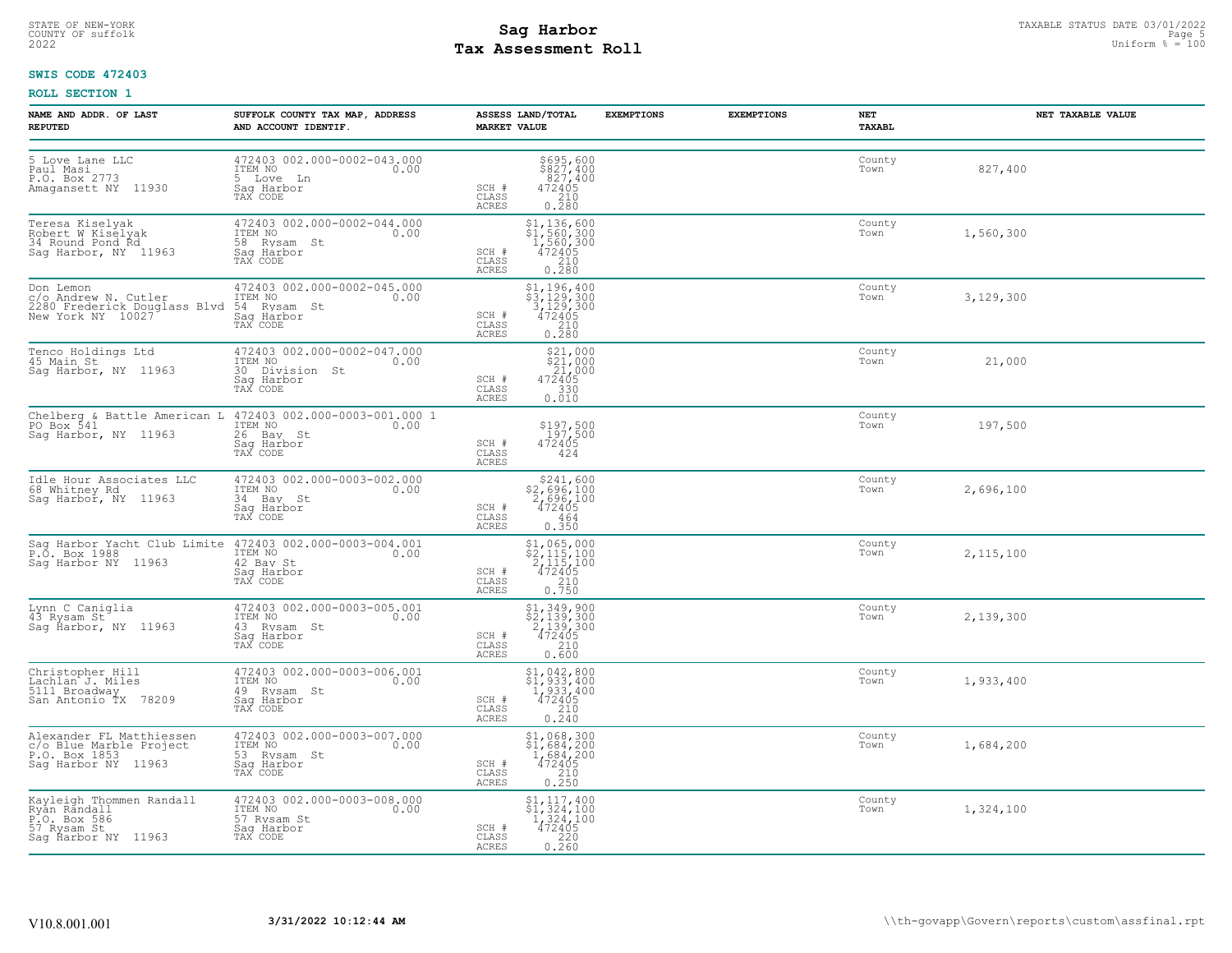# STATE OF NEW-YORK STATUS DATE 03/01/2022<br>
COUNTY OF suffolk Page 5 and the suffolk Page 5 and the suffolk Page 5 and the suffolk Page 5 and the sufform  $\frac{p}{q}$  = 100<br>
2022 Tax Assessment Roll **Tax Assessment Roll**

# **SWIS CODE 472403**

| NAME AND ADDR. OF LAST<br><b>REPUTED</b>                                                       | SUFFOLK COUNTY TAX MAP, ADDRESS<br>AND ACCOUNT IDENTIF.                                                                                       | ASSESS LAND/TOTAL<br><b>MARKET VALUE</b>                                                                                                                                                                      | <b>EXEMPTIONS</b> | <b>EXEMPTIONS</b> | NET<br><b>TAXABL</b> | NET TAXABLE VALUE |
|------------------------------------------------------------------------------------------------|-----------------------------------------------------------------------------------------------------------------------------------------------|---------------------------------------------------------------------------------------------------------------------------------------------------------------------------------------------------------------|-------------------|-------------------|----------------------|-------------------|
| 5 Love Lane LLC<br>Paul Masi<br>P.O. Box 2773<br>Amagansett NY 11930                           | 472403 002.000-0002-043.000<br>ITEM NO<br>0.00<br>5 Love Ln<br>Sag Harbor<br>TAX CODE                                                         | $\begin{array}{r} 5695,600 \\ 5827,400 \\ 827,400 \\ 472405 \\ 210 \\ 0.280 \end{array}$<br>SCH #<br>CLASS<br>ACRES                                                                                           |                   |                   | County<br>Town       | 827,400           |
| Teresa Kiselyak<br>Robert W Kiselyak<br>34 Round Pond Rd<br>Sag Harbor, NY 11963               | 472403 002.000-0002-044.000<br>ITEM NO 0.00<br>58 Rysam St<br>Saq Harbor<br>TAX CODE                                                          | $\begin{array}{r} \texttt{\$1,136,\,600}\ \texttt{\$1,560,\,300}\ \texttt{\$1,560,\,300}\ \texttt{\$1,560,\,300}\ \texttt{\$12405}\ \texttt{\$210}\ \texttt{\$0.280}\ \end{array}$<br>SCH #<br>CLASS<br>ACRES |                   |                   | County<br>Town       | 1,560,300         |
|                                                                                                | C/O Andrew N. Cutler (172403 002.000-0002-045.000)<br>2280 Frederick Douglass Blvd 54 Rysam St (1990)<br>New York NY 10027 (1992) Sag Harbor  | $$3, 196, 400$<br>$$3, 129, 300$<br>$3, 129, 300$<br>$472405$<br>$\_210$<br>SCH #<br>CLASS<br>ACRES<br>0.280                                                                                                  |                   |                   | County<br>Town       | 3,129,300         |
| Tenco Holdings Ltd<br>45 Main St<br>Sag Harbor, NY 11963                                       | 472403 002.000-0002-047.000<br>ITEM NO 0.00<br>30 Division St<br>Sag Harbor<br>TAX CODE                                                       | $$21,000$<br>$$21,000$<br>$21,000$<br>$472405$<br>SCH #<br>$\begin{array}{c} 0.7530 \\ 0.010 \end{array}$<br>CLASS<br><b>ACRES</b>                                                                            |                   |                   | County<br>Town       | 21,000            |
| Saq Harbor, NY 11963                                                                           | Chelberg & Battle American L 472403 002.000-0003-001.000 1<br>PO Box 541 1TEM NO 10.00<br>ITEM NO 0.00<br>26 Bay St<br>Sag Harbor<br>TAX CODE | \$197,500<br>197,500<br>472405<br>SCH #<br>CLASS<br>424<br>ACRES                                                                                                                                              |                   |                   | County<br>Town       | 197,500           |
| Idle Hour Associates LLC<br>68 Whitney Rd 1997<br>Sag Harbor, NY 11963                         | 472403 002.000-0003-002.000<br>ITEM NO 0.00<br>34 Bay St<br>Saq Harbor<br>TAX CODE                                                            | \$241,600<br>\$2,696,100<br>2,696,100<br>472405<br>SCH #<br>CLASS<br>464<br>ACRES<br>0.350                                                                                                                    |                   |                   | County<br>Town       | 2,696,100         |
| P.O. Box 1988<br>P.O. Box 1988<br>Sag Harbor NY 11963                                          | Sag Harbor Yacht Club Limite 472403 002.000-0003-004.001<br>ITEM NO 0.00<br>42 Bay St<br>Saq Harbor<br>TAX CODE                               | $\begin{array}{r} \texttt{\$1,065,000} \\ \texttt{\$2,115,100} \\ \texttt{2,115,100} \\ \texttt{472405} \\ \texttt{0.750} \\ \end{array}$<br>SCH #<br>CLASS<br>ACRES                                          |                   |                   | County<br>Town       | 2, 115, 100       |
| Lynn C Caniglia<br>43 Rysam St<br>Sag Harbor, NY 11963                                         | 472403 002.000-0003-005.001<br>ITEM NO 0.00<br>43 Rysam St<br>Sag Harbor<br>TAX CODE                                                          | $\begin{array}{r} $1,349,900 \ $2,139,300 \ $2,139,300 \ $472405 \ $210 \end{array}$<br>SCH #<br>CLASS<br>0.600<br>ACRES                                                                                      |                   |                   | County<br>Town       | 2,139,300         |
| Christopher Hill<br>Lachlan J. Miles<br>5111 Broadway<br>San Antonio TX 78209                  | 472403 002.000-0003-006.001<br>ITEM NO 0.00<br>49 Rysam St<br>Sag Harbor<br>TAX CODE                                                          | \$1,042,800<br>\$1,933,400<br>1,933,400<br>472405<br>SCH #<br>$\frac{210}{0.240}$<br>CLASS<br><b>ACRES</b>                                                                                                    |                   |                   | County<br>Town       | 1,933,400         |
| Alexander FL Matthiessen<br>c/o Blue Marble Project<br>P.O. Box 1853<br>Saq Harbor NY 11963    | 472403 002.000-0003-007.000<br>ITEM NO 0.00<br>53 Rysam St<br>Saq Harbor<br>TAX CODE                                                          | \$1,068,300<br>\$1,684,200<br>1,684,200<br>472405<br>SCH #<br>CLASS<br>$\begin{array}{c} 210 \\ 0.250 \end{array}$<br>ACRES                                                                                   |                   |                   | County<br>Town       | 1,684,200         |
| Kayleigh Thommen Randall<br>Ryan Randall<br>P.O. Box 586<br>57 Rysam St<br>Sag Ĥarbor NY 11963 | 472403 002.000-0003-008.000<br>ITEM NO 0.00<br>57 Rysam St<br>Saq Harbor<br>TAX CODE                                                          | $\begin{array}{c} \text{\$1$, 117, 400} \\ \text{\$1$, 324, 100} \\ \text{\$1$, 324, 100} \\ \text{\$12405} \\ \text{\$220} \\ 0.260 \end{array}$<br>SCH #<br>CLASS<br>ACRES                                  |                   |                   | County<br>Town       | 1,324,100         |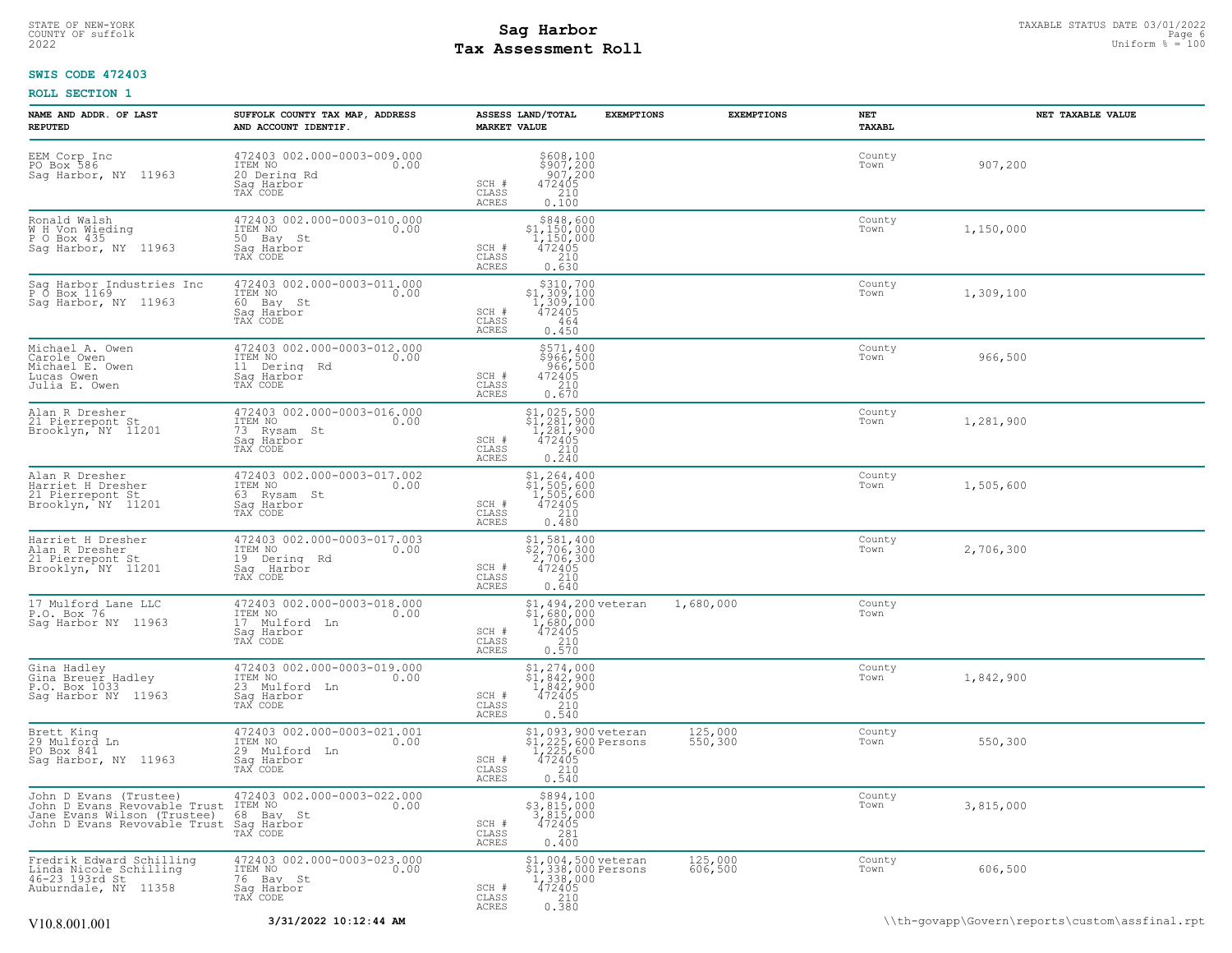# **Tax Assessment Roll Existed Strategies of the Contract Strategies** of the Uniform  $\frac{100}{2022}$

# **SWIS CODE 472403**

| NAME AND ADDR. OF LAST<br><b>REPUTED</b>                                                                              | SUFFOLK COUNTY TAX MAP, ADDRESS<br>AND ACCOUNT IDENTIF.                                        | <b>MARKET VALUE</b>            | ASSESS LAND/TOTAL                                                                                                                                                                          | <b>EXEMPTIONS</b> | <b>EXEMPTIONS</b>  | <b>NET</b><br>TAXABL | NET TAXABLE VALUE |
|-----------------------------------------------------------------------------------------------------------------------|------------------------------------------------------------------------------------------------|--------------------------------|--------------------------------------------------------------------------------------------------------------------------------------------------------------------------------------------|-------------------|--------------------|----------------------|-------------------|
| EEM Corp Inc<br>PO Box 586<br>Sag Harbor, NY 11963                                                                    | 472403 002.000-0003-009.000<br>ITEM NO<br>0.00<br>20 Dering Rd<br>Saq Harbor<br>TAX CODE       | SCH #<br>CLASS<br>ACRES        | $$608,100$<br>$$907,200$<br>$907,200$<br>$472405$<br>$210$<br>0.100                                                                                                                        |                   |                    | County<br>Town       | 907,200           |
| Ronald Walsh<br>W H Von Wieding<br>P O Box 435<br>Sag Harbor, NY 11963                                                | 472403 002.000-0003-010.000<br>ITEM NO<br>0.00<br>50 Bay St<br>Sag Harbor<br>TAX CODE          | SCH #<br>CLASS<br><b>ACRES</b> | $$848,600$<br>$$1,150,000$<br>$1,150,000$<br>$472405$<br>210<br>0.630                                                                                                                      |                   |                    | County<br>Town       | 1,150,000         |
| Saq Harbor Industries Inc<br>P 0 Box 1169<br>Saq Harbor, NY 11963                                                     | 472403 002.000-0003-011.000<br>ITEM NO<br>0.00<br>60 Bay St<br>Sag Harbor<br>TAX CODE          | SCH #<br>CLASS<br><b>ACRES</b> | $$310,700$<br>$$1,309,100$<br>$1,309,100$<br>$472405$<br>464<br>0.450                                                                                                                      |                   |                    | County<br>Town       | 1,309,100         |
| Michael A. Owen<br>Carole Owen<br>Michael E. Owen<br>Lucas Owen<br>Julia E. Owen                                      | 472403 002.000-0003-012.000<br>ITEM NO<br>0.00<br>11 Dering Rd<br>Saq Harbor<br>TAX CODE       | SCH #<br>CLASS<br><b>ACRES</b> | $$571,400$<br>$$966,500$<br>$\frac{966}{472405}$<br>472405<br>210<br>0.670                                                                                                                 |                   |                    | County<br>Town       | 966,500           |
| Alan R Dresher<br>21 Pierrepont St<br>Brooklyn, NY 11201                                                              | 472403 002.000-0003-016.000<br>ITEM NO<br>0.00<br>73 Rysam St<br>Saq Harbor<br>TAX CODE        | SCH #<br>CLASS<br>ACRES        | $$1,025,500$<br>$$1,281,900$<br>$1,281,900$<br>$472405$<br>210<br>0.240                                                                                                                    |                   |                    | County<br>Town       | 1,281,900         |
| Alan R Dresher<br>Harriet H Dresher<br>21 Pierrepont St<br>Brooklyn, NY 11201                                         | 472403 002.000-0003-017.002<br>ITEM NO<br>0.00<br>63 Rysam St<br>Sag Harbor<br>TAX CODE        | SCH #<br>CLASS<br><b>ACRES</b> | $$1, 264, 400$<br>$$1, 505, 600$<br>$1, 505, 600$<br>$472405$<br>$210$<br>0.480                                                                                                            |                   |                    | County<br>Town       | 1,505,600         |
| Harriet H Dresher<br>Alan R Dresher<br>21 Pierrepont Șt<br>Brooklyn, NY 11201                                         | 472403 002.000-0003-017.003<br>ITEM NO<br>0.00<br>19 Derina Rd<br>Saq Harbor<br>TAX CODE       | SCH #<br>CLASS<br>ACRES        | $$2, 706, 300$<br>$2, 706, 300$<br>$472405$<br>$210$<br>0.640                                                                                                                              |                   |                    | County<br>Town       | 2,706,300         |
| 17 Mulford Lane LLC<br>P.O. Box 76<br>Sag Harbor NY 11963                                                             | 472403 002.000-0003-018.000<br>TTEM NO 0.00<br>0.00<br>17 Mulford Ln<br>Saq Harbor<br>TAX CODE | SCH #<br>CLASS<br>ACRES        | \$1,494,200 veteran<br>\$1,680,000<br>1,680,000<br>472405<br>210<br>0.570                                                                                                                  |                   | 1,680,000          | County<br>Town       |                   |
| Gina Hadley<br>Gina Breuer Hadley<br>P.O. Box 1033<br>Sag Harbor NY 11963                                             | 472403 002.000-0003-019.000<br>ITEM NO<br>0.00<br>23 Mulford Ln<br>Sag Harbor<br>TAX CODE      | SCH #<br>CLASS<br><b>ACRES</b> | $\begin{array}{r} \text{\small $\$1,274,000} \\ \text{\small $\$1,842,900} \\ \text{\small $1,842,900} \\ \text{\small $472405} \\ \text{\small $210} \\ \text{\small $0.540} \end{array}$ |                   |                    | County<br>Town       | 1,842,900         |
| Brett King<br>29 Mulford Ln<br>PO Box 841<br>Sag Harbor, NY 11963                                                     | 472403 002.000-0003-021.001<br>ITEM NO<br>0.00<br>29 Mulford Ln<br>Saq Harbor<br>TAX CODE      | SCH #<br>CLASS<br>ACRES        | \$1,093,900 veteran<br>31, 225, 600 Persons<br>1, 225, 600 Persons<br>1, 225, 600<br>472405<br>0.540                                                                                       |                   | 125,000<br>550,300 | County<br>Town       | 550,300           |
| John D Evans (Trustee)<br>John D Evans Revovable Trust<br>Jane Evans Wilson (Trustee)<br>John D Evans Revovable Trust | 472403 002.000-0003-022.000<br>ITEM NO<br>0.00<br>68 Bay St<br>Saq Harbor<br>TAX CODE          | SCH #<br>CLASS<br><b>ACRES</b> | \$894,100<br>\$3,815,000<br>3,815,000<br>472405<br>0.400                                                                                                                                   |                   |                    | County<br>Town       | 3,815,000         |
| Fredrik Edward Schilling<br>Linda Nicole Schilling<br>46-23 193rd St<br>Auburndale, NY 11358                          | 472403 002.000-0003-023.000<br>TTEM NO 0.00<br>0.00<br>76 Bay St<br>Saq Harbor<br>TAX CODE     | SCH #<br>CLASS<br><b>ACRES</b> | \$1,004,500 veteran<br>\$1,338,000 Persons<br>1,338,000<br>472405<br>210<br>0.380                                                                                                          |                   | 125,000<br>606,500 | County<br>Town       | 606,500           |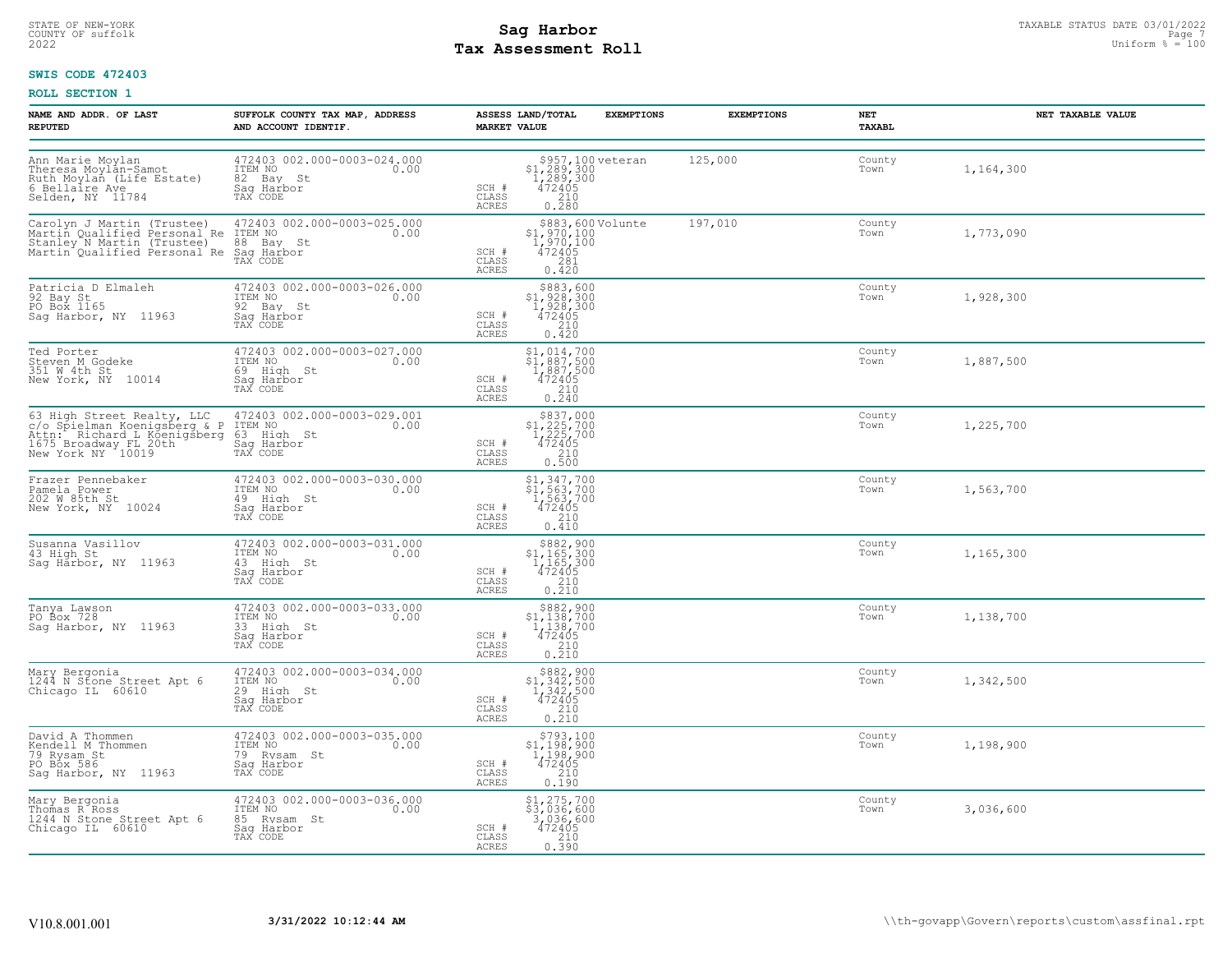# STATE OF NEW-YORK STATUS DATE 03/01/2022<br>
COUNTY OF suffolk Page 7 (1/2022 Uniform % = 100<br>
2022 Pay Assessment Roll **Tax Assessment Roll**

# **SWIS CODE 472403**

| NAME AND ADDR. OF LAST<br><b>REPUTED</b>                                                                                                                                                                 | SUFFOLK COUNTY TAX MAP, ADDRESS<br>AND ACCOUNT IDENTIF.                                 | <b>MARKET VALUE</b>                | ASSESS LAND/TOTAL                                                                                                                                                                                | <b>EXEMPTIONS</b> | <b>EXEMPTIONS</b> | NET<br><b>TAXABL</b> | NET TAXABLE VALUE |
|----------------------------------------------------------------------------------------------------------------------------------------------------------------------------------------------------------|-----------------------------------------------------------------------------------------|------------------------------------|--------------------------------------------------------------------------------------------------------------------------------------------------------------------------------------------------|-------------------|-------------------|----------------------|-------------------|
| Ann Marie Moylan<br>Theresa Moylan-Samot<br>Ruth Moylan (Life Estate)<br>6 Bellaire Ave<br>Selden, NY 11784                                                                                              | 472403 002.000-0003-024.000<br>ITEM NO<br>0.00<br>82 Bay St<br>Sag Harbor<br>TAX CODE   | SCH #<br>CLASS<br><b>ACRES</b>     | $$957,100 \text{ veteran}$<br>$$1,289,300$<br>$1,289,300$<br>$472405$<br>$$210$<br>0.280                                                                                                         |                   | 125,000           | County<br>Town       | 1,164,300         |
| Carolyn J Martin (Trustee) 472403<br>Martin Qualified Personal Re ITEM NO<br>Stanley N Martin (Trustee) 68 Bay St.<br>Martin Qualified Personal Re Saq Harbor<br>Martin Qualified Personal Re Saq Harbor | 472403 002.000-0003-025.000<br>0.00                                                     | SCH #<br>CLASS<br>ACRES            | \$883,600 Volunte<br>\$1,970,100<br>1,970,100<br>472405<br>$\overline{281}$<br>0.420                                                                                                             |                   | 197,010           | County<br>Town       | 1,773,090         |
| Patricia D Elmaleh<br>92 Bay St<br>PO Box 1165<br>Sag Harbor, NY 11963                                                                                                                                   | 472403 002.000-0003-026.000<br>ITEM NO<br>0.00<br>92 Bay St<br>Saq Harbor<br>TAX CODE   | SCH #<br>CLASS<br>ACRES            | \$883,600<br>\$1,928,300<br>1,928,300<br>472405<br>210<br>0.420                                                                                                                                  |                   |                   | County<br>Town       | 1,928,300         |
| Ted Porter<br>Steven M Godeke<br>351 W 4th St<br>New York, NY 10014                                                                                                                                      | 472403 002.000-0003-027.000<br>ITEM NO<br>0.00<br>69 High St<br>Sag Harbor<br>TAX CODE  | SCH #<br>CLASS<br>ACRES            | $\begin{array}{l} $1,014,700 \ $1,887,500 \ $1,887,500 \ $472405 \ $210 \end{array}$<br>$0.\overline{2}\overline{4}\overline{0}$                                                                 |                   |                   | County<br>Town       | 1,887,500         |
| 63 High Street Realty, LLC 472403 002.00<br>c/o Spielman Koenigsberg & P ITEM NO<br>Attn: Richard L Koenigsberg 63 High St<br>1675 Broadway FL 20th Sag Harbor<br>New York NY 10019 TAX CODE             | 472403 002.000-0003-029.001<br>0.00                                                     | $SCH$ #<br>CLASS<br>ACRES          | $$837,000$<br>$$1,225,700$<br>$1,225,700$<br>$472405$<br>$$210$<br>0.500                                                                                                                         |                   |                   | County<br>Town       | 1,225,700         |
| Frazer Pennebaker<br>Pamela Power<br>202 W 85th St<br>New York, NY 10024                                                                                                                                 | 472403 002.000-0003-030.000<br>ITEM NO<br>0.00<br>49 High St<br>Sag Harbor<br>TAX CODE  | SCH #<br>CLASS<br>ACRES            | $$1, 347, 700$<br>$$1, 563, 700$<br>$1, 563, 700$<br>$472405$<br>$$210$<br>0.410                                                                                                                 |                   |                   | County<br>Town       | 1,563,700         |
| Susanna Vasillov<br>43 High St<br>Saq Harbor, NY 11963                                                                                                                                                   | 472403 002.000-0003-031.000<br>ITEM NO 0.00<br>43 High St<br>Saq Harbor<br>TAX CODE     | SCH #<br>CLASS<br>ACRES            | $$882,900$<br>$$1,165,300$<br>$1,165,300$<br>$472405$<br>$\frac{210}{0.210}$                                                                                                                     |                   |                   | County<br>Town       | 1,165,300         |
| Tanya Lawson<br>PO Box 728<br>Saq Harbor, NY 11963                                                                                                                                                       | 472403 002.000-0003-033.000<br>ITEM NO<br>0.00<br>33 High St<br>Sag Harbor<br>TAX CODE  | SCH #<br>$\mathtt{CLASS}$<br>ACRES | $$882, 900$<br>$$1, 138, 700$<br>$1, 138, 700$<br>$472405$<br>210<br>0.210                                                                                                                       |                   |                   | County<br>Town       | 1,138,700         |
| Mary Bergonia<br>1244 N Stone Street Apt 6<br>Chicago IL 60610                                                                                                                                           | 472403 002.000-0003-034.000<br>ITEM NO<br>0.00<br>29 High St<br>Saq Harbor<br>TAX CODE  | SCH #<br>CLASS<br>ACRES            | \$882,900<br>\$1,342,500<br>1,342,500<br>472405<br>$\begin{array}{c} 210 \\ 0.210 \end{array}$                                                                                                   |                   |                   | County<br>Town       | 1,342,500         |
| David A Thommen<br>Kendell M Thommen<br>79 Rysam St<br>PO Box 586<br>Sag Harbor, NY 11963                                                                                                                | 472403 002.000-0003-035.000<br>ITEM NO<br>0.00<br>79 Rysam St<br>Saq Harbor<br>TAX CODE | SCH #<br>CLASS<br>ACRES            | $\begin{array}{r} \text{\small $>$793$, 100} \\ \text{\small $>$1$, 198, 900} \\ \text{\small $1$, 198, 900} \\ \text{\small $472405} \\ \text{\small $210} \\ \text{\small $0.190} \end{array}$ |                   |                   | County<br>Town       | 1,198,900         |
| Mary Bergonia<br>Thomas R Ross<br>1244 N Stone Street Apt 6<br>Chicago IL 60610                                                                                                                          | 472403 002.000-0003-036.000<br>10.00 0.00<br>85 Rysam St<br>Saq Harbor<br>TAX CODE      | SCH #<br>CLASS<br>ACRES            | $\begin{array}{c} $1,275,700 \\ $3,036,600 \\ 3,036,600 \\ 472405 \\ 210 \\ 0.390 \end{array}$                                                                                                   |                   |                   | County<br>Town       | 3,036,600         |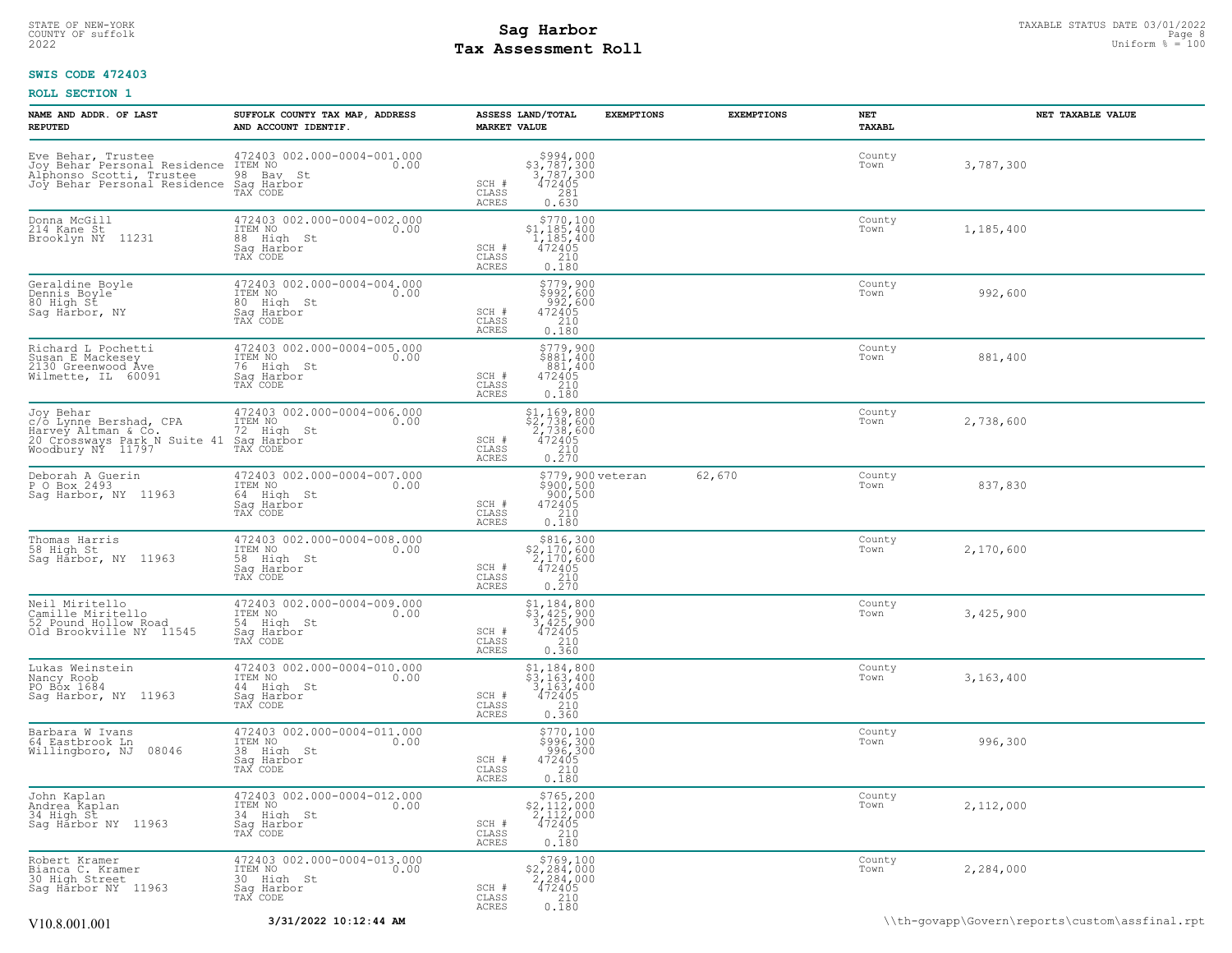# **Tax Assessment Roll Existed Strategies of the Contract Strategies** of the Uniform  $\frac{100}{2022}$

# **SWIS CODE 472403**

| NAME AND ADDR. OF LAST<br><b>REPUTED</b>                                                                        | SUFFOLK COUNTY TAX MAP, ADDRESS<br>AND ACCOUNT IDENTIF.                                | ASSESS LAND/TOTAL<br><b>MARKET VALUE</b> | <b>EXEMPTIONS</b>                                                                                            | <b>EXEMPTIONS</b> | NET<br>TAXABL  | NET TAXABLE VALUE |
|-----------------------------------------------------------------------------------------------------------------|----------------------------------------------------------------------------------------|------------------------------------------|--------------------------------------------------------------------------------------------------------------|-------------------|----------------|-------------------|
| Eve Behar, Trustee<br>Joy Behar Personal Residence<br>Alphonso Scotti, Trustee<br>Joy Behar Personal Residence  | 472403 002.000-0004-001.000<br>ITEM NO<br>0.00<br>98 Bay St<br>Saq Harbor<br>TAX CODE  | SCH #<br>CLASS<br><b>ACRES</b>           | $$994,000$<br>$$3,787,300$<br>$3,787,300$<br>$472405$<br>281<br>0.630                                        |                   | County<br>Town | 3,787,300         |
| Donna McGill<br>214 Kane St<br>Brooklyn NY 11231                                                                | 472403 002.000-0004-002.000<br>ITEM NO<br>0.00<br>88 High St<br>Sag Harbor<br>TAX CODE | SCH #<br>CLASS<br>ACRES                  | \$770,100<br>$$1,185,400$<br>1,185,400<br>472405<br>210<br>0.180                                             |                   | County<br>Town | 1,185,400         |
| Geraldine Boyle<br>Dennis Boyle<br>80 High St<br>Sag Harbor, NY                                                 | 472403 002.000-0004-004.000<br>ITEM NO<br>0.00<br>80 High St<br>Sag Harbor<br>TAX CODE | SCH #<br>CLASS<br>ACRES                  | $$992,600$<br>$$992,600$<br>$992,600$<br>$472405$<br>$210$<br>0.180                                          |                   | County<br>Town | 992,600           |
| Richard L Pochetti<br>Nichard B Mackeey<br>2130 Greenwood Ave<br>Wilmette, IL 60091                             | 472403 002.000-0004-005.000<br>ITEM NO<br>0.00<br>76 High St<br>Sag Harbor<br>TAX CODE | SCH #<br>CLASS<br><b>ACRES</b>           | $$779,900$<br>$$881,400$<br>$881,400$<br>$472405$<br>$$210$<br>0.180                                         |                   | County<br>Town | 881,400           |
| Joy Behar<br>c/o Lynne Bershad, CPA<br>Harvey Altman & Co.<br>20 Crossways Park N Suite 41<br>Woodbury NY 11797 | 472403 002.000-0004-006.000<br>ITEM NO<br>0.00<br>72 High St<br>Saq Harbor<br>TAX CODE | SCH #<br>CLASS<br><b>ACRES</b>           | $\begin{array}{c} $1,169,800 \\ $2,738,600 \\ 2,738,600 \\ 472405 \\ 210 \\ 0.270 \end{array}$               |                   | County<br>Town | 2,738,600         |
| Deborah A Guerin<br>P O Box 2493<br>Sag Harbor, NY 11963                                                        | 472403 002.000-0004-007.000<br>ITEM NO<br>0.00<br>64 High St<br>Sag Harbor<br>TAX CODE | SCH #<br>CLASS<br>ACRES                  | \$779,900 veteran<br>\$900,500<br>900,500<br>472405<br>0 110<br>0.180                                        | 62,670            | County<br>Town | 837,830           |
| Thomas Harris<br>58 High St<br>Sag Harbor, NY 11963                                                             | 472403 002.000-0004-008.000<br>ITEM NO<br>0.00<br>58 High St<br>Sag Harbor<br>TAX CODE | SCH #<br>$\mathtt{CLASS}$<br>ACRES       | $$816,300$<br>$$2,170,600$<br>$2,170,600$<br>$\begin{smallmatrix} 472405\\ 210\\ 270 \end{smallmatrix}$      |                   | County<br>Town | 2,170,600         |
| Neil Miritello<br>Camille Miritello<br>52 Pound Hollow Road<br>Old Brookville NY 11545                          | 472403 002.000-0004-009.000<br>ITEM NO<br>0.00<br>54 High St<br>Sag Harbor<br>TAX CODE | SCH #<br>CLASS<br><b>ACRES</b>           | $$3, 425, 900$<br>$$3, 425, 900$<br>$3, 425, 900$<br>$472405$<br>$\begin{array}{c} 210 \\ 0.360 \end{array}$ |                   | County<br>Town | 3,425,900         |
| Lukas Weinstein<br>Nancy Roob<br>PO B <sub>ox</sub> 1684<br>Sag Harbor, NY 11963                                | 472403 002.000-0004-010.000<br>ITEM NO<br>0.00<br>44 High St<br>Sag Harbor<br>TAX CODE | SCH #<br>CLASS<br>ACRES                  | $$1,184,800$<br>$$3,163,400$<br>$3,163,400$<br>$3,163,400$<br>472405<br>210<br>0.360                         |                   | County<br>Town | 3,163,400         |
| Barbara W Ivans<br>64 Eastbrook Ln<br>08046<br>Willingboro, NJ                                                  | 472403 002.000-0004-011.000<br>ITEM NO<br>0.00<br>38 High St<br>Sag Harbor<br>TAX CODE | SCH #<br>CLASS<br><b>ACRES</b>           | \$770,100<br>\$996,300<br>996,300<br>472405<br>210<br>0.180                                                  |                   | County<br>Town | 996,300           |
| John Kaplan<br>Andrea Kaplan<br>34 High St<br>Saq Harbor NY 11963                                               | 472403 002.000-0004-012.000<br>ITEM NO<br>0.00<br>34 High St<br>Saq Harbor<br>TAX CODE | SCH #<br>CLASS<br><b>ACRES</b>           | $\begin{array}{r} 5765,200 \\ 52,112,000 \\ 2,112,000 \\ 472405 \\ 210 \end{array}$<br>0.180                 |                   | County<br>Town | 2,112,000         |
| Robert Kramer<br>Bianca C. Kramer<br>30 High Street<br>Sag Harbor NY 11963                                      | 472403 002.000-0004-013.000<br>ITEM NO<br>0.00<br>30 High St<br>Saq Harbor<br>TAX CODE | SCH #<br>CLASS<br>ACRES                  | $$769,100$<br>$$2,284,000$<br>$2,284,000$<br>$\begin{smallmatrix} 472405\\ 210\\ 0.180 \end{smallmatrix}$    |                   | County<br>Town | 2,284,000         |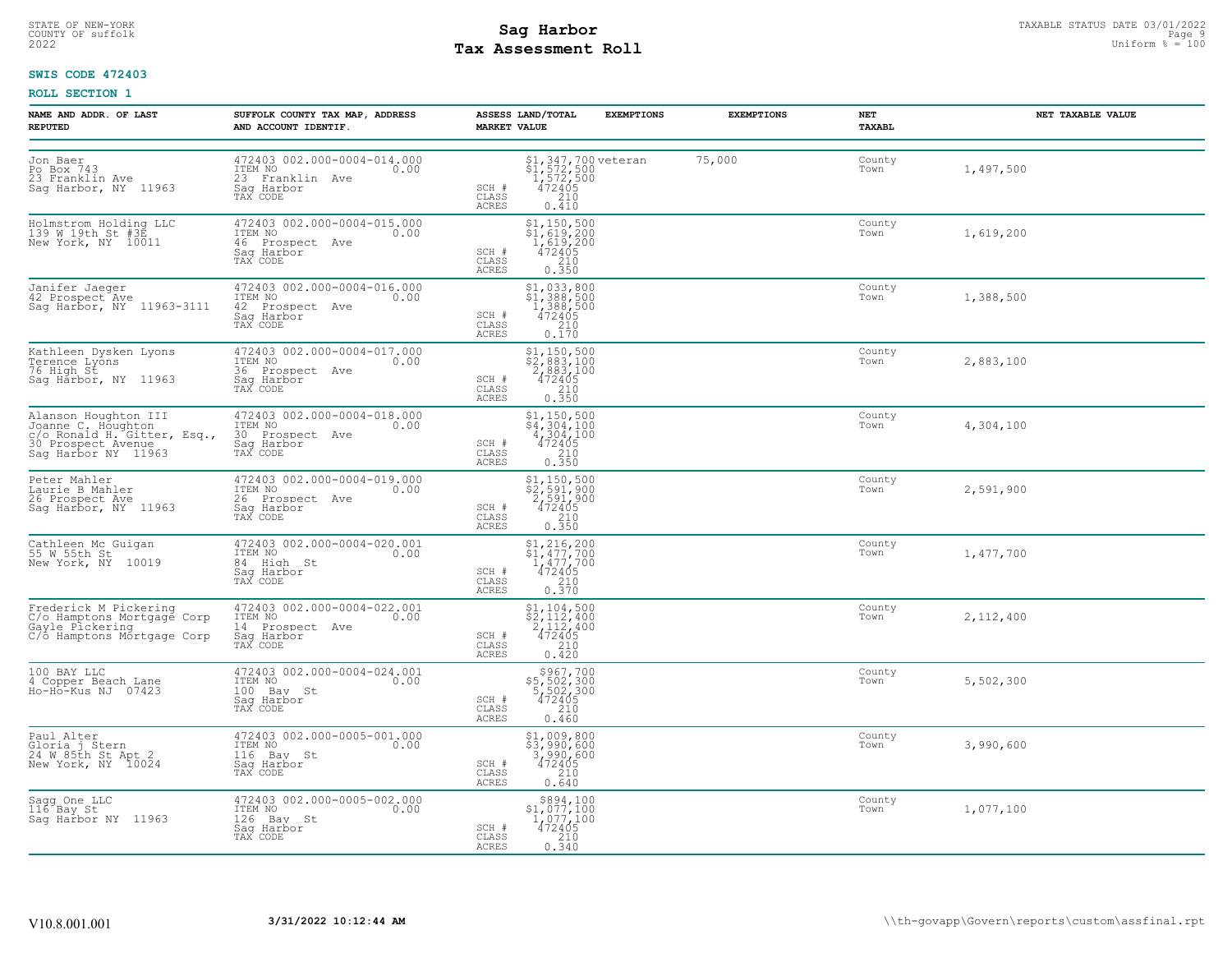# **Tax Assessment Roll Existed Strategies of the Contract Strategies** of the Uniform  $\frac{100}{2022}$

# **SWIS CODE 472403**

| NAME AND ADDR. OF LAST<br><b>REPUTED</b>                                                                                   | SUFFOLK COUNTY TAX MAP, ADDRESS<br>AND ACCOUNT IDENTIF.                                     | ASSESS LAND/TOTAL<br><b>EXEMPTIONS</b><br><b>MARKET VALUE</b>                                                                                                            | <b>EXEMPTIONS</b> | NET<br>TAXABL  | NET TAXABLE VALUE |
|----------------------------------------------------------------------------------------------------------------------------|---------------------------------------------------------------------------------------------|--------------------------------------------------------------------------------------------------------------------------------------------------------------------------|-------------------|----------------|-------------------|
| Jon Baer<br>Po Box 743<br>23 Franklin Ave<br>Sag Harbor, NY 11963                                                          | 472403 002.000-0004-014.000<br>ITEM NO<br>0.00<br>23 Franklin Ave<br>Sag Harbor<br>TAX CODE | $$1,347,700$ veteran<br>$$1,572,500$<br>$1,572,500$<br>$472405$<br>$210$<br>SCH #<br>CLASS<br><b>ACRES</b><br>0.410                                                      | 75,000            | County<br>Town | 1,497,500         |
| Holmstrom Holding LLC<br>139 W 19th St #3E<br>New York, NY 10011                                                           | 472403 002.000-0004-015.000<br>ITEM NO<br>0.00<br>46 Prospect Ave<br>Saq Harbor<br>TAX CODE | $\begin{array}{c} 51,150,500 \\ 51,619,200 \\ 1,619,200 \end{array}$<br>472405<br>SCH #<br>210<br>CLASS<br>0.350<br><b>ACRES</b>                                         |                   | County<br>Town | 1,619,200         |
| Janifer Jaeger<br>42 Prospect Ave<br>Sag Harbor, NY 11963-3111                                                             | 472403 002.000-0004-016.000<br>ITEM NO<br>0.00<br>42 Prospect Ave<br>Saq Harbor<br>TAX CODE | \$1,033,800<br>$$1,388,500$<br>1,388,500<br>472405<br>SCH #<br>CLASS<br>$\begin{array}{c} 210 \\ 0.170 \end{array}$<br>ACRES                                             |                   | County<br>Town | 1,388,500         |
| Kathleen Dysken Lyons<br>Terence Lyons<br>76 High St<br>Sag Harbor, NY 11963                                               | 472403 002.000-0004-017.000<br>ITEM NO 0.00<br>36 Prospect Ave<br>Sag Harbor<br>TAX CODE    | $\begin{array}{r} \texttt{\$1,150,500} \\ \texttt{\$2,883,100} \\ \texttt{2,883,100} \\ \texttt{472405} \\ \texttt{0.350} \end{array}$<br>SCH #<br>CLASS<br>ACRES        |                   | County<br>Town | 2,883,100         |
| Alanson Houghton III<br>Hidmon Houghton<br>30 Sonnal H. Gitter, Esq.,<br>30 Prospect Avenuer, Esq.,<br>3ag Harbor NY 11963 | 472403 002.000-0004-018.000<br>ITEM NO<br>0.00<br>30 Prospect Ave<br>Saq Harbor<br>TAX CODE | \$1,150,500<br>$\begin{array}{r} 4,100,300 \\ 4,304,100 \\ 4,304,100 \\ 472405 \\ 210 \\ 0.350 \end{array}$<br>SCH #<br>CLASS<br>ACRES                                   |                   | County<br>Town | 4,304,100         |
| Peter Mahler<br>Laurie B Mahler<br>26 Prospect Ave<br>Saq Harbor, NY 11963                                                 | 472403 002.000-0004-019.000<br>ITEM NO<br>0.00<br>26 Prospect Ave<br>Saq Harbor<br>TAX CODE | $\begin{array}{r} \texttt{\$1,150,500} \\ \texttt{\$2,591,900} \\ \texttt{2,591,900} \\ \texttt{472405} \\ \texttt{0.350} \end{array}$<br>SCH #<br>CLASS<br><b>ACRES</b> |                   | County<br>Town | 2,591,900         |
| Cathleen Mc Guigan<br>55 W 55th St<br>New York, NY 10019                                                                   | 472403 002.000-0004-020.001<br>ITEM NO<br>0.00<br>84 High St<br>Saq Harbor<br>TAX CODE      | $$1, 216, 200$<br>$$1, 477, 700$<br>$1, 477, 700$<br>$472405$<br>SCH #<br>CLASS<br>$\frac{210}{0.370}$<br>ACRES                                                          |                   | County<br>Town | 1,477,700         |
| Frederick M Pickering<br>C/o Hamptons Mortgage Corp<br>Gayle Pickering<br>C/o Hamptons Mortgage Corp                       | 472403 002.000-0004-022.001<br>ITEM NO<br>0.00<br>14 Prospect Ave<br>Sag Harbor<br>TAX CODE | $\begin{array}{l} 51,104,500 \\ 52,112,400 \\ 2,112,400 \\ 472405 \\ 2.10 \end{array}$<br>SCH #<br>CLASS<br>ACRES<br>0.420                                               |                   | County<br>Town | 2,112,400         |
| 100 BAY LLC<br>4 Copper Beach Lane<br>Ho-Ho-Kus NJ 07423                                                                   | 472403 002.000-0004-024.001<br>ITEM NO<br>0.00<br>100 Bay St<br>Saq Harbor<br>TAX CODE      | $$967,700$<br>$$5,502,300$<br>$$5,502,300$<br>$472405$<br>SCH #<br>210<br>CLASS<br><b>ACRES</b><br>0.460                                                                 |                   | County<br>Town | 5,502,300         |
| Paul Alter<br>Gloria j Stern<br>24 W 85th St Apt 2<br>New York, NY 10024                                                   | 472403 002.000-0005-001.000<br>ITEM NO<br>0.00<br>116 Bay St<br>Saq Harbor<br>TAX CODE      | \$1,009,800<br>$\frac{1}{3}, \frac{3}{990}, \frac{6}{600}$<br>3,990,600<br>472405<br>SCH #<br>CLASS<br>$\frac{210}{0.640}$<br>ACRES                                      |                   | County<br>Town | 3,990,600         |
| Sagg One LLC<br>116 Bay St<br>Saq Harbor NY 11963                                                                          | 472403 002.000-0005-002.000<br>TTEM NO 0.00<br>126 Bay St<br>Saq Harbor<br>TAX CODE         | $\begin{array}{c} $894,100 \\ $1,077,100 \\ $1,077,100 \\ $472405 \end{array}$<br>SCH #<br>CLASS<br>$\frac{210}{0.340}$<br>ACRES                                         |                   | County<br>Town | 1,077,100         |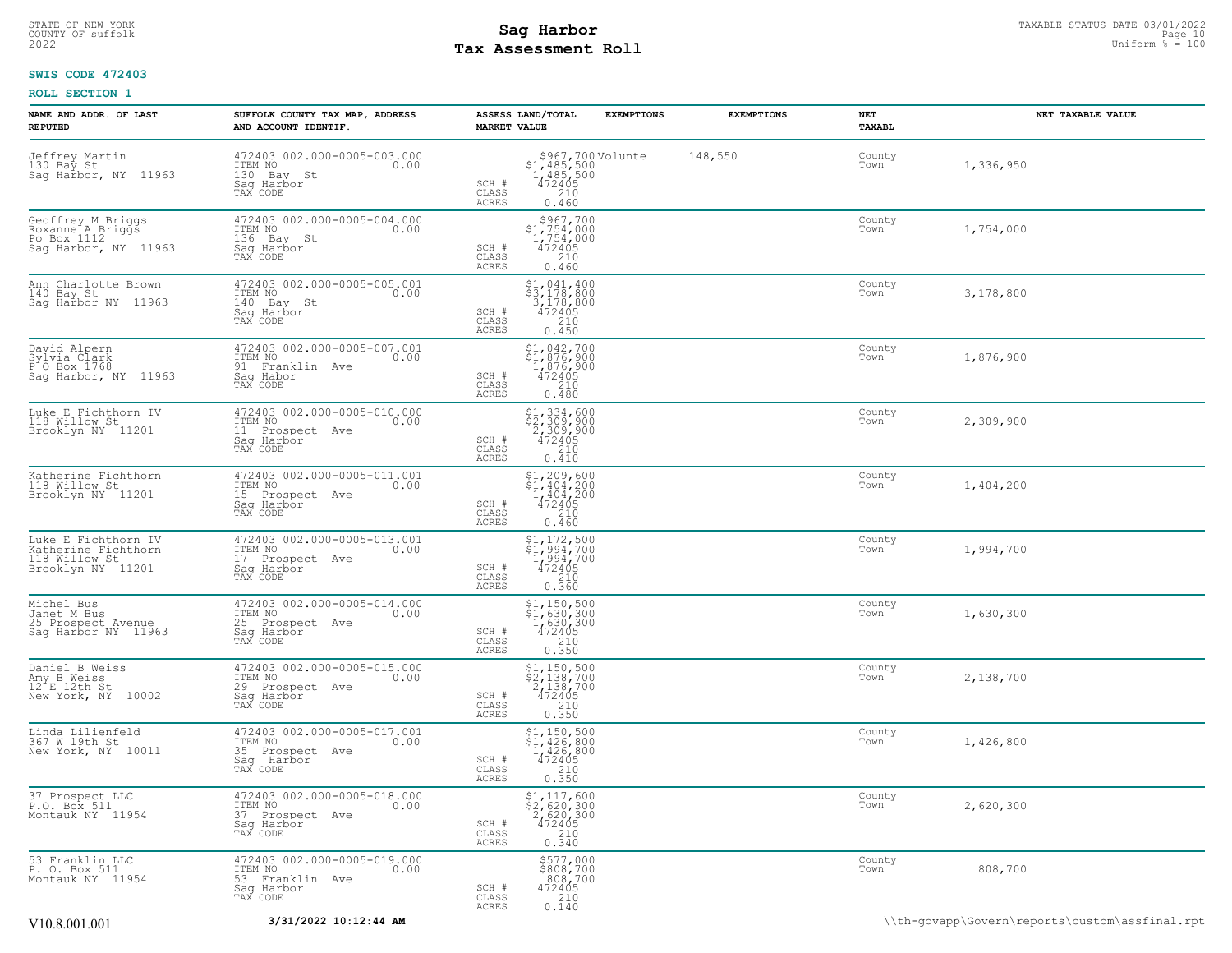# **Tax Assessment Roll Existed Structure 2022** Uniform  $\frac{1}{8}$  = 100

# **SWIS CODE 472403**

| NAME AND ADDR. OF LAST<br><b>REPUTED</b>                                            | SUFFOLK COUNTY TAX MAP, ADDRESS<br>AND ACCOUNT IDENTIF.                                             | ASSESS LAND/TOTAL<br><b>MARKET VALUE</b>                                                                                                                                          | <b>EXEMPTIONS</b><br><b>EXEMPTIONS</b> | NET<br>TAXABL  | NET TAXABLE VALUE                              |
|-------------------------------------------------------------------------------------|-----------------------------------------------------------------------------------------------------|-----------------------------------------------------------------------------------------------------------------------------------------------------------------------------------|----------------------------------------|----------------|------------------------------------------------|
| Jeffrey Martin<br>130 Bay St<br>Sag Harbor, NY 11963                                | 472403 002.000-0005-003.000<br>ITEM NO<br>0.00<br>130 Bay St<br>Saq Harbor<br>TAX CODE              | $\begin{array}{c} $967,700 \, \text{Volume} \\ $1,485,500 \\ $1,485,500 \\ $472405 \\ $210 \\ $0.460 \end{array}$<br>SCH #<br>CLASS<br>ACRES                                      | 148,550                                | County<br>Town | 1,336,950                                      |
| Geoffrey M Briggs<br>Roxanne A Briggs<br>Po Box 1112<br>Sag Harbor, NY 11963        | 472403 002.000-0005-004.000<br>ITEM NO<br>0.00<br>136<br>Bav St<br>Sag Harbor<br>TAX CODE           | \$967,700<br>$$1,754,000$<br>1,754,000<br>472405<br>2,20<br>SCH #<br>CLASS<br><b>ACRES</b><br>0.460                                                                               |                                        | County<br>Town | 1,754,000                                      |
| Ann Charlotte Brown<br>140 Bay St<br>Sag Harbor NY 11963                            | 472403 002.000-0005-005.001<br>ITEM NO<br>0.00<br>140 Bay St<br>Saq Harbor<br>TAX CODE              | \$1,041,400<br>$\frac{5}{3}, \frac{1}{178}, \frac{800}{800}$<br>3, 178, 800<br>472405<br>SCH #<br>CLASS<br>210<br>ACRES<br>0.450                                                  |                                        | County<br>Town | 3,178,800                                      |
| David Alpern<br>Sylvia Clark<br>$P^{\dagger}$ O Box 1768<br>Sag Harbor, NY 11963    | 472403 002.000-0005-007.001<br>1TEM NO 0.00<br>91 Franklin Ave<br>Saq Habor<br>TAX CODE             | $$1,042,700$<br>$$1,876,900$<br>$1,876,900$<br>$472405$<br>210<br>SCH #<br>CLASS<br>ACRES<br>0.480                                                                                |                                        | County<br>Town | 1,876,900                                      |
| Luke E Fichthorn IV<br>118 Willow St<br>Brooklyn NY 11201                           | 472403 002.000-0005-010.000<br>0.00 0.00<br>11 Prospect Ave<br>Saq Harbor<br>TAX CODE               | \$1,334,600<br>\$2,309,900<br>2,309,900<br>472405<br>SCH #<br>CLASS<br>210<br>ACRES<br>0.410                                                                                      |                                        | County<br>Town | 2,309,900                                      |
| Katherine Fichthorn<br>118 Willow St<br>Brooklyn NY 11201                           | 472403 002.000-0005-011.001<br>ITEM NO<br>0.00<br>15 Prospect Ave<br>Sag Harbor<br>TAX CODE         | $$1, 209, 600$<br>$$1, 404, 200$<br>$1, 404, 200$<br>$472405$<br>SCH #<br>CLASS<br>210<br>ACRES<br>0.460                                                                          |                                        | County<br>Town | 1,404,200                                      |
| Luke E Fichthorn IV<br>Katherine Fichthorn<br>118 Willow St<br>Brooklyn NY 11201    | 472403 002.000-0005-013.001<br>ITEM NO<br>0.00<br>17 Prospect Ave<br>Saq Harbor<br>TAX CODE         | $\frac{1}{2}$ , 172, 500<br>$\frac{1}{2}$ , 994, 700<br>1,994,700<br>472405<br>SCH #<br>CLASS<br>210<br>0.360<br>ACRES                                                            |                                        | County<br>Town | 1,994,700                                      |
| Michel Bus<br>Janet M Bus<br>25 Prospect Avenue<br>Sag Harbor NY 11963              | 472403 002.000-0005-014.000<br>ITEM NO<br>0.00<br>25 Prospect Ave<br>Saq Harbor<br>TAX CODE         | $\begin{array}{c} $1,150,500 \ $1,630,300 \ $1,630,300 \ $472405 \ 210 \ 0.350 \end{array}$<br>SCH #<br>CLASS<br>ACRES                                                            |                                        | County<br>Town | 1,630,300                                      |
| Daniel B Weiss<br>Amy B Weiss<br>12 <sup>-</sup> E 12th St<br>New York, NY<br>10002 | 472403 002.000-0005-015.000<br>ITEM NO<br>0.00<br>29<br>Prospect Ave<br>Sag Harbor<br>TAX CODE      | $\begin{array}{c} $1,150,500 \ $2,138,700 \ $2,138,700 \ $2,138,700 \ $472405 \ $210 \ $0.350 \end{array}$<br>SCH #<br>CLASS<br>ACRES                                             |                                        | County<br>Town | 2,138,700                                      |
| Linda Lilienfeld<br>367 W 19th St<br>New York, NY 10011                             | 472403 002.000-0005-017.001<br>ITEM NO<br>0.00<br>35 Prospect Ave<br>Saq Harbor<br>TAX CODE         | \$1,150,500<br>$\begin{array}{r} 41,426,800 \\ 1,426,800 \\ 472405 \end{array}$<br>SCH #<br>CLASS<br>$\frac{210}{0.350}$<br>ACRES                                                 |                                        | County<br>Town | 1,426,800                                      |
| 37 Prospect LLC<br>P.O. Box 511<br>Montauk NY 11954                                 | 472403 002.000-0005-018.000<br>TTEM NO 0.00<br>0.00<br>37<br>Prospect Ave<br>Saq Harbor<br>TAX CODE | $\begin{array}{r} \texttt{\$1,117,600} \\ \texttt{\$2,620,300} \\ \texttt{2,620,300} \\ \texttt{472405} \\ \texttt{210} \\ \texttt{0.340} \end{array}$<br>SCH #<br>CLASS<br>ACRES |                                        | County<br>Town | 2,620,300                                      |
| 53 Franklin LLC<br>P. O. Box 511<br>Montauk NY 11954                                | 472403 002.000-0005-019.000<br>TTEM NO 0.00<br>53 Franklin Ave<br>Saq Harbor<br>TAX CODE            | \$577,000<br>\$808,700<br>808,700<br>472405<br>SCH #<br>CLASS<br>210<br>0.140<br>ACRES                                                                                            |                                        | County<br>Town | 808,700                                        |
| V10.8.001.001                                                                       | 3/31/2022 10:12:44 AM                                                                               |                                                                                                                                                                                   |                                        |                | \\th-govapp\Govern\reports\custom\assfinal.rpt |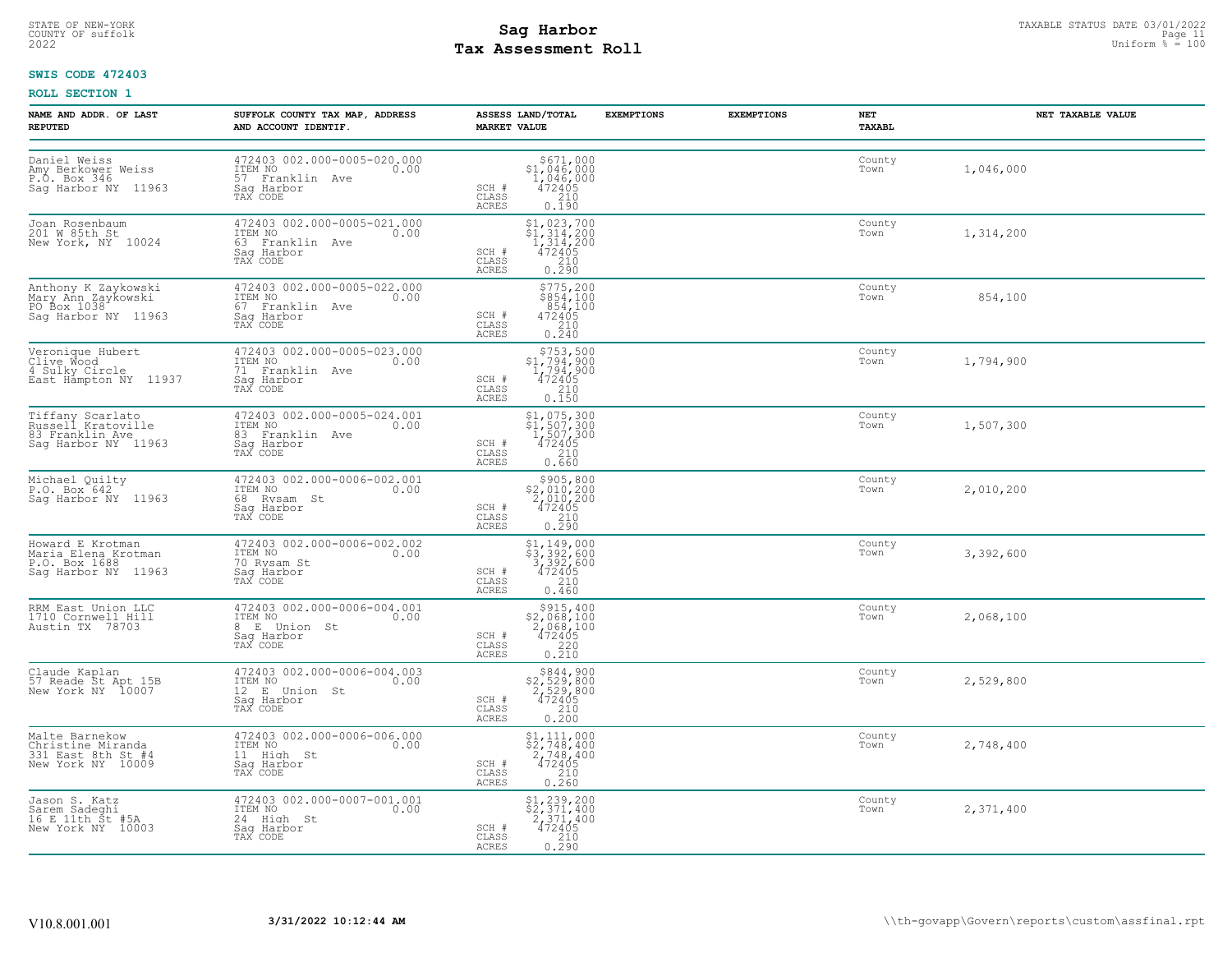# **Tax Assessment Roll Existed Structure 2022** Uniform  $\frac{1}{8}$  = 100

# **SWIS CODE 472403**

| NAME AND ADDR. OF LAST<br><b>REPUTED</b>                                                | SUFFOLK COUNTY TAX MAP, ADDRESS<br>AND ACCOUNT IDENTIF.                                                | ASSESS LAND/TOTAL<br><b>MARKET VALUE</b>                                                                                                                                          | <b>EXEMPTIONS</b><br><b>EXEMPTIONS</b> | NET<br>TAXABL  | NET TAXABLE VALUE |
|-----------------------------------------------------------------------------------------|--------------------------------------------------------------------------------------------------------|-----------------------------------------------------------------------------------------------------------------------------------------------------------------------------------|----------------------------------------|----------------|-------------------|
| Daniel Weiss<br>Amy Berkower Weiss<br>$P.\overline{O}$ . Box 346<br>Sag Harbor NY 11963 | 472403 002.000-0005-020.000<br>ITEM NO<br>0.00<br>57 Franklin Ave<br>Sag Harbor<br>TAX CODE            | \$671,000<br>$$1,046,000$<br>$1,046,000$<br>$472405$<br>SCH #<br>CLASS<br>$\frac{210}{0.190}$<br><b>ACRES</b>                                                                     |                                        | County<br>Town | 1,046,000         |
| Joan Rosenbaum<br>201 W 85th St<br>New York, NY 10024                                   | 472403 002.000-0005-021.000<br>ITEM NO<br>0.00<br>63 Franklin Ave<br>Saq Harbor<br>TAX CODE            | $\begin{array}{r} \texttt{\$1,023,700} \\ \texttt{\$1,314,200} \\ 1,314,200 \\ 472405 \\ 210 \\ 0.290 \end{array}$<br>SCH #<br>CLASS<br>ACRES                                     |                                        | County<br>Town | 1,314,200         |
| Anthony K Zaykowski<br>Mary Ann Zaykowski<br>PO Box 1038<br>Saq Harbor NY 11963         | 472403 002.000-0005-022.000<br>ITEM NO<br>0.00<br>11mm No<br>67 Franklin Ave<br>Saq Harbor<br>TAX CODE | $$775, 200$<br>$$854, 100$<br>$854, 100$<br>$472405$<br>SCH #<br>CLASS<br>$\frac{210}{0.240}$<br><b>ACRES</b>                                                                     |                                        | County<br>Town | 854,100           |
| Veronique Hubert<br>Clive Wood<br>4 Sulky Circle<br>East Hampton NY 11937               | 472403 002.000-0005-023.000<br>ITEM NO<br>0.00<br>71 Franklin Ave<br>Sag Harbor<br>TAX CODE            | $$753,500$<br>$$1,794,900$<br>$1,794,900$<br>$472405$<br>$$210$<br>$SCH$ $#$<br>CLASS<br><b>ACRES</b><br>0.150                                                                    |                                        | County<br>Town | 1,794,900         |
| Tiffany Scarlato<br>Russell Kratoville<br>83 Franklin Ave<br>Sag Harbor NY 11963        | 472403 002.000-0005-024.001<br>ITEM NO<br>0.00<br>83 Franklin Ave<br>Sag Harbor<br>TAX CODE            | $$1,075,300$<br>$$1,507,300$<br>$1,507,300$<br>$472405$<br>SCH #<br>210<br>CLASS<br>0.660<br><b>ACRES</b>                                                                         |                                        | County<br>Town | 1,507,300         |
| Michael Quilty<br>P.O. Box 642<br>Saq Harbor NY 11963                                   | 472403 002.000-0006-002.001<br>TTEM NO 0.00<br>68 Rysam St<br>Saq Harbor<br>TAX CODE                   | \$905,800<br>\$2,010,200<br>$\frac{5}{472405}$<br>SCH #<br>CLASS<br>0.210<br>ACRES                                                                                                |                                        | County<br>Town | 2,010,200         |
| Howard E Krotman<br>Maria Elena Krotman<br>P.O. Box 1688<br>Sag Harbor NY 11963         | 472403 002.000-0006-002.002<br>ITEM NO<br>0.00<br>70 Rysam St<br>Saq Harbor<br>TAX CODE                | \$1,149,000<br>$\begin{array}{r} 2\frac{1}{5} \\ 3,392,600 \\ 3,392,600 \\ 472405 \\ 2,10 \end{array}$<br>SCH #<br>CLASS<br><b>ACRES</b><br>0.460                                 |                                        | County<br>Town | 3,392,600         |
| RRM East Union LLC<br>1710 Cornwell Hill<br>Austin TX 78703                             | 472403 002.000-0006-004.001<br>ITEM NO<br>0.00<br>8 E Union St<br>Saq Harbor<br>TAX CODE               | $\begin{array}{r} \xi 915, 400 \\ 2, 068, 100 \\ 2, 068, 100 \\ 472405 \\ 220 \\ 0.210 \end{array}$<br>SCH #<br>CLASS<br><b>ACRES</b>                                             |                                        | County<br>Town | 2,068,100         |
| Claude Kaplan<br>57 Reade St Apt 15B<br>New York NY 10007                               | 472403 002.000-0006-004.003<br>ITEM NO<br>0.00<br>12 E Union St<br>Sag Harbor<br>TAX CODE              | $\begin{array}{r}  \  \  \, 8844, 900 \\  \  \, 2, 529, 800 \\  \  \, 2, 529, 800 \\  \  \, 472405 \\  \  \, 210 \\  \  \, 0.200 \end{array}$<br>$SCH$ #<br>CLASS<br><b>ACRES</b> |                                        | County<br>Town | 2,529,800         |
| Malte Barnekow<br>Christine Miranda<br>331 East 8th St #4<br>New York NY 10009          | 472403 002.000-0006-006.000<br>ITEM NO<br>0.00<br>11 High St<br>Saq Harbor<br>TAX CODE                 | $$2,748,400$<br>$$2,748,400$<br>$2,748,400$<br>$472405$<br>SCH #<br>CLASS<br>$\begin{array}{c} 210 \\ 0.260 \end{array}$<br>ACRES                                                 |                                        | County<br>Town | 2,748,400         |
| Jason S. Katz<br>Sarem Sadeghi<br>16 E 11th St #5A<br>New York NY 10003                 | 472403 002.000-0007-001.001<br>ITEM NO 0.00<br>24 High St<br>Saq Harbor<br>TAX CODE                    | $$2,371,400$<br>$$2,371,400$<br>$2,371,400$<br>$472405$<br>SCH #<br>CLASS<br>0.210<br>ACRES                                                                                       |                                        | County<br>Town | 2,371,400         |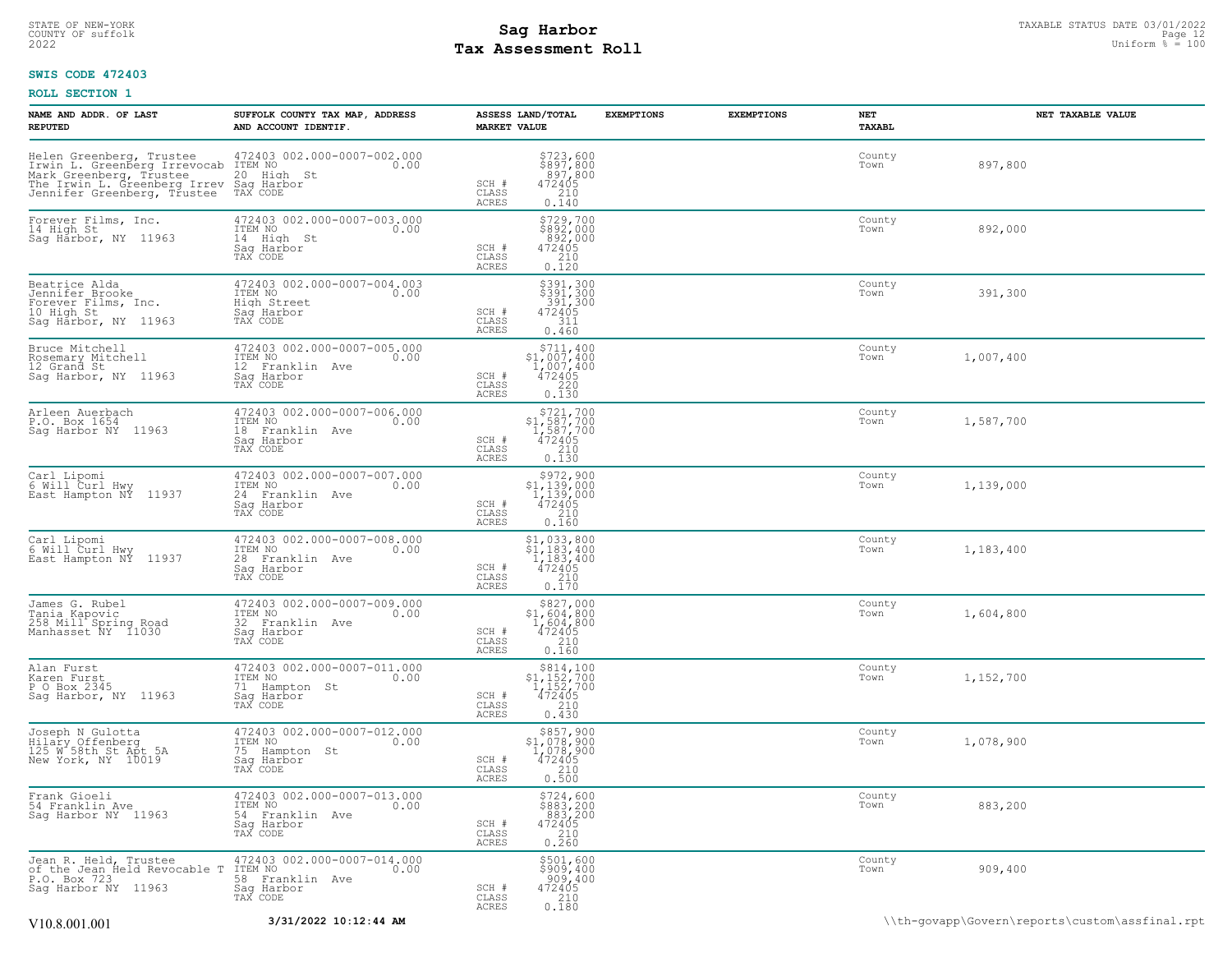# STATE OF NEW-YORK STATUS DATE 03/01/2022<br>
COUNTY OF suffolk Page 12 Uniform % = 100<br>
2022 Pay Assessment Roll **Tax Assessment Roll**

# **SWIS CODE 472403**

| NAME AND ADDR. OF LAST<br><b>REPUTED</b>                                                                                                                                       | SUFFOLK COUNTY TAX MAP, ADDRESS<br>AND ACCOUNT IDENTIF.                                          | ASSESS LAND/TOTAL<br><b>MARKET VALUE</b>                                                                                         | <b>EXEMPTIONS</b> | <b>EXEMPTIONS</b> | NET<br>TAXABL  | NET TAXABLE VALUE                              |
|--------------------------------------------------------------------------------------------------------------------------------------------------------------------------------|--------------------------------------------------------------------------------------------------|----------------------------------------------------------------------------------------------------------------------------------|-------------------|-------------------|----------------|------------------------------------------------|
| Helen Greenberg, Trustee<br>Trwin L. Greenberg Irrevocab<br>Mark Greenberg, Trustee<br>The Irwin L. Greenberg, The The Irwin L. Greenberg Irrev<br>Jennifer Greenberg, Trustee | 472403 002.000-0007-002.000<br>0.00 0.00<br>20 High St<br>Sag Harbor<br>TAX CODE                 | $\begin{array}{r} 5723, 600 \\ 5897, 800 \\ 897, 800 \\ 472405 \\ 210 \\ 0.140 \end{array}$<br>SCH #<br>CLASS<br>ACRES           |                   |                   | County<br>Town | 897,800                                        |
| Forever Films, Inc.<br>14 High St<br>Sag Harbor, NY 11963                                                                                                                      | 472403 002.000-0007-003.000<br>ITEM NO<br>0.00<br>14 High St<br>Sag Harbor<br>TAX CODE           | \$729,700<br>\$892,000<br>$892,000$<br>472405<br>SCH #<br>CLASS<br>0.120<br>ACRES                                                |                   |                   | County<br>Town | 892,000                                        |
| Beatrice Alda<br>Jennifer Brooke<br>Forever Films, Inc.<br>10 High St<br>Sag Harbor, NY 11963                                                                                  | 472403 002.000-0007-004.003<br>ITEM NO<br>0.00<br>High Street<br>Sag Harbor<br>TAX CODE          | \$391,300<br>\$391,300<br>.391,300<br>472405<br>SCH #<br>311<br>CLASS<br>0.460<br>ACRES                                          |                   |                   | County<br>Town | 391,300                                        |
| Bruce Mitchell<br>Rosemary Mitchell<br>12 Grand St<br>Sag Harbor, NY 11963                                                                                                     | 472403 002.000-0007-005.000<br>TTEM NO 0.00<br>0.00<br>12 Franklin Ave<br>Saq Harbor<br>TAX CODE | $\begin{array}{r} 5711,400 \\ 1,007,400 \\ 1,007,400 \\ 472405 \\ 220 \\ 0.130 \end{array}$<br>SCH #<br>CLASS<br>ACRES           |                   |                   | County<br>Town | 1,007,400                                      |
| Arleen Auerbach<br>P.O. Box 1654<br>Saq Harbor NY 11963                                                                                                                        | 472403 002.000-0007-006.000<br>ITEM NO<br>0.00<br>18 Franklin Ave<br>Saq Harbor<br>TAX CODE      | $\begin{array}{c} $721,700 \\ $1,587,700 \\ $1,587,700 \\ $472405 \end{array}$<br>SCH #<br>CLASS<br>$\frac{210}{0.130}$<br>ACRES |                   |                   | County<br>Town | 1,587,700                                      |
| Carl Lipomi<br>6 Will Curl Hwy<br>East Hampton NÝ 11937                                                                                                                        | 472403 002.000-0007-007.000<br>ITEM NO<br>0.00<br>24 Franklin Ave<br>Sag Harbor<br>TAX CODE      | \$972,900<br>\$1,139,000<br>1,139,000<br>$\frac{472405}{210}$<br>SCH #<br>CLASS<br>0.160<br><b>ACRES</b>                         |                   |                   | County<br>Town | 1,139,000                                      |
| Carl Lipomi<br>6 Will Curl Hwy<br>East Hampton NŸ 11937                                                                                                                        | 472403 002.000-0007-008.000<br>ITEM NO<br>0.00<br>28 Franklin Ave<br>Saq Harbor<br>TAX CODE      | $$1, 033, 800$<br>$$1, 183, 400$<br>$1, 183, 400$<br>$472405$<br>SCH #<br>CLASS<br>0.170<br>ACRES                                |                   |                   | County<br>Town | 1,183,400                                      |
| James G. Rubel<br>Tania Kapovic<br>258 Mill Spring Road<br>Manhasset NY 11030                                                                                                  | 472403 002.000-0007-009.000<br>ITEM NO<br>0.00<br>32 Franklin Ave<br>Saq Harbor<br>TAX CODE      | $\begin{array}{c} $827,000 \\ $1,604,800 \\ $1,604,800 \\ $472405 \end{array}$<br>SCH #<br>$\frac{210}{0.160}$<br>CLASS<br>ACRES |                   |                   | County<br>Town | 1,604,800                                      |
| Alan Furst<br>Karen Furst<br>P O Box 2345<br>Sag Harbor, NY 11963                                                                                                              | 472403 002.000-0007-011.000<br>ITEM NO<br>0.00<br>71<br>Hampton St<br>Sag Harbor<br>TAX CODE     | \$814,100<br>$$1,152,700$<br>$1,152,700$<br>$472405$<br>SCH #<br>210<br>CLASS<br>ACRES<br>0.430                                  |                   |                   | County<br>Town | 1,152,700                                      |
| Joseph N Gulotta<br>Hilary Offenberg<br>125 W 58th St Apt 5A<br>New York, NY 10019                                                                                             | 472403 002.000-0007-012.000<br>ITEM NO<br>0.00<br>75 Hampton St<br>Saq Harbor<br>TAX CODE        | \$857,900<br>\$1,078,900<br>1,078,900<br>472405<br>SCH #<br>CLASS<br>0.500<br>ACRES                                              |                   |                   | County<br>Town | 1,078,900                                      |
| Frank Gioeli<br>54 Franklin Ave<br>Sag Harbor NY 11963                                                                                                                         | 472403 002.000-0007-013.000<br>ITEM NO<br>0.00<br>Franklin Ave<br>54<br>Saq Harbor<br>TAX CODE   | $\begin{array}{l} 5724, 600 \\ 5883, 200 \\ 883, 200 \\ 472405 \\ 210 \\ 0.260 \end{array}$<br>SCH #<br>CLASS<br>ACRES           |                   |                   | County<br>Town | 883,200                                        |
| Jean R. Held, Trustee<br>of the Jean Held Revocable T<br>P.O. Box 723<br>Saq Harbor NY 11963                                                                                   | 472403 002.000-0007-014.000<br>ITEM NO 0.00<br>58 Franklin Ave<br>Saq Harbor<br>TAX CODE         | \$501,600<br>\$909,400<br>909,400<br>472405<br>SCH #<br>CLASS<br>0.180<br>ACRES                                                  |                   |                   | County<br>Town | 909,400                                        |
| V10.8.001.001                                                                                                                                                                  | 3/31/2022 10:12:44 AM                                                                            |                                                                                                                                  |                   |                   |                | \\th-qovapp\Govern\reports\custom\assfinal.rpt |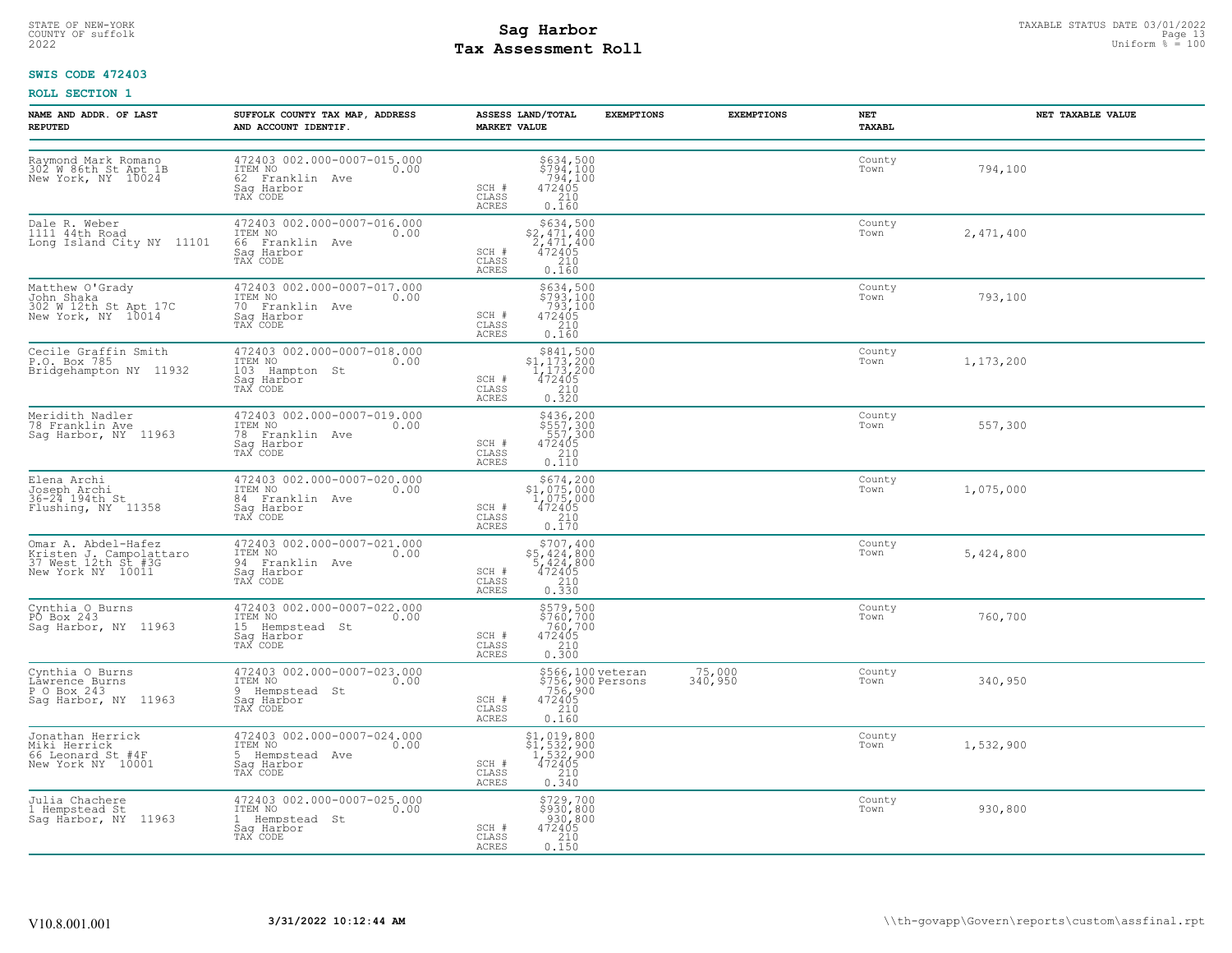# STATE OF NEW-YORK STATUS DATE 03/01/2022<br>
COUNTY OF suffolk Page 13 December 2008 Uniform % = 100<br>
2022 Pay Assessment Roll **Tax Assessment Roll**

# **SWIS CODE 472403**

| NAME AND ADDR. OF LAST<br><b>REPUTED</b>                                                   | SUFFOLK COUNTY TAX MAP, ADDRESS<br>AND ACCOUNT IDENTIF.                                     | ASSESS LAND/TOTAL<br><b>MARKET VALUE</b>                                                                                                                                                                | <b>EXEMPTIONS</b>                                           | <b>EXEMPTIONS</b> | NET<br>TAXABL  | NET TAXABLE VALUE |
|--------------------------------------------------------------------------------------------|---------------------------------------------------------------------------------------------|---------------------------------------------------------------------------------------------------------------------------------------------------------------------------------------------------------|-------------------------------------------------------------|-------------------|----------------|-------------------|
| Raymond Mark Romano<br>302 W 86th St Apt 1B<br>New York, NY 10024                          | 472403 002.000-0007-015.000<br>ITEM NO<br>0.00<br>62 Franklin Ave<br>Saq Harbor<br>TAX CODE | $\begin{array}{c}  \  \  \, 5634 \, , \, 500 \\  \  \, 5794 \, , \, 100 \\  \  \, 794 \, , \, 100 \\  \  \, 472405 \\  \  \, 210 \\  \  \, 0 \, . \, 160 \end{array}$<br>SCH #<br>CLASS<br><b>ACRES</b> |                                                             |                   | County<br>Town | 794,100           |
| Dale R. Weber<br>1111 44th Road<br>Long Island City NY 11101                               | 472403 002.000-0007-016.000<br>ITEM NO<br>0.00<br>66 Franklin Ave<br>Saq Harbor<br>TAX CODE | $\begin{array}{c} $634,500 \\ $2,471,400 \\ $2,471,400 \\ 472405 \end{array}$<br>SCH #<br>CLASS<br>210<br>0.160<br>ACRES                                                                                |                                                             |                   | County<br>Town | 2,471,400         |
| Matthew O'Grady<br>John Shaka<br>302 W 12th St Apt 17C<br>New York, NY 10014               | 472403 002.000-0007-017.000<br>ITEM NO 0.00<br>70 Franklin Ave<br>Saq Harbor<br>TAX CODE    | $$793,100$<br>$$793,100$<br>$$793,100$<br>$472405$<br>$$210$<br>SCH #<br>CLASS<br>ACRES<br>0.160                                                                                                        |                                                             |                   | County<br>Town | 793,100           |
| Cecile Graffin Smith<br>P.O. Box 785<br>Bridgehampton NY 11932                             | 472403 002.000-0007-018.000<br>ITEM NO<br>0.00<br>103 Hampton St<br>Saq Harbor<br>TAX CODE  | $$841,500$<br>$$1,173,200$<br>$1,173,200$<br>$72405$ $0.320$<br>SCH #<br>CLASS<br><b>ACRES</b>                                                                                                          |                                                             |                   | County<br>Town | 1,173,200         |
| Meridith Nadler<br>78 Franklin Ave<br>Sag Harbor, NY 11963                                 | 472403 002.000-0007-019.000<br>ITEM NO<br>0.00<br>78 Franklin Ave<br>Sag Harbor<br>TAX CODE | \$436,200<br>\$557,300<br>557,300<br>472405<br>SCH #<br>$\begin{bmatrix} 210 \\ 0.110 \end{bmatrix}$<br>CLASS<br>ACRES                                                                                  |                                                             |                   | County<br>Town | 557,300           |
| Elena Archi<br>Joseph Archi<br>36-24 194th St<br>Flushing, NY 11358                        | 472403 002.000-0007-020.000<br>ITEM NO<br>0.00<br>84 Franklin Ave<br>Saq Harbor<br>TAX CODE | $\begin{array}{r}  \  \  \,  \, 5674,200\\ 31,075,000\\ 1,075,000\\ 472405\\ 210\\ 0.170 \end{array}$<br>SCH #<br>CLASS<br>ACRES                                                                        |                                                             |                   | County<br>Town | 1,075,000         |
| Omar A. Abdel-Hafez<br>Kristen J. Campolattaro<br>37 West 12th St #3G<br>New York NY 10011 | 472403 002.000-0007-021.000<br>ITEM NO<br>0.00<br>94 Franklin Ave<br>Saq Harbor<br>TAX CODE | \$707,400<br>\$5,424,800<br>5,424,800<br>472405<br>SCH #<br>CLASS<br>$\frac{210}{0.330}$<br>ACRES                                                                                                       |                                                             |                   | County<br>Town | 5,424,800         |
| Cynthia O Burns<br>PO Box 243<br>Saq Harbor, NY 11963                                      | 472403 002.000-0007-022.000<br>ITEM NO<br>0.00<br>15 Hempstead St<br>Saq Harbor<br>TAX CODE | \$579,500<br>\$760,700<br>760,700<br>472405<br>SCH #<br>$\frac{210}{0.300}$<br>CLASS<br><b>ACRES</b>                                                                                                    |                                                             |                   | County<br>Town | 760,700           |
| Cynthia O Burns<br>Lawrence Burns<br>P O Box 243<br>Sag Harbor, NY 11963                   | 472403 002.000-0007-023.000<br>ITEM NO<br>0.00<br>9 Hempstead St<br>Sag Harbor<br>TAX CODE  | SCH #<br>$\begin{array}{c} 210 \\ 0.160 \end{array}$<br>CLASS<br><b>ACRES</b>                                                                                                                           | \$566,100 veteran<br>\$756,900 Persons<br>756,900<br>472405 | 75,000<br>340,950 | County<br>Town | 340,950           |
| Jonathan Herrick<br>Miki Herrick<br>66 Leonard St #4F<br>New York NY 10001                 | 472403 002.000-0007-024.000<br>ITEM NO<br>0.00<br>5 Hempstead Ave<br>Saq Harbor<br>TAX CODE | $$1,019,800$<br>$$1,532,900$<br>$1,532,900$<br>$472405$<br>SCH #<br>CLASS<br>$\begin{array}{c} 210 \\ 0.340 \end{array}$<br>ACRES                                                                       |                                                             |                   | County<br>Town | 1,532,900         |
| Julia Chachere<br>1 Hempstead St<br>Saq Harbor, NY 11963                                   | 472403 002.000-0007-025.000<br>TTEM NO 0.00<br>1 Hempstead St<br>Saq Harbor<br>TAX CODE     | \$729,700<br>\$930,800<br>930,800<br>SCH #<br>472405<br>CLASS<br>0.150<br>ACRES                                                                                                                         |                                                             |                   | County<br>Town | 930,800           |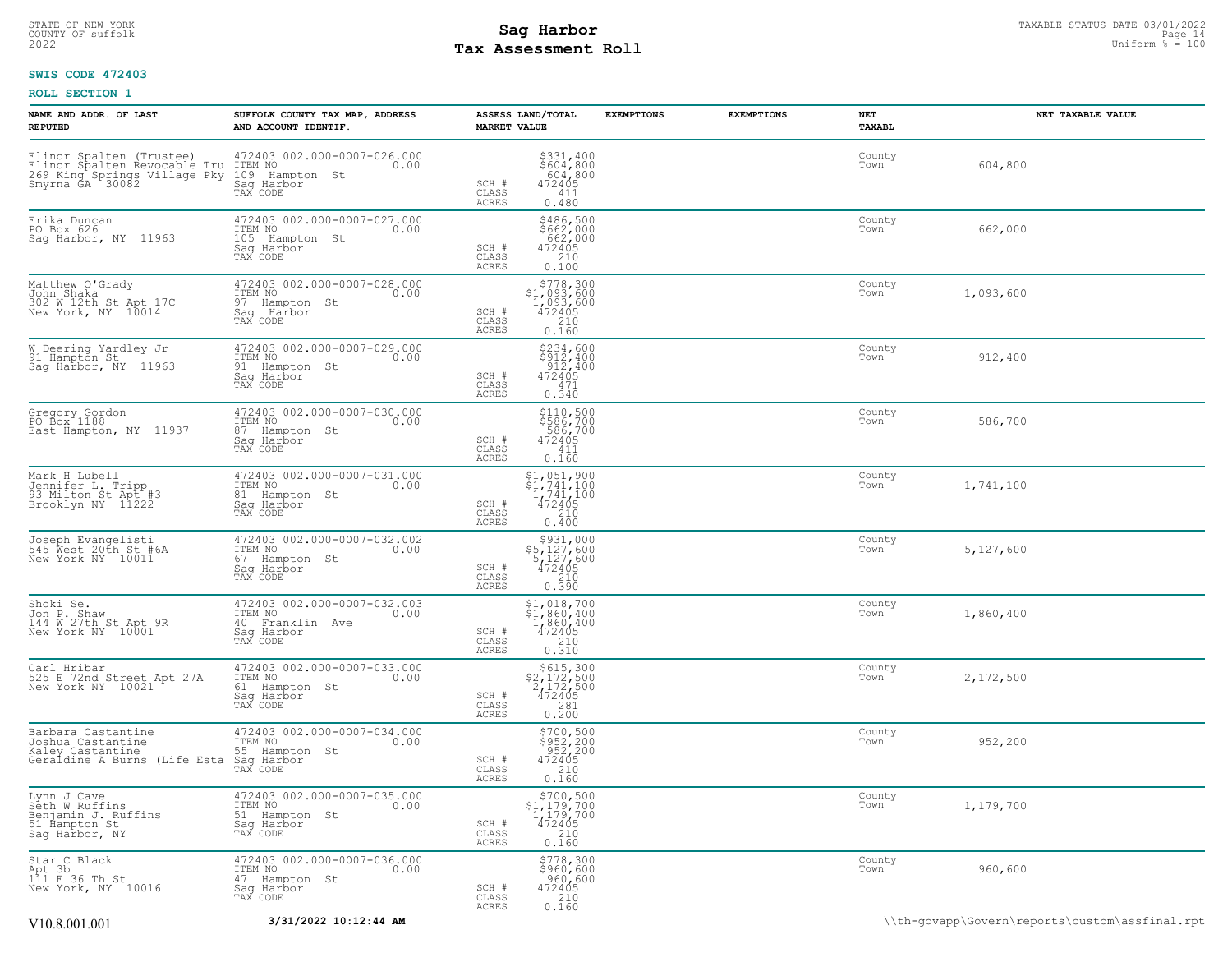# **Tax Assessment Roll Existed Structure 2022** Uniform  $\frac{1}{8}$  = 100

# **SWIS CODE 472403**

| NAME AND ADDR. OF LAST<br><b>REPUTED</b>                                                                                                       | SUFFOLK COUNTY TAX MAP, ADDRESS<br>AND ACCOUNT IDENTIF.                                        | <b>MARKET VALUE</b>                       | ASSESS LAND/TOTAL                                                                                    | <b>EXEMPTIONS</b> | <b>EXEMPTIONS</b> | NET<br>TAXABL  | NET TAXABLE VALUE |
|------------------------------------------------------------------------------------------------------------------------------------------------|------------------------------------------------------------------------------------------------|-------------------------------------------|------------------------------------------------------------------------------------------------------|-------------------|-------------------|----------------|-------------------|
| Elinor Spalten (Trustee) 472403<br>Elinor Spalten Revocable Tru ITEM NO<br>269 King Springs Village Pky 109 Ham<br>Smyrna GA 30082 530 Sag Har | 472403 002.000-0007-026.000<br>0.00<br>109 Hampton St<br>Sag Harbor<br>TAX CODE                | SCH #<br>CLASS<br><b>ACRES</b>            | \$331,400<br>\$604,800<br>604,800<br>472405<br>411<br>0.480                                          |                   |                   | County<br>Town | 604,800           |
| Erika Duncan<br>PO Box 626<br>Saq Harbor, NY 11963                                                                                             | 472403 002.000-0007-027.000<br>ITEM NO<br>0.00<br>105 Hampton St<br>Saq Harbor<br>TAX CODE     | SCH #<br>CLASS<br>ACRES                   | \$486,500<br>\$662,000<br>662,000<br>472405<br>210<br>0.100                                          |                   |                   | County<br>Town | 662,000           |
| Matthew O'Grady<br>John Shaka<br>302 W 12th St Apt 17C<br>New York, NY 10014                                                                   | 472403 002.000-0007-028.000<br>ITEM NO<br>0.00<br>97 Hampton St<br>Saq Harbor<br>TAX CODE      | SCH #<br>CLASS<br>ACRES                   | \$778,300<br>$$1,093,600$<br>1,093,600<br>472405<br>210<br>0.160                                     |                   |                   | County<br>Town | 1,093,600         |
| W Deering Yardley Jr<br>91 Hampton St<br>Sag Harbor, NY 11963                                                                                  | 472403 002.000-0007-029.000<br>TTEM NO 0.00<br>0.00<br>91 Hampton St<br>Saq Harbor<br>TAX CODE | SCH #<br>CLASS<br><b>ACRES</b>            | \$234,600<br>\$912,400<br>912,400<br>472405<br>471<br>0.340                                          |                   |                   | County<br>Town | 912,400           |
| Gregory Gordon<br>PO Box 1188<br>East Hampton, NY 11937                                                                                        | 472403 002.000-0007-030.000<br>ITEM NO<br>0.00<br>87 Hampton St<br>Saq Harbor<br>TAX CODE      | SCH #<br>CLASS<br><b>ACRES</b>            | \$110,500<br>\$586,700<br>586,700<br>472405<br>411<br>0.160                                          |                   |                   | County<br>Town | 586,700           |
| Mark H Lubell<br>Jennifer L. Tripp<br>93 Milton St Apt #3<br>Brooklyn NY 11222                                                                 | 472403 002.000-0007-031.000<br>ITEM NO<br>0.00<br>81 Hampton St<br>Sag Harbor<br>TAX CODE      | SCH #<br>$\mathtt{CLASS}$<br><b>ACRES</b> | \$1,051,900<br>$\begin{array}{r} 41,741,100 \\ 1,741,100 \\ 472405 \\ 240 \end{array}$<br>0.400      |                   |                   | County<br>Town | 1,741,100         |
| Joseph Evangelisti<br>545 West 20th St #6A<br>New York NY 10011                                                                                | 472403 002.000-0007-032.002<br>ITEM NO<br>0.00<br>67 Hampton St<br>Saq Harbor<br>TAX CODE      | SCH #<br>CLASS<br><b>ACRES</b>            | $\begin{array}{r} \xi 931,000\\ \xi 5,127,600\\ 5,127,600\\ 472405\\ 210\\ 0.390 \end{array}$        |                   |                   | County<br>Town | 5,127,600         |
| Shoki Se.<br>Jon P. Shaw<br>144 W 27th St Apt 9R<br>New York NY 10001                                                                          | 472403 002.000-0007-032.003<br>ITEM NO<br>0.00<br>40 Franklin Ave<br>Sag Harbor<br>TAX CODE    | SCH #<br>CLASS<br><b>ACRES</b>            | $\begin{array}{c} $1,018,700 \\ $1,860,400 \\ $1,860,400 \\ $472405 \\ $210 \\ $0.310 \end{array}$   |                   |                   | County<br>Town | 1,860,400         |
| Carl Hribar<br>525 E 72nd Street Apt 27A<br>New York NY 10021                                                                                  | 472403 002.000-0007-033.000<br>ITEM NO<br>0.00<br>61 Hampton St<br>Saq Harbor<br>TAX CODE      | SCH #<br>CLASS<br>ACRES                   | $$615,300$<br>$$2,172,500$<br>$2,172,500$<br>$472405$<br>$\begin{array}{c} 281 \\ 0.200 \end{array}$ |                   |                   | County<br>Town | 2,172,500         |
| Barbara Castanține<br>Joshua Castantine<br>Kaley Castantine<br>Geraldine A Burns (Life Esta                                                    | 472403 002.000-0007-034.000<br>ITEM NO<br>0.00<br>55 Hampton St<br>Saq Harbor<br>TAX CODE      | SCH #<br>CLASS<br>ACRES                   | $$700, 500$<br>$$952, 200$<br>$952, 200$<br>$472405$<br>$210$<br>0.160                               |                   |                   | County<br>Town | 952,200           |
| Lynn J Cave<br>Seth W Ruffins<br>Benjamin J. Ruffins<br>51 Hampton St<br>Sag Harbor, NY                                                        | 472403 002.000-0007-035.000<br>ITEM NO<br>0.00<br>51 Hampton St<br>Saq Harbor<br>TAX CODE      | SCH #<br>CLASS<br><b>ACRES</b>            | $$700,500$<br>$$1,179,700$<br>$1,179,700$<br>$472405$<br>210<br>0.160                                |                   |                   | County<br>Town | 1,179,700         |
| Star C Black<br>Apt 3b<br>Apt 3b<br>111 E 36 Th St<br>New York, NY 10016                                                                       | 472403 002.000-0007-036.000<br>ITEM NO<br>0.00<br>47 Hampton St<br>Saq Harbor<br>TAX CODE      | SCH #<br>CLASS<br>ACRES                   | \$778,300<br>\$960,600<br>960,600<br>472405<br>210<br>0.160                                          |                   |                   | County<br>Town | 960,600           |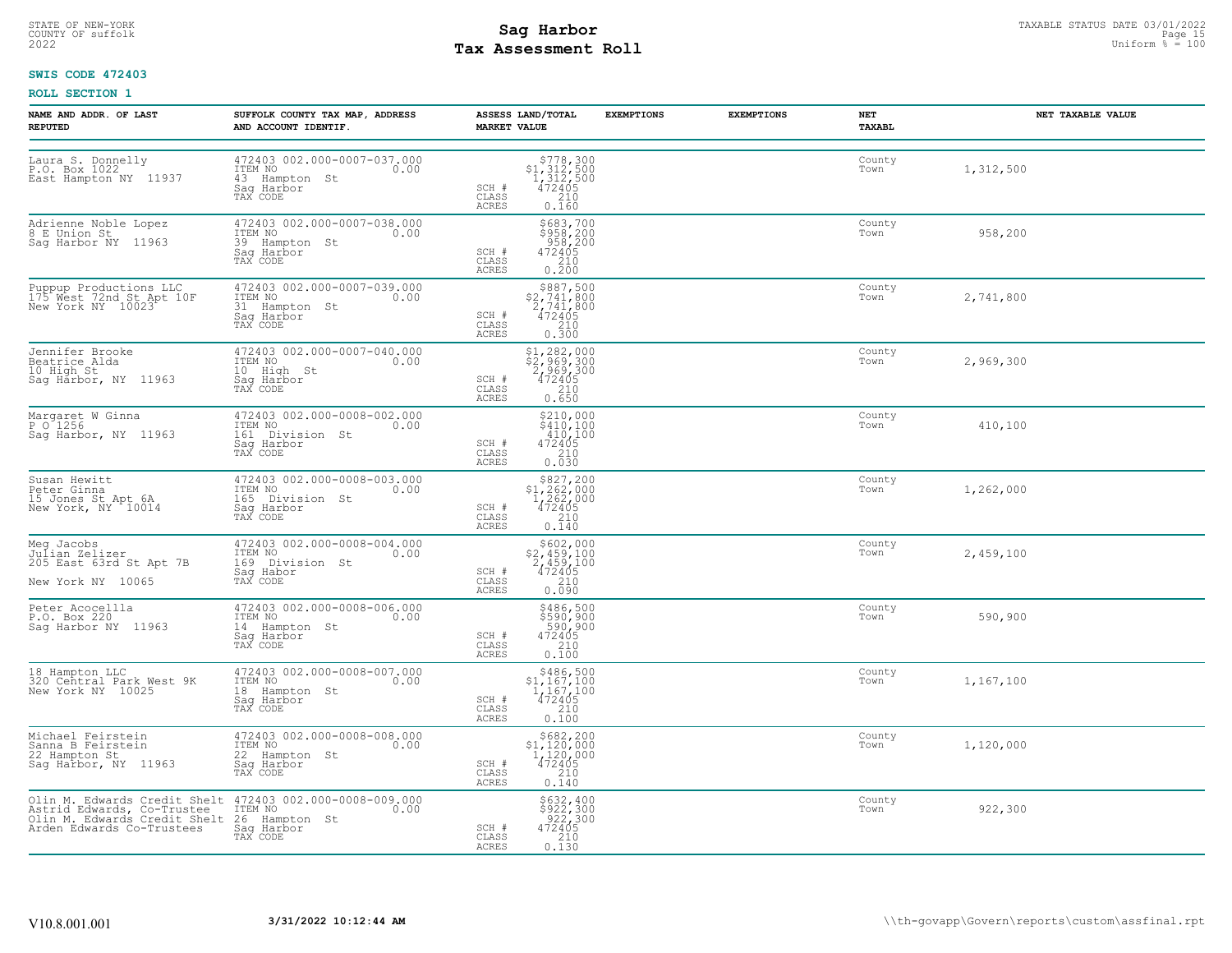# STATE OF NEW-YORK STATUS DATE 03/01/2022<br>
COUNTY OF suffolk Page 15 or the suffolk Page 15 or the suffolk Page 15 or the suffolk Page 15 or the sufform  $\frac{Paq}{r} = 100$ <br>
2022 Mage States States Page 150 and the sufform  $\frac{$ **Tax Assessment Roll**

# **SWIS CODE 472403**

| NAME AND ADDR. OF LAST<br><b>REPUTED</b>                                                   | SUFFOLK COUNTY TAX MAP, ADDRESS<br>AND ACCOUNT IDENTIF.                                                                                                                | ASSESS LAND/TOTAL<br><b>MARKET VALUE</b>                                                                                                                  | <b>EXEMPTIONS</b> | <b>EXEMPTIONS</b> | <b>NET</b><br>TAXABL | NET TAXABLE VALUE |
|--------------------------------------------------------------------------------------------|------------------------------------------------------------------------------------------------------------------------------------------------------------------------|-----------------------------------------------------------------------------------------------------------------------------------------------------------|-------------------|-------------------|----------------------|-------------------|
| Laura S. Donnelly<br>P.O. Box 1022<br>East Hampton NY 11937                                | 472403 002.000-0007-037.000<br>TTEM NO<br>43 Hampton St<br>Sag Harbor<br>TAX CODE                                                                                      | $$778,300$<br>$$1,312,500$<br>$1,312,500$<br>$472405$<br>SCH #<br>CLASS<br>$\begin{bmatrix} 210 \\ 0.160 \end{bmatrix}$<br>ACRES                          |                   |                   | County<br>Town       | 1,312,500         |
| Adrienne Noble Lopez<br>8 E Union St<br>Saq Harbor NY 11963                                | 472403 002.000-0007-038.000<br>ITEM NO 0.00<br>39 Hampton St<br>Saq Harbor<br>TAX CODE                                                                                 | \$683,700<br>\$958,200<br>958,200<br>472405<br>SCH #<br>$\begin{bmatrix} 210 \\ 0.200 \end{bmatrix}$<br>CLASS<br>ACRES                                    |                   |                   | County<br>Town       | 958,200           |
| Puppup Productions LLC<br>175 West 72nd St Apt 10F<br>New York NY 10023                    | 472403 002.000-0007-039.000<br>ITEM NO 0.00<br>31 Hampton St<br>Saq Harbor<br>TAX CODE                                                                                 | $\begin{array}{r} $887,500 \\ $2,741,800 \\ 2,741,800 \\ 472405 \\ 210 \\ 0.300 \\ \hline \end{array}$<br>SCH #<br>CLASS<br>ACRES                         |                   |                   | County<br>Town       | 2,741,800         |
| Jennifer Brooke<br>Beatrice Alda<br>10 High St<br>Sag Harbor, NY 11963                     | 472403 002.000-0007-040.000<br>ITEM NO<br>10 High St 0.00<br>Sag Harbor<br>TAX CODE                                                                                    | \$1,282,000<br>\$2,969,300<br>2,969,300<br>472405<br>SCH #<br>CLASS<br>210<br><b>ACRES</b><br>0.650                                                       |                   |                   | County<br>Town       | 2,969,300         |
| Margaret W Ginna<br>P O 1256<br>Sag Harbor, NY 11963                                       | 472403 002.000-0008-002.000<br>ITEM NO 0.00<br>161 Division St<br>Sag Harbor<br>TAX CODE                                                                               | $$210,000$<br>$$410,100$<br>$410,100$<br>SCH #<br>472405<br>210<br>CLASS<br>0.030<br>ACRES                                                                |                   |                   | County<br>Town       | 410,100           |
| Susan Hewitt<br>Peter Ginna<br>15 Jones St Apt 6A<br>New York, NY 10014                    | $472403002.000-0008-003.000$<br>ITEM NO 0.00<br>165 Division St<br>Saq Harbor<br>TAX CODE                                                                              | $\begin{array}{c} $827,200 \\ $1,262,000 \\ $1,262,000 \\ $472405 \end{array}$<br>SCH #<br>CLASS<br>$\begin{bmatrix} 210 \\ 0.140 \end{bmatrix}$<br>ACRES |                   |                   | County<br>Town       | 1,262,000         |
| Meg Jacobs<br>Meg Jacobs<br>Julian Zelizer<br>205 East 63rd St Apt 7B<br>New York NY 10065 | 472403 002.000-0008-004.000<br>ITEM NO 0.00<br>169 Division St<br>Saq Habor<br>TAX CODE                                                                                | $$602,000$<br>$$2,459,100$<br>$2,459,100$<br>$472405$<br>$$210$<br>SCH #<br>CLASS<br>0.090<br>ACRES                                                       |                   |                   | County<br>Town       | 2,459,100         |
| Peter Acocellla<br>P.O. Box 220<br>Sag Harbor NY 11963                                     | 472403 002.000-0008-006.000<br>ITEM NO 0.00<br>112m No<br>14 Hampton St<br>Sag Harbor<br>TAX CODE                                                                      | $$486,500$<br>$$590,900$<br>$$590,900$<br>$472405$<br>$$210$<br>SCH #<br>CLASS<br>0.100<br>ACRES                                                          |                   |                   | County<br>Town       | 590,900           |
| 18 Hampton LLC<br>320 Central Park West 9K<br>New York NY 10025                            | 472403 002.000-0008-007.000<br>ITEM NO 0.00<br>18 Hampton St<br>Sag Harbor<br>TAX CODE                                                                                 | $$486,500$<br>$$1,167,100$<br>$1,167,100$<br>$472405$<br>$$210$<br>$SCH$ $#$<br>CLASS<br>ACRES<br>0.100                                                   |                   |                   | County<br>Town       | 1,167,100         |
| Michael Feirstein<br>Sanna B Feirstein<br>22 Hampton St<br>Sag Harbor, NY 11963            | 472403 002.000-0008-008.000<br>ITEM NO 0.00<br>22 Hampton St<br>Saq Harbor<br>TAX CODE                                                                                 | $\begin{array}{r}  \  \  \,  \, 5682,200\\ 31,120,000\\ 1,120,000\\ 472405\\ 210\\ 0.140 \end{array}$<br>SCH #<br>CLASS<br>ACRES                          |                   |                   | County<br>Town       | 1,120,000         |
| Arden Edwards Co-Trustees                                                                  | Olin M. Edwards Credit Shelt 472403 002.000-0008-009.000<br>Astrid Edwards, Co-Trustee ITEM NO<br>Olin M. Edwards Credit Shelt 26 Hampton St<br>Saq Harbor<br>TAX CODE | \$632,400<br>\$922,300<br>922,300<br>472405<br>SCH #<br>CLASS<br>0.130<br>ACRES                                                                           |                   |                   | County<br>Town       | 922,300           |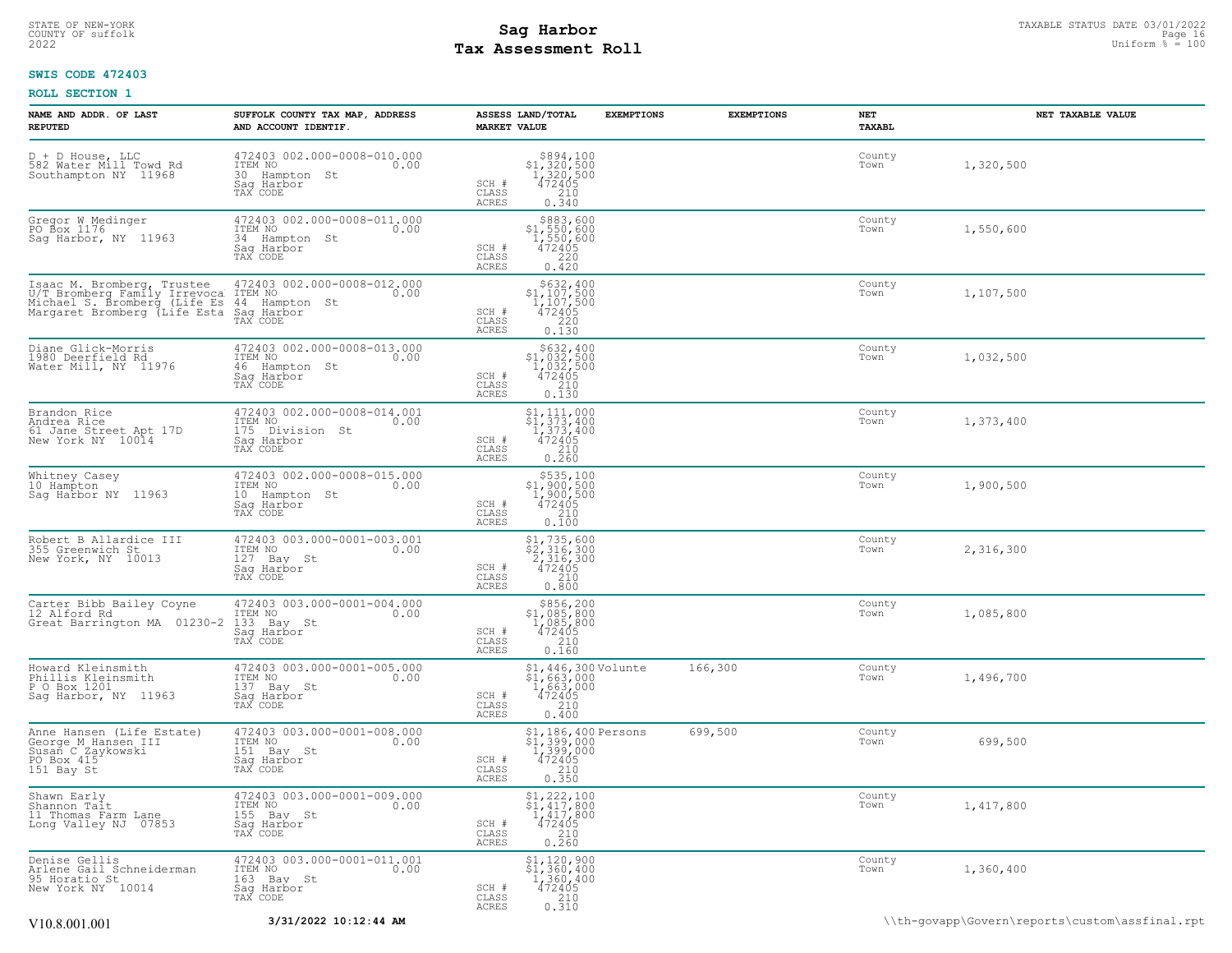# STATE OF NEW-YORK STATUS DATE 03/01/2022<br>
COUNTY OF suffolk Page 16 (2007)<br>
2022 Pay Assessment Roll **Tax Assessment Roll**

# **SWIS CODE 472403**

| NAME AND ADDR. OF LAST<br><b>REPUTED</b>                                                                                           | SUFFOLK COUNTY TAX MAP, ADDRESS<br>AND ACCOUNT IDENTIF.                                        | <b>MARKET VALUE</b>     | ASSESS LAND/TOTAL                                                                                                                                                                         | <b>EXEMPTIONS</b> | <b>EXEMPTIONS</b> | NET<br>TAXABL  | NET TAXABLE VALUE                              |
|------------------------------------------------------------------------------------------------------------------------------------|------------------------------------------------------------------------------------------------|-------------------------|-------------------------------------------------------------------------------------------------------------------------------------------------------------------------------------------|-------------------|-------------------|----------------|------------------------------------------------|
| D + D House, LLC<br>582 Water Mill Towd Rd<br>Southampton NY 11968                                                                 | 472403 002.000-0008-010.000<br>ITEM NO<br>0.00<br>30 Hampton St<br>Saq Harbor<br>TAX CODE      | SCH #<br>CLASS<br>ACRES | $\begin{array}{r} $894,100 \\ $1,320,500 \\ $1,320,500 \\ $472405 \\ $210 \\ $0.340 \end{array}$                                                                                          |                   |                   | County<br>Town | 1,320,500                                      |
| Gregor W Medinger<br>PO Box 1176<br>Sag Harbor, NY 11963                                                                           | 472403 002.000-0008-011.000<br>ITEM NO<br>0.00<br>34 Hampton St<br>Sag Harbor<br>TAX CODE      | SCH #<br>CLASS<br>ACRES | \$883,600<br>\$1,550,600<br>1,550,600<br>$472405$<br>220<br>0.420                                                                                                                         |                   |                   | County<br>Town | 1,550,600                                      |
| Isaac M. Bromberg, Trustee<br>U/T Bromberg Family Irrevoca ITEM NO<br>Michael S. Bromberg (Life Es<br>Margaret Bromberg (Life Esta | 472403 002.000-0008-012.000<br>0.00<br>44 Hampton St<br>Saq Harbor<br>TAX CODE                 | SCH #<br>CLASS<br>ACRES | \$632,400<br>$51,107,500\n1,107,500\n472405\n220\n0.130$                                                                                                                                  |                   |                   | County<br>Town | 1,107,500                                      |
| Diane Glick-Morris<br>1980 Deerfield Rd<br>Water Mill, NY 11976                                                                    | 472403 002.000-0008-013.000<br>ITEM NO 0.00<br>0.00<br>46 Hampton St<br>Saq Harbor<br>TAX CODE | SCH #<br>CLASS<br>ACRES | $\begin{array}{r}  \  \  \, 5632, 400 \\  \  1, 032, 500 \\  \  1, 032, 500 \\ 472405 \\  \  \  \, 210 \\  \  \, 0.130 \end{array}$                                                       |                   |                   | County<br>Town | 1,032,500                                      |
| Brandon Rice<br>Andrea Rice<br>61 Jane Street Apt 17D<br>New York NY 10014                                                         | 472403 002.000-0008-014.001<br>1TEM NO 0.00<br>175 Division St<br>Saq Harbor<br>TAX CODE       | SCH #<br>CLASS<br>ACRES | \$1,111,000<br>\$1,373,400<br>1,373,400<br>472405<br>0.260                                                                                                                                |                   |                   | County<br>Town | 1,373,400                                      |
| Whitney Casey<br>10 Hampton<br>Sag Harbor NY 11963                                                                                 | 472403 002.000-0008-015.000<br>ITEM NO<br>0.00<br>10 Hampton St<br>Sag Harbor<br>TAX CODE      | SCH #<br>CLASS<br>ACRES | $\begin{array}{c} $535,100 \\ $1,900,500 \\ $1,900,500 \\ $472405 \end{array}$<br>210<br>0.100                                                                                            |                   |                   | County<br>Town | 1,900,500                                      |
| Robert B Allardice III<br>355 Greenwich St<br>New York, NY 10013                                                                   | 472403 003.000-0001-003.001<br>ITEM NO<br>0.00<br>127 Bay St<br>Saq Harbor<br>TAX CODE         | SCH #<br>CLASS<br>ACRES | \$1,735,600<br>\$2,316,300<br>2,316,300<br>472405<br>210<br>0.800                                                                                                                         |                   |                   | County<br>Town | 2,316,300                                      |
| Carter Bibb Bailey Coyne<br>12 Alford Rd<br>Great Barrington MA 01230-2                                                            | 472403 003.000-0001-004.000<br>ITEM NO<br>0.00<br>133 Bay St<br>Saq Harbor<br>TAX CODE         | SCH #<br>CLASS<br>ACRES | $\begin{array}{c} $856,200 \\ $1,085,800 \\ $1,085,800 \\ $472405 \end{array}$<br>$\frac{210}{0.160}$                                                                                     |                   |                   | County<br>Town | 1,085,800                                      |
| Howard Kleinsmith<br>Phillis Kleinsmith<br>P O Box 1201<br>Sag Harbor, NY 11963                                                    | 472403 003.000-0001-005.000<br>ITEM NO<br>0.00<br>137 Bay St<br>Sag Harbor<br>TAX CODE         | SCH #<br>CLASS<br>ACRES | \$1,446,300 Volunte<br>$$1,663,000$<br>$1,663,000$<br>$472405$<br>210<br>0.400                                                                                                            |                   | 166,300           | County<br>Town | 1,496,700                                      |
| Anne Hansen (Life Estate)<br>George M Hansen III<br>Susan C Zaykowski<br>PO Box 415<br>151 Bay St                                  | 472403 003.000-0001-008.000<br>ITEM NO<br>0.00<br>151 Bay St<br>Saq Harbor<br>TAX CODE         | SCH #<br>CLASS<br>ACRES | \$1,186,400 Persons<br>$\frac{51}{1}$ , 399, 000<br>1, 399, 000<br>472405<br>$\frac{210}{0.350}$                                                                                          |                   | 699,500           | County<br>Town | 699,500                                        |
| Shawn Early<br>Shannon Tait<br>11 Thomas Farm Lane<br>Long Valley NJ 07853                                                         | 472403 003.000-0001-009.000<br>TTEM NO 0.00<br>0.00<br>155 Bay St<br>Saq Harbor<br>TAX CODE    | SCH #<br>CLASS<br>ACRES | $\begin{array}{c} \text{\small $\$1,222,100$}\\ \text{\small $\$1,417,800$}\\ \text{\small $1,417,800$}\\ \text{\small $472405$}\\ \text{\small $210$}\\ \text{\small 0.260} \end{array}$ |                   |                   | County<br>Town | 1,417,800                                      |
| Denise Gellis<br>Arlene Gail Schneiderman<br>95 Horatio St<br>New York NY 10014                                                    | 472403 003.000-0001-011.001<br>ITEM NO<br>0.00<br>163 Bay St<br>Saq Harbor<br>TAX CODE         | SCH #<br>CLASS<br>ACRES | $$1,120,900$<br>$$1,360,400$<br>$1,360,400$<br>$472405$<br>$\frac{210}{0.310}$                                                                                                            |                   |                   | County<br>Town | 1,360,400                                      |
| V10.8.001.001                                                                                                                      | 3/31/2022 10:12:44 AM                                                                          |                         |                                                                                                                                                                                           |                   |                   |                | \\th-govapp\Govern\reports\custom\assfinal.rpt |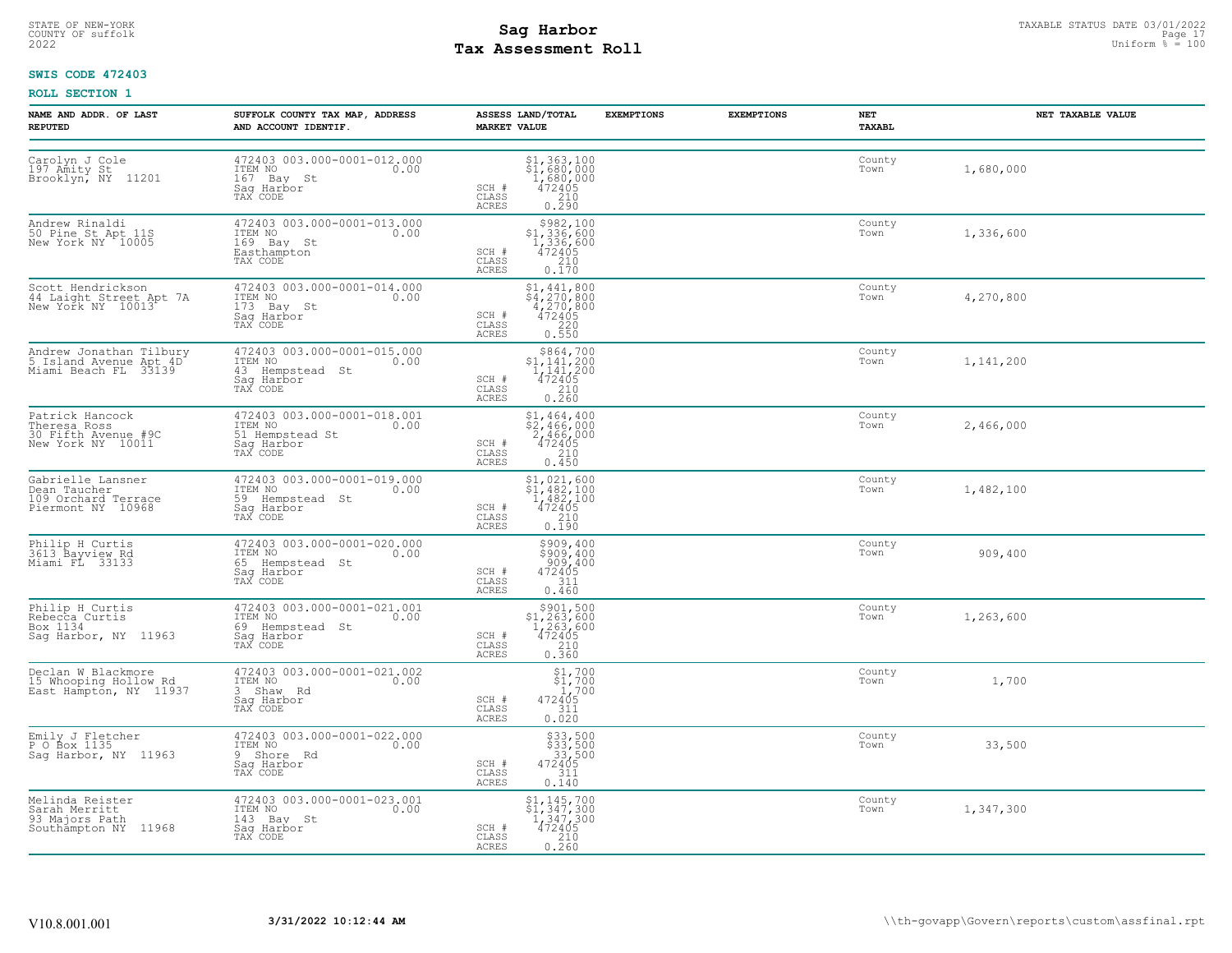# STATE OF NEW-YORK STATUS DATE 03/01/2022<br>
COUNTY OF suffolk Page 17 and the suffolk Page 17<br>
2022 Pay Assessment Roll **Tax Assessment Roll**

# **SWIS CODE 472403**

| <b>NAME AND ADDR. OF LAST</b><br><b>REPUTED</b>                               | SUFFOLK COUNTY TAX MAP, ADDRESS<br>AND ACCOUNT IDENTIF.                                     | <b>EXEMPTIONS</b><br>ASSESS LAND/TOTAL<br><b>MARKET VALUE</b>                                                                                             | <b>EXEMPTIONS</b><br>NET<br>TAXABL | NET TAXABLE VALUE |
|-------------------------------------------------------------------------------|---------------------------------------------------------------------------------------------|-----------------------------------------------------------------------------------------------------------------------------------------------------------|------------------------------------|-------------------|
| Carolyn J Cole<br>197 Amity St<br>Brooklyn, NY 11201                          | 472403 003.000-0001-012.000<br>ITEM NO<br>0.00<br>167 Bay St<br>Sag Harbor<br>TAX CODE      | $$1,363,100$<br>$$1,680,000$<br>1,ĕĕŏ,ŏŏŏ<br>472405<br>SCH #<br>$\begin{array}{c} 210 \\ 0.290 \end{array}$<br>CLASS<br>ACRES                             | County<br>Town                     | 1,680,000         |
| Andrew Rinaldi<br>50 Pine St Apt 11S<br>New York NY 10005                     | 472403 003.000-0001-013.000<br>ITEM NO<br>0.00<br>169 Bay St<br>Easthampton<br>TAX CODE     | \$982,100<br>$$^{992}_{1,336,600}$<br>1,336,600<br>472405<br>210<br>0.170<br>SCH #<br>CLASS<br>ACRES                                                      | County<br>Town                     | 1,336,600         |
| Scott Hendrickson<br>44 Laight Street Apt 7A<br>New York NY 10013             | 472403 003.000-0001-014.000<br>ITEM NO<br>0.00<br>173 Bay St<br>Saq Harbor<br>TAX CODE      | $$4,441,800$<br>$$4,270,800$<br>$4,270,800$<br>$472405$<br>SCH #<br>CLASS<br>0.550<br><b>ACRES</b>                                                        | County<br>Town                     | 4,270,800         |
| Andrew Jonathan Tilbury<br>5 Island Avenue Apt 4D<br>Miami Beach FL 33139     | 472403 003.000-0001-015.000<br>ITEM NO<br>0.00<br>43 Hempstead St<br>Sag Harbor<br>TAX CODE | $5864, 700$<br>$1, 141, 200$<br>$472405$<br>$210$<br>SCH #<br>CLASS<br>ACRES<br>0.260                                                                     | County<br>Town                     | 1,141,200         |
| Patrick Hancock<br>Theresa Ross<br>30 Fifth Avenue #9C<br>New York NY 10011   | 472403 003.000-0001-018.001<br>ITEM NO<br>0.00<br>51 Hempstead St<br>Sag Harbor<br>TAX CODE | $$1,464,400$<br>$$2,466,000$<br>$2,466,000$<br>$472405$<br>SCH #<br>210<br>CLASS<br>0.450<br><b>ACRES</b>                                                 | County<br>Town                     | 2,466,000         |
| Gabrielle Lansner<br>Dean Taucher<br>109 Orchard Terrace<br>Piermont NY 10968 | 472403 003.000-0001-019.000<br>ITEM NO 0.00<br>59 Hempstead St<br>Saq Harbor<br>TAX CODE    | \$1,021,600<br>$\begin{array}{c} 51,482,100 \\ 1,482,100 \\ 472405 \end{array}$<br>SCH #<br>CLASS<br>$\begin{array}{c} 210 \\ 0.190 \end{array}$<br>ACRES | County<br>Town                     | 1,482,100         |
| Philip H Curtis<br>3613 Bayview Rd<br>Miami FL 33133                          | 472403 003.000-0001-020.000<br>ITEM NO<br>0.00<br>65 Hempstead St<br>Saq Harbor<br>TAX CODE | \$909,400<br>3909,400<br>$\frac{909,400}{472405}$<br>SCH #<br>CLASS<br>ACRES<br>0.460                                                                     | County<br>Town                     | 909,400           |
| Philip H Curtis<br>Rebecca Curtis<br>Box 1134<br>Saq Harbor, NY 11963         | 472403 003.000-0001-021.001<br>ITEM NO<br>0.00<br>69 Hempstead St<br>Saq Harbor<br>TAX CODE | $\begin{array}{r} \xi 901, 500 \\ \xi 1, 263, 600 \\ 1, 263, 600 \\ 472405 \\ 210 \\ 0.360 \end{array}$<br>SCH #<br>CLASS<br><b>ACRES</b>                 | County<br>Town                     | 1,263,600         |
| Declan W Blackmore<br>15 Whooping Hollow Rd<br>East Hampton, NY 11937         | 472403 003.000-0001-021.002<br>ITEM NO<br>0.00<br>3 Shaw Rd<br>Sag Harbor<br>TAX CODE       | $\begin{array}{r} 51,700 \\ 51,700 \\ 1,700 \\ 472405 \end{array}$<br>SCH #<br>CLASS<br>311<br>ACRES<br>0.020                                             | County<br>Town                     | 1,700             |
| Emily J Fletcher<br>P O Box 1135<br>Sag Harbor, NY 11963                      | 472403 003.000-0001-022.000<br>ITEM NO<br>0.00<br>9 Shore Rd<br>Saq Harbor<br>TAX CODE      | \$33,500<br>\$33,500<br>33,500<br>472405<br>SCH #<br>CLASS<br>$\begin{array}{c} 311 \\ 0.140 \end{array}$<br><b>ACRES</b>                                 | County<br>Town                     | 33,500            |
| Melinda Reister<br>Sarah Merritt<br>93 Majors Path<br>Southampton NY 11968    | 472403 003.000-0001-023.001<br>ITEM NO 0.00<br>143 Bay St<br>Saq Harbor<br>TAX CODE         | $$1, 145, 700$<br>$$1, 347, 300$<br>$1, 347, 300$<br>$472405$<br>SCH #<br>CLASS<br>$0.210$<br>$0.260$<br>ACRES                                            | County<br>Town                     | 1,347,300         |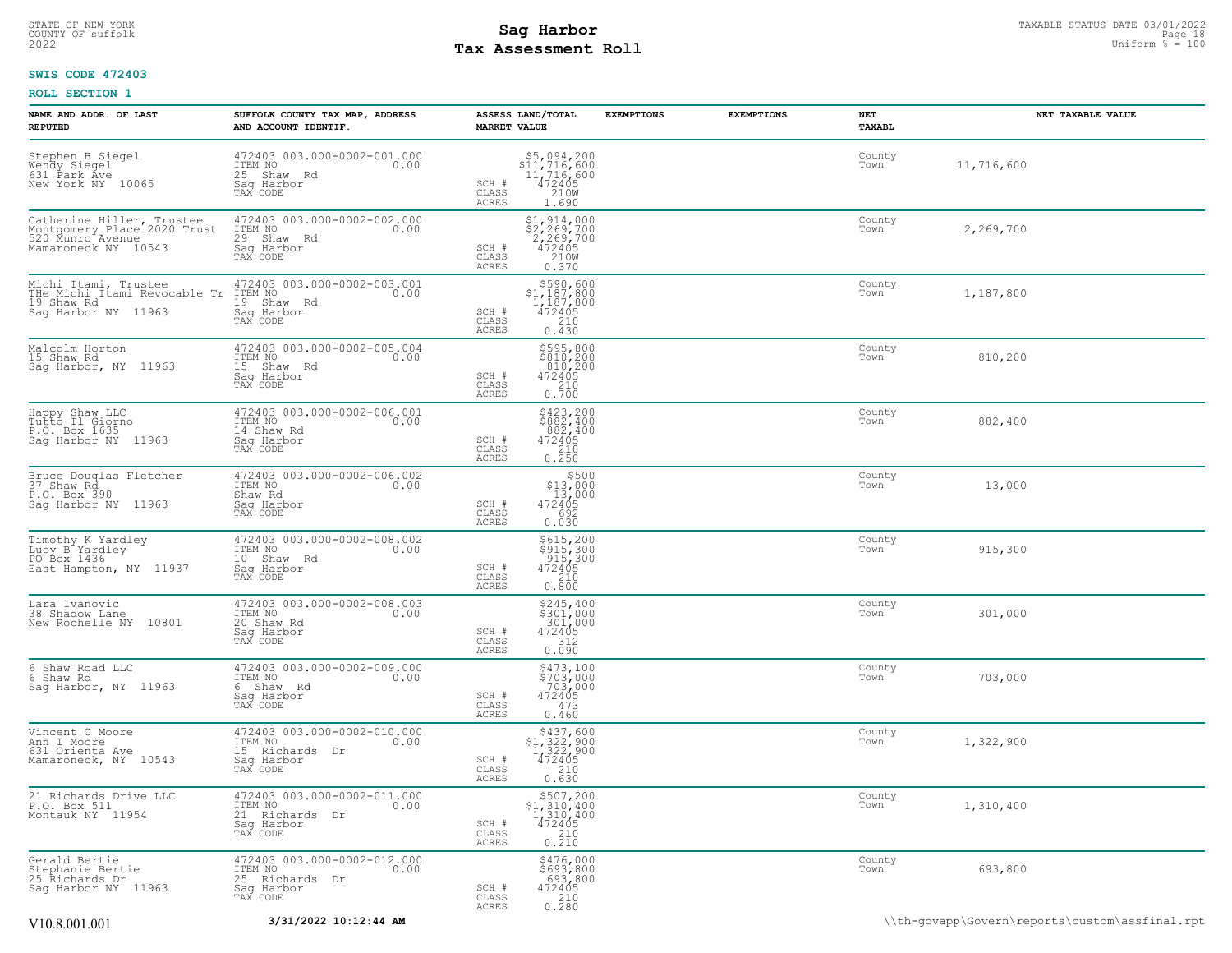# **Tax Assessment Roll Existed Structure 2022** Uniform  $\frac{1}{8}$  = 100

# **SWIS CODE 472403**

| NAME AND ADDR. OF LAST<br><b>REPUTED</b>                                                                                               | SUFFOLK COUNTY TAX MAP, ADDRESS<br>AND ACCOUNT IDENTIF.                                                                                      | ASSESS LAND/TOTAL<br><b>MARKET VALUE</b>                                                                                                                                              | <b>EXEMPTIONS</b> | <b>EXEMPTIONS</b> | NET<br>TAXABL  | NET TAXABLE VALUE |
|----------------------------------------------------------------------------------------------------------------------------------------|----------------------------------------------------------------------------------------------------------------------------------------------|---------------------------------------------------------------------------------------------------------------------------------------------------------------------------------------|-------------------|-------------------|----------------|-------------------|
| Stephen B Siegel<br>Wendy Siegel<br>631 Park Áve<br>New York NY 10065                                                                  | 472403 003.000-0002-001.000<br>ITEM NO<br>25 Shaw Rd<br>Sag Harbor<br>TAX CODE                                                               | $$5,094,200$<br>$$11,716,600$<br>$11,716,600$<br>$472405$<br>$100$<br>SCH #<br>CLASS<br><b>ACRES</b><br>1.690                                                                         |                   |                   | County<br>Town | 11,716,600        |
| Catherine Hiller, Trustee<br>Montgomery Place 2020 Trust<br>520 Munro Avenue<br>Mamaroneck NY 10543                                    | 472403 003.000-0002-002.000<br>TTEM NO<br>29 Shaw Rd<br>Sag Harbor<br>TAX CODE<br>0.00                                                       | \$1, 914, 000<br>$\begin{array}{c}\n\xi_2^2, \xi_6^3, 700 \\ \xi_2^2, 269, 700 \\ 472405 \\ \xi_2^2, 200 \\ \xi_1^2, \xi_2^3\n\end{array}$<br>SCH #<br>CLASS<br>0.370<br><b>ACRES</b> |                   |                   | County<br>Town | 2,269,700         |
| Michi Itami, Trustee<br>FIE Michi Itami Revocable Tr ITEM NO<br>19 Shaw Rd<br>19 Shaw Rd<br>Sag Harbor NY 11963 Sag Harbor<br>TAX CODE | 472403 003.000-0002-003.001<br>0.00                                                                                                          | $\begin{array}{r} 5590, 600 \\ 51, 187, 800 \\ 1, 187, 800 \\ 472405 \\ 210 \end{array}$<br>SCH #<br>CLASS<br>ACRES<br>0.430                                                          |                   |                   | County<br>Town | 1,187,800         |
| Malcolm Horton<br>15 Shaw Rd<br>Saq Harbor, NY 11963                                                                                   | 472403 003.000-0002-005.004<br>ITEM NO<br>15 Shaw Rd<br>Saq Harbor<br>TAX CODE<br>0.00                                                       | \$595,800<br>\$810,200<br>810,200<br>472405<br>210<br>0.700<br>SCH #<br>CLASS<br>ACRES                                                                                                |                   |                   | County<br>Town | 810,200           |
| Happy Shaw LLC<br>Tutto Il Giorno<br>P.O. Box 1635<br>Sag Harbor NY 11963                                                              | 472403 003.000-0002-006.001<br>ITEM NO<br>0.00<br>14 Shaw Rd<br>Saq Harbor<br>TAX CODE                                                       | $\begin{array}{c} 5423, 200 \\ 5882, 400 \\ 882, 400 \\ 472405 \\ 210 \\ 0.250 \end{array}$<br>SCH #<br>CLASS<br>ACRES                                                                |                   |                   | County<br>Town | 882,400           |
| Bruce Douglas Fletcher<br>37 Shaw Rd<br>P.O. Box 390<br>Saq Harbor NY 11963                                                            | 472403 003.000-0002-006.002<br>ITEM NO<br>0.00<br>Shaw Rd<br>Sag Harbor<br>TAX CODE                                                          | \$500<br>\$13,000<br>13,000<br>472405<br>SCH #<br>CLASS<br>0.030<br>ACRES                                                                                                             |                   |                   | County<br>Town | 13,000            |
| Timothy K Yardley<br>Lucy B Yardley<br>PO Box 1436<br>East Hampton, NY 11937                                                           | 472403 003.000-0002-008.002<br>ITEM NO<br>0.00<br>10 Shaw Rd<br>Saq Harbor<br>TAX CODE                                                       | \$615,200<br>\$915,300<br>915,300<br>472405<br>SCH #<br>CLASS<br>210<br>0.800<br>ACRES                                                                                                |                   |                   | County<br>Town | 915,300           |
| Lara Ivanovic<br>38 Shadow Lane<br>New Rochelle NY 10801                                                                               | $\begin{array}{cccc}\n472403 & 003.000 - 0002 - 008.003 \\ \text{ITEM NO} & & & & 0.00\n\end{array}$<br>20 Shaw Rd<br>Saq Harbor<br>TAX CODE | $$245, 400$<br>$$301, 000$<br>$301, 000$<br>$472405$<br>SCH #<br>CLASS<br>312<br>ACRES<br>0.090                                                                                       |                   |                   | County<br>Town | 301,000           |
| 6 Shaw Road LLC<br>6 Shaw Rd<br>Saq Harbor, NY 11963                                                                                   | 472403 003.000-0002-009.000<br>ITEM NO<br>0.00<br>6 Shaw Rd<br>Sag Harbor<br>TAX CODE                                                        | $$473,100$<br>$$703,000$<br>$703,000$<br>$472405$<br>$473$<br>SCH #<br>CLASS<br><b>ACRES</b><br>0.460                                                                                 |                   |                   | County<br>Town | 703,000           |
| Vincent C Moore<br>Ann I Moore<br>631 Orienta Ave<br>Mamaroneck, NY 10543                                                              | 472403 003.000-0002-010.000<br>ITEM NO<br>0.00<br>15 Richards Dr<br>Sag Harbor<br>TAX CODE                                                   | \$437,600<br>$$1,322,900$<br>1,322,900<br>472405<br>210<br>SCH #<br>$\mathtt{CLASS}$<br>0.630<br>ACRES                                                                                |                   |                   | County<br>Town | 1,322,900         |
| 21 Richards Drive LLC<br>P.O. Box 511<br>Montauk NY 11954                                                                              | 472403 003.000-0002-011.000<br>ITEM NO<br>0.00<br>21 Richards Dr<br>Sag Harbor<br>TAX CODE                                                   | \$507,200<br>\$1,310,400<br>$1,310,400$<br>$472405$<br>$210$<br>0.210<br>SCH #<br>CLASS<br><b>ACRES</b>                                                                               |                   |                   | County<br>Town | 1,310,400         |
| Gerald Bertie<br>Stephanie Bertie<br>25 Richards Dr<br>Sag Harbor NY 11963                                                             | 472403 003.000-0002-012.000<br>1TEM NO 0.00<br>0.00<br>25 Richards Dr<br>Saq Harbor<br>TAX CODE                                              | \$476,000<br>\$693,800<br>693,800<br>472405<br>SCH #<br>CLASS<br>$\frac{210}{0.280}$<br>ACRES                                                                                         |                   |                   | County<br>Town | 693,800           |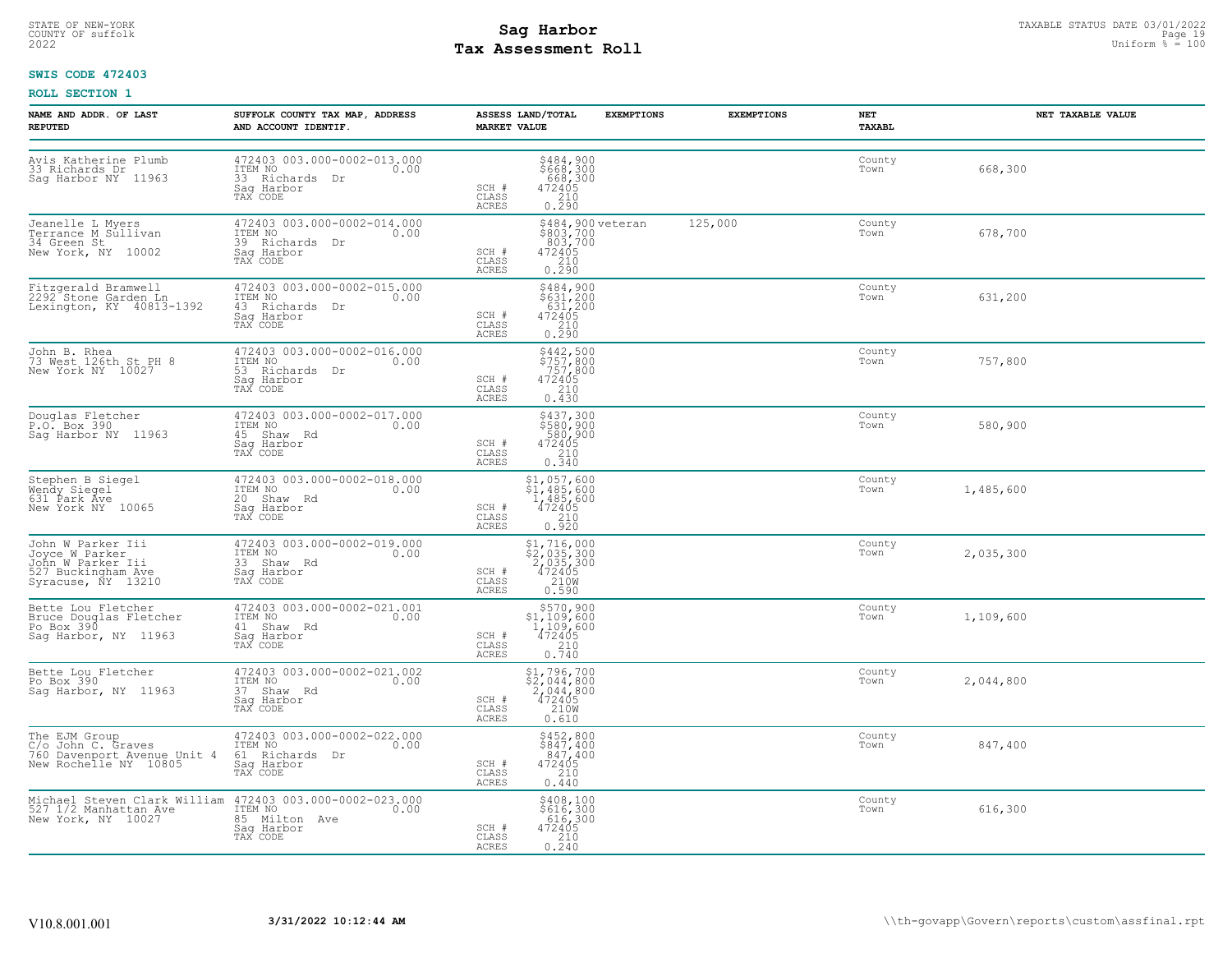# **Tax Assessment Roll Existed Structure 2022** Uniform  $\frac{1}{8}$  = 100

# **SWIS CODE 472403**

| NAME AND ADDR. OF LAST<br><b>REPUTED</b>                                                                                                                | SUFFOLK COUNTY TAX MAP, ADDRESS<br>AND ACCOUNT IDENTIF.                                                                                  | ASSESS LAND/TOTAL<br><b>MARKET VALUE</b>                                                                                | <b>EXEMPTIONS</b><br><b>EXEMPTIONS</b> | NET<br>TAXABL  | NET TAXABLE VALUE |
|---------------------------------------------------------------------------------------------------------------------------------------------------------|------------------------------------------------------------------------------------------------------------------------------------------|-------------------------------------------------------------------------------------------------------------------------|----------------------------------------|----------------|-------------------|
| Avis Katherine Plumb<br>33 Richards Dr<br>Sag Harbor NY 11963                                                                                           | 472403 003.000-0002-013.000<br>ITEM NO 0.00<br>33 Richards Dr<br>Sag Harbor<br>TAX CODE                                                  | \$484,900<br>\$668,300<br>668,300<br>472405<br>210<br>0.290<br>SCH #<br>CLASS<br>ACRES                                  |                                        | County<br>Town | 668,300           |
| Jeanelle L Myers<br>Terrance M Sullivan<br>34 Green St. 10000<br>New York, NY 10002                                                                     | 472403 003.000-0002-014.000<br>ITEM NO 0.00<br>39 Richards Dr<br>Saq Harbor<br>TAX CODE                                                  | \$484,900 veteran<br>\$803,700<br>803,700<br>472405<br>2300<br>SCH #<br>CLASS<br>0.290<br>ACRES                         | 125,000                                | County<br>Town | 678,700           |
| Fitzgerald Bramwell<br>2292 Stone Garden Ln<br>Lexington, KY 40813-1392                                                                                 | 472403 003.000-0002-015.000<br>ITEM NO<br>0.00<br>43 Richards Dr<br>Saq Harbor<br>TAX CODE                                               | \$484,900<br>\$631,200<br>631,200<br>472405<br>SCH #<br>CLASS<br>$\frac{210}{0.290}$<br>ACRES                           |                                        | County<br>Town | 631,200           |
| John B. Rhea<br>73 West 126th St PH 8<br>New York NY 10027                                                                                              | 472403 003.000-0002-016.000<br>TTEM NO 0.00<br>53 Richards Dr<br>Sag Harbor<br>TAX CODE                                                  | \$442,500<br>\$757,800<br>757,800<br>SCH #<br>472405<br>CLASS<br>210<br>0.430<br>ACRES                                  |                                        | County<br>Town | 757,800           |
| Douglas Fletcher<br>P.O. Box 390<br>Sag Harbor NY 11963                                                                                                 | 472403 003.000-0002-017.000<br>ITEM NO 0.00<br>45 Shaw Rd<br>Sag Harbor<br>TAX CODE                                                      | \$437,300<br>\$580,900<br>580,900<br>472405<br>210<br>0.340<br>SCH #<br>CLASS<br>ACRES                                  |                                        | County<br>Town | 580,900           |
| Stephen B Siegel<br>Wendy Siegel<br>631 Park Ave<br>New York NY 10065                                                                                   | 472403 003.000-0002-018.000<br>ITEM NO<br>0.00<br>20 Shaw Rd<br>Saq Harbor<br>TAX CODE                                                   | $\begin{array}{c} $1,057,600\\ $1,485,600\\ 1,485,600\\ 472405\\ 210\\ 0.920 \end{array}$<br>SCH #<br>CLASS<br>ACRES    |                                        | County<br>Town | 1,485,600         |
| John W Parker Iii<br>Joyce W Parker<br>John W Parker Iii<br>527 Buckingham Ave<br>Syracuse, NY 13210                                                    | 472403 003.000-0002-019.000<br>ITEM NO<br>0.00<br>11511 No<br>33 Shaw Rd<br>Saq Harbor<br>TAX CODE                                       | \$1,716,000<br>\$2,035,300<br>2,035,300<br>472405<br>SCH #<br>CLASS<br>210W<br>ACRES<br>0.590                           |                                        | County<br>Town | 2,035,300         |
| Bette Lou Fletcher<br>Bruce Douglas Fletcher<br>Po Box 390<br>Sag Harbor, NY 11963                                                                      | 472403 003.000-0002-021.001<br>ITEM NO<br>41 Shaw Rd<br>Sag Harbor<br>TAX CODE                                                           | $\begin{array}{r} 5570,900 \\ 51,109,600 \\ 1,109,600 \\ 472405 \\ 210 \end{array}$<br>SCH #<br>CLASS<br>ACRES<br>0.740 |                                        | County<br>Town | 1,109,600         |
| Bette Lou Fletcher<br>Po Box 390<br>Sag Harbor, NY 11963                                                                                                | 472403 003.000-0002-021.002<br>ITEM NO 0.00<br>37 Shaw Rd<br>Sag Harbor<br>TAX CODE                                                      | $$1,796,700$<br>$$2,044,800$<br>$\frac{2,044,800}{472405}$<br>SCH #<br>210W<br>CLASS<br>ACRES<br>0.610                  |                                        | County<br>Town | 2,044,800         |
| The EJM Group<br>C/o John C. Graves<br>760 Davenport Avenue Unit 4 61 Richards Dr<br>New Rochelle NY 10805 5ag Harbor<br>New Rochelle NY 10805 7ax CODE | 472403 003.000-0002-022.000<br>ITEM NO 0.00<br>Saq Harbor<br>TAX CODE                                                                    | \$452,800<br>\$847,400<br>847,400<br>SCH #<br>472405<br>CLASS<br>210<br>ACRES<br>0.440                                  |                                        | County<br>Town | 847,400           |
| New York, NY 10027                                                                                                                                      | Michael Steven Clark William 472403 003.000-0002-023.000<br>527 1/2 Manhattan Ave ITEM NO. 00<br>85 Milton Ave<br>Saq Harbor<br>TAX CODE | \$408,100<br>\$616,300<br>616,300<br>SCH #<br>472405<br>CLASS<br>0.210<br>ACRES                                         |                                        | County<br>Town | 616,300           |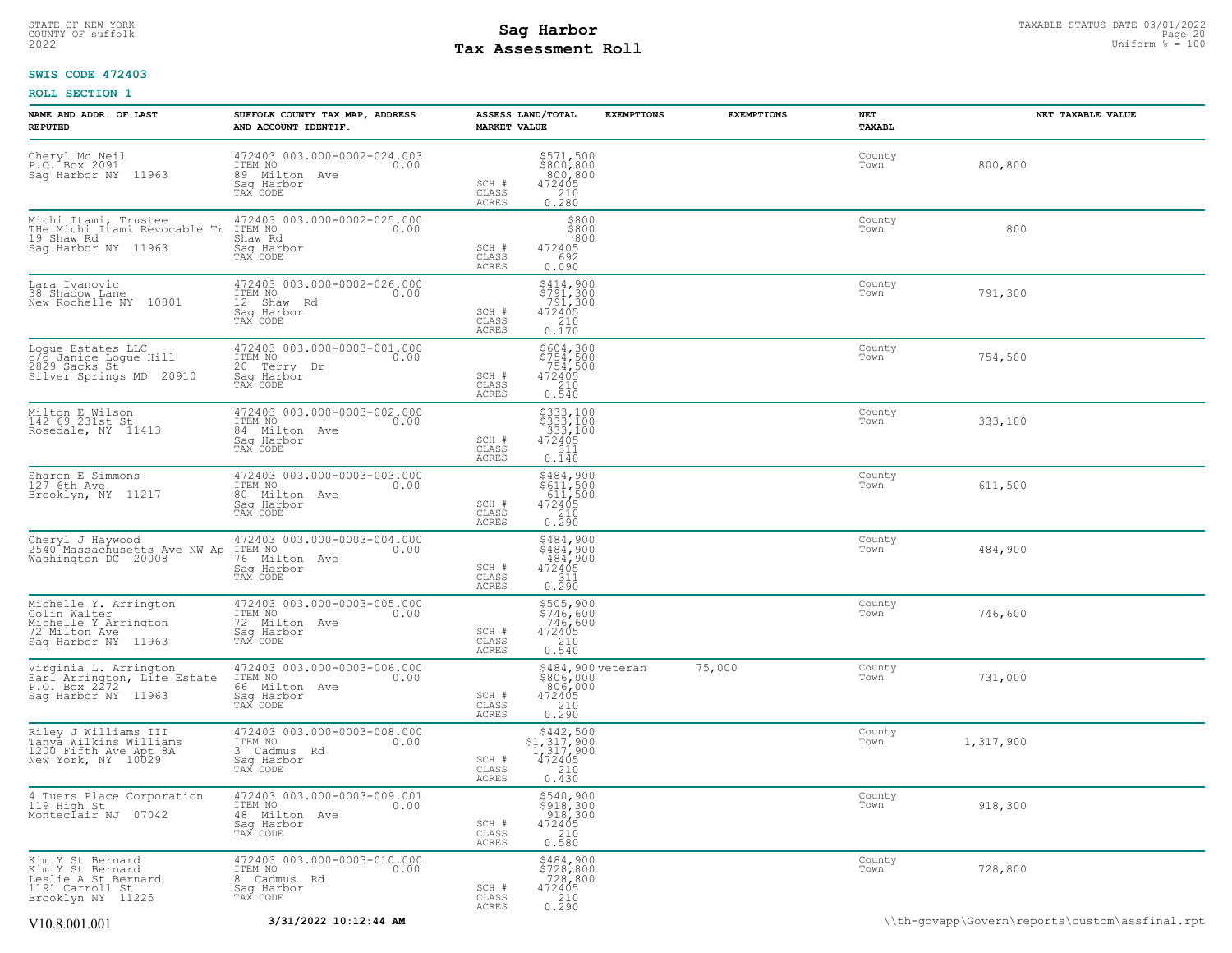# STATE OF NEW-YORK STATUS DATE 03/01/2022<br>
COUNTY OF suffolk Page 2010<br>
2022 Tax Assessment Roll Page 2022 Uniform % = 100 **Tax Assessment Roll**

# **SWIS CODE 472403**

| NAME AND ADDR. OF LAST<br><b>REPUTED</b>                                                              | SUFFOLK COUNTY TAX MAP, ADDRESS<br>AND ACCOUNT IDENTIF.                                   | ASSESS LAND/TOTAL<br><b>MARKET VALUE</b>                                                                                           | <b>EXEMPTIONS</b>              | <b>EXEMPTIONS</b> | NET<br>TAXABL  | NET TAXABLE VALUE                              |
|-------------------------------------------------------------------------------------------------------|-------------------------------------------------------------------------------------------|------------------------------------------------------------------------------------------------------------------------------------|--------------------------------|-------------------|----------------|------------------------------------------------|
| Cheryl Mc Neil<br>P.O. Box 2091<br>Sag Harbor NY 11963                                                | 472403 003.000-0002-024.003<br>10.00 0.00<br>89 Milton Ave<br>Saq Harbor<br>TAX CODE      | $\begin{array}{c} 5571, 500 \\ 800, 800 \\ 800, 800 \\ 472405 \\ 210 \\ 0.280 \end{array}$<br>SCH #<br>CLASS<br>ACRES              |                                |                   | County<br>Town | 800,800                                        |
| Michi Itami, Trustee<br>THe Michi Itami Revocable Tr<br>19 Shaw Rd<br>Sag Harbor NY 11963             | 472403 003.000-0002-025.000<br>ITEM NO<br>0.00<br>Shaw Rd<br>Sag Harbor<br>TAX CODE       | \$800<br>\$800<br>800<br>472405<br>SCH #<br>CLASS<br>692<br>ACRES<br>0.090                                                         |                                |                   | County<br>Town | 800                                            |
| Lara Ivanovic<br>38 Shadow Lane<br>New Rochelle NY 10801                                              | 472403 003.000-0002-026.000<br>ITEM NO<br>0.00<br>12 Shaw Rd<br>Sag Harbor<br>TAX CODE    | $$414,900$<br>$$791,300$<br>$$791,300$<br>$$791,300$<br>$\begin{array}{r}472405\\210\\0.170\end{array}$<br>SCH #<br>CLASS<br>ACRES |                                |                   | County<br>Town | 791,300                                        |
| Logue Estates LLC<br>c/o Janice Logue Hill<br>2829 Sacks St<br>Silver Springs MD 20910                | 472403 003.000-0003-001.000<br>ITEM NO 0.00<br>20 Terry Dr<br>Saq Harbor<br>TAX CODE      | \$604,300<br>\$754,500<br>754,500<br>SCH #<br>$\frac{472405}{210}$<br>CLASS<br>ACRES<br>0.540                                      |                                |                   | County<br>Town | 754,500                                        |
| Milton E Wilson<br>142 69 231st St<br>Rosedale, NY 11413                                              | 472403 003.000-0003-002.000<br>ITEM NO 0.00<br>84 Milton Ave<br>Saq Harbor<br>TAX CODE    | $\begin{array}{l} 5333, 100 \\ 5333, 100 \\ 333, 100 \\ 472405 \\ 311 \\ 0.140 \end{array}$<br>SCH #<br>CLASS<br>ACRES             |                                |                   | County<br>Town | 333,100                                        |
| Sharon E Simmons<br>127 6th Ave<br>Brooklyn, NY 11217                                                 | 472403 003.000-0003-003.000<br>ITEM NO<br>0.00<br>80 Milton Ave<br>Sag Harbor<br>TAX CODE | \$484,900<br>\$611,500<br>611,500<br>SCH #<br>472405<br>0.210<br>CLASS<br>ACRES                                                    |                                |                   | County<br>Town | 611,500                                        |
| Cheryl J Haywood<br>2540 Massachusetts Ave NW Ap<br>Washington DC 20008                               | 472403 003.000-0003-004.000<br>ITEM NO<br>0.00<br>76 Milton Ave<br>Saq Harbor<br>TAX CODE | \$484,900<br>\$484,900<br>484,900<br>SCH #<br>472405<br>$\frac{311}{0.290}$<br>CLASS<br>ACRES                                      |                                |                   | County<br>Town | 484,900                                        |
| Michelle Y. Arrington<br>Colin Walter<br>Michelle Y Arrington<br>72 Milton Ave<br>Sag Harbor NY 11963 | 472403 003.000-0003-005.000<br>ITEM NO 0.00<br>72 Milton Ave<br>Saq Harbor<br>TAX CODE    | \$505,900<br>\$746,600<br>746,600<br>472405<br>210<br>0.540<br>SCH #<br>CLASS<br>ACRES                                             |                                |                   | County<br>Town | 746,600                                        |
| Virginia L. Arrington<br>Earl Arrington, Life Estate<br>P.O. Box 2272<br>Sag Harbor NY 11963          | 472403 003.000-0003-006.000<br>ITEM NO<br>0.00<br>66 Milton Ave<br>Sag Harbor<br>TAX CODE | 806,000<br>472405<br>SCH #<br>0.290<br>CLASS<br>ACRES                                                                              | \$484,900 veteran<br>\$806,000 | 75,000            | County<br>Town | 731,000                                        |
| Riley J Williams III<br>Tanya Wilkins Williams<br>1200 Fifth Ave Apt 8A<br>New York, NY 10029         | 472403 003.000-0003-008.000<br>ITEM NO<br>0.00<br>3 Cadmus Rd<br>Sag Harbor<br>TAX CODE   | $$442,500$<br>$$1,317,900$<br>$1,317,900$<br>$472405$<br>210<br>SCH #<br>CLASS<br>0.430<br>ACRES                                   |                                |                   | County<br>Town | 1,317,900                                      |
| 4 Tuers Place Corporation<br>119 High St<br>Monteclair NJ 07042                                       | 472403 003.000-0003-009.001<br>ITEM NO<br>0.00<br>48 Milton Ave<br>Saq Harbor<br>TAX CODE | \$540,900<br>\$918,300<br>918,300<br>472405<br>210<br>0.580<br>SCH #<br>CLASS<br>ACRES                                             |                                |                   | County<br>Town | 918,300                                        |
| Kim Y St Bernard<br>Kim Y St Bernard<br>neslie A St Bernard<br>1191 Carroll St<br>Brooklyn NY 11225   | 472403 003.000-0003-010.000<br>ITEM NO 0.00<br>8 Cadmus Rd<br>Saq Harbor<br>TAX CODE      | \$484,900<br>\$728,800<br>728,800<br>472405<br>SCH #<br>$\begin{array}{c} 210 \\ 0.290 \end{array}$<br>CLASS<br>ACRES              |                                |                   | County<br>Town | 728,800                                        |
| V10.8.001.001                                                                                         | 3/31/2022 10:12:44 AM                                                                     |                                                                                                                                    |                                |                   |                | \\th-govapp\Govern\reports\custom\assfinal.rpt |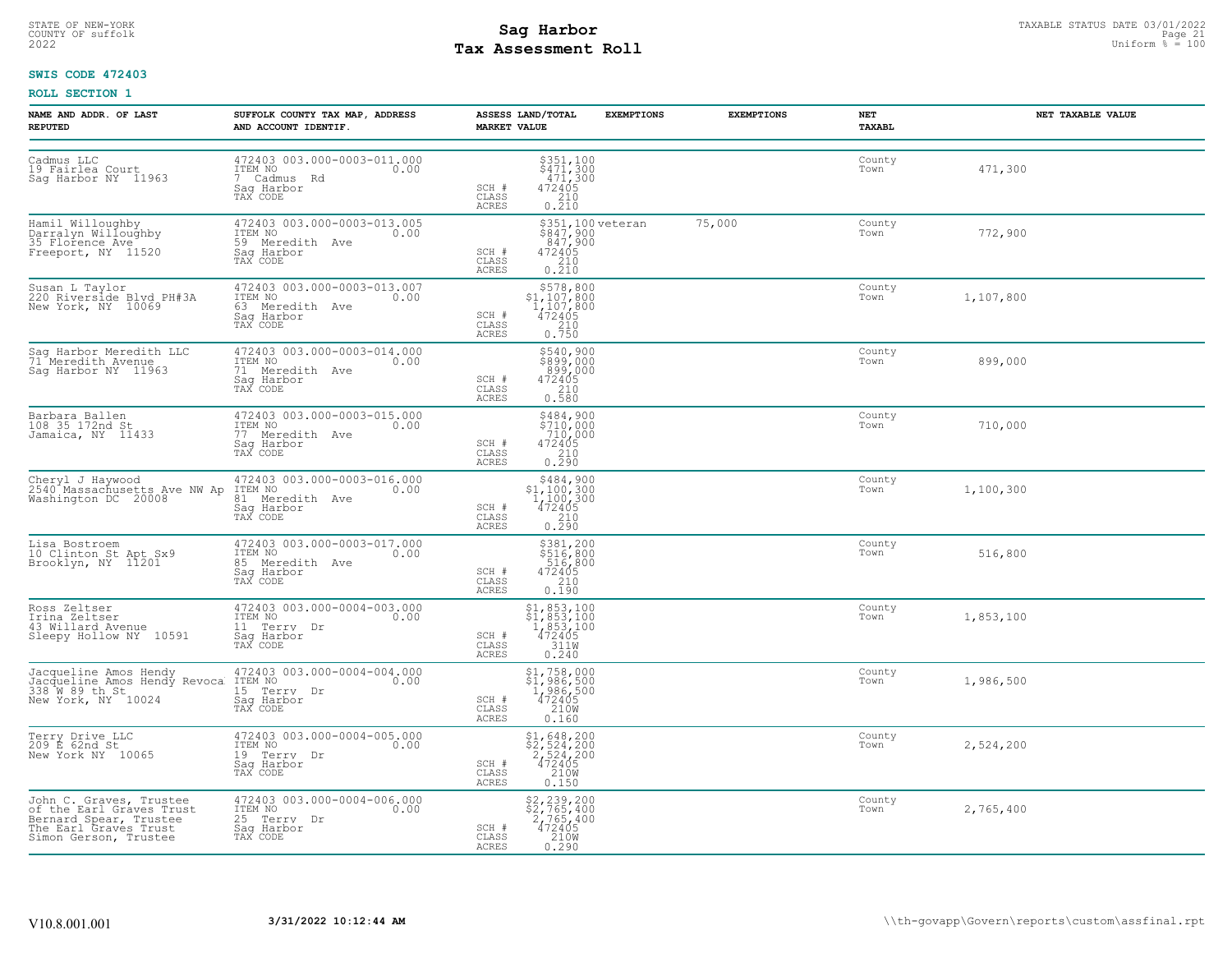# STATE OF NEW-YORK STATUS DATE 03/01/2022<br>
COUNTY OF suffolk Page 21 Designed **Sag Harbor**<br>
2022 **Pay Assessment Roll Tax Assessment Roll**

# **SWIS CODE 472403**

| <b>NAME AND ADDR. OF LAST</b><br><b>REPUTED</b>                                                                                 | SUFFOLK COUNTY TAX MAP, ADDRESS<br>AND ACCOUNT IDENTIF.                                     | ASSESS LAND/TOTAL<br><b>MARKET VALUE</b>                                                                                                                                                              | <b>EXEMPTIONS</b>                                   | <b>EXEMPTIONS</b> | NET<br>TAXABL  | NET TAXABLE VALUE |
|---------------------------------------------------------------------------------------------------------------------------------|---------------------------------------------------------------------------------------------|-------------------------------------------------------------------------------------------------------------------------------------------------------------------------------------------------------|-----------------------------------------------------|-------------------|----------------|-------------------|
| Cadmus LLC<br>19 Fairlea Court<br>Sag Harbor NY 11963                                                                           | 472403 003.000-0003-011.000<br>ITEM NO<br>0.00<br>7 Cadmus Rd<br>Sag Harbor<br>TAX CODE     | $\begin{array}{l}  \  \  \, 3351,100 \\  \  \, 9471,300 \\  \  \, 471,300 \\  \  \, 472405 \\  \  \, 210 \\  \  \, 0.210 \end{array}$<br>SCH #<br>CLASS<br>ACRES                                      |                                                     |                   | County<br>Town | 471,300           |
| Hamil Willoughby<br>Darralyn Willoughby<br>35 Florence Ave Freeport, NY 11520                                                   | 472403 003.000-0003-013.005<br>ITEM NO<br>0.00<br>59 Meredith Ave<br>Sag Harbor<br>TAX CODE | SCH #<br>$\frac{210}{0.210}$<br>CLASS<br><b>ACRES</b>                                                                                                                                                 | \$351,100 veteran<br>\$847,900<br>847,900<br>472405 | 75,000            | County<br>Town | 772,900           |
| Susan L Taylor<br>220 Riverside Blvd PH#3A<br>New York, NY 10069                                                                | 472403 003.000-0003-013.007<br>ITEM NO 0.00<br>63 Meredith Ave<br>Saq Harbor<br>TAX CODE    | $\begin{array}{r} \text{\small $}\$578,800\\ \text{\small $1,107,800}\\ 1,107,800\\ 472405\\ 210\\ 0.750 \end{array}$<br>$SCH$ $#$<br>CLASS<br>ACRES                                                  |                                                     |                   | County<br>Town | 1,107,800         |
| Sag Harbor Meredith LLC<br>71 Meredith Avenue<br>Sag Harbor NY 11963                                                            | 472403 003.000-0003-014.000<br>ITEM NO<br>0.00<br>71 Meredith Ave<br>Saq Harbor<br>TAX CODE | \$540,900<br>\$899,000<br>$472405$<br>$472405$<br>$210$<br>0.580<br>SCH #<br>CLASS<br><b>ACRES</b>                                                                                                    |                                                     |                   | County<br>Town | 899,000           |
| Barbara Ballen<br>108 35 172nd St<br>Jamaica, NY 11433                                                                          | 472403 003.000-0003-015.000<br>ITEM NO<br>0.00<br>77 Meredith Ave<br>Saq Harbor<br>TAX CODE | \$484,900<br>\$710,000<br>710,000<br>SCH #<br>$\begin{array}{r}472405\\210\\0.290\end{array}$<br>CLASS<br>ACRES                                                                                       |                                                     |                   | County<br>Town | 710,000           |
| Cheryl J Haywood<br>2540 Massachusetts Ave NW Ap<br>Washington DC 20008                                                         | 472403 003.000-0003-016.000<br>ITEM NO<br>0.00<br>81 Meredith Ave<br>Sag Harbor<br>TAX CODE | $$484,900$<br>$$1,100,300$<br>$1,100,300$<br>$472405$<br>210<br>SCH #<br>CLASS<br>0.290<br><b>ACRES</b>                                                                                               |                                                     |                   | County<br>Town | 1,100,300         |
| Lisa Bostroem<br>10 Clinton St Apt Sx9<br>Brooklyn, NY 11201                                                                    | 472403 003.000-0003-017.000<br>ITEM NO<br>0.00<br>85 Meredith Ave<br>Saq Harbor<br>TAX CODE | \$381,200<br>\$516,800<br>516,800<br>472405<br>210<br>SCH #<br>CLASS<br>ACRES<br>0.190                                                                                                                |                                                     |                   | County<br>Town | 516,800           |
| Ross Zeltser<br>Irina Zeltser<br>43 Willard Avenue<br>Sleepy Hollow NY 10591                                                    | 472403 003.000-0004-003.000<br>ITEM NO<br>0.00<br>11 Terry Dr<br>Sag Harbor<br>TAX CODE     | $\begin{array}{c} \text{\$1$, 853$, 100} \\ \text{\$1$, 853, 100} \\ \text{\$1$, 853, 100} \\ \text{\$1, 853, 100} \\ \text{\$12405} \\ \text{\$11W} \\ 0.240 \end{array}$<br>SCH #<br>CLASS<br>ACRES |                                                     |                   | County<br>Town | 1,853,100         |
| Jacqueline Amos Hendy<br>Jacqueline Amos Hendy Revoca<br>338 M 89 th.St.<br>New York, NY 10024                                  | 472403 003.000-0004-004.000<br>ITEM NO<br>0.00<br>15 Terry Dr<br>Sag Harbor<br>TAX CODE     | \$1,758,000<br>\$1,986,500<br>1,986,500<br>472405<br>2160<br>SCH #<br>CLASS<br><b>ACRES</b><br>0.160                                                                                                  |                                                     |                   | County<br>Town | 1,986,500         |
| Terry Drive LLC<br>209 E 62nd St<br>New York NY 10065                                                                           | 472403 003.000-0004-005.000<br>ITEM NO<br>0.00<br>19 Terry Dr<br>Saq Harbor<br>TAX CODE     | $$2, 524, 200$<br>$$2, 524, 200$<br>$$2, 524, 200$<br>$472405$<br>SCH #<br>CLASS<br>210W<br>ACRES<br>0.150                                                                                            |                                                     |                   | County<br>Town | 2,524,200         |
| John C. Graves, Trustee<br>of the Earl Graves Trust<br>Bernard Spear, Trustee<br>The Earl Graves Trust<br>Simon Gerson, Trustee | 472403 003.000-0004-006.000<br>1TEM NO 0.00<br>25 Terry Dr<br>Saq Harbor<br>TAX CODE        | \$2,239,200<br>\$2,765,400<br>2,765,400<br>472405<br>210W<br>0.290<br>SCH #<br>CLASS<br>ACRES                                                                                                         |                                                     |                   | County<br>Town | 2,765,400         |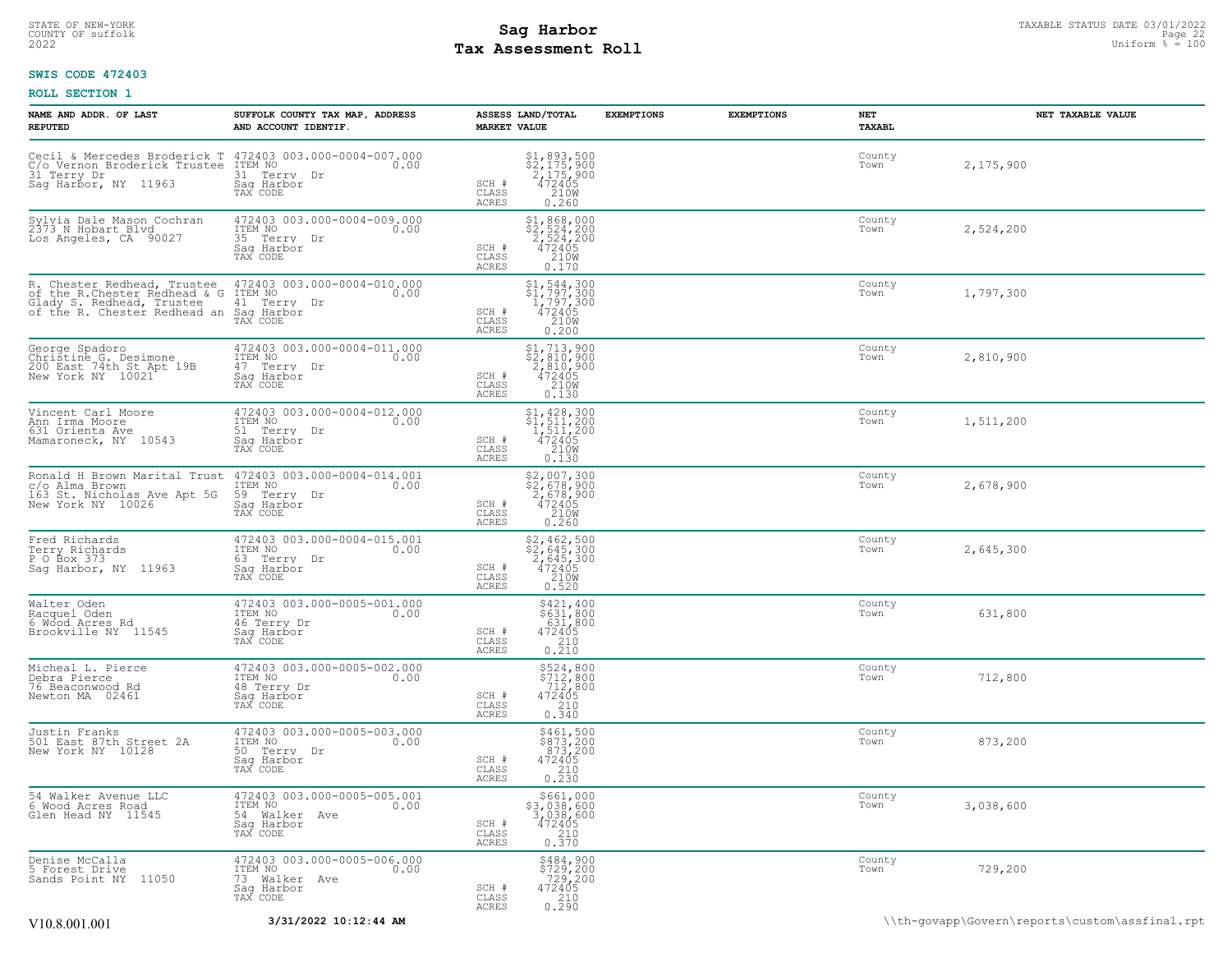# STATE OF NEW-YORK STATUS DATE 03/01/2022<br>
COUNTY OF suffolk Page 22 Uniform % = 100<br>
2022 Pay Assessment Roll **Tax Assessment Roll**

# **SWIS CODE 472403**

| NAME AND ADDR. OF LAST<br><b>REPUTED</b>                                                                                                                                           | SUFFOLK COUNTY TAX MAP, ADDRESS<br>AND ACCOUNT IDENTIF.                                                   | ASSESS LAND/TOTAL<br><b>MARKET VALUE</b>                                                                                                      | <b>EXEMPTIONS</b><br><b>EXEMPTIONS</b> | NET<br><b>TAXABL</b> | NET TAXABLE VALUE |
|------------------------------------------------------------------------------------------------------------------------------------------------------------------------------------|-----------------------------------------------------------------------------------------------------------|-----------------------------------------------------------------------------------------------------------------------------------------------|----------------------------------------|----------------------|-------------------|
| C/o Vernon Broderick Trustee ITEM NO<br>31 Terry Dr<br>Sag Harbor, NY 11963                                                                                                        | Cecil & Mercedes Broderick T 472403 003.000-0004-007.000<br>0.00<br>31 Terry Dr<br>Saq Harbor<br>TAX CODE | $$2,175,900$<br>$$2,175,900$<br>$2,175,900$<br>$472405$<br>SCH #<br>CLASS<br>210W<br>ACRES<br>0.260                                           |                                        | County<br>Town       | 2,175,900         |
| Sylvia Dale Mason Cochran<br>2373 N Hobart Blvd<br>Los Angeles, CA 90027                                                                                                           | 472403 003.000-0004-009.000<br>ITEM NO<br>0.00<br>35 Terry Dr<br>Sag Harbor<br>TAX CODE                   | \$1,868,000<br>$\begin{array}{c}\n\xi_2, 524, 200 \\ 2, 524, 200 \\ 472405 \\ 2108\n\end{array}$<br>SCH #<br>CLASS<br>ACRES<br>0.170          |                                        | County<br>Town       | 2,524,200         |
| R. Chester Redhead, Trustee 472403 003.000<br>of the R.Chester Redhead & G ITEM NO<br>Glady S. Redhead, Trustee 41 Terry Dr<br>of the R. Chester Redhead an Sag Harbor<br>TAX CODE | 472403 003.000-0004-010.000<br>0.00                                                                       | \$1,544,300<br>$\begin{array}{r} 51,797,300 \\ 1,797,300 \\ 472405 \\ 2108 \end{array}$<br>SCH #<br>$\mathtt{CLASS}$<br><b>ACRES</b><br>0.200 |                                        | County<br>Town       | 1,797,300         |
| George Spadoro<br>Christine G. Desimone<br>200 East 74th St Apt 19B<br>New York NY 10021                                                                                           | 472403 003.000-0004-011.000<br>ITEM NO<br>0.00<br>47 Terry Dr<br>Sag Harbor<br>TAX CODE                   | $\begin{array}{l} $1,713,900 \ $2,810,900 \ $2,810,900 \ $472405 \ $2100 \end{array}$<br>SCH #<br>CLASS<br>ACRES<br>0.130                     |                                        | County<br>Town       | 2,810,900         |
| Vincent Carl Moore<br>Ann Irma Moore<br>631 Orienta Ave<br>Mamaroneck, NY 10543                                                                                                    | 472403 003.000-0004-012.000<br>ITEM NO<br>0.00<br>51 Terry Dr<br>Sag Harbor<br>TAX CODE                   | $\begin{array}{l} $1,428,300 \ $1,511,200 \ $1,511,200 \ $472405 \ $2100 \ $2100 \end{array}$<br>SCH #<br>CLASS<br>ACRES<br>0.130             |                                        | County<br>Town       | 1,511,200         |
| Ronald H Brown Marital Trust 472403 003.000-0004-014.001<br>c/o Alma Brown<br>163 St. Nicholas Ave Apt 5G<br>New York NY 10026                                                     | ITEM NO<br>0.00<br>59 Terry Dr<br>Saq Harbor<br>TAX CODE                                                  | \$2,007,300<br>\$2,678,900<br>2,678,900<br>472405<br>210W<br>SCH #<br>CLASS<br>ACRES<br>0.260                                                 |                                        | County<br>Town       | 2,678,900         |
| Fred Richards<br>Terry Richards<br>P O Box 373<br>Saq Harbor, NY 11963                                                                                                             | 472403 003.000-0004-015.001<br>ITEM NO<br>0.00<br>63 Terry Dr<br>Saq Harbor<br>TAX CODE                   | $$2, 462, 500$<br>$$2, 645, 300$<br>$2, 645, 300$<br>$472405$<br>$210W$<br>SCH #<br>CLASS<br>0.520<br>ACRES                                   |                                        | County<br>Town       | 2,645,300         |
| Walter Oden<br>Racquel Oden<br>6 Wood Acres Rd<br>Brookville NY 11545                                                                                                              | 472403 003.000-0005-001.000<br>ITEM NO 0.00<br>0.00<br>46 Terry Dr<br>Sag Harbor<br>TAX CODE              | \$421,400<br>\$631,800<br>631,800<br>472405<br>SCH #<br>CLASS<br>0.210<br>ACRES                                                               |                                        | County<br>Town       | 631,800           |
| Micheal L. Pierce<br>Debra Pierce<br>76 Beaconwood Rd<br>Newton MA 02461                                                                                                           | 472403 003.000-0005-002.000<br>ITEM NO<br>0.00<br>48 Terry Dr<br>Sag Harbor<br>TAX CODE                   | \$524,800<br>\$712,800<br>712,800<br>SCH #<br>$\begin{array}{r}472405\\210\\0.340\end{array}$<br>CLASS<br>ACRES                               |                                        | County<br>Town       | 712,800           |
| Justin Franks<br>501 East 87th Street 2A<br>New York NY 10128                                                                                                                      | 472403 003.000-0005-003.000<br>ITEM NO<br>0.00<br>50 Terry Dr<br>Sag Harbor<br>TAX CODE                   | \$461,500<br>\$873,200<br>873,200<br>472405<br>SCH #<br>$\begin{array}{c} 210 \\ 0.230 \end{array}$<br>CLASS<br><b>ACRES</b>                  |                                        | County<br>Town       | 873,200           |
| 54 Walker Avenue LLC<br>6 Wood Acres Road<br>Glen Head NY 11545                                                                                                                    | 472403 003.000-0005-005.001<br>ITEM NO<br>0.00<br>54 Walker Ave<br>Saq Harbor<br>TAX CODE                 | \$661,000<br>$$3,038,600$<br>3,038,600<br>472405<br>2310<br>SCH #<br>CLASS<br>ACRES<br>0.370                                                  |                                        | County<br>Town       | 3,038,600         |
| Denise McCalla<br>5 Forest Drive<br>Sands Point NY 11050                                                                                                                           | 472403 003.000-0005-006.000<br>ITEM NO<br>0.00<br>73 Walker Ave<br>Sag Harbor<br>TAX CODE                 | \$484,900<br>\$729,200<br>729,200<br>472405<br>210<br>SCH #<br>CLASS<br>0.290<br>ACRES                                                        |                                        | County<br>Town       | 729,200           |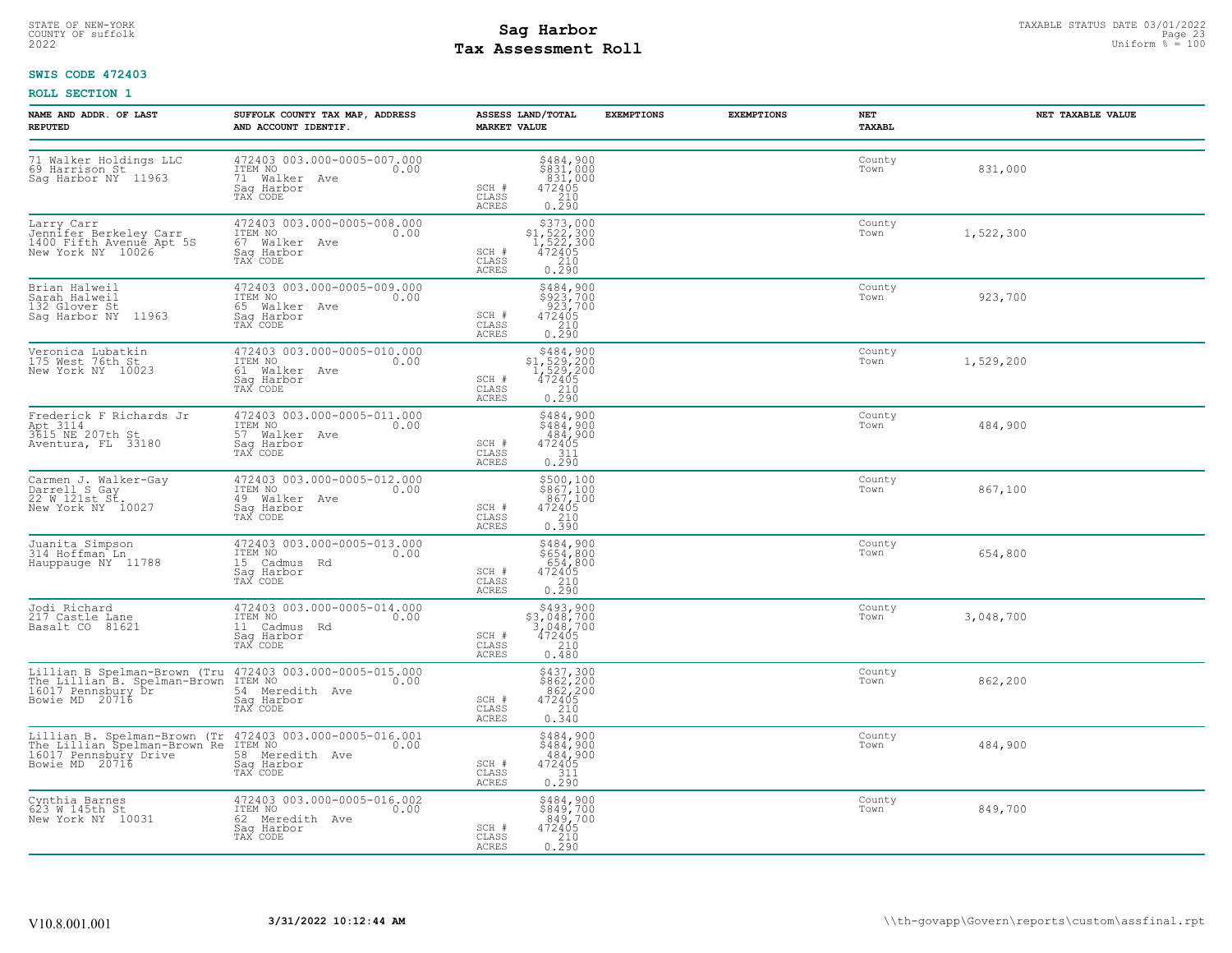# STATE OF NEW-YORK STATUS DATE 03/01/2022<br>
COUNTY OF suffolk Page 23 COUNTY OF Suffolk Page 23 COUNTY OF Suffolk Page 23<br>
2022 Pay Assessment Roll **Tax Assessment Roll**

# **SWIS CODE 472403**

| NAME AND ADDR. OF LAST<br><b>REPUTED</b>                                                                                                            | SUFFOLK COUNTY TAX MAP, ADDRESS<br>AND ACCOUNT IDENTIF.                                                                                                                                                              | ASSESS LAND/TOTAL<br><b>MARKET VALUE</b>                                                                                                                             | <b>EXEMPTIONS</b> | <b>EXEMPTIONS</b><br>NET<br>TAXABL | NET TAXABLE VALUE |
|-----------------------------------------------------------------------------------------------------------------------------------------------------|----------------------------------------------------------------------------------------------------------------------------------------------------------------------------------------------------------------------|----------------------------------------------------------------------------------------------------------------------------------------------------------------------|-------------------|------------------------------------|-------------------|
| 69 Harrison St<br>Sag Harbor NY 11963                                                                                                               | 71 Walker Holdings LLC 472403 003.000-0005-007.000<br>69 Harrison St 1TEM NO 69 Harrison St 6<br>71 Walker Ave<br>Sag Harbor<br>TAX CODE                                                                             | \$484,900<br>\$831,000<br>831,000<br>SCH #<br>$\begin{array}{r} 472405 \\ 210 \\ 0.290 \end{array}$<br>CLASS<br>ACRES                                                |                   | County<br>Town                     | 831,000           |
|                                                                                                                                                     | Saq Harbor<br>TAX CODE                                                                                                                                                                                               | $\begin{array}{r} \text{\small $>$373,000$} \\ \text{\small $>$1$, $522$, $300$} \\ 1,522,300 \\ 472405 \\ 210 \\ 0.290 \\ \end{array}$<br>SCH #<br>CLASS<br>ACRES   |                   | County<br>Town                     | 1,522,300         |
| Brian Halweil<br>Sarah Halweil<br>132 Glover St<br>Sag Harbor NY 11963                                                                              | 472403 003.000-0005-009.000<br>ITEM NO<br>65 Walker Ave 0.00<br>3aq Harbor<br>TAX CODE                                                                                                                               | \$484,900<br>\$923,700<br>923,700<br>472405<br>210<br>SCH #<br>CLASS<br>ACRES<br>0.290                                                                               |                   | County<br>Town                     | 923,700           |
| Veronica Lubatkin<br>175 West 76th St<br>New York NY 10023                                                                                          | 472403 003.000-0005-010.000<br>ITEM NO 0.00<br>61 Walker Ave 0.00<br>Sag Harbor<br>TAX CODE                                                                                                                          | $\begin{array}{r}  \  \  \, 5484,900\\  \  \, 51,529,200\\  \  \, 1,529,200\\  \  \, 472405\\  \  \  \, 210\\  \  \, 0.290\\ \end{array}$<br>SCH #<br>CLASS<br>ACRES |                   | County<br>Town                     | 1,529,200         |
| Frederick F Richards Jr (172403 003.000-00)<br>Apt 3114 1TEM NO<br>3615 NE 207th St (57 Walker Ave<br>Aventura, FL 33180 (58 Sag Harbor<br>TAX CODE | 472403 003.000-0005-011.000<br>TTEM NO<br>57 Walker Ave                                                                                                                                                              | $$484,900$<br>$$484,900$<br>484,900<br>SCH #<br>472405<br>CLASS<br>$\begin{array}{c} \n 0.311 \\  0.290\n \end{array}$<br>ACRES                                      |                   | County<br>Town                     | 484,900           |
| Carmen J. Walker-Gay<br>Darrell S Gay<br>22 W 121st St.<br>New York NY 10027                                                                        | 472403 003.000-0005-012.000<br>ITEM NO<br>49 Walker Ave 0.00<br>Sag Harrbor<br>TAX CODE<br>Saq Harbor<br>TAX CODE                                                                                                    | \$500,100<br>\$867,100<br>867,100<br>472405<br>SCH #<br>CLASS<br>0.390<br>ACRES                                                                                      |                   | County<br>Town                     | 867,100           |
| 314 Hoffman Ln<br>Hauppauge NY 11788                                                                                                                | 15 Cadmus Rd<br>Sag Harbor<br>TAX CODE                                                                                                                                                                               | \$484,900<br>$$654,800$<br>$654,800$<br>$472405$<br>$210$<br>0.290<br>SCH #<br>CLASS<br>ACRES                                                                        |                   | County<br>Town                     | 654,800           |
| Jodi Richard<br>217 Castle Lane<br>Basalt CO 81621                                                                                                  | 472403 003.000-0005-014.000<br>ITEM NO 0.00<br>115H No<br>11 Cadmus Rd<br>Sag Harbor<br>TAX CODE                                                                                                                     | $$493,900$<br>$$3,048,700$<br>$3,048,700$<br>$472405$<br>$$210$<br>SCH #<br>CLASS<br>0.480<br>ACRES                                                                  |                   | County<br>Town                     | 3,048,700         |
|                                                                                                                                                     | Lillian B Spelman-Brown (Tru 472403 003.000-0005-015.000<br>The Lillian B. Spelman-Brown TTEM NO 16017 Pennsbury Dr<br>16017 Pennsbury Dr<br>Bowie MD 20716 54 Meredith Ave<br>Bowie MD 20716 5ag Harbor<br>TAX CODE | $$437,300$<br>$$862,200$<br>$862,200$<br>$472405$<br>$210$<br>SCH #<br>CLASS<br>0.340<br>ACRES                                                                       |                   | County<br>Town                     | 862,200           |
|                                                                                                                                                     | Lillian B. Spelman-Brown (Tr 472403 003.000-0005-016.001<br>The Lillian Spelman-Brown Re ITEM NO 000-0005-016.001<br>16017 Pennsbury Drive 58 Meredith Ave<br>Bowie MD 20716 589 Harbor<br>Saq Harbor<br>TAX CODE    | \$484,900<br>\$484,900<br>484,900<br>472405<br>SCH #<br>CLASS<br>$\begin{array}{c} 1.7 - 311 \\ 0.290 \end{array}$<br>ACRES                                          |                   | County<br>Town                     | 484,900           |
| Cynthia Barnes<br>623 W 145th St<br>New York NY 10031                                                                                               | 472403 003.000-0005-016.002<br>ITEM NO<br>62 Meredith Ave 0.00<br>Saq Harbor<br>TAX CODE                                                                                                                             | \$484,900<br>\$849,700<br>849,700<br>SCH #<br>472405<br>CLASS<br>0.210<br>ACRES                                                                                      |                   | County<br>Town                     | 849,700           |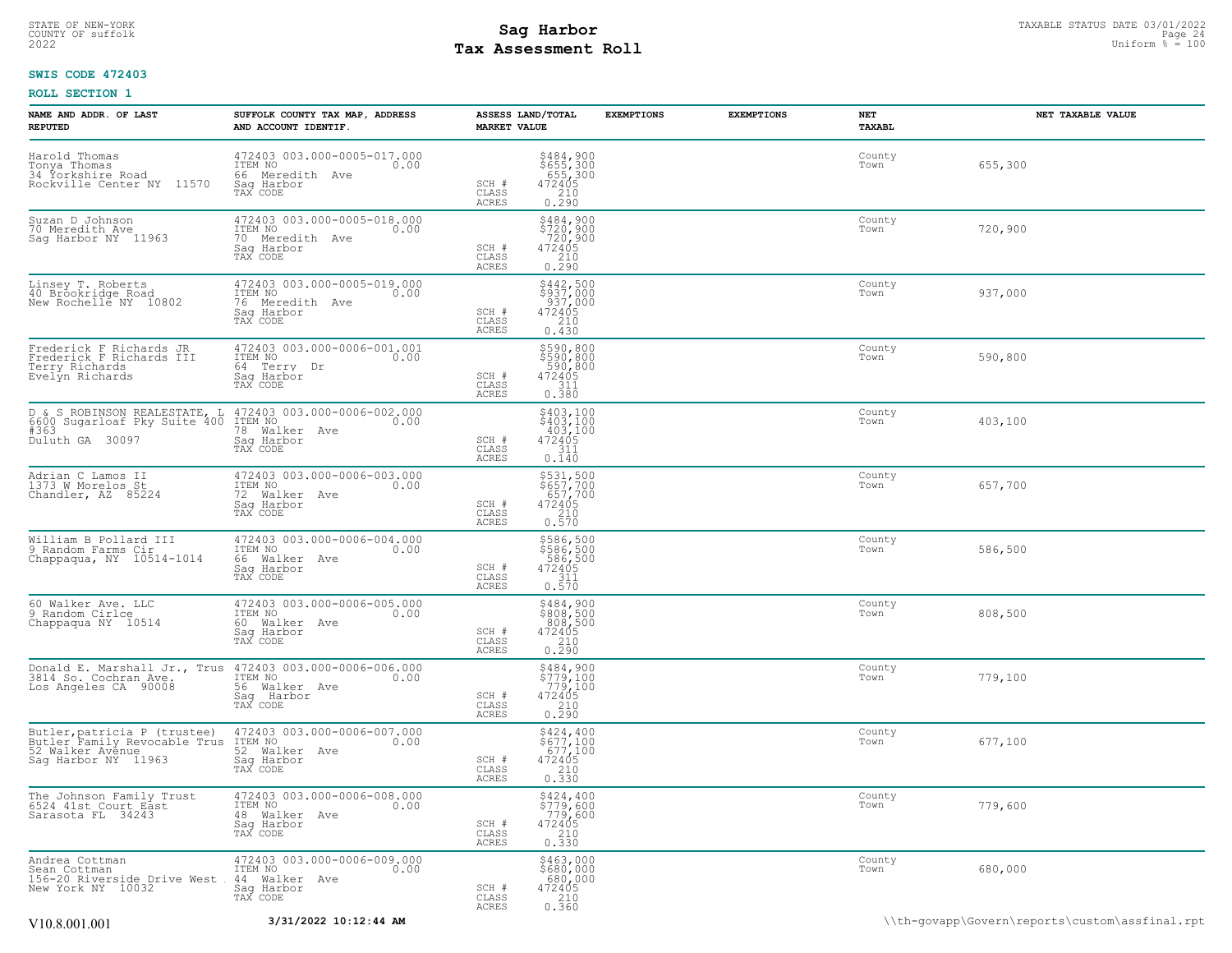# STATE OF NEW-YORK STATUS DATE 03/01/2022<br>
COUNTY OF suffolk Page 24 and the suffolk Page 24 and the suffolk Page 24 and the suffolk Page 24 and the sufform  $\frac{Paqe}{4} = 100$ **Tax Assessment Roll**

# **SWIS CODE 472403**

| NAME AND ADDR. OF LAST<br><b>REPUTED</b>                                                                | SUFFOLK COUNTY TAX MAP, ADDRESS<br>AND ACCOUNT IDENTIF.                                                                | <b>MARKET VALUE</b>                       | ASSESS LAND/TOTAL                                                                                                                     | <b>EXEMPTIONS</b> | <b>EXEMPTIONS</b> | NET<br><b>TAXABL</b> | NET TAXABLE VALUE |
|---------------------------------------------------------------------------------------------------------|------------------------------------------------------------------------------------------------------------------------|-------------------------------------------|---------------------------------------------------------------------------------------------------------------------------------------|-------------------|-------------------|----------------------|-------------------|
| Harold Thomas<br>Tonya Thomas<br>34 Yorkshire Road<br>Rockville Center NY 11570                         | 472403 003.000-0005-017.000<br>ITEM NO<br>0.00<br>66 Meredith Ave<br>Saq Harbor<br>TAX CODE                            | SCH #<br>$\mathtt{CLASS}$<br>ACRES        | \$484,900<br>\$655,300<br>655,300<br>472405<br>210<br>0.290                                                                           |                   |                   | County<br>Town       | 655,300           |
| Suzan D Johnson<br>70 Meredith Ave<br>Sag Harbor NY 11963                                               | 472403 003.000-0005-018.000<br>ITEM NO<br>0.00<br>70 Meredith Ave<br>Sag Harbor<br>TAX CODE                            | SCH #<br>CLASS<br><b>ACRES</b>            | \$484,900<br>\$720,900<br>720,900<br>472405<br>210<br>0.290                                                                           |                   |                   | County<br>Town       | 720,900           |
| Linsey T. Roberts<br>40 Brookridge Road<br>New Rochelle NY 10802                                        | 472403 003.000-0005-019.000<br>ITEM NO<br>0.00<br>76 Meredith Ave<br>Sag Harbor<br>TAX CODE                            | SCH #<br>CLASS<br><b>ACRES</b>            | $$442,500$<br>$$937,000$<br>$937,000$<br>$472405$<br>$210$<br>0.430                                                                   |                   |                   | County<br>Town       | 937,000           |
| Frederick F Richards JR<br>Frederick F Richards III<br>Terry Richards<br>Evelyn Richards                | 472403 003.000-0006-001.001<br>ITEM NO<br>0.00<br>64 Terry Dr<br>Sag Harbor<br>TAX CODE                                | SCH #<br>CLASS<br>ACRES                   | \$590,800<br>\$590,800<br>590,800<br>472405<br>311<br>0.380                                                                           |                   |                   | County<br>Town       | 590,800           |
| D & S ROBINSON REALESTATE, L<br>6600 Sugarloaf Pky Suite 400<br>#363<br>Duluth GA 30097                 | 472403 003.000-0006-002.000<br>ITEM NO<br>0.00<br>78 Walker Ave<br>Saq Harbor<br>TAX CODE                              | SCH #<br>CLASS<br>ACRES                   | \$403,100<br>\$403,100<br>403,100<br>472405<br>311<br>0.140                                                                           |                   |                   | County<br>Town       | 403,100           |
| Adrian C Lamos II<br>1373 W Morelos St<br>Chandler, AZ 85224                                            | 472403 003.000-0006-003.000<br>ITEM NO<br>0.00<br>72 Walker Ave<br>Sag Harbor<br>TAX CODE                              | SCH #<br>CLASS<br>ACRES                   | \$531,500<br>\$657,700<br>657,700<br>472405<br>$\begin{array}{c} 210 \\ 0.570 \end{array}$                                            |                   |                   | County<br>Town       | 657,700           |
| William B Pollard III<br>9 Random Farms Cir<br>Chappaqua, NY 10514-1014                                 | 472403 003.000-0006-004.000<br>ITEM NO<br>0.00<br>66 Walker Ave<br>Saq Harbor<br>TAX CODE                              | SCH #<br>CLASS<br><b>ACRES</b>            | \$586,500<br>\$586,500<br>586,500<br>472405<br>$\frac{311}{0.570}$                                                                    |                   |                   | County<br>Town       | 586,500           |
| 60 Walker Ave. LLC<br>9 Random Cirlce<br>Chappaqua NY 10514                                             | 472403 003.000-0006-005.000<br>ITEM NO<br>0.00<br>60 Walker Ave<br>Sag Harbor<br>TAX CODE                              | SCH #<br>CLASS<br>ACRES                   | $\begin{array}{r} \texttt{5484,900} \\ \texttt{5808,500} \\ \texttt{808,500} \\ \texttt{472405} \\ 210 \\ \texttt{0.290} \end{array}$ |                   |                   | County<br>Town       | 808,500           |
| 3814 So. Cochran Ave.<br>Los Angeles CA 90008                                                           | Donald E. Marshall Jr., Trus 472403 003.000-0006-006.000<br>ITEM NO<br>0.00<br>56 Walker Ave<br>Sag Harbor<br>TAX CODE | SCH #<br>CLASS<br>ACRES                   | \$484,900<br>\$779,100<br>779,100<br>472405<br>210<br>0.290                                                                           |                   |                   | County<br>Town       | 779,100           |
| Butler, patricia P (trustee)<br>Butler Family Revocable Trus<br>52 Walker Avenue<br>Sag Harbor NY 11963 | 472403 003.000-0006-007.000<br>ITEM NO<br>0.00<br>52 Walker Ave<br>Saq Harbor<br>TAX CODE                              | SCH #<br>$\mathtt{CLASS}$<br><b>ACRES</b> | \$424,400<br>\$677,100<br>677,100<br>472405<br>$\begin{array}{c} 210 \\ 0.330 \end{array}$                                            |                   |                   | County<br>Town       | 677,100           |
| The Johnson Family Trust<br>6524 41st Court East<br>Sarasota FL 34243                                   | 472403 003.000-0006-008.000<br>TTEM NO 0.00<br>48 Walker Ave<br>Saq Harbor<br>TAX CODE                                 | SCH #<br>CLASS<br>ACRES                   | \$424,400<br>$$779,600$<br>$779,600$<br>$472405$<br>$0.330$                                                                           |                   |                   | County<br>Town       | 779,600           |
| Andrea Cottman<br>Sean Cottman<br>156-20 Riverside Drive West<br>New York NY 10032                      | 472403 003.000-0006-009.000<br>ITEM NO<br>0.00<br>44 Walker Ave<br>Saq Harbor<br>TAX CODE                              | SCH #<br>CLASS<br>ACRES                   | \$463,000<br>$$680,000$<br>680,000<br>472405<br>210<br>0.360                                                                          |                   |                   | County<br>Town       | 680,000           |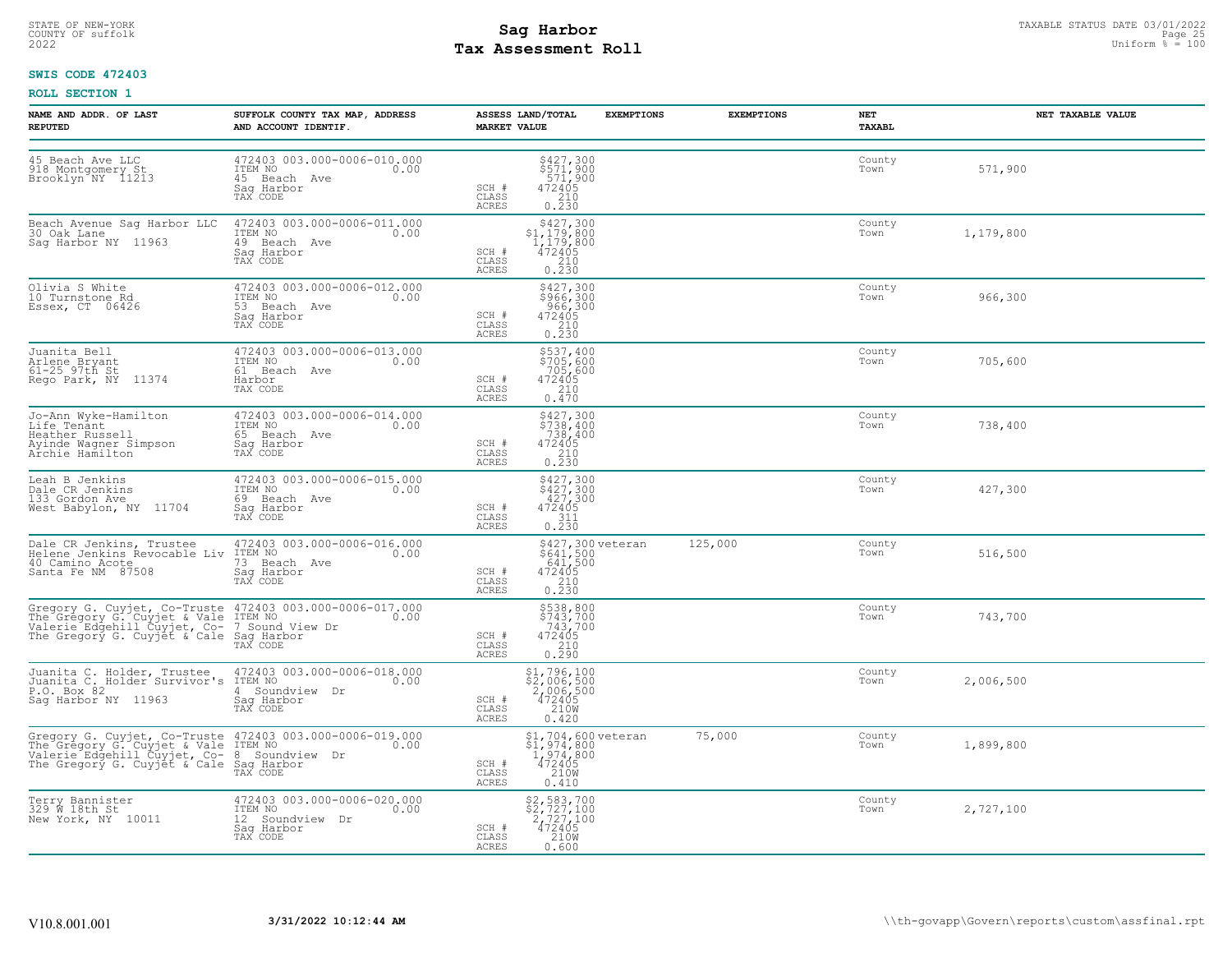# STATE OF NEW-YORK STATUS DATE 03/01/2022<br>
COUNTY OF suffolk Page 25 and County of Sages and Page 25 and County of Sages and Page 25 and County of Sages and Page 25<br>
2022 Mages and Page 25 and Page 25 and Page 25 and Page 2 **Tax Assessment Roll**

# **SWIS CODE 472403**

| NAME AND ADDR. OF LAST<br><b>REPUTED</b>                                                                        | SUFFOLK COUNTY TAX MAP, ADDRESS<br>AND ACCOUNT IDENTIF.                                                                                                                                                 | ASSESS LAND/TOTAL<br><b>MARKET VALUE</b>                                                                                                                                  | <b>EXEMPTIONS</b>                               | <b>EXEMPTIONS</b> | NET<br><b>TAXABL</b> | NET TAXABLE VALUE |
|-----------------------------------------------------------------------------------------------------------------|---------------------------------------------------------------------------------------------------------------------------------------------------------------------------------------------------------|---------------------------------------------------------------------------------------------------------------------------------------------------------------------------|-------------------------------------------------|-------------------|----------------------|-------------------|
| 45 Beach Ave LLC<br>918 Montgomery St<br>Brooklyn NY 11213                                                      | 472403 003.000-0006-010.000<br>ITEM NO<br>0.00<br>45 Beach Ave<br>Sag Harbor<br>TAX CODE                                                                                                                | $\begin{array}{l}  \  \  \, 5427,300 \\  \  \, 571,900 \\  \  \, 571,900 \\  \  \, 472405 \\  \  \  \, 210 \\  \  \, 0.230 \end{array}$<br>SCH #<br>CLASS<br><b>ACRES</b> |                                                 |                   | County<br>Town       | 571,900           |
| Beach Avenue Sag Harbor LLC<br>30 Oak Lane<br>Sag Harbor NY 11963                                               | 472403 003.000-0006-011.000<br>ITEM NO<br>0.00<br>49 Beach Ave<br>Saq Harbor<br>TAX CODE                                                                                                                | \$427,300<br>$$1,179,800$<br>1,179,800<br>472405<br>SCH #<br>$\begin{array}{c} 210 \\ 0.230 \end{array}$<br>CLASS<br>ACRES                                                |                                                 |                   | County<br>Town       | 1,179,800         |
| Olivia S White<br>10 Turnstone Rd<br>Essex, CT 06426                                                            | 472403 003.000-0006-012.000<br>ITEM NO<br>0.00<br>53 Beach Ave<br>Saq Harbor<br>TAX CODE                                                                                                                | \$427,300<br>\$966,300<br>966,300<br>472405<br>SCH #<br>210<br>CLASS<br>ACRES<br>0.230                                                                                    |                                                 |                   | County<br>Town       | 966,300           |
| Juanita Bell<br>Arlene Bryant<br>61-25 97th St<br>Rego Park, NY 11374                                           | 472403 003.000-0006-013.000<br>ITEM NO<br>0.00<br>61 Beach Ave<br>Harbor<br>TAX CODE                                                                                                                    | \$537,400<br>\$705,600<br>705,600<br>SCH #<br>472405<br>210<br>CLASS<br><b>ACRES</b><br>0.470                                                                             |                                                 |                   | County<br>Town       | 705,600           |
| Jo-Ann Wyke-Hamilton<br>Life Tenant<br>Heather Russell<br>Ayinde Wagner Simpson<br>Archie Hamilton              | 472403 003.000-0006-014.000<br>ITEM NO<br>0.00<br>65 Beach Ave<br>Saq Harbor<br>TAX CODE                                                                                                                | \$427,300<br>\$738,400<br>738,400<br>472405<br>SCH #<br>$\begin{bmatrix} 210 \\ 0.230 \end{bmatrix}$<br>CLASS<br>ACRES                                                    |                                                 |                   | County<br>Town       | 738,400           |
| Leah B Jenkins<br>Dale CR Jenkins<br>133 Gordon Ave<br>West Babylon, NY 11704                                   | 472403 003.000-0006-015.000<br>TTEM NO 0.00<br>69 Beach Ave<br>Saq Harbor<br>TAX CODE                                                                                                                   | $$427,300$<br>$$427,300$<br>$427,300$<br>$472405$<br>SCH #<br>CLASS<br>311<br>0.230<br>ACRES                                                                              |                                                 |                   | County<br>Town       | 427,300           |
| Dale CR Jenkins, Trustee 472403<br>Helene Jenkins Revocable Liv ITEM NO<br>40 Camino Acote<br>Santa Fe NM 87508 | 472403 003.000-0006-016.000<br>0.00<br>73 Beach Ave<br>Saq Harbor<br>TAX CODE                                                                                                                           | $$641,500$<br>$641,500$<br>$472405$<br>$210$<br>0.230<br>SCH #<br>CLASS<br><b>ACRES</b>                                                                                   | \$427,300 veteran                               | 125,000           | County<br>Town       | 516,500           |
|                                                                                                                 | Gregory G. Cuyjet, Co-Truste 472403 003.000-0006-017.000<br>The Gregory G. Cuyjet & Vale ITEM NO<br>Valerie Edgehill Cuyjet, Co- 7 Sound View Dr<br>The Gregory G. Cuyjet & Cale Sag Harbor<br>TAX CODE | \$538,800<br>\$743,700<br>743,700<br>472405<br>SCH #<br>CLASS<br>0.210<br>ACRES                                                                                           |                                                 |                   | County<br>Town       | 743,700           |
| Juanita C. Holder, Trustee 472403<br>Juanita C. Holder Survivor's ITEM NO<br>P.O. Box 82<br>Saq Harbor NY 11963 | 472403 003.000-0006-018.000<br>0.00<br>4 Soundview Dr<br>Sag Harbor<br>TAX CODE                                                                                                                         | \$1,796,100<br>\$2,006,500<br>2,006,500<br>472405<br>210M<br>SCH #<br>CLASS<br><b>ACRES</b><br>0.420                                                                      |                                                 |                   | County<br>Town       | 2,006,500         |
|                                                                                                                 | Gregory G. Cuyjet, Co-Truste 472403 003.000-0006-019.000<br>The Gregory G. Cuyjet & Vale ITEM NO<br>Valerie Edgehill Cuyjet, Co- 8 Soundview Dr<br>The Gregory G. Cuyjet & Cale Saq Harbor<br>TAX CODE  | 472405<br>SCH #<br>CLASS<br>210W<br><b>ACRES</b><br>0.410                                                                                                                 | \$1,704,600 veteran<br>\$1,974,800<br>1,974,800 | 75,000            | County<br>Town       | 1,899,800         |
| Terry Bannister<br>329 W 18th St<br>New York, NY 10011                                                          | 472403 003.000-0006-020.000<br>ITEM NO 0.00<br>12 Soundview Dr<br>Saq Harbor<br>TAX CODE                                                                                                                | \$2,583,700<br>\$2,727,100<br>$\begin{array}{r} 2, 727, 100 \\ 472405 \\ 210M \end{array}$<br>SCH #<br>CLASS<br>ACRES<br>0.600                                            |                                                 |                   | County<br>Town       | 2,727,100         |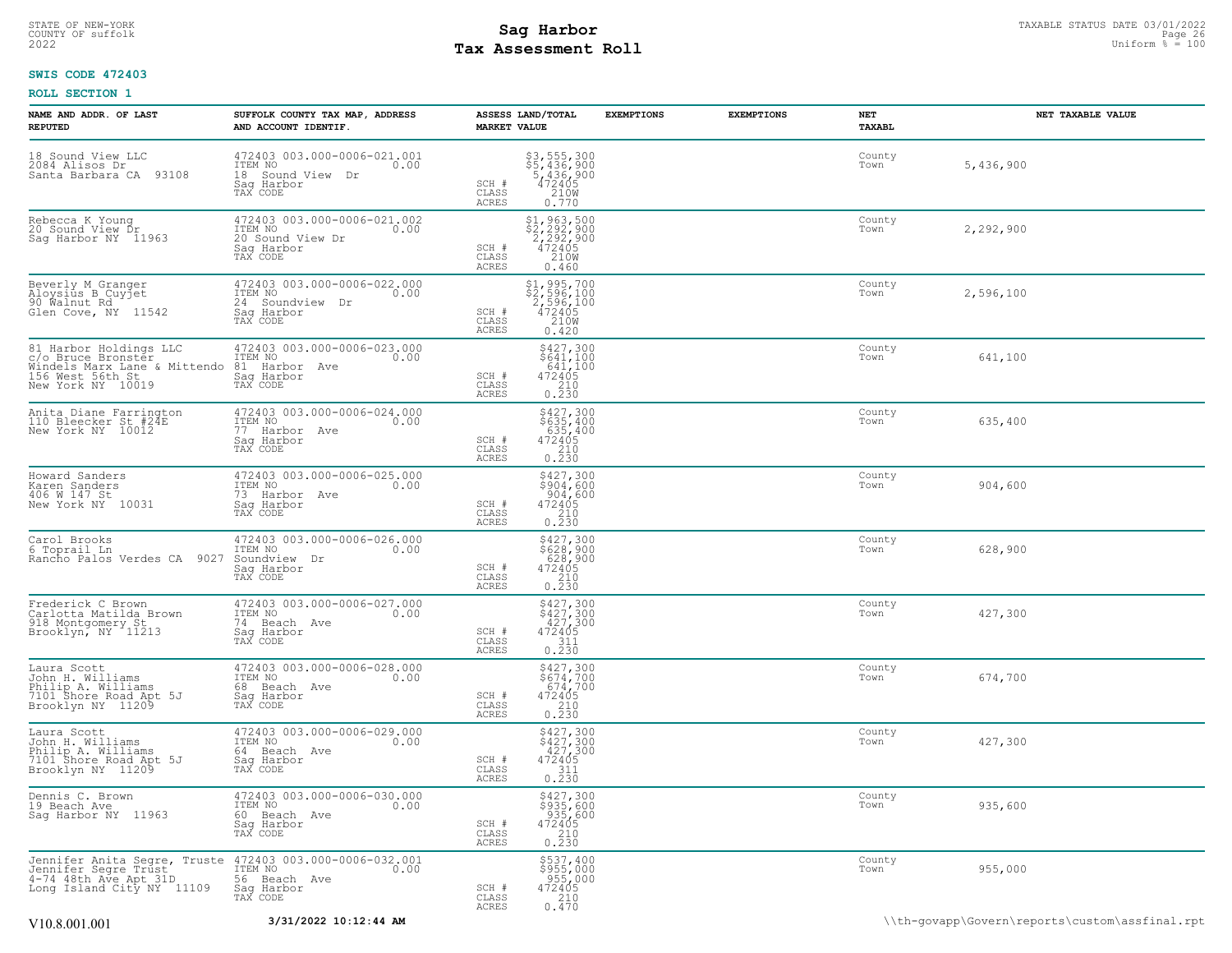# STATE OF NEW-YORK STATUS DATE 03/01/2022<br>
COUNTY OF suffolk Page 26 2007<br>
2022 Mage 26 2022 Uniform % = 100 **Tax Assessment Roll**

# **SWIS CODE 472403**

| NAME AND ADDR. OF LAST<br><b>REPUTED</b>                                                                              | SUFFOLK COUNTY TAX MAP, ADDRESS<br>AND ACCOUNT IDENTIF.                                       | ASSESS LAND/TOTAL<br><b>MARKET VALUE</b> |                                                                                                                                                                                    | <b>EXEMPTIONS</b> | <b>EXEMPTIONS</b> | NET<br>TAXABL  | NET TAXABLE VALUE |
|-----------------------------------------------------------------------------------------------------------------------|-----------------------------------------------------------------------------------------------|------------------------------------------|------------------------------------------------------------------------------------------------------------------------------------------------------------------------------------|-------------------|-------------------|----------------|-------------------|
| 18 Sound View LLC<br>2084 Alisos Dr<br>Santa Barbara CA 93108                                                         | 472403 003.000-0006-021.001<br>ITEM NO<br>0.00<br>18 Sound View Dr<br>Saq Harbor<br>TAX CODE  | SCH #<br>CLASS<br><b>ACRES</b>           | $$3, 555, 300$<br>$$5, 436, 900$<br>$$436, 900$<br>$472405$<br>$$2108$<br>0.770                                                                                                    |                   |                   | County<br>Town | 5,436,900         |
| Rebecca K Young<br>20 Sound View Dr<br>Sag Harbor NY 11963                                                            | 472403 003.000-0006-021.002<br>ITEM NO<br>0.00<br>20 Sound View Dr<br>Sag Harbor<br>TAX CODE  | SCH #<br>CLASS<br><b>ACRES</b>           | $$2, 292, 500$<br>$$2, 292, 900$<br>$$472405$<br>$$210W$<br>0.460                                                                                                                  |                   |                   | County<br>Town | 2,292,900         |
| Beverly M Granger<br>Aloysius B Cuyjet<br>90 Walnut Rd<br>Glen Cove, NY 11542                                         | 472403 003.000-0006-022.000<br>ITEM NO<br>0.00<br>24 Soundview Dr<br>Sag Harbor<br>TAX CODE   | SCH #<br>CLASS<br><b>ACRES</b>           | $$2,596,100$<br>$$2,596,100$<br>$2,596,100$<br>$472405$<br>$$210W$<br>0.420                                                                                                        |                   |                   | County<br>Town | 2,596,100         |
| 81 Harbor Holdings LLC<br>c/o Bruce Bronster<br>Windels Marx Lane & Mittendo<br>156 West 56th St<br>New York NY 10019 | 472403 003.000-0006-023.000<br>ITEM NO<br>0.00<br>81 Harbor Ave<br>Sag Harbor<br>TAX CODE     | SCH #<br>CLASS<br>ACRES                  | $$427,300$<br>$$641,100$<br>$641,100$<br>$472405$<br>$\begin{array}{c} 210 \\ 0.230 \end{array}$                                                                                   |                   |                   | County<br>Town | 641,100           |
| Anita Diane Farrington<br>110 Bleecker St #24E<br>New York NY 10012                                                   | 472403 003.000-0006-024.000<br>ITEM NO<br>0.00<br>77 Harbor Ave<br>Saq Harbor<br>TAX CODE     | SCH #<br>CLASS<br>ACRES                  | $$427,300$<br>$$635,400$<br>$635,400$<br>$472405$<br>$\begin{array}{c} 210 \\ 0.230 \end{array}$                                                                                   |                   |                   | County<br>Town | 635,400           |
| Howard Sanders<br>Karen Sanders<br>406 W 147 St<br>New York NY 10031                                                  | 472403 003.000-0006-025.000<br>ITEM NO<br>0.00<br>73 Harbor Ave<br>Sag Harbor<br>TAX CODE     | SCH #<br>CLASS<br>ACRES                  | \$427,300<br>\$904,600<br>904,600<br>472405<br>210<br>0.230                                                                                                                        |                   |                   | County<br>Town | 904,600           |
| Carol Brooks<br>6 Toprail Ln<br>9027<br>Rancho Palos Verdes CA                                                        | 472403 003.000-0006-026.000<br>ITEM NO<br>0.00<br>Soundview Dr<br>Saq Harbor<br>TAX CODE      | SCH #<br>CLASS<br><b>ACRES</b>           | \$427,300<br>\$628,900<br>628,900<br>$\begin{array}{r} 472405 \\ 210 \\ 0.230 \end{array}$                                                                                         |                   |                   | County<br>Town | 628,900           |
| Frederick C Brown<br>Carlotta Matilda Brown<br>918 Montgomery St<br>Brooklyn, NY 11213                                | 472403 003.000-0006-027.000<br>ITEM NO<br>0.00<br>74 Beach Ave<br>Saq Harbor<br>TAX CODE      | SCH #<br>CLASS<br>ACRES                  | $\begin{array}{l}  \texttt{\$427,300} \\  \texttt{\$427,300} \\  \texttt{\$427,300} \\  \texttt{\$427,300} \\  \texttt{\$1405} \\  \texttt{\$11} \\  \texttt{\$0.230} \end{array}$ |                   |                   | County<br>Town | 427,300           |
| Laura Scott<br>John H. Williams<br>Philip A. Williams<br>7101 Shore Road Apt 5J<br>Brooklyn NY 11209                  | 472403 003.000-0006-028.000<br>ITEM NO<br>0.00<br>68 Beach Ave<br>Sag Harbor<br>TAX CODE      | SCH #<br>CLASS<br>ACRES                  | $\begin{array}{r} 5427,300 \\ 5674,700 \\ 674,700 \\ 472405 \\ 210 \\ 0.230 \end{array}$                                                                                           |                   |                   | County<br>Town | 674,700           |
| Laura Scott<br>John H. Williams<br>Philip A. Williams<br>7101 Shore Road Apt 5J<br>Brooklyn NY 11209                  | 472403 003.000-0006-029.000<br>ITEM NO<br>0.00<br>64 Beach Ave<br>Saq Harbor<br>TAX CODE      | SCH #<br>CLASS<br><b>ACRES</b>           | $$427,300$<br>$$427,300$<br>$427,300$<br>$472405$<br>$311$<br>0.230                                                                                                                |                   |                   | County<br>Town | 427,300           |
| Dennis C. Brown<br>19 Beach Ave<br>Sag Harbor NY 11963                                                                | 472403 003.000-0006-030.000<br>TTEM NO 0.00<br>0.00<br>60 Beach Ave<br>Saq Harbor<br>TAX CODE | SCH #<br>CLASS<br><b>ACRES</b>           | \$427,300<br>$\frac{1}{2}$<br>$\frac{935}{935}$ , 600<br>472405<br>210<br>0.230                                                                                                    |                   |                   | County<br>Town | 935,600           |
| Jennifer Anita Segre, Truste<br>Jennifer Segre Trust<br>4-74 48th Ave Apt 31D<br>Long Island City NY 11109            | 472403 003.000-0006-032.001<br>ITEM NO 0.00<br>56 Beach Ave<br>Saq Harbor<br>TAX CODE         | SCH #<br>CLASS<br><b>ACRES</b>           | \$537,400<br>$$955,000$<br>955,000<br>472405<br>210<br>0.470                                                                                                                       |                   |                   | County<br>Town | 955,000           |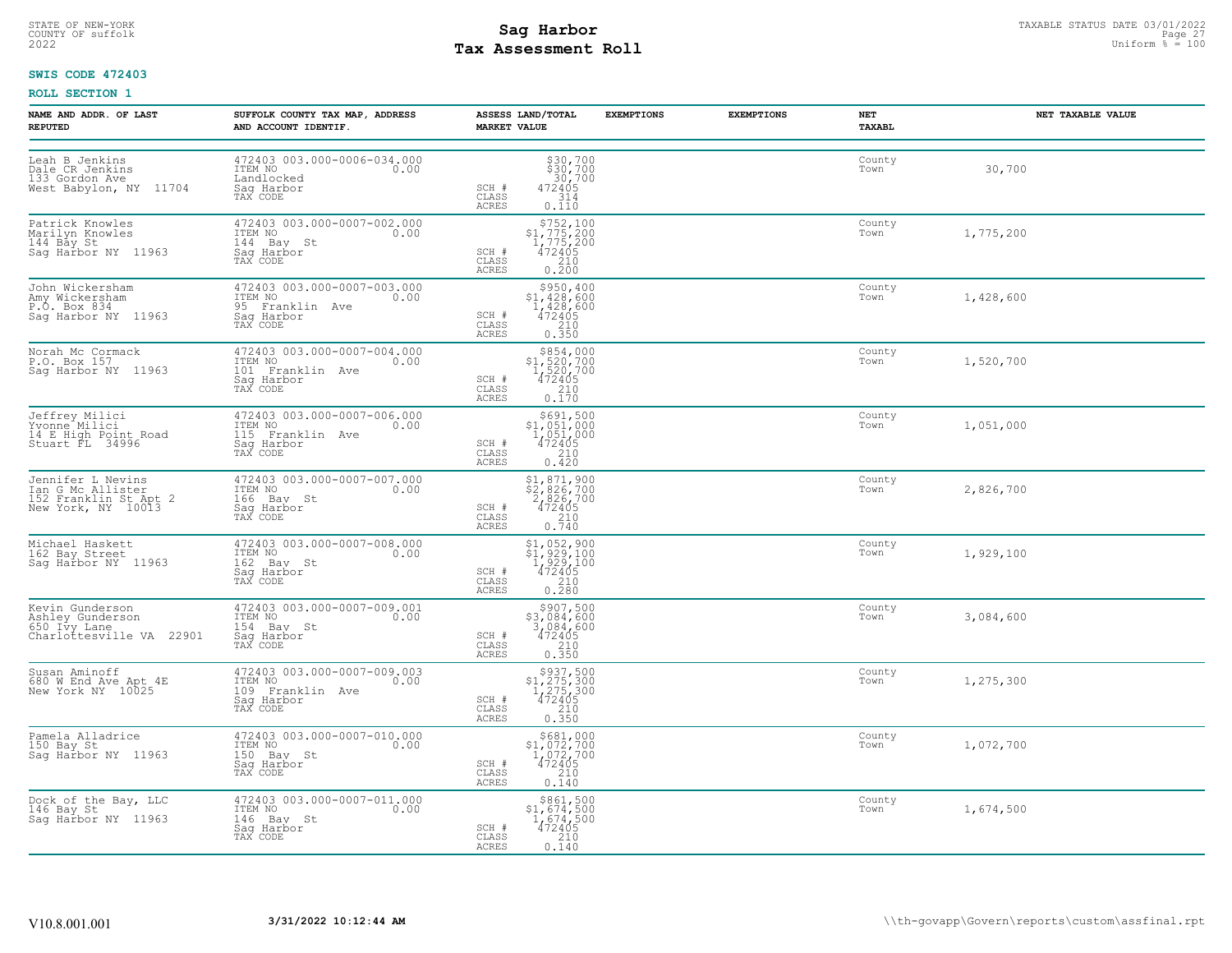# STATE OF NEW-YORK STATUS DATE 03/01/2022<br>
COUNTY OF suffolk Page 27 Taxable Status Page 27 Taxable Status Page 27<br>
2022 Mage 27 Assessment Roll **Tax Assessment Roll**

# **SWIS CODE 472403**

| NAME AND ADDR. OF LAST<br><b>REPUTED</b>                                              | SUFFOLK COUNTY TAX MAP, ADDRESS<br>AND ACCOUNT IDENTIF.                                      | ASSESS LAND/TOTAL<br><b>MARKET VALUE</b>                                                                                                                                                                           | <b>EXEMPTIONS</b><br><b>EXEMPTIONS</b> | NET<br><b>TAXABL</b> | NET TAXABLE VALUE |
|---------------------------------------------------------------------------------------|----------------------------------------------------------------------------------------------|--------------------------------------------------------------------------------------------------------------------------------------------------------------------------------------------------------------------|----------------------------------------|----------------------|-------------------|
| Leah B Jenkins<br>Dale CR Jenkins<br>133 Gordon Ave<br>West Babylon, NY 11704         | 472403 003.000-0006-034.000<br>ITEM NO<br>0.00<br>Landlocked<br>Sag Harbor<br>TAX CODE       | $$30,700$<br>$$30,700$<br>$30,700$<br>SCH #<br>472405<br>CLASS<br>$\frac{314}{0.110}$<br><b>ACRES</b>                                                                                                              |                                        | County<br>Town       | 30,700            |
| Patrick Knowles<br>Marilyn Knowles<br>144 Bay St<br>Sag Harbor NY 11963               | 472403 003.000-0007-002.000<br>ITEM NO<br>0.00<br>144 Bay St<br>Saq Harbor<br>TAX CODE       | $$752,100$<br>$$1,775,200$<br>$1,775,200$<br>$472405$<br>SCH #<br>$\begin{array}{c} 210 \\ 0.200 \end{array}$<br>CLASS<br>ACRES                                                                                    |                                        | County<br>Town       | 1,775,200         |
| John Wickersham<br>Amny Wickersham<br>P.O. Box 834<br>Sag Harbor NY 11963             | 472403 003.000-0007-003.000<br>ITEM NO 0.00<br>95 Franklin Ave<br>Saq Harbor<br>TAX CODE     | $\begin{array}{r}  \  \  \,  \,  \, 5950,400 \\  \  \, 1,428,600 \\  \  \, 1,428,600 \\  \  \, 472405 \\  \  \, 210 \\  \  \, 0.350 \end{array}$<br>SCH #<br>CLASS<br><b>ACRES</b>                                 |                                        | County<br>Town       | 1,428,600         |
| Norah Mc Cormack<br>r.o. Box 157<br>P.O. Box 157<br>Sag Harbor NY 11963               | 472403 003.000-0007-004.000<br>ITEM NO<br>0.00<br>101 Franklin Ave<br>Sag Harbor<br>TAX CODE | $\begin{array}{r} $854,000 \\ $1,520,700 \\ $1,520,700 \\ $472405 \\ $2.10 \end{array}$<br>SCH #<br>CLASS<br><b>ACRES</b><br>0.170                                                                                 |                                        | County<br>Town       | 1,520,700         |
| Jeffrey Milici<br>Yoonne Milici<br>14 E High Point Road<br>Stuart FL 34996            | 472403 003.000-0007-006.000<br>ITEM NO<br>0.00<br>115 Franklin Ave<br>Sag Harbor<br>TAX CODE | $$^{5691,500}_{1,051,000}$<br>1,051,000<br>472405<br>SCH #<br>210<br>CLASS<br>ACRES<br>0.420                                                                                                                       |                                        | County<br>Town       | 1,051,000         |
| Jennifer L Nevins<br>Ian G Mc Allister<br>152 Franklin St Apt 2<br>New York, NY 10013 | 472403 003.000-0007-007.000<br>TTEM NO 0.00<br>166 Bay St<br>Saq Harbor<br>TAX CODE          | \$1,871,900<br>\$2,826,700<br>2,826,700<br>472405<br>SCH #<br>CLASS<br>$\frac{210}{0.740}$<br><b>ACRES</b>                                                                                                         |                                        | County<br>Town       | 2,826,700         |
| Michael Haskett<br>162 Bay Street<br>Saq Harbor NY 11963                              | 472403 003.000-0007-008.000<br>ITEM NO<br>0.00<br>162 Bay St<br>Saq Harbor<br>TAX CODE       | $\begin{array}{r} \texttt{\$1,\,052,\,900}\ \texttt{\$1,\,929,\,100}\ \texttt{1,\,929,\,100}\ \texttt{1,\,929,\,100}\ \texttt{472405}\ \texttt{210}\ \texttt{0.280} \end{array}$<br>SCH #<br>CLASS<br><b>ACRES</b> |                                        | County<br>Town       | 1,929,100         |
| Kevin Gunderson<br>Ashley Gunderson<br>650 Ivy Lane<br>Charlottesville VA 22901       | 472403 003.000-0007-009.001<br>ITEM NO<br>0.00<br>154 Bay St<br>Sag Harbor<br>TAX CODE       | $\begin{array}{r} \xi 907, 500 \\ \xi 3, 084, 600 \\ 3, 084, 600 \\ 472405 \\ 210 \\ 0.350 \end{array}$<br>SCH #<br>CLASS<br>ACRES                                                                                 |                                        | County<br>Town       | 3,084,600         |
| Susan Aminoff<br>680 W End Ave Apt 4E<br>New York NY 10025                            | 472403 003.000-0007-009.003<br>ITEM NO<br>0.00<br>109 Franklin Ave<br>Sag Harbor<br>TAX CODE | $\begin{array}{r} 5937,500 \\ 51,275,300 \\ 1,275,300 \\ 472405 \\ 210 \end{array}$<br>SCH #<br>CLASS<br>0.350<br><b>ACRES</b>                                                                                     |                                        | County<br>Town       | 1,275,300         |
| Pamela Alladrice<br>150 Bay St<br>Sag Harbor NY 11963                                 | 472403 003.000-0007-010.000<br>ITEM NO<br>0.00<br>150 Bay St<br>Saq Harbor<br>TAX CODE       | $$681,000$<br>$$1,072,700$<br>$1,072,700$<br>$472405$<br>SCH #<br>CLASS<br>$\begin{array}{c} 210 \\ 0.140 \end{array}$<br>ACRES                                                                                    |                                        | County<br>Town       | 1,072,700         |
| Dock of the Bay, LLC<br>146 Bay St<br>Saq Harbor NY 11963                             | 472403 003.000-0007-011.000<br>ITEM NO 0.00<br>146 Bay St<br>Sag Harbor<br>TAX CODE          | $$861,500$<br>$$1,674,500$<br>$1,674,500$<br>SCH #<br>472405<br>CLASS<br>210<br>ACRES<br>0.140                                                                                                                     |                                        | County<br>Town       | 1,674,500         |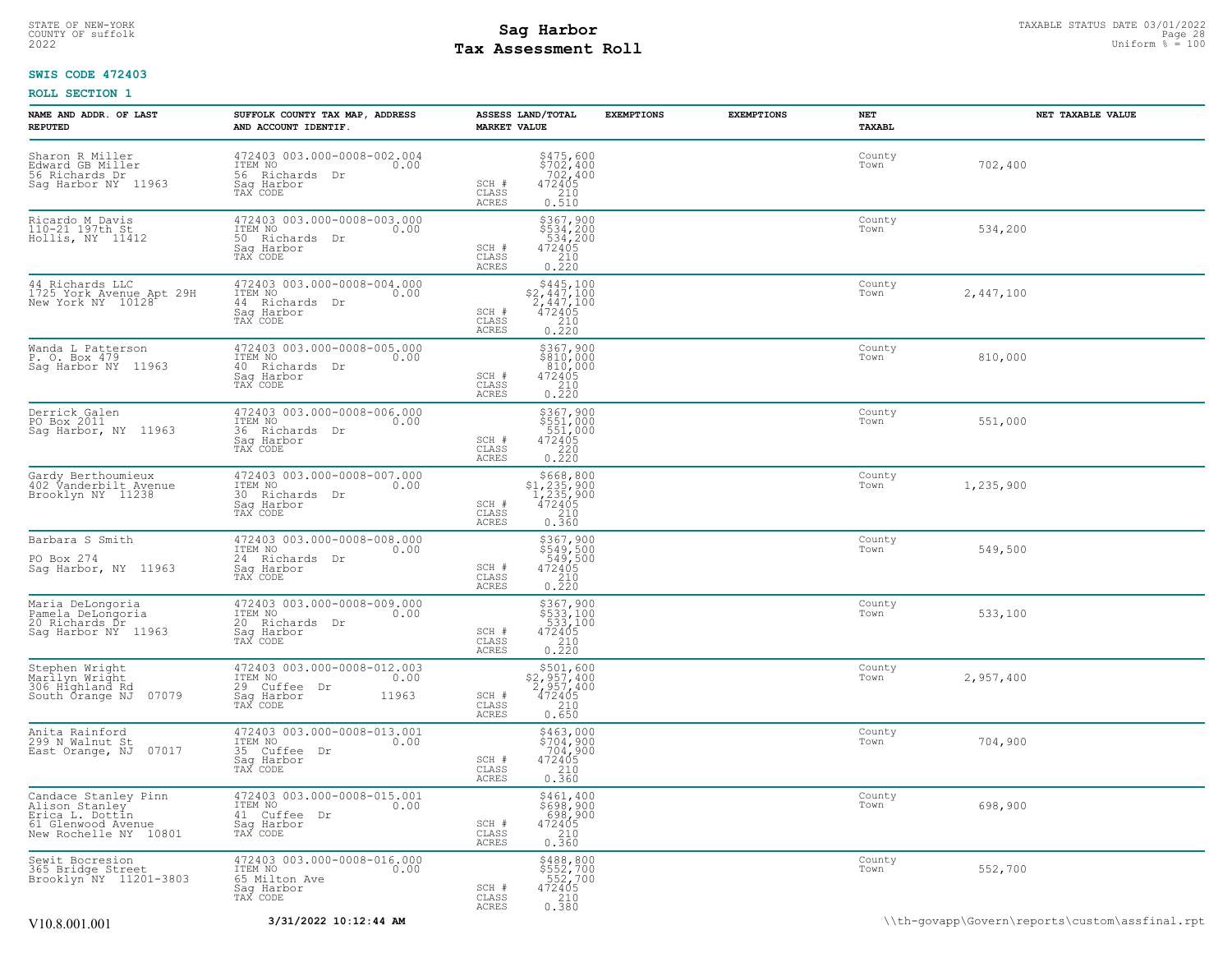# STATE OF NEW-YORK STATUS DATE 03/01/2022<br>
COUNTY OF suffolk Page 28 and County of Sages and Page 28 and County of Sages and Page 28 and County of Sages and Page 28<br>
2022 Mages and Page 28 and Page 28 and Page 28 and Page 2 **Tax Assessment Roll**

# **SWIS CODE 472403**

| NAME AND ADDR. OF LAST<br><b>REPUTED</b>                                                                              | SUFFOLK COUNTY TAX MAP, ADDRESS<br>AND ACCOUNT IDENTIF.                                           | ASSESS LAND/TOTAL<br><b>MARKET VALUE</b>                                                                                                                                                                                                                                                      | <b>EXEMPTIONS</b> | <b>EXEMPTIONS</b> | NET<br><b>TAXABL</b> | NET TAXABLE VALUE |
|-----------------------------------------------------------------------------------------------------------------------|---------------------------------------------------------------------------------------------------|-----------------------------------------------------------------------------------------------------------------------------------------------------------------------------------------------------------------------------------------------------------------------------------------------|-------------------|-------------------|----------------------|-------------------|
| Sharon R Miller<br>Edward GB Miller<br>56 Richards Dr<br>Sag Harbor NY 11963                                          | 472403 003.000-0008-002.004<br>ITEM NO 0.00<br>56 Richards Dr<br>Saq Harbor<br>TAX CODE           | $$475,600$<br>$$702,400$<br>$$702,400$<br>SCH #<br>472405<br>210<br>CLASS<br>0.510<br><b>ACRES</b>                                                                                                                                                                                            |                   |                   | County<br>Town       | 702,400           |
| Ricardo M Davis<br>110-21 197th St<br>Hollis, NY 11412                                                                | 472403 003.000-0008-003.000<br>ITEM NO<br>0.00<br>50 Richards Dr<br>Sag Harbor<br>TAX CODE        | $\begin{array}{r} \hline \texttt{\small $5367,900$} \\ \texttt{\small $5534,200$} \\ \texttt{\small $534,200$} \\ \texttt{\small 72405} \\ \texttt{\small 210} \\ \texttt{\small 0.220} \end{array}$<br>$\begin{array}{c} \text{SCH} \ \text{\#} \\ \text{CLASS} \end{array}$<br><b>ACRES</b> |                   |                   | County<br>Town       | 534,200           |
| 44 Richards LLC<br>1725 York Avenue Apt 29H<br>New York NY 10128                                                      | 472403 003.000-0008-004.000<br>ITEM NO<br>0.00<br>44 Richards Dr<br>Saq Harbor<br>TAX CODE        | $\begin{array}{r}  \  \  \,  \, 5445,100 \\  \  \, 2,447,100 \\  \  \, 2,447,100 \\  \  \, 472405 \\  \  \, 210 \\  \  \, 0.220 \end{array}$<br>SCH #<br>CLASS<br>ACRES                                                                                                                       |                   |                   | County<br>Town       | 2,447,100         |
| Wanda L Patterson<br>P. O. Box 479<br>Saq Harbor NY 11963                                                             | 472403 003.000-0008-005.000<br>ITEM NO<br>0.00<br>40 Richards Dr<br>Sag Harbor<br>TAX CODE        | \$367,900<br>\$810,000<br>$\begin{array}{r} 810,000 \\ 810,000 \\ 472405 \\ 210 \\ 0.220 \end{array}$<br>SCH #<br>CLASS<br><b>ACRES</b>                                                                                                                                                       |                   |                   | County<br>Town       | 810,000           |
| Derrick Galen<br>PO Box 2011<br>Sag Harbor, NY 11963                                                                  | 472403 003.000-0008-006.000<br>ITEM NO<br>0.00<br>36 Richards Dr<br>Saq Harbor<br>TAX CODE        | \$367,900<br>\$551,000<br>551,000<br>472405<br>SCH #<br>CLASS<br>0.220<br><b>ACRES</b>                                                                                                                                                                                                        |                   |                   | County<br>Town       | 551,000           |
| Gardy Berthoumieux<br>402 Vanderbilt Avenue<br>Brooklyn NY 11238                                                      | 472403 003.000-0008-007.000<br>ITEM NO<br>0.00<br>30 Richards Dr<br>Sag Harbor<br>TAX CODE        | $$668, 800$<br>$$1, 235, 900$<br>$1, 235, 900$<br>$472405$<br>$$210$<br>$\begin{array}{c} \text{SCH} \ \text{\#} \\ \text{CLASS} \end{array}$<br><b>ACRES</b><br>0.360                                                                                                                        |                   |                   | County<br>Town       | 1,235,900         |
| Barbara S Smith<br>PO Box 274<br>Sag Harbor, NY 11963                                                                 | 472403 003.000-0008-008.000<br>ITEM NO<br>0.00<br>24 Richards Dr<br>Saq Harbor<br>TAX CODE        | \$367,900<br>\$549,500<br>549,500<br>472405<br>210<br>0.220<br>SCH #<br>CLASS<br>ACRES                                                                                                                                                                                                        |                   |                   | County<br>Town       | 549,500           |
| Maria DeLongoria<br>Pamela DeLongoria<br>20 Richards Ďr<br>Sag Harbor NY 11963                                        | 472403 003.000-0008-009.000<br>ITEM NO<br>0.00<br>20 Richards Dr<br>Saq Harbor<br>TAX CODE        | \$367,900<br>\$533,100<br>533,100<br>SCH #<br>$\begin{array}{r} 472405 \\ 210 \\ 0.220 \end{array}$<br>CLASS<br>ACRES                                                                                                                                                                         |                   |                   | County<br>Town       | 533,100           |
| Stephen Wright<br>Marilyn Wright<br>306 Highland Rd<br>South Orange NJ 07079                                          | 472403 003.000-0008-012.003<br>ITEM NO<br>0.00<br>29 Cuffee Dr<br>Sag Harbor<br>11963<br>TAX CODE | $\begin{array}{r} \text{\small $>$501$, 600} \\ \text{\small $>$2$, 957, 400} \\ \text{\small $2$, 957, 400} \\ \text{\small $472405} \\ \text{\small $0.650} \end{array}$<br>SCH #<br>CLASS<br><b>ACRES</b>                                                                                  |                   |                   | County<br>Town       | 2,957,400         |
| Anita Rainford<br>299 N_Walnut St<br>East Orange, NJ 07017                                                            | 472403 003.000-0008-013.001<br>ITEM NO<br>0.00<br>35 Cuffee Dr<br>Sag Harbor<br>TAX CODE          | \$463,000<br>\$704,900<br>704,900<br>472405<br>210<br>0.360<br>SCH #<br>CLASS<br>ACRES                                                                                                                                                                                                        |                   |                   | County<br>Town       | 704,900           |
| Candace Stanley Pinn<br>Alison Stanley <sup>-</sup><br>Erica L. Dottin<br>61 Glenwood Avenue<br>New Rochelle NY 10801 | 472403 003.000-0008-015.001<br>ITEM NO<br>0.00<br>41 Cuffee Dr<br>Sag Harbor<br>TAX CODE          | \$461,400<br>\$698,900<br>698,900<br>472405<br>210<br>230<br>SCH #<br>CLASS<br>ACRES<br>0.360                                                                                                                                                                                                 |                   |                   | County<br>Town       | 698,900           |
| Sewit Bocresion<br>365 Bridge Street<br>Brooklyn NY 11201-3803                                                        | 472403 003.000-0008-016.000<br>ITEM NO<br>0.00<br>65 Milton Ave<br>Sag Harbor<br>TAX CODE         | \$488,800<br>\$552,700<br>552,700<br>472405<br>SCH #<br>CLASS<br>$\begin{array}{c} 210 \\ 0.380 \end{array}$<br><b>ACRES</b>                                                                                                                                                                  |                   |                   | County<br>Town       | 552,700           |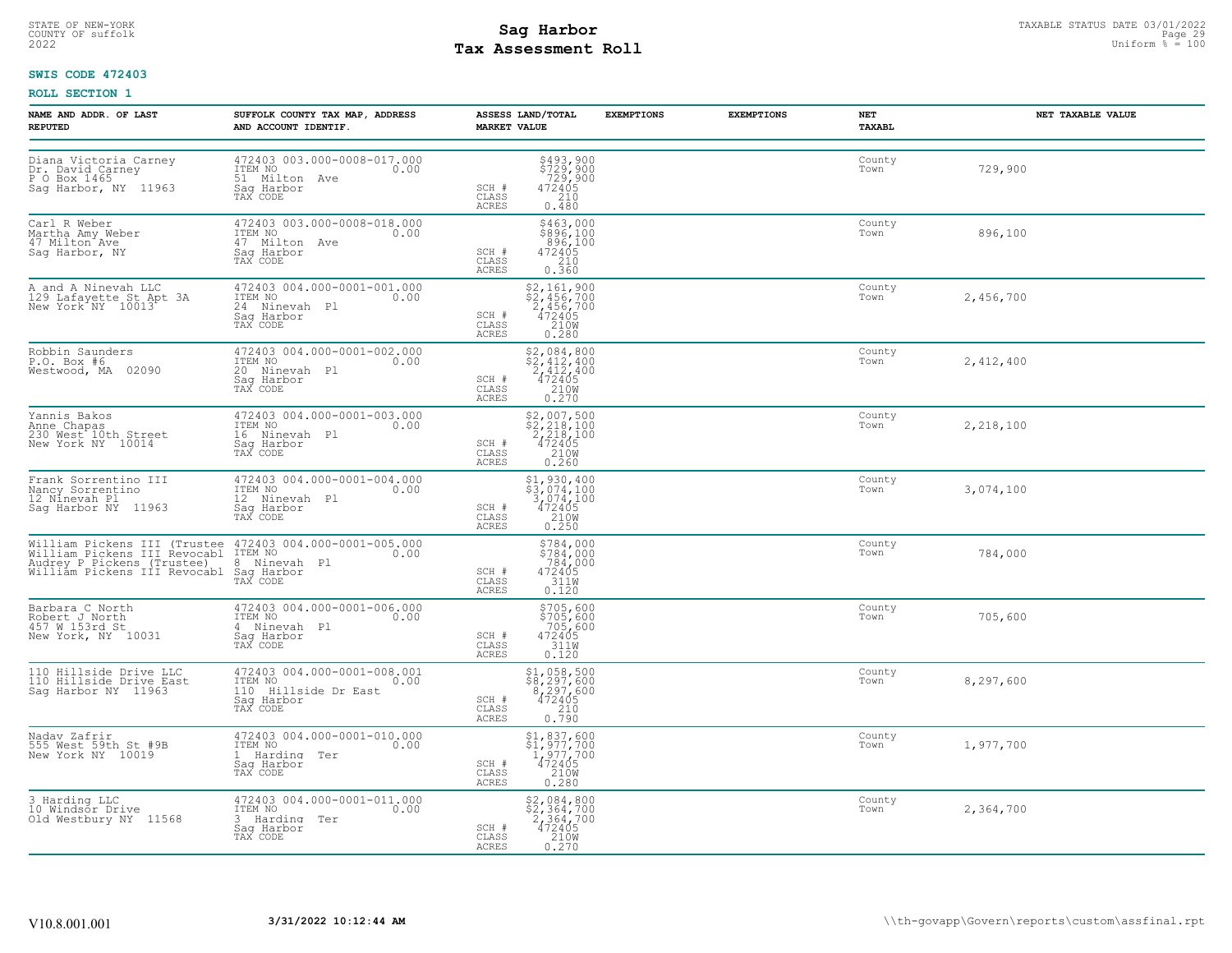# STATE OF NEW-YORK STATUS DATE 03/01/2022<br>
COUNTY OF suffolk Page 29 and County of Sages and Page 29 and County of Sages and Page 29 and County of Sages and Page 29<br>
2022 Mages and Page 2022 and County Page 2022 Uniform % = **Tax Assessment Roll**

# **SWIS CODE 472403**

| NAME AND ADDR. OF LAST<br><b>REPUTED</b>                                          | SUFFOLK COUNTY TAX MAP, ADDRESS<br>AND ACCOUNT IDENTIF.                                                                                                                                                          | ASSESS LAND/TOTAL<br><b>MARKET VALUE</b>                                                                                                                                                                                             | <b>EXEMPTIONS</b> | <b>EXEMPTIONS</b> | NET<br><b>TAXABL</b> | NET TAXABLE VALUE |
|-----------------------------------------------------------------------------------|------------------------------------------------------------------------------------------------------------------------------------------------------------------------------------------------------------------|--------------------------------------------------------------------------------------------------------------------------------------------------------------------------------------------------------------------------------------|-------------------|-------------------|----------------------|-------------------|
| Diana Victoria Carney<br>Dr. David Carney<br>P O Box 1465<br>Saq Harbor, NY 11963 | 472403 003.000-0008-017.000<br>ITEM NO<br>0.00<br>51 Milton Ave<br>Sag Harbor<br>TAX CODE                                                                                                                        | \$493,900<br>\$729,900<br>729,900<br>472405<br>210<br>SCH #<br>CLASS<br>0.480<br>ACRES                                                                                                                                               |                   |                   | County<br>Town       | 729,900           |
| Carl R Weber<br>Martha Amy Weber<br>47 Milton Ave<br>Sag Harbor, NY               | 472403 003.000-0008-018.000<br>ITEM NO<br>0.00<br>47 Milton Ave<br>Saq Harbor<br>TAX CODE                                                                                                                        | \$463,000<br>\$896,100<br>896,100<br>472405<br>SCH #<br>CLASS<br>0.360<br>ACRES                                                                                                                                                      |                   |                   | County<br>Town       | 896,100           |
| A and A Ninevah LLC<br>129 Lafayette St Apt 3A<br>New York NY 10013               | 472403 004.000-0001-001.000<br>ITEM NO 0.00<br>24 Ninevah Pl<br>Saq Harbor<br>TAX CODE                                                                                                                           | $$2,161,900$<br>$$2,456,700$<br>$2,456,700$<br>$472405$<br>$2108$<br>SCH #<br>CLASS<br>ACRES<br>0.280                                                                                                                                |                   |                   | County<br>Town       | 2,456,700         |
| Robbin Saunders<br>P.O. Box #6<br>Westwood, MA 02090                              | 472403 004.000-0001-002.000<br>ITEM NO<br>0.00<br>20 Ninevah Pl<br>Saq Harbor<br>TAX CODE                                                                                                                        | \$2,084,800<br>$\frac{1}{2}, \frac{2}{412}, \frac{400}{400}$<br>472405<br>SCH #<br>CLASS<br>$\frac{210W}{0.270}$<br>ACRES                                                                                                            |                   |                   | County<br>Town       | 2,412,400         |
| Yannis Bakos<br>Anne Chapas<br>230 West 10th Street<br>New York NY 10014          | 472403 004.000-0001-003.000<br>1TEM NO 0.00<br>16 Ninevah Pl<br>Sag Harbor<br>TAX CODE                                                                                                                           | $\begin{array}{c} \text{\small $52$, 007, 500} \\ \text{\small $52$, 218, 100} \\ \text{\small $2$, 218, 100} \\ \text{\small $472405} \\ \text{\small $210W} \\ \text{\small $0.260} \end{array}$<br>SCH #<br>CLASS<br><b>ACRES</b> |                   |                   | County<br>Town       | 2,218,100         |
| Frank Sorrentino III<br>Nancy Sorrentino<br>12 Ninevah Pl<br>Saq Harbor NY 11963  | 472403 004.000-0001-004.000<br>ITEM NO<br>0.00<br>12 Ninevah Pl<br>Saq Harbor<br>TAX CODE                                                                                                                        | $\begin{array}{r} \texttt{\$1$, 930$, 400} \\ \texttt{\$3$, 074, 100} \\ \texttt{\$72405} \\ 472405 \\ 210 \texttt{W} \\ 0.250 \end{array}$<br>SCH #<br>CLASS<br><b>ACRES</b>                                                        |                   |                   | County<br>Town       | 3,074,100         |
|                                                                                   | William Pickens III (Trustee 472403 004.000-0001-005.000<br>William Pickens III Revocabl ITEM NO 0.00<br>Audrey P Pickens (Trustee) 8 Ninevah Pl<br>William Pickens III Revocabl Saq Harbor<br>TAX CODE TAX CODE | $$784,000$<br>$$784,000$<br>$784,000$<br>472405<br>311M<br>SCH #<br>CLASS<br>ACRES<br>0.120                                                                                                                                          |                   |                   | County<br>Town       | 784,000           |
| Barbara C North<br>Robert J North<br>457 W 153rd St<br>New York, NY 10031         | 472403 004.000-0001-006.000<br>1TEM NO 0.00<br>4 Ninevah Pl<br>Sag Harbor<br>TAX CODE                                                                                                                            | $$705,600$<br>$$705,600$<br>$705,600$<br>$472405$<br>$311W$<br>SCH #<br>CLASS<br>ACRES<br>0.120                                                                                                                                      |                   |                   | County<br>Town       | 705,600           |
| 110 Hillside Drive LLC<br>110 Hillside Drive East<br>Sag Harbor NY 11963          | 472403 004.000-0001-008.001<br>ITEM NO. 0.00<br>110 Hillside Dr East<br>Sag Harbor<br>TAX CODE                                                                                                                   | \$1,058,500<br>\$8,297,600<br>8,297,600<br>472405<br>210<br>0.790<br>SCH #<br>CLASS<br><b>ACRES</b>                                                                                                                                  |                   |                   | County<br>Town       | 8,297,600         |
| Nadav Zafrir<br>555 West 59th St #9B<br>New York NY 10019                         | 472403 004.000-0001-010.000<br>ITEM NO<br>0.00<br>1 Harding Ter<br>Saq Harbor<br>TAX CODE                                                                                                                        | $$1,837,600$<br>$$1,977,700$<br>$1,977,700$<br>$472405$<br>SCH #<br>CLASS<br>210W<br>ACRES<br>0.280                                                                                                                                  |                   |                   | County<br>Town       | 1,977,700         |
| 3 Harding LLC<br>10 Windsor Drive<br>Old Westbury NY 11568                        | 472403 004.000-0001-011.000<br>ITEM NO 0.00<br>3 Harding Ter<br>Sag Harbor<br>TAX CODE                                                                                                                           | $\begin{array}{c} \text{\small $52$, 084$, 800}\\ \text{\small $52$, 364, 700}\\ 2,364,700\\ 472405\\ 210\text{W}\\ 0.270 \end{array}$<br>SCH #<br>CLASS<br>ACRES                                                                    |                   |                   | County<br>Town       | 2,364,700         |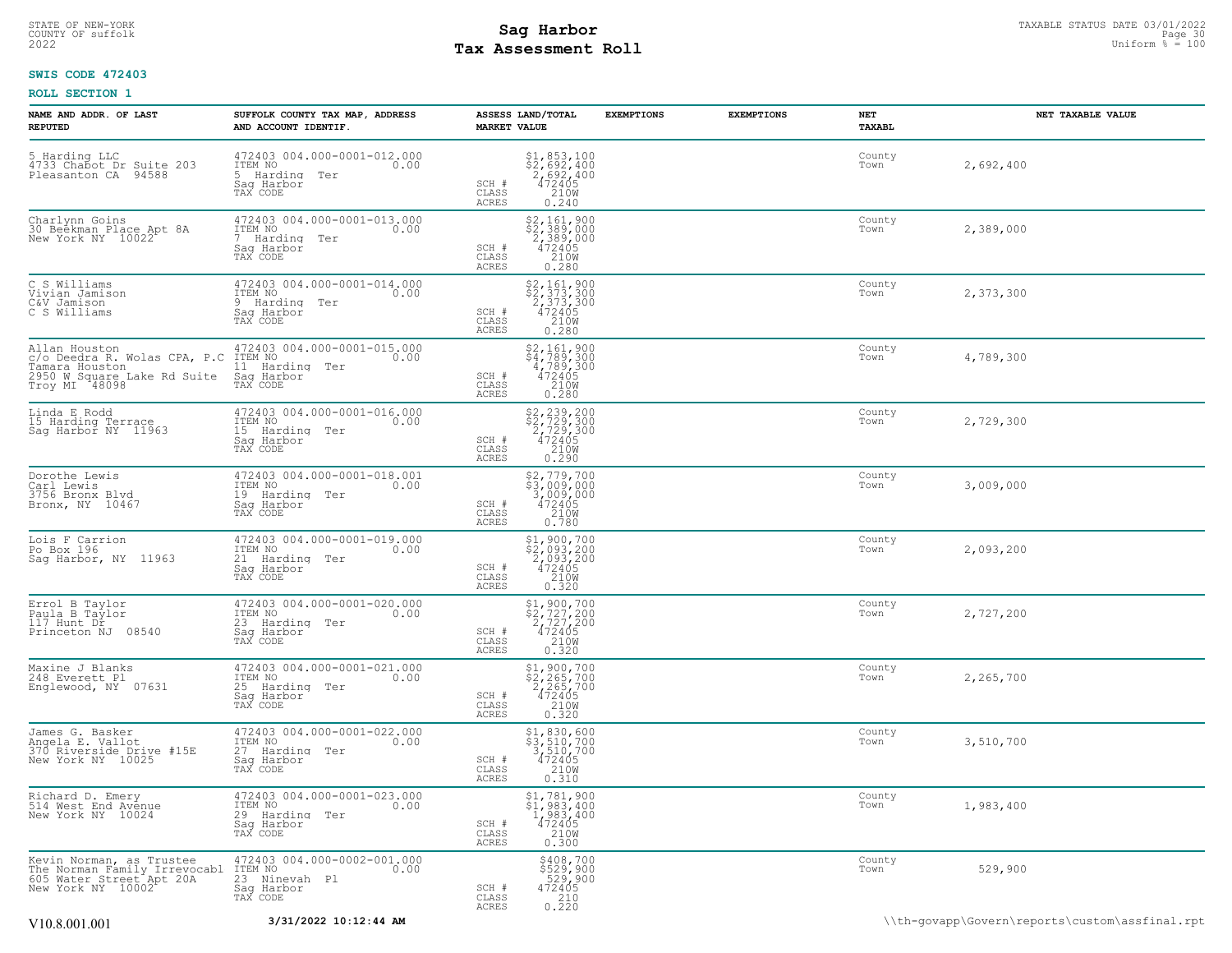# STATE OF NEW-YORK STATUS DATE 03/01/2022<br>
COUNTY OF suffolk Page 30 Description of the suffolk Page 30 Description of the suffolk Page 30<br>
2022 Pay Assessment Roll **Tax Assessment Roll**

# **SWIS CODE 472403**

| NAME AND ADDR. OF LAST<br><b>REPUTED</b>                                                                        | SUFFOLK COUNTY TAX MAP, ADDRESS<br>AND ACCOUNT IDENTIF.                                                | <b>EXEMPTIONS</b><br>ASSESS LAND/TOTAL<br><b>MARKET VALUE</b>                                                                                | <b>EXEMPTIONS</b> | NET<br>TAXABL  | NET TAXABLE VALUE                              |
|-----------------------------------------------------------------------------------------------------------------|--------------------------------------------------------------------------------------------------------|----------------------------------------------------------------------------------------------------------------------------------------------|-------------------|----------------|------------------------------------------------|
| 5 Harding LLC<br>4733 Chabot Dr Suite 203<br>Pleasanton CA 94588                                                | 472403 004.000-0001-012.000<br>TTEM NO 0.00<br>5 Harding Ter<br>Saq Harbor<br>TAX CODE                 | $\begin{array}{r} 51,853,100 \\ 52,692,400 \\ 2,692,400 \\ 472405 \\ 210W \\ 0.240 \end{array}$<br>SCH #<br>CLASS<br>ACRES                   |                   | County<br>Town | 2,692,400                                      |
| Charlynn Goins<br>30 Beekman Place Apt 8A<br>New York NY 10022                                                  | 472403 004.000-0001-013.000<br>ITEM NO<br>0.00<br>$7^{\circ}$<br>Harding Ter<br>Sag Harbor<br>TAX CODE | $$2,161,900$<br>$$2,389,000$<br>$2,389,000$<br>$472405$<br>SCH #<br>210W<br>CLASS<br>ACRES<br>0.280                                          |                   | County<br>Town | 2,389,000                                      |
| C S Williams<br>Vivian Jamison<br>C&V Jamison<br>C S Williams                                                   | 472403 004.000-0001-014.000<br>ITEM NO<br>0.00<br>9<br>Harding Ter<br>Sag Harbor<br>TAX CODE           | \$2,161,900<br>\$2,373,300<br>2,373,300<br>$\begin{smallmatrix} 472405\\ 210W\\ 0.280 \end{smallmatrix}$<br>$SCH$ #<br>CLASS<br><b>ACRES</b> |                   | County<br>Town | 2,373,300                                      |
| Allan Houston<br>c/o Deedra R. Wolas CPA, P.C<br>Tamara Houston<br>2950 W Square Lake Rd Suite<br>Troy MI 48098 | 472403 004.000-0001-015.000<br>ITEM NO<br>0.00<br>11 Harding Ter<br>Saq Harbor<br>TAX CODE             | \$2,161,900<br>\$4,789,300<br>4,789,300<br>472405<br>210W<br>SCH #<br>CLASS<br>ACRES<br>0.280                                                |                   | County<br>Town | 4,789,300                                      |
| Linda E Rodd<br>15 Harding Terrace<br>Sag Harbor NY 11963                                                       | 472403 004.000-0001-016.000<br>TTEM NO 0.00<br>15 Harding Ter<br>Saq Harbor<br>TAX CODE                | $\begin{array}{r} 52, 239, 200 \\ 52, 729, 300 \\ 2, 729, 300 \\ 472405 \\ 210W \\ 0.290 \end{array}$<br>SCH #<br>CLASS<br>ACRES             |                   | County<br>Town | 2,729,300                                      |
| Dorothe Lewis<br>Carl Lewis<br>3756 Bronx Blvd<br>Bronx, NY 10467                                               | 472403 004.000-0001-018.001<br>ITEM NO<br>0.00<br>19 Harding Ter<br>Sag Harbor<br>TAX CODE             | \$2,779,700<br>\$3,009,000<br>3,009,000<br>472405<br>SCH #<br>CLASS<br>210W<br>ACRES<br>0.780                                                |                   | County<br>Town | 3,009,000                                      |
| Lois F Carrion<br>Po Box 196<br>Sag Harbor, NY 11963                                                            | 472403 004.000-0001-019.000<br>ITEM NO<br>0.00<br>21 Harding Ter<br>Saq Harbor<br>TAX CODE             | \$1,900,700<br>\$2,093,200<br>2,093,200<br>SCH #<br>472405<br>210W<br>CLASS<br>ACRES<br>0.320                                                |                   | County<br>Town | 2,093,200                                      |
| Errol B Taylor<br>Paula B Taylor<br>117 Hunt Dr<br>Princeton NJ 08540                                           | 472403 004.000-0001-020.000<br>ITEM NO<br>0.00<br>23 Harding Ter<br>Saq Harbor<br>TAX CODE             | $$2, 727, 200$<br>$$2, 727, 200$<br>$472405$<br>$$210W$<br>SCH #<br>CLASS<br>ACRES<br>0.320                                                  |                   | County<br>Town | 2,727,200                                      |
| Maxine J Blanks<br>248 Everett Pl<br>Englewood, NY 07631                                                        | 472403 004.000-0001-021.000<br>ITEM NO<br>0.00<br>25<br>Harding<br>Ter<br>Sag Harbor<br>TAX CODE       | \$1,900,700<br>$\frac{22,265,700}{2,265,700}$<br>472405<br>2108<br>SCH #<br>CLASS<br>ACRES<br>0.320                                          |                   | County<br>Town | 2,265,700                                      |
| James G. Basker<br>Angela E. Vallot<br>370 Riverside Drive #15E<br>New York NY 10025                            | 472403 004.000-0001-022.000<br>ITEM NO<br>0.00<br>27 Harding<br>Ter<br>Saq Harbor<br>TAX CODE          | $$3, 830, 600$<br>$$3, 510, 700$<br>$3, 510, 700$<br>$472405$<br>$$210M$<br>SCH #<br>CLASS<br>0.310<br>ACRES                                 |                   | County<br>Town | 3,510,700                                      |
| Richard D. Emery<br>514 West End Avenue<br>New York NY 10024                                                    | 472403 004.000-0001-023.000<br>ITEM NO<br>0.00<br>29 Harding Ter<br>Saq Harbor<br>TAX CODE             | \$1,781,900<br>\$1,983,400<br>1,983,400<br>SCH #<br>CLASS<br>$\frac{472405}{210}$<br><b>ACRES</b><br>0.300                                   |                   | County<br>Town | 1,983,400                                      |
| Kevin Norman, as Trustee<br>The Norman Family Irrevocabl<br>605 Water Street Apt 20A                            | 472403 004.000-0002-001.000<br>0.00 0.00<br>23 Ninevah Pl<br>Sag Harbor<br>TAX CODE                    | \$408,700<br>\$529,900<br>529,900<br>472405<br>SCH #<br>$\begin{array}{c} 210 \\ 0.220 \end{array}$<br>CLASS<br>ACRES                        |                   | County<br>Town | 529,900                                        |
| V10.8.001.001                                                                                                   | 3/31/2022 10:12:44 AM                                                                                  |                                                                                                                                              |                   |                | \\th-qovapp\Govern\reports\custom\assfinal.rpt |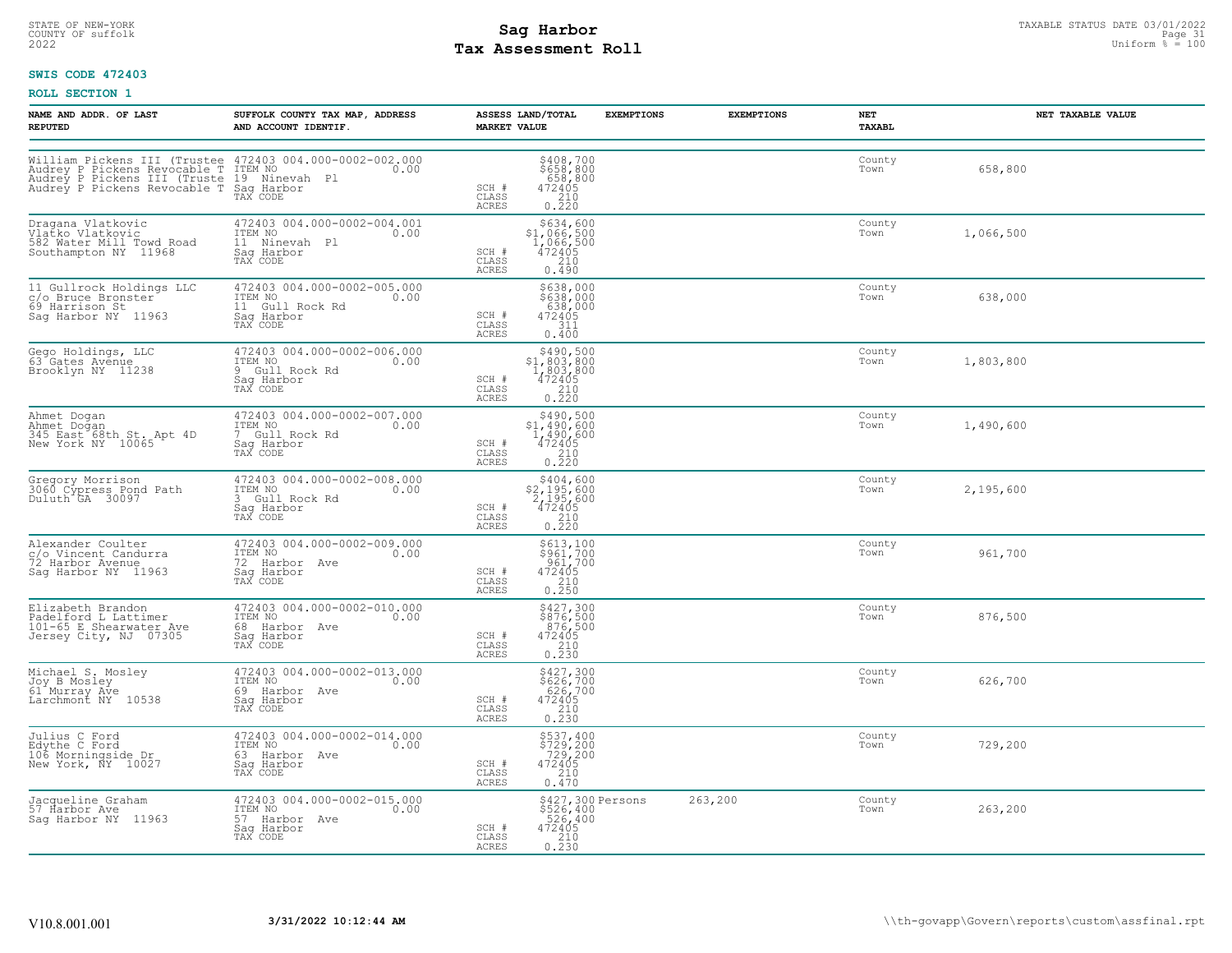# STATE OF NEW-YORK STATUS DATE 03/01/2022<br>
COUNTY OF suffolk Page 31 Degree in the suffolk Page 31 Degree 31 Degree 31 Degree 31 Degree 31 Degree 31 Deg<br>
2022 Degree States Page 310 Degree 2022 Degree in the Uniform % = 100 **Tax Assessment Roll**

# **SWIS CODE 472403**

| <b>NAME AND ADDR. OF LAST</b><br><b>REPUTED</b>                                                                                                                                           | SUFFOLK COUNTY TAX MAP, ADDRESS<br>AND ACCOUNT IDENTIF.                                    | ASSESS LAND/TOTAL<br><b>MARKET VALUE</b> | <b>EXEMPTIONS</b>                                                                                                                         | <b>EXEMPTIONS</b> | NET<br>TAXABL  | NET TAXABLE VALUE |
|-------------------------------------------------------------------------------------------------------------------------------------------------------------------------------------------|--------------------------------------------------------------------------------------------|------------------------------------------|-------------------------------------------------------------------------------------------------------------------------------------------|-------------------|----------------|-------------------|
| William Pickens III (Trustee 472403 004.000-0002-002.000<br>Audrey P Pickens Revocable T ITEM NO<br>Audrey P Pickens III (Truste 19 Ninevah Pl<br>Audrey P Pickens Revocable T Sag Harbor | TAX CODE                                                                                   | SCH #<br>CLASS<br><b>ACRES</b>           | \$408,700<br>\$658,800<br>658,800<br>472405<br>210<br>0.220                                                                               |                   | County<br>Town | 658,800           |
| Dragana Vlatkovic<br>Vlatko Vlatkovic<br>582 Water Mill Towd Road<br>Southampton NY 11968                                                                                                 | 472403 004.000-0002-004.001<br>ITEM NO<br>0.00<br>11 Ninevah Pl<br>Sag Harbor<br>TAX CODE  | SCH #<br>CLASS<br><b>ACRES</b>           | \$634,600<br>\$1,066,500<br>1,066,500<br>472405<br>210<br>0.490                                                                           |                   | County<br>Town | 1,066,500         |
| 11 Gullrock Holdings LLC<br>c/o Bruce Bronster<br>69 Harrison St<br>Sag Harbor NY 11963                                                                                                   | 472403 004.000-0002-005.000<br>TTEM NO 0.00<br>11 Gull Rock Rd<br>Saq Harbor<br>TAX CODE   | SCH #<br>CLASS<br>ACRES                  | \$638,000<br>\$638,000<br>638,000<br>472405<br>311<br>0.400                                                                               |                   | County<br>Town | 638,000           |
| Gego Holdings, LLC<br>63 Gates Avenue<br>Brooklyn NY 11238                                                                                                                                | 472403 004.000-0002-006.000<br>ITEM NO<br>0.00<br>9 Gull Rock Rd<br>Saq Harbor<br>TAX CODE | SCH #<br>CLASS<br><b>ACRES</b>           | $\begin{array}{r}  \  \  \, 5490,500 \\  \  \, 51,803,800 \\  \  \, 1,803,800 \\  \  \, 472405 \\  \  \, 210 \\  \  \, 0.220 \end{array}$ |                   | County<br>Town | 1,803,800         |
| Ahmet Dogan<br>Ahmet Dogan<br>345 East 68th St. Apt 4D<br>New York NY 10065                                                                                                               | 472403 004.000-0002-007.000<br>ITEM NO<br>0.00<br>7 Gull Rock Rd<br>Saq Harbor<br>TAX CODE | SCH #<br>CLASS<br>ACRES                  | \$490,500<br>$$1,490,600$<br>$1,490,600$<br>$\begin{array}{r} 472405 \\ 210 \\ 0.220 \end{array}$                                         |                   | County<br>Town | 1,490,600         |
| Gregory Morrison<br>3060 Cypress Pond Path<br>Duluth GA 30097                                                                                                                             | 472403 004.000-0002-008.000<br>ITEM NO<br>0.00<br>3 Gull Rock Rd<br>Saq Harbor<br>TAX CODE | SCH #<br>CLASS<br><b>ACRES</b>           | \$404,600<br>$$2,195,600$<br>2,195,600<br>2,195,600<br>472405<br>210<br>0.220                                                             |                   | County<br>Town | 2,195,600         |
| Alexander Coulter<br>c/o Vincent Candurra<br>72 Harbor Avenue<br>Sag Harbor NY 11963                                                                                                      | 472403 004.000-0002-009.000<br>ITEM NO<br>0.00<br>72 Harbor Ave<br>Saq Harbor<br>TAX CODE  | SCH #<br>CLASS<br>ACRES                  | \$613,100<br>\$961,700<br>961,700<br>472405<br>210<br>0.250                                                                               |                   | County<br>Town | 961,700           |
| Elizabeth Brandon<br>Padelford L Lattimer<br>101-65 E Shearwater Ave<br>Jersey City, NJ 07305                                                                                             | 472403 004.000-0002-010.000<br>ITEM NO<br>0.00<br>68 Harbor Ave<br>Sag Harbor<br>TAX CODE  | SCH #<br>CLASS<br><b>ACRES</b>           | $$427,300$<br>$$876,500$<br>$876,500$<br>$472405$<br>$\frac{210}{0.230}$                                                                  |                   | County<br>Town | 876,500           |
| Michael S. Mosley<br>Joy B Mosley<br>61 Murray Ave<br>Larchmont NY 10538                                                                                                                  | 472403 004.000-0002-013.000<br>ITEM NO<br>0.00<br>69 Harbor Ave<br>Sag Harbor<br>TAX CODE  | SCH #<br>CLASS<br><b>ACRES</b>           | $\begin{array}{r} \n 5427,300 \\  5626,700 \\  626,700 \\  472405 \\  210 \\  0.230\n \end{array}$                                        |                   | County<br>Town | 626,700           |
| Julius C Ford<br>Edythe C Ford<br>106 Morningside Dr<br>New York, NY 10027                                                                                                                | 472403 004.000-0002-014.000<br>ITEM NO<br>0.00<br>63 Harbor Ave<br>Saq Harbor<br>TAX CODE  | SCH #<br>CLASS<br>ACRES                  | \$537,400<br>\$729,200<br>729,200<br>472405<br>210<br>0.470                                                                               |                   | County<br>Town | 729,200           |
| Jacqueline Graham<br>57 Harbor Ave<br>Sag Harbor NY 11963                                                                                                                                 | 472403 004.000-0002-015.000<br>ITEM NO 0.00<br>57 Harbor Ave<br>Saq Harbor<br>TAX CODE     | SCH #<br>CLASS<br>ACRES                  | \$427,300 Persons<br>\$526,400<br>526,400<br>472405<br>0.210                                                                              | 263,200           | County<br>Town | 263,200           |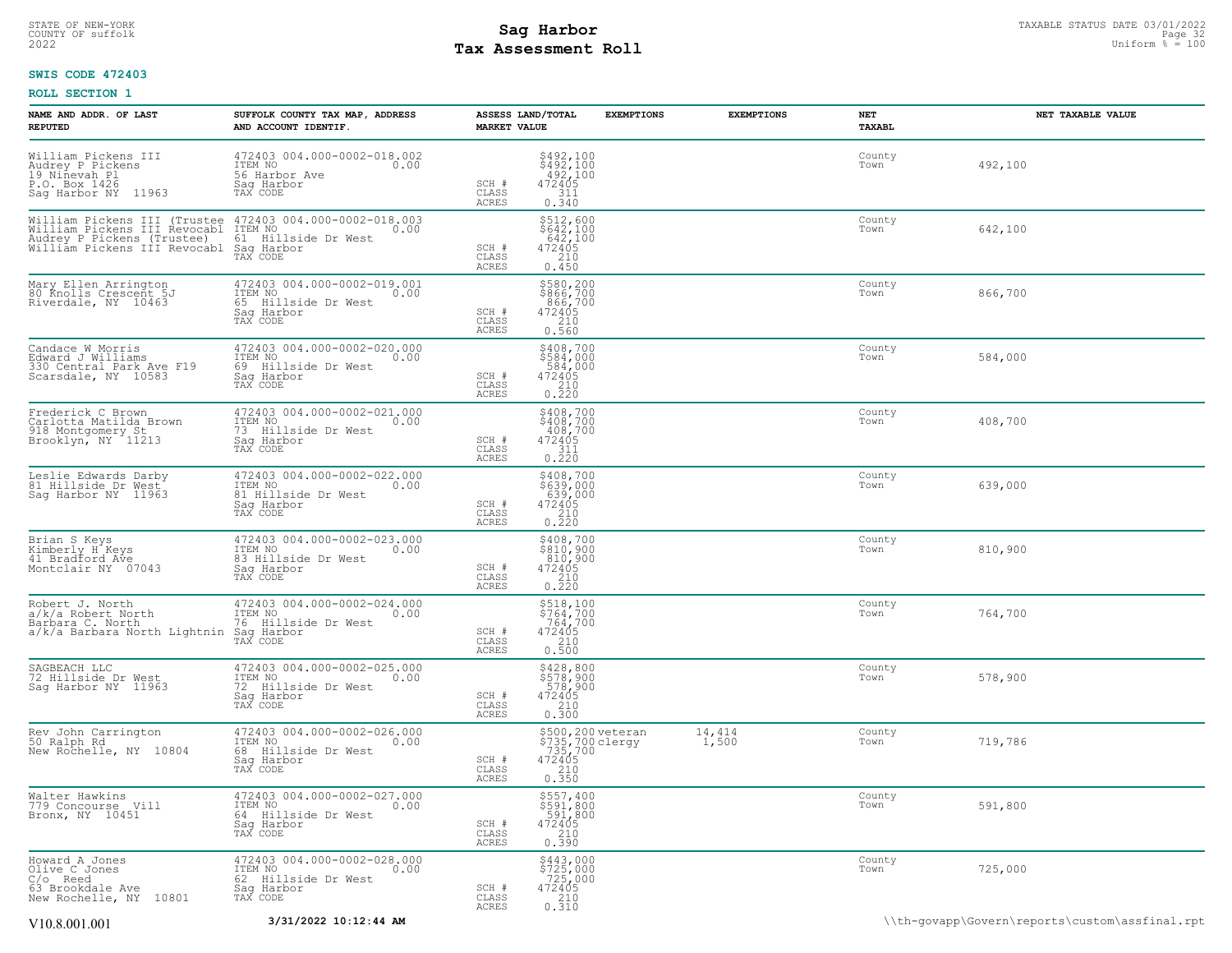# STATE OF NEW-YORK STATUS DATE 03/01/2022<br>
COUNTY OF suffolk Page 32 OUTH COUNTY OF Suffolk Page 32<br>
2022 MageSiment Roll **Tax Assessment Roll**

# **SWIS CODE 472403**

| NAME AND ADDR. OF LAST<br><b>REPUTED</b>                                                                                                               | SUFFOLK COUNTY TAX MAP, ADDRESS<br>AND ACCOUNT IDENTIF.                                            | <b>MARKET VALUE</b>            | <b>ASSESS LAND/TOTAL</b>                                                                   | <b>EXEMPTIONS</b> | <b>EXEMPTIONS</b> | NET<br>TAXABL  | NET TAXABLE VALUE                              |
|--------------------------------------------------------------------------------------------------------------------------------------------------------|----------------------------------------------------------------------------------------------------|--------------------------------|--------------------------------------------------------------------------------------------|-------------------|-------------------|----------------|------------------------------------------------|
| William Pickens III<br>Audrey P Pickens<br>19 Ninevah Pl<br>P.O. Box 1426<br>Sag Harbor NY 11963                                                       | 472403 004.000-0002-018.002<br>ITEM NO<br>0.00<br>56 Harbor Ave<br>Saq Harbor<br>TAX CODE          | SCH #<br>CLASS<br>ACRES        | \$492,100<br>\$492,100<br>492,100<br>472405<br>311<br>0.340                                |                   |                   | County<br>Town | 492,100                                        |
| William Pickens III (Trustee 472403 004.000-0002-018.003<br>William Pickens III Revocabl<br>Audrey P Pickens (Trustee)<br>Williām Pickens III Revocabl | ITEM NO<br>0.00<br>61 Hillside Dr West<br>Sag Harbor<br>TAX CODE                                   | SCH #<br>CLASS<br><b>ACRES</b> | \$512,600<br>$$642,100$<br>$642,100$<br>472405<br>210<br>0.450                             |                   |                   | County<br>Town | 642,100                                        |
| Mary Ellen Arrington<br>80 Knolls Crescent 5J<br>Riverdale, NY 10463                                                                                   | 472403 004.000-0002-019.001<br>ITEM NO<br>0.00<br>65 Hillside Dr West<br>Saq Harbor<br>TAX CODE    | SCH #<br>CLASS<br>ACRES        | \$580,200<br>\$866,700<br>.866,700<br>472405<br>210<br>0.560                               |                   |                   | County<br>Town | 866,700                                        |
| Candace W Morris<br>Edward J Williams<br>330 Central Park Ave F19<br>Scarsdale, NY 10583                                                               | 472403 004.000-0002-020.000<br>TTEM NO 0.00<br>69 Hillside Dr West<br>Saq Harbor<br>TAX CODE       | SCH #<br>CLASS<br>ACRES        | $\begin{array}{c} 5408,700 \\ 5584,000 \\ 584,000 \\ 472405 \\ 210 \\ 0.220 \end{array}$   |                   |                   | County<br>Town | 584,000                                        |
| Frederick C Brown<br>Carlotta Matilda Brown<br>918 Montgomery St<br>Brooklyn, NY 11213                                                                 | 472403 004.000-0002-021.000<br>ITEM NO<br>0.00<br>73 Hillside Dr West<br>Sag Harbor<br>TAX CODE    | SCH #<br>CLASS<br>ACRES        | \$408,700<br>\$408,700<br>408,700<br>472405<br>$\frac{311}{0.220}$                         |                   |                   | County<br>Town | 408,700                                        |
| Leslie Edwards Darby<br>81 Hillside Dr West<br>Sag Harbor NY 11963                                                                                     | 472403 004.000-0002-022.000<br>ITEM NO<br>0.00<br>in Hillside Dr West<br>Sag Harbor<br>TAX CODE    | SCH #<br>CLASS<br>ACRES        | \$408,700<br>\$639,000<br>639,000<br>472405<br>$\begin{array}{c} 210 \\ 0.220 \end{array}$ |                   |                   | County<br>Town | 639,000                                        |
| Brian S Keys<br>Kimberly H Keys<br>41 Bradford Ave<br>Montclair NY 07043                                                                               | 472403 004.000-0002-023.000<br>ITEM NO<br>0.00<br>83 Hillside Dr West<br>Saq Harbor<br>TAX CODE    | SCH #<br>CLASS<br><b>ACRES</b> | \$408,700<br>\$810,900<br>810,900<br>472405<br>0.210                                       |                   |                   | County<br>Town | 810,900                                        |
| Robert J. North<br>a/k/a Robert North<br>Barbara C. North<br>a/k/a Barbara North Lightnin                                                              | 472403 004.000-0002-024.000<br>ITEM NO<br>0.00<br>76 Hillside Dr West<br>Saq Harbor<br>TAX CODE    | SCH #<br>CLASS<br>ACRES        | \$518,100<br>\$764,700<br>764,700<br>472405<br>$\begin{array}{c} 210 \\ 0.500 \end{array}$ |                   |                   | County<br>Town | 764,700                                        |
| SAGBEACH LLC<br>72 Hillside Dr West<br>Sag Harbor NY 11963                                                                                             | 472403 004.000-0002-025.000<br>ITEM NO<br>0.00<br>72<br>Hillside Dr West<br>Sag Harbor<br>TAX CODE | SCH #<br>CLASS<br>ACRES        | \$428,800<br>\$578,900<br>578,900<br>472405<br>210<br>0.300                                |                   |                   | County<br>Town | 578,900                                        |
| Rev John Carrington<br>50 Ralph Rd<br>New Rochelle, NY 10804                                                                                           | 472403 004.000-0002-026.000<br>ITEM NO<br>0.00<br>68 Hillside Dr West<br>Saq Harbor<br>TAX CODE    | SCH #<br>CLASS<br><b>ACRES</b> | \$500,200 veteran<br>\$735,700 clergy<br>735,700<br>472405<br>$\frac{210}{0.350}$          |                   | 14,414<br>1,500   | County<br>Town | 719,786                                        |
| Walter Hawkins<br>779 Concourse Vill<br>Bronx, NY 10451                                                                                                | 472403 004.000-0002-027.000<br>ITEM NO<br>0.00<br>64 Hillside Dr West<br>Saq Harbor<br>TAX CODE    | SCH #<br>CLASS<br>ACRES        | $\begin{array}{c} 5557, 400 \\ 591, 800 \\ 591, 800 \\ 472405 \\ 210 \\ 0.390 \end{array}$ |                   |                   | County<br>Town | 591,800                                        |
| Howard A Jones<br>Olive C Jones<br>$C/O$ Reed<br>63 Brookdale Ave<br>New Rochelle, NY 10801                                                            | 472403 004.000-0002-028.000<br>ITEM NO<br>0.00<br>62 Hillside Dr West<br>Saq Harbor<br>TAX CODE    | SCH #<br>CLASS<br>ACRES        | \$443,000<br>\$725,000<br>725,000<br>472405<br>210<br>0.310                                |                   |                   | County<br>Town | 725,000                                        |
| V10.8.001.001                                                                                                                                          | 3/31/2022 10:12:44 AM                                                                              |                                |                                                                                            |                   |                   |                | \\th-govapp\Govern\reports\custom\assfinal.rpt |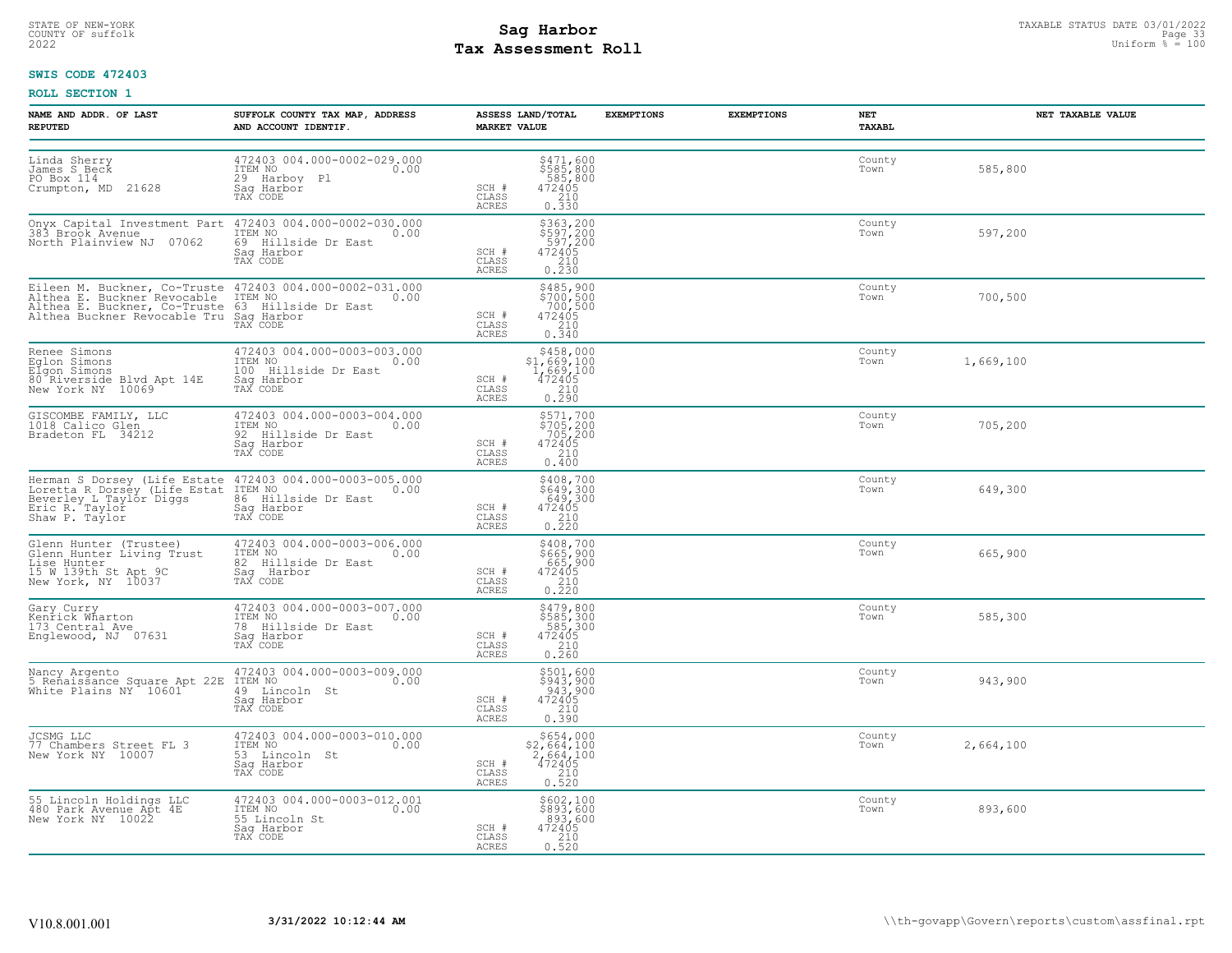# STATE OF NEW-YORK STATUS DATE 03/01/2022<br>
COUNTY OF suffolk Page 33 Olympus **Sag Harbor**<br>
2022 **Pay Assessment Roll** Page 100 **Tax Assessment Roll**

# **SWIS CODE 472403**

| NAME AND ADDR. OF LAST<br><b>REPUTED</b>                                                                                        | SUFFOLK COUNTY TAX MAP, ADDRESS<br>AND ACCOUNT IDENTIF.                                                                                                                                                                       | ASSESS LAND/TOTAL<br>MARKET VALUE                                                                                                                        | <b>EXEMPTIONS</b> | <b>EXEMPTIONS</b> | NET<br>TAXABL  | NET TAXABLE VALUE |
|---------------------------------------------------------------------------------------------------------------------------------|-------------------------------------------------------------------------------------------------------------------------------------------------------------------------------------------------------------------------------|----------------------------------------------------------------------------------------------------------------------------------------------------------|-------------------|-------------------|----------------|-------------------|
| Linda Sherry<br>James S Beck<br>PO Box 114<br>Crumpton, MD 21628                                                                | 472403 004.000-0002-029.000<br>ITEM NO<br>29 Harbov Pl<br>Sag Harbor<br>0.00<br>TAX CODE                                                                                                                                      | \$471,600<br>\$585,800<br>585,800<br>472405<br>210<br>0.330<br>SCH #<br>CLASS<br>ACRES                                                                   |                   |                   | County<br>Town | 585,800           |
|                                                                                                                                 | Onyx Capital Investment Part 472403 004.000-0002-030.000<br>383 Brook Avenue ITEM NO<br>North Plainview NJ 07062 69 Hillside Dr East<br>Saq Harbor<br>TAX CODE                                                                | \$363,200<br>\$597,200<br>597,200<br>472405<br>SCH #<br>CLASS<br>210<br>0.230<br>ACRES                                                                   |                   |                   | County<br>Town | 597,200           |
|                                                                                                                                 | Eileen M. Buckner, Co-Truste 472403 004.000-0002-031.000<br>Althea E. Buckner Revocable ITEM NO 0.00<br>Althea E. Buckner, Co-Truste 63 Hillside Dr East<br>Althea Buckner Revocable Tru Saq Harbor<br>TAX CODE TRAY CODE     | \$485,900<br>\$700,500<br>700,500<br>SCH #<br>$472405$<br>$210$<br>CLASS<br>ACRES<br>0.340                                                               |                   |                   | County<br>Town | 700,500           |
| Renee Simons<br>Eglon Simons<br>Elgon Simons<br>So Riverside Blvd Apt 14E Sag Harbor<br>New York NY 10069 TAX CODE              | 472403 004.000-0003-003.000<br>ITEM NO 0.00<br>100 Hillside Dr East                                                                                                                                                           | \$458,000<br>\$1,669,100<br>1,669,100<br>472405<br>SCH #<br>CLASS<br>$\begin{array}{c} 210 \\ 0.290 \end{array}$<br>ACRES                                |                   |                   | County<br>Town | 1,669,100         |
| GISCOMBE FAMILY, LLC<br>1018 Calico Glen<br>Bradeton FL 34212                                                                   | 472403 004.000-0003-004.000<br>ITEM NO 0.00<br>92 Hillside Dr East<br>Sag Harbor<br>TAX CODE                                                                                                                                  | \$571,700<br>\$705,200<br>705,200<br>472405<br>SCH #<br>210<br>CLASS<br>0.400<br>ACRES                                                                   |                   |                   | County<br>Town | 705,200           |
|                                                                                                                                 | Herman S Dorsey (Life Estate 472403 004.000-0003-005.000<br>Loretta R Dorsey (Life Estat ITEM NO<br>Beverley L Taylor Diggs 86 Hillside Dr East 0.00<br>Eric R. Taylor Diggs 86 Hirbor<br>Shaw P. Taylor TAX CODE<br>TAX CODE | \$408,700<br>\$649,300<br>649,300<br>472405<br>210<br>0.220<br>SCH #<br>CLASS<br>ACRES                                                                   |                   |                   | County<br>Town | 649,300           |
| Glenn Hunter (Trustee)<br>Glenn Hunter Living Trust<br>Lise Hunter<br>Lise Hunter<br>15 W 139th St Apt 9C<br>New York, NY 10037 | 472403 004.000-0003-006.000<br>ITEM NO<br>82 Hillside Dr East<br>0.00<br>Saq Harbor<br>TAX CODE                                                                                                                               | \$408,700<br>$$665,900$<br>$665,900$<br>$472405$<br>$210$<br>0.220<br>SCH #<br>CLASS<br>ACRES                                                            |                   |                   | County<br>Town | 665,900           |
| Gary Curry<br>Kenrick Wharton<br>173 Central Ave<br>Englewood, NJ 07631                                                         | 472403 004.000-0003-007.000<br>ITEM NO 0.00<br>78 Hillside Dr East<br>Sag Harbor Name Sag<br>TAX CODE                                                                                                                         | $5479,800$<br>$585,300$<br>$585,300$<br>$472405$<br>$210$<br>SCH #<br>CLASS<br>ACRES<br>0.260                                                            |                   |                   | County<br>Town | 585,300           |
| Nancy Argento<br>5 Renaissance Square Apt 22E ITEM NO<br>White Plains NY 10601 49 Lincoln St                                    | 472403 004.000-0003-009.000<br>0.00<br>Saq Harbor<br>TAX CODE                                                                                                                                                                 | \$501,600<br>\$943,900<br>943,900<br>SCH #<br>472405<br>$\begin{array}{c} 210 \\ 0.390 \end{array}$<br>CLASS<br><b>ACRES</b>                             |                   |                   | County<br>Town | 943,900           |
| JCSMG LLC<br>77 Chambers Street FL 3<br>New York NY 10007                                                                       | 472403 004.000-0003-010.000<br>ITEM NO 0.00<br>53 Lincoln St<br>Saq Harbor<br>TAX CODE                                                                                                                                        | $\begin{array}{r} $654,000 \\ $2,664,100 \\ $2,664,100 \\ $472405 \end{array}$<br>SCH #<br>CLASS<br>$\begin{array}{c} 210 \\ 0.520 \end{array}$<br>ACRES |                   |                   | County<br>Town | 2,664,100         |
| 55 Lincoln Holdings LLC<br>480 Park Avenue Apt 4E<br>New York NY 10022                                                          | 472403 004.000-0003-012.001<br>ITEM NO 0.00<br>55 Lincoln St<br>Saq Harbor<br>TAX CODE                                                                                                                                        | \$602,100<br>\$893,600<br>893,600<br>SCH #<br>472405<br>CLASS<br>0.210<br>ACRES                                                                          |                   |                   | County<br>Town | 893,600           |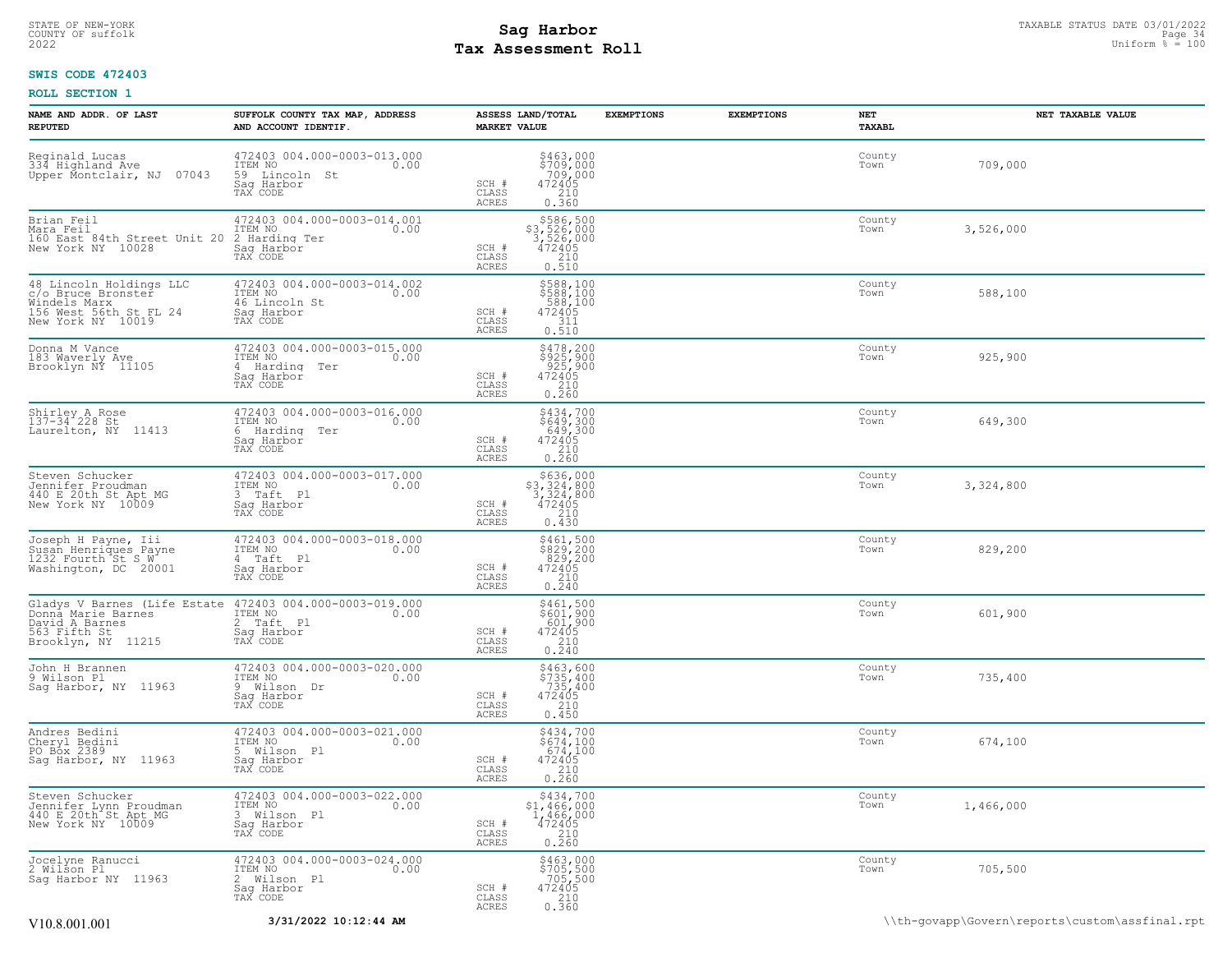# STATE OF NEW-YORK STATUS DATE 03/01/2022<br>
COUNTY OF suffolk Page 34<br>
2022 - Taxable Station % = 100<br>
2022 - Taxable Datiform % = 100 **Tax Assessment Roll**

# **SWIS CODE 472403**

| NAME AND ADDR. OF LAST<br><b>REPUTED</b>                                                                     | SUFFOLK COUNTY TAX MAP, ADDRESS<br>AND ACCOUNT IDENTIF.                                          | ASSESS LAND/TOTAL<br><b>MARKET VALUE</b>                                                                                    | <b>EXEMPTIONS</b> | <b>EXEMPTIONS</b> | NET<br>TAXABL  | NET TAXABLE VALUE |
|--------------------------------------------------------------------------------------------------------------|--------------------------------------------------------------------------------------------------|-----------------------------------------------------------------------------------------------------------------------------|-------------------|-------------------|----------------|-------------------|
| Reginald Lucas<br>334 Highland Ave<br>Upper Montclair, NJ 07043                                              | 472403 004.000-0003-013.000<br>ITEM NO<br>0.00<br>59 Lincoln St<br>Saq Harbor<br>TAX CODE        | $$463,000$<br>$$709,000$<br>$709,000$<br>$472405$<br>$$210$<br>SCH #<br>$\mathtt{CLASS}$<br>ACRES<br>0.360                  |                   |                   | County<br>Town | 709,000           |
| Brian Feil<br>Mara Feil<br>160 East 84th Street Unit 20<br>New York NY 10028                                 | 472403 004.000-0003-014.001<br>ITEM NO<br>0.00<br>2 Harding Ter<br>Saq Harbor<br>TAX CODE        | \$586,500<br>\$3,526,000<br>3,526,000<br>472405<br>SCH #<br>CLASS<br>210<br>ACRES<br>0.510                                  |                   |                   | County<br>Town | 3,526,000         |
| 48 Lincoln Holdings LLC<br>c/o Bruce Bronster<br>Windels Marx<br>156 West 56th St FL 24<br>New York NY 10019 | 472403 004.000-0003-014.002<br>ITEM NO<br>0.00<br>46 Lincoln St<br>Saq Harbor<br>TAX CODE        | \$588,100<br>\$588,100<br>588,100<br>472405<br>SCH #<br>CLASS<br>311<br>0.510<br>ACRES                                      |                   |                   | County<br>Town | 588,100           |
| Donna M Vance<br>183 Waverly Ave<br>Brooklyn NY 11105                                                        | 472403 004.000-0003-015.000<br>ITEM NO<br>0.00<br>4 Harding Ter<br>Saq Harbor<br>TAX CODE        | \$478,200<br>\$925,900<br>925,900<br>472405<br>SCH #<br>CLASS<br>210<br>ACRES<br>0.260                                      |                   |                   | County<br>Town | 925,900           |
| Shirley A Rose<br>137-34 228 St<br>Laurelton, NY 11413                                                       | 472403 004.000-0003-016.000<br>ITEM NO<br>0.00<br>6 Harding Ter<br>Saq Harbor<br>TAX CODE        | \$434,700<br>\$649,300<br>649,300<br>472405<br>SCH #<br>CLASS<br>210<br><b>ACRES</b><br>0.260                               |                   |                   | County<br>Town | 649,300           |
| Steven Schucker<br>Jennifer Proudman<br>440 E 20th St Apt MG<br>New York NY 10009                            | 472403 004.000-0003-017.000<br>ITEM NO<br>0.00<br>3 Taft <sub>Pl</sub><br>Sag Harbor<br>TAX CODE | $\begin{array}{r} 5636,000 \\ 53,324,800 \\ 3,324,800 \\ 472405 \\ 210 \end{array}$<br>SCH #<br>CLASS<br>ACRES<br>0.430     |                   |                   | County<br>Town | 3,324,800         |
| Joseph H Payne, Iii<br>Susan Henriques Payne<br>1232 Fourth St S W<br>Washington, DC 20001                   | 472403 004.000-0003-018.000<br>ITEM NO<br>0.00<br>4 Taft Pl<br>Saq Harbor<br>TAX CODE            | $\begin{array}{c} 5461, 500 \\ 5829, 200 \\ 829, 200 \\ 472405 \\ 210 \\ 0.240 \end{array}$<br>SCH #<br>CLASS<br>ACRES      |                   |                   | County<br>Town | 829,200           |
| Gladys V Barnes (Life Estate<br>Donna Marie Barnes<br>David A Barnes<br>563 Fifth St<br>Brooklyn, NY 11215   | 472403 004.000-0003-019.000<br>ITEM NO<br>0.00<br>2 Taft Pl<br>Saq Harbor<br>TAX CODE            | $$461,500$<br>$$601,900$<br>$601,900$<br>$472405$<br>SCH #<br>$\begin{array}{c} 210 \\ 0.240 \end{array}$<br>CLASS<br>ACRES |                   |                   | County<br>Town | 601,900           |
| John H Brannen<br>9 Wilson Pl<br>Sag Harbor, NY 11963                                                        | 472403 004.000-0003-020.000<br>ITEM NO<br>0.00<br>9 Wilson Dr<br>Saq Harbor<br>TAX CODE          | \$463,600<br>\$735,400<br>735,400<br>472405<br>SCH #<br>CLASS<br>210<br>ACRES<br>0.450                                      |                   |                   | County<br>Town | 735,400           |
| Andres Bedini<br>Cheryl Bedini<br>PO Bộx 2389<br>Sag Harbor, NY 11963                                        | 472403 004.000-0003-021.000<br>ITEM NO<br>0.00<br>5 Wilson Pl<br>Saq Harbor<br>TAX CODE          | \$434,700<br>\$674,100<br>674,100<br>SCH #<br>472405<br>CLASS<br>$\frac{210}{0.260}$<br>ACRES                               |                   |                   | County<br>Town | 674,100           |
| Steven Schucker<br>Jennifer Lynn Proudman<br>440 E 20th St Apt MG<br>New York NY 10009                       | 472403 004.000-0003-022.000<br>ITEM NO<br>0.00<br>3 Wilson Pl<br>Sag Harbor<br>TAX CODE          | $$434,700$<br>$$1,466,000$<br>$1,466,000$<br>$1,466,000$<br>SCH #<br>472405<br>CLASS<br>210<br>0.260<br><b>ACRES</b>        |                   |                   | County<br>Town | 1,466,000         |
| Jocelyne Ranucci<br>2 Wilson Pl<br>Saq Harbor NY 11963                                                       | 472403 004.000-0003-024.000<br>ITEM NO<br>0.00<br>2 Wilson Pl<br>Saq Harbor<br>TAX CODE          | \$463,000<br>\$705,500<br>705,500<br>SCH #<br>472405<br>CLASS<br>210<br>0.360<br>ACRES                                      |                   |                   | County<br>Town | 705,500           |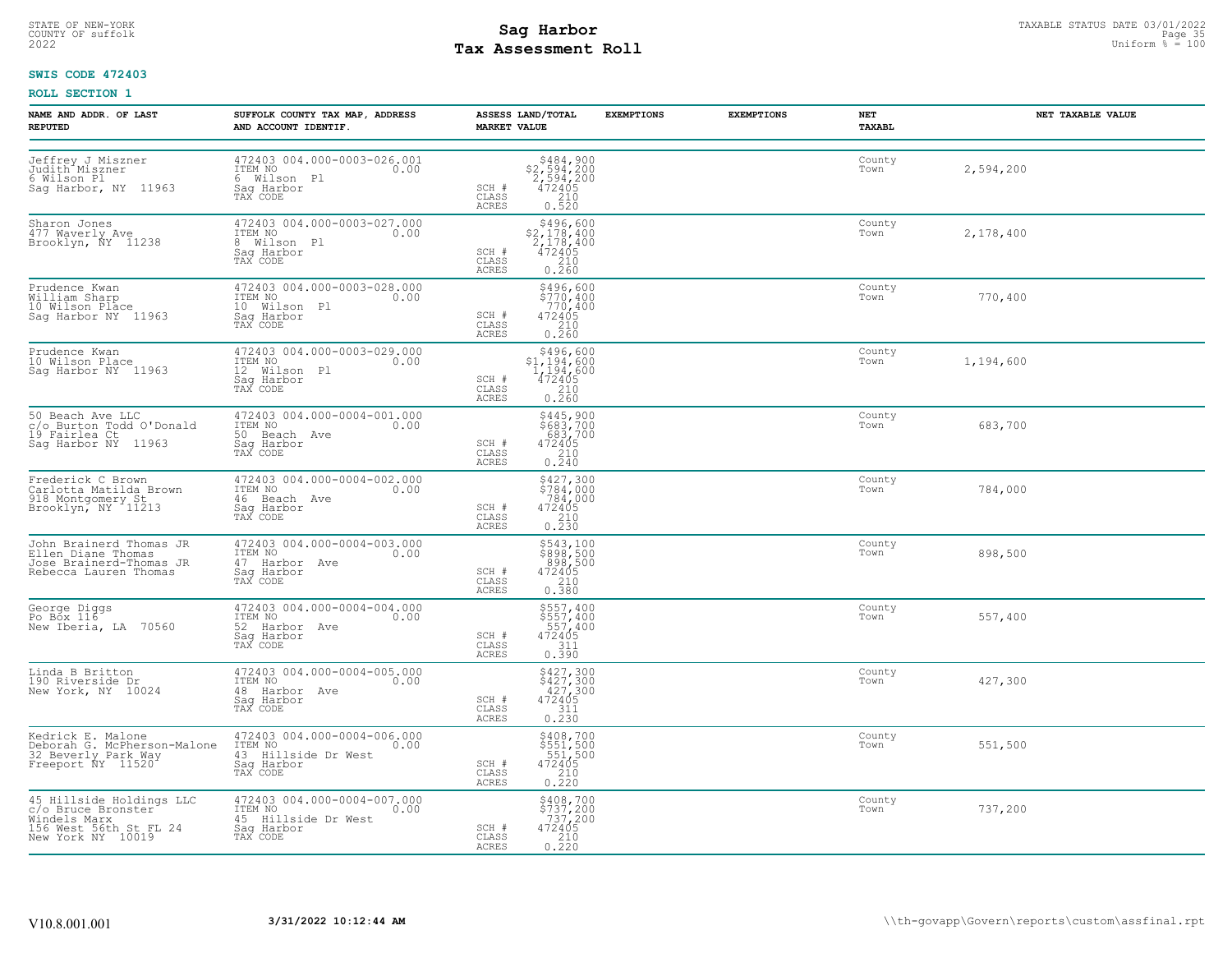# STATE OF NEW-YORK STATUS DATE 03/01/2022<br>
COUNTY OF suffolk Page 35 and the suffolk Page 35 and the suffolk Page 35 and the suffolk Page 35 and the sufform % = 100<br>
2022 Mage 35 and the summer sufform % = 100 **Tax Assessment Roll**

# **SWIS CODE 472403**

| NAME AND ADDR. OF LAST<br><b>REPUTED</b>                                                                      | SUFFOLK COUNTY TAX MAP, ADDRESS<br>AND ACCOUNT IDENTIF.                                             | ASSESS LAND/TOTAL<br><b>MARKET VALUE</b>                                                                                                                                                                                | <b>EXEMPTIONS</b> | <b>EXEMPTIONS</b> | NET<br><b>TAXABL</b> | NET TAXABLE VALUE |
|---------------------------------------------------------------------------------------------------------------|-----------------------------------------------------------------------------------------------------|-------------------------------------------------------------------------------------------------------------------------------------------------------------------------------------------------------------------------|-------------------|-------------------|----------------------|-------------------|
| Jeffrey J Miszner<br>Judith Miszner<br>6 Wilson Pl<br>Sag Harbor, NY 11963                                    | 472403 004.000-0003-026.001<br>ITEM NO<br>6 Wilson Pl<br>0.00<br>Sag Harbor<br>TAX CODE             | $$484,900$<br>$$2,594,200$<br>$2,594,200$<br>$472405$<br>SCH #<br>$\begin{array}{c} 210 \\ 0.520 \end{array}$<br>CLASS<br>ACRES                                                                                         |                   |                   | County<br>Town       | 2,594,200         |
| Sharon Jones<br>477 Waverly Ave<br>Brooklyn, NY 11238                                                         | 472403 004.000-0003-027.000<br>ITEM NO<br>0.00<br>8 Wilson Pl<br>Saq Harbor<br>TAX CODE             | $\begin{array}{r}  \  \  \,  \, 5496,600 \\  \  \, 2,178,400 \\  \  \, 2,178,400 \\  \  \, 472405 \\  \  \, 210 \\  \  \, 0.260 \end{array}$<br>$\begin{array}{c} \text{SCH} \ \# \\ \text{CLASS} \end{array}$<br>ACRES |                   |                   | County<br>Town       | 2,178,400         |
| Prudence Kwan<br>William Sharp<br>10 Wilson Place<br>Sag Harbor NY 11963                                      | 472403 004.000-0003-028.000<br>TTEM NO<br>ITEM NO<br>10 Wilson Pl<br>Saq Harbor<br>TAX CODE<br>0.00 | $\begin{array}{c} 5496, 600 \\ 5770, 400 \\ 770, 400 \\ 472405 \\ 210 \\ 0.260 \end{array}$<br>SCH #<br>CLASS<br>ACRES                                                                                                  |                   |                   | County<br>Town       | 770,400           |
| Prudence Kwan<br>10 Wilson Place<br>Sag Harbor NY 11963                                                       | 472403 004.000-0003-029.000<br>ITEM NO <sub>1</sub> 0.00<br>12 Wilson Pl<br>Sag Harbor<br>TAX CODE  | $$496,600$<br>$$1,194,600$<br>$1,194,600$<br>$\frac{472405}{210}$<br>SCH #<br>CLASS<br>ACRES<br>0.260                                                                                                                   |                   |                   | County<br>Town       | 1,194,600         |
| 50 Beach Ave LLC<br>c/o_Burton Todd O'Donald<br>19 Fairlea Ct<br>Sag Harbor NY 11963                          | 472403 004.000-0004-001.000<br>ITEM NO<br>50 Beach Ave 6.00<br>Sag Harbor<br>TAX CODE               | \$445,900<br>\$683,700<br>683,700<br>472405<br>210<br>0.240<br>SCH #<br>CLASS<br><b>ACRES</b>                                                                                                                           |                   |                   | County<br>Town       | 683,700           |
| Frederick C Brown<br>Carlotta Matilda Brown<br>918 Montgomery St<br>Brooklyn, NY 11213                        | 472403 004.000-0004-002.000<br>ITEM NO 0.00<br>11mm No<br>46 Beach Ave<br>Sag Harbor<br>TAX CODE    | \$427,300<br>\$784,000<br>784,000<br>SCH #<br>472405<br>CLASS<br>0.210<br>ACRES                                                                                                                                         |                   |                   | County<br>Town       | 784,000           |
| John Brainerd Thomas JR<br>Ellen Diane Thomas<br>Jose Brainerd-Thomas JR<br>Rebecca Lauren Thomas             | $472403004.000-0004-003.000$<br>ITEM NO<br>0.00<br>47 Harbor Ave<br>Saq Harbor<br>TAX CODE          | \$543,100<br>$\frac{2898}{898}, \frac{500}{500}$<br>472405<br>2330<br>SCH #<br>CLASS<br>0.380<br>ACRES                                                                                                                  |                   |                   | County<br>Town       | 898,500           |
| George Diggs<br>Po Box 116<br>New Iberia, LA 70560                                                            | 472403 004.000-0004-004.000<br>ITEM NO<br>52 Harbor Ave<br>Sag Harbor<br>0.00<br>TAX CODE           | \$557,400<br>\$557,400<br>557,400<br>472405<br>SCH #<br>311<br>CLASS<br>0.390<br>ACRES                                                                                                                                  |                   |                   | County<br>Town       | 557,400           |
| Linda B Britton<br>190 Riverside Dr<br>New York, NY 10024                                                     | 472403 004.000-0004-005.000<br>ITEM NO 0.00<br>48 Harbor Ave<br>Sag Harbor<br>TAX CODE              | $$427,300$<br>$$427,300$<br>$427,300$<br>$472405$<br>$311$<br>SCH #<br>CLASS<br>0.230<br><b>ACRES</b>                                                                                                                   |                   |                   | County<br>Town       | 427,300           |
| Kedrick E. Malone<br>Deborah G. McPherson-Malone<br>32 Beverly Park Way<br>Freeport NY 11520                  | 472403 004.000-0004-006.000<br>ITEM NO 0.00<br>43 Hillside Dr West<br>Saq Harbor<br>TAX CODE        | \$408,700<br>\$551,500<br>551,500<br>472405<br>210<br>0.220<br>SCH #<br>CLASS<br>ACRES                                                                                                                                  |                   |                   | County<br>Town       | 551,500           |
| 45 Hillside Holdings LLC<br>c/o Bruce Bronster<br>Windels Marx<br>156 West 56th St FL 24<br>New York NY 10019 | 472403 004.000-0004-007.000<br>10.00 0.00<br>45 Hillside Dr West<br>Saq Harbor<br>TAX CODE          | \$408,700<br>\$737,200<br>737,200<br>SCH #<br>472405<br>CLASS<br>0.210<br>ACRES                                                                                                                                         |                   |                   | County<br>Town       | 737,200           |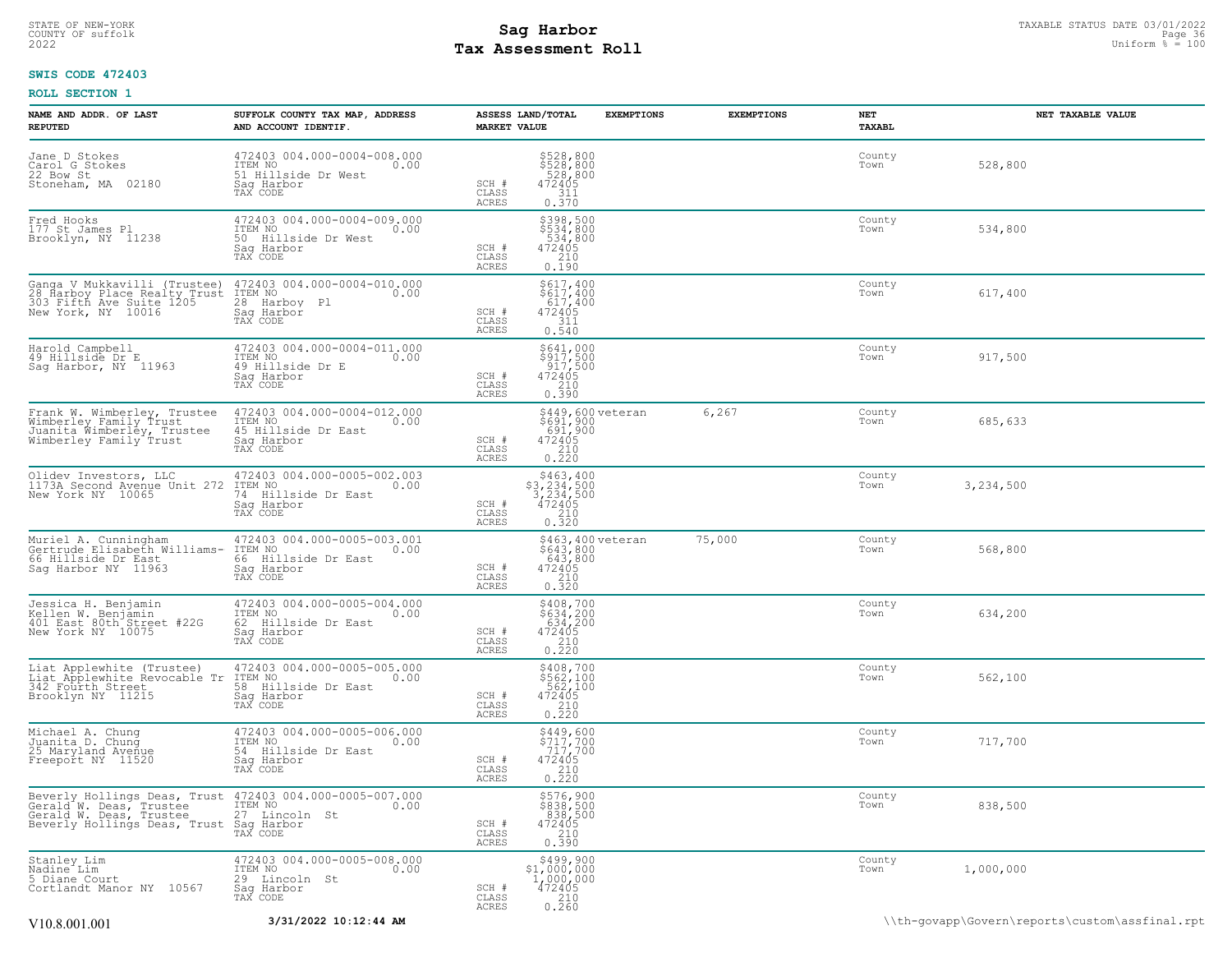# STATE OF NEW-YORK STATUS DATE 03/01/2022<br>
COUNTY OF suffolk Page 36 OUTH COUNTY OF Suffolk Page 36 OUTH COUNTY OF Suffolk Page 36<br>
2022 MageSonent Roll **Tax Assessment Roll**

# **SWIS CODE 472403**

| NAME AND ADDR. OF LAST<br><b>REPUTED</b>                                                                                                                             | SUFFOLK COUNTY TAX MAP, ADDRESS<br>AND ACCOUNT IDENTIF.                                         | ASSESS LAND/TOTAL<br><b>MARKET VALUE</b> | <b>EXEMPTIONS</b>                                                                                | <b>EXEMPTIONS</b> | NET<br>TAXABL  | NET TAXABLE VALUE |
|----------------------------------------------------------------------------------------------------------------------------------------------------------------------|-------------------------------------------------------------------------------------------------|------------------------------------------|--------------------------------------------------------------------------------------------------|-------------------|----------------|-------------------|
| Jane D Stokes<br>Carol G Stokes<br>22 Bow St<br>Stoneham, MA 02180                                                                                                   | 472403 004.000-0004-008.000<br>ITEM NO<br>0.00<br>51 Hillside Dr West<br>Sag Harbor<br>TAX CODE | SCH #<br>$\mathtt{CLASS}$<br>ACRES       | \$528,800<br>\$528,800<br>528,800<br>$\begin{array}{r} 472405 \\ 311 \\ 0.370 \end{array}$       |                   | County<br>Town | 528,800           |
| Fred Hooks<br>177 St James Pl<br>Brooklyn, NY 11238                                                                                                                  | 472403 004.000-0004-009.000<br>ITEM NO<br>0.00<br>50 Hillside Dr West<br>Saq Harbor<br>TAX CODE | SCH #<br>CLASS<br>ACRES                  | \$398,500<br>\$534,800<br>534,800<br>472405<br>$\frac{210}{0.190}$                               |                   | County<br>Town | 534,800           |
| Ganga V Mukkavilli (Trustee)<br>28 Harboy Place Realty Trust<br>303 Fifth Ave Suite 1205<br>New York, NY 10016                                                       | 472403 004.000-0004-010.000<br>ITEM NO<br>0.00<br>28 Harboy Pl<br>Saq Harbor<br>TAX CODE        | SCH #<br>CLASS<br>ACRES                  | \$617,400<br>\$ĕĪ7,400<br>617,400<br>472405<br>$\begin{array}{c} 311 \\ 0.540 \end{array}$       |                   | County<br>Town | 617,400           |
| Harold Campbell<br>49 Hillside Dr E<br>Saq Harbor, NY 11963                                                                                                          | 472403 004.000-0004-011.000<br>ITEM NO<br>0.00<br>49 Hillside Dr E<br>Saq Harbor<br>TAX CODE    | SCH #<br>CLASS<br>ACRES                  | \$641,000<br>\$917,500<br>917,500<br>472405<br>$\begin{array}{c} 210 \\ 0.390 \end{array}$       |                   | County<br>Town | 917,500           |
| Frank W. Wimberley, Trustee<br>Wimberley Family Trust<br>Juanita Wimberley, Trustee<br>Wimberley Family Trust                                                        | 472403 004.000-0004-012.000<br>ITEM NO<br>0.00<br>45 Hillside Dr East<br>Saq Harbor<br>TAX CODE | SCH #<br>CLASS<br>ACRES                  | \$449,600 veteran<br>\$691,900<br>691,900<br>472405<br>$\frac{210}{0.220}$                       | 6,267             | County<br>Town | 685,633           |
| Olidev Investors, LLC<br>1173A Second Avenue Unit 272<br>New York NY 10065                                                                                           | 472403 004.000-0005-002.003<br>ITEM NO<br>0.00<br>74 Hillside Dr East<br>Sag Harbor<br>TAX CODE | SCH #<br>CLASS<br>ACRES                  | \$463,400<br>$$3,234,500$<br>3,234,500<br>472405<br>210<br>0.320                                 |                   | County<br>Town | 3,234,500         |
| Muriel A. Cunningham<br>Gertrude Elisabeth Williams-<br>66 Hillside Dr East<br>Sag Harbor NY 11963                                                                   | 472403 004.000-0005-003.001<br>ITEM NO<br>0.00<br>66 Hillside Dr East<br>Saq Harbor<br>TAX CODE | SCH #<br>CLASS<br>ACRES                  | §463,400 veteran<br>$$643, 800$<br>$643, 800$<br>$472405$<br>$$210$<br>0.320                     | 75,000            | County<br>Town | 568,800           |
| Jessica H. Benjamin<br>Explien W. Benjamin<br>401 East 80th Street #22G<br>New York NY 10075                                                                         | 472403 004.000-0005-004.000<br>ITEM NO<br>0.00<br>62 Hillside Dr East<br>Sag Harbor<br>TAX CODE | SCH #<br>$\mathtt{CLASS}$<br>ACRES       | $\begin{array}{r} 5408,700 \\ 5634,200 \\ 634,200 \\ 472405 \\ 210 \\ 0.220 \end{array}$         |                   | County<br>Town | 634,200           |
| Liat Applewhite (Trustee)<br>Liat Applewhite Revocable Tr<br>342 Fourth Street<br>Brooklyn NY 11215                                                                  | 472403 004.000-0005-005.000<br>ITEM NO<br>0.00<br>58 Hillside Dr East<br>Saq Harbor<br>TAX CODE | SCH #<br>CLASS<br>ACRES                  | \$408,700<br>\$562,100<br>562,100<br>472405<br>$0.210$<br>$0.220$                                |                   | County<br>Town | 562,100           |
| Michael A. Chung<br>Juanita D. Chung<br>25 Maryland Avenue<br>Freeport NY 11520                                                                                      | 472403 004.000-0005-006.000<br>ITEM NO<br>0.00<br>54 Hillside Dr East<br>Sag Harbor<br>TAX CODE | SCH #<br>CLASS<br>ACRES                  | $$449,600$<br>$$717,700$<br>$717,700$<br>$472405$<br>$\begin{array}{c} 210 \\ 0.220 \end{array}$ |                   | County<br>Town | 717,700           |
| Beverly Hollings Deas, Trust 472403 004.000-0005-007.000<br>Gerald W. Deas, Trustee ITEM NO<br>Gerald W. Deas, Trustee 27 Lincoln St<br>Beverly Hollings Deas, Trust | Saq Harbor<br>TAX CODE                                                                          | SCH #<br>CLASS<br>ACRES                  | \$576,900<br>\$838,500<br>838,500<br>472405<br>$\begin{array}{c} 210 \\ 0.390 \end{array}$       |                   | County<br>Town | 838,500           |
| Stanley Lim<br>Nadine <sup>-</sup> Lim<br>5 Diane Court<br>Cortlandt Manor NY 10567                                                                                  | 472403 004.000-0005-008.000<br>ITEM NO<br>0.00<br>29 Lincoln St<br>Saq Harbor<br>TAX CODE       | SCH #<br>CLASS<br>ACRES                  | $$499,900$<br>$$1,000,000$<br>$1,000,000$<br>$472405$<br>0.260                                   |                   | County<br>Town | 1,000,000         |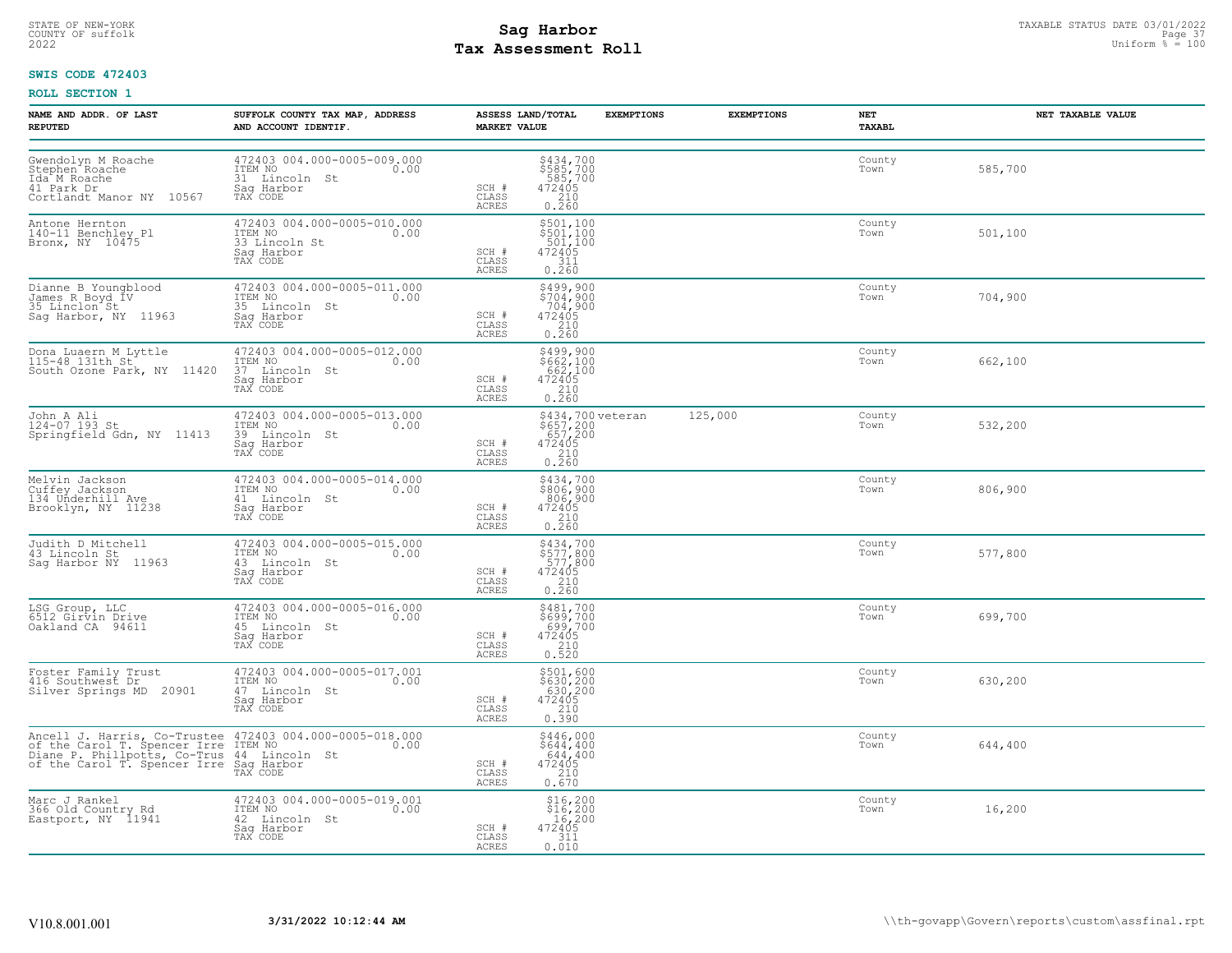# STATE OF NEW-YORK STATUS DATE 03/01/2022<br>
COUNTY OF suffolk Page 37 Desembed and the same suffolk and the same of the same suffolk and the state of the<br>
2022 Mage States States States States of the sufform  $\frac{100000000000$ **Tax Assessment Roll**

## **SWIS CODE 472403**

| NAME AND ADDR. OF LAST<br><b>REPUTED</b>                                                                    | SUFFOLK COUNTY TAX MAP, ADDRESS<br>AND ACCOUNT IDENTIF.                                                                                                                                                           | <b>MARKET VALUE</b>            | ASSESS LAND/TOTAL                                                                          | <b>EXEMPTIONS</b> | <b>EXEMPTIONS</b> | NET<br>TAXABL  | NET TAXABLE VALUE |
|-------------------------------------------------------------------------------------------------------------|-------------------------------------------------------------------------------------------------------------------------------------------------------------------------------------------------------------------|--------------------------------|--------------------------------------------------------------------------------------------|-------------------|-------------------|----------------|-------------------|
| Gwendolyn M Roache<br>Stephen <sup>-</sup> Roache<br>Ida M Roache<br>41 Park Dr<br>Cortlandt Manor NY 10567 | 472403 004.000-0005-009.000<br>ITEM NO<br>31 Lincoln St<br>0.00<br>Saq Harbor<br>TAX CODE                                                                                                                         | SCH #<br>CLASS<br>ACRES        | \$434,700<br>\$585,700<br>585,700<br>472405<br>210<br>0.260                                |                   |                   | County<br>Town | 585,700           |
| Antone Hernton<br>140-11 Benchley Pl<br>Bronx, NY 10475                                                     | 472403 004.000-0005-010.000<br>ITEM NO<br>0.00<br>33 Lincoln St<br>Saq Harbor<br>TAX CODE                                                                                                                         | SCH #<br>CLASS<br>ACRES        | \$501,100<br>\$501,100<br>501,100<br>472405<br>311<br>0.260                                |                   |                   | County<br>Town | 501,100           |
| Dianne B Youngblood<br>James R Boyd IV<br>35 Linclon St.<br>Saq Harbor, NY 11963                            | 472403 004.000-0005-011.000<br>ITEM NO<br>0.00<br>35 Lincoln St<br>Sag Harbor<br>TAX CODE                                                                                                                         | SCH #<br>CLASS<br>ACRES        | \$499,900<br>\$704,900<br>704,900<br>472405<br>210<br>0.260                                |                   |                   | County<br>Town | 704,900           |
| Dona Luaern M Lyttle<br>115-48 131th St.<br>South Ozone Park, NY 11420                                      | 472403 004.000-0005-012.000<br>ITEM NO<br>37 Lincoln St<br>Saq Harbor<br>TAX CODE                                                                                                                                 | SCH #<br>CLASS<br>ACRES        | \$499,900<br>\$662,100<br>662,100<br>472405<br>$\begin{array}{c} 210 \\ 0.260 \end{array}$ |                   |                   | County<br>Town | 662,100           |
| John A Ali<br>124-07 193 St<br>Springfield Gdn, NY 11413                                                    | 472403 004.000-0005-013.000<br>ITEM NO 0.00<br>39 Lincoln St<br>Sag Harbor<br>TAX CODE                                                                                                                            | SCH #<br>CLASS<br>ACRES        | \$434,700 veteran<br>\$657,200<br>657,200<br>472405<br>210<br>0.260                        |                   | 125,000           | County<br>Town | 532,200           |
| Melvin Jackson<br>Cuffey Jackson<br>134 Underhill Ave<br>Brooklyn, NY 11238                                 | 472403 004.000-0005-014.000<br>ITEM NO<br>0.00<br>41 Lincoln St<br>Saq Harbor<br>TAX CODE                                                                                                                         | SCH #<br>CLASS<br>ACRES        | \$434,700<br>\$806,900<br>806,900<br>472405<br>210<br>0.260                                |                   |                   | County<br>Town | 806,900           |
| Judith D Mitchell<br>43 Lincoln St<br>Sag Harbor NY 11963                                                   | 472403 004.000-0005-015.000<br>ITEM NO<br>0.00<br>43 Lincoln St<br>Sag Harbor<br>TAX CODE                                                                                                                         | SCH #<br>CLASS<br>ACRES        | \$434,700<br>\$577,800<br>577,800<br>472405<br>$\begin{array}{c} 210 \\ 0.260 \end{array}$ |                   |                   | County<br>Town | 577,800           |
| LSG Group, LLC<br>6512 Girvin Drive<br>Oakland CA 94611                                                     | 472403 004.000-0005-016.000<br>ITEM NO<br>0.00<br>45 Lincoln St<br>Sag Harbor<br>TAX CODE                                                                                                                         | SCH #<br>CLASS<br>ACRES        | \$481,700<br>\$699,700<br>699,700<br>472405<br>210<br>0.520                                |                   |                   | County<br>Town | 699,700           |
| Foster Family Trust<br>416 Southwest Dr<br>Silver Springs MD 20901                                          | 472403 004.000-0005-017.001<br>ITEM NO<br>0.00<br>47 Lincoln St<br>Sag Harbor<br>TAX CODE                                                                                                                         | SCH #<br>CLASS<br><b>ACRES</b> | \$501,600<br>\$630,200<br>630,200<br>472405<br>$\begin{array}{c} 210 \\ 0.390 \end{array}$ |                   |                   | County<br>Town | 630,200           |
|                                                                                                             | Ancell J. Harris, Co-Trustee 472403 004.000-0005-018.000<br>of the Carol T. Spencer Irre ITEM NO<br>Diane P. Phillpotts, Co-Trus 44 Lincoln St<br>of the Carol T. Spencer Irre Saq Harbor<br>TAX CODE<br>TAX CODE | SCH #<br>CLASS<br>ACRES        | \$446,000<br>\$644,400<br>644,400<br>$472405$<br>$210$<br>0.670                            |                   |                   | County<br>Town | 644,400           |
| Marc J Rankel<br>366 Old Country Rd<br>Eastport, NY 11941                                                   | 472403 004.000-0005-019.001<br>1TEM NO 0.00<br>42 Lincoln St<br>Saq Harbor<br>TAX CODE                                                                                                                            | SCH #<br>CLASS<br>ACRES        | $$16,200$<br>$$16,200$<br>16,200<br>472405<br>311<br>0.010                                 |                   |                   | County<br>Town | 16,200            |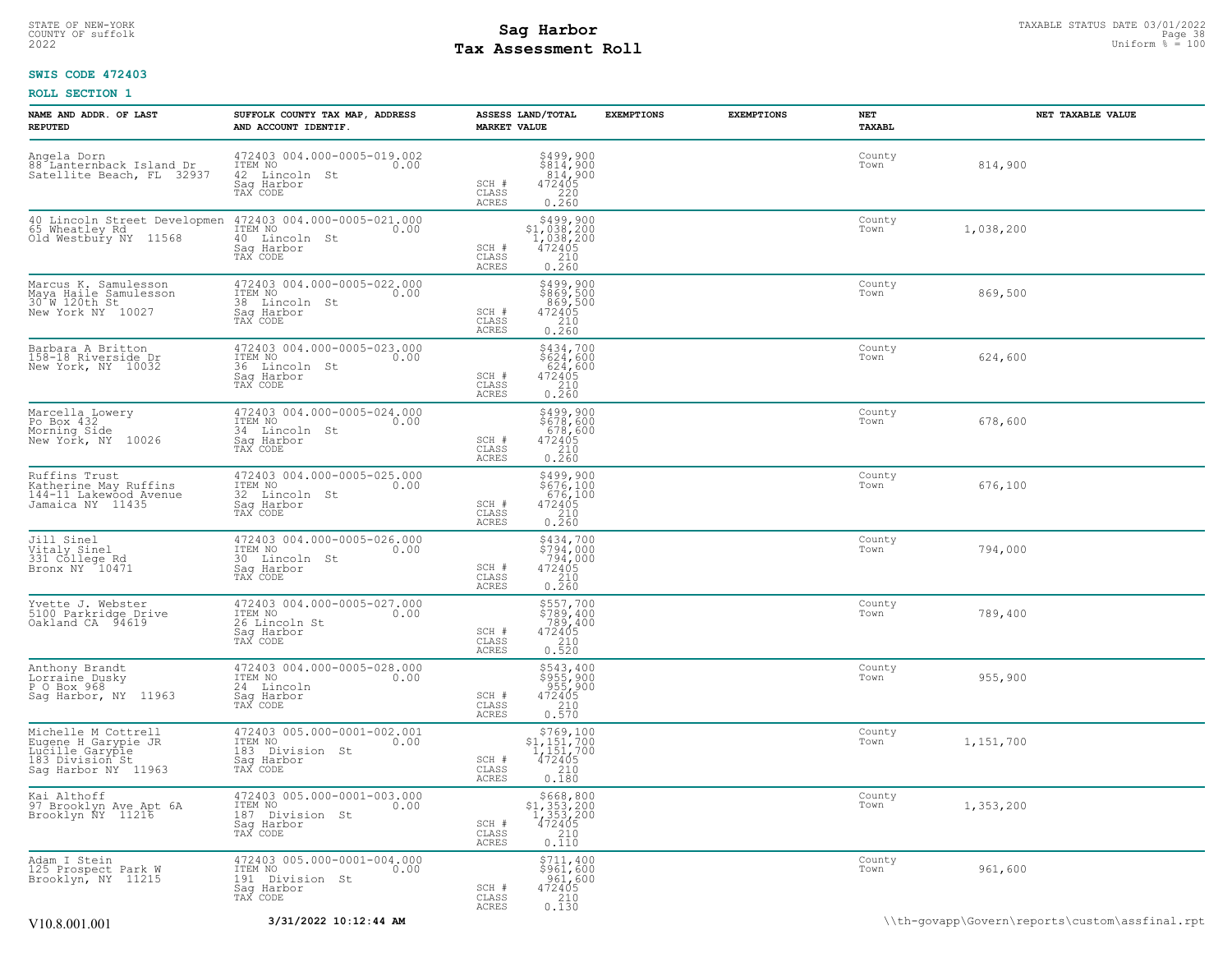## STATE OF NEW-YORK STATUS DATE 03/01/2022<br>
COUNTY OF suffolk Page 38 COUNTY OF Suffolk Page 38 COUNTY OF Suffolk Page 38<br>
2022 Pay Assessment Roll **Tax Assessment Roll**

## **SWIS CODE 472403**

| NAME AND ADDR. OF LAST<br><b>REPUTED</b>                                                                                   | SUFFOLK COUNTY TAX MAP, ADDRESS<br>AND ACCOUNT IDENTIF.                                                                              | ASSESS LAND/TOTAL<br><b>MARKET VALUE</b>                                                                                              | <b>EXEMPTIONS</b> | <b>EXEMPTIONS</b> | NET<br>TAXABL  | NET TAXABLE VALUE |
|----------------------------------------------------------------------------------------------------------------------------|--------------------------------------------------------------------------------------------------------------------------------------|---------------------------------------------------------------------------------------------------------------------------------------|-------------------|-------------------|----------------|-------------------|
| Angela Dorn<br>88 Lanternback Island Dr<br>Satellite Beach, FL 32937                                                       | 472403 004.000-0005-019.002<br>ITEM NO<br>0.00<br>42 Lincoln St<br>Sag Harbor<br>TAX CODE                                            | \$499,900<br>\$814,900<br>.814,900<br>SCH #<br>$\begin{array}{r} 47\bar{2}405 \\ 220 \\ 0.260 \end{array}$<br>CLASS<br>ACRES          |                   |                   | County<br>Town | 814,900           |
| Old Westbury NY 11568                                                                                                      | 40 Lincoln Street Developmen 472403 004.000-0005-021.000<br>65 Wheatley Rd  ITEM NO  0.00<br>40 Lincoln St<br>Saq Harbor<br>TAX CODE | \$499,900<br>$$1,038,200$<br>1,038,200<br>472405<br>210<br>SCH #<br>CLASS<br>ACRES<br>0.260                                           |                   |                   | County<br>Town | 1,038,200         |
| Marcus K. Samulesson<br>Maya Haile Samulesson<br>30 W. 120th St<br>New York NY 10027                                       | 472403 004.000-0005-022.000<br>ITEM NO<br>0.00<br>38 Lincoln St<br>Saq Harbor<br>TAX CODE                                            | \$499,900<br>\$869,500<br>869,500<br>472405<br>210<br>SCH #<br>CLASS<br><b>ACRES</b><br>0.260                                         |                   |                   | County<br>Town | 869,500           |
| Barbara A Britton<br>158-18 Riverside Dr<br>New York, NY 10032                                                             | 472403 004.000-0005-023.000<br>ITEM NO<br>0.00<br>36 Lincoln St<br>Sag Harbor<br>TAX CODE                                            | $$434,700$<br>$$624,600$<br>$624,600$<br>$472405$<br>$210$<br>SCH #<br>$\mathtt{CLASS}$<br><b>ACRES</b><br>0.260                      |                   |                   | County<br>Town | 624,600           |
| Marcella Lowery<br>Po Box 432<br>Morning Side<br>New York, NY 10026                                                        | 472403 004.000-0005-024.000<br>ITEM NO<br>0.00<br>34 Lincoln St<br>Sag Harbor<br>TAX CODE                                            | \$499,900<br>\$678,600<br>678,600<br>472405<br>210<br>0.260<br>SCH #<br>CLASS<br><b>ACRES</b>                                         |                   |                   | County<br>Town | 678,600           |
| Ruffins Trust<br>Katherine May Ruffins<br>144-11 Lakewood Avenue<br>Jamaica NY 11435                                       | 472403 004.000-0005-025.000<br>ITEM NO<br>0.00<br>32 Lincoln St<br>Sag Harbor<br>TAX CODE                                            | \$499,900<br>\$676,100<br>676,100<br>SCH #<br>$\begin{matrix}472405\\210\\0.260\end{matrix}$<br>CLASS<br>ACRES                        |                   |                   | County<br>Town | 676,100           |
| Jill Sinel<br>Vitaly Sinel<br>331 College Rd<br>Bronx NY 10471                                                             | 472403 004.000-0005-026.000<br>ITEM NO<br>0.00<br>30 Lincoln St<br>Saq Harbor<br>TAX CODE                                            | \$434,700<br>\$794,000<br>794,000<br>SCH #<br>472405<br>$\begin{array}{c} 210 \\ 0.260 \end{array}$<br>CLASS<br>ACRES                 |                   |                   | County<br>Town | 794,000           |
| Yvette J. Webster<br>5100 Parkridge Drive<br>Oakland CA 94619                                                              | 472403 004.000-0005-027.000<br>ITEM NO 0.00<br>0.00<br>26 Lincoln St<br>Saq Harbor<br>TAX CODE                                       | \$557,700<br>\$789,400<br>789,400<br>SCH #<br>$\begin{array}{r} 472405 \\ 210 \\ 0.520 \end{array}$<br>CLASS<br><b>ACRES</b>          |                   |                   | County<br>Town | 789,400           |
| Anthony Brandt<br>Lorraine Dusky<br>P O Box 968<br>Sag Harbor, NY 11963                                                    | 472403 004.000-0005-028.000<br>ITEM NO<br>0.00<br>24 Lincoln<br>Sag Harbor<br>TAX CODE                                               | \$543,400<br>\$955,900<br>955,900<br>472405<br>210<br>SCH #<br>CLASS<br>0.570<br>ACRES                                                |                   |                   | County<br>Town | 955,900           |
| Michelle M Cottrell<br>Eugene H Garypie JR<br>Lucille Garypie<br>Lucille Garypie<br>183 Division St<br>Sag Harbor NY 11963 | 472403 005.000-0001-002.001<br>ITEM NO<br>0.00<br>183 Division St<br>Sag Harbor<br>TAX CODE                                          | $\begin{array}{r} 5769,100 \\ 51,151,700 \\ 1,151,700 \\ 472405 \\ 210 \\ 210 \end{array}$<br>SCH #<br>CLASS<br><b>ACRES</b><br>0.180 |                   |                   | County<br>Town | 1,151,700         |
| Kai Althoff<br>97 Brooklyn Ave Apt 6A<br>Brooklyn NY 11216                                                                 | 472403 005.000-0001-003.000<br>ITEM NO<br>0.00<br>187 Division St<br>Saq Harbor<br>TAX CODE                                          | \$668,800<br>$$1,353,200$<br>1,353,200<br>472405<br>210<br>SCH #<br>CLASS<br><b>ACRES</b><br>0.110                                    |                   |                   | County<br>Town | 1,353,200         |
| Adam I Stein<br>125 Prospect Park W<br>Brooklyn, NY 11215                                                                  | 472403 005.000-0001-004.000<br>ITEM NO<br>0.00<br>191 Division St<br>Saq Harbor<br>TAX CODE                                          | \$711,400<br>\$961,600<br>$\begin{array}{r} 961,600 \\ 472405 \\ 210 \\ 230 \end{array}$<br>SCH #<br>CLASS<br><b>ACRES</b><br>0.130   |                   |                   | County<br>Town | 961,600           |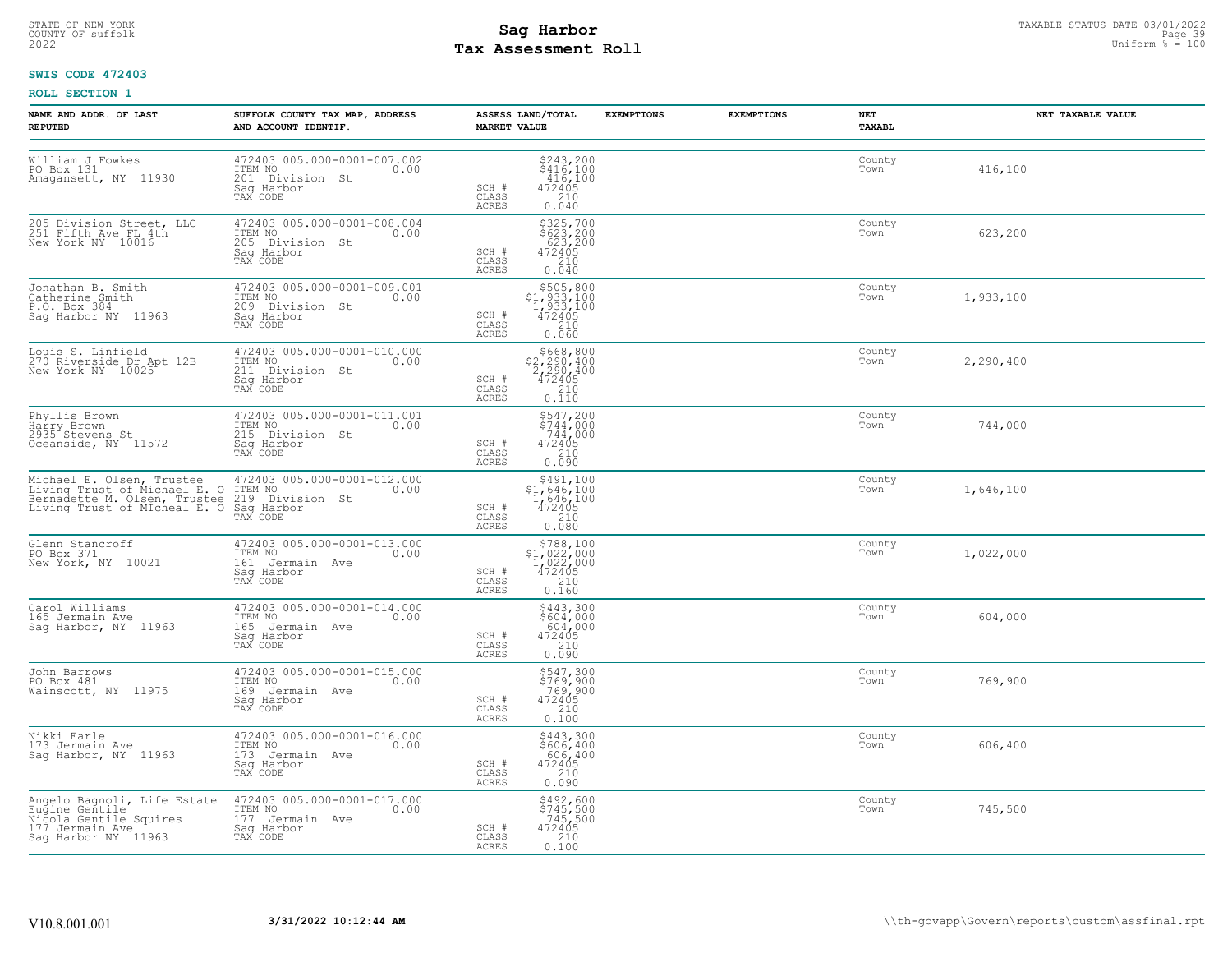# STATE OF NEW-YORK STATUS DATE 03/01/2022<br>
COUNTY OF suffolk Page 39<br>
2022 **Fax Assessment Roll** Page 39 Uniform % = 100 **Tax Assessment Roll**

## **SWIS CODE 472403**

| NAME AND ADDR. OF LAST<br><b>REPUTED</b>                                                                                                                                                     | SUFFOLK COUNTY TAX MAP, ADDRESS<br>AND ACCOUNT IDENTIF.                                                                              | ASSESS LAND/TOTAL<br><b>MARKET VALUE</b>                                                                                            | <b>EXEMPTIONS</b> | <b>EXEMPTIONS</b> | NET<br>TAXABL  | NET TAXABLE VALUE |
|----------------------------------------------------------------------------------------------------------------------------------------------------------------------------------------------|--------------------------------------------------------------------------------------------------------------------------------------|-------------------------------------------------------------------------------------------------------------------------------------|-------------------|-------------------|----------------|-------------------|
| William J Fowkes<br>PO Box 131<br>Amagansett, NY 11930                                                                                                                                       | 472403 005.000-0001-007.002<br>ITEM NO<br>0.00<br>201 Division St<br>Sag Harbor<br>TAX CODE                                          | $\begin{array}{r} 5243,200 \\ 5416,100 \\ 416,100 \\ 472405 \\ 210 \\ 0.040 \end{array}$<br>SCH #<br>CLASS<br>ACRES                 |                   |                   | County<br>Town | 416,100           |
| 205 Division Street, LLC<br>251 Fifth Ave FL 4th<br>New York NY 10016                                                                                                                        | 472403 005.000-0001-008.004<br>ITEM NO 0.00<br>205 Division St<br>Saq Harbor<br>TAX CODE                                             | \$325,700<br>\$623,200<br>623,200<br>472405<br>210<br>SCH #<br>CLASS<br><b>ACRES</b><br>0.040                                       |                   |                   | County<br>Town | 623,200           |
| Jonathan B. Smith<br>Catherine Smith<br>P.O. Box 384<br>Saq Harbor NY 11963                                                                                                                  | 472403 005.000-0001-009.001<br>ITEM NO<br>0.00<br>209 Division St<br>Saq Harbor<br>TAX CODE                                          | $$505, 800$<br>$$1, 933, 100$<br>$1, 933, 100$<br>$472405$<br>210<br>SCH #<br>CLASS<br>ACRES<br>0.060                               |                   |                   | County<br>Town | 1,933,100         |
| Louis S. Linfield<br>270 Riverside Dr Apt 12B<br>New York NY 10025                                                                                                                           | 472403 005.000-0001-010.000<br>ITEM NO<br>0.00<br>211 Division St<br>Sag Harbor<br>TAX CODE                                          | \$668,800<br>\$2,290,400<br>2,290,400<br>472405<br>SCH #<br>CLASS<br>0.110<br>ACRES                                                 |                   |                   | County<br>Town | 2,290,400         |
| Phyllis Brown<br>Harry Brown<br>2935 Stevens St<br>Oceanside, NY 11572                                                                                                                       | 472403 005.000-0001-011.001<br>ITEM NO<br>0.00<br>215 Division St<br>Sag Harbor<br>TAX CODE                                          | \$547,200<br>$\begin{array}{r} 2347, 200 \\ 5744, 000 \\ 744, 000 \\ 472405 \\ 210 \end{array}$<br>SCH #<br>CLASS<br>ACRES<br>0.090 |                   |                   | County<br>Town | 744,000           |
| Michael E. Olsen, Trustee 472403 005.000-0001<br>Living Trust of Michael E. O ITEM NO<br>Bernadette M. Olsen, Trustee 219 Division St<br>Living Trust of MIcheal E. O Sag Harbor<br>TAX CODE | 472403 005.000-0001-012.000<br>0.00                                                                                                  | $\begin{array}{r} 5491,100 \\ 51,646,100 \\ 1,646,100 \\ 472405 \\ 210 \end{array}$<br>SCH #<br>CLASS<br>ACRES<br>0.080             |                   |                   | County<br>Town | 1,646,100         |
| Glenn Stancroff<br>PO Box 371<br>New York, NY 10021                                                                                                                                          | 472403 005.000-0001-013.000<br>ITEM NO 0.00<br>161 Jermain Ave<br>Saq Harbor<br>TAX CODE                                             | $$788,100$<br>$$1,022,000$<br>$1,022,000$<br>$472405$<br>SCH #<br>CLASS<br>210<br>ACRES<br>0.160                                    |                   |                   | County<br>Town | 1,022,000         |
| Carol Williams<br>165 Jermain Ave<br>Sag Harbor, NY 11963                                                                                                                                    | 472403 005.000-0001-014.000<br>ITEM NO<br>0.00<br>165 Jermain Ave<br>Sag Harbor<br>TAX CODE                                          | $$443,300$<br>$$604,000$<br>$604,000$<br>$472405$<br>$210$<br>SCH #<br>CLASS<br><b>ACRES</b><br>0.090                               |                   |                   | County<br>Town | 604,000           |
| John Barrows<br>PO Box 481<br>Wainscott, NY 11975                                                                                                                                            | 472403 005.000-0001-015.000<br>ITEM NO<br>0.00<br>169 Jermain Ave<br>Sag-Harbor<br>TAX CODE                                          | \$547,300<br>\$769,900<br>769,900<br>472405<br>SCH #<br>$\frac{210}{0.100}$<br>CLASS<br>ACRES                                       |                   |                   | County<br>Town | 769,900           |
| Nikki Earle<br>173 Jermain Ave<br>Sag Harbor, NY 11963                                                                                                                                       | 472403 005.000-0001-016.000<br>ITEM NO<br>0.00<br>173 Jermain Ave<br>Saq Harbor<br>TAX CODE                                          | \$443,300<br>\$606,400<br>606,400<br>472405<br>SCH #<br>CLASS<br>210<br>ACRES<br>0.090                                              |                   |                   | County<br>Town | 606,400           |
| Nigola Gentile Squires<br>177 Jermain Ave<br>Sag Harbor NY 11963                                                                                                                             | Angelo Bagnoli, Life Estate 472403 005.000-0001-017.000<br>Eugine Gentile  ITEM NO 0.00<br>177 Jermain Ave<br>Saq Harbor<br>TAX CODE | \$492,600<br>\$745,500<br>745,500<br>472405<br>SCH #<br>CLASS<br>0.100<br>ACRES                                                     |                   |                   | County<br>Town | 745,500           |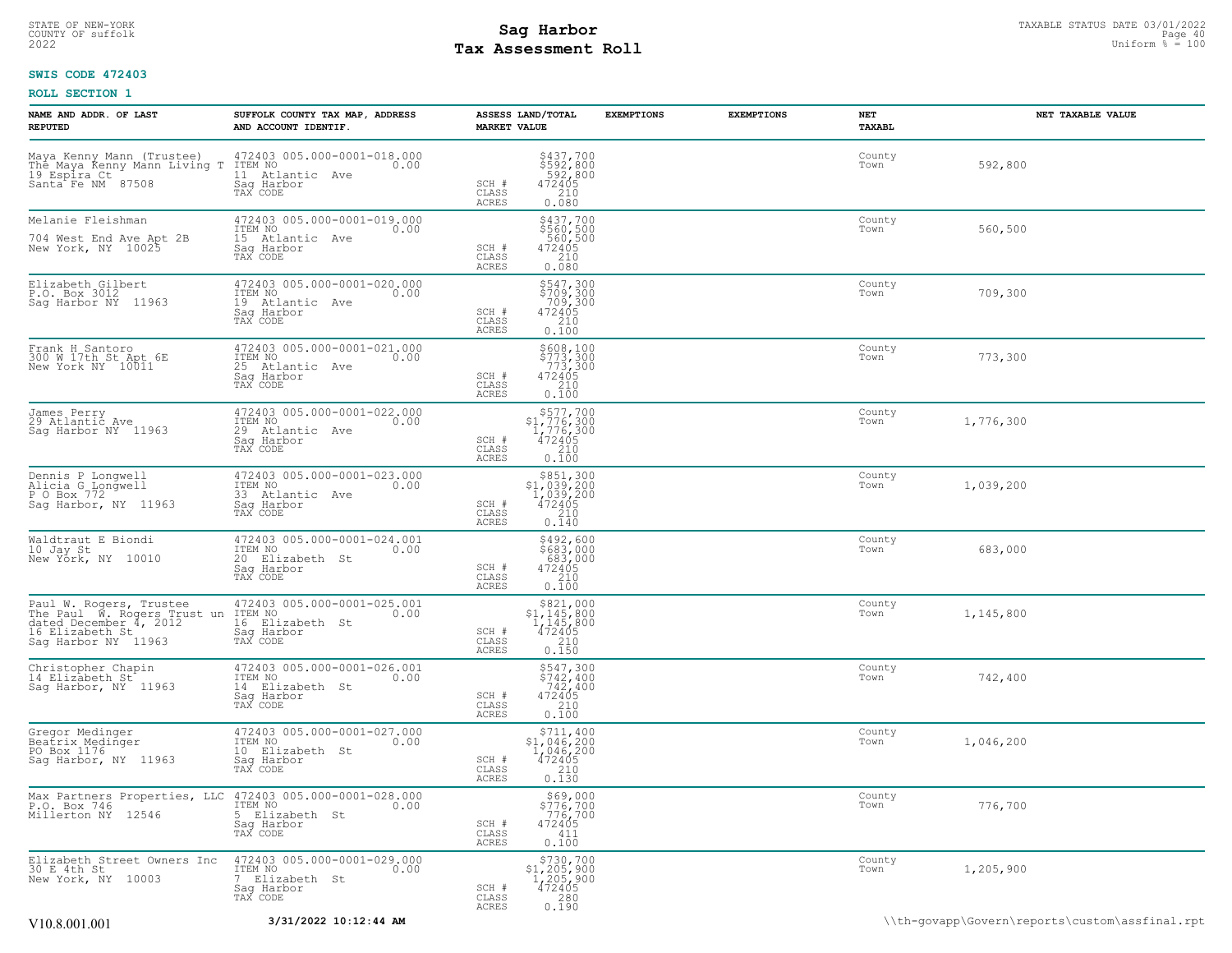## STATE OF NEW-YORK STATUS DATE 03/01/2022<br>
COUNTY OF suffolk Page 40 Uniform % = 100<br>
2022 Pay Assessment Roll **Tax Assessment Roll**

## **SWIS CODE 472403**

| NAME AND ADDR. OF LAST<br><b>REPUTED</b>                                                                      | SUFFOLK COUNTY TAX MAP, ADDRESS<br>AND ACCOUNT IDENTIF.                                                                                  | ASSESS LAND/TOTAL<br><b>EXEMPTIONS</b><br><b>MARKET VALUE</b>                                                                      | <b>EXEMPTIONS</b><br>NET<br><b>TAXABL</b> | NET TAXABLE VALUE                              |
|---------------------------------------------------------------------------------------------------------------|------------------------------------------------------------------------------------------------------------------------------------------|------------------------------------------------------------------------------------------------------------------------------------|-------------------------------------------|------------------------------------------------|
| Maya Kenny Mann (Trustee) 472403<br>The Maya Kenny Mann Living T ITEM NO<br>19 Espira Ct<br>Santa Fe NM 87508 | 472403 005.000-0001-018.000<br>0.00<br>11 Atlantic Ave<br>Saq Harbor<br>TAX CODE                                                         | \$437,700<br>\$592,800<br>592,800<br>SCH #<br>472405<br>CLASS<br>210<br>ACRES<br>0.080                                             | County<br>Town                            | 592,800                                        |
| Melanie Fleishman<br>704 West End Ave Apt 2B<br>New York, NY 10025                                            | 472403 005.000-0001-019.000<br>ITEM NO<br>0.00<br>15 Atlantic Ave<br>Sag Harbor<br>TAX CODE                                              | \$437,700<br>\$560,500<br>560,500<br>472405<br>210<br>0.080<br>SCH #<br>CLASS<br>ACRES                                             | County<br>Town                            | 560,500                                        |
| Elizabeth Gilbert<br>P.O. Box 3012<br>Sag Harbor NY 11963                                                     | 472403 005.000-0001-020.000<br>ITEM NO<br>0.00<br>19 Atlantic Ave<br>Saq Harbor<br>TAX CODE                                              | \$547,300<br>\$709,300<br>709,300<br>472405<br>210<br>SCH #<br>CLASS<br>0.100<br>ACRES                                             | County<br>Town                            | 709,300                                        |
| Frank H_Santoro<br>300 W 17th St Apt 6E<br>New York NY 10011                                                  | 472403 005.000-0001-021.000<br>ITEM NO<br>0.00<br>25<br>Atlantic Ave<br>Saq Harbor<br>TAX CODE                                           | \$608,100<br>$$773,300$<br>773,300<br>472405<br>210<br>SCH #<br>CLASS<br>ACRES<br>0.100                                            | County<br>Town                            | 773,300                                        |
| James Perry<br>29 Atlantic Ave<br>Sag Harbor NY 11963                                                         | 472403 005.000-0001-022.000<br>ITEM NO<br>0.00<br>29 Atlantic Ave<br>Saq Harbor<br>TAX CODE                                              | $$577,700$<br>$$1,776,300$<br>$1,776,300$<br>$\frac{472405}{210}$<br>SCH #<br>CLASS<br>ACRES<br>0.100                              | County<br>Town                            | 1,776,300                                      |
| Dennis P Longwell<br>Alicia G Longwell<br>P O Box 772<br>Sag Harbor, NY 11963                                 | 472403 005.000-0001-023.000<br>TTEM NO 0.00<br>33 Atlantic Ave<br>Sag Harbor<br>TAX CODE                                                 | $$851,300$<br>$$1,039,200$<br>$1,039,200$<br>$472405$<br>$210$<br>SCH #<br>CLASS<br>ACRES<br>0.140                                 | County<br>Town                            | 1,039,200                                      |
| Waldtraut E Biondi<br>10 Jay St<br>New York, NY 10010                                                         | 472403 005.000-0001-024.001<br>ITEM NO<br>0.00<br>20 Elizabeth St<br>Saq Harbor<br>TAX CODE                                              | \$492,600<br>\$683,000<br>683,000<br>SCH #<br>472405<br>210<br>CLASS<br>0.100<br>ACRES                                             | County<br>Town                            | 683,000                                        |
| dated December 4, 2012<br>16 Elizabeth St<br>Sag Harbor NY 11963                                              | Paul W. Rogers, Trustee 472403 005.000-0001-025.001<br>The Paul W. Rogers Trust un ITEM NO.<br>16 Elizabeth St<br>Saq Harbor<br>TAX CODE | $$821,000$<br>$$1,145,800$<br>$1,145,800$<br>SCH #<br>472405<br>CLASS<br>210<br>ACRES<br>0.150                                     | County<br>Town                            | 1,145,800                                      |
| Christopher Chapin<br>14 Elizabeth St<br>Sag Harbor, NY 11963                                                 | 472403 005.000-0001-026.001<br>ITEM NO<br>0.00<br>14 Elizabeth St<br>Sag Harbor<br>TAX CODE                                              | $\begin{array}{c} 5547,300 \\ 5742,400 \\ 742,400 \\ 472405 \\ 210 \\ 0.100 \end{array}$<br>SCH #<br>CLASS<br>ACRES                | County<br>Town                            | 742,400                                        |
| Gregor Medinger<br>Beatrix Mediñger<br>PO Box 1176<br>Sag Harbor, NY 11963                                    | 472403 005.000-0001-027.000<br>ITEM NO<br>0.00<br>10 Elizabeth St<br>Saq Harbor<br>TAX CODE                                              | $\begin{array}{r} $711,400 \\ $1,046,200 \\ $1,046,200 \\ $472405 \\ $210 \\ $210 \end{array}$<br>SCH #<br>CLASS<br>0.130<br>ACRES | County<br>Town                            | 1,046,200                                      |
| Max Partners Properties, LLC 472403 005.000-0001-028.000<br>P.O. Box 746<br>Millerton NY 12546                | ITEM NO<br>0.00<br>5<br>Elizabeth St<br>Saq Harbor<br>TAX CODE                                                                           | \$69,000<br>\$776,700<br>776,700<br>472405<br>SCH #<br>CLASS<br>0.111<br><b>ACRES</b>                                              | County<br>Town                            | 776,700                                        |
| Elizabeth Street Owners Inc<br>30 E 4th St<br>New York, NY 10003                                              | 472403 005.000-0001-029.000<br>ITEM NO<br>0.00<br>7 Elizabeth St<br>Saq Harbor<br>TAX CODE                                               | $\substack{\$730,700\\\$1,205,900\\1,205,900\\472405}$<br>SCH #<br>CLASS<br>280<br>ACRES<br>0.190                                  | County<br>Town                            | 1,205,900                                      |
| V10.8.001.001                                                                                                 | 3/31/2022 10:12:44 AM                                                                                                                    |                                                                                                                                    |                                           | \\th-govapp\Govern\reports\custom\assfinal.rpt |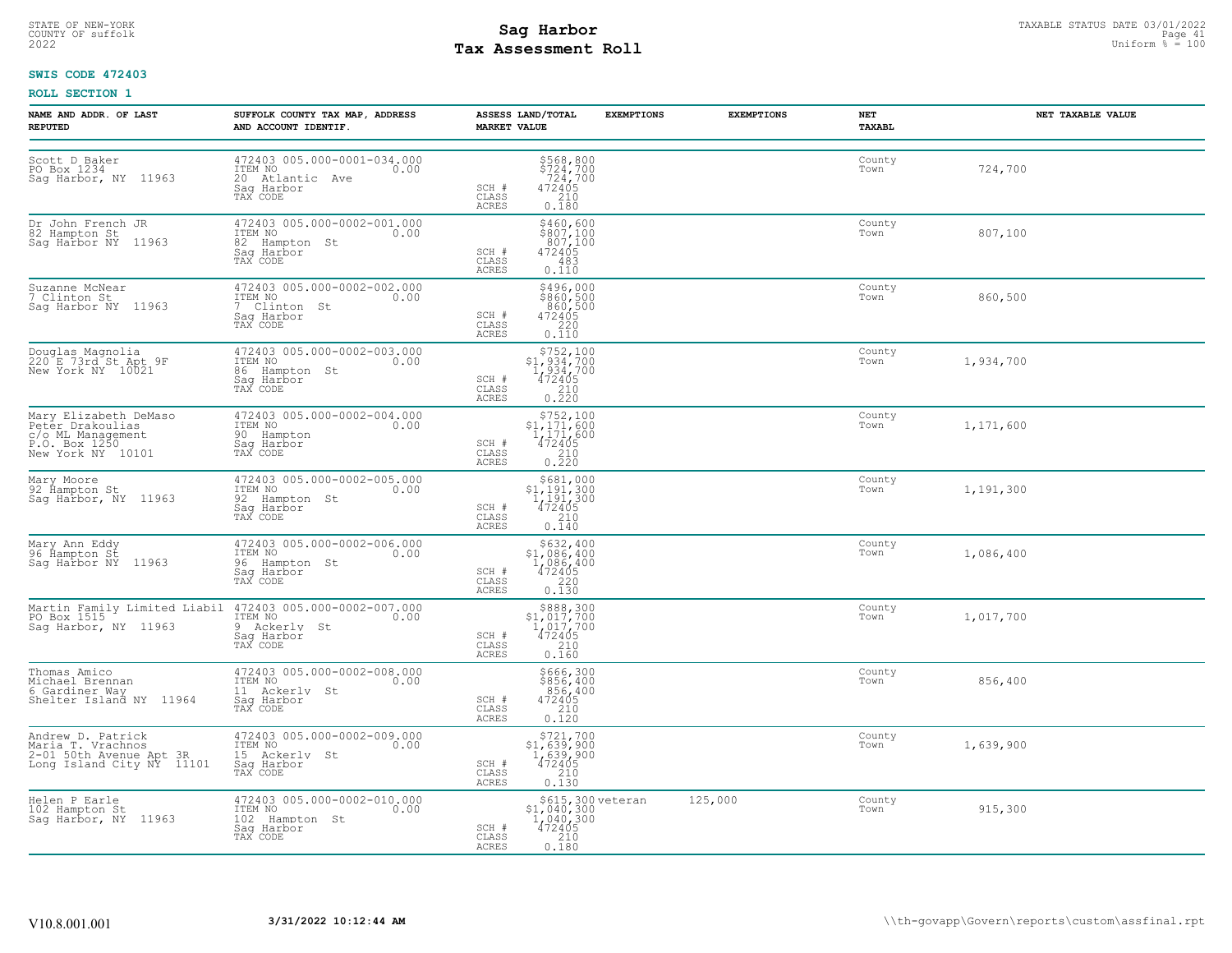# **Tax Assessment Roll Existed Structure Constant Politics** and the Uniform  $\frac{1}{2}$  is the Uniform  $\frac{1}{2}$  is the Uniform  $\frac{1}{2}$  is the Uniform  $\frac{1}{2}$  is the Uniform  $\frac{1}{2}$  is the Uniform  $\frac{1}{2}$  is the Unit

## **SWIS CODE 472403**

| NAME AND ADDR. OF LAST<br><b>REPUTED</b>                                                             | SUFFOLK COUNTY TAX MAP, ADDRESS<br>AND ACCOUNT IDENTIF.                                                           | ASSESS LAND/TOTAL<br><b>MARKET VALUE</b> |                                                                                                                                                                                                               | <b>EXEMPTIONS</b> | <b>EXEMPTIONS</b> | NET<br><b>TAXABL</b> | NET TAXABLE VALUE |
|------------------------------------------------------------------------------------------------------|-------------------------------------------------------------------------------------------------------------------|------------------------------------------|---------------------------------------------------------------------------------------------------------------------------------------------------------------------------------------------------------------|-------------------|-------------------|----------------------|-------------------|
| Scott D Baker<br>PO Box 1234<br>Sag Harbor, NY 11963                                                 | 472403 005.000-0001-034.000<br>ITEM NO<br>0.00<br>20 Atlantic Ave<br>Sag Harbor<br>TAX CODE                       | SCH #<br>CLASS<br>ACRES                  | \$568,800<br>\$724,700<br>724,700<br>472405<br>$\begin{array}{c} 210 \\ 0.180 \end{array}$                                                                                                                    |                   |                   | County<br>Town       | 724,700           |
| Dr John French JR<br>82 Hampton St<br>Sag Harbor NY 11963                                            | 472403 005.000-0002-001.000<br>ITEM NO<br>0.00<br>82 Hampton St<br>Saq Harbor<br>TAX CODE                         | SCH #<br>CLASS<br>ACRES                  | \$460,600<br>$\frac{1000}{807}$ , 100<br>807, 100<br>472405<br>483<br>0.110                                                                                                                                   |                   |                   | County<br>Town       | 807,100           |
| Suzanne McNear<br>7 Clinton St.<br>Sag Harbor NY 11963                                               | 472403 005.000-0002-002.000<br>ITEM NO<br>0.00<br>7 Clinton St<br>Saq Harbor<br>TAX CODE                          | SCH #<br>CLASS<br>ACRES                  | $$496,000$<br>$$860,500$<br>$860,500$<br>$472405$<br>$220$<br>0.110                                                                                                                                           |                   |                   | County<br>Town       | 860,500           |
| Douglas Magnolia<br>220 E 73rd St Apt 9F<br>New York NY 10021                                        | 472403 005.000-0002-003.000<br>ITEM NO 0.00<br>86 Hampton St<br>Sag Harbor<br>TAX CODE                            | SCH #<br>CLASS<br><b>ACRES</b>           | $5752,100\n51,934,700\n1,934,700\n472405\n210$<br>0.220                                                                                                                                                       |                   |                   | County<br>Town       | 1,934,700         |
| Mary Elizabeth DeMaso<br>Petér Drakoulias<br>c/o ML Management<br>P.O. Box 1250<br>New York NY 10101 | 472403 005.000-0002-004.000<br>ITEM NO<br>0.00<br>90 Hampton<br>Sag Harbor<br>TAX CODE                            | SCH #<br>CLASS<br><b>ACRES</b>           | $\begin{array}{r} \text{\small $>$752$, $100$} \\ \text{\small $>$1$, $171$, $600$} \\ \text{\small $1$, $171$, $600$} \\ \text{\small $472405$} \\ \text{\small $210$} \\ \text{\small $0.220$} \end{array}$ |                   |                   | County<br>Town       | 1,171,600         |
| Mary Moore<br>92 Hampton St<br>Sag Harbor, NY 11963                                                  | 472403 005.000-0002-005.000<br>10.00 0.00<br>92 Hampton St<br>Sag Harbor<br>TAX CODE                              | SCH #<br>CLASS<br>ACRES                  | \$681,000<br>\$1,191,300<br>1,191,300<br>472405<br>210<br>0.140                                                                                                                                               |                   |                   | County<br>Town       | 1,191,300         |
| Mary Ann Eddy<br>96 Ĥampton St<br>Sag Harbor NY 11963                                                | 472403 005.000-0002-006.000<br>ITEM NO<br>0.00<br>96 Hampton St<br>Saq Harbor<br>TAX CODE                         | SCH #<br>CLASS<br>ACRES                  | \$632,400<br>\$1,086,400<br>1,086,400<br>472405<br>220<br>0.130                                                                                                                                               |                   |                   | County<br>Town       | 1,086,400         |
| Saq Harbor, NY 11963                                                                                 | Martin Family Limited Liabil 472403 005.000-0002-007.000<br>PO Box 1515<br>9 Ackerly St<br>Saq Harbor<br>TAX CODE | SCH #<br>CLASS<br>ACRES                  | $$888,300$<br>$$1,017,700$<br>$1,017,700$<br>$472405$<br>210<br>0.160                                                                                                                                         |                   |                   | County<br>Town       | 1,017,700         |
| Thomas Amico<br>Michael Brennan<br>6 Gardiner Way<br>Shelter Island NY 11964                         | 472403 005.000-0002-008.000<br>ITEM NO<br>0.00<br>11 Ackerly St<br>Sag Harbor<br>TAX CODE                         | SCH #<br>CLASS<br><b>ACRES</b>           | \$666,300<br>\$856,400<br>$\begin{array}{r} 856,400\\ 472405\\ 210\\ 0.120 \end{array}$                                                                                                                       |                   |                   | County<br>Town       | 856,400           |
| Andrew D. Patrick<br>Maria T. Vrachnos<br>2-01 50th Avenue Apt 3R<br>Long Island City NY 11101       | 472403 005.000-0002-009.000<br>ITEM NO<br>0.00<br>15 Ackerly St<br>Sag Harbor<br>TAX CODE                         | SCH #<br>CLASS<br>ACRES                  | $\begin{array}{r} \text{\small $5721,700} \\ \text{\small $51$, 639,900} \\ 1,639,900 \\ 472405 \\ 210 \\ 0.130 \\ \end{array}$                                                                               |                   |                   | County<br>Town       | 1,639,900         |
| Helen P Earle<br>102 Hampton St<br>Sag Harbor, NY 11963                                              | 472403 005.000-0002-010.000<br>ITEM NO<br>0.00<br>102 Hampton St<br>Saq Harbor<br>TAX CODE                        | SCH #<br>CLASS<br>ACRES                  | \$615,300 veteran<br>\$1,040,300<br>$\frac{1,040,300}{472405}$<br>210<br>0.180                                                                                                                                |                   | 125,000           | County<br>Town       | 915,300           |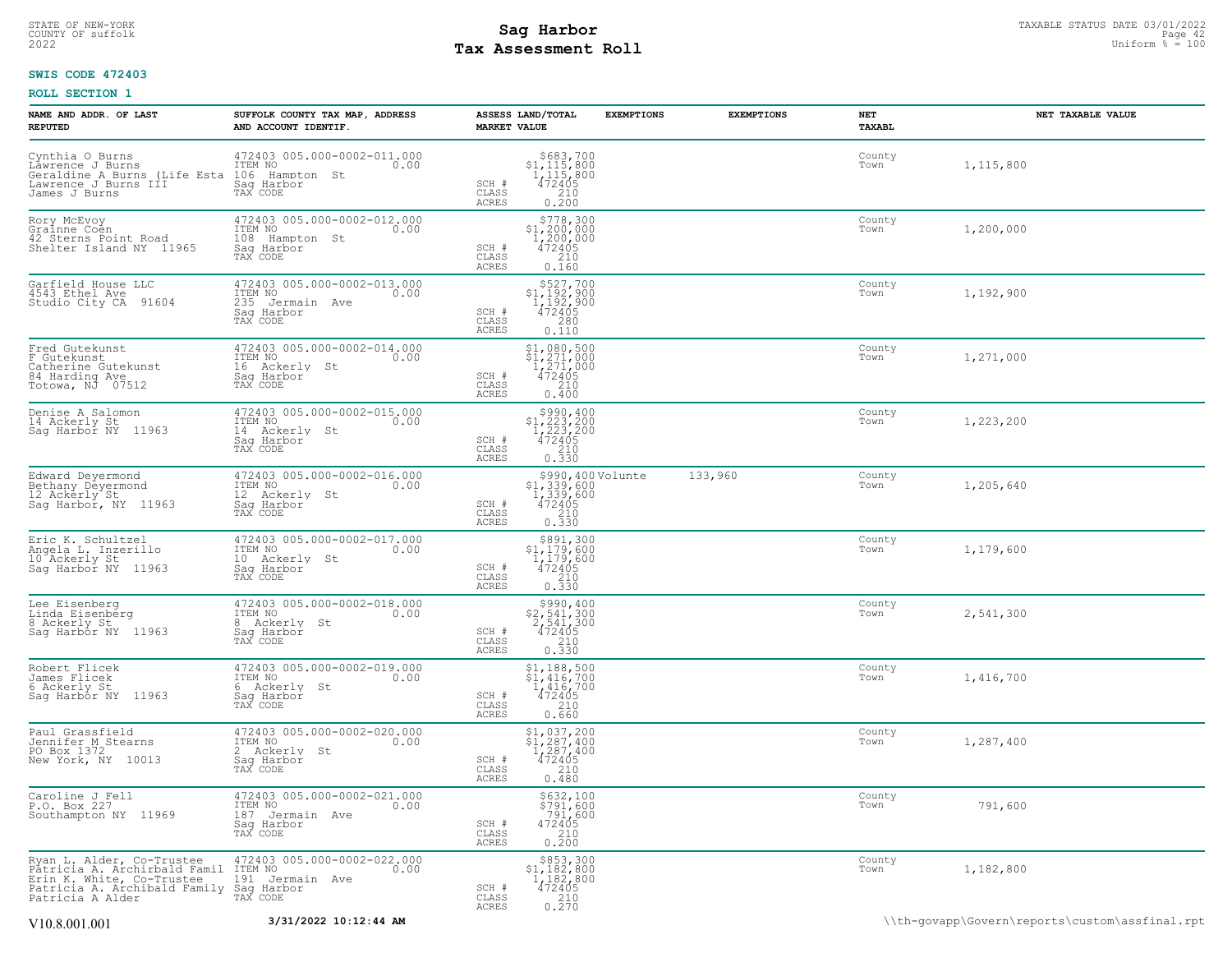## STATE OF NEW-YORK STATUS DATE 03/01/2022<br>
COUNTY OF suffolk Page 42 Uniform % = 100<br>
2022 Pay Assessment Roll **Tax Assessment Roll**

## **SWIS CODE 472403**

| NAME AND ADDR. OF LAST<br><b>REPUTED</b>                                                                                                   | SUFFOLK COUNTY TAX MAP, ADDRESS<br>AND ACCOUNT IDENTIF.                                        | ASSESS LAND/TOTAL<br><b>MARKET VALUE</b> | <b>EXEMPTIONS</b>                                                                                                                        | <b>EXEMPTIONS</b> | NET<br>TAXABL  | NET TAXABLE VALUE                              |
|--------------------------------------------------------------------------------------------------------------------------------------------|------------------------------------------------------------------------------------------------|------------------------------------------|------------------------------------------------------------------------------------------------------------------------------------------|-------------------|----------------|------------------------------------------------|
| Cynthia O Burns<br>Lawrence J Burns<br>Geraldine A Burns (Life Esta<br>Lawrence J Burns III<br>James J Burns                               | 472403 005.000-0002-011.000<br>ITEM NO<br>0.00<br>106 Hampton St<br>Saq Harbor<br>TAX CODE     | SCH #<br>CLASS<br>ACRES                  | $\begin{array}{r}  \  \  \, 5683,700 \\  \  \, 1,115,800 \\  \  \, 1,115,800 \\  \  \, 472405 \\  \  \, 210 \\  \  \, 0.200 \end{array}$ |                   | County<br>Town | 1,115,800                                      |
| Rory McEvoy<br>Grainne Coen<br>42 Sterns Point Road<br>Shelter Island NY 11965                                                             | 472403 005.000-0002-012.000<br>ITEM NO<br>0.00<br>108<br>Hampton St<br>Sag Harbor<br>TAX CODE  | SCH #<br>CLASS<br>ACRES                  | \$778,300<br>$$1,200,000$<br>$1,200,000$<br>472405<br>210<br>0.160                                                                       |                   | County<br>Town | 1,200,000                                      |
| Garfield House LLC<br>4543 Ethel Ave<br>91604<br>Studio City CA                                                                            | 472403 005.000-0002-013.000<br>ITEM NO<br>0.00<br>235<br>Jermain Ave<br>Sag Harbor<br>TAX CODE | SCH #<br>CLASS<br>ACRES                  | $$527,700$<br>$$1,192,900$<br>$1,192,900$<br>$472405$<br>280<br>0.110                                                                    |                   | County<br>Town | 1,192,900                                      |
| Fred Gutekunst<br>F Gutekunst<br>Catherine Gutekunst<br>84 Harding Ave<br>Totowa, NJ 07512                                                 | 472403 005.000-0002-014.000<br>TTEM NO 0.00<br>16 Ackerly St<br>Saq Harbor<br>TAX CODE         | SCH #<br>CLASS<br>ACRES                  | $$1,080,500$<br>$$1,271,000$<br>$1,271,000$<br>$472405$<br>210<br>0.400                                                                  |                   | County<br>Town | 1,271,000                                      |
| Denise A Salomon<br>14 Ackerly St<br>Sag Harbor NY 11963                                                                                   | 472403 005.000-0002-015.000<br>ITEM NO<br>0.00<br>14 Ackerly St<br>Saq Harbor<br>TAX CODE      | SCH #<br>CLASS<br>ACRES                  | $\begin{array}{c} $990,400 \\ $1,223,200 \\ $1,223,200 \\ $472405 \end{array}$<br>$\frac{210}{0.330}$                                    |                   | County<br>Town | 1,223,200                                      |
| Edward Deyermond<br>Bethany Deyermond<br>12 Ackerly St<br>Sag Harbor, NY 11963                                                             | 472403 005.000-0002-016.000<br>ITEM NO<br>0.00<br>12 Ackerly St<br>Saq Harbor<br>TAX CODE      | SCH #<br>CLASS<br>ACRES                  | \$990,400 Volunte<br>\$1,339,600<br>1,339,600<br>472405<br>210<br>0.330                                                                  | 133,960           | County<br>Town | 1,205,640                                      |
| Eric K. Schultzel<br>Angela L. Inzerillo<br>10 Ackerly St<br>Sag Harbor NY<br>11963                                                        | 472403 005.000-0002-017.000<br>ITEM NO<br>0.00<br>10 Ackerly St<br>Saq Harbor<br>TAX CODE      | SCH #<br>CLASS<br>ACRES                  | $\begin{array}{c} $891,300 \\ $1,179,600 \\ $1,179,600 \\ $472405 \end{array}$<br>0.330                                                  |                   | County<br>Town | 1,179,600                                      |
| Lee Eisenberg<br>Linda Eisenberg<br>8 Ackerly St<br>Sag Harbor NY 11963                                                                    | 472403 005.000-0002-018.000<br>ITEM NO<br>0.00<br>8 Ackerly St<br>Saq Harbor<br>TAX CODE       | SCH #<br>CLASS<br>ACRES                  | $$990, 400$<br>$$2, 541, 300$<br>$2, 541, 300$<br>$472405$<br>$$210$<br>0.330                                                            |                   | County<br>Town | 2,541,300                                      |
| Robert Flicek<br>James Flicek<br>6 Ackerly St<br>Sag Harbor NY 11963                                                                       | 472403 005.000-0002-019.000<br>ITEM NO<br>0.00<br>6 Ackerly St<br>Sag Harbor<br>TAX CODE       | SCH #<br>CLASS<br>ACRES                  | \$1,188,500<br>\$1,416,700<br>1,416,700<br>472405<br>210<br>0.660                                                                        |                   | County<br>Town | 1,416,700                                      |
| Paul Grassfield<br>Jennifer M Stearns<br>PO Box 1372<br>New York, NY 10013                                                                 | 472403 005.000-0002-020.000<br>ITEM NO<br>0.00<br>2 Ackerly St<br>Saq Harbor<br>TAX CODE       | SCH #<br>CLASS<br>ACRES                  | \$1,037,200<br>$\frac{1}{287}$ , 287, 400<br>1, 287, 400<br>472405<br>210<br>0.480                                                       |                   | County<br>Town | 1,287,400                                      |
| Caroline J Fell<br>P.O. Box 227<br>Southampton NY 11969                                                                                    | 472403 005.000-0002-021.000<br>ITEM NO<br>0.00<br>187 Jermain Ave<br>Saq Harbor<br>TAX CODE    | SCH #<br>CLASS<br>ACRES                  | \$632,100<br>\$791,600<br>791,600<br>472405<br>210<br>0.200                                                                              |                   | County<br>Town | 791,600                                        |
| Ryan L. Alder, Co-Trustee<br>Pâtricia A. Archirbald Famil<br>Erin K. White, Co-Trustee<br>Patricia A. Archibald Family<br>Patricia A Alder | 472403 005.000-0002-022.000<br>ITEM NO<br>0.00<br>191 Jermain Ave<br>Saq Harbor<br>TAX CODE    | SCH #<br>CLASS<br>ACRES                  | $$853,300$<br>$$1,182,800$<br>$1,182,800$<br>472405<br>$\frac{210}{0.270}$                                                               |                   | County<br>Town | 1,182,800                                      |
| V10.8.001.001                                                                                                                              | 3/31/2022 10:12:44 AM                                                                          |                                          |                                                                                                                                          |                   |                | \\th-qovapp\Govern\reports\custom\assfinal.rpt |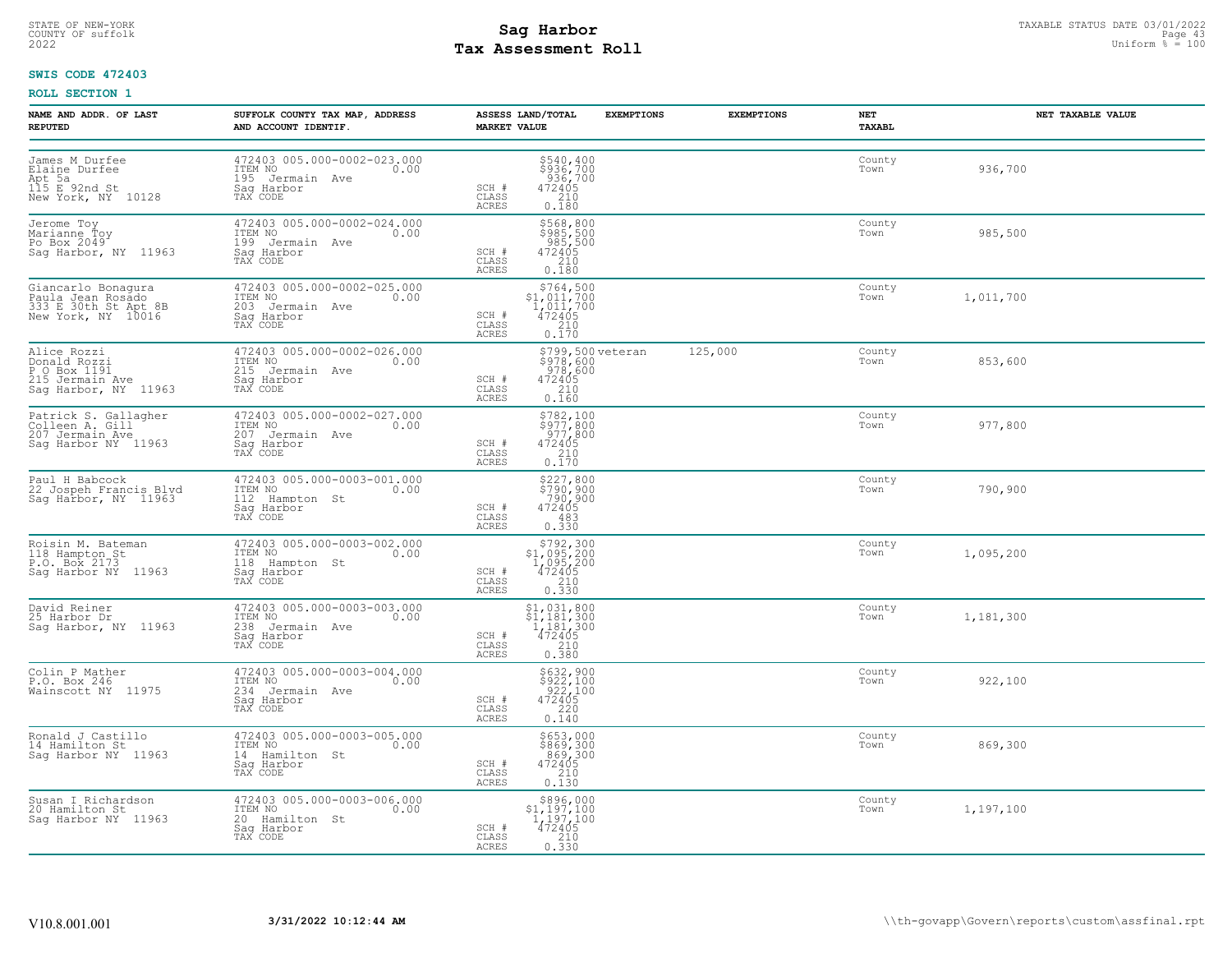# STATE OF NEW-YORK STATUS DATE 03/01/2022<br>
COUNTY OF suffolk Page 43<br>
2022 **Fax Assessment Roll** Page 43 **Uniform % = 100 Tax Assessment Roll**

## **SWIS CODE 472403**

| NAME AND ADDR. OF LAST<br><b>REPUTED</b>                                               | SUFFOLK COUNTY TAX MAP, ADDRESS<br>AND ACCOUNT IDENTIF.                                     | ASSESS LAND/TOTAL<br><b>MARKET VALUE</b>                                                                                            | <b>EXEMPTIONS</b>              | <b>EXEMPTIONS</b> | NET<br><b>TAXABL</b> | NET TAXABLE VALUE |
|----------------------------------------------------------------------------------------|---------------------------------------------------------------------------------------------|-------------------------------------------------------------------------------------------------------------------------------------|--------------------------------|-------------------|----------------------|-------------------|
| James M Durfee<br>Elaine Durfee<br>Apt 5a<br>115 E 92nd St<br>New York, NY 10128       | 472403 005.000-0002-023.000<br>ITEM NO<br>0.00<br>195 Jermain Ave<br>Sag-Harbor<br>TAX CODE | $5540, 400$<br>$5936, 700$<br>$936, 700$<br>$472405$<br>$210$<br>SCH #<br>CLASS<br>0.180<br>ACRES                                   |                                |                   | County<br>Town       | 936,700           |
| Jerome Toy<br>Marianne Toy<br>Po Box 2049<br>Saq Harbor, NY 11963                      | 472403 005.000-0002-024.000<br>ITEM NO 0.00<br>199 Jermain Ave<br>Saq Harbor<br>TAX CODE    | \$568,800<br>\$985,500<br>985,500<br>472405<br>SCH #<br>210<br>CLASS<br>0.180<br>ACRES                                              |                                |                   | County<br>Town       | 985,500           |
| Giancarlo Bonagura<br>Paula Jean Rosado<br>333 E 30th St Apt 8B<br>New York, NY 10016  | 472403 005.000-0002-025.000<br>10.00 0.00<br>203 Jermain Ave<br>Sag Harbor<br>TAX CODE      | $$764, 500$<br>$$1, 011, 700$<br>$1, 011, 700$<br>$472405$<br>$$210$<br>SCH #<br>CLASS<br>ACRES<br>0.170                            |                                |                   | County<br>Town       | 1,011,700         |
| Alice Rozzi<br>Donald Rozzi<br>P O Box 1191<br>215 Jermain Ave<br>Saq Harbor, NY 11963 | 472403 005.000-0002-026.000<br>ITEM NO<br>0.00<br>215 Jermain Ave<br>Saq Harbor<br>TAX CODE | 978,600<br>SCH #<br>472405<br>$\frac{210}{0.160}$<br>CLASS<br>ACRES                                                                 | \$799,500 veteran<br>\$978,600 | 125,000           | County<br>Town       | 853,600           |
| Patrick S. Gallagher<br>Colleen A. Gill<br>207 Jermain Ave<br>Saq Harbor NY 11963      | 472403 005.000-0002-027.000<br>ITEM NO<br>0.00<br>207 Jermain Ave<br>Sag Harbor<br>TAX CODE | \$782,100<br>$\begin{array}{c} 7,800 \\ 977,800 \\ 977,800 \\ 472405 \\ 210 \\ 0.170 \end{array}$<br>SCH #<br>CLASS<br>ACRES        |                                |                   | County<br>Town       | 977,800           |
| Paul H Babcock<br>22 Jospeh Francis Blvd<br>Sag Harbor, NY 11963                       | 472403 005.000-0003-001.000<br>ITEM NO<br>0.00<br>112 Hampton St<br>Saq Harbor<br>TAX CODE  | $$227,800$<br>$$790,900$<br>$790,900$<br>$472405$<br>$483$<br>SCH #<br>CLASS<br>ACRES<br>0.330                                      |                                |                   | County<br>Town       | 790,900           |
| Roisin M. Bateman<br>118 Hampton St<br>P.O. Box 2173<br>Sag Harbor NY 11963            | 472403 005.000-0003-002.000<br>ITEM NO<br>0.00<br>118 Hampton St<br>Saq Harbor<br>TAX CODE  | $$792,300$<br>$$1,095,200$<br>$1,095,200$<br>$472405$<br>SCH #<br>CLASS<br>$\begin{array}{c} 210 \\ 0.330 \end{array}$<br>ACRES     |                                |                   | County<br>Town       | 1,095,200         |
| David Reiner<br>25 Harbor Dr<br>Sag Harbor, NY 11963                                   | 472403 005.000-0003-003.000<br>ITEM NO<br>0.00<br>238 Jermain Ave<br>Sag Harbor<br>TAX CODE | $\begin{array}{r} $1,031,800 \\ $1,181,300 \\ $1,181,300 \\ $472405 \\ $210 \end{array}$<br>SCH #<br>CLASS<br><b>ACRES</b><br>0.380 |                                |                   | County<br>Town       | 1,181,300         |
| Colin P Mather<br>P.O. Box 246<br>Wainscott NY 11975                                   | 472403 005.000-0003-004.000<br>ITEM NO<br>0.00<br>234 Jermain Ave<br>Sag Harbor<br>TAX CODE | \$632,900<br>\$922,100<br>922,100<br>472405<br>SCH #<br>$\begin{array}{c} 220 \\ 0.140 \end{array}$<br>CLASS<br>ACRES               |                                |                   | County<br>Town       | 922,100           |
| Ronald J Castillo<br>14 Hamilton St<br>Sag Harbor NY 11963                             | 472403 005.000-0003-005.000<br>ITEM NO<br>0.00<br>14 Hamilton St<br>Saq Harbor<br>TAX CODE  | \$653,000<br>\$869,300<br>869,300<br>472405<br>SCH #<br>CLASS<br>$\begin{bmatrix} 210 \\ 0.130 \end{bmatrix}$<br>ACRES              |                                |                   | County<br>Town       | 869,300           |
| Susan I Richardson<br>20 Hamilton St<br>Saq Harbor NY 11963                            | 472403 005.000-0003-006.000<br>10.00 0.00<br>20 Hamilton St<br>Saq Harbor<br>TAX CODE       | \$896,000<br>\$1,197,100<br>$\frac{1}{4}$ $\frac{197}{2405}$<br>SCH #<br>CLASS<br>0.330<br>ACRES                                    |                                |                   | County<br>Town       | 1,197,100         |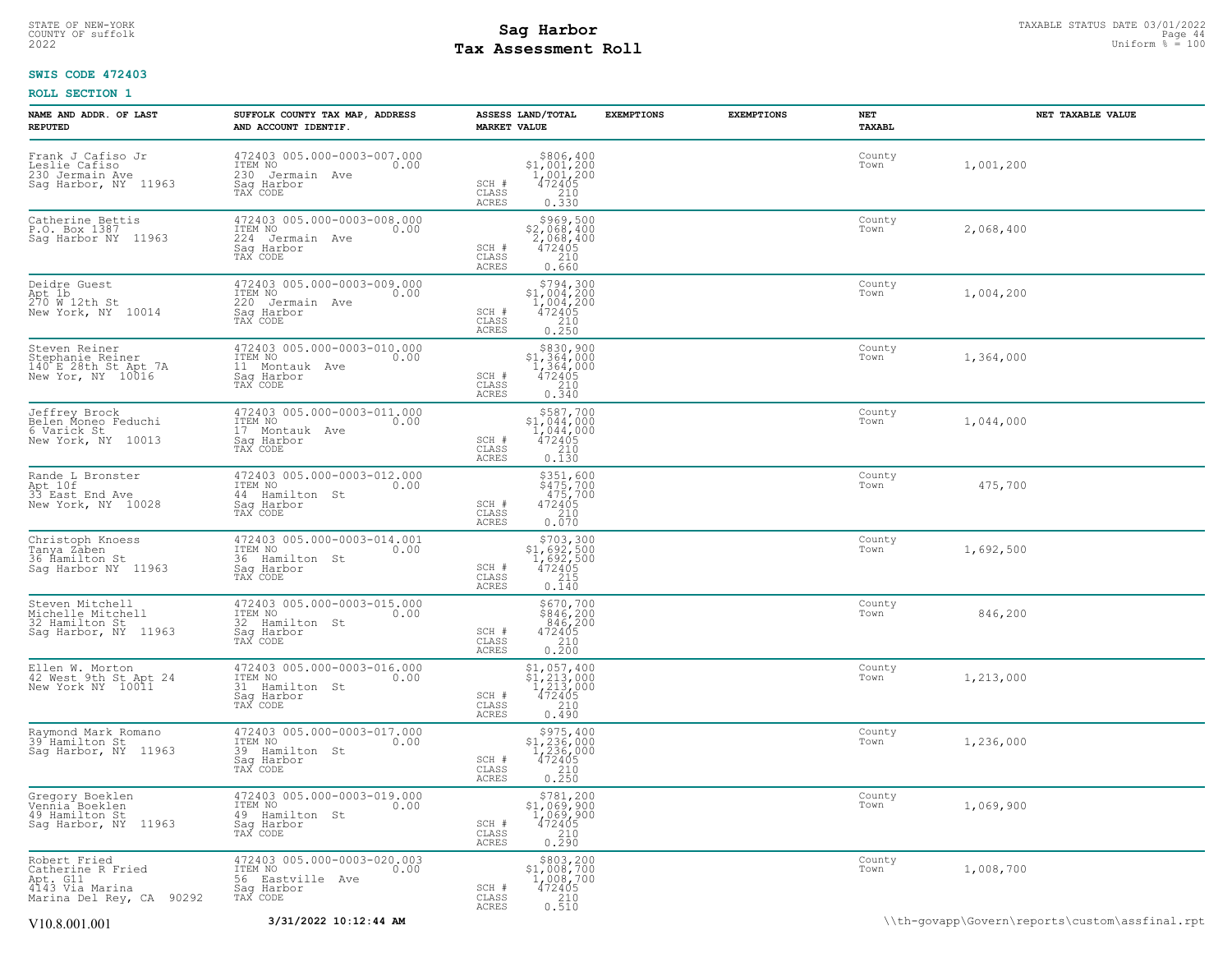## STATE OF NEW-YORK STATUS DATE 03/01/2022<br>
COUNTY OF suffolk Page 44 (1990)<br>
2022 Pay Assessment Roll **Tax Assessment Roll**

## **SWIS CODE 472403**

| NAME AND ADDR. OF LAST<br><b>REPUTED</b>                                                     | SUFFOLK COUNTY TAX MAP, ADDRESS<br>AND ACCOUNT IDENTIF.                                         | ASSESS LAND/TOTAL<br><b>EXEMPTIONS</b><br><b>MARKET VALUE</b>                                                                                                                          | <b>EXEMPTIONS</b><br>NET<br>TAXABL | NET TAXABLE VALUE |
|----------------------------------------------------------------------------------------------|-------------------------------------------------------------------------------------------------|----------------------------------------------------------------------------------------------------------------------------------------------------------------------------------------|------------------------------------|-------------------|
| Frank J Cafiso Jr<br>Leslie Cafiso<br>230 Jermain Ave<br>Saq Harbor, NY 11963                | 472403 005.000-0003-007.000<br>TTEM NO 0.00<br>230 Jermain Ave<br>Saq Harbor<br>TAX CODE        | $\begin{array}{r} 5806, 400 \\ 51, 001, 200 \\ 1, 001, 200 \\ 472405 \\ 210 \end{array}$<br>$\begin{array}{cc} \text{SCH} & \# \\ \text{CLASS} & \end{array}$<br>0.330<br><b>ACRES</b> | County<br>Town                     | 1,001,200         |
| Catherine Bettis<br>P.O. Box 1387<br>Sag Harbor NY 11963                                     | 472403 005.000-0003-008.000<br>ITEM NO<br>0.00<br>224 Jermain Ave<br>Sag Harbor<br>TAX CODE     | \$969,500<br>\$2,068,400<br>$2,068,400$<br>$472405$<br>SCH #<br>CLASS<br>0.660<br>ACRES                                                                                                | County<br>Town                     | 2,068,400         |
| Deidre Guest<br>Apt 1b<br>270 W 12th St<br>New York, NY 10014                                | 472403 005.000-0003-009.000<br>ITEM NO<br>0.00<br>220 Jermain Ave<br>Sag Harbor<br>TAX CODE     | $\begin{array}{r} 5794,300 \\ 51,004,200 \\ 1,004,200 \\ 472405 \\ 210 \\ 0.250 \end{array}$<br>SCH #<br>CLASS<br><b>ACRES</b>                                                         | County<br>Town                     | 1,004,200         |
| Steven Reiner<br>Stephanie Reiner<br>140 E 28th St Apt 7A<br>New Yor, NY 10016               | 472403 005.000-0003-010.000<br>ITEM NO<br>0.00<br>11 Montauk Ave<br>Saq Harbor<br>TAX CODE      | \$830,900<br>$$1,364,000$<br>1,364,000<br>472405<br>210<br>SCH #<br>CLASS<br>ACRES<br>0.340                                                                                            | County<br>Town                     | 1,364,000         |
| Jeffrey Brock<br>Belen Moneo Feduchi<br>6 Varick St<br>New York, NY 10013                    | 472403 005.000-0003-011.000<br>ITEM NO<br>0.00<br>17 Montauk Ave<br>Saq Harbor<br>TAX CODE      | \$587,700<br>\$1,044,000<br>$\begin{smallmatrix} 1, 044, 000 \\ 472405 \\ 210 \end{smallmatrix}$<br>SCH #<br>CLASS<br><b>ACRES</b><br>0.130                                            | County<br>Town                     | 1,044,000         |
| Rande L Bronster<br>Apt 10f<br>33 East End Ave<br>New York, NY 10028                         | 472403 005.000-0003-012.000<br>ITEM NO<br>0.00<br>44 Hamilton St<br>Sag Harbor<br>TAX CODE      | \$351,600<br>\$475,700<br>475,700<br>472405<br>SCH #<br>210<br>CLASS<br>ACRES<br>0.070                                                                                                 | County<br>Town                     | 475,700           |
| Christoph Knoess<br>Tanya Zaben<br>36 Ĥamilton St<br>Saq Harbor NY 11963                     | 472403 005.000-0003-014.001<br>ITEM NO<br>0.00<br>36 Hamilton St<br>Saq Harbor<br>TAX CODE      | $$703,300$<br>$$1,692,500$<br>$1,692,500$<br>$472405$<br>SCH #<br>CLASS<br>215<br>0.140<br><b>ACRES</b>                                                                                | County<br>Town                     | 1,692,500         |
| Steven Mitchell<br>Michelle Mitchell<br>32 Hamilton St<br>Sag Harbor, NY 11963               | 472403 005.000-0003-015.000<br>ITEM NO<br>0.00<br>32 Hamilton St<br>Saq Harbor<br>TAX CODE      | \$670,700<br>\$846,200<br>846,200<br>472405<br>210<br>0.200<br>SCH #<br>CLASS<br>ACRES                                                                                                 | County<br>Town                     | 846,200           |
| Ellen W. Morton<br>42 West 9th St Apt 24<br>New York NY 10011                                | 472403 005.000-0003-016.000<br>ITEM NO<br>0.00<br>31 Hamilton St<br>Saq Harbor<br>TAX CODE      | $$1,057,400$<br>$$1,213,000$<br>$1,213,000$<br>$472405$<br>SCH #<br>210<br>CLASS<br>0.490<br>ACRES                                                                                     | County<br>Town                     | 1,213,000         |
| Raymond Mark Romano<br>39 Hamilton St<br>Sag Harbor, NY 11963                                | 472403 005.000-0003-017.000<br>ITEM NO<br>0.00<br>39 Hamilton St<br>Saq Harbor<br>TAX CODE      | $$975,400$<br>\$1,236,000<br>1,236,000<br>472405<br>SCH #<br>CLASS<br>$\begin{array}{c} 210 \\ 0.250 \end{array}$<br>ACRES                                                             | County<br>Town                     | 1,236,000         |
| Gregory Boeklen<br>Vennia Boeklen<br>49 Hamilton St<br>Sag Harbor, NY 11963                  | 472403 005.000-0003-019.000<br>TTEM NO 0.00<br>0.00<br>49 Hamilton St<br>Saq Harbor<br>TAX CODE | $$781, 200$<br>$$1, 069, 900$<br>$1, 069, 900$<br>$472405$<br>SCH #<br>CLASS<br>210<br>0.290<br>ACRES                                                                                  | County<br>Town                     | 1,069,900         |
| Robert Fried<br>Catherine R Fried<br>Apt. G11<br>4143 Via Marina<br>Marina Del Rey, CA 90292 | 472403 005.000-0003-020.003<br>ITEM NO<br>0.00<br>56 Eastville Ave<br>Saq Harbor<br>TAX CODE    | $\begin{array}{c} $803,200\\ $1,008,700\\ 1,008,700\\ 472405 \end{array}$<br>SCH #<br>CLASS<br>210<br>0.510<br>ACRES                                                                   | County<br>Town                     | 1,008,700         |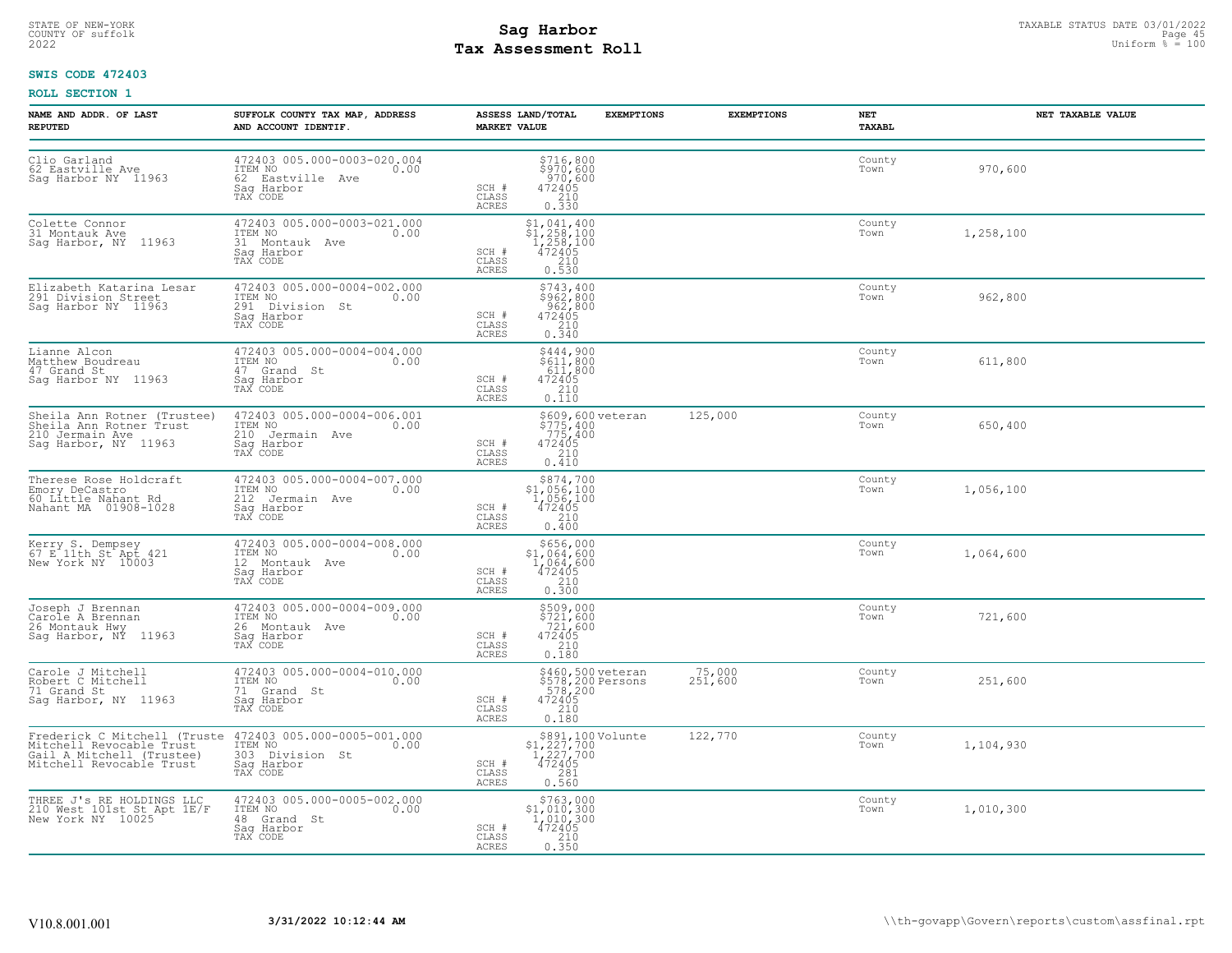# STATE OF NEW-YORK STATUS DATE 03/01/2022<br>
COUNTY OF suffolk Page 45<br>
2022 **Fax Assessment Roll** Page 45, 2022 Uniform % = 100 **Tax Assessment Roll**

## **SWIS CODE 472403**

| NAME AND ADDR. OF LAST<br><b>REPUTED</b>                                                          | SUFFOLK COUNTY TAX MAP, ADDRESS<br>AND ACCOUNT IDENTIF.                                                                                    | ASSESS LAND/TOTAL<br><b>MARKET VALUE</b>                                                                                             | <b>EXEMPTIONS</b>                                           | <b>EXEMPTIONS</b> | NET<br>TAXABL  | NET TAXABLE VALUE |
|---------------------------------------------------------------------------------------------------|--------------------------------------------------------------------------------------------------------------------------------------------|--------------------------------------------------------------------------------------------------------------------------------------|-------------------------------------------------------------|-------------------|----------------|-------------------|
| Clio Garland<br>62 Eastville Ave<br>Saq Harbor NY 11963                                           | 472403 005.000-0003-020.004<br>ITEM NO<br>0.00<br>62 Eastville Ave<br>Sag Harbor<br>TAX CODE                                               | SCH #<br>$472405$<br>210<br>CLASS<br>0.330<br><b>ACRES</b>                                                                           | \$716,800<br>\$970,600<br>970,600                           |                   | County<br>Town | 970,600           |
| Colette Connor<br>31 Montauk Ave<br>Sag Harbor, NY 11963                                          | 472403 005.000-0003-021.000<br>ITEM NO<br>0.00<br>31 Montauk Ave<br>Saq Harbor<br>TAX CODE                                                 | \$1,041,400<br>$\frac{1}{258}$ , 100<br>$\frac{1}{472405}$<br>SCH #<br>$\begin{array}{c} 210 \\ 0.530 \end{array}$<br>CLASS<br>ACRES |                                                             |                   | County<br>Town | 1,258,100         |
| Elizabeth Katarina Lesar<br>291 Division Street<br>Sag Harbor NY 11963                            | 472403 005.000-0004-002.000<br>ITEM NO 0.00<br>291 Division St<br>Saq Harbor<br>TAX CODE                                                   | SCH #<br>CLASS<br>$\frac{210}{0.340}$<br>ACRES                                                                                       | \$743,400<br>\$962,800<br>962,800<br>472405                 |                   | County<br>Town | 962,800           |
| Lianne Alcon<br>Matthew Boudreau<br>47 Grand St<br>Sag Harbor NY 11963                            | 472403 005.000-0004-004.000<br>ITEM NO<br>0.00<br>47 Grand St<br>Sag Harbor<br>TAX CODE                                                    | SCH #<br>472405<br>$\frac{210}{0.110}$<br>CLASS<br>ACRES                                                                             | \$444,900<br>\$611,800<br>611,800                           |                   | County<br>Town | 611,800           |
| Sheila Ann Rotner (Trustee)<br>Sheila Ann Rotner Trust<br>210 Jermain Ave<br>Saq Harbor, NY 11963 | 472403 005.000-0004-006.001<br>ITEM NO<br>0.00<br>210 Jermain Ave<br>Sag Harbor<br>TAX CODE                                                | 472405<br>SCH #<br>CLASS<br>$\frac{210}{0.410}$<br>ACRES                                                                             | \$609,600 veteran<br>\$775,400<br>.775,400                  | 125,000           | County<br>Town | 650,400           |
| Therese Rose Holdcraft<br>Emory DeCastro<br>60 Little Nahant Rd<br>Nahant MA 01908-1028           | 472403 005.000-0004-007.000<br>TTEM NO 0.00<br>212 Jermain Ave<br>Sag Harbor<br>TAX CODE                                                   | $\begin{array}{r} $874,700 \\ $1,056,100 \\ $1,056,100 \\ $472405 \\ $210 \\ $2.10 \end{array}$<br>SCH #<br>CLASS<br>ACRES<br>0.400  |                                                             |                   | County<br>Town | 1,056,100         |
| Kerry S. Dempsey<br>67 E 11th St Apt 421<br>New York NY 10003                                     | 472403 005.000-0004-008.000<br>ITEM NO<br>0.00<br>12 Montauk Ave<br>Saq Harbor<br>TAX CODE                                                 | $$1,064,600$<br>$1,064,600$<br>$472405$<br>SCH #<br>CLASS<br>$\begin{array}{c} 210 \\ 0.300 \end{array}$<br>ACRES                    | \$656,000                                                   |                   | County<br>Town | 1,064,600         |
| Joseph J Brennan<br>Carole A Brennan<br>26 Montauk Hwy<br>Sag Harbor, NY 11963                    | 472403 005.000-0004-009.000<br>ITEM NO<br>0.00<br>26 Montauk Ave<br>Sag Harbor<br>TAX CODE                                                 | SCH #<br>CLASS<br>0.180<br><b>ACRES</b>                                                                                              | \$509,000<br>\$721,600<br>721,600<br>472405<br>210          |                   | County<br>Town | 721,600           |
| Carole J Mitchell<br>Robert C Mitchell<br>71 Grand St<br>Sag Harbor, NY 11963                     | 472403 005.000-0004-010.000<br>ITEM NO<br>0.00<br>71 Grand St<br>Saq Harbor<br>TAX CODE                                                    | SCH #<br>$\begin{bmatrix} 210 \\ 0.180 \end{bmatrix}$<br>CLASS<br>ACRES                                                              | \$460,500 veteran<br>\$578,200 Persons<br>578,200<br>472405 | 75,000<br>251,600 | County<br>Town | 251,600           |
| Gail A Mitchell (Trustee)<br>Mitchell Revocable Trust                                             | Frederick C Mitchell (Truste 472403 005.000-0005-001.000<br>Mitchell Revocable Trust ITEM NO.<br>303 Division St<br>Sag Harbor<br>TAX CODE | SCH #<br>CLASS<br>$\begin{array}{c} 281 \\ 0.560 \end{array}$<br>ACRES                                                               | \$891,100 Volunte<br>\$1,227,700<br>1,227,700<br>472405     | 122,770           | County<br>Town | 1,104,930         |
| THREE J's RE HOLDINGS LLC<br>210 West 101st St Apt IE/F<br>New York NY 10025                      | 472403 005.000-0005-002.000<br>ITEM NO<br>0.00<br>48 Grand St<br>Saq Harbor<br>TAX CODE                                                    | $$1,010,300$<br>1,010,300<br>472405<br>210<br>SCH #<br>CLASS<br>ACRES<br>0.350                                                       | \$763,000                                                   |                   | County<br>Town | 1,010,300         |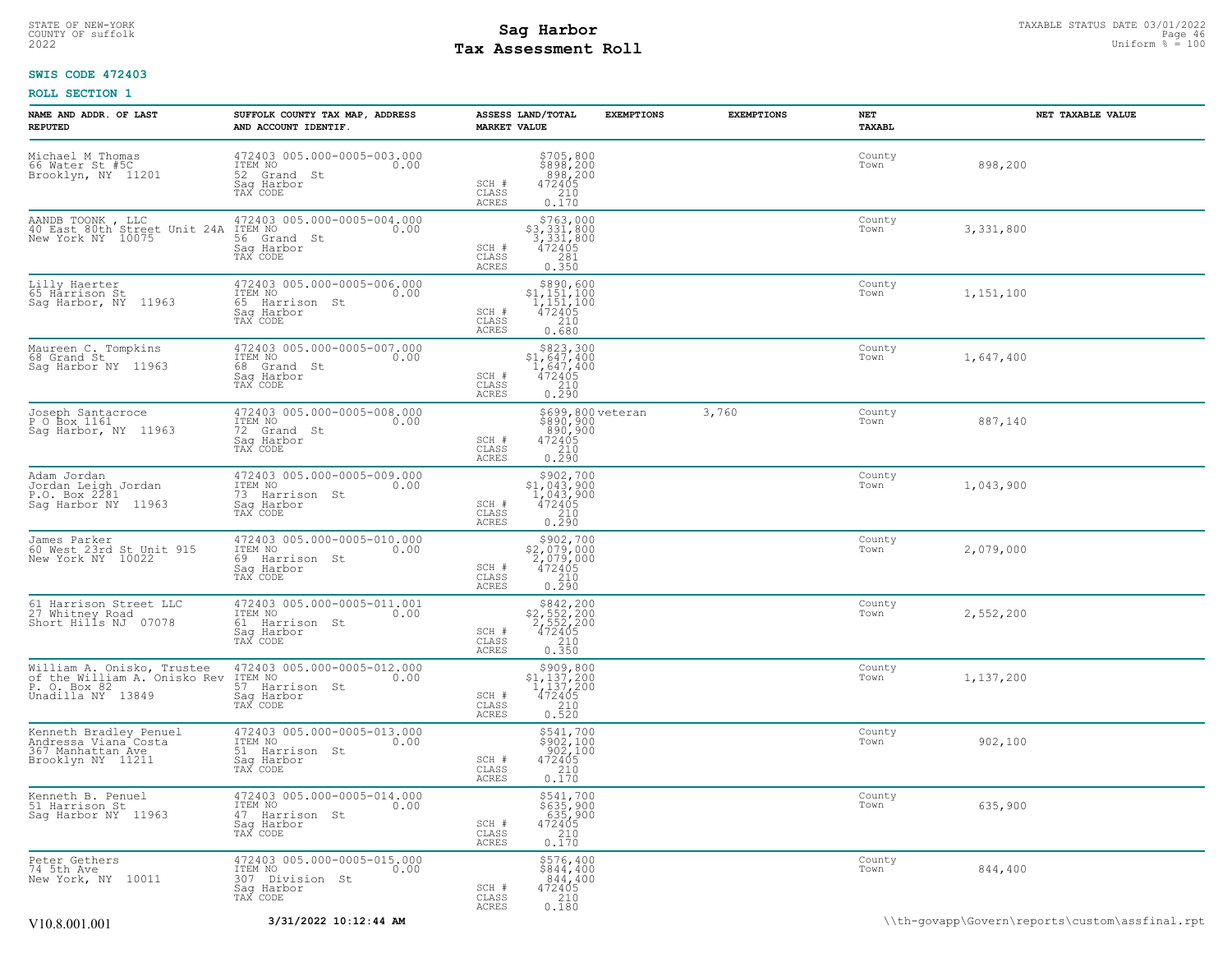## STATE OF NEW-YORK STATUS DATE 03/01/2022<br>
COUNTY OF suffolk Page 46 46 and the suffolk Page 46 and the suffolk Page 46 and the Page 46 and the sufform % = 100<br>
2022 Tax Assessment Roll **Tax Assessment Roll**

## **SWIS CODE 472403**

| NAME AND ADDR. OF LAST<br><b>REPUTED</b>                                                        | SUFFOLK COUNTY TAX MAP, ADDRESS<br>AND ACCOUNT IDENTIF.                                     | ASSESS LAND/TOTAL<br><b>MARKET VALUE</b>                                                                                                                                   | <b>EXEMPTIONS</b><br><b>EXEMPTIONS</b> | NET<br>TAXABL  | NET TAXABLE VALUE                              |
|-------------------------------------------------------------------------------------------------|---------------------------------------------------------------------------------------------|----------------------------------------------------------------------------------------------------------------------------------------------------------------------------|----------------------------------------|----------------|------------------------------------------------|
| Michael M Thomas<br>66 Water St #5C<br>Brooklyn, NY 11201                                       | 472403 005.000-0005-003.000<br>ITEM NO<br>0.00<br>52 Grand St<br>Saq Harbor<br>TAX CODE     | \$705,800<br>\$898,200<br>898,200<br>SCH #<br>472405<br>CLASS<br>210<br>ACRES<br>0.170                                                                                     |                                        | County<br>Town | 898,200                                        |
| AANDB TOONK, LLC<br>40 East 80th Street Unit 24A<br>New York NY 10075                           | 472403 005.000-0005-004.000<br>0.00<br>ITEM NO<br>56 Grand St<br>Sag Harbor<br>TAX CODE     | $$763,000$<br>$$3,331,800$<br>$3,331,800$<br>$472405$<br>SCH #<br>CLASS<br>281<br>ACRES<br>0.350                                                                           |                                        | County<br>Town | 3,331,800                                      |
| Lilly Haerter<br>65 Harrison St<br>Sag Harbor, NY 11963                                         | 472403 005.000-0005-006.000<br>ITEM NO<br>0.00<br>65 Harrison St<br>Saq Harbor<br>TAX CODE  | $\begin{array}{r}  \  \  \,  \,  \, 890,600 \\  \  \, 1,151,100 \\  \  \, 1,151,100 \\  \  \, 472405 \\  \  \, 210 \\  \  \, 0.680 \end{array}$<br>SCH #<br>CLASS<br>ACRES |                                        | County<br>Town | 1,151,100                                      |
| Maureen C. Tompkins<br>68 Grand St<br>Sag Harbor NY 11963                                       | 472403 005.000-0005-007.000<br>ITEM NO<br>0.00<br>68 Grand St<br>Saq Harbor<br>TAX CODE     | $$823,300$<br>$$1,647,400$<br>$1,647,400$<br>$472405$<br>SCH #<br>CLASS<br>210<br>ACRES<br>0.290                                                                           |                                        | County<br>Town | 1,647,400                                      |
| Joseph Santacroce<br>P O Box 1161<br>Sag Harbor, NY 11963                                       | 472403 005.000-0005-008.000<br>ITEM NO<br>0.00<br>72 Grand St<br>Saq Harbor<br>TAX CODE     | \$699,800 veteran<br>\$890,900<br>890,900<br>SCH #<br>$\begin{array}{r} 472405 \\ 210 \\ 0.290 \end{array}$<br>CLASS<br>ACRES                                              | 3,760                                  | County<br>Town | 887,140                                        |
| Adam Jordan<br>Jordan Leigh Jordan<br>P.O. Box 2281<br>Sag Harbor NY 11963                      | 472403 005.000-0005-009.000<br>ITEM NO<br>0.00<br>73 Harrison St<br>Sag Harbor<br>TAX CODE  | $\begin{array}{r} \texttt{\$902,700} \\ \texttt{\$1,043,900} \\ 1,043,900 \\ 472405 \\ 210 \\ 0.290 \end{array}$<br>SCH #<br>CLASS<br>ACRES                                |                                        | County<br>Town | 1,043,900                                      |
| James Parker<br>60 West 23rd St Unit 915<br>New York NY 10022                                   | 472403 005.000-0005-010.000<br>ITEM NO<br>0.00<br>69 Harrison St<br>Saq Harbor<br>TAX CODE  | \$902,700<br>\$2,079,000<br>2,079,000<br>472405<br>SCH #<br>$\frac{210}{0.290}$<br>CLASS<br>ACRES                                                                          |                                        | County<br>Town | 2,079,000                                      |
| 61 Harrison Street LLC<br>27 Whitney Road<br>Short Hills NJ 07078                               | 472403 005.000-0005-011.001<br>ITEM NO<br>0.00<br>61 Harrison St<br>Saq Harbor<br>TAX CODE  | $\begin{array}{r} 5842, 200 \\ 2, 552, 200 \\ 2, 552, 200 \\ 472405 \\ 210 \\ 0.350 \end{array}$<br>SCH #<br>CLASS<br>ACRES                                                |                                        | County<br>Town | 2,552,200                                      |
| William A. Onisko, Trustee<br>of the William A. Onisko Rev<br>P. O. Box 82<br>Unadilla NY 13849 | 472403 005.000-0005-012.000<br>ITEM NO<br>0.00<br>57 Harrison St<br>Sag Harbor<br>TAX CODE  | $\begin{array}{c} $909,800\\ $1,137,200\\ 1,137,200\\ 472405 \end{array}$<br>SCH #<br>CLASS<br>$0.210$<br>$0.520$<br>ACRES                                                 |                                        | County<br>Town | 1,137,200                                      |
| Kenneth Bradley Penuel<br>Andressa Viana Costa<br>367 Manhattan Aye<br>Brooklyn NY 11211        | 472403 005.000-0005-013.000<br>ITEM NO<br>0.00<br>51 Harrison St<br>Sag Harbor<br>TAX CODE  | \$541,700<br>\$902,100<br>902,100<br>472405<br>SCH #<br>$\begin{bmatrix} 210 \\ 0.170 \end{bmatrix}$<br>CLASS<br>ACRES                                                     |                                        | County<br>Town | 902,100                                        |
| Kenneth B. Penuel<br>51 Harrison St<br>Sag Harbor NY 11963                                      | 472403 005.000-0005-014.000<br>ITEM NO<br>0.00<br>47 Harrison St<br>Saq Harbor<br>TAX CODE  | \$541,700<br>$$635,900$<br>$635,900$<br>$472405$<br>$210$<br>0.170<br>SCH #<br>CLASS<br>ACRES                                                                              |                                        | County<br>Town | 635,900                                        |
| Peter Gethers<br>74 5th Ave<br>New York, NY 10011                                               | 472403 005.000-0005-015.000<br>ITEM NO<br>0.00<br>307 Division St<br>Saq Harbor<br>TAX CODE | \$576,400<br>\$844,400<br>844,400<br>SCH #<br>472405<br>CLASS<br>210<br>ACRES<br>0.180                                                                                     |                                        | County<br>Town | 844,400                                        |
| V10.8.001.001                                                                                   | 3/31/2022 10:12:44 AM                                                                       |                                                                                                                                                                            |                                        |                | \\th-govapp\Govern\reports\custom\assfinal.rpt |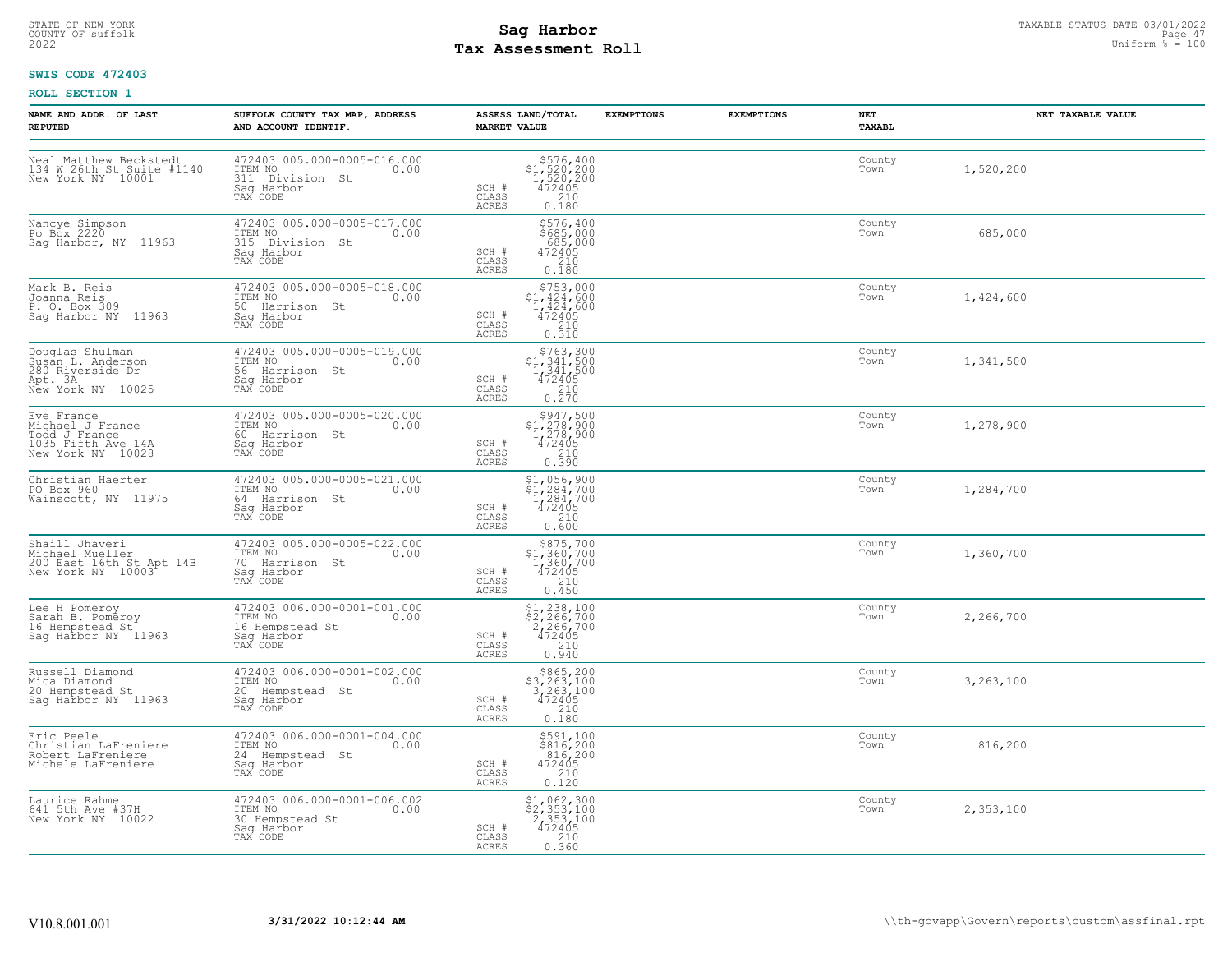# STATE OF NEW-YORK STATUS DATE 03/01/2022<br>
COUNTY OF suffolk Page 47<br>
2022 **Fax Assessment Roll** Page 17, 2022 **Tax Assessment Roll**

## **SWIS CODE 472403**

| NAME AND ADDR. OF LAST<br><b>REPUTED</b>                                                   | SUFFOLK COUNTY TAX MAP, ADDRESS<br>AND ACCOUNT IDENTIF.                                     | ASSESS LAND/TOTAL<br><b>MARKET VALUE</b>                                                                                           | <b>EXEMPTIONS</b> | <b>EXEMPTIONS</b> | NET<br>TAXABL  | NET TAXABLE VALUE |
|--------------------------------------------------------------------------------------------|---------------------------------------------------------------------------------------------|------------------------------------------------------------------------------------------------------------------------------------|-------------------|-------------------|----------------|-------------------|
| Neal Matthew Beckstedt<br>134 W 26th St Suite #1140<br>New York NY 10001                   | 472403 005.000-0005-016.000<br>ITEM NO<br>0.00<br>311 Division St<br>Sag Harbor<br>TAX CODE | $\begin{array}{r} 576, 400 \\ 51, 520, 200 \\ 1, 520, 200 \\ 472405 \\ 210 \\ 0.180 \end{array}$<br>SCH #<br>CLASS<br><b>ACRES</b> |                   |                   | County<br>Town | 1,520,200         |
| Nancye Simpson<br>Po Box 2220<br>Sag Harbor, NY 11963                                      | 472403 005.000-0005-017.000<br>ITEM NO<br>315 Division St<br>0.00<br>Saq Harbor<br>TAX CODE | \$576,400<br>\$ĕ85,000<br>685,000<br>472405<br>SCH #<br>CLASS<br>210<br>0.180<br>ACRES                                             |                   |                   | County<br>Town | 685,000           |
| Mark B. Reis<br>Joanna Reis<br>P. O. Box 309<br>Sag Harbor NY 11963                        | 472403 005.000-0005-018.000<br>ITEM NO<br>0.00<br>50 Harrison St<br>Saq Harbor<br>TAX CODE  | $$753,000$<br>$$1,424,600$<br>$1,424,600$<br>$472405$<br>${}^{210}$<br>SCH #<br>CLASS<br>0.310<br><b>ACRES</b>                     |                   |                   | County<br>Town | 1,424,600         |
| Douglas Shulman<br>Susan L. Anderson<br>280 Riverside Dr<br>Apt. 3A<br>New York NY 10025   | 472403 005.000-0005-019.000<br>ITEM NO<br>0.00<br>56 Harrison St<br>Sag Harbor<br>TAX CODE  | \$763,300<br>\$1,341,500<br>1,341,500<br>472405<br>SCH #<br>$\begin{array}{c} 210 \\ 0.270 \end{array}$<br>CLASS<br><b>ACRES</b>   |                   |                   | County<br>Town | 1,341,500         |
| Eve France<br>Michael J France<br>Todd J France<br>1035 Fifth Ave 14A<br>New York NY 10028 | 472403 005.000-0005-020.000<br>ITEM NO<br>0.00<br>60 Harrison St<br>Sag Harbor<br>TAX CODE  | \$947,500<br>\$1,278,900<br>1,278,900<br>472405<br>SCH #<br>$\frac{210}{0.390}$<br>CLASS<br>ACRES                                  |                   |                   | County<br>Town | 1,278,900         |
| Christian Haerter<br>PO Box 960<br>Wainscott, NY 11975                                     | 472403 005.000-0005-021.000<br>ITEM NO<br>0.00<br>64 Harrison St<br>Saq Harbor<br>TAX CODE  | $$1, 056, 900$<br>$$1, 284, 700$<br>$1, 284, 700$<br>$472405$<br>$210$<br>SCH #<br>CLASS<br>ACRES<br>0.600                         |                   |                   | County<br>Town | 1,284,700         |
| Shaill Jhaveri<br>Michael Mueller<br>200 East 16th St Apt 14B<br>New York NY 10003         | 472403 005.000-0005-022.000<br>ITEM NO<br>0.00<br>70 Harrison St<br>Sag Harbor<br>TAX CODE  | \$875,700<br>$$1,360,700$<br>$1,360,700$<br>$472405$<br>SCH #<br>CLASS<br>210<br>ACRES<br>0.450                                    |                   |                   | County<br>Town | 1,360,700         |
| Lee H Pomeroy<br>Sarah B. Pomeroy<br>16 Hempstead St<br>Saq Harbor NY 11963                | 472403 006.000-0001-001.000<br>ITEM NO<br>0.00<br>16 Hempstead St<br>Saq Harbor<br>TAX CODE | \$1,238,100<br>\$2,266,700<br>2,266,700<br>472405<br>SCH #<br>210<br>CLASS<br>0.940<br><b>ACRES</b>                                |                   |                   | County<br>Town | 2,266,700         |
| Russell Diamond<br>Mica Diamond<br>20 Hempstead St<br>Sag Harbor NY 11963                  | 472403 006.000-0001-002.000<br>ITEM NO<br>0.00<br>20 Hempstead St<br>Sag Harbor<br>TAX CODE | $\begin{array}{r} $865,200\\ $3,263,100\\ 3,263,100\\ 472405 \end{array}$<br>SCH #<br>210<br>CLASS<br>0.180<br><b>ACRES</b>        |                   |                   | County<br>Town | 3,263,100         |
| Eric Peele<br>Christian LaFreniere<br>Robert LaFreniere<br>Michele LaFreniere              | 472403 006.000-0001-004.000<br>ITEM NO<br>0.00<br>24 Hempstead St<br>Saq Harbor<br>TAX CODE | \$591,100<br>\$816,200<br>816,200<br>SCH #<br>472405<br>CLASS<br>$\begin{array}{c} 210 \\ 0.120 \end{array}$<br>ACRES              |                   |                   | County<br>Town | 816,200           |
| Laurice Rahme<br>641 5th Ave #37H<br>New York NY 10022                                     | 472403 006.000-0001-006.002<br>ITEM NO<br>0.00<br>30 Hempstead St<br>Saq Harbor<br>TAX CODE | \$1,062,300<br>\$2,353,100<br>2,353,100<br>472405<br>SCH #<br>CLASS<br>0.360<br>ACRES                                              |                   |                   | County<br>Town | 2,353,100         |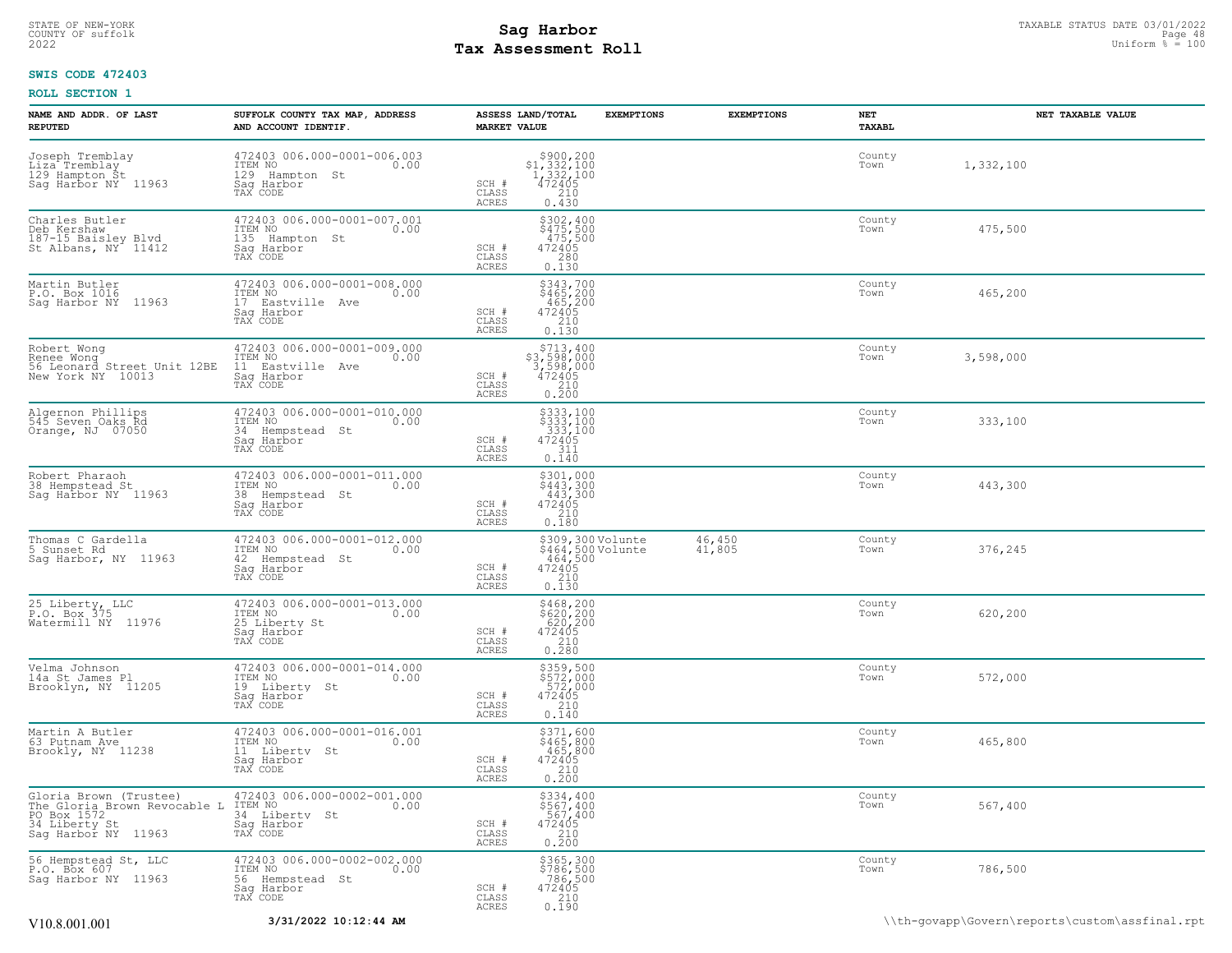## STATE OF NEW-YORK STATUS DATE 03/01/2022<br>
COUNTY OF suffolk Page 48 (1990)<br>
2022 Pay Assessment Roll **Tax Assessment Roll**

## **SWIS CODE 472403**

| NAME AND ADDR. OF LAST<br><b>REPUTED</b>                                                                      | SUFFOLK COUNTY TAX MAP, ADDRESS<br>AND ACCOUNT IDENTIF.                                         | <b>MARKET VALUE</b>                       | <b>EXEMPTIONS</b><br>ASSESS LAND/TOTAL                                                                             | <b>EXEMPTIONS</b>       | NET<br>TAXABL  | NET TAXABLE VALUE |
|---------------------------------------------------------------------------------------------------------------|-------------------------------------------------------------------------------------------------|-------------------------------------------|--------------------------------------------------------------------------------------------------------------------|-------------------------|----------------|-------------------|
| Joseph Tremblay<br>Liza Tremblay<br>129 Hampton St<br>Sag Harbor NY 11963                                     | 472403 006.000-0001-006.003<br>ITEM NO 0.00<br>0.00<br>129 Hampton St<br>Saq Harbor<br>TAX CODE | SCH #<br>CLASS<br>ACRES                   | $\begin{array}{r} $900,200$ \\ $1,332,100$ \\ $1,332,100$ \\ $472405$ \\ $210$ \end{array}$<br>$0, \overline{4}30$ |                         | County<br>Town | 1,332,100         |
| Charles Butler<br>Deb Kershaw<br>187-15 Baisley Blvd<br>St Albans, NY 11412                                   | 472403 006.000-0001-007.001<br>ITEM NO<br>0.00<br>135 Hampton St<br>Saq Harbor<br>TAX CODE      | SCH #<br>CLASS<br>ACRES                   | \$302,400<br>$$475,500$<br>475,500<br>472405<br>280<br>0.130                                                       |                         | County<br>Town | 475,500           |
| Martin Butler<br>P.O. Box 1016<br>Saq Harbor NY 11963                                                         | 472403 006.000-0001-008.000<br>ITEM NO<br>0.00<br>17 Eastville Ave<br>Saq Harbor<br>TAX CODE    | SCH #<br>CLASS<br>ACRES                   | $$343,700$<br>$$465,200$<br>$465,200$<br>$472405$<br>${}210$<br>0.130                                              |                         | County<br>Town | 465,200           |
| Robert Wong<br>Renee Wong<br>56 Leonard Street Unit 12BE<br>New York NY 10013                                 | 472403 006.000-0001-009.000<br>ITEM NO<br>0.00<br>11 Eastville Ave<br>Saq Harbor<br>TAX CODE    | SCH #<br>$\mathtt{CLASS}$<br><b>ACRES</b> | \$713,400<br>$$3,598,000$<br>3,598,000<br>472405<br>210<br>0.200                                                   |                         | County<br>Town | 3,598,000         |
| Algernon Phillips<br>545 Seven Oaks Rd<br>Orange, NJ 07050                                                    | 472403 006.000-0001-010.000<br>ITEM NO<br>0.00<br>34 Hempstead St<br>Saq Harbor<br>TAX CODE     | SCH #<br>CLASS<br><b>ACRES</b>            | $$333,100$<br>$$333,100$<br>$333,100$<br>$472405$<br>$311$<br>0.140                                                |                         | County<br>Town | 333,100           |
| Robert Pharaoh<br>38 Hempstead St<br>Sag Harbor NY 11963                                                      | 472403 006.000-0001-011.000<br>ITEM NO<br>0.00<br>38 Hempstead St<br>Sag Harbor<br>TAX CODE     | SCH #<br>$\mathtt{CLASS}$<br>ACRES        | $$301,000$<br>$$443,300$<br>$443,300$<br>$472405$<br>$210$<br>0.180                                                |                         | County<br>Town | 443,300           |
| Thomas C Gardella<br>5 Sunset Rd<br>Sag Harbor, NY 11963                                                      | 472403 006.000-0001-012.000<br>ITEM NO<br>0.00<br>42 Hempstead St<br>Saq Harbor<br>TAX CODE     | SCH #<br>$\mathtt{CLASS}$<br>ACRES        | \$309,300 Volunte<br>\$464,500 Volunte<br>464,500<br>472405<br>210<br>0.130                                        | $\frac{46,450}{41,805}$ | County<br>Town | 376,245           |
| 25 Liberty, LLC<br>P.O. Box 375<br>Watermill NY 11976                                                         | 472403 006.000-0001-013.000<br>ITEM NO<br>0.00<br>25 Liberty St<br>Saq Harbor<br>TAX CODE       | SCH #<br>CLASS<br>ACRES                   | $$468, 200$<br>$$620, 200$<br>$620, 200$<br>$472405$<br>$\begin{array}{c} 210 \\ 0.280 \end{array}$                |                         | County<br>Town | 620,200           |
| Velma Johnson<br>14a St James Pl<br>Brooklyn, NY 11205                                                        | 472403 006.000-0001-014.000<br>ITEM NO<br>0.00<br>19 Liberty St<br>Sag Harbor<br>TAX CODE       | SCH #<br>CLASS<br>ACRES                   | \$359,500<br>\$572,000<br>572,000<br>472405<br>210<br>0.140                                                        |                         | County<br>Town | 572,000           |
| Martin A Butler<br>63 Putnam Ave<br>Brookly, NY 11238                                                         | 472403 006.000-0001-016.001<br>ITEM NO<br>0.00<br>11 Liberty St<br>Sag Harbor<br>TAX CODE       | SCH #<br>CLASS<br>ACRES                   | \$371,600<br>\$465,800<br>465,800<br>472405<br>$\frac{210}{0.200}$                                                 |                         | County<br>Town | 465,800           |
| Gloria Brown (Trustee)<br>The Gloria Brown Revocable L<br>PO Box 1572<br>34 Liberty St<br>Sag Harbor NY 11963 | 472403 006.000-0002-001.000<br>ITEM NO<br>0.00<br>34 Liberty St<br>Saq Harbor<br>TAX CODE       | SCH #<br>CLASS<br>ACRES                   | \$334,400<br>\$567,400<br>567,400<br>472405<br>$\frac{210}{0.200}$                                                 |                         | County<br>Town | 567,400           |
| 56 Hempstead St, LLC<br>P.O. Box 607<br>Saq Harbor NY 11963                                                   | 472403 006.000-0002-002.000<br>ITEM NO<br>0.00<br>56 Hempstead St<br>Saq Harbor<br>TAX CODE     | SCH #<br>$\mathtt{CLASS}$<br>ACRES        | \$365,300<br>\$786,500<br>786,500<br>472405<br>210<br>0.190                                                        |                         | County<br>Town | 786,500           |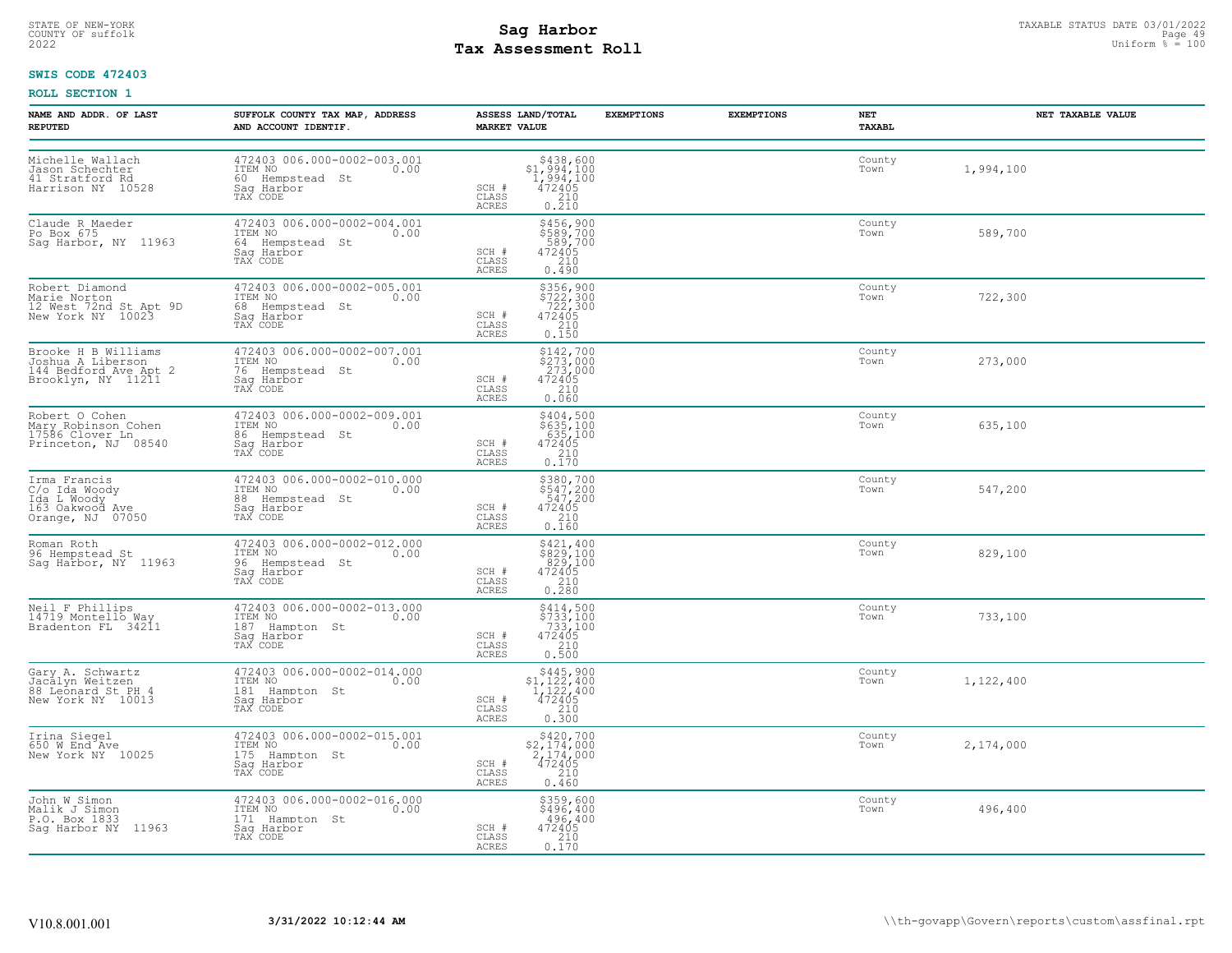# STATE OF NEW-YORK STATUS DATE 03/01/2022<br>
COUNTY OF suffolk Page 49 (1990)<br>
2022 **Fax Assessment Roll** Page 100 **Tax Assessment Roll**

## **SWIS CODE 472403**

| NAME AND ADDR. OF LAST<br><b>REPUTED</b>                                                | SUFFOLK COUNTY TAX MAP, ADDRESS<br>AND ACCOUNT IDENTIF.                                          | <b>EXEMPTIONS</b><br>ASSESS LAND/TOTAL<br><b>MARKET VALUE</b>                                                                                                                            | <b>EXEMPTIONS</b><br>NET<br>TAXABL | NET TAXABLE VALUE |
|-----------------------------------------------------------------------------------------|--------------------------------------------------------------------------------------------------|------------------------------------------------------------------------------------------------------------------------------------------------------------------------------------------|------------------------------------|-------------------|
| Michelle Wallach<br>Jason Schechter<br>41 Stratford Rd<br>Harrison NY 10528             | 472403 006.000-0002-003.001<br>ITEM NO<br>0.00<br>60 Hempstead St<br>Sag Harbor<br>TAX CODE      | ${\begin{array}{c} \texttt{\$438,600} \\ \texttt{\$1,994,100} \\ \texttt{1,994,100} \\ \texttt{472405} \\ \texttt{210} \\ \texttt{0.210} \end{array}}$<br>SCH #<br>CLASS<br><b>ACRES</b> | County<br>Town                     | 1,994,100         |
| Claude R Maeder<br>Po Box 675<br>Sag Harbor, NY 11963                                   | 472403 006.000-0002-004.001<br>ITEM NO<br>0.00<br>64 Hempstead St<br>Saq Harbor<br>TAX CODE      | \$456,900<br>\$589,700<br>589,700<br>472405<br>SCH #<br>210<br>CLASS<br><b>ACRES</b><br>0.490                                                                                            | County<br>Town                     | 589,700           |
| Robert Diamond<br>Narie Norton<br>12 West 72nd St Apt 9D<br>New York NY 10023           | 472403 006.000-0002-005.001<br>ITEM NO 0.00<br>68 Hempstead St<br>Saq Harbor<br>TAX CODE         | $\begin{array}{r} 5356,900 \\ 5722,300 \\ 722,300 \\ 472405 \\ 210 \\ 0.150 \end{array}$<br>SCH #<br>CLASS<br>ACRES                                                                      | County<br>Town                     | 722,300           |
| Brooke H B Williams<br>Joshua A Liberson<br>144 Bedford Ave Apt 2<br>Brooklyn, NY 11211 | 472403 006.000-0002-007.001<br>ITEM NO<br>0.00<br>76 Hempstead St<br>Saq Harbor<br>TAX CODE      | $$273,000$<br>$$273,000$<br>$273,000$<br>$472405$<br>SCH #<br>$\begin{array}{c} 210 \\ 0.060 \end{array}$<br>CLASS<br>ACRES                                                              | County<br>Town                     | 273,000           |
| Robert O Cohen<br>Mary Robinson Cohen<br>17586 Clover Ln<br>Princeton, NJ 08540         | 472403 006.000-0002-009.001<br>ITEM NO<br>0.00<br>86 Hempstead St<br>Saq Harbor<br>TAX CODE      | \$404,500<br>\$635,100<br>635,100<br>$\begin{array}{r} 472405 \\ 210 \\ 0.170 \end{array}$<br>SCH #<br>CLASS<br><b>ACRES</b>                                                             | County<br>Town                     | 635,100           |
| Irma Francis<br>C/o Ida Woody<br>Ida L Woody<br>163 Oakwood Ave<br>Orange, NJ 07050     | 472403 006.000-0002-010.000<br>ITEM NO<br>0.00<br>88 Hempstead St<br>Saq Harbor<br>TAX CODE      | $$380,700$<br>$$547,200$<br>$$472405$<br>$$210$<br>$$210$<br>SCH #<br>CLASS<br>$0.\overline{160}$<br>ACRES                                                                               | County<br>Town                     | 547,200           |
| Roman Roth<br>96 Hempstead St<br>Sag Harbor, NY 11963                                   | 472403 006.000-0002-012.000<br>ITEM NO 0.00<br>0.00<br>96 Hempstead St<br>Saq Harbor<br>TAX CODE | \$421,400<br>$329,100\n829,100\n472405\n210\n0.280$<br>SCH #<br>CLASS<br>ACRES                                                                                                           | County<br>Town                     | 829,100           |
| Neil F Phillips<br>14719 Montello Way<br>Bradenton FL 34211                             | 472403 006.000-0002-013.000<br>ITEM NO<br>0.00<br>187 Hampton St<br>Sag Harbor<br>TAX CODE       | \$414,500<br>\$733,100<br>733,100<br>472405<br>SCH #<br>$\frac{210}{0.500}$<br>CLASS<br><b>ACRES</b>                                                                                     | County<br>Town                     | 733,100           |
| Gary A. Schwartz<br>Jacālyn Weitzen<br>88 Leonard St PH 4<br>New York NY 10013          | 472403 006.000-0002-014.000<br>ITEM NO<br>0.00<br>181 Hampton St<br>Sag Harbor<br>TAX CODE       | $$445,900$<br>$$1,122,400$<br>$1,122,400$<br>$472405$<br>$$210$<br>SCH #<br>CLASS<br>0.300<br><b>ACRES</b>                                                                               | County<br>Town                     | 1,122,400         |
| Irina Siegel<br>650 W End Ave<br>New York NY 10025                                      | 472403 006.000-0002-015.001<br>ITEM NO<br>0.00<br>175 Hampton St<br>Saq Harbor<br>TAX CODE       | $$420,700$<br>$$2,174,000$<br>$2,174,000$<br>$472405$<br>SCH #<br>CLASS<br>210<br>ACRES<br>0.460                                                                                         | County<br>Town                     | 2,174,000         |
| John W Simon<br>Malik J Simon<br>P.O. Box 1833<br>Sag Harbor NY 11963                   | 472403 006.000-0002-016.000<br>1TEM NO 0.00<br>171 Hampton St<br>Saq Harbor<br>TAX CODE          | \$359,600<br>\$496,400<br>496,400<br>SCH #<br>472405<br>CLASS<br>0.170<br>ACRES                                                                                                          | County<br>Town                     | 496,400           |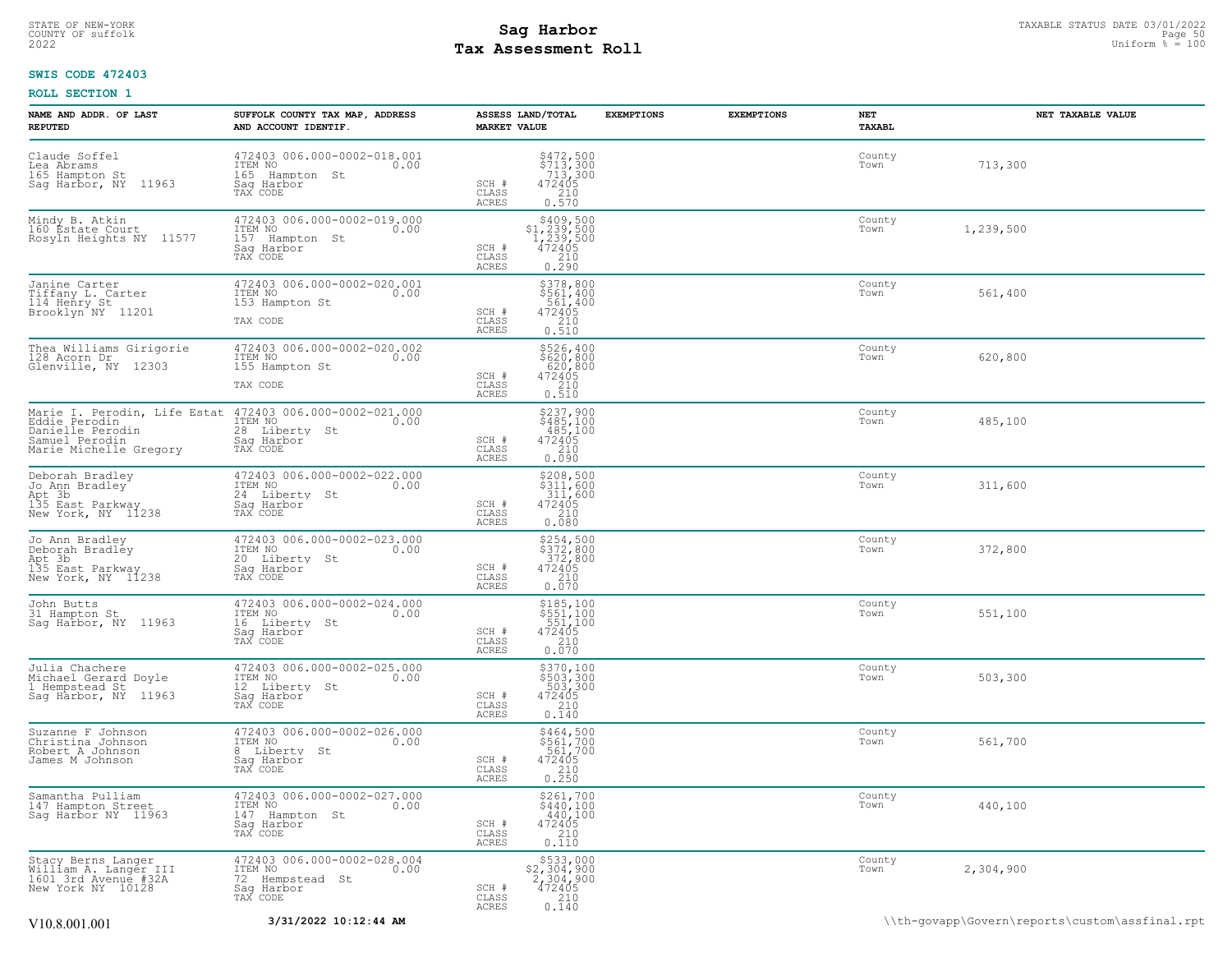## STATE OF NEW-YORK STATUS DATE 03/01/2022<br>
COUNTY OF suffolk Page 50 Description of the suffolk Page 50 Description of the suffolk Page 50<br>
2022 Pay Assessment Roll **Tax Assessment Roll**

## **SWIS CODE 472403**

| NAME AND ADDR. OF LAST<br><b>REPUTED</b>                                                                                                  | SUFFOLK COUNTY TAX MAP, ADDRESS<br>AND ACCOUNT IDENTIF.                                     | ASSESS LAND/TOTAL<br><b>MARKET VALUE</b>                                                                                       | <b>EXEMPTIONS</b><br><b>EXEMPTIONS</b> | NET<br>TAXABL  | NET TAXABLE VALUE |
|-------------------------------------------------------------------------------------------------------------------------------------------|---------------------------------------------------------------------------------------------|--------------------------------------------------------------------------------------------------------------------------------|----------------------------------------|----------------|-------------------|
| Claude Soffel<br>Lea Abrams<br>165 Hampton St<br>Sag Harbor, NY 11963                                                                     | 472403 006.000-0002-018.001<br>ITEM NO<br>0.00<br>165 Hampton St<br>Saq Harbor<br>TAX CODE  | \$472,500<br>\$713,300<br>713,300<br>472405<br>SCH #<br>CLASS<br>$\begin{array}{c} 210 \\ 0.570 \end{array}$<br><b>ACRES</b>   |                                        | County<br>Town | 713,300           |
| Mindy B. Atkin<br>160 Estate Court<br>Rosyln Heights NY 11577                                                                             | 472403 006.000-0002-019.000<br>ITEM NO<br>0.00<br>157 Hampton St<br>Sag Harbor<br>TAX CODE  | $$409,500$<br>$$1,239,500$<br>$1,239,500$<br>$472405$<br>210<br>SCH #<br>CLASS<br>0.290<br><b>ACRES</b>                        |                                        | County<br>Town | 1,239,500         |
| Janine Carter<br>Tiffany L. Carter<br>114 Henry St<br>Brooklyn <sup>ANY</sup> 11201                                                       | 472403 006.000-0002-020.001<br>ITEM NO<br>0.00<br>153 Hampton St<br>TAX CODE                | $$378,800$<br>$$561,400$<br>$$561,400$<br>SCH #<br>472405<br>210<br>$\mathtt{CLASS}$<br><b>ACRES</b><br>0.510                  |                                        | County<br>Town | 561,400           |
| Thea Williams Girigorie<br>128 Acorn Dr<br>Glenville, NY 12303                                                                            | 472403 006.000-0002-020.002<br>ITEM NO<br>0.00<br>155 Hampton St<br>TAX CODE                | \$526,400<br>\$620,800<br>620,800<br>472405<br>210<br>SCH #<br>CLASS<br>ACRES<br>0.510                                         |                                        | County<br>Town | 620,800           |
| Marie I. Perodin, Life Estat 472403 006.000-0002-021.000<br>Eddie Perodin<br>Danielle Perodin<br>Samuel Perodin<br>Marie Michelle Gregory | ITEM NO<br>0.00<br>28 Liberty St<br>Saq Harbor<br>TAX CODE                                  | \$237,900<br>$$485,100$<br>$485,100$<br>$472405$<br>$210$<br>SCH #<br>CLASS<br><b>ACRES</b><br>0.090                           |                                        | County<br>Town | 485,100           |
| Deborah Bradley<br>Jo Ann Bradley <sup>-</sup><br>Apt 3b<br>135 East Parkway<br>New York, NY 11238                                        | 472403 006.000-0002-022.000<br>ITEM NO<br>24 Liberty St<br>0.00<br>Sag Harbor<br>TAX CODE   | $$208,500$<br>$$311,600$<br>$311,600$<br>$472405$<br>$210$<br>SCH #<br>CLASS<br><b>ACRES</b><br>0.080                          |                                        | County<br>Town | 311,600           |
| Jo Ann Bradley<br>Deborah Bradley<br>Apt 3b<br>135 East Parkway<br>New York, NY 11238                                                     | 472403 006.000-0002-023.000<br>ITEM NO<br>0.00<br>20 Liberty St<br>Saq Harbor<br>TAX CODE   | $$254,500$<br>$$372,800$<br>$372,800$<br>$472405$<br>$210$<br>SCH #<br>CLASS<br>ACRES<br>0.070                                 |                                        | County<br>Town | 372,800           |
| John Butts<br>31 Hampton St<br>Sag Harbor, NY 11963                                                                                       | 472403 006.000-0002-024.000<br>ITEM NO<br>0.00<br>16 Liberty St<br>Sag Harbor               | \$185,100<br>\$551,100<br>551,100<br>SCH #<br>472405<br>210<br>CLASS<br><b>ACRES</b><br>0.070                                  |                                        | County<br>Town | 551,100           |
| Julia Chachere<br>Michael Gerard Doyle<br>1 Hempstead St<br>Sag Harbor, NY 11963                                                          | 472403 006.000-0002-025.000<br>ITEM NO<br>0.00<br>12 Liberty St<br>Sag Harbor<br>TAX CODE   | \$370,100<br>\$503,300<br>503,300<br>472405<br>SCH #<br>210<br>CLASS<br>0.140<br>ACRES                                         |                                        | County<br>Town | 503,300           |
| Suzanne F Johnson<br>Christina Johnson<br>Robert A Johnson<br>James M Johnson                                                             | 472403 006.000-0002-026.000<br>ITEM NO<br>0.00<br>8 Liberty St<br>Sag Harbor<br>TAX CODE    | \$464,500<br>\$561,700<br>561,700<br>$\begin{array}{r} 472405 \\ 210 \\ 0.250 \end{array}$<br>SCH #<br>CLASS<br>ACRES          |                                        | County<br>Town | 561,700           |
| Samantha Pulliam<br>147 Hampton Street<br>Sag Harbor NY 11963                                                                             | 472403 006.000-0002-027.000<br>ITEM NO<br>0.00<br>147 Hampton St<br>Sag Harbor<br>TAX CODE  | $$261,700$<br>$$440,100$<br>$440,100$<br>$472405$<br>$210$<br>$210$<br>SCH #<br>CLASS<br>ACRES<br>0.110                        |                                        | County<br>Town | 440,100           |
| Stacy Berns Langer<br>William A. Langer III<br>1601 3rd Avenue #32A<br>New York NY 10128                                                  | 472403 006.000-0002-028.004<br>ITEM NO<br>0.00<br>72 Hempstead St<br>Sag Harbor<br>TAX CODE | \$533,000<br>$$2,304,900$<br>2,304,900<br>472405<br>210<br>SCH #<br>CLASS<br>ACRES<br>$0.\overline{1}\overline{4}\overline{0}$ |                                        | County<br>Town | 2,304,900         |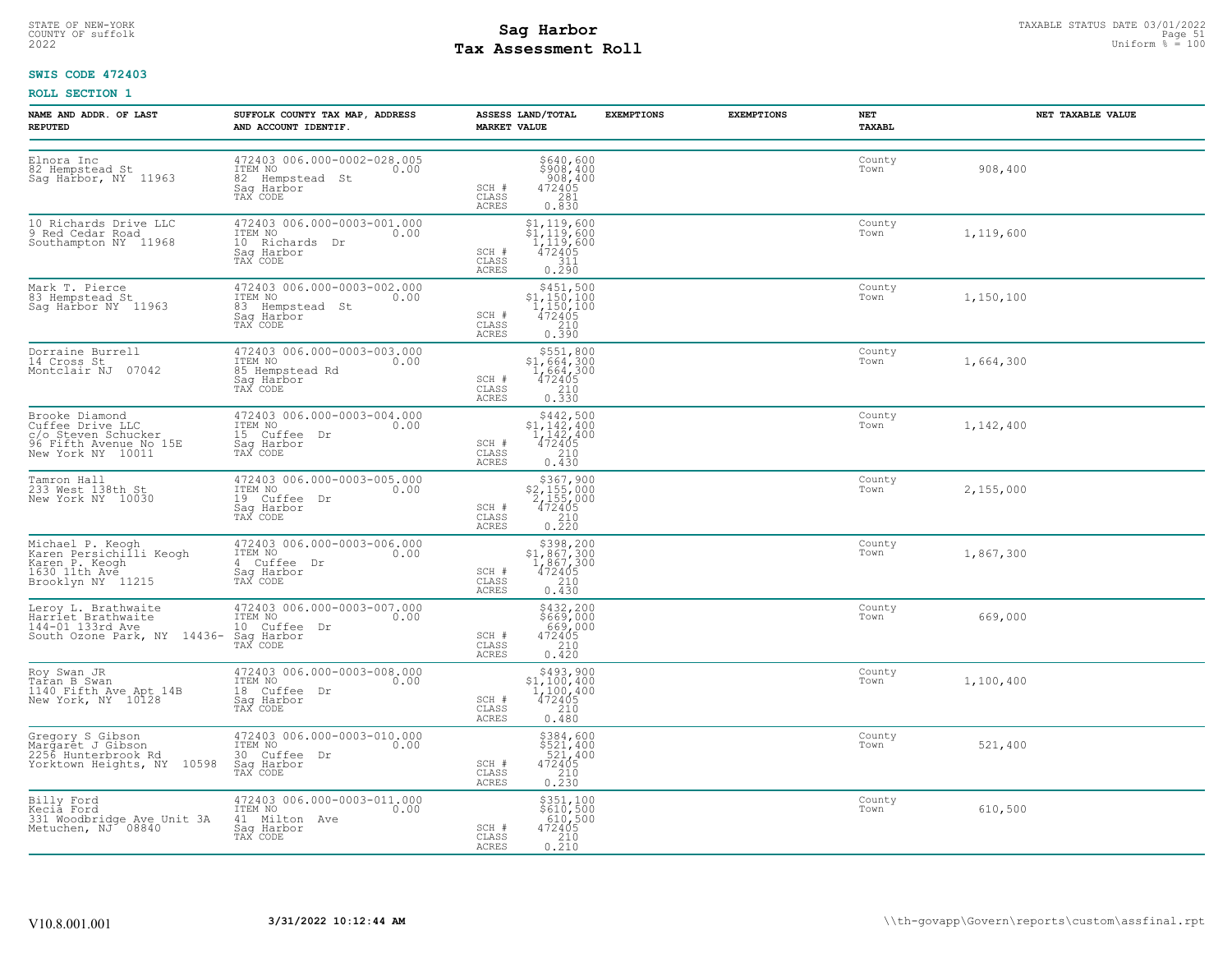# STATE OF NEW-YORK STATUS DATE 03/01/2022<br>
COUNTY OF suffolk Page 51 Degree in the suffolk Page 51 Degree of the suffolk Page 51 Degree of the sufform % = 100<br>
2022 Pay Assessment Roll **Tax Assessment Roll**

## **SWIS CODE 472403**

| NAME AND ADDR, OF LAST<br><b>REPUTED</b>                                                                 | SUFFOLK COUNTY TAX MAP, ADDRESS<br>AND ACCOUNT IDENTIF.                                     | ASSESS LAND/TOTAL<br><b>MARKET VALUE</b>                                                                                                                                                                              | <b>EXEMPTIONS</b> | <b>EXEMPTIONS</b> | NET<br>TAXABL  | NET TAXABLE VALUE |
|----------------------------------------------------------------------------------------------------------|---------------------------------------------------------------------------------------------|-----------------------------------------------------------------------------------------------------------------------------------------------------------------------------------------------------------------------|-------------------|-------------------|----------------|-------------------|
| Elnora Inc<br>82 Hempstead St<br>Sag Harbor, NY 11963                                                    | 472403 006.000-0002-028.005<br>ITEM NO<br>0.00<br>82 Hempstead St<br>Sag Harbor<br>TAX CODE | \$640,600<br>\$908,400<br>908,400<br>472405<br>281<br>0.830<br>SCH #<br>CLASS<br>ACRES                                                                                                                                |                   |                   | County<br>Town | 908,400           |
| 10 Richards Drive LLC<br>9 Red Cedar Road<br>Southampton NY 11968                                        | 472403 006.000-0003-001.000<br>ITEM NO<br>0.00<br>10 Richards Dr<br>Saq Harbor<br>TAX CODE  | \$1,119,600<br>\$1,119,600<br>1,119,600<br>472405<br>SCH #<br>CLASS<br>311<br>ACRES<br>0.290                                                                                                                          |                   |                   | County<br>Town | 1,119,600         |
| Mark T. Pierce<br>83 Hempstead St<br>Sag Harbor NY 11963                                                 | 472403 006.000-0003-002.000<br>ITEM NO<br>0.00<br>83 Hempstead St<br>Saq Harbor<br>TAX CODE | $\begin{array}{r}  \  \  \,  \, 5451,500 \\  \  \, 51,150,100 \\  \  \, 1,150,100 \\  \  \, 472405 \\  \  \, 210 \\  \  \, 0.390 \\ \end{array}$<br>SCH #<br>CLASS<br>ACRES                                           |                   |                   | County<br>Town | 1,150,100         |
| Dorraine Burrell<br>14 Cross St<br>Montclair NJ 07042                                                    | 472403 006.000-0003-003.000<br>ITEM NO<br>0.00<br>85 Hempstead Rd<br>Sag Harbor<br>TAX CODE | \$551,800<br>\$1,664,300<br>1,664,300<br>472405<br>SCH #<br>$\frac{210}{0.330}$<br>CLASS<br>ACRES                                                                                                                     |                   |                   | County<br>Town | 1,664,300         |
| Brooke Diamond<br>Cuffee Drive LLC<br>c/o Steven Schucker<br>96 Fifth Avenue No 15E<br>New York NY 10011 | 472403 006.000-0003-004.000<br>ITEM NO<br>0.00<br>15 Cuffee Dr<br>Sag Harbor<br>TAX CODE    | $\begin{array}{r} 5442, 500 \\ 51, 142, 400 \\ 1, 142, 400 \\ 472405 \\ 210 \end{array}$<br>SCH #<br>CLASS<br>0.430<br>ACRES                                                                                          |                   |                   | County<br>Town | 1,142,400         |
| Tamron Hall<br>233 West 138th St<br>New York NY 10030                                                    | 472403 006.000-0003-005.000<br>ITEM NO<br>0.00<br>19 Cuffee Dr<br>Saq Harbor<br>TAX CODE    | $\begin{array}{r} \text{\small $>$367$, 900} \\ \text{\small $>$2,155,000} \\ \text{\small $2,155,000} \\ \text{\small $472405} \\ \text{\small $210} \\ \text{\small $0.220} \end{array}$<br>SCH #<br>CLASS<br>ACRES |                   |                   | County<br>Town | 2,155,000         |
| Michael P. Keogh<br>Karen Persichilli Keogh<br>Karen P. Keogh<br>1630 11th Ave<br>Brooklyn NY 11215      | 472403 006.000-0003-006.000<br>ITEM NO<br>0.00<br>4 Cuffee Dr<br>Saq Harbor<br>TAX CODE     | $$398, 200$<br>$$1, 867, 300$<br>$1, 867, 300$<br>$472405$<br>SCH #<br>CLASS<br>210<br>ACRES<br>0.430                                                                                                                 |                   |                   | County<br>Town | 1,867,300         |
| Leroy L. Brathwaite<br>Harriet Brathwaite<br>144-01 133rd Ave<br>South Ozone Park, NY 14436- Sag Harbor  | 472403 006.000-0003-007.000<br>ITEM NO<br>0.00<br>10 Cuffee Dr<br>TAX CODE                  | \$432,200<br>\$669,000<br>669,000<br>472405<br>210<br>SCH #<br>CLASS<br>ACRES<br>0.420                                                                                                                                |                   |                   | County<br>Town | 669,000           |
| Roy Swan JR<br>Taran B Swan<br>1140 Fifth Ave Apt 14B<br>New York, NY 10128                              | 472403 006.000-0003-008.000<br>ITEM NO<br>0.00<br>18 Cuffee Dr<br>Sag Harbor<br>TAX CODE    | $$493,900$<br>$$1,100,400$<br>$1,100,400$<br>$472405$<br>SCH #<br>210<br>CLASS<br>0.480<br>ACRES                                                                                                                      |                   |                   | County<br>Town | 1,100,400         |
| Gregory S Gibson<br>Margaret J Gibson<br>2256 Hunterbrook Rd<br>Yorktown Heights, NY 10598               | 472403 006.000-0003-010.000<br>ITEM NO<br>0.00<br>30 Cuffee Dr<br>Saq Harbor<br>TAX CODE    | \$384,600<br>\$521,400<br>521,400<br>472405<br>SCH #<br>CLASS<br>$\frac{210}{0.230}$<br>ACRES                                                                                                                         |                   |                   | County<br>Town | 521,400           |
| Billy Ford<br>Kecia Ford<br>331 Woodbridge Ave Unit 3A<br>Metuchen, NJ 08840                             | 472403 006.000-0003-011.000<br>ITEM NO 0.00<br>41 Milton Ave<br>Saq Harbor<br>TAX CODE      | \$351,100<br>\$610,500<br>610,500<br>SCH #<br>472405<br>CLASS<br>0.210<br>ACRES                                                                                                                                       |                   |                   | County<br>Town | 610,500           |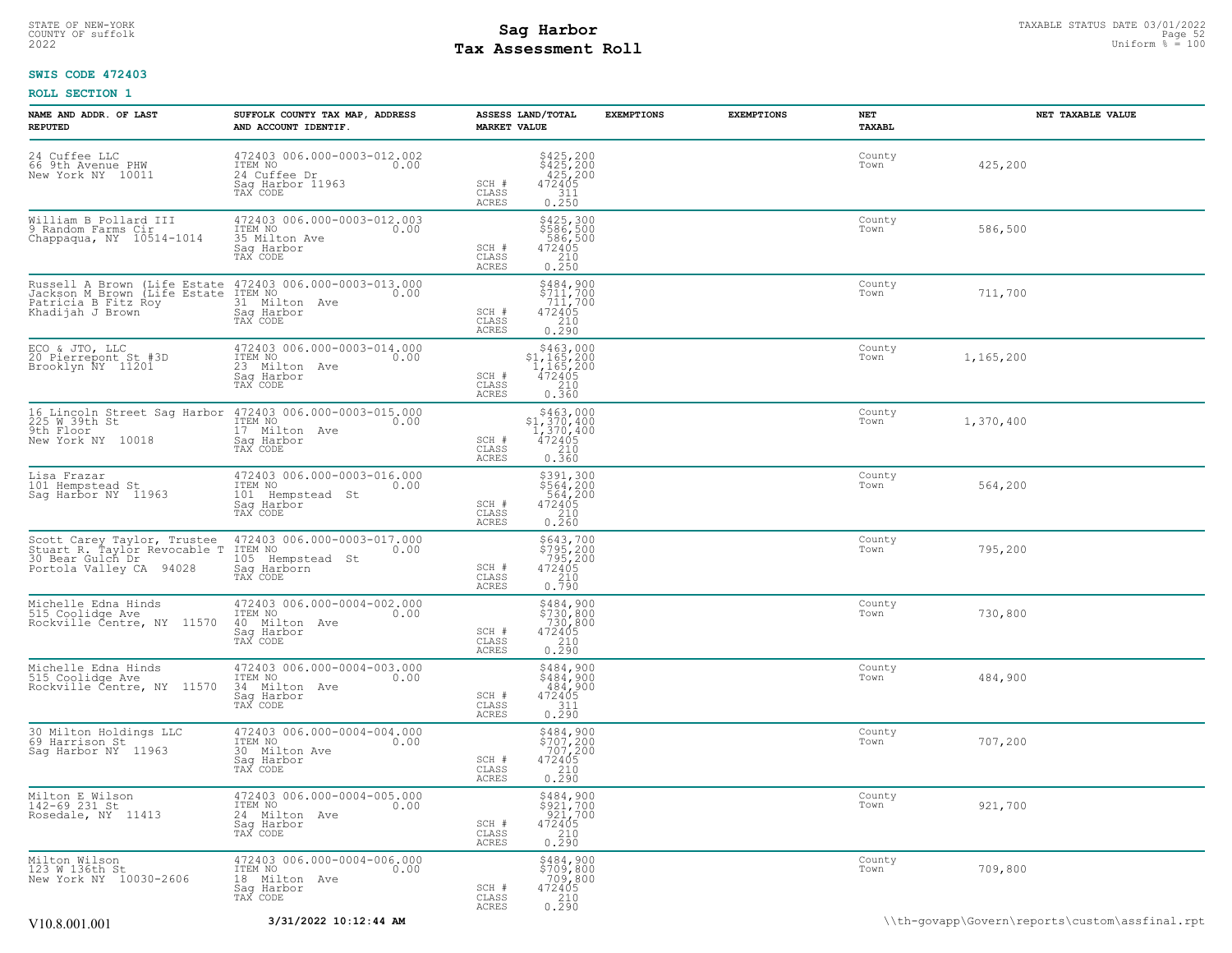## STATE OF NEW-YORK STATUS DATE 03/01/2022<br>
COUNTY OF suffolk Page 52 (1/2022<br>
2022 Pay Assessment Roll **Tax Assessment Roll**

## **SWIS CODE 472403**

| NAME AND ADDR. OF LAST<br><b>REPUTED</b>                                                                                                            | SUFFOLK COUNTY TAX MAP, ADDRESS<br>AND ACCOUNT IDENTIF.                                             | <b>MARKET VALUE</b>                       | ASSESS LAND/TOTAL                                                                                | <b>EXEMPTIONS</b> | <b>EXEMPTIONS</b> | NET<br>TAXABL  | NET TAXABLE VALUE |
|-----------------------------------------------------------------------------------------------------------------------------------------------------|-----------------------------------------------------------------------------------------------------|-------------------------------------------|--------------------------------------------------------------------------------------------------|-------------------|-------------------|----------------|-------------------|
| 24 Cuffee LLC<br>66 9th Avenue PHW<br>New York NY 10011                                                                                             | 472403 006.000-0003-012.002<br>ITEM NO 0.00<br>0.00<br>24 Cuffee Dr<br>Sag Harbor 11963<br>TAX CODE | SCH #<br>$\mathtt{CLASS}$<br><b>ACRES</b> | \$425,200<br>\$425,200<br>425,200<br>472405<br>$\frac{311}{0.250}$                               |                   |                   | County<br>Town | 425,200           |
| William B Pollard III<br>9 Random Farms Cir<br>Chappaqua, NY 10514-1014                                                                             | 472403 006.000-0003-012.003<br>ITEM NO<br>0.00<br>35 Milton Ave<br>Saq Harbor<br>TAX CODE           | SCH #<br>CLASS<br>ACRES                   | \$425,300<br>\$586,500<br>586,500<br>472405<br>210<br>0.250                                      |                   |                   | County<br>Town | 586,500           |
| Russell A Brown (Life Estate 472403 006.000-0003-013.000<br>Jackson M_Brown (Life Estate ITEM NO 000 000<br>Patricia B Fitz Roy<br>Khadijah J Brown | 31 Milton Ave<br>Saq Harbor<br>TAX CODE                                                             | SCH #<br>CLASS<br>ACRES                   | $$484,900$<br>$$711,700$<br>$711,700$<br>$472405$<br>$\begin{array}{c} 210 \\ 0.290 \end{array}$ |                   |                   | County<br>Town | 711,700           |
| ECO & JTO, LLC<br>20 Pierrepont St #3D<br>Brooklyn NY 11201                                                                                         | 472403 006.000-0003-014.000<br>ITEM NO<br>0.00<br>23 Milton Ave<br>Saq Harbor<br>TAX CODE           | SCH #<br>$\mathtt{CLASS}$<br><b>ACRES</b> | $$463,000$<br>$$1,165,200$<br>$1,165,200$<br>$472405$<br>$210$<br>0.360                          |                   |                   | County<br>Town | 1,165,200         |
| 16 Lincoln Street Sag Harbor 472403 006.000-0003-015.000<br>225 M 39th St 1TEM NO 100 000<br>9th Floor<br>New York NY 10018                         | 17 Milton Ave<br>Saq Harbor<br>TAX CODE                                                             | SCH #<br>CLASS<br><b>ACRES</b>            | $$463,000$<br>$$1,370,400$<br>$1,370,400$<br>$472405$<br>210<br>0.360                            |                   |                   | County<br>Town | 1,370,400         |
| Lisa Frazar<br>101 Hempstead St<br>Sag Harbor NY 11963                                                                                              | 472403 006.000-0003-016.000<br>ITEM NO<br>0.00<br>101 Hempstead St<br>Sag Harbor<br>TAX CODE        | SCH #<br>CLASS<br>ACRES                   | \$391,300<br>\$564,200<br>564,200<br>$\frac{472405}{210}$<br>0.260                               |                   |                   | County<br>Town | 564,200           |
| Scott Carey Taylor, Trustee<br>Stuart R. Taylor Revocable T<br>30 Bear Gulch Dr. 24000<br>Portola Valley CA 94028                                   | 472403 006.000-0003-017.000<br>ITEM NO<br>0.00<br>105 Hempstead St<br>Saq Harborn<br>TAX CODE       | SCH #<br>CLASS<br>ACRES                   | \$643,700<br>\$795,200<br>795,200<br>$\begin{array}{r} 472405 \\ 210 \\ 0.790 \end{array}$       |                   |                   | County<br>Town | 795,200           |
| Michelle Edna Hinds<br>515 Coolidge Ave<br>Rockville Centre, NY 11570                                                                               | 472403 006.000-0004-002.000<br>ITEM NO<br>0.00<br>40 Milton Ave<br>Saq Harbor<br>TAX CODE           | SCH #<br>CLASS<br><b>ACRES</b>            | \$484,900<br>\$730,800<br>730,800<br>$\begin{array}{r} 472405 \\ 210 \\ 0.290 \end{array}$       |                   |                   | County<br>Town | 730,800           |
| Michelle Edna Hinds<br>515 Coolidge Ave<br>Rockville Čentre, NY 11570                                                                               | 472403 006.000-0004-003.000<br>ITEM NO<br>0.00<br>34 Milton Ave<br>Sag Harbor<br>TAX CODE           | SCH #<br>CLASS<br>ACRES                   | \$484,900<br>\$484,900<br>484,900<br>$\begin{array}{r} 472405 \\ 311 \\ 0.290 \end{array}$       |                   |                   | County<br>Town | 484,900           |
| 30 Milton Holdings LLC<br>69 Harrison St<br>Sag Harbor NY 11963                                                                                     | 472403 006.000-0004-004.000<br>ITEM NO<br>0.00<br>30 Milton Ave<br>Sag Harbor<br>TAX CODE           | SCH #<br>CLASS<br>ACRES                   | $$484,900$<br>$$707,200$<br>$707,200$<br>$472405$<br>$210$<br>0.290                              |                   |                   | County<br>Town | 707,200           |
| Milton E Wilson<br>142-69 231 St<br>Rosedale, NY 11413                                                                                              | 472403 006.000-0004-005.000<br>TTEM NO 0.00<br>0.00<br>24 Milton Ave<br>Saq Harbor<br>TAX CODE      | SCH #<br>CLASS<br>ACRES                   | $$484,900$<br>$$921,700$<br>$921,700$<br>$472405$<br>$210$<br>0.290                              |                   |                   | County<br>Town | 921,700           |
| Milton Wilson<br>123 M 136th St<br>New York NY 10030-2606                                                                                           | 472403 006.000-0004-006.000<br>ITEM NO 0.00<br>0.00<br>18 Milton Ave<br>Saq Harbor<br>TAX CODE      | SCH #<br>CLASS<br>ACRES                   | $$709,800$<br>$$709,800$<br>$$709,800$<br>$472405$<br>$$210$<br>0.290                            |                   |                   | County<br>Town | 709,800           |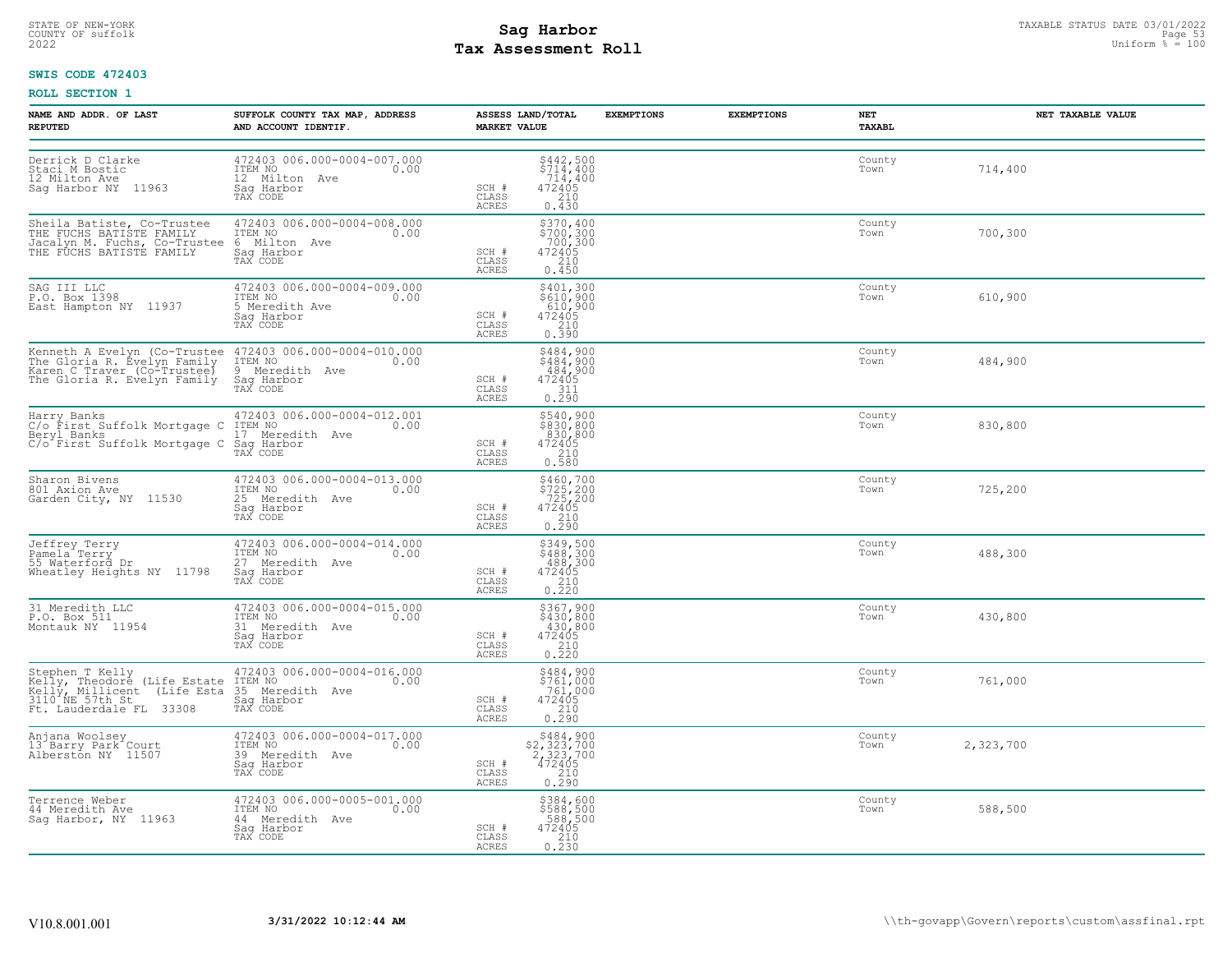# STATE OF NEW-YORK STATUS DATE 03/01/2022<br>
COUNTY OF suffolk Page 53, 2022 Uniform % = 100<br>
2022 Pay Assessment Roll **Tax Assessment Roll**

## **SWIS CODE 472403**

| NAME AND ADDR. OF LAST<br><b>REPUTED</b>                                                                                                                                                                       | SUFFOLK COUNTY TAX MAP, ADDRESS<br>AND ACCOUNT IDENTIF.                                     | ASSESS LAND/TOTAL<br><b>MARKET VALUE</b>                                                                              | <b>EXEMPTIONS</b><br><b>EXEMPTIONS</b> | NET<br><b>TAXABL</b> | NET TAXABLE VALUE |
|----------------------------------------------------------------------------------------------------------------------------------------------------------------------------------------------------------------|---------------------------------------------------------------------------------------------|-----------------------------------------------------------------------------------------------------------------------|----------------------------------------|----------------------|-------------------|
| Derrick D Clarke<br>Staci M Bostic<br>12 Milton Ave<br>Sag Harbor NY 11963                                                                                                                                     | 472403 006.000-0004-007.000<br>ITEM NO<br>0.00<br>12 Milton Ave<br>Sag Harbor<br>TAX CODE   | $$442,500$<br>$$714,400$<br>$714,400$<br>$472405$<br>SCH #<br>$\frac{210}{0.430}$<br>CLASS<br>ACRES                   |                                        | County<br>Town       | 714,400           |
| Sheila Batiste, Co-Trustee<br>THE FUCHS BATISTE FAMILY<br>Jacalyn M. Fuchs, Co-Trustee<br>THE FUCHS BATISTE FAMILY                                                                                             | 472403 006.000-0004-008.000<br>ITEM NO 0.00<br>6 Milton Ave<br>Saq Harbor<br>TAX CODE       | $$700, 400$<br>$$700, 300$<br>$$700, 300$<br>$472405$<br>$$210$<br>SCH #<br>CLASS<br>ACRES<br>0.450                   |                                        | County<br>Town       | 700,300           |
| SAG III LLC<br>P.O. Box 1398<br>East Hampton NY 11937                                                                                                                                                          | 472403 006.000-0004-009.000<br>ITEM NO<br>0.00<br>5 Meredith Ave<br>Saq Harbor<br>TAX CODE  | \$401,300<br>\$610,900<br>610,900<br>SCH #<br>472405<br>210<br>CLASS<br>ACRES<br>0.390                                |                                        | County<br>Town       | 610,900           |
| Kenneth A Evelyn (Co-Trustee 472403 006.000-0004-010.000<br>The Gloria R. Evelyn Family ITEM NO<br>Karen C Traver (Co-Trustee) 9 Meredith Ave<br>The Gloria R. Evelyn Family Sag Harbor                        | Sag Harbor<br>TAX CODE                                                                      | \$484,900<br>\$484,900<br>484,900<br>SCH #<br>472405<br>$\frac{311}{0.290}$<br>CLASS<br>ACRES                         |                                        | County<br>Town       | 484,900           |
| Harry Banks<br>C/o First Suffolk Mortgage C ITEM NO<br>Beryl Banks<br>C/o First Suffolk Mortgage C Sag Harbor                                                                                                  | 472403 006.000-0004-012.001<br>0.00<br>17 Meredith Ave<br>TAX CODE                          | $\begin{array}{c} 5540, 900 \\ 830, 800 \\ 830, 800 \\ 472405 \\ 210 \\ 0.580 \end{array}$<br>SCH #<br>CLASS<br>ACRES |                                        | County<br>Town       | 830,800           |
| Sharon Bivens<br>801 Axion Ave<br>Garden City, NY 11530                                                                                                                                                        | 472403 006.000-0004-013.000<br>ITEM NO<br>0.00<br>25 Meredith Ave<br>Saq Harbor<br>TAX CODE | \$460,700<br>\$725,200<br>725,200<br>472405<br>210<br>0.290<br>SCH #<br>CLASS<br>ACRES                                |                                        | County<br>Town       | 725,200           |
| Jeffrey Terry<br>Pamela Terry<br>55 Waterford Dr<br>Wheatley Heights NY 11798                                                                                                                                  | 472403 006.000-0004-014.000<br>ITEM NO<br>0.00<br>27 Meredith Ave<br>Saq Harbor<br>TAX CODE | $$349,500$<br>$$488,300$<br>$488,300$<br>$472405$<br>SCH #<br>CLASS<br>$\frac{210}{0.220}$<br>ACRES                   |                                        | County<br>Town       | 488,300           |
| 31 Meredith LLC<br>P.O. Box 511<br>Montauk NY 11954                                                                                                                                                            | 472403 006.000-0004-015.000<br>ITEM NO<br>0.00<br>31 Meredith Ave<br>Sag Harbor<br>TAX CODE | $$367,900$<br>$$430,800$<br>$430,800$<br>$472405$<br>$$210$<br>SCH #<br>CLASS<br>0.220<br><b>ACRES</b>                |                                        | County<br>Town       | 430,800           |
| Stephen T Kelly<br>Kelly, Theodore (Life Estate ITEM NO<br>Kelly, Millicent (Life Esta 35 Meredith Ave<br>3110, NE 57th St., 22208 Sag Harbor<br>3110, NE 3711, St., 22209 Say CODE<br>Ft. Lauderdale FL 33308 | 472403 006.000-0004-016.000<br>0.00<br>TAX CODE                                             | \$484,900<br>\$761,000<br>761,000<br>472405<br>SCH #<br>$0.210$<br>$0.290$<br>CLASS<br><b>ACRES</b>                   |                                        | County<br>Town       | 761,000           |
| Anjana Woolsey<br>13 Barry Park Court<br>Alberston NY 11507                                                                                                                                                    | 472403 006.000-0004-017.000<br>ITEM NO<br>0.00<br>39 Meredith Ave<br>Saq Harbor<br>TAX CODE | $$484,900$<br>$$2,323,700$<br>$2,323,700$<br>$472405$<br>SCH #<br>CLASS<br>0.290<br>ACRES                             |                                        | County<br>Town       | 2,323,700         |
| Terrence Weber<br>44 Meredith Ave<br>Saq Harbor, NY 11963                                                                                                                                                      | 472403 006.000-0005-001.000<br>ITEM NO 0.00<br>44 Meredith Ave<br>Saq Harbor<br>TAX CODE    | \$384,600<br>\$588,500<br>588,500<br>SCH #<br>$\begin{array}{r} 472405 \\ 210 \\ 0.230 \end{array}$<br>CLASS<br>ACRES |                                        | County<br>Town       | 588,500           |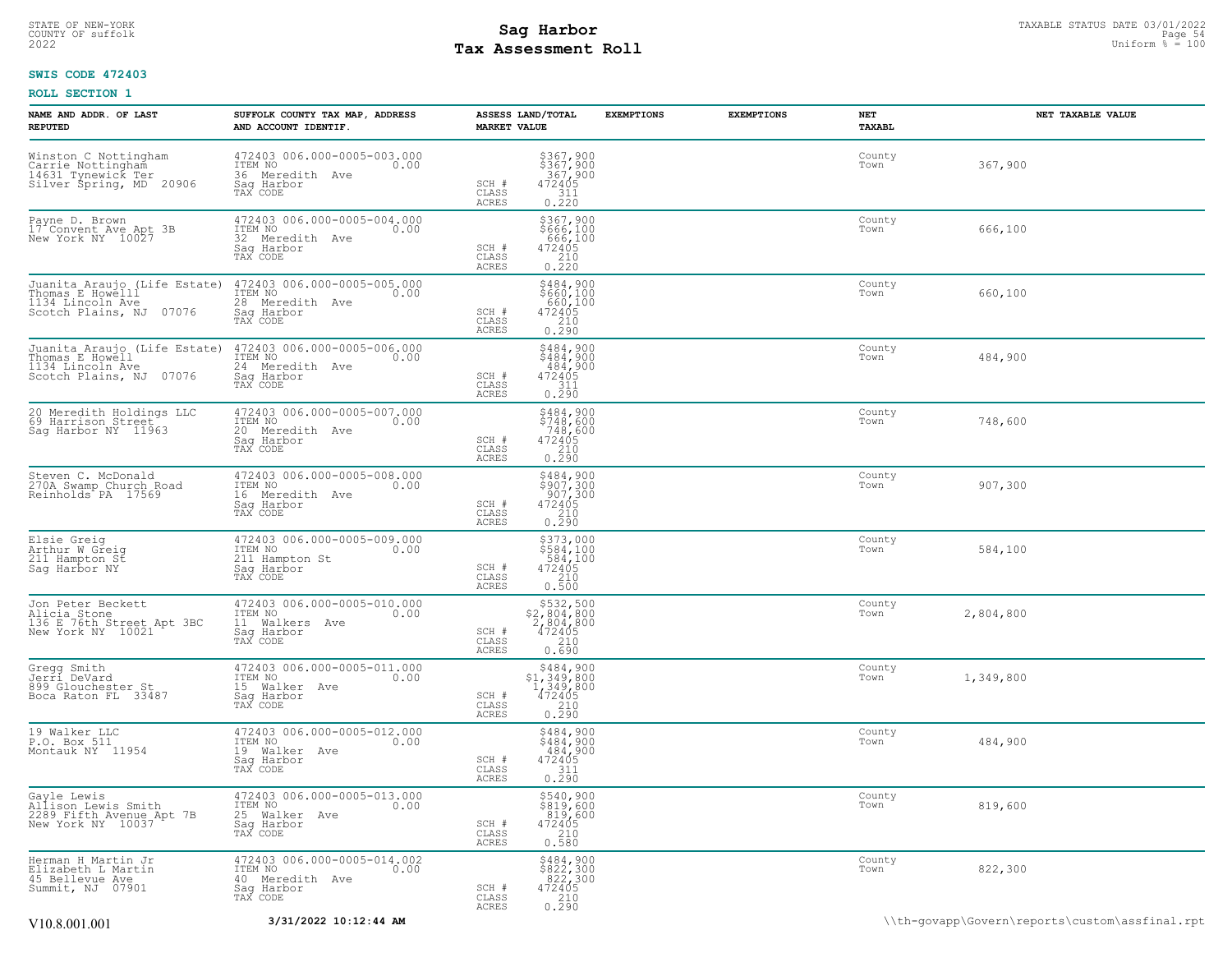## STATE OF NEW-YORK STATUS DATE 03/01/2022<br>
COUNTY OF suffolk Page 54<br>
2022 - Taxable Pay Assessment Roll **Tax Assessment Roll**

## **SWIS CODE 472403**

| NAME AND ADDR. OF LAST<br><b>REPUTED</b>                                                        | SUFFOLK COUNTY TAX MAP, ADDRESS<br>AND ACCOUNT IDENTIF.                                          | ASSESS LAND/TOTAL<br><b>MARKET VALUE</b>                                                                                                                                            | <b>EXEMPTIONS</b> | <b>EXEMPTIONS</b> | NET<br>TAXABL  | NET TAXABLE VALUE |
|-------------------------------------------------------------------------------------------------|--------------------------------------------------------------------------------------------------|-------------------------------------------------------------------------------------------------------------------------------------------------------------------------------------|-------------------|-------------------|----------------|-------------------|
| Winston C Nottingham<br>Carrie Nottingham<br>14631 Tynewick Ter<br>Silver Spring, MD 20906      | 472403 006.000-0005-003.000<br>ITEM NO<br>0.00<br>36 Meredith Ave<br>Saq Harbor<br>TAX CODE      | $$367,900$<br>$$367,900$<br>$367,900$<br>$472405$<br>$311$<br>SCH #<br>CLASS<br><b>ACRES</b><br>0.220                                                                               |                   |                   | County<br>Town | 367,900           |
| Payne D. Brown<br>17 Convent Ave Apt 3B<br>New York NY 10027                                    | 472403 006.000-0005-004.000<br>ITEM NO<br>0.00<br>32 Meredith Ave<br>Sag Harbor<br>TAX CODE      | \$367,900<br>\$666,100<br>666,100<br>472405<br>SCH #<br>210<br>CLASS<br>ACRES<br>0.220                                                                                              |                   |                   | County<br>Town | 666,100           |
| Juanita Araujo (Life Estate)<br>Thomas E Howelll<br>1134 Lincoln Ave<br>Scotch Plains, NJ 07076 | 472403 006.000-0005-005.000<br>ITEM NO<br>0.00<br>28 Meredith Ave<br>Sag Harbor<br>TAX CODE      | $$484,900$<br>$$660,100$<br>$660,100$<br>$472405$<br>$210$<br>SCH #<br>CLASS<br>0.290<br><b>ACRES</b>                                                                               |                   |                   | County<br>Town | 660,100           |
| Juanita Araujo (Life Estate)<br>Thomas E Howell<br>1134 Lincoln Ave<br>Scotch Plains, NJ 07076  | 472403 006.000-0005-006.000<br>ITEM NO<br>0.00<br>24 Meredith Ave<br>Saq Harbor<br>TAX CODE      | $$484,900$<br>$$484,900$<br>$484,900$<br>$472405$<br>$311$<br>SCH #<br>CLASS<br>ACRES<br>0.290                                                                                      |                   |                   | County<br>Town | 484,900           |
| 20 Meredith Holdings LLC<br>69 Harrison Street<br>Sag Harbor NY 11963                           | 472403 006.000-0005-007.000<br>ITEM NO<br>0.00<br>20 Meredith Ave<br>Sag Harbor<br>TAX CODE      | $$484,900$<br>$$748,600$<br>$748,600$<br>$472405$<br>SCH #<br>$\begin{array}{c} 210 \\ 0.290 \end{array}$<br>CLASS<br>ACRES                                                         |                   |                   | County<br>Town | 748,600           |
| Steven C. McDonald<br>270A Swamp Church Road<br>Reinholds PA 17569                              | 472403 006.000-0005-008.000<br>ITEM NO<br>0.00<br>16 Meredith Ave<br>Saq Harbor<br>TAX CODE      | \$484,900<br>\$907,300<br>907,300<br>SCH #<br>$\begin{array}{r} 472405 \\ 210 \\ 0.290 \end{array}$<br>CLASS<br>ACRES                                                               |                   |                   | County<br>Town | 907,300           |
| Elsie Greig<br>Arthur W Greig<br>211 Hampton St<br>Sag Harbor NY                                | 472403 006.000-0005-009.000<br>ITEM NO<br>0.00<br>211 Hampton St<br>Saq Harbor<br>TAX CODE       | \$373,000<br>\$584,100<br>584,100<br>SCH #<br>472405<br>210<br>CLASS<br>0.500<br>ACRES                                                                                              |                   |                   | County<br>Town | 584,100           |
| Jon Peter Beckett<br>Nicia Stone<br>136 E 76th Street Apt 3BC<br>New York NY 10021              | 472403 006.000-0005-010.000<br>ITEM NO<br>0.00<br>11 Walkers Ave<br>Saq Harbor<br>TAX CODE       | $$532,500$<br>$$2,804,800$<br>$2,804,800$<br>SCH #<br>472405<br>CLASS<br>210<br><b>ACRES</b><br>0.690                                                                               |                   |                   | County<br>Town | 2,804,800         |
| Gregg Smith<br>Jerri DeVard<br>899 Glouchester St<br>Boca Raton FL 33487                        | 472403 006.000-0005-011.000<br>ITEM NO<br>0.00<br>15 Walker Ave<br>Sag Harbor<br>TAX CODE        | $\begin{array}{r}  \  \  \, 5484, 900 \\  \  \, 51, 349, 800 \\  \  \, 1, 349, 800 \\  \  \, 472405 \\  \  \, 210 \\  \  \, 0.290 \\ \end{array}$<br>SCH #<br>CLASS<br><b>ACRES</b> |                   |                   | County<br>Town | 1,349,800         |
| 19 Walker LLC<br>P.O. Box 511<br>Montauk NY 11954                                               | 472403 006.000-0005-012.000<br>ITEM NO<br>0.00<br>19 Walker Ave<br>Sag Harbor<br>TAX CODE        | \$484,900<br>\$484,900<br>484,900<br>SCH #<br>$\begin{array}{r} 472405 \\ 311 \\ 0.290 \end{array}$<br>CLASS<br><b>ACRES</b>                                                        |                   |                   | County<br>Town | 484,900           |
| Gayle Lewis<br>Nalison Lewis Smith<br>2289 Fifth Avenue Apt 7B<br>New York NY 10037             | 472403 006.000-0005-013.000<br>ITEM NO<br>0.00<br>25 Walker Ave<br>Saq Harbor<br>TAX CODE        | \$540,900<br>\$819,600<br>$\begin{array}{r} 019,600 \\ 819,600 \\ 472405 \\ 210 \end{array}$<br>SCH #<br>CLASS<br>ACRES<br>0.580                                                    |                   |                   | County<br>Town | 819,600           |
| Herman H Martin Jr<br>Elizabeth L Martin<br>45 Bellevue Ave<br>Summit, NJ 07901                 | 472403 006.000-0005-014.002<br>TTEM NO 0.00<br>0.00<br>40 Meredith Ave<br>Sag Harbor<br>TAX CODE | $$8484,900$<br>$$822,300$<br>$822,300$<br>$472405$<br>$210$<br>SCH #<br>CLASS<br>0.290<br>ACRES                                                                                     |                   |                   | County<br>Town | 822,300           |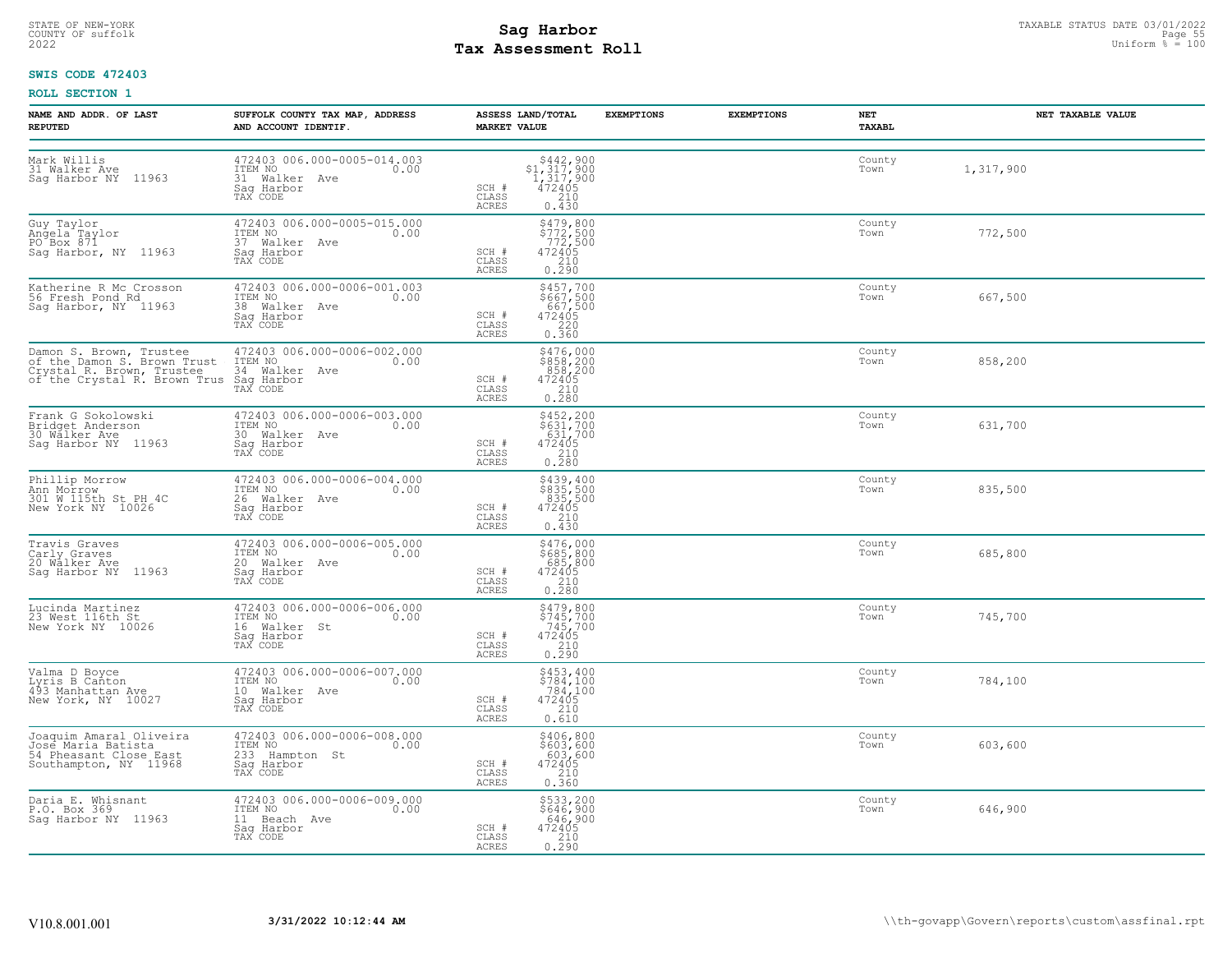# STATE OF NEW-YORK STATUS DATE 03/01/2022<br>
COUNTY OF suffolk Page 55 and State Page 55 and State Page 55 and State Page 55 and State Page 55 and State Page 55<br>
2022 Mage State Page 56 and Page 56 and Page 56 and Page 56 and **Tax Assessment Roll**

## **SWIS CODE 472403**

| NAME AND ADDR. OF LAST<br><b>REPUTED</b>                                                         | SUFFOLK COUNTY TAX MAP, ADDRESS<br>AND ACCOUNT IDENTIF.                                                                                                                                                  | ASSESS LAND/TOTAL<br><b>MARKET VALUE</b> | <b>EXEMPTIONS</b>                                                                               | <b>EXEMPTIONS</b> | NET<br><b>TAXABL</b> | NET TAXABLE VALUE |
|--------------------------------------------------------------------------------------------------|----------------------------------------------------------------------------------------------------------------------------------------------------------------------------------------------------------|------------------------------------------|-------------------------------------------------------------------------------------------------|-------------------|----------------------|-------------------|
| Mark Willis<br>31 Walker Ave<br>Sag Harbor NY 11963                                              | 472403 006.000-0005-014.003<br>ITEM NO<br>31 Walker Ave 0.00<br>Sag Harbor<br>TAX CODE                                                                                                                   | SCH #<br>CLASS<br>ACRES                  | $$442,900$<br>$$1,317,900$<br>$1,317,900$<br>$472405$<br>210<br>0.430                           |                   | County<br>Town       | 1,317,900         |
| Guy Taylor<br>Guy raylor<br>Angela Taylor<br>PO Box 871<br>Sag Harbor, NY 11963                  | 472403 006.000-0005-015.000<br>ITEM NO. 000<br>37 Walker Ave<br>Saq Harbor<br>TAX CODE                                                                                                                   | SCH #<br>CLASS<br>ACRES                  | $\begin{array}{l} 5479, 800 \\ 5772, 500 \\ 772, 500 \\ 472405 \\ 210 \\ 0.290 \end{array}$     |                   | County<br>Town       | 772,500           |
|                                                                                                  | 11-11 No<br>38 Walker Ave<br>Saq Harbor<br>TAX CODE                                                                                                                                                      | SCH #<br>CLASS<br>ACRES                  | \$457,700<br>\$667,500<br>667,500<br>472405<br>$\begin{array}{c} 220 \\ 0.360 \end{array}$      |                   | County<br>Town       | 667,500           |
|                                                                                                  | Damon S. Brown, Trustee 472403 006.000-0006-002.000<br>of the Damon S. Brown Trust ITEM NO<br>Crystal R. Brown, Trustee 34 Walker Ave<br>of the Crystal R. Brown Trus Sag Harbor<br>TAX CODE<br>TAX CODE | SCH #<br>CLASS<br>ACRES                  | $\begin{array}{r} 5476,000 \\ 5858,200 \\ 858,200 \\ 472405 \\ 210 \\ 230 \end{array}$<br>0.280 |                   | County<br>Town       | 858,200           |
|                                                                                                  | Frank G Sokolowski (at 172403 006.000-0006-003.000<br>Bridget Anderson (at 17EM NO 17EM NO 0.00<br>30 Walker Ave 30 Walker Ave Sag Harbor NY 11963 (at 1820 FAX CODE                                     | SCH #<br>CLASS<br>ACRES                  | \$452,200<br>\$631,700<br>631,700<br>472405<br>210<br>0.280                                     |                   | County<br>Town       | 631,700           |
| Phillip Morrow<br>Ann Morrow<br>301 W 115th St PH 4C<br>New York NY 10026                        | 472403 006.000-0006-004.000<br>ITEM NO 0.00<br>1120 Walker Ave<br>Saq Harbor<br>TAX CODE                                                                                                                 | SCH #<br>CLASS<br>ACRES                  | \$439,400<br>\$835,500<br>835,500<br>472405<br>0.430                                            |                   | County<br>Town       | 835,500           |
| Travis Graves<br>Carly Graves<br>20 Walker Ave<br>Sag Harbor NY 11963                            | 472403 006.000-0006-005.000<br>ITEM NO <sub>1</sub> 0.00<br>20 Walker Ave<br>Sag Harbor<br>TAX CODE                                                                                                      | SCH #<br>CLASS<br>ACRES                  | $\begin{array}{c} 5476,000\\ 5685,800\\ 685,800\\ 472405\\ 210\\ 0.280 \end{array}$             |                   | County<br>Town       | 685,800           |
| Lucinda Martinez<br>23 West 116th St<br>New York NY 10026                                        | 472403 006.000-0006-006.000<br>ITEM NO<br>16 Walker St 0.00<br>Sag Harbor<br>TAX CODE                                                                                                                    | SCH #<br>CLASS<br>ACRES                  | \$479,800<br>\$745,700<br>745,700<br>472405<br>210<br>0.290                                     |                   | County<br>Town       | 745,700           |
| Valma D Boyce<br>Varma 2 Donton<br>193 Manhattan Ave<br>New York, NY 10027                       | 472403 006.000-0006-007.000<br>17EM NO 0.00<br>10 Walker Ave<br>Sag Harbor<br>TAX CODE                                                                                                                   | SCH #<br>CLASS<br>ACRES                  | $$453, 400$<br>$$784, 100$<br>$$784, 100$<br>$472405$<br>210<br>0.610                           |                   | County<br>Town       | 784,100           |
| Joaquim Amaral Oliveira<br>Jose Maria Batista<br>54 Pheasant Close East<br>Southampton, NY 11968 | 472403 006.000-0006-008.000<br>ITEM NO 0.00<br>233 Hampton St<br>See Humpton Sc<br>Saq Harbor<br>TAX CODE                                                                                                | SCH #<br>CLASS<br>ACRES                  | \$406,800<br>\$603,600<br>603,600<br>472405<br>210<br>0.360                                     |                   | County<br>Town       | 603,600           |
| Daria E. Whisnant<br>P.O. Box 369<br>Saq Harbor NY 11963                                         | 472403 006.000-0006-009.000<br>ITEM NO 0.00<br>11 Beach Ave<br>Saq Harbor<br>TAX CODE                                                                                                                    | SCH #<br>472405<br>CLASS<br>ACRES        | \$533,200<br>\$646,900<br>646,900<br>0.210                                                      |                   | County<br>Town       | 646,900           |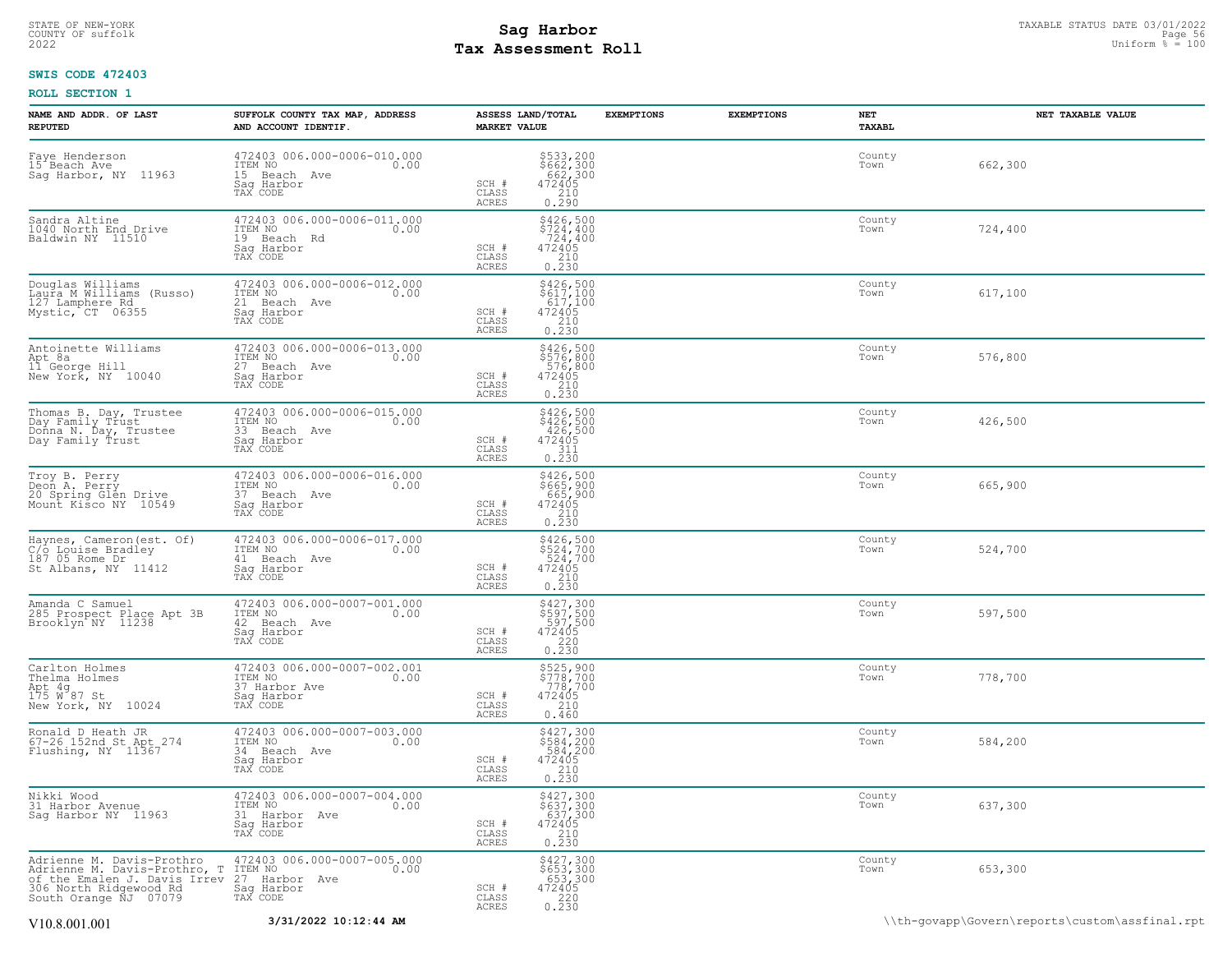## TAXABLE STATUS DATE 03/01/2022 **Sag Harbor** COUNTY OF suffolk Page 56 2022 Uniform % = 100 **Tax Assessment Roll**

## **SWIS CODE 472403**

| NAME AND ADDR. OF LAST<br><b>REPUTED</b>                                                                                                     | SUFFOLK COUNTY TAX MAP, ADDRESS<br>AND ACCOUNT IDENTIF.                                   | ASSESS LAND/TOTAL<br><b>MARKET VALUE</b> |                                                                                               | <b>EXEMPTIONS</b> | <b>EXEMPTIONS</b> | NET<br>TAXABL  | NET TAXABLE VALUE                              |
|----------------------------------------------------------------------------------------------------------------------------------------------|-------------------------------------------------------------------------------------------|------------------------------------------|-----------------------------------------------------------------------------------------------|-------------------|-------------------|----------------|------------------------------------------------|
| Faye Henderson<br>15 Beach Ave<br>Sag Harbor, NY 11963                                                                                       | 472403 006.000-0006-010.000<br>ITEM NO 0.00<br>15 Beach Ave<br>Saq Harbor<br>TAX CODE     | SCH #<br>CLASS<br>ACRES                  | \$533,200<br>\$662,300<br>662,300<br>472405<br>210<br>0.290                                   |                   |                   | County<br>Town | 662,300                                        |
| Sandra Altine<br>1040 North End Drive<br>Baldwin NY 11510                                                                                    | 472403 006.000-0006-011.000<br>ITEM NO<br>0.00<br>19 Beach Rd<br>Sag Harbor<br>TAX CODE   | SCH #<br>CLASS<br>ACRES                  | $$426,500$<br>$$724,400$<br>$$724,400$<br>472405<br>210<br>0.230                              |                   |                   | County<br>Town | 724,400                                        |
| Douglas Williams<br>Laura M Williams (Russo)<br>127 Lamphere Rd<br>Mystic, CT 06355                                                          | 472403 006.000-0006-012.000<br>ITEM NO<br>0.00<br>21 Beach Ave<br>Sag Harbor<br>TAX CODE  | SCH #<br>CLASS<br><b>ACRES</b>           | \$426,500<br>\$617,100<br>617,100<br>$\begin{array}{r} 472405 \\ 210 \\ 0.230 \end{array}$    |                   |                   | County<br>Town | 617,100                                        |
| Antoinette Williams<br>Apt 8a<br>11 George Hill<br>New York, NY 10040                                                                        | 472403 006.000-0006-013.000<br>ITEM NO<br>0.00<br>27 Beach Ave<br>Saq Harbor<br>TAX CODE  | SCH #<br>CLASS<br>ACRES                  | \$426,500<br>\$576,800<br>576,800<br>472405<br>$0.210$<br>$0.230$                             |                   |                   | County<br>Town | 576,800                                        |
| Thomas B. Day, Trustee<br>Day Family Trust<br>Donna N. Day, Trustee<br>Day Family Trust                                                      | 472403 006.000-0006-015.000<br>0.00 0.00<br>33 Beach Ave<br>Sag Harbor<br>TAX CODE        | SCH #<br>CLASS<br>ACRES                  | \$426,500<br>\$426,500<br>426,500<br>472405<br>$\begin{array}{c} 0.7511 \\ 0.230 \end{array}$ |                   |                   | County<br>Town | 426,500                                        |
| Troy B. Perry<br>Deon A. Perry<br>20 Spring Glen Drive<br>Mount Kisco NY 10549                                                               | 472403 006.000-0006-016.000<br>0.00 0.00<br>37 Beach Ave<br>Sag Harbor<br>TAX CODE        | SCH #<br>CLASS<br>ACRES                  | \$426,500<br>\$665,900<br>665,900<br>472405<br>210<br>0.230                                   |                   |                   | County<br>Town | 665,900                                        |
| Haynes, Cameron (est. Of)<br>C/6 Louise Bradley<br>187 05 Rome Dr<br>St Albans, NY 11412                                                     | 472403 006.000-0006-017.000<br>ITEM NO<br>0.00<br>41 Beach Ave<br>Saq Harbor<br>TAX CODE  | SCH #<br>CLASS<br>ACRES                  | \$426,500<br>\$524,700<br>524,700<br>472405<br>$\frac{210}{0.230}$                            |                   |                   | County<br>Town | 524,700                                        |
| Amanda C Samuel<br>285 Prospect Place Apt 3B<br>Brooklyn NY 11238                                                                            | 472403 006.000-0007-001.000<br>TTEM NO 0.00<br>42 Beach Ave<br>Saq Harbor<br>TAX CODE     | SCH #<br>CLASS<br>ACRES                  | $\begin{array}{r} 5427,300 \\ 5597,500 \\ 597,500 \\ 472405 \\ 220 \\ 0.230 \end{array}$      |                   |                   | County<br>Town | 597,500                                        |
| Carlton Holmes<br>Thelma Holmes<br>Apt 4g<br>175 W 87 St<br>New York, NY 10024                                                               | 472403 006.000-0007-002.001<br>ITEM NO<br>0.00<br>37 Harbor Ave<br>Sag Harbor<br>TAX CODE | SCH #<br>CLASS<br>ACRES                  | \$525,900<br>\$778,700<br>778,700<br>472405<br>210<br>0.460                                   |                   |                   | County<br>Town | 778,700                                        |
| Ronald D Heath JR<br>67-26 152nd St Apt 274<br>Flushing, NY 11367                                                                            | 472403 006.000-0007-003.000<br>ITEM NO<br>0.00<br>34 Beach Ave<br>Sag Harbor<br>TAX CODE  | SCH #<br>CLASS<br>ACRES                  | \$427,300<br>\$584,200<br>584,200<br>$\begin{array}{r} 472405 \\ 210 \\ 0.230 \end{array}$    |                   |                   | County<br>Town | 584,200                                        |
| Nikki Wood<br>31 Harbor Avenue<br>Sag Harbor NY 11963                                                                                        | 472403 006.000-0007-004.000<br>ITEM NO<br>0.00<br>31 Harbor Ave<br>Saq Harbor<br>TAX CODE | SCH #<br>CLASS<br><b>ACRES</b>           | \$427,300<br>\$637,300<br>637,300<br>472405<br>210<br>0.230                                   |                   |                   | County<br>Town | 637,300                                        |
| Adrienne M. Davis-Prothro<br>Adrienne M. Davis-Prothro, T<br>of the Emalen J. Davis Irrev<br>306 North Ridgewood Rd<br>South Orange NJ 07079 | 472403 006.000-0007-005.000<br>0.00 0.00<br>27 Harbor Ave<br>Saq Harbor<br>TAX CODE       | SCH #<br>CLASS<br>ACRES                  | \$427,300<br>\$653,300<br>653,300<br>472405<br>$\begin{array}{c} 220 \\ 0.230 \end{array}$    |                   |                   | County<br>Town | 653,300                                        |
| V10.8.001.001                                                                                                                                | 3/31/2022 10:12:44 AM                                                                     |                                          |                                                                                               |                   |                   |                | \\th-qovapp\Govern\reports\custom\assfinal.rpt |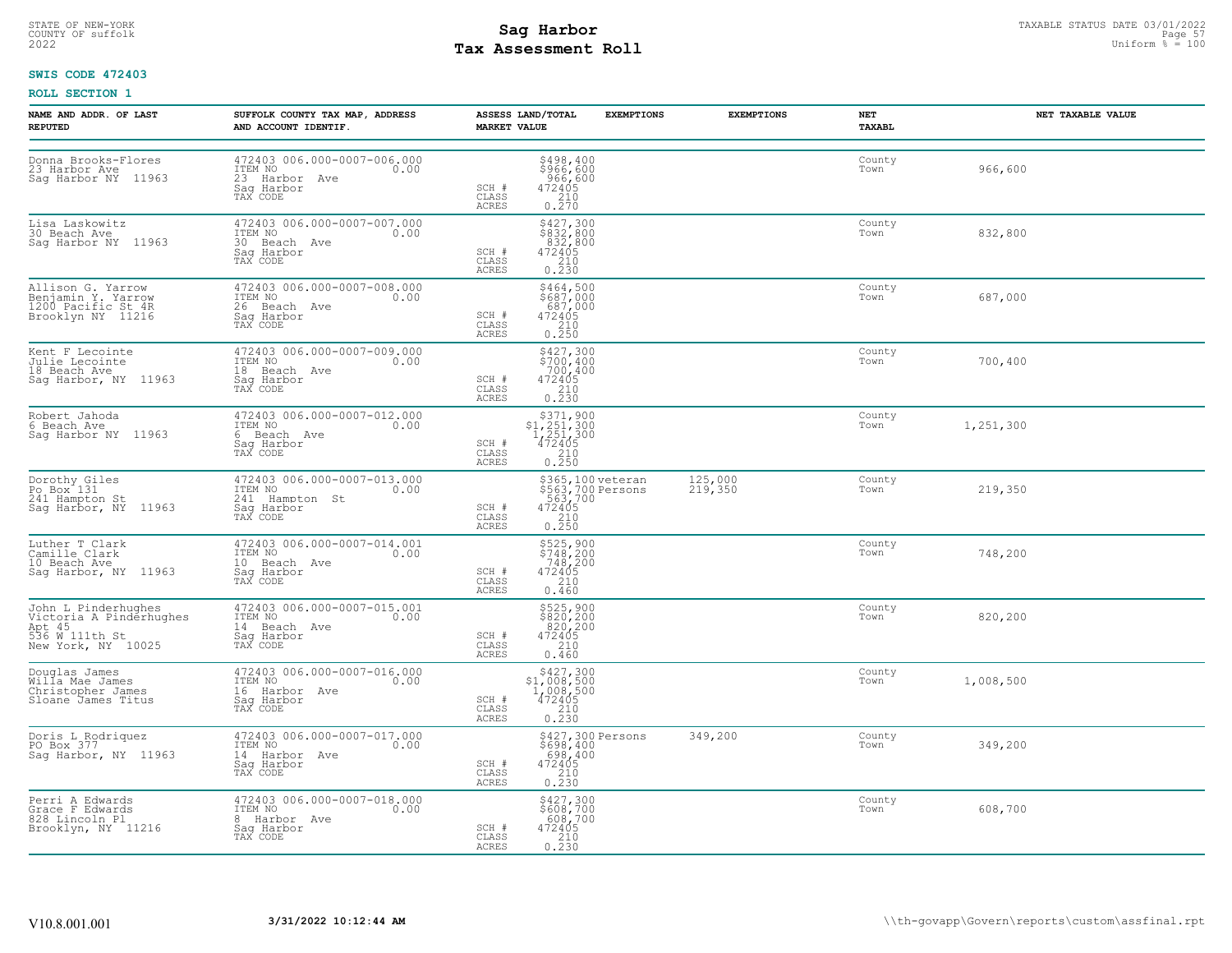# STATE OF NEW-YORK STATUS DATE 03/01/2022<br>
COUNTY OF suffolk Page 57 and the suffolk Page 57 and the suffolk Page 57 and the suffolk Page 57 and the sufform  $\frac{Paqe}{45} = 100$ **Tax Assessment Roll**

## **SWIS CODE 472403**

| NAME AND ADDR. OF LAST<br><b>REPUTED</b>                                                         | SUFFOLK COUNTY TAX MAP, ADDRESS<br>AND ACCOUNT IDENTIF.                                          | <b>MARKET VALUE</b>     | ASSESS LAND/TOTAL<br><b>EXEMPTIONS</b>                                                                                       | <b>EXEMPTIONS</b>  | NET<br><b>TAXABL</b> | NET TAXABLE VALUE |
|--------------------------------------------------------------------------------------------------|--------------------------------------------------------------------------------------------------|-------------------------|------------------------------------------------------------------------------------------------------------------------------|--------------------|----------------------|-------------------|
| Donna Brooks-Flores<br>23 Harbor Ave<br>Sag Harbor NY 11963                                      | 472403 006.000-0007-006.000<br>ITEM NO<br>0.00<br>23 Harbor Ave<br>Sag Harbor<br>TAX CODE        | SCH #<br>CLASS<br>ACRES | \$498,400<br>\$966,600<br>966,600<br>472405<br>$\frac{210}{0.270}$                                                           |                    | County<br>Town       | 966,600           |
| Lisa Laskowitz<br>30 Beach Ave<br>Saq Harbor NY 11963                                            | 472403 006.000-0007-007.000<br>10.00 0.00<br>30 Beach Ave<br>Saq Harbor<br>TAX CODE              | SCH #<br>CLASS<br>ACRES | \$427,300<br>\$832,800<br>832,800<br>472405<br>210<br>$0, \overline{2}\,\overline{3}\,\overline{0}$                          |                    | County<br>Town       | 832,800           |
| Allison G. Yarrow<br>Benjamin Y. Yarrow<br>1200 Pacific St 4R<br>Brooklyn NY 11216               | 472403 006.000-0007-008.000<br>ITEM NO 0.00<br>26 Beach Ave<br>Saq Harbor<br>TAX CODE            | SCH #<br>CLASS<br>ACRES | $\begin{array}{c} 5464, 500 \\ 5687, 000 \\ 687, 000 \\ 472405 \\ 210 \\ 0.250 \end{array}$                                  |                    | County<br>Town       | 687,000           |
| Kent F Lecointe<br>Julie Lecointe<br>18 Beach Ave<br>Sag Harbor, NY 11963                        | 472403 006.000-0007-009.000<br>10.00 0.00<br>18 Beach Ave<br>Sag Harbor<br>TAX CODE              | SCH #<br>CLASS<br>ACRES | \$427,300<br>\$700,400<br>700,400<br>472405<br>$\frac{210}{0.230}$                                                           |                    | County<br>Town       | 700,400           |
| Robert Jahoda<br>6 Beach Ave<br>Sag Harbor NY 11963                                              | 472403 006.000-0007-012.000<br>ITEM NO<br>0.00<br>6 Beach Ave<br>Sag Harbor<br>TAX CODE          | SCH #<br>CLASS<br>ACRES | $\begin{array}{r} \text{\small $>$371,900} \\ \text{\small $>$1,251,300} \\ 1,251,300 \\ 472405 \\ 210 \\ 0.250 \end{array}$ |                    | County<br>Town       | 1,251,300         |
| Dorothy Giles<br>Po Box 131<br>241 Hampton St<br>Sag Harbor, NY 11963                            | 472403 006.000-0007-013.000<br>ITEM NO<br>0.00<br>241 Hampton St<br>Saq Harbor<br>TAX CODE       | SCH #<br>CLASS<br>ACRES | \$365,100 veteran<br>\$563,700 Persons<br>563,700<br>472405<br>$\frac{210}{0.250}$                                           | 125,000<br>219,350 | County<br>Town       | 219,350           |
| Luther T Clark<br>Camille Clark<br>10 Beach Ave<br>Sag Harbor, NY 11963                          | 472403 006.000-0007-014.001<br>ITEM NO<br>0.00<br>10 Beach Ave<br>Saq Harbor<br>TAX CODE         | SCH #<br>CLASS<br>ACRES | \$525,900<br>\$748,200<br>748,200<br>472405<br>210<br>0.460                                                                  |                    | County<br>Town       | 748,200           |
| John L Pinderhughes<br>Victoria A Pindérhughes<br>Apt 45<br>536 W 111th St<br>New York, NY 10025 | 472403 006.000-0007-015.001<br>ITEM NO<br>14 Beach Ave<br>14 Beach Ave<br>Sag Harbor<br>TAX CODE | SCH #<br>CLASS<br>ACRES | $$525,900$<br>$$820,200$<br>$820,200$<br>$472405$<br>$210$<br>$240$<br>0.460                                                 |                    | County<br>Town       | 820,200           |
| Douglas James<br>Willa Mae James<br>Christopher James<br>Sloane James Titus                      | 472403 006.000-0007-016.000<br>ITEM NO 0.00<br>0.00<br>16 Harbor Ave<br>Sag Harbor<br>TAX CODE   | SCH #<br>CLASS<br>ACRES | $\begin{array}{r}  \  \  \, 5427,300\\  \  \, 51,008,500\\ 1,008,500\\ 472405\\ 210\\ 0.230 \end{array}$                     |                    | County<br>Town       | 1,008,500         |
| Doris L Rodriquez<br>PO Box 377<br>Sag Harbor, NY 11963                                          | 472403 006.000-0007-017.000<br>ITEM NO<br>0.00<br>14 Harbor Ave<br>Saq Harbor<br>TAX CODE        | SCH #<br>CLASS<br>ACRES | \$427,300 Persons<br>\$698,400<br>698,400<br>472405<br>$\begin{array}{c} 210 \\ 0.230 \end{array}$                           | 349,200            | County<br>Town       | 349,200           |
| Perri A Edwards<br>Grace F Edwards<br>828 Lincoln Pl<br>Brooklyn, NY 11216                       | 472403 006.000-0007-018.000<br>ITEM NO 0.00<br>8 Harbor Ave<br>Saq Harbor<br>TAX CODE            | SCH #<br>CLASS<br>ACRES | \$427,300<br>\$608,700<br>608,700<br>472405<br>$0.210$<br>$0.230$                                                            |                    | County<br>Town       | 608,700           |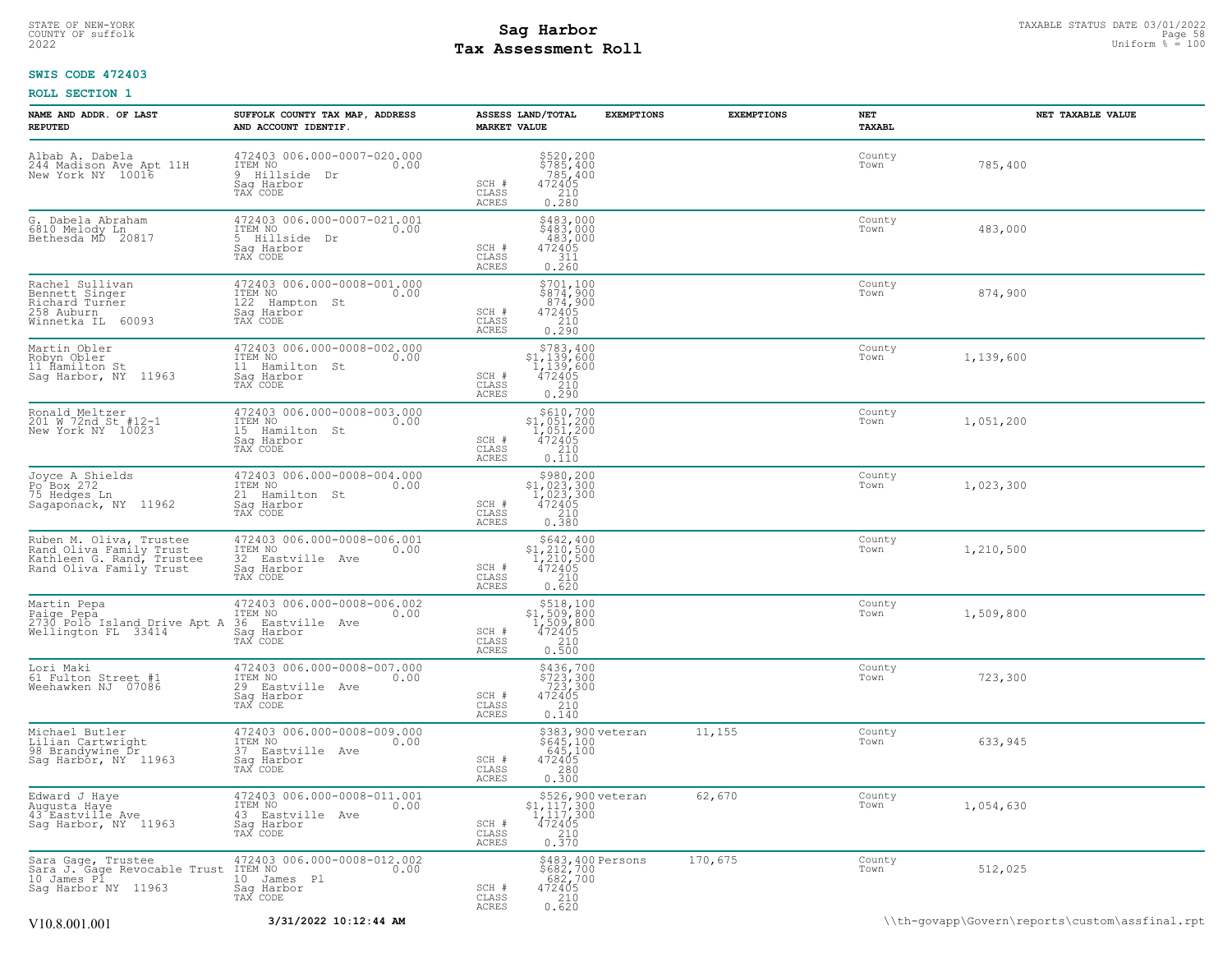# **Tax Assessment Roll Existed Structure Constant Politics** and the Uniform  $\frac{1}{2}$  is the Uniform  $\frac{1}{2}$  is the Uniform  $\frac{1}{2}$  is the Uniform  $\frac{1}{2}$  is the Uniform  $\frac{1}{2}$  is the Uniform  $\frac{1}{2}$  is the Unit

## **SWIS CODE 472403**

| NAME AND ADDR. OF LAST<br><b>REPUTED</b>                                                                   | SUFFOLK COUNTY TAX MAP, ADDRESS<br>AND ACCOUNT IDENTIF.                                         | ASSESS LAND/TOTAL<br><b>MARKET VALUE</b>                                         | <b>EXEMPTIONS</b>                                                                                     | <b>EXEMPTIONS</b> | NET<br>TAXABL  | NET TAXABLE VALUE                              |
|------------------------------------------------------------------------------------------------------------|-------------------------------------------------------------------------------------------------|----------------------------------------------------------------------------------|-------------------------------------------------------------------------------------------------------|-------------------|----------------|------------------------------------------------|
| Albab A. Dabela<br>244 Madison Ave Apt 11H<br>New York NY 10016                                            | 472403 006.000-0007-020.000<br>ITEM NO<br>0.00<br>9 Hillside<br>Dr<br>Sag Harbor<br>TAX CODE    | SCH #<br>CLASS<br>ACRES                                                          | \$520,200<br>\$785,400<br>$7785,400$<br>472405<br>472405<br>0.280                                     |                   | County<br>Town | 785,400                                        |
| G.<br>Dabela Abraham<br>6810 Melody Ln<br>Bethesda MD 2<br>20817                                           | 472403 006.000-0007-021.001<br>ITEM NO<br>0.00<br>5<br>Hillside<br>Dr<br>Sag Harbor<br>TAX CODE | SCH #<br>472405<br>CLASS<br>ACRES                                                | \$483,000<br>\$483,000<br>483,000<br>311<br>0.260                                                     |                   | County<br>Town | 483,000                                        |
| Rachel Sullivan<br>Bennett Singer<br>Richard Turner<br>258 Auburn<br>60093<br>Winnetka IL                  | 472403 006.000-0008-001.000<br>ITEM NO<br>0.00<br>122<br>Hampton St<br>Saq Harbor<br>TAX CODE   | $\begin{array}{r} 472405 \\ 210 \\ 0.290 \end{array}$<br>SCH #<br>CLASS<br>ACRES | \$701,100<br>\$874,900<br>874,900                                                                     |                   | County<br>Town | 874,900                                        |
| Martin Obler<br>Robyn Obler<br>11 Ĥamilton St<br>Sag Harbor, NY 11963                                      | 472403 006.000-0008-002.000<br>ITEM NO<br>0.00<br>11 Hamilton St<br>Saq Harbor<br>TAX CODE      | SCH #<br>CLASS<br>ACRES                                                          | $$783,400$<br>$$1,139,600$<br>$1,139,600$<br>$472405$<br>0.210                                        |                   | County<br>Town | 1,139,600                                      |
| Ronald Meltzer<br>201 W 72nd St #12-1<br>New York NY 10023                                                 | 472403 006.000-0008-003.000<br>TTEM NO 0.00<br>15 Hamilton St<br>Saq Harbor<br>TAX CODE         | SCH #<br>CLASS<br>ACRES                                                          | $\begin{array}{c} $610,700 \\ $1,051,200 \\ $1,051,200 \\ $472405 \end{array}$<br>$\frac{210}{0.110}$ |                   | County<br>Town | 1,051,200                                      |
| Joyce A Shields<br>Po Box 272<br>75 Hedges Ln<br>Sagapoñack, NY 11962                                      | 472403 006.000-0008-004.000<br>ITEM NO<br>0.00<br>21 Hamilton St<br>Sag Harbor<br>TAX CODE      | SCH #<br>CLASS<br>ACRES                                                          | $$3980, 200$<br>$$1, 023, 300$<br>$1, 023, 300$<br>$472405$<br>0.380                                  |                   | County<br>Town | 1,023,300                                      |
| Ruben M. Oliva, Trustee<br>Rand Oliva Family Trust<br>Kathleen G. Rand, Trustee<br>Rand Oliva Family Trust | 472403 006.000-0008-006.001<br>ITEM NO<br>0.00<br>32 Eastville Ave<br>Saq Harbor<br>TAX CODE    | SCH #<br>CLASS<br>ACRES                                                          | $$642, 400$<br>$$1, 210, 500$<br>$1, 210, 500$<br>$472405$<br>210<br>0.620                            |                   | County<br>Town | 1,210,500                                      |
| Martin Pepa<br>Paige Pepa<br>2730 Polo Island Drive Apt A<br>Wellington FL 33414                           | 472403 006.000-0008-006.002<br>ITEM NO<br>0.00<br>36 Eastville Ave<br>Saq Harbor<br>TAX CODE    | SCH #<br>CLASS<br>ACRES                                                          | $\begin{array}{r}  \  \  \, 518,100\\ 31,509,800\\ 1,509,800\\ 472405\\ 210\\ 0.500 \end{array}$      |                   | County<br>Town | 1,509,800                                      |
| Lori Maki<br>61 Fulton Street #1<br>Weehawken NJ 07086                                                     | 472403 006.000-0008-007.000<br>ITEM NO<br>0.00<br>29<br>Eastville Ave<br>Sag Harbor<br>TAX CODE | SCH #<br>CLASS<br>ACRES                                                          | \$436,700<br>\$723,300<br>723,300<br>472405<br>210<br>0.140                                           |                   | County<br>Town | 723,300                                        |
| Michael Butler<br>Lilian Cartwright<br>98 Brandywine Dr<br>Sag Harbor, NY 11963                            | 472403 006.000-0008-009.000<br>ITEM NO<br>0.00<br>37 Eastville Ave<br>Sag Harbor<br>TAX CODE    | SCH #<br>CLASS<br>ACRES                                                          | \$383,900 veteran<br>\$645,100<br>$472405$<br>$472405$<br>$280$<br>0.300                              | 11,155            | County<br>Town | 633,945                                        |
| Edward J Haye<br>Augusta Haye<br>43 Eastville Ave<br>Sag Harbor, NY 11963                                  | 472403 006.000-0008-011.001<br>ITEM NO<br>0.00<br>43 Eastville Ave<br>Saq Harbor<br>TAX CODE    | SCH #<br>CLASS<br>ACRES                                                          | \$526,900 veteran<br>\$1,117,300<br>1,117,300<br>472405<br>$\frac{210}{0.370}$                        | 62,670            | County<br>Town | 1,054,630                                      |
| Sara Gage, Trustee<br>Sara J. Gage Revocable Trust<br>10 James Pl<br>Saq Harbor NY 11963                   | 472403 006.000-0008-012.002<br>ITEM NO<br>0.00<br>10 James Pl<br>Saq Harbor<br>TAX CODE         | SCH #<br>CLASS<br>ACRES                                                          | \$483,400 Persons<br>\$682,700<br>682,700<br>472405<br>472405<br>0.620                                | 170,675           | County<br>Town | 512,025                                        |
| V10.8.001.001                                                                                              | 3/31/2022 10:12:44 AM                                                                           |                                                                                  |                                                                                                       |                   |                | \\th-govapp\Govern\reports\custom\assfinal.rpt |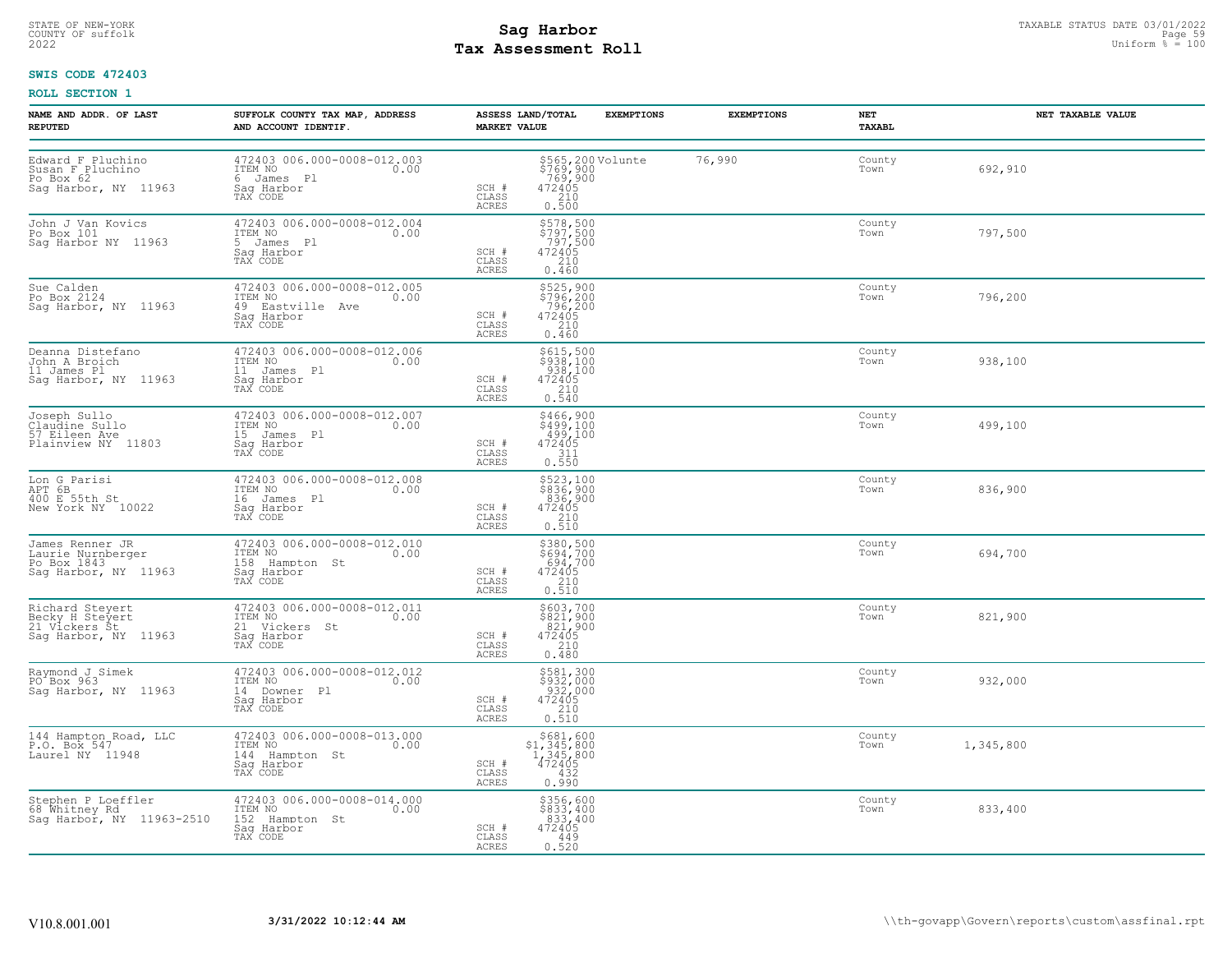# STATE OF NEW-YORK STATUS DATE 03/01/2022<br>
COUNTY OF suffolk Page 59<br>
2022 - Taxable Pay Assessment Roll **Tax Assessment Roll**

## **SWIS CODE 472403**

| NAME AND ADDR. OF LAST<br><b>REPUTED</b>                                    | SUFFOLK COUNTY TAX MAP, ADDRESS<br>AND ACCOUNT IDENTIF.                                         | <b>EXEMPTIONS</b><br>ASSESS LAND/TOTAL<br><b>MARKET VALUE</b>                                                                      | <b>EXEMPTIONS</b> | NET<br>TAXABL  | NET TAXABLE VALUE |
|-----------------------------------------------------------------------------|-------------------------------------------------------------------------------------------------|------------------------------------------------------------------------------------------------------------------------------------|-------------------|----------------|-------------------|
| Edward F Pluchino<br>Susan F Pluchino<br>Po Box 62<br>Sag Harbor, NY 11963  | 472403 006.000-0008-012.003<br>ITEM NO<br>0.00<br>6 James Pl<br>Sag Harbor<br>TAX CODE          | \$565,200 Volunte<br>\$769,900<br>472405<br>472405<br>210<br>SCH #<br>CLASS<br>0.500<br>ACRES                                      | 76,990            | County<br>Town | 692,910           |
| John J Van Kovics<br>Po Box 101<br>Sag Harbor NY 11963                      | 472403 006.000-0008-012.004<br>ITEM NO<br>0.00<br>5 James Pl<br>Saq Harbor<br>TAX CODE          | \$578,500<br>\$797,500<br>797,500<br>SCH #<br>$\frac{472405}{210}$<br>CLASS<br>ACRES<br>0.460                                      |                   | County<br>Town | 797,500           |
| Sue Calden<br>Po Box 2124<br>Sag Harbor, NY 11963                           | 472403 006.000-0008-012.005<br>ITEM NO 0.00<br>49 Eastville Ave<br>Saq Harbor<br>TAX CODE       | \$525,900<br>\$796,200<br>796,200<br>SCH #<br>472405<br>CLASS<br>210<br>ACRES<br>0.460                                             |                   | County<br>Town | 796,200           |
| Deanna Distefano<br>John A Broich<br>11 James Pl<br>Sag Harbor, NY 11963    | 472403 006.000-0008-012.006<br>ITEM NO 0.00<br>11 James Pl<br>Sag Harbor<br>TAX CODE            | \$615,500<br>\$938,100<br>938,100<br>SCH #<br>$\begin{array}{r} 472405 \\ 210 \\ 0.540 \end{array}$<br>CLASS<br>ACRES              |                   | County<br>Town | 938,100           |
| Joseph Sullo<br>Claudine Sullo<br>57 Eileen Ave<br>Plainview NY 11803       | 472403 006.000-0008-012.007<br>ITEM NO 0.00<br>15 James Pl<br>Sag Harbor<br>TAX CODE            | \$466,900<br>$\begin{array}{r} 499,100 \\ 499,100 \\ 472405 \\ 311 \\ 0.550 \end{array}$<br>SCH #<br>CLASS<br>ACRES                |                   | County<br>Town | 499,100           |
| Lon G Parisi<br>APT 6B<br>400 E 55th St<br>New York NY 10022                | 472403 006.000-0008-012.008<br>ITEM NO 0.00<br>1150 No<br>16 James Pl<br>Saq Harbor<br>TAX CODE | $\begin{array}{r} 5523,100 \\ 5836,900 \\ 836,900 \\ 472405 \\ 210 \\ 0.510 \end{array}$<br>SCH #<br>CLASS<br>ACRES                |                   | County<br>Town | 836,900           |
| James Renner JR<br>Laurie Nurnberger<br>Po Box 1843<br>Sag Harbor, NY 11963 | 472403 006.000-0008-012.010<br>ITEM NO 0.00<br>158 Hampton St<br>Sag Harbor<br>TAX CODE         | \$380,500<br>\$694,700<br>694,700<br>SCH #<br>$\begin{array}{r} 472405 \\ 210 \\ 0.510 \end{array}$<br>CLASS<br>ACRES              |                   | County<br>Town | 694,700           |
| Richard Steyert<br>Becky H Steyert<br>21 Vickers St<br>Sag Harbor, NY 11963 | 472403 006.000-0008-012.011<br>ITEM NO 0.00<br>21 Vickers St<br>Sag Harbor<br>TAX CODE          | \$603,700<br>\$821,900<br>821,900<br>SCH #<br>$472405$<br>$210$<br>CLASS<br>ACRES<br>0.480                                         |                   | County<br>Town | 821,900           |
| Raymond J Simek<br>PO Box 963<br>Sag Harbor, NY 11963                       | 472403 006.000-0008-012.012<br>ITEM NO 0.00<br>14 Downer Pl<br>Sag Harbor<br>TAX CODE           | \$581,300<br>\$932,000<br>932,000<br>472405<br>SCH #<br>CLASS<br>$\frac{210}{0.510}$<br><b>ACRES</b>                               |                   | County<br>Town | 932,000           |
| 144 Hampton Road, LLC<br>P.O. Box 547<br>Laurel NY 11948                    | 472403 006.000-0008-013.000<br>ITEM NO 0.00<br>144 Hampton St<br>Saq Harbor<br>TAX CODE         | $\begin{array}{r} 5681, 600 \\ 51, 345, 800 \\ 1, 345, 800 \\ 472405 \\ 432 \\ 96 \end{array}$<br>SCH #<br>CLASS<br>ACRES<br>0.990 |                   | County<br>Town | 1,345,800         |
| Stephen P Loeffler<br>68 Whitney Rd<br>Sag Harbor, NY 11963-2510            | 472403 006.000-0008-014.000<br>ITEM NO 0.00<br>152 Hampton St<br>Saq Harbor<br>TAX CODE         | \$356,600<br>\$833,400<br>.833,400<br>SCH #<br>472405<br>CLASS<br>449<br>ACRES<br>0.520                                            |                   | County<br>Town | 833,400           |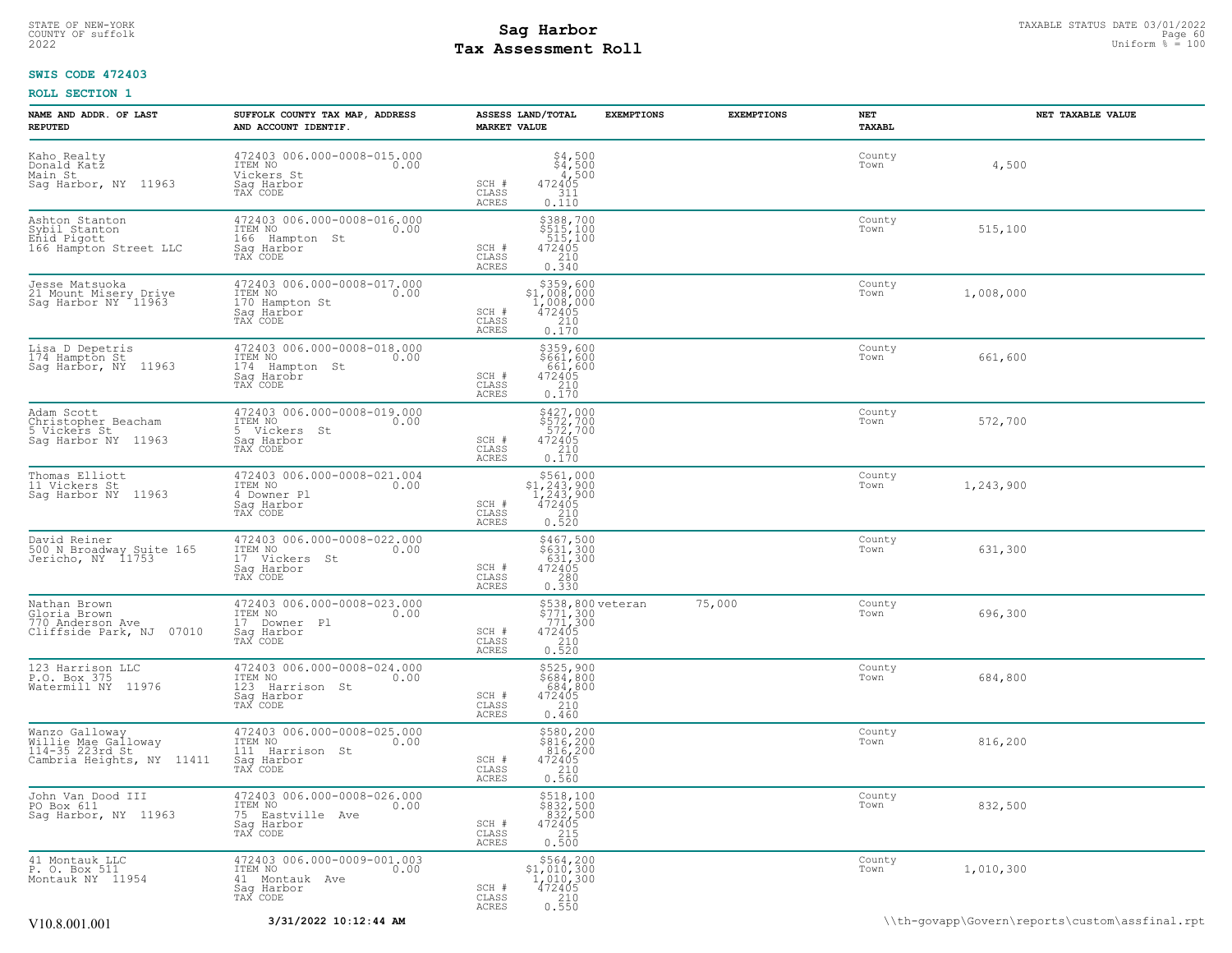## STATE OF NEW-YORK STATUS DATE 03/01/2022<br>
COUNTY OF suffolk Page 60 (DITE) Page 60 (DITE) Page 60 (DITE) Page 60 (DITE) Page 60 (DITE) Page 60 (DITE) P<br>
2022 Mage of State Page 60 (DITE) Page 7 (DITE) Page 7 (DITE) Page 7 **Tax Assessment Roll**

## **SWIS CODE 472403**

| NAME AND ADDR. OF LAST<br><b>REPUTED</b>                                              | SUFFOLK COUNTY TAX MAP, ADDRESS<br>AND ACCOUNT IDENTIF.                                      | ASSESS LAND/TOTAL<br><b>MARKET VALUE</b>                                                                                            | <b>EXEMPTIONS</b>                                   | <b>EXEMPTIONS</b> | NET<br>TAXABL  | NET TAXABLE VALUE |
|---------------------------------------------------------------------------------------|----------------------------------------------------------------------------------------------|-------------------------------------------------------------------------------------------------------------------------------------|-----------------------------------------------------|-------------------|----------------|-------------------|
| Kaho Realty<br>Donald Katz<br>Main St<br>Sag Harbor, NY 11963                         | 472403 006.000-0008-015.000<br>ITEM NO<br>0.00<br>Vickers St<br>Saq Harbor<br>TAX CODE       | $$4,500$<br>$$4,500$<br>$4,500$<br>SCH #<br>472405<br>CLASS<br>311<br>ACRES<br>0.110                                                |                                                     |                   | County<br>Town | 4,500             |
| Ashton Stanton<br>Sybil Stanton<br>Enid Pigott<br>166 Hampton Street LLC              | 472403 006.000-0008-016.000<br>ITEM NO<br>0.00<br>166 Hampton St<br>Sag Harbor<br>TAX CODE   | $$388,700$<br>$$515,100$<br>$$15,100$<br>$472405$<br>$$210$<br>SCH #<br>CLASS<br>0.340<br><b>ACRES</b>                              |                                                     |                   | County<br>Town | 515,100           |
| Jesse Matsuoka<br>21 Mount Misery Drive<br>Sag Harbor NY 11963                        | 472403 006.000-0008-017.000<br>ITEM NO<br>0.00<br>170 Hampton St<br>Sag Harbor<br>TAX CODE   | \$359,600<br>$$1,008,000$<br>1,008,000<br>472405<br>210<br>SCH #<br>CLASS<br>0.170<br>ACRES                                         |                                                     |                   | County<br>Town | 1,008,000         |
| Lisa D Depetris<br>174 Hampton St<br>Sag Harbor, NY 11963                             | 472403 006.000-0008-018.000<br>ITEM NO<br>0.00<br>174 Hampton St<br>Sag Harobr<br>TAX CODE   | \$359,600<br>\$661,600<br>661,600<br>472405<br>210<br>SCH #<br>CLASS<br><b>ACRES</b><br>0.170                                       |                                                     |                   | County<br>Town | 661,600           |
| Adam Scott<br>Christopher Beacham<br>5 Vickers St<br>Sag Harbor NY 11963              | 472403 006.000-0008-019.000<br>ITEM NO<br>0.00<br>5 Vickers St<br>Saq Harbor<br>TAX CODE     | $5427,000$<br>$5572,700$<br>$572,700$<br>$472405$<br>$210$<br>SCH #<br>CLASS<br><b>ACRES</b><br>0.170                               |                                                     |                   | County<br>Town | 572,700           |
| Thomas Elliott<br>11 Vickers St<br>Saq Harbor NY 11963                                | 472403 006.000-0008-021.004<br>ITEM NO<br>0.00<br>4 Downer Pl<br>Sag Harbor<br>TAX CODE      | $\begin{array}{r}  \  \  \, 5561,000\\ 31,243,900\\ 1,243,900\\ 472405\\ 210\\ 0.520 \end{array}$<br>SCH #<br>CLASS<br><b>ACRES</b> |                                                     |                   | County<br>Town | 1,243,900         |
| David Reiner<br>500 N Broadway Suite 165<br>Jericho, NY 11753                         | 472403 006.000-0008-022.000<br>ITEM NO<br>0.00<br>17 Vickers<br>St<br>Sag Harbor<br>TAX CODE | \$467,500<br>\$631,300<br>631,300<br>472405<br>SCH #<br>$\begin{array}{c} 280 \\ 0.330 \end{array}$<br>CLASS<br>ACRES               |                                                     |                   | County<br>Town | 631,300           |
| Nathan Brown<br>Gloria Brown<br>770 Anderson Ave<br>Cliffside Park, NJ 07010          | 472403 006.000-0008-023.000<br>ITEM NO<br>0.00<br>17 Downer Pl<br>Saq Harbor<br>TAX CODE     | SCH #<br>CLASS<br>$\begin{array}{c} 210 \\ 0.520 \end{array}$<br>ACRES                                                              | \$538,800 veteran<br>\$771,300<br>771,300<br>472405 | 75,000            | County<br>Town | 696,300           |
| 123 Harrison LLC<br>P.O. Box 375<br>Watermill NY<br>11976                             | 472403 006.000-0008-024.000<br>ITEM NO<br>0.00<br>123 Harrison St<br>Sag Harbor<br>TAX CODE  | \$525,900<br>\$684,800<br>684,800<br>SCH #<br>472405<br>210<br>CLASS<br>0.460<br><b>ACRES</b>                                       |                                                     |                   | County<br>Town | 684,800           |
| Wanzo Galloway<br>Willie Mae Galloway<br>114-35 223rd St<br>Cambria Heights, NY 11411 | 472403 006.000-0008-025.000<br>ITEM NO<br>0.00<br>111 Harrison St<br>Sag Harbor<br>TAX CODE  | $$580, 200$<br>$$816, 200$<br>$816, 200$<br>SCH #<br>472405<br>210<br>CLASS<br>ACRES<br>0.560                                       |                                                     |                   | County<br>Town | 816,200           |
| John Van Dood III<br>PO Box 611<br>Saq Harbor, NY 11963                               | 472403 006.000-0008-026.000<br>ITEM NO<br>0.00<br>75 Eastville Ave<br>Sag Harbor<br>TAX CODE | \$518,100<br>\$832,500<br>832,500<br>472405<br>215<br>SCH #<br>CLASS<br><b>ACRES</b><br>0.500                                       |                                                     |                   | County<br>Town | 832,500           |
| 41 Montauk LLC<br>P. O. Box 511<br>Montauk NY 11954                                   | 472403 006.000-0009-001.003<br>ITEM NO<br>0.00<br>41 Montauk Ave<br>Saq Harbor<br>TAX CODE   | \$564,200<br>$$1,010,300$<br>1,010,300<br>472405<br>210<br>SCH #<br>CLASS<br><b>ACRES</b><br>0.550                                  |                                                     |                   | County<br>Town | 1,010,300         |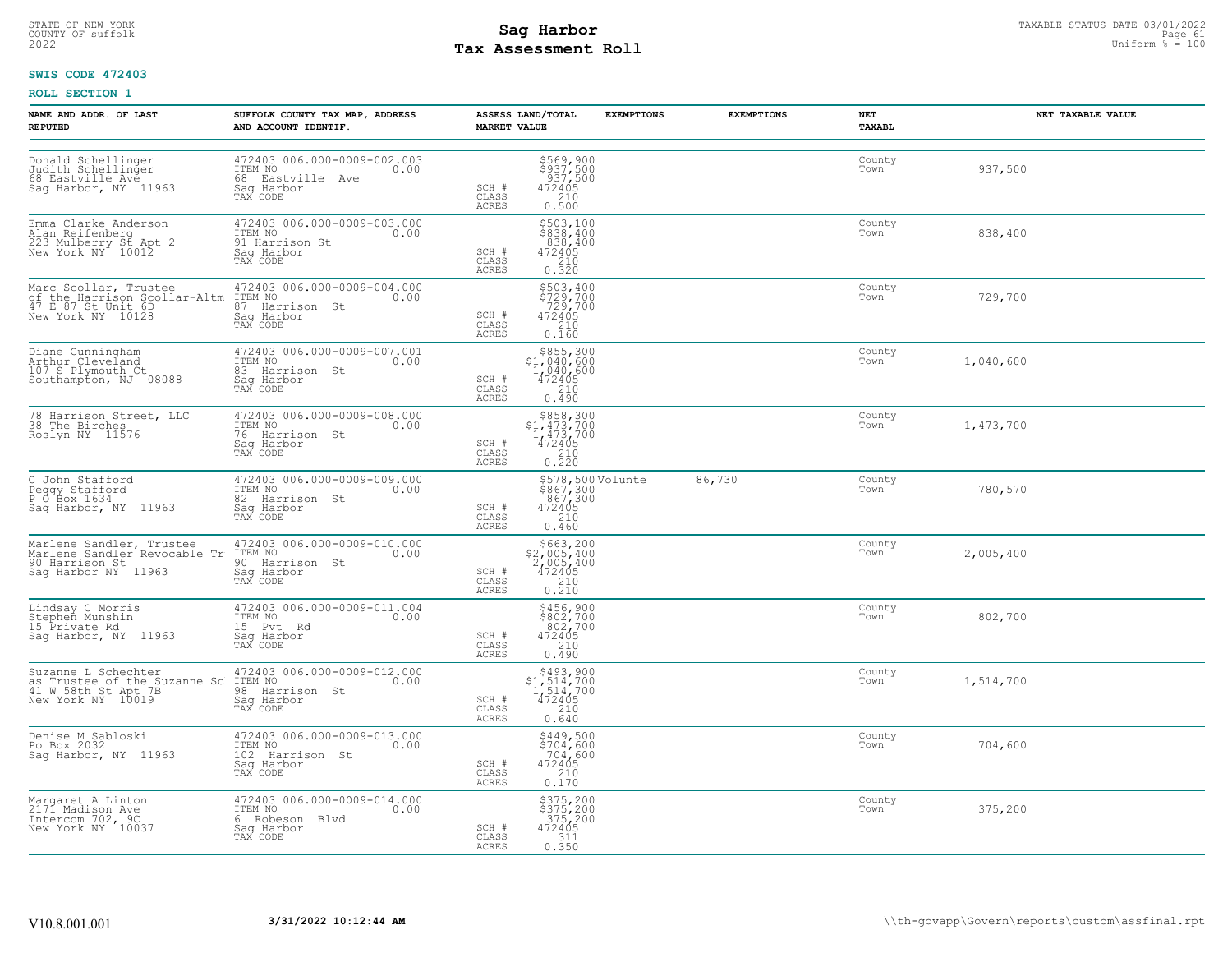# STATE OF NEW-YORK STATUS DATE 03/01/2022<br>
COUNTY OF suffolk Page 61 Degree of the suffolk Page 61 Degree of the suffolk Page 61 Degree of the sufform  $\frac{Paqe}{4} = 100$ **Tax Assessment Roll**

## **SWIS CODE 472403**

| NAME AND ADDR. OF LAST<br><b>REPUTED</b>                                              | SUFFOLK COUNTY TAX MAP, ADDRESS<br>AND ACCOUNT IDENTIF.                                                                                                                                                                       | <b>MARKET VALUE</b>            | ASSESS LAND/TOTAL                                                                                                                        | <b>EXEMPTIONS</b> | <b>EXEMPTIONS</b> | NET<br>TAXABL  | NET TAXABLE VALUE |
|---------------------------------------------------------------------------------------|-------------------------------------------------------------------------------------------------------------------------------------------------------------------------------------------------------------------------------|--------------------------------|------------------------------------------------------------------------------------------------------------------------------------------|-------------------|-------------------|----------------|-------------------|
| Donald Schellinger<br>Judith Schellinger<br>68 Eastville Ave<br>Sag Harbor, NY 11963  | 472403 006.000-0009-002.003<br>ITEM NO 0.00<br>68 Eastville Ave<br>Sag Harbor<br>TAX CODE                                                                                                                                     | SCH #<br>CLASS<br>ACRES        | \$569,900<br>\$937,500<br>937,500<br>472405<br>210<br>0.500                                                                              |                   |                   | County<br>Town | 937,500           |
| Emma Clarke Anderson<br>Alan Reifenberg<br>223 Mulberry St Apt 2<br>New York NY 10012 | 472403 006.000-0009-003.000<br>TTEM NO<br>TTEM NO<br>91 Harrison St<br>Saq Harbor<br>TAX CODE<br>0.00                                                                                                                         | SCH #<br>CLASS<br>ACRES        | \$503,100<br>\$838,400<br>838,400<br>472405<br>$\begin{array}{c} 210 \\ 0.320 \end{array}$                                               |                   |                   | County<br>Town | 838,400           |
|                                                                                       | Of the Harrison Scollar-Altm ITEM NO<br>Of the Harrison Scollar-Altm ITEM NO<br>47 E 87 St Unit 6D<br>New York NY 10128 Sag Harbor<br>Sag Harbor<br>Sag Harbor<br>TAX CODE                                                    | SCH #<br>CLASS<br>ACRES        | \$503,400<br>\$729,700<br>729,700<br>472405<br>210<br>0.160                                                                              |                   |                   | County<br>Town | 729,700           |
| Diane Cunningham<br>Arthur Cleveland<br>107 S Plymouth Ct<br>Southampton, NJ 08088    | 472403 006.000-0009-007.001<br>ITEM NO 0.00<br>83 Harrison St<br>Sag Harbor<br>TAX CODE                                                                                                                                       | SCH #<br>CLASS<br>ACRES        | \$855,300<br>\$1,040,600<br>$\frac{1}{4}$ ,040,600<br>472405<br>210<br>0.490                                                             |                   |                   | County<br>Town | 1,040,600         |
| 78 Harrison Street, LLC<br>38 The Birches<br>Roslyn NY 11576                          | 472403 006.000-0009-008.000<br>ITEM NO 0.00<br>76 Harrison St<br>Sag Harbor<br>TAX CODE                                                                                                                                       | SCH #<br>CLASS<br>ACRES        | $$858,300$<br>$$1,473,700$<br>$1,473,700$<br>$472405$<br>$\begin{array}{c} 210 \\ 0.220 \end{array}$                                     |                   |                   | County<br>Town | 1,473,700         |
| C John Stafford<br>Peggy Stafford<br>P O Box 1634<br>Sag Harbor, NY 11963             | 472403 006.000-0009-009.000<br>0.00 00:00<br>82 Harrison St<br>Sag Harbor<br>TAX CODE                                                                                                                                         | SCH #<br>CLASS<br>ACRES        | \$578,500 Volunte<br>\$867,300<br>867,300<br>472405<br>460<br>0.460                                                                      |                   | 86,730            | County<br>Town | 780,570           |
| 90 Harrison St<br>Sag Harbor NY 11963                                                 | Marlene Sandler, Trustee 472403 006.000-0009-010.000<br>Marlene Sandler Revocable Tr ITEM NO .00<br>90 Harrison St<br>Saq Harbor<br>TAX CODE                                                                                  | SCH #<br>CLASS<br>ACRES        | $\begin{array}{r}  \  \  \, 5663,200 \\  \  \, 2,005,400 \\  \  \, 2,005,400 \\  \  \, 472405 \\  \  \, 210 \\  \  \, 0.210 \end{array}$ |                   |                   | County<br>Town | 2,005,400         |
|                                                                                       | Lindsay C Morris<br>Stephen Munshin<br>Stephen Munshin<br>15 Private Rd<br>15 Private Rd<br>15 Pvt Rd<br>Sag Harbor, NY 11963<br>TAX CODE<br>Sag Harbor<br>TAX CODE                                                           | SCH #<br>CLASS<br>ACRES        | $\begin{array}{r} 5456,900 \\ 5802,700 \\ 802,700 \\ 472405 \\ 210 \\ 2.10 \end{array}$<br>0.490                                         |                   |                   | County<br>Town | 802,700           |
|                                                                                       | 472403 006.000-0009-012.000<br>Suzanne L Schechter $472403 006.000-0009-012.000$<br>as Trustee of the Suzanne Sc ITEM NO 41 W 58th St Apt 7B<br>41 W 58th St Apt 7B<br>New York NY 10019 Sag Harbor<br>Sag Harbor<br>TAX CODE | SCH #<br>CLASS<br><b>ACRES</b> | $$493,900$<br>$$1,514,700$<br>$1,514,700$<br>$472405$<br>210<br>0.640                                                                    |                   |                   | County<br>Town | 1,514,700         |
| Denise M Sabloski<br>Po Box 2032<br>Sag Harbor, NY 11963                              | 472403 006.000-0009-013.000<br>ITEM NO 0.00<br>102 Harrison St<br>Saq Harbor<br>TAX CODE                                                                                                                                      | SCH #<br>CLASS<br>ACRES        | \$449,500<br>\$704,600<br>704,600<br>$\begin{array}{r} 472405 \\ 210 \\ 0.170 \end{array}$                                               |                   |                   | County<br>Town | 704,600           |
| Margaret A Linton<br>2171 Madison Ave<br>Intercom 702, 9C<br>New York NY 10037        | 472403 006.000-0009-014.000<br>ITEM NO 0.00<br>6 Robeson Blvd<br>Saq Harbor<br>TAX CODE                                                                                                                                       | SCH #<br>CLASS<br>ACRES        | \$375,200<br>\$375,200<br>375,200<br>472405<br>311<br>0.350                                                                              |                   |                   | County<br>Town | 375,200           |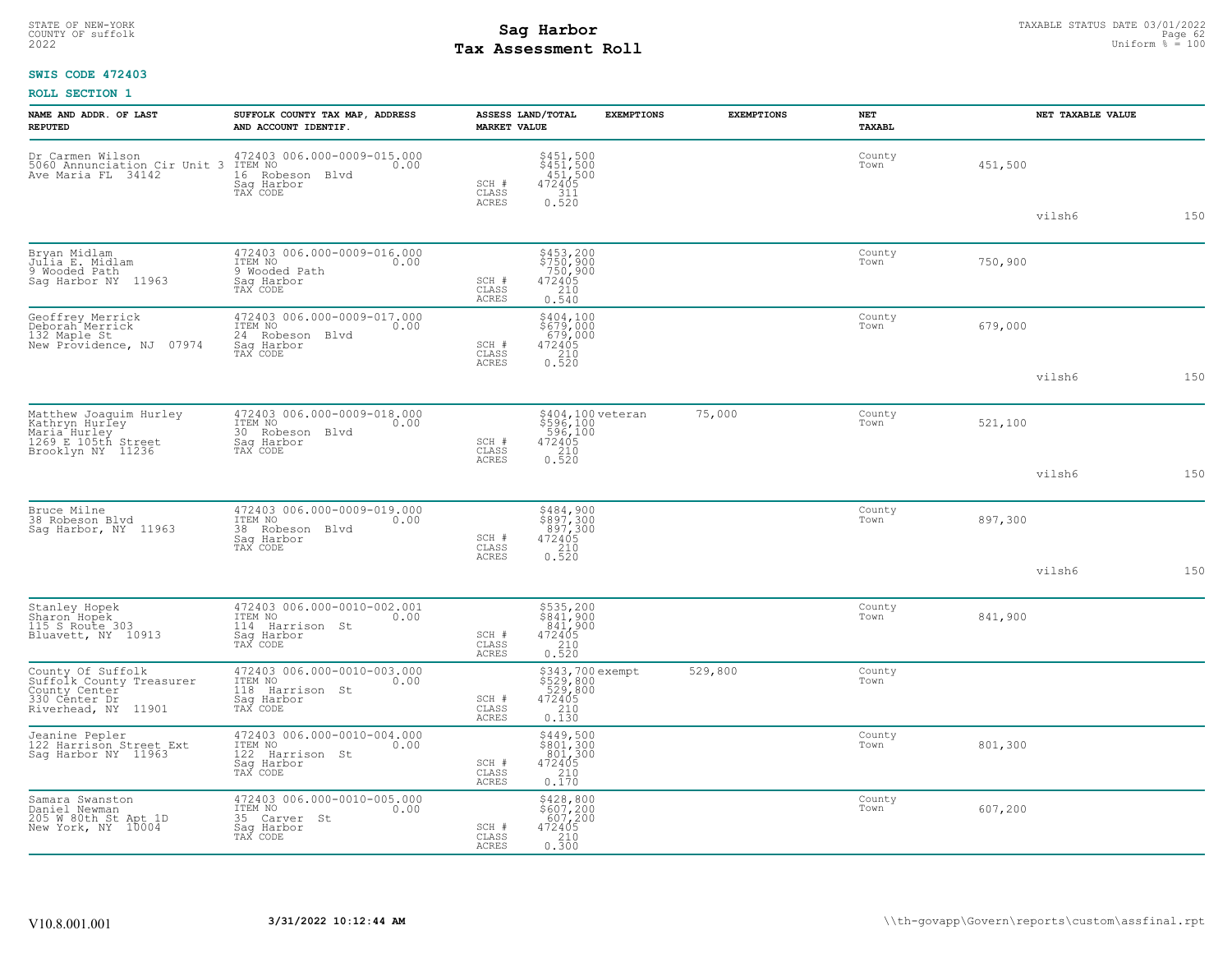# STATE OF NEW-YORK STATUS DATE 03/01/2022<br>
COUNTY OF suffolk Page 62 (DITE) Page 62 (DITE) Page 62 (DITE) Page 62 (DITE) Page 62 (DITE) Page 62 (DITE) Page 62<br>
2022 - Uniform % = 100 **Tax Assessment Roll**

## **SWIS CODE 472403**

| NAME AND ADDR. OF LAST<br><b>REPUTED</b>                                                                                           | SUFFOLK COUNTY TAX MAP, ADDRESS<br>AND ACCOUNT IDENTIF.                                     | <b>MARKET VALUE</b>            | ASSESS LAND/TOTAL<br><b>EXEMPTIONS</b>                                                              | <b>EXEMPTIONS</b> | NET<br><b>TAXABL</b> | NET TAXABLE VALUE |     |
|------------------------------------------------------------------------------------------------------------------------------------|---------------------------------------------------------------------------------------------|--------------------------------|-----------------------------------------------------------------------------------------------------|-------------------|----------------------|-------------------|-----|
| Dr Carmen Wilson (172403 006.000-0009-015.000<br>5060 Annunciation Cir Unit 3 ITEM NO (0.00<br>Ave Maria FL 34142 (16 Robeson Blvd | Saq Harbor<br>TAX CODE                                                                      | SCH #<br>CLASS<br>ACRES        | \$451,500<br>\$451,500<br>451,500<br>472405<br>311<br>0.520                                         |                   | County<br>Town       | 451,500           |     |
|                                                                                                                                    |                                                                                             |                                |                                                                                                     |                   |                      | vilsh6            | 150 |
| Bryan Midlam<br>Julia E. Midlam<br>9 Wooded Path<br>Sag Harbor NY 11963                                                            | 472403 006.000-0009-016.000<br>ITEM NO<br>0.00<br>9 Wooded Path<br>Sag Harbor<br>TAX CODE   | SCH #<br>CLASS<br><b>ACRES</b> | \$453,200<br>\$750,900<br>750,900<br>$\begin{array}{r} 472405 \\ 210 \\ 0.540 \end{array}$          |                   | County<br>Town       | 750,900           |     |
| Geoffrey Merrick<br>Deborah Merrick<br>132 Maple St<br>New Providence, NJ 07974                                                    | 472403 006.000-0009-017.000<br>ITEM NO<br>0.00<br>24 Robeson Blvd<br>Sag Harbor<br>TAX CODE | SCH #<br>CLASS<br>ACRES        | \$404,100<br>\$679,000<br>679,000<br>$\begin{array}{r} 472405 \\ 210 \\ 0.520 \end{array}$          |                   | County<br>Town       | 679,000           |     |
|                                                                                                                                    |                                                                                             |                                |                                                                                                     |                   |                      | vilsh6            | 150 |
| Matthew Joaquim Hurley<br>Kathryn Hurley<br>Maria Hurley<br>1269 E 105th Street<br>Brooklyn NY 11236                               | 472403 006.000-0009-018.000<br>ITEM NO<br>0.00<br>30 Robeson Blvd<br>Sag Harbor<br>TAX CODE | SCH #<br>CLASS                 | \$404,100 veteran<br>\$596,100<br>.596,100<br>$\begin{array}{r} 472405 \\ 210 \\ 0.520 \end{array}$ | 75,000            | County<br>Town       | 521,100           |     |
|                                                                                                                                    |                                                                                             | ACRES                          |                                                                                                     |                   |                      | vilsh6            | 150 |
| Bruce Milne<br>38 Robeson Blvd<br>Saq Harbor, NY 11963                                                                             | 472403 006.000-0009-019.000<br>ITEM NO<br>0.00<br>38 Robeson Blvd<br>Sag Harbor<br>TAX CODE | SCH #<br>CLASS                 | \$484,900<br>\$897,300<br>897,300<br>472405<br>210<br>0.520                                         |                   | County<br>Town       | 897,300           |     |
|                                                                                                                                    |                                                                                             | ACRES                          |                                                                                                     |                   |                      | vilsh6            | 150 |
| Stanley Hopek<br>Sharon Hopek<br>115 S Route 303<br>Bluavett, NY 10913                                                             | 472403 006.000-0010-002.001<br>ITEM NO<br>0.00<br>114 Harrison St<br>Saq Harbor<br>TAX CODE | SCH #<br>CLASS<br>ACRES        | \$535,200<br>\$841,900<br>841,900<br>472405<br>$\begin{array}{c} 210 \\ 0.520 \end{array}$          |                   | County<br>Town       | 841,900           |     |
| County Of Suffolk<br>Suffolk_County Treasurer<br>County Center<br>330 Center Dr<br>Riverhead, NY 11901                             | 472403 006.000-0010-003.000<br>ITEM NO<br>0.00<br>118 Harrison St<br>Sag Harbor<br>TAX CODE | SCH #<br>CLASS<br>ACRES        | \$343,700 exempt<br>\$529,800<br>529,800<br>472405<br>472405<br>0.130                               | 529,800           | County<br>Town       |                   |     |
| Jeanine Pepler<br>122 Harrison Street Ext<br>Sag Harbor NY 11963                                                                   | 472403 006.000-0010-004.000<br>ITEM NO<br>0.00<br>122 Harrison St<br>Saq Harbor<br>TAX CODE | SCH #<br>CLASS<br>ACRES        | \$449,500<br>\$801,300<br>801,300<br>$\begin{array}{r} 472405 \\ 210 \\ 0.170 \end{array}$          |                   | County<br>Town       | 801,300           |     |
| Samara Swanston<br>Daniel Newman<br>205 W 80th St Apt 1D<br>New York, NY 10004                                                     | 472403 006.000-0010-005.000<br>ITEM NO<br>0.00<br>35 Carver St<br>Saq Harbor<br>TAX CODE    | SCH #<br>CLASS<br>ACRES        | $\begin{array}{c} 5428,800 \\ 5607,200 \\ 607,200 \\ 472405 \\ 210 \\ 0.300 \end{array}$            |                   | County<br>Town       | 607,200           |     |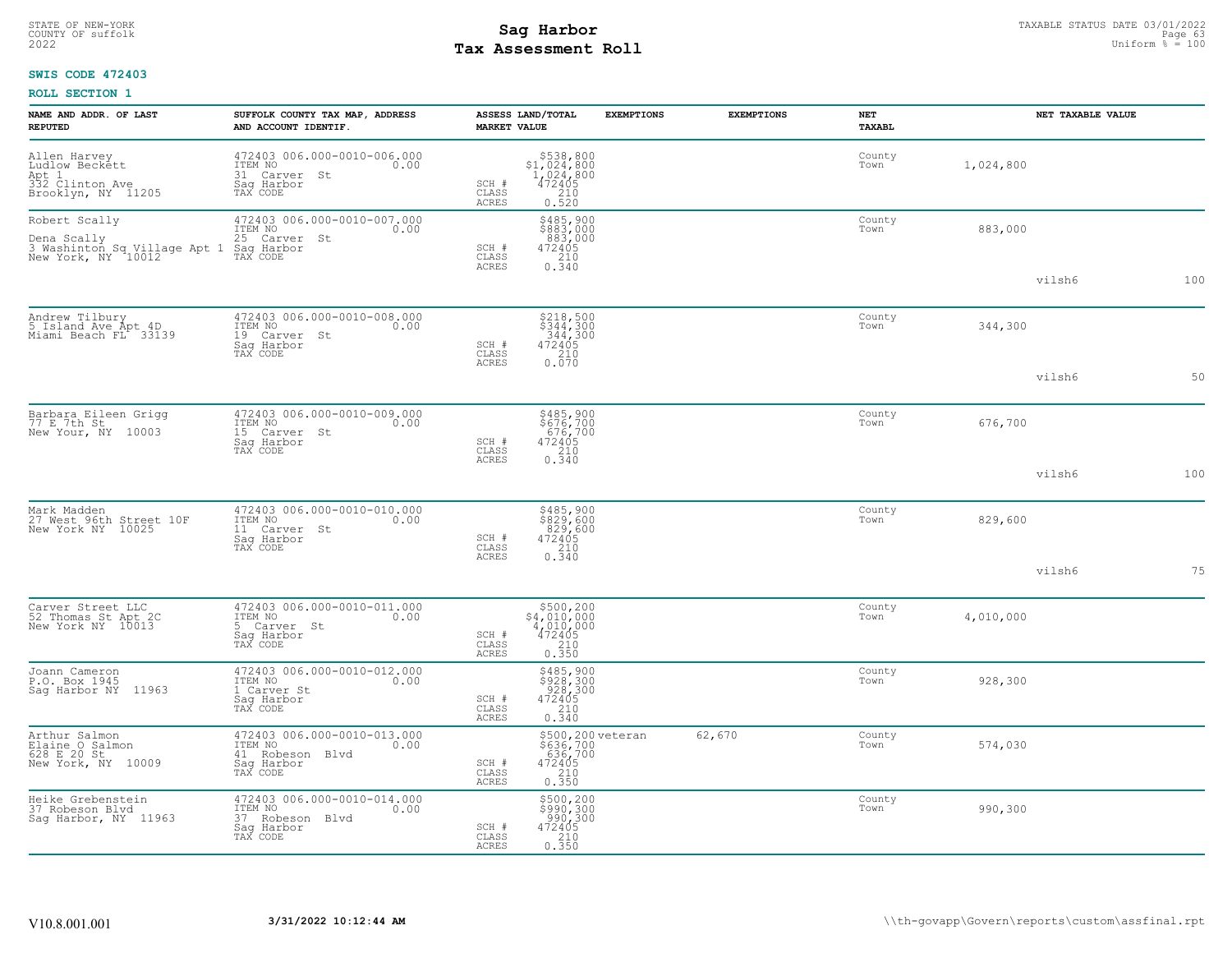# STATE OF NEW-YORK STATUS DATE 03/01/2022<br>
COUNTY OF suffolk Page 63/01/2022<br>
2022 Pay Assessment Roll **Tax Assessment Roll**

## **SWIS CODE 472403**

| NAME AND ADDR. OF LAST<br><b>REPUTED</b>                                           | SUFFOLK COUNTY TAX MAP, ADDRESS<br>AND ACCOUNT IDENTIF.                                     | ASSESS LAND/TOTAL<br><b>MARKET VALUE</b>  |                                                                                                                               | <b>EXEMPTIONS</b> | <b>EXEMPTIONS</b> | NET<br><b>TAXABL</b> |           | NET TAXABLE VALUE |     |
|------------------------------------------------------------------------------------|---------------------------------------------------------------------------------------------|-------------------------------------------|-------------------------------------------------------------------------------------------------------------------------------|-------------------|-------------------|----------------------|-----------|-------------------|-----|
| Allen Harvey<br>Ludlow Beckett<br>Apt 1<br>332 Clinton Ave<br>Brooklyn, NY 11205   | 472403 006.000-0010-006.000<br>TTEM NO 0.00<br>31 Carver St<br>Sag Harbor<br>TAX CODE       | SCH #<br>CLASS<br>ACRES                   | $$5.538,800\n$1,024,800\n1,024,800\n472405\n2.10$<br>0.520                                                                    |                   |                   | County<br>Town       | 1,024,800 |                   |     |
| Robert Scally<br>Dena Scally<br>3 Washinton Sq Village Apt 1<br>New York, NY 10012 | 472403 006.000-0010-007.000<br>ITEM NO<br>0.00<br>25 Carver St<br>Saq Harbor<br>TAX CODE    | SCH #<br>CLASS<br>ACRES                   | \$485,900<br>\$883,000<br>883,000<br>472405<br>0.340                                                                          |                   |                   | County<br>Town       | 883,000   |                   |     |
|                                                                                    |                                                                                             |                                           |                                                                                                                               |                   |                   |                      |           | vilsh6            | 100 |
| Andrew Tilbury<br>5 Island Ave Apt 4D<br>Miami Beach FL 33139                      | 472403 006.000-0010-008.000<br>ITEM NO<br>0.00<br>19 Carver St<br>Sag Harbor<br>TAX CODE    | SCH #<br>CLASS                            | $\begin{array}{r} 5218,500 \\ 5344,300 \\ 344,300 \\ 472405 \\ 210 \\ 0.070 \end{array}$                                      |                   |                   | County<br>Town       | 344,300   |                   |     |
|                                                                                    |                                                                                             | ACRES                                     |                                                                                                                               |                   |                   |                      |           | vilsh6            | 50  |
| Barbara Eileen Grigg<br>77 E 7th St<br>New Your, NY 10003                          | 472403 006.000-0010-009.000<br>ITEM NO<br>0.00<br>15 Carver St<br>Sag Harbor<br>TAX CODE    | SCH #<br>CLASS                            | \$485,900<br>\$676,700<br>676,700<br>472405<br>210<br>0.340                                                                   |                   |                   | County<br>Town       | 676,700   |                   |     |
|                                                                                    |                                                                                             | ${\tt ACKES}$                             |                                                                                                                               |                   |                   |                      |           | vilsh6            | 100 |
| Mark Madden<br>27 West 96th Street 10F<br>New York NY 10025                        | 472403 006.000-0010-010.000<br>ITEM NO<br>0.00<br>11 Carver St<br>Saq Harbor<br>TAX CODE    | SCH #<br>CLASS                            | \$485,900<br>\$829,600<br>829,600<br>472405<br>0.340                                                                          |                   |                   | County<br>Town       | 829,600   |                   |     |
|                                                                                    |                                                                                             | ACRES                                     |                                                                                                                               |                   |                   |                      |           | vilsh6            | 75  |
| Carver Street LLC<br>52 Thomas St Apt 2C<br>New York NY 10013                      | 472403 006.000-0010-011.000<br>ITEM NO<br>0.00<br>5 Carver St<br>Sag Harbor<br>TAX CODE     | SCH #<br>CLASS<br><b>ACRES</b>            | $\begin{array}{r} \texttt{\$500,200}\ \texttt{\$4,010,000}\ \texttt{4,010,000}\ \texttt{472405}\ \texttt{0.350}\ \end{array}$ |                   |                   | County<br>Town       | 4,010,000 |                   |     |
| Joann Cameron<br>P.O. Box 1945<br>Sag Harbor NY 11963                              | 472403 006.000-0010-012.000<br>ITEM NO<br>0.00<br>1 Carver St<br>Saq Harbor<br>TAX CODE     | SCH #<br>$\mathtt{CLASS}$<br><b>ACRES</b> | \$485,900<br>\$928,300<br>928,300<br>472405<br>$\begin{array}{c} 210 \\ 0.340 \end{array}$                                    |                   |                   | County<br>Town       | 928,300   |                   |     |
| Arthur Salmon<br>Elaine O Salmon<br>628 E 20 St<br>New York, NY 10009              | 472403 006.000-0010-013.000<br>ITEM NO<br>0.00<br>41 Robeson Blvd<br>Saq Harbor<br>TAX CODE | SCH #<br>CLASS<br>ACRES                   | \$500,200 veteran<br>\$636,700<br>.636,700<br>472405<br>$\frac{210}{0.350}$                                                   |                   | 62,670            | County<br>Town       | 574,030   |                   |     |
| Heike Grebenstein<br>37 Robeson Blvd<br>Sag Harbor, NY 11963                       | 472403 006.000-0010-014.000<br>ITEM NO<br>0.00<br>37 Robeson Blvd<br>Saq Harbor<br>TAX CODE | SCH #<br>CLASS<br>ACRES                   | \$500,200<br>\$990,300<br>990,300<br>$\frac{472405}{210}$<br>0.350                                                            |                   |                   | County<br>Town       | 990,300   |                   |     |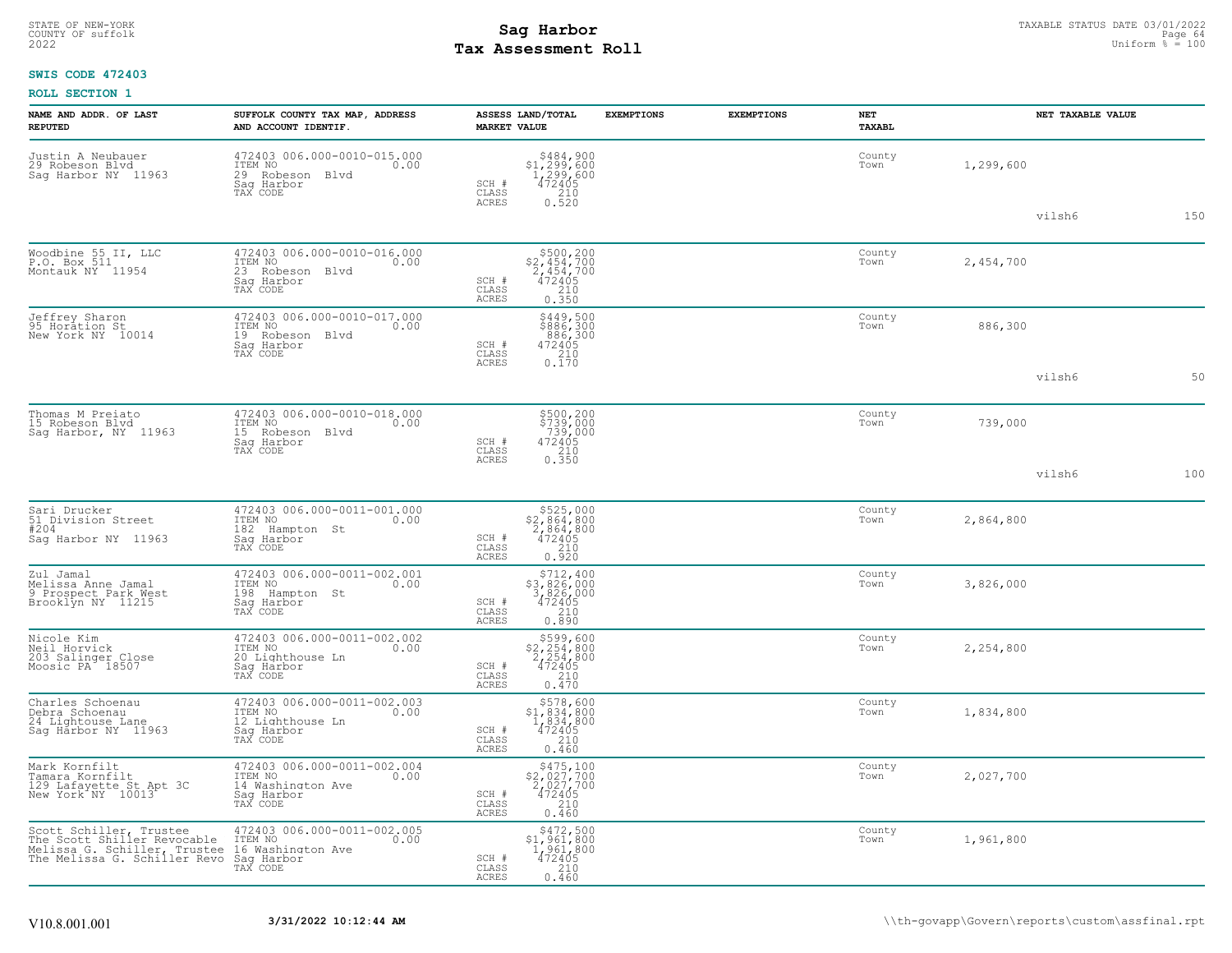# STATE OF NEW-YORK STATUS DATE 03/01/2022<br>
COUNTY OF suffolk Page 64 64 and the suffolk Page 64 and the suffolk Page 64 and the Page 64 mage 64 and the country of sufform  $\frac{p_{\text{sq}}}{4}$  = 100<br>
2022 Mage of the sufform  $\frac{$ **Tax Assessment Roll**

## **SWIS CODE 472403**

| NAME AND ADDR. OF LAST<br><b>REPUTED</b>                                                                                                                                       | SUFFOLK COUNTY TAX MAP, ADDRESS<br>AND ACCOUNT IDENTIF.                                       | ASSESS LAND/TOTAL<br><b>MARKET VALUE</b>                                                                                                                        | <b>EXEMPTIONS</b> | <b>EXEMPTIONS</b> | NET<br>TAXABL  | NET TAXABLE VALUE |     |
|--------------------------------------------------------------------------------------------------------------------------------------------------------------------------------|-----------------------------------------------------------------------------------------------|-----------------------------------------------------------------------------------------------------------------------------------------------------------------|-------------------|-------------------|----------------|-------------------|-----|
| Justin A Neubauer<br>29 Robeson Blvd<br>Sag Harbor NY 11963                                                                                                                    | 472403 006.000-0010-015.000<br>ITEM NO 0.00<br>29 Robeson Blvd<br>Saq Harbor<br>TAX CODE      | $\begin{array}{r} 5484, 900 \\ 51, 299, 600 \\ 1, 299, 600 \\ 472405 \\ 210 \\ 0.520 \end{array}$<br>SCH #<br>CLASS                                             |                   |                   | County<br>Town | 1,299,600         |     |
|                                                                                                                                                                                |                                                                                               | ACRES                                                                                                                                                           |                   |                   |                | vilsh6            | 150 |
| Woodbine 55 II, LLC<br>P.O. Box 511<br>Montauk NY 11954                                                                                                                        | 472403 006.000-0010-016.000<br>ITEM NO 0.00<br>23 Robeson Blvd<br>Saq Harbor<br>TAX CODE      | $\begin{array}{r} 5500, 200 \\ 2, 454, 700 \\ 2, 454, 700 \\ 472405 \\ 210 \\ 0.350 \end{array}$<br>SCH #<br>CLASS<br>ACRES                                     |                   |                   | County<br>Town | 2,454,700         |     |
| Jeffrey Sharon<br>95 Horation St<br>New York NY 10014                                                                                                                          | 472403 006.000-0010-017.000<br>ITEM NO<br>0.00<br>19 Robeson Blvd<br>Saq Harbor<br>TAX CODE   | $$449,500$<br>$$886,300$<br>$886,300$<br>$472405$<br>$210$<br>SCH #<br>CLASS<br>0.170<br>ACRES                                                                  |                   |                   | County<br>Town | 886,300           |     |
|                                                                                                                                                                                |                                                                                               |                                                                                                                                                                 |                   |                   |                | vilsh6            | 50  |
| Thomas M Preiato<br>15 Robeson Blvd<br>Sag Harbor, NY 11963                                                                                                                    | 472403 006.000-0010-018.000<br>ITEM NO<br>0.00<br>15 Robeson Blvd<br>Sag Harbor<br>TAX CODE   | \$500,200<br>\$739,000<br>739,000<br>472405<br>210<br>0.350<br>SCH #<br>CLASS<br><b>ACRES</b>                                                                   |                   |                   | County<br>Town | 739,000           |     |
|                                                                                                                                                                                |                                                                                               |                                                                                                                                                                 |                   |                   |                | vilsh6            | 100 |
| Sari Drucker<br>51 Division Street<br>#204<br>Sag Harbor NY 11963                                                                                                              | 472403 006.000-0011-001.000<br>ITEM NO<br>0.00<br>182 Hampton St<br>Sag Harbor<br>TAX CODE    | $\begin{array}{r} 5525,000 \\ 52,864,800 \\ 2,864,800 \\ 472405 \\ 210 \\ 0.920 \end{array}$<br>SCH #<br>CLASS<br>ACRES                                         |                   |                   | County<br>Town | 2,864,800         |     |
| Zul Jamal<br>Melissa Anne Jamal<br>9 Prospect Park West<br>Brooklyn NY 11215                                                                                                   | 472403 006.000-0011-002.001<br>ITEM NO<br>0.00<br>198 Hampton St<br>Sag Harbor<br>TAX CODE    | $$712, 400$<br>$$3, 826, 000$<br>$3, 826, 000$<br>$472405$<br>$$210$<br>SCH #<br>CLASS<br>0.890<br><b>ACRES</b>                                                 |                   |                   | County<br>Town | 3,826,000         |     |
| Nicole Kim<br>Neil Horvick<br>203 Salinger Close<br>Moosic PA 18507                                                                                                            | 472403 006.000-0011-002.002<br>ITEM NO<br>0.00<br>20 Lighthouse Ln<br>Saq Harbor<br>TAX CODE  | $\begin{array}{r} 5599, 600 \\ 2, 254, 800 \\ 2, 254, 800 \\ 472405 \\ 210 \\ 0.470 \end{array}$<br>SCH #<br>CLASS<br><b>ACRES</b>                              |                   |                   | County<br>Town | 2,254,800         |     |
| Charles Schoenau<br>Debra Schoenau<br>24 Lightouse Lane<br>Sag Harbor NY 11963                                                                                                 | 472403 006.000-0011-002.003<br>ITEM NO 0.00<br>12 Lighthouse Ln<br>Saq Harbor<br>TAX CODE     | $\begin{smallmatrix} & $578,600\\ $1,834,800\\ $1,834,800\\ $472405\end{smallmatrix}$<br>SCH #<br>CLASS<br>$\begin{array}{c} 210 \\ 0.460 \end{array}$<br>ACRES |                   |                   | County<br>Town | 1,834,800         |     |
| Mark Kornfilt<br>Hanara Kornfilt<br>129 Lafayette St Apt 3C<br>New York NY 10013                                                                                               | 472403 006.000-0011-002.004<br>ITEM NO<br>0.00<br>14 Washington Ave<br>Saq Harbor<br>TAX CODE | $\begin{array}{r} $475,100 \\ $2,027,700 \\ $2,027,700 \\ $472405 \\ $210 \\ $240 \end{array}$<br>SCH #<br>CLASS<br><b>ACRES</b><br>0.460                       |                   |                   | County<br>Town | 2,027,700         |     |
| Scott Schiller, Trustee 472403 006.000-001<br>The Scott Shiller Revocable ITEM NO<br>Melissa G. Schiller, Trustee 16 Washington Ave<br>The Melissa G. Schiller Revo Saq Harbor | 472403 006.000-0011-002.005<br>ITEM NO 0.00<br>TAX CODE                                       | $$472,500$<br>$$1,961,800$<br>$1,961,800$<br>$472405$<br>210<br>SCH #<br>CLASS<br>0.460<br>ACRES                                                                |                   |                   | County<br>Town | 1,961,800         |     |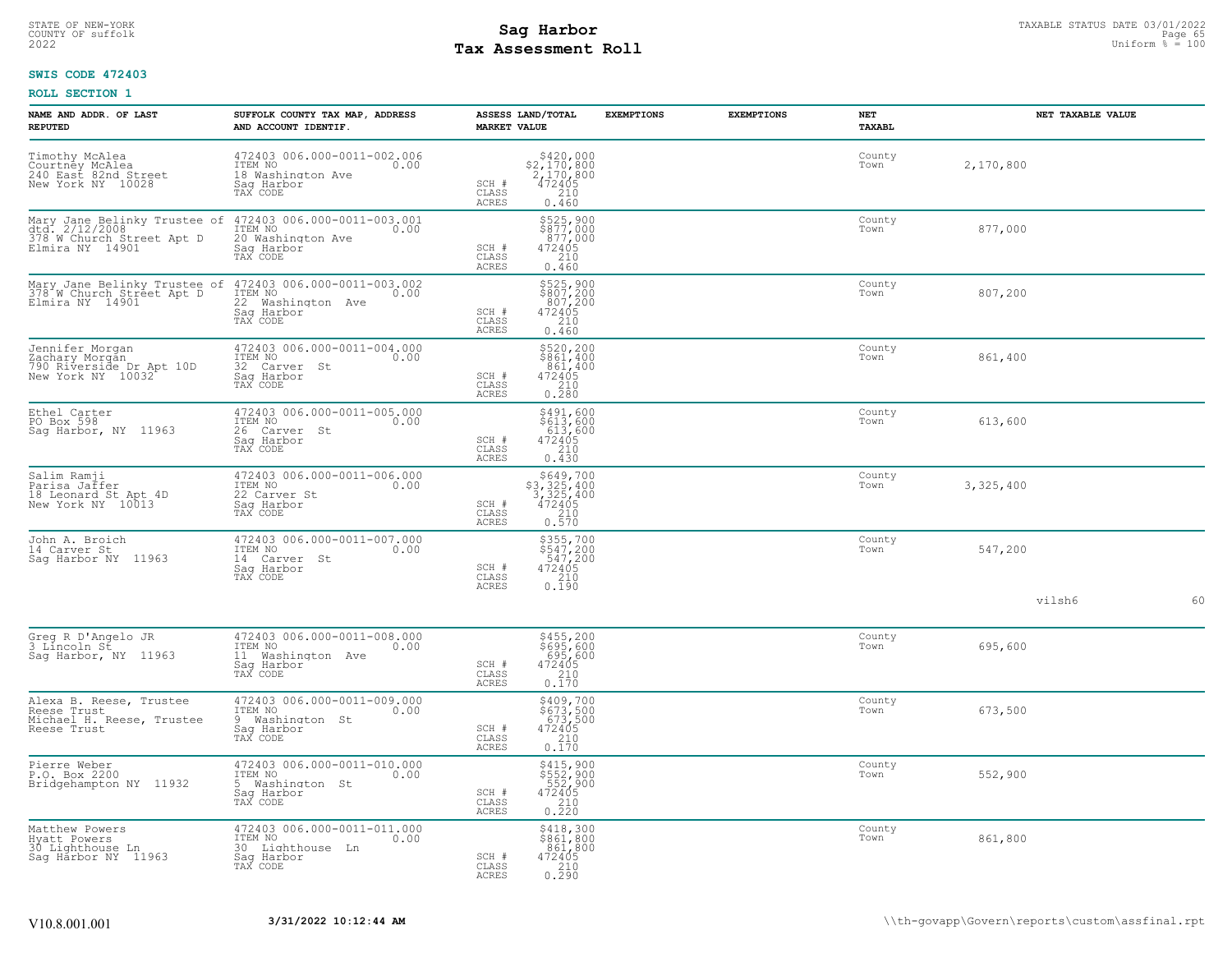## STATE OF NEW-YORK STATUS DATE 03/01/2022<br>
COUNTY OF suffolk Page 65<br>
2022 **Fax Assessment Roll** Page 65, 2022 Uniform % = 100 **Tax Assessment Roll**

## **SWIS CODE 472403**

| NAME AND ADDR. OF LAST<br><b>REPUTED</b>                                           | SUFFOLK COUNTY TAX MAP, ADDRESS<br>AND ACCOUNT IDENTIF.                                                                                                            | ASSESS LAND/TOTAL<br><b>MARKET VALUE</b>                                                                                                | <b>EXEMPTIONS</b> | <b>EXEMPTIONS</b> | NET<br>TAXABL  | NET TAXABLE VALUE |    |
|------------------------------------------------------------------------------------|--------------------------------------------------------------------------------------------------------------------------------------------------------------------|-----------------------------------------------------------------------------------------------------------------------------------------|-------------------|-------------------|----------------|-------------------|----|
| Timothy McAlea<br>Courtney McAlea<br>240 East 82nd Street<br>New York NY 10028     | 472403 006.000-0011-002.006<br>ITEM NO<br>0.00<br>18 Washington Ave<br>Saq Harbor<br>TAX CODE                                                                      | $$420,000$<br>$$2,170,800$<br>$2,170,800$<br>$472405$<br>$210$<br>SCH #<br>$\mathtt{CLASS}$<br>ACRES<br>0.460                           |                   |                   | County<br>Town | 2,170,800         |    |
|                                                                                    | TAX CODE                                                                                                                                                           | \$525,900<br>\$877,000<br>877,000<br>472405<br>210<br>SCH #<br>CLASS<br>0.460<br>ACRES                                                  |                   |                   | County<br>Town | 877,000           |    |
|                                                                                    | Mary Jane Belinky Trustee of $472403006.000-0011-003.002$<br>378 W Church Street Apt D ITEM NO 0.00<br>Elmira NY 14901 22 Washington Ave<br>Sag Harbor<br>TAX CODE | $$525,900$<br>$$807,200$<br>$807,200$<br>$472405$<br>$210$<br>SCH #<br>CLASS<br>ACRES<br>0.460                                          |                   |                   | County<br>Town | 807,200           |    |
| Jennifer Morgan<br>Zachary Morgán<br>790 Riverside Dr Apt 10D<br>New York NY 10032 | 472403 006.000-0011-004.000<br>ITEM NO<br>0.00<br>32 Carver St<br>Sag Harbor<br>TAX CODE                                                                           | \$520,200<br>\$861,400<br>$\begin{array}{r} 861,400 \\ 472405 \\ 210 \\ 0.280 \end{array}$<br>SCH #<br>$\mathtt{CLASS}$<br><b>ACRES</b> |                   |                   | County<br>Town | 861,400           |    |
| Ethel Carter<br>PO Box 598<br>Sag Harbor, NY 11963                                 | 472403 006.000-0011-005.000<br>TTEM NO 0.00<br>26 Carver St<br>Sag Harbor<br>TAX CODE                                                                              | $\begin{array}{r} 5491,600 \\ 5613,600 \\ 613,600 \\ 472405 \\ 210 \\ 0.430 \end{array}$<br>SCH #<br>$\mathtt{CLASS}$<br>ACRES          |                   |                   | County<br>Town | 613,600           |    |
| Salim Ramji<br>Parisa Jaffer<br>18 Leonard St Apt 4D<br>New York NY 10013          | 472403 006.000-0011-006.000<br>ITEM NO<br>0.00<br>22 Carver St<br>Saq Harbor<br>TAX CODE                                                                           | $\begin{array}{r} 5649,700 \\ 53,325,400 \\ 3,325,400 \\ 472405 \\ 210 \\ 0.570 \end{array}$<br>SCH #<br>CLASS<br>ACRES                 |                   |                   | County<br>Town | 3,325,400         |    |
| John A. Broich<br>14 Carver St<br>Sag Harbor NY 11963                              | 472403 006.000-0011-007.000<br>ITEM NO<br>0.00<br>14 Carver St<br>Saq Harbor<br>TAX CODE                                                                           | \$355,700<br>\$547,200<br>547,200<br>472405<br>210<br>0.190<br>SCH #<br>CLASS<br>ACRES                                                  |                   |                   | County<br>Town | 547,200           |    |
|                                                                                    |                                                                                                                                                                    |                                                                                                                                         |                   |                   |                | vilsh6            | 60 |
| Greg R D'Angelo JR<br>3 Lincoln St<br>Sag Harbor, NY 11963                         | 472403 006.000-0011-008.000<br>ITEM NO<br>0.00<br>11 Washington Ave<br>Sag Harbor<br>TAX CODE                                                                      | \$455,200<br>\$695,600<br>695,600<br>472405<br>210<br>SCH #<br>$\mathtt{CLASS}$<br><b>ACRES</b><br>0.170                                |                   |                   | County<br>Town | 695,600           |    |
| Alexa B. Reese, Trustee<br>Reese Trust<br>Michael H. Reese, Trustee<br>Reese Trust | 472403 006.000-0011-009.000<br>ITEM NO<br>0.00<br>9 Washington St<br>Saq Harbor<br>TAX CODE                                                                        | \$409,700<br>\$673,500<br>673,500<br>472405<br>210<br>0.170<br>SCH #<br>CLASS<br>ACRES                                                  |                   |                   | County<br>Town | 673,500           |    |
| Pierre Weber<br>P.O. Box 2200<br>Bridgehampton NY 11932                            | 472403 006.000-0011-010.000<br>ITEM NO<br>0.00<br>5 Washington St<br>Sag Harbor<br>TAX CODE                                                                        | \$415,900<br>\$552,900<br>552,900<br>472405<br>210<br>0.220<br>SCH #<br>CLASS<br>ACRES                                                  |                   |                   | County<br>Town | 552,900           |    |
| Matthew Powers<br>Hyatt Powers<br>30 Lighthouse Ln<br>Saq Harbor NY 11963          | 472403 006.000-0011-011.000<br>ITEM NO<br>0.00<br>30 Lighthouse Ln<br>Sag Harbor<br>TAX CODE                                                                       | \$418,300<br>\$861,800<br>861,800<br>SCH #<br>472405<br>210<br>CLASS<br>0.290<br>ACRES                                                  |                   |                   | County<br>Town | 861,800           |    |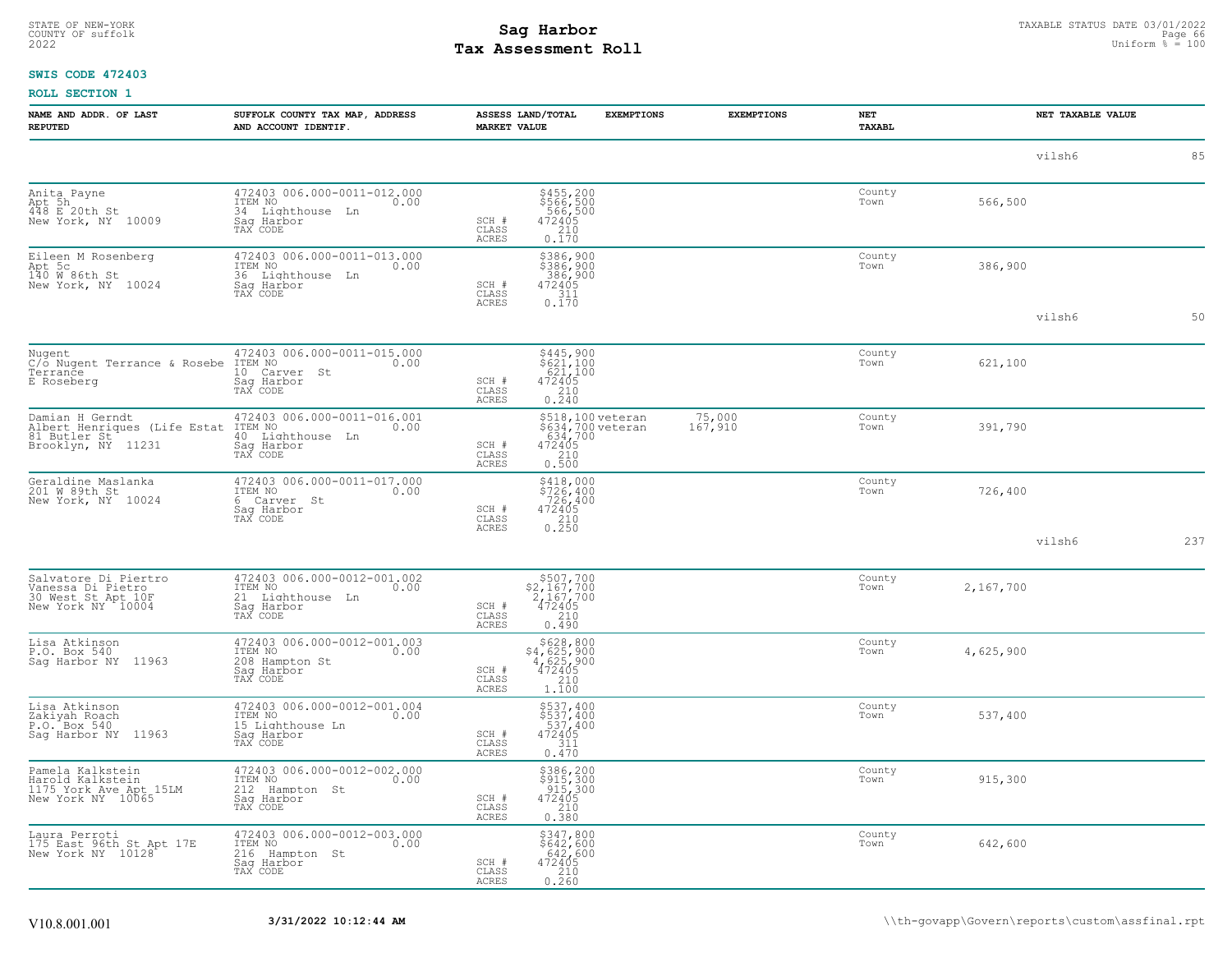# STATE OF NEW-YORK STATUS DATE 03/01/2022<br>
COUNTY OF suffolk Page 66 66 to the suffolk Page 66 to the suffolk Page 66 to the Page 66 to the suffolk Page 66 to the sufform  $\frac{p_{\text{sq}}}{q_{\text{sq}}}$  = 100<br>
2022 Tax Assessment Roll **Tax Assessment Roll**

## **SWIS CODE 472403**

| NAME AND ADDR. OF LAST<br><b>REPUTED</b>                                              | SUFFOLK COUNTY TAX MAP, ADDRESS<br>AND ACCOUNT IDENTIF.                                      | <b>MARKET VALUE</b>            | ASSESS LAND/TOTAL<br><b>EXEMPTIONS</b>                                                      | <b>EXEMPTIONS</b> | NET<br>TAXABL  |           | NET TAXABLE VALUE |
|---------------------------------------------------------------------------------------|----------------------------------------------------------------------------------------------|--------------------------------|---------------------------------------------------------------------------------------------|-------------------|----------------|-----------|-------------------|
|                                                                                       |                                                                                              |                                |                                                                                             |                   |                | vilsh6    | 85                |
| Anita Payne<br>Apt 5h<br>448 E 20th St<br>New York, NY 10009                          | 472403 006.000-0011-012.000<br>ITEM NO<br>0.00<br>34 Lighthouse Ln<br>Saq Harbor<br>TAX CODE | SCH #<br>CLASS<br>ACRES        | \$455,200<br>\$566,500<br>566,500<br>472405<br>210<br>0.170                                 |                   | County<br>Town | 566,500   |                   |
| Eileen M Rosenberg<br>Apt 5c<br>140 W 86th St<br>New York, NY 10024                   | 472403 006.000-0011-013.000<br>ITEM NO<br>0.00<br>36 Lighthouse Ln<br>Sag Harbor<br>TAX CODE | SCH #<br>CLASS<br><b>ACRES</b> | \$386,900<br>\$386,900<br>386,900<br>472405<br>$\begin{bmatrix} 311 \\ 0.170 \end{bmatrix}$ |                   | County<br>Town | 386,900   |                   |
|                                                                                       |                                                                                              |                                |                                                                                             |                   |                | vilsh6    | 50                |
| Nugent<br>C/o Nugent Terrance & Rosebe<br>Terrance<br>E Roseberg                      | 472403 006.000-0011-015.000<br>ITEM NO<br>0.00<br>10 Carver St<br>Sag Harbor<br>TAX CODE     | SCH #<br>CLASS<br>ACRES        | \$445,900<br>\$621,100<br>621,100<br>$472405$<br>$210$<br>0.240                             |                   | County<br>Town | 621,100   |                   |
| Damian H Gerndt<br>Albert Henriques (Life Estat<br>81 Butler St<br>Brooklyn, NY 11231 | 472403 006.000-0011-016.001<br>ITEM NO<br>0.00<br>40 Lighthouse Ln<br>Saq Harbor<br>TAX CODE | SCH #<br>CLASS<br>ACRES        | \$518,100 veteran<br>\$634,700 veteran<br>634,700<br>472405<br>$\frac{210}{0.500}$          | 75,000<br>167,910 | County<br>Town | 391,790   |                   |
| Geraldine Maslanka<br>201 W 89th St<br>New York, NY 10024                             | 472403 006.000-0011-017.000<br>ITEM NO<br>0.00<br>6 Carver St<br>Saq Harbor<br>TAX CODE      | SCH #<br>CLASS<br><b>ACRES</b> | \$418,000<br>\$726,400<br>726,400<br>472405<br>210<br>0.250                                 |                   | County<br>Town | 726,400   |                   |
|                                                                                       |                                                                                              |                                |                                                                                             |                   |                | vilsh6    | 237               |
| Salvatore Di Piertro<br>Vanessa Di Pietro<br>30 West St Apt 10F<br>New York NY 10004  | 472403 006.000-0012-001.002<br>ITEM NO<br>0.00<br>21 Lighthouse Ln<br>Sag Harbor<br>TAX CODE | SCH #<br>CLASS<br>ACRES        | $\begin{array}{r} 507,700 \\ 2,167,700 \\ 2,167,700 \\ 472405 \\ 210 \end{array}$<br>0.490  |                   | County<br>Town | 2,167,700 |                   |
| Lisa Atkinson<br>P.O. Box 540<br>Sag Harbor NY 11963                                  | 472403 006.000-0012-001.003<br>ITEM NO<br>0.00<br>208 Hampton St<br>Saq Harbor<br>TAX CODE   | SCH #<br>CLASS<br>ACRES        | $$628,800$<br>$$4,625,900$<br>$4,625,900$<br>$472405$<br>210<br>1.100                       |                   | County<br>Town | 4,625,900 |                   |
| Lisa Atkinson<br>Zakiyah Roach<br>P.O. Box 540<br>Sag Harbor NY 11963                 | 472403 006.000-0012-001.004<br>ITEM NO<br>0.00<br>15 Lighthouse Ln<br>Sag Harbor<br>TAX CODE | $SCH$ #<br>CLASS<br>ACRES      | \$537,400<br>\$537,400<br>537,400<br>472405<br>311<br>0.470                                 |                   | County<br>Town | 537,400   |                   |
| Pamela Kalkstein<br>Harold Kalkstein<br>1175 York Ave Apt 15LM<br>New York NY 10065   | 472403 006.000-0012-002.000<br>ITEM NO<br>0.00<br>212 Hampton St<br>Saq Harbor<br>TAX CODE   | SCH #<br>CLASS<br>ACRES        | \$386,200<br>\$915,300<br>915,300<br>472405<br>$\begin{array}{c} 210 \\ 0.380 \end{array}$  |                   | County<br>Town | 915,300   |                   |
| Laura Perroti<br>175 East 96th St Apt 17E<br>New York NY 10128                        | 472403 006.000-0012-003.000<br>ITEM NO<br>0.00<br>216 Hampton St<br>Saq Harbor<br>TAX CODE   | SCH #<br>CLASS<br>ACRES        | \$347,800<br>\$642,600<br>642,600<br>472405<br>$0.210$<br>$0.260$                           |                   | County<br>Town | 642,600   |                   |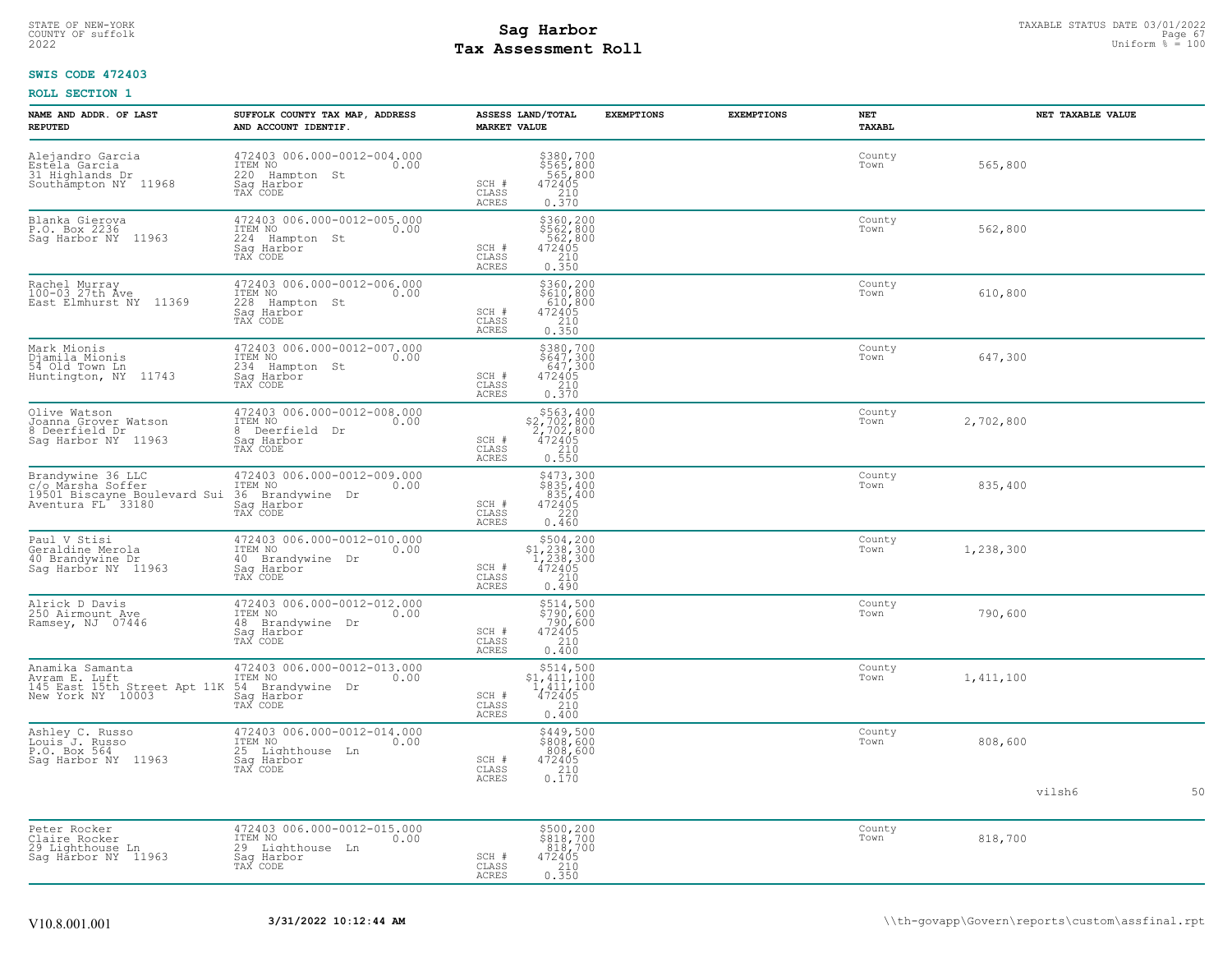## STATE OF NEW-YORK STATUS DATE 03/01/2022<br>
COUNTY OF suffolk Page 67<br>
2022 - Taxable Pay Assessment Roll **Tax Assessment Roll**

## **SWIS CODE 472403**

| NAME AND ADDR. OF LAST<br><b>REPUTED</b>                                                    | SUFFOLK COUNTY TAX MAP, ADDRESS<br>AND ACCOUNT IDENTIF.                                            | ASSESS LAND/TOTAL<br><b>MARKET VALUE</b>                                                                                | <b>EXEMPTIONS</b> | <b>EXEMPTIONS</b> | NET<br>TAXABL  | NET TAXABLE VALUE |    |
|---------------------------------------------------------------------------------------------|----------------------------------------------------------------------------------------------------|-------------------------------------------------------------------------------------------------------------------------|-------------------|-------------------|----------------|-------------------|----|
| Alejandro Garcia<br>Estela Garcia<br>31 Highlands Dr<br>Southampton NY 11968                | 472403 006.000-0012-004.000<br>ITEM NO<br>0.00<br>220<br>Hampton St<br>Saq Harbor<br>TAX CODE      | \$380,700<br>\$565,800<br>565,800<br>472405<br>SCH #<br>CLASS<br>$\frac{210}{0.370}$<br>ACRES                           |                   |                   | County<br>Town | 565,800           |    |
| Blanka Gierova<br>P.O. Box 2236<br>Sag Harbor NY<br>11963                                   | 472403 006.000-0012-005.000<br>ITEM NO<br>0.00<br>224<br>Hampton St<br>Sag Harbor<br>TAX CODE      | \$360,200<br>\$562,800<br>562,800<br>472405<br>210<br>0.350<br>SCH #<br>CLASS<br>ACRES                                  |                   |                   | County<br>Town | 562,800           |    |
| Rachel Murray<br>100-03.27th Ave<br>East Elmhurst NY 11369                                  | 472403 006.000-0012-006.000<br>ITEM NO<br>0.00<br>228<br>Hampton St<br>Sag Harbor<br>TAX CODE      | \$360,200<br>\$610,800<br>610,800<br>472405<br>SCH #<br>210<br>CLASS<br>0.350<br>ACRES                                  |                   |                   | County<br>Town | 610,800           |    |
| Mark Mionis<br>Djamila Mionis<br>54 Old Town Ln<br>Huntington, NY 11743                     | 472403 006.000-0012-007.000<br>ITEM NO<br>0.00<br>234 Hampton St<br>Saq Harbor<br>TAX CODE         | \$380,700<br>$$647,300$<br>$647,300$<br>$472405$<br>$210$<br>0.370<br>SCH #<br>CLASS<br>ACRES                           |                   |                   | County<br>Town | 647,300           |    |
| Olive Watson<br>Joanna Grover Watson<br>8 Deerfield Dr<br>Saq Harbor NY 11963               | 472403 006.000-0012-008.000<br>ITEM NO<br>0.00<br>Deerfield Dr<br>8<br>Saq Harbor<br>TAX CODE      | $\begin{array}{r} 5563,400 \\ 52,702,800 \\ 2,702,800 \\ 472405 \\ 210 \\ 0.550 \end{array}$<br>SCH #<br>CLASS<br>ACRES |                   |                   | County<br>Town | 2,702,800         |    |
| Brandywine 36 LLC<br>c/o Marsha Soffer<br>19501 Biscayne Boulevard Sui<br>Aventura FL 33180 | 472403 006.000-0012-009.000<br>ITEM NO 0.00<br>36 Brandywine Dr<br>Sag Harbor<br>TAX CODE          | $$473,300$<br>$$835,400$<br>$835,400$<br>$472405$<br>$220$<br>SCH #<br>CLASS<br>ACRES<br>0.460                          |                   |                   | County<br>Town | 835,400           |    |
| Paul V Stisi<br>Geraldine Merola<br>40 Brandywine Dr<br>Sag Harbor NY 11963                 | 472403 006.000-0012-010.000<br>ITEM NO<br>0.00<br>40<br>Brandywine Dr<br>Saq Harbor<br>TAX CODE    | $$504, 200$<br>$$1, 238, 300$<br>$1, 238, 300$<br>$472405$<br>SCH #<br>CLASS<br>$\frac{210}{0.490}$<br><b>ACRES</b>     |                   |                   | County<br>Town | 1,238,300         |    |
| Alrick D Davis<br>250 Airmount Ave<br>Ramsey, NJ 07446                                      | 472403 006.000-0012-012.000<br>ITEM NO<br>0.00<br>48<br>Brandywine Dr<br>Saq Harbor<br>TAX CODE    | \$514,500<br>\$790,600<br>$790,600$<br>$472405$<br>$210$<br>0.400<br>SCH #<br>CLASS<br>ACRES                            |                   |                   | County<br>Town | 790,600           |    |
| Anamika Samanta<br>Avram E. Luft<br>145 East 15th Street Apt 11K<br>New York NY 10003       | 472403 006.000-0012-013.000<br>ITEM NO<br>0.00<br>54<br>Brandywine<br>Dr<br>Sag Harbor<br>TAX CODE | $$514,500$<br>$$1,411,100$<br>$\frac{1}{472405}$<br>SCH #<br>CLASS<br>0.400<br>ACRES                                    |                   |                   | County<br>Town | 1,411,100         |    |
| Ashley C. Russo<br>Louis J. Russo<br>P.O. Box 564<br>Saq Harbor NY 11963                    | 472403 006.000-0012-014.000<br>ITEM NO<br>0.00<br>25<br>Lighthouse Ln<br>Sag Harbor<br>TAX CODE    | \$449,500<br>\$808,600<br>808,600<br>472405<br>210<br>0.170<br>SCH #<br>CLASS<br><b>ACRES</b>                           |                   |                   | County<br>Town | 808,600           |    |
|                                                                                             |                                                                                                    |                                                                                                                         |                   |                   |                | vilsh6            | 50 |
| Peter Rocker<br>Claire Rocker<br>29 Lighthouse Ln<br>Sag Harbor NY 11963                    | 472403 006.000-0012-015.000<br>ITEM NO<br>0.00<br>29 Lighthouse Ln<br>Sag Harbor<br>TAX CODE       | \$500,200<br>\$818,700<br>818,700<br>SCH #<br>$\begin{array}{r} 472405 \\ 210 \\ 0.350 \end{array}$<br>CLASS<br>ACRES   |                   |                   | County<br>Town | 818,700           |    |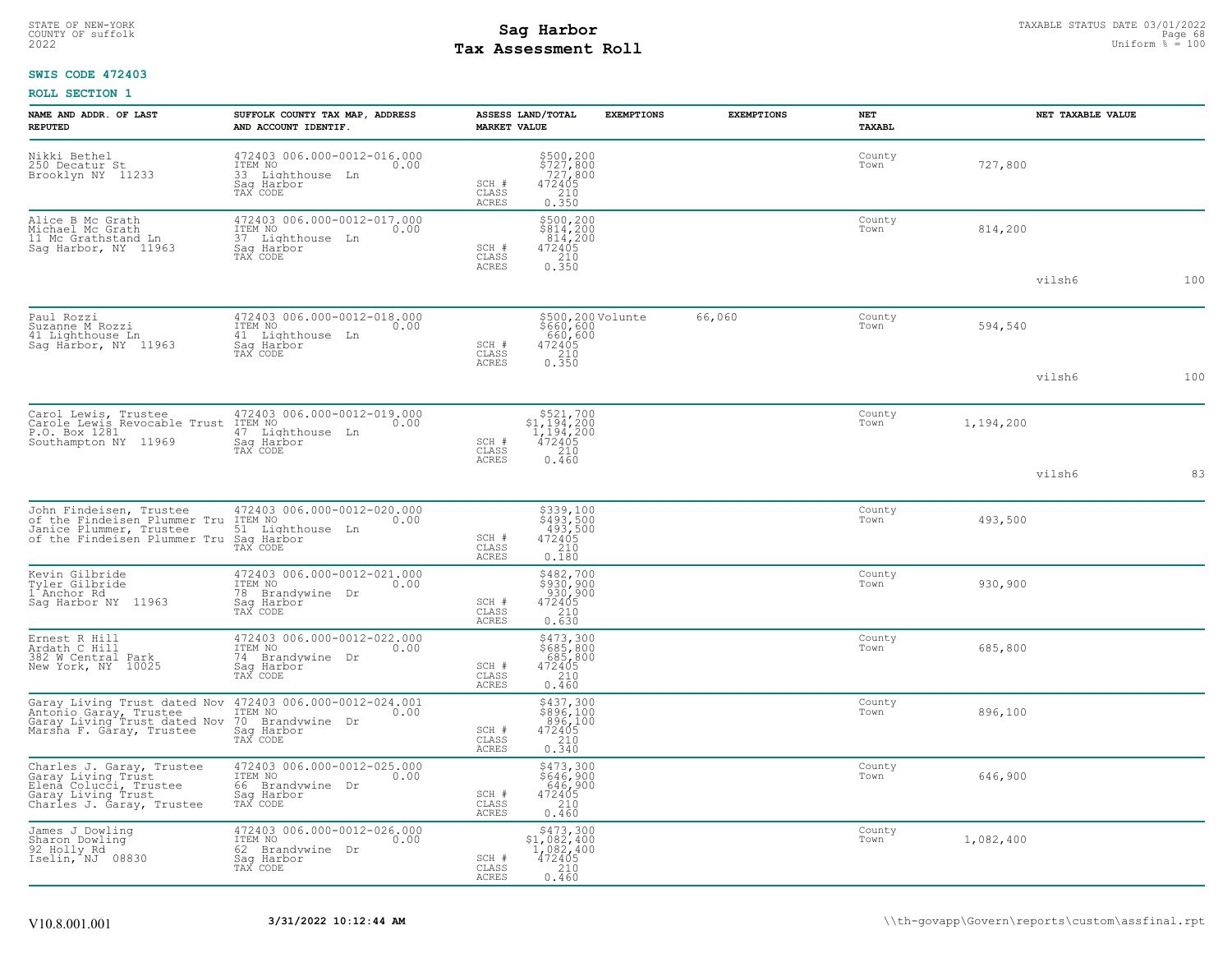# STATE OF NEW-YORK STATUS DATE 03/01/2022<br>
COUNTY OF suffolk Page 68 (September 2008)<br>
2022 Pay Assessment Roll **Tax Assessment Roll**

## **SWIS CODE 472403**

| NAME AND ADDR. OF LAST<br><b>REPUTED</b>                                                                                                  | SUFFOLK COUNTY TAX MAP, ADDRESS<br>AND ACCOUNT IDENTIF.                                         | ASSESS LAND/TOTAL<br><b>MARKET VALUE</b> |                                                                                                                                                           | <b>EXEMPTIONS</b> | <b>EXEMPTIONS</b> | NET<br><b>TAXABL</b> |           | NET TAXABLE VALUE |     |
|-------------------------------------------------------------------------------------------------------------------------------------------|-------------------------------------------------------------------------------------------------|------------------------------------------|-----------------------------------------------------------------------------------------------------------------------------------------------------------|-------------------|-------------------|----------------------|-----------|-------------------|-----|
| Nikki Bethel<br>250 Decatur St<br>Brooklyn NY 11233                                                                                       | 472403 006.000-0012-016.000<br>ITEM NO<br>0.00<br>33 Lighthouse Ln<br>Saq Harbor<br>TAX CODE    | SCH #<br>CLASS<br>ACRES                  | \$500,200<br>\$727,800<br>727,800<br>472405<br>210<br>0.350                                                                                               |                   |                   | County<br>Town       | 727,800   |                   |     |
| Alice B Mc Grath<br>Michael Mc Grath<br>11 Mc Grathstand Ln<br>Sag Harbor, NY 11963                                                       | 472403 006.000-0012-017.000<br>ITEM NO<br>0.00<br>37 Lighthouse Ln<br>Saq Harbor<br>TAX CODE    | SCH #<br>CLASS<br><b>ACRES</b>           | $\begin{array}{r} \texttt{\$500,200}\ \texttt{\$814,200}\ \texttt{814,200}\ \texttt{814,200}\ \texttt{472405}\ \texttt{210}\ \texttt{0.350}\ \end{array}$ |                   |                   | County<br>Town       | 814,200   |                   |     |
|                                                                                                                                           |                                                                                                 |                                          |                                                                                                                                                           |                   |                   |                      |           | vilsh6            | 100 |
| Paul Rozzi<br>Suzanne M Rozzi<br>41 Lighthouse Ln<br>Sag Harbor, NY 11963                                                                 | 472403 006.000-0012-018.000<br>ITEM NO<br>41 Lighthouse Ln<br>0.00<br>Sag Harbor<br>TAX CODE    | SCH #<br>CLASS                           | \$500,200Volunte<br>\$660,600<br>660,600<br>472405<br>210                                                                                                 |                   | 66,060            | County<br>Town       | 594,540   |                   |     |
|                                                                                                                                           |                                                                                                 | ACRES                                    | 0.350                                                                                                                                                     |                   |                   |                      |           | vilsh6            | 100 |
| Carol Lewis, Trustee<br>Carole Lewis Revocable Trust<br>P.O. Box 1281<br>Southampton NY 11969                                             | 472403 006.000-0012-019.000<br>ITEM NO<br>0.00<br>47 Lighthouse Ln<br>Sag Harbor<br>TAX CODE    | SCH #<br>CLASS                           | $$521,700$<br>$$1,194,200$<br>$1,194,200$<br>$1,194,200$<br>472405<br>210                                                                                 |                   |                   | County<br>Town       | 1,194,200 |                   |     |
|                                                                                                                                           |                                                                                                 | ACRES                                    | 0.460                                                                                                                                                     |                   |                   |                      |           | vilsh6            | 83  |
| John Findeisen, Trustee<br>of the Findeisen Plummer Tru<br>Janice Plummer, Trustee<br>of the Findeisen Plummer Tru Sag Harbor<br>TAX CODE | 472403 006.000-0012-020.000<br>ITEM NO<br>0.00<br>51 Lighthouse Ln                              | SCH #<br>CLASS<br>ACRES                  | $\begin{array}{r} 5339,100 \\ 493,500 \\ 493,500 \\ 472405 \\ 210 \\ 210 \end{array}$<br>0.180                                                            |                   |                   | County<br>Town       | 493,500   |                   |     |
| Kevin Gilbride<br>Tyler Gilbride<br>1 Anchor Rd<br>Saq Harbor NY 11963                                                                    | 472403 006.000-0012-021.000<br>ITEM NO<br>0.00<br>78 Brandvwine<br>Dr<br>Sag Harbor<br>TAX CODE | SCH #<br>CLASS<br>ACRES                  | $$482,700$<br>$$930,900$<br>$930,900$<br>$472405$<br>$210$<br>0.630                                                                                       |                   |                   | County<br>Town       | 930,900   |                   |     |
| Ernest R Hill<br>Ardath C Hill<br>382 W Central Park<br>New York, NY 10025                                                                | 472403 006.000-0012-022.000<br>ITEM NO<br>0.00<br>74 Brandvwine Dr<br>Saq Harbor<br>TAX CODE    | SCH #<br>CLASS<br>ACRES                  | \$473,300<br>$\begin{array}{r} 7685,800 \\ 685,800 \\ 472405 \\ 210 \\ 260 \end{array}$<br>0.460                                                          |                   |                   | County<br>Town       | 685,800   |                   |     |
| Garay Living Trust dated Nov<br>Antonio Garay, Trustee<br>Garay Living Trust dated Nov<br>Marsha F. Garay, Trustee                        | 472403 006.000-0012-024.001<br>ITEM NO<br>0.00<br>70 Brandywine Dr<br>Saq Harbor<br>TAX CODE    | SCH #<br>CLASS<br>ACRES                  | \$437,300<br>\$896,100<br>896,100<br>472405<br>$\begin{array}{c} 210 \\ 0.340 \end{array}$                                                                |                   |                   | County<br>Town       | 896,100   |                   |     |
| Charles J. Garay, Trustee<br>Garay Living Trust<br>Elena Colucci, Trustee<br>Garay Living Trust<br>Charles J. Garay, Trustee              | 472403 006.000-0012-025.000<br>ITEM NO<br>0.00<br>66 Brandvwine Dr<br>Sag Harbor<br>TAX CODE    | SCH #<br>CLASS<br>ACRES                  | \$473,300<br>\$646,900<br>646,900<br>472405<br>210<br>0.460                                                                                               |                   |                   | County<br>Town       | 646,900   |                   |     |
| James J Dowling<br>Sharon Dowling<br>92 Holly Rd<br>Iselin, NJ 08830                                                                      | 472403 006.000-0012-026.000<br>ITEM NO<br>0.00<br>62 Brandywine Dr<br>Saq Harbor<br>TAX CODE    | SCH #<br>CLASS<br>ACRES                  | $$473,300$<br>$$1,082,400$<br>$1,082,400$<br>$472405$<br>$210$<br>0.460                                                                                   |                   |                   | County<br>Town       | 1,082,400 |                   |     |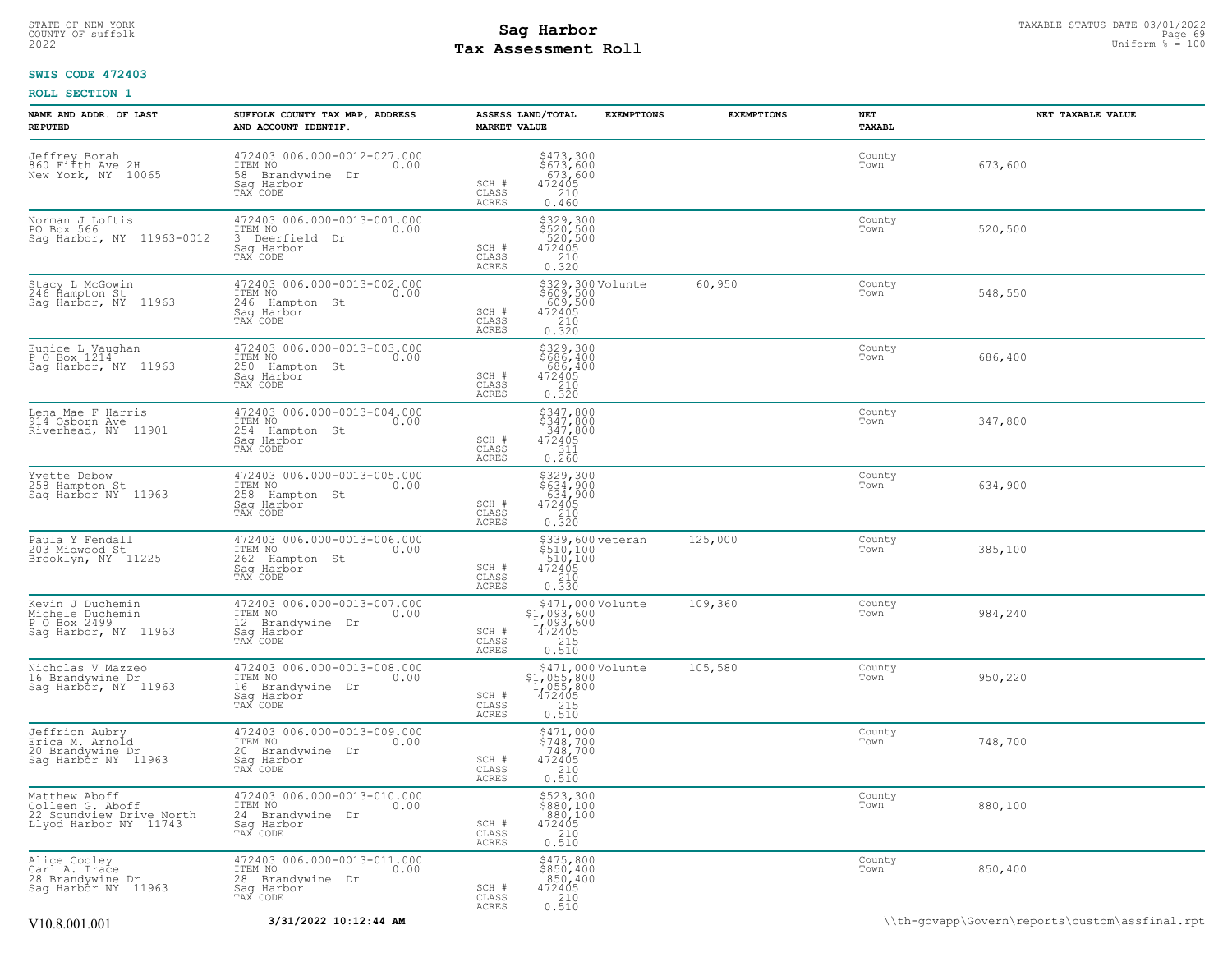## STATE OF NEW-YORK STATUS DATE 03/01/2022<br>
COUNTY OF suffolk Page 69<br>
2022 **Fax Assessment Roll** Page 69 and County of Sufform % = 100 **Tax Assessment Roll**

## **SWIS CODE 472403**

| NAME AND ADDR. OF LAST<br><b>REPUTED</b>                                               | SUFFOLK COUNTY TAX MAP, ADDRESS<br>AND ACCOUNT IDENTIF.                                            | ASSESS LAND/TOTAL<br><b>EXEMPTIONS</b><br><b>MARKET VALUE</b>                                                                              | <b>EXEMPTIONS</b> | NET<br>TAXABL  | NET TAXABLE VALUE                              |
|----------------------------------------------------------------------------------------|----------------------------------------------------------------------------------------------------|--------------------------------------------------------------------------------------------------------------------------------------------|-------------------|----------------|------------------------------------------------|
| Jeffrey Borah<br>860 Fifth Ave 2H<br>New York, NY 10065                                | 472403 006.000-0012-027.000<br>ITEM NO<br>0.00<br>58 Brandvwine Dr<br>Saq Harbor<br>TAX CODE       | \$473,300<br>\$673,600<br>673,600<br>SCH #<br>472405<br>CLASS<br>210<br>ACRES<br>0.460                                                     |                   | County<br>Town | 673,600                                        |
| Norman J Loftis<br>PO Box 566<br>Sag Harbor, NY 11963-0012                             | 472403 006.000-0013-001.000<br>0.00<br>ITEM NO<br>3 Deerfield Dr<br>Sag Harbor<br>TAX CODE         | \$329,300<br>\$520,500<br>520,500<br>472405<br>210<br>0.320<br>SCH #<br>CLASS<br>ACRES                                                     |                   | County<br>Town | 520,500                                        |
| Stacy L McGowin<br>246 Hampton St<br>Sag Harbor, NY<br>11963                           | 472403 006.000-0013-002.000<br>ITEM NO<br>0.00<br>246<br>Hampton St<br>Saq Harbor<br>TAX CODE      | \$329,300 Volunte<br>\$609,500<br>609,500<br>472405<br>SCH #<br>$\frac{210}{0.320}$<br>CLASS<br>ACRES                                      | 60,950            | County<br>Town | 548,550                                        |
| Eunice L Vaughan<br>P O Box 1214<br>Sag Harbor, NY 11963                               | 472403 006.000-0013-003.000<br>TTEM NO 0.00<br>0.00<br>250<br>Hampton St<br>Saq Harbor<br>TAX CODE | \$329,300<br>\$686,400<br>686,400<br>SCH #<br>$\begin{array}{r} 472405 \\ 210 \\ 0.320 \end{array}$<br>CLASS<br>ACRES                      |                   | County<br>Town | 686,400                                        |
| Lena Mae F Harris<br>914 Osborn Ave<br>Riverhead, NY 11901                             | 472403 006.000-0013-004.000<br>ITEM NO<br>0.00<br>254 Hampton St<br>Saq Harbor<br>TAX CODE         | \$347,800<br>\$347,800<br>347,800<br>SCH #<br>472405<br>CLASS<br>311<br>ACRES<br>0.260                                                     |                   | County<br>Town | 347,800                                        |
| Yvette Debow<br>258 Hampton St<br>Sag Harbor NY 11963                                  | 472403 006.000-0013-005.000<br>ITEM NO<br>0.00<br>258<br>Hampton St<br>Sag Harbor<br>TAX CODE      | $$329,300$<br>$$634,900$<br>$634,900$<br>$472405$<br>$210$<br>$0.320$<br>SCH #<br>CLASS<br>ACRES                                           |                   | County<br>Town | 634,900                                        |
| Paula Y Fendall<br>203 Midwood St<br>Brooklyn, NY 11225                                | 472403 006.000-0013-006.000<br>ITEM NO<br>0.00<br>262 Hampton St<br>Saq Harbor<br>TAX CODE         | \$339,600 veteran<br>\$510,100<br>510,100<br>SCH #<br>472405<br>CLASS<br>$0.\overline{330}$<br>ACRES                                       | 125,000           | County<br>Town | 385,100                                        |
| Kevin J Duchemin<br>Michele Duchemin<br>P O Box 2499<br>Sag Harbor, NY 11963           | 472403 006.000-0013-007.000<br>ITEM NO<br>0.00<br>12 Brandvwine Dr<br>Saq Harbor<br>TAX CODE       | \$471,000 Volunte<br>\$1,093,600<br>1,093,600<br>SCH #<br>472405<br>CLASS<br>215<br>ACRES<br>0.510                                         | 109,360           | County<br>Town | 984,240                                        |
| Nicholas V Mazzeo<br>16 Brandywine Dr<br>Sag Harbor, NY 11963                          | 472403 006.000-0013-008.000<br>ITEM NO<br>0.00<br>16 Brandywine Dr<br>Sag Harbor<br>TAX CODE       | $\begin{array}{c} $471,000\,\text{Volume}\\ $1,055,800\\ 1,055,800\\ 472405\\ 215\\ 0.510\\ \end{array}$<br>SCH #<br>CLASS<br><b>ACRES</b> | 105,580           | County<br>Town | 950,220                                        |
| Jeffrion Aubry<br>Erica M. Arnold<br>20 Brandywine Dr<br>Sag Harbor NY 11963           | 472403 006.000-0013-009.000<br>ITEM NO<br>0.00<br>20 Brandvwine Dr<br>Saq Harbor<br>TAX CODE       | \$471,000<br>\$748,700<br>748,700<br>SCH #<br>472405<br>$\frac{210}{0.510}$<br>CLASS<br>ACRES                                              |                   | County<br>Town | 748,700                                        |
| Matthew Aboff<br>Colleen G. Aboff<br>22 Soundview Drive North<br>Llyod Harbor NY 11743 | 472403 006.000-0013-010.000<br>ITEM NO<br>0.00<br>24 Brandywine Dr<br>Saq Harbor<br>TAX CODE       | \$523,300<br>\$880,100<br>880,100<br>SCH #<br>$\begin{array}{r} 472405 \\ 210 \\ 0.510 \end{array}$<br>CLASS<br>ACRES                      |                   | County<br>Town | 880,100                                        |
| Alice Cooley<br>Carl A. Irace<br>28 Brandywine Dr<br>Saq Harbor NY 11963               | 472403 006.000-0013-011.000<br>ITEM NO<br>0.00<br>28 Brandywine Dr<br>Saq Harbor<br>TAX CODE       | \$475,800<br>\$850,400<br>850,400<br>SCH #<br>472405<br>$\frac{210}{0.510}$<br>CLASS<br>ACRES                                              |                   | County<br>Town | 850,400                                        |
| V10.8.001.001                                                                          | 3/31/2022 10:12:44 AM                                                                              |                                                                                                                                            |                   |                | \\th-govapp\Govern\reports\custom\assfinal.rpt |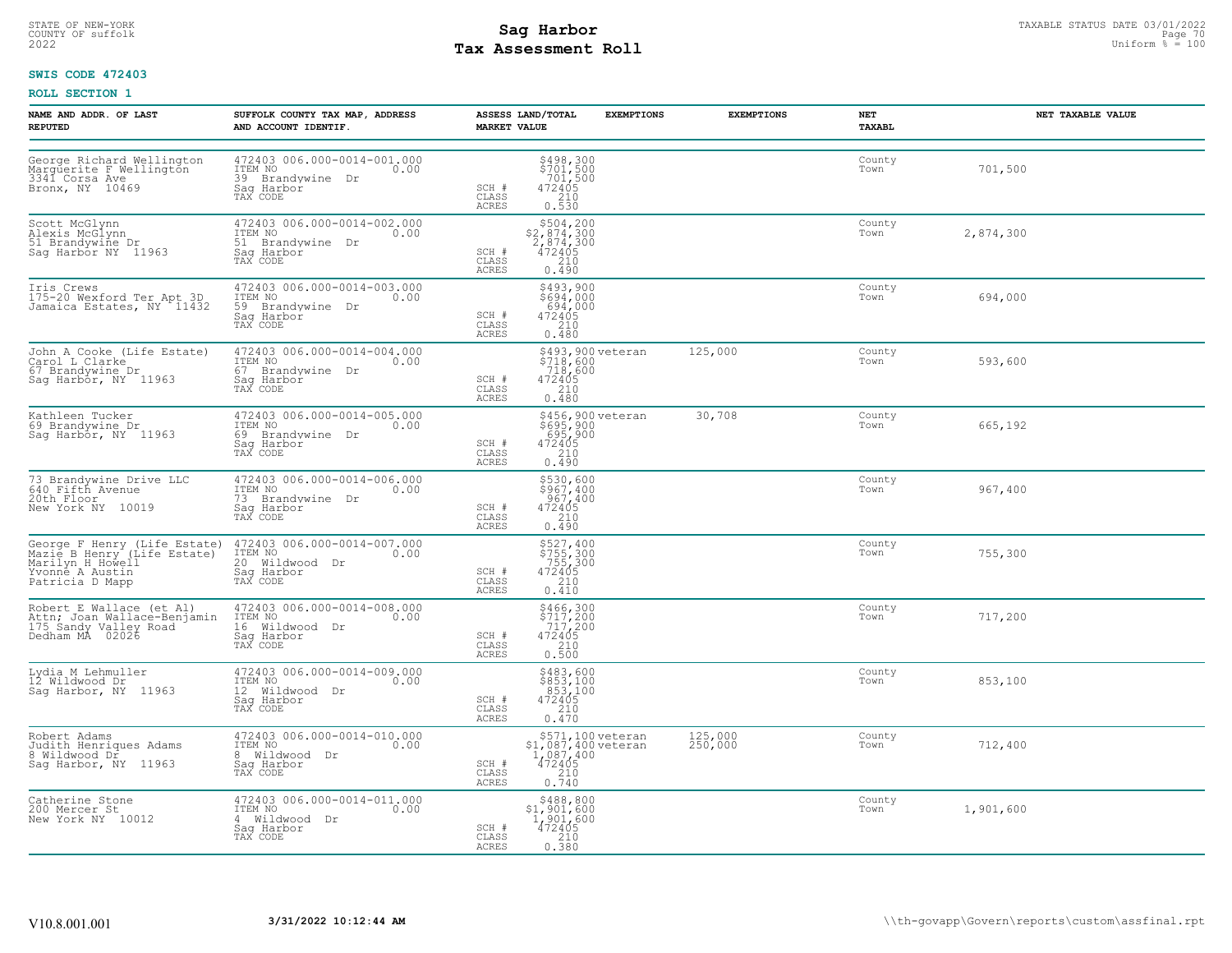# STATE OF NEW-YORK STATUS DATE 03/01/2022<br>
COUNTY OF suffolk Page 70<br>
2022 - Taxable Pay Assessment Roll **Tax Assessment Roll**

## **SWIS CODE 472403**

| NAME AND ADDR. OF LAST<br><b>REPUTED</b>                                                             | SUFFOLK COUNTY TAX MAP, ADDRESS<br>AND ACCOUNT IDENTIF.                                      | ASSESS LAND/TOTAL<br><b>EXEMPTIONS</b><br><b>MARKET VALUE</b>                                                                        | <b>EXEMPTIONS</b>  | NET<br>TAXABL  | NET TAXABLE VALUE |
|------------------------------------------------------------------------------------------------------|----------------------------------------------------------------------------------------------|--------------------------------------------------------------------------------------------------------------------------------------|--------------------|----------------|-------------------|
| George Richard Wellington<br>Marguerite F Wellington<br>3341 Corsa Ave<br>Bronx, NY 10469            | 472403 006.000-0014-001.000<br>ITEM NO<br>0.00<br>39 Brandvwine Dr<br>Sag Harbor<br>TAX CODE | $\begin{array}{r} \n 5498,300 \\  5701,500 \\  701,500 \\  472405 \\  210 \\  0.530\n \end{array}$<br>SCH #<br>CLASS<br><b>ACRES</b> |                    | County<br>Town | 701,500           |
| Scott McGlynn<br>Alexis McGlynn<br>51 Brandywine Dr<br>Sag Harbor NY 11963                           | 472403 006.000-0014-002.000<br>ITEM NO<br>0.00<br>51 Brandvwine Dr<br>Saq Harbor<br>TAX CODE | $$504,200\n$2,874,300\n2,874,300\n472405\n210$<br>SCH #<br>CLASS<br><b>ACRES</b><br>0.490                                            |                    | County<br>Town | 2,874,300         |
| Iris Crews<br>175-20 Wexford Ter Apt 3D<br>Jamaica Estates, NY 11432                                 | 472403 006.000-0014-003.000<br>ITEM NO<br>0.00<br>59 Brandywine Dr<br>Saq Harbor<br>TAX CODE | \$493,900<br>\$694,000<br>694,000<br>SCH #<br>472405<br>210<br>CLASS<br>ACRES<br>0.480                                               |                    | County<br>Town | 694,000           |
| John A Cooke (Life Estate)<br>Carol L Clarke<br>67 Brandywine Dr<br>Saq Harbor, NY 11963             | 472403 006.000-0014-004.000<br>ITEM NO<br>0.00<br>67 Brandywine Dr<br>Sag Harbor<br>TAX CODE | \$493,900 veteran<br>\$718,600<br>718,600<br>SCH #<br>472405<br>$\frac{210}{0.480}$<br>CLASS<br>ACRES                                | 125,000            | County<br>Town | 593,600           |
| Kathleen Tucker<br>69 Brandywine Dr<br>Sag Harbor, NY 11963                                          | 472403 006.000-0014-005.000<br>ITEM NO<br>0.00<br>69 Brandywine Dr<br>Sag Harbor<br>TAX CODE | \$456,900 veteran<br>\$695,900<br>695,900<br>472405<br>2410<br>SCH #<br>CLASS<br>0.490<br>ACRES                                      | 30,708             | County<br>Town | 665,192           |
| 73 Brandywine Drive LLC<br>640 Fifth Avenue<br>20th Floor<br>New York NY 10019                       | 472403 006.000-0014-006.000<br>ITEM NO<br>0.00<br>73 Brandywine Dr<br>Saq Harbor<br>TAX CODE | \$530,600<br>\$967,400<br>967,400<br>472405<br>210<br>SCH #<br>CLASS<br><b>ACRES</b><br>0.490                                        |                    | County<br>Town | 967,400           |
| Yvonné A Austin<br>Patricia D Mapp                                                                   | Sag Harbor<br>TAX CODE                                                                       | $7557,400100755,300472405210210$<br>SCH #<br>CLASS<br>ACRES<br>0.410                                                                 |                    | County<br>Town | 755,300           |
| Robert E Wallace (et Al)<br>Nobel Brand Mallace-Benjamin<br>175 Sandy Valley Road<br>Dedham MA 02026 | 472403 006.000-0014-008.000<br>ITEM NO<br>0.00<br>16 Wildwood Dr<br>Sag Harbor<br>TAX CODE   | $$466, 300$<br>$$717, 200$<br>$717, 200$<br>$\begin{array}{r}472405\\210\\0.500\end{array}$<br>SCH #<br>CLASS<br>ACRES               |                    | County<br>Town | 717,200           |
| Lydia M Lehmuller<br>12 Wildwood Dr<br>Sag Harbor, NY 11963                                          | 472403 006.000-0014-009.000<br>ITEM NO<br>0.00<br>12 Wildwood Dr<br>Sag Harbor<br>TAX CODE   | \$483,600<br>\$853,100<br>853,100<br>472405<br>SCH #<br>CLASS<br>$\frac{210}{0.470}$<br><b>ACRES</b>                                 |                    | County<br>Town | 853,100           |
| Robert Adams<br>Judith Henriques Adams<br>8 Wildwood Dr<br>Sag Harbor, NY 11963                      | 472403 006.000-0014-010.000<br>TTEM NO 0.00<br>8 Wildwood Dr<br>Saq Harbor<br>TAX CODE       | \$571,100 veteran<br>\$1,087,400 veteran<br>1,087,400 veteran<br>472405<br>0.740<br>SCH #<br>CLASS<br>ACRES                          | 125,000<br>250,000 | County<br>Town | 712,400           |
| Catherine Stone<br>200 Mercer St<br>New York NY 10012                                                | 472403 006.000-0014-011.000<br>ITEM NO<br>0.00<br>4 Wildwood Dr<br>Saq Harbor<br>TAX CODE    | $$488,800$<br>$$1,901,600$<br>$1,901,600$<br>$472405$<br>${}^{210}$<br>SCH #<br>$\mathtt{CLASS}$<br>0.380<br>ACRES                   |                    | County<br>Town | 1,901,600         |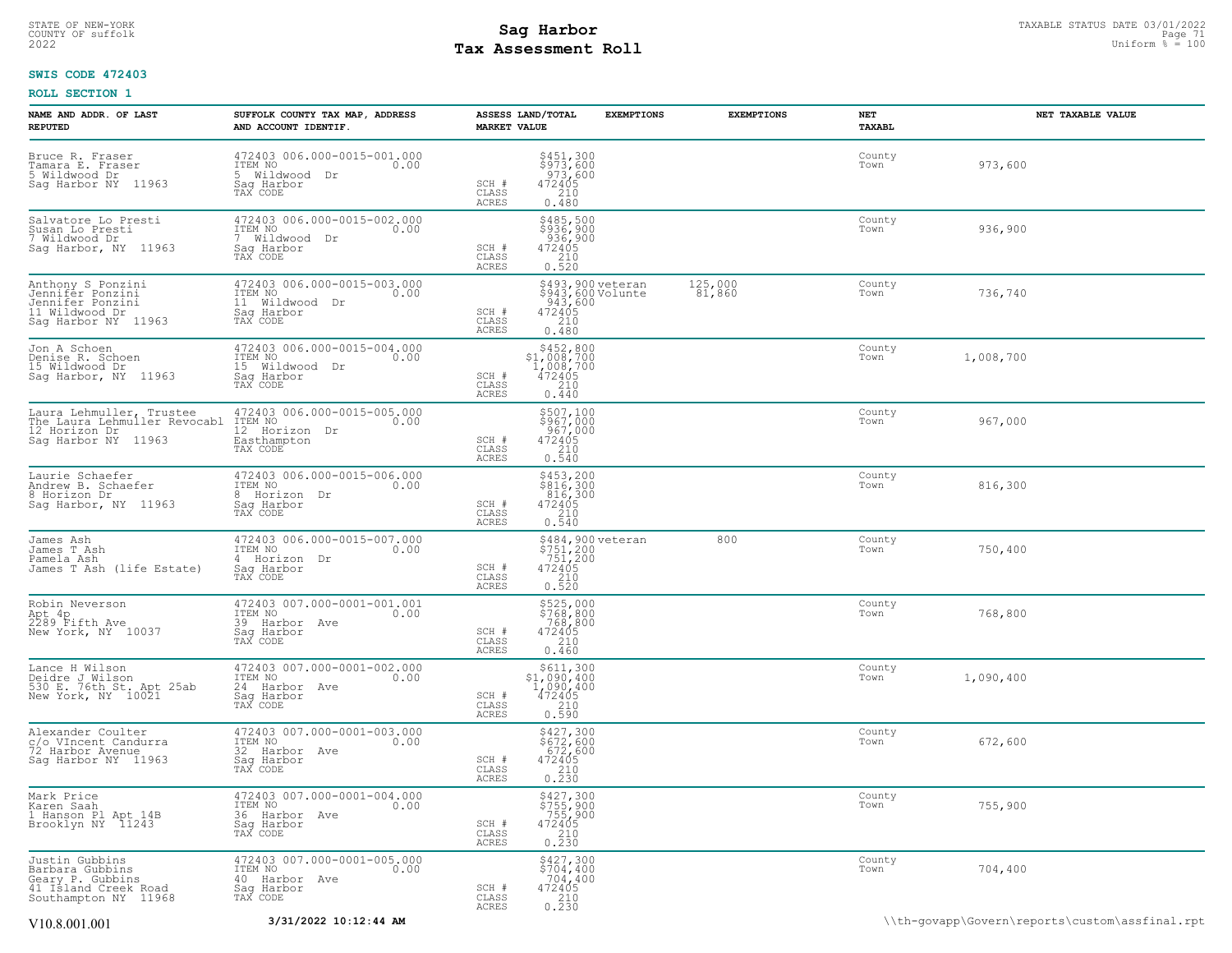## STATE OF NEW-YORK STATUS DATE 03/01/2022<br>
COUNTY OF suffolk Page 71 and the suffolk Page 71 and the suffolk Page 71 and the suffolk Page 71 and the sufform  $\frac{Paq}{r}$  and  $\frac{Paq}{r}$  and  $\frac{Paq}{r}$  and  $\frac{Paq}{r}$  and  $\frac{Paq$ **Tax Assessment Roll**

## **SWIS CODE 472403**

| NAME AND ADDR. OF LAST<br><b>REPUTED</b>                                                              | SUFFOLK COUNTY TAX MAP, ADDRESS<br>AND ACCOUNT IDENTIF.                                       | MARKET VALUE                                                                          | ASSESS LAND/TOTAL                                                                                                             | <b>EXEMPTIONS</b> | <b>EXEMPTIONS</b> | NET<br>TAXABL  |           | NET TAXABLE VALUE |
|-------------------------------------------------------------------------------------------------------|-----------------------------------------------------------------------------------------------|---------------------------------------------------------------------------------------|-------------------------------------------------------------------------------------------------------------------------------|-------------------|-------------------|----------------|-----------|-------------------|
| Bruce R. Fraser<br>Tamara E. Fraser<br>5 Wildwood Dr<br>Sag Harbor NY 11963                           | 472403 006.000-0015-001.000<br>ITEM NO<br>0.00<br>5 Wildwood Dr<br>Saq Harbor<br>TAX CODE     | SCH #<br>CLASS<br><b>ACRES</b>                                                        | $$451,300$<br>$$973,600$<br>$973,600$<br>$472405$<br>$210$<br>0.480                                                           |                   |                   | County<br>Town | 973,600   |                   |
| Salvatore Lo Presti<br>Susan Lo Presti<br>7 Wildwood Dr<br>Sag Harbor, NY 11963                       | 472403 006.000-0015-002.000<br>ITEM NO<br>7 Wildwood Dr<br>0.00<br>Sag Harbor<br>TAX CODE     | SCH #<br>CLASS<br><b>ACRES</b>                                                        | \$485,500<br>\$936,900<br>936,900<br>472405<br>210<br>0.520                                                                   |                   |                   | County<br>Town | 936,900   |                   |
| Anthony S Ponzini<br>Jennifer Ponzini<br>Jennifer Ponzini<br>11 Wildwood Dr<br>Sag Harbor NY 11963    | 472403 006.000-0015-003.000<br>ITEM NO<br>0.00<br>11 Wildwood Dr<br>Sag Harbor<br>TAX CODE    | SCH #<br>CLASS<br><b>ACRES</b>                                                        | \$493,900 veteran<br>3943,600 Volunte<br>943,600 Volunte<br>943,600<br>472405<br>210<br>0.480                                 |                   | 125,000<br>81,860 | County<br>Town | 736,740   |                   |
| Jon A Schoen<br>Denise R. Schoen<br>15 Wildwood Dr<br>Sag Harbor, NY 11963                            | 472403 006.000-0015-004.000<br>ITEM NO<br>0.00<br>15 Wildwood Dr<br>Saq Harbor<br>TAX CODE    | SCH #<br>CLASS<br>ACRES                                                               | $$452,800$<br>$$1,008,700$<br>$1,008,700$<br>$472405$<br>$210$<br>0.440                                                       |                   |                   | County<br>Town | 1,008,700 |                   |
| Laura Lehmuller, Trustee<br>The Laura Lehmuller Revocabl<br>12 Horizon Dr<br>Sag Harbor NY 11963      | 472403 006.000-0015-005.000<br>ITEM NO<br>0.00<br>12 Horizon<br>Dr<br>Easthampton<br>TAX CODE | SCH #<br>CLASS<br>ACRES                                                               | $$507,100$<br>$$967,000$<br>$967,000$<br>$472405$<br>$$210$<br>0.540                                                          |                   |                   | County<br>Town | 967,000   |                   |
| Laurie Schaefer<br>Andrew B. Schaefer<br>8 Horizon Dr<br>Sag Harbor, NY 11963                         | 472403 006.000-0015-006.000<br>ITEM NO<br>0.00<br>8 Horizon Dr<br>Saq Harbor<br>TAX CODE      | SCH #<br>CLASS<br>ACRES                                                               | \$453,200<br>\$816,300<br>816,300<br>472405<br>210<br>0.540                                                                   |                   |                   | County<br>Town | 816,300   |                   |
| James Ash<br>James T Ash<br>Pamela Ash<br>James T Ash (life Estate)                                   | 472403 006.000-0015-007.000<br>ITEM NO<br>0.00<br>4 Horizon Dr<br>Saq Harbor<br>TAX CODE      | SCH #<br>CLASS<br>ACRES                                                               | \$484,900 veteran<br>\$751,200<br>751,200<br>472405<br>210<br>0.520                                                           |                   | 800               | County<br>Town | 750,400   |                   |
| Robin Neverson<br>Apt 4p<br>2289 Fifth Ave<br>New York, NY 10037                                      | 472403 007.000-0001-001.001<br>ITEM NO<br>0.00<br>39 Harbor Ave<br>Saq Harbor<br>TAX CODE     | SCH #<br>CLASS<br>ACRES                                                               | \$525,000<br>\$768,800<br>768,800<br>472405<br>210<br>0.460                                                                   |                   |                   | County<br>Town | 768,800   |                   |
| Lance H Wilson<br>Deidre J Wilson<br>530 E. 76th St. Apt 25ab<br>New York, NY 10021                   | 472403 007.000-0001-002.000<br>ITEM NO<br>0.00<br>24 Harbor Ave<br>Sag Harbor<br>TAX CODE     | $\begin{array}{c} \text{SCH} \ \text{\#} \\ \text{CLASS} \end{array}$<br><b>ACRES</b> | $\begin{array}{r} \text{\small $\$611,300$} \\ \text{\small $51,090,400$} \\ 1,090,400 \\ 472405 \\ 210 \\ 0.590 \end{array}$ |                   |                   | County<br>Town | 1,090,400 |                   |
| Alexander Coulter<br>c/o VIncent Candurra<br>72 Harbor Avenue<br>Sag Harbor NY 11963                  | 472403 007.000-0001-003.000<br>ITEM NO<br>0.00<br>32 Harbor Ave<br>Sag Harbor<br>TAX CODE     | SCH #<br>CLASS<br>ACRES                                                               | \$427,300<br>\$672,600<br>672,600<br>472405<br>210<br>0.230                                                                   |                   |                   | County<br>Town | 672,600   |                   |
| Mark Price<br>Karen Saah<br>1 Hanson Pl Apt 14B<br>Brooklyn NY 11243                                  | 472403 007.000-0001-004.000<br>ITEM NO<br>0.00<br>36 Harbor Ave<br>Saq Harbor<br>TAX CODE     | SCH #<br>CLASS<br>ACRES                                                               | \$427,300<br>\$755,900<br>755,900<br>472405<br>$\begin{array}{c} 210 \\ 0.230 \end{array}$                                    |                   |                   | County<br>Town | 755,900   |                   |
| Justin Gubbins<br>Barbara Gubbins<br>Geary P. Gubbins<br>41 Island Creek Road<br>Southampton NY 11968 | 472403 007.000-0001-005.000<br>ITEM NO<br>0.00<br>40 Harbor Ave<br>Sag Harbor<br>TAX CODE     | SCH #<br>CLASS<br><b>ACRES</b>                                                        | \$427,300<br>\$704,400<br>$704,400$<br>$472405$<br>$210$<br>$0.230$                                                           |                   |                   | County<br>Town | 704,400   |                   |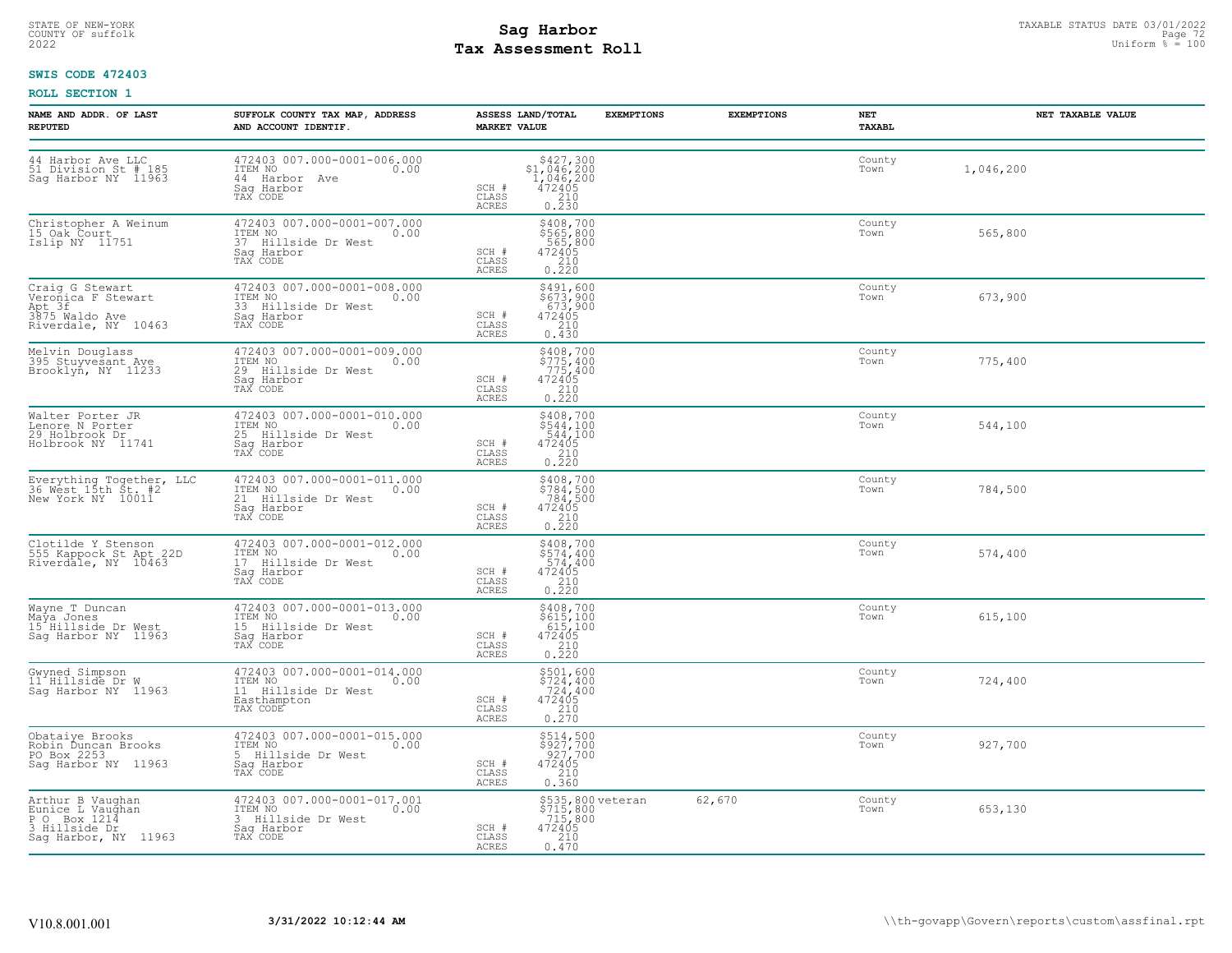# STATE OF NEW-YORK STATUS DATE 03/01/2022<br>
COUNTY OF suffolk Page 72 Uniform % = 100<br>
2022 Pay Assessment Roll **Tax Assessment Roll**

## **SWIS CODE 472403**

| NAME AND ADDR. OF LAST<br><b>REPUTED</b>                                                      | SUFFOLK COUNTY TAX MAP, ADDRESS<br>AND ACCOUNT IDENTIF.                                          | <b>MARKET VALUE</b>            | ASSESS LAND/TOTAL                                                                                                                                                                              | <b>EXEMPTIONS</b> | <b>EXEMPTIONS</b> | NET<br>TAXABL  | NET TAXABLE VALUE |
|-----------------------------------------------------------------------------------------------|--------------------------------------------------------------------------------------------------|--------------------------------|------------------------------------------------------------------------------------------------------------------------------------------------------------------------------------------------|-------------------|-------------------|----------------|-------------------|
| 44 Harbor Ave LLC<br>51 Division St # 185<br>Sag Harbor NY 11963                              | 472403 007.000-0001-006.000<br>ITEM NO<br>0.00<br>44 Harbor Ave<br>Saq Harbor<br>TAX CODE        | SCH #<br>CLASS<br><b>ACRES</b> | ${\begin{array}{c} 5427,300\\ 51,046,200\\ 1,046,200\\ 472405\\ 210\\ 0.230 \end{array}}$                                                                                                      |                   |                   | County<br>Town | 1,046,200         |
| Christopher A Weinum<br>15 Oak Court<br>Islip NY 11751                                        | 472403 007.000-0001-007.000<br>ITEM NO<br>37 Hillside Dr West<br>0.00<br>Saq Harbor<br>TAX CODE  | SCH #<br>CLASS<br>ACRES        | \$408,700<br>\$565,800<br>565,800<br>472405<br>$\frac{210}{0.220}$                                                                                                                             |                   |                   | County<br>Town | 565,800           |
| Craig G Stewart<br>Veronica F Stewart<br>Apt 3f<br>3875 Waldo Ave<br>Riverdale, NY 10463      | 472403 007.000-0001-008.000<br>ITEM NO 0.00<br>33 Hillside Dr West<br>Sag Harbor<br>TAX CODE     | SCH #<br>CLASS<br>ACRES        | \$491,600<br>\$673,900<br>673,900<br>472405<br>210<br>0.430                                                                                                                                    |                   |                   | County<br>Town | 673,900           |
| Melvin Douglass<br>395 Stuyvesant Ave<br>Brooklyn, NY 11233                                   | 472403 007.000-0001-009.000<br>ITEM NO<br>29 Hillside Dr West<br>Sag Harbor<br>TAX CODE          | SCH #<br>CLASS<br>ACRES        | \$408,700<br>\$775,400<br>775,400<br>472405<br>$\begin{array}{c} 210 \\ 0.220 \end{array}$                                                                                                     |                   |                   | County<br>Town | 775,400           |
| Walter Porter JR<br>Lenore N Porter<br>29 Holbrook Dr<br>Holbrook NY 11741                    | 472403 007.000-0001-010.000<br>ITEM NO 0.00<br>25 Hillside Dr West<br>Sag Harbor<br>TAX CODE     | SCH #<br>CLASS<br>ACRES        | \$408,700<br>\$544,100<br>544,100<br>472405<br>$\begin{array}{c} 210 \\ 0.220 \end{array}$                                                                                                     |                   |                   | County<br>Town | 544,100           |
| Everything Together, LLC<br>36 West 15th St. #2<br>New York NY 10011                          | 472403 007.000-0001-011.000<br>ITEM NO 0.00<br>21 Hillside Dr West<br>Saq Harbor<br>TAX CODE     | SCH #<br>CLASS<br>ACRES        | $$784,500$<br>$$784,500$<br>$$784,500$<br>$472405$<br>$$210$<br>0.220                                                                                                                          |                   |                   | County<br>Town | 784,500           |
| Clotilde Y Stenson<br>555 Kappock St Apt 22D<br>Riverdale, NY 10463                           | 472403 007.000-0001-012.000<br>ITEM NO 0.00<br>17 Hillside Dr West<br>Saq Harbor<br>TAX CODE     | SCH #<br>CLASS<br>ACRES        | $$408,700$<br>$$574,400$<br>$$574,400$<br>$472405$<br>$\begin{array}{c} 210 \\ 0.220 \end{array}$                                                                                              |                   |                   | County<br>Town | 574,400           |
| Wayne T Duncan<br>Maya Jones<br>15 Hillside Dr West<br>Sag Harbor NY 11963                    | 472403 007.000-0001-013.000<br>ITEM NO<br>15 Hillside Dr West<br>0.00<br>Sag Harbor<br>TAX CODE  | SCH #<br>CLASS<br><b>ACRES</b> | $\begin{array}{r} \texttt{\small $5408,700$} \\ \texttt{\small $5615,100$} \\ \texttt{\small $615,100$} \\ \texttt{\small 472405} \\ \texttt{\small 210} \\ \texttt{\small 0.220} \end{array}$ |                   |                   | County<br>Town | 615,100           |
| Gwyned Simpson<br>11 Hillside Dr W<br>Sag Harbor NY 11963                                     | 472403 007.000-0001-014.000<br>ITEM NO<br>0.00<br>11 Hillside Dr West<br>Easthampton<br>TAX CODE | SCH #<br>CLASS<br><b>ACRES</b> | \$501,600<br>\$724,400<br>$724,400$<br>$472405$<br>$210$<br>$0.270$                                                                                                                            |                   |                   | County<br>Town | 724,400           |
| Obataiye Brooks<br>Robin Dungan Brooks<br>PO Box 2253<br>Saq Harbor NY 11963                  | 472403 007.000-0001-015.000<br>ITEM NO<br>0.00<br>5 Hillside Dr West<br>Saq Harbor<br>TAX CODE   | SCH #<br>CLASS<br>ACRES        | \$514,500<br>\$927,700<br>927,700<br>472405<br>$\begin{array}{c} 210 \\ 0.360 \end{array}$                                                                                                     |                   |                   | County<br>Town | 927,700           |
| Arthur B Vaughan<br>Eunice L Vaughan<br>P O Box 1214<br>3 Hillside Dr<br>Sag Harbor, NY 11963 | 472403 007.000-0001-017.001<br>ITEM NO 0.00<br>3 Hillside Dr West<br>Saq Harbor<br>TAX CODE      | SCH #<br>CLASS<br>ACRES        | \$535,800 veteran<br>\$715,800<br>.715,800<br>472405<br>210<br>0.470                                                                                                                           |                   | 62,670            | County<br>Town | 653,130           |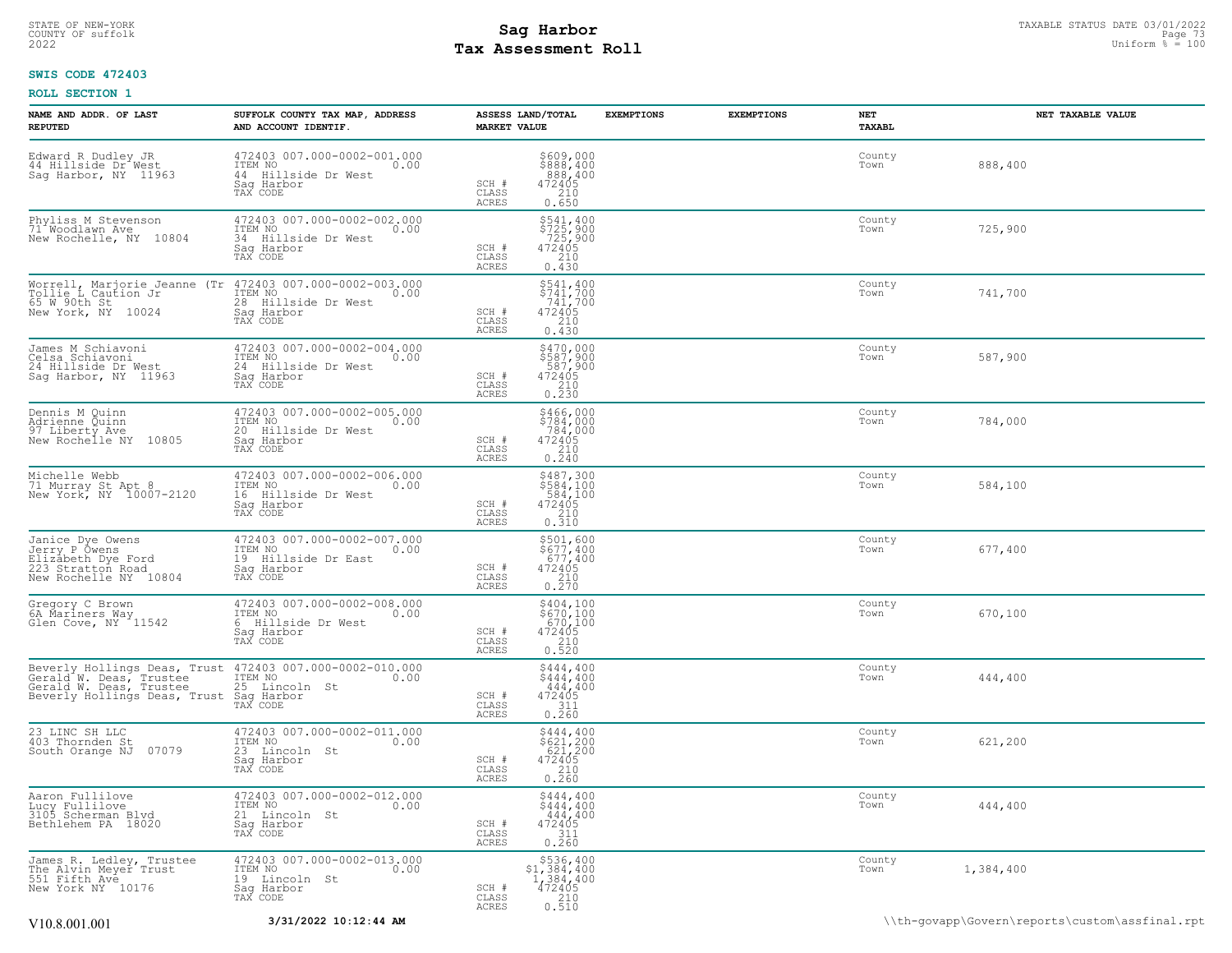### STATE OF NEW-YORK STATUS DATE 03/01/2022<br>
COUNTY OF suffolk Page 73 and County of Sage 73 and County of Sage 73 and County of Sage 73 and County of Sage 73<br>
2022 May **Assessment Roll Tax Assessment Roll**

### **SWIS CODE 472403**

| NAME AND ADDR. OF LAST<br><b>REPUTED</b>                                                                                                                                      | SUFFOLK COUNTY TAX MAP, ADDRESS<br>AND ACCOUNT IDENTIF.                                         | ASSESS LAND/TOTAL<br><b>MARKET VALUE</b>                                                                                         | <b>EXEMPTIONS</b> | <b>EXEMPTIONS</b> | NET<br>TAXABL  | NET TAXABLE VALUE |
|-------------------------------------------------------------------------------------------------------------------------------------------------------------------------------|-------------------------------------------------------------------------------------------------|----------------------------------------------------------------------------------------------------------------------------------|-------------------|-------------------|----------------|-------------------|
| Edward R Dudley JR<br>44 Hillside Dr <sup>4</sup> West<br>Sag Harbor, NY 11963                                                                                                | 472403 007.000-0002-001.000<br>ITEM NO<br>0.00<br>44 Hillside Dr West<br>Sag Harbor<br>TAX CODE | \$609,000<br>\$888,400<br>888,400<br>472405<br>SCH #<br>CLASS<br>$\begin{array}{c} 210 \\ 0.650 \end{array}$<br>ACRES            |                   |                   | County<br>Town | 888,400           |
| Phyliss M Stevenson<br>71 Woodlawn Ave<br>New Rochelle, NY 10804                                                                                                              | 472403 007.000-0002-002.000<br>ITEM NO<br>0.00<br>34 Hillside Dr West<br>Sag Harbor<br>TAX CODE | \$541,400<br>\$725,900<br>725,900<br>472405<br>SCH #<br>CLASS<br>210<br>0.430<br><b>ACRES</b>                                    |                   |                   | County<br>Town | 725,900           |
| Morrell, Marjorie Jeanne (Tr 472403 007.000-0002-003.000<br>Tollie L Caution Jr<br>65 W 90th St<br>New York, NY<br>10024                                                      | ITEM NO<br>0.00<br>28 Hillside Dr West<br>Sag Harbor<br>TAX CODE                                | $$741, 400$<br>$$741, 700$<br>$741, 700$<br>$472405$<br>$SCH$ #<br>CLASS<br>210<br><b>ACRES</b><br>0.430                         |                   |                   | County<br>Town | 741,700           |
| James M Schiavoni<br>Celsa Schiavoni<br>24 Hillside Dr West<br>Sag Harbor, NY 11963                                                                                           | 472403 007.000-0002-004.000<br>ITEM NO<br>0.00<br>24 Hillside Dr West<br>Sag Harbor<br>TAX CODE | $\begin{array}{c} 5470,000 \\ 5587,900 \\ 587,900 \\ 472405 \\ 210 \\ 0.230 \end{array}$<br>SCH #<br>CLASS<br>ACRES              |                   |                   | County<br>Town | 587,900           |
| Dennis M Quinn<br>Adrienne Quinn<br>97 Liberty Ave<br>New Rochelle NY 10805                                                                                                   | 472403 007.000-0002-005.000<br>ITEM NO<br>0.00<br>20 Hillside Dr West<br>Saq Harbor<br>TAX CODE | $$466,000$<br>$$784,000$<br>$$784,000$<br>$472405$<br>$$210$<br>SCH #<br>CLASS<br>ACRES<br>0.240                                 |                   |                   | County<br>Town | 784,000           |
| Michelle Webb<br>71 Murray St Apt 8<br>New York, NY 10007-2120                                                                                                                | 472403 007.000-0002-006.000<br>TTEM NO 0.00<br>16 Hillside Dr West<br>Saq Harbor<br>TAX CODE    | \$487,300<br>\$584,100<br>584,100<br>472405<br>SCH #<br>CLASS<br>$\frac{210}{0.310}$<br>ACRES                                    |                   |                   | County<br>Town | 584,100           |
| Janice Dye Owens<br>Jerry P Owens<br>Elizabeth Dye Ford<br>223 Stratton Road<br>New Rochelle NY 10804                                                                         | 472403 007.000-0002-007.000<br>ITEM NO<br>0.00<br>19 Hillside Dr East<br>Saq Harbor<br>TAX CODE | \$501,600<br>\$677,400<br>677,400<br>472405<br>SCH #<br>CLASS<br>$0.210$<br>$0.270$<br>ACRES                                     |                   |                   | County<br>Town | 677,400           |
| Gregory C Brown<br>64 Mariners May<br>Glen Cove, NY 11542                                                                                                                     | 472403 007.000-0002-008.000<br>ITEM NO<br>0.00<br>6 Hillside Dr West<br>Saq Harbor<br>TAX CODE  | \$404,100<br>\$670,100<br>670,100<br>472405<br>SCH #<br>CLASS<br>0.320<br><b>ACRES</b>                                           |                   |                   | County<br>Town | 670,100           |
| Beverly Hollings Deas, Trust 472403 007.000-0002-010.000<br>Gerald M. Deas, Trustee ITEM NO<br>Gerald W. Deas, Trustee<br>Beverly Hollings Deas, Trust Sag Harbor<br>TAX CODE | 25 Lincoln St                                                                                   | \$444,400<br>$\frac{444}{444}$ , 400<br>444, 400<br>472405<br>SCH #<br>CLASS<br>0.260<br>ACRES                                   |                   |                   | County<br>Town | 444,400           |
| 23 LINC SH LLC<br>403 Thornden St<br>South Orange NJ<br>07079                                                                                                                 | 472403 007.000-0002-011.000<br>ITEM NO<br>0.00<br>23 Lincoln St<br>Saq Harbor<br>TAX CODE       | \$444,400<br>\$621,200<br>621,200<br>472405<br>SCH #<br>CLASS<br>$\begin{array}{c} 210 \\ 0.260 \end{array}$<br><b>ACRES</b>     |                   |                   | County<br>Town | 621,200           |
| Aaron_Fullilove<br>Lucy Fullilove<br>3105 Scherman Blvd<br>Bethlehem PA 18020                                                                                                 | 472403 007.000-0002-012.000<br>TTEM NO 0.00<br>0.00<br>21 Lincoln St<br>Saq Harbor<br>TAX CODE  | \$444,400<br>\$444,400<br>$444,400$<br>$472405$<br>SCH #<br>CLASS<br>$\frac{311}{0.260}$<br>ACRES                                |                   |                   | County<br>Town | 444,400           |
| James R. Ledley, Trustee<br>The Alvin Meyer Trust<br>551 Fifth Ave<br>New York NY 10176                                                                                       | 472403 007.000-0002-013.000<br>TTEM NO 0.00<br>0.00<br>19 Lincoln St<br>Saq Harbor<br>TAX CODE  | $\begin{array}{r} $536,400 \\ $1,384,400 \\ $1,384,400 \\ $472405 \end{array}$<br>SCH #<br>CLASS<br>210<br><b>ACRES</b><br>0.510 |                   |                   | County<br>Town | 1,384,400         |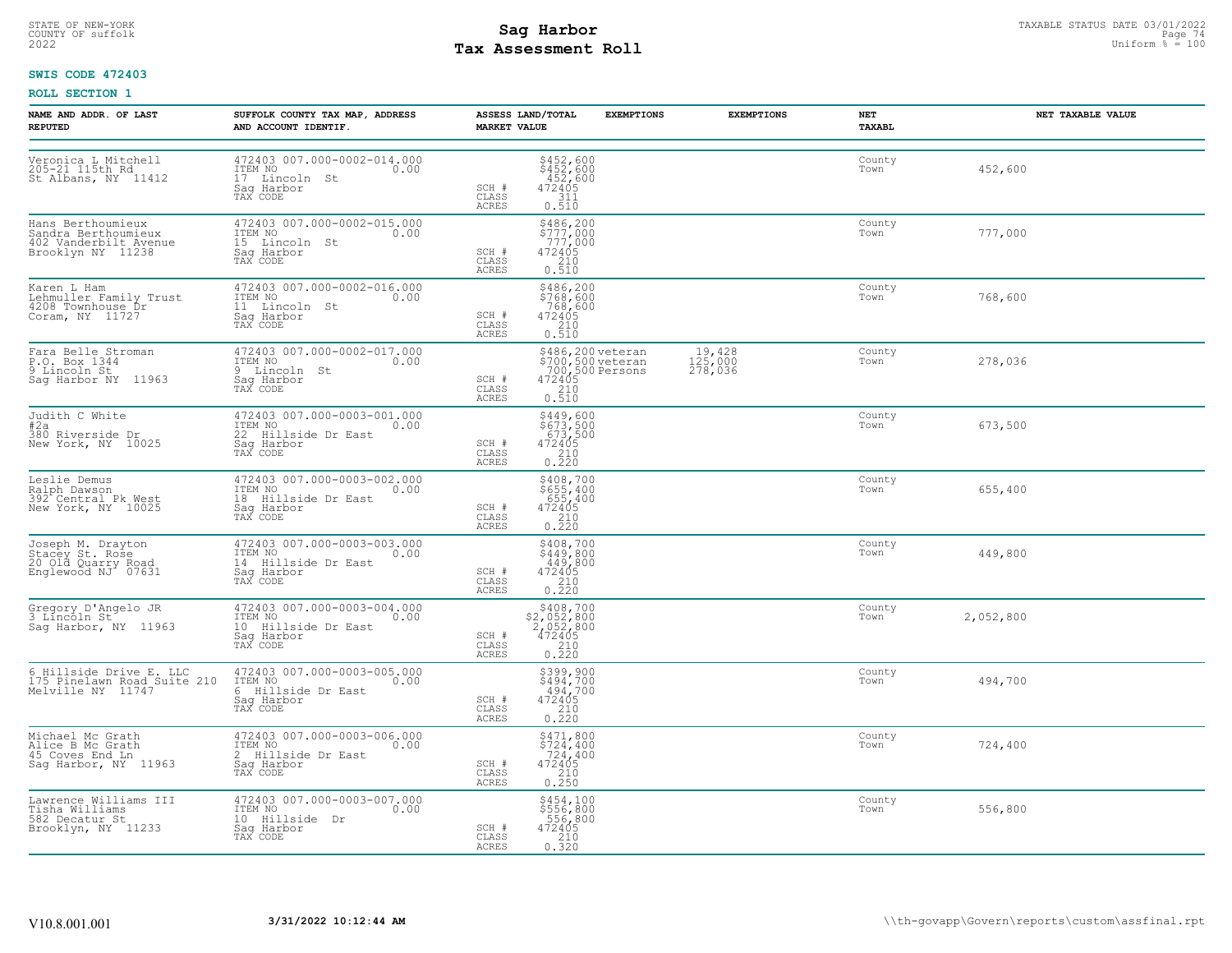# STATE OF NEW-YORK STATUS DATE 03/01/2022<br>
COUNTY OF suffolk Page 74<br>
2022 **Fax Assessment Roll** Page 74 and County of Support <sup>8</sup> = 100 **Tax Assessment Roll**

### **SWIS CODE 472403**

| NAME AND ADDR. OF LAST<br><b>REPUTED</b>                                               | SUFFOLK COUNTY TAX MAP, ADDRESS<br>AND ACCOUNT IDENTIF.                                         | <b>MARKET VALUE</b>            | ASSESS LAND/TOTAL                                                                                                                        | <b>EXEMPTIONS</b> | <b>EXEMPTIONS</b>                | NET<br>TAXABL  |           | NET TAXABLE VALUE |
|----------------------------------------------------------------------------------------|-------------------------------------------------------------------------------------------------|--------------------------------|------------------------------------------------------------------------------------------------------------------------------------------|-------------------|----------------------------------|----------------|-----------|-------------------|
| Veronica L Mitchell<br>205-21 115th Rd<br>St Albans, NY 11412                          | 472403 007.000-0002-014.000<br>ITEM NO<br>0.00<br>17 Lincoln St<br>Sag Harbor<br>TAX CODE       | SCH #<br>CLASS<br>ACRES        | \$452,600<br>\$452,600<br>452,600<br>472405<br>311<br>0.510                                                                              |                   |                                  | County<br>Town | 452,600   |                   |
| Hans Berthoumieux<br>Sandra Berthoumieux<br>402 Vanderbilt Avenue<br>Brooklyn NY 11238 | 472403 007.000-0002-015.000<br>ITEM NO<br>0.00<br>15 Lincoln St<br>Saq Harbor<br>TAX CODE       | SCH #<br>CLASS<br>ACRES        | $$486, 200$<br>$$777, 000$<br>$777, 000$<br>$472405$<br>$$210$<br>0.510                                                                  |                   |                                  | County<br>Town | 777,000   |                   |
| Karen L Ham<br>Lehmuller Family Trust<br>4208 Townhouse Dr<br>Coram, NY 11727          | 472403 007.000-0002-016.000<br>ITEM NO<br>0.00<br>11 Lincoln St<br>Saq Harbor<br>TAX CODE       | SCH #<br>CLASS<br>ACRES        | \$486,200<br>\$768,600<br>768,600<br>472405<br>$\begin{array}{c} 210 \\ 0.510 \end{array}$                                               |                   |                                  | County<br>Town | 768,600   |                   |
| Fara Belle Stroman<br>P.O. Box 1344<br>9 Lincoln St<br>Saq Harbor NY 11963             | 472403 007.000-0002-017.000<br>ITEM NO 0.00<br>9 Lincoln St<br>Sag Harbor<br>TAX CODE           | SCH #<br>CLASS<br><b>ACRES</b> | \$486,200 veteran<br>\$700,500 veteran<br>700,500 Persons<br>$\begin{array}{r}472405\\210\\0.510\end{array}$                             |                   | $19,428$<br>$125,000$<br>278,036 | County<br>Town | 278,036   |                   |
| Judith C White<br>#2a<br>#2a<br>380 Riverside Dr<br>New York, NY 10025                 | 472403 007.000-0003-001.000<br>ITEM NO<br>0.00<br>22 Hillside Dr East<br>Sag Harbor<br>TAX CODE | SCH #<br>CLASS<br><b>ACRES</b> | \$449,600<br>\$673,500<br>673,500<br>472405<br>210<br>0.220                                                                              |                   |                                  | County<br>Town | 673,500   |                   |
| Leslie Demus<br>Ralph Dawson<br>392 <sup>+</sup> Central Pk West<br>New York, NY 10025 | 472403 007.000-0003-002.000<br>ITEM NO<br>0.00<br>18 Hillside Dr East<br>Sag Harbor<br>TAX CODE | SCH #<br>CLASS<br><b>ACRES</b> | $\begin{array}{l} 5408, 700 \\ 5655, 400 \\ 655, 400 \\ 472405 \\ 210 \\ 0.220 \end{array}$                                              |                   |                                  | County<br>Town | 655,400   |                   |
| Joseph M. Drayton<br>Stacey St. Rose<br>20 Old Quarry Road<br>Englewood NJ 07631       | 472403 007.000-0003-003.000<br>ITEM NO 0.00<br>14 Hillside Dr East<br>Sag Harbor<br>TAX CODE    | SCH #<br>CLASS<br><b>ACRES</b> | $$408,700$<br>$$449,800$<br>$449,800$<br>$472405$<br>$\frac{210}{0.220}$                                                                 |                   |                                  | County<br>Town | 449,800   |                   |
| Gregory D'Angelo JR<br>3 Lincoln St<br>Sag Harbor, NY 11963                            | 472403 007.000-0003-004.000<br>ITEM NO<br>0.00<br>10 Hillside Dr East<br>Sag Harbor<br>TAX CODE | SCH #<br>CLASS<br><b>ACRES</b> | $\begin{array}{r}  \  \  \, 5408,700 \\  \  \, 2,052,800 \\  \  \, 2,052,800 \\  \  \, 472405 \\  \  \, 210 \\  \  \, 0.220 \end{array}$ |                   |                                  | County<br>Town | 2,052,800 |                   |
| 6 Hillside Drive E. LLC<br>175 Pinelawn Road Suite 210<br>Melville NY 11747            | 472403 007.000-0003-005.000<br>ITEM NO<br>0.00<br>6 Hillside Dr East<br>Sag Harbor<br>TAX CODE  | SCH #<br>CLASS<br><b>ACRES</b> | \$399,900<br>\$494,700<br>494,700<br>472405<br>$\frac{210}{0.220}$                                                                       |                   |                                  | County<br>Town | 494,700   |                   |
| Michael Mc Grath<br>Alice B Mc Grath<br>45 Coves End Ln<br>Sag Harbor, NY 11963        | 472403 007.000-0003-006.000<br>1TEM NO 0.00<br>2 Hillside Dr East<br>Saq Harbor<br>TAX CODE     | SCH #<br>CLASS<br>ACRES        | \$471,800<br>$$72\bar{4}, 400$<br>724,400<br>$\begin{array}{r} 472405 \\ 210 \\ 0.250 \end{array}$                                       |                   |                                  | County<br>Town | 724,400   |                   |
| Lawrence Williams III<br>Tisha Williams<br>582 Decatur St<br>Brooklyn, NY 11233        | 472403 007.000-0003-007.000<br>ITEM NO<br>0.00<br>10 Hillside Dr<br>Saq Harbor<br>TAX CODE      | SCH #<br>CLASS<br>ACRES        | \$454,100<br>\$556,800<br>556,800<br>472405<br>210<br>0.320                                                                              |                   |                                  | County<br>Town | 556,800   |                   |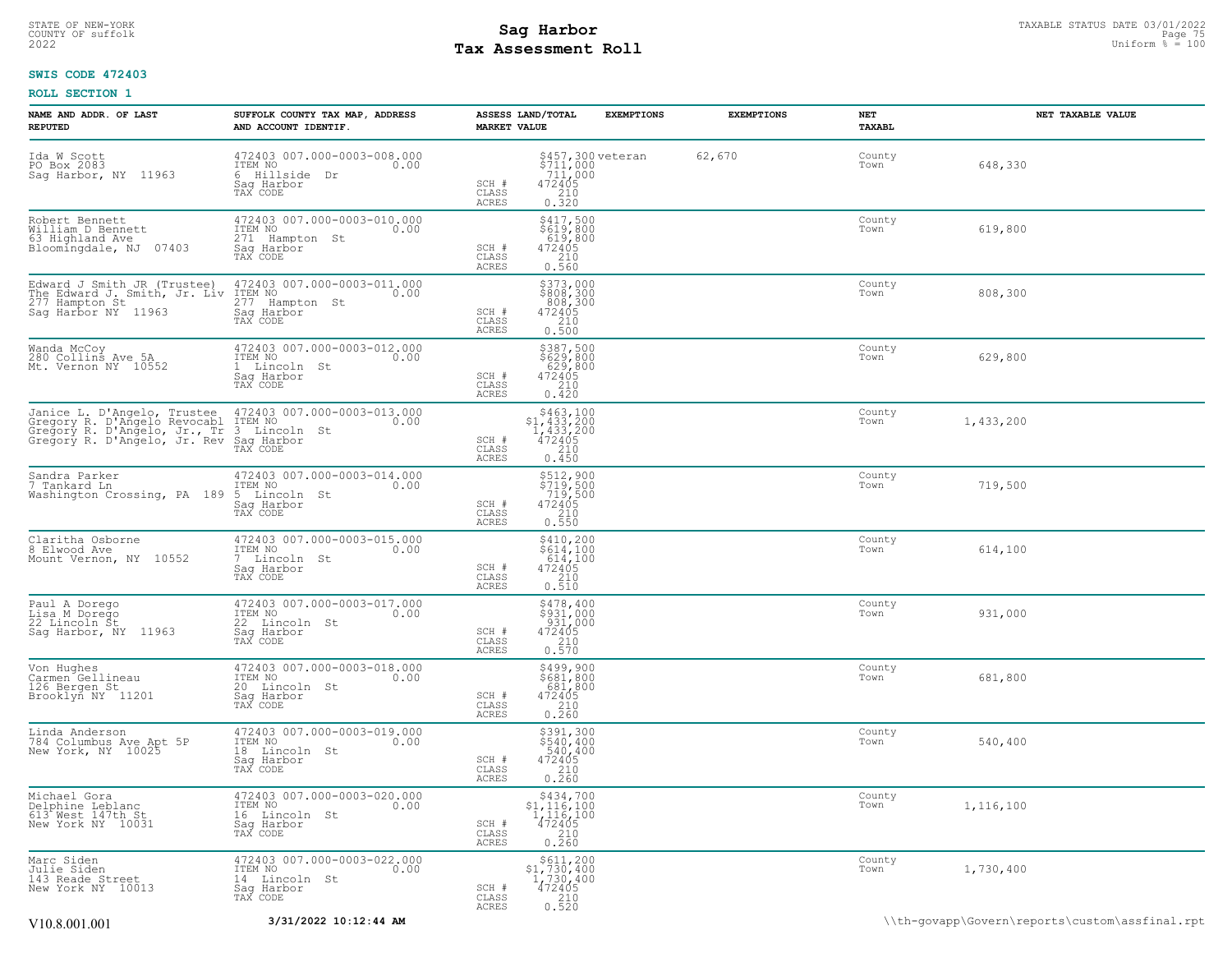### STATE OF NEW-YORK STATUS DATE 03/01/2022<br>
COUNTY OF suffolk Page 75 and the suffolk Page 75 and the suffolk Page 75 and the suffolk Page 75 and the sufform % = 100<br>
2022 Mage 75 and the subset of the sufform % = 100 **Tax Assessment Roll**

### **SWIS CODE 472403**

| NAME AND ADDR. OF LAST<br><b>REPUTED</b>                                                                                                                                                | SUFFOLK COUNTY TAX MAP, ADDRESS<br>AND ACCOUNT IDENTIF.                                    | ASSESS LAND/TOTAL<br><b>MARKET VALUE</b>                                                                                           | <b>EXEMPTIONS</b>                                          | <b>EXEMPTIONS</b> | NET<br>TAXABL  | NET TAXABLE VALUE |
|-----------------------------------------------------------------------------------------------------------------------------------------------------------------------------------------|--------------------------------------------------------------------------------------------|------------------------------------------------------------------------------------------------------------------------------------|------------------------------------------------------------|-------------------|----------------|-------------------|
| Ida W Scott<br>PO Box 2083<br>Sag Harbor, NY 11963                                                                                                                                      | 472403 007.000-0003-008.000<br>ITEM NO<br>0.00<br>6 Hillside Dr<br>Saq Harbor<br>TAX CODE  | SCH #<br>CLASS<br>0.320<br><b>ACRES</b>                                                                                            | \$457,300 veteran<br>\$711,000<br>711,000<br>472405<br>210 | 62,670            | County<br>Town | 648,330           |
| Robert Bennett<br>William D Bennett<br>63 Highland Ave<br>07403<br>Bloomingdale, NJ                                                                                                     | 472403 007.000-0003-010.000<br>ITEM NO<br>271 Hampton St<br>0.00<br>Sag Harbor<br>TAX CODE | $$417,500$<br>$$619,800$<br>$619,800$<br>$472405$<br>$$210$<br>SCH #<br>CLASS<br>0.560<br><b>ACRES</b>                             |                                                            |                   | County<br>Town | 619,800           |
| Edward J Smith JR (Trustee)<br>The Edward J. Smith, Jr. Liv<br>277 Hampton St<br>Sag Harbor NY 11963                                                                                    | 472403 007.000-0003-011.000<br>ITEM NO<br>277 Hampton St<br>0.00<br>Sag Harbor<br>TAX CODE | \$373,000<br>\$808,300<br>808,300<br>472405<br>210<br>0.500<br>SCH #<br>CLASS<br><b>ACRES</b>                                      |                                                            |                   | County<br>Town | 808,300           |
| Wanda McCoy<br>280 Collins Ave 5A<br>Mt. Vernon NY 10552                                                                                                                                | 472403 007.000-0003-012.000<br>ITEM NO<br>0.00<br>1 Lincoln St<br>Sag Harbor<br>TAX CODE   | $$387,500$<br>$$629,800$<br>$629,800$<br>$472405$<br>$210$<br>SCH #<br>CLASS<br>ACRES<br>0.420                                     |                                                            |                   | County<br>Town | 629,800           |
| Janice L. D'Angelo, Trustee 472403 007.000-<br>Gregory R. D'Angelo Revocabl ITEM NO<br>Gregory R. D'Angelo, Jr., Tr 3 Lincoln St<br>Gregory R. D'Angelo, Jr. Rev Sag Harbor<br>TAX CODE | 472403 007.000-0003-013.000<br>0.00                                                        | $$463,100$<br>$$1,433,200$<br>$1,433,200$<br>$472405$<br>$210$<br>SCH #<br>CLASS<br><b>ACRES</b><br>0.450                          |                                                            |                   | County<br>Town | 1,433,200         |
| Sandra Parker<br>7 Tankard Ln<br>Washington Crossing, PA 189                                                                                                                            | 472403 007.000-0003-014.000<br>ITEM NO<br>0.00<br>5 Lincoln St<br>Saq Harbor<br>TAX CODE   | \$512,900<br>\$719,500<br>719,500<br>472405<br>210<br>$SCH$ $#$<br>CLASS<br>0.550<br>ACRES                                         |                                                            |                   | County<br>Town | 719,500           |
| Claritha Osborne<br>8 Elwood Ave<br>Mount Vernon, NY 10552                                                                                                                              | 472403 007.000-0003-015.000<br>ITEM NO<br>0.00<br>7 Lincoln St<br>Saq Harbor<br>TAX CODE   | $$410, 200$<br>$$614, 100$<br>$614, 100$<br>SCH #<br>472405<br>210<br>CLASS<br>0.510<br>ACRES                                      |                                                            |                   | County<br>Town | 614,100           |
| Paul A Dorego<br>Lisa M Dorego<br>22 Lincoln St<br>Saq Harbor, NY 11963                                                                                                                 | 472403 007.000-0003-017.000<br>ITEM NO<br>0.00<br>22 Lincoln St<br>Saq Harbor<br>TAX CODE  | \$478,400<br>\$931,000<br>931,000<br>SCH #<br>$\frac{472405}{210}$<br>CLASS<br>0.570<br><b>ACRES</b>                               |                                                            |                   | County<br>Town | 931,000           |
| Von Hughes<br>Carmen Gellineau<br>126 Bergen St<br>Brooklyn NY 11201                                                                                                                    | 472403 007.000-0003-018.000<br>ITEM NO<br>0.00<br>20 Lincoln St<br>Sag Harbor<br>TAX CODE  | \$499,900<br>\$681,800<br>681,800<br>SCH #<br>$472405$<br>$210$<br>CLASS<br>0.260<br>ACRES                                         |                                                            |                   | County<br>Town | 681,800           |
| Linda Anderson<br>784 Columbus Ave Apt 5P<br>New York, NY 10025                                                                                                                         | 472403 007.000-0003-019.000<br>ITEM NO<br>0.00<br>18 Lincoln St<br>Sag Harbor<br>TAX CODE  | $5391,300540,400540,400472405210$<br>SCH #<br>CLASS<br>0.260<br>ACRES                                                              |                                                            |                   | County<br>Town | 540,400           |
| Michael Gora<br>Delphine Leblanc<br>613 West 147th St<br>New York NY 10031                                                                                                              | 472403 007.000-0003-020.000<br>ITEM NO<br>0.00<br>16 Lincoln St<br>Saq Harbor<br>TAX CODE  | \$434,700<br>\$1,116,100<br>$\begin{smallmatrix} 1,116,100 \\ 472405 \\ 210 \end{smallmatrix}$<br>SCH #<br>CLASS<br>ACRES<br>0.260 |                                                            |                   | County<br>Town | 1,116,100         |
| Marc Siden<br>Julie Siden<br>143 Reade Street<br>New York NY 10013                                                                                                                      | 472403 007.000-0003-022.000<br>ITEM NO<br>0.00<br>14 Lincoln St<br>Saq Harbor<br>TAX CODE  | \$611,200<br>$$1,730,400$<br>1,730,400<br>472405<br>2,10<br>SCH #<br>CLASS<br>ACRES<br>0.520                                       |                                                            |                   | County<br>Town | 1,730,400         |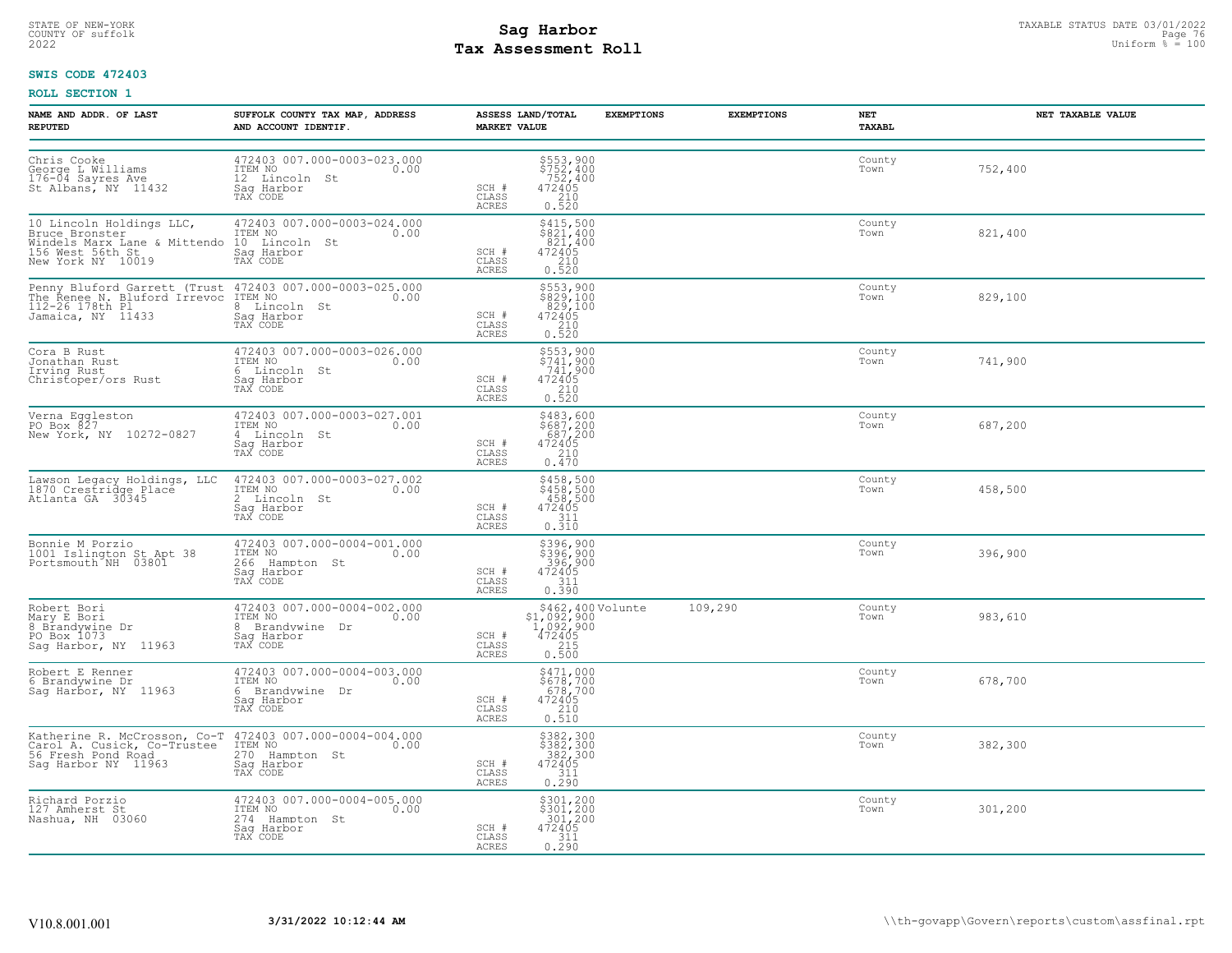# STATE OF NEW-YORK STATUS DATE 03/01/2022<br>
COUNTY OF suffolk Page 76 OF Page 76<br>
2022 Pay Assessment Roll **Tax Assessment Roll**

### **SWIS CODE 472403**

| NAME AND ADDR. OF LAST<br><b>REPUTED</b>                                                                                                                                  | SUFFOLK COUNTY TAX MAP, ADDRESS<br>AND ACCOUNT IDENTIF.                                                                                                                                                                                                                                                         | ASSESS LAND/TOTAL<br><b>MARKET VALUE</b>                                                                                               | <b>EXEMPTIONS</b> | <b>EXEMPTIONS</b><br>NET<br>TAXABL | NET TAXABLE VALUE |
|---------------------------------------------------------------------------------------------------------------------------------------------------------------------------|-----------------------------------------------------------------------------------------------------------------------------------------------------------------------------------------------------------------------------------------------------------------------------------------------------------------|----------------------------------------------------------------------------------------------------------------------------------------|-------------------|------------------------------------|-------------------|
| Chris Cooke<br>George L Williams<br>176-04 Sayres Ave<br>St Albans, NY 11432                                                                                              | 472403 007.000-0003-023.000<br>ITEM NO<br>0.00<br>12 Lincoln St<br>Sag Harbor<br>TAX CODE                                                                                                                                                                                                                       | $$752, 400$<br>$$752, 400$<br>$$72405$<br>$$210$<br>SCH #<br>CLASS<br><b>ACRES</b><br>0.520                                            |                   | County<br>Town                     | 752,400           |
| 10 Lincoln Holdings LLC,<br>Bruce Bronster [1,1,1,1]<br>Consect of TEM NO<br>Windels Marx Lane & Mittendo 10 Lincoln St<br>156 West 56th St<br>New York NY 10019 TAX CODE | 472403 007.000-0003-024.000<br>ITEM NO<br>0.00                                                                                                                                                                                                                                                                  | $$415,500$<br>$$821,400$<br>$821,400$<br>$472405$<br>SCH #<br>$\begin{array}{c} 210 \\ 0.520 \end{array}$<br>CLASS<br>ACRES            |                   | County<br>Town                     | 821,400           |
| Penny Bluford Garrett (Trust 472403 007.000-0003-025.000<br>The Renee N. Bluford Irrevoc ITEM NO<br>112-26 178th Pl.os 8 Lincoln St<br>Jamaica, NY 11433                  | 8 Lincoln St<br>Saq Harbor<br>TAX CODE                                                                                                                                                                                                                                                                          | \$553,900<br>\$829,100<br>829,100<br>SCH #<br>472405<br>CLASS<br>$\frac{210}{0.520}$<br>ACRES                                          |                   | County<br>Town                     | 829,100           |
| Cora B Rust<br>Jonathan Rust<br>Irving Rust<br>Christoper/ors Rust                                                                                                        | 472403 007.000-0003-026.000<br>ITEM NO WELL TO SERVE THE STATE OF THE STATE OF THE STATE OF THE STATE OF THE STATE OF THE STATE OF THE STATE OF THE STATE OF THE STATE OF THE STATE OF THE STATE OF THE STATE OF THE STATE OF THE STATE OF THE STATE OF THE S<br>0.00<br>6 Lincoln St<br>Sag Harbor<br>TAX CODE | \$553,900<br>\$741,900<br>741,900<br>472405<br>SCH #<br>210<br>CLASS<br>0.520<br>ACRES                                                 |                   | County<br>Town                     | 741,900           |
| Verna Eggleston<br>PO Box 827<br>New York, NY 10272-0827                                                                                                                  | 472403 007.000-0003-027.001<br>ITEM NO<br>0.00<br>4 Lincoln St<br>Sag Harbor<br>TAX CODE                                                                                                                                                                                                                        | $$483,600$<br>$$687,200$<br>$687,200$<br>$472405$<br>$210$<br>SCH #<br>CLASS<br>0.470<br>ACRES                                         |                   | County<br>Town                     | 687,200           |
| Lawson Legacy Holdings, LLC<br>1870 Crestridge Place<br>Atlanta GA 30345                                                                                                  | 472403 007.000-0003-027.002<br>ITEM NO<br>0.00<br>2 Lincoln St<br>Saq Harbor<br>TAX CODE                                                                                                                                                                                                                        | $$458,500$<br>$$458,500$<br>$458,500$<br>$472405$<br>$$311$<br>SCH #<br>CLASS<br>0.310<br>ACRES                                        |                   | County<br>Town                     | 458,500           |
| Bonnie M Porzio<br>1001 Islington St Apt 38<br>Portsmouth NH 03801                                                                                                        | 472403 007.000-0004-001.000<br>ITEM NO 0.00<br>266 Hampton St<br>Saq Harbor<br>TAX CODE                                                                                                                                                                                                                         | \$396,900<br>\$396,900<br>396,900<br>472405<br>SCH #<br>CLASS<br>311<br>0.390<br>ACRES                                                 |                   | County<br>Town                     | 396,900           |
| Robert Bori<br>Mary E Bori<br>8 Brandywine Dr<br>PO Box 1073<br>Sag Harbor, NY 11963                                                                                      | 472403 007.000-0004-002.000<br>ITEM NO<br>0.00<br>8 Brandywine Dr<br>Sag Harbor<br>TAX CODE                                                                                                                                                                                                                     | $\begin{array}{r} 5462,400 \text{ Volume} \\ 51,092,900 \\ 1,092,900 \\ 472405 \\ 215 \\ 0.500 \end{array}$<br>SCH #<br>CLASS<br>ACRES | 109,290           | County<br>Town                     | 983,610           |
| Robert E Renner<br>6 Brandywine Dr<br>Sag Harbor, NY 11963                                                                                                                | 472403 007.000-0004-003.000<br>ITEM NO<br>0.00<br>6 Brandywine Dr<br>Sag Harbor<br>TAX CODE                                                                                                                                                                                                                     | \$471,000<br>\$678,700<br>678,700<br>SCH #<br>472405<br>$\frac{210}{0.510}$<br>CLASS<br>ACRES                                          |                   | County<br>Town                     | 678,700           |
| Katherine R. McCrosson, Co-T 472403 007.000-0004-004.000<br>Carol A. Cusick, Co-Trustee ITEM NO<br>56 Fresh Pond Road<br>Sag Harbor NY 11963                              | Saq Harbor<br>TAX CODE                                                                                                                                                                                                                                                                                          | \$382,300<br>\$382,300<br>382,300<br>472405<br>SCH #<br>CLASS<br>$\frac{311}{0.290}$<br>ACRES                                          |                   | County<br>Town                     | 382,300           |
| Richard Porzio<br>127 Amherst St<br>Nashua, NH 03060                                                                                                                      | 472403 007.000-0004-005.000<br>ITEM NO<br>0.00<br>274 Hampton St<br>Saq Harbor<br>TAX CODE                                                                                                                                                                                                                      | \$301,200<br>\$301,200<br>301,200<br>SCH #<br>472405<br>311<br>CLASS<br>0.290<br>ACRES                                                 |                   | County<br>Town                     | 301,200           |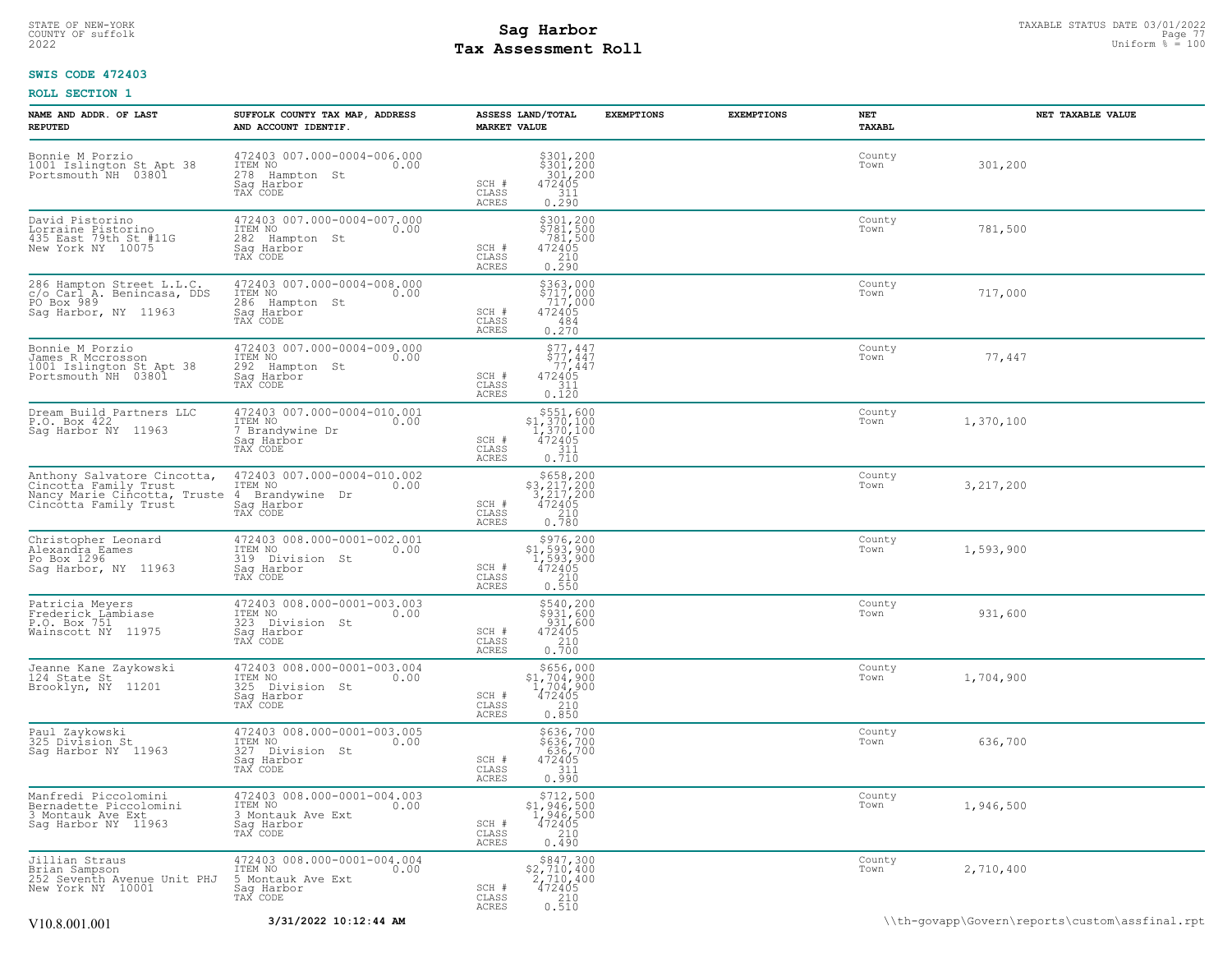### STATE OF NEW-YORK STATUS DATE 03/01/2022<br>
COUNTY OF suffolk Page 77 and the suffolk Page 77<br>
2022 Pay Assessment Roll **Tax Assessment Roll**

### **SWIS CODE 472403**

| NAME AND ADDR. OF LAST<br><b>REPUTED</b>                                                                                                                                | SUFFOLK COUNTY TAX MAP, ADDRESS<br>AND ACCOUNT IDENTIF.                                       | ASSESS LAND/TOTAL<br><b>MARKET VALUE</b>                                                                                                                                          | <b>EXEMPTIONS</b> | <b>EXEMPTIONS</b> | NET<br>TAXABL  | NET TAXABLE VALUE |
|-------------------------------------------------------------------------------------------------------------------------------------------------------------------------|-----------------------------------------------------------------------------------------------|-----------------------------------------------------------------------------------------------------------------------------------------------------------------------------------|-------------------|-------------------|----------------|-------------------|
| Bonnie M Porzio<br>1001 Islington St Apt 38<br>Portsmouth NH 03801                                                                                                      | 472403 007.000-0004-006.000<br>ITEM NO 0.00<br>278 Hampton St<br>Saq Harbor<br>TAX CODE       | $\begin{array}{r} 5301, 200 \\ 5301, 200 \\ 301, 200 \\ 472405 \\ 311 \\ 212 \end{array}$<br>SCH #<br>CLASS<br>0.290<br>ACRES                                                     |                   |                   | County<br>Town | 301,200           |
| David Pistorino<br>Lorraine Pistorino<br>435 East 79th St #11G<br>New York NY 10075                                                                                     | 472403 007.000-0004-007.000<br>ITEM NO<br>0.00<br>282 Hampton St<br>Sag Harbor<br>TAX CODE    | \$301,200<br>$\begin{array}{r} 5781, 500 \\ 781, 500 \\ 472405 \\ 210 \end{array}$<br>SCH #<br>CLASS<br>ACRES<br>0.290                                                            |                   |                   | County<br>Town | 781,500           |
| 286 Hampton Street L.L.C.<br>c/o Carl A. Benincasa, DDS<br>PO Box 989<br>Sag Harbor, NY 11963                                                                           | 472403 007.000-0004-008.000<br>ITEM NO<br>0.00<br>286 Hampton St<br>Sag Harbor<br>TAX CODE    | \$363,000<br>\$717,000<br>717,000<br>472405<br>SCH #<br>CLASS<br>484<br>ACRES<br>0.270                                                                                            |                   |                   | County<br>Town | 717,000           |
| Bonnie M Porzio<br>James R Mccrosson<br>1001 Islington St Apt 38<br>Portsmouth NH 03801                                                                                 | 472403 007.000-0004-009.000<br>ITEM NO<br>0.00<br>292 Hampton St<br>Saq Harbor<br>TAX CODE    | $$77, 447$<br>$$77, 447$<br>$$77, 447$<br>$472405$<br>SCH #<br>CLASS<br>311<br>ACRES<br>0.120                                                                                     |                   |                   | County<br>Town | 77,447            |
| Dream Build Partners LLC<br>P.O. Box 422<br>Sag Harbor NY 11963                                                                                                         | 472403 007.000-0004-010.001<br>ITEM NO<br>0.00<br>7 Brandywine Dr<br>Sag Harbor<br>TAX CODE   | \$551,600<br>$\begin{array}{r} 3331,800\\ 1,370,100\\ 1,370,100\\ 472405\\ 311\\ 0.710 \end{array}$<br>SCH #<br>CLASS<br>ACRES                                                    |                   |                   | County<br>Town | 1,370,100         |
| Anthony Salvatore Cincotta, 472403 007.000-000<br>Cincotta Family Trust the ITEM No<br>Nancy Marie Cincotta, Truste 4 Brandywine Dr<br>Cincotta Family Trust Sag Harbor | 472403 007.000-0004-010.002<br>ITEM_NO 0.00<br>Sag Harbor<br>TAX CODE                         | $\begin{array}{r}  \  \  \, 5658,200 \\  \  \, 3,217,200 \\  \  \, 3,217,200 \\  \  \, 472405 \\  \  \, 210 \\  \  \, 0.780 \end{array}$<br>SCH #<br>CLASS<br>ACRES               |                   |                   | County<br>Town | 3, 217, 200       |
| Christopher Leonard<br>Alexandra Eames<br>Po Box 1296<br>Sag Harbor, NY 11963                                                                                           | 472403 008.000-0001-002.001<br>ITEM NO 0.00<br>319 Division St<br>Saq Harbor<br>TAX CODE      | $\begin{array}{r} 5976, 200 \\ 51, 593, 900 \\ 1, 593, 900 \\ 472405 \\ 210 \\ 0.550 \end{array}$<br>SCH #<br>CLASS<br>ACRES                                                      |                   |                   | County<br>Town | 1,593,900         |
| Patricia Meyers<br>Frederick Lämbiase<br>P.O. Box 751<br>Wainscott NY 11975                                                                                             | 472403 008.000-0001-003.003<br>ITEM NO 0.00<br>323 Division St<br>Saq Harbor<br>TAX CODE      | $\begin{array}{c} 5540, 200 \\ 5931, 600 \\ 931, 600 \\ 472405 \\ 210 \\ 0.700 \end{array}$<br>SCH #<br>CLASS<br>ACRES                                                            |                   |                   | County<br>Town | 931,600           |
| Jeanne Kane Zaykowski<br>124 State St<br>Brooklyn, NY 11201                                                                                                             | 472403 008.000-0001-003.004<br>ITEM NO 0.00<br>325 Division St<br>Sag Harbor<br>TAX CODE      | $\begin{array}{r}  \  \  \,  \, 5656,000\\ 31,704,900\\ 1,704,900\\ 472405\\ 210\\ 0.850 \end{array}$<br>SCH #<br>CLASS<br>ACRES                                                  |                   |                   | County<br>Town | 1,704,900         |
| Paul Zaykowski<br>325 Division St<br>Sag Harbor NY 11963                                                                                                                | 472403 008.000-0001-003.005<br>ITEM NO 0.00<br>327 Division St<br>Sag Harbor<br>TAX CODE      | \$636,700<br>\$636,700<br>636,700<br>472405<br>311<br>SCH #<br>CLASS<br>0.990<br>ACRES                                                                                            |                   |                   | County<br>Town | 636,700           |
| Manfredi Piccolomini<br>Manifeur Frecolomini<br>3 Montauk Ave Ext<br>Sag Harbor NY 11963                                                                                | 472403 008.000-0001-004.003<br>ITEM NO<br>0.00<br>3 Montauk Ave Ext<br>Saq Harbor<br>TAX CODE | $\begin{array}{r} 5712, 500 \\ 51, 946, 500 \\ 1, 946, 500 \\ 472405 \\ 210 \\ 0.490 \end{array}$<br>SCH #<br>CLASS<br>ACRES                                                      |                   |                   | County<br>Town | 1,946,500         |
| Jillian Straus<br>Brian Sampson<br>252 Seventh Avenue Unit PHJ 5 Montauk Ave Ext<br>New York NY 10001 Saq Harbor<br>Tay Copper                                          | $472403008.000-0001-004.004$<br>ITEM NO<br>0.00<br>Saq Harbor<br>TAX CODE                     | ${\begin{array}{c} \texttt{\$847,300} \\ \texttt{\$2,710,400} \\ \texttt{2,710,400} \\ \texttt{472405} \\ \texttt{210} \\ \texttt{0.510} \end{array}}$<br>SCH #<br>CLASS<br>ACRES |                   |                   | County<br>Town | 2,710,400         |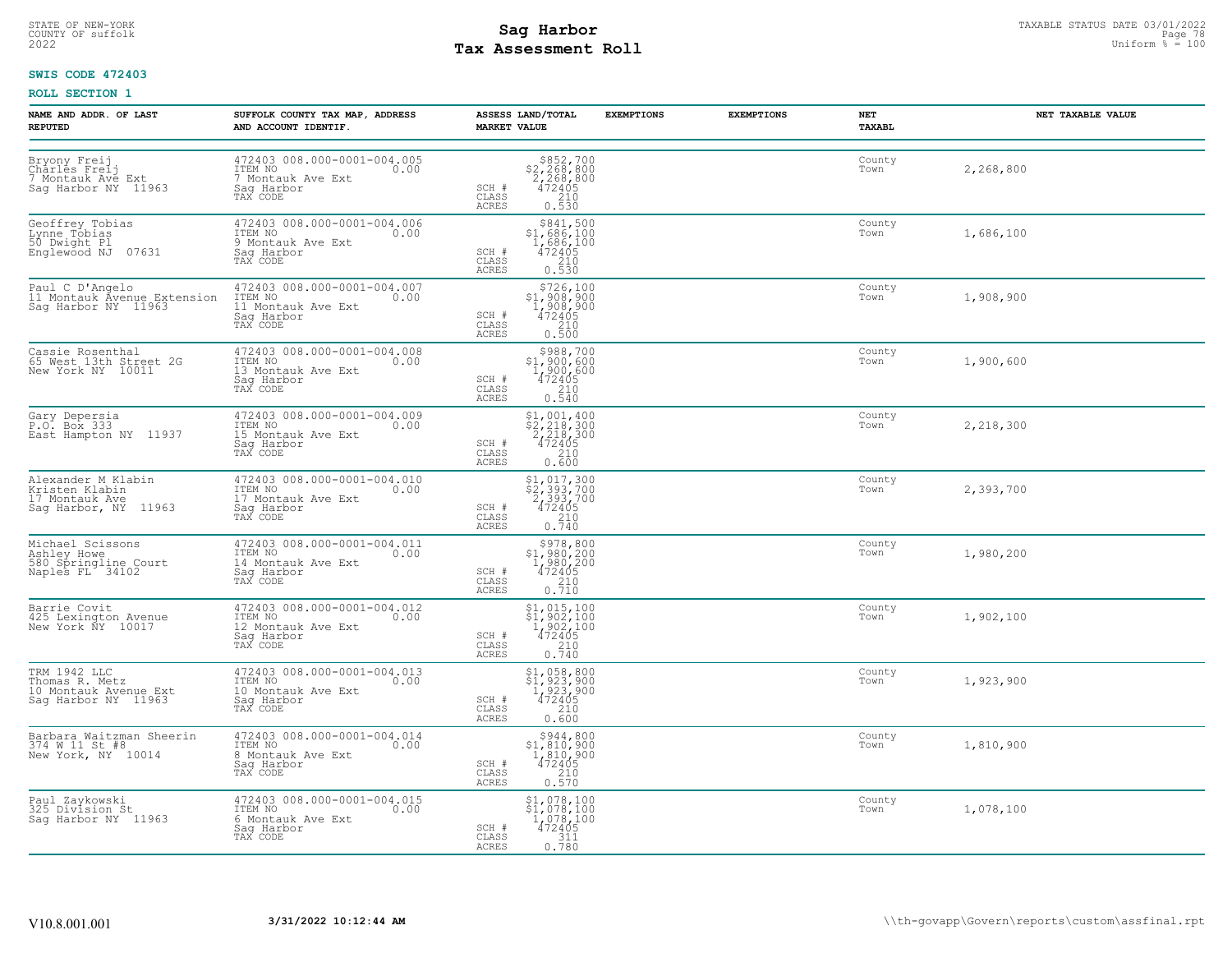# STATE OF NEW-YORK STATUS DATE 03/01/2022<br>
COUNTY OF suffolk Page 78 and the suffolk Page 78 and the suffolk Page 78 and the suffolk Page 78 and the sufform % = 100<br>
2022 Mage 78 and the subset of the sufform % = 100 **Tax Assessment Roll**

### **SWIS CODE 472403**

| <b>NAME AND ADDR. OF LAST</b><br><b>REPUTED</b>                                               | SUFFOLK COUNTY TAX MAP, ADDRESS<br>AND ACCOUNT IDENTIF.                                        | <b>EXEMPTIONS</b><br>ASSESS LAND/TOTAL<br><b>MARKET VALUE</b>                                                                                                           | <b>EXEMPTIONS</b><br>NET<br>TAXABL | NET TAXABLE VALUE |
|-----------------------------------------------------------------------------------------------|------------------------------------------------------------------------------------------------|-------------------------------------------------------------------------------------------------------------------------------------------------------------------------|------------------------------------|-------------------|
| Bryony Freij<br>Charles Freij<br>7 Montauk Ave Ext<br>7 Montauk Avy 11<br>Saq Harbor NY 11963 | 472403 008.000-0001-004.005<br>ITEM NO<br>0.00<br>7 Montauk Ave Ext<br>Sag Harbor<br>TAX CODE  | $\begin{array}{r} 5852, 700 \\ 2, 268, 800 \\ 2, 268, 800 \\ 472405 \\ 210 \\ 0.530 \end{array}$<br>SCH #<br>CLASS<br>ACRES                                             | County<br>Town                     | 2,268,800         |
| Geoffrey Tobias<br>Lynne Tóbias<br>50 Dwight Pl<br>Englewood NJ 07631                         | 472403 008.000-0001-004.006<br>ITEM NO<br>0.00<br>9 Montauk Ave Ext<br>Saq Harbor<br>TAX CODE  | $\begin{array}{r} $841,500 \\ $1,686,100 \\ $1,686,100 \\ $472405 \end{array}$<br>SCH #<br>$\begin{array}{c} 210 \\ 0.530 \end{array}$<br>CLASS<br><b>ACRES</b>         | County<br>Town                     | 1,686,100         |
| Paul C D'Angelo<br>11 Montauk Avenue Extension<br>Sag Harbor NY  11963                        | 472403 008.000-0001-004.007<br>ITEM NO<br>0.00<br>11 Montauk Ave Ext<br>Saq Harbor<br>TAX CODE | $$726,100$<br>$$1,908,900$<br>$1,908,900$<br>$472405$<br>SCH #<br>CLASS<br>$\frac{210}{0.500}$<br>ACRES                                                                 | County<br>Town                     | 1,908,900         |
| Cassie Rosenthal<br>65 West 13th Street 2G<br>New York NY 10011                               | 472403 008.000-0001-004.008<br>ITEM NO<br>0.00<br>13 Montauk Ave Ext<br>Saq Harbor<br>TAX CODE | $$988,700$<br>$$1,900,600$<br>$1,900,600$<br>$472405$<br>SCH #<br>$\begin{array}{c} 210 \\ 0.540 \end{array}$<br>CLASS<br><b>ACRES</b>                                  | County<br>Town                     | 1,900,600         |
| Gary Depersia<br>P.O. Box 333<br>East Hampton NY 11937                                        | 472403 008.000-0001-004.009<br>ITEM NO<br>0.00<br>15 Montauk Ave Ext<br>Sag Harbor<br>TAX CODE | $$2, 218, 300$<br>$$2, 218, 300$<br>$2, 218, 300$<br>$472405$<br>SCH #<br>CLASS<br>0.600<br>ACRES                                                                       | County<br>Town                     | 2,218,300         |
| Alexander M Klabin<br>Kristen Klabin<br>17 Montauk Ave<br>Sag Harbor, NY 11963                | 472403 008.000-0001-004.010<br>ITEM NO<br>0.00<br>17 Montauk Ave Ext<br>Saq Harbor<br>TAX CODE | $\begin{array}{c} $1,017,300 \\ $2,393,700 \\ 2,393,700 \\ 472405 \\ 210 \\ 0.740 \end{array}$<br>SCH #<br>CLASS<br><b>ACRES</b>                                        | County<br>Town                     | 2,393,700         |
| Michael Scissons<br>Ashley Howe<br>580 Springline Court<br>Naples FL 34102                    | 472403 008.000-0001-004.011<br>ITEM NO<br>0.00<br>14 Montauk Ave Ext<br>Saq Harbor<br>TAX CODE | $\begin{array}{r} \text{\small $>$978$, 800} \\ \text{\small $>$1$, 980, 200} \\ 1,980, 200 \\ 472405 \\ 210 \\ 0.710 \\ \end{array}$<br>SCH #<br>CLASS<br><b>ACRES</b> | County<br>Town                     | 1,980,200         |
| Barrie Covit<br>425 Lexington Avenue<br>New York NY 10017                                     | 472403 008.000-0001-004.012<br>ITEM NO<br>0.00<br>12 Montauk Ave Ext<br>Sag Harbor<br>TAX CODE | \$1,015,100<br>\$1,902,100<br>1,902,100<br>472405<br>SCH #<br>$\frac{210}{0.740}$<br>CLASS<br><b>ACRES</b>                                                              | County<br>Town                     | 1,902,100         |
| TRM 1942 LLC<br>Thomas R. Metz<br>10 Montauk Avenue Ext<br>11062<br>Saq Harbor NY 11963       | 472403 008.000-0001-004.013<br>ITEM NO<br>0.00<br>10 Montauk Ave Ext<br>Sag Harbor<br>TAX CODE | $\begin{array}{c} \texttt{\$1$, 058$, 800}\\ \texttt{\$1$, 923, 900}\\ 1, 923, 900\\ 472405\\ 210\\ 0.600 \end{array}$<br>SCH #<br>CLASS<br><b>ACRES</b>                | County<br>Town                     | 1,923,900         |
| Barbara Waitzman Sheerin<br>374 W 11 St #8<br>New York, NY 10014                              | 472403 008.000-0001-004.014<br>ITEM NO<br>0.00<br>8 Montauk Ave Ext<br>Saq Harbor<br>TAX CODE  | \$944,800<br>\$1,810,900<br>1,810,900<br>472405<br>SCH #<br>CLASS<br>$\begin{array}{c} 210 \\ 0.570 \end{array}$<br><b>ACRES</b>                                        | County<br>Town                     | 1,810,900         |
| Paul Zaykowski<br>325 Division St<br>Saq Harbor NY 11963                                      | 472403 008.000-0001-004.015<br>ITEM NO<br>0.00<br>6 Montauk Ave Ext<br>Saq Harbor<br>TAX CODE  | $$1,078,100$<br>$$1,078,100$<br>1,078,100<br>SCH #<br>472405<br>CLASS<br>$0.311$<br>$0.780$<br>ACRES                                                                    | County<br>Town                     | 1,078,100         |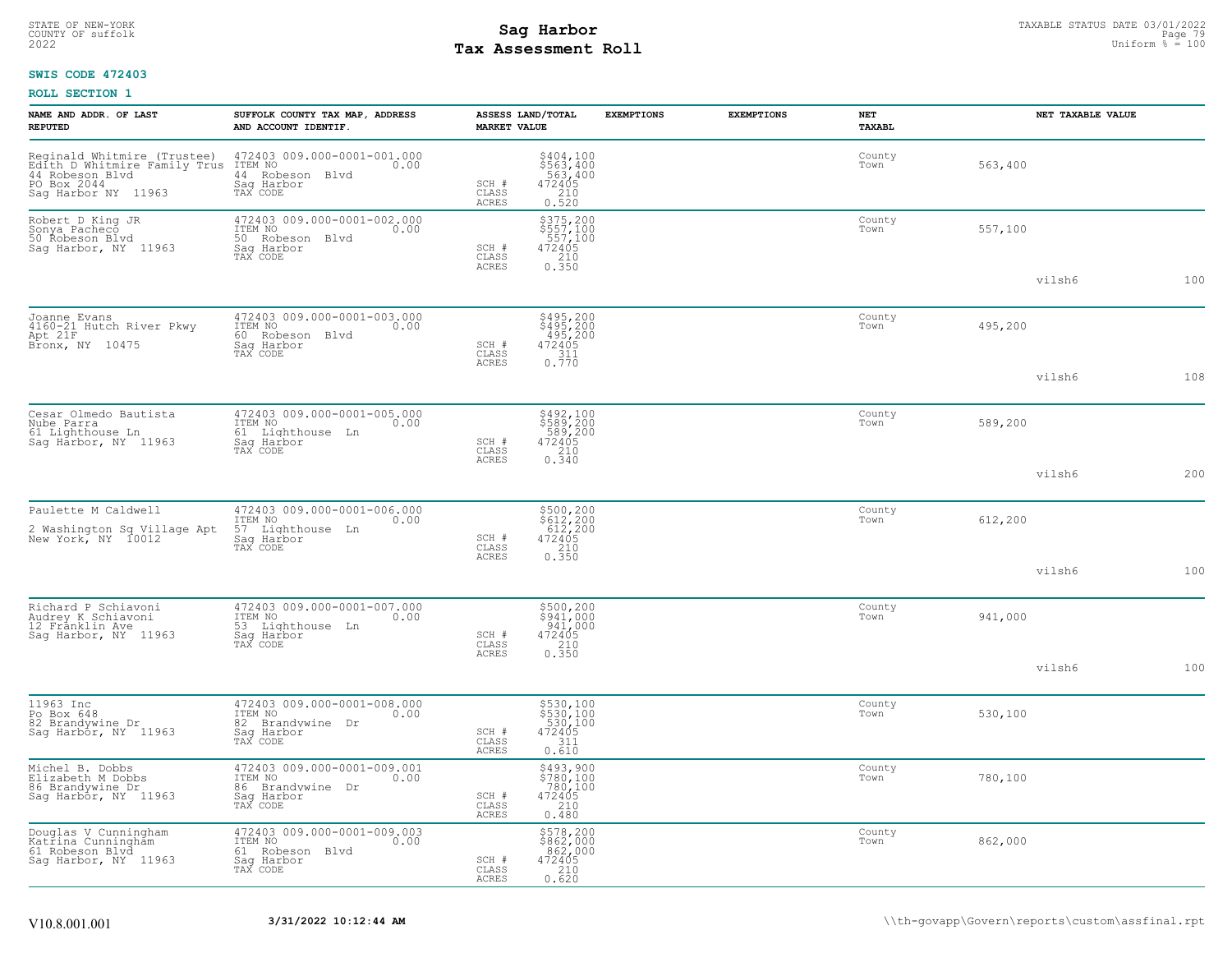# STATE OF NEW-YORK STATUS DATE 03/01/2022<br>
COUNTY OF suffolk Page 79 and County of Sage 79 and County of Sage 79 and County of Sage 79 and County of Sage 79 and County 2022<br>
2022 **Tay Assessment Roll Tax Assessment Roll**

### **SWIS CODE 472403**

| NAME AND ADDR. OF LAST<br><b>REPUTED</b>                                                                             | SUFFOLK COUNTY TAX MAP, ADDRESS<br>AND ACCOUNT IDENTIF.                                        | <b>MARKET VALUE</b>            | ASSESS LAND/TOTAL                                                                          | <b>EXEMPTIONS</b> | <b>EXEMPTIONS</b> | NET<br>TAXABL  | NET TAXABLE VALUE |     |
|----------------------------------------------------------------------------------------------------------------------|------------------------------------------------------------------------------------------------|--------------------------------|--------------------------------------------------------------------------------------------|-------------------|-------------------|----------------|-------------------|-----|
| Reginald Whitmire (Trustee)<br>Edith D Whitmire Family Trus<br>44 Robeson Blvd<br>PO Box 2044<br>Saq Harbor NY 11963 | 472403 009.000-0001-001.000<br>ITEM NO<br>0.00<br>44 Robeson Blvd<br>Saq Harbor<br>TAX CODE    | SCH #<br>CLASS<br><b>ACRES</b> | \$404,100<br>\$563,400<br>563,400<br>472405<br>210<br>0.520                                |                   |                   | County<br>Town | 563,400           |     |
| Robert D King JR<br>Sonya Pacheco<br>50 Robeson Blyd<br>Sag Harbor, NY 11963                                         | 472403 009.000-0001-002.000<br>ITEM NO<br>0.00<br>50 Robeson Blvd<br>Sag Harbor<br>TAX CODE    | SCH #<br>CLASS<br><b>ACRES</b> | \$375,200<br>\$557,100<br>\$557,100<br>472405<br>210<br>0.350                              |                   |                   | County<br>Town | 557,100           |     |
|                                                                                                                      |                                                                                                |                                |                                                                                            |                   |                   |                | vilsh6            | 100 |
| Joanne Evans<br>4160-21 Hutch River Pkwy<br>Apt 21F<br>Bronx, NY 10475                                               | 472403 009.000-0001-003.000<br>ITEM NO<br>0.00<br>60 Robeson Blvd<br>Sag Harbor<br>TAX CODE    | SCH #<br>CLASS                 | \$495,200<br>\$495,200<br>495,200<br>472405<br>$\frac{311}{0.770}$                         |                   |                   | County<br>Town | 495,200           |     |
|                                                                                                                      |                                                                                                | <b>ACRES</b>                   |                                                                                            |                   |                   |                | vilsh6            | 108 |
| Cesar Olmedo Bautista<br>Nube Parra<br>61 Lighthouse Ln<br>Saq Harbor, NY 11963                                      | 472403 009.000-0001-005.000<br>ITEM NO<br>0.00<br>61 Lighthouse Ln<br>Saq Harbor<br>TAX CODE   | SCH #<br>CLASS                 | \$492,100<br>\$589,200<br>589,200<br>472405<br>$\begin{array}{c} 210 \\ 0.340 \end{array}$ |                   |                   | County<br>Town | 589,200           |     |
|                                                                                                                      |                                                                                                | ACRES                          |                                                                                            |                   |                   |                | vilsh6            | 200 |
| Paulette M Caldwell<br>2 Washington Sq Village Apt<br>New York, NY 10012                                             | 472403 009.000-0001-006.000<br>ITEM NO<br>0.00<br>57 Lighthouse Ln                             |                                | \$500,200<br>\$612,200<br>612,200<br>472405<br>210<br>0.350                                |                   |                   | County<br>Town | 612,200           |     |
|                                                                                                                      | Saq Harbor<br>TAX CODE                                                                         | SCH #<br>CLASS<br>ACRES        |                                                                                            |                   |                   |                | vilsh6            | 100 |
| Richard P Schiavoni<br>Audrey K Schiavoni<br>12 Frânklin Ave<br>Sag Harbor, NY 11963                                 | 472403 009.000-0001-007.000<br>ITEM NO<br>0.00<br>53 Lighthouse Ln<br>Sag Harbor               | SCH #                          | \$500,200<br>\$941,000<br>941,000<br>472405                                                |                   |                   | County<br>Town | 941,000           |     |
|                                                                                                                      | TAX CODE                                                                                       | CLASS<br>ACRES                 | 210<br>0.350                                                                               |                   |                   |                | vilsh6            | 100 |
| 11963 Inc<br>Po Box 648<br>82 Brandywine Dr<br>Saq Harbor, NY 11963                                                  | 472403 009.000-0001-008.000<br>ITEM NO<br>0.00<br>82 Brandvwine Dr<br>Sag Harbor<br>TAX CODE   | SCH #<br>CLASS<br>ACRES        | \$530,100<br>\$530,100<br>530,100<br>472405<br>311<br>0.610                                |                   |                   | County<br>Town | 530,100           |     |
| Michel B. Dobbs<br>Elizabeth M Dobbs<br>86 Brandywine Dr<br>Sag Harbor, NY 11963                                     | 472403 009.000-0001-009.001<br>ITEM NO<br>0.00<br>86 Brandywine Dr<br>Saq Harbor<br>TAX CODE   | SCH #<br>CLASS<br>ACRES        | \$493,900<br>\$780,100<br>780,100<br>472405<br>210<br>0.480                                |                   |                   | County<br>Town | 780,100           |     |
| Douglas V Cunningham<br>Katrina Cunningham<br>61 Robeson Blvd<br>Sag Harbor, NY 11963                                | 472403 009.000-0001-009.003<br>ITEM NO<br>0.00<br>61<br>Robeson Blvd<br>Saq Harbor<br>TAX CODE | SCH #<br>CLASS<br>ACRES        | \$578,200<br>\$862,000<br>.862,000<br>472405<br>210<br>0.620                               |                   |                   | County<br>Town | 862,000           |     |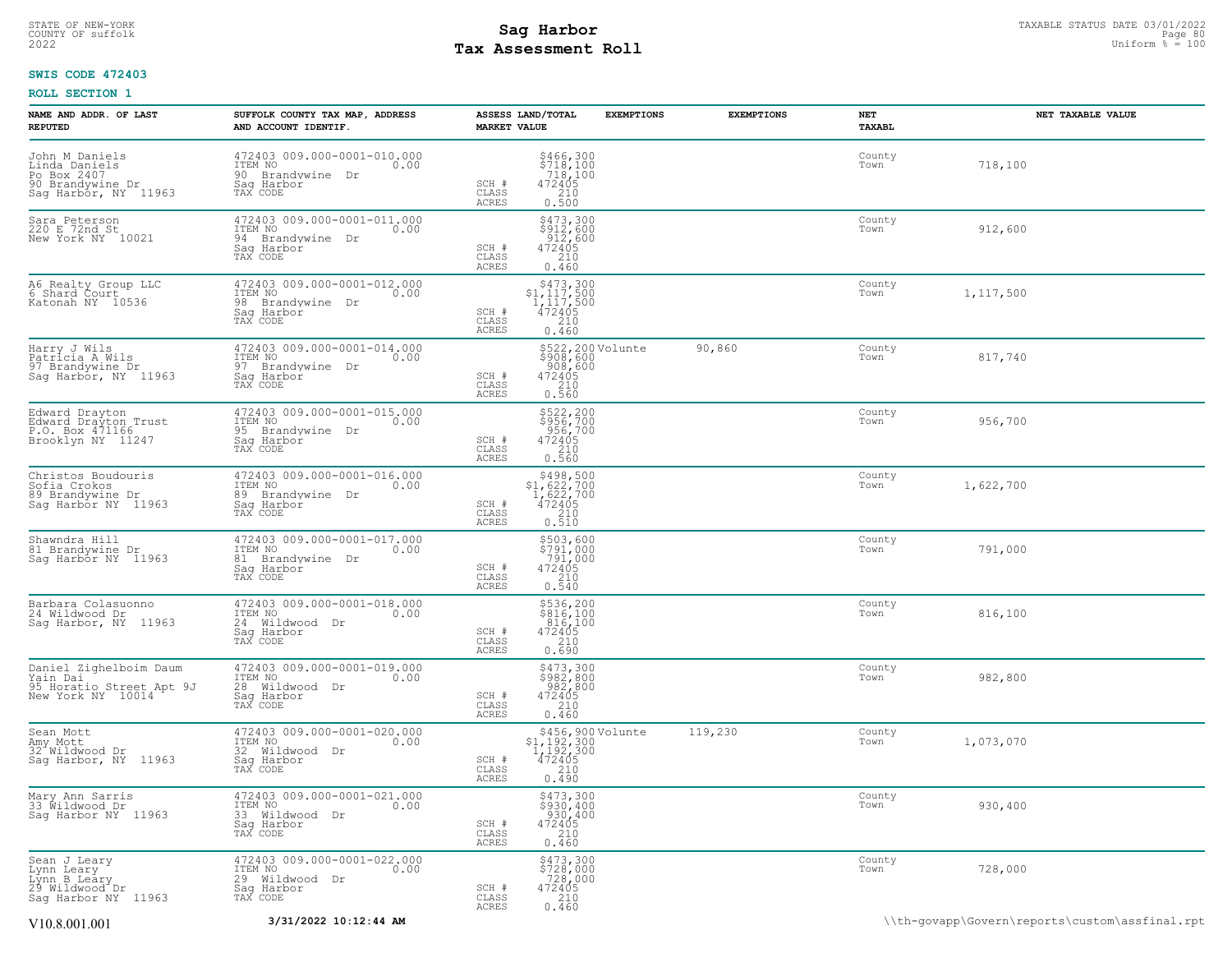### STATE OF NEW-YORK STATUS DATE 03/01/2022<br>
COUNTY OF suffolk Page 80 (DITE) Page 80 (DITE) Page 80 (DITE) Page 80 (DITE) Page 80 (DITE) Page 80 (DITE) P<br>
2022 Mage 80 **Tay Assessment Roll Tax Assessment Roll**

### **SWIS CODE 472403**

| <b>NAME AND ADDR. OF LAST</b><br><b>REPUTED</b>                                            | SUFFOLK COUNTY TAX MAP, ADDRESS<br>AND ACCOUNT IDENTIF.                                           | ASSESS LAND/TOTAL<br><b>EXEMPTIONS</b><br><b>MARKET VALUE</b>                                                          | <b>EXEMPTIONS</b> | NET<br>TAXABL  | NET TAXABLE VALUE                              |
|--------------------------------------------------------------------------------------------|---------------------------------------------------------------------------------------------------|------------------------------------------------------------------------------------------------------------------------|-------------------|----------------|------------------------------------------------|
| John M Daniels<br>Linda Daniels<br>Po Box 2407<br>90 Brandywine Dr<br>Sag Harbor, NY 11963 | 472403 009.000-0001-010.000<br>ITEM NO<br>0.00<br>90 Brandvwine Dr<br>Saq Harbor<br>TAX CODE      | $\begin{array}{c} 5466, 300 \\ 5718, 100 \\ 718, 100 \\ 472405 \\ 210 \\ 0.500 \end{array}$<br>SCH #<br>CLASS<br>ACRES |                   | County<br>Town | 718,100                                        |
| Sara Peterson<br>220 E 72nd St<br>New York NY 10021                                        | 472403 009.000-0001-011.000<br>ITEM NO<br>0.00<br>94<br>Brandywine Dr<br>Sag Harbor<br>TAX CODE   | \$473,300<br>\$912,600<br>912,600<br>472405<br>SCH #<br>CLASS<br>210<br>ACRES<br>0.460                                 |                   | County<br>Town | 912,600                                        |
| A6 Realty Group LLC<br>6 Shard Court<br>Katonah NY 10536                                   | 472403 009.000-0001-012.000<br>ITEM NO<br>0.00<br>98<br>Brandywine Dr<br>Saq Harbor<br>TAX CODE   | $$473,300$<br>$$1,117,500$<br>$1,117,500$<br>$472405$<br>SCH #<br>CLASS<br>210<br>0.460<br>ACRES                       |                   | County<br>Town | 1,117,500                                      |
| Harry J Wils<br>Patricia A Wils<br>97 Brandywine Dr<br>Sag Harbor, NY 11963                | 472403 009.000-0001-014.000<br>TTEM NO 0.00<br>0.00<br>97 Brandvwine Dr<br>Saq Harbor<br>TAX CODE | \$522,200 Volunte<br>\$908,600<br>.908,600<br>SCH #<br>472405<br>CLASS<br>$0.210$<br>$0.560$<br>ACRES                  | 90,860            | County<br>Town | 817,740                                        |
| Edward Drayton<br>Edward Drayton Trust<br>P.O. Box 471166<br>Brooklyn NY 11247             | 472403 009.000-0001-015.000<br>ITEM NO<br>0.00<br>95<br>Brandywine Dr<br>Saq Harbor<br>TAX CODE   | \$522,200<br>\$956,700<br>956,700<br>472405<br>SCH #<br>CLASS<br>0.560<br>ACRES                                        |                   | County<br>Town | 956,700                                        |
| Christos Boudouris<br>Sofia Crokos<br>89 Brandywine Dr<br>Sag Harbor NY 11963              | 472403 009.000-0001-016.000<br>ITEM NO<br>0.00<br>89 Brandvwine Dr<br>Sag Harbor<br>TAX CODE      | $$498,500$<br>$$1,622,700$<br>$1,622,700$<br>$472405$<br>$$210$<br>SCH #<br>CLASS<br><b>ACRES</b><br>0.510             |                   | County<br>Town | 1,622,700                                      |
| Shawndra Hill<br>81 Brandywine Dr<br>Sag Harbor NY 11963                                   | 472403 009.000-0001-017.000<br>ITEM NO<br>0.00<br>81 Brandvwine Dr<br>Saq Harbor<br>TAX CODE      | \$503,600<br>\$791,000<br>791,000<br>SCH #<br>472405<br>CLASS<br>$0.210$<br>$0.540$<br>ACRES                           |                   | County<br>Town | 791,000                                        |
| Barbara Colasuonno<br>24 Wildwood Dr<br>Sag Harbor, NY 11963                               | 472403 009.000-0001-018.000<br>ITEM NO<br>0.00<br>24 Wildwood Dr<br>Saq Harbor<br>TAX CODE        | \$536,200<br>\$816,100<br>816,100<br>472405<br>SCH #<br>$\begin{array}{c} 210 \\ 0.690 \end{array}$<br>CLASS<br>ACRES  |                   | County<br>Town | 816,100                                        |
| Daniel Zighelboim Daum<br>Yain Dai<br>95 Horatio Street Apt 9J<br>New York NY 10014        | 472403 009.000-0001-019.000<br>ITEM NO<br>0.00<br>28<br>Wildwood Dr<br>Sag Harbor<br>TAX CODE     | \$473,300<br>\$982,800<br>982,800<br>SCH #<br>472405<br>CLASS<br>210<br>ACRES<br>0.460                                 |                   | County<br>Town | 982,800                                        |
| Sean Mott<br>Amy Mott<br>32 <sup>-</sup> Wildwood Dr<br>11963<br>Sag Harbor, NY            | 472403 009.000-0001-020.000<br>ITEM NO<br>0.00<br>32 Wildwood Dr<br>Saq Harbor<br>TAX CODE        | \$456,900 Volunte<br>\$1,192,300<br>1,192,300<br>472405<br>SCH #<br>CLASS<br>210<br>0.490<br>ACRES                     | 119,230           | County<br>Town | 1,073,070                                      |
| Mary Ann Sarris<br>33 Wildwood Dr<br>Sag Harbor NY 11963                                   | 472403 009.000-0001-021.000<br>ITEM NO<br>0.00<br>33<br>Wildwood Dr<br>Saq Harbor<br>TAX CODE     | $\begin{array}{c} 5473,300 \\ 5930,400 \\ 930,400 \\ 472405 \\ 210 \\ 0.460 \end{array}$<br>SCH #<br>CLASS<br>ACRES    |                   | County<br>Town | 930,400                                        |
| Sean J Leary<br>Lynn Leary<br>Lynn B Leary<br>29 Wildwood Dr<br>Saq Harbor NY 11963        | 472403 009.000-0001-022.000<br>ITEM NO 0.00<br>29 Wildwood Dr<br>Saq Harbor<br>TAX CODE           | \$473,300<br>\$728,000<br>728,000<br>472405<br>SCH #<br>CLASS<br>210<br>ACRES<br>0.460                                 |                   | County<br>Town | 728,000                                        |
| V10.8.001.001                                                                              | 3/31/2022 10:12:44 AM                                                                             |                                                                                                                        |                   |                | \\th-govapp\Govern\reports\custom\assfinal.rpt |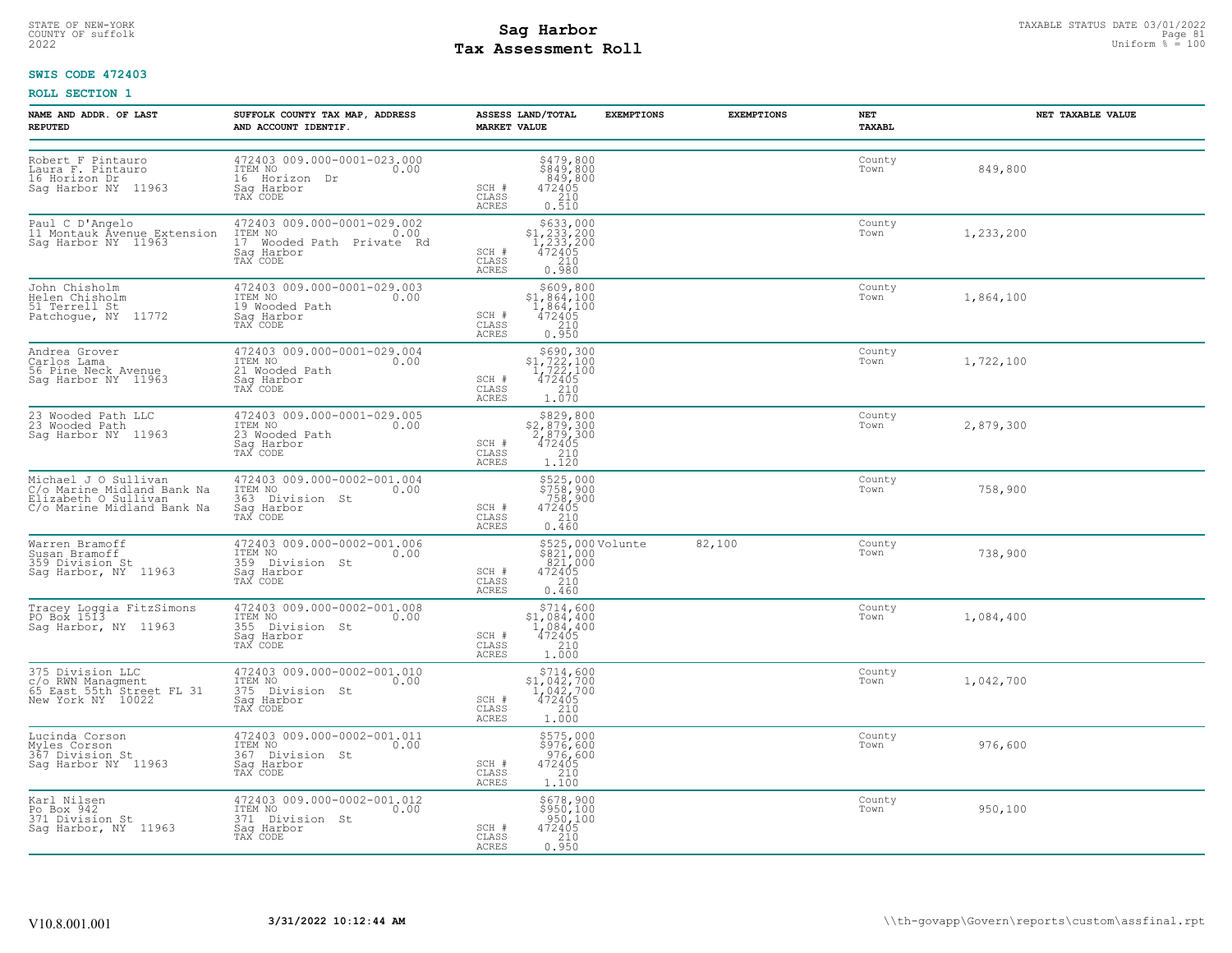# STATE OF NEW-YORK STATUS DATE 03/01/2022<br>
COUNTY OF suffolk Page 81<br>
2022 **Fax Assessment Roll** Page 81 DON Duiform % = 100 **Tax Assessment Roll**

### **SWIS CODE 472403**

| NAME AND ADDR, OF LAST<br><b>REPUTED</b>                                                                 | SUFFOLK COUNTY TAX MAP, ADDRESS<br>AND ACCOUNT IDENTIF.                                       | ASSESS LAND/TOTAL<br><b>EXEMPTIONS</b><br><b>MARKET VALUE</b>                                                                                                      | <b>EXEMPTIONS</b> | NET<br>TAXABL  | NET TAXABLE VALUE |
|----------------------------------------------------------------------------------------------------------|-----------------------------------------------------------------------------------------------|--------------------------------------------------------------------------------------------------------------------------------------------------------------------|-------------------|----------------|-------------------|
| Robert F Pintauro<br>Laura F. Pintauro<br>16 Horizon Dr<br>Sag Harbor NY 11963                           | 472403 009.000-0001-023.000<br>ITEM NO<br>0.00<br>16 Horizon Dr<br>Sag Harbor<br>TAX CODE     | $\begin{array}{r} 5479,800 \\ 5849,800 \\ 849,800 \\ 472405 \\ 210 \\ 0.510 \end{array}$<br>SCH #<br>CLASS<br>ACRES                                                |                   | County<br>Town | 849,800           |
| Paul C D'Angelo<br>11 Montauk Avenue Extension<br>Sag Harbor NY 11963                                    | 472403 009.000-0001-029.002<br>ITEM NO<br>17 Wooded Path Private Rd<br>Saq Harbor<br>TAX CODE | $$633,000$<br>$$1,233,200$<br>$1,233,200$<br>$472405$<br>$$210$<br>SCH #<br>CLASS<br>ACRES<br>0.980                                                                |                   | County<br>Town | 1,233,200         |
| John Chisholm<br>Helen Chisholm<br>51 Terrell St<br>Patchoque, NY 11772                                  | 472403 009.000-0001-029.003<br>ITEM NO<br>0.00<br>19 Wooded Path<br>Saq Harbor<br>TAX CODE    | $\begin{array}{r} 5609,800 \\ 51,864,100 \\ 1,864,100 \\ 472405 \\ 210 \end{array}$<br>SCH #<br>CLASS<br>ACRES<br>0.950                                            |                   | County<br>Town | 1,864,100         |
| Andrea Grover<br>Carlos Lama<br>56 Pine Neck Avenue<br>Saq Harbor NY 11963                               | 472403 009.000-0001-029.004<br>ITEM NO 0.00<br>21 Wooded Path<br>Sag Harbor<br>TAX CODE       | $\begin{array}{r} \text{\small $\$690,300$} \\ \text{\small $51,722,100$} \\ 1,722,100 \\ 472405 \\ 210 \\ 1.070 \end{array}$<br>SCH #<br>CLASS<br>ACRES           |                   | County<br>Town | 1,722,100         |
| 23 Wooded Path LLC<br>23 Wooded Path<br>Sag Harbor NY 11963                                              | 472403 009.000-0001-029.005<br>ITEM NO<br>0.00<br>23 Wooded Path<br>Sag Harbor<br>TAX CODE    | $\begin{array}{r}  \  \  \, 829,800 \\  \  \, 2,879,300 \\  \  \, 2,879,300 \\  \  \, 472405 \\  \  \, 210 \\  \  \, 1.120 \end{array}$<br>SCH #<br>CLASS<br>ACRES |                   | County<br>Town | 2,879,300         |
| Michael J O Sullivan<br>C/o Marine Midland Bank Na<br>Elizabeth O Sullivan<br>C/o Marine Midland Bank Na | 472403 009.000-0002-001.004<br>ITEM NO<br>0.00<br>363 Division St<br>Saq Harbor<br>TAX CODE   | \$525,000<br>\$758,900<br>758,900<br>472405<br>210<br>SCH #<br>CLASS<br>ACRES<br>0.460                                                                             |                   | County<br>Town | 758,900           |
| Warren Bramoff<br>Susan Bramoff<br>359 Division St<br>Sag Harbor, NY 11963                               | 472403 009.000-0002-001.006<br>ITEM NO<br>0.00<br>359 Division St<br>Saq Harbor<br>TAX CODE   | \$525,000 Volunte<br>\$821,000<br>821,000<br>472405<br>SCH #<br>CLASS<br>210<br>ACRES<br>0.460                                                                     | 82,100            | County<br>Town | 738,900           |
| Tracey Loggia FitzSimons<br>PO Box 1513<br>Sag Harbor, NY 11963                                          | 472403 009.000-0002-001.008<br>ITEM NO<br>0.00<br>355 Division St<br>Sag Harbor<br>TAX CODE   | $5714,60051,084,4001,084,400472405210$<br>SCH #<br>CLASS<br>1,000<br>ACRES                                                                                         |                   | County<br>Town | 1,084,400         |
| 375 Division LLC<br>c/o RWN Managment<br>65 East 55th Street FL 31<br>New York NY 10022                  | 472403 009.000-0002-001.010<br>ITEM NO<br>0.00<br>375 Division St<br>Saq Harbor<br>TAX CODE   | $\begin{array}{r} 5714, 600 \\ 51, 042, 700 \\ 1, 042, 700 \\ 472405 \\ 210 \\ 1.000 \end{array}$<br>SCH #<br>CLASS<br>ACRES                                       |                   | County<br>Town | 1,042,700         |
| Lucinda Corson<br>Myles Corson<br>367 Division St<br>Sag Harbor NY 11963                                 | 472403 009.000-0002-001.011<br>ITEM NO<br>0.00<br>367 Division St<br>Saq Harbor<br>TAX CODE   | \$575,000<br>\$976,600<br>976,600<br>SCH #<br>472405<br>CLASS<br>$\frac{210}{1.100}$<br>ACRES                                                                      |                   | County<br>Town | 976,600           |
| Karl Nilsen<br>Po Box 942<br>371 Division St<br>Saq Harbor, NY 11963                                     | 472403 009.000-0002-001.012<br>ITEM NO 0.00<br>371 Division St<br>Saq Harbor<br>TAX CODE      | \$678,900<br>\$950,100<br>950,100<br>SCH #<br>472405<br>CLASS<br>0.950<br>ACRES                                                                                    |                   | County<br>Town | 950,100           |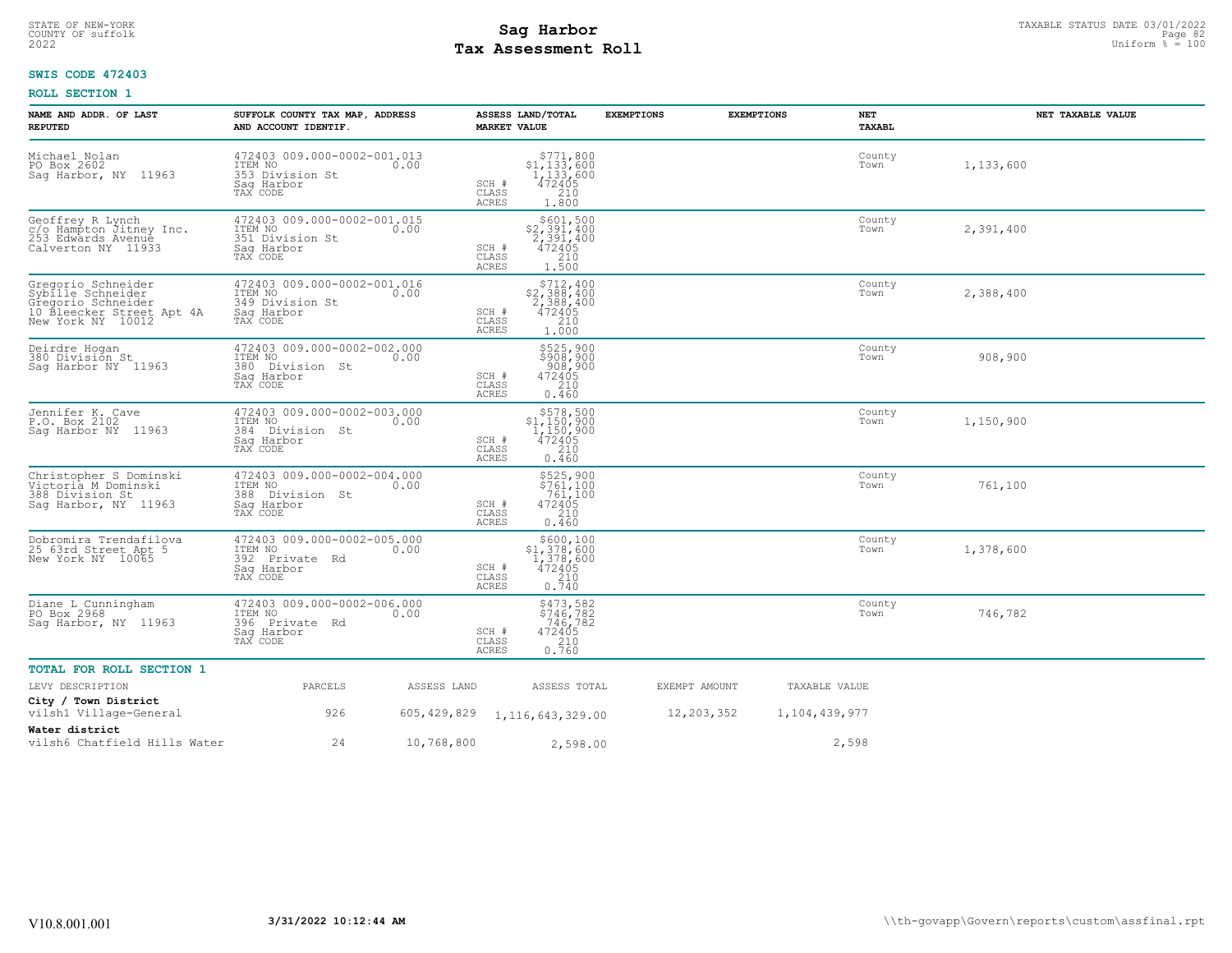# STATE OF NEW-YORK STATUS DATE 03/01/2022<br>
COUNTY OF suffolk Page 82 (11/2022<br>
2022 MageSone **Pay Assessment Roll Tax Assessment Roll**

### **SWIS CODE 472403**

| NAME AND ADDR. OF LAST<br><b>REPUTED</b>                                                                        | SUFFOLK COUNTY TAX MAP, ADDRESS<br>AND ACCOUNT IDENTIF.                                |             | ASSESS LAND/TOTAL<br><b>MARKET VALUE</b>                                                                                          | <b>EXEMPTIONS</b> | <b>EXEMPTIONS</b><br>NET<br><b>TAXABL</b> | NET TAXABLE VALUE |
|-----------------------------------------------------------------------------------------------------------------|----------------------------------------------------------------------------------------|-------------|-----------------------------------------------------------------------------------------------------------------------------------|-------------------|-------------------------------------------|-------------------|
| Michael Nolan<br>PO Box 2602<br>Sag Harbor, NY 11963                                                            | 472403 009.000-0002-001.013<br>ITEM NO<br>353 Division St<br>Sag Harbor<br>TAX CODE    | 0.00        | \$771,800<br>\$1,133,600<br>1,133,600<br>472405<br>SCH #<br>CLASS<br>210<br><b>ACRES</b><br>1.800                                 |                   | County<br>Town                            | 1,133,600         |
| Geoffrey R Lynch<br>c/o Hampton Jitney Inc.<br>253 Edwards Avenue<br>Calverton NY 11933                         | 472403 009.000-0002-001.015<br>ITEM NO<br>351 Division St<br>Sag Harbor<br>TAX CODE    | 0.00        | \$601,500<br>\$2,391,400<br><sup>2</sup> , 391, 400<br>472405<br>SCH #<br>CLASS<br>$\frac{210}{1.500}$<br>ACRES                   |                   | County<br>Town                            | 2,391,400         |
| Gregorio Schneider<br>Sybille Schneider<br>Gregorio Schneider<br>10 Bleecker Street Apt 4A<br>New York NY 10012 | 472403 009.000-0002-001.016<br>ITEM NO<br>349 Division St<br>Sag Harbor<br>TAX CODE    | 0.00        | \$712,400<br>\$2,388,400<br>$\frac{5}{4}$ , $\frac{388}{405}$ , $\frac{400}{4}$<br>SCH #<br>210<br>CLASS<br><b>ACRES</b><br>1,000 |                   | County<br>Town                            | 2,388,400         |
| Deirdre Hogan<br>380 Division St<br>Saq Harbor NY 11963                                                         | 472403 009.000-0002-002.000<br>ITEM NO<br>380 Division St<br>Saq Harbor<br>TAX CODE    | 0.00        | \$525,900<br>\$908,900<br>908,900<br>472405<br>SCH #<br>210<br>CLASS<br><b>ACRES</b><br>0.460                                     |                   | County<br>Town                            | 908,900           |
| Jennifer K. Cave<br>P.O. Box 2102<br>Saq Harbor NY 11963                                                        | 472403 009.000-0002-003.000<br>ITEM NO<br>384 Division St<br>Sag Harbor<br>TAX CODE    | 0.00        | $\begin{array}{c} $578,500 \\ $1,150,900 \\ $1,150,900 \\ $472405 \end{array}$<br>SCH #<br>210<br>CLASS<br>ACRES<br>0.460         |                   | County<br>Town                            | 1,150,900         |
| Christopher S Dominski<br>Victoria M Dominski<br>388 Division St<br>Saq Harbor, NY 11963                        | 472403 009.000-0002-004.000<br>ITEM NO<br>388<br>Division St<br>Sag Harbor<br>TAX CODE | 0.00        | \$525,900<br>\$761,100<br>761,100<br>SCH #<br>472405<br>CLASS<br>210<br><b>ACRES</b><br>0.460                                     |                   | County<br>Town                            | 761,100           |
| Dobromira Trendafilova<br>25 63rd Street Apt 5<br>New York NY 10065                                             | 472403 009.000-0002-005.000<br>ITEM NO<br>392 Private Rd<br>Saq Harbor<br>TAX CODE     | 0.00        | \$600,100<br>\$1,378,600<br>$\begin{smallmatrix} 1,378,600\ 472405\ 210\ 0.740 \end{smallmatrix}$<br>SCH #<br>CLASS<br>ACRES      |                   | County<br>Town                            | 1,378,600         |
| Diane L Cunningham<br>PO Box 2968<br>Saq Harbor, NY 11963                                                       | 472403 009.000-0002-006.000<br>ITEM NO<br>396 Private Rd<br>Sag Harbor<br>TAX CODE     | 0.00        | \$473,582<br>\$746,782<br>746,782<br>SCH #<br>472405<br>CLASS<br>$\frac{210}{0.760}$<br>ACRES                                     |                   | County<br>Town                            | 746,782           |
| <b>TOTAL FOR ROLL SECTION 1</b>                                                                                 |                                                                                        |             |                                                                                                                                   |                   |                                           |                   |
| LEVY DESCRIPTION                                                                                                | PARCELS                                                                                | ASSESS LAND | ASSESS TOTAL                                                                                                                      | EXEMPT AMOUNT     | TAXABLE VALUE                             |                   |
| City / Town District<br>vilsh1 Village-General                                                                  | 926                                                                                    | 605,429,829 | 1, 116, 643, 329.00                                                                                                               | 12,203,352        | 1,104,439,977                             |                   |
| Water district<br>vilsh6 Chatfield Hills Water                                                                  | 24                                                                                     | 10,768,800  | 2,598.00                                                                                                                          |                   | 2,598                                     |                   |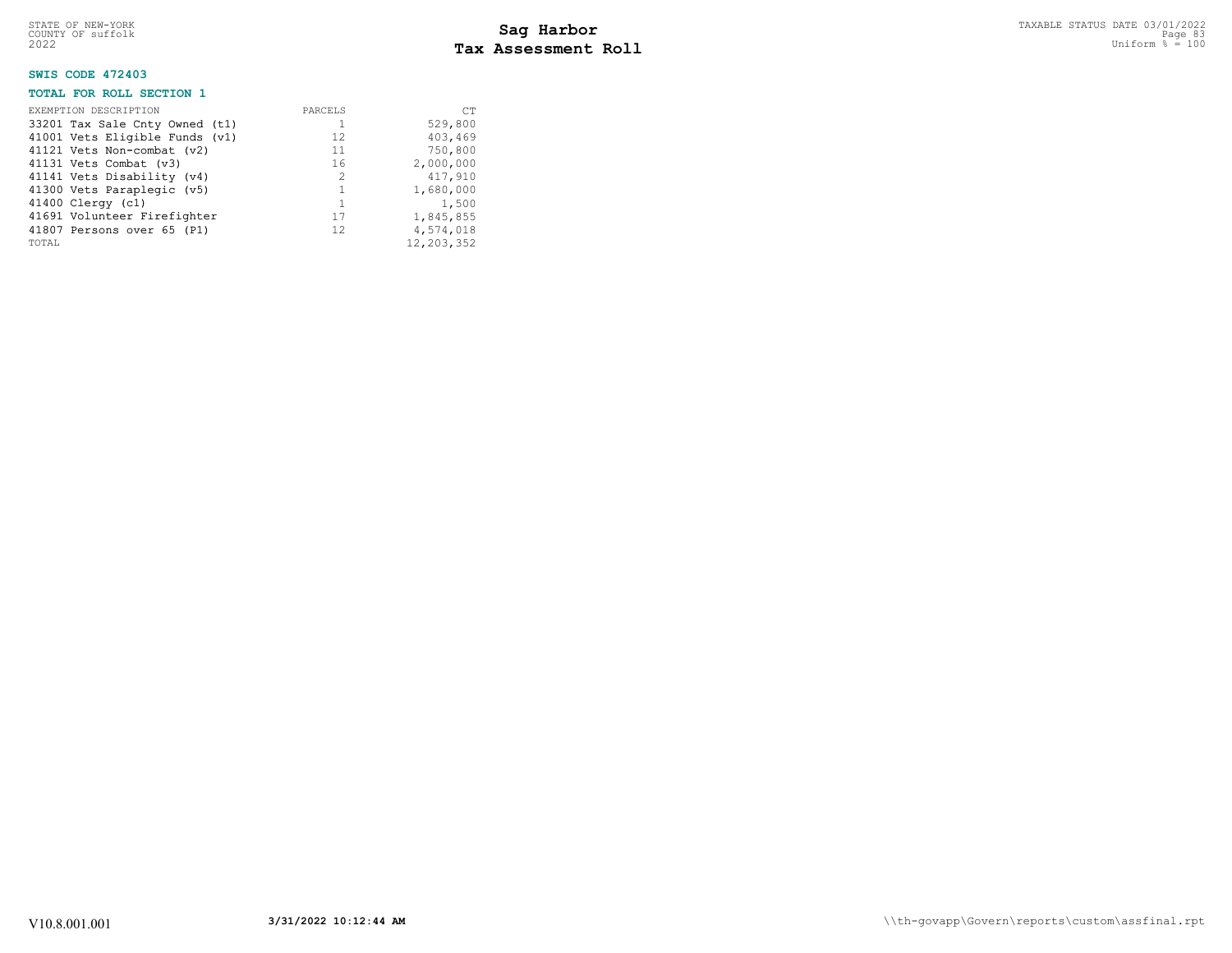# STATE OF NEW-YORK STATUS DATE 03/01/2022<br>
COUNTY OF suffolk Page 83<br>
2022 **Fax Assessment Roll** Page 100 **Tax Assessment Roll**

### **SWIS CODE 472403**

### **TOTAL FOR ROLL SECTION 1**

| EXEMPTION DESCRIPTION          | PARCELS        | <b>CT</b>  |
|--------------------------------|----------------|------------|
| 33201 Tax Sale Cnty Owned (t1) |                | 529,800    |
| 41001 Vets Eligible Funds (v1) | 12.            | 403,469    |
| 41121 Vets Non-combat (v2)     | 11             | 750,800    |
| 41131 Vets Combat (v3)         | 16             | 2,000,000  |
| 41141 Vets Disability (v4)     | $\mathfrak{D}$ | 417,910    |
| 41300 Vets Paraplegic (v5)     |                | 1,680,000  |
| 41400 Clergy (c1)              |                | 1,500      |
| 41691 Volunteer Firefighter    | 17             | 1,845,855  |
| 41807 Persons over 65 (P1)     | 12.            | 4,574,018  |
| TOTAL                          |                | 12,203,352 |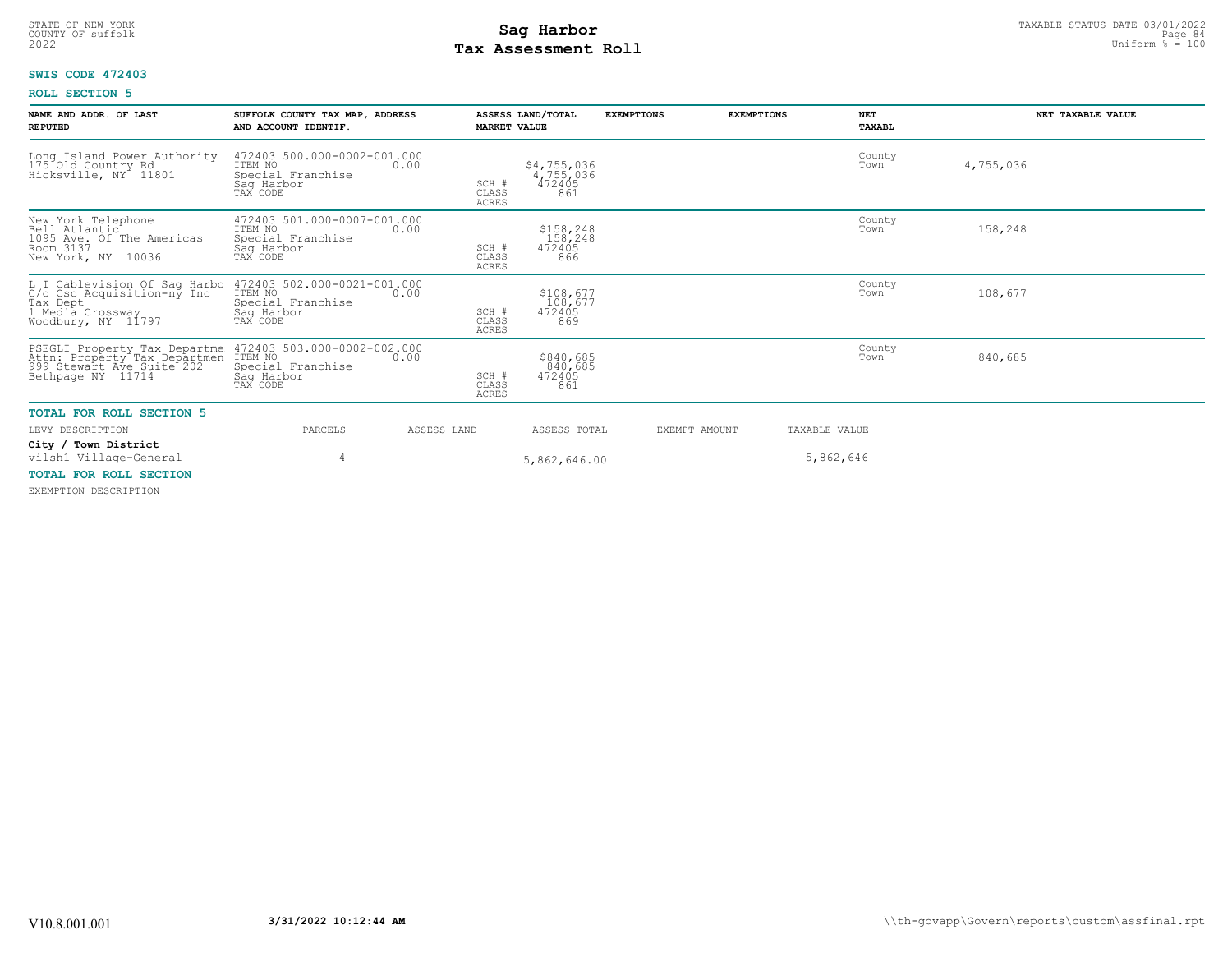# STATE OF NEW-YORK STATUS DATE 03/01/2022<br>
COUNTY OF suffolk Page 84<br>
2022 **Fax Assessment Roll** Page 84 and County of Sufform % = 100 **Tax Assessment Roll**

### **SWIS CODE 472403**

### **ROLL SECTION 5**

| NAME AND ADDR. OF LAST<br><b>REPUTED</b>                                                                                                                                                   | SUFFOLK COUNTY TAX MAP, ADDRESS<br>AND ACCOUNT IDENTIF.                               | <b>MARKET VALUE</b>                    | ASSESS LAND/TOTAL                         | <b>EXEMPTIONS</b> | <b>EXEMPTIONS</b> | <b>NET</b><br>TAXABL | NET TAXABLE VALUE |
|--------------------------------------------------------------------------------------------------------------------------------------------------------------------------------------------|---------------------------------------------------------------------------------------|----------------------------------------|-------------------------------------------|-------------------|-------------------|----------------------|-------------------|
| Long Island Power Authority<br>175 Old Country Rd<br>Hicksville, NY 11801                                                                                                                  | 472403 500.000-0002-001.000<br>ITEM NO<br>Special Franchise<br>Saq Harbor<br>TAX CODE | 0.00<br>SCH #<br>CLASS<br><b>ACRES</b> | \$4,755,036<br>4,755,036<br>472405<br>861 |                   |                   | County<br>Town       | 4,755,036         |
| New York Telephone<br>1095 Ave. of The Americas<br>Room 3137<br>New York, NY 10036                                                                                                         | 472403 501.000-0007-001.000<br>ITEM NO<br>Special Franchise<br>Sag Harbor<br>TAX CODE | 0.00<br>SCH #<br>CLASS<br><b>ACRES</b> | \$158,248<br>158,248<br>472405<br>866     |                   |                   | County<br>Town       | 158,248           |
| L I Cablevision Of Sag Harbo 472403 502.000-0021-001.000<br>C/o Csc Acquisition-ny Inc ITEM NO<br>Tax Dept Special Franchise<br>1 Media Crossway Sag Harbor<br>Woodbury, NY 11797 TAX CODE |                                                                                       | SCH #<br>CLASS<br><b>ACRES</b>         | \$108,677<br>108,677<br>472405<br>869     |                   |                   | County<br>Town       | 108,677           |
| PSEGLI Property Tax Departme<br>Attn: Property Tax Departmen<br>999 Stewart Ave_Suite 202<br>Bethpage NY 11714                                                                             | 472403 503.000-0002-002.000<br>ITEM NO<br>Special Franchise<br>Saq Harbor<br>TAX CODE | 0.00<br>SCH #<br>CLASS<br><b>ACRES</b> | \$840,685<br>840,685<br>472405<br>861     |                   |                   | County<br>Town       | 840,685           |
| <b>TOTAL FOR ROLL SECTION 5</b>                                                                                                                                                            |                                                                                       |                                        |                                           |                   |                   |                      |                   |
| LEVY DESCRIPTION                                                                                                                                                                           | PARCELS                                                                               | ASSESS LAND                            | ASSESS TOTAL                              |                   | EXEMPT AMOUNT     | TAXABLE VALUE        |                   |
| City / Town District<br>vilsh1 Village-General                                                                                                                                             |                                                                                       |                                        | 5,862,646.00                              |                   |                   | 5,862,646            |                   |
| <b>TOTAL FOR ROLL SECTION</b>                                                                                                                                                              |                                                                                       |                                        |                                           |                   |                   |                      |                   |

EXEMPTION DESCRIPTION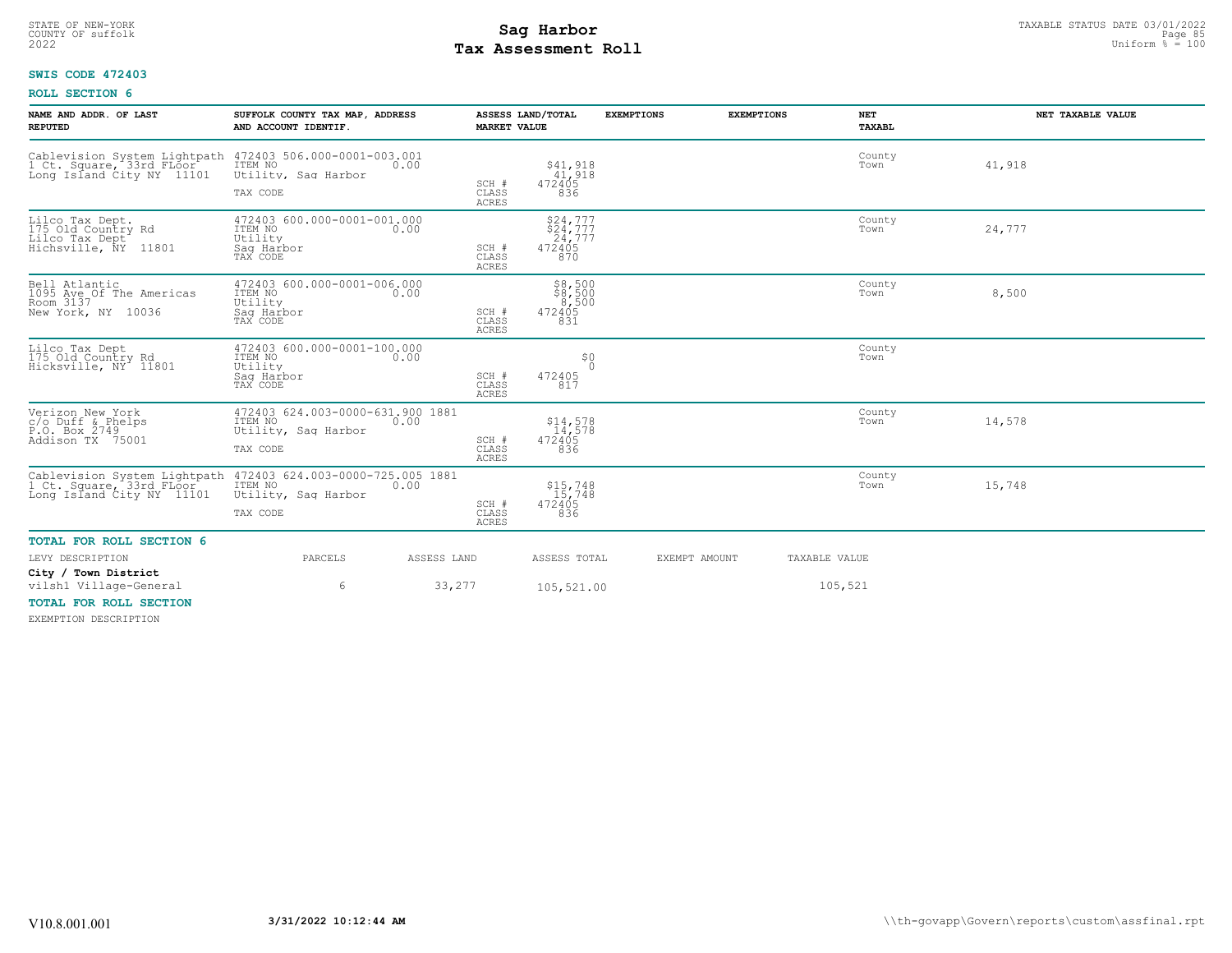# STATE OF NEW-YORK STATUS DATE 03/01/2022<br>
COUNTY OF suffolk Page 85<br>
2022 **Fax Assessment Roll** Page 85, 2022 Uniform % = 100 **Tax Assessment Roll**

### **SWIS CODE 472403**

### **ROLL SECTION 6**

| NAME AND ADDR. OF LAST<br><b>REPUTED</b>                                              | SUFFOLK COUNTY TAX MAP, ADDRESS<br>AND ACCOUNT IDENTIF.                                                             | <b>MARKET VALUE</b>            | ASSESS LAND/TOTAL                               | <b>EXEMPTIONS</b> | <b>EXEMPTIONS</b> | NET<br>TAXABL  | NET TAXABLE VALUE |
|---------------------------------------------------------------------------------------|---------------------------------------------------------------------------------------------------------------------|--------------------------------|-------------------------------------------------|-------------------|-------------------|----------------|-------------------|
| Cablevision System Lightpath<br>1 Ct. Square, 33rd FLoor<br>Long Island City NY 11101 | 472403 506.000-0001-003.001<br>ITEM NO<br>0.00<br>Utility, Saq Harbor<br>TAX CODE                                   | SCH #<br>CLASS<br><b>ACRES</b> | \$41,918<br>41,918<br>472405<br>836             |                   |                   | County<br>Town | 41,918            |
| Lilco Tax Dept.<br>175 Old Country Rd<br>Lilco Tax Dept<br>Hichsville, NY<br>11801    | 472403 600.000-0001-001.000<br>ITEM NO<br>0.00<br>Utility<br>Saq Harbor<br>TAX CODE                                 | SCH #<br>CLASS<br><b>ACRES</b> | \$24,777<br>\$24,777<br>24,777<br>472405<br>870 |                   |                   | County<br>Town | 24,777            |
| Bell Atlantic<br>1095 Ave Of The Americas<br>Room 3137<br>New York, NY 10036          | 472403 600.000-0001-006.000<br>ITEM NO<br>0.00<br>Utility<br>Sag Harbor<br>TAX CODE                                 | SCH #<br>CLASS<br><b>ACRES</b> | \$8,500<br>\$8,500<br>472405<br>831             |                   |                   | County<br>Town | 8,500             |
| Lilco Tax Dept<br>175 Old Country Rd<br>Hicksville, NY <sup>-</sup> 11801             | 472403 600.000-0001-100.000<br>ITEM NO<br>0.00<br>Utility<br>Saq Harbor<br>TAX CODE                                 | SCH #<br>CLASS<br><b>ACRES</b> | \$0<br>$\Omega$<br>472405<br>817                |                   |                   | County<br>Town |                   |
| Verizon New York<br>$c/o$ Duff & Phelps<br>P.O. Box 2749<br>Addison TX 75001          | 472403 624.003-0000-631.900 1881<br>ITEM NO<br>0.00<br>Utility, Saq Harbor<br>TAX CODE                              | SCH #<br>CLASS<br><b>ACRES</b> | $$14,578$<br>$14,578$<br>472405<br>836          |                   |                   | County<br>Town | 14,578            |
| 1 Ct. Square, 33rd FLoor<br>Long Island City NY 11101                                 | Cablevision System Lightpath 472403 624.003-0000-725.005 1881<br>ITEM NO<br>0.00<br>Utility, Saq Harbor<br>TAX CODE | SCH #<br>CLASS<br><b>ACRES</b> | \$15,748<br>15,748<br>472405<br>836             |                   |                   | County<br>Town | 15,748            |
| TOTAL FOR ROLL SECTION 6                                                              |                                                                                                                     |                                |                                                 |                   |                   |                |                   |
| LEVY DESCRIPTION<br>City / Town District                                              | PARCELS                                                                                                             | ASSESS LAND                    | ASSESS TOTAL                                    | EXEMPT AMOUNT     |                   | TAXABLE VALUE  |                   |
| vilsh1 Village-General<br>TOTAL FOR ROLL SECTION                                      | 6                                                                                                                   | 33,277                         | 105,521.00                                      |                   |                   | 105,521        |                   |

EXEMPTION DESCRIPTION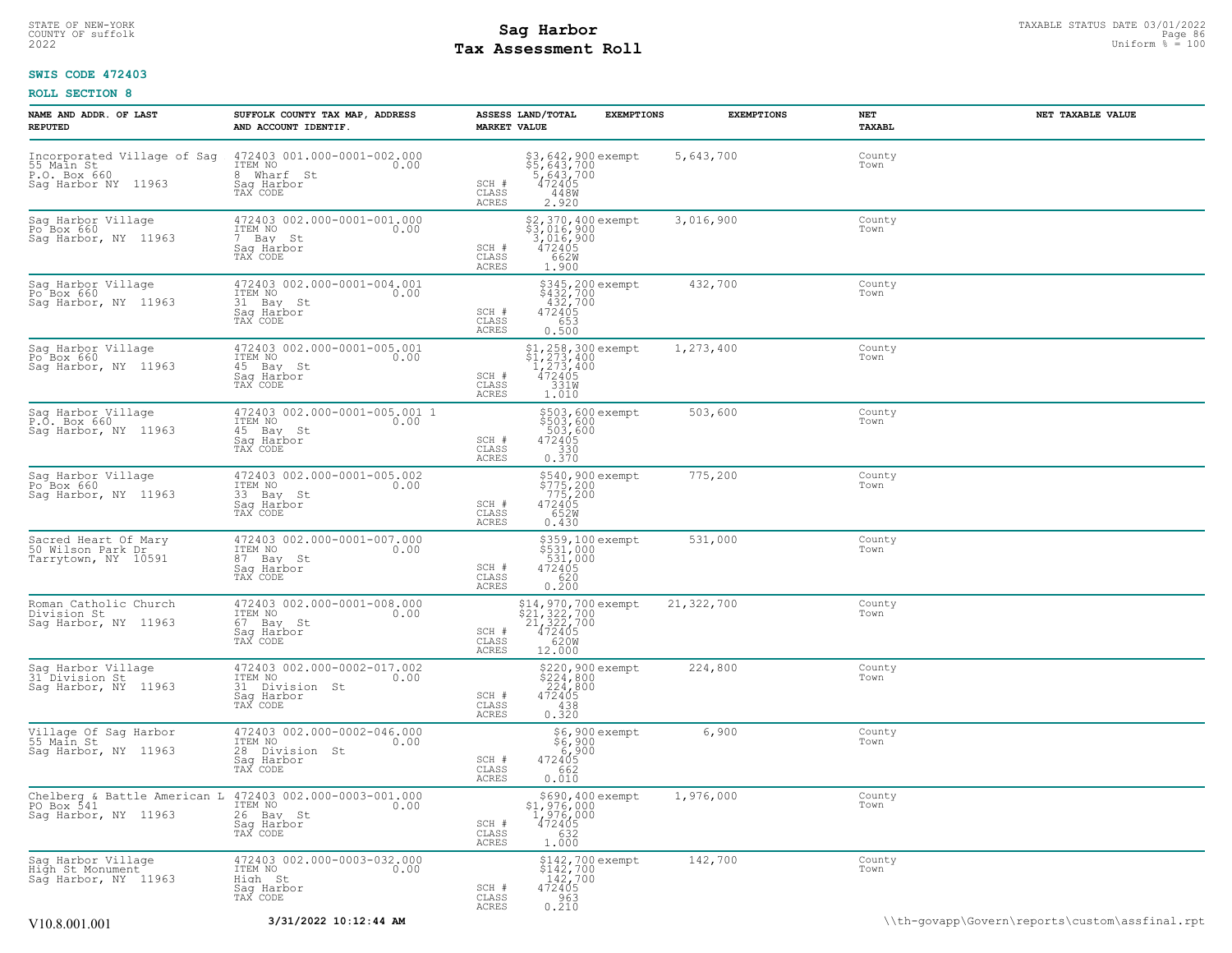### STATE OF NEW-YORK STATUS DATE 03/01/2022<br>
COUNTY OF suffolk Page 86<br>
2022 **Fax Assessment Roll** Page 86, 2022 Uniform % = 100 **Tax Assessment Roll**

### **SWIS CODE 472403**

| NAME AND ADDR. OF LAST<br><b>REPUTED</b>                                         | SUFFOLK COUNTY TAX MAP, ADDRESS<br>AND ACCOUNT IDENTIF.                                                            | ASSESS LAND/TOTAL<br><b>MARKET VALUE</b> | <b>EXEMPTIONS</b>                                                                                              | <b>EXEMPTIONS</b> | NET<br>TAXABL  | NET TAXABLE VALUE                              |
|----------------------------------------------------------------------------------|--------------------------------------------------------------------------------------------------------------------|------------------------------------------|----------------------------------------------------------------------------------------------------------------|-------------------|----------------|------------------------------------------------|
| Incorporated Village of Sag<br>55 Main St<br>P.O. Box 660<br>Sag Harbor NY 11963 | 472403 001.000-0001-002.000<br>0.00 0.00<br>8 Wharf St<br>Saq Harbor<br>TAX CODE                                   | SCH #<br>CLASS<br>ACRES                  | \$3,642,900 exempt<br>\$5,643,700<br>5,643,700<br>472405<br>448W<br>2.920                                      | 5,643,700         | County<br>Town |                                                |
| Sag Harbor Village<br>Po Box 660<br>Sag Harbor, NY 11963                         | 472403 002.000-0001-001.000<br>ITEM NO<br>0.00<br>7 Bay St<br>Sag Harbor<br>TAX CODE                               | SCH #<br>CLASS<br><b>ACRES</b>           | \$2,370,400 exempt<br>\$3,016,900<br>$\begin{smallmatrix} 3,016,900\ 472405\ 662M\ \end{smallmatrix}$<br>1.900 | 3,016,900         | County<br>Town |                                                |
| Sag Harbor Village<br>Po Box 660<br>Sag Harbor, NY 11963                         | 472403 002.000-0001-004.001<br>ITEM NO<br>0.00<br>31 Bay St<br>Saq Harbor<br>TAX CODE                              | SCH #<br>CLASS<br><b>ACRES</b>           | \$345,200 exempt<br>\$432,700<br>432,700<br>472405<br>653<br>0.500                                             | 432,700           | County<br>Town |                                                |
| Sag Harbor Village<br>Po Box 660<br>Sag Harbor, NY 11963                         | 472403 002.000-0001-005.001<br>ITEM NO<br>0.00<br>45 Bay St<br>Saq Harbor<br>TAX CODE                              | SCH #<br>CLASS<br>ACRES                  | $$1, 258, 300$ exempt<br>$$1, 273, 400$<br>$1, 273, 400$<br>$472405$<br>$331$ <sub>M</sub><br>1.010            | 1,273,400         | County<br>Town |                                                |
| Sag Harbor Village<br>P.O. Box 660<br>Saq Harbor, NY 11963                       | 472403 002.000-0001-005.001 1<br>ITEM NO<br>0.00<br>45 Bay St<br>Saq Harbor<br>TAX CODE                            | SCH #<br>CLASS<br>ACRES                  | \$503,600 exempt<br>\$503,600<br>503,600<br>472405<br>330<br>0.370                                             | 503,600           | County<br>Town |                                                |
| Sag Harbor Village<br>Po Box 660<br>Sag Harbor, NY 11963                         | 472403 002.000-0001-005.002<br>ITEM NO<br>0.00<br>33 Bay St<br>Saq Harbor<br>TAX CODE                              | SCH #<br>CLASS<br>ACRES                  | \$540,900 exempt<br>\$775,200<br>.775,200<br>472405<br>652W<br>0.430                                           | 775,200           | County<br>Town |                                                |
| Sacred Heart Of Mary<br>50 Wilson Park Dr<br>Tarrytown, NY 10591                 | 472403 002.000-0001-007.000<br>ITEM NO<br>0.00<br>87 Bay St<br>Saq Harbor<br>TAX CODE                              | SCH #<br>CLASS<br><b>ACRES</b>           | \$359,100 exempt<br>\$531,000<br>531,000<br>472405<br>620<br>0.200                                             | 531,000           | County<br>Town |                                                |
| Roman Catholic Church<br>Division St<br>Sag Harbor, NY 11963                     | 472403 002.000-0001-008.000<br>ITEM NO<br>0.00<br>67 Bay St<br>Saq Harbor<br>TAX CODE                              | SCH #<br>CLASS<br>ACRES                  | \$14,970,700 exempt<br>\$21,322,700<br>21,322,700<br>472405<br>10620M<br>12.000                                | 21,322,700        | County<br>Town |                                                |
| Sag Harbor Village<br>31 Division St<br>Sag Harbor, NY 11963                     | 472403 002.000-0002-017.002<br>ITEM NO<br>0.00<br>31 Division St<br>Sag Harbor<br>TAX CODE                         | SCH #<br>CLASS<br>ACRES                  | \$220,900 exempt<br>$$224,800$<br>224,800<br>472405<br>438<br>0.320                                            | 224,800           | County<br>Town |                                                |
| Village Of Sag Harbor<br>55 Main St<br>Sag Harbor, NY 11963                      | 472403 002.000-0002-046.000<br>ITEM NO<br>0.00<br>28 Division St<br>Saq Harbor<br>TAX CODE                         | SCH #<br>CLASS<br>ACRES                  | \$6,900 exempt<br>86,900<br>900,8<br>472405<br>662<br>0.010                                                    | 6,900             | County<br>Town |                                                |
| PO Box 541<br>Sag Harbor, NY 11963                                               | Chelberg & Battle American L 472403 002.000-0003-001.000<br>ITEM NO<br>0.00<br>26 Bay St<br>Saq Harbor<br>TAX CODE | SCH #<br>CLASS<br>ACRES                  | \$690,400 exempt<br>$51,976,000$<br>$1,976,000$<br>$472405$<br>$632$<br>$1.000$                                | 1,976,000         | County<br>Town |                                                |
| Sag Harbor Village<br>High St Monument<br>Sag Harbor, NY 11963                   | 472403 002.000-0003-032.000<br>ITEM NO<br>0.00<br>High St<br>Saq Harbor<br>TAX CODE                                | SCH #<br>CLASS<br>ACRES                  | \$142,700 exempt<br>\$142,700<br>142,700<br>472405<br>963<br>0.210                                             | 142,700           | County<br>Town |                                                |
| V10.8.001.001                                                                    | 3/31/2022 10:12:44 AM                                                                                              |                                          |                                                                                                                |                   |                | \\th-govapp\Govern\reports\custom\assfinal.rpt |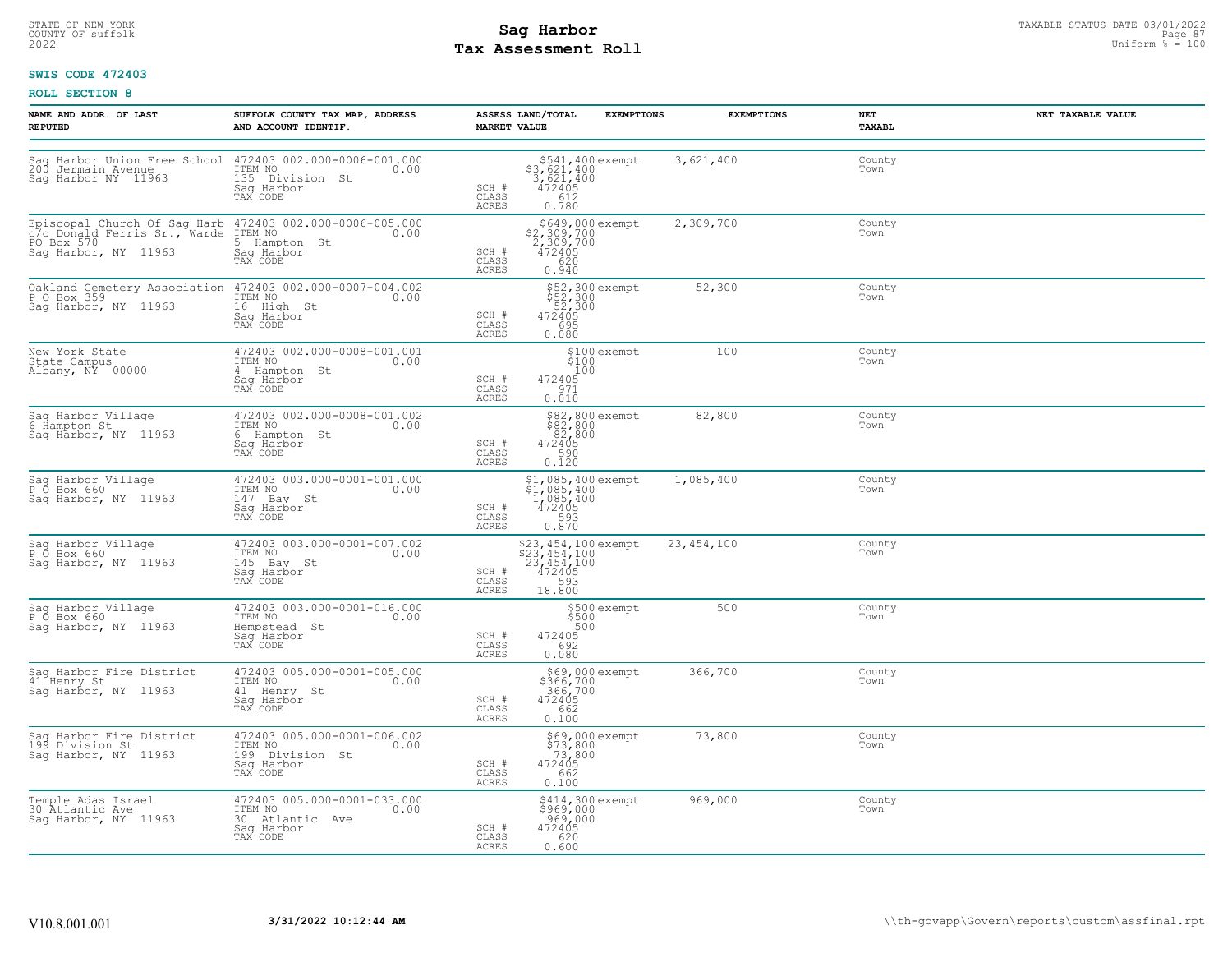# STATE OF NEW-YORK STATUS DATE 03/01/2022<br>
COUNTY OF suffolk Page 87<br>
2022 **Fax Assessment Roll** Page 87 Assessment Roll Distorm & The Uniform & 2020 **Tax Assessment Roll**

### **SWIS CODE 472403**

| NAME AND ADDR. OF LAST<br><b>REPUTED</b>                                                                                                    | SUFFOLK COUNTY TAX MAP, ADDRESS<br>AND ACCOUNT IDENTIF.                                     | ASSESS LAND/TOTAL<br><b>MARKET VALUE</b>                                                                       | <b>EXEMPTIONS</b><br><b>EXEMPTIONS</b> | NET<br>TAXABL  | NET TAXABLE VALUE |
|---------------------------------------------------------------------------------------------------------------------------------------------|---------------------------------------------------------------------------------------------|----------------------------------------------------------------------------------------------------------------|----------------------------------------|----------------|-------------------|
| Sag Harbor Union Free School 472403 002.000-0006-001.000<br>200 Jermain Avenue<br>Sag Harbor NY 11963                                       | 135 Division St<br>Sag Harbor<br>TAX CODE                                                   | \$541,400 exempt<br>\$3,621,400<br>3,621,400<br>SCH #<br>$472405$<br>612<br>CLASS<br><b>ACRES</b><br>0.780     | 3,621,400                              | County<br>Town |                   |
| Episcopal Church Of Sag Harb 472403 002.000-0006-005.000<br>C/o_Donald Ferris Sr., Warde ITEM NO 0.00<br>PO Box 570<br>Saq Harbor, NY 11963 | 5 Hampton St<br>Saq Harbor<br>TAX CODE                                                      | \$649,000 exempt<br>\$2,309,700<br>2,309,700<br>SCH #<br>472405<br>CLASS<br>620<br>0.940<br><b>ACRES</b>       | 2,309,700                              | County<br>Town |                   |
| Oakland Cemetery Association 472403 002.000-0007-004.002<br>P O Box 359<br>Sag Harbor, NY 11963                                             | ITEM NO<br>0.00<br>16 High St<br>Saq Harbor<br>TAX CODE                                     | \$52,300 exempt<br>\$52,300<br>52,300<br>472405<br>SCH #<br>CLASS<br>695<br>ACRES<br>0.080                     | 52,300                                 | County<br>Town |                   |
| New York State<br>State Campus<br>Albany, NY 00000                                                                                          | 472403 002.000-0008-001.001<br>ITEM NO<br>0.00<br>4 Hampton St<br>Sag Harbor<br>TAX CODE    | \$100 exempt<br>\$100<br>100<br>SCH #<br>472405<br>CLASS<br>971<br>0.010<br>ACRES                              | 100                                    | County<br>Town |                   |
| Sag Harbor Village<br>6 Hampton St<br>Sag Harbor, NY 11963                                                                                  | 472403 002.000-0008-001.002<br>ITEM NO<br>0.00<br>6 Hampton St<br>Sag Harbor<br>TAX CODE    | \$82,800 exempt<br>\$82,800<br>82,800<br>472405<br>590<br>SCH #<br>CLASS<br>0.120<br>ACRES                     | 82,800                                 | County<br>Town |                   |
| Sag Harbor Village<br>P O Box 660<br>Saq Harbor, NY 11963                                                                                   | 472403 003.000-0001-001.000<br>ITEM NO<br>0.00<br>147 Bay St<br>Saq Harbor<br>TAX CODE      | $$1,085,400$ exempt<br>$$1,085,400$<br>$1,085,400$<br>$472405$<br>$$93$<br>SCH #<br>CLASS<br>ACRES<br>0.870    | 1,085,400                              | County<br>Town |                   |
| Sag Harbor Village<br>P O Box 660<br>Saq Harbor, NY 11963                                                                                   | 472403 003.000-0001-007.002<br>ITEM NO<br>0.00<br>145 Bay St<br>Sag Harbor<br>TAX CODE      | \$23,454,100 exempt<br>\$23,454,100<br>23,454,100<br>472405<br>SCH #<br>CLASS<br>593<br><b>ACRES</b><br>18.800 | 23, 454, 100                           | County<br>Town |                   |
| Sag Harbor Village<br>P O Box 660<br>Saq Harbor, NY 11963                                                                                   | 472403 003.000-0001-016.000<br>ITEM NO<br>0.00<br>Hempstead St<br>Sag Harbor<br>TAX CODE    | \$500 exempt<br>\$500<br>500<br>472405<br>692<br>SCH #<br>CLASS<br><b>ACRES</b><br>0.080                       | 500                                    | County<br>Town |                   |
| Sag Harbor Fire District<br>41 Henry St<br>Sag Harbor, NY 11963                                                                             | 472403 005.000-0001-005.000<br>ITEM NO<br>0.00<br>41 Henry St<br>Saq Harbor<br>TAX CODE     | \$69,000 exempt<br>\$366,700<br>366,700<br>472405<br>SCH #<br>0.100<br>CLASS<br><b>ACRES</b>                   | 366,700                                | County<br>Town |                   |
| Sag Harbor Fire District<br>199 Division St<br>Sag Harbor, NY 11963                                                                         | 472403 005.000-0001-006.002<br>ITEM NO<br>0.00<br>199 Division St<br>Saq Harbor<br>TAX CODE | \$69,000 exempt<br>\$73,800<br>-73,800<br>SCH #<br>472405<br>CLASS<br>662<br>0.100<br>ACRES                    | 73,800                                 | County<br>Town |                   |
| Temple Adas Israel<br>30 Atlantic Ave<br>Saq Harbor, NY 11963                                                                               | 472403 005.000-0001-033.000<br>ITEM NO<br>0.00<br>30 Atlantic Ave<br>Saq Harbor<br>TAX CODE | \$414,300 exempt<br>\$969,000<br>969,000<br>SCH #<br>472405<br>CLASS<br>620<br>ACRES<br>0.600                  | 969,000                                | County<br>Town |                   |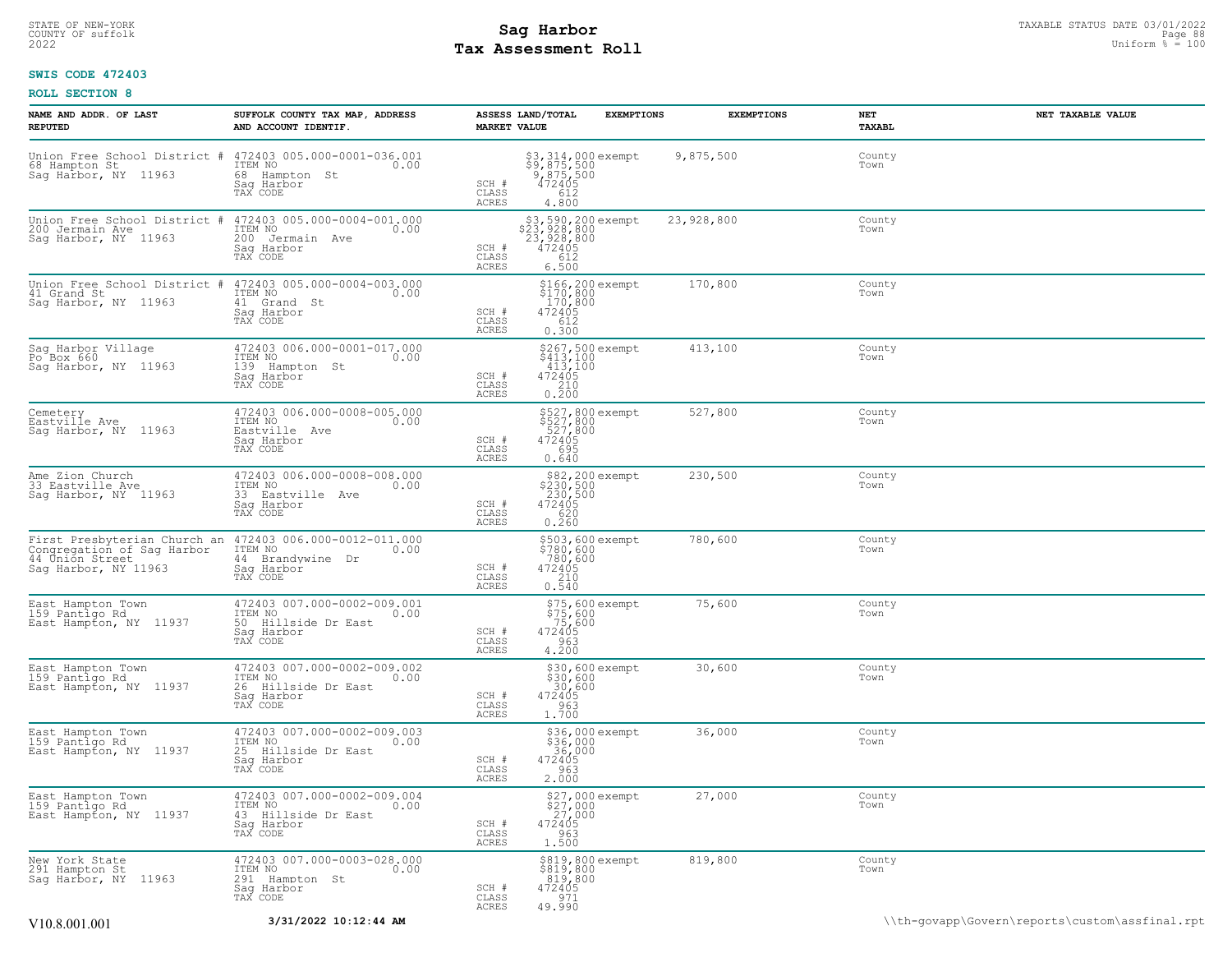# **Tax Assessment Roll Existed Structure Constant Politics** and the Uniform  $\frac{1}{2}$  is the Uniform  $\frac{1}{2}$  is the Uniform  $\frac{1}{2}$  is the Uniform  $\frac{1}{2}$  is the Uniform  $\frac{1}{2}$  is the Uniform  $\frac{1}{2}$  is the Unit

### **SWIS CODE 472403**

| NAME AND ADDR. OF LAST<br><b>REPUTED</b>                              | SUFFOLK COUNTY TAX MAP, ADDRESS<br>AND ACCOUNT IDENTIF.                                                                   | ASSESS LAND/TOTAL<br><b>MARKET VALUE</b> | <b>EXEMPTIONS</b>                                                          | <b>EXEMPTIONS</b> | NET<br>TAXABL  | NET TAXABLE VALUE                              |
|-----------------------------------------------------------------------|---------------------------------------------------------------------------------------------------------------------------|------------------------------------------|----------------------------------------------------------------------------|-------------------|----------------|------------------------------------------------|
| Union Free School District #<br>68 Hampton St<br>Sag Harbor, NY 11963 | 472403 005.000-0001-036.001<br>ITEM NO<br>0.00<br>68 Hampton St<br>Saq Harbor<br>TAX CODE                                 | SCH #<br>CLASS<br>ACRES                  | \$3,314,000 exempt<br>\$9,875,500<br>9,875,500<br>472405<br>4612<br>4.800  | 9,875,500         | County<br>Town |                                                |
| Union Free School District<br>200 Jermain Ave<br>Sag Harbor, NY 11963 | 472403 005.000-0004-001.000<br>ITEM NO<br>0.00<br>200<br>Jermain Ave<br>Sag Harbor<br>TAX CODE                            | SCH #<br>CLASS<br>ACRES                  | \$3,590,200 exempt<br>\$23,928,800<br>23,928,800<br>472405<br>612<br>6.500 | 23,928,800        | County<br>Town |                                                |
| Union Free School District #<br>41 Grand St<br>Sag Harbor, NY 11963   | 472403 005.000-0004-003.000<br>ITEM NO<br>0.00<br>41<br>Grand St<br>Sag Harbor<br>TAX CODE                                | SCH #<br>CLASS<br>ACRES                  | \$166,200 exempt<br>\$170,800<br>170,800<br>472405<br>612<br>0.300         | 170,800           | County<br>Town |                                                |
| Sag Harbor Village<br>Po <sup>-</sup> Box 660<br>Sag Harbor, NY 11963 | 472403 006.000-0001-017.000<br>ITEM NO<br>0.00<br>139<br>Hampton St<br>Saq Harbor<br>TAX CODE                             | SCH #<br>CLASS<br>ACRES                  | \$267,500 exempt<br>\$413,100<br>413,100<br>472405<br>0.210                | 413,100           | County<br>Town |                                                |
| Cemetery<br>Eastville Ave<br>Sag Harbor, NY 11963                     | 472403 006.000-0008-005.000<br>TTEM NO 0.00<br>Eastville Ave<br>Saq Harbor<br>TAX CODE                                    | SCH #<br>CLASS<br>ACRES                  | \$527,800 exempt<br>\$527,800<br>527,800<br>472405<br>695<br>0.640         | 527,800           | County<br>Town |                                                |
| Ame Zion Church<br>33 Eastville Ave<br>Sag Harbor, NY 11963           | 472403 006.000-0008-008.000<br>ITEM NO<br>0.00<br>33 Eastville Ave<br>Sag Harbor<br>TAX CODE                              | SCH #<br>CLASS<br>ACRES                  | \$82,200 exempt<br>\$230,500<br>230,500<br>472405<br>620<br>0.260          | 230,500           | County<br>Town |                                                |
| Congregation of Sag Harbor<br>44 Union Street<br>Sag Harbor, NY 11963 | First Presbyterian Church an 472403 006.000-0012-011.000<br>ITEM NO<br>0.00<br>44 Brandywine Dr<br>Saq Harbor<br>TAX CODE | SCH #<br>CLASS<br>ACRES                  | \$503,600 exempt<br>\$780,600<br>780,600<br>472405<br>210<br>0.540         | 780,600           | County<br>Town |                                                |
| East Hampton Town<br>159 Pantigo Rd<br>East Hampton, NY 11937         | 472403 007.000-0002-009.001<br>ITEM NO<br>0.00<br>50 Hillside Dr East<br>Saq Harbor<br>TAX CODE                           | SCH #<br>CLASS<br>ACRES                  | $575,600$ exempt<br>$575,600$<br>$75,600$<br>$472405$<br>$4903$<br>4.200   | 75,600            | County<br>Town |                                                |
| East Hampton Town<br>159 Pantigo Rd<br>East Hampton, NY 11937         | 472403 007.000-0002-009.002<br>ITEM NO<br>0.00<br>26<br>Hillside Dr East<br>Sag Harbor<br>TAX CODE                        | SCH #<br>CLASS<br>ACRES                  | \$30,600 exempt<br>$$30,600$<br>30,600<br>472405<br>963<br>1.700           | 30,600            | County<br>Town |                                                |
| East Hampton Town<br>159 Pantigo Rd<br>East Hampton, NY 11937         | 472403 007.000-0002-009.003<br>ITEM NO<br>0.00<br>25 Hillside Dr East<br>Sag Harbor<br>TAX CODE                           | SCH #<br>CLASS<br>ACRES                  | \$36,000 exempt<br>\$36,000<br>_36,000<br>472405<br>963<br>2.000           | 36,000            | County<br>Town |                                                |
| East Hampton Town<br>159 Pantigo Rd<br>East Hampton, NY 11937         | 472403 007.000-0002-009.004<br>ITEM NO<br>0.00<br>43 Hillside Dr East<br>Saq Harbor<br>TAX CODE                           | SCH #<br>CLASS<br><b>ACRES</b>           | \$27,000 exempt<br>963<br>1.500                                            | 27,000            | County<br>Town |                                                |
| New York State<br>291 Hampton St<br>Sag Harbor, NY 11963              | 472403 007.000-0003-028.000<br>ITEM NO 0.00<br>291 Hampton St<br>Saq Harbor<br>TAX CODE                                   | SCH #<br>CLASS<br>ACRES                  | \$819,800 exempt<br>\$819,800<br>819,800<br>472405<br>971<br>49.990        | 819,800           | County<br>Town |                                                |
| V10.8.001.001                                                         | 3/31/2022 10:12:44 AM                                                                                                     |                                          |                                                                            |                   |                | \\th-govapp\Govern\reports\custom\assfinal.rpt |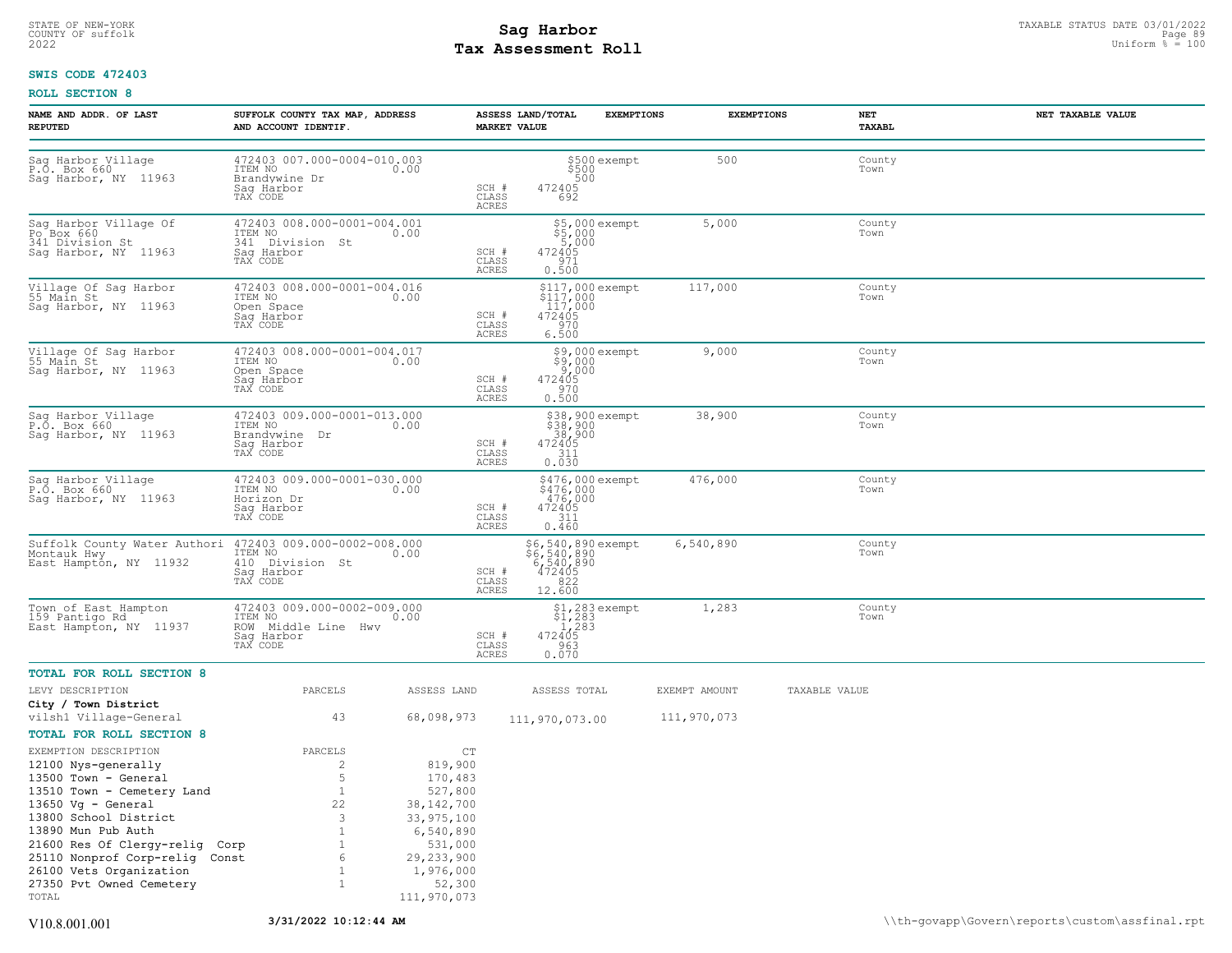# STATE OF NEW-YORK STATUS DATE 03/01/2022<br>
COUNTY OF suffolk Page 89<br>
2022 **Fax Assessment Roll** Page 100 **Tax Assessment Roll**

### **SWIS CODE 472403**

| NAME AND ADDR. OF LAST<br><b>REPUTED</b>                                                                                                                                                                                                                                                                      | SUFFOLK COUNTY TAX MAP, ADDRESS<br>AND ACCOUNT IDENTIF.                                                             |                                                                                                                                               | <b>MARKET VALUE</b>            | ASSESS LAND/TOTAL                                                         | <b>EXEMPTIONS</b>                  | <b>EXEMPTIONS</b>            | NET<br>TAXABL  | NET TAXABLE VALUE |
|---------------------------------------------------------------------------------------------------------------------------------------------------------------------------------------------------------------------------------------------------------------------------------------------------------------|---------------------------------------------------------------------------------------------------------------------|-----------------------------------------------------------------------------------------------------------------------------------------------|--------------------------------|---------------------------------------------------------------------------|------------------------------------|------------------------------|----------------|-------------------|
| Sag Harbor Village<br>P.O. Box 660<br>Sag Harbor, NY 11963                                                                                                                                                                                                                                                    | 472403 007.000-0004-010.003<br>ITEM NO<br>Brandywine Dr<br>Sag Harbor<br>TAX CODE                                   | 0.00                                                                                                                                          | SCH #<br>CLASS<br><b>ACRES</b> | 500<br>472405<br>692                                                      | \$500 exempt<br>\$500              | 500                          | County<br>Town |                   |
| Sag Harbor Village Of<br>Po <sup>Box</sup> 660<br>341 Division St<br>Sag Harbor, NY 11963                                                                                                                                                                                                                     | 472403 008.000-0001-004.001<br>ITEM NO<br>341<br>Division St<br>Saq Harbor<br>TAX CODE                              | 0.00                                                                                                                                          | SCH #<br>CLASS<br><b>ACRES</b> | \$5,000 exempt<br>\$5,000<br>5,000<br>472405<br>971<br>0.500              |                                    | 5,000                        | County<br>Town |                   |
| Village Of Sag Harbor<br>55 Main St<br>Sag Harbor, NY 11963                                                                                                                                                                                                                                                   | 472403 008.000-0001-004.016<br>ITEM NO<br>Open Space<br>Saq Harbor<br>TAX CODE                                      | 0.00                                                                                                                                          | SCH #<br>CLASS<br>ACRES        | \$117,000 exempt<br>\$117,000<br>$117,000$<br>472405<br>970<br>6.500      |                                    | 117,000                      | County<br>Town |                   |
| Village Of Sag Harbor<br>55 Main St<br>Sag Harbor, NY 11963                                                                                                                                                                                                                                                   | 472403 008.000-0001-004.017<br>ITEM NO<br>Open Space<br>Sag Harbor<br>TAX CODE                                      | 0.00                                                                                                                                          | SCH #<br>CLASS<br><b>ACRES</b> | 472405<br>970<br>0.500                                                    | \$9,000 exempt<br>\$9,000<br>9,000 | 9,000                        | County<br>Town |                   |
| Sag Harbor Village<br>P.O. Box 660<br>Saq Harbor, NY 11963                                                                                                                                                                                                                                                    | 472403 009.000-0001-013.000<br>ITEM NO<br>Brandywine Dr<br>Sag Harbor<br>TAX CODE                                   | 0.00                                                                                                                                          | SCH #<br>CLASS<br>ACRES        | \$38,900 exempt<br>\$38,900<br>_38,900<br>472405<br>311<br>0.030          |                                    | 38,900                       | County<br>Town |                   |
| Sag Harbor Village<br>P.O. Box 660<br>Sag Harbor, NY 11963                                                                                                                                                                                                                                                    | 472403 009.000-0001-030.000<br>ITEM NO<br>Horizon Dr<br>Saq Harbor<br>TAX CODE                                      | 0.00                                                                                                                                          | SCH #<br>CLASS<br>ACRES        | \$476,000 exempt<br>\$476,000<br>476,000<br>472405<br>311<br>0.460        |                                    | 476,000                      | County<br>Town |                   |
| Suffolk County Water Authori<br>Montauk Hwy<br>East Hampton, NY 11932                                                                                                                                                                                                                                         | 472403 009.000-0002-008.000<br>10.00 0.00<br>410 Division St<br>Saq Harbor<br>TAX CODE                              | 0.00                                                                                                                                          | SCH #<br>CLASS<br>ACRES        | \$6,540,890 exempt<br>\$6,540,890<br>6,540,890<br>472405<br>822<br>12.600 |                                    | 6,540,890                    | County<br>Town |                   |
| Town of East Hampton<br>159 Pantigo Rd<br>East Hampton, NY 11937                                                                                                                                                                                                                                              | 472403 009.000-0002-009.000<br>ITEM NO<br>ROW<br>Middle Line Hwy<br>Sag Harbor<br>TAX CODE                          | 0.00                                                                                                                                          | SCH #<br>CLASS<br>ACRES        | 1,283<br>472405<br>963<br>0.070                                           | $$1,283$ exempt<br>$$1,283$        | 1,283                        | County<br>Town |                   |
| <b>TOTAL FOR ROLL SECTION 8</b>                                                                                                                                                                                                                                                                               |                                                                                                                     |                                                                                                                                               |                                |                                                                           |                                    |                              |                |                   |
| LEVY DESCRIPTION<br>City / Town District<br>vilsh1 Village-General                                                                                                                                                                                                                                            | PARCELS<br>43                                                                                                       | ASSESS LAND<br>68,098,973                                                                                                                     |                                | ASSESS TOTAL<br>111,970,073.00                                            |                                    | EXEMPT AMOUNT<br>111,970,073 | TAXABLE VALUE  |                   |
| TOTAL FOR ROLL SECTION 8                                                                                                                                                                                                                                                                                      |                                                                                                                     |                                                                                                                                               |                                |                                                                           |                                    |                              |                |                   |
| EXEMPTION DESCRIPTION<br>12100 Nys-generally<br>13500 Town - General<br>13510 Town - Cemetery Land<br>$13650$ Vg - General<br>13800 School District<br>13890 Mun Pub Auth<br>21600 Res Of Clergy-relig Corp<br>25110 Nonprof Corp-relig Const<br>26100 Vets Organization<br>27350 Pvt Owned Cemetery<br>TOTAL | PARCELS<br>$\overline{c}$<br>5<br>$\mathbf{1}$<br>22<br>3<br>$\mathbf{1}$<br>1<br>6<br>$\mathbf{1}$<br>$\mathbf{1}$ | CT<br>819,900<br>170,483<br>527,800<br>38,142,700<br>33,975,100<br>6,540,890<br>531,000<br>29, 233, 900<br>1,976,000<br>52,300<br>111,970,073 |                                |                                                                           |                                    |                              |                |                   |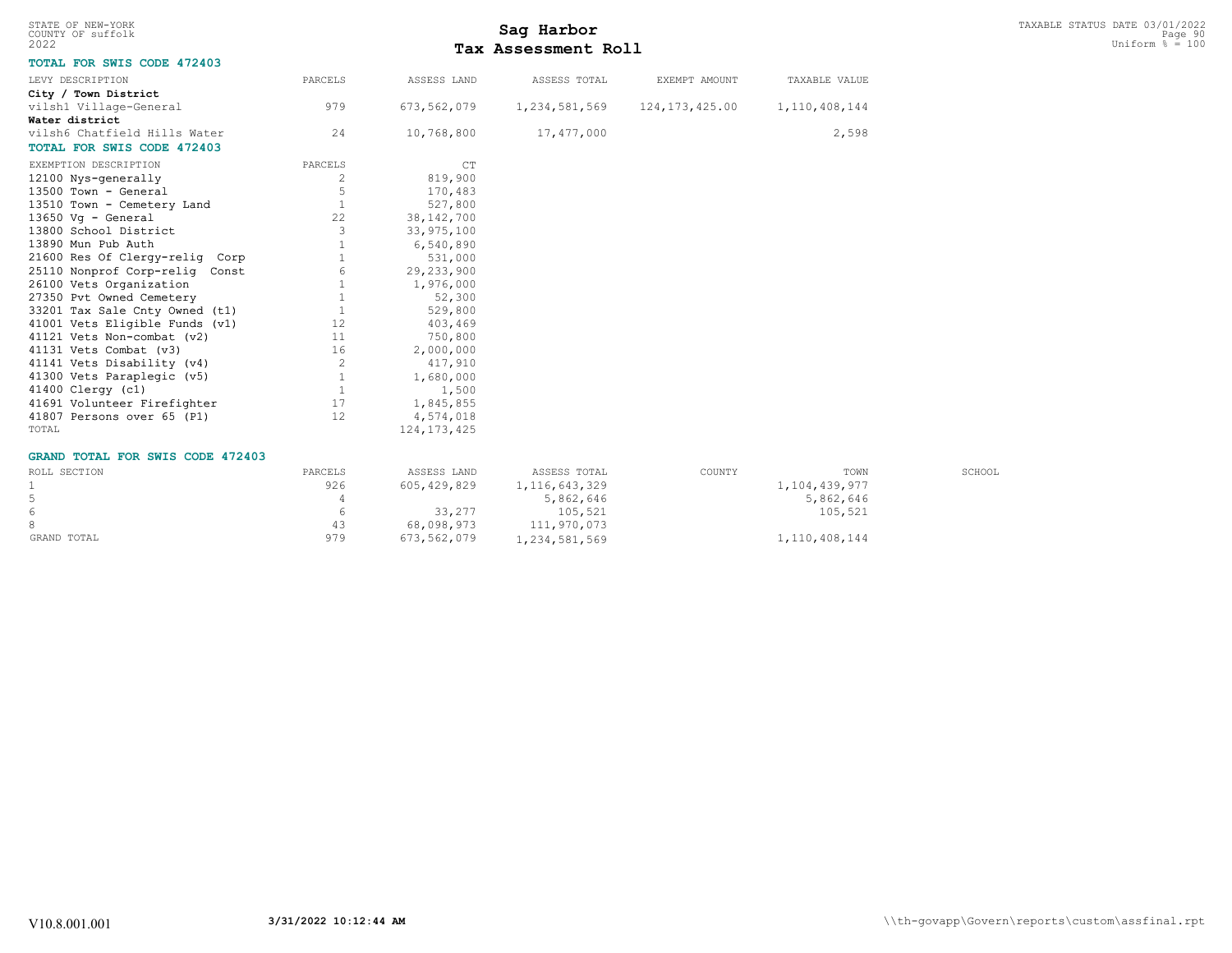| STATE OF NEW-YORK<br>COUNTY OF suffolk  |              |                | Sag Harbor          |                  |                  |        | TAXABLE STATUS DATE 03/01/2022<br>Page 90 |
|-----------------------------------------|--------------|----------------|---------------------|------------------|------------------|--------|-------------------------------------------|
| 2022                                    |              |                | Tax Assessment Roll |                  |                  |        | Uniform $\frac{1}{6}$ = 100               |
| TOTAL FOR SWIS CODE 472403              |              |                |                     |                  |                  |        |                                           |
| LEVY DESCRIPTION                        | PARCELS      | ASSESS LAND    | ASSESS TOTAL        | EXEMPT AMOUNT    | TAXABLE VALUE    |        |                                           |
| City / Town District                    |              |                |                     |                  |                  |        |                                           |
| vilsh1 Village-General                  | 979          | 673, 562, 079  | 1,234,581,569       | 124, 173, 425.00 | 1, 110, 408, 144 |        |                                           |
| Water district                          |              |                |                     |                  |                  |        |                                           |
| vilsh6 Chatfield Hills Water            | 24           | 10,768,800     | 17,477,000          |                  | 2,598            |        |                                           |
| TOTAL FOR SWIS CODE 472403              |              |                |                     |                  |                  |        |                                           |
| EXEMPTION DESCRIPTION                   | PARCELS      | C <sub>T</sub> |                     |                  |                  |        |                                           |
| 12100 Nys-generally                     | 2            | 819,900        |                     |                  |                  |        |                                           |
| 13500 Town - General                    | 5            | 170,483        |                     |                  |                  |        |                                           |
| 13510 Town - Cemetery Land              | 1            | 527,800        |                     |                  |                  |        |                                           |
| 13650 Vg - General                      | 22           | 38, 142, 700   |                     |                  |                  |        |                                           |
| 13800 School District                   | 3            | 33,975,100     |                     |                  |                  |        |                                           |
| 13890 Mun Pub Auth                      | 1            | 6,540,890      |                     |                  |                  |        |                                           |
| 21600 Res Of Clergy-relig Corp          |              | 531,000        |                     |                  |                  |        |                                           |
| 25110 Nonprof Corp-relig Const          |              | 29, 233, 900   |                     |                  |                  |        |                                           |
| 26100 Vets Organization                 |              | 1,976,000      |                     |                  |                  |        |                                           |
| 27350 Pvt Owned Cemetery                |              | 52,300         |                     |                  |                  |        |                                           |
| 33201 Tax Sale Cnty Owned (t1)          | $\mathbf{1}$ | 529,800        |                     |                  |                  |        |                                           |
| 41001 Vets Eligible Funds (v1)          | 12           | 403,469        |                     |                  |                  |        |                                           |
| 41121 Vets Non-combat (v2)              | 11           | 750,800        |                     |                  |                  |        |                                           |
| 41131 Vets Combat (v3)                  | 16           | 2,000,000      |                     |                  |                  |        |                                           |
| 41141 Vets Disability (v4)              | 2            | 417,910        |                     |                  |                  |        |                                           |
| 41300 Vets Paraplegic (v5)              | 1            | 1,680,000      |                     |                  |                  |        |                                           |
| 41400 Clergy (c1)                       | 1            | 1,500          |                     |                  |                  |        |                                           |
| 41691 Volunteer Firefighter             | 17           | 1,845,855      |                     |                  |                  |        |                                           |
| 41807 Persons over 65 (P1)              | 12           | 4,574,018      |                     |                  |                  |        |                                           |
| TOTAL                                   |              | 124, 173, 425  |                     |                  |                  |        |                                           |
| <b>GRAND TOTAL FOR SWIS CODE 472403</b> |              |                |                     |                  |                  |        |                                           |
| ROLL SECTION                            | PARCELS      | ASSESS LAND    | ASSESS TOTAL        | COUNTY           | TOWN             | SCHOOL |                                           |
| $\mathbf{1}$                            | 926          | 605, 429, 829  | 1, 116, 643, 329    |                  | 1,104,439,977    |        |                                           |
| 5                                       | 4            |                | 5,862,646           |                  | 5,862,646        |        |                                           |
| $\epsilon$                              | 6            | 33,277         | 105,521             |                  | 105,521          |        |                                           |
| 8                                       | 43           | 68,098,973     | 111,970,073         |                  |                  |        |                                           |
| GRAND TOTAL                             | 979          | 673,562,079    | 1,234,581,569       |                  | 1, 110, 408, 144 |        |                                           |
|                                         |              |                |                     |                  |                  |        |                                           |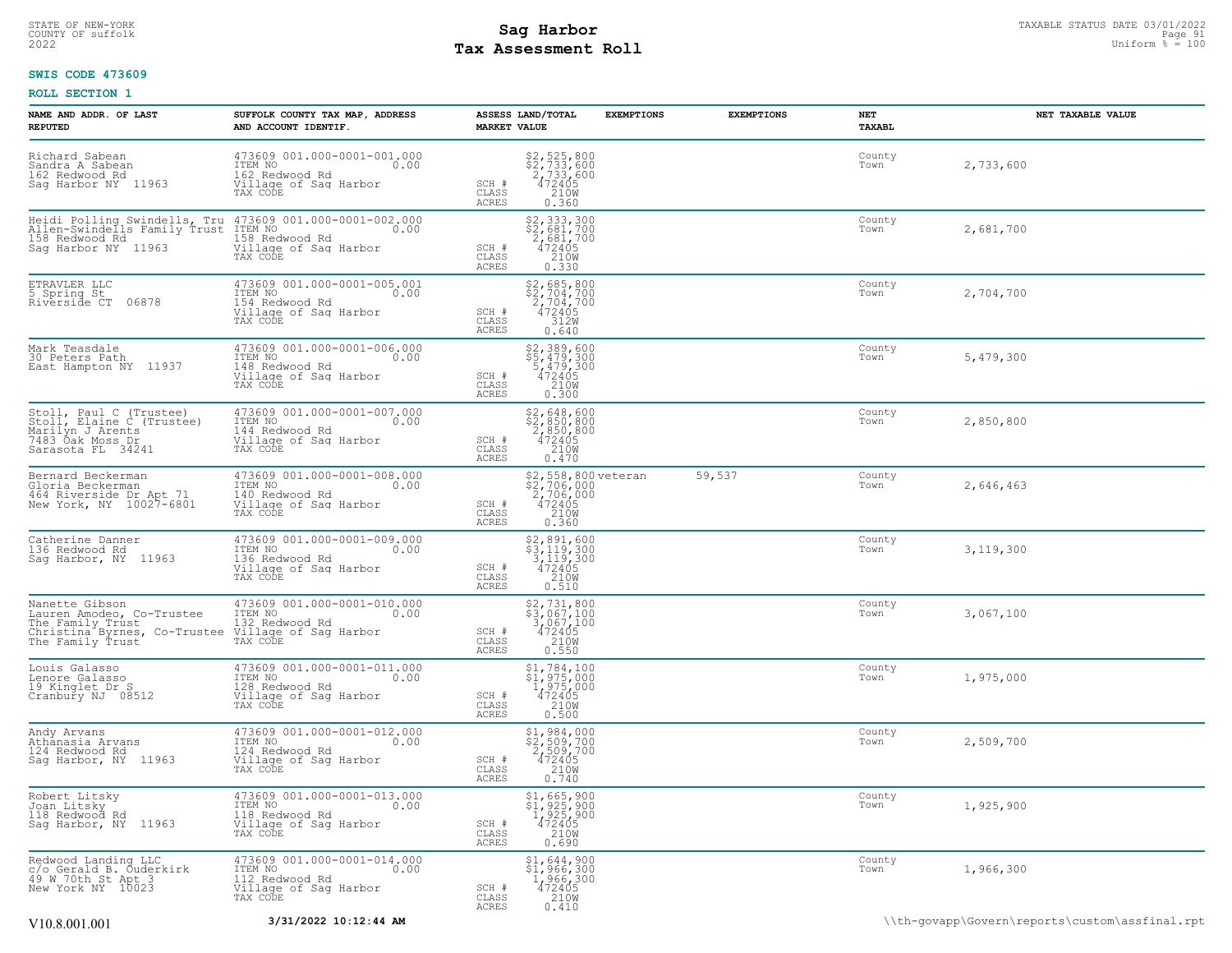### STATE OF NEW-YORK STATUS DATE 03/01/2022<br>
COUNTY OF suffolk Page 91 Description of the suffolk Page 91 Description of the suffolk Page 91 Description of<br>
2022 MageS**enent Roll** Page 100 **Tax Assessment Roll**

### **SWIS CODE 473609**

| NAME AND ADDR. OF LAST<br><b>REPUTED</b>                                                                                                  | SUFFOLK COUNTY TAX MAP, ADDRESS<br>AND ACCOUNT IDENTIF.                                                                            | <b>MARKET VALUE</b>                | ASSESS LAND/TOTAL                                                                               | <b>EXEMPTIONS</b> | <b>EXEMPTIONS</b> | NET<br><b>TAXABL</b> | NET TAXABLE VALUE                              |
|-------------------------------------------------------------------------------------------------------------------------------------------|------------------------------------------------------------------------------------------------------------------------------------|------------------------------------|-------------------------------------------------------------------------------------------------|-------------------|-------------------|----------------------|------------------------------------------------|
| Richard Sabean<br>Sandra A Sabean<br>162 Redwood Rd<br>Sag Harbor NY 11963                                                                | 473609 001.000-0001-001.000<br>ITEM NO<br>0.00<br>162 Redwood Rd<br>Village of Sag Harbor<br>TAX CODE                              | SCH #<br>$\mathtt{CLASS}$<br>ACRES | \$2,525,800<br>\$2,733,600<br>2,733,600<br>$\frac{472405}{210}$<br>0.360                        |                   |                   | County<br>Town       | 2,733,600                                      |
| Allen-Swindells Family Trust<br>158 Redwood Rd<br>Sag Harbor NY 11963                                                                     | Heidi Polling Swindells, Tru 473609 001.000-0001-002.000<br>ITEM NO<br>0.00<br>158 Redwood Rd<br>Village of Sag Harbor<br>TAX CODE | SCH #<br>CLASS<br>ACRES            | $\begin{array}{r} 52,333,300 \\ 52,681,700 \\ 2,681,700 \\ 472405 \\ 210W \\ 0.330 \end{array}$ |                   |                   | County<br>Town       | 2,681,700                                      |
| ETRAVLER LLC<br>5 Spring St<br>Riverside CT<br>06878                                                                                      | 473609 001.000-0001-005.001<br>ITEM NO<br>0.00<br>154 Redwood Rd<br>Village of Sag Harbor<br>TAX CODE                              | SCH #<br>CLASS<br>ACRES            | $$2,685,800$<br>$$2,704,700$<br>$2,704,700$<br>472405<br>312W<br>0.640                          |                   |                   | County<br>Town       | 2,704,700                                      |
| Mark Teasdale<br>30 Peters Path<br>East Hampton NY 11937                                                                                  | 473609 001.000-0001-006.000<br>ITEM NO<br>0.00<br>148 Redwood Rd<br>Village of Sag Harbor<br>TAX CODE                              | SCH #<br>CLASS<br>ACRES            | \$2,389,600<br>$$5,479,300$<br>5,479,300<br>472405<br>210W<br>0.300                             |                   |                   | County<br>Town       | 5,479,300                                      |
| Stoll, Paul C (Trustee)<br>Stoll, Elaine C (Trustee)<br>Marilyn J Arents<br>7483 Öak Moss Dr<br>Sarasota FL 34241                         | 473609 001.000-0001-007.000<br>ITEM NO<br>0.00<br>144 Redwood Rd<br>Village of Sag Harbor<br>TAX CODE                              | SCH #<br>CLASS<br>ACRES            | \$2,648,600<br>\$2,850,800<br>2,850,800<br>472405<br>210W<br>0.470                              |                   |                   | County<br>Town       | 2,850,800                                      |
| Bernard Beckerman<br>Gloria Beckerman<br>464 Riverside Dr Apt 71<br>New York, NY 10027-6801                                               | 473609 001.000-0001-008.000<br>TTEM NO 0.00<br>140 Redwood Rd<br>Village of Sag Harbor<br>TAX CODE                                 | SCH #<br>CLASS<br>ACRES            | \$2,558,800 veteran<br>\$2,706,000<br>2,706,000<br>472405<br>472405<br>210M<br>0.360            |                   | 59,537            | County<br>Town       | 2,646,463                                      |
| Catherine Danner<br>136 Redwood Rd<br>Sag Harbor, NY 11963                                                                                | 473609 001.000-0001-009.000<br>ITEM NO<br>0.00<br>136 Redwood Rd<br>Village of Sag Harbor<br>TAX CODE                              | SCH #<br>CLASS<br>ACRES            | \$2,891,600<br>\$3,119,300<br>3,119,300<br>472405<br>210W<br>0.510                              |                   |                   | County<br>Town       | 3,119,300                                      |
| Nanette Gibson<br>Lauren Amodeo, Co-Trustee<br>The Family Trust<br>Christina Byrnes, Co-Trustee Village of Sag Harbor<br>The Family Trust | 473609 001.000-0001-010.000<br>ITEM NO<br>0.00<br>132 Redwood Rd<br>TAX CODE                                                       | SCH #<br>CLASS<br>ACRES            | \$2,731,800<br>\$3,067,100<br>3,067,100<br>472405<br>210W<br>0.550                              |                   |                   | County<br>Town       | 3,067,100                                      |
| Louis Galasso<br>Lenore Galasso<br>19 Kinglet Dr S<br>Cranbury NJ 08512                                                                   | 473609 001.000-0001-011.000<br>ITEM NO<br>0.00<br>128 Redwood Rd<br>Village of Sag Harbor<br>TAX CODE                              | SCH #<br>CLASS<br>ACRES            | $\begin{array}{c} $1,784,100\\ $1,975,000\\ $1,975,000\\ $472405\\ $210W\\ $0.500 \end{array}$  |                   |                   | County<br>Town       | 1,975,000                                      |
| Andy Arvans<br>Athanasia Arvans<br>124 Redwood Rd<br>Sag Harbor, NY 11963                                                                 | 473609 001.000-0001-012.000<br>ITEM NO<br>0.00<br>124 Redwood Rd<br>Village of Sag Harbor<br>TAX CODE                              | SCH #<br>CLASS<br>ACRES            | $$2, 509, 700$<br>$$2, 509, 700$<br>$472405$<br>$$210W$<br>0.740                                |                   |                   | County<br>Town       | 2,509,700                                      |
| Robert Litsky<br>Joan Litsky<br>118 Redwood Rd<br>Sag Harbor, NY 11963                                                                    | 473609 001.000-0001-013.000<br>ITEM NO<br>0.00<br>118 Redwood Rd<br>Village of Saq Harbor<br>TAX CODE                              | SCH #<br>CLASS<br><b>ACRES</b>     | \$1,665,900<br>\$1,925,900<br>1,925,900<br>472405<br>210W<br>0.690                              |                   |                   | County<br>Town       | 1,925,900                                      |
| Redwood Landing LLC<br>c/o Gerald B. Ouderkirk<br>49 W 70th St Apt 3<br>New York NY 10023                                                 | 473609 001.000-0001-014.000<br>ITEM NO<br>0.00<br>112 Redwood Rd<br>Village of Saq Harbor<br>TAX CODE                              | SCH #<br>CLASS<br>ACRES            | \$1,644,900<br>\$1,966,300<br>1,966,300<br>472405<br>210W<br>0.410                              |                   |                   | County<br>Town       | 1,966,300                                      |
| V10.8.001.001                                                                                                                             | 3/31/2022 10:12:44 AM                                                                                                              |                                    |                                                                                                 |                   |                   |                      | \\th-qovapp\Govern\reports\custom\assfinal.rpt |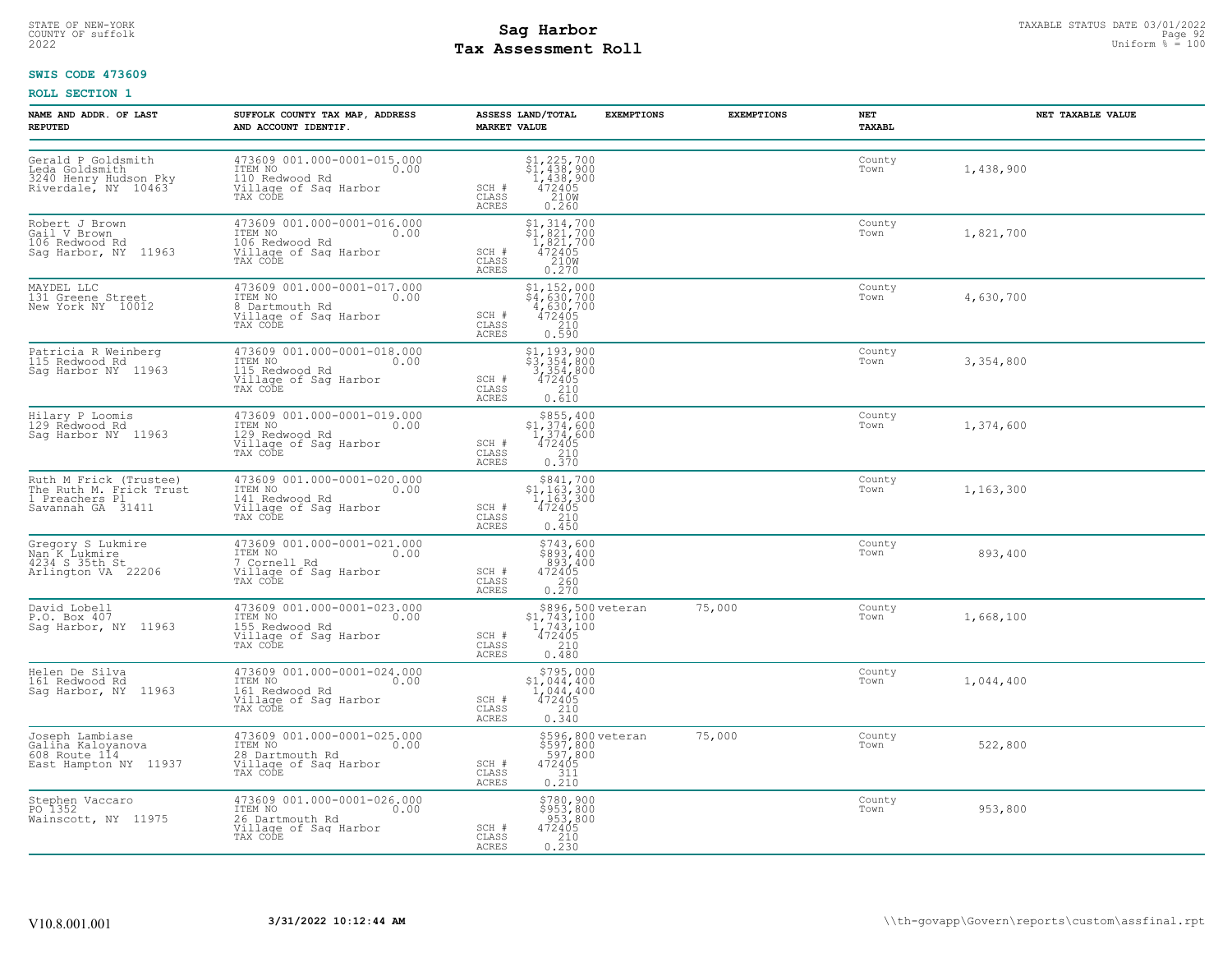# STATE OF NEW-YORK STATUS DATE 03/01/2022<br>
COUNTY OF suffolk Page 92 (DIRECT) Page 92 and **Sag Harbor**<br>
2022 Mage **Pay Assessment Roll Tax Assessment Roll**

### **SWIS CODE 473609**

| NAME AND ADDR. OF LAST<br><b>REPUTED</b>                                                 | SUFFOLK COUNTY TAX MAP, ADDRESS<br>AND ACCOUNT IDENTIF.                                                | ASSESS LAND/TOTAL<br><b>MARKET VALUE</b>                                                                                         | <b>EXEMPTIONS</b>                                                      | <b>EXEMPTIONS</b> | NET<br>TAXABL  | NET TAXABLE VALUE |
|------------------------------------------------------------------------------------------|--------------------------------------------------------------------------------------------------------|----------------------------------------------------------------------------------------------------------------------------------|------------------------------------------------------------------------|-------------------|----------------|-------------------|
| Gerald P Goldsmith<br>Leda Goldsmith<br>3240 Henry Hudson Pky<br>Riverdale, NY 10463     | 473609 001.000-0001-015.000<br>ITEM NO<br>0.00<br>110 Redwood Rd<br>Village of Sag Harbor<br>TAX CODE  | $$1, 225, 700$<br>$$1, 438, 900$<br>$1, 438, 900$<br>$472405$<br>$210W$<br>SCH #<br>CLASS<br><b>ACRES</b><br>0.260               |                                                                        |                   | County<br>Town | 1,438,900         |
| Robert J Brown<br>Gail V Brown<br>106 Redwood Rd<br>Sag Harbor, NY 11963                 | 473609 001.000-0001-016.000<br>ITEM NO<br>0.00<br>106 Redwood Rd<br>Village of Sag Harbor<br>TAX CODE  | $$1,314,700$<br>$$1,821,700$<br>$1,821,700$<br>$472405$<br>$$210W$<br>SCH #<br>$\mathtt{CLASS}$<br>0.270<br>ACRES                |                                                                        |                   | County<br>Town | 1,821,700         |
| MAYDEL LLC<br>131 Greene Street<br>New York NY 10012                                     | 473609 001.000-0001-017.000<br>ITEM NO<br>0.00<br>8 Dartmouth Rd<br>Village of Sag Harbor<br>TAX CODE  | $$4,630,700$<br>$$4,630,700$<br>$4,630,700$<br>$472405$<br>SCH #<br>CLASS<br>$\frac{210}{0.590}$<br>ACRES                        |                                                                        |                   | County<br>Town | 4,630,700         |
| Patricia R Weinberg<br>115 Redwood Rd<br>Sag Harbor NY 11963                             | 473609 001.000-0001-018.000<br>ITEM NO<br>0.00<br>115 Redwood Rd<br>Village of Sag Harbor<br>TAX CODE  | $$3, 354, 800$<br>$$3, 354, 800$<br>$3, 354, 800$<br>$472405$<br>210<br>SCH #<br>CLASS<br>ACRES<br>0.610                         |                                                                        |                   | County<br>Town | 3,354,800         |
| Hilary P Loomis<br>129 Redwood Rd<br>Sag Harbor NY 11963                                 | 473609 001.000-0001-019.000<br>ITEM NO<br>0.00<br>129 Redwood Rd<br>Village of Sag Harbor<br>TAX CODE  | $\begin{array}{r} $855,400 \\ $1,374,600 \\ $1,374,600 \\ $472405 \\ $210 \\ $0.370 \end{array}$<br>SCH #<br>CLASS<br>ACRES      |                                                                        |                   | County<br>Town | 1,374,600         |
| Ruth M Frick (Trustee)<br>The Ruth M. Frick Trust<br>1 Preachers Pl<br>Savannah GA 31411 | 473609 001.000-0001-020.000<br>ITEM NO<br>0.00<br>141 Redwood Rd<br>Village of Sag Harbor<br>TAX CODE  | $\begin{array}{c} $841,700 \\ $1,163,300 \\ $1,163,300 \\ $472405 \end{array}$<br>SCH #<br>210<br>CLASS<br><b>ACRES</b><br>0.450 |                                                                        |                   | County<br>Town | 1,163,300         |
| Gregory S Lukmire<br>Nan K Lukmire<br>4234 S 35th St<br>Arlington VA 22206               | 473609 001.000-0001-021.000<br>ITEM NO 0.00<br>7 Cornell Rd<br>Village of Sag Harbor<br>TAX CODE       | \$743,600<br>\$893,400<br>893,400<br>472405<br>SCH #<br>CLASS<br>0.260<br>ACRES                                                  |                                                                        |                   | County<br>Town | 893,400           |
| David Lobell<br>P.O. Box 407<br>Sag Harbor, NY 11963                                     | 473609 001.000-0001-023.000<br>ITEM NO<br>0.00<br>155 Redwood Rd<br>Village of Sag Harbor<br>TAX CODE  | $$896,500 \text{ veteran}$<br>$$1,743,100$<br>$1,743,100$<br>$472405$<br>$$210$<br>$$210$<br>SCH #<br>CLASS<br>0.480<br>ACRES    |                                                                        | 75,000            | County<br>Town | 1,668,100         |
| Helen De Silva<br>161 Redwood Rd<br>Sag Harbor, NY 11963                                 | 473609 001.000-0001-024.000<br>ITEM NO<br>0.00<br>161 Redwood Rd<br>Village of Sag Harbor<br>TAX CODE  | \$795,000<br>\$1,044,400<br>1,044,400<br>472405<br>SCH #<br>$\frac{210}{0.340}$<br>CLASS<br>ACRES                                |                                                                        |                   | County<br>Town | 1,044,400         |
| Joseph Lambiase<br>Galina Kaloyanova<br>608 Route 114<br>East Hampton NY 11937           | 473609 001.000-0001-025.000<br>TTEM NO 0.00<br>28 Dartmouth Rd<br>Village of Sag Harbor<br>TAX CODE    | SCH #<br>CLASS<br>ACRES                                                                                                          | \$596,800 veteran<br>\$597,800<br>597,800<br>472405<br>472405<br>0.210 | 75,000            | County<br>Town | 522,800           |
| Stephen Vaccaro<br>PO 1352<br>Wainscott, NY 11975                                        | 473609 001.000-0001-026.000<br>ITEM NO<br>0.00<br>26 Dartmouth Rd<br>Village of Sag Harbor<br>TAX CODE | \$780,900<br>\$953,800<br>953,800<br>SCH #<br>$472405$<br>210<br>CLASS<br>0.230<br>ACRES                                         |                                                                        |                   | County<br>Town | 953,800           |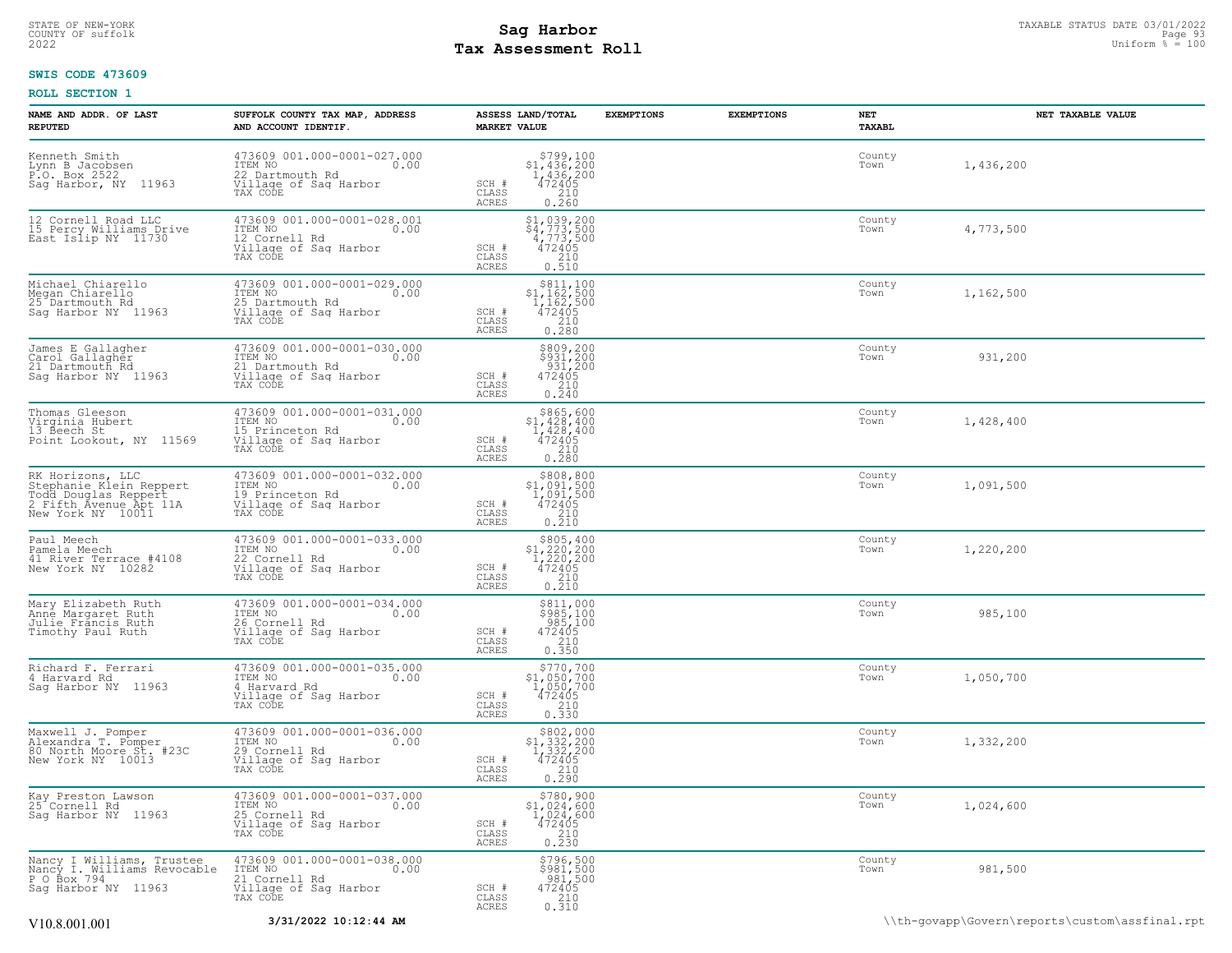### STATE OF NEW-YORK STATUS DATE 03/01/2022<br>
COUNTY OF suffolk Page 93/01/2022<br>
2022 Pay Assessment Roll **Tax Assessment Roll**

### **SWIS CODE 473609**

| NAME AND ADDR. OF LAST<br><b>REPUTED</b>                                                                           | SUFFOLK COUNTY TAX MAP, ADDRESS<br>AND ACCOUNT IDENTIF.                                                  | ASSESS LAND/TOTAL<br><b>MARKET VALUE</b>                                                                                                                                                         | <b>EXEMPTIONS</b> | <b>EXEMPTIONS</b> | NET<br>TAXABL  | NET TAXABLE VALUE |
|--------------------------------------------------------------------------------------------------------------------|----------------------------------------------------------------------------------------------------------|--------------------------------------------------------------------------------------------------------------------------------------------------------------------------------------------------|-------------------|-------------------|----------------|-------------------|
| Kenneth Smith<br>Lynn B Jacobsen<br>P.O. Box 2522<br>Saq Harbor, NY 11963                                          | 473609 001.000-0001-027.000<br>TTEM NO 0.00<br>22 Dartmouth Rd<br>Village of Saq Harbor<br>TAX CODE      | $$799,100$<br>$$1,436,200$<br>$1,436,200$<br>$472405$<br>$210$<br>SCH #<br>CLASS<br><b>ACRES</b><br>0.260                                                                                        |                   |                   | County<br>Town | 1,436,200         |
| 12 Cornell Road LLC<br>15 Percy Williams Drive<br>East Islip NY 11730                                              | 473609 001.000-0001-028.001<br>TTEM NO<br>12 Cornell Rd<br>Village of Sag Harbor<br>0.00<br>TAX CODE     | $\begin{array}{r} \texttt{\$1$, 039, 200} \\ \texttt{\$4$, 773, 500} \\ \texttt{4, 773, 500} \\ \texttt{472405} \\ \texttt{210} \\ \texttt{0.510} \end{array}$<br>SCH #<br>CLASS<br><b>ACRES</b> |                   |                   | County<br>Town | 4,773,500         |
| Michael Chiarello<br>Megan Chiarello<br>25 Dartmouth Rd<br>Saq Harbor NY 11963                                     | 473609 001.000-0001-029.000<br>ITEM NO<br>0.00<br>The Northworth Rd<br>Village of Sag Harbor<br>TAX CODE | $\begin{array}{r} \text{\small $\$811,100} \\ \text{\small $\$1,162,500} \\ 1,162,500 \\ 472405 \\ 210 \\ 0.280 \end{array}$<br>SCH #<br>CLASS<br>ACRES                                          |                   |                   | County<br>Town | 1,162,500         |
| James E Gallagher<br>Carol Gallagher<br>21 Dartmouth Rd<br>Sag Harbor NY 11963                                     | 473609 001.000-0001-030.000<br>ITEM NO<br>0.00<br>21 Dartmouth Rd<br>Village of Saq Harbor<br>TAX CODE   | $\begin{array}{c} 5809, 200 \\ 5931, 200 \\ 931, 200 \\ 472405 \\ 210 \\ 0.240 \end{array}$<br>SCH #<br>CLASS<br>ACRES                                                                           |                   |                   | County<br>Town | 931,200           |
| Thomas Gleeson<br>Virginia Hubert<br>13 Beech St<br>Point Lookout, NY 11569                                        | 473609 001.000-0001-031.000<br>ITEM NO<br>0.00<br>15 Princeton Rd<br>Village of Sag Harbor<br>TAX CODE   | $\begin{array}{r}  \  \  \, 865,600 \\  \  \, 1,428,400 \\  \  \, 1,428,400 \\  \  \, 472405 \\  \  \, 210 \\  \  \, 0.280 \end{array}$<br>SCH #<br>CLASS<br><b>ACRES</b>                        |                   |                   | County<br>Town | 1,428,400         |
| RK Horizons, LLC<br>Stephanie Klein Reppert<br>rodd Douglas Reppert<br>2 Fifth Avenue Apt 11A<br>New York NY 10011 | 473609 001.000-0001-032.000<br>ITEM NO<br>0.00<br>19 Princeton Rd<br>Village of Sag Harbor<br>TAX CODE   | $\begin{array}{r} $808,800\\ $1,091,500\\ 1,091,500\\ 472405\\ \end{array}$<br>SCH #<br>210<br>CLASS<br>0.210<br>ACRES                                                                           |                   |                   | County<br>Town | 1,091,500         |
| Paul Meech<br>Pamela Meech<br>41 River Terrace #4108<br>New York NY 10282                                          | 473609 001.000-0001-033.000<br>ITEM NO<br>0.00<br>22 Cornell Rd<br>Village of Sag Harbor<br>TAX CODE     | $$805, 400$<br>$$1, 220, 200$<br>$1, 220, 200$<br>$\begin{array}{r} 472405 \\ 210 \\ 0.210 \end{array}$<br>SCH #<br>CLASS<br><b>ACRES</b>                                                        |                   |                   | County<br>Town | 1,220,200         |
| Mary Elizabeth Ruth<br>Anné Margaret Ruth<br>Julie Fráncis Ruth<br>Timothy Paul Ruth                               | 473609 001.000-0001-034.000<br>ITEM NO<br>0.00<br>26 Cornell Rd<br>Village of Sag Harbor<br>TAX CODE     | \$811,000<br>\$985,100<br>985,100<br>472405<br>210<br>0.350<br>SCH #<br>CLASS<br><b>ACRES</b>                                                                                                    |                   |                   | County<br>Town | 985,100           |
| Richard F. Ferrari<br>4 Harvard Rd<br>Saq Harbor NY 11963                                                          | 473609 001.000-0001-035.000<br>ITEM NO<br>0.00<br>4 Harvard Rd<br>Village of Sag Harbor<br>TAX CODE      | $\begin{array}{r} 5770,700 \\ 51,050,700 \\ 1,050,700 \\ 472405 \\ 210 \end{array}$<br>SCH #<br>CLASS<br>0.330<br>ACRES                                                                          |                   |                   | County<br>Town | 1,050,700         |
| Maxwell J. Pomper<br>Alexandra T. Pomper<br>80 North Moore St. #23C<br>New York NY 10013                           | 473609 001.000-0001-036.000<br>ITEM NO<br>0.00<br>29 Cornell Rd<br>Village of Sag Harbor<br>TAX CODE     | \$802,000<br>$$1,332,200$<br>$1,332,200$<br>$472405$<br>$210$<br>SCH #<br>$\mathtt{CLASS}$<br>0.290<br><b>ACRES</b>                                                                              |                   |                   | County<br>Town | 1,332,200         |
| Kay Preston Lawson<br>25 Cornell Rd<br>Sag Harbor NY 11963                                                         | 473609 001.000-0001-037.000<br>TTEM NO 0.00<br>The Normell Rd<br>Village of Saq Harbor<br>TAX CODE       | \$780,900<br>$$1,024,600$<br>1,024,600<br>472405<br>210<br>SCH #<br>CLASS<br>$0, \overline{2}\,\overline{3}\,\overline{0}$<br><b>ACRES</b>                                                       |                   |                   | County<br>Town | 1,024,600         |
| Nancy I Williams, Trustee<br>Nancy I. Williams Revocable<br>P O Box 794<br>Saq Harbor NY 11963                     | 473609 001.000-0001-038.000<br>21 Cornell Rd<br>Village of Sag Harbor<br>TAX CODE                        | $$796,500$<br>$$981,500$<br>$981,500$<br>$472405$<br>$210$<br>SCH #<br>CLASS<br><b>ACRES</b><br>0.310                                                                                            |                   |                   | County<br>Town | 981,500           |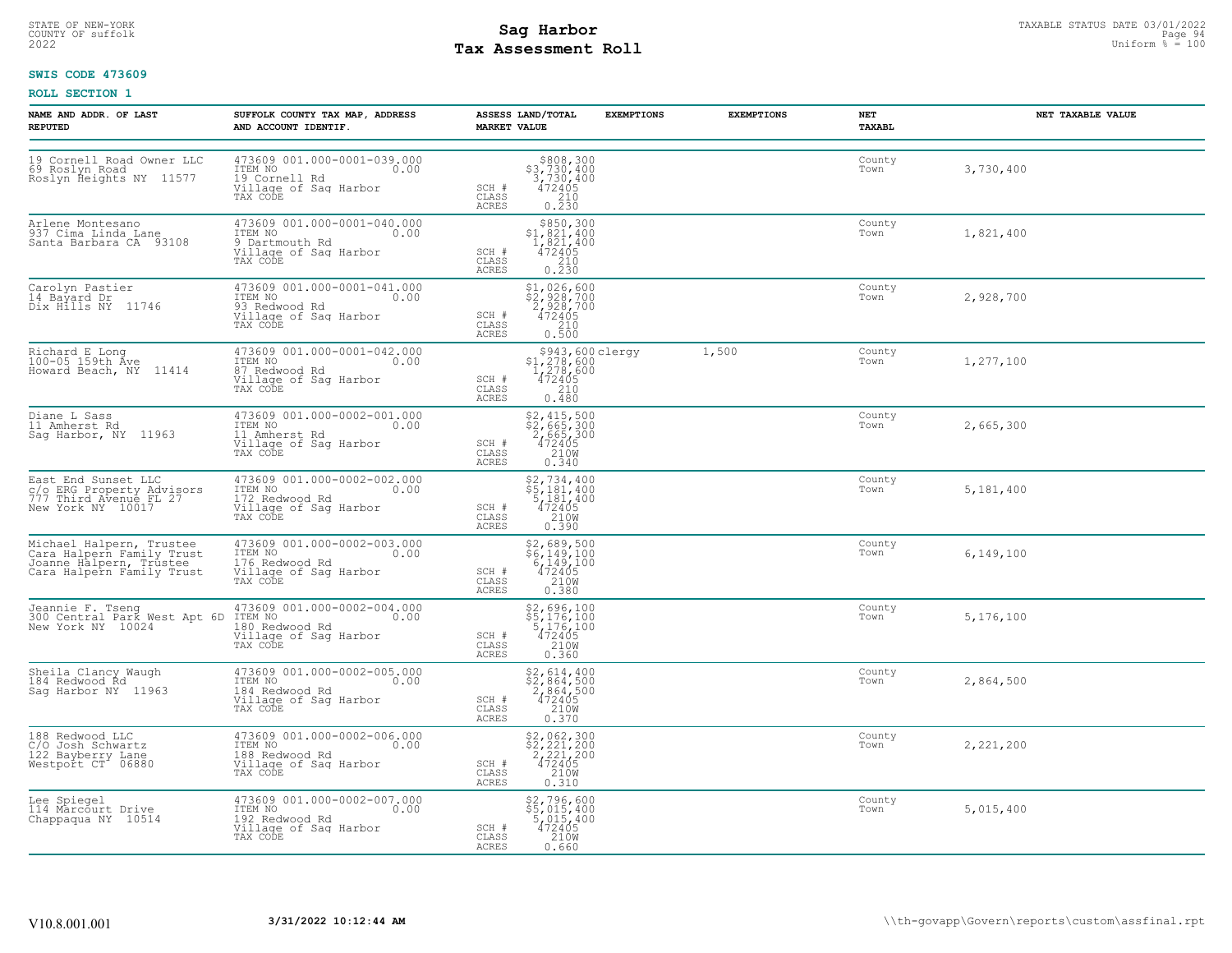# STATE OF NEW-YORK STATUS DATE 03/01/2022<br>
COUNTY OF suffolk Page 94 OUTH COUNTY OF Suffolk Page 94 OUTH COUNTY OF Suffolk Page 94 OUTH Page 94<br>
2022 Pay Assessment Roll **Tax Assessment Roll**

### **SWIS CODE 473609**

| NAME AND ADDR. OF LAST<br><b>REPUTED</b>                                                                      | SUFFOLK COUNTY TAX MAP, ADDRESS<br>AND ACCOUNT IDENTIF.                                                                                                                                   | ASSESS LAND/TOTAL<br><b>MARKET VALUE</b> | <b>EXEMPTIONS</b>                                                                                                                                                                          | <b>EXEMPTIONS</b> | NET<br>TAXABL  | NET TAXABLE VALUE |
|---------------------------------------------------------------------------------------------------------------|-------------------------------------------------------------------------------------------------------------------------------------------------------------------------------------------|------------------------------------------|--------------------------------------------------------------------------------------------------------------------------------------------------------------------------------------------|-------------------|----------------|-------------------|
| 19 Cornell Road Owner LLC<br>69 Roslyn Road<br>Roslyn Heights NY 11577                                        | 473609 001.000-0001-039.000<br>ITEM NO<br>19 Cornell Rd<br>0.00<br>Village of Sag Harbor<br>TAX CODE                                                                                      | SCH #<br>CLASS<br><b>ACRES</b>           | $\begin{array}{r} $808,300 $3,730,4003,730,400472405210\n\end{array}$<br>0.230                                                                                                             |                   | County<br>Town | 3,730,400         |
| Arlene Montesano<br>937 Cima Linda Lane<br>Santa Barbara CA 93108                                             | 473609 001.000-0001-040.000<br>ITEM NO<br>9 Dartmouth Rd<br>0.00<br>Village of Sag Harbor<br>TAX CODE                                                                                     | SCH #<br>CLASS<br>ACRES                  | $\begin{array}{r}  \  \  \,  \, 8850\, , \, 300 \\  \  \, 51\, , \, 821\, , \, 400 \\  \  \, 1\, , \, 821\, , \, 400 \\  \  \, 472405 \\  \  \, 210 \\  \  \, 0\, . \, 230 \\ \end{array}$ |                   | County<br>Town | 1,821,400         |
| Carolyn Pastier<br>14 Bayard Dr<br>Dix Hills NY 11746                                                         | 473609 001.000-0001-041.000<br>ITEM NO 0.00<br>ining<br>93 Redwood Rd<br>Village of Sag Harbor<br>TAX CODE                                                                                | SCH #<br>CLASS<br>ACRES                  | \$1,026,600<br>\$2,928,700<br>2,928,700<br>472405<br>$\begin{array}{c} 210 \\ 0.500 \end{array}$                                                                                           |                   | County<br>Town | 2,928,700         |
| Richard E Long<br>100-05 159th Ave<br>Howard Beach, NY 11414                                                  | 473609 001.000-0001-042.000<br>ITEM NO 0.00<br>87 Redwood Rd<br>Village of Sag Harbor<br>TAX CODE                                                                                         | SCH #<br>CLASS<br>ACRES                  | $\substack{\$943,600\, \mathrm{clergy}\,\\51,278,600\\1,278,600\\472405\\210}$<br>0.480                                                                                                    | 1,500             | County<br>Town | 1,277,100         |
| Diane L Sass<br>11 Amherst Rd<br>Sag Harbor, NY  11963                                                        | 473609 001.000-0002-001.000<br>ITEM NO 600 111 112000<br>Il Amherst Rd<br>Village of Sag Harbor<br>TAX CODE                                                                               | SCH #<br>CLASS<br>ACRES                  | $$2, 415, 500$<br>$$2, 665, 300$<br>$2, 665, 300$<br>$472405$<br>$2108$<br>0.340                                                                                                           |                   | County<br>Town | 2,665,300         |
| East End Sunset LLC<br>c/o ERG Property Advisors<br>777 Third Avenue FL 27<br>New York NY 10017               | 473609 001.000-0002-002.000<br>TTEM NO<br>172 Redwood Rd<br>Village of Saq Harbor<br>TAX CODE                                                                                             | SCH #<br>CLASS<br><b>ACRES</b>           | $$2,734,400$<br>$$5,181,400$<br>$$181,400$<br>$472405$<br>$$2100$<br>0.390                                                                                                                 |                   | County<br>Town | 5,181,400         |
| Michael Halpern, Trustee<br>Cara Halpern Family Trust<br>Joanne Halpern, Trustee<br>Cara Halpern Family Trust | 473609 001.000-0002-003.000<br>ITEM NO 0.00<br>176 Redwood Rd<br>Village of Sag Harbor<br>TAX CODE                                                                                        | SCH #<br>CLASS<br>ACRES                  | $$2,689,500$<br>$$6,149,100$<br>$6,149,100$<br>$472405$<br>210W<br>0.380                                                                                                                   |                   | County<br>Town | 6,149,100         |
|                                                                                                               | Jeannie F. Tseng (173609 001.000-0002-004.000<br>300 Central Park West Apt 6D ITEM NO (0.000)<br>New York NY 10024 (180 Redwood Rd<br>180 Redwood Rd<br>Village of Sag Harbor<br>TAX CODE | SCH #<br>CLASS<br>ACRES                  | $$2,696,100$<br>$$5,176,100$<br>$$176,100$<br>$\frac{472405}{2100}$<br>0.360                                                                                                               |                   | County<br>Town | 5,176,100         |
| Sheila Clancy Waugh<br>184 Redwood Rd<br>Sag Harbor NY 11963                                                  | $\begin{array}{ll} 473609&001.000-0002-005.000\\ \texttt{ITEM NO} & 0.00\\ 184&\texttt{Redwood Rd}\\ \texttt{Village of Sag Harbor}\\ \texttt{TAX CODE} & \end{array}$                    | SCH #<br>CLASS<br><b>ACRES</b>           | \$2,614,400<br>\$2,864,500<br>2,864,500<br>472405<br>210W<br>0.370                                                                                                                         |                   | County<br>Town | 2,864,500         |
| 188 Redwood LLC<br>C/O Josh Schwartz<br>122 Bayberry Lane<br>Westport CT 06880                                | 473609 001.000-0002-006.000<br>ITEM NO 0.00<br>188 Redwood Rd 0.00<br>Village of Sag Harbor<br>TAX CODE                                                                                   | SCH #<br>CLASS<br>ACRES                  | \$2,062,300<br>\$2,221,200<br>2,221,200<br>472405<br>210W<br>0.310                                                                                                                         |                   | County<br>Town | 2,221,200         |
| Lee Spiegel<br>114 Marcourt Drive<br>Chappaqua NY 10514                                                       | 473609 001.000-0002-007.000<br>TTEM NO 0.00<br>192 Redwood Rd<br>Village of Sag Harbor<br>TAX CODE                                                                                        | SCH #<br>CLASS<br>ACRES                  | \$2,796,600<br>\$5,015,400<br>5,015,400<br>472405<br>210W<br>0.660                                                                                                                         |                   | County<br>Town | 5,015,400         |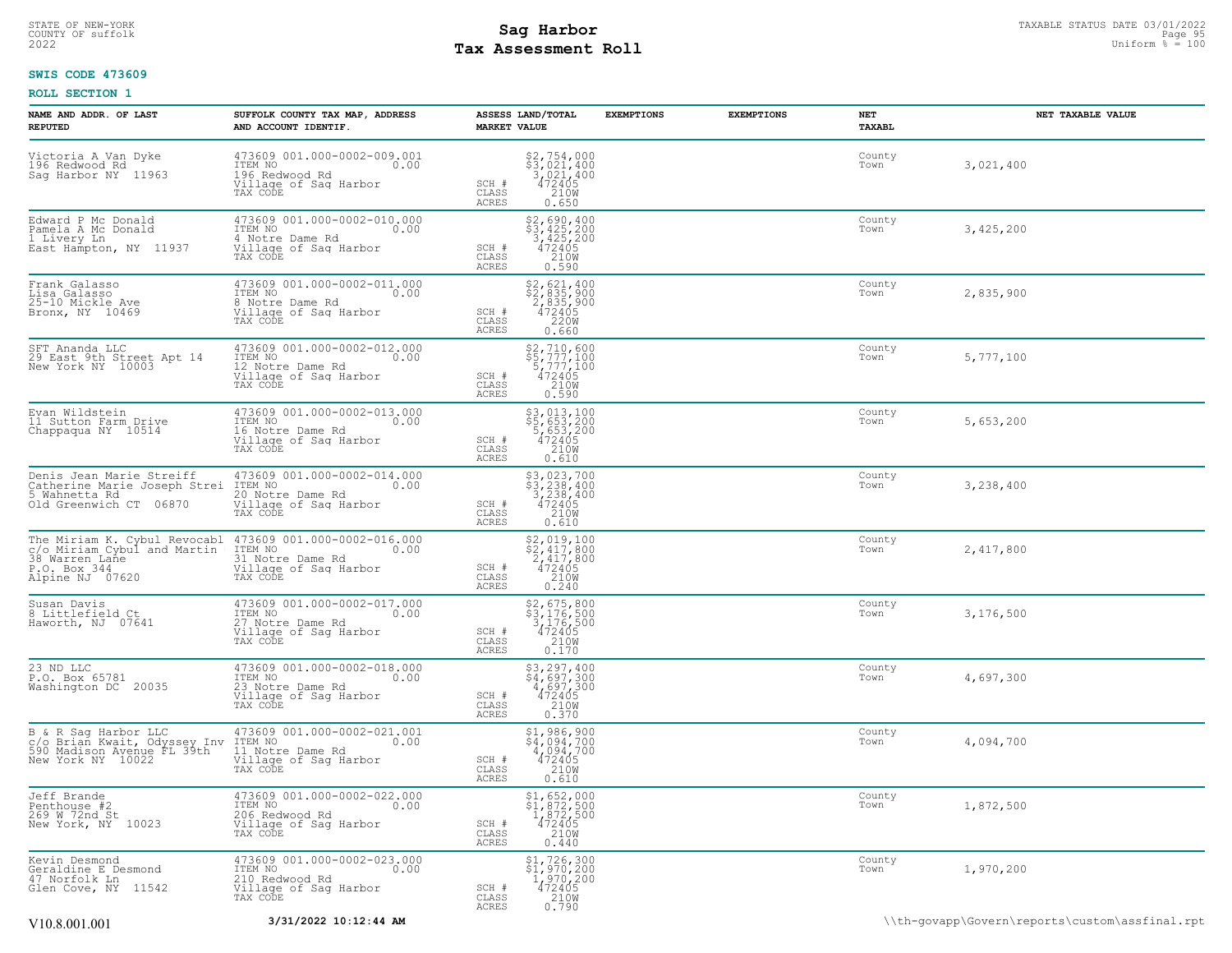### STATE OF NEW-YORK STATUS DATE 03/01/2022<br>
COUNTY OF suffolk Page 95<br>
2022 **Fax Assessment Roll** Page 95 and County of Sufform % = 100 **Tax Assessment Roll**

### **SWIS CODE 473609**

| NAME AND ADDR. OF LAST<br><b>REPUTED</b>                                                                         | SUFFOLK COUNTY TAX MAP, ADDRESS<br>AND ACCOUNT IDENTIF.                                                      | ASSESS LAND/TOTAL<br><b>MARKET VALUE</b>                                                                                                      | <b>EXEMPTIONS</b> | <b>EXEMPTIONS</b> | NET<br><b>TAXABL</b> | NET TAXABLE VALUE |
|------------------------------------------------------------------------------------------------------------------|--------------------------------------------------------------------------------------------------------------|-----------------------------------------------------------------------------------------------------------------------------------------------|-------------------|-------------------|----------------------|-------------------|
| Victoria A Van Dyke<br>196 Redwood Rd<br>Saq Harbor NY 11963                                                     | 473609 001.000-0002-009.001<br>TTEM NO 0.00<br>196 Redwood Rd<br>Village of Sag Harbor<br>TAX CODE           | \$2,754,000<br>\$3,021,400<br>3,021,400<br>472405<br>210W<br>SCH #<br>CLASS<br><b>ACRES</b><br>0.650                                          |                   |                   | County<br>Town       | 3,021,400         |
| Edward P Mc Donald<br>Pamela A Mc Donald<br>1 Livery Ln<br>East Hampton, NY 11937                                | 473609 001.000-0002-010.000<br>ITEM NO<br>0.00<br>4 Notre Dame Rd<br>Village of Sag Harbor<br>TAX CODE       | $\begin{array}{r} 52,690,400 \\ 53,425,200 \\ 3,425,200 \\ 472405 \\ 2100 \\ \end{array}$<br>SCH #<br>CLASS<br>0.590<br>ACRES                 |                   |                   | County<br>Town       | 3,425,200         |
| Frank Galasso<br>Lisa Galasso<br>25-10 Mickle Ave<br>Bronx, NY 10469                                             | 473609 001.000-0002-011.000<br>ITEM NO<br>0.00<br>8 Notre Dame Rd<br>Village of Sag Harbor<br>TAX CODE       | $\begin{array}{l} $2,621,400 \\ $2,835,900 \\ $2,835,900 \\ $472405 \\ $220W \\ $220W \end{array}$<br>SCH #<br>CLASS<br><b>ACRES</b><br>0.660 |                   |                   | County<br>Town       | 2,835,900         |
| SFT Ananda LLC<br>29 East 9th Street Apt 14<br>New York NY 10003                                                 | 473609 001.000-0002-012.000<br>ITEM NO 0.00<br>12 Notre Dame Rd<br>Village of Saq Harbor<br>TAX CODE         | \$2,710,600<br>\$5,777,100<br>5,777,100<br>472405<br>210W<br>SCH #<br>CLASS<br>ACRES<br>0.590                                                 |                   |                   | County<br>Town       | 5,777,100         |
| Evan Wildstein<br>11 Sutton Farm Drive<br>Chappaqua NY 10514                                                     | 473609 001.000-0002-013.000<br>TTEM NO 0.00<br>0.00<br>16 Notre Dame Rd<br>Village of Sag Harbor<br>TAX CODE | \$3,013,100<br>\$5,653,200<br>5,653,200<br>472405<br>210W<br>SCH #<br>CLASS<br>ACRES<br>0.610                                                 |                   |                   | County<br>Town       | 5,653,200         |
| Denis Jean Marie Streiff<br>Catherine Marie Joseph Strei<br>5 Wahnetta Rd<br>Old Greenwich CT 06870              | 473609 001.000-0002-014.000<br>ITEM NO<br>0.00<br>20 Notre Dame Rd<br>Village of Sag Harbor<br>TAX CODE      | $$3,023,700$<br>$$3,238,400$<br>$3,238,400$<br>$472405$<br>$210M$<br>SCH #<br>CLASS<br>ACRES<br>0.610                                         |                   |                   | County<br>Town       | 3,238,400         |
| The Miriam K. Cybul Revocabl<br>c/o Miriam Cybul and Martin<br>38 Warren Lañe<br>P.O. Box 344<br>Alpine NJ 07620 | 473609 001.000-0002-016.000<br>ITEM NO<br>0.00<br>31 Notre Dame Rd<br>Village of Sag Harbor<br>TAX CODE      | $\begin{array}{l} $2,019,100 \\ $2,417,800 \\ $2,417,800 \\ $472405 \\ $2100 \\ $2100 \end{array}$<br>SCH #<br>CLASS<br><b>ACRES</b><br>0.240 |                   |                   | County<br>Town       | 2,417,800         |
| Susan Davis<br>8 Littlefield Ct<br>Haworth, NJ 07641                                                             | 473609 001.000-0002-017.000<br>ITEM NO<br>0.00<br>27 Notre Dame Rd<br>Village of Saq Harbor<br>TAX CODE      | $$2, 675, 800$<br>$$3, 176, 500$<br>$3, 176, 500$<br>$472405$<br>$$2108$<br>SCH #<br>CLASS<br><b>ACRES</b><br>0.170                           |                   |                   | County<br>Town       | 3,176,500         |
| 23 ND LLC<br>P.O. Box 65781<br>Washington DC 20035                                                               | 473609 001.000-0002-018.000<br>ITEM NO<br>0.00<br>23 Notre Dame Rd<br>Village of Sag Harbor<br>TAX CODE      | $$3, 297, 400$<br>$$4, 697, 300$<br>$4, 697, 300$<br>$472405$<br>$210W$<br>SCH #<br>CLASS<br>ACRES<br>0.370                                   |                   |                   | County<br>Town       | 4,697,300         |
| B & R Sag Harbor LLC<br>C/o Brian Kwait, Odyssey Inv<br>590 Madison Avenue FL 39th<br>New York NY 10022          | 473609 001.000-0002-021.001<br>ITEM NO<br>0.00<br>11 Notre Dame Rd<br>Village of Sag Harbor<br>TAX CODE      | $$4,986,900$<br>$$4,094,700$<br>$4,094,700$<br>$472405$<br>$210$<br>SCH #<br>CLASS<br>ACRES<br>0.610                                          |                   |                   | County<br>Town       | 4,094,700         |
| Jeff Brande<br>Penthouse #2<br>269 M 72nd St<br>New York, NY 10023                                               | 473609 001.000-0002-022.000<br>ITEM NO 0.00<br>0.00<br>206 Redwood Rd<br>Village of Sag Harbor<br>TAX CODE   | $$1,652,000$<br>$$1,872,500$<br>$1,872,500$<br>$472405$<br>$$210W$<br>SCH #<br>CLASS<br>ACRES<br>0.440                                        |                   |                   | County<br>Town       | 1,872,500         |
| Kevin Desmond<br>Geraldine E Desmond<br>47 Norfolk Ln<br>Glen Cove, NY 11542                                     | 473609 001.000-0002-023.000<br>ITEM NO 0.00<br>210 Redwood Rd<br>Village of Sag Harbor<br>TAX CODE           | $\begin{array}{r} $1,726,300 \ $1,970,200 \ $1,970,200 \ $472405 \ $2100 \end{array}$<br>SCH #<br>CLASS<br><b>ACRES</b><br>0.790              |                   |                   | County<br>Town       | 1,970,200         |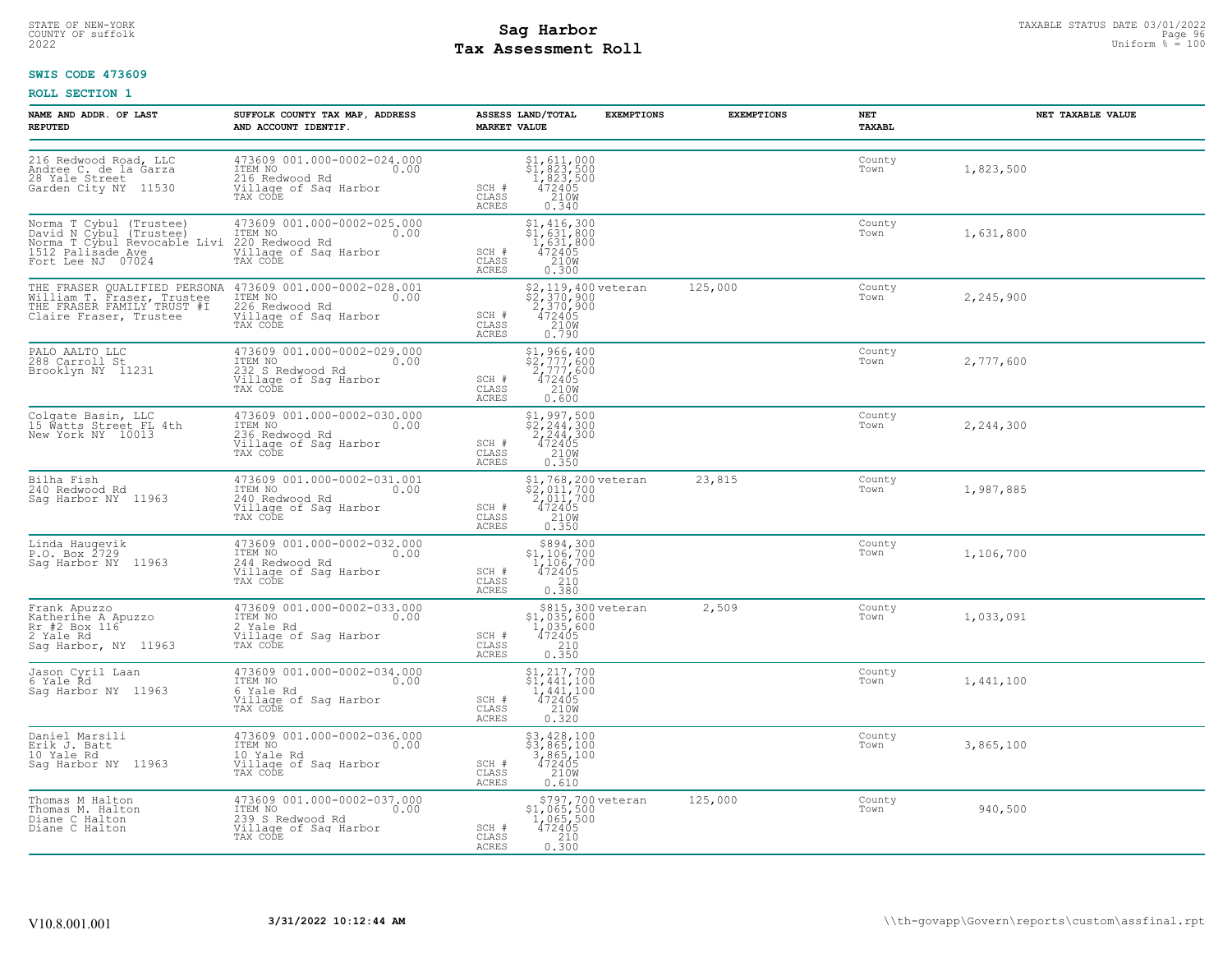# STATE OF NEW-YORK STATUS DATE 03/01/2022<br>
COUNTY OF suffolk Page 96 96 96 96 96 96 96 96 96 96 97 97 97 97 97 97 97 97 98<br>
2022 Pay Assessment Roll **Tax Assessment Roll**

### **SWIS CODE 473609**

| NAME AND ADDR, OF LAST<br><b>REPUTED</b>                                                                                     | SUFFOLK COUNTY TAX MAP, ADDRESS<br>AND ACCOUNT IDENTIF.                                                 | ASSESS LAND/TOTAL<br><b>MARKET VALUE</b> | <b>EXEMPTIONS</b>                                                                                             | <b>EXEMPTIONS</b> | NET<br>TAXABL  | NET TAXABLE VALUE |
|------------------------------------------------------------------------------------------------------------------------------|---------------------------------------------------------------------------------------------------------|------------------------------------------|---------------------------------------------------------------------------------------------------------------|-------------------|----------------|-------------------|
| 216 Redwood Road, LLC<br>Andree C. de la Garza<br>28 Yale Street<br>Garden City NY 11530                                     | 473609 001.000-0002-024.000<br>ITEM NO<br>0.00<br>216 Redwood Rd<br>Village of Sag Harbor<br>TAX CODE   | SCH #<br>CLASS<br><b>ACRES</b>           | \$1,611,000<br>\$1,823,500<br>1,823,500<br>472405<br>210M<br>0.340                                            |                   | County<br>Town | 1,823,500         |
| Norma T Cybul (Trustee)<br>David N Cybul (Trustee)<br>Norma T Cybul Revocable Livi<br>1512 Palisade Ave<br>Fort Lee NJ 07024 | 473609 001.000-0002-025.000<br>ITEM NO<br>0.00<br>220 Redwood Rd<br>Village of Sag Harbor<br>TAX CODE   | SCH #<br>CLASS<br>ACRES                  | \$1,416,300<br>\$1,631,800<br>$1,631,800$<br>472405<br>210W<br>0.300                                          |                   | County<br>Town | 1,631,800         |
| THE FRASER QUALIFIED PERSONA<br>William T. Fraser, Trustee<br>THE FRASER FAMILY TRUST #I<br>Claire Fraser, Trustee           | 473609 001.000-0002-028.001<br>ITEM NO<br>0.00<br>226 Redwood Rd<br>Village of Sag Harbor<br>TAX CODE   | SCH #<br>CLASS<br>ACRES                  | \$2,119,400 veteran<br>$\frac{52}{2}, \frac{370}{370}, \frac{300}{900}$<br>472405<br>210W<br>0.790            | 125,000           | County<br>Town | 2,245,900         |
| PALO AALTO LLC<br>288 Carroll St<br>Brooklyn NY 11231                                                                        | 473609 001.000-0002-029.000<br>ITEM NO<br>0.00<br>232 S Redwood Rd<br>Village of Sag Harbor<br>TAX CODE | SCH #<br>CLASS<br>ACRES                  | \$1,966,400<br>\$2,777,600<br>2,777,600<br>472405<br>210W<br>0.600                                            |                   | County<br>Town | 2,777,600         |
| Colgate Basin, LLC<br>15 Watts Street FL 4th<br>New York NY 10013                                                            | 473609 001.000-0002-030.000<br>ITEM NO<br>0.00<br>236 Redwood Rd<br>Village of Sag Harbor<br>TAX CODE   | SCH #<br>CLASS<br>ACRES                  | $$2, 244, 300$<br>$$2, 244, 300$<br>$$2, 244, 300$<br>$472405$<br>210W<br>0.350                               |                   | County<br>Town | 2,244,300         |
| Bilha Fish<br>240 Redwood Rd<br>Saq Harbor NY 11963                                                                          | 473609 001.000-0002-031.001<br>ITEM NO<br>0.00<br>240 Redwood Rd<br>Village of Sag Harbor<br>TAX CODE   | SCH #<br>CLASS<br><b>ACRES</b>           | $$^{1}_{2}$ , 768, 200 veteran<br>$$^{2}_{2}$ , 011, 700<br>$147700$<br>$472405$<br>$210M$<br>$210M$<br>0.350 | 23,815            | County<br>Town | 1,987,885         |
| Linda Haugevik<br>P.O. Box 2729<br>Saq Harbor NY 11963                                                                       | 473609 001.000-0002-032.000<br>ITEM NO 0.00<br>244 Redwood Rd<br>Village of Sag Harbor<br>TAX CODE      | SCH #<br>CLASS<br>ACRES                  | $$894,300$<br>$$1,106,700$<br>$1,106,700$<br>$472405$<br>0.380                                                |                   | County<br>Town | 1,106,700         |
| Frank Apuzzo<br>Katherine A Apuzzo<br>Rr #2 Box 116 <sup>t</sup><br>2 Yale Rd<br>Saq Harbor, NY 11963                        | 473609 001.000-0002-033.000<br>ITEM NO<br>0.00<br>2 Yale Rd<br>Village of Sag Harbor<br>TAX CODE        | SCH #<br>CLASS<br>ACRES                  | \$815,300 veteran<br>\$1,035,600<br>1,035,600<br>472405<br>$\begin{array}{c} 210 \\ 0.350 \end{array}$        | 2,509             | County<br>Town | 1,033,091         |
| Jason Cyril Laan<br>6 Yale Rd<br>Sag Harbor NY 11963                                                                         | 473609 001.000-0002-034.000<br>ITEM NO<br>0.00<br>6 Yale Rd<br>Village of Sag Harbor<br>TAX CODE        | SCH #<br>CLASS<br>ACRES                  | $$1, 217, 700$<br>$$1, 441, 100$<br>1,441,100<br>472405<br>210W<br>0.320                                      |                   | County<br>Town | 1,441,100         |
| Daniel Marsili<br>Erik J. Batt<br>10 Yale Rd<br>Saq Harbor NY 11963                                                          | 473609 001.000-0002-036.000<br>TTEM NO 0.00<br>10 Yale Rd<br>Village of Sag Harbor<br>TAX CODE          | SCH #<br>CLASS<br>ACRES                  | $$3,428,100$<br>$$3,865,100$<br>$3,865,100$<br>$472405$<br>$2100$<br>0.610                                    |                   | County<br>Town | 3,865,100         |
| Thomas M Halton<br>Thomas M. Halton<br>Diane C Halton<br>Diane C Halton                                                      | 473609 001.000-0002-037.000<br>ITEM NO<br>0.00<br>239 S Redwood Rd<br>Village of Sag Harbor<br>TAX CODE | SCH #<br>CLASS<br>ACRES                  | \$797,700 veteran<br>$$1,065,500$<br>1,065,500<br>472405<br>210<br>0.300                                      | 125,000           | County<br>Town | 940,500           |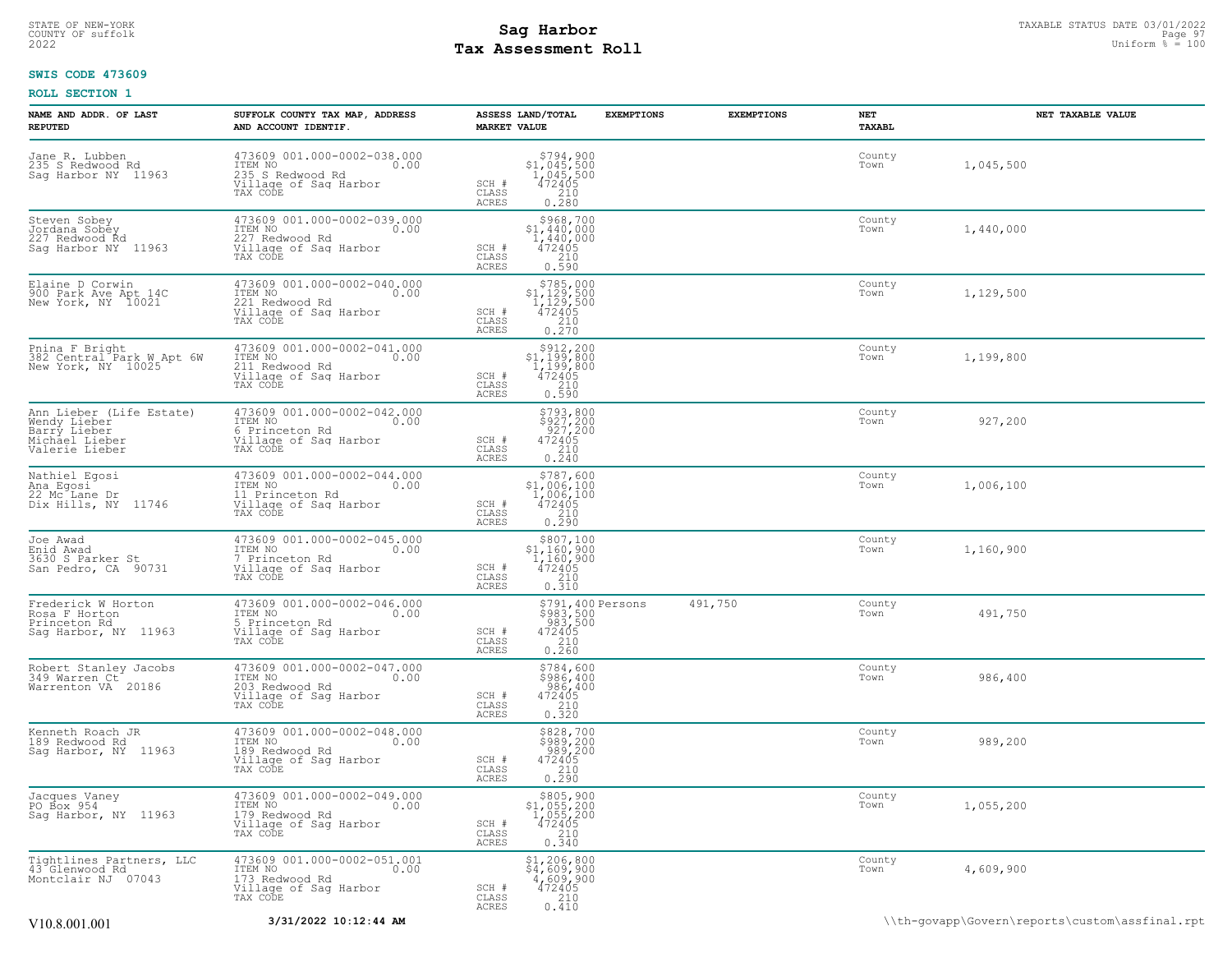### STATE OF NEW-YORK STATUS DATE 03/01/2022<br>
COUNTY OF suffolk Page 97 Magnetic Page 97 Magnetic Page 97 Magnetic Page 97 Magnetic Page 97 Magnetic Page 97<br>
2022 Magnetic Page 97 Magnetic Page 97 Magnetic Page 100 **Tax Assessment Roll**

### **SWIS CODE 473609**

| NAME AND ADDR. OF LAST<br><b>REPUTED</b>                                                     | SUFFOLK COUNTY TAX MAP, ADDRESS<br>AND ACCOUNT IDENTIF.                                                    | ASSESS LAND/TOTAL<br><b>MARKET VALUE</b>                                                                                             | <b>EXEMPTIONS</b><br><b>EXEMPTIONS</b> | NET<br>TAXABL  | NET TAXABLE VALUE |
|----------------------------------------------------------------------------------------------|------------------------------------------------------------------------------------------------------------|--------------------------------------------------------------------------------------------------------------------------------------|----------------------------------------|----------------|-------------------|
| Jane R. Lubben<br>235 S Redwood Rd<br>Saq Harbor NY 11963                                    | 473609 001.000-0002-038.000<br>ITEM NO<br>0.00<br>235 S Redwood Rd<br>Village of Sag Harbor<br>TAX CODE    | $$794, 900$<br>$$1, 045, 500$<br>$1, 045, 500$<br>$472405$<br>210<br>SCH #<br>CLASS<br><b>ACRES</b><br>0.280                         |                                        | County<br>Town | 1,045,500         |
| Steven Sobey<br>Jordana Sobey<br>227 Redwood Rd<br>Sag Harbor NY 11963                       | 473609 001.000-0002-039.000<br>ITEM NO<br>227 Redwood Rd<br>0.00<br>Village of Sag Harbor<br>TAX CODE      | \$968,700<br>$$1,440,000$<br>$1,440,000$<br>$472405$<br>SCH #<br>CLASS<br>$0.310$<br>$0.590$<br><b>ACRES</b>                         |                                        | County<br>Town | 1,440,000         |
| Elaine D Corwin<br>900 Park Ave Apt 14C<br>New York, NY 10021                                | 473609 001.000-0002-040.000<br>ITEM NO<br>221 Redwood Rd<br>0.00<br>Village of Sag Harbor<br>TAX CODE      | $\begin{array}{r} 5785,000\\ 51,129,500\\ 1,129,500\\ 472405\\ 210\\ 0.270 \end{array}$<br>SCH #<br>CLASS<br><b>ACRES</b>            |                                        | County<br>Town | 1,129,500         |
| Pnina F Bright<br>382 Central Park W Apt 6W<br>New York, NY 10025                            | 473609 001.000-0002-041.000<br>ITEM NO<br>0.00<br>211 Redwood Rd<br>Village of Sag Harbor<br>TAX CODE      | $$912, 200$<br>$$1, 199, 800$<br>$1, 199, 800$<br>SCH #<br>$\begin{array}{c}\n472405 \\ 210 \\ 0.590\n\end{array}$<br>CLASS<br>ACRES |                                        | County<br>Town | 1,199,800         |
| Ann Lieber (Life Estate)<br>Wendy Lieber<br>Barry Lieber<br>Michael Lieber<br>Valerie Lieber | 473609 001.000-0002-042.000<br>ITEM NO<br>0.00<br>6 Princeton Rd<br>Village of Sag Harbor<br>TAX CODE      | \$793,800<br>\$927,200<br>927,200<br>472405<br>SCH #<br>CLASS<br>$\frac{210}{0.240}$<br>ACRES                                        |                                        | County<br>Town | 927,200           |
| Nathiel Egosi<br>Ana Egosi<br>22 Mc Lane Dr<br>Dix Hills, NY<br>11746                        | 473609 001.000-0002-044.000<br>ITEM NO<br>0.00<br>11 Princeton Rd<br>Village of Sag Harbor<br>TAX CODE     | $\begin{array}{c} $787,600 \\ $1,006,100 \\ $1,006,100 \\ $472405 \end{array}$<br>SCH #<br>CLASS<br>210<br>0.290<br>ACRES            |                                        | County<br>Town | 1,006,100         |
| Joe Awad<br>Enid Awad<br>3630 S Parker St<br>San Pedro, CA 90731                             | 473609 001.000-0002-045.000<br>ITEM NO<br>0.00<br>7 Princeton Rd<br>Village of Sag Harbor<br>TAX CODE      | \$807,100<br>\$1,160,900<br>1,Iĕŏ,9ŏŏ<br>472405<br>SCH #<br>CLASS<br>0.310<br>ACRES                                                  |                                        | County<br>Town | 1,160,900         |
| Frederick W Horton<br>Rosa F Horton<br>Princeton Rd<br>Sag Harbor, NY 11963                  | 473609 001.000-0002-046.000<br>ITEM NO<br>0.00<br>5 Princeton Rd<br>Village of Sag Harbor<br>TAX CODE      | \$791,400 Persons<br>\$983,500<br>983,500<br>472405<br>SCH #<br>CLASS<br>$\frac{210}{0.260}$<br>ACRES                                | 491,750                                | County<br>Town | 491,750           |
| Robert Stanley Jacobs<br>349 Warren Ct<br>Warrenton VA 20186                                 | 473609 001.000-0002-047.000<br>ITEM NO<br>0.00<br>203 Redwood Rd<br>Village of Sag Harbor<br>TAX CODE      | \$784,600<br>\$986,400<br>986,400<br>SCH #<br>472405<br>$\frac{210}{0.320}$<br>CLASS<br>ACRES                                        |                                        | County<br>Town | 986,400           |
| Kenneth Roach JR<br>189 Redwood Rd<br>Saq Harbor, NY 11963                                   | 473609 001.000-0002-048.000<br>ITEM NO<br>0.00<br>189 Redwood Rd<br>Village of Sag Harbor<br>TAX CODE      | \$828,700<br>\$989,200<br>989,200<br>472405<br>SCH #<br>$\begin{array}{c} 210 \\ 0.290 \end{array}$<br>CLASS<br><b>ACRES</b>         |                                        | County<br>Town | 989,200           |
| Jacques Vaney<br>PO Box 954<br>Sag Harbor, NY 11963                                          | 473609 001.000-0002-049.000<br>TTEM NO 0.00<br>0.00<br>179 Redwood Rd<br>Village of Sag Harbor<br>TAX CODE | \$805,900<br>$$1,055,200$<br>$1,055,200$<br>$472405$<br>SCH #<br>CLASS<br>$\frac{210}{0.340}$<br><b>ACRES</b>                        |                                        | County<br>Town | 1,055,200         |
| Tightlines Partners, LLC<br>43 Glenwood Rd<br>Montclair NJ 07043                             | 473609 001.000-0002-051.001<br>ITEM NO 0.00<br>0.00<br>173 Redwood Rd<br>Village of Sag Harbor<br>TAX CODE | \$1,206,800<br>\$4,609,900<br>4,609,900<br>472405<br>SCH #<br>CLASS<br>210<br><b>ACRES</b><br>0.410                                  |                                        | County<br>Town | 4,609,900         |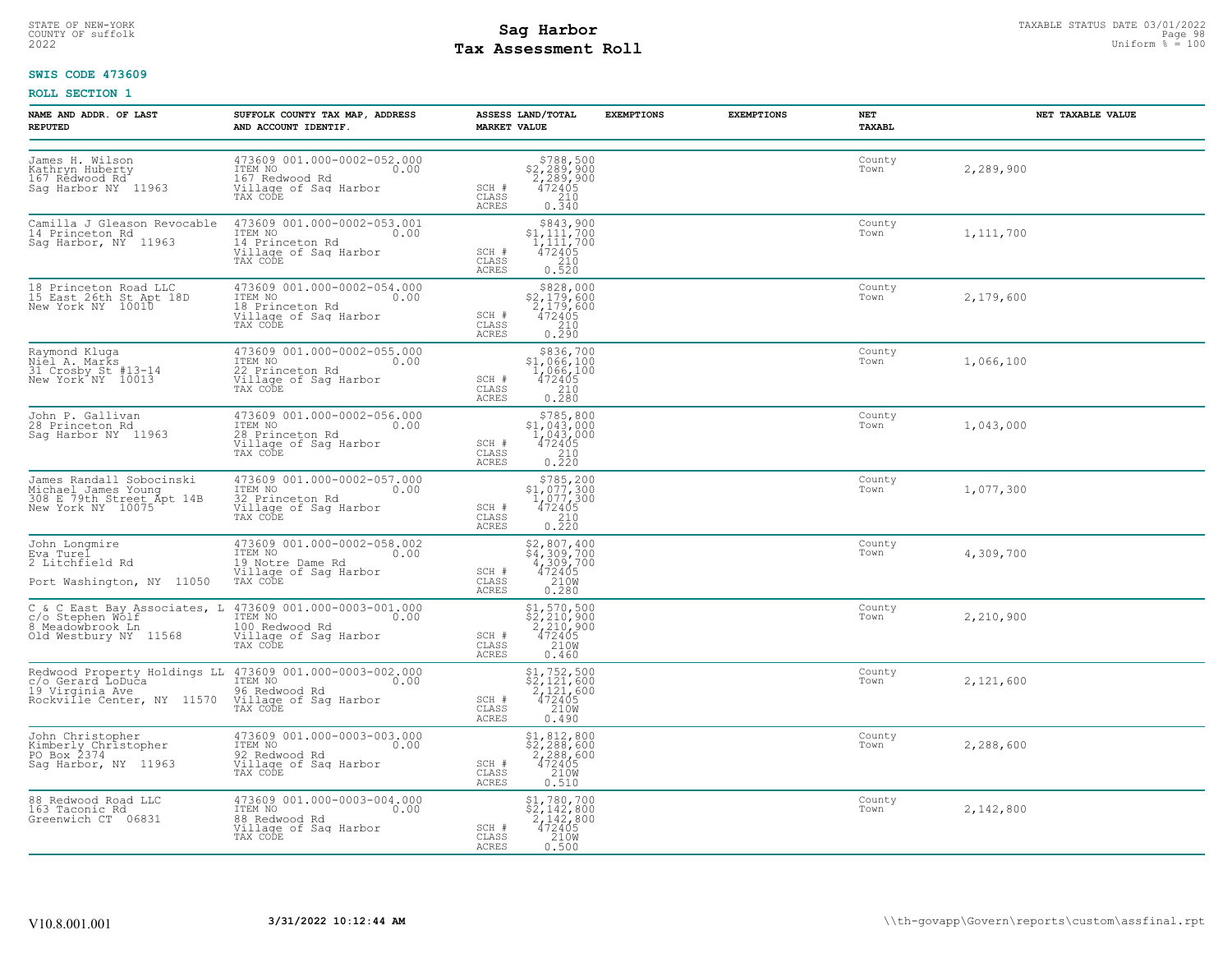# STATE OF NEW-YORK STATUS DATE 03/01/2022<br>
COUNTY OF suffolk Page 98 (11/2022<br>
2022 **Pay Assessment Roll** Page 100 **Tax Assessment Roll**

### **SWIS CODE 473609**

| <b>NAME AND ADDR. OF LAST</b><br><b>REPUTED</b>                                                   | SUFFOLK COUNTY TAX MAP, ADDRESS<br>AND ACCOUNT IDENTIF.                                                                                                            | ASSESS LAND/TOTAL<br><b>MARKET VALUE</b>                                                                                                                                                           | <b>EXEMPTIONS</b> | <b>EXEMPTIONS</b> | NET<br>TAXABL  | NET TAXABLE VALUE |
|---------------------------------------------------------------------------------------------------|--------------------------------------------------------------------------------------------------------------------------------------------------------------------|----------------------------------------------------------------------------------------------------------------------------------------------------------------------------------------------------|-------------------|-------------------|----------------|-------------------|
| James H. Wilson<br>Kathryn Huberty<br>167 Redwood Rd<br>Sag Harbor NY 11963                       | 473609 001.000-0002-052.000<br>TTEM NO<br>167 Redwood Rd<br>Village of Sag Harbor<br>0.00<br>TAX CODE                                                              | $$788,500$<br>$$2,289,900$<br>$2,289,900$<br>$472405$<br>SCH #<br>$\frac{210}{0.340}$<br>CLASS<br>ACRES                                                                                            |                   |                   | County<br>Town | 2,289,900         |
| Camilla J Gleason Revocable<br>14 Princeton Rd<br>Sag Harbor, NY 11963                            | 473609 001.000-0002-053.001<br>ITEM NO<br>0.00<br>14 Princeton Rd<br>Village of Sag Harbor<br>TAX CODE                                                             | $$843,900$<br>$$1,111,700$<br>$1,111,700$<br>SCH #<br>472405<br>CLASS<br>210<br>0.520<br>ACRES                                                                                                     |                   |                   | County<br>Town | 1,111,700         |
| 18 Princeton Road LLC<br>15 East 26th St Apt 18D<br>New York NY 10010                             | 473609 001.000-0002-054.000<br>ITEM NO<br>0.00<br>18 Princeton Rd<br>Village of Saq Harbor<br>TAX CODE                                                             | $\begin{array}{r}  \  \  \,  \, 828,000 \\  \  \, 2,179,600 \\  \  \, 2,179,600 \\  \  \, 472405 \\  \  \, 210 \\  \  \, 0.290 \\ \end{array}$<br>SCH #<br>CLASS<br>ACRES                          |                   |                   | County<br>Town | 2,179,600         |
| Raymond Kluga<br>Niel A. Marks<br>31 Crosby St #13-14<br>New York NY 10013                        | 473609 001.000-0002-055.000<br>ITEM NO<br>0.00<br>22 Princeton Rd<br>Village of Sag Harbor<br>TAX CODE                                                             | \$836,700<br>\$1,066,100<br>1,066,100<br>SCH #<br>472405<br>$\frac{210}{0.280}$<br>CLASS<br>ACRES                                                                                                  |                   |                   | County<br>Town | 1,066,100         |
| John P. Gallivan<br>28 Princeton Rd<br>Saq Harbor NY 11963                                        | 473609 001.000-0002-056.000<br>ITEM NO<br>0.00<br>28 Princeton Rd<br>Village of Sag Harbor<br>TAX CODE                                                             | $$785,800$<br>$$1,043,000$<br>$1,043,000$<br>$472405$<br>210<br>SCH #<br>CLASS<br>0.220<br>ACRES                                                                                                   |                   |                   | County<br>Town | 1,043,000         |
| James Randall Sobocinski<br>Michael James Young<br>308 E 79th Street Apt 14B<br>New York NY 10075 | 473609 001.000-0002-057.000<br>ITEM NO<br>0.00<br>32 Princeton Rd<br>Village of Sag Harbor<br>TAX CODE                                                             | $$785, 200$<br>$$1, 077, 300$<br>$1, 077, 300$<br>$472405$<br>$$210$<br>SCH #<br>CLASS<br>ACRES<br>0.220                                                                                           |                   |                   | County<br>Town | 1,077,300         |
| John Longmire<br>Eva Turel<br>2 Litchfield Rd<br>Port Washington, NY 11050                        | 473609 001.000-0002-058.002<br>ITEM NO<br>0.00<br>19 Notre Dame Rd<br>Village of Sag Harbor<br>TAX CODE                                                            | \$2,807,400<br>\$4,309,700<br>4,309,700<br>472405<br>SCH #<br>CLASS<br>210W<br>ACRES<br>0.280                                                                                                      |                   |                   | County<br>Town | 4,309,700         |
| Old Westbury NY 11568                                                                             | C & C East Bay Associates, L 473609 001.000-0003-001.000<br>c/o Stephen Wolf<br>8 Meadowbrook In 1996 100 Redwood Rd<br>Village of Sag Harbor<br>TAX CODE          | $$1,570,500$<br>$$2,210,900$<br>$2,210,900$<br>$\frac{472405}{2100}$<br>SCH #<br>CLASS<br>ACRES<br>0.460                                                                                           |                   |                   | County<br>Town | 2,210,900         |
| Rockville Center, NY 11570                                                                        | Redwood Property Holdings LL 473609 001.000-0003-002.000<br>c/o Gerard LoDuca ITEM NO<br>19 Virginia Ave  19578 96 Redwood Rd<br>Village of Sag Harbor<br>TAX CODE | $$1,752,500$<br>$$2,121,600$<br>$\frac{2}{4}$ $\frac{1}{2}$ $\frac{1}{4}$ $\frac{1}{2}$ $\frac{1}{4}$ $\frac{1}{2}$ $\frac{1}{4}$ $\frac{1}{5}$<br>SCH #<br>CLASS<br>210W<br><b>ACRES</b><br>0.490 |                   |                   | County<br>Town | 2,121,600         |
| John Christopher<br>Kimberly Christopher<br>PO Box 2374<br>Saq Harbor, NY 11963                   | 473609 001.000-0003-003.000<br>ITEM NO<br>0.00<br>92 Redwood Rd<br>Village of Sag Harbor<br>TAX CODE                                                               | \$1,812,800<br>$\frac{1}{2}$ , 288, 600<br>2, 288, 600<br>472405<br>SCH #<br>CLASS<br>210W<br>ACRES<br>0.510                                                                                       |                   |                   | County<br>Town | 2,288,600         |
| 88 Redwood Road LLC<br>163 Taconic Rd<br>Greenwich CT 06831                                       | 473609 001.000-0003-004.000<br>ITEM NO<br>0.00<br>88 Redwood Rd<br>Village of Sag Harbor<br>TAX CODE                                                               | $$2,142,800$<br>$$2,142,800$<br>$2,142,800$<br>$472405$<br>$210W$<br>SCH #<br>CLASS<br>ACRES<br>0.500                                                                                              |                   |                   | County<br>Town | 2,142,800         |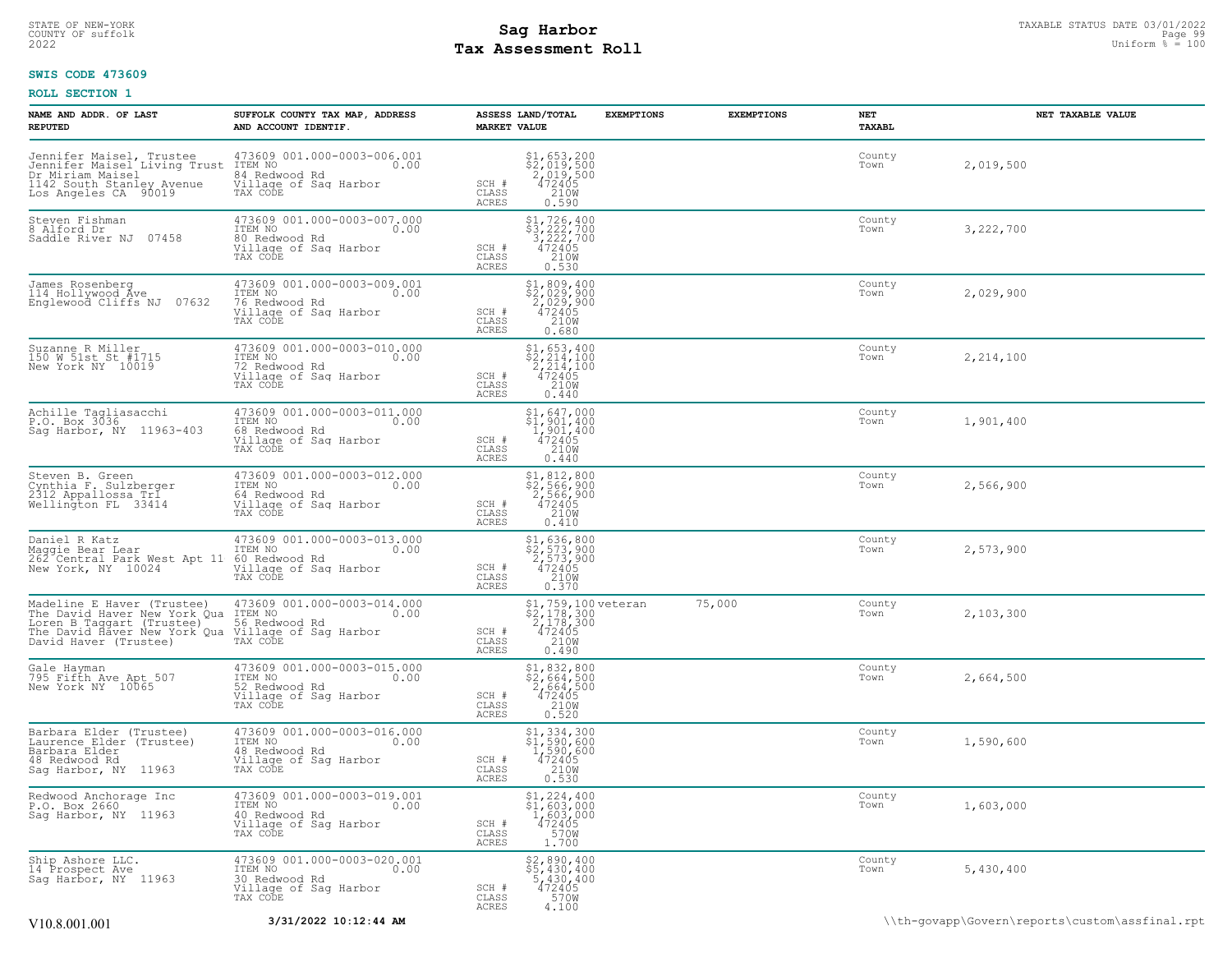### STATE OF NEW-YORK STATUS DATE 03/01/2022<br>
COUNTY OF suffolk Page 99<br>
2022 **Fax Assessment Roll** Page 99, 2022 Uniform % = 100 **Tax Assessment Roll**

### **SWIS CODE 473609**

| NAME AND ADDR. OF LAST<br><b>REPUTED</b>                                                                      | SUFFOLK COUNTY TAX MAP, ADDRESS<br>AND ACCOUNT IDENTIF.                                                                                                                                                                                    | <b>MARKET VALUE</b>            | ASSESS LAND/TOTAL                                                                                                                                           | <b>EXEMPTIONS</b> | <b>EXEMPTIONS</b> | NET<br>TAXABL  | NET TAXABLE VALUE |
|---------------------------------------------------------------------------------------------------------------|--------------------------------------------------------------------------------------------------------------------------------------------------------------------------------------------------------------------------------------------|--------------------------------|-------------------------------------------------------------------------------------------------------------------------------------------------------------|-------------------|-------------------|----------------|-------------------|
| Dr Miriam Maisel<br>1142 South Stanley Avenue<br>Los Angeles CA 90019                                         | Jennifer Maisel, Trustee 473609 001.000-0003-006.001<br>Jennifer Maisel Living Trust ITEM NO<br>Dr Miriam Maisel 84 Redwood Rd<br>1142 South Stanley Avenue Village of Saq Harbor<br>Los Angeles CA 90019 TAX CODE                         | SCH #<br>CLASS<br>ACRES        | $$1,653,200$<br>$$2,019,500$<br>$2,019,500$<br>$472405$<br>$$210M$<br>0.590                                                                                 |                   |                   | County<br>Town | 2,019,500         |
| Steven Fishman<br>8 Alford Dr<br>Saddle River NJ 07458                                                        | 473609 001.000-0003-007.000<br>ITEM NO 0.00<br>80 Redwood Rd<br>80 Redwood Rd<br>Village of Sag Harbor<br>TAX CODE                                                                                                                         | SCH #<br>CLASS<br>ACRES        | $\begin{array}{r} \n $1,726,400 \\  $3,222,700 \\  3,222,700 \\  472405 \\  210W \\  210W\n \end{array}$<br>0.530                                           |                   |                   | County<br>Town | 3,222,700         |
| James Rosenberg<br>114 Hollywood Ave<br>Englewood Cliffs NJ 07632                                             | 473609 001.000-0003-009.001<br>ITEM NO 0.00<br>76 Redwood Rd<br>76 Redwood Rd<br>Village of Sag Harbor<br>TAX CODE                                                                                                                         | SCH #<br>CLASS<br>ACRES        | $$2,029,400$<br>$$2,029,900$<br>$472405$<br>$$2100$<br>0.680                                                                                                |                   |                   | County<br>Town | 2,029,900         |
| Suzanne R Miller<br>150 W 51st St #1715<br>New York NY 10019                                                  | 473609 001.000-0003-010.000<br>ITEM NO 0.00<br>72 Redwood Rd 0.00                                                                                                                                                                          | SCH #<br>CLASS<br>ACRES        | $\begin{array}{l} \text{\$1,653,400} \\ \text{\$2,214,100} \\ \text{\$2,214,100} \\ \text{\$472405} \\ \text{\$210W} \\ \text{\$210W} \end{array}$<br>0.440 |                   |                   | County<br>Town | 2, 214, 100       |
| Achille Tagliasacchi<br>P.O. Box 3036<br>Sag Harbor, NY 11963-403                                             | 473609 001.000-0003-011.000<br>ITEM NO 0.00<br>68 Redwood Rd<br>Village of Saq Harbor<br>Village of Saq Harbor<br>TAX CODE                                                                                                                 | SCH #<br>CLASS<br>ACRES        | $\begin{array}{l} $1,647,000 \ $1,901,400 \ $1,901,400 \ $472405 \ $2100 \end{array}$<br>0.440                                                              |                   |                   | County<br>Town | 1,901,400         |
| Steven B. Green<br>Cynthia F. Sulzberger<br>2312 Appallossa Trl<br>Wellington FL 33414                        | 473609 001.000-0003-012.000<br>TEM NO<br>64 Redwood Rd<br>64 Redwood Rd<br>Village of Sag Harbor<br>TAX CODE                                                                                                                               | SCH #<br>CLASS<br>ACRES        | \$1,812,800<br>\$2,566,900<br>2,566,900<br>472405<br>210W<br>0.410                                                                                          |                   |                   | County<br>Town | 2,566,900         |
|                                                                                                               | Daniel R Katz<br>Maggie Bear Lear 173609 001.000-0003-013.000<br>262 Central Park West Apt 11 60 Redwood Rd<br>New York, NY 10024 1111age of Saq Harbor<br>II Nouwoou Ku<br>Village of Sag Harbor<br>TAX CODE<br>TAX CODE                  | SCH #<br>CLASS<br>ACRES        | \$1,636,800<br>\$2,573,900<br>2,573,900<br>472405<br>210W<br>0.370                                                                                          |                   |                   | County<br>Town | 2,573,900         |
| David Haver (Trustee)                                                                                         | Madeline E Haver (Trustee) 473609 001.000-0003-014.000<br>The David Haver New York Qua ITEM NO 0.003-014.000<br>Loren B Taggart (Trustee) 56 Redwood Rd<br>The David Haver New York Qua Village of Saq Harbor<br>David Haver (Trustee) TAX | SCH #<br>CLASS<br>ACRES        | $$2, 759, 100 \text{ veteran}$<br>$$2, 178, 300$<br>$472405$<br>$$2100$<br>$$2100$<br>0.490                                                                 |                   | 75,000            | County<br>Town | 2,103,300         |
| Gale Hayman<br>795 Fifth Ave Apt 507<br>New York NY 10065                                                     | 473609 001.000-0003-015.000<br>ITEM NO 0.00<br>52 Redwood Rd<br>Village of Sag Harbor<br>TAX CODE                                                                                                                                          | SCH #<br>CLASS<br>ACRES        | $$2,664,500$<br>$$2,664,500$<br>$2,664,500$<br>$472405$<br>210W<br>0.520                                                                                    |                   |                   | County<br>Town | 2,664,500         |
| Barbara Elder (Trustee)<br>Laurence_Elder (Trustee)<br>Barbara Elder<br>48 Redwood Rd<br>Sag Harbor, NY 11963 | 473609 001.000-0003-016.000<br>ITEM NO 0.00<br>48 Redwood Rd 0.00<br>Village of Sag Harbor<br>TAX CODE                                                                                                                                     | SCH #<br>CLASS<br>ACRES        | \$1,334,300<br>\$1,590,600<br>$\frac{1,590,600}{472405}$<br>0.530                                                                                           |                   |                   | County<br>Town | 1,590,600         |
| Redwood Anchorage Inc<br>P.O. Box 2660<br>Saq Harbor, NY 11963                                                | 473609 001.000-0003-019.001<br>ITEM NO 0.00<br>40 Redwood Rd<br>Village of Sag Harbor<br>TAX CODE                                                                                                                                          | SCH #<br>CLASS<br><b>ACRES</b> | $$1, 224, 400$<br>$$1, 603, 000$<br>$1, 603, 000$<br>$472405$<br>$5700$<br>1.700                                                                            |                   |                   | County<br>Town | 1,603,000         |
| Ship Ashore LLC.<br>14 Prospect Ave<br>Sag Harbor, NY 11963                                                   | 473609 001.000-0003-020.001<br>ITEM NO 0.00<br>30 Redwood Rd<br>Village of Sag Harbor<br>TAX CODE                                                                                                                                          | SCH #<br>CLASS<br>ACRES        | \$2,890,400<br>\$5,430,400<br>5,430,400<br>472405<br>570W<br>4.100                                                                                          |                   |                   | County<br>Town | 5,430,400         |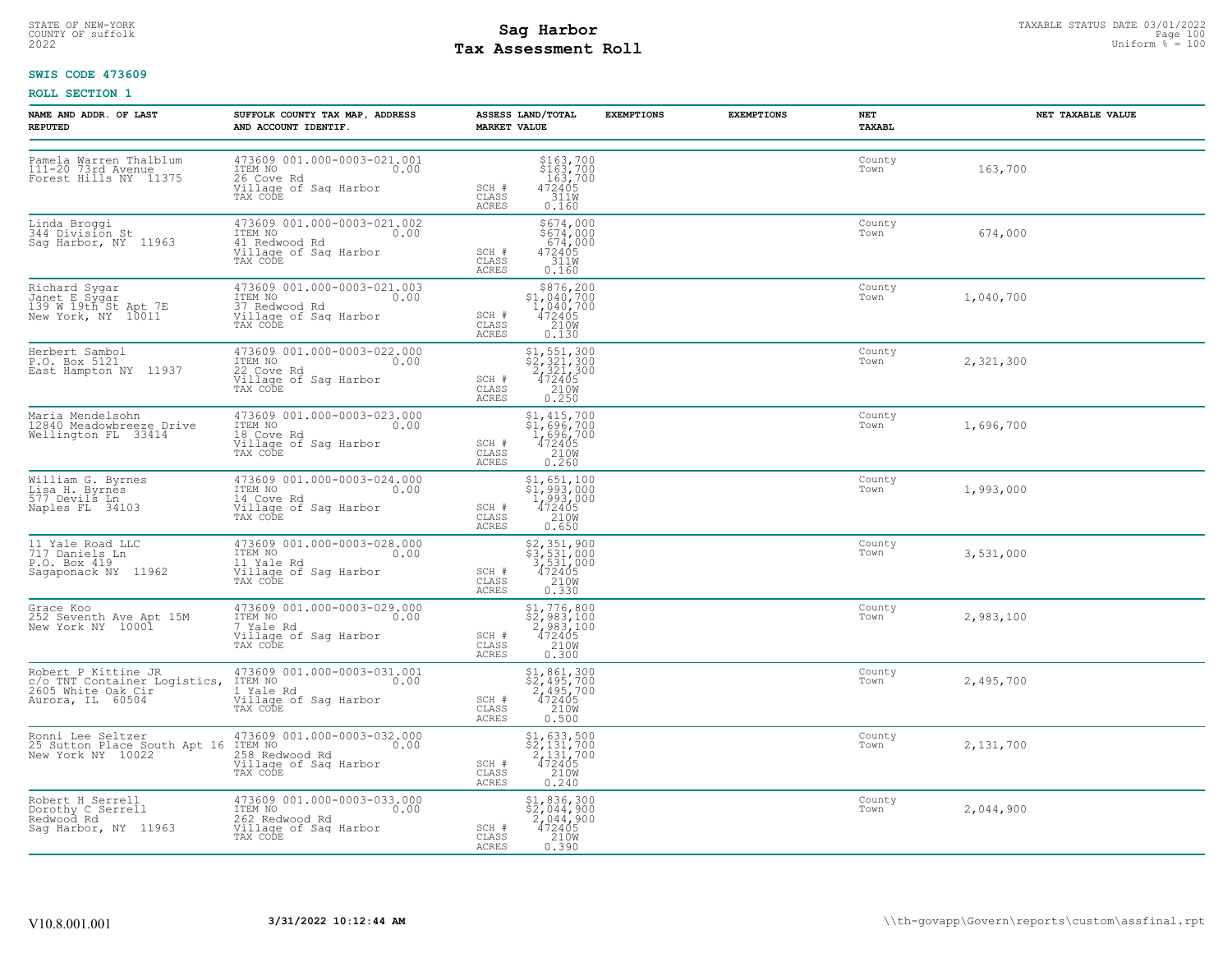# STATE OF NEW-YORK STATUS DATE 03/01/2022<br>
COUNTY OF suffolk **Sag From the Sag State Page 100**<br>
2022 Pay Assessment Roll **Tax Assessment Roll**

### **SWIS CODE 473609**

| NAME AND ADDR. OF LAST<br><b>REPUTED</b>                                     | SUFFOLK COUNTY TAX MAP, ADDRESS<br>AND ACCOUNT IDENTIF.                                                                                                                                                      | ASSESS LAND/TOTAL<br><b>MARKET VALUE</b>                                                                                                                                           | <b>EXEMPTIONS</b> | <b>EXEMPTIONS</b> | NET<br><b>TAXABL</b> | NET TAXABLE VALUE |
|------------------------------------------------------------------------------|--------------------------------------------------------------------------------------------------------------------------------------------------------------------------------------------------------------|------------------------------------------------------------------------------------------------------------------------------------------------------------------------------------|-------------------|-------------------|----------------------|-------------------|
| Pamela Warren Thalblum<br>111-20 73rd Avenue<br>Forest Hills NY 11375        | 473609 001.000-0003-021.001<br>ITEM NO 0.00<br>26 Cove Rd<br>Village of Sag Harbor<br>TAX CODE                                                                                                               | $\begin{array}{r} 5163,700 \\ 5163,700 \\ 163,700 \\ 472405 \\ 3110 \\ 212 \end{array}$<br>SCH #<br>CLASS<br>ACRES<br>0.160                                                        |                   |                   | County<br>Town       | 163,700           |
| Linda Broggi<br>344 Division St<br>Saq Harbor, NY 11963                      | 473609 001.000-0003-021.002<br>ITEM NO 0.00<br>41 Redwood Rd<br>Village of Sag Harbor<br>TAX CODE                                                                                                            | \$674,000<br>$$674,000$<br>674,000<br>472405<br>311M<br>SCH #<br>CLASS<br>ACRES<br>0.160                                                                                           |                   |                   | County<br>Town       | 674,000           |
| Richard Sygar<br>Janet E Sygar<br>139 W 19th St Apt 7E<br>New York, NY 10011 | 473609 001.000-0003-021.003<br>ITEM NO<br>37 Redwood Rd<br>Village of Saq Harbor<br>TAX CODE                                                                                                                 | $$376, 200$<br>$$1, 040, 700$<br>$1, 040, 700$<br>$472405$<br>$$2108$<br>SCH #<br>CLASS<br>ACRES<br>0.130                                                                          |                   |                   | County<br>Town       | 1,040,700         |
| Herbert Sambol<br>P.O. Box 5121<br>East Hampton NY 11937                     | 473609 001.000-0003-022.000<br>ITEM NO<br>22 Cove Rd 0.00<br>Village of Sag Harbor<br>TAX CODE                                                                                                               | $\begin{array}{r} \texttt{\$1,\$51,\$300}\\ \texttt{\$2,\$21,\$300}\\ 2,321,300\\ 472405\\ 210\text{W}\\ 0.250 \end{array}$<br>SCH #<br>CLASS<br>ACRES                             |                   |                   | County<br>Town       | 2,321,300         |
| Maria Mendelsohn<br>12840 Meadowbreeze Drive<br>Wellington FL 33414          | 473609 001.000-0003-023.000<br>ITEM NO 0.00<br>18 Cove Rd 0.00<br>18 Cove Rd<br>Village of Sag Harbor<br>TAX CODE                                                                                            | \$1,415,700<br>\$1,696,700<br>1,696,700<br>472405<br>210W<br>0.260<br>SCH #<br>CLASS<br>ACRES                                                                                      |                   |                   | County<br>Town       | 1,696,700         |
| William G. Byrnes<br>Lisa H. Byrnes<br>577 Devils Ln<br>Naples FL 34103      | 473609 001.000-0003-024.000<br>ITEM NO 0.00<br>ia<br>14 Cove Rd<br>Village of Sag Harbor<br>TAX CODE                                                                                                         | \$1,651,100<br>\$1,993,000<br>1,993,000<br>472405<br>210W<br>SCH #<br>CLASS<br>ACRES<br>0.650                                                                                      |                   |                   | County<br>Town       | 1,993,000         |
| 11 Yale Road LLC<br>717 Daniels Ln<br>P.O. Box 419<br>Sagaponack NY 11962    | 473609 001.000-0003-028.000<br>ITEM NO 0.00<br>11 Yalo Ed<br>il Yale Rd<br>Village of Saq Harbor<br>TAX CODE                                                                                                 | \$2,351,900<br>\$3,531,000<br>3,531,000<br>472405<br>SCH #<br>CLASS<br>210W<br><b>ACRES</b><br>0.330                                                                               |                   |                   | County<br>Town       | 3,531,000         |
| Grace Koo<br>252 Seventh Ave Apt 15M<br>New York NY 10001                    | 473609 001.000-0003-029.000<br>ITEM NO 0.00<br>7 Yale Rd<br>Village of Sag Harbor<br>TAX CODE                                                                                                                | $\begin{array}{r} \texttt{\$1,776,800} \\ \texttt{\$2,983,100} \\ \texttt{2,983,100} \\ \texttt{472405} \\ \texttt{210W} \\ \texttt{0.300} \end{array}$<br>SCH #<br>CLASS<br>ACRES |                   |                   | County<br>Town       | 2,983,100         |
| Aurora, IL 60504                                                             | Robert P Kittine JR<br>c/o TNT Container Logistics, ITEM NO<br>2605 White Oak Cir<br>1, Yale Rd<br>1, Yale Rd<br>2008 White Oak Cir<br>1, Yale Rd<br>2008 White Oak Cir<br>Village of Sag Harbor<br>TAX CODE | $$2,495,700$<br>$$2,495,700$<br>$2,495,700$<br>$472405$<br>SCH #<br>$\frac{210W}{0.500}$<br>CLASS<br>ACRES                                                                         |                   |                   | County<br>Town       | 2,495,700         |
|                                                                              | Ronni Lee Seltzer (173609 001.000-0003-032.000<br>25 Sutton Place South Apt 16 ITEM NO<br>New York NY 10022 (258 Redwood Rd<br>Village of Sag Harbor<br>TAX CODE                                             | $\begin{array}{l} $1,633,500 \ $2,131,700 \ $2,131,700 \ $472405 \end{array}$<br>SCH #<br>CLASS<br>210W<br>ACRES<br>0.240                                                          |                   |                   | County<br>Town       | 2,131,700         |
| Robert H Serrell<br>Dorothy C Serrell<br>Redwood Rd<br>Sag Harbor, NY 11963  | 473609 001.000-0003-033.000<br>ITEM NO 0.00<br>262 Redwood Rd .<br>Village of Saq Harbor<br>TAX CODE                                                                                                         | \$1,836,300<br>\$2,044,900<br>2,044,900<br>472405<br>210W<br>SCH #<br>CLASS<br>ACRES<br>0.390                                                                                      |                   |                   | County<br>Town       | 2,044,900         |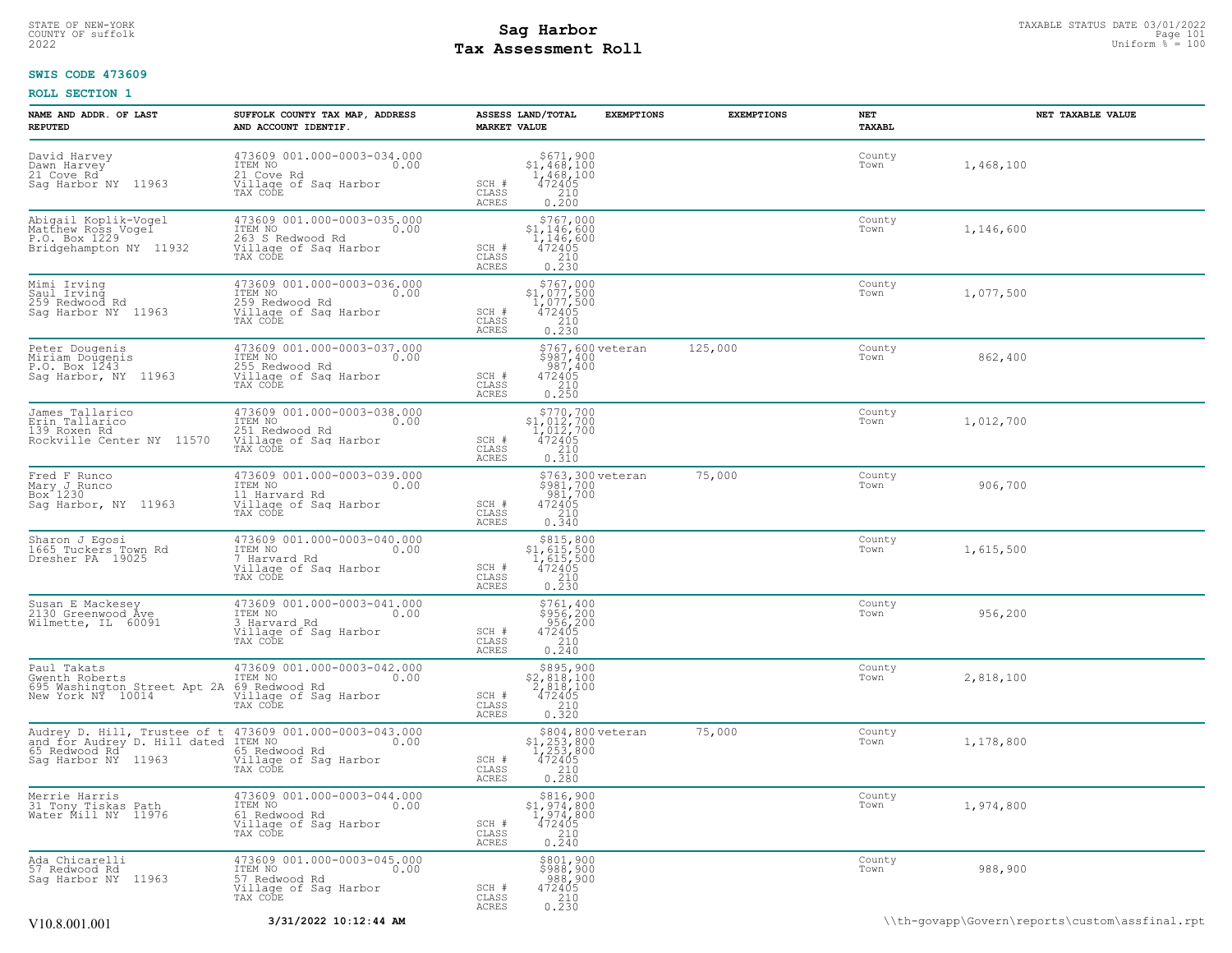### STATE OF NEW-YORK STATUS DATE 03/01/2022<br>
COUNTY OF suffolk Taxable Page 101<br>
2022 MageSosment Roll Page 101 **Tax Assessment Roll**

### **SWIS CODE 473609**

| NAME AND ADDR. OF LAST<br><b>REPUTED</b>                                                                                                       | SUFFOLK COUNTY TAX MAP, ADDRESS<br>AND ACCOUNT IDENTIF.                                                                                | ASSESS LAND/TOTAL<br><b>MARKET VALUE</b>                                                                                       | <b>EXEMPTIONS</b><br><b>EXEMPTIONS</b> | NET<br>TAXABL  | NET TAXABLE VALUE |
|------------------------------------------------------------------------------------------------------------------------------------------------|----------------------------------------------------------------------------------------------------------------------------------------|--------------------------------------------------------------------------------------------------------------------------------|----------------------------------------|----------------|-------------------|
| David Harvey<br>Dawn Harvey<br>21 Cove Rd <sup>-</sup><br>Sag Harbor NY 11963                                                                  | 473609 001.000-0003-034.000<br>TTEM NO 0.00<br>21 Cove Rd<br>Village of Sag Harbor<br>TAX CODE                                         | \$671,900<br>$$1,468,100$<br>1,468,100<br>472405<br>210<br>SCH #<br>CLASS<br>ACRES<br>0.200                                    |                                        | County<br>Town | 1,468,100         |
| Abigail Koplik-Vogel<br>Matthew Ross Vogel<br>P.O. Box 1229<br>Bridgehampton NY 11932                                                          | 473609 001.000-0003-035.000<br>ITEM NO<br>0.00<br>263 S Redwood Rd<br>Village of Sag Harbor<br>TAX CODE                                | \$767,000<br>$51,146,600\n1,146,600\n472405\n210\n0.230$<br>SCH #<br>CLASS<br>ACRES                                            |                                        | County<br>Town | 1,146,600         |
| Mimi Irving<br>Saul Irving<br>259 Redwood Rd<br>Sag Harbor NY 11963                                                                            | 473609 001.000-0003-036.000<br>ITEM NO<br>0.00<br>1121<br>259 Redwood Rd<br>Tillage of Sag Harbor<br>Tillage of Sag Harbor<br>TAX CODE | $\begin{array}{r} $767,000 \\ $1,077,500 \\ $1,077,500 \\ $472405 \\ $210 \\ $0.230 \end{array}$<br>SCH #<br>CLASS<br>ACRES    |                                        | County<br>Town | 1,077,500         |
| Peter Dougenis<br>Miriam Dougenis<br>P.O. Box 1243<br>Sag Harbor, NY 11963                                                                     | 473609 001.000-0003-037.000<br>ITEM NO<br>0.00<br>255 Redwood Rd<br>Village of Sag Harbor<br>TAX CODE                                  | \$767,600 veteran<br>\$987,400<br>.987,400<br>SCH #<br>$\begin{array}{r} 472405 \\ 210 \\ 0.250 \end{array}$<br>CLASS<br>ACRES | 125,000                                | County<br>Town | 862,400           |
| James Tallarico<br>Erin Tallarico<br>139 Roxen Rd<br>Rockville Center NY 11570                                                                 | 473609 001.000-0003-038.000<br>ITEM NO<br>0.00<br>251 Redwood Rd<br>Village of Sag Harbor<br>TAX CODE                                  | $\begin{array}{r} $770,700 \\ $1,012,700 \\ $1,012,700 \\ $472405 \\ $210 \\ $0.310 \end{array}$<br>SCH #<br>CLASS<br>ACRES    |                                        | County<br>Town | 1,012,700         |
| Fred F Runco<br>Mary J Runco<br>Box 1230<br>Sag Harbor, NY 11963                                                                               | 473609 001.000-0003-039.000<br>ITEM NO<br>0.00<br>11 Harvard Rd<br>Village of Sag Harbor<br>TAX CODE                                   | \$763,300 veteran<br>\$981,700<br>981,700<br>SCH #<br>472405<br>210<br>CLASS<br>0.340<br>ACRES                                 | 75,000                                 | County<br>Town | 906,700           |
| Sharon J Egosi<br>1665 Tuckers Town Rd<br>Dresher PA 19025                                                                                     | 473609 001.000-0003-040.000<br>ITEM NO<br>0.00<br>7 Harvard Rd<br>Village of Sag Harbor<br>TAX CODE                                    | $$815,800$<br>$$1,615,500$<br>$1,615,500$<br>$472405$<br>SCH #<br>CLASS<br>210<br>0.230<br>ACRES                               |                                        | County<br>Town | 1,615,500         |
| Susan E Mackesey<br>2130 Greenwood Ave<br>Wilmette, IL 60091                                                                                   | 473609 001.000-0003-041.000<br>ITEM NO<br>0.00<br>3 Harvard Rd<br>Village of Sag Harbor<br>TAX CODE                                    | \$761,400<br>\$956,200<br>$356,200$<br>472405<br>SCH #<br>CLASS<br>210<br><b>ACRES</b><br>0.240                                |                                        | County<br>Town | 956,200           |
| Paul Takats<br>Gwenth Roberts<br>695 Washington Street Apt 2A 69 Redwood Rd<br>New York NY 10014 Village of Sac                                | 473609 001.000-0003-042.000<br>ITEM NO<br>0.00<br>Village of Sag Harbor<br>TAX CODE                                                    | \$895,900<br>\$2,818,100<br>2,818,100<br>SCH #<br>$\frac{472405}{210}$<br>CLASS<br><b>ACRES</b><br>0.320                       |                                        | County<br>Town | 2,818,100         |
| Audrey D. Hill, Trustee of t 473609 001.000-0003-043.000<br>and for Audrey D. Hill dated ITEM NO  0.00<br>65 Redwood Rd<br>Saq Harbor NY 11963 | 65 Redwood Rd<br>Village of Sag Harbor<br>TAX CODE                                                                                     | \$804,800 veteran<br>$51, 253, 800\n1, 253, 800\n472405\n210\n0.280$<br>SCH #<br>CLASS<br><b>ACRES</b>                         | 75,000                                 | County<br>Town | 1,178,800         |
| Merrie Harris<br>31 Tony Tiskas Path<br>Water Mill NY 11976                                                                                    | 473609 001.000-0003-044.000<br>TTEM NO 0.00<br>0.00<br>61 Redwood Rd<br>Village of Sag Harbor<br>TAX CODE                              | \$816,900<br>$$1,974,800$<br>1,974,800<br>472405<br>210<br>SCH #<br>CLASS<br>ACRES<br>0.240                                    |                                        | County<br>Town | 1,974,800         |
| Ada Chicarelli<br>57 Redwood Rd<br>Saq Harbor NY 11963                                                                                         | 473609 001.000-0003-045.000<br>57 Redwood Rd<br>Village of Saq Harbor<br>TAX CODE                                                      | \$801,900<br>$\begin{array}{r} 3988,900 \\ 988,900 \\ 472405 \\ 210 \end{array}$<br>SCH #<br>CLASS<br>ACRES<br>0.230           |                                        | County<br>Town | 988,900           |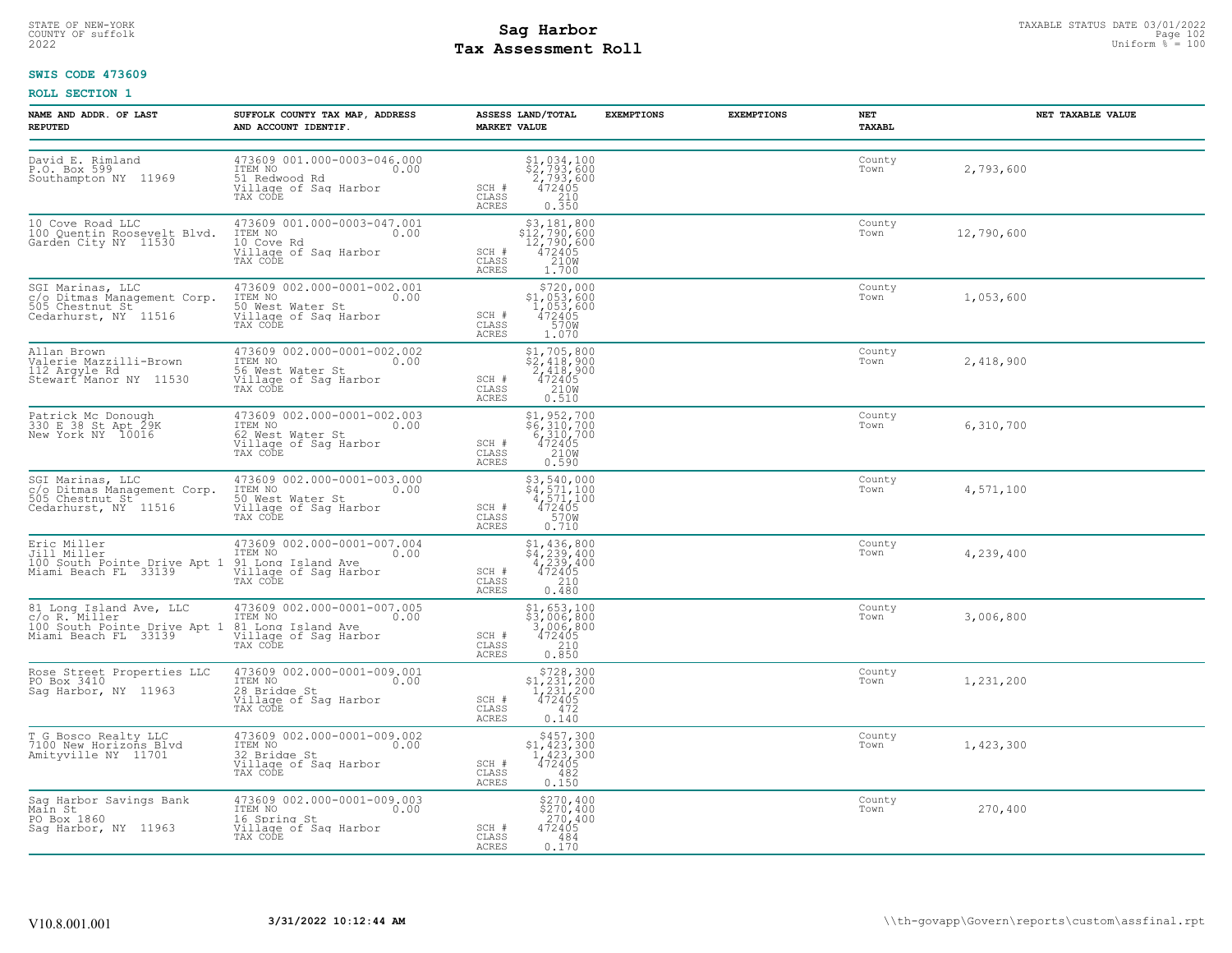# STATE OF NEW-YORK STATUS DATE 03/01/2022<br>
COUNTY OF suffolk **Sag From the Sag State Page 102**<br>
2022 Pay Assessment Roll **Tax Assessment Roll**

### **SWIS CODE 473609**

| NAME AND ADDR. OF LAST<br><b>REPUTED</b>                                                                                                                                      | SUFFOLK COUNTY TAX MAP, ADDRESS<br>AND ACCOUNT IDENTIF.                                                      | ASSESS LAND/TOTAL<br><b>MARKET VALUE</b>                                                                                                                 | <b>EXEMPTIONS</b> | <b>EXEMPTIONS</b><br>NET<br>TAXABL | NET TAXABLE VALUE |
|-------------------------------------------------------------------------------------------------------------------------------------------------------------------------------|--------------------------------------------------------------------------------------------------------------|----------------------------------------------------------------------------------------------------------------------------------------------------------|-------------------|------------------------------------|-------------------|
| David E. Rimland<br>P.O. Box 599<br>Southampton NY 11969                                                                                                                      | 473609 001.000-0003-046.000<br>ITEM NO 0.00<br>51 Redwood Rd<br>Village of Sag Harbor<br>TAX CODE            | $\begin{array}{r} $1,034,100 \\ $2,793,600 \\ 2,793,600 \\ 472405 \\ 210 \\ 0.350 \end{array}$<br>SCH #<br>CLASS<br>ACRES                                |                   | County<br>Town                     | 2,793,600         |
| 10 Cove Road LLC<br>100 Quentin Roosevelt Blvd.<br>Garden City NY 11530                                                                                                       | 473609 001.000-0003-047.001<br>ITEM NO 0.00<br>10 COVe Rd<br>10 Cove Rd<br>Village of Sag Harbor<br>TAX CODE | $$3,181,800$<br>$$12,790,600$<br>$12,790,600$<br>$472405$<br>$$210M$<br>SCH #<br>CLASS<br>ACRES<br>1.700                                                 |                   | County<br>Town                     | 12,790,600        |
| SGI Marinas, LLC<br>c/o Ditmas Management Corp.<br>505 Chestnut St<br>Cedarhurst, NY 11516                                                                                    | 473609 002.000-0001-002.001<br>ITEM NO TELLER ST. 0.00<br>Village of Saq Harbor<br>TAX CODE                  | $$720,000$<br>$$1,053,600$<br>$1,053,600$<br>$472405$<br>SCH #<br>CLASS<br>570W<br>ACRES<br>1.070                                                        |                   | County<br>Town                     | 1,053,600         |
| Allan Brown<br>Valerie Mazzilli-Brown<br>112 Arqyle Rd<br>Stewart <sup>*</sup> Manor NY 11530                                                                                 | 473609 002.000-0001-002.002<br>ITEM NO 0.00<br>56 West Water St<br>Village of Sag Harbor<br>TAX CODE         | $\begin{array}{r} \texttt{\$1,\,705,\,800}\\ \texttt{\$2,\,418,\,900}\\ 2,418,900\\ 472405\\ 210\text{W}\\ 0.510 \end{array}$<br>SCH #<br>CLASS<br>ACRES |                   | County<br>Town                     | 2,418,900         |
| Patrick Mc Donough<br>330 E 38 St Apt 29K<br>New York NY 10016                                                                                                                | 473609 002.000-0001-002.003<br>ITEM NO 0.00<br>fol West Water St<br>Village of Sag Harbor<br>TAX CODE        | $$6, 310, 700$<br>$$6, 310, 700$<br>$6, 310, 700$<br>$472405$<br>$2108$<br>SCH #<br>CLASS<br>0.590<br>ACRES                                              |                   | County<br>Town                     | 6,310,700         |
| SGI Marinas, LLC and 173609 002.000-0001-00:<br>c/o Ditmas Management Corp. ITEM NO<br>505 Chestnut St and S0 West Water St<br>Cedarhurst, NY 11516 and Village of Saq Harbor | 473609 002.000-0001-003.000<br>0.00<br>TAX CODE                                                              | \$3,540,000<br>\$4,571,100<br>4,571,100<br>472405<br>SCH #<br>570W<br>CLASS<br>ACRES<br>0.710                                                            |                   | County<br>Town                     | 4,571,100         |
|                                                                                                                                                                               | 473609 002.000-0001-007.004<br>ITEM NO 0.00<br>TAX CODE                                                      | \$1,436,800<br>\$4,239,400<br>4,239,400<br>472405<br>SCH #<br>CLASS<br>210<br>ACRES<br>0.480                                                             |                   | County<br>Town                     | 4,239,400         |
| 81 Long Island Ave, LLC 473609 002.000-0001-00<br>c/o R. Miller<br>100 South Pointe Drive Apt 1 81 Long Island Ave<br>Miami Beach FL 33139 31 Village of Sag Harbor           | 473609 002.000-0001-007.005<br>ITEM NO 0.00<br>TAX CODE                                                      | $$3,653,100$<br>$$3,006,800$<br>$3,006,800$<br>$472405$<br>$$210$<br>SCH #<br>CLASS<br>ACRES<br>0.850                                                    |                   | County<br>Town                     | 3,006,800         |
| Rose Street Properties LLC<br>PO Box 3410<br>Sag Harbor, NY 11963                                                                                                             | 473609 002.000-0001-009.001<br>ITEM NO 0.00<br>28 Bridge St<br>Village of Sag Harbor<br>TAX CODE             | $$728,300$<br>$$1,231,200$<br>$1,231,200$<br>$472405$<br>SCH #<br>472<br>CLASS<br>0.140<br>ACRES                                                         |                   | County<br>Town                     | 1,231,200         |
| T G Bosco Realty LLC<br>7100 New Horizons Blvd<br>Amityville NY 11701                                                                                                         | 473609 002.000-0001-009.002<br>ITEM NO 0.00<br>32 Bridge St<br>Village of Sag Harbor<br>TAX CODE             | $$457,300$<br>$$1,423,300$<br>$1,423,300$<br>$472405$<br>SCH #<br>CLASS<br>482<br>ACRES<br>0.150                                                         |                   | County<br>Town                     | 1,423,300         |
| Sag Harbor Savings Bank<br>Main St<br>PO Box 1860<br>Sag Harbor, NY 11963                                                                                                     | 473609 002.000-0001-009.003<br>ITEM NO 0.00<br>16 Spring St<br>Village of Saq Harbor<br>TAX CODE             | $$270, 400$<br>$$270, 400$<br>$\frac{270}{472405}$<br>SCH #<br>CLASS<br>484<br>ACRES<br>0.170                                                            |                   | County<br>Town                     | 270,400           |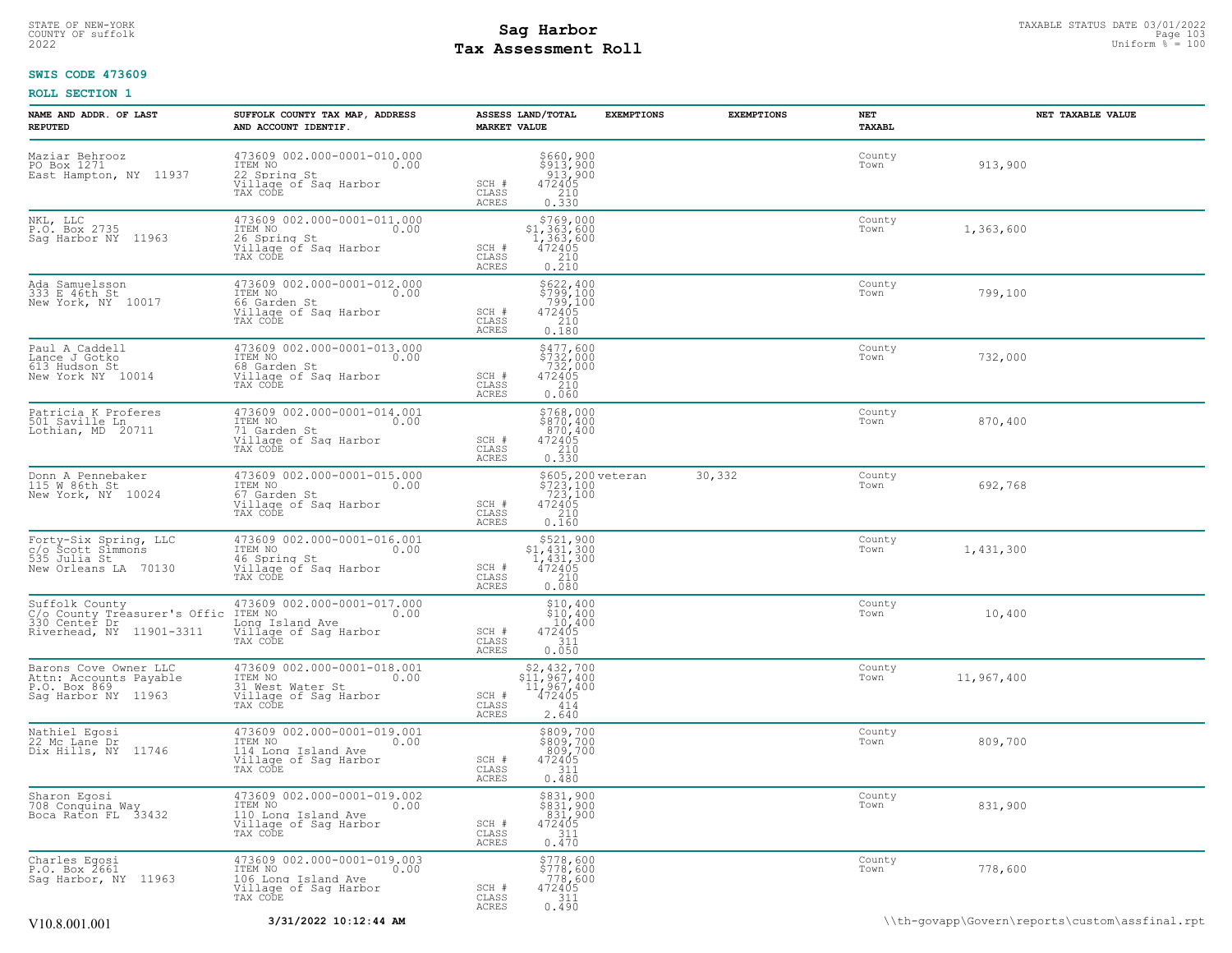### STATE OF NEW-YORK STATUS DATE 03/01/2022<br>
COUNTY OF suffolk **Sag From the Sag State Page 103**<br>
2022 Pay Assessment Roll **Tax Assessment Roll**

### **SWIS CODE 473609**

| NAME AND ADDR. OF LAST<br><b>REPUTED</b>                                                    | SUFFOLK COUNTY TAX MAP, ADDRESS<br>AND ACCOUNT IDENTIF.                                                         | ASSESS LAND/TOTAL<br><b>MARKET VALUE</b>                                                                                  | <b>EXEMPTIONS</b>                                          | <b>EXEMPTIONS</b> | NET<br>TAXABL  | NET TAXABLE VALUE |
|---------------------------------------------------------------------------------------------|-----------------------------------------------------------------------------------------------------------------|---------------------------------------------------------------------------------------------------------------------------|------------------------------------------------------------|-------------------|----------------|-------------------|
| Maziar Behrooz<br>PO Box 1271<br>East Hampton, NY 11937                                     | 473609 002.000-0001-010.000<br>ITEM NO<br>0.00<br>22 Spring St<br>Village of Saq Harbor<br>TAX CODE             | \$660,900<br>\$913,900<br>913,900<br>472405<br>SCH #<br>CLASS<br>$\begin{array}{c} 210 \\ 0.330 \end{array}$<br>ACRES     |                                                            |                   | County<br>Town | 913,900           |
| NKL, LLC<br>P.O. Box 2735<br>Saq Harbor NY 11963                                            | 473609 002.000-0001-011.000<br>ITEM NO<br>0.00<br>26 Spring St<br>Village of Sag Harbor<br>TAX CODE             | \$769,000<br>$$1,363,600$<br>1,363,600<br>472405<br>210<br>SCH #<br>CLASS<br>0.210<br><b>ACRES</b>                        |                                                            |                   | County<br>Town | 1,363,600         |
| Ada Samuelsson<br>333 E 46th St<br>New York, NY 10017                                       | 473609 002.000-0001-012.000<br>ITEM NO<br>0.00<br>66 Garden St<br>Village of Sag Harbor<br>TAX CODE             | \$622,400<br>\$799,100<br>799,100<br>472405<br>210<br>SCH #<br>CLASS<br><b>ACRES</b><br>0.180                             |                                                            |                   | County<br>Town | 799,100           |
| Paul A Caddell<br>Lance J Gotko<br>New York NY 10014                                        | 473609 002.000-0001-013.000<br>ITEM NO<br>0.00<br>68 Garden St<br>Village of Saq Harbor<br>TAX CODE             | $$477,600$<br>$$732,000$<br>$732,000$<br>$472405$<br>210<br>SCH #<br>CLASS<br>ACRES<br>0.060                              |                                                            |                   | County<br>Town | 732,000           |
| Patricia K Proferes<br>501 Saville Ln<br>Lothian, MD 20711                                  | 473609 002.000-0001-014.001<br>ITEM NO<br>0.00<br>71 Garden St<br>Village of Sag Harbor<br>TAX CODE             | $$768,000$<br>$$870,400$<br>$870,400$<br>$472405$<br>SCH #<br>CLASS<br>210<br>ACRES<br>0.330                              |                                                            |                   | County<br>Town | 870,400           |
| Donn A Pennebaker<br>115 W 86th St<br>New York, NY 10024                                    | 473609 002.000-0001-015.000<br>TTEM NO 0.00<br>67 Garden St<br>Village of Sag Harbor<br>TAX CODE                | SCH #<br>CLASS<br>ACRES<br>0.160                                                                                          | \$605,200 veteran<br>\$723,100<br>723,100<br>472405<br>210 | 30,332            | County<br>Town | 692,768           |
| Forty-Six Spring, LLC<br>c/o Scott Simmons<br>535 Julia St<br>New Orleans LA 70130          | 473609 002.000-0001-016.001<br>ITEM NO<br>0.00<br>46 Spring St<br>Village of Saq Harbor<br>TAX CODE             | $\begin{array}{c} $521,900 \\ $1,431,300 \\ $1,431,300 \\ $472405 \end{array}$<br>SCH #<br>210<br>CLASS<br>0.080<br>ACRES |                                                            |                   | County<br>Town | 1,431,300         |
| Suffolk County<br>C/o County Treasurer's Offic<br>330 Center Dr<br>Riverhead, NY 11901-3311 | 473609 002.000-0001-017.000<br>ITEM NO<br>0.00<br>Long Island Ave<br>Village of Sag Harbor<br>TAX CODE          | $$10,400$<br>$$10,400$<br>10,400<br>SCH #<br>472405<br>CLASS<br>311<br>ACRES<br>0.050                                     |                                                            |                   | County<br>Town | 10,400            |
| Barons Cove Owner LLC<br>Attn: Accounts Payable<br>P.O. Box 869<br>Sag Harbor NY 11963      | 473609 002.000-0001-018.001<br>ITEM NO<br>0.00<br>31 West Water St<br>Village of Sag Harbor<br>TAX CODE         | $\substack{\$2,432,700\\11,967,400\\11,967,400\\472405}$<br>SCH #<br>CLASS<br>414<br>2.640<br>ACRES                       |                                                            |                   | County<br>Town | 11,967,400        |
| Nathiel Egosi<br>22 Mc Lané Dr<br>Dix Hills, NY<br>11746                                    | 473609 002.000-0001-019.001<br>ITEM NO<br>0.00<br>114 Long Island Ave<br>Village of Sag Harbor<br>TAX CODE      | $$809,700$ $809,700$ $472405$ $311$<br>SCH #<br>CLASS<br>0.480<br>ACRES                                                   |                                                            |                   | County<br>Town | 809,700           |
| Sharon Egosi<br>708 Conquina Way<br>Boca Raton FL 33432                                     | 473609 002.000-0001-019.002<br>TTEM NO 0.00<br>0.00<br>110 Long Island Ave<br>Village of Sag Harbor<br>TAX CODE | \$831,900<br>$\begin{array}{r} 8831,900 \\ 831,900 \\ 472405 \\ 311 \end{array}$<br>SCH #<br>CLASS<br>ACRES<br>0.470      |                                                            |                   | County<br>Town | 831,900           |
| Charles Egosi<br>P.O. Box 2661<br>Sag Harbor, NY 11963                                      | 473609 002.000-0001-019.003<br>TTEM NO 0.00<br>0.00<br>106 Long Island Ave<br>Village of Saq Harbor<br>TAX CODE | \$778,600<br>$$778,600$<br>778,600<br>472405<br>311<br>SCH #<br>CLASS<br><b>ACRES</b><br>0.490                            |                                                            |                   | County<br>Town | 778,600           |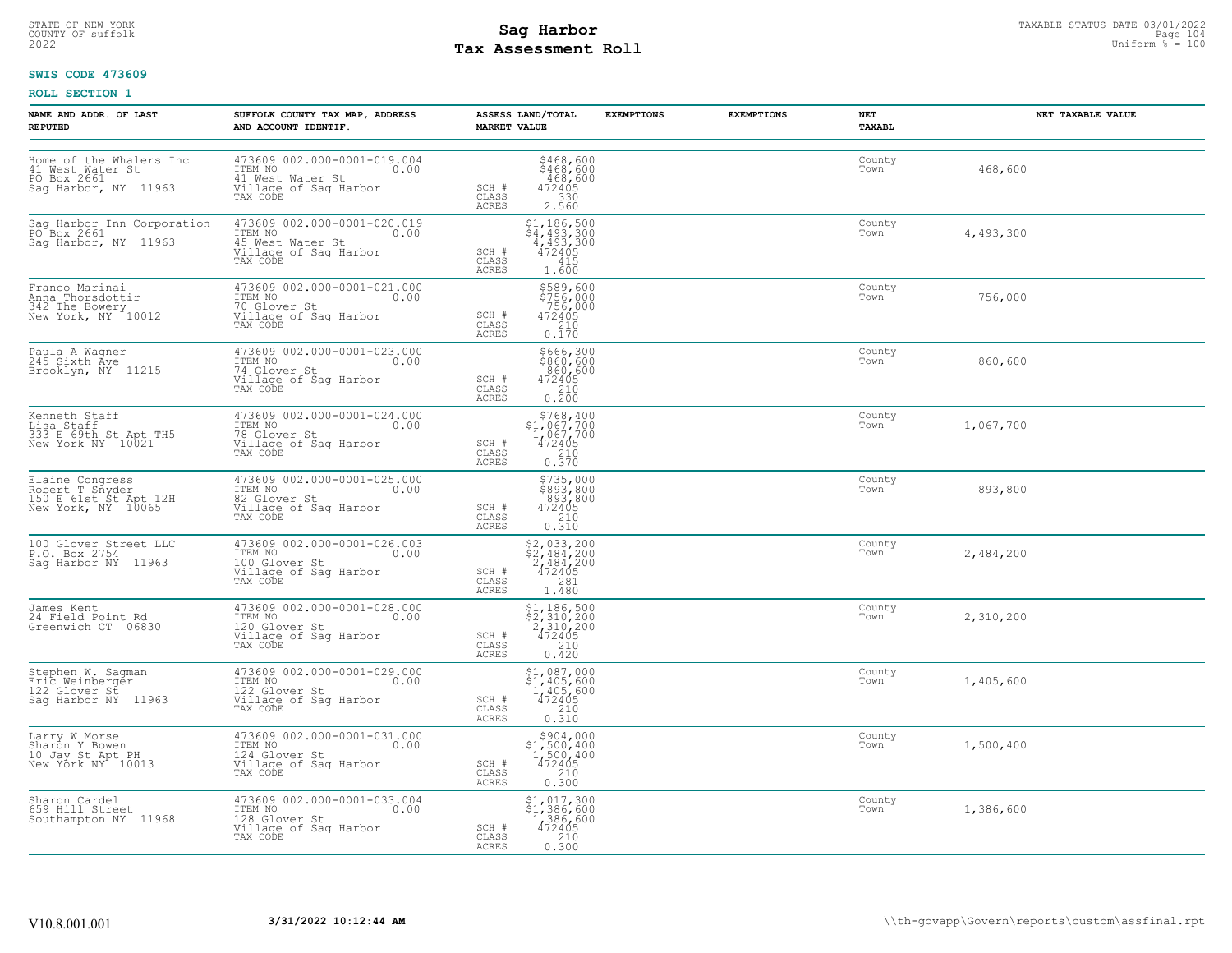# STATE OF NEW-YORK STATUS DATE 03/01/2022<br>
COUNTY OF suffolk Taxable Page 104<br>
2022 MageSone Roll Page 104 MageSone Roll Page 104 MageSone Page 104 MageSone Page 104 **Tax Assessment Roll**

### **SWIS CODE 473609**

| NAME AND ADDR. OF LAST<br><b>REPUTED</b>                                           | SUFFOLK COUNTY TAX MAP, ADDRESS<br>AND ACCOUNT IDENTIF.                                                 | ASSESS LAND/TOTAL<br><b>MARKET VALUE</b>                                                                                        | <b>EXEMPTIONS</b> | <b>EXEMPTIONS</b><br>NET<br>TAXABL | NET TAXABLE VALUE |
|------------------------------------------------------------------------------------|---------------------------------------------------------------------------------------------------------|---------------------------------------------------------------------------------------------------------------------------------|-------------------|------------------------------------|-------------------|
| Home of the Whalers Inc<br>41 West Water St<br>PO Box 2661<br>Saq Harbor, NY 11963 | 473609 002.000-0001-019.004<br>ITEM NO<br>0.00<br>41 West Water St<br>Village of Sag Harbor<br>TAX CODE | \$468,600<br>\$468,600<br>468,600<br>SCH #<br>472405<br>330<br>CLASS<br>ACRES<br>2.560                                          |                   | County<br>Town                     | 468,600           |
| Sag Harbor Inn Corporation<br>PO Box 2661<br>Sag Harbor, NY 11963                  | 473609 002.000-0001-020.019<br>ITEM NO<br>0.00<br>45 West Water St<br>Village of Sag Harbor<br>TAX CODE | $$4, 493, 300$<br>$$4, 493, 300$<br>$4, 493, 300$<br>$472405$<br>$415$<br>SCH #<br>CLASS<br><b>ACRES</b><br>1.600               |                   | County<br>Town                     | 4,493,300         |
| Franco Marinai<br>Anna Thorsdottir<br>342 The Bowery<br>New York, NY 10012         | 473609 002.000-0001-021.000<br>ITEM NO 0.00<br>70 Glover St<br>Village of Saq Harbor<br>TAX CODE        | \$589,600<br>\$756,000<br>756,000<br>SCH #<br>472405<br>CLASS<br>210<br>ACRES<br>0.170                                          |                   | County<br>Town                     | 756,000           |
| Paula A Wagner<br>245 Sixth Ave<br>Brooklyn, NY 11215                              | 473609 002.000-0001-023.000<br>ITEM NO 0.00<br>74 Glover St<br>Village of Sag Harbor<br>TAX CODE        | \$666,300<br>\$860,600<br>860,600<br>SCH #<br>$\begin{array}{r} 472405 \\ 210 \\ 0.200 \end{array}$<br>CLASS<br>ACRES           |                   | County<br>Town                     | 860,600           |
| Kenneth Staff<br>ndincent Staff<br>333 E 69th St Apt TH5<br>New York NY 10021      | 473609 002.000-0001-024.000<br>ITEM NO 0.00<br>TA Glover St<br>Village of Sag Harbor<br>TAX CODE        | $\begin{array}{r} 5768, 400 \\ 51, 067, 700 \\ 1, 067, 700 \\ 472405 \\ 210 \\ 0.370 \end{array}$<br>SCH #<br>CLASS<br>ACRES    |                   | County<br>Town                     | 1,067,700         |
| Elaine Congress<br>Robert T Snyder<br>150 E 61st St Apt 12H<br>New York, NY 10065  | 473609 002.000-0001-025.000<br>ITEM NO 0.00<br>82 Glover St<br>Village of Saq Harbor<br>TAX CODE        | $$735,000$<br>$$893,800$<br>$893,800$<br>$472405$<br>$210$<br>$0.310$<br>SCH #<br>CLASS<br>ACRES                                |                   | County<br>Town                     | 893,800           |
| 100 Glover_Street LLC<br>P.O. Box 2754<br>Sag Harbor NY 11963                      | 473609 002.000-0001-026.003<br>ITEM NO 0.00<br>100 Glover St<br>Village of Sag Harbor<br>TAX CODE       | \$2,033,200<br>\$2,484,200<br>2,484,200<br>472405<br>SCH #<br>CLASS<br>281<br><b>ACRES</b><br>1.480                             |                   | County<br>Town                     | 2,484,200         |
| James Kent<br>24 Field Point Rd<br>Greenwich CT 06830                              | 473609 002.000-0001-028.000<br>ITEM NO 0.00<br>120 Glover St<br>Village of Sag Harbor<br>TAX CODE       | $$2,310,200$<br>$$2,310,200$<br>$2,310,200$<br>$472405$<br>$210$<br>SCH #<br>CLASS<br>ACRES<br>0.420                            |                   | County<br>Town                     | 2,310,200         |
| Stephen W. Sagman<br>Eric Weinberger<br>122 Glover St<br>Saq Harbor NY 11963       | 473609 002.000-0001-029.000<br>ITEM NO<br>122 Glover St 0.00<br>Village of Sag Harbor<br>TAX CODE       | $$1,087,000$<br>$$1,405,600$<br>$1,405,600$<br>$472405$<br>SCH #<br>$\frac{210}{0.310}$<br>CLASS<br><b>ACRES</b>                |                   | County<br>Town                     | 1,405,600         |
| Larry W Morse<br>Sharon Y Bowen<br>10 Jay St Apt PH<br>New York NY 10013           | 473609 002.000-0001-031.000<br>ITEM NO<br>124 Glover St 0.00<br>Village of Saq Harbor<br>TAX CODE       | \$904,000<br>$$1,500,400$<br>$1,500,400$<br>$472405$<br>SCH #<br>CLASS<br>$\begin{bmatrix} 210 \\ 0.300 \end{bmatrix}$<br>ACRES |                   | County<br>Town                     | 1,500,400         |
| Sharon Cardel<br>659 Hill Street<br>Southampton NY 11968                           | 473609 002.000-0001-033.004<br>ITEM NO 0.00<br>128 Glover St<br>Village of Sag Harbor<br>TAX CODE       | \$1,017,300<br>$\begin{array}{r} 21, 386, 600 \\ 1, 386, 600 \\ 472405 \\ 210 \\ 0.300 \end{array}$<br>SCH #<br>CLASS<br>ACRES  |                   | County<br>Town                     | 1,386,600         |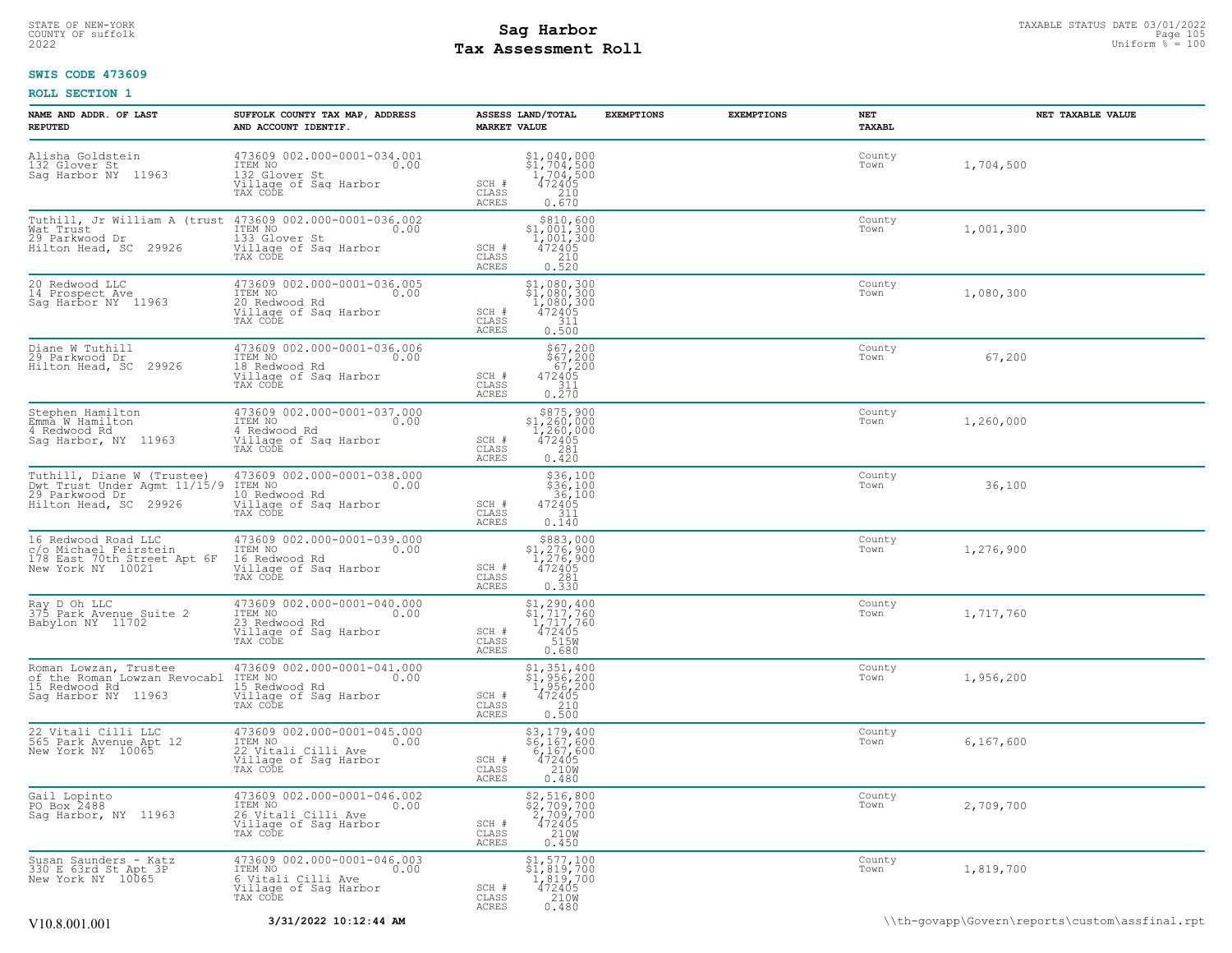### STATE OF NEW-YORK STATUS DATE 03/01/2022<br>
COUNTY OF suffolk **Sag From the Sag State Page 105**<br>
2022 Pay Assessment Roll **Tax Assessment Roll**

### **SWIS CODE 473609**

| NAME AND ADDR. OF LAST<br><b>REPUTED</b>                                                                         | SUFFOLK COUNTY TAX MAP, ADDRESS<br>AND ACCOUNT IDENTIF.                                                    | ASSESS LAND/TOTAL<br><b>EXEMPTIONS</b><br><b>MARKET VALUE</b>                                                                                                              | <b>EXEMPTIONS</b><br>NET<br><b>TAXABL</b> | NET TAXABLE VALUE                              |
|------------------------------------------------------------------------------------------------------------------|------------------------------------------------------------------------------------------------------------|----------------------------------------------------------------------------------------------------------------------------------------------------------------------------|-------------------------------------------|------------------------------------------------|
| Alisha Goldstein<br>132 Glover St<br>Sag Harbor NY 11963                                                         | 473609 002.000-0001-034.001<br>ITEM NO<br>0.00<br>132 Glover St<br>Village of Sag Harbor<br>TAX CODE       | $$1,040,000$<br>$$1,704,500$<br>$1,704,500$<br>472405<br>SCH #<br>CLASS<br>210<br>ACRES<br>0.670                                                                           | County<br>Town                            | 1,704,500                                      |
| Tuthill, Jr William A (trust 473609 002.000-0001-036.002<br>Wat Trust<br>29 Parkwood Dr<br>Hilton Head, SC 29926 | ITEM NO<br>0.00<br>133 Glover St<br>Village of Sag Harbor<br>TAX CODE                                      | $\begin{array}{r}  \  \  \,  \,  \, 810,600 \\  \  \, 1,001,300 \\  \  \, 1,001,300 \\  \  \, 472405 \\  \  \, 210 \\  \  \, 0.520 \end{array}$<br>SCH #<br>CLASS<br>ACRES | County<br>Town                            | 1,001,300                                      |
| 20 Redwood LLC<br>14 Prospect Ave<br>Sag Harbor NY 11963                                                         | 473609 002.000-0001-036.005<br>ITEM NO<br>0.00<br>20 Redwood Rd<br>Village of Sag Harbor<br>TAX CODE       | $$1,080,300$<br>$$1,080,300$<br>$1,080,300$<br>$472405$<br>$$11$<br>SCH #<br>CLASS<br>0.500<br>ACRES                                                                       | County<br>Town                            | 1,080,300                                      |
| Diane W Tuthill<br>29 Parkwood Dr<br>29926<br>Hilton Head, SC                                                    | 473609 002.000-0001-036.006<br>ITEM NO<br>0.00<br>18 Redwood Rd<br>Village of Sag Harbor<br>TAX CODE       | $$67,200$<br>$$67,200$<br>$67,200$<br>472405<br>$$311$<br>SCH #<br>CLASS<br>0.270<br>ACRES                                                                                 | County<br>Town                            | 67,200                                         |
| Stephen Hamilton<br>Emma W Hamilton<br>4 Redwood Rd<br>Sag Harbor, NY 11963                                      | 473609 002.000-0001-037.000<br>ITEM NO<br>0.00<br>4 Redwood Rd<br>Village of Sag Harbor<br>TAX CODE        | \$875,900<br>$$1,260,000$<br>1,260,000<br>472405<br>2,281<br>SCH #<br>CLASS<br>ACRES<br>0.420                                                                              | County<br>Town                            | 1,260,000                                      |
| Tuthill, Diane W (Trustee)<br>Dwt_Trust Under Agmt 11/15/9<br>29 Parkwood Dr<br>Hilton Head, SC 29926            | 473609 002.000-0001-038.000<br>0.00 0.00<br>10 Redwood Rd<br>Village of Sag Harbor<br>TAX CODE             | $\begin{array}{r} $36,100\$36,10036,100472405 \end{array}$<br>SCH #<br>311<br>CLASS<br>ACRES<br>0.140                                                                      | County<br>Town                            | 36,100                                         |
| 16 Redwood Road LLC<br>c/o Michael Feirstein<br>178 East 70th Street Apt 6F<br>New York NY 10021                 | 473609 002.000-0001-039.000<br>ITEM NO<br>0.00<br>16 Redwood Rd<br>Village of Sag Harbor<br>TAX CODE       | \$883,000<br>\$1,276,900<br>1,276,900<br>SCH #<br>472405<br>CLASS<br>281<br>0.330<br>ACRES                                                                                 | County<br>Town                            | 1,276,900                                      |
| Ray D Oh LLC<br>375 Park Avenue Suite 2<br>Babylon NY 11702                                                      | 473609 002.000-0001-040.000<br>ITEM NO<br>0.00<br>23 Redwood Rd<br>Village of Sag Harbor<br>TAX CODE       | $$1,290,400$<br>$$1,717,760$<br>1,717,760<br>SCH #<br>472405<br>515W<br>CLASS<br>ACRES<br>0.680                                                                            | County<br>Town                            | 1,717,760                                      |
| Roman Lowzan, Trustee<br>of the Roman Lowzan Revocabl<br>15 Redwood Rd<br>Sag Harbor NY 11963                    | 473609 002.000-0001-041.000<br>ITEM NO<br>0.00<br>15 Redwood Rd<br>Village of Sag Harbor<br>TAX CODE       | $\begin{array}{c} $1,351,400 \\ $1,956,200 \\ $1,956,200 \\ $472405 \\ $210 \\ 0.500 \end{array}$<br>SCH #<br>CLASS<br>ACRES                                               | County<br>Town                            | 1,956,200                                      |
| 22 Vitali Cilli LLC<br>565 Park Avenue Apt 12<br>New York NY 10065                                               | 473609 002.000-0001-045.000<br>ITEM NO<br>0.00<br>22 Vitali Cilli Ave<br>Village of Sag Harbor<br>TAX CODE | \$3,179,400<br>\$6,167,600<br>6,167,600<br>472405<br>210M<br>SCH #<br>CLASS<br>ACRES<br>0.480                                                                              | County<br>Town                            | 6,167,600                                      |
| Gail Lopinto<br>PO Box 2488<br>Sag Harbor, NY 11963                                                              | 473609 002.000-0001-046.002<br>ITEM NO<br>0.00<br>26 Vitali Cilli Ave<br>Village of Sag Harbor<br>TAX CODE | $$2, 516, 800$<br>$$2, 709, 700$<br>$2, 709, 700$<br>SCH #<br>$\begin{smallmatrix} 472405\ 210W\ 0.450 \end{smallmatrix}$<br>CLASS<br><b>ACRES</b>                         | County<br>Town                            | 2,709,700                                      |
| Susan Saunders - Katz<br>330 E 63rd St Apt 3P<br>New York NY 10065                                               | 473609 002.000-0001-046.003<br>ITEM NO<br>0.00<br>6 Vitali Cilli Ave<br>Village of Sag Harbor<br>TAX CODE  | $$1,577,100$<br>$$1,819,700$<br>$\frac{1}{4}$ , $\frac{8}{4}$ , $\frac{5}{4}$ , $\frac{7}{0}$<br>SCH #<br>CLASS<br>210W<br>ACRES<br>0.480                                  | County<br>Town                            | 1,819,700                                      |
| V10.8.001.001                                                                                                    | 3/31/2022 10:12:44 AM                                                                                      |                                                                                                                                                                            |                                           | \\th-qovapp\Govern\reports\custom\assfinal.rpt |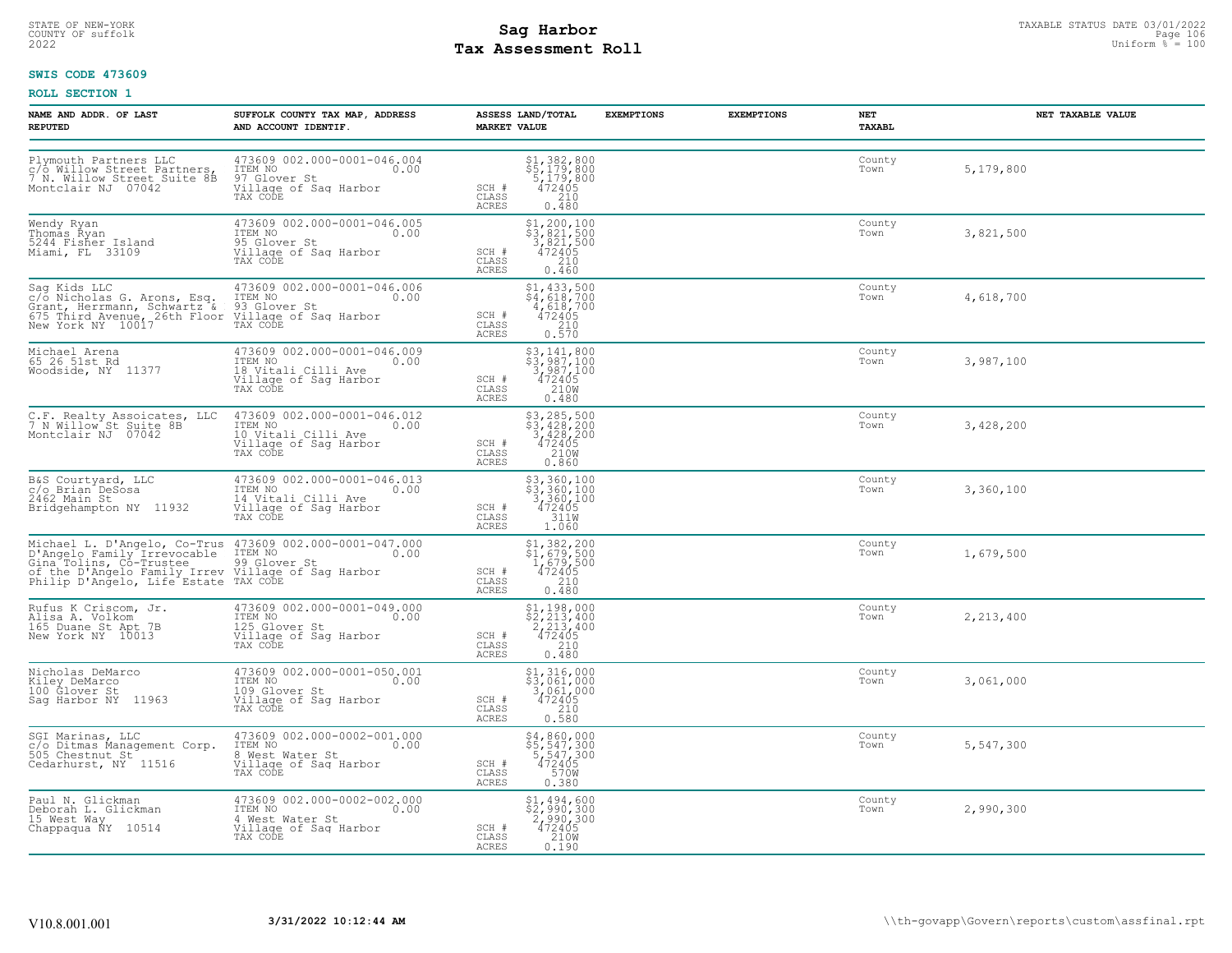# STATE OF NEW-YORK STATUS DATE 03/01/2022<br>
COUNTY OF suffolk **Sag From the Sag State Page 106**<br>
2022 Pay Assessment Roll **Tax Assessment Roll**

### **SWIS CODE 473609**

| NAME AND ADDR. OF LAST<br><b>REPUTED</b>                                            | SUFFOLK COUNTY TAX MAP, ADDRESS<br>AND ACCOUNT IDENTIF.                                                                                                                                                                                    | ASSESS LAND/TOTAL<br><b>MARKET VALUE</b>                                                                                             | <b>EXEMPTIONS</b> | <b>EXEMPTIONS</b><br>NET<br>TAXABL | NET TAXABLE VALUE |
|-------------------------------------------------------------------------------------|--------------------------------------------------------------------------------------------------------------------------------------------------------------------------------------------------------------------------------------------|--------------------------------------------------------------------------------------------------------------------------------------|-------------------|------------------------------------|-------------------|
|                                                                                     | Plymouth Partners LLC 473609 002.000-0001-046.004<br>c/o Willow Street Partners, ITEM NO<br>7 N. Willow Street Suite 8B 97 Glover St<br>Montclair NJ 07042 Willage of Sag Harbor<br>473609 002.000-0001-046.004<br>TAX CODE                | $$1,382,800$<br>$$5,179,800$<br>$$5,179,800$<br>$472405$<br>$$210$<br>SCH #<br>CLASS<br>ACRES<br>0.480                               |                   | County<br>Town                     | 5,179,800         |
| Wendy Ryan<br>Thomas Ryan<br>5244 Fisher Island<br>Miami, FL 33109                  | 473609 002.000-0001-046.005<br>ITEM NO<br>95 Glover St<br>35 Glover St<br>Village of Sag Harbor<br>TAX CODE                                                                                                                                | $\begin{array}{r} $1,200,100$ \\ $3,821,500$ \\ 3,821,500$ \\ 472405\\ 210$ \end{array}$<br>SCH #<br>CLASS<br>ACRES<br>0.460         |                   | County<br>Town                     | 3,821,500         |
|                                                                                     | Sag Kids LLC 473609 002.000-0001-046.006<br>c/o Nicholas G. Arons, Esq. ITEM NO<br>Grant, Herrmann, Schwartz & 93 Glover St<br>675 Third Avenue, 26th Floor Village of Sag Harbor<br>New York NY 10017 TAX CODE                            | \$1,433,500<br>\$4,618,700<br>4,618,700<br>472405<br>SCH #<br>CLASS<br>$\begin{array}{c} 210 \\ 0.570 \end{array}$<br>ACRES          |                   | County<br>Town                     | 4,618,700         |
| Woodside, NY 11377                                                                  | 473609 002.000-0001-046.009<br>ITEM NO<br>18 Vitali Cilli Ave<br>Village of Sag Harbor<br>TAX CODE                                                                                                                                         | $$3, 141, 800$<br>$$3, 987, 100$<br>$3, 987, 100$<br>$472405$<br>$2108$<br>SCH #<br>CLASS<br>ACRES<br>0.480                          |                   | County<br>Town                     | 3,987,100         |
| C.F. Realty Assoicates, LLC<br>7 N Willow St Suite 8B<br>Montclair NJ 07042         | 473609 002.000-0001-046.012<br>ITEM NO<br>10 Vitali Cilli Ave<br>Village of Sag Harbor<br>TAX CODE                                                                                                                                         | \$3,285,500<br>\$3,428,200<br>3,428,200<br>472405<br>SCH #<br>210W<br>CLASS<br>ACRES<br>0.860                                        |                   | County<br>Town                     | 3,428,200         |
| B&S Courtyard, LLC<br>c/o Brian DeSosa<br>2462 Main St<br>Bridgehampton NY 11932    | 473609 002.000-0001-046.013<br>TEM NO<br>14 Vitali Cilli Ave<br>14 Vitali Cilli Ave<br>Village of Saq Harbor<br>TAX CODE                                                                                                                   | \$3,360,100<br>\$3,360,100<br>3,360,100<br>472405<br>SCH #<br>CLASS<br>311W<br>ACRES<br>1.060                                        |                   | County<br>Town                     | 3,360,100         |
|                                                                                     | Michael L. D'Angelo, Co-Trus 473609 002.000-0001-047.000<br>D'Angelo Family Irrevocable ITEM NO<br>Gina Tolins, Co-Trustee 99 Glover St 0.00<br>Of the D'Angelo Family Irrev Village of Saq Harbor<br>Philip D'Angelo, Life Estate TAX COD | \$1,382,200<br>\$1,679,500<br>1,679,500<br>472405<br>SCH #<br>CLASS<br>210<br>ACRES<br>0.480                                         |                   | County<br>Town                     | 1,679,500         |
| Rufus K Criscom, Jr.<br>Alisa A. Volkom<br>165 Duane St Apt 7B<br>New York NY 10013 | 473609 002.000-0001-049.000<br>ITEM NO 0.00<br>125 Clover St<br>125 Glover St<br>Village of Sag Harbor<br>TAX CODE                                                                                                                         | $$2, 213, 400$<br>$$2, 213, 400$<br>$$472405$<br>$$210$<br>$SCH$ #<br>CLASS<br>ACRES<br>0.480                                        |                   | County<br>Town                     | 2,213,400         |
| Nicholas DeMarco<br>Kiley DeMarco<br>100 Glover St<br>Saq Harbor NY 11963           | 473609 002.000-0001-050.001<br>1TEM NO<br>109 Glover St 0.00<br>Village of Sag Harbor<br>TAX CODE                                                                                                                                          | $$1,316,000$<br>$$3,061,000$<br>3,061,000<br>472405<br>SCH #<br>$\begin{array}{c} 210 \\ 0.580 \end{array}$<br>CLASS<br><b>ACRES</b> |                   | County<br>Town                     | 3,061,000         |
|                                                                                     | SGI Marinas, LLC 473609 002.000-0002-001.000<br>c/o Ditmas Management Corp. ITEM NO<br>505 Chestnut St 8 West Water St<br>Cedarhurst, NY 11516 Village of Saq Harbor<br>TAX CODE                                                           | \$4,860,000<br>\$5,547,300<br>5,547,300<br>472405<br>SCH #<br>CLASS<br>570W<br>ACRES<br>0.380                                        |                   | County<br>Town                     | 5,547,300         |
| Paul N. Glickman<br>Deborah L. Glickman<br>15 West Way<br>Chappaqua NY 10514        | 473609 002.000-0002-002.000<br>10.00 0.00<br>4 West Water St<br>Village of Saq Harbor<br>TAX CODE                                                                                                                                          | \$1,494,600<br>\$2,990,300<br>2,990,300<br>472405<br>SCH #<br>CLASS<br>210W<br>ACRES<br>0.190                                        |                   | County<br>Town                     | 2,990,300         |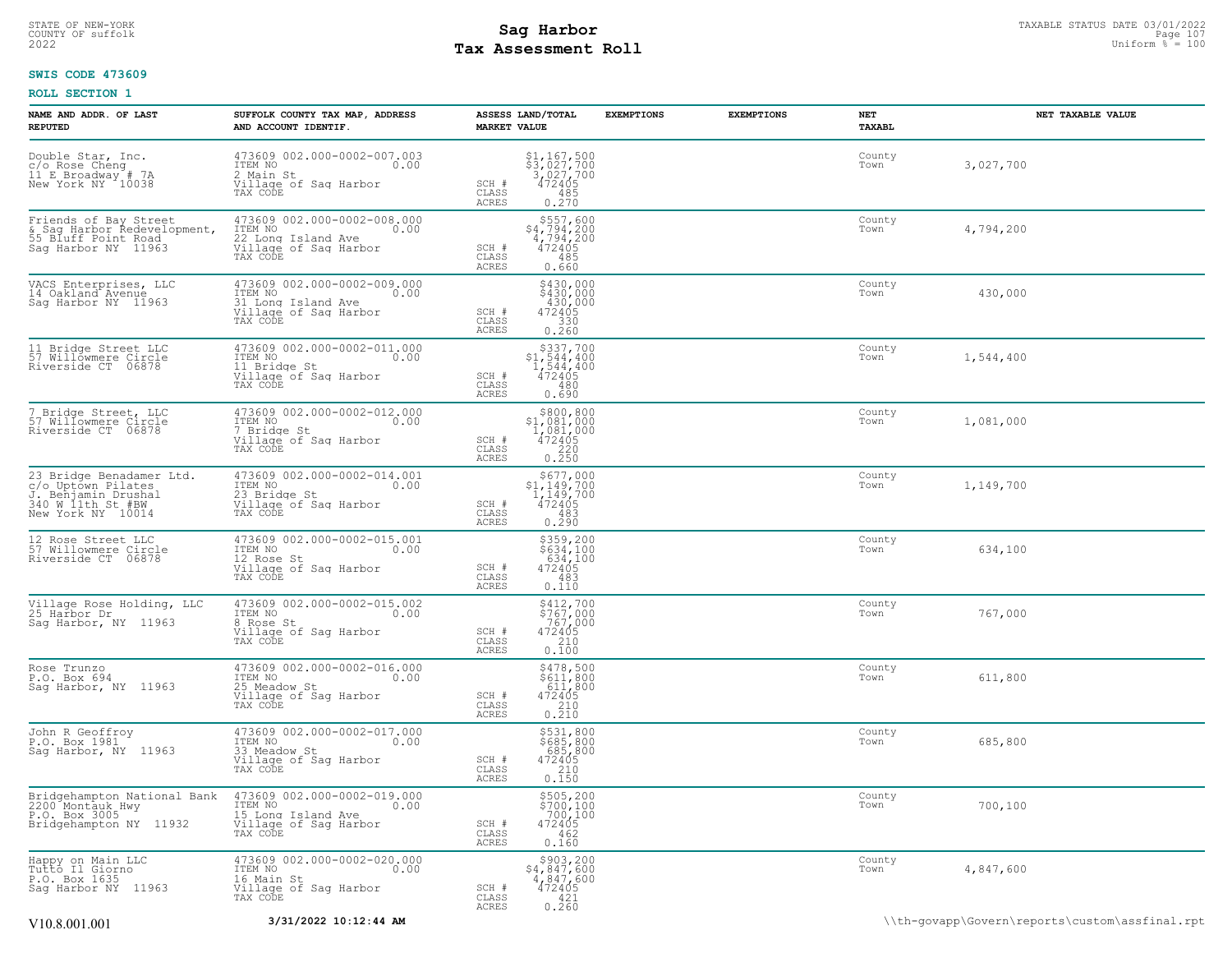### STATE OF NEW-YORK STATUS DATE 03/01/2022<br>
COUNTY OF suffolk **Sag From the Sag State Page 107**<br>
2022 Pay Assessment Roll **Tax Assessment Roll**

### **SWIS CODE 473609**

| NAME AND ADDR. OF LAST<br><b>REPUTED</b>                                                                        | SUFFOLK COUNTY TAX MAP, ADDRESS<br>AND ACCOUNT IDENTIF.                                                   | ASSESS LAND/TOTAL<br><b>EXEMPTIONS</b><br><b>MARKET VALUE</b>                                                                       | <b>EXEMPTIONS</b><br>NET<br>TAXABL | NET TAXABLE VALUE |
|-----------------------------------------------------------------------------------------------------------------|-----------------------------------------------------------------------------------------------------------|-------------------------------------------------------------------------------------------------------------------------------------|------------------------------------|-------------------|
| Double Star, Inc.<br>c/o Rose Cheng<br>11 E Broadway # 7A<br>New York NY 10038                                  | 473609 002.000-0002-007.003<br>ITEM NO<br>0.00<br>2 Main St<br>Village of Saq Harbor<br>TAX CODE          | \$1,167,500<br>\$3,027,700<br>3,027,700<br>472405<br>SCH #<br>CLASS<br>485<br>0.270<br>ACRES                                        | County<br>Town                     | 3,027,700         |
| Friends of Bay Street                                                                                           | 473609 002.000-0002-008.000<br>ITEM NO<br>0.00<br>22 Long Island Ave<br>Village of Sag Harbor<br>TAX CODE | $\begin{array}{r} $557,600\\ $4,794,200\\ $4,794,200\\ $472405\\ \end{array}$<br>SCH #<br>$\mathtt{CLASS}$<br>485<br>0.660<br>ACRES | County<br>Town                     | 4,794,200         |
| VACS Enterprises, LLC<br>14 Oakland Avenue<br>Sag Harbor NY 11963                                               | 473609 002.000-0002-009.000<br>ITEM NO 0.00<br>31 Long Island Ave<br>Village of Sag Harbor<br>TAX CODE    | \$430,000<br>\$430,000<br>$430,000$<br>$472405$<br>SCH #<br>CLASS<br>$\begin{array}{c} 7 - 330 \\ 0.260 \end{array}$<br>ACRES       | County<br>Town                     | 430,000           |
| 11 Bridge Street LLC<br>57 Willowmere Circle<br>Riverside CT 06878                                              | 473609 002.000-0002-011.000<br>ITEM NO 0.00<br>11 Bridge St<br>Village of Saq Harbor<br>TAX CODE          | $\substack{\$337,700\\\$1,544,400\\\$1,544,400\\\472405}$<br>SCH #<br>$\mathtt{CLASS}$<br>480<br>0.690<br>ACRES                     | County<br>Town                     | 1,544,400         |
| 7 Bridge Street, LLC<br>57 Willowmere Circle<br>Riverside CT 06878                                              | 473609 002.000-0002-012.000<br>ITEM NO<br>0.00<br>7 Bridge St<br>Village of Sag Harbor<br>TAX CODE        | \$800, 800<br>\$800,800<br>\$1,081,000<br>1,081,000<br>472405<br>220<br>0.250<br>SCH #<br>CLASS<br><b>ACRES</b>                     | County<br>Town                     | 1,081,000         |
| 23 Bridge Benadamer Ltd.<br>23 British Pilates<br>J. Benjamin Drushal<br>340 W 11th St #BW<br>New York NY 10014 | 473609 002.000-0002-014.001<br>ITEM NO 0.00<br>23 Bridge St<br>Village of Sag Harbor<br>TAX CODE          | $5677,000\n51,149,700\n1,149,700\n472405\n483\n293$<br>SCH #<br>CLASS<br>0.290<br>ACRES                                             | County<br>Town                     | 1,149,700         |
| 12 Rose Street LLC<br>57 Willowmere Circle<br>Riverside CT 06878                                                | 473609 002.000-0002-015.001<br>ITEM NO 0.00<br>12 Rose St<br>Village of Saq Harbor<br>TAX CODE            | \$359,200<br>\$634,100<br>634,100<br>472405<br>SCH #<br>CLASS<br>483<br>0.110<br>ACRES                                              | County<br>Town                     | 634,100           |
| Village Rose Holding, LLC<br>25 Harbor Dr<br>Sag Harbor, NY 11963                                               | 473609 002.000-0002-015.002<br>ITEM NO 0.00<br>8 Rose St<br>Village of Sag Harbor<br>TAX CODE             | $$412,700$<br>$$767,000$<br>$767,000$<br>$472405$<br>SCH #<br>CLASS<br>210<br>ACRES<br>0.100                                        | County<br>Town                     | 767,000           |
| Rose Trunzo<br>P.O. Box 694<br>Sag Harbor, NY 11963                                                             | 473609 002.000-0002-016.000<br>ITEM NO 0.00<br>25 Meadow St<br>Village of Sag Harbor<br>TAX CODE          | $$478,500$<br>$$611,800$<br>$611,800$<br>$472405$<br>SCH #<br>CLASS<br>$\frac{210}{0.210}$<br>ACRES                                 | County<br>Town                     | 611,800           |
| John R Geoffroy<br>P.O. Box 1981<br>Sag Harbor, NY 11963                                                        | 473609 002.000-0002-017.000<br>ITEM NO<br>0.00<br>33 Meadow St<br>Village of Sag Harbor<br>TAX CODE       | \$531,800<br>\$685,800<br>685,800<br>SCH #<br>472405<br>CLASS<br>0.150<br>ACRES                                                     | County<br>Town                     | 685,800           |
| Bridgehampton National Bank<br>2200 Montauk Hwy<br>P.O. Box 3005<br>Bridgehampton NY 11932                      | 473609 002.000-0002-019.000<br>ITEM NO<br>0.00<br>15 Long Island Ave<br>Village of Sag Harbor<br>TAX CODE | \$505,200<br>\$700,100<br>700,100<br>SCH #<br>472405<br>CLASS<br>462<br>ACRES<br>0.160                                              | County<br>Town                     | 700,100           |
| Happy on Main LLC<br>Tutto_Il Giorno<br>P.O. Box 1635<br>Saq Harbor NY 11963                                    | 473609 002.000-0002-020.000<br>ITEM NO 0.00<br>16 Main St<br>Village of Saq Harbor<br>TAX CODE            | $$4,847,600$ $$4,847,600$ $$472405$ $$421$ $$421$<br>SCH #<br>$\mathtt{CLASS}$<br>$0.\overline{260}$<br>ACRES                       | County<br>Town                     | 4,847,600         |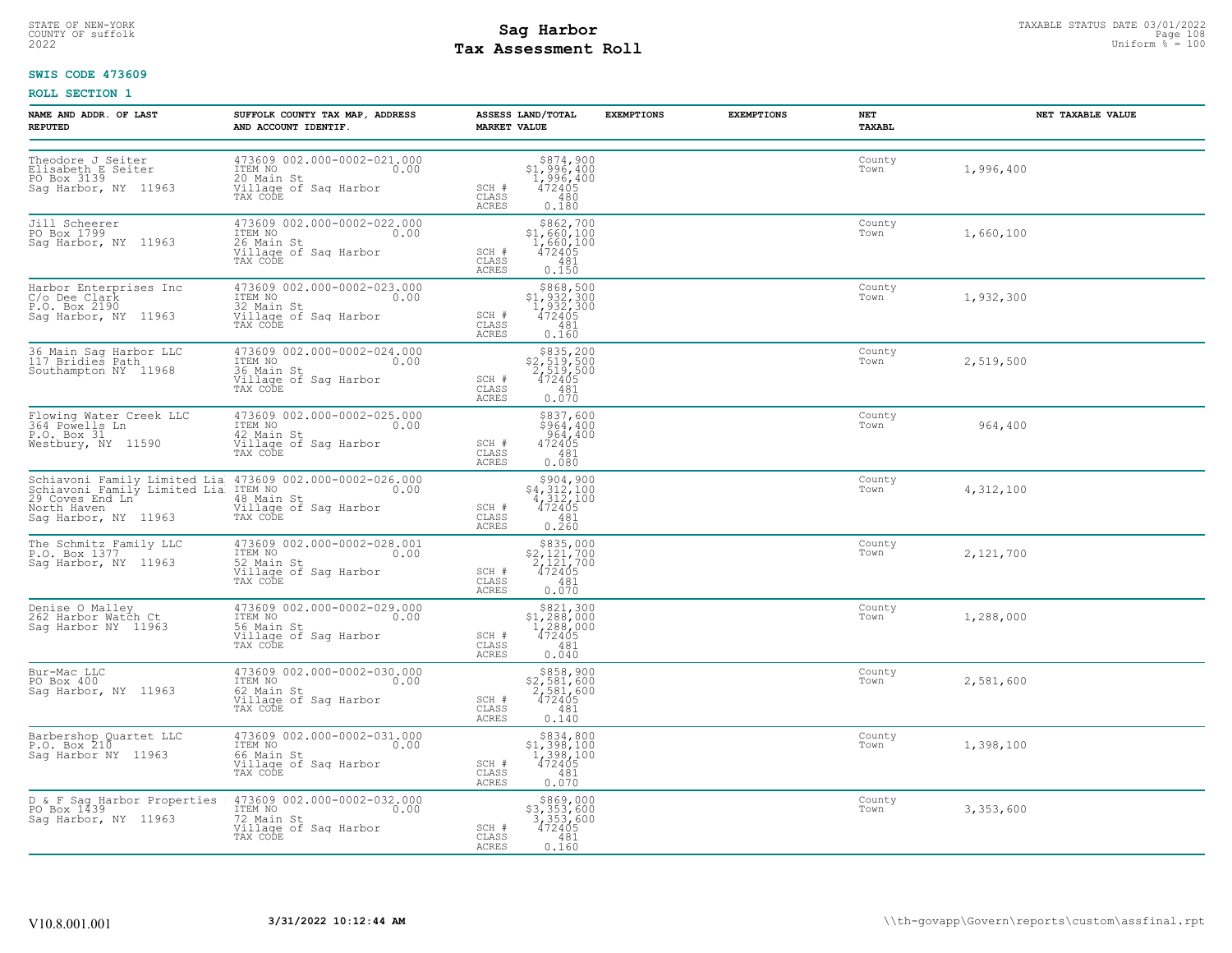# STATE OF NEW-YORK STATUS DATE 03/01/2022<br>
COUNTY OF suffolk **Sag From State Page 108**<br>
2022 Pay Assessment Roll **Tax Assessment Roll**

### **SWIS CODE 473609**

| <b>NAME AND ADDR. OF LAST</b><br><b>REPUTED</b>                                  | SUFFOLK COUNTY TAX MAP, ADDRESS<br>AND ACCOUNT IDENTIF.                                                                 | ASSESS LAND/TOTAL<br><b>MARKET VALUE</b>                                                                                         | <b>EXEMPTIONS</b> | <b>EXEMPTIONS</b> | NET<br>TAXABL  | NET TAXABLE VALUE |
|----------------------------------------------------------------------------------|-------------------------------------------------------------------------------------------------------------------------|----------------------------------------------------------------------------------------------------------------------------------|-------------------|-------------------|----------------|-------------------|
| Theodore J Seiter<br>Elisabeth E Seiter<br>PO Box 3139<br>Saq Harbor, NY 11963   | 473609 002.000-0002-021.000<br>ITEM NO<br>0.00<br>20 Main St<br>Village of Sag Harbor<br>TAX CODE                       | $$374,900\n$1,996,400\n1,996,400\n472405\n480$<br>SCH #<br>CLASS<br>ACRES<br>0.180                                               |                   |                   | County<br>Town | 1,996,400         |
| Jill Scheerer<br>PO Box 1799<br>Sag Harbor, NY 11963                             | 473609 002.000-0002-022.000<br>ITEM NO<br>0.00<br>26 Main St<br>Village of Sag Harbor<br>TAX CODE                       | $\begin{array}{c} $862,700 \\ $1,660,100 \\ $1,660,100 \\ $472405 \end{array}$<br>SCH #<br>CLASS<br>481<br><b>ACRES</b><br>0.150 |                   |                   | County<br>Town | 1,660,100         |
| Harbor Enterprises Inc<br>C/o Dee Clark<br>P.O. Box 2190<br>Sag Harbor, NY 11963 | 473609 002.000-0002-023.000<br>TTEM NO 0.00<br>32 Main St<br>Village of Sag Harbor<br>TAX CODE                          | $$868,500$<br>$$1,932,300$<br>$1,932,300$<br>$472405$<br>SCH #<br>CLASS<br>481<br>ACRES<br>0.160                                 |                   |                   | County<br>Town | 1,932,300         |
| 36 Main Sag Harbor LLC<br>117 Bridies Path<br>Southampton NY 11968               | 473609 002.000-0002-024.000<br>ITEM NO<br>0.00<br>36 Main St<br>Village of Sag Harbor<br>TAX CODE                       | \$835,200<br>\$2,519,500<br>2,519,500<br>472405<br>SCH #<br>CLASS<br>481<br><b>ACRES</b><br>0.070                                |                   |                   | County<br>Town | 2,519,500         |
| Flowing Water Creek LLC<br>364 Powells Ln<br>P.O. Box 31<br>Westbury, NY 11590   | 473609 002.000-0002-025.000<br>ITEM NO<br>0.00<br>42 Main St<br>Village of Sag Harbor<br>TAX CODE                       | \$837,600<br>\$964,400<br>964,400<br>472405<br>SCH #<br>CLASS<br>481<br>0.080<br>ACRES                                           |                   |                   | County<br>Town | 964,400           |
| North Haven<br>Sag Harbor, NY 11963                                              | Village of Sag Harbor<br>TAX CODE                                                                                       | $$4,312,100$<br>$4,312,100$<br>$472405$<br>$800$<br>$472405$<br>SCH #<br>CLASS<br>481<br><b>ACRES</b><br>0.260                   |                   |                   | County<br>Town | 4,312,100         |
| The Schmitz Family LLC<br>P.O. Box 1377<br>Sag Harbor, NY 11963                  | 473609 002.000-0002-028.001<br>ITEM NO<br>0.00<br>52 Main St<br>Village of Sag Harbor<br>TAX CODE                       | $\substack{\$835,000\\\$2,121,700\\\$2,121,700\\\$472405$<br>SCH #<br>CLASS<br>481<br>ACRES<br>0.070                             |                   |                   | County<br>Town | 2,121,700         |
| Denise O Malley<br>262 Harbor Watch Ct<br>Sag Harbor NY  11963                   | 473609 002.000-0002-029.000<br>TTEM NO 0.00<br>56 Main St<br>Village of Sag Harbor<br>Village of Sag Harbor<br>TAX CODE | $\begin{array}{c} $821,300 \\ $1,288,000 \\ $1,288,000 \\ $472405 \end{array}$<br>SCH #<br>CLASS<br>481<br>0.040<br><b>ACRES</b> |                   |                   | County<br>Town | 1,288,000         |
| Bur-Mac LLC<br>PO Box 400<br>Saq Harbor, NY 11963                                | 473609 002.000-0002-030.000<br>ITEM NO<br>0.00<br>62 Main St<br>Village of Sag Harbor<br>TAX CODE                       | $$858,900$<br>$$2,581,600$<br>$2,581,600$<br>$472405$<br>SCH #<br>CLASS<br>481<br><b>ACRES</b><br>0.140                          |                   |                   | County<br>Town | 2,581,600         |
| Barbershop Quartet LLC<br>P.O. Box 210<br>Sag Harbor NY  11963                   | 473609 002.000-0002-031.000<br>ITEM NO 0.00<br>66 Main St<br>Village of Sag Harbor<br>TAX CODE                          | \$834,800<br>$$1,398,100$<br>$1,398,100$<br>$472405$<br>SCH #<br>CLASS<br>481<br>ACRES<br>0.070                                  |                   |                   | County<br>Town | 1,398,100         |
| D & F Sag Harbor Properties<br>PO Box 1439<br>Saq Harbor, NY 11963               | 473609 002.000-0002-032.000<br>1TEM NO 0.00<br>72 Main St<br>Village of Sag Harbor<br>TAX CODE                          | \$869,000<br>\$3,353,600<br>3,353,600<br>472405<br>SCH #<br>CLASS<br>481<br>ACRES<br>0.160                                       |                   |                   | County<br>Town | 3,353,600         |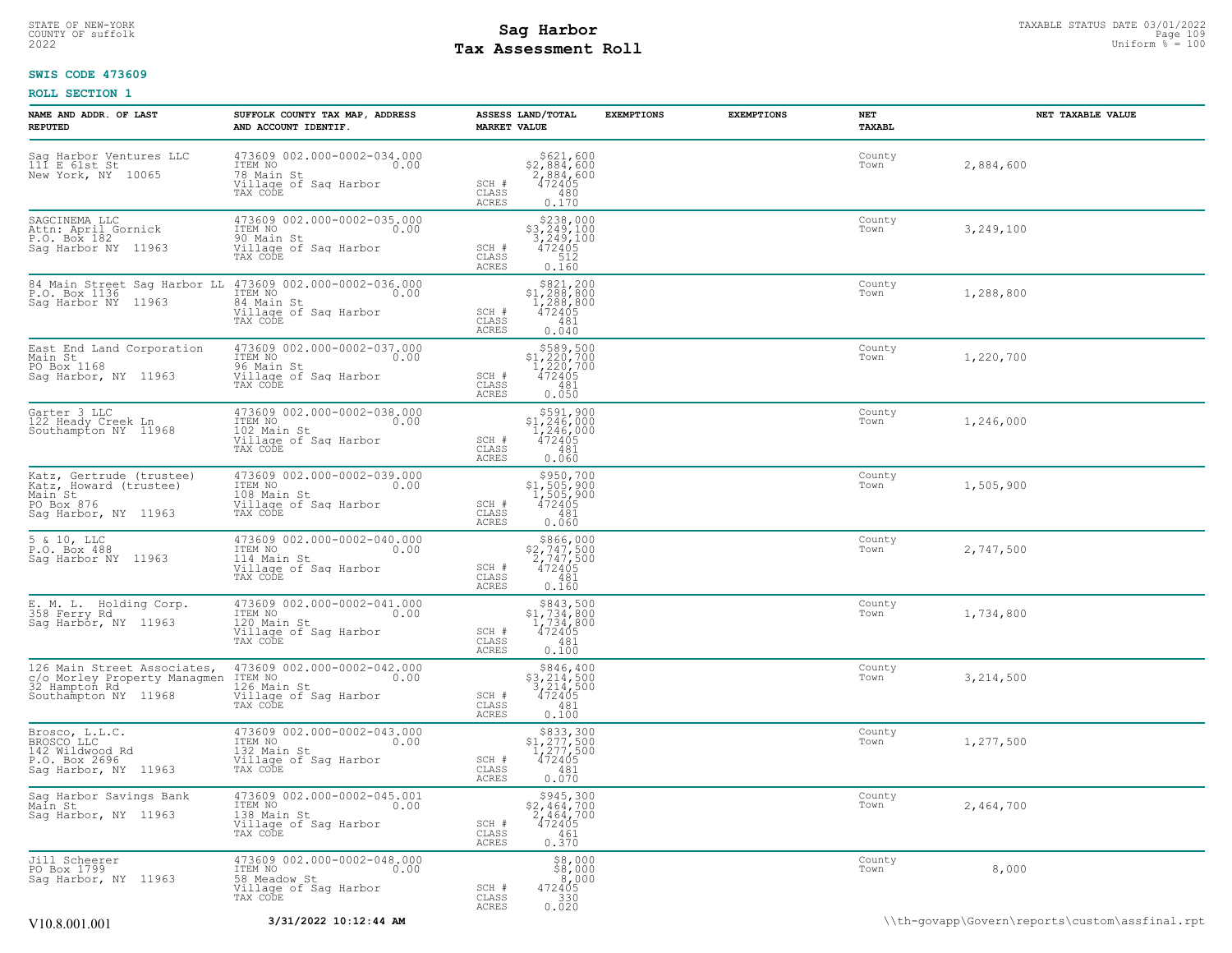## STATE OF NEW-YORK STATUS DATE 03/01/2022<br>
COUNTY OF suffolk **Sag From the Sag State of Taxable State Area State 109**<br>
2022 Man Duiform % = 100 **Tax Assessment Roll**

### **SWIS CODE 473609**

| NAME AND ADDR. OF LAST<br>REPUTED                                                                    | SUFFOLK COUNTY TAX MAP, ADDRESS<br>AND ACCOUNT IDENTIF.                                                 | ASSESS LAND/TOTAL<br><b>MARKET VALUE</b> |                                                                                                        | <b>EXEMPTIONS</b> | <b>EXEMPTIONS</b> | NET<br>TAXABL  | NET TAXABLE VALUE |
|------------------------------------------------------------------------------------------------------|---------------------------------------------------------------------------------------------------------|------------------------------------------|--------------------------------------------------------------------------------------------------------|-------------------|-------------------|----------------|-------------------|
| Sag Harbor Ventures LLC<br>111 E 61st St<br>New York, NY 10065                                       | 473609 002.000-0002-034.000<br>ITEM NO<br>0.00<br>78 Main St<br>Village of Sag Harbor<br>TAX CODE       | SCH #<br>CLASS<br><b>ACRES</b>           | \$621,600<br>\$2,884,600<br>$\frac{5}{472405}$<br>480<br>0.170                                         |                   |                   | County<br>Town | 2,884,600         |
| SAGCINEMA LLC<br>Attn: April Gornick<br>P.O. Box 182<br>Sag Harbor NY 11963                          | 473609 002.000-0002-035.000<br>ITEM NO<br>0.00<br>90 Main St<br>Village of Sag Harbor<br>TAX CODE       | SCH #<br>CLASS<br><b>ACRES</b>           | \$238,000<br>$\begin{array}{r} 3,249,100 \\ 3,249,100 \\ 472405 \end{array}$<br>512<br>0.160           |                   |                   | County<br>Town | 3,249,100         |
| 84 Main Street Sag Harbor LL<br>P.O. Box 1136<br>Saq Harbor NY 11963                                 | 473609 002.000-0002-036.000<br>ITEM NO<br>0.00<br>84 Main St<br>Village of Sag Harbor<br>TAX CODE       | SCH #<br>CLASS<br><b>ACRES</b>           | $\begin{smallmatrix} & $821,200\\ $1,288,800\\ 1,288,800\\ 472405\\ \end{smallmatrix}$<br>481<br>0.040 |                   |                   | County<br>Town | 1,288,800         |
| East End Land Corporation<br>Main St<br>PO Box 1168<br>Sag Harbor, NY 11963                          | 473609 002.000-0002-037.000<br>ITEM NO<br>0.00<br>96 Main St<br>Village of Sag Harbor<br>TAX CODE       | SCH #<br>CLASS<br><b>ACRES</b>           | $\begin{array}{c} $589,500 \\ $1,220,700 \\ $1,220,700 \\ $472405 \end{array}$<br>481<br>0.050         |                   |                   | County<br>Town | 1,220,700         |
| Garter 3 LLC<br>122 Heady Creek Ln<br>Southampton NY 11968                                           | 473609 002.000-0002-038.000<br>ITEM NO<br>0.00<br>102 Main St<br>Village of Sag Harbor<br>TAX CODE      | SCH #<br>CLASS<br><b>ACRES</b>           | \$591,900<br>$$1,246,000$<br>$1,246,000$<br>$472405$<br>481<br>0.060                                   |                   |                   | County<br>Town | 1,246,000         |
| Katz, Gertrude (trustee)<br>Katz, Howard (trustee)<br>Main St<br>PO Box 876<br>Sag Harbor, NY 11963  | 473609 002.000-0002-039.000<br>ITEM NO<br>0.00<br>108 Main St<br>Village of Sag Harbor<br>TAX CODE      | SCH #<br>CLASS<br>ACRES                  | $\substack{\$950,700\\\$1,505,900\\1,505,900\\472405}$<br>481<br>0.060                                 |                   |                   | County<br>Town | 1,505,900         |
| 5 & 10, LLC<br>P.0. Box 488<br>Sag Harbor NY 11963                                                   | 473609 002.000-0002-040.000<br>ITEM NO<br>0.00<br>114 Main St<br>Village of Sag Harbor<br>TAX CODE      | SCH #<br>CLASS<br>ACRES                  | $\begin{array}{c} $866,000 \\ $2,747,500 \\ 2,747,500 \\ 472405 \end{array}$<br>481<br>0.160           |                   |                   | County<br>Town | 2,747,500         |
| E. M. L. Holding Corp.<br>358 Ferry Rd<br>Sag Harbor, NY 11963                                       | 473609 002.000-0002-041.000<br>ITEM NO 0.00<br>0.00<br>120 Main St<br>Village of Sag Harbor<br>TAX CODE | SCH #<br>CLASS<br>ACRES                  | $$843,500$<br>$$1,734,800$<br>$1,734,800$<br>$472405$<br>481<br>0.100                                  |                   |                   | County<br>Town | 1,734,800         |
| 126 Main Street Associates,<br>c/o Morley Property Managmen<br>32 Hampton Rd<br>Southampton NY 11968 | 473609 002.000-0002-042.000<br>ITEM NO<br>0.00<br>126 Main St<br>Village of Sag Harbor<br>TAX CODE      | SCH #<br>CLASS<br><b>ACRES</b>           | $\begin{array}{r} $846,400 \\ $3,214,500 \\ 3,214,500 \\ 472405 \end{array}$<br>481<br>0.100           |                   |                   | County<br>Town | 3,214,500         |
| Brosco, L.L.C.<br>BROSCO LLC<br>142 Wildwood Rd<br>P.O. Box 2696<br>Saq Harbor, NY 11963             | 473609 002.000-0002-043.000<br>ITEM NO<br>0.00<br>132 Main St<br>Village of Sag Harbor<br>TAX CODE      | SCH #<br>CLASS<br><b>ACRES</b>           | $\substack{\$833,300\\\$1,277,500\\1,277,500\\472405}$<br>481<br>0.070                                 |                   |                   | County<br>Town | 1,277,500         |
| Sag Harbor Savings Bank<br>Main St<br>Sag Harbor, NY 11963                                           | 473609 002.000-0002-045.001<br>ITEM NO<br>0.00<br>138 Main St<br>Village of Sag Harbor<br>TAX CODE      | SCH #<br>CLASS<br>ACRES                  | $$945, 300$<br>$$2, 464, 700$<br>$\frac{5}{472405}$<br>461<br>0.370                                    |                   |                   | County<br>Town | 2,464,700         |
| Jill Scheerer<br>PO Box 1799<br>Saq Harbor, NY 11963                                                 | 473609 002.000-0002-048.000<br>ITEM NO<br>0.00<br>58 Meadow St<br>Village of Sag Harbor<br>TAX CODE     | SCH #<br>CLASS<br><b>ACRES</b>           | \$8,000<br>38,000<br>472405<br>$\begin{array}{c} 330 \\ 0.020 \end{array}$                             |                   |                   | County<br>Town | 8,000             |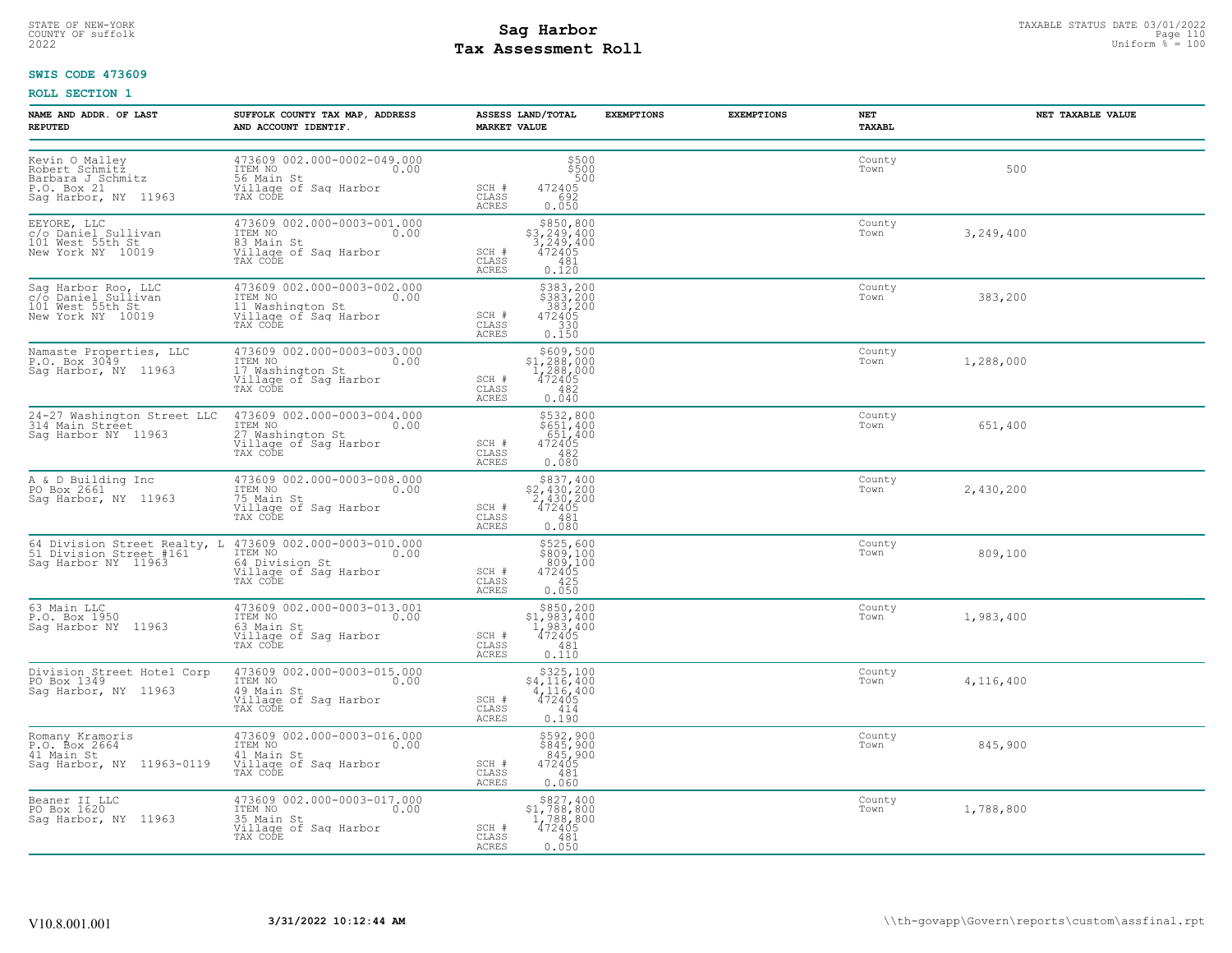# **Tax Assessment Roll Existed Strategies of the Contract Strategies** of  $\frac{100}{2022}$

### **SWIS CODE 473609**

| NAME AND ADDR. OF LAST<br><b>REPUTED</b>                                                                                    | SUFFOLK COUNTY TAX MAP, ADDRESS<br>AND ACCOUNT IDENTIF.                                                                                                                                         | ASSESS LAND/TOTAL<br><b>MARKET VALUE</b>                                                                                                                             | <b>EXEMPTIONS</b><br><b>EXEMPTIONS</b> | NET<br>TAXABL  | NET TAXABLE VALUE |
|-----------------------------------------------------------------------------------------------------------------------------|-------------------------------------------------------------------------------------------------------------------------------------------------------------------------------------------------|----------------------------------------------------------------------------------------------------------------------------------------------------------------------|----------------------------------------|----------------|-------------------|
| Kevin O Malley<br>Robert Schmitz<br>Barbara J Schmitz<br>P.O. Box 21<br>Sag Harbor, NY 11963                                | 473609 002.000-0002-049.000<br>HISTORIS ON SURVEY ON THE NO<br>SG Main St<br>Village of Sag Harbor<br>TAX CODE                                                                                  | \$500<br>\$500<br>500<br>$SCH$ #<br>472405<br>592<br>CLASS<br>0.050<br>ACRES                                                                                         |                                        | County<br>Town | 500               |
| EEYORE, LLC<br>c/o Daniel Sullivan<br>101 West 55th St<br>New York NY 10019                                                 | 473609 002.000-0003-001.000<br>TTEM NO<br>83 Main St<br>Village of Saq Harbor<br>TAX CODE                                                                                                       | \$850,800<br>$$3, 249, 400$<br>$3, 249, 400$<br>$472405$<br>SCH #<br>CLASS<br>481<br>0.120<br>ACRES                                                                  |                                        | County<br>Town | 3,249,400         |
| Sag Harbor Roo, LLC<br>c/o Daniel Sullivan<br>101 West 55th St<br>New York NY 10019                                         | 473609 002.000-0003-002.000<br>ITEM NO<br>Ullage of Saq Harbor<br>TAX CODE<br>TAX CODE                                                                                                          | \$383,200<br>\$383,200<br>383,200<br>$SCH$ #<br>472405<br>CLASS<br>$\begin{array}{r} 330 \\ 0.150 \end{array}$<br>ACRES                                              |                                        | County<br>Town | 383,200           |
| Namaste Properties, LLC<br>P.O. Box 3049<br>Sag Harbor, NY 11963                                                            | 473609 002.000-0003-003.000<br>ITEM NO<br>17 Washington St<br>Village of Sag Harbor<br>TAX CODE                                                                                                 | $\begin{array}{r}  \  \  \, 5609,500 \\  \  \, 51,288,000 \\  \  \, 1,288,000 \\  \  \, 472405 \\  \  \, 482 \\  \  \, 0.040 \end{array}$<br>SCH #<br>CLASS<br>ACRES |                                        | County<br>Town | 1,288,000         |
|                                                                                                                             | 24-27 Washington Street LLC 473609 002.000-0003-004.000<br>314 Main Street IIC ITEM NO<br>Sag Harbor NY 11963 27 Washington St<br>Village of Sag Harbor<br>TAX CODE                             | $\begin{array}{r} \n 5532,800 \\  5651,400 \\  651,400 \\  472405 \\  482 \\  0.080\n \end{array}$<br>SCH #<br>CLASS<br>ACRES                                        |                                        | County<br>Town | 651,400           |
| A & D Building Inc<br>PO Box 2661<br>Sag Harbor, NY 11963                                                                   | 473609 002.000-0003-008.000<br>ITEM NO<br>75 Main St.<br>TEN NO.<br>75 Main St<br>Village of Saq Harbor<br>TAX CODE                                                                             | $\begin{array}{r} $837,400 \\ $2,430,200 \\ $2,430,200 \\ $472405 \\ $481 \\ $681 \end{array}$<br>SCH #<br>CLASS<br>ACRES<br>0.080                                   |                                        | County<br>Town | 2,430,200         |
|                                                                                                                             | 64 Division Street Realty, L 473609 002.000-0003-010.000<br>51 Division Street #161 ITEM NO<br>Sag Harbor NY 11963 64 Division St<br>Willage of Sag Harbor<br>Willage of Sag Harbor<br>TAX CODE | \$525,600<br>\$809,100<br>809,100<br>472405<br>$SCH$ #<br>CLASS<br>425<br>ACRES<br>0.050                                                                             |                                        | County<br>Town | 809,100           |
| 63 Main LLC<br>P.O. Box 1950<br>Sag Harbor NY 11963                                                                         | 473609 002.000-0003-013.001<br>TIEM NO<br>17EM NO<br>63 Main St<br>Village of Sag Harbor<br>TAX CODE                                                                                            | $$850, 200$<br>$$1, 983, 400$<br>$1, 983, 400$<br>$472405$<br>SCH #<br>CLASS<br>481<br>0.110<br>ACRES                                                                |                                        | County<br>Town | 1,983,400         |
| Division Street Hotel Corp<br>PO Box 1349<br>Car Harbor, NY 11963<br>Saq Harbor, NY 11963                                   | 473609 002.000-0003-015.000<br>TTEM NO<br>49 Main St<br>Willage of Sag Harbor<br>Willage of Sag Harbor<br>TAX CODE                                                                              | \$325,100<br>$$4,116,400$<br>$4,116,400$<br>SCH #<br>472405<br>CLASS<br>0.190<br>ACRES                                                                               |                                        | County<br>Town | 4,116,400         |
| Romany Kramoris<br>P.O. Box 2664<br>41 Main St 0.0<br>41 Main St 41 Main St 3ag Harbor, NY 11963-0119 Village of Sag Harbor | 473609 002.000-0003-016.000<br>ITEM NO 0.00                                                                                                                                                     | \$592,900<br>\$845,900<br>845,900<br>SCH #<br>472405<br>CLASS<br>481<br>ACRES<br>0.060                                                                               |                                        | County<br>Town | 845,900           |
| Beaner II LLC<br>PO Box 1620<br>Sag Harbor, NY 11963                                                                        | 473609 002.000-0003-017.000<br>ITEM NO<br>35 Main St<br>oo main st<br>Village of Sag Harbor<br>TAX CODE                                                                                         | $\begin{array}{r} $827,400 \\ $1,788,800 \\ $1,788,800 \\ $472405 \end{array}$<br>SCH #<br>CLASS<br>481<br>ACRES<br>0.050                                            |                                        | County<br>Town | 1,788,800         |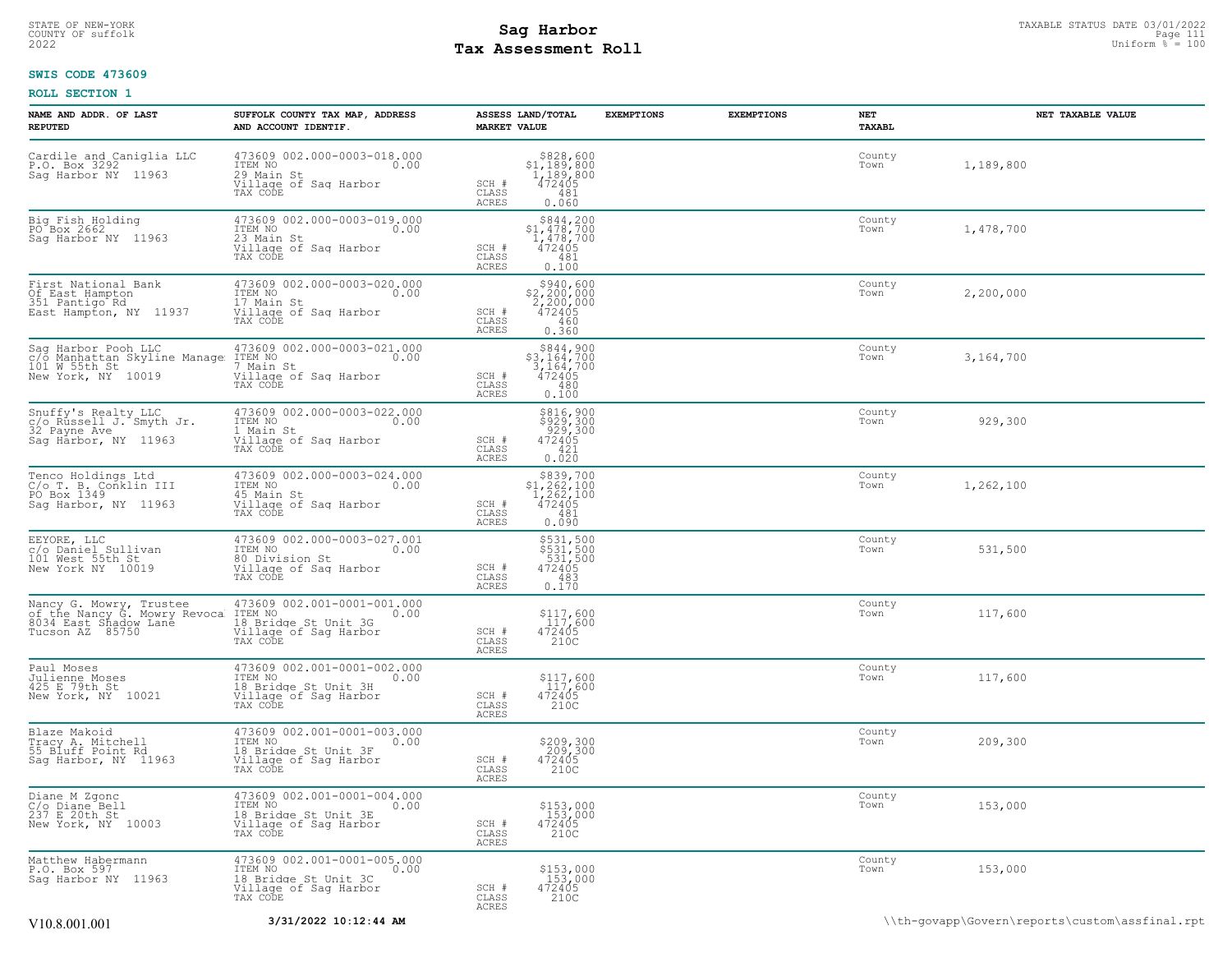# **Tax Assessment Roll Existed Strategies of the Contract Strategies** of  $\frac{100}{2022}$

### **SWIS CODE 473609**

| NAME AND ADDR. OF LAST<br><b>REPUTED</b>                                                 | SUFFOLK COUNTY TAX MAP, ADDRESS<br>AND ACCOUNT IDENTIF.                                                                                                                                        | ASSESS LAND/TOTAL<br><b>MARKET VALUE</b>                                                                                             | <b>EXEMPTIONS</b><br><b>EXEMPTIONS</b> | NET<br>TAXABL  | NET TAXABLE VALUE |
|------------------------------------------------------------------------------------------|------------------------------------------------------------------------------------------------------------------------------------------------------------------------------------------------|--------------------------------------------------------------------------------------------------------------------------------------|----------------------------------------|----------------|-------------------|
| Cardile and Caniglia LLC<br>P.O. Box 3292<br>Sag Harbor NY 11963                         | 473609 002.000-0003-018.000<br>ITEM NO<br>29 Main St<br>Willage of Sag Harbor<br>TAX CODE Of Sag Harbor<br>TAX CODE                                                                            | $\begin{array}{r} $828,600 \\ $1,189,800 \\ $1,189,800 \\ $472405 \end{array}$<br>SCH #<br>CLASS<br>481<br>ACRES<br>0.060            |                                        | County<br>Town | 1,189,800         |
| Big Fish Holding<br>PO Box 2662<br>Sag Harbor NY 11963                                   | 473609 002.000-0003-019.000<br>TTEM NO<br>23 Main St<br>Willage of Sag Harbor<br>Willage of Sag Harbor<br>TAX CODE                                                                             | $\begin{array}{c} $844,200 \\ $1,478,700 \\ $1,478,700 \\ $472405 \end{array}$<br>SCH #<br>CLASS<br>481<br>0.100<br>ACRES            |                                        | County<br>Town | 1,478,700         |
| First National Bank<br>Of East Hampton<br>351 Pantigo Rd 11007<br>East Hampton, NY 11937 | 473609 002.000-0003-020.000<br>TTEM NO<br>17 Main St<br>Willage of Sag Harbor<br>Willage of Sag Harbor<br>TAX CODE TAX                                                                         | \$940,600<br>$\begin{array}{r} 27,200,000 \\ 2,200,000 \\ 472405 \\ -460 \end{array}$<br>SCH #<br>CLASS<br>0.360<br>ACRES            |                                        | County<br>Town | 2,200,000         |
|                                                                                          | Sag Harbor Pooh LLC 473609 002.000-0003-021.000<br>c/o Manhattan Skyline Manage ITEM NO<br>101 W 55th St 7 Main St<br>New York, NY 10019 Village of Sag Harbor<br>TAX CODE                     | $$844,900$<br>$$3,164,700$<br>$3,164,700$<br>$472405$<br>SCH #<br>CLASS<br>480<br>ACRES<br>0.100                                     |                                        | County<br>Town | 3,164,700         |
| Snuffy's Realty LLC<br>c/o Russell J. Smyth Jr.<br>32 Payne Ave<br>Sag Harbor, NY 11963  | 473609 002.000-0003-022.000<br>ITEM NO<br>1 Main St<br>Village of Saq Harbor<br>TAX CODE                                                                                                       | \$816,900<br>\$929,300<br>929,300<br>472405<br>SCH #<br>CLASS<br>421<br>ACRES<br>0.020                                               |                                        | County<br>Town | 929,300           |
| Tenco Holdings Ltd<br>C/o T. B. Conklin III<br>PO Box 1349<br>Sag Harbor, NY 11963       | 473609 002.000-0003-024.000<br>TEM NO<br>45 Main St<br>45 Main St<br>Village of Sag Harbor<br>TAX CODE                                                                                         | $$839,700$<br>$$1,262,100$<br>$1,262,100$<br>$472405$<br>$SCH$ #<br>CLASS<br>$\begin{array}{c} 1.7661 \\ 0.090 \end{array}$<br>ACRES |                                        | County<br>Town | 1,262,100         |
| EEYORE, LLC<br>C/o Daniel Sullivan<br>101 West 55th St<br>New York NY 10019              | 473609 002.000-0003-027.001<br>ITEM NO<br>80 Division St<br>Village of Sag Harbor<br>TAX CODE                                                                                                  | \$531,500<br>\$531,500<br>531,500<br>472405<br>$SCH$ #<br>$-483$<br>CLASS<br>0.170<br>ACRES                                          |                                        | County<br>Town | 531,500           |
|                                                                                          | Nancy G. Mowry, Trustee 473609 002.001-0001-001.000<br>of the Nancy G. Mowry Revoca ITEM NO<br>8034 East Shadow Lane 18 Bridge St Unit 3G<br>Tucson AZ 85750 Village of Saq Harbor<br>TAX CODE | \$117,600<br>117,600<br>472405<br>SCH #<br>CLASS<br>210C<br>ACRES                                                                    |                                        | County<br>Town | 117,600           |
| Paul Moses<br>Julienne Moses<br>425 E 79th St<br>New York, NY 10021                      | 473609 002.001-0001-002.000<br>ITEM NO<br>18 Bridge St Unit 3H<br>Village of Sag Harbor<br>TAX CODE                                                                                            | \$117,600<br>117,600<br>472405<br>SCH #<br>CLASS<br>210C<br>ACRES                                                                    |                                        | County<br>Town | 117,600           |
| Blaze Makoid<br>Tracy A. Mitchell<br>55 Bluff Point Rd<br>Sag Harbor, NY 11963           | 473609 002.001-0001-003.000<br>1TEM NO<br>18 Bridge St Unit 3F<br>Village of Sag Harbor<br>TAX CODE                                                                                            | \$209,300<br>209,300<br>472405<br>SCH #<br>CLASS<br>210C<br>ACRES                                                                    |                                        | County<br>Town | 209,300           |
| Diane M Zgonc<br>C/o Diane Bell<br>237 E 20th St<br>New York, NY 10003                   | 473609 002.001-0001-004.000<br>ITEM NO<br>18 Bridge St Unit 3E<br>Village of Saq Harbor<br>TAX CODE                                                                                            | \$153,000<br>153,000<br>472405<br>SCH #<br>CLASS<br>210C<br>ACRES                                                                    |                                        | County<br>Town | 153,000           |
| Matthew Habermann<br>P.O. Box 597<br>Sag Harbor NY 11963                                 | 473609 002.001-0001-005.000<br>ITEM NO<br>18 Bridge St Unit 3C<br>Village of Saq Harbor<br>TAX CODE                                                                                            | \$153,000<br>153,000<br>472405<br>SCH #<br>CLASS<br>210C<br>ACRES                                                                    |                                        | County<br>Town | 153,000           |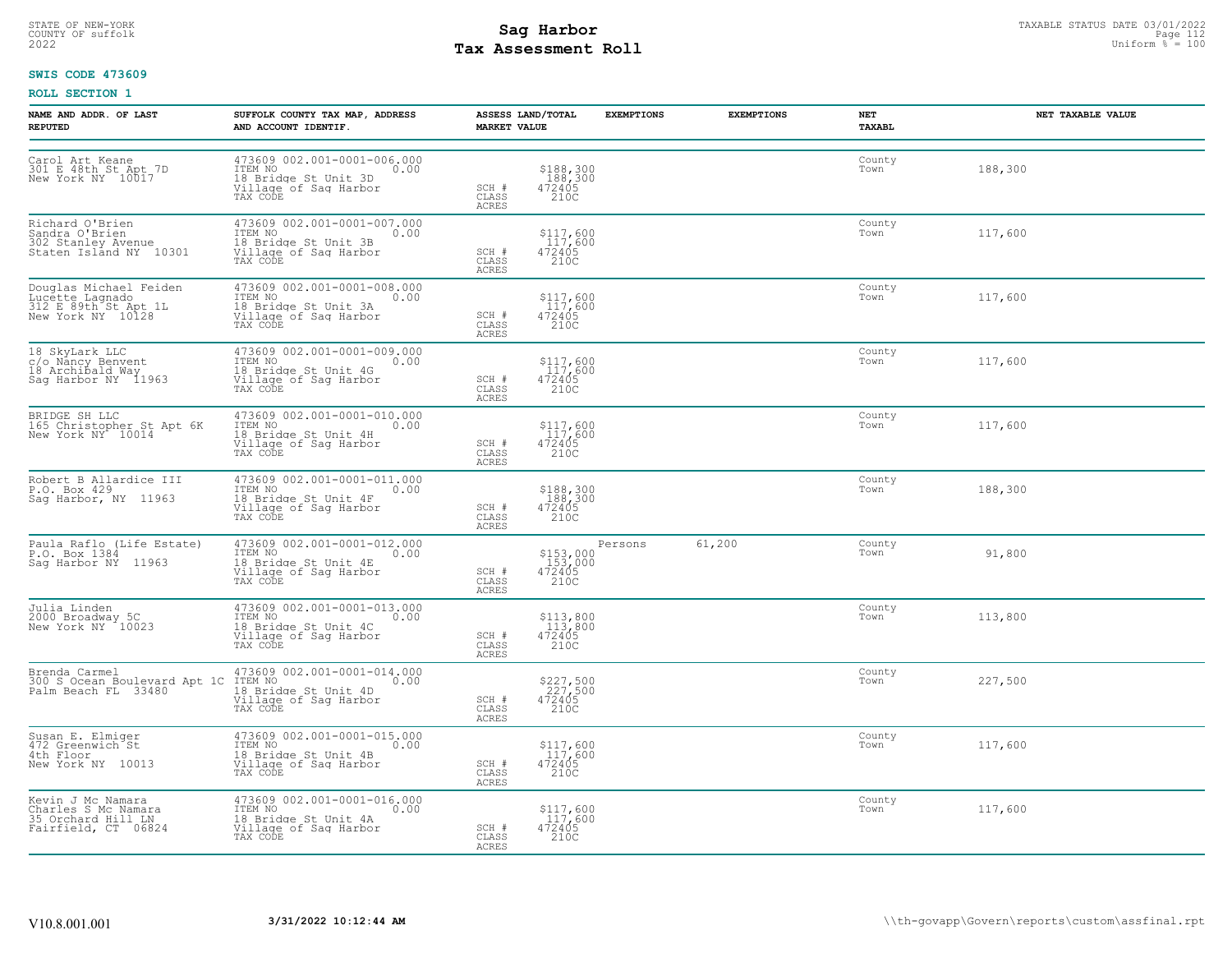## STATE OF NEW-YORK STATUS DATE 03/01/2022<br>
COUNTY OF suffolk **Sag From the Sag State Page 112**<br>
2022 Pay Assessment Roll **Tax Assessment Roll**

### **SWIS CODE 473609**

| NAME AND ADDR. OF LAST<br><b>REPUTED</b>                                               | SUFFOLK COUNTY TAX MAP, ADDRESS<br>AND ACCOUNT IDENTIF.                                                                    | <b>MARKET VALUE</b>                    | ASSESS LAND/TOTAL                                                 | <b>EXEMPTIONS</b> | <b>EXEMPTIONS</b> | NET<br>TAXABL  | NET TAXABLE VALUE |
|----------------------------------------------------------------------------------------|----------------------------------------------------------------------------------------------------------------------------|----------------------------------------|-------------------------------------------------------------------|-------------------|-------------------|----------------|-------------------|
| Carol Art Keane<br>301 E 48th St Apt 7D<br>New York NY 10017                           | 473609 002.001-0001-006.000<br>ITEM NO<br>0.00<br>18 Bridge St Unit 3D<br>Village of Sag Harbor<br>TAX CODE                | SCH #<br>CLASS<br><b>ACRES</b>         | \$188,300<br>188,300<br>472405<br>210C                            |                   |                   | County<br>Town | 188,300           |
| Richard O'Brien<br>Sandra O'Brien<br>302 Stanley Avenue<br>Staten Island NY 10301      | 473609 002.001-0001-007.000<br>ITEM NO ISLAMICAL COOP<br>0.00<br>18 Bridge St Unit 3B<br>Village of Sag Harbor<br>TAX CODE | SCH #<br>$\mathtt{CLASS}$<br>ACRES     | $\begin{array}{c} $117,600\\ 117,600\\ 472405\\ 210C \end{array}$ |                   |                   | County<br>Town | 117,600           |
| Douglas Michael Feiden<br>Lucette Lagnado<br>312 E 89th St Apt 1L<br>New York NY 10128 | 473609 002.001-0001-008.000<br>TTEM NO 0.00<br>18 Bridge St Unit 3A<br>Village of Sag Harbor<br>TAX CODE                   | SCH #<br>CLASS<br><b>ACRES</b>         | $\begin{array}{c} $117,600\\ 117,600\\ 472405\\ 2100 \end{array}$ |                   |                   | County<br>Town | 117,600           |
| 18 SkyLark LLC<br>c/o Nancy Benvent<br>18 Archibald Way<br>Sag Harbor NY 11963         | 473609 002.001-0001-009.000<br>ITEM NO<br>0.00<br>18 Bridge St Unit 4G<br>Village of Sag Harbor<br>TAX CODE                | SCH #<br>CLASS<br>ACRES                | \$117,600<br>117,600<br>472405<br>210C                            |                   |                   | County<br>Town | 117,600           |
| BRIDGE SH LLC<br>165 Christopher St Apt 6K<br>New York NY 10014                        | 473609 002.001-0001-010.000<br>ITEM NO<br>0.00<br>18 Bridge St Unit 4H<br>Village of Sag Harbor<br>TAX CODE                | SCH #<br>CLASS<br>ACRES                | \$117,600<br>117,600<br>472405<br>210C                            |                   |                   | County<br>Town | 117,600           |
| Robert B Allardice III<br>P.O. Box 429<br>Sag Harbor, NY 11963                         | 473609 002.001-0001-011.000<br>ITEM NO<br>0.00<br>18 Bridge St Unit 4F<br>Village of Saq Harbor<br>TAX CODE                | SCH #<br>CLASS<br>ACRES                | \$188,300<br>188,300<br>472405<br>210C                            |                   |                   | County<br>Town | 188,300           |
| Paula Raflo (Life Estate)<br>P.O. Box 1384<br>Saq Harbor NY 11963                      | 473609 002.001-0001-012.000<br>ITEM NO<br>0.00<br>18 Bridge St Unit 4E<br>Village of Sag Harbor<br>TAX CODE                | SCH #<br>CLASS<br>ACRES                | \$153,000<br>153,000<br>472405<br>210C                            | Persons           | 61,200            | County<br>Town | 91,800            |
| Julia Linden<br>2000 Broadway 5C<br>New York NY 10023                                  | 473609 002.001-0001-013.000<br>ITEM NO 0.00<br>18 Bridge St Unit 4C<br>Village of Sag Harbor<br>TAX CODE                   | SCH #<br>CLASS<br><b>ACRES</b>         | $\begin{array}{c} $113,800\\ 113,800\\ 472405\\ 2100 \end{array}$ |                   |                   | County<br>Town | 113,800           |
| Brenda Carmel<br>300 S Ocean Boulevard Apt 1C<br>Palm Beach FL 33480                   | 473609 002.001-0001-014.000<br>ITEM NO<br>0.00<br>18 Bridge St Unit 4D<br>Village of Sag Harbor<br>TAX CODE                | SCH #<br>CLASS<br><b>ACRES</b>         | \$227,500<br>227,500<br>472405<br>210C                            |                   |                   | County<br>Town | 227,500           |
| Susan E. Elmiger<br>472 Greenwich St<br>4th Floor<br>New York NY 10013                 | 473609 002.001-0001-015.000<br>ITEM NO 0.00<br>18 Bridge St Unit 4B<br>Village of Saq Harbor<br>TAX CODE                   | SCH #<br>CLASS<br>ACRES                | $\begin{array}{c} $117,600\\ 117,600\\ 472405\\ 2100 \end{array}$ |                   |                   | County<br>Town | 117,600           |
| Kevin J Mc Namara<br>Charles S Mc Namara<br>35 Orchard Hill LN<br>Fairfield, CT 06824  | 473609 002.001-0001-016.000<br>0.00<br>18 Bridge St Unit 4A<br>Village of Saq Harbor<br>TAX CODE                           | $SCH$ $#$<br>$\mathtt{CLASS}$<br>ACRES | \$117,600<br>117,600<br>472405<br>210C                            |                   |                   | County<br>Town | 117,600           |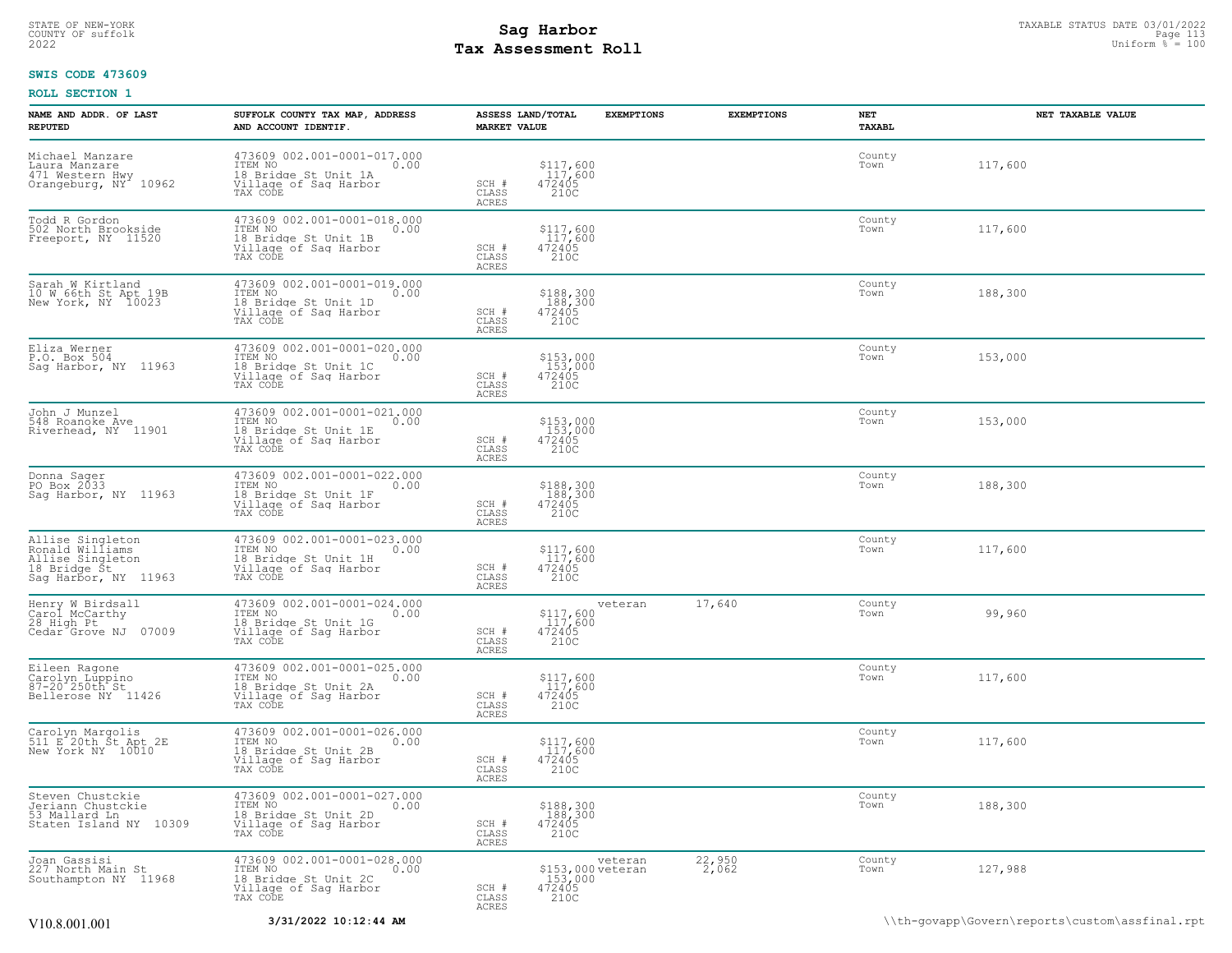## STATE OF NEW-YORK STATUS DATE 03/01/2022<br>
COUNTY OF suffolk **Sag From the Sag State Page 113**<br>
2022 Pay Assessment Roll **Tax Assessment Roll**

### **SWIS CODE 473609**

| NAME AND ADDR. OF LAST<br><b>REPUTED</b>                                                        | SUFFOLK COUNTY TAX MAP, ADDRESS<br>AND ACCOUNT IDENTIF.                                                     | <b>MARKET VALUE</b>     | ASSESS LAND/TOTAL                                         | <b>EXEMPTIONS</b>       | <b>EXEMPTIONS</b><br>NET<br>TAXABL | NET TAXABLE VALUE                              |
|-------------------------------------------------------------------------------------------------|-------------------------------------------------------------------------------------------------------------|-------------------------|-----------------------------------------------------------|-------------------------|------------------------------------|------------------------------------------------|
| Michael Manzare<br>Laura Manzare<br>471 Western Hwy<br>Orangeburg, NY <sup>-</sup> 10962        | 473609 002.001-0001-017.000<br>ITEM NO<br>0.00<br>18 Bridge St Unit 1A<br>Village of Sag Harbor<br>TAX CODE | SCH #<br>CLASS<br>ACRES | \$117,600<br>117,600<br>472405<br>210C                    |                         | County<br>Town                     | 117,600                                        |
| Todd R Gordon<br>502 North Brookside<br>Freeport, NY 11520                                      | 473609 002.001-0001-018.000<br>ITEM NO<br>0.00<br>18 Bridge St Unit 1B<br>Village of Sag Harbor<br>TAX CODE | SCH #<br>CLASS<br>ACRES | \$117,600<br>117,600<br>472405<br>210C                    |                         | County<br>Town                     | 117,600                                        |
| Sarah W Kirtland<br>10 W 66th St Apt 19B<br>New York, NY 10023                                  | 473609 002.001-0001-019.000<br>ITEM NO<br>0.00<br>18 Bridge St Unit 1D<br>Village of Sag Harbor<br>TAX CODE | SCH #<br>CLASS<br>ACRES | \$188,300<br>188,300<br>472405<br>210C                    |                         | County<br>Town                     | 188,300                                        |
| Eliza Werner<br>P.O. Box 504<br>Sag Harbor, NY 11963                                            | 473609 002.001-0001-020.000<br>ITEM NO<br>0.00<br>18 Bridge St Unit 1C<br>Village of Saq Harbor<br>TAX CODE | SCH #<br>CLASS<br>ACRES | \$153,000<br>153,000<br>472405<br>210C                    |                         | County<br>Town                     | 153,000                                        |
| John J Munzel<br>548 Roanoke Ave<br>Riverhead, NY 11901                                         | 473609 002.001-0001-021.000<br>ITEM NO<br>0.00<br>18 Bridge St Unit 1E<br>Village of Sag Harbor<br>TAX CODE | SCH #<br>CLASS<br>ACRES | \$153,000<br>153,000<br>472405<br>210C                    |                         | County<br>Town                     | 153,000                                        |
| Donna Sager<br>PO Box 2033<br>Sag Harbor, NY 11963                                              | 473609 002.001-0001-022.000<br>ITEM NO<br>0.00<br>18 Bridge St Unit 1F<br>Village of Sag Harbor<br>TAX CODE | SCH #<br>CLASS<br>ACRES | \$188,300<br>188,300<br>472405<br>210C                    |                         | County<br>Town                     | 188,300                                        |
| Allise Singleton<br>Ronald Williams<br>Allise Singleton<br>18 Bridge St<br>Sag Harbor, NY 11963 | 473609 002.001-0001-023.000<br>ITEM NO<br>0.00<br>18 Bridge St Unit 1H<br>Village of Sag Harbor<br>TAX CODE | SCH #<br>CLASS<br>ACRES | \$117,600<br>$117,600$<br>472405<br>210C                  |                         | County<br>Town                     | 117,600                                        |
| Henry W Birdsall<br>Carol McCarthy<br>28 High Pt<br>Cedar Grove NJ<br>07009                     | 473609 002.001-0001-024.000<br>ITEM NO<br>0.00<br>18 Bridge St Unit 1G<br>Village of Sag Harbor<br>TAX CODE | SCH #<br>CLASS<br>ACRES | veteran<br>$$117,600$<br>$117,600$<br>$472405$<br>210C    | 17,640                  | County<br>Town                     | 99,960                                         |
| Eileen Ragone<br>Carolyn Luppino<br>87-20 250th St<br>Bellerose NY 11426                        | 473609 002.001-0001-025.000<br>ITEM NO<br>0.00<br>18 Bridge St Unit 2A<br>Village of Sag Harbor<br>TAX CODE | SCH #<br>CLASS<br>ACRES | \$117,600<br>117,600<br>472405<br>210C                    |                         | County<br>Town                     | 117,600                                        |
| Carolyn Margolis<br>511 E 20th St Apt 2E<br>New York NY 10010                                   | 473609 002.001-0001-026.000<br>ITEM NO<br>0.00<br>18 Bridge St Unit 2B<br>Village of Sag Harbor<br>TAX CODE | SCH #<br>CLASS<br>ACRES | \$117,600<br>117,600<br>472405<br>210C                    |                         | County<br>Town                     | 117,600                                        |
| Steven Chustckie<br>Jeriann Chustckie<br>53 Mallard Ln<br>Staten Island NY 10309                | 473609 002.001-0001-027.000<br>ITEM NO<br>0.00<br>18 Bridge St Unit 2D<br>Village of Sag Harbor<br>TAX CODE | SCH #<br>CLASS<br>ACRES | \$188,300<br>$\frac{188}{472405}$<br>472405<br>210C       |                         | County<br>Town                     | 188,300                                        |
| Joan Gassisi<br>227 North Main St<br>Southampton NY 11968                                       | 473609 002.001-0001-028.000<br>TTEM NO 0.00<br>18 Bridge St Unit 2C<br>Village of Saq Harbor<br>TAX CODE    | SCH #<br>CLASS<br>ACRES | veteran<br>\$153,000 veteran<br>153,000<br>472405<br>210C | $^{22}$ , 950<br>2, 062 | County<br>Town                     | 127,988                                        |
| V <sub>10.8</sub> .001.001                                                                      | 3/31/2022 10:12:44 AM                                                                                       |                         |                                                           |                         |                                    | \\th-govapp\Govern\reports\custom\assfinal.rpt |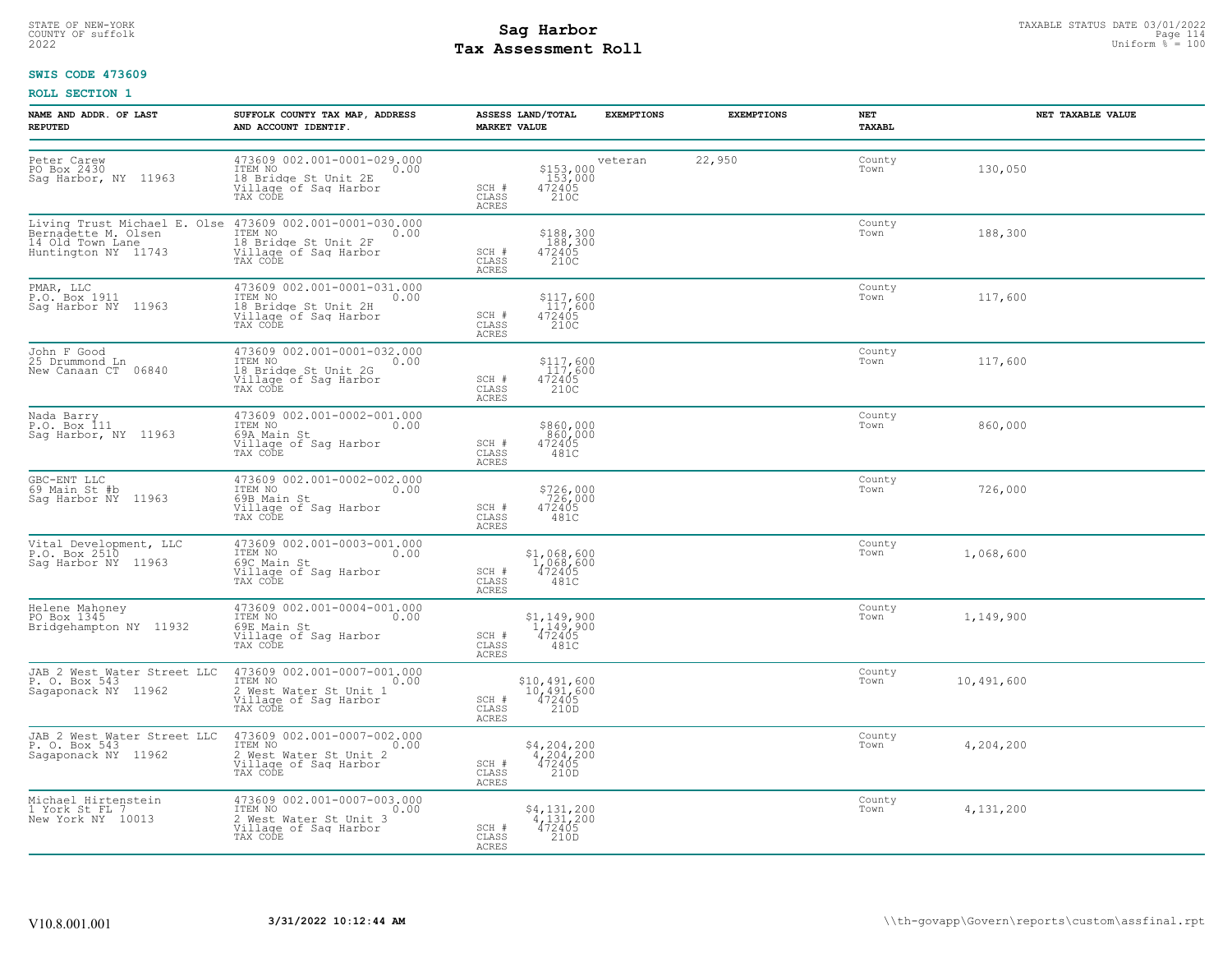## STATE OF NEW-YORK STATUS DATE 03/01/2022<br>
COUNTY OF suffolk Taxable Page 114<br>
2022 MageSone Roll Page 110 **Tax Assessment Roll**

### **SWIS CODE 473609**

| <b>NAME AND ADDR. OF LAST</b><br><b>REPUTED</b>                     | SUFFOLK COUNTY TAX MAP, ADDRESS<br>AND ACCOUNT IDENTIF.                                                                                                                       | ASSESS LAND/TOTAL<br><b>EXEMPTIONS</b><br><b>MARKET VALUE</b>                                                  | <b>EXEMPTIONS</b> | NET<br>TAXABL  | NET TAXABLE VALUE |
|---------------------------------------------------------------------|-------------------------------------------------------------------------------------------------------------------------------------------------------------------------------|----------------------------------------------------------------------------------------------------------------|-------------------|----------------|-------------------|
| Peter Carew<br>PO Box 2430<br>Sag Harbor, NY 11963                  | 473609 002.001-0001-029.000<br>ITEM NO<br>0.00<br>18 Bridge St Unit 2E<br>Village of Sag Harbor<br>TAX CODE                                                                   | veteran<br>$\begin{array}{c} $153,000\\ 153,000\\ 472405\\ 210C \end{array}$<br>SCH #<br>CLASS<br><b>ACRES</b> | 22,950            | County<br>Town | 130,050           |
| Huntington NY 11743                                                 | Living Trust Michael E. Olse 473609 002.001-0001-030.000<br>Bernadette M. Olsen ITEM NO 0.00<br>14 Old Town Lane<br>18 Bridge St Unit 2F<br>Village of Sag Harbor<br>TAX CODE | \$188,300<br>188,300<br>472405<br>210C<br>SCH #<br>CLASS<br><b>ACRES</b>                                       |                   | County<br>Town | 188,300           |
| PMAR, LLC<br>P.O. Box 1911<br>Sag Harbor NY 11963                   | 473609 002.001-0001-031.000<br>ITEM NO 0.00<br>18 Bridge St Unit 2H<br>Village of Sag Harbor<br>TAX CODE                                                                      | \$117,600<br>$472405$<br>$472405$<br>$210C$<br>SCH #<br>CLASS<br><b>ACRES</b>                                  |                   | County<br>Town | 117,600           |
| John F Good<br>25 Drummond Ln<br>New Canaan CT 06840                | 473609 002.001-0001-032.000<br>ITEM NO 0.00<br>18 Bridge St Unit 2G<br>Village of Sag Harbor<br>TAX CODE                                                                      | \$117,600<br>117,600<br>472405<br>210C<br>SCH #<br>CLASS<br><b>ACRES</b>                                       |                   | County<br>Town | 117,600           |
| Nada Barry<br>P.O. Box 111<br>Sag Harbor, NY 11963                  | 473609 002.001-0002-001.000<br>ITEM NO<br>0.00<br>69A Main St<br>Village of Sag Harbor<br>TAX CODE                                                                            | \$860,000<br>860,000<br>472405<br>481C<br>SCH #<br>CLASS<br>ACRES                                              |                   | County<br>Town | 860,000           |
| GBC-ENT LLC<br>69 Main St #b<br>Saq Harbor NY 11963                 | 473609 002.001-0002-002.000<br>ITEM NO<br>0.00<br>69B Main St<br>Village of Sag Harbor<br>TAX CODE                                                                            | \$726,000<br>726,000<br>472405<br>481C<br>SCH #<br>CLASS<br>ACRES                                              |                   | County<br>Town | 726,000           |
| Vital Development, LLC<br>P.O. Box 2510<br>Saq Harbor NY 11963      | 473609 002.001-0003-001.000<br>ITEM NO<br>0.00<br>69C Main St<br>Village of Sag Harbor<br>TAX CODE                                                                            | $$1,068,600$<br>$1,068,600$<br>$472405$<br>SCH #<br>CLASS<br>481C<br><b>ACRES</b>                              |                   | County<br>Town | 1,068,600         |
| Helene Mahoney<br>PO Box 1345<br>Bridgehampton NY 11932             | 473609 002.001-0004-001.000<br>ITEM NO<br>0.00<br>69E Main St<br>Village of Sag Harbor<br>TAX CODE                                                                            | $$1,149,900$<br>$1,149,900$<br>$472405$<br>$481C$<br>SCH #<br>CLASS<br><b>ACRES</b>                            |                   | County<br>Town | 1,149,900         |
| JAB 2 West Water Street LLC<br>P. O. Box 543<br>Sagaponack NY 11962 | 473609 002.001-0007-001.000<br>ITEM NO<br>0.00<br>2 West Water St Unit 1<br>Village of Sag Harbor<br>TAX CODE                                                                 | \$10,491,600<br>$\frac{10,491,600}{472405}$<br>SCH #<br>210D<br>CLASS<br><b>ACRES</b>                          |                   | County<br>Town | 10,491,600        |
| JAB 2 West Water Street LLC<br>P. O. Box 543<br>Sagaponack NY 11962 | 473609 002.001-0007-002.000<br>TTEM NO 0.00<br>The Note of St Unit 2<br>2 West Water St Unit 2<br>Village of Sag Harbor<br>TAX CODE                                           | $\begin{array}{c} $4,204,200 \\ 4,204,200 \\ 472405 \end{array}$<br>SCH #<br>CLASS<br>210D<br><b>ACRES</b>     |                   | County<br>Town | 4,204,200         |
| Michael Hirtenstein<br>1 York St FL 7<br>New York NY 10013          | 473609 002.001-0007-003.000<br>10.00 0.00<br>2 West Water St Unit 3<br>Village of Saq Harbor                                                                                  | $\begin{array}{c} $4,131,200 \\ 4,131,200 \\ 472405 \end{array}$<br>SCH #<br>CLASS<br>210D<br>ACRES            |                   | County<br>Town | 4,131,200         |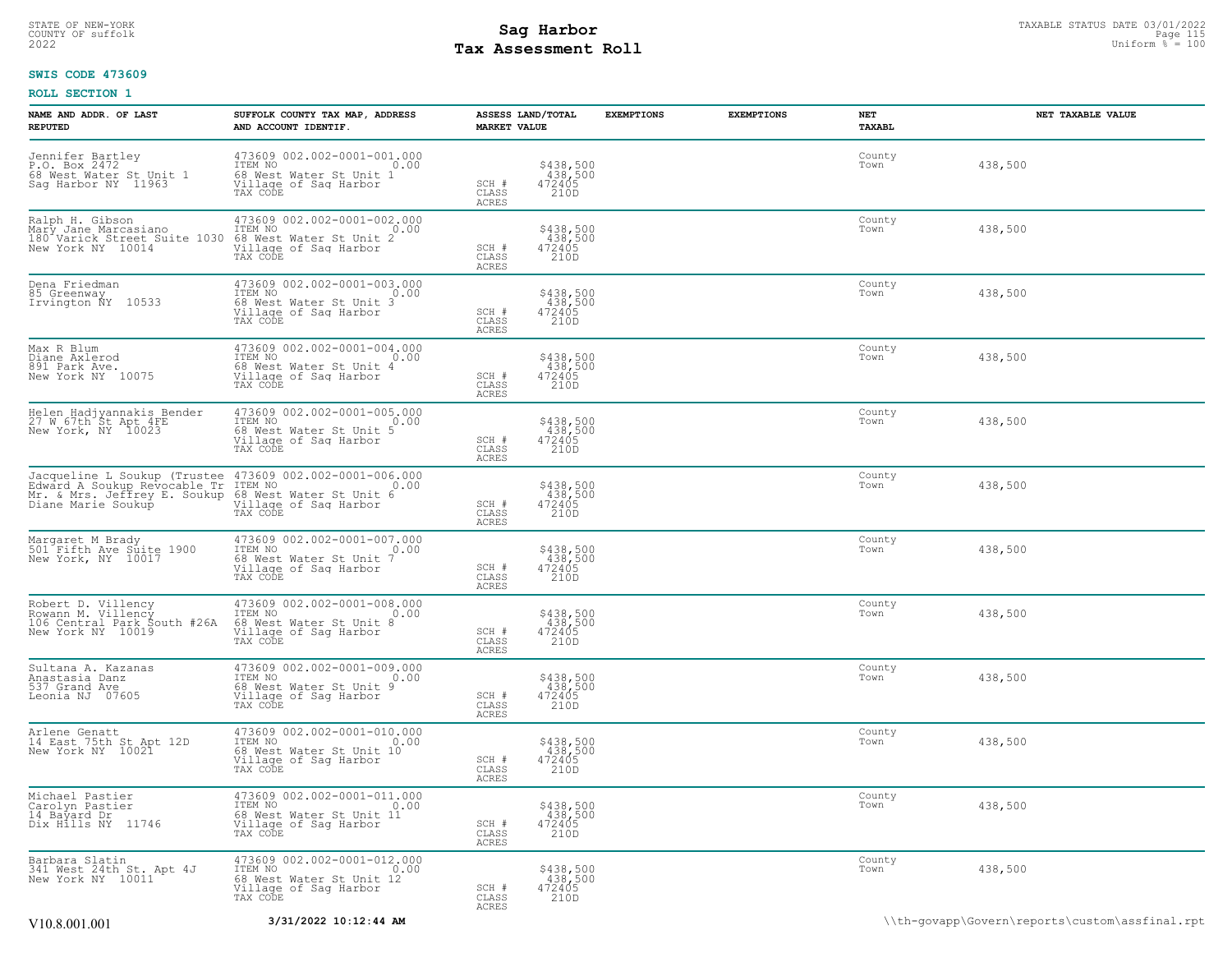## STATE OF NEW-YORK STATUS DATE 03/01/2022<br>
COUNTY OF suffolk **Sag From State Page 115**<br>
2022 Pay Assessment Roll **Tax Assessment Roll**

### **SWIS CODE 473609**

| NAME AND ADDR. OF LAST<br><b>REPUTED</b>                                                                                                                                                                 | SUFFOLK COUNTY TAX MAP, ADDRESS<br>AND ACCOUNT IDENTIF.                                                                           | <b>MARKET VALUE</b>                | ASSESS LAND/TOTAL                      | <b>EXEMPTIONS</b> | <b>EXEMPTIONS</b> | <b>NET</b><br>TAXABL | NET TAXABLE VALUE |
|----------------------------------------------------------------------------------------------------------------------------------------------------------------------------------------------------------|-----------------------------------------------------------------------------------------------------------------------------------|------------------------------------|----------------------------------------|-------------------|-------------------|----------------------|-------------------|
| Jennifer Bartley<br>P.O. Box 2472<br>68 West Water St Unit 1<br>Sag Harbor NY 11963                                                                                                                      | 473609 002.002-0001-001.000<br>ITEM NO 0.00<br>68 West Water St Unit 1<br>Village of Saq Harbor<br>TAX CODE                       | SCH #<br>CLASS<br><b>ACRES</b>     | \$438,500<br>438,500<br>472405<br>210D |                   |                   | County<br>Town       | 438,500           |
| Ralph H. Gibson (173609 002.002-0001-002.000 Mary Jane Marcasiano (17EM NO 180 Varick Street Suite 1030 68 West Water St Unit 2                                                                          |                                                                                                                                   | SCH #<br>$\mathtt{CLASS}$<br>ACRES | \$438,500<br>438,500<br>472405<br>210D |                   |                   | County<br>Town       | 438,500           |
| Dena Friedman<br>85 Greenway<br>Irvington NY 10533                                                                                                                                                       | 473609 002.002-0001-003.000<br>TTEM NO 0.00<br>68 West Water St Unit 3<br>Village of Sag Harbor<br>TAX CODE                       | SCH #<br>$\mathtt{CLASS}$<br>ACRES | \$438,500<br>438,500<br>472405<br>210D |                   |                   | County<br>Town       | 438,500           |
| Max R Blum<br>Diane Axlerod<br>891 Park Ave.<br>New York NY 10075                                                                                                                                        | 473609 002.002-0001-004.000<br>TTEM NO 0.00<br>68 West Water St Unit 4<br>Village of Sag Harbor<br>TAX CODE                       | SCH #<br>CLASS<br><b>ACRES</b>     | \$438,500<br>438,500<br>472405<br>210D |                   |                   | County<br>Town       | 438,500           |
| Helen Hadjyannakis Bender<br>27 W 67th St Apt 4FE<br>New York, NY 10023                                                                                                                                  | 473609 002.002-0001-005.000<br>TTEM NO 0.00<br>1<br>68 West Water St Unit 5<br>Village of Sag Harbor<br>TAX CODE                  | SCH #<br>CLASS<br><b>ACRES</b>     | \$438,500<br>438,500<br>472405<br>210D |                   |                   | County<br>Town       | 438,500           |
| Jacqueline L Soukup (Trustee 473609 002.002-0001-006.000<br>Edward A Soukup Revocable Tr ITEM NO 100<br>Mr. & Mrs. Jeffrey E. Soukup 68 West Water St Unit 6<br>Diane Marie Soukup Willage of Sag Harbor | TAX CODE                                                                                                                          | SCH #<br>CLASS<br><b>ACRES</b>     | \$438,500<br>438,500<br>472405<br>210D |                   |                   | County<br>Town       | 438,500           |
| Margaret M Brady<br>501 Fifth Ave Suite 1900<br>New York, NY 10017                                                                                                                                       | 473609 002.002-0001-007.000<br>ITEM NO<br>68 West Water St Unit 7<br>Village of Saq Harbor<br>TAX CODE                            | SCH #<br>CLASS<br><b>ACRES</b>     | \$438,500<br>438,500<br>472405<br>210D |                   |                   | County<br>Town       | 438,500           |
| Robert D. Villency<br>Rowann M. Villency<br>106 Central Park South #26A<br>New York NY 10019                                                                                                             | 473609 002.002-0001-008.000<br>ITEM NO<br>68 West Water St Unit 8<br>68 West Water St Unit 8<br>Village of Saq Harbor<br>TAX CODE | SCH #<br>CLASS<br>ACRES            | \$438,500<br>438,500<br>472405<br>210D |                   |                   | County<br>Town       | 438,500           |
| Sultana A. Kazanas<br>Anastasia Danz<br>537 Grand Ave<br>Leonia NJ 07605                                                                                                                                 | 473609 002.002-0001-009.000<br>ITEM NO<br>60 West Water St Unit 9<br>60 West Water St Unit 9<br>Village of Sag Harbor<br>TAX CODE | SCH #<br>CLASS<br><b>ACRES</b>     | \$438,500<br>438,500<br>472405<br>210D |                   |                   | County<br>Town       | 438,500           |
| Arlene Genatt<br>14 East 75th St Apt 12D<br>New York NY 10021                                                                                                                                            | 473609 002.002-0001-010.000<br>TIEM NO<br>17EM NO<br>68 West Water St Unit 10<br>Village of Sag Harbor<br>TAX CODE                | SCH #<br>CLASS<br>ACRES            | \$438,500<br>438,500<br>472405<br>210D |                   |                   | County<br>Town       | 438,500           |
| Michael Pastier<br>Carolyn Pastier<br>14 Bayard Dr<br>Dix Hills NY 11746                                                                                                                                 | 473609 002.002-0001-011.000<br>ITEM NO<br>68 West Water St Unit 11<br>Willage of Saq Harbor<br>TAX CODE                           | SCH #<br>CLASS<br>ACRES            | \$438,500<br>438,500<br>472405<br>210D |                   |                   | County<br>Town       | 438,500           |
| Barbara Slatin<br>341 West 24th St. Apt 4J<br>New York NY 10011                                                                                                                                          | 473609 002.002-0001-012.000<br>ITEM NO<br>68 West Water St Unit 12<br>Village of Saq Harbor<br>TAX CODE                           | SCH #<br>CLASS<br>ACRES            | \$438,500<br>438,500<br>472405<br>210D |                   |                   | County<br>Town       | 438,500           |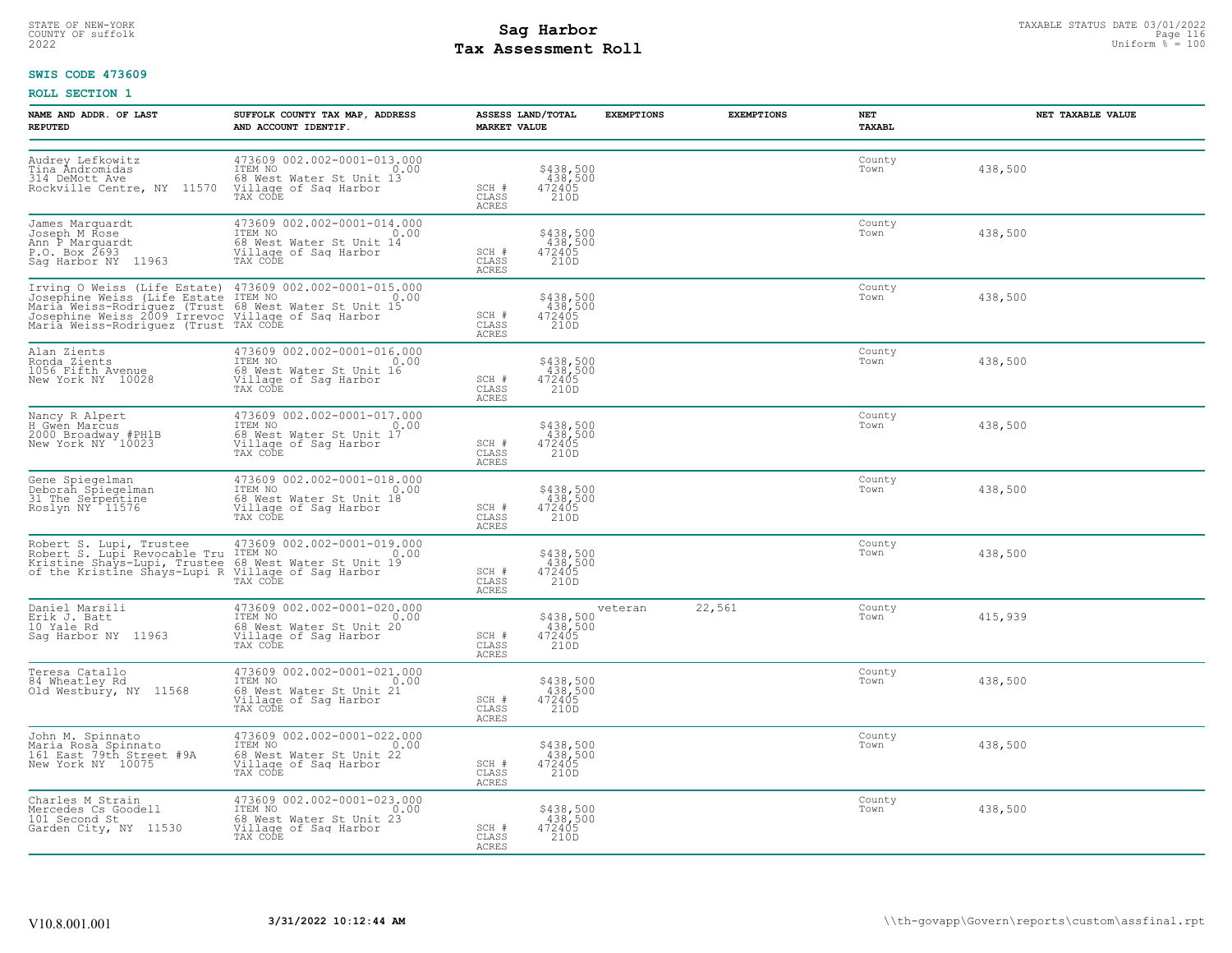## STATE OF NEW-YORK STATUS DATE 03/01/2022<br>
COUNTY OF suffolk **Sag From State of the Sage In the Sage International Page 2023**<br>
Pay Assessment Roll **Tax Assessment Roll**

### **SWIS CODE 473609**

| NAME AND ADDR. OF LAST<br><b>REPUTED</b>                                                                                                                                                                               | SUFFOLK COUNTY TAX MAP, ADDRESS<br>AND ACCOUNT IDENTIF.                                                                                                                                                                                    | <b>MARKET VALUE</b>            | ASSESS LAND/TOTAL                                                    | <b>EXEMPTIONS</b> | <b>EXEMPTIONS</b> | NET<br>TAXABL  | NET TAXABLE VALUE |
|------------------------------------------------------------------------------------------------------------------------------------------------------------------------------------------------------------------------|--------------------------------------------------------------------------------------------------------------------------------------------------------------------------------------------------------------------------------------------|--------------------------------|----------------------------------------------------------------------|-------------------|-------------------|----------------|-------------------|
| Audrey Lefkowitz<br>Tina Andromidas<br>314 DeMott Ave<br>Rockville Centre, NY 11570                                                                                                                                    | 473609 002.002-0001-013.000<br>ITEM NO<br>0.00<br>68 West Water St Unit 13<br>Village of Sag Harbor<br>TAX CODE                                                                                                                            | SCH #<br>CLASS<br><b>ACRES</b> | \$438,500<br>438,500<br>472405<br>210D                               |                   |                   | County<br>Town | 438,500           |
| James Marquardt<br>Joseph M Rose<br>Ann P Marquardt<br>P.O. Box 2693<br>Sag Harbor NY 11963                                                                                                                            | 473609 002.002-0001-014.000<br>TTEM NO<br>68 West Water St Unit 14<br>Village of Saq Harbor<br>0.00<br>TAX CODE                                                                                                                            | SCH #<br>CLASS<br>ACRES        | \$438,500<br>438,500<br>472405<br>210D                               |                   |                   | County<br>Town | 438,500           |
|                                                                                                                                                                                                                        | Irving O Weiss (Life Estate) 473609 002.002-0001-015.000<br>Josephine Weiss (Life Estate ITEM NO 0.00<br>Maria Weiss-Rodriguez (Trust 68 West Water St Unit 15<br>Josephine Weiss 2009 Irrevoc Village of Saq Harbor<br>Maria Weiss-Rodrig | SCH #<br>CLASS<br>ACRES        | \$438,500<br>438,500<br>472405<br>210D                               |                   |                   | County<br>Town | 438,500           |
| Alan Zients<br>Ronda Zients<br>1056 Fifth Avenue<br>New York NY 10028                                                                                                                                                  | 473609 002.002-0001-016.000<br>TTEM NO 0.00<br>68 West Water St Unit 16<br>Village of Sag Harbor<br>TAX CODE                                                                                                                               | SCH #<br>CLASS<br><b>ACRES</b> | $\begin{array}{r} $438,500 \\ 438,500 \\ 472405 \\ 210D \end{array}$ |                   |                   | County<br>Town | 438,500           |
| Nancy R Alpert<br>H Gwen Marcus<br>2000 Broadway #PH1B<br>New York NY 10023                                                                                                                                            | 473609 002.002-0001-017.000<br>ITEM NO<br>0.00<br>Communicated National Communication<br>Village of Sag Harbor<br>TAX CODE                                                                                                                 | SCH #<br>CLASS<br>ACRES        | \$438,500<br>438,500<br>472405<br>210D                               |                   |                   | County<br>Town | 438,500           |
| Gene Spiegelman<br>Deborah Spiegelman<br>31 The Serpentine<br>Roslyn NY 11576                                                                                                                                          | 473609 002.002-0001-018.000<br>ITEM NO 0.00<br>68 West Water St Unit 18<br>Village of Saq Harbor<br>TAX CODE                                                                                                                               | SCH #<br>CLASS<br><b>ACRES</b> | \$438,500<br>438,500<br>472405<br>210D                               |                   |                   | County<br>Town | 438,500           |
| Robert S. Lupi, Trustee 473609 002.002-0001-019.000<br>Robert S. Lupi Revocable Tru ITEM NO<br>Kristine Shays-Lupi, Trustee 68 West Water St Unit 19<br>of the Kristine Shays-Lupi R Village of Saq Harbor<br>TAX CODE |                                                                                                                                                                                                                                            | SCH #<br>CLASS<br><b>ACRES</b> | \$438,500<br>438,500<br>472405<br>210D                               |                   |                   | County<br>Town | 438,500           |
| Daniel Marsili<br>Erik J. Batt<br>10 Yale Rd<br>Sag Harbor NY 11963                                                                                                                                                    | 473609 002.002-0001-020.000<br>ITEM NO 0.00<br>68 West Water St Unit 20<br>Village of Sag Harbor<br>TAX CODE                                                                                                                               | SCH #<br>CLASS<br>ACRES        | \$438,500<br>438,500<br>472405<br>210D                               | veteran           | 22,561            | County<br>Town | 415,939           |
| Teresa Catallo<br>84 Wheatley Rd<br>Old Westbury, NY 11568                                                                                                                                                             | 473609 002.002-0001-021.000<br>ITEM NO 0.00<br>1<br>68 West Water St Unit 21<br>Village of Sag Harbor<br>TAX CODE                                                                                                                          | SCH #<br>CLASS<br>ACRES        | \$438,500<br>438,500<br>472405<br>210D                               |                   |                   | County<br>Town | 438,500           |
| John M. Spinnato<br>Maria Rosa Spinnato<br>161 East 79th Street #9A<br>New York NY 10075                                                                                                                               | 473609 002.002-0001-022.000<br>ITEM NO 0.00<br>68 West Water St Unit 22<br>Village of Saq Harbor<br>TAX CODE                                                                                                                               | SCH #<br>CLASS<br>ACRES        | \$438,500<br>438,500<br>472405<br>210D                               |                   |                   | County<br>Town | 438,500           |
| Charles M Strain<br>Mercedes Cs Goodell<br>101 Second St<br>Garden City, NY 11530                                                                                                                                      | 473609 002.002-0001-023.000<br>10.00 0.00<br>68 West Water St Unit 23<br>Village of Sag Harbor<br>TAX CODE                                                                                                                                 | SCH #<br>CLASS<br>ACRES        | \$438,500<br>438,500<br>472405<br>210D                               |                   |                   | County<br>Town | 438,500           |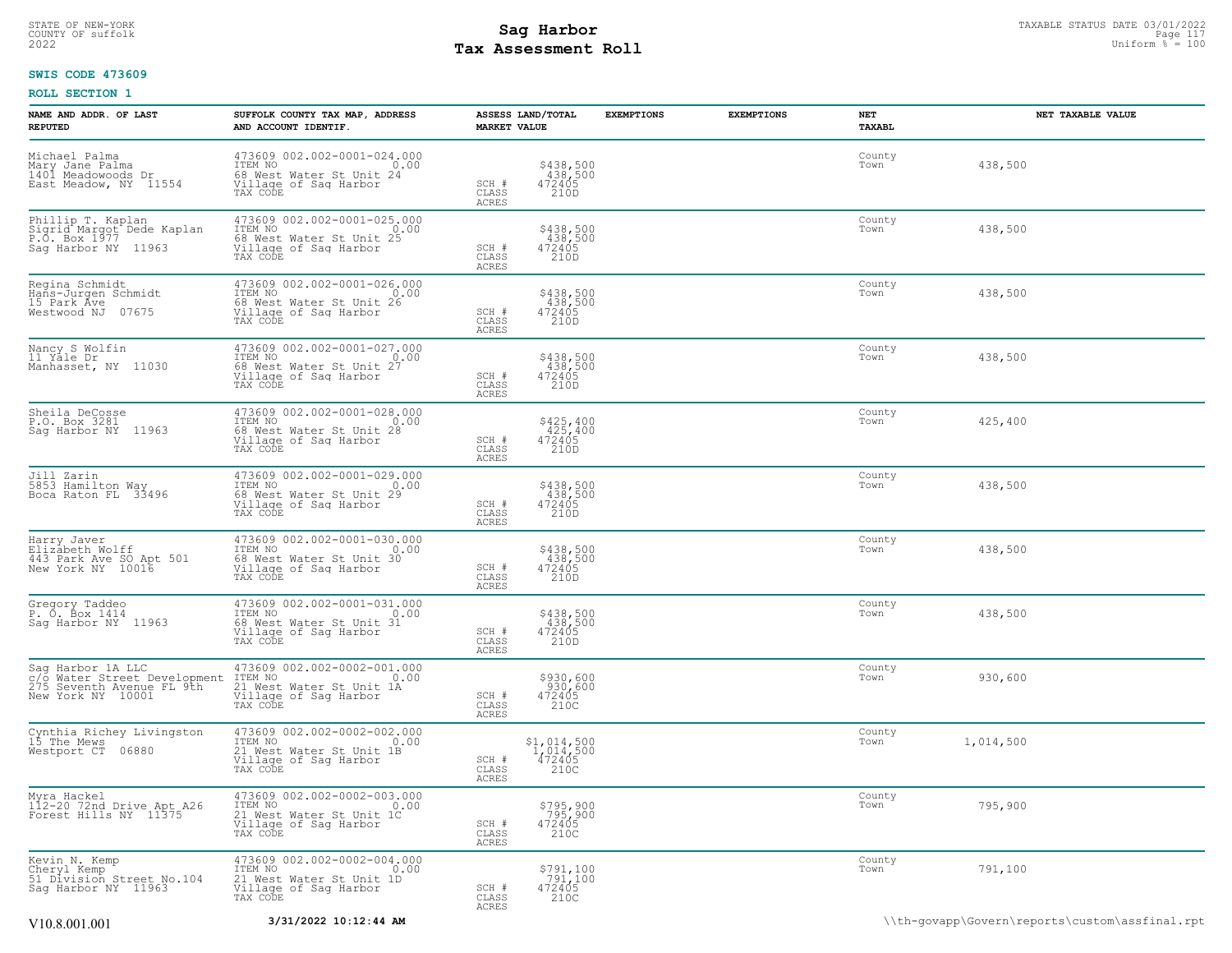## STATE OF NEW-YORK STATUS DATE 03/01/2022<br>
COUNTY OF suffolk **Sag From State Page 117**<br>
2022 Pay Assessment Roll **Tax Assessment Roll**

### **SWIS CODE 473609**

| NAME AND ADDR. OF LAST<br><b>REPUTED</b>                                                            | SUFFOLK COUNTY TAX MAP, ADDRESS<br>AND ACCOUNT IDENTIF.                                                              | ASSESS LAND/TOTAL<br><b>MARKET VALUE</b>                                              | <b>EXEMPTIONS</b> | <b>EXEMPTIONS</b> | NET<br>TAXABL  | NET TAXABLE VALUE                              |
|-----------------------------------------------------------------------------------------------------|----------------------------------------------------------------------------------------------------------------------|---------------------------------------------------------------------------------------|-------------------|-------------------|----------------|------------------------------------------------|
| Michael Palma<br>Mary Jane Palma<br>1401 Meadowoods Dr<br>East Meadow, NY 11554                     | 473609 002.002-0001-024.000<br>TTEM NO 0.00<br>0.00<br>68 West Water St Unit 24<br>Village of Sag Harbor<br>TAX CODE | \$438,500<br>438,500<br>472405<br>SCH #<br>CLASS<br>210D<br>ACRES                     |                   |                   | County<br>Town | 438,500                                        |
| Phillip T. Kaplan<br>Sigrid Margot Dede Kaplan<br>P.O. Box 1977<br>Sag Harbor NY 11963              | 473609 002.002-0001-025.000<br>ITEM NO<br>0.00<br>68 West Water St Unit 25<br>Village of Sag Harbor<br>TAX CODE      | \$438,500<br>438,500<br>472405<br>SCH #<br>210D<br>CLASS<br>ACRES                     |                   |                   | County<br>Town | 438,500                                        |
| Regina Schmidt<br>Hans-Jurgen Schmidt<br>15 Park Āve<br>07675<br>Westwood NJ                        | 473609 002.002-0001-026.000<br>ITEM NO<br>0.00<br>68 West Water St Unit 26<br>Village of Sag Harbor<br>TAX CODE      | $$438,500$<br>$438,500$<br>$472405$<br>SCH #<br>210D<br>CLASS<br><b>ACRES</b>         |                   |                   | County<br>Town | 438,500                                        |
| Nancy S Wolfin<br>11 Yale Dr<br>Manhasset, NY 11030                                                 | 473609 002.002-0001-027.000<br>ITEM NO<br>0.00<br>68 West Water St Unit 27<br>Village of Saq Harbor<br>TAX CODE      | \$438,500<br>438,500<br>472405<br>SCH #<br>CLASS<br>210D<br>ACRES                     |                   |                   | County<br>Town | 438,500                                        |
| Sheila DeCosse<br>P.O. Box 3281<br>Sag Harbor NY 11963                                              | 473609 002.002-0001-028.000<br>TTEM NO 0.00<br>0.00<br>68 West Water St Unit 28<br>Village of Saq Harbor<br>TAX CODE | $$425, 400$<br>$425, 400$<br>$472405$<br>SCH #<br>CLASS<br>210D<br>ACRES              |                   |                   | County<br>Town | 425,400                                        |
| Jill Zarin<br>5853 Hamilton Way<br>Boca Raton FL 33496                                              | 473609 002.002-0001-029.000<br>ITEM NO<br>0.00<br>68 West Water St Unit 29<br>Village of Sag Harbor<br>TAX CODE      | \$438,500<br>438,500<br>472405<br>SCH #<br>CLASS<br>210D<br>ACRES                     |                   |                   | County<br>Town | 438,500                                        |
| Harry Javer<br>Elizabeth Wolff<br>443 Park Ave SO Apt 501<br>New York NY 10016                      | 473609 002.002-0001-030.000<br>ITEM NO<br>0.00<br>68 West Water St Unit 30<br>Village of Sag Harbor<br>TAX CODE      | \$438,500<br>438,500<br>472405<br>SCH #<br>CLASS<br>210D<br>ACRES                     |                   |                   | County<br>Town | 438,500                                        |
| Gregory Taddeo<br>P. O. Box 1414<br>Sag Harbor NY 11963                                             | 473609 002.002-0001-031.000<br>ITEM NO<br>0.00<br>68 West Water St Unit 31<br>Village of Sag Harbor<br>TAX CODE      | \$438,500<br>438,500<br>472405<br>SCH #<br>CLASS<br>210D<br>ACRES                     |                   |                   | County<br>Town | 438,500                                        |
| Sag Harbor 1A LLC<br>c/o Water Street Development<br>275 Seventh Avenue FL 9th<br>New York NY 10001 | 473609 002.002-0002-001.000<br>ITEM NO<br>0.00<br>21 West Water St Unit 1A<br>Village of Sag Harbor<br>TAX CODE      | \$930,600<br>930,600<br>472405<br>SCH #<br>210C<br>CLASS<br>ACRES                     |                   |                   | County<br>Town | 930,600                                        |
| Cynthia Richey Livingston<br>15 The Mews<br>Westport CT 06880                                       | 473609 002.002-0002-002.000<br>ITEM NO<br>0.00<br>21 West Water St Unit 1B<br>Village of Sag Harbor<br>TAX CODE      | \$1,014,500<br>$\frac{1}{472405}$<br>$\frac{472405}{2100}$<br>SCH #<br>CLASS<br>ACRES |                   |                   | County<br>Town | 1,014,500                                      |
| Myra Hackel<br>112-20 72nd Drive Apt A26<br>Forest Hills NY 11375                                   | 473609 002.002-0002-003.000<br>ITEM NO<br>0.00<br>21 West Water St Unit 1C<br>Village of Sag Harbor<br>TAX CODE      | \$795,900<br>795,900<br>472405<br>SCH #<br>CLASS<br>210C<br>ACRES                     |                   |                   | County<br>Town | 795,900                                        |
| Kevin N. Kemp<br>Cheryl Kemp<br>51 Division Street No.104<br>Sag Harbor NY 11963                    | 473609 002.002-0002-004.000<br>TTEM NO 0.00<br>21 West Water St Unit 1D<br>Village of Saq Harbor<br>TAX CODE         | \$791,100<br>791,100<br>472405<br>SCH #<br>CLASS<br>210C<br>ACRES                     |                   |                   | County<br>Town | 791,100                                        |
| V10.8.001.001                                                                                       | 3/31/2022 10:12:44 AM                                                                                                |                                                                                       |                   |                   |                | \\th-govapp\Govern\reports\custom\assfinal.rpt |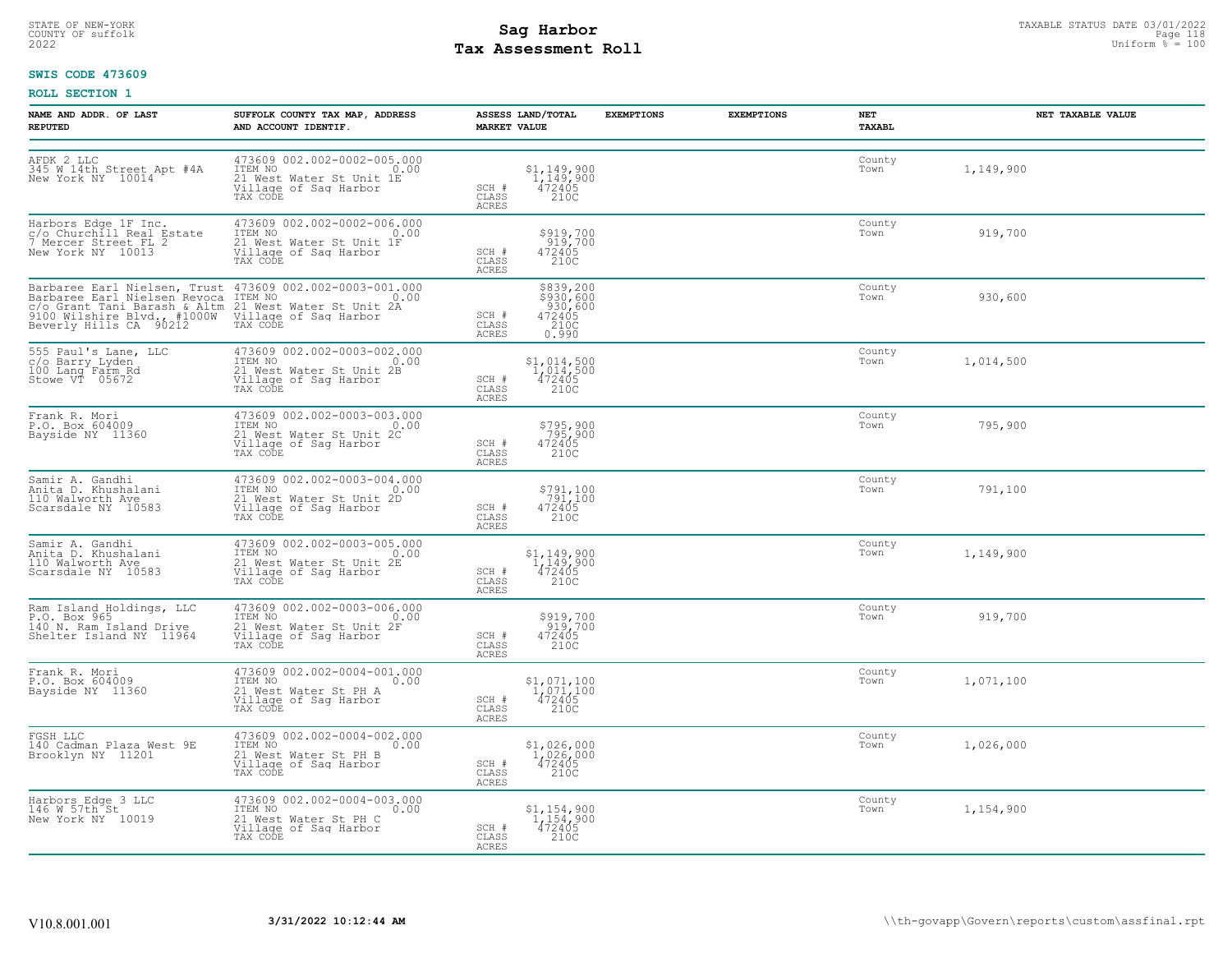## STATE OF NEW-YORK STATUS DATE 03/01/2022<br>
COUNTY OF suffolk **Sag From State Page 118**<br>
2022 Pay Assessment Roll **Tax Assessment Roll**

### **SWIS CODE 473609**

| NAME AND ADDR. OF LAST<br><b>REPUTED</b>                                                       | SUFFOLK COUNTY TAX MAP, ADDRESS<br>AND ACCOUNT IDENTIF.                                                                                                                                                                                    | ASSESS LAND/TOTAL<br><b>MARKET VALUE</b>                                                                                     | <b>EXEMPTIONS</b> | <b>EXEMPTIONS</b> | NET<br><b>TAXABL</b> | NET TAXABLE VALUE |
|------------------------------------------------------------------------------------------------|--------------------------------------------------------------------------------------------------------------------------------------------------------------------------------------------------------------------------------------------|------------------------------------------------------------------------------------------------------------------------------|-------------------|-------------------|----------------------|-------------------|
| AFDK 2 LLC<br>345 W 14th Street Apt #4A<br>New York NY 10014                                   | 473609 002.002-0002-005.000<br>ITEM NO<br>$\sim$ 0.00<br>21 West Water St Unit 1E<br>Village of Sag Harbor<br>TAX CODE                                                                                                                     | $$^{1}_{1}$ , 149, 900<br>$1$ , 149, 900<br>472405<br>SCH #<br>CLASS<br>210C<br><b>ACRES</b>                                 |                   |                   | County<br>Town       | 1,149,900         |
| Harbors Edge 1F Inc.<br>c/o Churchill Real Estate<br>7 Mercer Street FL 2<br>New York NY 10013 | 473609 002.002-0002-006.000<br>TEM NO<br>21 West Water St Unit 1F<br>21 West Water St Unit 1F<br>Village of Saq Harbor<br>TAX CODE                                                                                                         | \$919,700<br>919,700<br>472405<br>210C<br>SCH #<br>CLASS<br>ACRES                                                            |                   |                   | County<br>Town       | 919,700           |
|                                                                                                | Barbaree Earl Nielsen, Trust 473609 002.002-0003-001.000<br>Barbaree Earl Nielsen Revoca ITEM NO<br>CO Grant Tani Barash & Altm 21 West Water St Unit 2A<br>9000 Wilshire Blvd. #1000W Village of Saq Harbor<br>Beverly Hills CA 90212 TAX | \$839,200<br>\$930,600<br>930,600<br>SCH #<br>472405<br>210C<br>CLASS<br>ACRES<br>0.990                                      |                   |                   | County<br>Town       | 930,600           |
| 555 Paul's Lane, LLC<br>c/o Barry Lyden<br>100 Lang Farm Rd<br>Stowe VT 05672                  | 473609 002.002-0003-002.000<br>1TEM NO 0.00<br>21 West Water St Unit 2B<br>Village of Sag Harbor<br>Willage of Sag Harbor<br>TAX CODE                                                                                                      | $\begin{array}{r} $1,014,500 \\[-4pt] 1,014,500 \\[-4pt] 472405 \\[-4pt] 2100 \end{array}$<br>SCH #<br>CLASS<br><b>ACRES</b> |                   |                   | County<br>Town       | 1,014,500         |
| Frank R. Mori<br>P.O. Box 604009<br>Bayside NY 11360                                           | 473609 002.002-0003-003.000<br>ITEM NO<br>21 West Water St Unit 2C<br>Village of Sag Harbor<br>TAX CODE                                                                                                                                    | \$795,900<br>795,900<br>472405<br>SCH #<br>CLASS<br>210C<br>ACRES                                                            |                   |                   | County<br>Town       | 795,900           |
| Samir A. Gandhi<br>Anita D. Khushalani<br>110 Walworth Ave<br>Scarsdale NY 10583               | 473609 002.002-0003-004.000<br>TTEM NO 0.00<br>21 West Water St Unit 2D<br>Village of Saq Harbor<br>TAX CODE                                                                                                                               | \$791,100<br>791,100<br>472405<br>SCH #<br>CLASS<br>210C<br>ACRES                                                            |                   |                   | County<br>Town       | 791,100           |
| Samir A. Gandhi<br>Anita D. Khushalani<br>110 Walworth Ave<br>Scarsdale NY 10583               | 473609 002.002-0003-005.000<br>ITEM NO 0.00<br>21 West Water St Unit 2E<br>Village of Saq Harbor<br>TAX CODE                                                                                                                               | \$1,149,900<br>1,149,900<br>472405<br>210C<br>SCH #<br>CLASS<br><b>ACRES</b>                                                 |                   |                   | County<br>Town       | 1,149,900         |
| Ram Island Holdings, LLC<br>P.O. Box 965<br>140 N. Ram Island Drive<br>Shelter Island NY 11964 | 473609 002.002-0003-006.000<br>ITEM NO 0.00<br>21 West Water St Unit 2F<br>Village of Sag Harbor<br>TAX CODE                                                                                                                               | \$919,700<br>919,700<br>472405<br>$SCH$ #<br>210C<br>CLASS<br>ACRES                                                          |                   |                   | County<br>Town       | 919,700           |
| Frank R. Mori<br>P.O. Box 604009<br>Bayside NY 11360                                           | 473609 002.002-0004-001.000<br>ITEM NO 0.00<br>21 West Water St PH A<br>Village of Sag Harbor<br>TAX CODE                                                                                                                                  | $\substack{\$1,071,100\\1,071,100\\472405\\2100}$<br>SCH #<br>CLASS<br><b>ACRES</b>                                          |                   |                   | County<br>Town       | 1,071,100         |
| FGSH LLC<br>140 Cadman Plaza West 9E<br>Brooklyn NY 11201                                      | 473609 002.002-0004-002.000<br>ITEM NO<br>0.00<br>21 West Water St PH B<br>Village of Sag Harbor<br>TAX CODE                                                                                                                               | \$1,026,000<br>$1,026,000$<br>472405<br>SCH #<br>CLASS<br>210C<br><b>ACRES</b>                                               |                   |                   | County<br>Town       | 1,026,000         |
| Harbors Edge 3 LLC<br>146 W 57th St<br>New York NY 10019                                       | 473609 002.002-0004-003.000<br>TTEM NO 0.00<br>21 West Water St PH C<br>Village of Sag Harbor<br>TAX CODE                                                                                                                                  | $$1,154,900$<br>$1,154,900$<br>$472405$<br>SCH #<br>CLASS<br>210C<br>ACRES                                                   |                   |                   | County<br>Town       | 1,154,900         |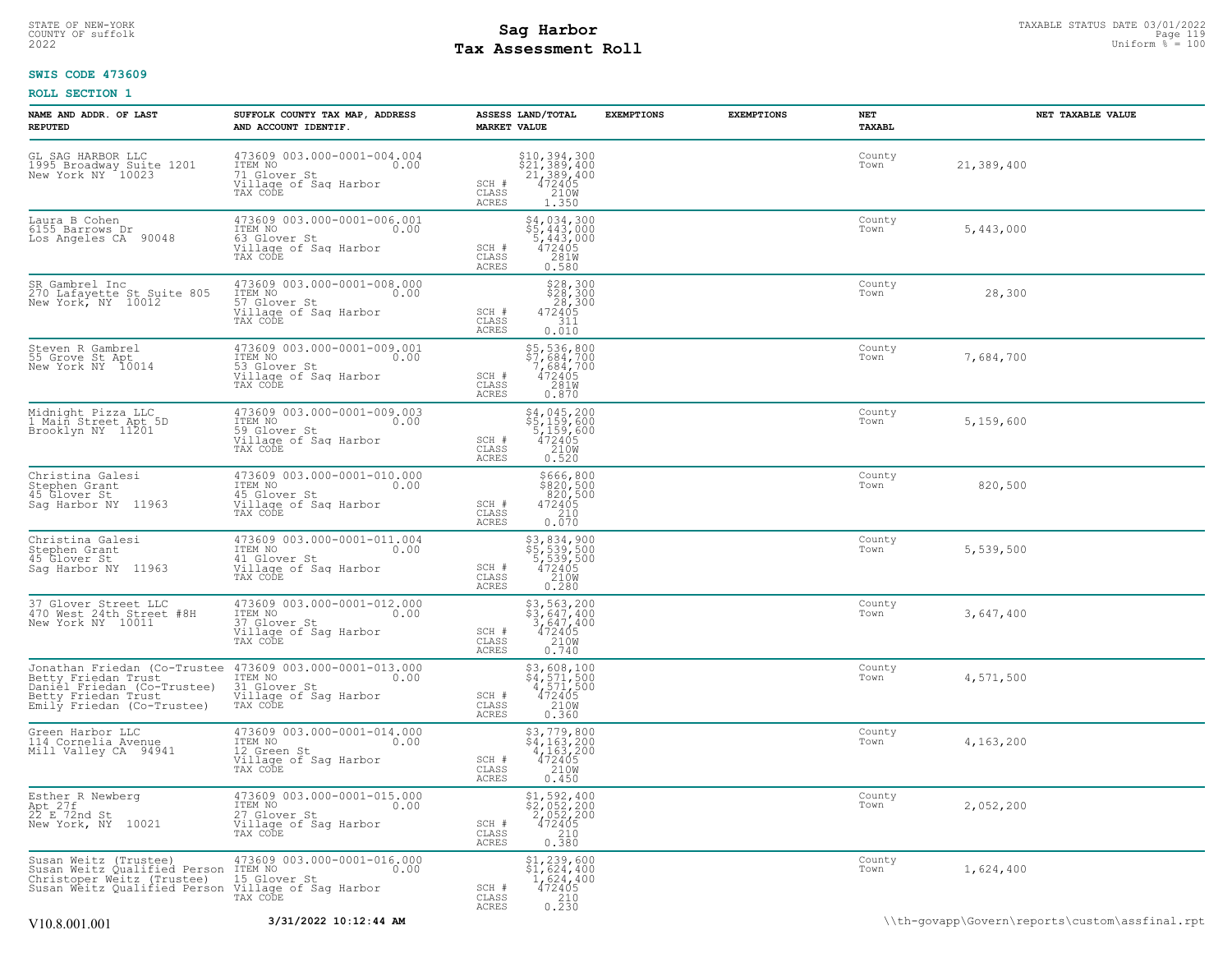## STATE OF NEW-YORK STATUS DATE 03/01/2022<br>
COUNTY OF suffolk **Sag From State of the Sage of the Sage 119** and the sage of the sage of the sage of the sage of the sage of the sage of the sage of the sage of the sage of the s **Tax Assessment Roll**

### **SWIS CODE 473609**

| NAME AND ADDR. OF LAST<br><b>REPUTED</b>                                                                                                                                                               | SUFFOLK COUNTY TAX MAP, ADDRESS<br>AND ACCOUNT IDENTIF.                                                   | ASSESS LAND/TOTAL<br><b>MARKET VALUE</b>                                                                                                                                                     | <b>EXEMPTIONS</b> | <b>EXEMPTIONS</b> | NET<br>TAXABL  | NET TAXABLE VALUE |
|--------------------------------------------------------------------------------------------------------------------------------------------------------------------------------------------------------|-----------------------------------------------------------------------------------------------------------|----------------------------------------------------------------------------------------------------------------------------------------------------------------------------------------------|-------------------|-------------------|----------------|-------------------|
| GL SAG HARBOR LLC<br>1995 Broadway Suite 1201<br>New York NY 10023                                                                                                                                     | 473609 003.000-0001-004.004<br>ITEM NO 0.00<br>71 Glover St<br>Village of Saq Harbor<br>TAX CODE          | \$10,394,300<br>\$21,389,400<br>21,389,400<br>472405<br>210M<br>SCH #<br>CLASS<br>ACRES<br>1.350                                                                                             |                   |                   | County<br>Town | 21,389,400        |
| Laura B Cohen<br>6155 Barrows Dr<br>Los Angeles CA 90048                                                                                                                                               | 473609 003.000-0001-006.001<br>ITEM NO<br>63 Glover St 0.00<br>Willage of Sag Harbor<br>TAX CODE          | $$4,034,300$<br>$$5,443,000$<br>$$72405$<br>$$281W$<br>SCH #<br>CLASS<br><b>ACRES</b><br>0.580                                                                                               |                   |                   | County<br>Town | 5,443,000         |
| SR Gambrel Inc<br>270 Lafayette St Suite 805<br>New York, NY 10012                                                                                                                                     | 473609 003.000-0001-008.000<br>ITEM NO<br>57 Glover St<br>Willage of Sag Harbor<br>TAX CODE               | $$28,300$<br>$$28,300$<br>$28,300$<br>$472405$<br>$311$<br>$\texttt{SCH} \ \texttt{\#} \\ \texttt{CLASS}$<br>0.010<br>ACRES                                                                  |                   |                   | County<br>Town | 28,300            |
| Steven R Gambrel<br>55 Grove St Apt<br>New York NY 10014                                                                                                                                               | 473609 003.000-0001-009.001<br>ITEM NO 0.00<br>Tim<br>53 Glover St<br>Village of Sag Harbor<br>TAX CODE   | \$5,536,800<br>\$7,684,700<br>7,684,700<br>472405<br>281M<br>SCH #<br>CLASS<br>ACRES<br>0.870                                                                                                |                   |                   | County<br>Town | 7,684,700         |
| Midnight Pizza LLC<br>1 Main Street Apt 5D<br>Brooklyn NY 11201                                                                                                                                        | 473609 003.000-0001-009.003<br>ITEM NO 0.00<br>Timin<br>59 Glover St<br>Village of Saq Harbor<br>TAX CODE | \$4,045,200<br>\$5,159,600<br>5,159,600<br>472405<br>2108<br>SCH #<br>CLASS<br>ACRES<br>0.520                                                                                                |                   |                   | County<br>Town | 5,159,600         |
| Christina Galesi<br>Stephen Grant<br>45 Glover St<br>Saq Harbor NY 11963                                                                                                                               | 473609 003.000-0001-010.000<br>ITEM NO 0.00<br>15 Glover St<br>Village of Sag Harbor<br>TAX CODE          | \$666,800<br>\$820,500<br>820,500<br>472405<br>SCH #<br>$\begin{array}{c} 210 \\ 0.070 \end{array}$<br>CLASS<br>ACRES                                                                        |                   |                   | County<br>Town | 820,500           |
| Christina Galesi<br>Stephen Grant<br>45 Glover St<br>Sag Harbor NY 11963                                                                                                                               | 473609 003.000-0001-011.004<br>ITEM NO 0.00<br>41 Glover St<br>Village of Sag Harbor<br>TAX CODE          | \$3,834,900<br>\$5,539,500<br>5,539,500<br>472405<br>210M<br>SCH #<br>CLASS<br>0.280<br>ACRES                                                                                                |                   |                   | County<br>Town | 5,539,500         |
| 37 Glover Street LLC<br>470 West 24th Street #8H<br>New York NY 10011                                                                                                                                  | 473609 003.000-0001-012.000<br>ITEM NO 0.00<br>37 Glover St<br>Village of Sag Harbor<br>TAX CODE          | $\begin{array}{r} 53,563,200 \\ 53,647,400 \\ 3,647,400 \\ 472405 \\ 210W \\ 0.740 \end{array}$<br>SCH #<br>CLASS<br>ACRES                                                                   |                   |                   | County<br>Town | 3,647,400         |
| Jonathan Friedan (Co-Trustee 473609 003.000-0001-013.000<br>Betty Friedan Trust<br>Daniel Friedan (Co-Trustee)<br>Betty Friedan Trust<br>Emily Friedan (Co-Trustee)                                    | ITEM NO<br>31 Glover St<br>0.00<br>Village of Sag Harbor<br>TAX CODE                                      | $$3,608,100$<br>$$4,571,500$<br>$4,571,500$<br>$472405$<br>$$210W$<br>SCH #<br>CLASS<br>ACRES<br>0.360                                                                                       |                   |                   | County<br>Town | 4,571,500         |
| Green Harbor LLC<br>114 Cornelia Avenue<br>Mill Valley CA 94941                                                                                                                                        | 473609 003.000-0001-014.000<br>ITEM NO<br>12 Green St<br>12 Green St<br>Village of Sag Harbor<br>TAX CODE | $\begin{array}{r} 53,779,800 \\ 4,163,200 \\ 4,163,200 \\ 472405 \\ 2108 \end{array}$<br>SCH #<br>CLASS<br><b>ACRES</b><br>0.450                                                             |                   |                   | County<br>Town | 4,163,200         |
| Esther R Newberg<br>Apt 27f<br>22 E 72nd St<br>New York, NY 10021                                                                                                                                      | 473609 003.000-0001-015.000<br>TTEM NO 0.00<br>27 Glover St<br>Village of Saq Harbor<br>TAX CODE          | $\begin{array}{r} \texttt{\$1,\$92,\$400}\\ \texttt{\$2,052,200}\\ 2,052,200\\ 472405\\ 210\\ 0.380 \end{array}$<br>SCH #<br>CLASS<br><b>ACRES</b>                                           |                   |                   | County<br>Town | 2,052,200         |
| Susan Weitz (Trustee) 473609 003.000-0001-016.000<br>Susan Weitz Qualified Person ITEM NO<br>Christoper Weitz (Trustee) 15 Glover St<br>Susan Weitz Qualified Person Village of Saq Harbor<br>TAX CODE |                                                                                                           | $\begin{array}{r} \texttt{\$1,239,600} \\ \texttt{\$1,624,400} \\ \texttt{1,624,400} \\ \texttt{472405} \\ \texttt{210} \\ \texttt{0.230} \end{array}$<br>SCH #<br>$\mathtt{CLASS}$<br>ACRES |                   |                   | County<br>Town | 1,624,400         |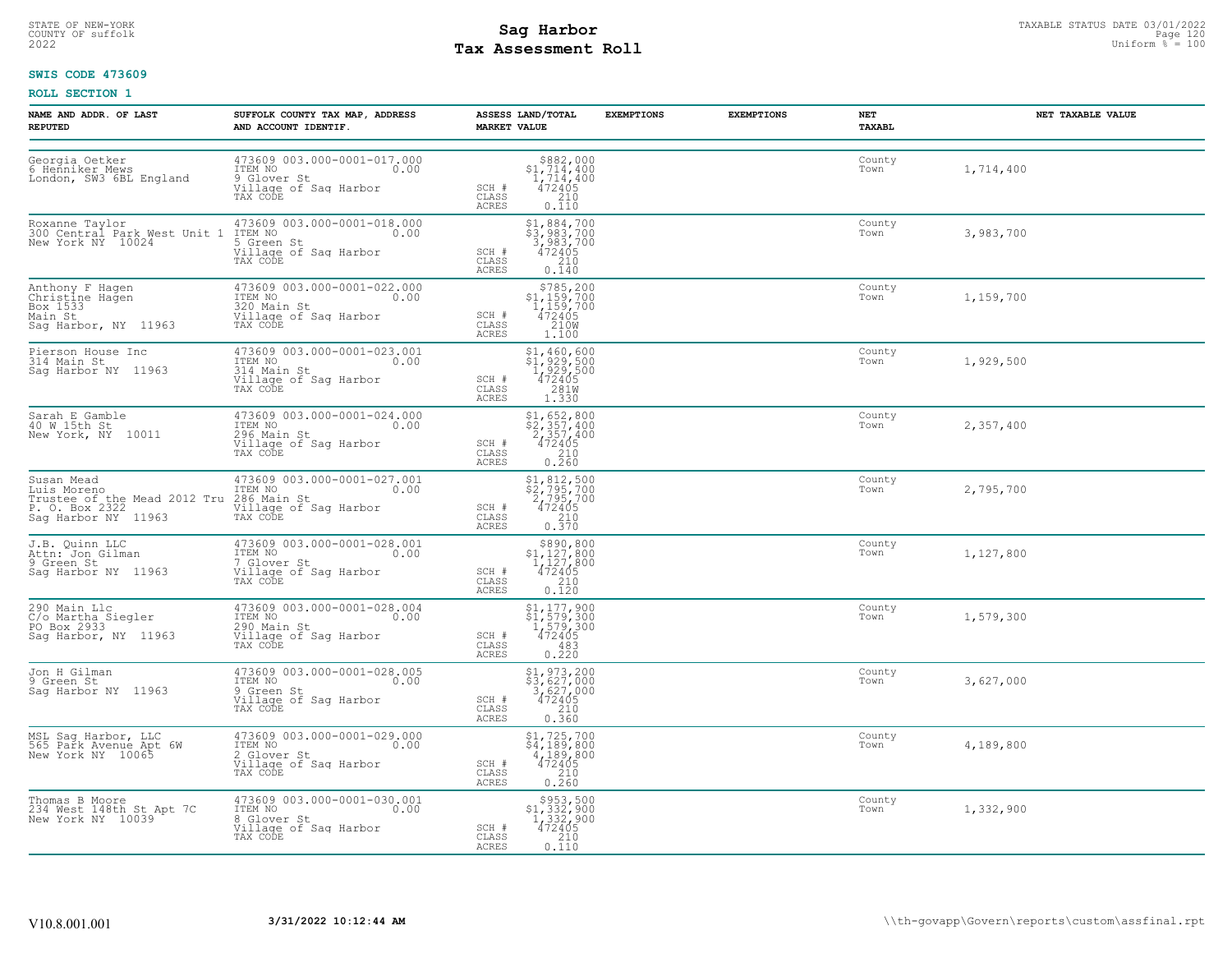## STATE OF NEW-YORK STATUS DATE 03/01/2022<br>
COUNTY OF suffolk **Sag From the Sag State Page 120**<br>
2022 Pay Assessment Roll **Tax Assessment Roll**

### **SWIS CODE 473609**

| NAME AND ADDR. OF LAST<br><b>REPUTED</b>                                                                                                                                                     | SUFFOLK COUNTY TAX MAP, ADDRESS<br>AND ACCOUNT IDENTIF.                                                                                                                          | ASSESS LAND/TOTAL<br><b>EXEMPTIONS</b><br><b>MARKET VALUE</b>                                                                                                  | <b>EXEMPTIONS</b><br>NET<br>TAXABL | NET TAXABLE VALUE   |  |
|----------------------------------------------------------------------------------------------------------------------------------------------------------------------------------------------|----------------------------------------------------------------------------------------------------------------------------------------------------------------------------------|----------------------------------------------------------------------------------------------------------------------------------------------------------------|------------------------------------|---------------------|--|
| Georgia Oetker<br>6 Henniker Mews<br>London, SW3 6BL England                                                                                                                                 | 473609 003.000-0001-017.000<br>ITEM NO 0.00<br>9 Glover St<br>Village of Sag Harbor<br>TAX CODE                                                                                  | $\begin{array}{r} $882,000\\ $1,714,400\\ 1,714,400\\ 472405 \end{array}$<br>SCH #<br>210<br>CLASS<br>ACRES<br>0.110                                           | Town                               | County<br>1,714,400 |  |
| New York NY 10024                                                                                                                                                                            | Roxanne Taylor<br>300 Central Park West Unit 1 ITEM NO 003.000-0001-018.000<br>5 Crean St 0.00<br>473609 003.000-0001-018.000<br>5 Green St<br>Village of Sag Harbor<br>TAX CODE | \$1,884,700<br>\$3,983,700<br>3,983,700<br>472405<br>SCH #<br>CLASS<br>210<br>ACRES<br>0.140                                                                   | County<br>Town                     | 3,983,700           |  |
| Anthony F Hagen<br>Christine Hagen<br>Box 1533<br>Main St<br>Sag Harbor, NY 11963                                                                                                            | 473609 003.000-0001-022.000<br>ITEM NO<br>320 Main St<br>Village of Saq Harbor<br>TAX CODE                                                                                       | $\substack{\$785,200\\\$1,159,700\\\$1,159,700\\\$472405$<br>SCH #<br>CLASS<br>210W<br>ACRES<br>1,100                                                          | County<br>Town                     | 1,159,700           |  |
| Pierson House Inc<br>314 Main St<br>Saq Harbor NY 11963                                                                                                                                      | 473609 003.000-0001-023.001<br>ITEM NO 0.00<br>314 Main St<br>Village of Sag Harbor<br>TAX CODE                                                                                  | $\begin{array}{r} \texttt{\$1,460,600} \\ \texttt{\$1,929,500} \\ 1,929,500 \\ 472405 \\ 281 \text{W} \\ 1.330 \end{array}$<br>SCH #<br>CLASS<br>ACRES         | Town                               | County<br>1,929,500 |  |
| Sarah E Gamble<br>40 W 15th St<br>New York, NY 10011                                                                                                                                         | 473609 003.000-0001-024.000<br>ITEM NO 0.00<br>296 Main St<br>Village of Sag Harbor<br>TAX CODE                                                                                  | $\begin{array}{r} \texttt{\$1,\$652,\$800}\\ \texttt{\$2,\$57,\$400}\\ 2,357,400\\ 472405\\ 210\\ 0.260 \end{array}$<br>SCH #<br>CLASS<br>ACRES                | Town                               | County<br>2,357,400 |  |
| Susan Mead<br>Luis Moreno<br>Thus the Line Mead 2012 Tru 286 Main St<br>Trustee of the Mead 2012 Tru 286 Main St<br>P. O. Box 2322 Tan Willage of Sag Harbor<br>Sag Harbor NY 11963 TAX CODE | 473609 003.000-0001-027.001<br>ITEM NO 0.00                                                                                                                                      | $\begin{array}{r} 51,812,500 \\ 52,795,700 \\ 2,795,700 \\ 472405 \\ 210 \\ 0.370 \end{array}$<br>SCH #<br>CLASS<br>ACRES                                      | County<br>Town                     | 2,795,700           |  |
| J.B. Quinn LLC<br>Attn: Jon Gilman<br>9 Green St<br>Saq Harbor NY 11963                                                                                                                      | 473609 003.000-0001-028.001<br>ITEM NO 0.00<br>7 Glover St<br>Village of Saq Harbor<br>TAX CODE                                                                                  | $\begin{array}{c} $890, 800 \\ $1, 127, 800 \\ $1, 127, 800 \\ $472405 \end{array}$<br>SCH #<br>CLASS<br>$\begin{bmatrix} 210 \\ 0.120 \end{bmatrix}$<br>ACRES | Town                               | County<br>1,127,800 |  |
| 290 Main Llc<br>C/o Martha Siegler<br>PO Box 2933<br>Sag Harbor, NY 11963                                                                                                                    | 473609 003.000-0001-028.004<br>ITEM NO 0.00<br>290 Main St<br>Village of Sag Harbor<br>TAX CODE                                                                                  | $\begin{array}{l} $1,177,900 \\ $1,579,300 \\ $1,579,300 \\ $472405 \\ $483 \end{array}$<br>SCH #<br>CLASS<br>ACRES<br>0.220                                   | County<br>Town                     | 1,579,300           |  |
| Jon H Gilman<br>9 Green St<br>Saq Harbor NY 11963                                                                                                                                            | 473609 003.000-0001-028.005<br>ITEM NO 0.00<br>9.Green St<br>Village of Sag Harbor<br>TAX CODE                                                                                   | $$1, 973, 200$<br>$$3, 627, 000$<br>3,627,000<br>472405<br>SCH #<br>CLASS<br>$\frac{210}{0.360}$<br>ACRES                                                      | Town                               | County<br>3,627,000 |  |
| MSL Sag Harbor, LLC<br>565 Park Avenue Apt 6W<br>New York NY 10065                                                                                                                           | 473609 003.000-0001-029.000<br>ITEM NO 0.00<br>2 Glover St<br>Village of Sag Harbor<br>TAX CODE                                                                                  | \$1,725,700<br>\$4,189,800<br>4,189,800<br>472405<br>SCH #<br>CLASS<br>$\begin{array}{c} 210 \\ 0.260 \end{array}$<br>ACRES                                    | Town                               | County<br>4,189,800 |  |
| Thomas B Moore<br>234 West 148th St Apt 7C<br>New York NY 10039                                                                                                                              | 473609 003.000-0001-030.001<br>ITEM NO 0.00<br>8 Glover St<br>Village of Sag Harbor<br>TAX CODE                                                                                  | \$953,500<br>\$1,332,900<br>1,332,900<br>472405<br>SCH #<br>CLASS<br>0.110<br>ACRES                                                                            | County<br>Town                     | 1,332,900           |  |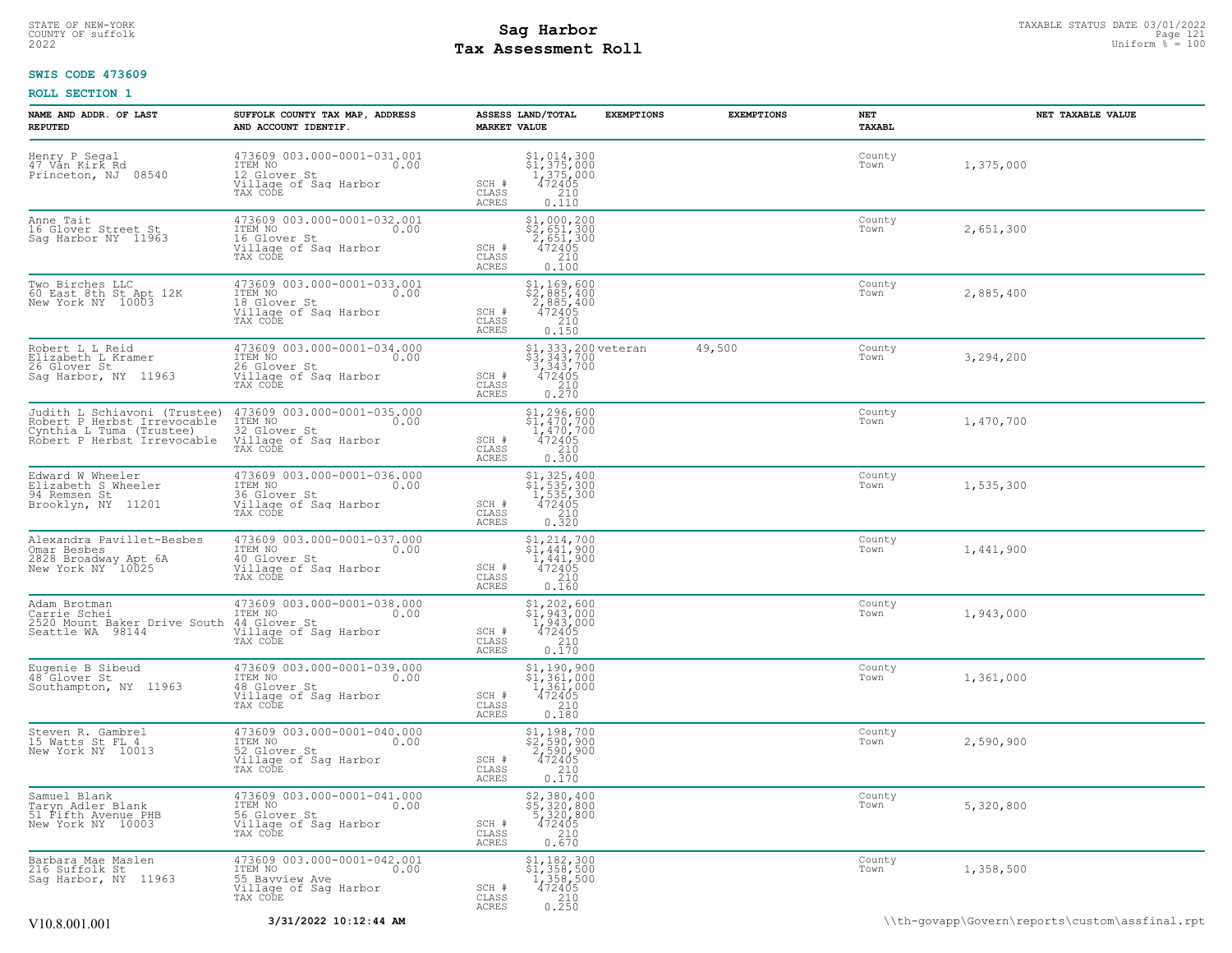## STATE OF NEW-YORK STATUS DATE 03/01/2022<br>
COUNTY OF suffolk **Sag From State of the Sage International Page 121**<br>
2022 Man Duiform % = 100 **Tax Assessment Roll**

### **SWIS CODE 473609**

| NAME AND ADDR. OF LAST<br><b>REPUTED</b>                                                                               | SUFFOLK COUNTY TAX MAP, ADDRESS<br>AND ACCOUNT IDENTIF.                                                    | <b>MARKET VALUE</b>                | ASSESS LAND/TOTAL                                                                                                                                          | <b>EXEMPTIONS</b> | <b>EXEMPTIONS</b> | NET<br>TAXABL  | NET TAXABLE VALUE |
|------------------------------------------------------------------------------------------------------------------------|------------------------------------------------------------------------------------------------------------|------------------------------------|------------------------------------------------------------------------------------------------------------------------------------------------------------|-------------------|-------------------|----------------|-------------------|
| Henry P Segal<br>47 Van Kirk Rd<br>Princeton, NJ 08540                                                                 | 473609 003.000-0001-031.001<br>ITEM NO 0.00<br>12 Glover St<br>Village of Sag Harbor<br>TAX CODE           | SCH #<br>CLASS<br>ACRES            | $$1,014,300$<br>$$1,375,000$<br>$1,375,000$<br>$472405$<br>$$210$<br>0.110                                                                                 |                   |                   | County<br>Town | 1,375,000         |
| Anne Tait<br>16 Glover Street St<br>Sag Harbor NY 11963                                                                | 473609 003.000-0001-032.001<br>ITEM NO<br>0.00<br>16 Glover St<br>Village of Sag Harbor<br>TAX CODE        | SCH #<br>CLASS<br>ACRES            | \$1,000,200<br>$\frac{5}{2}, \frac{651}{651}, \frac{300}{300}$<br>472405<br>210<br>0.100                                                                   |                   |                   | County<br>Town | 2,651,300         |
| Two Birches LLC<br>60 East 8th St Apt 12K<br>New York NY 10003                                                         | 473609 003.000-0001-033.001<br>ITEM NO<br>0.00<br>18 Glover St<br>Village of Sag Harbor<br>TAX CODE        | SCH #<br>CLASS<br>ACRES            | \$1,169,600<br>\$2,885,400<br>2,885,400<br>472405<br>210<br>0.150                                                                                          |                   |                   | County<br>Town | 2,885,400         |
| Robert L L Reid<br>Elizabeth L Kramer<br>26 Glover St<br>Sag Harbor, NY 11963                                          | 473609 003.000-0001-034.000<br>ITEM NO<br>0.00<br>26 Glover St<br>Village of Sag Harbor<br>TAX CODE        | SCH #<br>CLASS<br>ACRES            | \$1,333,200 veteran<br>\$3,343,700<br>3,343,700<br>472405<br>210<br>0.270                                                                                  |                   | 49,500            | County<br>Town | 3,294,200         |
| Judith L Schiavoni (Trustee)<br>Robert P Herbst Irrevocable<br>Cynthia L Tuma (Trustee)<br>Robert P Herbst Irrevocable | 473609 003.000-0001-035.000<br>ITEM NO<br>0.00<br>12.<br>32 Glover St<br>Village of Saq Harbor<br>TAX CODE | SCH #<br>CLASS<br>ACRES            | \$1,296,600<br>$\begin{array}{r} 472777700 \\ 1,470,700 \\ 472405 \\ 2,10 \end{array}$<br>0.300                                                            |                   |                   | County<br>Town | 1,470,700         |
| Edward W Wheeler<br>Elizabeth S Wheeler<br>94 Remsen St<br>Brooklyn, NY 11201                                          | 473609 003.000-0001-036.000<br>ITEM NO<br>0.00<br>36 Glover St<br>Village of Sag Harbor<br>TAX CODE        | SCH #<br>CLASS<br><b>ACRES</b>     | $$1, 325, 400$<br>$$1, 535, 300$<br>$1, 535, 300$<br>$472405$<br>210<br>0.320                                                                              |                   |                   | County<br>Town | 1,535,300         |
| Alexandra Pavillet-Besbes<br>Omar Besbes<br>2828 Broadway Apt 6A<br>New York NY 10025                                  | 473609 003.000-0001-037.000<br>ITEM NO<br>0.00<br>40 Glover St<br>Village of Sag Harbor<br>TAX CODE        | SCH #<br>$\mathtt{CLASS}$<br>ACRES | $\begin{array}{l} 51,214,700 \\ 51,441,900 \\ 1,441,900 \\ 472405 \\ 210 \\ 216 \end{array}$<br>0.160                                                      |                   |                   | County<br>Town | 1,441,900         |
| Adam Brotman<br>Carrie Schei<br>2520 Mount Baker Drive South<br>Seattle WA 98144                                       | 473609 003.000-0001-038.000<br>ITEM NO<br>0.00<br>44 Glover St<br>Village of Saq Harbor<br>TAX CODE        | SCH #<br>CLASS<br>ACRES            | $$1, 202, 600$<br>$$1, 943, 000$<br>$1, 943, 000$<br>$472405$<br>$$210$<br>0.170                                                                           |                   |                   | County<br>Town | 1,943,000         |
| Eugenie B Sibeud<br>48 Glover St<br>Southampton, NY 11963                                                              | 473609 003.000-0001-039.000<br>ITEM NO 0.00<br>48 Glover St<br>Village of Sag Harbor<br>TAX CODE           | SCH #<br>CLASS<br>ACRES            | $$1,190,900$<br>$$1,361,000$<br>$1,361,000$<br>$472405$<br>$\begin{array}{c} 210 \\ 0.180 \end{array}$                                                     |                   |                   | County<br>Town | 1,361,000         |
| Steven R. Gambrel<br>15 Watts St FL 4<br>New York NY 10013                                                             | 473609 003.000-0001-040.000<br>ITEM NO 0.00<br>52 Glover St<br>Village of Sag Harbor<br>TAX CODE           | SCH #<br>CLASS<br>ACRES            | \$1,198,700<br>\$2,590,900<br>2,590,900<br>472405<br>$\frac{210}{0.170}$                                                                                   |                   |                   | County<br>Town | 2,590,900         |
| Samuel Blank<br>Taryn Adler Blank<br>51 Fifth Avenue PHB<br>New York NY 10003                                          | 473609 003.000-0001-041.000<br>ITEM NO 0.00<br>0.00<br>56 Glover St<br>Village of Saq Harbor<br>TAX CODE   | SCH #<br>CLASS<br>ACRES            | $\begin{array}{r} 52,380,400 \\ 55,320,800 \\ 5,320,800 \\ 472405 \\ 210 \\ 0.670 \end{array}$                                                             |                   |                   | County<br>Town | 5,320,800         |
| Barbara Mae Maslen<br>216 Suffolk St<br>Sag Harbor, NY 11963                                                           | 473609 003.000-0001-042.001<br>ITEM NO 0.00<br>0.00<br>55 Bayview Ave<br>Village of Sag Harbor<br>TAX CODE | SCH #<br>$\mathtt{CLASS}$<br>ACRES | $\begin{array}{r} \texttt{\$1,182,300}\ \\ \texttt{\$1,358,500}\ \\ \texttt{1,358,500}\ \\ \texttt{472405}\ \\ \texttt{210}\ \\ \texttt{0.250}\end{array}$ |                   |                   | County<br>Town | 1,358,500         |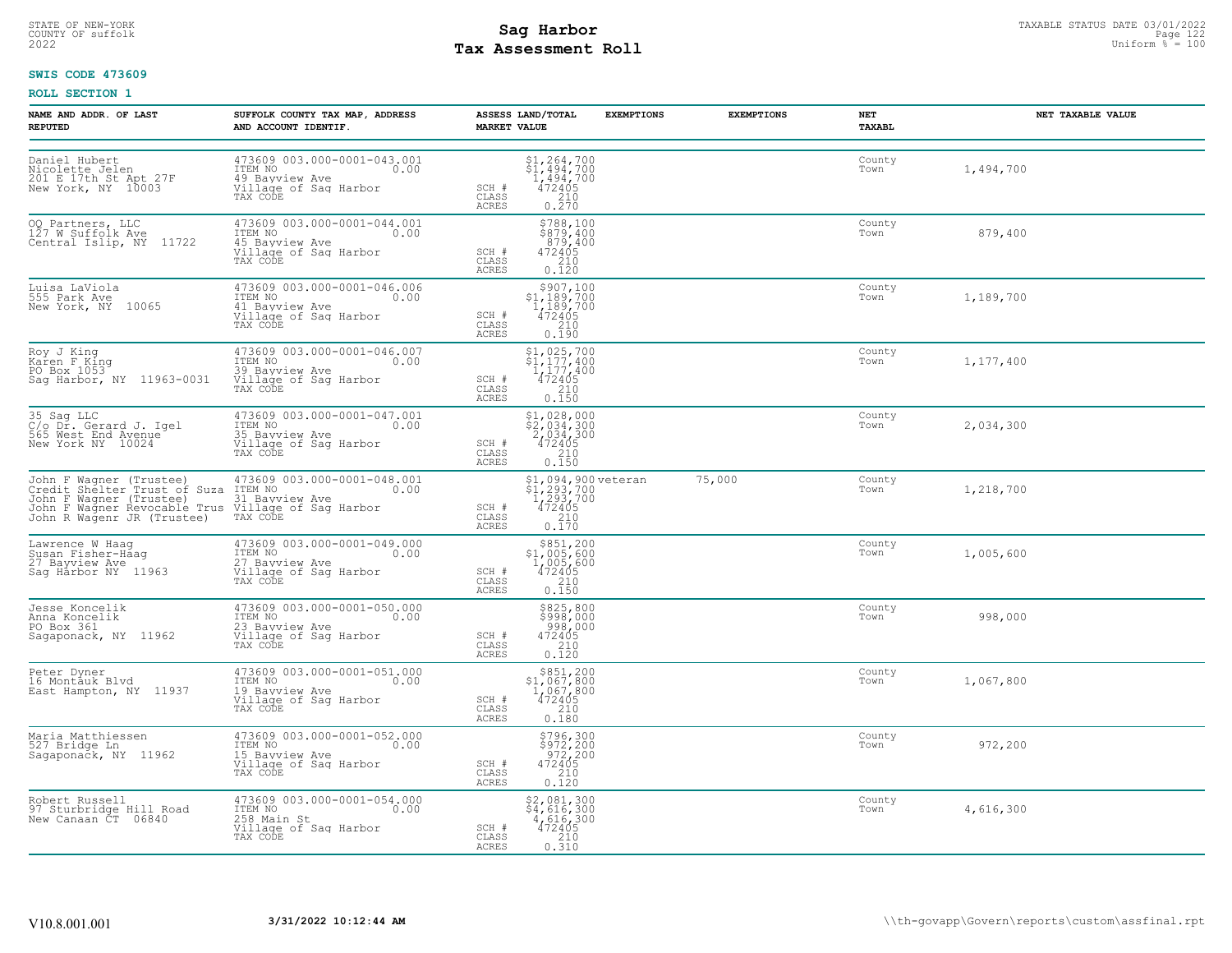## STATE OF NEW-YORK STATUS DATE 03/01/2022<br>
COUNTY OF suffolk **Sag From State of the Sage of the Sage 122**<br>
2022 Man Duiform % = 100 **Tax Assessment Roll**

### **SWIS CODE 473609**

| NAME AND ADDR. OF LAST<br><b>REPUTED</b>                                                                                                                                                                    | SUFFOLK COUNTY TAX MAP, ADDRESS<br>AND ACCOUNT IDENTIF.                                                                | ASSESS LAND/TOTAL<br>MARKET VALUE                                                                                                                                                         | <b>EXEMPTIONS</b>                                                  | <b>EXEMPTIONS</b> | NET<br>TAXABL  | NET TAXABLE VALUE |
|-------------------------------------------------------------------------------------------------------------------------------------------------------------------------------------------------------------|------------------------------------------------------------------------------------------------------------------------|-------------------------------------------------------------------------------------------------------------------------------------------------------------------------------------------|--------------------------------------------------------------------|-------------------|----------------|-------------------|
| Daniel Hubert<br>Nicolette Jelen<br>201 E 17th St Apt 27F<br>New York, NY 10003                                                                                                                             | 473609 003.000-0001-043.001<br>ITEM NO<br>0.00<br>49 Bayview Ave<br>Village of Sag Harbor<br>TAX CODE                  | $\begin{array}{c} $1,264,700 \\ $1,494,700 \\ $1,494,700 \\ $472405 \\ $210 \\ $0.270 \end{array}$<br>SCH #<br>CLASS<br><b>ACRES</b>                                                      |                                                                    |                   | County<br>Town | 1,494,700         |
| 00 Partners, LLC<br>127 W Suffolk Ave<br>Central Islip, NY 11722                                                                                                                                            | 473609 003.000-0001-044.001<br>ITEM NO<br>0.00<br>45 Bayview Ave<br>Village of Sag Harbor<br>TAX CODE                  | \$788,100<br>\$879,400<br>879,400<br>472405<br>SCH #<br>CLASS<br>210<br><b>ACRES</b><br>0.120                                                                                             |                                                                    |                   | County<br>Town | 879,400           |
| Luisa LaViola<br>555 Park Ave<br>New York, NY 10065                                                                                                                                                         | 473609 003.000-0001-046.006<br>TTEM NO 0.00<br>41 Bayview Ave<br>Village of Sag Harbor<br>TAX CODE                     | $\begin{array}{r} $907,100 \\ $1,189,700 \\ $1,189,700 \\ $472405 \\ $210 \\ $210 \end{array}$<br>SCH #<br>CLASS<br>ACRES<br>0.190                                                        |                                                                    |                   | County<br>Town | 1,189,700         |
| Roy J King<br>Karen F King<br>PO Box 1053<br>Sag Harbor, NY 11963-0031                                                                                                                                      | 473609 003.000-0001-046.007<br>ITEM NO<br>39 Bayview Ave<br>0.00<br>Village of Sag Harbor<br>TAX CODE                  | $$1,025,700$<br>$$1,177,400$<br>$1,177,400$<br>$\begin{array}{c}\n472405 \\ 210 \\ 0.150\n\end{array}$<br>SCH #<br>CLASS<br><b>ACRES</b>                                                  |                                                                    |                   | County<br>Town | 1,177,400         |
| 35 Sag LLC<br>C/o Dr. Gerard J. Igel<br>565 West End Avenue<br>New York NY 10024                                                                                                                            | 473609 003.000-0001-047.001<br>ITEM NO 0.00<br>35 Bayview Ave<br>Village of Sag Harbor<br>TAX CODE                     | $\begin{array}{r} \texttt{\$1$, 028, 000} \\ \texttt{\$2$, 034, 300} \\ \texttt{2, 034, 300} \\ \texttt{472405} \\ \texttt{210} \\ \texttt{0.150} \end{array}$<br>SCH #<br>CLASS<br>ACRES |                                                                    |                   | County<br>Town | 2,034,300         |
| John F Wagner (Trustee) 473609 (Credit Shelter Trust of Suza ITEM NO<br>John F Wagner (Trustee) 31 Bayview Ave<br>John F Wagner Revocable Trus Village of Sag Harbor<br>John R Wagenr JR (Trustee) TAX CODE | 473609 003.000-0001-048.001<br>0.00                                                                                    | SCH #<br>CLASS<br><b>ACRES</b>                                                                                                                                                            | $$1,094,900 \text{ veteran} $1,293,700 1,293,700 472405 210 0.170$ | 75,000            | County<br>Town | 1,218,700         |
| Lawrence W Haaq<br>Susan Fisher-Haag<br>27 Bayview Ave<br>Sag Harbor NY 11963                                                                                                                               | 473609 003.000-0001-049.000<br>ITEM NO 0.00<br>1744<br>27 Bavview Ave<br>Village of Sag Harbor<br>TAX CODE             | $\begin{array}{r} \text{\small $\$851,200} \\ \text{\small $\$1,005,600} \\ 1,005,600 \\ 472405 \\ 210 \\ 0.150 \\ \end{array}$<br>SCH #<br>CLASS<br>ACRES                                |                                                                    |                   | County<br>Town | 1,005,600         |
| Jesse Koncelik<br>Anna Koncelik<br>PO Box 361<br>Sagaponack, NY 11962                                                                                                                                       | 473609 003.000-0001-050.000<br>ITEM NO 0.00<br>23 Bayview Ave<br>23 Bayview Ave<br>---- 2025 of Sag Harbor<br>TAX CODE | \$825,800<br>\$998,000<br>998,000<br>472495<br>SCH #<br>210<br>CLASS<br><b>ACRES</b><br>0.120                                                                                             |                                                                    |                   | County<br>Town | 998,000           |
| Peter Dyner<br>16 Montauk Blvd<br>East Hampton, NY 11937                                                                                                                                                    | 473609 003.000-0001-051.000<br>ITEM NO<br>0.00<br>19 Bayview Ave<br>Village of Sag Harbor<br>TAX CODE                  | $\begin{array}{r} $851,200 \\ $1,067,800 \\ $1,067,800 \\ $472405 \\ $210 \\ $0.180 \end{array}$<br>SCH #<br>CLASS<br><b>ACRES</b>                                                        |                                                                    |                   | County<br>Town | 1,067,800         |
| Maria Matthiessen<br>527 Bridge Ln<br>Sagaponačk, NY 11962                                                                                                                                                  | 473609 003.000-0001-052.000<br>TTEM NO 0.00<br>15 Bayview Ave<br>Village of Sag Harbor<br>TAX CODE                     | \$796,300<br>\$972,200<br>972,200<br>472405<br>SCH #<br>CLASS<br>$\begin{array}{c} 210 \\ 0.120 \end{array}$<br>ACRES                                                                     |                                                                    |                   | County<br>Town | 972,200           |
| Robert Russell<br>97 Sturbridge Hill Road<br>New Canaan CT 06840                                                                                                                                            | 473609 003.000-0001-054.000<br>TTEM NO 0.00<br>258 Main St<br>Village of Sag Harbor<br>TAX CODE                        | \$2,081,300<br>\$4,616,300<br>4,616,300<br>472405<br>SCH #<br>CLASS<br>0.310<br>ACRES                                                                                                     |                                                                    |                   | County<br>Town | 4,616,300         |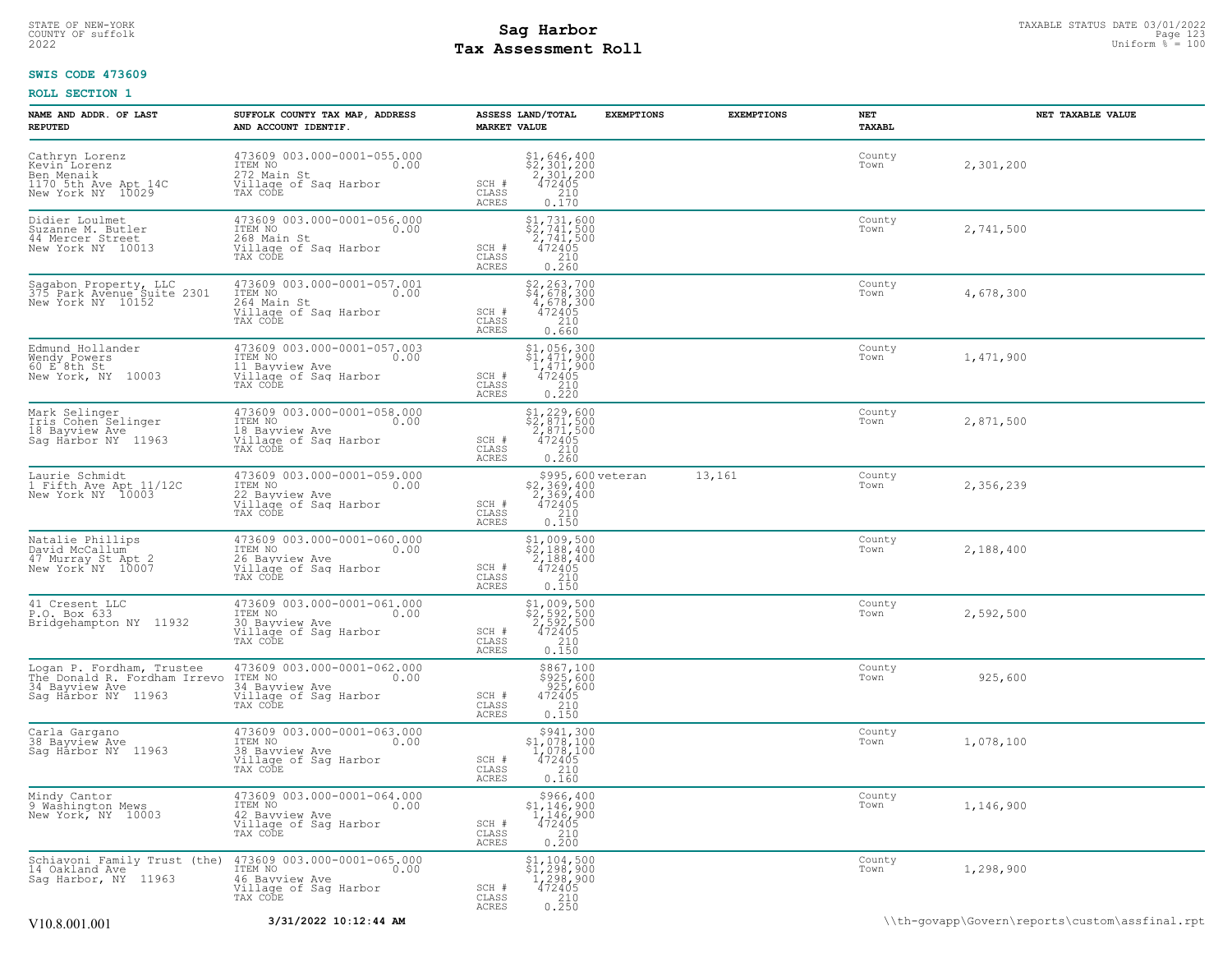## STATE OF NEW-YORK STATUS DATE 03/01/2022<br>
COUNTY OF suffolk **Sag From State of the Sage of the Sage 123** Uniform % = 100<br>
2022 Pay Assessment Roll **Tax Assessment Roll**

### **SWIS CODE 473609**

| NAME AND ADDR. OF LAST<br><b>REPUTED</b>                                                           | SUFFOLK COUNTY TAX MAP, ADDRESS<br>AND ACCOUNT IDENTIF.                                                                     | <b>MARKET VALUE</b>                       | ASSESS LAND/TOTAL                                                                                                                                        | <b>EXEMPTIONS</b> | <b>EXEMPTIONS</b> | NET<br>TAXABL  | NET TAXABLE VALUE |
|----------------------------------------------------------------------------------------------------|-----------------------------------------------------------------------------------------------------------------------------|-------------------------------------------|----------------------------------------------------------------------------------------------------------------------------------------------------------|-------------------|-------------------|----------------|-------------------|
| Cathryn Lorenz<br>Kevin Lorenz<br>Nen Menaik<br>1170 5th Ave Apt 14C<br>New York NY 10029          | 473609 003.000-0001-055.000<br>ITEM NO<br>0.00<br>272 Main St<br>Village of Saq Harbor<br>Village of Saq Harbor<br>TAX CODE | SCH #<br>CLASS<br><b>ACRES</b>            | $$1,646,400$<br>$$2,301,200$<br>$2,301,200$<br>$472405$<br>$$210$<br>0.170                                                                               |                   |                   | County<br>Town | 2,301,200         |
| Didier Loulmet<br>Suzanne M. Butler<br>44 Mercer Street<br>New York NY 10013                       | 473609 003.000-0001-056.000<br>TTEM NO<br>268 Main St<br>268 Main St<br>Willage of Sag Harbor<br>0.00<br>TAX CODE           | SCH #<br>CLASS<br><b>ACRES</b>            | $\begin{array}{r} \texttt{\$1,731,600} \\ \texttt{\$2,741,500} \\ \texttt{2,741,500} \\ \texttt{472405} \\ \texttt{210} \\ \texttt{0.260} \end{array}$   |                   |                   | County<br>Town | 2,741,500         |
| Sagabon Property, LLC<br>375 Park Avenue Suite 2301<br>New York NY 10152                           | 473609 003.000-0001-057.001<br>ITEM NO<br>0.00<br>11EH NO<br>264 Main St<br>Village of Sag Harbor<br>TAX CODE               | SCH #<br>CLASS<br><b>ACRES</b>            | $\begin{array}{r} 52,263,700 \\ 4,678,300 \\ 4,678,300 \\ 472405 \\ 210 \end{array}$<br>0.660                                                            |                   |                   | County<br>Town | 4,678,300         |
| Edmund Hollander<br>Wendy Powers<br>60 E 8th St<br>New York, NY 10003                              | 473609 003.000-0001-057.003<br>ITEM NO<br>0.00<br>11 Bayview Ave<br>Village of Saq Harbor<br>TAX CODE                       | SCH #<br>CLASS<br>ACRES                   | $\begin{array}{c} \xi 1,056,300 \\ \xi 1,471,900 \\ 1,471,900 \\ 472405 \\ 210 \\ 0.220 \end{array}$                                                     |                   |                   | County<br>Town | 1,471,900         |
| Mark Selinger<br>Iris Cohen Selinger<br>18 Bayview Ave<br>Sag Harbor NY 11963                      | 473609 003.000-0001-058.000<br>ITEM NO<br>0.00<br>18 Bavview Ave<br>Village of Sag Harbor<br>TAX CODE                       | SCH #<br>CLASS<br><b>ACRES</b>            | $\begin{array}{r} \texttt{\$1,229,600} \\ \texttt{\$2,871,500} \\ \texttt{2,871,500} \\ \texttt{472405} \\ \texttt{0.260} \\ \texttt{0.260} \end{array}$ |                   |                   | County<br>Town | 2,871,500         |
| Laurie Schmidt<br>1 Fifth Ave Apt 11/12C<br>New York NY 10003                                      | 473609 003.000-0001-059.000<br>ITEM NO<br>0.00<br>22 Bavview Ave<br>Village of Sag Harbor<br>TAX CODE                       | SCH #<br>CLASS<br>ACRES                   | \$995,600 veteran<br>\$2,369,400<br>2,369,400<br>472405<br>$\begin{array}{c} 210 \\ 0.150 \end{array}$                                                   |                   | 13,161            | County<br>Town | 2,356,239         |
| Natalie Phillips<br>David McCallum<br>47 Murray St Apt 2<br>New York NY 10007                      | 473609 003.000-0001-060.000<br>ITEM NO<br>0.00<br>26 Bayview Ave<br>Village of Sag Harbor<br>TAX CODE                       | SCH #<br>CLASS<br><b>ACRES</b>            | $$1,009,500$<br>$$2,188,400$<br>$2,188,400$<br>472405<br>$\frac{210}{0.150}$                                                                             |                   |                   | County<br>Town | 2,188,400         |
| 41 Cresent LLC<br>P.O. Box 633<br>Bridgehampton NY 11932                                           | 473609 003.000-0001-061.000<br>ITEM NO<br>0.00<br>30 Bayview Ave<br>Village of Sag Harbor<br>TAX CODE                       | SCH #<br>CLASS<br>ACRES                   | $\begin{array}{r} \texttt{\$1,009,500}\ \texttt{\$2,592,500}\ \texttt{\$2,592,500}\ \texttt{2,592,500}\ \texttt{472405}\ \texttt{0.150}\ \end{array}$    |                   |                   | County<br>Town | 2,592,500         |
| Logan P. Fordham, Trustee<br>The Donald R. Fordham Irrevo<br>34 Bayview Ave<br>Saq Harbor NY 11963 | 473609 003.000-0001-062.000<br>ITEM NO<br>0.00<br>34 Bayview Ave<br>Village of Sag Harbor<br>TAX CODE                       | SCH #<br>CLASS<br>ACRES                   | \$867,100<br>$$925,600$<br>925,600<br>472405<br>210<br>0.150                                                                                             |                   |                   | County<br>Town | 925,600           |
| Carla Gargano<br>38 Bayview Ave<br>Saq Harbor NY 11963                                             | 473609 003.000-0001-063.000<br>ITEM NO<br>0.00<br>38 Bayview Ave<br>Village of Sag Harbor<br>TAX CODE                       | SCH #<br>$\mathtt{CLASS}$<br><b>ACRES</b> | \$941,300<br>$\begin{array}{r} 51,078,100 \\ 1,078,100 \\ 472405 \\ 210 \end{array}$<br>0.160                                                            |                   |                   | County<br>Town | 1,078,100         |
| Mindy Cantor<br>9 Washington Mews<br>New York, NY 10003                                            | 473609 003.000-0001-064.000<br>TTEM NO 0.00<br>0.00<br>42 Bavview Ave<br>Village of Sag Harbor<br>TAX CODE                  | SCH #<br>CLASS<br><b>ACRES</b>            | \$966,400<br>$$1,146,900$<br>$1,146,900$<br>$472405$<br>$210$<br>0.200                                                                                   |                   |                   | County<br>Town | 1,146,900         |
| Schiavoni Family Trust (the)<br>14 Oakland Ave<br>Sag Harbor, NY 11963                             | $473609003.000-0001-065.000$<br>ITEM NO<br>46 Bayview Ave<br>Village of Sag Harbor<br>TAX CODE                              | SCH #<br>CLASS<br><b>ACRES</b>            | \$1,104,500<br>$$^{1}, {194, 500} \atop 1, 298, 900 \atop 472405$<br>472405<br>0.250                                                                     |                   |                   | County<br>Town | 1,298,900         |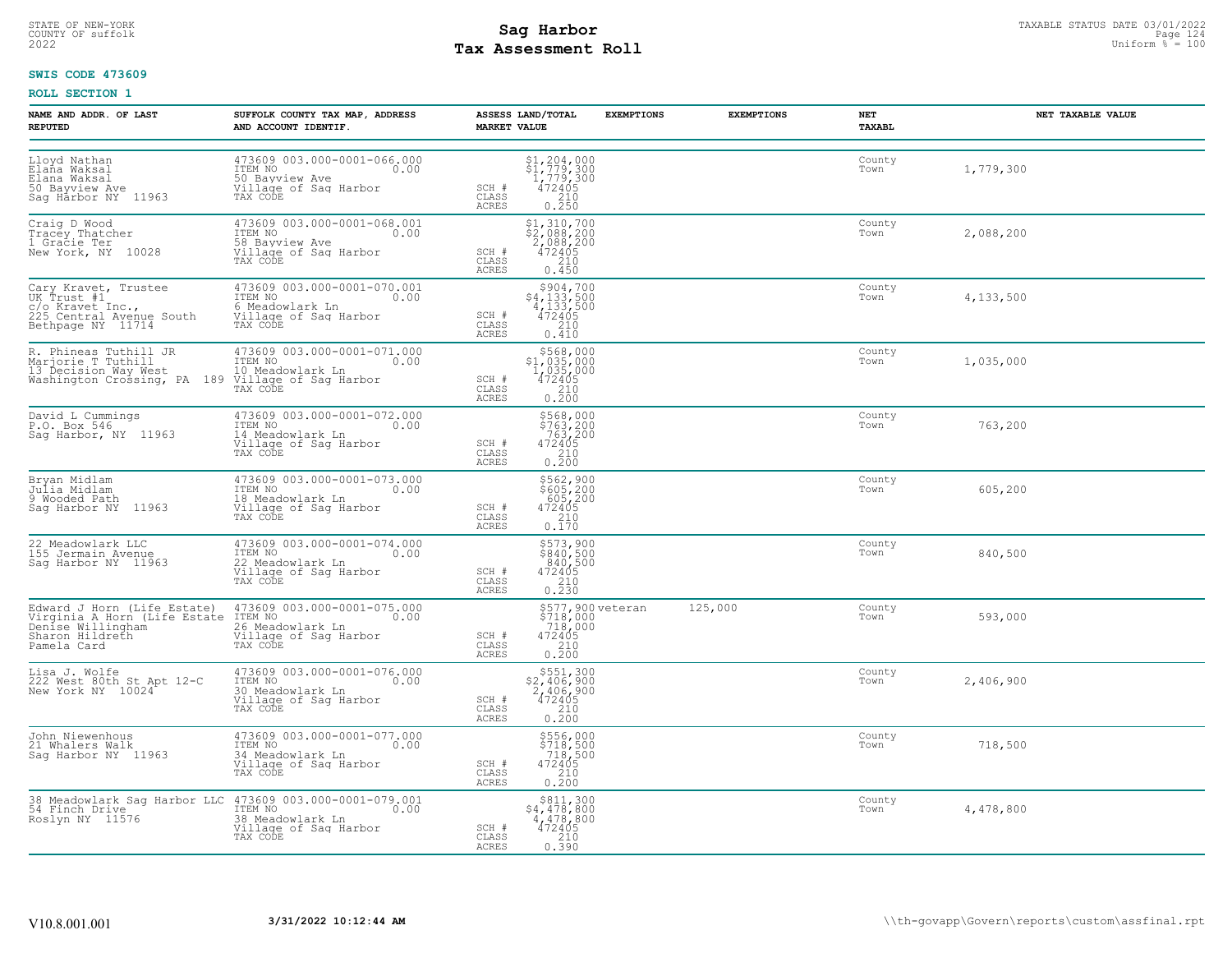## STATE OF NEW-YORK STATUS DATE 03/01/2022<br>
COUNTY OF suffolk **Sag From State of the Sage of the Sage 124**<br>
2022 Man Duiform % = 100 **Tax Assessment Roll**

### **SWIS CODE 473609**

| NAME AND ADDR. OF LAST<br><b>REPUTED</b>                              | SUFFOLK COUNTY TAX MAP, ADDRESS<br>AND ACCOUNT IDENTIF.                                                                                                                                                                                                                                                                                                                  | ASSESS LAND/TOTAL<br><b>MARKET VALUE</b>                                                                                                                                                                                       | <b>EXEMPTIONS</b>                                  | <b>EXEMPTIONS</b><br>NET<br>TAXABL | NET TAXABLE VALUE |
|-----------------------------------------------------------------------|--------------------------------------------------------------------------------------------------------------------------------------------------------------------------------------------------------------------------------------------------------------------------------------------------------------------------------------------------------------------------|--------------------------------------------------------------------------------------------------------------------------------------------------------------------------------------------------------------------------------|----------------------------------------------------|------------------------------------|-------------------|
|                                                                       | 473609 003.000-0001-066.000                                                                                                                                                                                                                                                                                                                                              | $\begin{array}{c} \text{\small $51$, 204, 000} \\ \text{\small $51$, 779, 300} \\ \text{\small $1$, 779, 300} \\ \text{\small $472405} \\ \text{\small $210} \\ \text{\small $0.250} \end{array}$<br>$SCH$ #<br>CLASS<br>ACRES |                                                    | County<br>Town                     | 1,779,300         |
| Craig D Wood<br>Tracey Thatcher<br>1 Gracie Ter<br>New York, NY 10028 | 473609 003.000-0001-068.001<br>ITEM NO<br>58 Bavview Ave 0.00<br>Village of Saq Harbor<br>TAX CODE                                                                                                                                                                                                                                                                       | \$1,310,700<br>\$2,088,200<br>2,088,200<br>472405<br>$SCH$ #<br>CLASS<br>210<br>0.450<br>ACRES                                                                                                                                 |                                                    | County<br>Town                     | 2,088,200         |
|                                                                       | Cary Kravet, Trustee $\begin{array}{lll} \text{Cary Kravet, Tustee} & 473609\ 003.000-0001-070.001\\ \text{UK Trust #1} & \text{IFEM NO} & 6\ 0.00\\ \text{C/O Kravet Inc.,} & 6\ 0.00\\ \text{225 Central Avenue South} & 0.111\\ \text{226 Central Avenue South} & 0.111\\ \text{Between the 265} & 0.00\\ \text{Bethpage NY} & 11714 & \text{TAX CODE} & \end{array}$ | $$4,133,500$ $$4,133,500$ $$472405$ $$210$<br>SCH #<br>CLASS<br>ACRES<br>0.410                                                                                                                                                 |                                                    | County<br>Town                     | 4,133,500         |
|                                                                       | R. Phineas Tuthill JR 473609 003.000-0001-071.000<br>Marjorie T Tuthill JR 1TEM NO<br>13 Decision Way West 10 Meadowlark Ln 0.00<br>Washington Crossing, PA 189 Village of Sag Harbor<br>TAX CODE                                                                                                                                                                        | $$568,000$<br>$$1,035,000$<br>$1,035,000$<br>$SCH$ #<br>$\begin{array}{r} 472405 \\ 210 \\ 0.200 \end{array}$<br>CLASS<br>ACRES                                                                                                |                                                    | County<br>Town                     | 1,035,000         |
| David L Cummings<br>P.O. Box 546<br>Sag Harbor, NY 11963              | 473609 003.000-0001-072.000<br>ITEM NO 0.00<br>14.Meadowlark Ln<br>Village of Sag Harbor<br>TAX CODE                                                                                                                                                                                                                                                                     | \$568,000<br>\$763,200<br>763,200<br>472405<br>210<br>0.200<br>$SCH$ #<br>CLASS<br>ACRES                                                                                                                                       |                                                    | County<br>Town                     | 763,200           |
| Bryan Midlam<br>Julia Midlam<br>9 Wooded Path<br>Sag Harbor NY 11963  | 473609 003.000-0001-073.000<br>ITEM NO 0.00<br>18 Meadowlark Ln<br>Village of Sag Harbor<br>TAX CODE                                                                                                                                                                                                                                                                     | \$562,900<br>\$605,200<br>605,200<br>472405<br>210<br>0.170<br>SCH #<br>CLASS<br>ACRES                                                                                                                                         |                                                    | County<br>Town                     | 605,200           |
| 22 Meadowlark LLC<br>155 Jermain Avenue<br>Sag Harbor NY 11963        | 473609 003.000-0001-074.000<br>ITEM NO 003.000-0001-074.000<br>22 Meadowlark Ln<br>Village of Saq Harbor<br>TAX CODE                                                                                                                                                                                                                                                     | \$573,900<br>\$840,500<br>840,500<br>472405<br>SCH #<br>CLASS<br>$\begin{array}{c} 210 \\ 0.230 \end{array}$<br>ACRES                                                                                                          |                                                    | County<br>Town                     | 840,500           |
| Sharon Hildreth<br>Pamela Card                                        | Edward J Horn (Life Estate) 473609 003.000-0001-075.000<br>Virginia A Horn (Life Estate ITEM NO<br>Denise Willingham 26 Meadowlark Ln (2000)<br>26 Meadowlark Ln<br>Village of Sag Harbor<br>TAX CODE                                                                                                                                                                    | SCH #<br>472405<br>210<br>CLASS<br>0.200<br>ACRES                                                                                                                                                                              | \$577,900 veteran 125,000<br>\$718,000<br>.718,000 | County<br>Town                     | 593,000           |
| Lisa J. Wolfe<br>222 West 80th St Apt 12-C<br>New York NY 10024       | 473609 003.000-0001-076.000<br>ITEM NO 0.00<br>30 Meadowlark Ln 0.00<br>Village of Sag Harbor<br>TAX CODE                                                                                                                                                                                                                                                                | $$551,300$<br>$$2,406,900$<br>$2,406,900$<br>$472405$<br>SCH #<br>$\begin{array}{c} 210 \\ 0.200 \end{array}$<br>CLASS<br>ACRES                                                                                                |                                                    | County<br>Town                     | 2,406,900         |
| John Niewenhous<br>21 Whalers Walk<br>Sag Harbor NY 11963             | 473609 003.000-0001-077.000<br>ITEM NO <sub>0</sub> 0.00<br>34 Meadowlark Ln<br>Village of Sag Harbor<br>TAX CODE                                                                                                                                                                                                                                                        | \$556,000<br>\$718,500<br>718,500<br>SCH #<br>$\begin{array}{r}472405\\210\\2.0\end{array}$<br>CLASS<br>ACRES                                                                                                                  |                                                    | County<br>Town                     | 718,500           |
| Roslyn NY 11576                                                       | 38 Meadowlark Sag Harbor LLC 473609 003.000-0001-079.001<br>54 Finch Drive<br>38 Meadowlark Ln<br>Village of Saq Harbor<br>TAX CODE                                                                                                                                                                                                                                      | \$811,300<br>$$4,478,800$<br>$4,478,800$<br>$472405$<br>$$210$<br>SCH #<br>CLASS<br>0.390<br>ACRES                                                                                                                             |                                                    | County<br>Town                     | 4,478,800         |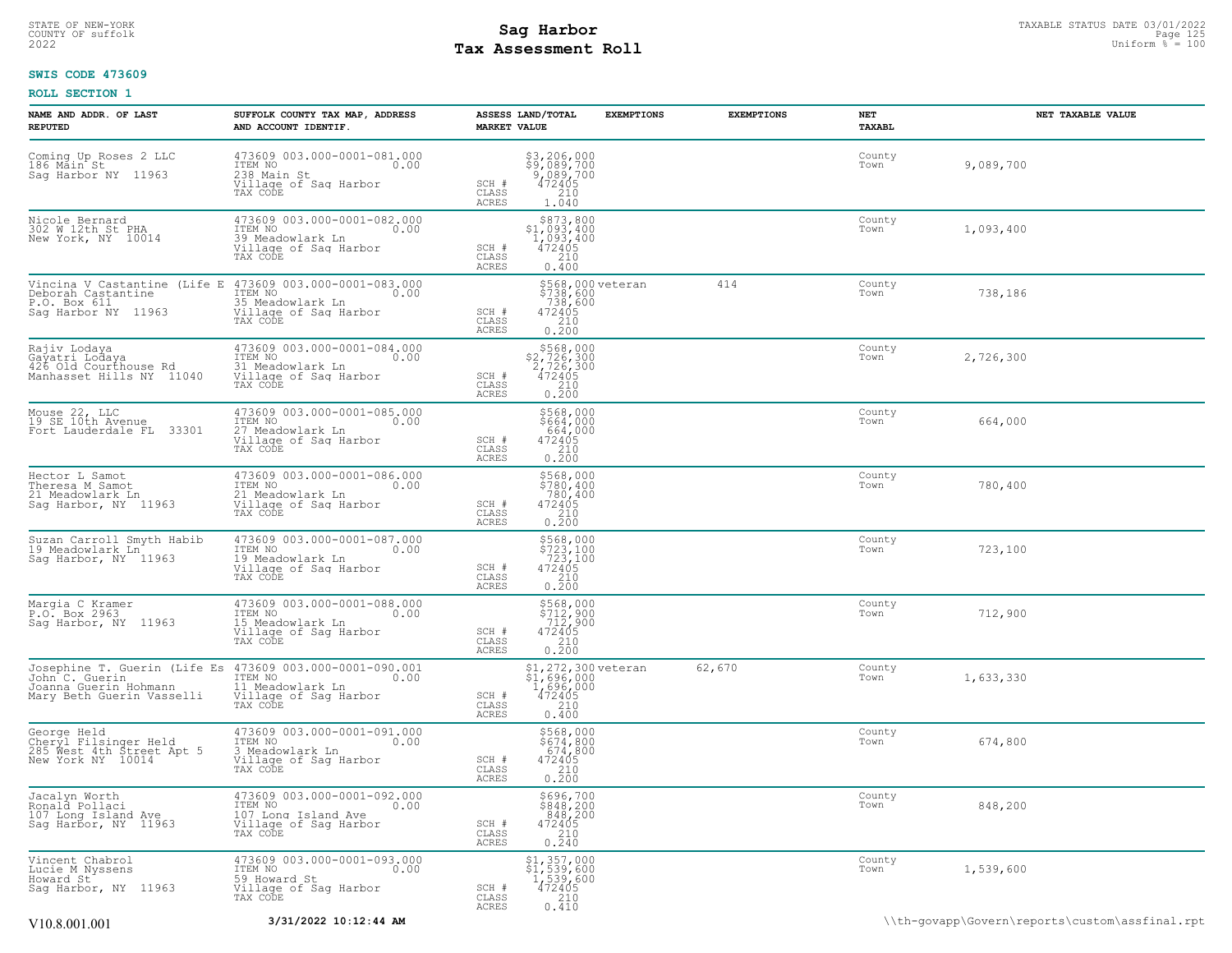## STATE OF NEW-YORK STATUS DATE 03/01/2022<br>
COUNTY OF suffolk **Sag From the Sag State Page 125 Assessment Roll**<br>
2022 May **Assessment Roll** Page 125 Assessment Roll and Duiform % = 100 **Tax Assessment Roll**

### **SWIS CODE 473609**

| NAME AND ADDR. OF LAST<br><b>REPUTED</b>                                                                                         | SUFFOLK COUNTY TAX MAP, ADDRESS<br>AND ACCOUNT IDENTIF.                                                                                                                            | ASSESS LAND/TOTAL<br><b>EXEMPTIONS</b><br><b>MARKET VALUE</b>                                                                                                          | <b>EXEMPTIONS</b> | NET<br>TAXABL  | NET TAXABLE VALUE |
|----------------------------------------------------------------------------------------------------------------------------------|------------------------------------------------------------------------------------------------------------------------------------------------------------------------------------|------------------------------------------------------------------------------------------------------------------------------------------------------------------------|-------------------|----------------|-------------------|
| Coming Up Roses 2 LLC<br>186 Main St<br>Saq Harbor NY 11963                                                                      | 473609 003.000-0001-081.000<br>ITEM NO<br>238 Main St<br>Village of Saq Harbor<br>TAX CODE                                                                                         | \$3,206,000<br>\$9,089,700<br>9,089,700<br>472405<br>210<br>SCH #<br>CLASS<br>ACRES<br>1.040                                                                           |                   | County<br>Town | 9,089,700         |
| Nicole Bernard<br>302 W 12th St PHA<br>New York, NY 10014                                                                        | 473609 003.000-0001-082.000<br>ITEM NO 0.00<br>39 Meadowlark Ln<br>Village of Sag Harbor<br>TAX CODE                                                                               | $\begin{array}{r} $873,800\n$1,093,400\n1,093,400\n472405\n210\n\end{array}$<br>SCH #<br>CLASS<br>0.400<br>ACRES                                                       |                   | County<br>Town | 1,093,400         |
| P.O. Box 611<br>Sag Harbor NY 11963                                                                                              | Vincina V Castantine (Life E 473609 003.000-0001-083.000<br>Deborah Castantine $\frac{1 \text{TEM NO}}{1 \text{ LCM NO}}$<br>35 Meadowlark Ln<br>Village of Sag Harbor<br>TAX CODE | \$568,000 veteran<br>\$738,600<br>738,600<br>738,600<br>472405<br>210<br>0.200<br>SCH #<br>CLASS<br>ACRES                                                              | 414               | County<br>Town | 738,186           |
| Rajiv Lodaya<br>Rajit Lodaya<br>426 Old Courthouse Rd<br>Manhasset Hills NY 11040                                                | 473609 003.000-0001-084.000<br>ITEM NO 0.00<br>31 Meadowlark Ln<br>Village of Saq Harbor<br>TAX CODE                                                                               | $\begin{array}{r}  \  \  \, 5568,000 \\  \  \, 2,726,300 \\  \  \, 2,726,300 \\  \  \, 472405 \\  \  \, 210 \\  \  \, 0.200 \end{array}$<br>SCH #<br>CLASS<br>ACRES    |                   | County<br>Town | 2,726,300         |
| Mouse 22, LLC<br>19 SE 10th Avenue<br>Fort Lauderdale FL 33301                                                                   | 473609 003.000-0001-085.000<br>ITEM NO 0.00<br>27 Meadowlark Ln<br>Village of Saq Harbor<br>TAX CODE                                                                               | $\begin{array}{c} 5568,000\\ 5664,000\\ 664,000\\ 472405\\ 210\\ 0.200 \end{array}$<br>SCH #<br>CLASS<br>ACRES                                                         |                   | County<br>Town | 664,000           |
| Hector L Samot<br>Theresa M Samot<br>21 Meadowlark Ln<br>Sag Harbor, NY 11963                                                    | 473609 003.000-0001-086.000<br>ITEM NO 0.00<br>21 Meadowlark Ln<br>Village of Sag Harbor<br>TAX CODE                                                                               | \$568,000<br>\$780,400<br>780,400<br>SCH #<br>472405<br>210<br>CLASS<br>0.200<br>ACRES                                                                                 |                   | County<br>Town | 780,400           |
| Suzan Carroll Smyth Habib<br>19 Meadowlark Ln<br>Sag Harbor, NY 11963                                                            | 473609 003.000-0001-087.000<br>ITEM NO 0.00<br>19 Meadowlark Ln (0.00<br>Village of Sag Harbor<br>TAX CODE                                                                         | \$568,000<br>\$723,100<br>723,100<br>SCH #<br>$\begin{array}{r}472405\\210\\0.200\end{array}$<br>CLASS<br>ACRES                                                        |                   | County<br>Town | 723,100           |
| Margia C Kramer<br>P.O. Box 2963<br>Sag Harbor, NY 11963                                                                         | 473609 003.000-0001-088.000<br>ITEM NO <sub>00</sub> 00<br>15 Meadowlark Ln<br>Village of Sag Harbor<br>TAX CODE                                                                   | \$568,000<br>\$712,900<br>712,900<br>SCH #<br>$472405$<br>$210$<br>CLASS<br>0.200<br>ACRES                                                                             |                   | County<br>Town | 712,900           |
| Josephine T. Guerin (Life Es 473609 003.000-0001-090.001<br>John C. Guerin<br>Joanna Guerin Hohmann<br>Mary Beth Guerin Vasselli | ITEM NO 0.00<br>11 Meadowlark Ln<br>Village of Sag Harbor<br>TAX CODE                                                                                                              | \$1,272,300 veteran<br>\$1,696,000<br>1,696,000<br>SCH #<br>472405<br>210<br>CLASS<br>0.400<br>ACRES                                                                   | 62,670            | County<br>Town | 1,633,330         |
| George Held<br>Cheryl Filsinger Held<br>285 West 4th Street Apt 5<br>New York NY 10014                                           | 473609 003.000-0001-091.000<br>ITEM NO 0.00<br>3 Meadowlark Ln<br>Village of Sag Harbor<br>TAX CODE                                                                                | \$568,000<br>\$674,800<br>674,800<br>SCH #<br>$\begin{matrix}472405\\210\\0.200\end{matrix}$<br>CLASS<br>ACRES                                                         |                   | County<br>Town | 674,800           |
| Jacalyn Worth<br>Ronald Pollaci<br>107 Long Island Ave<br>Sag Harbor, NY 11963                                                   | 473609 003.000-0001-092.000<br>ITEM NO<br>107 Long Island Ave<br>Village of Saq Harbor<br>TAX CODE                                                                                 | $\begin{array}{r}  \  \  \, 5696,700 \\  \  \, 848,200 \\  \  \, 848,200 \\  \  \, 472405 \\  \  \, 210 \\  \  \, 0.240 \end{array}$<br>SCH #<br>CLASS<br><b>ACRES</b> |                   | County<br>Town | 848,200           |
| Vincent Chabrol<br>Lucie M Nyssens<br>Howard St<br>Sag Harbor, NY 11963                                                          | 473609 003.000-0001-093.000<br>ITEM NO<br>$\overline{0.00}$<br>59 Howard St<br>Village of Saq Harbor<br>TAX CODE                                                                   | $$1, 357, 000$<br>$$1, 539, 600$<br>$1, 539, 600$<br>$472405$<br>210<br>SCH #<br>CLASS<br>0.410<br>ACRES                                                               |                   | County<br>Town | 1,539,600         |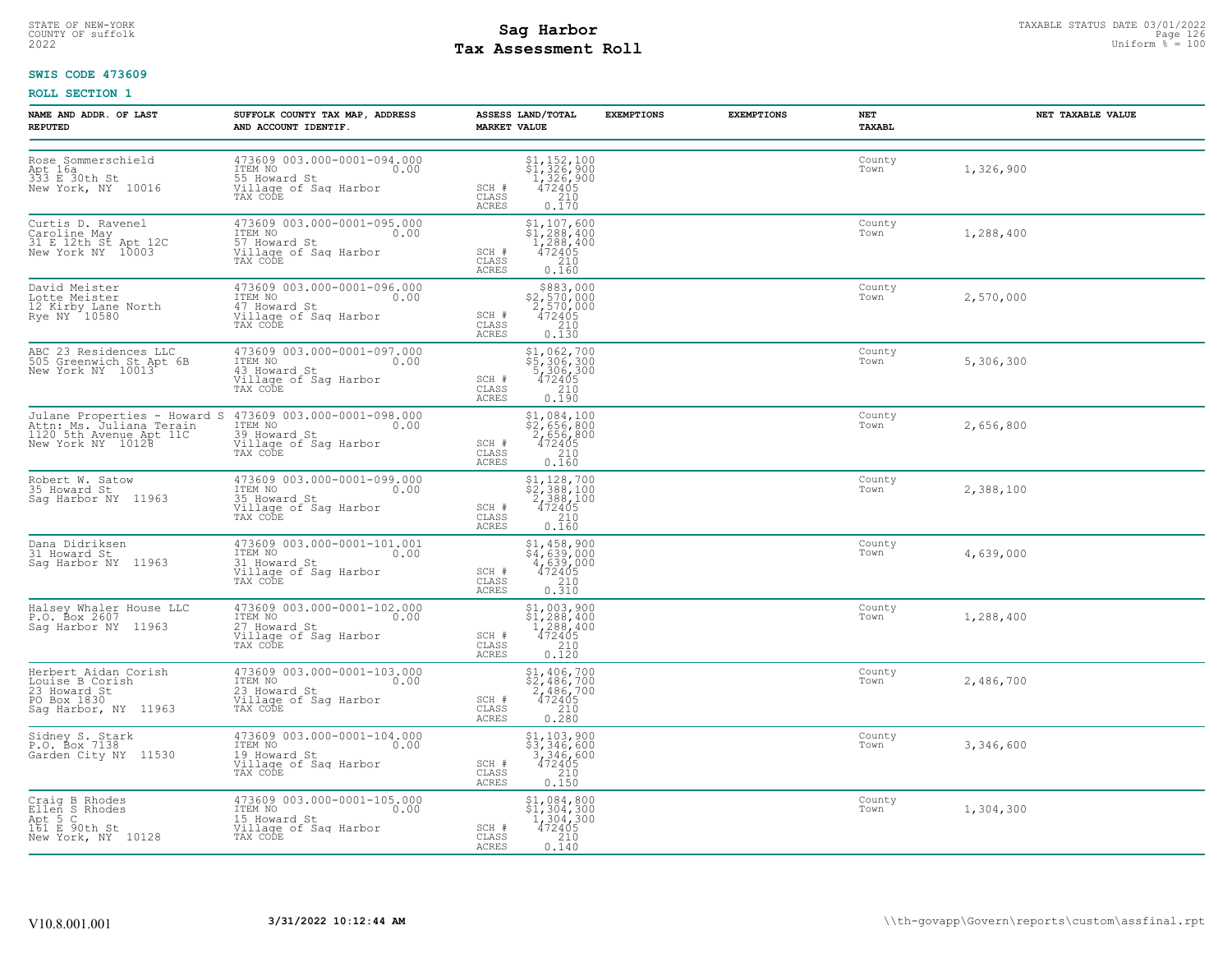## STATE OF NEW-YORK STATUS DATE 03/01/2022<br>
COUNTY OF suffolk **Sag From State of the Sage of the Sage 126** Uniform % = 100<br>
2022 Pay Assessment Roll **Tax Assessment Roll**

### **SWIS CODE 473609**

| NAME AND ADDR. OF LAST<br><b>REPUTED</b>                                                       | SUFFOLK COUNTY TAX MAP, ADDRESS<br>AND ACCOUNT IDENTIF.                                                                                                | ASSESS LAND/TOTAL<br><b>MARKET VALUE</b>                                                                                                                                                                  | <b>EXEMPTIONS</b><br><b>EXEMPTIONS</b> | NET<br>TAXABL  | NET TAXABLE VALUE |
|------------------------------------------------------------------------------------------------|--------------------------------------------------------------------------------------------------------------------------------------------------------|-----------------------------------------------------------------------------------------------------------------------------------------------------------------------------------------------------------|----------------------------------------|----------------|-------------------|
| Rose Sommerschield<br>Apt 16a<br>333 E 30th St<br>New York, NY 10016                           | 473609 003.000-0001-094.000<br>ITEM NO<br>0.00<br>55 Howard St<br>Village of Sag Harbor<br>TAX CODE                                                    | $\begin{array}{c} \text{\$1$, $152$, $100$} \\ \text{\$1$, $326$, $900$} \\ \text{\$1$, $326$, $900$} \\ \text{\$472405} \\ \text{\$210} \\ \text{\$0.170} \end{array}$<br>SCH #<br>CLASS<br><b>ACRES</b> |                                        | County<br>Town | 1,326,900         |
| Curtis D. Ravenel<br>Caroline May<br>31 E 12th St Apt 12C<br>New York NY 10003                 | 473609 003.000-0001-095.000<br>ITEM NO<br>0.00<br>57 Howard St<br>Village of Sag Harbor<br>TAX CODE                                                    | \$1,107,600<br>\$1,288,400<br>1,288,400<br>472405<br>SCH #<br>210<br>CLASS<br>0.160<br>ACRES                                                                                                              |                                        | County<br>Town | 1,288,400         |
| David Meister<br>Lotte Meister<br>12 Kirby Lane North<br>Rye NY 10580                          | 473609 003.000-0001-096.000<br>ITEM NO 0.00<br>47 Howard St<br>Village of Sag Harbor<br>TAX CODE                                                       | $$883,000$<br>$$2,570,000$<br>$2,570,000$<br>$472405$<br>$$210$<br>SCH #<br>CLASS<br>ACRES<br>0.130                                                                                                       |                                        | County<br>Town | 2,570,000         |
| ABC 23 Residences LLC<br>505 Greenwich St Apt 6B<br>New York NY 10013                          | 473609 003.000-0001-097.000<br>ITEM NO<br>43 Howard St<br>0.00<br>Village of Sag Harbor<br>TAX CODE                                                    | \$1,062,700<br>\$5,306,300<br>5,306,300<br>472405<br>SCH #<br>$\frac{210}{0.190}$<br>CLASS<br>ACRES                                                                                                       |                                        | County<br>Town | 5,306,300         |
| 1120 5th Avenue Apt 11C<br>New York NY 10128                                                   | Julane Properties - Howard S 473609 003.000-0001-098.000<br>Attn: Ms. Juliana Terain ITEM NO 0.00<br>39 Howard St<br>Village of Sag Harbor<br>TAX CODE | $\begin{array}{r} 51,084,100 \\ 52,656,800 \\ 2,656,800 \\ 472405 \\ 210 \\ 0.160 \end{array}$<br>SCH #<br>CLASS<br>ACRES                                                                                 |                                        | County<br>Town | 2,656,800         |
| Robert W. Satow<br>35 Howard St<br>Saq Harbor NY 11963                                         | 473609 003.000-0001-099.000<br>ITEM NO<br>0.00<br>35 Howard St<br>Village of Sag Harbor<br>TAX CODE                                                    | $$2,388,100$<br>$$2,388,100$<br>$2,388,100$<br>$472405$<br>$$210$<br>SCH #<br>CLASS<br><b>ACRES</b><br>0.160                                                                                              |                                        | County<br>Town | 2,388,100         |
| Dana Didriksen<br>31 Howard St<br>Saq Harbor NY 11963                                          | $473609003.000-0001-101.001$<br>ITEM NO<br>0.00<br>31 Howard St<br>Village of Sag Harbor<br>TAX CODE                                                   | \$1,458,900<br>\$4,639,000<br>4,639,000<br>472405<br>SCH #<br>CLASS<br>210<br>ACRES<br>0.310                                                                                                              |                                        | County<br>Town | 4,639,000         |
| Halsey Whaler House LLC<br>P.O. Box 2607<br>Sag Harbor NY 11963                                | 473609 003.000-0001-102.000<br>ITEM NO 0.00<br>27 Howard St<br>Village of Sag Harbor<br>TAX CODE                                                       | $$1,003,900$<br>$$1,288,400$<br>$1,288,400$<br>$472405$<br>$$210$<br>SCH #<br>CLASS<br>0.120<br>ACRES                                                                                                     |                                        | County<br>Town | 1,288,400         |
| Herbert Aidan Corish<br>Louise B Corish<br>23 Howard St<br>PO Box 1830<br>Saq Harbor, NY 11963 | 473609 003.000-0001-103.000<br>ITEM NO<br>0.00<br>23 Howard St<br>Village of Sag Harbor<br>TAX CODE                                                    | $$1,406,700$<br>$$2,486,700$<br>$2,486,700$<br>$472405$<br>SCH #<br>$\begin{array}{c} 210 \\ 0.280 \end{array}$<br>CLASS<br><b>ACRES</b>                                                                  |                                        | County<br>Town | 2,486,700         |
| Sidney S. Stark<br>P.O. Box 7138<br>Garden City NY 11530                                       | 473609 003.000-0001-104.000<br>TTEM NO 0.00<br>19 Howard St<br>Village of Sag Harbor<br>TAX CODE                                                       | \$1,103,900<br>53, 346, 600<br>3, 346, 600<br>3, 346, 600<br>472405<br>210<br>0.150<br>SCH #<br>CLASS<br>ACRES                                                                                            |                                        | County<br>Town | 3,346,600         |
| Craig B Rhodes<br>Ellen S Rhodes<br>Apt 5 C<br>161 E 90th St<br>New York, NY 10128             | 473609 003.000-0001-105.000<br>ITEM NO<br>0.00<br>15 Howard St<br>Village of Sag Harbor<br>TAX CODE                                                    | $$1, 084, 800$<br>$$1, 304, 300$<br>$1, 304, 300$<br>$472405$<br>210<br>SCH #<br>CLASS<br>ACRES<br>0.140                                                                                                  |                                        | County<br>Town | 1,304,300         |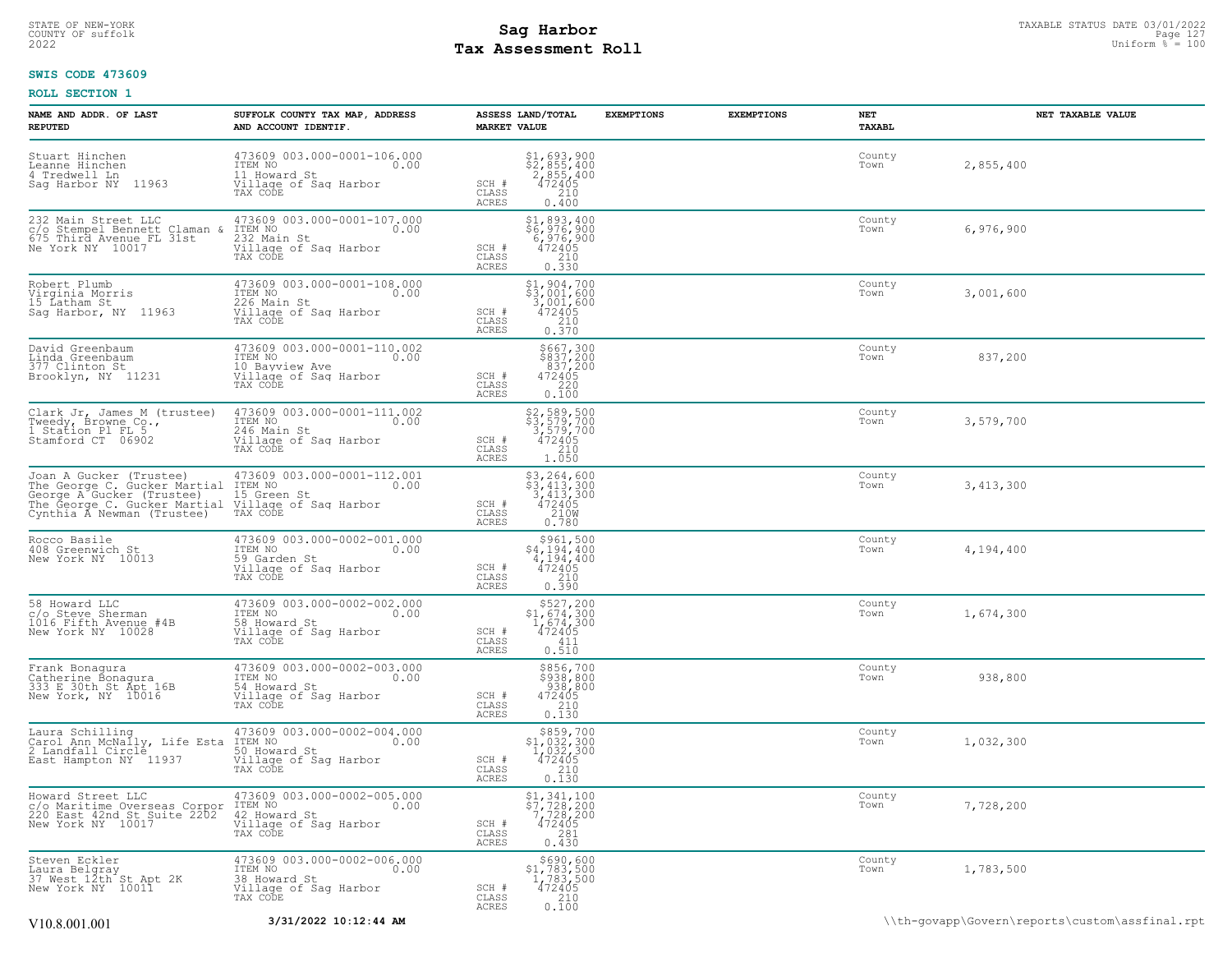## STATE OF NEW-YORK STATUS DATE 03/01/2022<br>
COUNTY OF suffolk **Sag From State of the Sage of the Sage 127 Mage 127**<br>
2022 Mage **Pay Assessment Roll** Page 110 **Tax Assessment Roll**

### **SWIS CODE 473609**

| NAME AND ADDR. OF LAST<br><b>REPUTED</b>                                                                                                                                                                                          | SUFFOLK COUNTY TAX MAP, ADDRESS<br>AND ACCOUNT IDENTIF.                                                       | ASSESS LAND/TOTAL<br><b>MARKET VALUE</b>                                                                                                                                                | <b>EXEMPTIONS</b><br><b>EXEMPTIONS</b> | NET<br>TAXABL  | NET TAXABLE VALUE                              |
|-----------------------------------------------------------------------------------------------------------------------------------------------------------------------------------------------------------------------------------|---------------------------------------------------------------------------------------------------------------|-----------------------------------------------------------------------------------------------------------------------------------------------------------------------------------------|----------------------------------------|----------------|------------------------------------------------|
| Stuart Hinchen<br>Leanne Hinchen<br>4 Tredwell Ln<br>Sag Harbor NY 11963                                                                                                                                                          | 473609 003.000-0001-106.000<br>ITEM NO<br>0.00<br>11 Howard St<br>Village of Sag Harbor<br>TAX CODE           | \$1,693,900<br>\$2,855,400<br>2,855,400<br>472405<br>SCH #<br>CLASS<br>210<br>ACRES<br>0.400                                                                                            |                                        | County<br>Town | 2,855,400                                      |
| 232 Main Street LLC<br>c/o Stempel Bennett Claman &<br>675 Third Avenue FL 31st<br>Ne York NY 10017                                                                                                                               | 473609 003.000-0001-107.000<br>ITEM NO<br>0.00<br>232 Main St<br>Village of Sag Harbor<br>In 2005<br>TAX CODE | $\begin{array}{r} 51,893,400\\ 56,976,900\\ 6,976,900\\ 472405\\ 210\\ 0.330 \end{array}$<br>SCH #<br>$\mathtt{CLASS}$<br>ACRES                                                         |                                        | County<br>Town | 6,976,900                                      |
| Robert Plumb<br>Virginia Morris<br>15 Latham St<br>Saq Harbor, NY 11963                                                                                                                                                           | 473609 003.000-0001-108.000<br>ITEM NO<br>0.00<br>226 Main St<br>Village of Sag Harbor<br>TAX CODE            | \$1,904,700<br>\$3,001,600<br>3,001,600<br>472405<br>SCH #<br>210<br>CLASS<br>0.370<br>ACRES                                                                                            |                                        | County<br>Town | 3,001,600                                      |
| David Greenbaum<br>Linda Greenbaum<br>377 Clinton St<br>Brooklyn, NY 11231                                                                                                                                                        | 473609 003.000-0001-110.002<br>ITEM NO<br>0.00<br>10 Bayview Ave<br>Village of Saq Harbor<br>TAX CODE         | \$667,300<br>\$837,200<br>837,200<br>SCH #<br>472405<br>CLASS<br>220<br>ACRES<br>0.100                                                                                                  |                                        | County<br>Town | 837,200                                        |
| Clark Jr, James M (trustee)<br>Tweedy, Browne Co.,<br>1 Station Pl FL 5<br>Stamford CT 06902                                                                                                                                      | 473609 003.000-0001-111.002<br>ITEM NO<br>0.00<br>246 Main St<br>Village of Sag Harbor<br>TAX CODE            | \$2,589,500<br>\$3,579,700<br>3,579,700<br>SCH #<br>472405<br>CLASS<br>210<br>ACRES<br>1.050                                                                                            |                                        | County<br>Town | 3,579,700                                      |
| Joan A Gucker (Trustee) 473609 003.000-0001-112.001<br>The George C. Gucker Martial ITEM NO<br>George A Gucker (Trustee) 15 Green St<br>The George C. Gucker Martial Village of Sag Harbor<br>Cynthia A Newman (Trustee) TAX CODE |                                                                                                               | $\begin{array}{r} 53, 264, 600 \\ 53, 413, 300 \\ 3, 413, 300 \\ 472405 \\ 210W \\ 0.780 \end{array}$<br>SCH #<br>CLASS<br>ACRES                                                        |                                        | County<br>Town | 3,413,300                                      |
| Rocco Basile<br>408 Greenwich St<br>New York NY 10013                                                                                                                                                                             | 473609 003.000-0002-001.000<br>ITEM NO<br>0.00<br>59 Garden St<br>Village of Sag Harbor<br>TAX CODE           | \$961,500<br>\$4,194,400<br>4,194,400<br>472405<br>SCH #<br>CLASS<br>210<br>ACRES<br>0.390                                                                                              |                                        | County<br>Town | 4,194,400                                      |
| 58 Howard LLC<br>c/o Steve Sherman<br>1016 Fifth Avenue #4B<br>New York NY 10028                                                                                                                                                  | 473609 003.000-0002-002.000<br>ITEM NO<br>0.00<br>58 Howard St<br>Villaqe of Saq Harbor<br>TAX CODE           | $$527, 200$<br>$$1, 674, 300$<br>$1, 674, 300$<br>472405<br>SCH #<br>CLASS<br>411<br>ACRES<br>0.510                                                                                     |                                        | County<br>Town | 1,674,300                                      |
| Frank Bonagura<br>Catherine Bonagura<br>333 E 30th St Apt 16B<br>New York, NY 10016                                                                                                                                               | 473609 003.000-0002-003.000<br>ITEM NO<br>0.00<br>54 Howard St<br>Village of Sag Harbor<br>TAX CODE           | \$856,700<br>\$938,800<br>938,800<br>472405<br>SCH #<br>0.130<br>CLASS<br>ACRES                                                                                                         |                                        | County<br>Town | 938,800                                        |
| Laura Schilling<br>Carol Ann McNally, Life Esta<br>2 Landfall Circle<br>East Hampton NY 11937                                                                                                                                     | 473609 003.000-0002-004.000<br>ITEM NO<br>0.00<br>50 Howard St<br>Village of Sag Harbor<br>TAX CODE           | $$859,700$<br>$$1,032,300$<br>$1,032,300$<br>$\frac{472405}{210}$<br>SCH #<br>CLASS<br>0.130<br>ACRES                                                                                   |                                        | County<br>Town | 1,032,300                                      |
| Howard Street LLC<br>c/o Maritime Overseas Corpor<br>220 East 42nd St Suite 2202<br>New York NY 10017                                                                                                                             | 473609 003.000-0002-005.000<br>ITEM NO<br>0.00<br>42 Howard St<br>Village of Sag Harbor<br>TAX CODE           | \$1,341,100<br>$\begin{smallmatrix} 2 & 7 & 7 & 8 \\ 5 & 7 & 7 & 28 \\ 7 & 7 & 28 & 200 \\ 4 & 7 & 2405 \\ 2 & 8 & 1 \\ 0 & 4 & 30 \end{smallmatrix}$<br>SCH #<br>CLASS<br><b>ACRES</b> |                                        | County<br>Town | 7,728,200                                      |
| Steven Eckler<br>Laura Belgray<br>37 West 12th <sup>-</sup> St Apt 2K<br>New York NY 10011                                                                                                                                        | 473609 003.000-0002-006.000<br>ITEM NO<br>0.00<br>38 Howard St<br>Village of Sag Harbor<br>TAX CODE           | $\substack{\$690,600\\\$1,783,500\\1,783,500\\472405}$<br>SCH #<br>CLASS<br>210<br>ACRES<br>0.100                                                                                       |                                        | County<br>Town | 1,783,500                                      |
| V <sub>10.8</sub> .001.001                                                                                                                                                                                                        | 3/31/2022 10:12:44 AM                                                                                         |                                                                                                                                                                                         |                                        |                | \\th-qovapp\Govern\reports\custom\assfinal.rpt |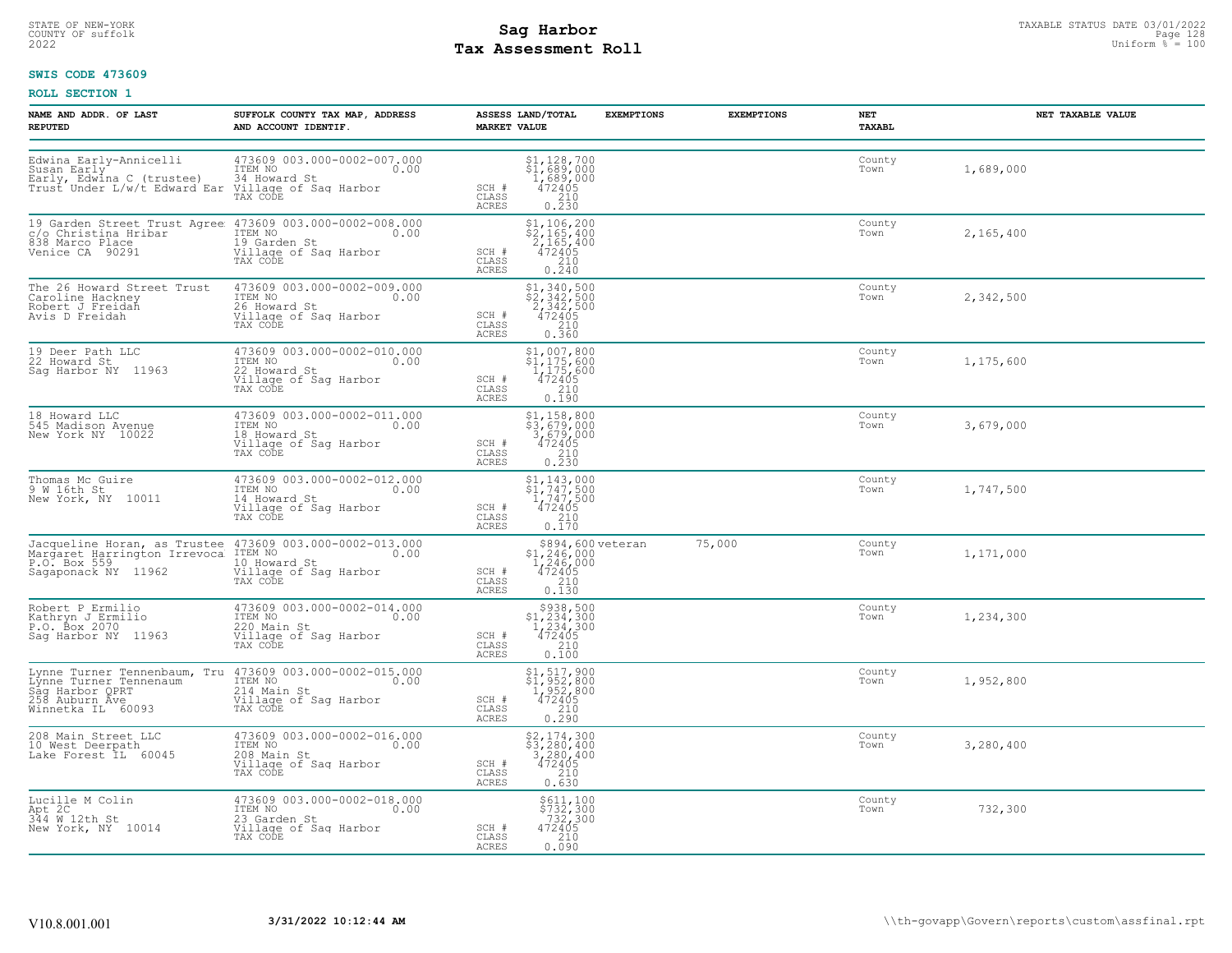## STATE OF NEW-YORK STATUS DATE 03/01/2022<br>
COUNTY OF suffolk **Sag From the Sag State Page 128**<br>
2022 Pay Assessment Roll **Tax Assessment Roll**

### **SWIS CODE 473609**

| NAME AND ADDR. OF LAST<br><b>REPUTED</b>                                                                                              | SUFFOLK COUNTY TAX MAP, ADDRESS<br>AND ACCOUNT IDENTIF.                                                                                                                           | ASSESS LAND/TOTAL<br><b>MARKET VALUE</b>                                                                                                                            | <b>EXEMPTIONS</b> | <b>EXEMPTIONS</b> | NET<br>TAXABL  | NET TAXABLE VALUE |
|---------------------------------------------------------------------------------------------------------------------------------------|-----------------------------------------------------------------------------------------------------------------------------------------------------------------------------------|---------------------------------------------------------------------------------------------------------------------------------------------------------------------|-------------------|-------------------|----------------|-------------------|
| Edwina Early-Annicelli<br>Susan Early<br>Early, Edwina C (trustee) 34 Howard St<br>Trust Under L/w/t Edward Ear Village of Sag Harbor | 473609 003.000-0002-007.000<br>ITEM NO 0.00<br>TAX CODE                                                                                                                           | $\begin{array}{c} 51,128,700 \\ 51,689,000 \\ 1,689,000 \\ 472405 \\ 210 \\ 0.230 \end{array}$<br>SCH #<br>CLASS<br>ACRES                                           |                   |                   | County<br>Town | 1,689,000         |
|                                                                                                                                       | 19 Garden Street Trust Agree 473609 003.000-0002-008.000<br>c/o Christina Hribar Trum NO<br>838 Marco Place 19 Garden St<br>Venice CA 90291 Village of Saq Harbor<br>TAX CODE     | $\begin{array}{l} 51,106,200 \\ 2,165,400 \\ 2,165,400 \\ 472405 \\ 2.10 \\ 2.10 \end{array}$<br>SCH #<br>CLASS<br>0.240<br>ACRES                                   |                   |                   | County<br>Town | 2,165,400         |
| The 26 Howard Street Trust<br>Caroline Hackney<br>Robert J Freidah<br>Avis D Freidah                                                  | 473609 003.000-0002-009.000<br>ITEM NO 0.00<br>26 Howard St<br>Village of Saq Harbor<br>TAX CODE                                                                                  | $$2,340,500$<br>$$2,342,500$<br>$2,342,500$<br>SCH #<br>$\frac{472405}{210}$<br>CLASS<br>ACRES<br>0.360                                                             |                   |                   | County<br>Town | 2,342,500         |
| 19 Deer Path LLC<br>22 Howard St<br>Sag Harbor NY 11963                                                                               | 473609 003.000-0002-010.000<br>ITEM NO 0.00<br>22 Howard St<br>Village of Sag Harbor<br>TAX CODE                                                                                  | $$1,007,800$<br>$$1,175,600$<br>$1,175,600$<br>SCH #<br>472405<br>CLASS<br>0.190<br>ACRES                                                                           |                   |                   | County<br>Town | 1,175,600         |
| 18 Howard LLC<br>545 Madison Avenue<br>New York NY 10022                                                                              | 473609 003.000-0002-011.000<br>ITEM NO 0.00<br>18 Howard St<br>Village of Sag Harbor<br>TAX CODE                                                                                  | \$1,158,800<br>\$3,679,000<br>$\begin{smallmatrix} 3, 679, 000 \\ 472405 \ 210 \end{smallmatrix}$<br>SCH #<br>CLASS<br>0.230<br>ACRES                               |                   |                   | County<br>Town | 3,679,000         |
| Thomas Mc Guire<br>9 W 16th St<br>New York, NY 10011                                                                                  | 473609 003.000-0002-012.000<br>ITEM NO 0.00<br>14 Howard St<br>Village of Sag Harbor<br>TAX CODE                                                                                  | $$1, 143, 000$<br>$$1, 747, 500$<br>$1, 747, 500$<br>$472405$<br>$$210$<br>SCH #<br>CLASS<br>ACRES<br>0.170                                                         |                   |                   | County<br>Town | 1,747,500         |
|                                                                                                                                       | Jacqueline Horan, as Trustee 473609 003.000-0002-013.000<br>Margaret Harrington Irrevoca ITEM NO<br>P.O. Box 559 0.00<br>Sagaponack NY 11962 10 Nillage of Sag Harbor<br>TAX CODE | $$1,246,000$<br>$1,246,000$<br>$472405$<br>SCH #<br>CLASS<br>210<br><b>ACRES</b><br>0.130                                                                           | \$894,600 veteran | 75,000            | County<br>Town | 1,171,000         |
| Robert P Ermilio<br>Kathryn J Ermilio<br>P.O. Box 2070<br>Sag Harbor NY 11963                                                         | 473609 003.000-0002-014.000<br>ITEM NO 0.00<br>220 Main St<br>Village of Sag Harbor<br>TAX CODE                                                                                   | $$938,500$<br>$$1,234,300$<br>$1,234,300$<br>$472405$<br>SCH #<br>$\begin{array}{c} 210 \\ 0.100 \end{array}$<br>CLASS<br>ACRES                                     |                   |                   | County<br>Town | 1,234,300         |
| Winnetka IL 60093                                                                                                                     | Lynne Turner Tennenbaum, Tru 473609 003.000-0002-015.000<br>Lynne Turner Tennenaum (1988)<br>Sag Harbor QPRT (214 Main St)<br>258 Auburn Ave<br>TAX CODE                          | \$1,517,900<br>\$1,952,800<br>1,952,800<br>472405<br>SCH #<br>CLASS<br>0.290<br>ACRES                                                                               |                   |                   | County<br>Town | 1,952,800         |
| 208 Main Street LLC<br>10 West Deerpath<br>Lake Forest IL 60045                                                                       | 473609 003.000-0002-016.000<br>10.00 0.00<br>0.00<br>208 Main St<br>Village of Saq Harbor<br>TAX CODE                                                                             | $\begin{array}{r} 52,174,300 \\ 53,280,400 \\ 3,280,400 \\ 472405 \\ 210 \\ 0.630 \end{array}$<br>SCH #<br>CLASS<br>ACRES                                           |                   |                   | County<br>Town | 3,280,400         |
| Lucille M Colin<br>Apt 2C<br>344 W 12th St<br>New York, NY 10014                                                                      | 473609 003.000-0002-018.000<br>ITEM NO<br>0.00<br>23 Garden St<br>Village of Sag Harbor<br>TAX CODE                                                                               | $\begin{array}{r}  \  \  \, 5611,100 \\  \  \, 5732,300 \\  \  \, 732,300 \\  \  \, 472405 \\  \  \  \, 210 \\  \  \, 0.090 \end{array}$<br>SCH #<br>CLASS<br>ACRES |                   |                   | County<br>Town | 732,300           |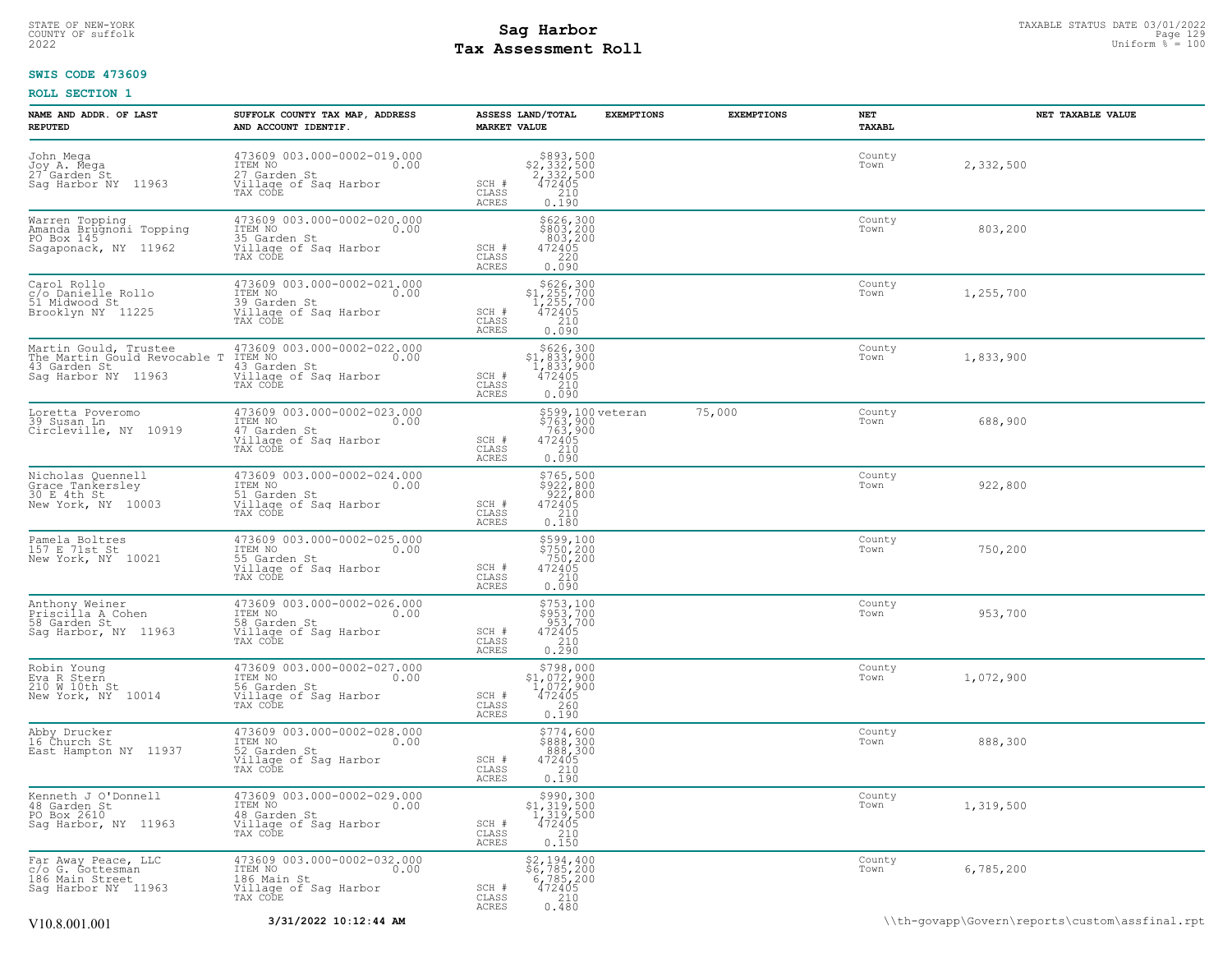## STATE OF NEW-YORK STATUS DATE 03/01/2022<br>
COUNTY OF suffolk **Sag From State of the Sage of the Sage 129**<br>
2022 Man Duiform % = 100 **Tax Assessment Roll**

### **SWIS CODE 473609**

| NAME AND ADDR. OF LAST<br><b>REPUTED</b>                                                      | SUFFOLK COUNTY TAX MAP, ADDRESS<br>AND ACCOUNT IDENTIF.                                                                                                                                                                                                                                                                       | ASSESS LAND/TOTAL<br><b>MARKET VALUE</b>                                                                                                   | <b>EXEMPTIONS</b><br><b>EXEMPTIONS</b> | NET<br>TAXABL  | NET TAXABLE VALUE |
|-----------------------------------------------------------------------------------------------|-------------------------------------------------------------------------------------------------------------------------------------------------------------------------------------------------------------------------------------------------------------------------------------------------------------------------------|--------------------------------------------------------------------------------------------------------------------------------------------|----------------------------------------|----------------|-------------------|
| John Mega<br>Joy A. Mega<br>27 Garden St<br>Sag Harbor NY 11963                               | 473609 003.000-0002-019.000<br>ITEM NO 0.00<br>27 Garden St<br>Village of Sag Harbor<br>TAX CODE                                                                                                                                                                                                                              | $$893,500$<br>$$2,332,500$<br>$2,332,500$<br>$472405$<br>$$210$<br>SCH #<br>CLASS<br>ACRES<br>0.190                                        |                                        | County<br>Town | 2,332,500         |
| Warren Topping<br>Amanda Brugnoni Topping<br>PO Box 145<br>PU Box 145<br>Sagaponack, NY 11962 | 473609 003.000-0002-020.000<br>ITEM NO 0.00<br>35 Garden St<br>35 Garden St<br>Village of Sag Harbor<br>TAX CODE                                                                                                                                                                                                              | $\frac{$626,300}{$803,200}$<br>$803,200$<br>$472405$<br>$220$<br>SCH #<br>CLASS<br>0.090<br>ACRES                                          |                                        | County<br>Town | 803,200           |
| Carol Rollo<br>c/o Danielle Rollo<br>51 Midwood St<br>Brooklyn NY 11225                       | 473609 003.000-0002-021.000<br>ITEM NO<br>39 Garden St<br>Village of Sag Harbor<br>TAX CODE                                                                                                                                                                                                                                   | $5626,300\n$1,255,700\n1,255,700\n472405\n210$<br>SCH #<br>CLASS<br>0.090<br>ACRES                                                         |                                        | County<br>Town | 1,255,700         |
|                                                                                               | Martin Gould, Trustee $\begin{array}{r} 473609003.000-0002-022.000 \\ \text{The Martin Gould Revocable T ITEM NO} \begin{array}{r} 43609003.000-0002-022.000 \\ \text{43 Garden St} \begin{array}{r} 43 \text{ Garden St} \\ 43 \text{ Gardner} \end{array} \\ \text{Sag Harbor NY} \end{array}$ 11963 TAX CODE of Saq Harbor | $$626,300$<br>$$1,833,900$<br>$1,833,900$<br>$472405$<br>$$210$<br>SCH #<br>CLASS<br>ACRES<br>$0.\overline{0}\,\overline{9}\,\overline{0}$ |                                        | County<br>Town | 1,833,900         |
| Loretta Poveromo<br>39 Susan Ln<br>Circleville, NY 10919                                      | 473609 003.000-0002-023.000<br>ITEM NO 0.00<br>47 Cardon St<br>17 Garden St<br>Village of Sag Harbor<br>TAX CODE                                                                                                                                                                                                              | \$599,100 veteran<br>\$763,900<br>763,900<br>472405<br>210<br>SCH #<br>CLASS<br>ACRES<br>0.090                                             | 75,000                                 | County<br>Town | 688,900           |
| Nicholas Quennell<br>Grace Tankersley<br>30 E 4th St<br>New York, NY 10003                    | 473609 003.000-0002-024.000<br>ITEM NO 0.00<br>51 Garden St<br>Village of Sag Harbor<br>TAX CODE                                                                                                                                                                                                                              | $$765, 500$<br>$$922, 800$<br>$922, 800$<br>$472405$<br>SCH #<br>CLASS<br>210<br>0.180<br><b>ACRES</b>                                     |                                        | County<br>Town | 922,800           |
| Pamela Boltres<br>157 E 71st St<br>New York, NY 10021                                         | 473609 003.000-0002-025.000<br>TEM NO 0.00<br>EL Gaudes Ot<br>55 Garden St<br>Village of Sag Harbor<br>TAX CODE                                                                                                                                                                                                               | $5599,100$<br>$5750,200$<br>$750,200$<br>$472405$<br>$210$<br>$230$<br>SCH #<br>$\mathtt{CLASS}$<br><b>ACRES</b><br>0.090                  |                                        | County<br>Town | 750,200           |
| Anthony Weiner<br>Priscilla A Cohen<br>58 Garden St<br>Sag Harbor, NY 11963                   | 473609 003.000-0002-026.000<br>ITEM NO 0.00<br>finn no<br>58 Garden St<br>Village of Sag Harbor<br>TAX CODE                                                                                                                                                                                                                   | \$753,100<br>\$953,700<br>953,700<br>472405<br>210<br>0.290<br>SCH #<br>CLASS<br>ACRES                                                     |                                        | County<br>Town | 953,700           |
| Robin Young<br>Eva R Stern<br>210 W 10th St<br>New York, NY 10014                             | 473609 003.000-0002-027.000<br>ITEM NO 0.00<br>16 Garden St<br>Village of Sag Harbor<br>TAX CODE                                                                                                                                                                                                                              | $5798,000\n51,072,900\n1,072,900\n472405\n260\n260$<br>SCH #<br>$\mathtt{CLASS}$<br>0.190<br>ACRES                                         |                                        | County<br>Town | 1,072,900         |
| Abby Drucker<br>16 Church St<br>East Hampton NY 11937                                         | 473609 003.000-0002-028.000<br>ITEM NO <sub>1</sub> 0.00<br>52 Garden St<br>Village of Sag Harbor<br>TAX CODE                                                                                                                                                                                                                 | \$774,600<br>\$888,300<br>888,300<br>SCH #<br>$472405$<br>$210$<br>CLASS<br><b>ACRES</b><br>0.190                                          |                                        | County<br>Town | 888,300           |
| Kenneth J O'Donnell<br>48 Garden St<br>PO Box 2610<br>Sag Harbor, NY 11963                    | 473609 003.000-0002-029.000<br>ITEM NO 0.00<br>-----<br>48 Garden St<br>Village of Saq Harbor<br>TAX CODE                                                                                                                                                                                                                     | $5990, 300$<br>$1, 319, 500$<br>$472405$<br>$210$<br>SCH #<br>CLASS<br>ACRES<br>0.150                                                      |                                        | County<br>Town | 1,319,500         |
| Far Away Peace, LLC<br>c/o G. Gottesman<br>186 Main Street<br>Sag Harbor NY 11963             | 473609 003.000-0002-032.000<br>ITEM NO 0.00<br>196 Main St<br>186 Main St<br>Village of Saq Harbor<br>TAX CODE                                                                                                                                                                                                                | \$2,194,400<br>\$6,785,200<br>6,785,200<br>472405<br>210<br>$SCH$ #<br>CLASS<br>0.480<br>ACRES                                             |                                        | County<br>Town | 6,785,200         |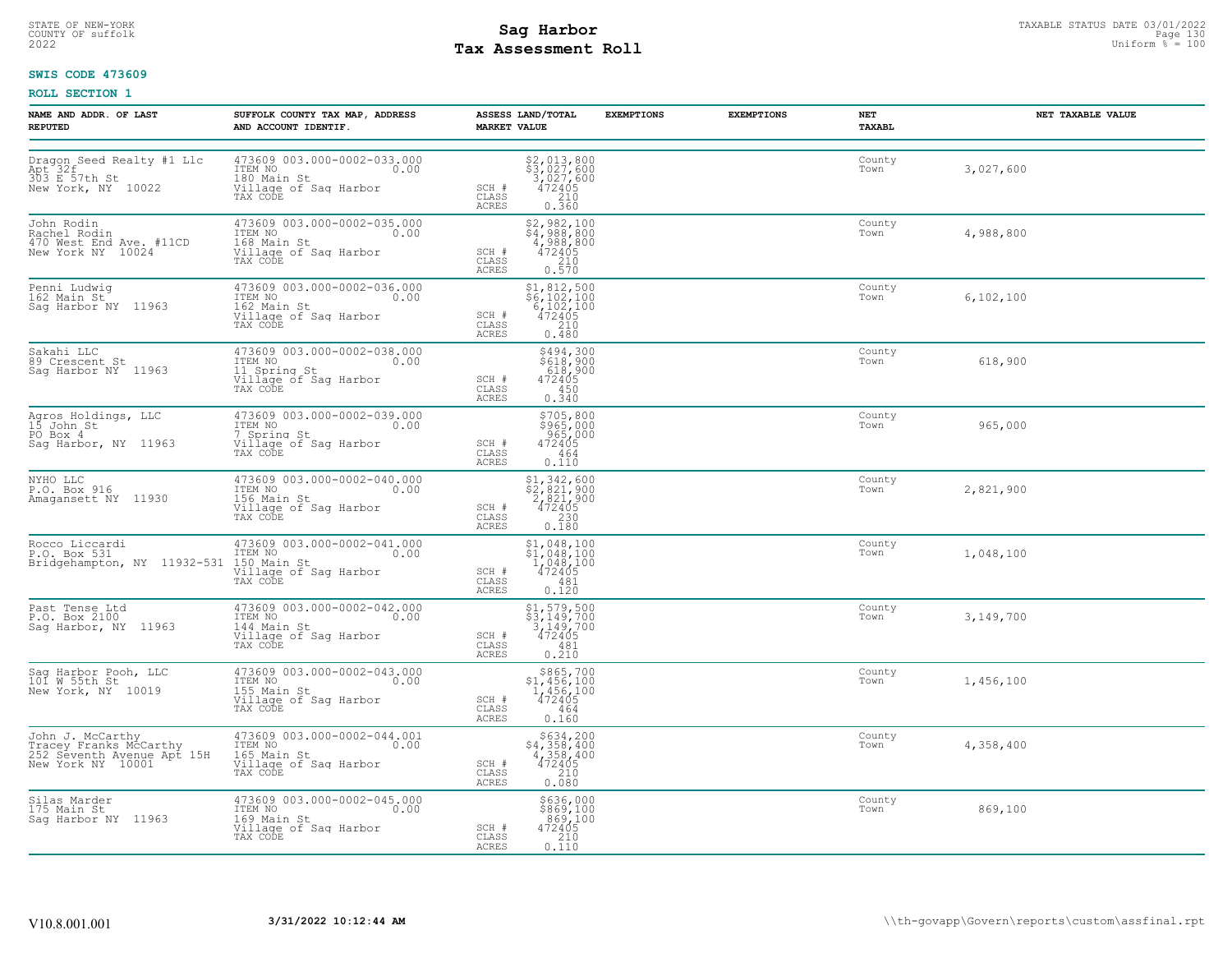## STATE OF NEW-YORK STATUS DATE 03/01/2022<br>
COUNTY OF suffolk **Sag From the Sag State Page 130**<br>
2022 Pay Assessment Roll **Tax Assessment Roll**

### **SWIS CODE 473609**

| NAME AND ADDR. OF LAST<br><b>REPUTED</b>                                                      | SUFFOLK COUNTY TAX MAP, ADDRESS<br>AND ACCOUNT IDENTIF.                                                             | ASSESS LAND/TOTAL<br><b>MARKET VALUE</b>                                                                                                                                                                                                    | <b>EXEMPTIONS</b><br><b>EXEMPTIONS</b> | NET<br>TAXABL  | NET TAXABLE VALUE |
|-----------------------------------------------------------------------------------------------|---------------------------------------------------------------------------------------------------------------------|---------------------------------------------------------------------------------------------------------------------------------------------------------------------------------------------------------------------------------------------|----------------------------------------|----------------|-------------------|
| Dragon Seed Realty #1 Llc<br>Apt 32f<br>303 E 57th St<br>New York, NY 10022                   | 473609 003.000-0002-033.000<br>ITEM NO 0.00<br>180 Main St<br>Village of Sag Harbor<br>TAX CODE                     | $\begin{array}{r} 52,013,800 \\ 53,027,600 \\ 3,027,600 \\ 472405 \\ 210 \\ 0.360 \end{array}$<br>SCH #<br>CLASS<br>ACRES                                                                                                                   |                                        | County<br>Town | 3,027,600         |
| John Rodin<br>Rachel Rodin<br>470 Mest End Ave. #11CD<br>New York NY 10024                    | 473609 003.000-0002-035.000<br>ITEM NO<br>I68 Main St 0.00<br>Village of Saq Harbor<br>TAX CODE                     | \$2,982,100<br>\$4,988,800<br>4,988,800<br>472405<br>SCH #<br>CLASS<br>210<br>ACRES<br>0.570                                                                                                                                                |                                        | County<br>Town | 4,988,800         |
| Penni Ludwig<br>162 Main St<br>Sag Harbor NY 11963                                            | 473609 003.000-0002-036.000<br>ITEM NO 0.00<br>162 Main St<br>Village of Saq Harbor<br>TAX CODE                     | \$1,812,500<br>\$6,102,100<br>6,102,100<br>472405<br>SCH #<br>CLASS<br>210<br>ACRES<br>0.480                                                                                                                                                |                                        | County<br>Town | 6,102,100         |
| Sakahi LLC<br>89 Crescent St<br>Saq Harbor NY 11963                                           | 473609 003.000-0002-038.000<br>ITEM NO. 000<br>11 Spring St<br>Village of Sag Harbor<br>TAX CODE                    | \$494,300<br>\$618,900<br>618,900<br>SCH #<br>472405<br>CLASS<br>450<br>0.340<br>ACRES                                                                                                                                                      |                                        | County<br>Town | 618,900           |
| Agros Holdings, LLC<br>15 John St<br>PO Box 4<br>Sag Harbor, NY 11963                         | 473609 003.000-0002-039.000<br>ITEM NO 0.00<br>1 Spring St<br>Village of Sag Harbor<br>TAX CODE                     | \$705,800<br>\$965,000<br>965,000<br>472405<br>SCH #<br>CLASS<br>464<br>0.110<br>ACRES                                                                                                                                                      |                                        | County<br>Town | 965,000           |
| NYHO LLC<br>P.O. Box 916<br>Amagansett NY 11930                                               | 473609 003.000-0002-040.000<br>ITEM NO 0.00<br>156 Main St<br>Village of Saq Harbor<br>TAX CODE                     | $\begin{array}{r} \text{\small $51$, $342$, $600$} \\ \text{\small $52$, $821$, $900$} \\ \text{\small $2$, $821$, $900$} \\ \text{\small $472405$} \\ \text{\small $230$} \\ \text{\small $0.180$} \end{array}$<br>SCH #<br>CLASS<br>ACRES |                                        | County<br>Town | 2,821,900         |
| Rocco Liccardi<br>P.O. Box 531<br>Bridgehampton, NY 11932-531 150 Main St                     | 473609 003.000-0002-041.000<br>ITEM NO 0.00<br>Village of Sag Harbor<br>TAX CODE                                    | $$1,048,100$<br>$$1,048,100$<br>$1,048,100$<br>$472405$<br>SCH #<br>CLASS<br>$-481$<br>0.120<br>ACRES                                                                                                                                       |                                        | County<br>Town | 1,048,100         |
| Past Tense Ltd<br>P.O. Box 2100<br>Sag Harbor, NY 11963                                       | 473609 003.000-0002-042.000<br>ITEM NO 0.00<br>144 Main St<br>Village of Sag Harbor<br>TAX CODE                     | \$1,579,500<br>\$3,149,700<br>3,149,700<br>472405<br>SCH #<br>CLASS<br>481<br>ACRES<br>0.210                                                                                                                                                |                                        | County<br>Town | 3,149,700         |
| Sag Harbor Pooh, LLC<br>101 W 55th St<br>New York, NY 10019                                   | 473609 003.000-0002-043.000<br>TTEM NO<br>155 Main St<br>Village of Sag Harbor<br>Village of Sag Harbor<br>TAX CODE | $$865,700$<br>$$1,456,100$<br>$1,456,100$<br>$472405$<br>SCH #<br>CLASS<br>464<br>0.160<br>ACRES                                                                                                                                            |                                        | County<br>Town | 1,456,100         |
| John J. McCarthy<br>Tracey Franks McCarthy<br>252 Seventh Avenue Apt 15H<br>New York NY 10001 | 473609 003.000-0002-044.001<br>ITEM NO 0.00<br>165 Main St<br>Village of Sag Harbor<br>TAX CODE                     | \$634,200<br>\$4,358,400<br>4,358,400<br>472405<br>SCH #<br>CLASS<br>$\begin{array}{c} 210 \\ 0.080 \end{array}$<br>ACRES                                                                                                                   |                                        | County<br>Town | 4,358,400         |
| Silas Marder<br>175 Main St<br>Saq Harbor NY 11963                                            | 473609 003.000-0002-045.000<br>ITEM NO. 0.00<br>169 Main St<br>Village of Saq Harbor<br>TAX CODE                    | \$636,000<br>\$869,100<br>869,100<br>SCH #<br>472405<br>CLASS<br>0.110<br>ACRES                                                                                                                                                             |                                        | County<br>Town | 869,100           |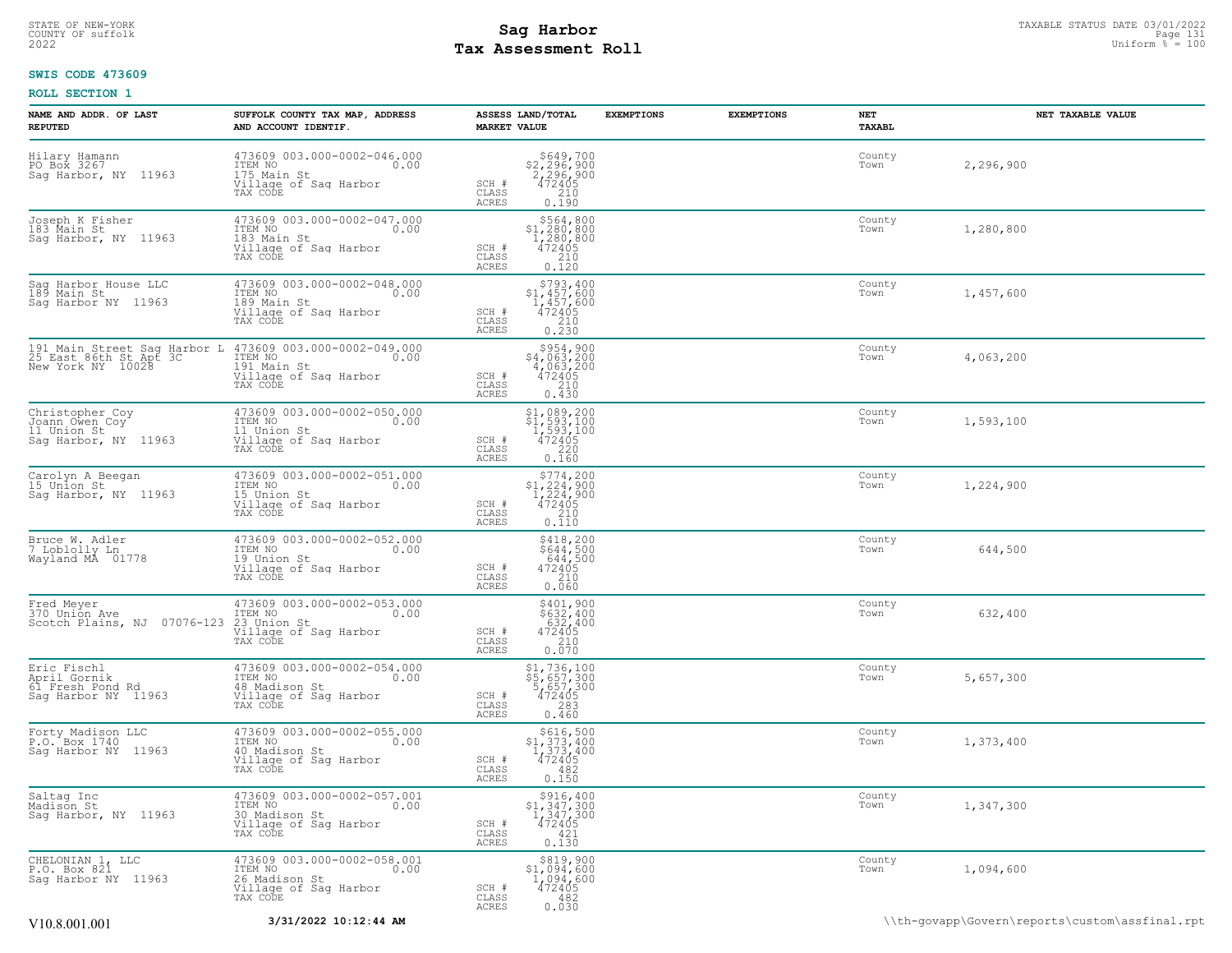## STATE OF NEW-YORK STATUS DATE 03/01/2022<br>
COUNTY OF suffolk Taxable Page 131<br>
2022 MageSosment Roll Page 131 **Tax Assessment Roll**

### **SWIS CODE 473609**

| NAME AND ADDR. OF LAST<br><b>REPUTED</b>                                    | SUFFOLK COUNTY TAX MAP, ADDRESS<br>AND ACCOUNT IDENTIF.                                              | ASSESS LAND/TOTAL<br><b>EXEMPTIONS</b><br><b>MARKET VALUE</b>                                                               | <b>EXEMPTIONS</b> | NET<br>TAXABL               | NET TAXABLE VALUE                              |
|-----------------------------------------------------------------------------|------------------------------------------------------------------------------------------------------|-----------------------------------------------------------------------------------------------------------------------------|-------------------|-----------------------------|------------------------------------------------|
| Hilary Hamann<br>PO Box 3267<br>Sag Harbor, NY 11963                        | 473609 003.000-0002-046.000<br>TTEM NO 0.00<br>175 Main St<br>Village of Saq Harbor<br>TAX CODE      | \$649,700<br>\$2,296,900<br>2,296,900<br>472405<br>SCH #<br>CLASS<br>0.190<br>ACRES                                         |                   | County<br>Town<br>2,296,900 |                                                |
| Joseph K Fisher<br>183 Main St<br>Sag Harbor, NY 11963                      | 473609 003.000-0002-047.000<br>ITEM NO<br>0.00<br>183 Main St<br>Village of Sag Harbor<br>TAX CODE   | \$564,800<br>\$1,280,800<br>1,280,800<br>SCH #<br>472405<br>CLASS<br>210<br>ACRES<br>0.120                                  |                   | County<br>Town<br>1,280,800 |                                                |
| Saq Harbor House LLC<br>189 Main St<br>Sag Harbor NY 11963                  | 473609 003.000-0002-048.000<br>ITEM NO<br>0.00<br>189 Main St<br>Village of Sag Harbor<br>TAX CODE   | \$793,400<br>$$1,457,600$<br>1,457,600<br>$\begin{array}{r} 472405 \\ 210 \\ 0.230 \end{array}$<br>SCH #<br>CLASS<br>ACRES  |                   | County<br>1,457,600<br>Town |                                                |
| 191 Main Street Sag Harbor L<br>25 East 86th St Apt 3C<br>New York NY 10028 | 473609 003.000-0002-049.000<br>ITEM NO<br>0.00<br>191 Main St<br>Village of Saq Harbor<br>TAX CODE   | $$954,900$<br>$$4,063,200$<br>$4,063,200$<br>$472405$<br>SCH #<br>CLASS<br>210<br>ACRES<br>0.430                            |                   | County<br>Town<br>4,063,200 |                                                |
| Christopher Coy<br>Joann Owen Coy<br>11 Union St<br>Saq Harbor, NY 11963    | 473609 003.000-0002-050.000<br>TTEM NO 0.00<br>11 Union St<br>Village of Saq Harbor<br>TAX CODE      | \$1,089,200<br>\$1,593,100<br>1,593,100<br>472405<br>SCH #<br>CLASS<br>$\begin{array}{c} 220 \\ 0.160 \end{array}$<br>ACRES |                   | County<br>Town<br>1,593,100 |                                                |
| Carolyn A Beegan<br>15 Union St<br>Saq Harbor, NY 11963                     | 473609 003.000-0002-051.000<br>ITEM NO<br>15 Union St<br>0.00<br>Village of Sag Harbor<br>TAX CODE   | $$^{5774}_{1,224}$ , 900<br>$1,224$ , 900<br>$1,224$ , 900<br>472405<br>SCH #<br>CLASS<br>210<br>ACRES<br>0.110             |                   | County<br>Town<br>1,224,900 |                                                |
| Bruce W. Adler<br>7 Loblolly Ln<br>Wayland MA 01778                         | 473609 003.000-0002-052.000<br>ITEM NO<br>0.00<br>19 Union St<br>Village of Sag Harbor<br>TAX CODE   | \$418,200<br>\$644,500<br>644,500<br>SCH #<br>472405<br>CLASS<br>210<br>0.060<br>ACRES                                      |                   | County<br>Town<br>644,500   |                                                |
| Fred Meyer<br>370 Union Ave<br>Scotch Plains, NJ 07076-123 23 Union St      | 473609 003.000-0002-053.000<br>TTEM NO 0.00<br>Village of Saq Harbor<br>TAX CODE                     | \$401,900<br>\$632,400<br>632,400<br>472405<br>SCH #<br>CLASS<br>$0.210$<br>$0.070$<br>ACRES                                |                   | County<br>Town<br>632,400   |                                                |
| Eric Fischl<br>April Gornik<br>61 Fresh Pond Rd<br>Sag Harbor NY 11963      | 473609 003.000-0002-054.000<br>ITEM NO<br>0.00<br>48 Madison St<br>Village of Sag Harbor<br>TAX CODE | \$1,736,100<br>\$5,657,300<br>5,657,300<br>472405<br>SCH #<br>CLASS<br>283<br>ACRES<br>0.460                                |                   | County<br>Town<br>5,657,300 |                                                |
| Forty Madison LLC<br>P.O. Box 1740<br>Sag Harbor NY 11963                   | 473609 003.000-0002-055.000<br>ITEM NO<br>0.00<br>40 Madison St<br>Village of Sag Harbor<br>TAX CODE | \$616,500<br>$$1,373,400$<br>$1,373,400$<br>$472405$<br>SCH #<br>CLASS<br>482<br>0.150<br>ACRES                             |                   | County<br>1,373,400<br>Town |                                                |
| Saltag Inc<br>Madison St<br>Sag Harbor, NY 11963                            | 473609 003.000-0002-057.001<br>ITEM NO<br>0.00<br>30 Madison St<br>Village of Saq Harbor<br>TAX CODE | \$916,400<br>$$^{1,347}_{1,347,300}_{1,347,300}$<br>SCH #<br>CLASS<br>421<br>ACRES<br>0.130                                 |                   | County<br>Town<br>1,347,300 |                                                |
| CHELONIAN 1, LLC<br>P.O. Box 821<br>Sag Harbor NY 11963                     | 473609 003.000-0002-058.001<br>ITEM NO 0.00<br>26 Madison St<br>Village of Sag Harbor<br>TAX CODE    | $\begin{array}{c} $819,900 \\ $1,094,600 \\ $1,094,600 \\ $472405 \end{array}$<br>SCH #<br>CLASS<br>482<br>0.030<br>ACRES   |                   | County<br>Town<br>1,094,600 |                                                |
| V10.8.001.001                                                               | 3/31/2022 10:12:44 AM                                                                                |                                                                                                                             |                   |                             | \\th-govapp\Govern\reports\custom\assfinal.rpt |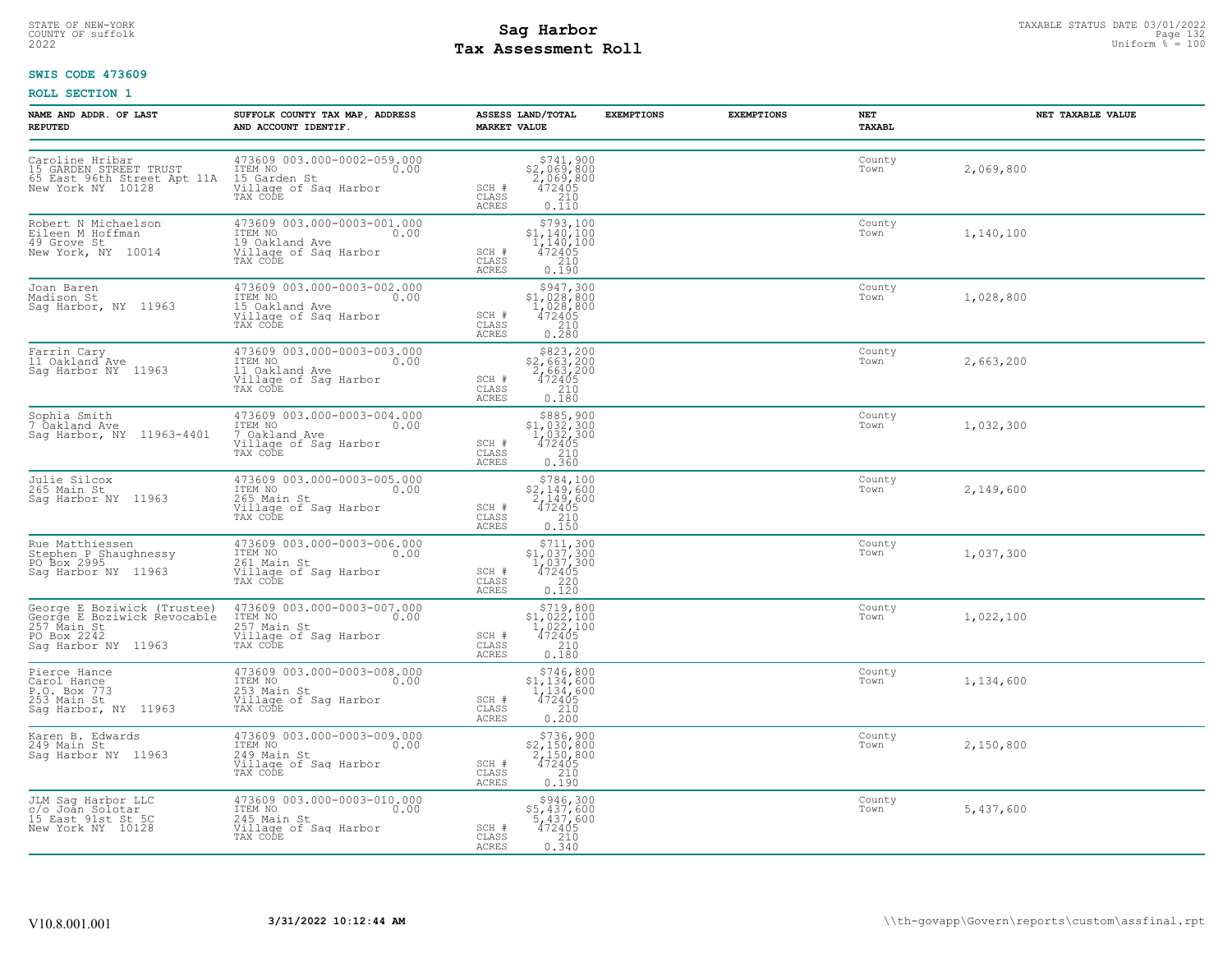## STATE OF NEW-YORK STATUS DATE 03/01/2022<br>
COUNTY OF suffolk **Sag From the Sag State Page 132**<br>
2022 Pay Assessment Roll **Tax Assessment Roll**

### **SWIS CODE 473609**

| NAME AND ADDR. OF LAST<br><b>REPUTED</b>                                                                                        | SUFFOLK COUNTY TAX MAP, ADDRESS<br>AND ACCOUNT IDENTIF.                                                 | ASSESS LAND/TOTAL<br><b>MARKET VALUE</b>                                                                                             | <b>EXEMPTIONS</b> | <b>EXEMPTIONS</b> | NET<br>TAXABL  | NET TAXABLE VALUE |
|---------------------------------------------------------------------------------------------------------------------------------|---------------------------------------------------------------------------------------------------------|--------------------------------------------------------------------------------------------------------------------------------------|-------------------|-------------------|----------------|-------------------|
| Caroline Hribar<br>15 GARDEN STREET TRUST<br>65 East 96th Street Apt 11A 15 Garden St<br>New York NY 10128<br>New York NY 10128 | 473609 003.000-0002-059.000<br>ITEM NO 0.00<br>TAX CODE                                                 | $$741,900$<br>$$2,069,800$<br>$2,069,800$<br>SCH #<br>$\frac{7472405}{210}$<br>CLASS<br><b>ACRES</b><br>0.110                        |                   |                   | County<br>Town | 2,069,800         |
| Robert N Michaelson<br>Eileen M Hoffman<br>49 Grove St<br>New York, NY 10014                                                    | 473609 003.000-0003-001.000<br>ITEM NO<br>0.00<br>19 Oakland Ave<br>Village of Sag Harbor<br>TAX CODE   | $$793,100$<br>$$1,140,100$<br>$\frac{1}{472405}$<br>SCH #<br>CLASS<br>210<br>0.190<br><b>ACRES</b>                                   |                   |                   | County<br>Town | 1,140,100         |
| Joan Baren<br>Madison St<br>Sag Harbor, NY 11963                                                                                | 473609 003.000-0003-002.000<br>ITEM NO 0.00<br>15 Oakland Ave<br>Village of Sag Harbor<br>TAX CODE      | \$947,300<br>$$1,028,800$<br>$1,028,800$<br>$472405$<br>SCH #<br>CLASS<br>$\begin{array}{c} 210 \\ 0.280 \end{array}$<br>ACRES       |                   |                   | County<br>Town | 1,028,800         |
| Farrin Cary<br>11 Oakland Ave<br>Sag Harbor NY 11963                                                                            | 473609 003.000-0003-003.000<br>ITEM NO 0.00<br>11 Oakland Ave<br>Village of Sag Harbor<br>TAX CODE      | \$823,200<br>$$2,663,200$<br>2,663,200<br>472405<br>210<br>SCH #<br>CLASS<br>0.180<br>ACRES                                          |                   |                   | County<br>Town | 2,663,200         |
| Sophia Smith<br>7 Oakland Ave<br>Sag Harbor, NY 11963-4401                                                                      | 473609 003.000-0003-004.000<br>ITEM NO<br>0.00<br>7 Oakland Ave<br>Village of Sag Harbor<br>TAX CODE    | $$885, 900$<br>$$1, 032, 300$<br>$1, 032, 300$<br>$472405$<br>$$210$<br>SCH #<br>CLASS<br>0.360<br>ACRES                             |                   |                   | County<br>Town | 1,032,300         |
| Julie Silcox<br>265 Main St<br>Sag Harbor NY  11963                                                                             | 473609 003.000-0003-005.000<br>ITEM NO 0.00<br>265 Main St<br>Village of Sag Harbor<br>TAX CODE         | $\begin{array}{r} 5784, 100 \\ 52, 149, 600 \\ 2, 149, 600 \\ 472405 \\ 210 \\ 0.150 \end{array}$<br>SCH #<br>CLASS<br><b>ACRES</b>  |                   |                   | County<br>Town | 2,149,600         |
| Rue Matthiessen<br>Stephen P Shaughnessy<br>PO Box 2995<br>Saq Harbor NY 11963                                                  | 473609 003.000-0003-006.000<br>ITEM NO.00<br>261 Main St<br>Village of Sag Harbor<br>TAX CODE           | $$711,300$<br>$$1,037,300$<br>$1,037,300$<br>$472405$<br>SCH #<br>CLASS<br>$\frac{220}{0.120}$<br><b>ACRES</b>                       |                   |                   | County<br>Town | 1,037,300         |
| George E Boziwick (Trustee)<br>George E Boziwick Revocable<br>257 Main St<br>PO Box 2242<br>Sag Harbor NY 11963                 | 473609 003.000-0003-007.000<br>ITEM NO 0.00<br>257 Main St<br>Village of Sag Harbor<br>TAX CODE         | $\begin{array}{r} $719,800 \\ $1,022,100 \\ $1,022,100 \\ $472405 \\ $210 \\ $2,100 \end{array}$<br>SCH #<br>CLASS<br>ACRES<br>0.180 |                   |                   | County<br>Town | 1,022,100         |
| Pierce Hance<br>Carol Hance<br>P.O. Box 773<br>253 Main St<br>Saq Harbor, NY 11963                                              | 473609 003.000-0003-008.000<br>TTEM NO<br>253 Main St<br>Village of Sag Harbor<br>TAX CODE              | \$746,800<br>$$1,134,600$<br>$1,134,600$<br>$472405$<br>SCH #<br>CLASS<br>$\frac{210}{0.200}$<br><b>ACRES</b>                        |                   |                   | County<br>Town | 1,134,600         |
| Karen B. Edwards<br>249 Main St<br>Sag Harbor NY 11963                                                                          | 473609 003.000-0003-009.000<br>ITEM NO 0.00<br>0.00<br>249 Main St<br>Village of Sag Harbor<br>TAX CODE | $$736,900$<br>$$2,150,800$<br>$2,150,800$<br>$472405$<br>SCH #<br>CLASS<br>$\begin{bmatrix} 210 \\ 0.190 \end{bmatrix}$<br>ACRES     |                   |                   | County<br>Town | 2,150,800         |
| JLM Sag Harbor LLC<br>c/o Joan Solotar<br>15 East 91st St 5C<br>New York NY 10128                                               | 473609 003.000-0003-010.000<br>TTEM NO 0.00<br>245 Main St<br>Village of Sag Harbor<br>TAX CODE         | \$946,300<br>\$5,437,600<br>5,437,600<br>472405<br>SCH #<br>CLASS<br>$\frac{210}{0.340}$<br>ACRES                                    |                   |                   | County<br>Town | 5,437,600         |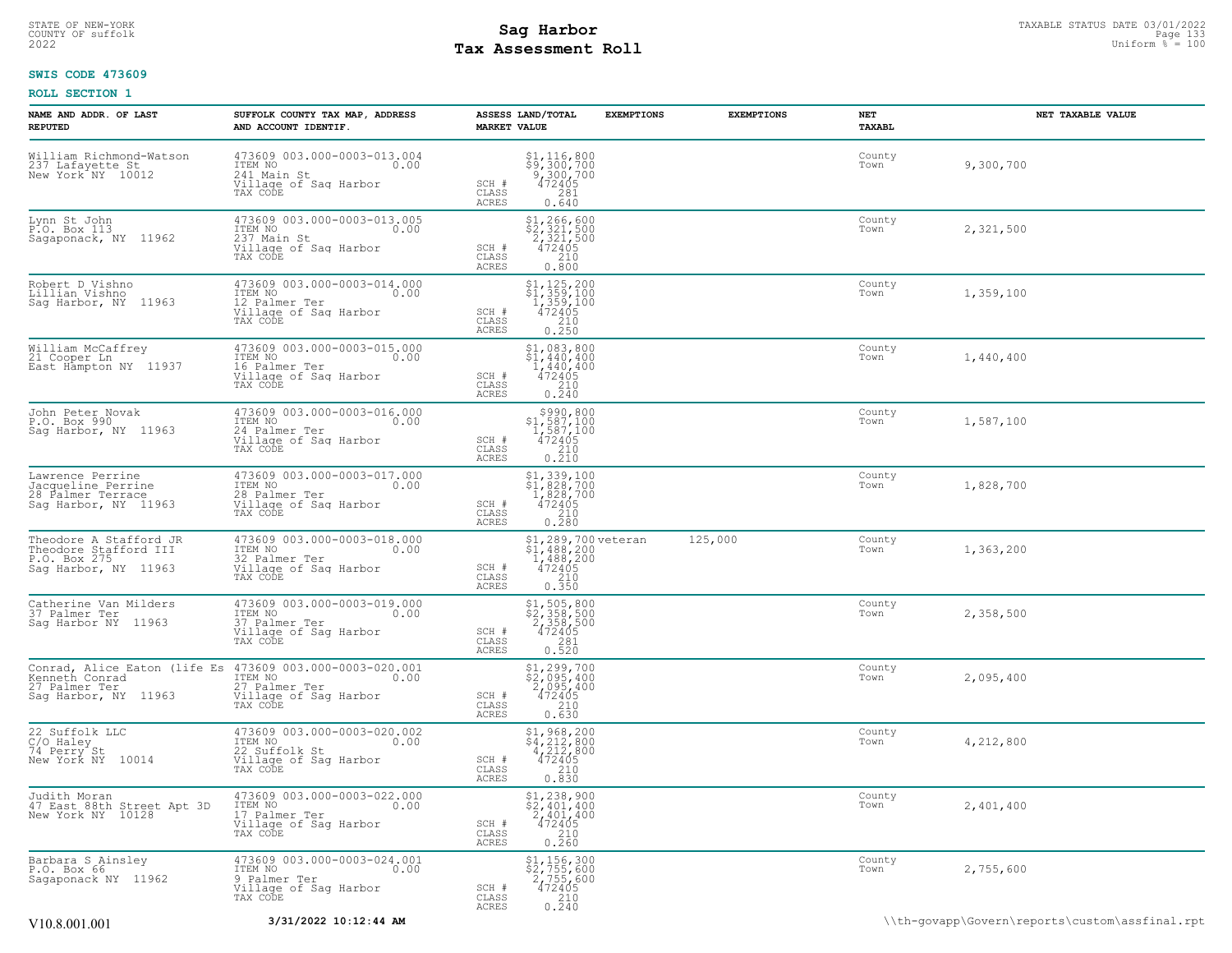## STATE OF NEW-YORK STATUS DATE 03/01/2022<br>
COUNTY OF suffolk **Sag From the Sag State Page 133**<br>
2022 Pay Assessment Roll **Tax Assessment Roll**

### **SWIS CODE 473609**

| NAME AND ADDR. OF LAST<br><b>REPUTED</b>                                                | SUFFOLK COUNTY TAX MAP, ADDRESS<br>AND ACCOUNT IDENTIF.                                                               | <b>MARKET VALUE</b>            | ASSESS LAND/TOTAL                                                                                                                                                                                  | <b>EXEMPTIONS</b> | <b>EXEMPTIONS</b> | NET<br>TAXABL  | NET TAXABLE VALUE |
|-----------------------------------------------------------------------------------------|-----------------------------------------------------------------------------------------------------------------------|--------------------------------|----------------------------------------------------------------------------------------------------------------------------------------------------------------------------------------------------|-------------------|-------------------|----------------|-------------------|
| William Richmond-Watson<br>237 Lafayette St.<br>New York <sup>*</sup> NY 10012          | 473609 003.000-0003-013.004<br>ITEM NO<br>0.00<br>241 Main St<br>Village of Saq Harbor<br>TAX CODE                    | SCH #<br>CLASS<br><b>ACRES</b> | \$1,116,800<br>\$9,300,700<br>9,300,700<br>472405<br>281<br>0.640                                                                                                                                  |                   |                   | County<br>Town | 9,300,700         |
| Lynn St John<br>P.O. Box 113<br>Sagaponack, NY 11962                                    | 473609 003.000-0003-013.005<br>ITEM NO<br>237 Main St<br>0.00<br>Village of Sag Harbor<br>TAX CODE                    | SCH #<br>CLASS<br><b>ACRES</b> | $\begin{array}{r} 51,266,600 \\ 52,321,500 \\ 2,321,500 \\ 472405 \\ 210 \end{array}$<br>0.800                                                                                                     |                   |                   | County<br>Town | 2,321,500         |
| Robert D Vishno<br>Lillian Vishno<br>Saq Harbor, NY 11963                               | 473609 003.000-0003-014.000<br>ITEM NO<br>0.00<br>12 Palmer Ter<br>12 Palmer Ter<br>Tillage of Sag Harbor<br>TAX CODE | SCH #<br>CLASS<br><b>ACRES</b> | $\begin{array}{c} \texttt{\$1,\,125,\,200$} \\ \texttt{\$1,\,359,\,100$} \\ 1,359,100 \\ 472405 \\ 210 \\ 0.250 \end{array}$                                                                       |                   |                   | County<br>Town | 1,359,100         |
| William McCaffrey<br>21 Cooper Ln<br>East Hampton NY 11937                              | 473609 003.000-0003-015.000<br>ITEM NO<br>0.00<br>16 Palmer Ter<br>Village of Sag Harbor<br>TAX CODE                  | SCH #<br>CLASS<br>ACRES        | $\begin{array}{c} \text{\small $51$, 083$, 800} \\ \text{\small $51$, 440, 400} \\ \text{\small $1$, 440, 400} \\ \text{\small $472405} \\ \text{\small $210} \\ \text{\small $0.240} \end{array}$ |                   |                   | County<br>Town | 1,440,400         |
| John Peter Novak<br>P.O. Box 990<br>Sag Harbor, NY 11963                                | 473609 003.000-0003-016.000<br>ITEM NO<br>0.00<br>24 Palmer Ter<br>Village of Sag Harbor<br>TAX CODE                  | $SCH$ $#$<br>CLASS<br>ACRES    | $\begin{array}{r} \text{\small $>$990$, 800} \\ \text{\small $>$1$, 587, 100} \\ 1,587, 100 \\ 472405 \\ 210 \\ 0.210 \end{array}$                                                                 |                   |                   | County<br>Town | 1,587,100         |
| Lawrence Perrine<br>Jacqueline Perrine<br>28 Palmer Terrace<br>Sag Harbor, NY 11963     | 473609 003.000-0003-017.000<br>ITEM NO<br>0.00<br>28 Palmer Ter<br>Village of Sag Harbor<br>TAX CODE                  | SCH #<br>CLASS<br><b>ACRES</b> | $$1,339,100$<br>$$1,828,700$<br>$1,828,700$<br>$472405$<br>$\_210$<br>0.280                                                                                                                        |                   |                   | County<br>Town | 1,828,700         |
| Theodore A Stafford JR<br>Theodore Stafford III<br>P.O. Box 275<br>Sag Harbor, NY 11963 | 473609 003.000-0003-018.000<br>ITEM NO<br>0.00<br>32 Palmer Ter<br>Village of Sag Harbor<br>TAX CODE                  | SCH #<br>CLASS<br><b>ACRES</b> | \$1,289,700 veteran<br>\$1,488,200<br>1,488,200<br>472405<br>210<br>0.350                                                                                                                          |                   | 125,000           | County<br>Town | 1,363,200         |
| Catherine Van Milders<br>37 Palmer Ter<br>Saq Harbor NY 11963                           | 473609 003.000-0003-019.000<br>ITEM NO<br>0.00<br>37 Palmer Ter<br>Village of Sag Harbor<br>TAX CODE                  | SCH #<br>CLASS<br><b>ACRES</b> | $$1, 505, 800$<br>$$2, 358, 500$<br>$2, 358, 500$<br>472405<br>281<br>0.520                                                                                                                        |                   |                   | County<br>Town | 2,358,500         |
| Conrad, Alice Eaton (life Es<br>Kenneth Conrad<br>27 Palmer Ter<br>Sag Harbor, NY 11963 | 473609 003.000-0003-020.001<br>ITEM NO<br>0.00<br>27 Palmer Ter<br>Village of Sag Harbor<br>TAX CODE                  | SCH #<br>CLASS<br><b>ACRES</b> | $$2,095,400$<br>$$2,095,400$<br>$2,095,400$<br>$472405$<br>$$210$<br>0.630                                                                                                                         |                   |                   | County<br>Town | 2,095,400         |
| 22 Suffolk LLC<br>C/O_Haley<br>74 Perry St<br>New York NY 10014                         | 473609 003.000-0003-020.002<br>ITEM NO<br>0.00<br>22 Suffolk St<br>Village of Sag Harbor<br>TAX CODE                  | SCH #<br>CLASS<br><b>ACRES</b> | $$4, 212, 800$<br>$$4, 212, 800$<br>$4, 212, 800$<br>$472405$<br>210<br>0.830                                                                                                                      |                   |                   | County<br>Town | 4,212,800         |
| Judith Moran<br>47 East 88th Street Apt 3D<br>New York NY 10128                         | 473609 003.000-0003-022.000<br>ITEM NO<br>0.00<br>17 Palmer Ter<br>Village of Sag Harbor<br>TAX CODE                  | SCH #<br>CLASS<br><b>ACRES</b> | \$1,238,900<br>$\frac{1}{2}, \frac{2}{401}, \frac{400}{400}$<br>472405<br>210<br>0.260                                                                                                             |                   |                   | County<br>Town | 2,401,400         |
| Barbara S Ainsley<br>P.O. Box 66<br>Sagaponack NY 11962                                 | 473609 003.000-0003-024.001<br>ITEM NO<br>0.00<br>9 Palmer Ter<br>Village of Sag Harbor<br>TAX CODE                   | SCH #<br>CLASS<br><b>ACRES</b> | \$1,156,300<br>\$2,755,600<br>2,755,600<br>472405<br>210<br>0.240                                                                                                                                  |                   |                   | County<br>Town | 2,755,600         |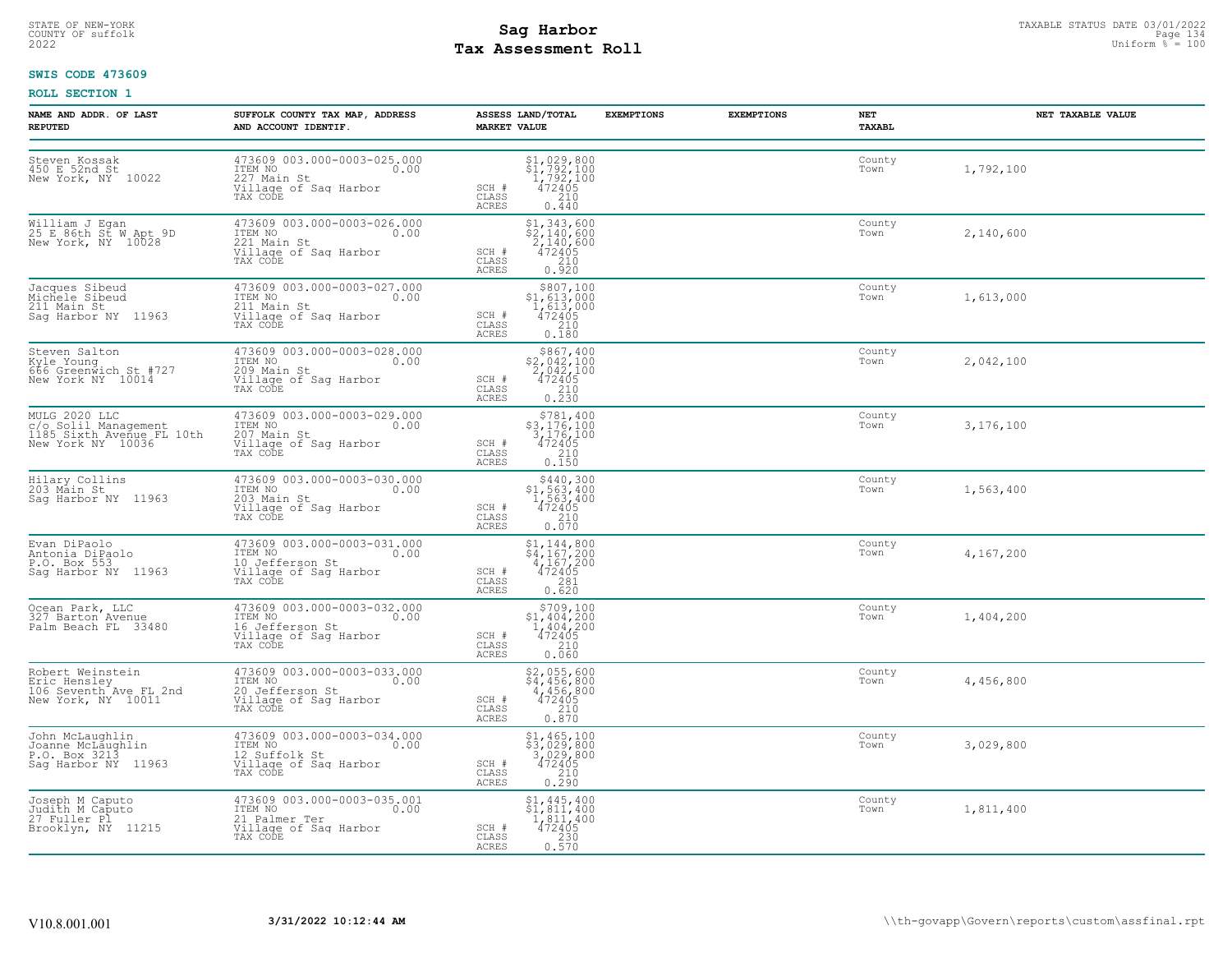## STATE OF NEW-YORK STATUS DATE 03/01/2022<br>
COUNTY OF suffolk **Sag From State Page 134**<br>
2022 Pay Assessment Roll **Tax Assessment Roll**

### **SWIS CODE 473609**

| NAME AND ADDR. OF LAST<br><b>REPUTED</b>                                                 | SUFFOLK COUNTY TAX MAP, ADDRESS<br>AND ACCOUNT IDENTIF.                                                                      | ASSESS LAND/TOTAL<br><b>MARKET VALUE</b>                                                                                                                                                     | <b>EXEMPTIONS</b> | <b>EXEMPTIONS</b> | NET<br>TAXABL  | NET TAXABLE VALUE |
|------------------------------------------------------------------------------------------|------------------------------------------------------------------------------------------------------------------------------|----------------------------------------------------------------------------------------------------------------------------------------------------------------------------------------------|-------------------|-------------------|----------------|-------------------|
| Steven Kossak<br>450 E 52nd St<br>New York, NY 10022                                     | 473609 003.000-0003-025.000<br>ITEM NO<br>0.00<br>1127 Main St<br>Village of Sag Harbor<br>Village of Sag Harbor<br>TAX CODE | $$1,029,800$<br>$$1,792,100$<br>$1,792,100$<br>$472405$<br>SCH #<br>210<br>CLASS<br>0.440<br><b>ACRES</b>                                                                                    |                   |                   | County<br>Town | 1,792,100         |
| William J Egan<br>25 E 86th St W Apt 9D<br>New York, NY 10028                            | 473609 003.000-0003-026.000<br>ITEM NO<br>0.00<br>221 Main St<br>Village of Sag Harbor<br>TAX CODE                           | $$2,140,600$<br>$$2,140,600$<br>$2,140,600$<br>$472405$<br>$$210$<br>SCH #<br>CLASS<br>0.920<br><b>ACRES</b>                                                                                 |                   |                   | County<br>Town | 2,140,600         |
| Jacques Sibeud<br>Michele Sibeud<br>211 Main St<br>Saq Harbor NY 11963                   | 473609 003.000-0003-027.000<br>ITEM NO 0.00<br>211 Main St<br>Village of Sag Harbor<br>TAX CODE                              | $\begin{array}{c} $807,100 \\ $1,613,000 \\ $1,613,000 \\ $472405 \end{array}$<br>SCH #<br>CLASS<br>$\begin{array}{c} 210 \\ 0.180 \end{array}$<br>ACRES                                     |                   |                   | County<br>Town | 1,613,000         |
| Steven Salton<br>Kyle Young<br>666 Greenwich St #727<br>New York NY 10014                | 473609 003.000-0003-028.000<br>ITEM NO<br>0.00<br>209 Main St<br>Village of Sag Harbor<br>TAX CODE                           | \$867,400<br>\$2,042,100<br>2,042,100<br>472405<br>SCH #<br>CLASS<br>$\frac{210}{0.230}$<br><b>ACRES</b>                                                                                     |                   |                   | County<br>Town | 2,042,100         |
| MULG 2020 LLC<br>now Zoolil Management<br>1185 Sixth Avenue FL 10th<br>New York NY 10036 | 473609 003.000-0003-029.000<br>ITEM NO<br>0.00<br>207 Main St<br>Village of Sag Harbor<br>TAX CODE                           | \$781,400<br>$$3,176,100$<br>3, 176, 100<br>472405<br>210<br>SCH #<br>CLASS<br>0.150<br><b>ACRES</b>                                                                                         |                   |                   | County<br>Town | 3,176,100         |
| Hilary Collins<br>203 Main St<br>Saq Harbor NY 11963                                     | 473609 003.000-0003-030.000<br>ITEM NO<br>0.00<br>203 Main St<br>Village of Sag Harbor<br>TAX CODE                           | $$440,300$<br>$$1,563,400$<br>$1,563,400$<br>$472405$<br>210<br>SCH #<br>CLASS<br><b>ACRES</b><br>0.070                                                                                      |                   |                   | County<br>Town | 1,563,400         |
| Evan DiPaolo<br>Antonia DiPaolo<br>P.O. Box 553<br>Saq Harbor NY 11963                   | 473609 003.000-0003-031.000<br>ITEM NO 0.00<br>10 Jefferson St<br>Village of Sag Harbor<br>TAX CODE                          | \$1,144,800<br>\$4,167,200<br>4,167,200<br>472405<br>SCH #<br>CLASS<br>$\frac{281}{0.620}$<br><b>ACRES</b>                                                                                   |                   |                   | County<br>Town | 4,167,200         |
| Ocean Park, LLC<br>327 Barton Avenue<br>Palm Beach FL 33480                              | 473609 003.000-0003-032.000<br>ITEM NO<br>0.00<br>16 Jefferson St<br>Village of Sag Harbor<br>TAX CODE                       | $\begin{array}{r} 5709,100 \\ 51,404,200 \\ 1,404,200 \\ 472405 \\ 210 \end{array}$<br>SCH #<br>CLASS<br>0.060<br>ACRES                                                                      |                   |                   | County<br>Town | 1,404,200         |
| Robert Weinstein<br>Eric Hensley<br>106 Seventh Ave FL 2nd<br>New York, NY 10011         | 473609 003.000-0003-033.000<br>ITEM NO<br>0.00<br>20 Jefferson St<br>Village of Sag Harbor<br>TAX CODE                       | $$2,055,600$<br>$$4,456,800$<br>$4,456,800$<br>$472405$<br>SCH #<br>210<br>CLASS<br>0.870<br><b>ACRES</b>                                                                                    |                   |                   | County<br>Town | 4,456,800         |
| John McLaughlin<br>Joanne McLaughlin<br>P.O. Box 3213<br>Saq Harbor NY 11963             | 473609 003.000-0003-034.000<br>TTEM NO 0.00<br>12 Suffolk St<br>Village of Sag Harbor<br>TAX CODE                            | $\begin{array}{r} \texttt{\$1,465,100} \\ \texttt{\$3,029,800} \\ \texttt{3,029,800} \\ \texttt{472405} \\ \texttt{210} \\ \texttt{0.290} \end{array}$<br>$SCH$ $#$<br>CLASS<br><b>ACRES</b> |                   |                   | County<br>Town | 3,029,800         |
| Joseph M Caputo<br>Judith M Caputo<br>27 Fuller Pl<br>Brooklyn, NY 11215                 | 473609 003.000-0003-035.001<br>ITEM NO<br>0.00<br>21 Palmer Ter<br>Village of Sag Harbor<br>TAX CODE                         | $\begin{array}{l} $1,445,400 \ $1,811,400 \ $1,811,400 \ $472405 \ $230 \end{array}$<br>SCH #<br>CLASS<br>0.570<br>ACRES                                                                     |                   |                   | County<br>Town | 1,811,400         |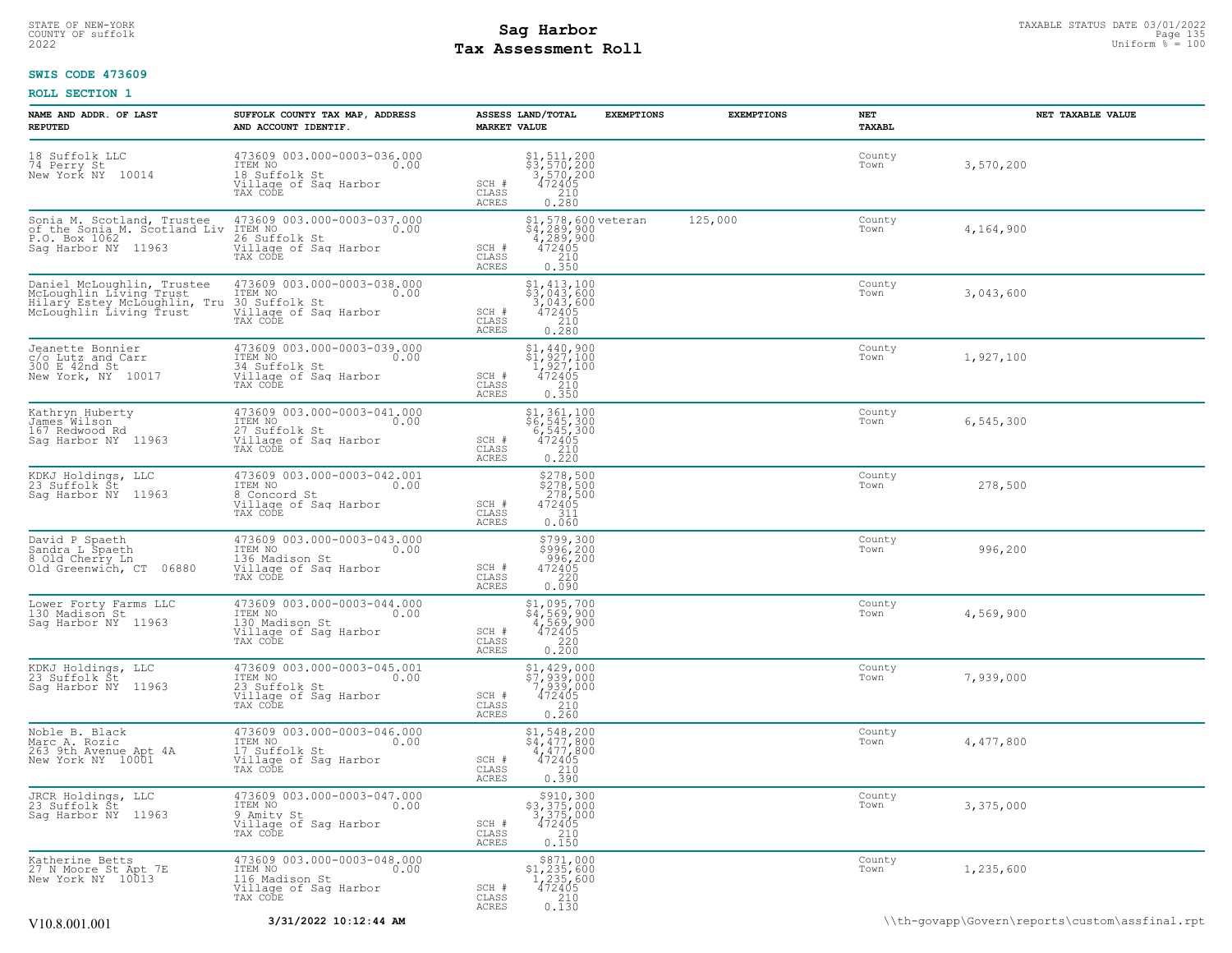## STATE OF NEW-YORK STATUS DATE 03/01/2022<br>
COUNTY OF suffolk **Sag From the Sag State Page 135 Assessment Roll**<br>
2022 May **Assessment Roll** Page 130 **Tax Assessment Roll**

### **SWIS CODE 473609**

| NAME AND ADDR. OF LAST<br><b>REPUTED</b>                                                                         | SUFFOLK COUNTY TAX MAP, ADDRESS<br>AND ACCOUNT IDENTIF.                                               | <b>EXEMPTIONS</b><br>ASSESS LAND/TOTAL<br><b>MARKET VALUE</b>                                                                          | <b>EXEMPTIONS</b> | NET<br>TAXABL  | NET TAXABLE VALUE                              |
|------------------------------------------------------------------------------------------------------------------|-------------------------------------------------------------------------------------------------------|----------------------------------------------------------------------------------------------------------------------------------------|-------------------|----------------|------------------------------------------------|
| 18 Suffolk LLC<br>74 Perry St<br>New York NY 10014                                                               | 473609 003.000-0003-036.000<br>ITEM NO<br>0.00<br>18 Suffolk St<br>Village of Sag Harbor<br>TAX CODE  | \$1,511,200<br>\$3,570,200<br>3,570,200<br>472405<br>SCH #<br>CLASS<br>0.280<br>ACRES                                                  |                   | County<br>Town | 3,570,200                                      |
| Sonia M. Scotland, Trustee<br>of the Sonia M. Scotland Liv<br>P.O. Box 1062<br>Saq Harbor NY 11963               | 473609 003.000-0003-037.000<br>ITEM NO<br>0.00<br>26 Suffolk St<br>Village of Sag Harbor<br>TAX CODE  | \$1,578,600 veteran<br>\$4,289,900<br>4,289,900<br>472405<br>SCH #<br>$\frac{210}{0.350}$<br>CLASS<br>ACRES                            | 125,000           | County<br>Town | 4,164,900                                      |
| Daniel McLoughlin, Trustee<br>McLoughlin Living Trust<br>Hilary Estey McLoughlin, Tru<br>McLoughlin Living Trust | 473609 003.000-0003-038.000<br>ITEM NO<br>0.00<br>30 Suffolk St<br>Village of Sag Harbor<br>TAX CODE  | $$1,413,100$<br>$$3,043,600$<br>3,043,600<br>SCH #<br>$472405$<br>$210$<br>0.280<br>CLASS<br>ACRES                                     |                   | County<br>Town | 3,043,600                                      |
| Jeanette Bonnier<br>c/o Lutz and Carr<br>300 E 42nd St<br>New York, NY 10017                                     | 473609 003.000-0003-039.000<br>ITEM NO<br>0.00<br>34 Suffolk St<br>Village of Sag Harbor<br>TAX CODE  | \$1,440,900<br>$\frac{1}{2}$ , 927, 100<br>1, 927, 100<br>472405<br>SCH #<br>CLASS<br>210<br>ACRES<br>0.350                            |                   | County<br>Town | 1,927,100                                      |
| Kathryn Huberty<br>James Wilson<br>167 Redwood Rd<br>Sag Harbor NY 11963                                         | 473609 003.000-0003-041.000<br>ITEM NO<br>0.00<br>27 Suffolk St<br>Village of Sag Harbor<br>TAX CODE  | $\begin{array}{r} 51,361,100 \\ 56,545,300 \\ 6,545,300 \\ 472405 \\ 210 \\ 0.220 \end{array}$<br>SCH #<br>CLASS<br>ACRES              |                   | County<br>Town | 6, 545, 300                                    |
| KDKJ Holdings, LLC<br>23 Suffolk Št<br>Saq Harbor NY 11963                                                       | 473609 003.000-0003-042.001<br>ITEM NO<br>0.00<br>8 Concord St<br>Village of Sag Harbor<br>TAX CODE   | \$278,500<br>\$278,500<br>278,500<br>472405<br>SCH #<br>CLASS<br>311<br>ACRES<br>0.060                                                 |                   | County<br>Town | 278,500                                        |
| David P Spaeth<br>Sandra L Spaeth<br>8 Old Cherry Ln<br>Old Greenwich, CT 06880                                  | 473609 003.000-0003-043.000<br>ITEM NO<br>0.00<br>136 Madison St<br>Village of Sag Harbor<br>TAX CODE | $$799,300$<br>$$996,200$<br>996,200<br>SCH #<br>472405<br>220<br>CLASS<br>0.090<br><b>ACRES</b>                                        |                   | County<br>Town | 996,200                                        |
| Lower Forty Farms LLC<br>130 Madison St<br>Sag Harbor NY 11963                                                   | 473609 003.000-0003-044.000<br>ITEM NO<br>0.00<br>130 Madison St<br>Village of Sag Harbor<br>TAX CODE | \$1,095,700<br>\$4,569,900<br>4,569,900<br>472405<br>SCH #<br>CLASS<br>0.220<br>ACRES                                                  |                   | County<br>Town | 4,569,900                                      |
| KDKJ Holdings, LLC<br>23 Suffolk Št<br>Saq Harbor NY 11963                                                       | 473609 003.000-0003-045.001<br>ITEM NO<br>0.00<br>23 Suffolk St<br>Village of Sag Harbor<br>TAX CODE  | \$1,429,000<br>\$7,939,000<br>7,939,000<br>472405<br>SCH #<br>$\frac{210}{0.260}$<br>CLASS<br>ACRES                                    |                   | County<br>Town | 7,939,000                                      |
| Noble B. Black<br>Marc A. Rozic<br>263 9th Avenue Apt 4A<br>New York NY 10001                                    | 473609 003.000-0003-046.000<br>ITEM NO<br>0.00<br>17 Suffolk St<br>Village of Sag Harbor<br>TAX CODE  | \$1,548,200<br>$\begin{array}{r} 4,477,800 \\ 4,477,800 \\ 4,477,800 \\ 472405 \\ 210 \\ 0.390 \end{array}$<br>SCH #<br>CLASS<br>ACRES |                   | County<br>Town | 4,477,800                                      |
| JRCR Holdings, LLC<br>23 Suffolk Št<br>Sag Harbor NY 11963                                                       | 473609 003.000-0003-047.000<br>ITEM NO<br>0.00<br>9 Amity St<br>Village of Sag Harbor<br>TAX CODE     | \$910,300<br>\$3,375,000<br>3,375,000<br>472405<br>SCH #<br>CLASS<br>$\begin{array}{c} 210 \\ 0.150 \end{array}$<br>ACRES              |                   | County<br>Town | 3,375,000                                      |
| Katherine Betts<br>27 N Moore St Apt 7E<br>New York NY 10013                                                     | 473609 003.000-0003-048.000<br>10.00 0.00<br>116 Madison St<br>Village of Sag Harbor<br>TAX CODE      | $$871,000$<br>$$1,235,600$<br>$1,235,600$<br>$472405$<br>SCH #<br>CLASS<br>0.130<br>ACRES                                              |                   | County<br>Town | 1,235,600                                      |
| V10.8.001.001                                                                                                    | 3/31/2022 10:12:44 AM                                                                                 |                                                                                                                                        |                   |                | \\th-govapp\Govern\reports\custom\assfinal.rpt |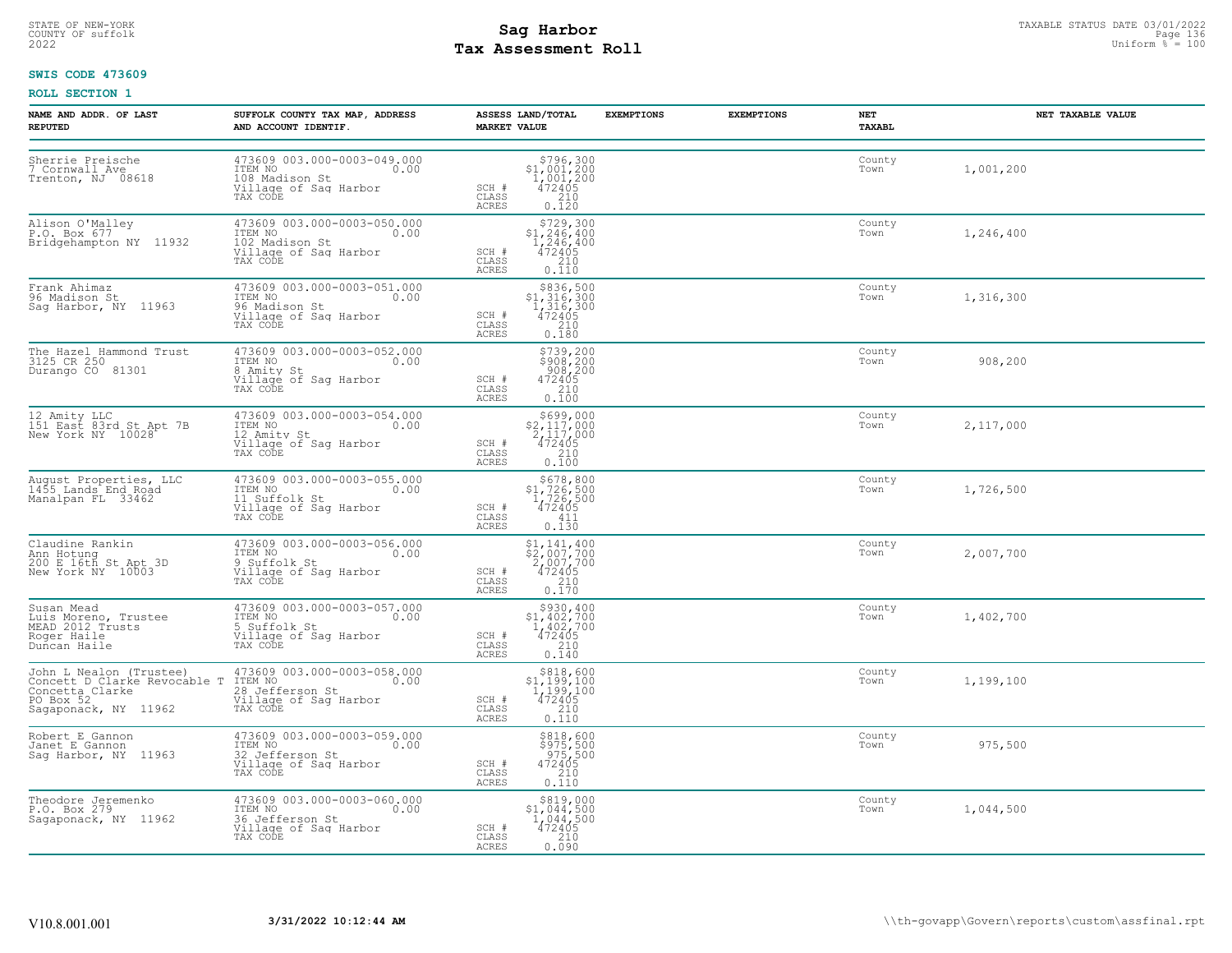## STATE OF NEW-YORK STATUS DATE 03/01/2022<br>
COUNTY OF suffolk **Sag From State Page 136**<br>
2022 Pay Assessment Roll **Tax Assessment Roll**

### **SWIS CODE 473609**

| <b>NAME AND ADDR. OF LAST</b><br><b>REPUTED</b>                                                                                          | SUFFOLK COUNTY TAX MAP, ADDRESS<br>AND ACCOUNT IDENTIF.                                                | ASSESS LAND/TOTAL<br><b>MARKET VALUE</b>                                                                                                                                                                                     | <b>EXEMPTIONS</b><br><b>EXEMPTIONS</b> | NET<br>TAXABL  | NET TAXABLE VALUE |
|------------------------------------------------------------------------------------------------------------------------------------------|--------------------------------------------------------------------------------------------------------|------------------------------------------------------------------------------------------------------------------------------------------------------------------------------------------------------------------------------|----------------------------------------|----------------|-------------------|
| Sherrie Preische<br>7 Cornwall Ave<br>Trenton, NJ 08618                                                                                  | 473609 003.000-0003-049.000<br>ITEM NO<br>0.00<br>108 Madison St<br>Village of Sag Harbor<br>TAX CODE  | ${\begin{array}{c}  \  \  \, 5796,300\\ 31,001,200\\ 1,001,200\\ 472405\\ 210\\ 0.120 \end{array}}$<br>SCH #<br>CLASS<br><b>ACRES</b>                                                                                        |                                        | County<br>Town | 1,001,200         |
| Alison O'Malley<br>P.O. Box 677<br>Bridgehampton NY 11932                                                                                | 473609 003.000-0003-050.000<br>ITEM NO<br>0.00<br>102 Madison St<br>Village of Sag Harbor<br>TAX CODE  | \$729,300<br>$$1,246,400$<br>$1,246,400$<br>$472405$<br>SCH #<br>$\begin{matrix} 210 \\ 0.110 \end{matrix}$<br>CLASS<br><b>ACRES</b>                                                                                         |                                        | County<br>Town | 1,246,400         |
| Frank Ahimaz<br>96 Madison St<br>Sag Harbor, NY 11963                                                                                    | 473609 003.000-0003-051.000<br>ITEM NO 0.00<br>96 Madison St<br>Village of Sag Harbor<br>TAX CODE      | $\begin{array}{r}  \  \  \,  \, 836,500 \\  \  \, 1,316,300 \\  \  \, 1,316,300 \\  \  \, 472405 \\  \  \, 210 \\  \  \, 0.180 \end{array}$<br>SCH #<br>CLASS<br><b>ACRES</b>                                                |                                        | County<br>Town | 1,316,300         |
| The Hazel Hammond Trust<br>3125 CR 250<br>Durango CO 81301                                                                               | 473609 003.000-0003-052.000<br>ITEM NO<br>0.00<br>8 Amity St<br>Village of Sag Harbor<br>TAX CODE      | \$739,200<br>\$908,200<br>908,200<br>472405<br>SCH #<br>CLASS<br>$\frac{210}{0.100}$<br><b>ACRES</b>                                                                                                                         |                                        | County<br>Town | 908,200           |
| 12 Amity LLC<br>151 East 83rd St Apt 7B<br>New York NY 10028                                                                             | 473609 003.000-0003-054.000<br>ITEM NO<br>0.00<br>12 Amity St<br>Village of Sag Harbor<br>TAX CODE     | $\begin{array}{r}  \  \  \,  \, 5699,000 \\  \  \, 2,117,000 \\  \  \, 2,117,000 \\  \  \, 472405 \\  \  \, 210 \\  \  \, 0.100 \end{array}$<br>SCH #<br>CLASS<br><b>ACRES</b>                                               |                                        | County<br>Town | 2,117,000         |
| August Properties, LLC<br>1455 Lands End Road<br>Manalpan FL 33462                                                                       | 473609 003.000-0003-055.000<br>ITEM NO<br>0.00<br>11 Suffolk St<br>Village of Sag Harbor<br>TAX CODE   | $$678,800$<br>$$1,726,500$<br>$1,726,500$<br>$472405$<br>SCH #<br>CLASS<br>411<br><b>ACRES</b><br>0.130                                                                                                                      |                                        | County<br>Town | 1,726,500         |
| Claudine Rankin<br>Ann Hotung<br>200 E 16th St Apt 3D<br>New York NY 10003                                                               | 473609 003.000-0003-056.000<br>ITEM NO<br>0.00<br>9 Suffolk St<br>Village of Sag Harbor<br>TAX CODE    | $\begin{array}{r} \texttt{\$1,141,400} \\ \texttt{\$2,007,700} \\ \texttt{2,007,700} \\ \texttt{472405} \\ \texttt{0.170} \\ \end{array}$<br>SCH #<br>CLASS<br><b>ACRES</b>                                                  |                                        | County<br>Town | 2,007,700         |
| Susan Mead<br>Luis Moreno, Trustee<br>MEAD 2012 Trusts<br>Roger Haile<br>Duncan Haile                                                    | 473609 003.000-0003-057.000<br>ITEM NO<br>0.00<br>5 Suffolk St<br>Village of Sag Harbor<br>TAX CODE    | $\begin{array}{r} \text{\small $>$930$, 400} \\ \text{\small $>$1$, 402$, 700} \\ \text{\small $1$, 402, 700} \\ \text{\small $472405} \\ \text{\small $210} \\ \text{\small $0.140} \end{array}$<br>SCH #<br>CLASS<br>ACRES |                                        | County<br>Town | 1,402,700         |
| John L Nealon (Trustee)<br>Concett D Clarke Revocable T<br>Concetta Clarke Revocable T<br>PO Box 52<br>PO Box 52<br>Sagaponack, NY 11962 | 473609 003.000-0003-058.000<br>ITEM NO<br>0.00<br>28 Jefferson St<br>Village of Sag Harbor<br>TAX CODE | $\begin{array}{r} $818,600 \\ $1,199,100 \\ $1,199,100 \\ $472405 \\ $210 \\ $210 \end{array}$<br>SCH #<br>CLASS<br><b>ACRES</b><br>0.110                                                                                    |                                        | County<br>Town | 1,199,100         |
| Robert E Gannon<br>Janet E Gannon<br>Sag Harbor, NY 11963                                                                                | 473609 003.000-0003-059.000<br>ITEM NO<br>0.00<br>32 Jefferson St<br>Village of Sag Harbor<br>TAX CODE | \$818,600<br>\$975,500<br>975,500<br>472405<br>SCH #<br>CLASS<br>$\begin{array}{c} 210 \\ 0.110 \end{array}$<br>ACRES                                                                                                        |                                        | County<br>Town | 975,500           |
| Theodore Jeremenko<br>P.O. Box 279<br>Saqaponack, NY 11962                                                                               | 473609 003.000-0003-060.000<br>ITEM NO<br>0.00<br>36 Jefferson St<br>Village of Sag Harbor<br>TAX CODE | \$819,000<br>\$1,044,500<br>$\begin{array}{r} \n 1,044,500 \\  472405 \\  210 \\  0.090\n \end{array}$<br>SCH #<br>CLASS<br>ACRES                                                                                            |                                        | County<br>Town | 1,044,500         |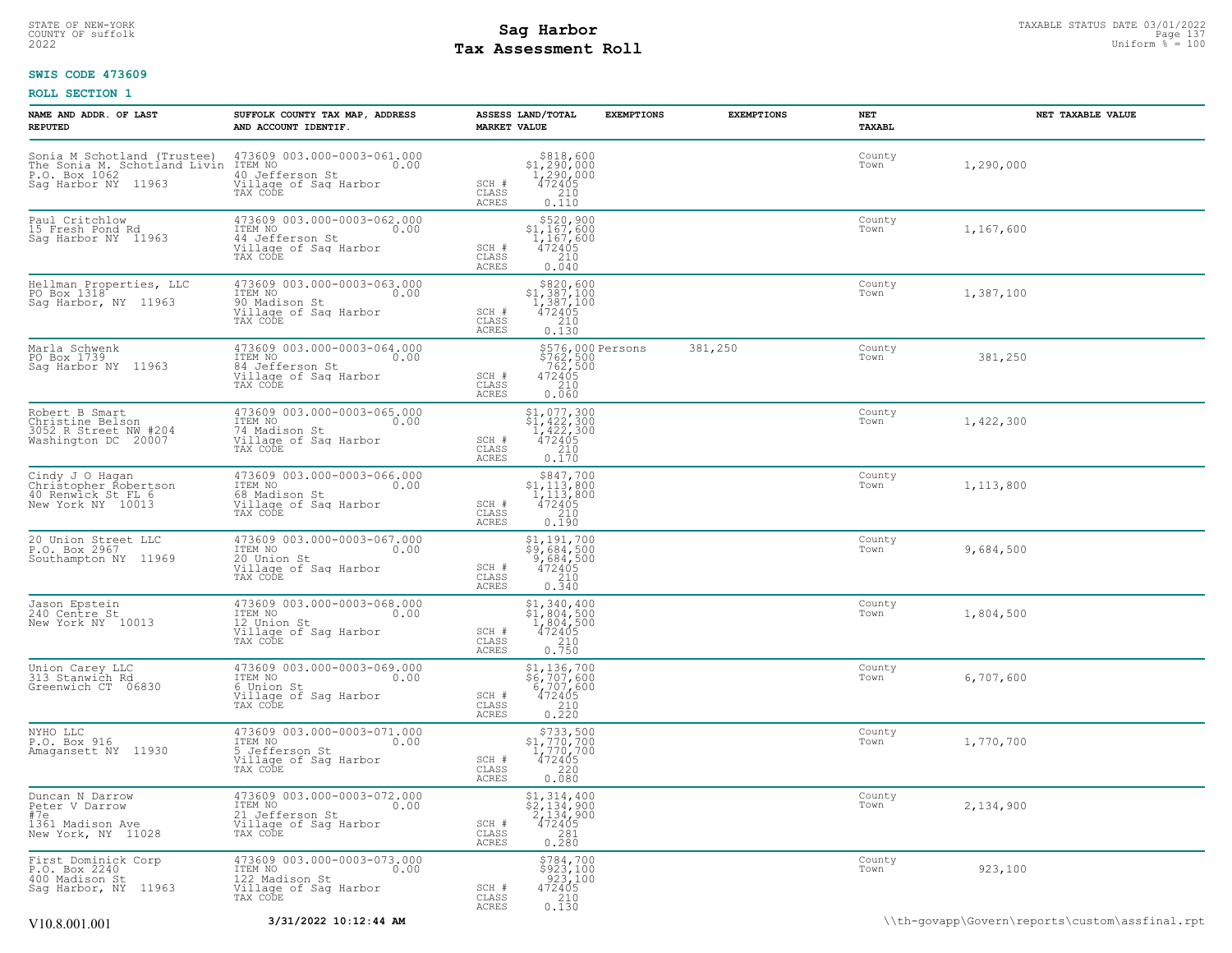## STATE OF NEW-YORK STATUS DATE 03/01/2022<br>
COUNTY OF suffolk **Sag From the Sag State Page 137**<br>
2022 Pay Assessment Roll **Tax Assessment Roll**

### **SWIS CODE 473609**

| NAME AND ADDR. OF LAST<br><b>REPUTED</b>                                            | SUFFOLK COUNTY TAX MAP, ADDRESS<br>AND ACCOUNT IDENTIF.                                                                                                                                         | <b>MARKET VALUE</b>                    | ASSESS LAND/TOTAL                                                                                                                                      | <b>EXEMPTIONS</b>                                          | <b>EXEMPTIONS</b> | NET<br>TAXABL  | NET TAXABLE VALUE |
|-------------------------------------------------------------------------------------|-------------------------------------------------------------------------------------------------------------------------------------------------------------------------------------------------|----------------------------------------|--------------------------------------------------------------------------------------------------------------------------------------------------------|------------------------------------------------------------|-------------------|----------------|-------------------|
| Sag Harbor NY 11963                                                                 | Sonia M Schotland (Trustee) 473609 003.000-0003-061.000<br>The Sonia M. Schotland Livin ITEM NO<br>P.O. Box 1062 11060 40 Jefferson St.<br>40 Jefferson St<br>Village of Sag Harbor<br>TAX CODE | SCH #<br>CLASS<br>ACRES                | $\begin{array}{r} $818,600 \\ $1,290,000 \\ $1,290,000 \\ $472405 \\ $2,10 \end{array}$<br>0.110                                                       |                                                            |                   | County<br>Town | 1,290,000         |
| Paul Critchlow<br>15 Fresh Pond Rd<br>Sag Harbor NY 11963                           | 473609 003.000-0003-062.000<br>ITEM NO<br>0.00<br>44 Jefferson St<br>Village of Sag Harbor<br>TAX CODE                                                                                          | SCH #<br>CLASS<br>ACRES                | \$520,900<br>$$1,167,600$<br>1,167,600<br>472405<br>210<br>0.040                                                                                       |                                                            |                   | County<br>Town | 1,167,600         |
| Hellman Properties, LLC<br>PO Box 1318 <sup>+</sup><br>Sag Harbor, NY 11963         | 473609 003.000-0003-063.000<br>ITEM NO 0.00<br>90 Madison St<br>Village of Sag Harbor<br>TAX CODE                                                                                               | SCH #<br>CLASS<br><b>ACRES</b>         | \$820,900<br>$$1,387,100$<br>$1,387,100$<br>$472405$<br>$2,100$<br>0.130                                                                               |                                                            |                   | County<br>Town | 1,387,100         |
| Marla Schwenk<br>PO Box 1739<br>Saq Harbor NY 11963                                 | 473609 003.000-0003-064.000<br>ITEM NO <sub>0</sub> 00<br>84 Jefferson St<br>Village of Saq Harbor<br>TAX CODE                                                                                  | SCH #<br>CLASS<br>ACRES                | 0.060                                                                                                                                                  | \$576,000 Persons<br>\$762,500<br>762,500<br>472405<br>220 | 381,250           | County<br>Town | 381,250           |
| Robert B Smart<br>Christine Belson<br>3052 R Street NW #204<br>Washington DC 20007  | 473609 003.000-0003-065.000<br>ITEM NO.00<br>74 Madison St<br>Village of Saq Harbor<br>TAX CODE                                                                                                 | SCH #<br>CLASS<br>ACRES                | $\begin{array}{r} \texttt{\$1,077,300} \\ \texttt{\$1,422,300} \\ \texttt{1,422,300} \\ \texttt{472405} \\ \texttt{210} \\ \texttt{0.170} \end{array}$ |                                                            |                   | County<br>Town | 1,422,300         |
| Cindy J O Hagan<br>Christopher Robertson<br>40 Renwick St FL 6<br>New York NY 10013 | 473609 003.000-0003-066.000<br>ITEM NO 0.00<br>68 Madison St<br>Village of Sag Harbor<br>TAX CODE                                                                                               | SCH #<br>CLASS<br>ACRES                | $\begin{array}{r} \text{\small $\$847,700} \\ \text{\small $\$1,113,800} \\ 1,113,800 \\ 472405 \\ 210 \\ 0.190 \end{array}$                           |                                                            |                   | County<br>Town | 1,113,800         |
| 20 Union Street LLC<br>P.O. Box 2967<br>Southampton NY 11969                        | 473609 003.000-0003-067.000<br>ITEM NO 0.00<br>20 Union St<br>Village of Sag Harbor<br>TAX CODE                                                                                                 | SCH #<br>CLASS<br>ACRES                | \$1,191,700<br>\$9,684,500<br>9,684,500<br>472405<br>$\frac{210}{0.340}$                                                                               |                                                            |                   | County<br>Town | 9,684,500         |
| Jason Epstein<br>240 Centre St<br>New York NY 10013                                 | 473609 003.000-0003-068.000<br>ITEM NO 0.00<br>12 Union St<br>Village of Sag Harbor<br>TAX CODE                                                                                                 | SCH #<br>CLASS<br>ACRES                | $\begin{array}{r} \texttt{\$1,\,340,\,400} \\ \texttt{\$1,\,804,\,500} \\ 1,804,\,500 \\ 472405 \\ 210 \\ 0.750 \end{array}$                           |                                                            |                   | County<br>Town | 1,804,500         |
| Union Carey LLC<br>313 Stanwich Rd<br>Greenwich CT 06830                            | 473609 003.000-0003-069.000<br>ITEM NO 0.00<br>6 Union St<br>Village of Sag Harbor<br>TAX CODE                                                                                                  | SCH #<br>CLASS<br>ACRES                | \$1,136,700<br>\$6,707,600<br>6,707,600<br>472405<br>210<br>0.220                                                                                      |                                                            |                   | County<br>Town | 6,707,600         |
| NYHO LLC<br>P.O. Box 916<br>Amagansett NY 11930                                     | 473609 003.000-0003-071.000<br>ITEM NO 0.00<br>5 Jefferson St<br>Village of Sag Harbor<br>TAX CODE                                                                                              | SCH #<br>CLASS<br><b>ACRES</b>         | $$733,500$<br>$$1,770,700$<br>$1,770,700$<br>$472405$<br>220<br>0.080                                                                                  |                                                            |                   | County<br>Town | 1,770,700         |
| Duncan N Darrow<br>Peter V Darrow<br>#7e<br>1361 Madison Ave<br>New York, NY 11028  | 473609 003.000-0003-072.000<br>ITEM NO 0.00<br>inning<br>21 Jefferson St<br>Village of Sag Harbor<br>TAX CODE                                                                                   | SCH #<br>CLASS<br><b>ACRES</b>         | \$1,314,400<br>\$2,134,900<br>2,134,900<br>472405<br>0.281                                                                                             |                                                            |                   | County<br>Town | 2,134,900         |
| First Dominick Corp<br>P.O. Box 2240<br>400 Madison St<br>Sag Harbor, NY 11963      | 473609 003.000-0003-073.000<br>ITEM NO <sub>10</sub> 0.00<br>122 Madison St<br>Village of Saq Harbor<br>TAX CODE                                                                                | $SCH$ $#$<br>$\mathtt{CLASS}$<br>ACRES | $$784, 700$<br>$$923, 100$<br>$923, 100$<br>$472405$<br>$210$<br>$0.130$                                                                               |                                                            |                   | County<br>Town | 923,100           |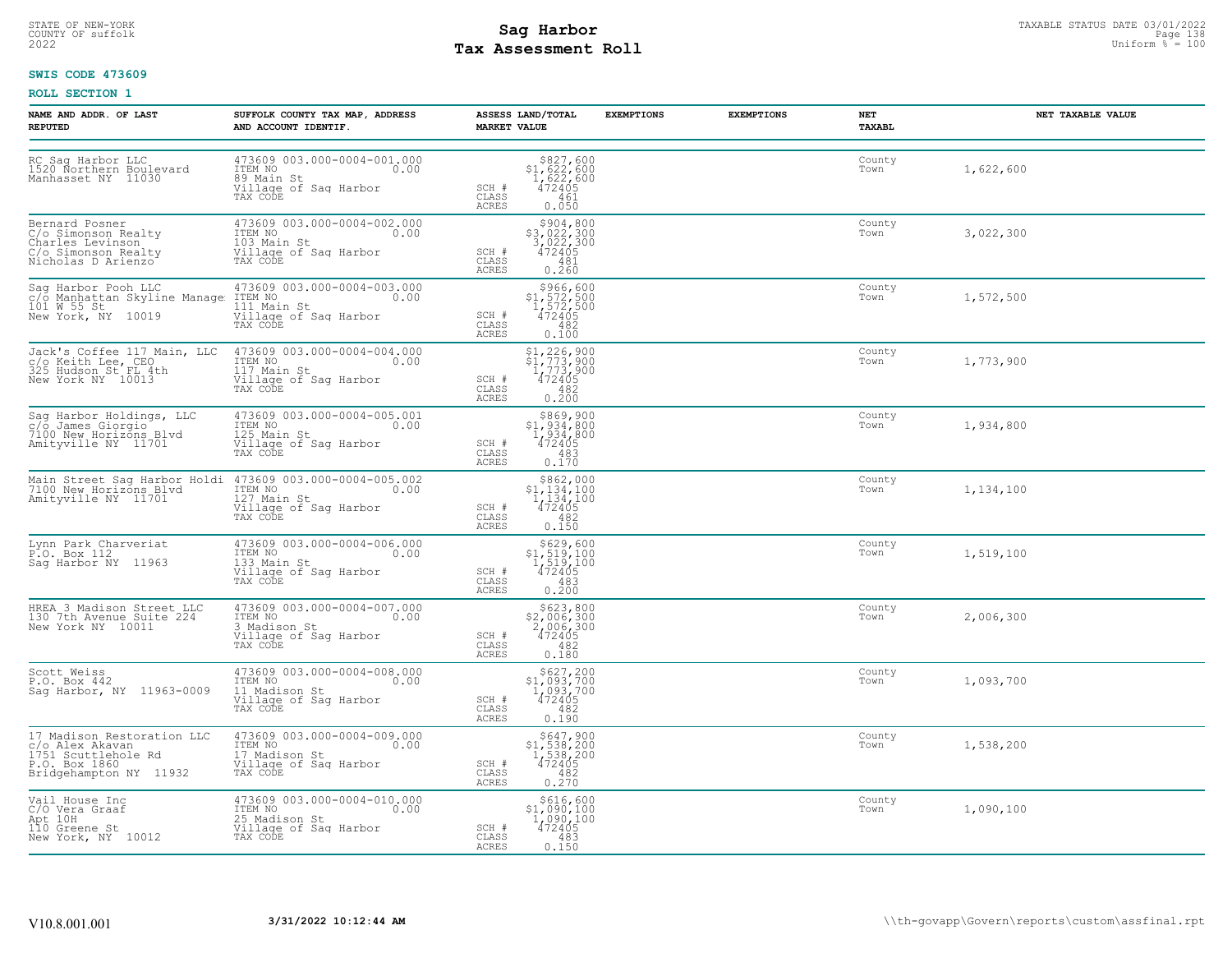## STATE OF NEW-YORK STATUS DATE 03/01/2022<br>
COUNTY OF suffolk Page 138<br>
2022 MageS**enent Roll** Page 138, 2022 Uniform % = 100 **Tax Assessment Roll**

### **SWIS CODE 473609**

| NAME AND ADDR. OF LAST<br><b>REPUTED</b>                                                               | SUFFOLK COUNTY TAX MAP, ADDRESS<br>AND ACCOUNT IDENTIF.                                                                                                                                                                                                                                   | ASSESS LAND/TOTAL EXEMPTIONS<br><b>MARKET VALUE</b>                                                                                                                                                  | <b>EXEMPTIONS</b><br>NET | TAXABL         | NET TAXABLE VALUE |
|--------------------------------------------------------------------------------------------------------|-------------------------------------------------------------------------------------------------------------------------------------------------------------------------------------------------------------------------------------------------------------------------------------------|------------------------------------------------------------------------------------------------------------------------------------------------------------------------------------------------------|--------------------------|----------------|-------------------|
|                                                                                                        | Note that the Magnetic Community of the Sag Harbor LLC and the Magnetic Community of the Magnetic Community of the Magnetic Community of Magnetic Community of Sag Harbor (1990)<br>Manhasset NY 11030 (1990) Magnetic Community<br>II<br>89 Main St<br>Village of Sag Harbor<br>TAX CODE | $$827,600$<br>$$1,622,600$<br>$1,622,600$<br>$472405$<br>SCH #<br>CLASS<br>461<br>ACRES<br>0.050                                                                                                     |                          | County<br>Town | 1,622,600         |
| Bernard Posner<br>C/o Simonson Realty<br>Charles Levinson<br>C/o Simonson Realty<br>Nicholas D Arienzo | 473609 003.000-0004-002.000<br>ITEM NO 0.00<br>103 Main St 0.00<br>Village of Saq Harbor<br>TAX CODE                                                                                                                                                                                      | \$904,800<br>\$3,022,300<br>3,022,300<br>472405<br>SCH #<br>CLASS<br>481<br>0.260<br>ACRES                                                                                                           | Town                     | County         | 3,022,300         |
|                                                                                                        | Sag Harbor Pooh LLC 473609 003.000-0004-003.000<br>C/O Manhattan Skyline Manage ITEM NO<br>101 W 55 St 111 Main St 111 Main St<br>New York, NY 10019 Village of Sag Harbor<br>TAX CODE                                                                                                    | $$966, 600$<br>$$1, 572, 500$<br>$1, 572, 500$<br>$472405$<br>$$482$<br>SCH #<br>CLASS<br>ACRES<br>0.100                                                                                             |                          | County<br>Town | 1,572,500         |
|                                                                                                        | Jack's Coffee 117 Main, LLC 473609 003.000-0004-004.000<br>c/o Keith Lee, CEO ITEM NO 0.00<br>325 Hudson St FL 4th 117 Main St 0.00<br>New York NY 10013 Village of Sag Harbor<br>TAX CODE                                                                                                | $\begin{array}{c} \text{\tt \$1,226,900} \\ \text{\tt \$1,773,900} \\ \text{\tt SCH} \\ \text{\tt CLAS} \\ \text{\tt CLASS} \\ \text{\tt ACRES} \\ \text{\tt ACRES} \\ \text{\tt 0.200} \end{array}$ |                          | County<br>Town | 1,773,900         |
| Sag Harbor Holdings, LLC<br>c/o James Giorgio<br>7100 New Horizons Blvd<br>Amityville NY 11701         | 473609 003.000-0004-005.001<br>ITEM NO 0.00<br>125 Main St 0.00<br>Village of Sag Harbor SCH # CLASS                                                                                                                                                                                      | $\begin{array}{r} $869,900 \\ $1,934,800 \\ $1,934,800 \\ $472405 \\ $63 \\ $0.170 \end{array}$<br>ACRES                                                                                             |                          | County<br>Town | 1,934,800         |
|                                                                                                        | Main Street Sag Harbor Holdi 473609 003.000-0004-005.002<br>7100 New Horizons Blvd ITEM NO 127 Main St 0.00<br>Amityville NY 11701 127 Main St Village of Sag Harbor<br>TAX CODE                                                                                                          | $5862,000\n51,134,100\n1,134,100\n472405\n482\n2452$<br>SCH #<br>CLASS<br>ACRES<br>0.150                                                                                                             |                          | County<br>Town | 1,134,100         |
| Lynn Park Charveriat<br>P.O. Box 112<br>Sag Harbor NY 11963                                            | 473609 003.000-0004-006.000<br>ITEM NO<br>133 Main St<br>Village of Saq Harbor<br>TAX CODE                                                                                                                                                                                                | $\begin{array}{c} $629, 600 \\ $1, 519, 100 \\ $1, 519, 100 \\ $472405 \end{array}$<br>SCH #<br>CLASS<br>483<br>ACRES<br>0.200                                                                       |                          | County<br>Town | 1,519,100         |
| HREA 3 Madison Street LLC<br>130 7th Avenue Suite 224<br>New York NY 10011                             | 473609 003.000-0004-007.000<br>ITEM NO 0.00<br>3.Madison St<br>3 Madison St<br>Village of Sag Harbor<br>TAX CODE                                                                                                                                                                          | $$623, 800$<br>$2, 006, 300$<br>$472405$<br>$482$<br>$SCH$ #<br>CLASS<br>0.180<br>ACRES                                                                                                              |                          | County<br>Town | 2,006,300         |
| Scott Weiss<br>P.O. Box 442<br>Sag Harbor, NY 11963-0009                                               | 473609 003.000-0004-008.000<br>ITEM NO 0.00<br>11 Madison St 0.00<br>Village of Sag Harbor SCH 5<br>TAX CODE CLASS                                                                                                                                                                        | $$627,200$<br>$$1,093,700$<br>$1,093,700$<br>$472405$<br>$SCH$ #<br>482<br>CLASS<br>0.190<br>ACRES                                                                                                   |                          | County<br>Town | 1,093,700         |
|                                                                                                        | 17 Madison Restoration LLC 473609 003.000-0004-009.000<br>c/o Alex Akavan ITEM NO 0.00<br>1751 Scuttlehole Rd 17 Madison St<br>P.O. Box 1860 111aqe of Saq Harbor<br>Bridgehampton NY 11932 TAX CODE                                                                                      | $$647,900$<br>$$1,538,200$<br>$1,538,200$<br>$472405$<br>SCH #<br>CLASS<br>$\begin{array}{c} 482 \\ 0.270 \end{array}$<br>ACRES                                                                      |                          | County<br>Town | 1,538,200         |
|                                                                                                        | Vail House Inc (2)<br>C/O Vera Graaf (2)<br>Apt 10H (2)<br>Apt 10H (2)<br>110 Greene St (2)<br>25 Madison St (1)<br>25 Mew York, NY 10012 (1)<br>TAX CODE (5 Aq Harbor (2)                                                                                                                | \$616,600<br>$$^{1,090,100}_{1,090,100}_{472405}$<br>SCH #<br>CLASS<br>483<br>ACRES<br>0.150                                                                                                         |                          | County<br>Town | 1,090,100         |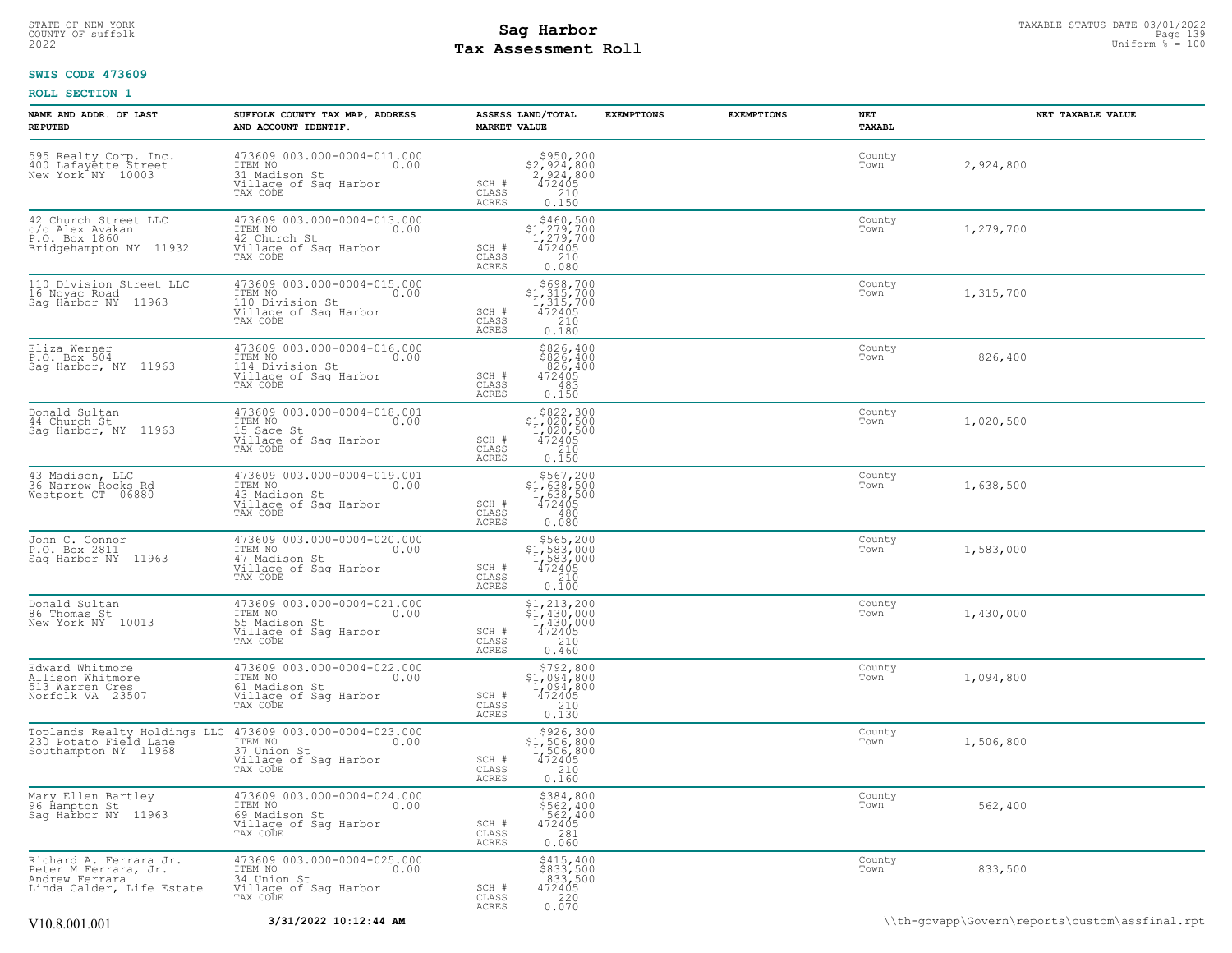## STATE OF NEW-YORK STATUS DATE 03/01/2022<br>
COUNTY OF suffolk **Sag From the Sag State Page 139**<br>
2022 Pay Assessment Roll **Tax Assessment Roll**

### **SWIS CODE 473609**

| NAME AND ADDR. OF LAST<br><b>REPUTED</b>                                                      | SUFFOLK COUNTY TAX MAP, ADDRESS<br>AND ACCOUNT IDENTIF.                                                                                                                           | ASSESS LAND/TOTAL<br><b>MARKET VALUE</b>                                                                                           | <b>EXEMPTIONS</b>                                                      | <b>EXEMPTIONS</b> | NET<br>TAXABL  | NET TAXABLE VALUE |
|-----------------------------------------------------------------------------------------------|-----------------------------------------------------------------------------------------------------------------------------------------------------------------------------------|------------------------------------------------------------------------------------------------------------------------------------|------------------------------------------------------------------------|-------------------|----------------|-------------------|
| 595 Realty Corp. Inc.<br>400 Lafayette Street<br>New York NY 10003                            | 473609 003.000-0004-011.000<br>ITEM NO 0.00<br>31 Madison St<br>Village of Saq Harbor<br>TAX CODE                                                                                 | $$950, 200$<br>$$2, 924, 800$<br>$2, 924, 800$<br>$472405$<br>$$210$<br>SCH #<br>CLASS<br><b>ACRES</b>                             | 0.150                                                                  |                   | County<br>Town | 2,924,800         |
| 42 Church Street LLC<br>c/o Alex Avakan<br>P.O. Box 1860<br>Bridgehampton NY 11932            | 473609 003.000-0004-013.000<br>TTEM NO<br>42 Church St<br>Village of Sag Harbor<br>0.00<br>TAX CODE                                                                               | $5460,500\n51,279,700\n1,279,700\n472405\n210$<br>SCH #<br>CLASS<br><b>ACRES</b>                                                   | 0.080                                                                  |                   | County<br>Town | 1,279,700         |
| 110 Division Street LLC<br>16 Noyac Road<br>Saq Harbor NY 11963                               | 473609 003.000-0004-015.000<br>ITEM NO<br>0.00<br>110 Division St<br>Village of Sag Harbor<br>TAX CODE                                                                            | $5698,700$<br>$1,315,700$<br>$472405$<br>$210$<br>SCH #<br>CLASS<br>ACRES                                                          | 0.180                                                                  |                   | County<br>Town | 1,315,700         |
| Eliza Werner<br>P.O. Box 504<br>Sag Harbor, NY 11963                                          | 473609 003.000-0004-016.000<br>ITEM NO<br>0.00<br>114 Division St<br>Village of Saq Harbor<br>TAX CODE                                                                            | SCH #<br>CLASS<br>ACRES                                                                                                            | \$826,400<br>\$826,400<br>826,400<br>472405<br>483<br>0.150            |                   | County<br>Town | 826,400           |
| Donald Sultan<br>44 Church St<br>Sag Harbor, NY 11963                                         | 473609 003.000-0004-018.001<br>ITEM NO<br>0.00<br>15 Sage St<br>Village of Sag Harbor<br>TAX CODE                                                                                 | $$322,300\n$1,020,500\n1,020,500\n472405\n210\n210$<br>SCH #<br>CLASS<br><b>ACRES</b><br>0.150                                     |                                                                        |                   | County<br>Town | 1,020,500         |
| 43 Madison, LLC<br>36 Narrow Rocks Rd<br>Westport CT 06880                                    | 473609 003.000-0004-019.001<br>ITEM NO<br>0.00<br>43 Madison St<br>Village of Sag Harbor<br>TAX CODE                                                                              | $$567, 200$<br>\$1,638,500<br>1,638,500<br>472405<br>SCH #<br>CLASS<br>ACRES<br>0.080                                              | 480                                                                    |                   | County<br>Town | 1,638,500         |
| John C. Connor<br>P.O. Box 2811<br>Saq Harbor NY 11963                                        | 473609 003.000-0004-020.000<br>ITEM NO<br>0.00<br>47 Madison St<br>Village of Sag Harbor<br>TAX CODE                                                                              | $$565, 200$<br>$$1, 583, 000$<br>$1, 583, 000$<br>SCH #<br>472405<br>CLASS<br><b>ACRES</b>                                         | $\frac{210}{0.100}$                                                    |                   | County<br>Town | 1,583,000         |
| Donald Sultan<br>86 Thomas St<br>New York NY 10013                                            | 473609 003.000-0004-021.000<br>ITEM NO<br>0.00<br>55 Madison St<br>Village of Saq Harbor<br>TAX CODE                                                                              | $$1, 213, 200$<br>$$1, 430, 000$<br>SCH #<br>CLASS<br>ACRES<br>0.460                                                               | $\begin{smallmatrix} 1,430,000 \\ 472405 \\ 210 \end{smallmatrix}$     |                   | County<br>Town | 1,430,000         |
| Edward Whitmore<br>Allison Whitmore<br>513 Warren Cres<br>Norfolk VA 23507                    | 473609 003.000-0004-022.000<br>ITEM NO<br>0.00<br>61 Madison St<br>Village of Sag Harbor<br>TAX CODE                                                                              | $$1,094,800$<br>$1,094,800$<br>SCH #<br>$\frac{472405}{210}$<br>CLASS<br>0.130<br>ACRES                                            | \$792,800                                                              |                   | County<br>Town | 1,094,800         |
|                                                                                               | Toplands Realty Holdings LLC 473609 003.000-0004-023.000<br>230 Potato Field Lane ITEM NO<br>Southampton NY 11968 37 Union St<br>37 Union St<br>Village of Sag Harbor<br>TAX CODE | $\begin{array}{r} $926,300\n$1,506,800\n1,506,800\n472405\n210\n\end{array}$<br>SCH #<br>$\mathtt{CLASS}$<br><b>ACRES</b><br>0.160 |                                                                        |                   | County<br>Town | 1,506,800         |
| Mary Ellen Bartley<br>96 Hampton St<br>Sag Harbor NY 11963                                    | 473609 003.000-0004-024.000<br>TTEM NO 0.00<br>0.00<br>69 Madison St<br>Village of Sag Harbor<br>TAX CODE                                                                         | SCH #<br>CLASS<br><b>ACRES</b><br>0.060                                                                                            | \$384,800<br>\$562,400<br>562,400<br>472405<br>281                     |                   | County<br>Town | 562,400           |
| Richard A. Ferrara Jr.<br>Peter M Ferrara, Jr.<br>Andrew Ferrara<br>Linda Calder, Life Estate | 473609 003.000-0004-025.000<br>34 Union St<br>Village of Sag Harbor<br>TAX CODE                                                                                                   | SCH #<br>CLASS<br><b>ACRES</b>                                                                                                     | $$415, 400$<br>$$833, 500$<br>$833, 500$<br>$472405$<br>$220$<br>0.070 |                   | County<br>Town | 833,500           |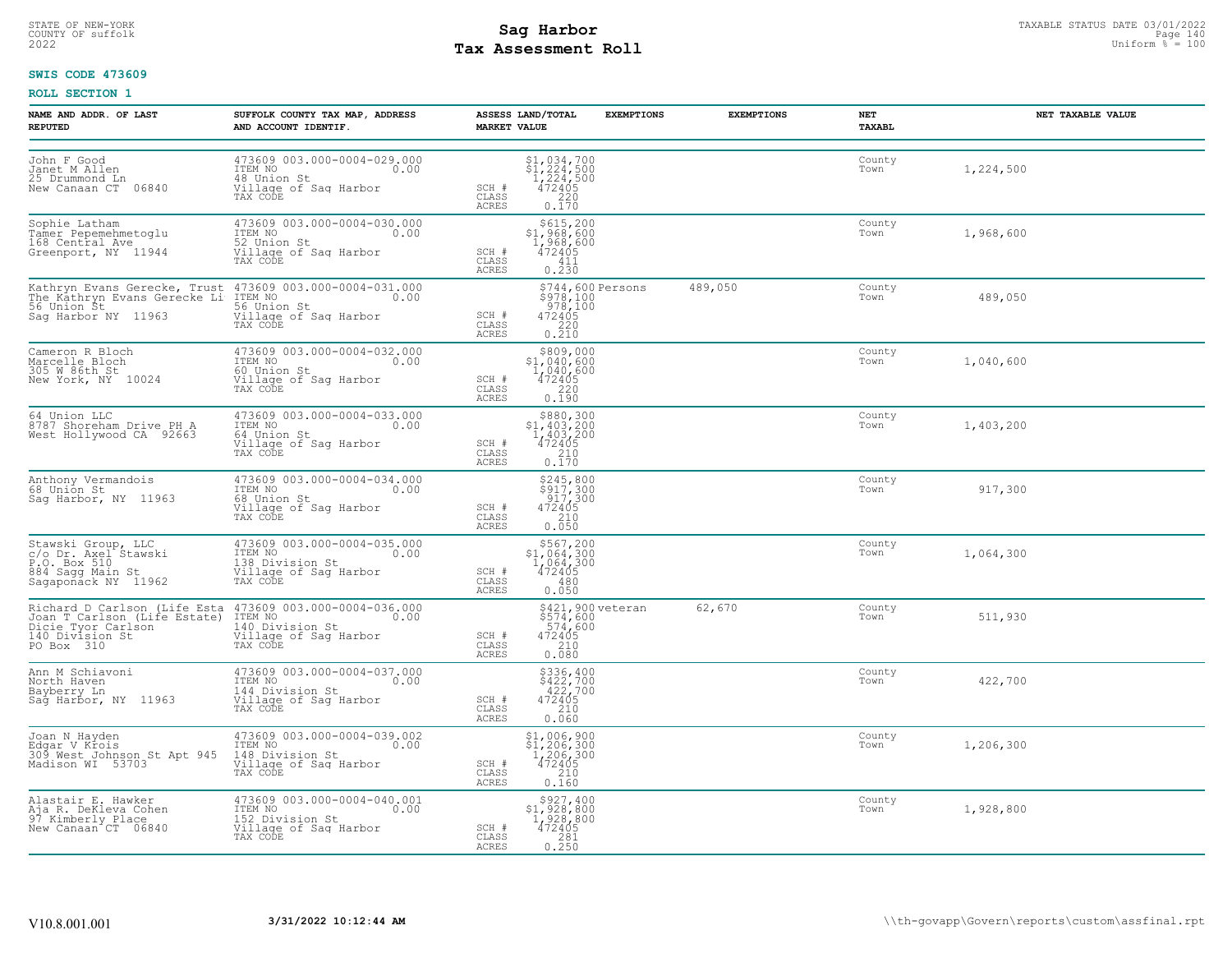## STATE OF NEW-YORK STATUS DATE 03/01/2022<br>
COUNTY OF suffolk **Sag From the Sag State Page 140**<br>
2022 Pay Assessment Roll **Tax Assessment Roll**

### **SWIS CODE 473609**

| NAME AND ADDR. OF LAST<br><b>REPUTED</b>                                                              | SUFFOLK COUNTY TAX MAP, ADDRESS<br>AND ACCOUNT IDENTIF.                                                                                                                                                                                                                             | ASSESS LAND/TOTAL<br><b>MARKET VALUE</b> | <b>EXEMPTIONS</b>                                                                                                                                                                               | <b>EXEMPTIONS</b> | NET<br>TAXABL  | NET TAXABLE VALUE |
|-------------------------------------------------------------------------------------------------------|-------------------------------------------------------------------------------------------------------------------------------------------------------------------------------------------------------------------------------------------------------------------------------------|------------------------------------------|-------------------------------------------------------------------------------------------------------------------------------------------------------------------------------------------------|-------------------|----------------|-------------------|
| John F Good<br>Janet M Allen<br>25 Drummond Ln<br>New Canaan CT 06840                                 | 473609 003.000-0004-029.000<br>ITEM NO<br>0.00<br>48 Union St<br>Village of Sag Harbor<br>TAX CODE                                                                                                                                                                                  | SCH #<br>CLASS<br>ACRES                  | $\begin{array}{r} 51,034,700 \\ 51,224,500 \\ 1,224,500 \\ 472405 \\ 220 \end{array}$<br>0.170                                                                                                  |                   | County<br>Town | 1,224,500         |
| Sophie Latham<br>Tamer Pepemehmetoglu<br>168 Central Ave<br>Greenport, NY 11944                       | 473609 003.000-0004-030.000<br>ITEM NO<br>52 Union St<br>Village of Sag Harbor<br>TAX CODE                                                                                                                                                                                          | SCH #<br>CLASS<br>ACRES                  | \$615,200<br>\$1,968,600<br>1,968,600<br>472405<br>411<br>0.230                                                                                                                                 |                   | County<br>Town | 1,968,600         |
| Sag Harbor NY 11963                                                                                   | Kathryn Evans Gerecke, Trust 473609 003.000-0004-031.000<br>The Kathryn Evans Gerecke Li ITEM NO<br>56 Union St<br>Village of Sag Harbor<br>TAX CODE                                                                                                                                | SCH #<br>CLASS<br>ACRES                  | \$744,600 Persons<br>$$978,100$<br>$978,100$<br>$\begin{array}{r} 472405 \\ 220 \\ 0.210 \end{array}$                                                                                           | 489,050           | County<br>Town | 489,050           |
| Cameron R Bloch<br>Marcelle Bloch<br>305 W 86th St<br>New York, NY 10024                              | 473609 003.000-0004-032.000<br>ITEM NO 0.00<br>fol Union St<br>Village of Sag Harbor<br>TAX CODE                                                                                                                                                                                    | SCH #<br>CLASS<br>ACRES                  | $\begin{array}{r} 5809,000 \\ 51,040,600 \\ 1,040,600 \\ 472405 \\ 220 \end{array}$<br>0.190                                                                                                    |                   | County<br>Town | 1,040,600         |
| 64 Union LLC<br>8787 Shoreham Drive PH A<br>West Hollywood CA 92663                                   | 473609 003.000-0004-033.000<br>ITEM NO 0.00<br>64 Union St<br>Village of Sag Harbor<br>TAX CODE                                                                                                                                                                                     | SCH #<br>CLASS<br><b>ACRES</b>           | $\begin{array}{c} $880,300 \\ $1,403,200 \\ $1,403,200 \\ $472405 \end{array}$<br>$\begin{array}{c} 210 \\ 0.170 \end{array}$                                                                   |                   | County<br>Town | 1,403,200         |
| Anthony Vermandois<br>68 Uniōn St<br>b8 Union St<br>Sag Harbor, NY 11963                              | 473609 003.000-0004-034.000<br>ITEM NO 0.00<br>68 Union St<br>Village of Saq Harbor<br>TAX CODE                                                                                                                                                                                     | SCH #<br>CLASS<br>ACRES                  | $\begin{array}{c} $245,800\\ $917,300\\ 917,300\\ 472405\\ 210\\ 0.050 \end{array}$                                                                                                             |                   | County<br>Town | 917,300           |
| Stawski Group, LLC<br>c/o Dr. Axel Stawski<br>P.O. Box 510<br>884 Sagg Main St<br>Sagaponack NY 11962 | 473609 003.000-0004-035.000<br>ITEM NO 0.00<br>138 Division St<br>Village of Sag Harbor<br>TAX CODE                                                                                                                                                                                 | SCH #<br>CLASS<br>ACRES                  | $$567, 200$<br>$$1, 064, 300$<br>$1, 064, 300$<br>472405<br>480<br>0.050                                                                                                                        |                   | County<br>Town | 1,064,300         |
| PO Box 310                                                                                            | Richard D Carlson (Life Esta 473609 003.000-0004-036.000<br>Joan T Carlson (Life Estate) ITEM NO<br>Dicie Tyor Carlson (140 Division St 140 Division St 140 Division St<br>140 Division St (111age of Sag Harbor<br>TTEM NO<br>140 Division St<br>Village of Sag Harbor<br>TAX CODE | SCH #<br>CLASS<br>ACRES                  | \$421,900 veteran<br>$$574,600$<br>$574,600$<br>472405<br>$\begin{array}{c} 210 \\ 0.080 \end{array}$                                                                                           | 62,670            | County<br>Town | 511,930           |
| Ann M Schiavoni<br>North Haven<br>Bayberry Ln<br>Sag Harbor, NY 11963                                 | 473609 003.000-0004-037.000<br>ITEM NO 0.00<br>144 Division St<br>Village of Sag Harbor<br>TAX CODE                                                                                                                                                                                 | SCH #<br>CLASS<br>ACRES                  | \$336,400<br>\$422,700<br>422,700<br>472405<br>$\frac{210}{0.060}$                                                                                                                              |                   | County<br>Town | 422,700           |
| Joan N Hayden<br>Edgar V Krois<br>309 West Johnson St Apt 945<br>Madison WI 53703                     | 473609 003.000-0004-039.002<br>ITEM NO<br>0.00<br>148 Division St<br>Village of Sag Harbor<br>TAX CODE                                                                                                                                                                              | SCH #<br>CLASS<br><b>ACRES</b>           | $\begin{array}{c} \texttt{\$1,006,900}\ \texttt{\$1,206,300}\ \texttt{\$1,206,300}\ \texttt{\$1,206,300}\ \texttt{\$1,206,300}\ \texttt{\$12405}\ \texttt{\$210}\ \texttt{\$0.160} \end{array}$ |                   | County<br>Town | 1,206,300         |
| Alastair E. Hawker<br>Aja R. DeKleva Cohen<br>97 Kimberly Place<br>New Canaan CT 06840                | 473609 003.000-0004-040.001<br>ITEM NO<br>0.00<br>152 Division St<br>Village of Sag Harbor<br>TAX CODE                                                                                                                                                                              | SCH #<br>CLASS<br>ACRES                  | $\substack{\$927,400\\\$1,928,800\\\$1,928,800\\\$472405$<br>281<br>0.250                                                                                                                       |                   | County<br>Town | 1,928,800         |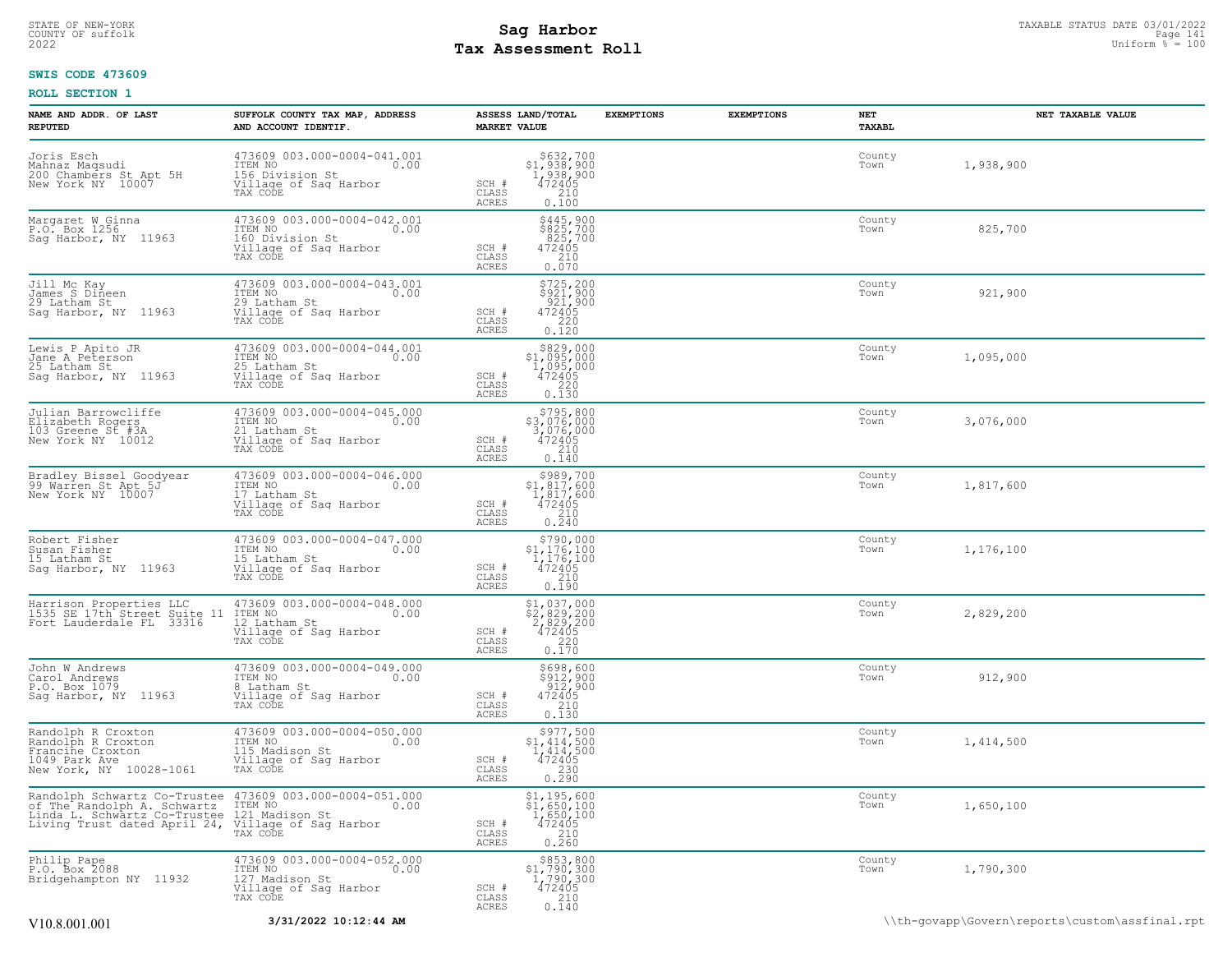## STATE OF NEW-YORK STATUS DATE 03/01/2022<br>
COUNTY OF suffolk Taxable Page 141<br>
2022 MageSone Taxable Page 141 Duiform % = 100 **Tax Assessment Roll**

### **SWIS CODE 473609**

| NAME AND ADDR. OF LAST<br><b>REPUTED</b>                                                                 | SUFFOLK COUNTY TAX MAP, ADDRESS<br>AND ACCOUNT IDENTIF.                                                                                                                                                         | ASSESS LAND/TOTAL<br><b>MARKET VALUE</b>                                                                                                      | <b>EXEMPTIONS</b> | <b>EXEMPTIONS</b> | NET<br>TAXABL  | NET TAXABLE VALUE |
|----------------------------------------------------------------------------------------------------------|-----------------------------------------------------------------------------------------------------------------------------------------------------------------------------------------------------------------|-----------------------------------------------------------------------------------------------------------------------------------------------|-------------------|-------------------|----------------|-------------------|
| Joris Esch<br>Mahnaz Maqsudi<br>200 Chambers St Apt 5H<br>New York NY 10007                              | 473609 003.000-0004-041.001<br>ITEM NO 0.00<br>156 Division St<br>Village of Sag Harbor<br>TAX CODE                                                                                                             | $$632,700$<br>$$1,938,900$<br>$1,938,900$<br>$472405$<br>$$210$<br>SCH #<br>CLASS<br>ACRES<br>0.100                                           |                   |                   | County<br>Town | 1,938,900         |
| Margaret W Ginna<br>P.O. Box 1256<br>Sag Harbor, NY 11963                                                | 473609 003.000-0004-042.001<br>ITEM NO 0.00<br>160 Division St<br>Village of Sag Harbor<br>TAX CODE                                                                                                             | \$445,900<br>\$825,700<br>825,700<br>472405<br>SCH #<br>210<br>CLASS<br>ACRES<br>0.070                                                        |                   |                   | County<br>Town | 825,700           |
| Jill Mc Kay<br>James S Dineen<br>29 Latham St<br>Sag Harbor, NY 11963                                    | 473609 003.000-0004-043.001<br>ITEM NO 0.00<br>29 Latham St<br>Village of Sag Harbor<br>TAX CODE                                                                                                                | $$725, 200$<br>$$921, 900$<br>$921, 900$<br>$472405$<br>SCH #<br>CLASS<br>220<br>ACRES<br>0.120                                               |                   |                   | County<br>Town | 921,900           |
| Lewis P Apito JR<br>Jane A Peterson<br>25 Latham St<br>Saq Harbor, NY 11963                              | 473609 003.000-0004-044.001<br>ITEM NO 0.00<br>15 Latham St<br>25 Latham St<br>Tay cons of Saq Harbor<br>TAX CODE                                                                                               | $$829,000$<br>$$1,095,000$<br>$1,095,000$<br>$472405$<br>$220$<br>SCH #<br>CLASS<br>ACRES<br>0.130                                            |                   |                   | County<br>Town | 1,095,000         |
| Julian Barrowcliffe<br>Elizabeth Rogers<br>103 Greene St #3A<br>New York NY 10012                        | 473609 003.000-0004-045.000<br>ITEM NO 0.00<br>21 Latham St<br>Village of Sag Harbor<br>TAX CODE                                                                                                                | $$795, 800$<br>$$3, 076, 000$<br>$3, 076, 000$<br>$472405$<br>$$210$<br>SCH #<br>CLASS<br>ACRES<br>0.140                                      |                   |                   | County<br>Town | 3,076,000         |
| Bradley Bissel Goodyear<br>99 Warren St Apt 5J<br>New York NY 10007                                      | 473609 003.000-0004-046.000<br>ITEM NO 0.00<br>ITEN WO<br>I7 Latham St<br>Village of Sag Harbor<br>TAX CODE                                                                                                     | $\begin{array}{r} $389,700$ \\ $1,817,600$ \\ $1,817,600$ \\ $472405$ \\ $210$ \end{array}$<br>SCH #<br>CLASS<br>ACRES<br>0.240               |                   |                   | County<br>Town | 1,817,600         |
| Robert Fisher<br>Susan Fisher<br>15 Latham St<br>Sag Harbor, NY 11963                                    | 473609 003.000-0004-047.000<br>ITEM NO 0.00<br>15 Latham St<br>Village of Saq Harbor<br>TAX CODE                                                                                                                | $\begin{array}{r} 5790,000 \\ 51,176,100 \\ 1,176,100 \\ 472405 \\ 210 \\ \end{array}$<br>SCH #<br>CLASS<br>ACRES<br>0.190                    |                   |                   | County<br>Town | 1,176,100         |
| Harrison Properties LLC<br>1535 SE 17th Street Suite 11<br>Fort Lauderdale FL 33316                      | 473609 003.000-0004-048.000<br>ITEM NO 0.00<br>12 Latham St<br>12 Latham St<br>Village of Saq Harbor<br>TAX CODE                                                                                                | $\begin{array}{r} $1,037,000$ \\ $2,829,200$ \\ $2,829,200$ \\ $472405$ \\ $220$ \end{array}$<br>SCH #<br>CLASS<br>ACRES<br>0.170             |                   |                   | County<br>Town | 2,829,200         |
| John W Andrews<br>Carol Andrews<br>P.O. Box 1079<br>Sag Harbor, NY 11963                                 | 473609 003.000-0004-049.000<br>ITEM NO $0.00$<br>8 Latham St<br>Village of Sag Harbor<br>TAX CODE                                                                                                               | \$698,600<br>\$912,900<br>912,900<br>SCH #<br>472405<br>210<br>CLASS<br>ACRES<br>0.130                                                        |                   |                   | County<br>Town | 912,900           |
| Randolph R Croxton<br>Randolph R Croxton<br>Francine Croxton<br>1049 Park Ave<br>New York, NY 10028-1061 | 473609 003.000-0004-050.000<br>ITEM NO 0.00<br>115 Madison St<br>Village of Sag Harbor<br>TAX CODE                                                                                                              | ${\begin{array}{c} \mathbf{\$977,500} \\ \mathbf{\$1,414,500} \\ 1,414,500 \\ 472405 \\ 230 \\ 0.290 \end{array}}$<br>SCH #<br>CLASS<br>ACRES |                   |                   | County<br>Town | 1,414,500         |
|                                                                                                          | Randolph Schwartz Co-Trustee 473609 003.000-0004-051.000<br>of The Randolph A. Schwartz ITEM NO<br>Linda L. Schwartz Co-Trustee 121 Madison St<br>Living Trust dated April 24, Village of Saq Harbor<br>XX CODE | $\begin{array}{c} $1,195,600 \ $1,650,100 \ $1,650,100 \ \end{array}$<br>SCH #<br>$\frac{472405}{210}$<br>CLASS<br>0.260<br>ACRES             |                   |                   | County<br>Town | 1,650,100         |
| Philip Pape<br>P.O. Box 2088<br>Bridgehampton NY 11932                                                   | 473609 003.000-0004-052.000<br>ITEM NO 0.00<br>127 Madison St<br>Village of Sag Harbor<br>TAX CODE                                                                                                              | $$853, 800$<br>$$1, 790, 300$<br>$1, 790, 300$<br>$472405$<br>$$210$<br>$SCH$ #<br>CLASS<br>$0, \overline{140}$<br>ACRES                      |                   |                   | County<br>Town | 1,790,300         |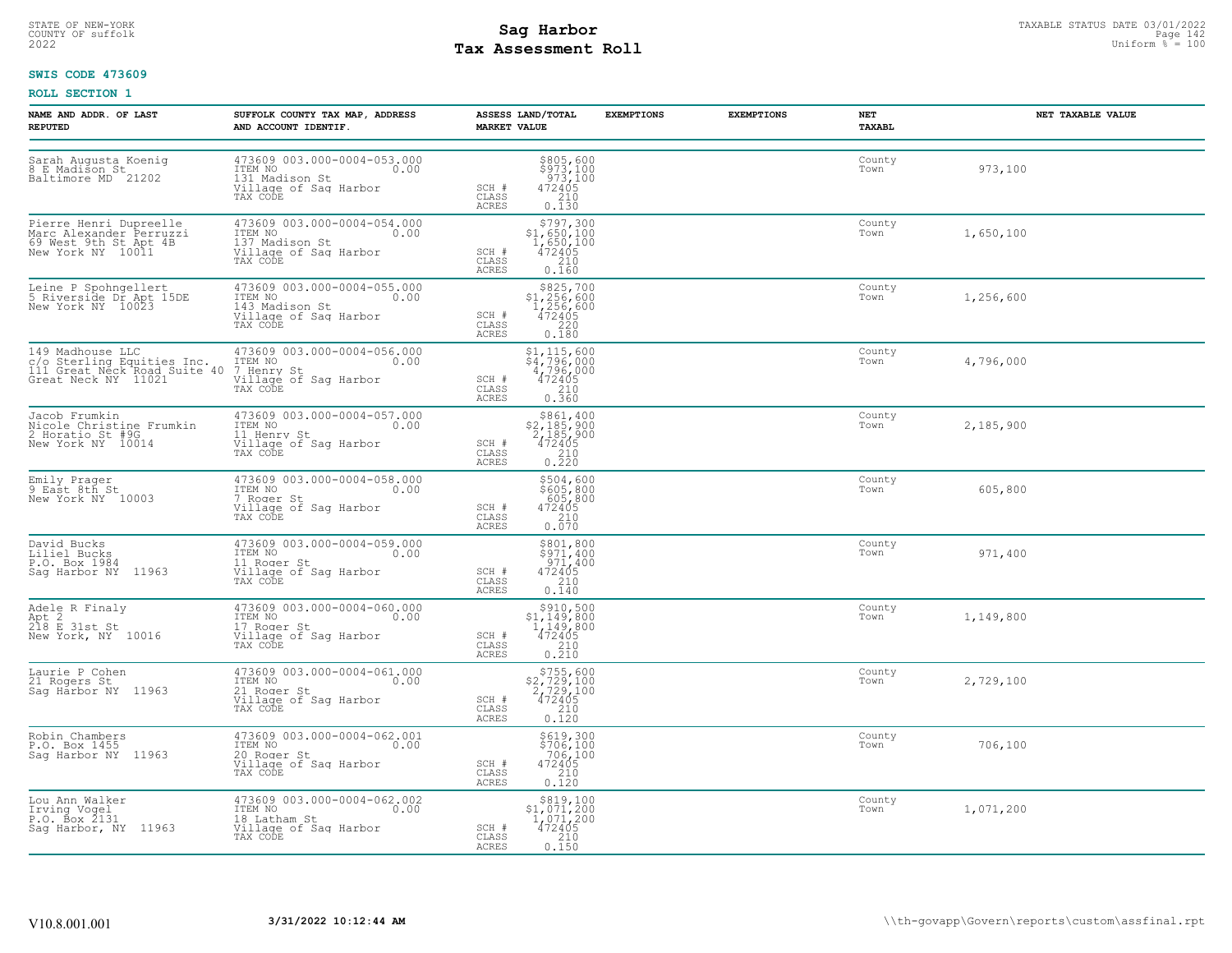## STATE OF NEW-YORK STATUS DATE 03/01/2022<br>
COUNTY OF suffolk **Sag From the Sag State Page 142**<br>
2022 Pay Assessment Roll **Tax Assessment Roll**

### **SWIS CODE 473609**

| <b>NAME AND ADDR. OF LAST</b><br><b>REPUTED</b>                                                      | SUFFOLK COUNTY TAX MAP, ADDRESS<br>AND ACCOUNT IDENTIF.                                               | ASSESS LAND/TOTAL<br><b>MARKET VALUE</b>                                                                                                             | <b>EXEMPTIONS</b> | <b>EXEMPTIONS</b><br>NET<br>TAXABL | NET TAXABLE VALUE |
|------------------------------------------------------------------------------------------------------|-------------------------------------------------------------------------------------------------------|------------------------------------------------------------------------------------------------------------------------------------------------------|-------------------|------------------------------------|-------------------|
| Sarah Augusta Koenig<br>8 E Madison St<br>Baltimore MD 21202                                         | 473609 003.000-0004-053.000<br>ITEM NO<br>0.00<br>131 Madison St<br>Village of Sag Harbor<br>TAX CODE | $$805, 600$<br>$$973, 100$<br>$973, 100$<br>$472405$<br>$210$<br>SCH #<br>CLASS<br>0.130<br><b>ACRES</b>                                             |                   | County<br>Town                     | 973,100           |
| Pierre Henri Dupreelle<br>Marc Alexander Perruzzi<br>69 West 9th St Apt 4B<br>New York NY 10011      | 473609 003.000-0004-054.000<br>TTEM NO<br>137 Madison St<br>Village of Sag Harbor<br>0.00<br>TAX CODE | $$797,300$<br>$$1,650,100$<br>$1,650,100$<br>$472405$<br>SCH #<br>210<br>CLASS<br>0.160<br><b>ACRES</b>                                              |                   | County<br>Town                     | 1,650,100         |
| Leine P Spohngellert<br>5 Riverside Dr Apt 15DE<br>New York NY 10023                                 | 473609 003.000-0004-055.000<br>ITEM NO 0.00<br>143 Madison St<br>Village of Sag Harbor<br>TAX CODE    | $$3.256, 700\n$1, 256, 600\n1, 256, 600\n472405\n220$<br>SCH #<br>CLASS<br>ACRES<br>0.180                                                            |                   | County<br>Town                     | 1,256,600         |
| 149 Madhouse LLC<br>15 Sterling Equities Inc.<br>111 Great Neck Road Suite 40<br>Great Neck NY 11021 | 473609 003.000-0004-056.000<br>ITEM NO<br>0.00<br>7 Henry St<br>Village of Sag Harbor<br>TAX CODE     | \$1,115,600<br>\$4,796,000<br>4,796,000<br>472405<br>SCH #<br>$\begin{array}{c} 210 \\ 0.360 \end{array}$<br>CLASS<br><b>ACRES</b>                   |                   | County<br>Town                     | 4,796,000         |
| Jacob Frumkin<br>Nicole Christine Frumkin<br>2 Horatio St #9G<br>New York NY 10014                   | 473609 003.000-0004-057.000<br>ITEM NO 0.00<br>11 Henry St<br>Village of Sag Harbor<br>TAX CODE       | \$861,400<br>\$2,185,900<br>2,185,900<br>472405<br>SCH #<br>$\begin{array}{c} 210 \\ 0.220 \end{array}$<br>CLASS<br>ACRES                            |                   | County<br>Town                     | 2,185,900         |
| Emily Prager<br>9 East 8th St<br>New York NY 10003                                                   | 473609 003.000-0004-058.000<br>ITEM NO<br>0.00<br>7 Roger St<br>Village of Sag Harbor<br>TAX CODE     | \$504,600<br>$$605, 800$<br>605,800<br>472405<br>210<br>SCH #<br>CLASS<br>0.070<br><b>ACRES</b>                                                      |                   | County<br>Town                     | 605,800           |
| David Bucks<br>Liliel Bucks<br>P.O. Box 1984<br>Saq Harbor NY 11963                                  | 473609 003.000-0004-059.000<br>ITEM NO<br>0.00<br>11 Roger St<br>Village of Sag Harbor<br>TAX CODE    | \$801,800<br>$\frac{5971,400}{971,400}$<br>472405<br>472405<br>SCH #<br>CLASS<br>ACRES<br>0.140                                                      |                   | County<br>Town                     | 971,400           |
| Adele R Finaly<br>Apt 2<br>218 E 31st St<br>New York, NY 10016                                       | 473609 003.000-0004-060.000<br>TTEM NO 0.00<br>17 Roger St<br>Village of Sag Harbor<br>TAX CODE       | ${\begin{array}{c} \texttt{\$910,500} \\ \texttt{\$1,149,800} \\ 1,149,800 \\ 472405 \\ 210 \\ 0.210 \end{array}}$<br>SCH #<br>CLASS<br><b>ACRES</b> |                   | County<br>Town                     | 1,149,800         |
| Laurie P Cohen<br>21 Rogers St<br>Sag Harbor NY 11963                                                | 473609 003.000-0004-061.000<br>ITEM NO<br>0.00<br>21 Roger St<br>Village of Sag Harbor<br>TAX CODE    | $$755,600$<br>$$2,729,100$<br>$2,729,100$<br>$472405$<br>SCH #<br>$\frac{2}{3}$<br>CLASS<br>0.120<br><b>ACRES</b>                                    |                   | County<br>Town                     | 2,729,100         |
| Robin Chambers<br>P.O. Box 1455<br>Sag Harbor NY 11963                                               | 473609 003.000-0004-062.001<br>ITEM NO<br>0.00<br>20 Roger St<br>Village of Sag Harbor<br>TAX CODE    | \$619,300<br>\$706,100<br>706,100<br>SCH #<br>472405<br>CLASS<br>$\begin{array}{c} 210 \\ 0.120 \end{array}$<br>ACRES                                |                   | County<br>Town                     | 706,100           |
| Lou Ann Walker<br>Irving Vogel<br>$P.0.$ Box $2131$<br>Sag Harbor, NY 11963                          | 473609 003.000-0004-062.002<br>ITEM NO 0.00<br>18 Latham St<br>Village of Saq Harbor<br>TAX CODE      | \$819,100<br>\$1,071,200<br>1,071,200<br>SCH #<br>472405<br>CLASS<br>0.150<br>ACRES                                                                  |                   | County<br>Town                     | 1,071,200         |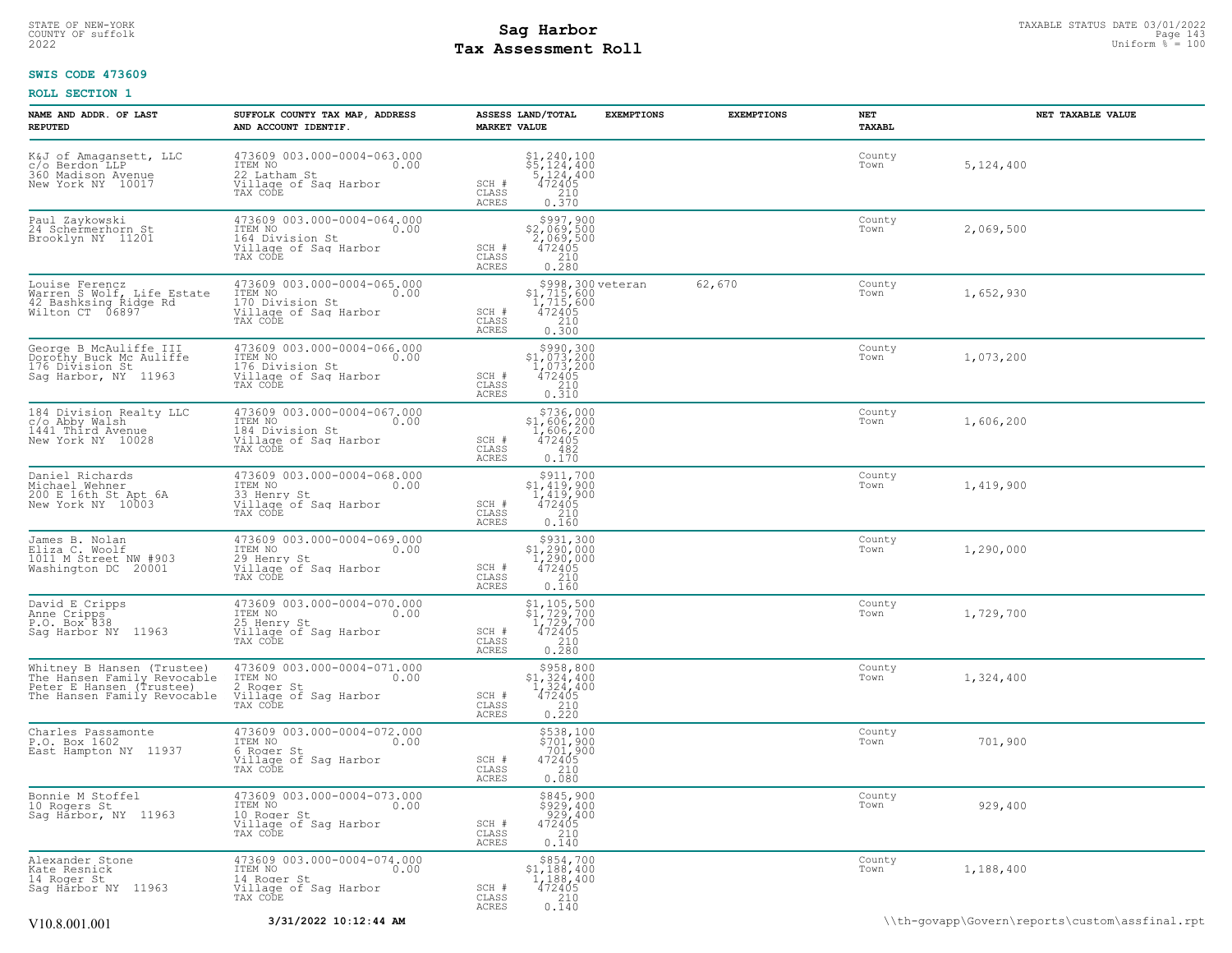## STATE OF NEW-YORK STATUS DATE 03/01/2022<br>
COUNTY OF suffolk **Sag From State of All County of Sage 143**<br>
2022 Man Duiform % = 100 **Tax Assessment Roll**

### **SWIS CODE 473609**

| NAME AND ADDR. OF LAST<br><b>REPUTED</b>                                                                             | SUFFOLK COUNTY TAX MAP, ADDRESS<br>AND ACCOUNT IDENTIF.                                                         | <b>EXEMPTIONS</b><br>ASSESS LAND/TOTAL<br><b>EXEMPTIONS</b><br><b>MARKET VALUE</b>                                                                  | NET<br>TAXABL  | NET TAXABLE VALUE |
|----------------------------------------------------------------------------------------------------------------------|-----------------------------------------------------------------------------------------------------------------|-----------------------------------------------------------------------------------------------------------------------------------------------------|----------------|-------------------|
| K&J of Amagansett, LLC<br>c/o Berdon LLP<br>360 Madison Avenue<br>New York NY 10017                                  | 473609 003.000-0004-063.000<br>ITEM NO<br>22 Latham St 0.00<br>Willage of Saq Harbor<br>TAX CODE                | $$1, 240, 100$<br>$$5, 124, 400$<br>$$124, 400$<br>$472405$<br>$$210$<br>SCH #<br>CLASS<br>ACRES<br>0.370                                           | County<br>Town | 5,124,400         |
| Paul Zaykowski<br>24 Schermerhorn St<br>Brooklyn NY 11201                                                            | 473609 003.000-0004-064.000<br>ITEM NO 0.00<br>164 Division St<br>Village of Sag Harbor<br>TAX CODE             | $$2,069,500$<br>$2,069,500$<br>$472405$<br>$210$<br>SCH #<br>CLASS<br>0.280<br>ACRES                                                                | County<br>Town | 2,069,500         |
| Louise Ferencz<br>Warren S Wolf, Life Estate<br>42 Bashksing Ridge Rd<br>Wilton CT 06897                             | 473609 003.000-0004-065.000<br>ITEM NO 0.00<br>170 Division St<br>Village of Sag Harbor<br>TAX CODE             | \$998,300 veteran<br>62,670<br>$$1, 715, 600$<br>1,715,600<br>472405<br>210<br>$SCH$ #<br>CLASS<br>0.300<br>ACRES                                   | County<br>Town | 1,652,930         |
| George B McAuliffe III<br>Dorothy Buck Mc Auliffe<br>176 Division St<br>Sag Harbor, NY 11963                         | 473609 003.000-0004-066.000<br>ITEM NO 0.00<br>176 Division St<br>Village of Sag Harbor<br>TAX CODE             | $5990, 300$<br>$1, 073, 200$<br>$472405$<br>$210$<br>SCH #<br>CLASS<br>ACRES<br>0.310                                                               | County<br>Town | 1,073,200         |
| 184 Division Realty LLC<br>c/o Abby Walsh<br>1441 Third Avenue<br>New York NY 10028                                  | 473609 003.000-0004-067.000<br>ITEM NO 0.00<br>184 Division St<br>Village of Sag Harbor<br>TAX CODE             | $$736,000$<br>$$1,606,200$<br>$1,606,200$<br>$472405$<br>$482$<br>SCH #<br>CLASS<br>ACRES<br>0.170                                                  | County<br>Town | 1,606,200         |
| Daniel Richards<br>Michael Wehner<br>200 E 16th St Apt 6A<br>New York NY 10003                                       | 473609 003.000-0004-068.000<br>TTEM NO<br>33 Henry St 0.00<br>33 Henry St<br>Village of Sag Harbor<br>TAX CODE  | $5911,700\n51,419,900\n1,419,900\n472405\n210$<br>SCH #<br>CLASS<br><b>ACRES</b><br>0.160                                                           | County<br>Town | 1,419,900         |
| James B. Nolan<br>Eliza C. Woolf<br>1011 M Street NW #903<br>Washington DC 20001                                     | 473609 003.000-0004-069.000<br>TEM NO 0.00<br>29 Henry St<br>Village of Saq Harbor<br>TAX CODE                  | $\begin{array}{r} 5931,300 \\ 51,290,000 \\ 1,290,000 \\ 472405 \\ 210 \\ 210 \end{array}$<br>SCH #<br>CLASS<br>ACRES<br>0.160                      | County<br>Town | 1,290,000         |
| David E Cripps<br>Anne Cripps<br>P.O. Box 838<br>Sag Harbor NY 11963                                                 | 473609 003.000-0004-070.000<br>ITEM NO 0.00<br>25 Henry St.<br>25 Henry St<br>Village of Saq Harbor<br>TAX CODE | $\begin{array}{l} 51,105,500 \\ 51,729,700 \\ 1,729,700 \\ 472405 \\ 210 \\ 210 \end{array}$<br>SCH #<br>CLASS<br>ACRES<br>0.280                    | County<br>Town | 1,729,700         |
| Whitney B Hansen (Trustee)<br>The Hansen Family Revocable<br>Peter E Hansen (Trustee)<br>The Hansen Family Revocable | 473609 003.000-0004-071.000<br>ITEM NO $0.00$<br>2 Roger St<br>Village of Sag Harbor<br>TAX CODE                | $\begin{array}{c} $958,800\\ $1,324,400\\ 1,324,400\\ 472405 \end{array}$<br>SCH #<br>CLASS<br>$\begin{array}{c} 210 \\ 0.220 \end{array}$<br>ACRES | County<br>Town | 1,324,400         |
| Charles Passamonte<br>P.O. Box 1602<br>East Hampton NY 11937                                                         | 473609 003.000-0004-072.000<br>ITEM NO 0.00<br>6 Roger St<br>Village of Sag Harbor<br>TAX CODE                  | \$538,100<br>\$701,900<br>701,900<br>SCH #<br>472405<br>210<br>CLASS<br>0.080<br>ACRES                                                              | County<br>Town | 701,900           |
| Bonnie M Stoffel<br>10 Rogers St<br>Sag Harbor, NY 11963                                                             | 473609 003.000-0004-073.000<br>ITEM NO 0.00<br>10 Roger St<br>Village of Sag Harbor<br>TAX CODE                 | \$845,900<br>\$929,400<br>929,400<br>SCH #<br>472405<br>CLASS<br>210<br>ACRES<br>0.140                                                              | County<br>Town | 929,400           |
| Alexander Stone<br>Kate Resnick<br>14 Roger St<br>Sag Harbor NY 11963                                                | 473609 003.000-0004-074.000<br>ITEM NO 0.00<br>14 Roger St<br>Village of Saq Harbor<br>TAX CODE                 | $\begin{array}{c} $854,700 \\ $1,188,400 \\ $1,188,400 \\ $472405 \end{array}$<br>SCH #<br>CLASS<br>210<br>0.140<br>ACRES                           | County<br>Town | 1,188,400         |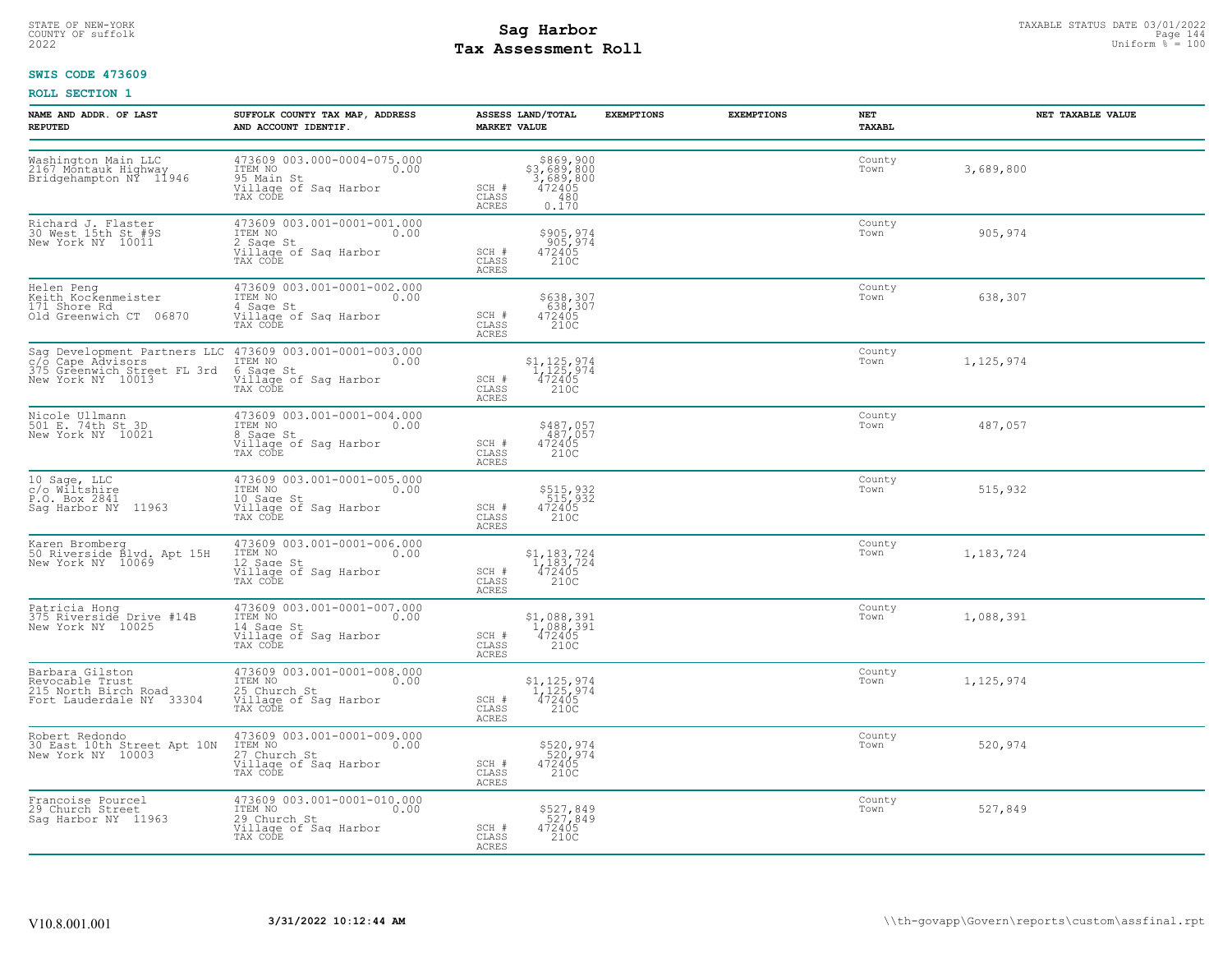## STATE OF NEW-YORK STATUS DATE 03/01/2022<br>
COUNTY OF suffolk **Sag From the Sag State of the Sage of All** Page 144<br>
2022 Mage of Sage State Page 140 **Tax Assessment Roll**

### **SWIS CODE 473609**

| NAME AND ADDR. OF LAST<br><b>REPUTED</b>                                               | SUFFOLK COUNTY TAX MAP, ADDRESS<br>AND ACCOUNT IDENTIF.                                                                                        | ASSESS LAND/TOTAL<br><b>MARKET VALUE</b>                                                | <b>EXEMPTIONS</b><br><b>EXEMPTIONS</b> | NET<br><b>TAXABL</b> | NET TAXABLE VALUE |
|----------------------------------------------------------------------------------------|------------------------------------------------------------------------------------------------------------------------------------------------|-----------------------------------------------------------------------------------------|----------------------------------------|----------------------|-------------------|
| Washington Main LLC<br>2167 Montauk Highway<br>Bridgehampton NY 11946                  | 473609 003.000-0004-075.000<br>ITEM NO 0.00<br>95 Main St<br>Village of Sag Harbor<br>TAX CODE                                                 | \$869,900<br>\$3,689,800<br>3,689,800<br>472405<br>SCH #<br>CLASS<br>0.170<br>ACRES     |                                        | County<br>Town       | 3,689,800         |
| Richard J. Flaster<br>30 West 15th St #9S<br>New York NY 10011                         | 473609 003.001-0001-001.000<br>ITEM NO 0.00<br>0.00<br>2 Sage St<br>Village of Sag Harbor<br>TAX CODE                                          | \$905,974<br>905,974<br>472405<br>SCH #<br>CLASS<br>210C<br>ACRES                       |                                        | County<br>Town       | 905,974           |
| Helen Peng<br>Keith Kockenmeister<br>171 Shore Rd<br>01d Greenwich CT 06870            | 473609 003.001-0001-002.000<br>ITEM NO 0.00<br>4 Sage St<br>Village of Saq Harbor<br>TAX CODE                                                  | \$638,307<br>638,307<br>472405<br>SCH #<br>CLASS<br>210C<br>ACRES                       |                                        | County<br>Town       | 638,307           |
| c/o Cape Advisors<br>375 Greenwich Street FL 3rd<br>New York NY 10013                  | Sag Development Partners LLC 473609 003.001-0001-003.000<br>c/o Cape Advisors (1980) ITEM NO<br>6 Sage St<br>Village of Sag Harbor<br>TAX CODE | $$1,125,974$<br>$1,125,974$<br>$472405$<br>SCH #<br>CLASS<br>210C<br>ACRES              |                                        | County<br>Town       | 1,125,974         |
| Nicole Ullmann<br>501 E. 74th St 3D<br>New York NY 10021                               | 473609 003.001-0001-004.000<br>ITEM NO<br>0.00<br>0.00<br>8 Sage St<br>Village of Sag Harbor<br>TAX CODE                                       | \$487,057<br>487,057<br>472405<br>210C<br>SCH #<br>CLASS<br>ACRES                       |                                        | County<br>Town       | 487,057           |
| 10 Sage, LLC<br>c/o Wiltshire<br>P.O. Box 2841<br>Sag Harbor NY 11963                  | 473609 003.001-0001-005.000<br>ITEM NO 0.00<br>10 Sage St<br>Village of Sag Harbor<br>TAX CODE                                                 | \$515,932<br>515,932<br>472405<br>SCH #<br>210C<br>CLASS<br>ACRES                       |                                        | County<br>Town       | 515,932           |
| Karen Bromberg<br>50 Riverside Blvd. Apt 15H<br>New York NY  10069                     | 473609 003.001-0001-006.000<br>ITEM NO 0.00<br>12 Sage St<br>Village of Sag Harbor<br>TAX CODE                                                 | $$^{1}_{14}$ , 183, 724<br>$1/183$ , 724<br>$472405$<br>SCH #<br>CLASS<br>210C<br>ACRES |                                        | County<br>Town       | 1,183,724         |
| Patricia Hong<br>375 Riverside Drive #14B<br>New York NY 10025                         | 473609 003.001-0001-007.000<br>ITEM NO 0.00<br>14 Sage St<br>Village of Sag Harbor<br>TAX CODE                                                 | $$1,088,391$<br>$1,088,391$<br>$472405$<br>210C<br>SCH #<br>CLASS<br>ACRES              |                                        | County<br>Town       | 1,088,391         |
| Barbara Gilston<br>Barcana - Trust<br>215 North Birch Road<br>Fort Lauderdale NY 33304 | 473609 003.001-0001-008.000<br>ITEM NO 0.00<br>25 Church St<br>Village of Sag Harbor<br>TAX CODE                                               | $$1,125,974$<br>$1,125,974$<br>$472405$<br>SCH #<br>210C<br>CLASS<br><b>ACRES</b>       |                                        | County<br>Town       | 1,125,974         |
| Robert Redondo<br>30 East 10th Street Apt 10N<br>New York NY 10003                     | 473609 003.001-0001-009.000<br>ITEM NO 0.00<br>27 Church St<br>Village of Sag Harbor<br>TAX CODE                                               | \$520,974<br>520,974<br>472405<br>SCH #<br>CLASS<br>210C<br>ACRES                       |                                        | County<br>Town       | 520,974           |
| Francoise Pourcel<br>29 Church Street<br>Saq Harbor NY 11963                           | 473609 003.001-0001-010.000<br>ITEM NO 0.00<br>29 Church St<br>Village of Sag Harbor<br>TAX CODE                                               | \$527,849<br>527,849<br>472405<br>SCH #<br>CLASS<br>210C<br>ACRES                       |                                        | County<br>Town       | 527,849           |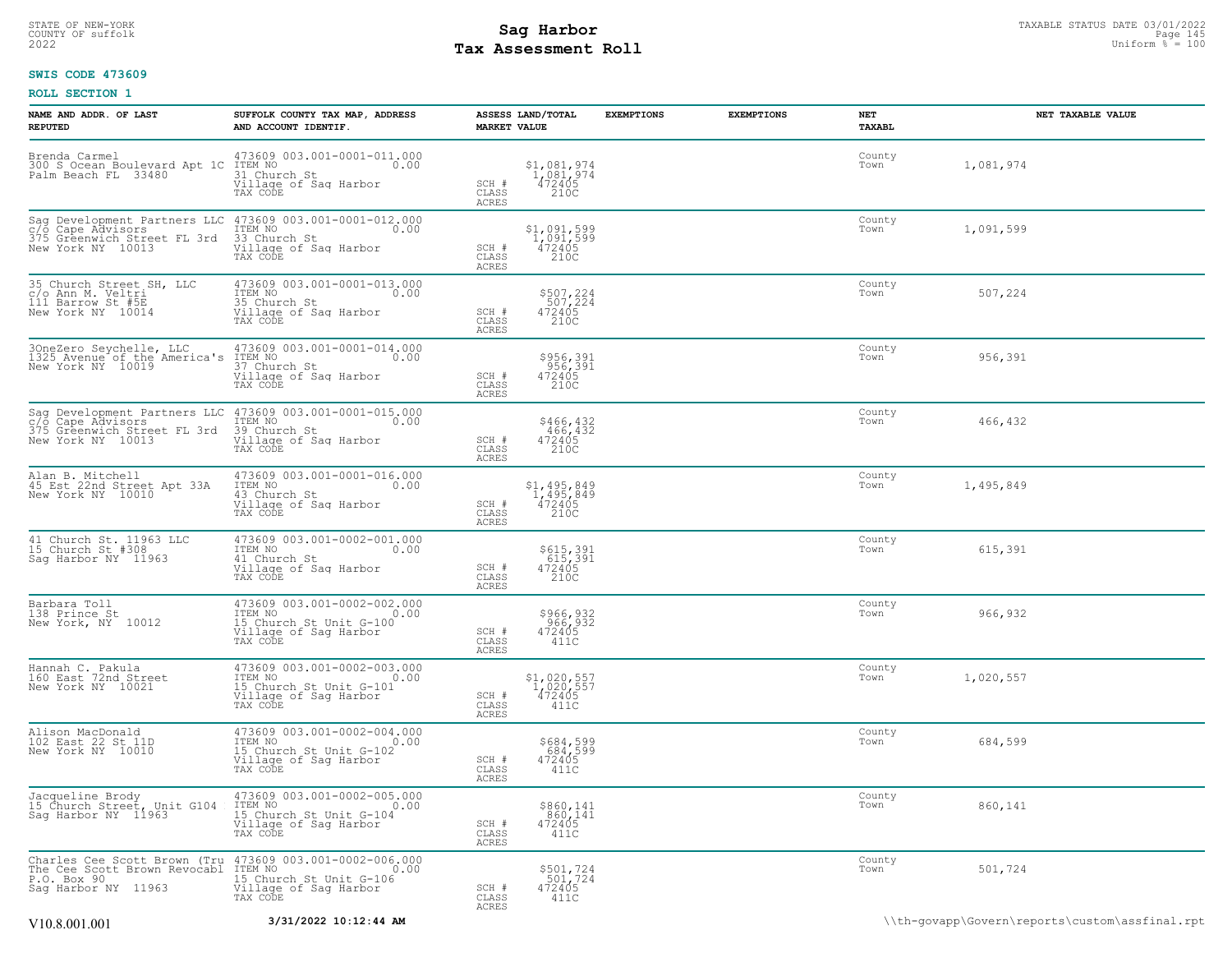# STATE OF NEW-YORK STATUS DATE 03/01/2022<br>
COUNTY OF suffolk **Sag From State of All County of Sage 145**<br>
2022 Man Duiform % = 100 **Tax Assessment Roll**

### **SWIS CODE 473609**

| NAME AND ADDR. OF LAST<br><b>REPUTED</b>                                                                                                    | SUFFOLK COUNTY TAX MAP, ADDRESS<br>AND ACCOUNT IDENTIF.                                                        | ASSESS LAND/TOTAL<br><b>MARKET VALUE</b>                                            | <b>EXEMPTIONS</b> | <b>EXEMPTIONS</b> | NET<br>TAXABL  | NET TAXABLE VALUE |
|---------------------------------------------------------------------------------------------------------------------------------------------|----------------------------------------------------------------------------------------------------------------|-------------------------------------------------------------------------------------|-------------------|-------------------|----------------|-------------------|
| Brenda Carmel<br>300 S Ocean Boulevard Apt 1C<br>Palm Beach FL 33480                                                                        | 473609 003.001-0001-011.000<br>ITEM NO<br>0.00<br>31 Church St<br>Village of Saq Harbor<br>TAX CODE            | $$1,081,974$<br>$1,081,974$<br>$472405$<br>SCH #<br>CLASS<br>210C<br><b>ACRES</b>   |                   |                   | County<br>Town | 1,081,974         |
| Sag Development Partners LLC<br>c/o Cape Advisors<br>375 Greenwich Street FL 3rd<br>New York NY 10013                                       | 473609 003.001-0001-012.000<br>ITEM NO<br>0.00<br>33 Church St<br>Village of Sag Harbor<br>TAX CODE            | \$1,091,599<br>1,091,599<br>472405<br>210C<br>SCH #<br>CLASS<br><b>ACRES</b>        |                   |                   | County<br>Town | 1,091,599         |
| 35 Church Street SH, LLC<br>c/o Ann M. Veltri<br>111 Barrow St #5E<br>New York NY 10014                                                     | 473609 003.001-0001-013.000<br>ITEM NO<br>0.00<br>35 Church St<br>Village of Sag Harbor<br>TAX CODE            | \$507,224<br>507,224<br>472405<br>210C<br>SCH #<br>CLASS<br><b>ACRES</b>            |                   |                   | County<br>Town | 507,224           |
| 3OneZero Seychelle, LLC<br>1325 Avenue of the America's<br>New York NY 10019                                                                | 473609 003.001-0001-014.000<br>ITEM NO<br>0.00<br>37 Church St<br>Village of Saq Harbor<br>TAX CODE            | \$956,391<br>956,391<br>472405<br>210C<br>SCH #<br>CLASS<br>ACRES                   |                   |                   | County<br>Town | 956,391           |
| Sag Development Partners LLC<br>c/o Cape Advisors<br>375 Greenwich Street FL 3rd<br>New York NY 10013                                       | 473609 003.001-0001-015.000<br>ITEM NO<br>0.00<br>11<br>39 Church St<br>Village of Saq Harbor<br>TAX CODE      | \$466,432<br>466,432<br>472405<br>210C<br>SCH #<br>CLASS<br>ACRES                   |                   |                   | County<br>Town | 466,432           |
| Alan B. Mitchell<br>45 Est 22nd Street Apt 33A<br>New York NY 10010                                                                         | 473609 003.001-0001-016.000<br>ITEM NO<br>0.00<br>43 Church St<br>Village of Sag Harbor<br>TAX CODE            | \$1,495,849<br>1,495,849<br>472405<br>210C<br>SCH #<br>CLASS<br>ACRES               |                   |                   | County<br>Town | 1,495,849         |
| 41 Church St. 11963 LLC<br>15 Church St #308<br>Sag Harbor NY 11963                                                                         | 473609 003.001-0002-001.000<br>ITEM NO 0.00<br>41 Church St<br>Village of Sag Harbor<br>TAX CODE               | \$615,391<br>615,391<br>472405<br>210C<br>SCH #<br>CLASS<br><b>ACRES</b>            |                   |                   | County<br>Town | 615,391           |
| Barbara Toll<br>138 Prince St<br>New York, NY 10012                                                                                         | 473609 003.001-0002-002.000<br>ITEM NO<br>IS Church St Unit G-100<br>Willage of Saq Harbor<br>TAX CODE         | \$966,932<br>966,932<br>472405<br>SCH #<br>CLASS<br>411C<br>ACRES                   |                   |                   | County<br>Town | 966,932           |
| Hannah C. Pakula<br>160 East 72nd Street<br>New York NY 10021                                                                               | 473609 003.001-0002-003.000<br>TEM NO<br>I5 Church St Unit G-101<br>Village of Sag Harbor<br>TAX CODE<br>0.00  | $$1,020,557$<br>$1,020,557$<br>$472405$<br>$411C$<br>SCH #<br>CLASS<br><b>ACRES</b> |                   |                   | County<br>Town | 1,020,557         |
| Alison MacDonald<br>102 East 22 St 11D<br>New York NY 10010                                                                                 | 473609 003.001-0002-004.000<br>ITEM NO<br>0.00<br>15 Church St Unit G-102<br>Village of Sag Harbor<br>TAX CODE | \$684,599<br>684,599<br>472405<br>SCH #<br>CLASS<br>411C<br>ACRES                   |                   |                   | County<br>Town | 684,599           |
| Jacqueline Brody<br>15 Church Street, Unit G104<br>Sag Harbor NY 11963                                                                      | 473609 003.001-0002-005.000<br>1TEM NO 0.00<br>15 Church St Unit G-104<br>Village of Sag Harbor<br>TAX CODE    | \$860,141<br>860,141<br>472405<br>SCH #<br>CLASS<br>411C<br>ACRES                   |                   |                   | County<br>Town | 860,141           |
| Charles Cee Scott Brown (Tru 473609 003.001-0002-006.000<br>The Cee Scott Brown Revocabl ITEM NO 0.00<br>P.O. Box 90<br>Saq Harbor NY 11963 | 15 Church St Unit G-106<br>Village of Sag Harbor<br>TAX CODE                                                   | \$501,724<br>$501,724$<br>472405<br>SCH #<br>CLASS<br>411C<br>ACRES                 |                   |                   | County<br>Town | 501,724           |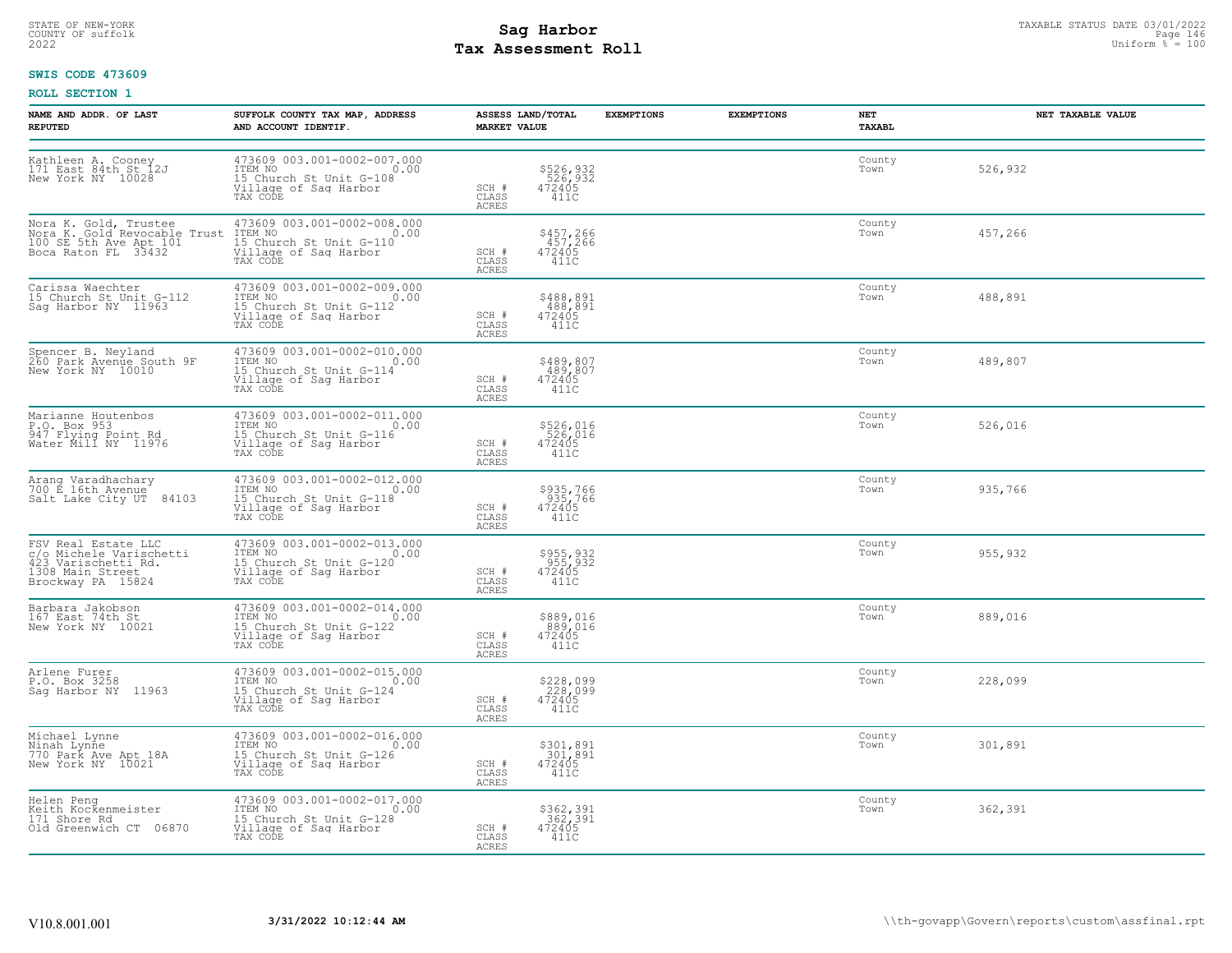# STATE OF NEW-YORK STATUS DATE 03/01/2022<br>
COUNTY OF suffolk **Sag From State of the Sage of All County of Sage 146**<br>
2022 Max **Assessment Roll** Page 146 **Tax Assessment Roll**

### **SWIS CODE 473609**

| NAME AND ADDR. OF LAST<br><b>REPUTED</b>                                                                       | SUFFOLK COUNTY TAX MAP, ADDRESS<br>AND ACCOUNT IDENTIF.                                                        | <b>MARKET VALUE</b>                | ASSESS LAND/TOTAL                                                 | <b>EXEMPTIONS</b> | <b>EXEMPTIONS</b> | NET<br><b>TAXABL</b> | NET TAXABLE VALUE |
|----------------------------------------------------------------------------------------------------------------|----------------------------------------------------------------------------------------------------------------|------------------------------------|-------------------------------------------------------------------|-------------------|-------------------|----------------------|-------------------|
| Kathleen A. Cooney<br>171 East 84th St 12J<br>New York NY 10028                                                | 473609 003.001-0002-007.000<br>ITEM NO<br>0.00<br>15 Church St Unit G-108<br>Village of Sag Harbor<br>TAX CODE | SCH #<br>CLASS<br>ACRES            | \$526,932<br>526,932<br>472405<br>411C                            |                   |                   | County<br>Town       | 526,932           |
| Nora K. Gold, Trustee<br>Nora K. Gold Revocable Trust<br>100 SE 5th Ave Apt 101<br>Boca Raton FL 33432         | 473609 003.001-0002-008.000<br>0.00<br>TEM NO<br>15 Church St Unit G-110<br>Village of Sag Harbor<br>TAX CODE  | SCH #<br>CLASS<br>ACRES            | \$457,266<br>457,266<br>472405<br>411C                            |                   |                   | County<br>Town       | 457,266           |
| Carissa Waechter<br>15 Church St Unit G-112<br>Sag Harbor NY 11963                                             | 473609 003.001-0002-009.000<br>TTEM NO 0.00<br>15 Church St Unit G-112<br>Village of Saq Harbor<br>TAX CODE    | SCH #<br>CLASS<br>ACRES            | \$488,891<br>488,891<br>472405<br>411C                            |                   |                   | County<br>Town       | 488,891           |
| Spencer B. Neyland<br>260 Park Avenue South 9F<br>New York NY 10010                                            | 473609 003.001-0002-010.000<br>ITEM NO 0.00<br>15 Church St Unit G-114<br>Village of Sag Harbor<br>TAX CODE    | SCH #<br>CLASS<br>ACRES            | $\begin{array}{c} $489,807\\ 489,807\\ 472405\\ 411C \end{array}$ |                   |                   | County<br>Town       | 489,807           |
| Marianne Houtenbos<br>P.O. Box 953<br>947 Flying Point Rd<br>Water Mill NY 11976                               | 473609 003.001-0002-011.000<br>TEM NO<br>15 Church St Unit G-116<br>Village of Sag Harbor<br>TAX CODE<br>0.00  | SCH #<br>CLASS<br><b>ACRES</b>     | \$526,016<br>526,016<br>472405<br>411C                            |                   |                   | County<br>Town       | 526,016           |
| Arang Varadhachary<br>700 E 16th Avenue<br>Salt Lake City UT 84103                                             | 473609 003.001-0002-012.000<br>ITEM NO 0.00<br>15 Church St Unit G-118<br>Village of Saq Harbor<br>TAX CODE    | SCH #<br>CLASS<br>ACRES            | \$935,766<br>935,766<br>472405<br>411C                            |                   |                   | County<br>Town       | 935,766           |
| FSV Real Estate LLC<br>c/o Michele Varischetti<br>423 Varischetti Rd.<br>1308 Main Street<br>Brockway PA 15824 | 473609 003.001-0002-013.000<br>0.00<br>ITEM NO<br>15 Church St Unit G-120<br>Village of Saq Harbor<br>TAX CODE | SCH #<br>$\mathtt{CLASS}$<br>ACRES | \$955,932<br>955,932<br>472405<br>411C                            |                   |                   | County<br>Town       | 955,932           |
| Barbara Jakobson<br>167 East 74th St<br>New York NY 10021                                                      | 473609 003.001-0002-014.000<br>ITEM NO 0.00<br>15 Church St Unit G-122<br>Village of Sag Harbor<br>TAX CODE    | SCH #<br>CLASS<br><b>ACRES</b>     | \$889,016<br>889,016<br>472405<br>411C                            |                   |                   | County<br>Town       | 889,016           |
| Arlene Furer<br>P.O. Box 3258<br>Sag Harbor NY 11963                                                           | 473609 003.001-0002-015.000<br>15 Church St Unit G-124<br>Village of Sag Harbor<br>TAX CODE                    | SCH #<br>CLASS<br><b>ACRES</b>     | \$228,099<br>228,099<br>472405<br>411C                            |                   |                   | County<br>Town       | 228,099           |
| Michael Lynne<br>Ninah Lynne<br>770 Park Ave Apt 18A<br>New York NY 10021                                      | 473609 003.001-0002-016.000<br>ITEM NO<br>15 Church St Unit G-126<br>Village of Saq Harbor<br>TAX CODE         | SCH #<br>CLASS<br>ACRES            | \$301,891<br>301,891<br>472405<br>411C                            |                   |                   | County<br>Town       | 301,891           |
| Helen Peng<br>Keith Kockenmeister<br>171 Shore Rd<br>Old Greenwich CT 06870                                    | 473609 003.001-0002-017.000<br>ITEM NO 0.00<br>15 Church St Unit G-128<br>Village of Sag Harbor<br>TAX CODE    | SCH #<br>CLASS<br>ACRES            | \$362,391<br>362,391<br>472405<br>411C                            |                   |                   | County<br>Town       | 362,391           |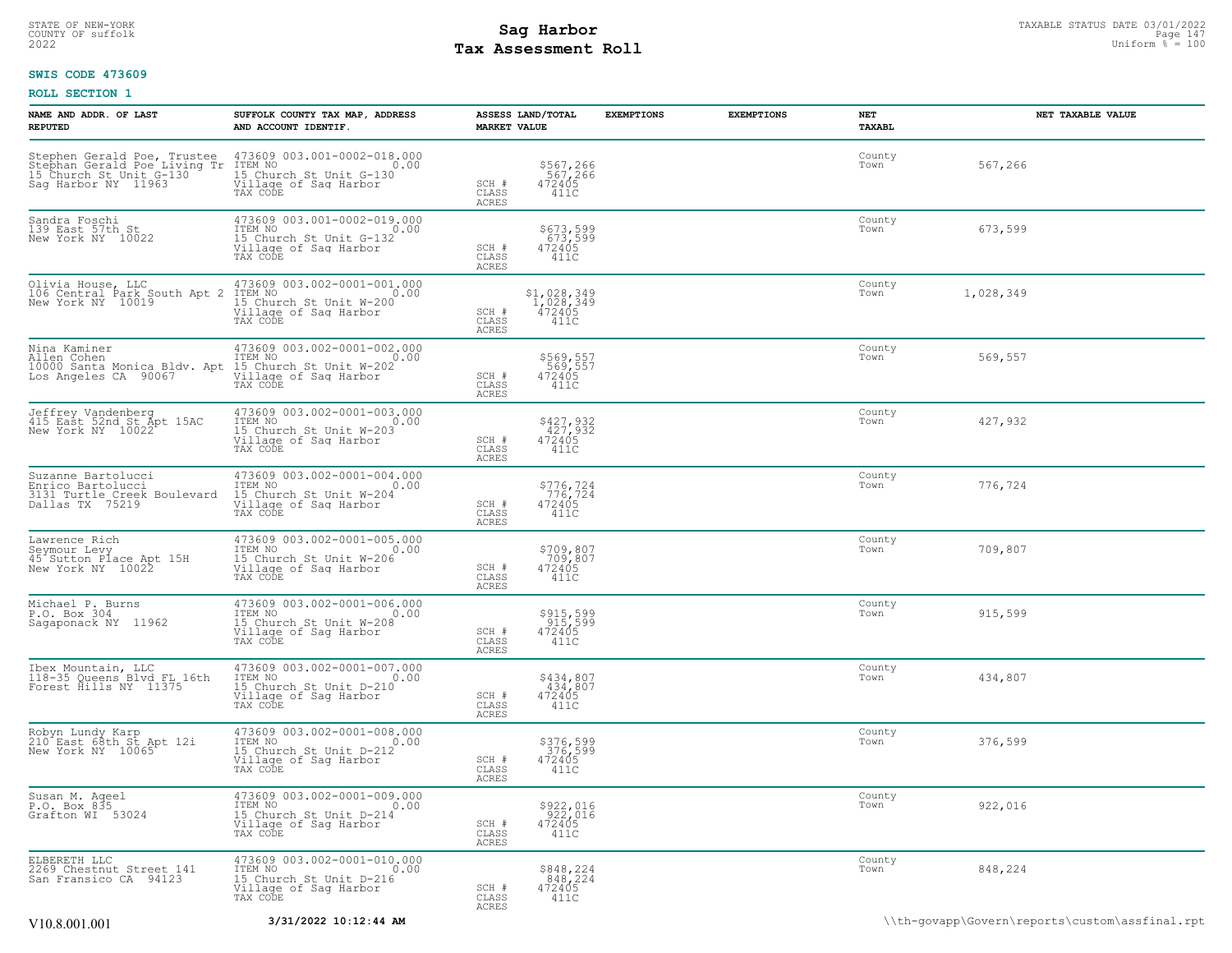# STATE OF NEW-YORK STATUS DATE 03/01/2022<br>
COUNTY OF suffolk **Sag From State of All County of Sage 147**<br>
2022 Mage 147 **Assessment Roll** Page 110 **Tax Assessment Roll**

### **SWIS CODE 473609**

| NAME AND ADDR. OF LAST<br><b>REPUTED</b>                                                  | SUFFOLK COUNTY TAX MAP, ADDRESS<br>AND ACCOUNT IDENTIF.                                                                                                                                         | <b>MARKET VALUE</b>            | ASSESS LAND/TOTAL                                                                 | <b>EXEMPTIONS</b> | <b>EXEMPTIONS</b> | NET<br><b>TAXABL</b> |           | NET TAXABLE VALUE |
|-------------------------------------------------------------------------------------------|-------------------------------------------------------------------------------------------------------------------------------------------------------------------------------------------------|--------------------------------|-----------------------------------------------------------------------------------|-------------------|-------------------|----------------------|-----------|-------------------|
|                                                                                           | Stephen Gerald Poe, Trustee 473609 003.001-0002-018.000<br>Stephan Gerald Poe Living Tr ITEM NO<br>15 Church St Unit G-130 15 Church St Unit G-130<br>Sag Harbor NY 11963 Village of Sag Harbor | SCH #<br>CLASS<br>ACRES        | \$567,266<br>567,266<br>472405<br>411C                                            |                   |                   | County<br>Town       | 567,266   |                   |
| Sandra Foschi<br>139 East 57th St<br>New York NY 10022                                    | 473609 003.001-0002-019.000<br>ITEM NO<br>15 Church St Unit G-132<br>Village of Sag Harbor<br>TAX CODE                                                                                          | SCH #<br>CLASS<br>ACRES        | \$673,599<br>673,599<br>472405<br>411C                                            |                   |                   | County<br>Town       | 673,599   |                   |
| Olivia House, LLC<br>106 Central Park South Apt 2<br>New York NY 10019                    | 473609 003.002-0001-001.000<br>ITEM NO<br>15 Church St Unit W-200<br>Village of Sag Harbor<br>TAX CODE                                                                                          | SCH #<br>CLASS<br>ACRES        | $\substack{ \textcolor{red}{\mathbf{51,028,349}}\\ 1,028,349\\ 472405} }$<br>411C |                   |                   | County<br>Town       | 1,028,349 |                   |
|                                                                                           |                                                                                                                                                                                                 | SCH #<br>CLASS<br>ACRES        | \$569,557<br>569,557<br>472405<br>411C                                            |                   |                   | County<br>Town       | 569,557   |                   |
| Jeffrey Vandenberg<br>415 East 52nd St Apt 15AC<br>New York NY 10022                      | 473609 003.002-0001-003.000<br>ITEM NO<br>15 Church St Unit W-203<br>Village of Saq Harbor<br>TAX CODE                                                                                          | SCH #<br>CLASS<br>ACRES        | \$427,932<br>427,932<br>472405<br>411C                                            |                   |                   | County<br>Town       | 427,932   |                   |
| Suzanne Bartolucci<br>Enrico Bartolucci<br>3131 Turtle Creek Boulevard<br>Dallas TX 75219 | 473609 003.002-0001-004.000<br>ITEM NO<br>15 Church St Unit W-204<br>Willage of Sag Harbor<br>TAX CODE                                                                                          | SCH #<br>CLASS<br>ACRES        | \$776,724<br>776,724<br>472405<br>411C                                            |                   |                   | County<br>Town       | 776,724   |                   |
| Lawrence Rich<br>Seymour Levy<br>45 Sutton Place Apt 15H<br>New York NY 10022             | 473609 003.002-0001-005.000<br>ITEM NO<br>15 Church St Unit W-206<br>Village of Saq Harbor<br>TAX CODE                                                                                          | SCH #<br>CLASS<br><b>ACRES</b> | \$709,807<br>709,807<br>472405<br>411C                                            |                   |                   | County<br>Town       | 709,807   |                   |
| Michael P. Burns<br>P.O. Box 304<br>Sagaponack NY 11962                                   | 473609 003.002-0001-006.000<br>ITEM NO<br>15 Church St Unit W-208<br>Village of Saq Harbor<br>TAX CODE                                                                                          | SCH #<br>CLASS<br>ACRES        | \$915,599<br>915,599<br>472405<br>411C                                            |                   |                   | County<br>Town       | 915,599   |                   |
| Ibex Mountain, LLC<br>118-35 Queens Blvd FL 16th<br>Forest Hills NY 11375                 | 473609 003.002-0001-007.000<br>ITEM NO<br>15 Church St Unit D-210<br>Village of Sag Harbor<br>TAX CODE                                                                                          | SCH #<br>CLASS<br>ACRES        | \$434,807<br>434,807<br>472405<br>411C                                            |                   |                   | County<br>Town       | 434,807   |                   |
| Robyn Lundy Karp<br>210 East 68th St Apt 12i<br>New York NY 10065                         | 473609 003.002-0001-008.000<br>ITEM NO<br>15 Church St Unit D-212<br>Village of Sag Harbor<br>TAX CODE                                                                                          | SCH #<br>CLASS<br>ACRES        | \$376,599<br>376,599<br>472405<br>411C                                            |                   |                   | County<br>Town       | 376,599   |                   |
| Susan M. Aqeel<br>P.O. Box 835<br>Grafton WI 53024                                        | 473609 003.002-0001-009.000<br>TTEM NO 0.00<br>15 Church St Unit D-214<br>Village of Sag Harbor<br>TAX CODE                                                                                     | SCH #<br>CLASS<br>ACRES        | \$922,016<br>922,016<br>472405<br>$\overline{411C}$                               |                   |                   | County<br>Town       | 922,016   |                   |
| ELBERETH LLC<br>2269 Chestnut Street 141<br>San Fransico CA 94123                         | 473609 003.002-0001-010.000<br>ITEM NO<br>15 Church St Unit D-216<br>Village of Saq Harbor<br>TAX CODE                                                                                          | SCH #<br>CLASS<br>ACRES        | \$848,224<br>848,224<br>472405<br>411C                                            |                   |                   | County<br>Town       | 848,224   |                   |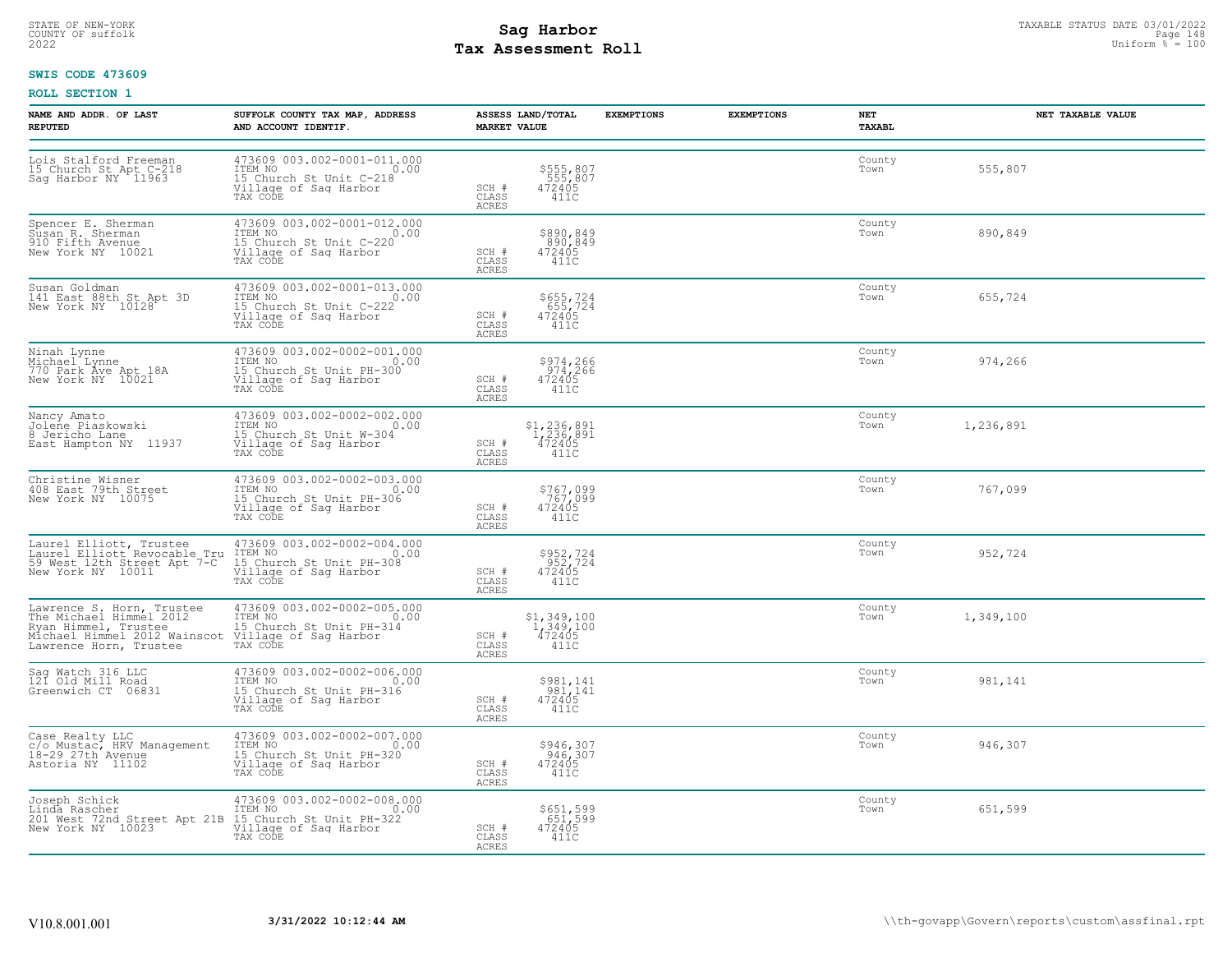# STATE OF NEW-YORK STATUS DATE 03/01/2022<br>
COUNTY OF suffolk **Sag From the Sag State Page 148**<br>
2022 Pay Assessment Roll **Tax Assessment Roll**

### **SWIS CODE 473609**

| NAME AND ADDR. OF LAST<br><b>REPUTED</b>                                                                                               | SUFFOLK COUNTY TAX MAP, ADDRESS<br>AND ACCOUNT IDENTIF.                                                        | ASSESS LAND/TOTAL<br><b>MARKET VALUE</b>                                                                                                                                                                     | <b>EXEMPTIONS</b> | <b>EXEMPTIONS</b><br>NET<br><b>TAXABL</b> |           | NET TAXABLE VALUE |
|----------------------------------------------------------------------------------------------------------------------------------------|----------------------------------------------------------------------------------------------------------------|--------------------------------------------------------------------------------------------------------------------------------------------------------------------------------------------------------------|-------------------|-------------------------------------------|-----------|-------------------|
| Lois Stalford Freeman<br>15 Church St Apt C-218<br>Sag Harbor NY 11963                                                                 | 473609 003.002-0001-011.000<br>TTEM NO 0.00<br>15 Church St Unit C-218<br>Village of Sag Harbor<br>TAX CODE    | \$555,807<br>555,807<br>472405<br>SCH #<br>CLASS<br>411C<br>ACRES                                                                                                                                            |                   | County<br>Town                            | 555,807   |                   |
| Spencer E. Sherman<br>Susan R. Sherman<br>910 Fifth Avenue<br>New York NY 10021                                                        | 473609 003.002-0001-012.000<br>TTEM NO<br>IS Church St Unit C-220<br>Village of Saq Harbor<br>TAX CODE<br>0.00 | \$890,849<br>890,849<br>472405<br>411C<br>SCH #<br>CLASS<br>ACRES                                                                                                                                            |                   | County<br>Town                            | 890,849   |                   |
| Susan Goldman<br>141 East 88th St Apt 3D<br>New York NY 10128                                                                          | 473609 003.002-0001-013.000<br>ITEM NO 0.00<br>15 Church St Unit C-222<br>Village of Sag Harbor<br>TAX CODE    | \$655,724<br>655,724<br>472405<br>SCH #<br>CLASS<br>411C<br>ACRES                                                                                                                                            |                   | County<br>Town                            | 655,724   |                   |
| Ninah Lynne<br>Michael Lynne<br>770 Park Ave Apt 18A<br>New York NY 10021                                                              | 473609 003.002-0002-001.000<br>ITEM NO<br>15 Church St Unit PH-300<br>Village of Sag Harbor<br>TAX CODE        | \$974,266<br>974,266<br>472405<br>SCH #<br>CLASS<br>411C<br>ACRES                                                                                                                                            |                   | County<br>Town                            | 974,266   |                   |
| Nancy Amato<br>Jolene Piaskowski<br>8 Jericho Lane<br>East Hampton NY 11937                                                            | 473609 003.002-0002-002.000<br>TTEM NO<br>15 Church St Unit W-304<br>Village of Sag Harbor<br>0.00<br>TAX CODE | $\substack{ \textcolor{red}{\mathbf{51, 236, 891}}\\ \textcolor{red}{\mathbf{1, 236, 891}}\\ \textcolor{red}{\mathbf{472405}} }$<br>SCH #<br>411C<br>CLASS<br>ACRES                                          |                   | County<br>Town                            | 1,236,891 |                   |
| Christine Wisner<br>408 East 79th Street<br>New York NY 10075                                                                          | 473609 003.002-0002-003.000<br>TTEM NO 0.00<br>15 Church St Unit PH-306<br>Village of Sag Harbor<br>TAX CODE   | \$767,099<br>767,099<br>472405<br>SCH #<br>CLASS<br>411C<br>ACRES                                                                                                                                            |                   | County<br>Town                            | 767,099   |                   |
| Laurel Elliott, Trustee<br>Laurel Elliott Revocable Tru<br>59 West 12th Street Apt 7-C<br>New York NY 10011                            | 473609 003.002-0002-004.000<br>ITEM NO<br>15 Church St Unit PH-308<br>Village of Saq Harbor<br>TAX CODE        | \$952,724<br>952,724<br>472405<br>411C<br>SCH #<br>CLASS<br><b>ACRES</b>                                                                                                                                     |                   | County<br>Town                            | 952,724   |                   |
| Lawrence S. Horn, Trustee<br>The Michael Himmel 2012<br>Ryan Himmel, Trustee<br>Michael Himmel 2012 Wainscot<br>Lawrence Horn, Trustee | 473609 003.002-0002-005.000<br>TTEM NO 0.00<br>15 Church St Unit PH-314<br>Village of Sag Harbor<br>TAX CODE   | $\substack{ \textcolor{red}{\mathbf{51}}, \, \textcolor{red}{\mathbf{349}}, \, \textcolor{red}{100} \\ \textcolor{red}{\mathbf{1}} \\ \textcolor{red}{\mathbf{472405}} }$<br>SCH #<br>CLASS<br>411C<br>ACRES |                   | County<br>Town                            | 1,349,100 |                   |
| Sag Watch 316 LLC<br>121 Old Mill Road<br>Greenwich CT 06831                                                                           | 473609 003.002-0002-006.000<br>ITEM NO 0.00<br>15 Church St Unit PH-316<br>Village of Sag Harbor<br>TAX CODE   | \$981,141<br>981,141<br>472405<br>SCH #<br>411C<br>CLASS<br><b>ACRES</b>                                                                                                                                     |                   | County<br>Town                            | 981,141   |                   |
| Case Realty LLC<br>c/o Mustac, HRV Management<br>18-29 27th Avenue<br>Astoria NY 11102                                                 | 473609 003.002-0002-007.000<br>ITEM NO<br>US Church St Unit PH-320<br>Willage of Saq Harbor<br>TAX CODE        | \$946,307<br>$946,307$<br>472405<br>SCH #<br>CLASS<br>411C<br>ACRES                                                                                                                                          |                   | County<br>Town                            | 946,307   |                   |
| Joseph Schick<br>Linda Rascher<br>201 West 72nd Street Apt 21B 15 Church St Unit PH-322<br>New York NY 10023 Village of Saq Harbor     | 473609 003.002-0002-008.000<br>ITEM NO 0.00<br>TAX CODE                                                        | \$651,599<br>651,599<br>472405<br>SCH #<br>CLASS<br>411C<br>ACRES                                                                                                                                            |                   | County<br>Town                            | 651,599   |                   |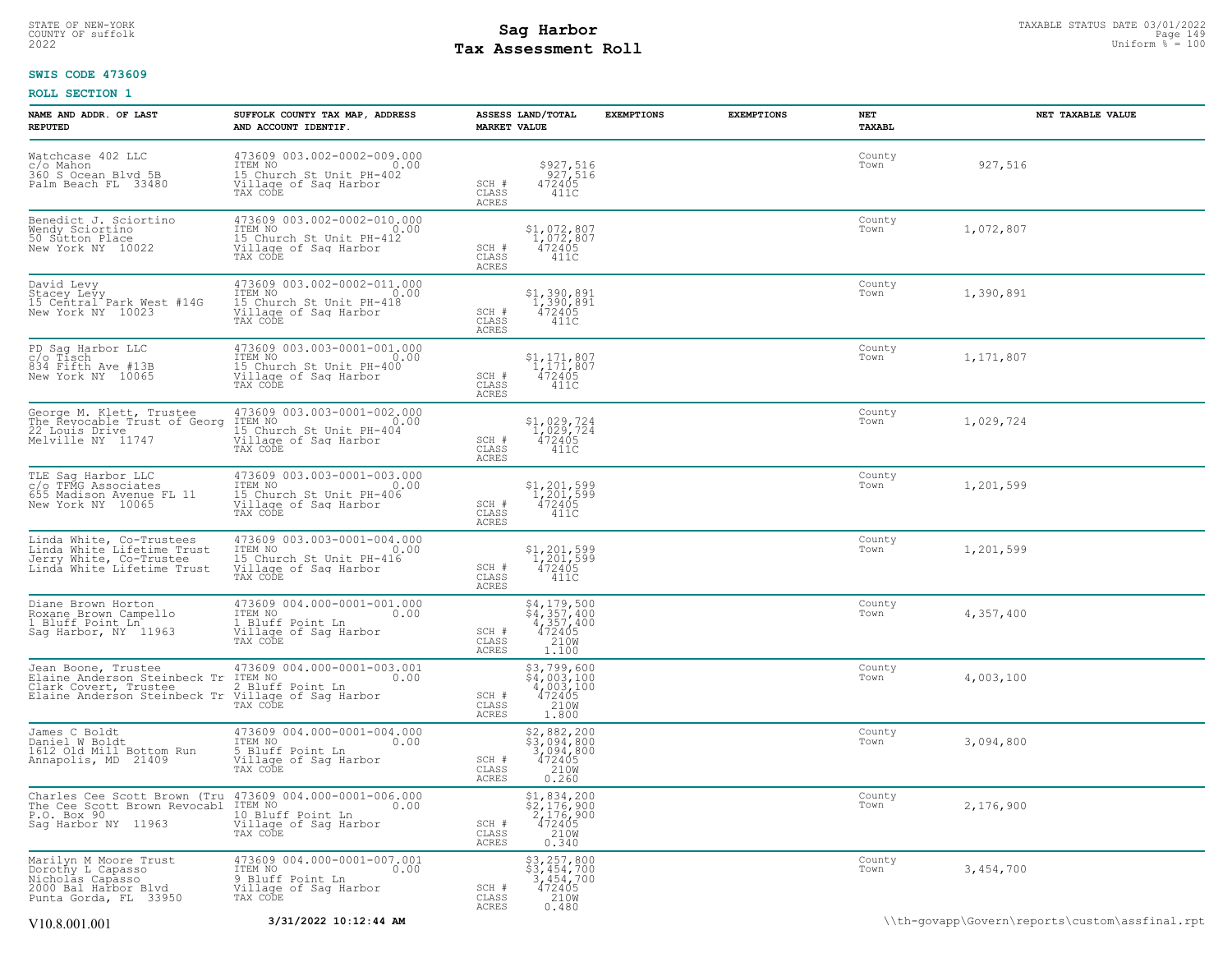# STATE OF NEW-YORK STATUS DATE 03/01/2022<br>
COUNTY OF suffolk **Sag From State of All County of Sage 149** Uniform % = 100<br>
2022 Pay Assessment Roll **Tax Assessment Roll**

### **SWIS CODE 473609**

| NAME AND ADDR. OF LAST<br><b>REPUTED</b>                                                                                                                                                                                    | SUFFOLK COUNTY TAX MAP, ADDRESS<br>AND ACCOUNT IDENTIF.                                                 | <b>MARKET VALUE</b>                | ASSESS LAND/TOTAL                                                                | <b>EXEMPTIONS</b> | <b>EXEMPTIONS</b> | NET<br>TAXABL  | NET TAXABLE VALUE |
|-----------------------------------------------------------------------------------------------------------------------------------------------------------------------------------------------------------------------------|---------------------------------------------------------------------------------------------------------|------------------------------------|----------------------------------------------------------------------------------|-------------------|-------------------|----------------|-------------------|
| Watchcase 402 LLC<br>c/o Mahon<br>360 S Ocean Blvd 5B<br>Palm Beach FL 33480                                                                                                                                                | 473609 003.002-0002-009.000<br>ITEM NO<br>15 Church St Unit PH-402<br>Village of Saq Harbor<br>TAX CODE | SCH #<br>CLASS<br>ACRES            | \$927,516<br>927,516<br>472405<br>411C                                           |                   |                   | County<br>Town | 927,516           |
| Benedict J. Sciortino<br>Wendy Sciortino<br>50 Sutton Place<br>New York NY 10022                                                                                                                                            | 473609 003.002-0002-010.000<br>ITEM NO<br>IS Church St Unit PH-412<br>Village of Sag Harbor<br>TAX CODE | SCH #<br>CLASS<br>ACRES            | $$1,072,807$<br>$1,072,807$<br>$472405$<br>411C                                  |                   |                   | County<br>Town | 1,072,807         |
| David Levy<br>Stacey Levy<br>15 Central Park West #14G<br>New York NY 10023                                                                                                                                                 | 473609 003.002-0002-011.000<br>TTEM NO<br>15 Church St Unit PH-418<br>Village of Sag Harbor<br>TAX CODE | SCH #<br>CLASS<br><b>ACRES</b>     | $$1,390,891$<br>$1,390,891$<br>$472405$<br>411C                                  |                   |                   | County<br>Town | 1,390,891         |
| PD Sag Harbor LLC<br>c/o Tisch<br>834 Fifth Ave #13B<br>New York NY 10065                                                                                                                                                   | 473609 003.003-0001-001.000<br>ITEM NO<br>10 Church St Unit PH-400<br>Village of Saq Harbor<br>TAX CODE | SCH #<br>CLASS<br>ACRES            | $$1, 171, 807$<br>$1, 171, 807$<br>$472405$<br>411C                              |                   |                   | County<br>Town | 1,171,807         |
| George M. Klett, Trustee<br>The Revocable Trust of Georg<br>22 Louis Drive<br>Melville NY 11747                                                                                                                             | 473609 003.003-0001-002.000<br>ITEM NO<br>15 Church St Unit PH-404<br>Village of Saq Harbor<br>TAX CODE | SCH #<br>CLASS<br>ACRES            | $$1,029,724$<br>$1,029,724$<br>$472405$<br>$411C$                                |                   |                   | County<br>Town | 1,029,724         |
| TLE Sag Harbor LLC<br>c/o TFMG Associates<br>655 Madison Avenue FL 11<br>New York NY 10065                                                                                                                                  | 473609 003.003-0001-003.000<br>ITEM NO<br>10 Church St Unit PH-406<br>Village of Sag Harbor<br>TAX CODE | SCH #<br>$\mathtt{CLASS}$<br>ACRES | $$1,201,599$<br>$1,201,599$<br>$472405$<br>411C                                  |                   |                   | County<br>Town | 1,201,599         |
| Linda White, Co-Trustees<br>Linda White Lifetime Trust<br>Jerry White, Co-Trustee<br>Linda White Lifetime Trust                                                                                                             | 473609 003.003-0001-004.000<br>ITEM NO<br>IS Church St Unit PH-416<br>Village of Saq Harbor<br>TAX CODE | SCH #<br>CLASS<br>ACRES            | $$1,201,599$<br>$1,201,599$<br>$472405$<br>411C                                  |                   |                   | County<br>Town | 1,201,599         |
| Diane Brown Horton<br>Roxane Brown Campello<br>1 Bluff Point Ln<br>Sag Harbor, NY 11963                                                                                                                                     | 473609 004.000-0001-001.000<br>ITEM NO 0.00<br>1 Bluff Point Ln<br>Village of Sag Harbor<br>TAX CODE    | SCH #<br>CLASS<br>ACRES            | $$4, 179, 500$<br>$$4, 357, 400$<br>$4, 357, 400$<br>$472405$<br>210W<br>1,100   |                   |                   | County<br>Town | 4,357,400         |
| Jean Boone, Trustee 473609 004.000-0001-003.001<br>Elaine Anderson Steinbeck Tr ITEM NO Clark Covert, Trustee 2 Bluff Point Ln Clark Covert, Trustee 2 Bluff Point Ln<br>Elaine Anderson Steinbeck Tr Village of Sag Harbor | TAX CODE                                                                                                | SCH #<br>CLASS<br>ACRES            | $$3,799,600$<br>$$4,003,100$<br>$4,003,100$<br>$472405$<br>$210M$<br>1,800       |                   |                   | County<br>Town | 4,003,100         |
| James C Boldt<br>Daniel W Boldt<br>1612 Old Mill Bottom Run<br>Annapolis, MD 21409                                                                                                                                          | 473609 004.000-0001-004.000<br>ITEM NO 0.00<br>5 Bluff Point Ln<br>Village of Sag Harbor<br>TAX CODE    | SCH #<br>CLASS<br>ACRES            | \$2,882,200<br>\$3,094,800<br>3,094,800<br>$\frac{472405}{210}$<br>0.260         |                   |                   | County<br>Town | 3,094,800         |
| Charles Cee Scott Brown (Tru 473609 004.000-0001-006.000<br>The Cee Scott Brown Revocabl ITEM NO<br>P.O. Box 90<br>Sag Harbor NY 11963                                                                                      | Village of Sag Harbor<br>TAX CODE                                                                       | SCH #<br>CLASS<br><b>ACRES</b>     | $$1,834,200$<br>$$2,176,900$<br>$2,176,900$<br>$472405$<br>$$2108$<br>0.340      |                   |                   | County<br>Town | 2,176,900         |
| Marilyn M Moore Trust<br>Dorothy L Capasso<br>Nicholas Capasso<br>2000 Bal Harbor Blyd<br>Punta Gorda, FL 33950                                                                                                             | 473609 004.000-0001-007.001<br>ITEM NO 0.00<br>9 Bluff Point Ln<br>Village of Sag Harbor<br>TAX CODE    | SCH #<br>CLASS<br>ACRES            | $$3, 257, 800$<br>$$3, 454, 700$<br>$3, 454, 700$<br>$472405$<br>$210M$<br>0.480 |                   |                   | County<br>Town | 3,454,700         |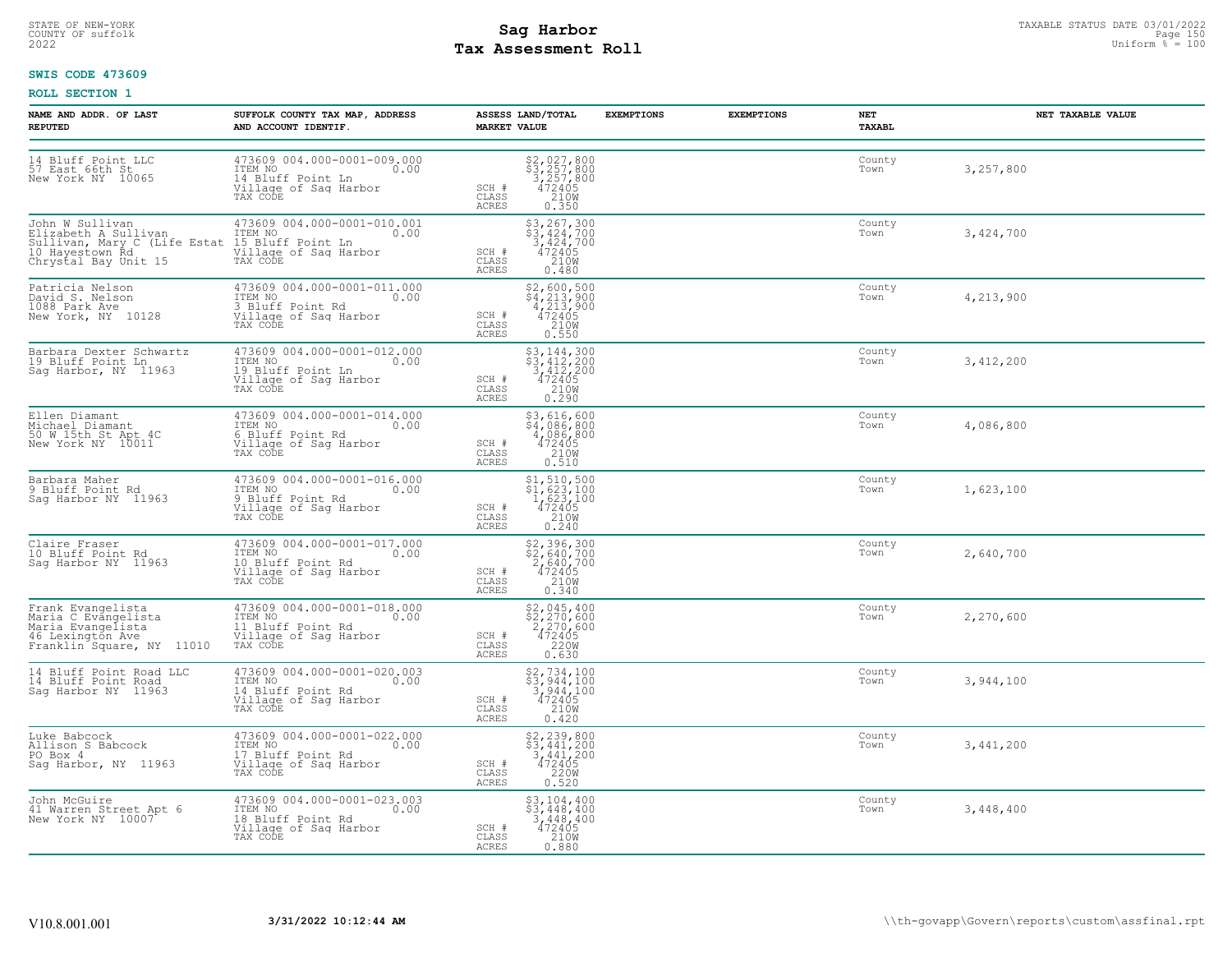# STATE OF NEW-YORK STATUS DATE 03/01/2022<br>
COUNTY OF suffolk **Sag From State Page 150**<br>
2022 Pay Assessment Roll **Tax Assessment Roll**

### **SWIS CODE 473609**

| NAME AND ADDR. OF LAST<br><b>REPUTED</b>                                                                                                                         | SUFFOLK COUNTY TAX MAP, ADDRESS<br>AND ACCOUNT IDENTIF.                                                  | ASSESS LAND/TOTAL<br><b>MARKET VALUE</b>                                                                                 | <b>EXEMPTIONS</b> | <b>EXEMPTIONS</b> | NET<br>TAXABL  | NET TAXABLE VALUE |
|------------------------------------------------------------------------------------------------------------------------------------------------------------------|----------------------------------------------------------------------------------------------------------|--------------------------------------------------------------------------------------------------------------------------|-------------------|-------------------|----------------|-------------------|
| 14 Bluff Point LLC<br>57 East 66th St<br>New York NY 10065                                                                                                       | 473609 004.000-0001-009.000<br>ITEM NO<br>0.00<br>14 Bluff Point Ln<br>Village of Sag Harbor<br>TAX CODE | \$2,027,800<br>\$3,257,800<br>3,257,800<br>472405<br>210W<br>SCH #<br>CLASS<br><b>ACRES</b><br>0.350                     |                   |                   | County<br>Town | 3,257,800         |
| John W Sullivan<br>Elizabeth A Sullivan<br>Sullivan, Mary C (Life Estat 15 Bluff Point Ln<br>10 Hayestown Rd Village of Saq Har<br>Chrystal Bay Unit 15 TAX CODE | 473609 004.000-0001-010.001<br>ITEM NO<br>$\sim$ 0.00<br>Village of Sag Harbor                           | $$3, 267, 300$<br>$$3, 424, 700$<br>$3, 424, 700$<br>$472405$<br>SCH #<br>CLASS<br>210W<br>ACRES<br>0.480                |                   |                   | County<br>Town | 3,424,700         |
| Patricia Nelson<br>David S. Nelson<br>1088 Park Ave<br>New York, NY 10128                                                                                        | 473609 004.000-0001-011.000<br>ITEM NO 0.00<br>3 Bluff Point Rd<br>Village of Sag Harbor<br>TAX CODE     | \$2,600,500<br>\$4,213,900<br>4,213,900<br>472405<br>210M<br>SCH #<br>CLASS<br>ACRES<br>0.550                            |                   |                   | County<br>Town | 4,213,900         |
| Barbara Dexter Schwartz<br>19 Bluff Point Ln<br>Sag Harbor, NY 11963                                                                                             | 473609 004.000-0001-012.000<br>TTEM NO 0.00<br>19 Bluff Point Ln<br>Village of Sag Harbor<br>TAX CODE    | \$3,144,300<br>$\frac{1}{3}, \frac{1}{412}, \frac{200}{200}$<br>SCH #<br>$\frac{472405}{210}$<br>CLASS<br>ACRES<br>0.290 |                   |                   | County<br>Town | 3,412,200         |
| Ellen Diamant<br>Michael Diamant<br>50 W 15th St Apt 4C<br>New York NY 10011                                                                                     | 473609 004.000-0001-014.000<br>ITEM NO 0.00<br>6 Bluff Point Rd<br>Village of Sag Harbor<br>TAX CODE     | \$3,616,600<br>\$4,086,800<br>4,086,800<br>SCH #<br>$472405$<br>210W<br>CLASS<br>ACRES<br>0.510                          |                   |                   | County<br>Town | 4,086,800         |
| Barbara Maher<br>9 Bluff Point Rd<br>Sag Harbor NY 11963                                                                                                         | 473609 004.000-0001-016.000<br>ITEM NO<br>0.00<br>9 Bluff Point Rd<br>Village of Sag Harbor<br>TAX CODE  | \$1,510,500<br>\$1,623,100<br>1,623,100<br>472405<br>210W<br>SCH #<br>CLASS<br><b>ACRES</b><br>0.240                     |                   |                   | County<br>Town | 1,623,100         |
| Claire Fraser<br>10 Bluff Point Rd<br>Sag Harbor NY 11963                                                                                                        | 473609 004.000-0001-017.000<br>ITEM NO<br>0.00<br>10 Bluff Point Rd<br>Village of Sag Harbor<br>TAX CODE | \$2,396,300<br>\$2,640,700<br>2,640,700<br>472405<br>SCH #<br>CLASS<br>210W<br>ACRES<br>0.340                            |                   |                   | County<br>Town | 2,640,700         |
| Frank Evangelista<br>Maria C Evangelista<br>Maria Evangelista<br>46 Lexington Ave<br>Franklin <sup>Square, NY</sup> 11010                                        | 473609 004.000-0001-018.000<br>ITEM NO<br>0.00<br>11 Bluff Point Rd<br>Village of Sag Harbor<br>TAX CODE | $$2,045,400$<br>$$2,270,600$<br>$2,270,600$<br>SCH #<br>472405<br>220W<br>CLASS<br><b>ACRES</b><br>0.630                 |                   |                   | County<br>Town | 2,270,600         |
| 14 Bluff Point Road LLC<br>14 Bluff Point Road<br>Sag Harbor NY 11963                                                                                            | 473609 004.000-0001-020.003<br>ITEM NO 0.00<br>14.Bluff Point Rd<br>Village of Sag Harbor<br>TAX CODE    | \$2,734,100<br>\$3,944,100<br>3,944,100<br>SCH #<br>472405<br>210W<br>CLASS<br><b>ACRES</b><br>0.420                     |                   |                   | County<br>Town | 3,944,100         |
| Luke Babcock<br>Allison S Babcock<br>PO Box 4<br>Saq Harbor, NY 11963                                                                                            | 473609 004.000-0001-022.000<br>ITEM NO 0.00<br>17 Bluff Point Rd<br>Village of Sag Harbor<br>TAX CODE    | \$2,239,800<br>$\frac{1}{3}$ , 441, 200<br>3, 441, 200<br>SCH #<br>$472405$<br>220W<br>CLASS<br>ACRES<br>0.520           |                   |                   | County<br>Town | 3,441,200         |
| John McGuire<br>41 Warren Street Apt 6<br>New York NY 10007                                                                                                      | 473609 004.000-0001-023.003<br>ITEM NO<br>0.00<br>18 Bluff Point Rd<br>Village of Sag Harbor<br>TAX CODE | $$3, 104, 400$<br>$$3, 448, 400$<br>3,448,400<br>SCH #<br>472405<br>210W<br>CLASS<br>ACRES<br>0.880                      |                   |                   | County<br>Town | 3,448,400         |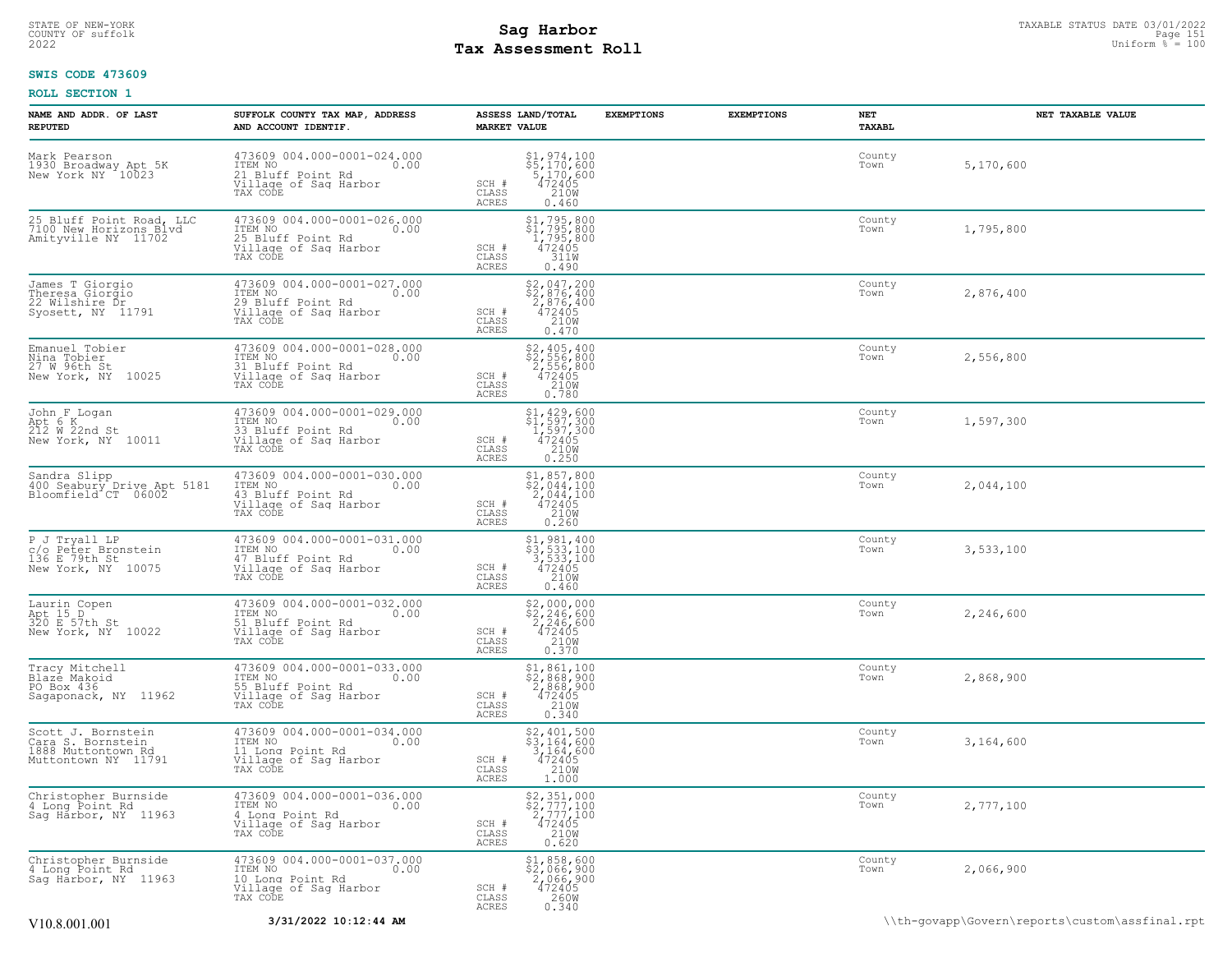# STATE OF NEW-YORK STATUS DATE 03/01/2022<br>
COUNTY OF suffolk Taxable Page 151<br>
2022 MageSon Sag Harbor Roll Page 150<br>
2022 Uniform % = 100 **Tax Assessment Roll**

### **SWIS CODE 473609**

| NAME AND ADDR. OF LAST<br><b>REPUTED</b>                                             | SUFFOLK COUNTY TAX MAP, ADDRESS<br>AND ACCOUNT IDENTIF.                                                  | ASSESS LAND/TOTAL<br><b>MARKET VALUE</b>                                                                                    | <b>EXEMPTIONS</b><br><b>EXEMPTIONS</b> | NET<br>TAXABL  | NET TAXABLE VALUE                              |
|--------------------------------------------------------------------------------------|----------------------------------------------------------------------------------------------------------|-----------------------------------------------------------------------------------------------------------------------------|----------------------------------------|----------------|------------------------------------------------|
| Mark Pearson<br>1930 Broadway Apt 5K<br>New York NY 10023                            | 473609 004.000-0001-024.000<br>TTEM NO 0.00<br>21 Bluff Point Rd<br>Village of Sag Harbor<br>TAX CODE    | \$1,974,100<br>\$5,170,600<br>5,170,600<br>472405<br>210M<br>SCH #<br>CLASS<br>ACRES<br>0.460                               |                                        | County<br>Town | 5,170,600                                      |
| 25 Bluff Point Road, LLC<br>7100 New Horizons Blvd<br>Amityville NY 11702            | 473609 004.000-0001-026.000<br>ITEM NO<br>0.00<br>25 Bluff Point Rd<br>Village of Sag Harbor<br>TAX CODE | \$1,795,800<br>$\begin{array}{r} 51,795,800 \\ 1,795,800 \\ 472405 \\ 3118 \end{array}$<br>SCH #<br>CLASS<br>ACRES<br>0.490 |                                        | County<br>Town | 1,795,800                                      |
| James T Giorgio<br>Theresa Giorgio<br>22 Wilshire Dr<br>Syosett, NY 11791            | 473609 004.000-0001-027.000<br>ITEM NO<br>0.00<br>29 Bluff Point Rd<br>Village of Sag Harbor<br>TAX CODE | \$2,047,200<br>\$2,876,400<br>2,876,400<br>472405<br>SCH #<br>210W<br>CLASS<br>ACRES<br>0.470                               |                                        | County<br>Town | 2,876,400                                      |
| Emanuel Tobier<br>Nina Tobier<br>27 W 96th St<br>New York, NY 10025                  | 473609 004.000-0001-028.000<br>0.00 0.00<br>31 Bluff Point Rd<br>Village of Sag Harbor<br>TAX CODE       | \$2,405,400<br>\$2,556,800<br>2,556,800<br>472405<br>210W<br>0.780<br>SCH #<br>CLASS<br>ACRES                               |                                        | County<br>Town | 2,556,800                                      |
| John F Logan<br>Apt 6 K<br>212 W 22nd St<br>New York, NY 10011                       | 473609 004.000-0001-029.000<br>ITEM NO<br>0.00<br>33 Bluff Point Rd<br>Village of Sag Harbor<br>TAX CODE | \$1,429,600<br>\$1,597,300<br>1,597,300<br>472405<br>210M<br>SCH #<br>CLASS<br>ACRES<br>0.250                               |                                        | County<br>Town | 1,597,300                                      |
| Sandra Slipp<br>400 Seabury Drive Apt 5181<br>Bloomfield CT 06002                    | 473609 004.000-0001-030.000<br>ITEM NO<br>0.00<br>43 Bluff Point Rd<br>Village of Sag Harbor<br>TAX CODE | $$1,857,800$<br>$$2,044,100$<br>$2,044,100$<br>$472405$<br>SCH #<br>210W<br>CLASS<br>ACRES<br>0.260                         |                                        | County<br>Town | 2,044,100                                      |
| P J Tryall LP<br>c/o Peter Bronstein<br>136 E 79th St<br>New York, NY 10075          | 473609 004.000-0001-031.000<br>ITEM NO<br>0.00<br>47 Bluff Point Rd<br>Village of Sag Harbor<br>TAX CODE | $$3, 533, 100$<br>$$3, 533, 100$<br>$3, 533, 100$<br>$472405$<br>SCH #<br>CLASS<br>210W<br>ACRES<br>0.460                   |                                        | County<br>Town | 3,533,100                                      |
| Laurin Copen<br>Apt 15 D<br>320 E 57th St<br>New York, NY 10022                      | 473609 004.000-0001-032.000<br>TTEM NO 0.00<br>51 Bluff Point Rd<br>Village of Sag Harbor<br>TAX CODE    | $$2,000,000$<br>$$2,246,600$<br>$2,246,600$<br>$472405$<br>$2108$<br>SCH #<br>CLASS<br>0.370<br>ACRES                       |                                        | County<br>Town | 2,246,600                                      |
| Tracy Mitchell<br>Blazē Makoid<br>PO Box 436<br>Sagaponack, NY 11962                 | 473609 004.000-0001-033.000<br>ITEM NO<br>0.00<br>55 Bluff Point Rd<br>Village of Sag Harbor<br>TAX CODE | \$1,861,100<br>$\begin{array}{r} 2,868,900 \\ 2,868,900 \\ 472405 \\ 210W \\ 0.340 \end{array}$<br>SCH #<br>CLASS<br>ACRES  |                                        | County<br>Town | 2,868,900                                      |
| Scott J. Bornstein<br>Cara S. Bornstein<br>1888 Muttontown Rd<br>Muttontown NY 11791 | 473609 004.000-0001-034.000<br>ITEM NO<br>0.00<br>11 Long Point Rd<br>Village of Sag Harbor<br>TAX CODE  | \$2,401,500<br>\$3,164,600<br>3,164,600<br>472405<br>210W<br>SCH #<br>CLASS<br>1.000<br>ACRES                               |                                        | County<br>Town | 3,164,600                                      |
| Christopher Burnside<br>4 Long Point Rd<br>Sag Harbor, NY 11963                      | 473609 004.000-0001-036.000<br>ITEM NO<br>0.00<br>4 Long Point Rd<br>Village of Sag Harbor<br>TAX CODE   | \$2,351,000<br>\$2,777,100<br>2,777,100<br>472405<br>210W<br>0.620<br>SCH #<br>CLASS<br>ACRES                               |                                        | County<br>Town | 2,777,100                                      |
| Christopher Burnside<br>4 Long Point Rd<br>Sag Harbor, NY 11963                      | 473609 004.000-0001-037.000<br>TTEM NO 0.00<br>10 Long Point Rd<br>Village of Sag Harbor<br>TAX CODE     | \$1,858,600<br>\$2,066,900<br>2,066,900<br>472405<br>SCH #<br>CLASS<br>260W<br>ACRES<br>0.340                               |                                        | County<br>Town | 2,066,900                                      |
| V10.8.001.001                                                                        | 3/31/2022 10:12:44 AM                                                                                    |                                                                                                                             |                                        |                | \\th-govapp\Govern\reports\custom\assfinal.rpt |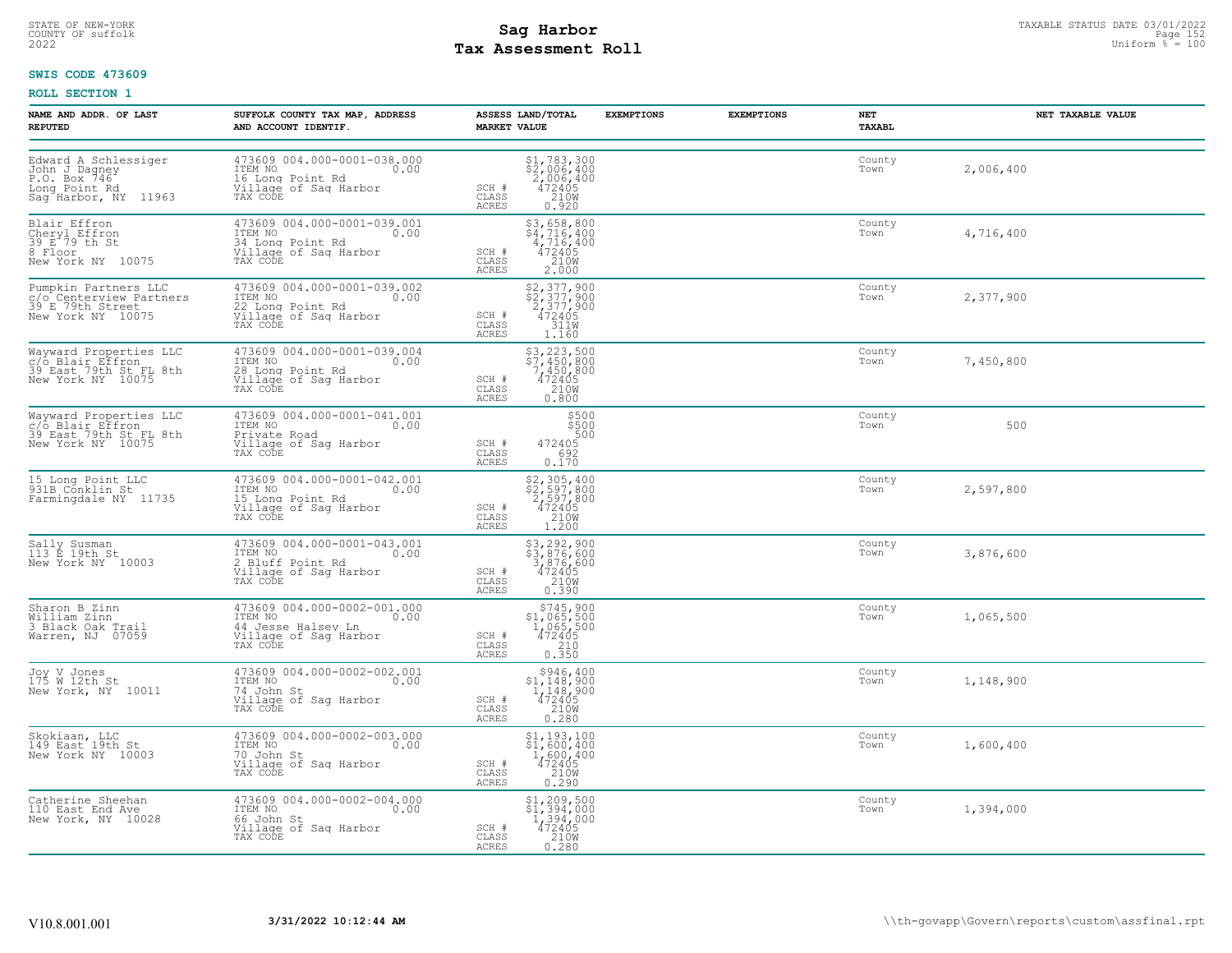# STATE OF NEW-YORK STATUS DATE 03/01/2022<br>
COUNTY OF suffolk Taxable Page 152<br>
2022 MageSon Sag Harbor Roll Page 152 Uniform % = 100 **Tax Assessment Roll**

### **SWIS CODE 473609**

| NAME AND ADDR. OF LAST<br><b>REPUTED</b>                                                       | SUFFOLK COUNTY TAX MAP, ADDRESS<br>AND ACCOUNT IDENTIF.                                                       | ASSESS LAND/TOTAL<br><b>EXEMPTIONS</b><br><b>MARKET VALUE</b>                                                      | <b>EXEMPTIONS</b><br>NET<br>TAXABL | NET TAXABLE VALUE |
|------------------------------------------------------------------------------------------------|---------------------------------------------------------------------------------------------------------------|--------------------------------------------------------------------------------------------------------------------|------------------------------------|-------------------|
| Edward A Schlessiger<br>John J Dagney<br>P.O. Box 746<br>Long Point Rd<br>Sag Harbor, NY 11963 | 473609 004.000-0001-038.000<br>ITEM NO<br>0.00<br>16 Long Point Rd<br>Village of Sag Harbor<br>TAX CODE       | \$1,783,300<br>\$2,006,400<br>2,006,400<br>472405<br>210M<br>SCH #<br>CLASS<br><b>ACRES</b><br>0.920               | County<br>Town                     | 2,006,400         |
| Blair Effron<br>Cheryl Effron<br>39 E 79 th St<br>8 Floor,<br>New York NY 10075                | 473609 004.000-0001-039.001<br>ITEM NO 0.00<br>34 Long Point Rd<br>Village of Sag Harbor<br>TAX CODE          | $$3,658,800$<br>$$4,716,400$<br>$4,716,400$<br>$472405$<br>SCH #<br>210W<br>CLASS<br><b>ACRES</b><br>2.000         | County<br>Town                     | 4,716,400         |
| Pumpkin Partners LLC<br>c/o Centerview Partners<br>39 E 79th Street<br>New York NY 10075       | 473609 004.000-0001-039.002<br>ITEM NO 0.00<br>22 Long Point Rd<br>Village of Saq Harbor<br>TAX CODE          | \$2,377,900<br>\$2,377,900<br>2,377,900<br>SCH #<br>472405<br>311W<br>CLASS<br>ACRES<br>1.160                      | County<br>Town                     | 2,377,900         |
| Wayward Properties LLC<br>C/o Blair Effron<br>39 East 79th St FL 8th<br>New York NY 10075      | 473609 004.000-0001-039.004<br>ITEM NO 0.00<br>28 Long Point Rd<br>Village of Sag Harbor<br>TAX CODE          | $$3, 223, 500$<br>$$7, 450, 800$<br>$$7, 450, 800$<br>$472405$<br>210W<br>SCH #<br>CLASS<br>0.800<br>ACRES         | County<br>Town                     | 7,450,800         |
| Wayward Properties LLC<br>c/o Blair Effron<br>39 East 79th St FL 8th<br>New York NY 10075      | 473609 004.000-0001-041.001<br>ITEM NO<br>0.00<br>Private Road<br>Village of Sag Harbor<br>TAX CODE           | \$500<br>\$500<br>472405<br>692<br>SCH #<br>CLASS<br>0.170<br>ACRES                                                | County<br>Town                     | 500               |
| 15 Long Point LLC<br>931B Conklin St<br>Farmingdale NY 11735                                   | 473609 004.000-0001-042.001<br>ITEM NO<br>0.00<br>15 Long Point Rd<br>Village of Sag Harbor<br>TAX CODE       | \$2,305,400<br>\$2,597,800<br>2,597,800<br>472405<br>210M<br>SCH #<br>CLASS<br>ACRES<br>1.200                      | County<br>Town                     | 2,597,800         |
| Sally Susman<br>113 E 19th St<br>New York NY 10003                                             | 473609 004.000-0001-043.001<br>ITEM NO <sub>2</sub><br>2 Bluff Point Rd<br>Village of Sag Harbor<br>TAX CODE  | $$3, 292, 900$<br>$$3, 876, 600$<br>$3, 876, 600$<br>$472405$<br>$2108$<br>SCH #<br>CLASS<br><b>ACRES</b><br>0.390 | County<br>Town                     | 3,876,600         |
| Sharon B Zinn<br>William Zinn<br>3 Black Oak Trail<br>Warren, NJ 07059                         | 473609 004.000-0002-001.000<br>ITEM NO 0.00<br>44 Jesse Halsey Ln<br>Village of Sag Harbor<br>TAX CODE        | $$745,900$<br>$$1,065,500$<br>$1,065,500$<br>$472405$<br>$$210$<br>SCH #<br>CLASS<br>0.350<br>ACRES                | County<br>Town                     | 1,065,500         |
| Joy V Jones<br>175 W 12th St<br>New York, NY 10011                                             | 473609 004.000-0002-002.001<br>TTEM NO<br>TTEM NO<br>74 John St<br>Village of Sag Harbor<br>TAX CODE          | \$946,400<br>$\frac{1,148,900}{1,148,900}$<br>472405<br>SCH #<br>210W<br>CLASS<br><b>ACRES</b><br>0.280            | County<br>Town                     | 1,148,900         |
| Skokiaan, LLC<br>149 East 19th St<br>New York NY 10003                                         | 473609 004.000-0002-003.000<br>ITEM NO 0.00<br>$\sim$ 0.00<br>70 John St<br>Village of Sag Harbor<br>TAX CODE | \$1,193,100<br>\$1,600,400<br>$1,600,400$<br>472405<br>472405<br>SCH #<br>CLASS<br>ACRES<br>0.290                  | County<br>Town                     | 1,600,400         |
| Catherine Sheehan<br>110 East End Ave<br>New York, NY 10028                                    | 473609 004.000-0002-004.000<br>ITEM NO 0.00<br>66 John St<br>Village of Sag Harbor<br>TAX CODE                | $$1, 209, 500$<br>$$1, 394, 000$<br>$1, 394, 000$<br>$472405$<br>$2108$<br>SCH #<br>CLASS<br>ACRES<br>0.280        | County<br>Town                     | 1,394,000         |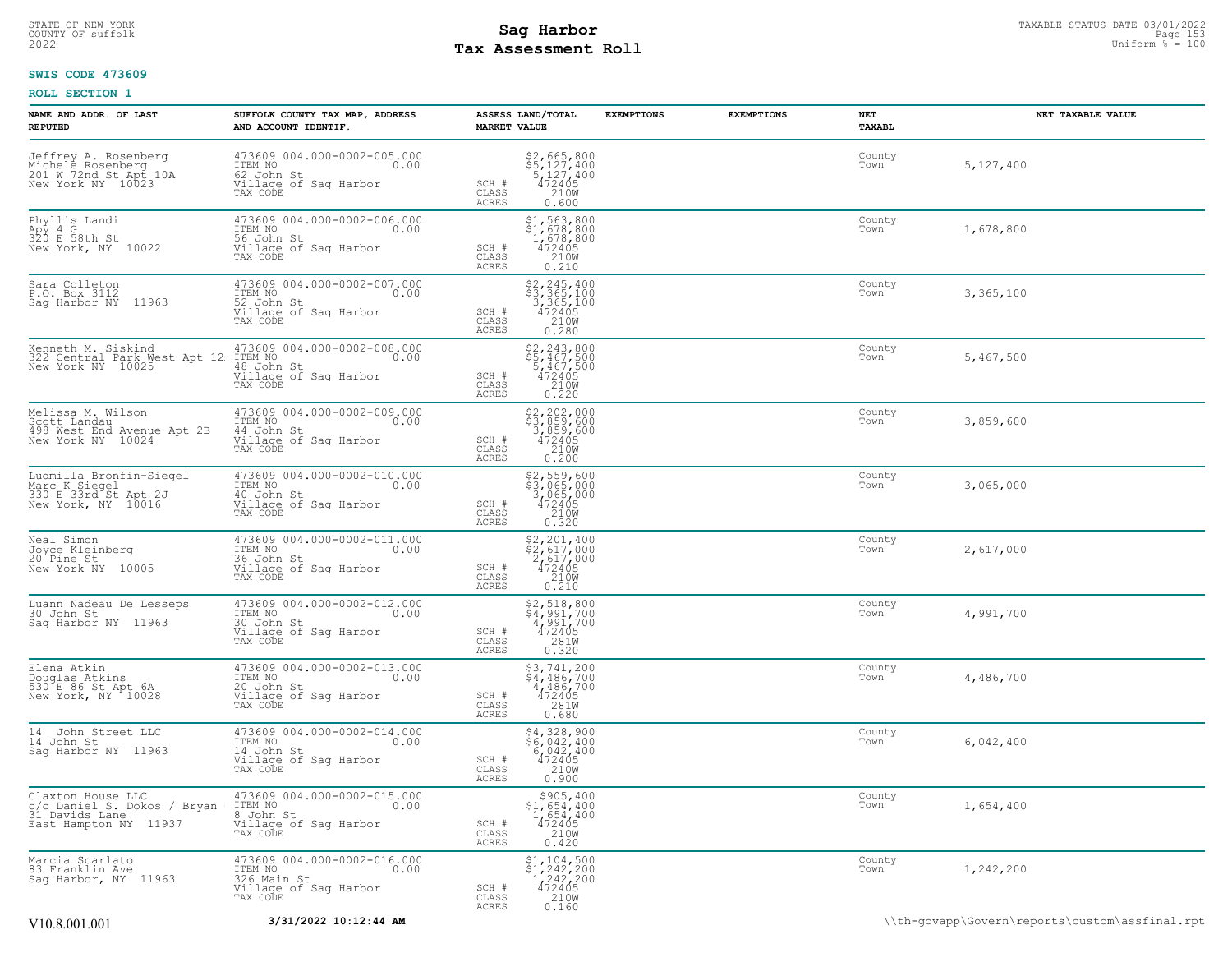# STATE OF NEW-YORK STATUS DATE 03/01/2022<br>
COUNTY OF suffolk **Sag From State Page 153**<br>
2022 Pay Assessment Roll **Tax Assessment Roll**

### **SWIS CODE 473609**

| NAME AND ADDR. OF LAST<br><b>REPUTED</b>                                                             | SUFFOLK COUNTY TAX MAP, ADDRESS<br>AND ACCOUNT IDENTIF.                                            | ASSESS LAND/TOTAL<br><b>MARKET VALUE</b>                                                                                           | <b>EXEMPTIONS</b> | <b>EXEMPTIONS</b> | NET<br><b>TAXABL</b> | NET TAXABLE VALUE |
|------------------------------------------------------------------------------------------------------|----------------------------------------------------------------------------------------------------|------------------------------------------------------------------------------------------------------------------------------------|-------------------|-------------------|----------------------|-------------------|
| Jeffrey A. Rosenberg<br>Michele Rosenberg<br>201 W 72nd St Apt 10A<br>New York NY 10023              | 473609 004.000-0002-005.000<br>TTEM NO 0.00<br>62 John St<br>Village of Sag Harbor<br>TAX CODE     | \$2,665,800<br>\$5,127,400<br>5,127,400<br>472405<br>210M<br>SCH #<br>CLASS<br><b>ACRES</b><br>0.600                               |                   |                   | County<br>Town       | 5,127,400         |
| Phyllis Landi<br>$A\overrightarrow{p}$ 4 $\overrightarrow{G}$<br>320 E 58th St<br>New York, NY 10022 | 473609 004.000-0002-006.000<br>ITEM NO<br>0.00<br>56 John St<br>Village of Sag Harbor<br>TAX CODE  | \$1,563,800<br>\$1,678,800<br>1,678,800<br>472405<br>210W<br>SCH #<br>CLASS<br><b>ACRES</b><br>0.210                               |                   |                   | County<br>Town       | 1,678,800         |
| Sara Colleton<br>P.O. Box 3112<br>Sag Harbor NY 11963                                                | 473609 004.000-0002-007.000<br>ITEM NO<br>0.00<br>TAX CODE                                         | \$2,245,400<br>\$3,365,100<br>3,365,100<br>472405<br>210W<br>SCH #<br>CLASS<br>0.280<br><b>ACRES</b>                               |                   |                   | County<br>Town       | 3,365,100         |
| Kenneth M. Siskind<br>322 Central Park West Apt 12<br>New York NY 10025                              | 473609 004.000-0002-008.000<br>ITEM NO<br>0.00<br>48 John St<br>Village of Saq Harbor<br>TAX CODE  | $$5, 243, 800$<br>$$5, 467, 500$<br>$$467, 500$<br>$472405$<br>$$210W$<br>SCH #<br>CLASS<br><b>ACRES</b><br>0.220                  |                   |                   | County<br>Town       | 5,467,500         |
| Melissa M. Wilson<br>Scott Landau<br>498 West End Avenue Apt 2B<br>New York NY 10024                 | 473609 004.000-0002-009.000<br>ITEM NO<br>0.00<br>44 John St<br>Village of Saq Harbor<br>TAX CODE  | $$2, 202, 000$<br>$$3, 859, 600$<br>$3, 859, 600$<br>$472405$<br>$210W$<br>SCH #<br>CLASS<br>ACRES<br>0.200                        |                   |                   | County<br>Town       | 3,859,600         |
| Ludmilla Bronfin-Siegel<br>Marc K Siegel<br>330 E 33rd St Apt 2J<br>New York, NY 10016               | 473609 004.000-0002-010.000<br>ITEM NO<br>0.00<br>10 John St<br>Village of Sag Harbor<br>TAX CODE  | $$2,559,600$<br>$$3,065,000$<br>$3,065,000$<br>$472405$<br>$210W$<br>SCH #<br>CLASS<br>ACRES<br>0.320                              |                   |                   | County<br>Town       | 3,065,000         |
| Neal Simon<br>Joyce Kleinberg<br>20 Pine St<br>New York NY 10005                                     | 473609 004.000-0002-011.000<br>ITEM NO<br>0.00<br>36 John St<br>Village of Sag Harbor<br>TAX CODE  | $$2, 201, 400$<br>$$2, 617, 000$<br>$2, 617, 000$<br>$472405$<br>$210W$<br>SCH #<br>CLASS<br>ACRES<br>0.210                        |                   |                   | County<br>Town       | 2,617,000         |
| Luann Nadeau De Lesseps<br>30 John St<br>Saq Harbor NY 11963                                         | 473609 004.000-0002-012.000<br>ITEM NO 0.00<br>30 John St<br>Village of Saq Harbor<br>TAX CODE     | \$2,518,800<br>\$4,991,700<br>4,991,700<br>472405<br>SCH #<br>CLASS<br>281W<br><b>ACRES</b><br>0.320                               |                   |                   | County<br>Town       | 4,991,700         |
| Elena Atkin<br>Douglas Atkins<br>530 E 86 St Apt 6A<br>New York, NY 10028                            | 473609 004.000-0002-013.000<br>ITEM NO<br>0.00<br>20 John St<br>Village of Sag Harbor<br>TAX CODE  | $$3, 741, 200$<br>$$4, 486, 700$<br>$4, 486, 700$<br>$472405$<br>$$281W$<br>SCH #<br>CLASS<br><b>ACRES</b><br>0.680                |                   |                   | County<br>Town       | 4,486,700         |
| 14 John Street LLC<br>14 John St<br>Saq Harbor NY 11963                                              | 473609 004.000-0002-014.000<br>ITEM NO<br>0.00<br>14 John St<br>Village of Sag Harbor<br>TAX CODE  | $\begin{array}{r} 54,328,900 \\ 56,042,400 \\ 6,042,400 \\ 472405 \\ 2108 \end{array}$<br>SCH #<br>CLASS<br><b>ACRES</b><br>0.900  |                   |                   | County<br>Town       | 6,042,400         |
| Claxton House LLC<br>c/o Daniel S. Dokos / Bryan<br>31 Davids Lane<br>East Hampton NY 11937          | 473609 004.000-0002-015.000<br>ITEM NO<br>0.00<br>8 John St<br>Village of Sag Harbor<br>TAX CODE   | $$305,400\n$1,654,400\n1,654,400\n472405\n2100$<br>SCH #<br>CLASS<br><b>ACRES</b><br>0.420                                         |                   |                   | County<br>Town       | 1,654,400         |
| Marcia Scarlato<br>83 Franklin Ave<br>Sag Harbor, NY 11963                                           | 473609 004.000-0002-016.000<br>ITEM NO<br>0.00<br>326 Main St<br>Village of Saq Harbor<br>TAX CODE | $\begin{array}{l} 51,104,500 \\ 51,242,200 \\ 1,242,200 \\ 472405 \\ 2100 \\ 2100 \end{array}$<br>SCH #<br>CLASS<br>ACRES<br>0.160 |                   |                   | County<br>Town       | 1,242,200         |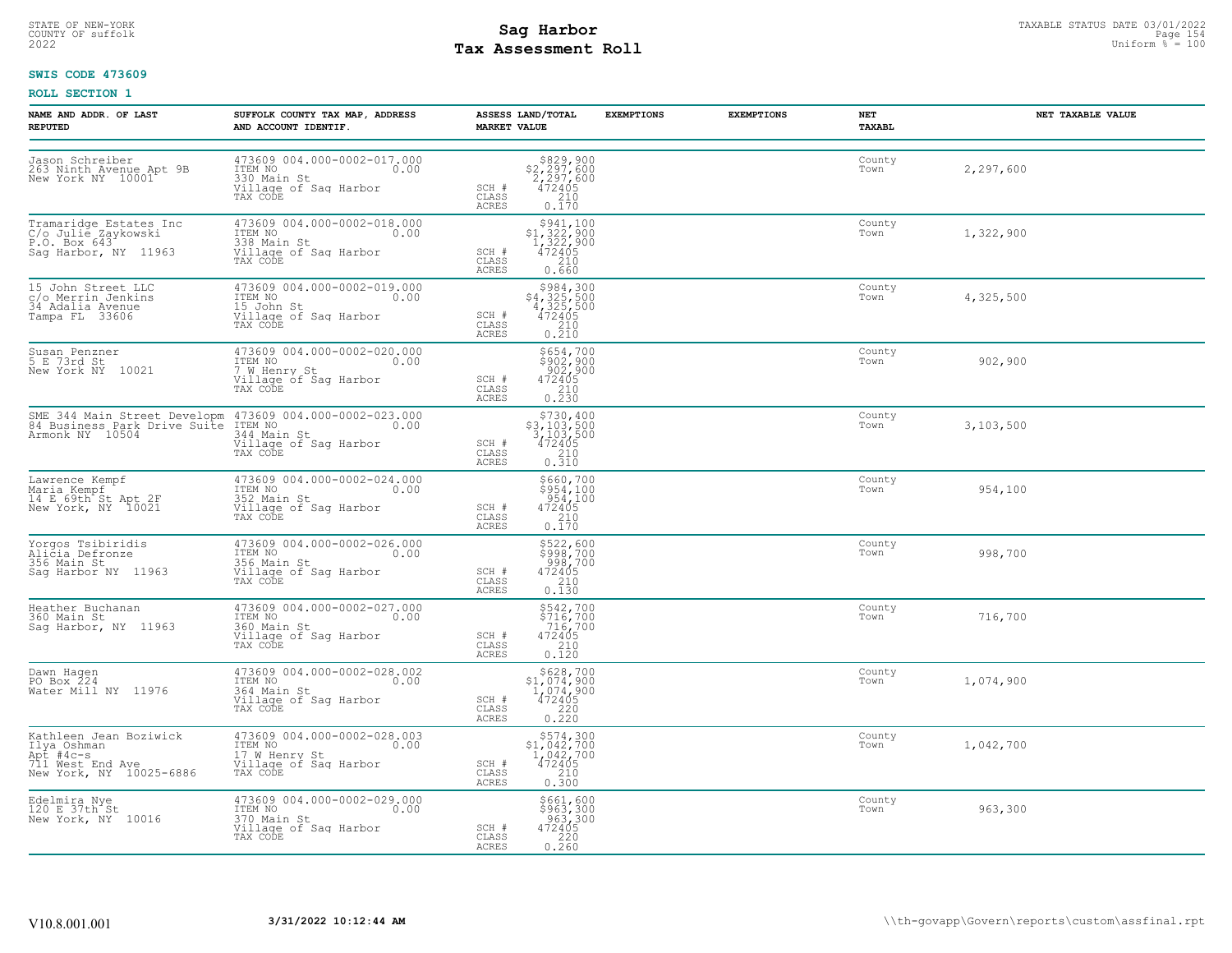# STATE OF NEW-YORK STATUS DATE 03/01/2022<br>
COUNTY OF suffolk **Sag From State Page 154**<br>
2022 **Pay Assessment Roll** Page 154 Uniform % = 100 **Tax Assessment Roll**

### **SWIS CODE 473609**

| NAME AND ADDR. OF LAST<br><b>REPUTED</b>                                                          | SUFFOLK COUNTY TAX MAP, ADDRESS<br>AND ACCOUNT IDENTIF.                                                                                                              | ASSESS LAND/TOTAL<br><b>MARKET VALUE</b>                                                                                                                                   | <b>EXEMPTIONS</b> | <b>EXEMPTIONS</b> | NET<br>TAXABL  | NET TAXABLE VALUE |
|---------------------------------------------------------------------------------------------------|----------------------------------------------------------------------------------------------------------------------------------------------------------------------|----------------------------------------------------------------------------------------------------------------------------------------------------------------------------|-------------------|-------------------|----------------|-------------------|
| Jason Schreiber<br>263 Ninth Avenue Apt 9B<br>New York NY 10001                                   | 473609 004.000-0002-017.000<br>ITEM NO 0.00<br>330 Main St<br>Village of Sag Harbor<br>TAX CODE                                                                      | $$829,900$<br>$$2,297,600$<br>$2,297,600$<br>$472405$<br>$$210$<br>SCH #<br>CLASS<br>ACRES<br>0.170                                                                        |                   |                   | County<br>Town | 2,297,600         |
| Tramaridge Estates Inc<br>C/o Julie Zaykowski<br>P.O. Box 643 11060<br>Sag Harbor, NY 11963       | 473609 004.000-0002-018.000<br>TTEM NO<br>338 Main St<br>Village of Saq Harbor<br>TAX CODE                                                                           | $5941,100\n51,322,900\n1,322,900\n472405\n210$<br>SCH #<br>CLASS<br>ACRES<br>0.660                                                                                         |                   |                   | County<br>Town | 1,322,900         |
| 15 John Street LLC<br>c/o Merrin Jenkins<br>34 Adalia Ayenue<br>Tampa FL 33606                    | 473609 004.000-0002-019.000<br>ITEM NO 0.00<br>US John St 0.00<br>Village of Saq Harbor<br>TAX CODE                                                                  | $\begin{array}{r} \text{\$984$, 300} \\ \text{\$4$, 325, 500} \\ \text{\$4$, 325, 500} \\ \text{\$472405} \\ \text{\$210} \\ 0.210 \end{array}$<br>SCH #<br>CLASS<br>ACRES |                   |                   | County<br>Town | 4,325,500         |
| Susan Penzner<br>5 E 73rd St<br>New York NY 10021                                                 | 473609 004.000-0002-020.000<br>ITEM NO 0.00<br>7 W Henry St<br>Village of Sag Harbor<br>TAX CODE                                                                     | \$654,700<br>\$902,900<br>902,900<br>472405<br>210<br>0.230<br>SCH #<br>CLASS<br>ACRES                                                                                     |                   |                   | County<br>Town | 902,900           |
|                                                                                                   | SME 344 Main Street Developm 473609 004.000-0002-023.000<br>84 Business Park Drive Suite ITEM NO<br>Armonk NY 10504 344 Main St<br>Willage of Sag Harbor<br>TAX CODE | $\begin{array}{r} 5730, 400 \\ 53, 103, 500 \\ 3, 103, 500 \\ 472405 \\ 210 \\ 0.310 \end{array}$<br>SCH #<br>CLASS<br>ACRES                                               |                   |                   | County<br>Town | 3,103,500         |
| Lawrence Kempf<br>Maria Kempf<br>14 E 69th St Apt 2F<br>New York, NY 10021                        | 473609 004.000-0002-024.000<br>ITEM NO<br>352 Main St 0.00<br>Village of Saq Harbor<br>TAX CODE                                                                      | $\begin{array}{c} 5660, 700 \\ 5954, 100 \\ 954, 100 \\ 472405 \\ 210 \\ 0.170 \end{array}$<br>SCH #<br>CLASS<br>ACRES                                                     |                   |                   | County<br>Town | 954,100           |
| Yorgos Tsibiridis<br>Alicia Defronze<br>356 Main St<br>Sag Harbor NY 11963                        | 473609 004.000-0002-026.000<br>ITEM NO 0.00<br>356 Main St<br>356 Main St<br>Village of Sag Harbor<br>TAX CODE                                                       | \$522,600<br>\$998,700<br>998,700<br>472405<br>210<br>SCH #<br>CLASS<br>ACRES<br>0.130                                                                                     |                   |                   | County<br>Town | 998,700           |
| Heather Buchanan<br>360 Main St<br>Sag Harbor, NY 11963                                           | 473609 004.000-0002-027.000<br>ITEM NO 0.00<br>360 Main St<br>Village of Sag Harbor<br>TAX CODE TAX                                                                  | \$542,700<br>\$716,700<br>716,700<br>SCH #<br>$\begin{array}{r}472405\\210\\0.120\end{array}$<br>CLASS<br>ACRES                                                            |                   |                   | County<br>Town | 716,700           |
| Dawn Hagen<br>PO Box 224<br>Water Mill NY 11976                                                   | 473609 004.000-0002-028.002<br>ITEM NO 0.00<br>364 Main St<br>Village of Sag Harbor<br>TAX CODE TAX                                                                  | \$628,700<br>\$1,074,900<br>$\frac{1}{472405}$<br>SCH #<br>0.220<br>CLASS<br><b>ACRES</b>                                                                                  |                   |                   | County<br>Town | 1,074,900         |
| Kathleen Jean Boziwick<br>Ilya Oshman<br>Apt #4c-s<br>711 West End Aye<br>New York, NY 10025-6886 | 473609 004.000-0002-028.003<br>ITEM NO<br>17 W Henry St<br>Village of Saq Harbor<br>TAX CODE                                                                         | $\begin{array}{r} 5574, 300 \\ 51, 042, 700 \\ 1, 042, 700 \\ 472405 \\ 210 \\ 0.300 \end{array}$<br>SCH #<br>CLASS<br>ACRES                                               |                   |                   | County<br>Town | 1,042,700         |
| Edelmira Nye<br>120 E 37th St<br>New York, NY 10016                                               | 473609 004.000-0002-029.000<br>ITEM NO 0.00<br>370 Main St<br>370 Main St<br>Village of Saq Harbor<br>TAX CODE                                                       | \$661,600<br>\$963,300<br>963,300<br>472405<br>220<br>0.260<br>SCH #<br>CLASS<br>ACRES                                                                                     |                   |                   | County<br>Town | 963,300           |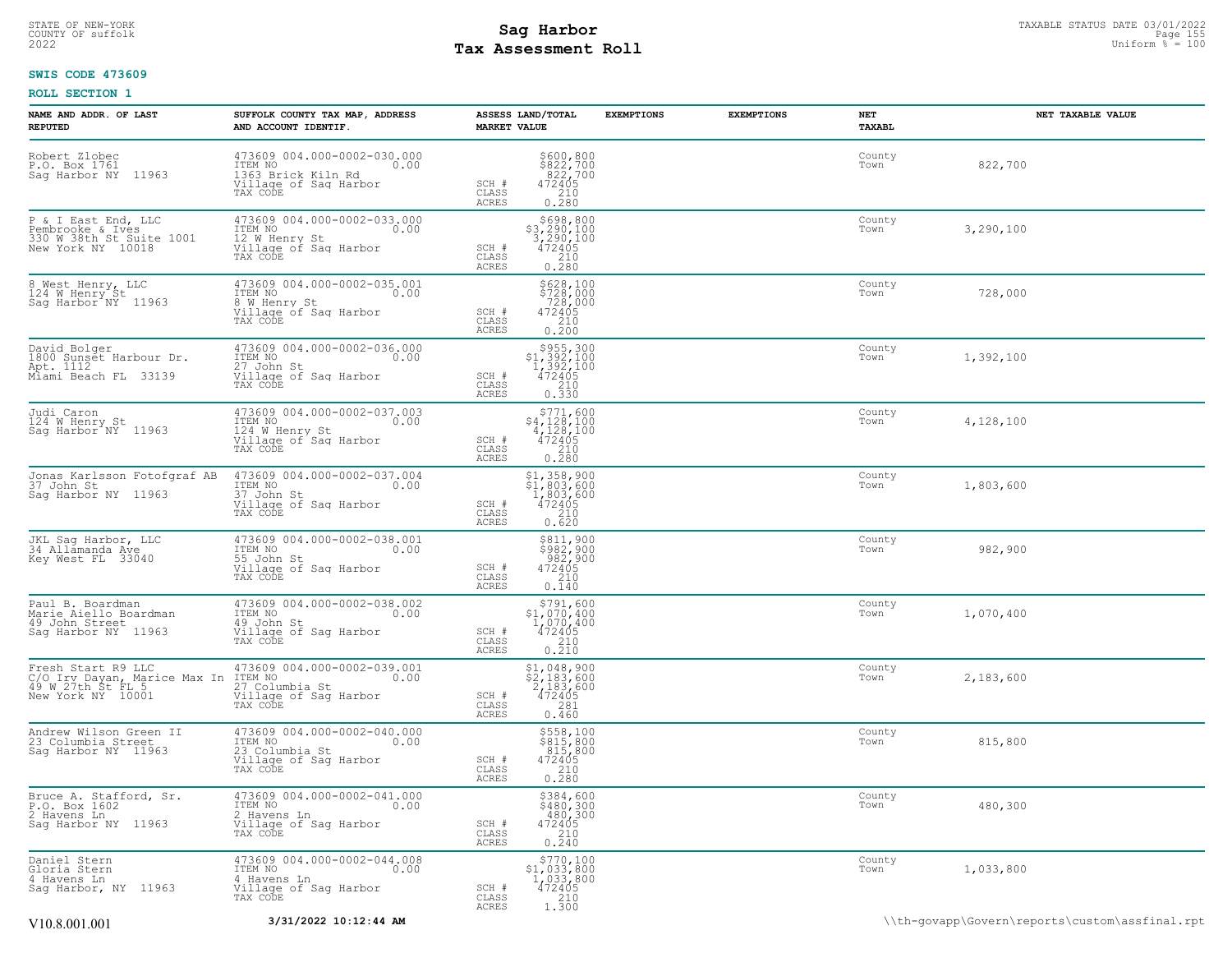# STATE OF NEW-YORK STATUS DATE 03/01/2022<br>
COUNTY OF suffolk **Sag From the Sag State Page 155 and the Sag State Page 155 and the sag State Page 155 and the<br>
2022 Mage State Page State Page 160 and the Sag State Page 150 and Tax Assessment Roll**

### **SWIS CODE 473609**

| NAME AND ADDR. OF LAST<br><b>REPUTED</b>                                                     | SUFFOLK COUNTY TAX MAP, ADDRESS<br>AND ACCOUNT IDENTIF.                                                       | ASSESS LAND/TOTAL<br><b>MARKET VALUE</b>                                                                                                                                   | <b>EXEMPTIONS</b> | <b>EXEMPTIONS</b><br>NET<br>TAXABL | NET TAXABLE VALUE |
|----------------------------------------------------------------------------------------------|---------------------------------------------------------------------------------------------------------------|----------------------------------------------------------------------------------------------------------------------------------------------------------------------------|-------------------|------------------------------------|-------------------|
| Robert Zlobec<br>P.O. Box 1761<br>Sag Harbor NY 11963                                        | 473609 004.000-0002-030.000<br>ITEM NO<br>0.00<br>1363 Brick Kiln Rd<br>Village of Sag Harbor<br>TAX CODE     | $$800, 800$<br>$$822, 700$<br>$822, 700$<br>$472405$<br>SCH #<br>CLASS<br>210<br>0.280<br>ACRES                                                                            |                   | County<br>Town                     | 822,700           |
| P & I East End, LLC<br>Pembrooke & Ives<br>330 W 38th St Suite 1001<br>New York NY 10018     | 473609 004.000-0002-033.000<br>ITEM NO<br>0.00<br>12 W Henry St<br>Village of Sag Harbor<br>TAX CODE          | \$698,800<br>$$3,290,100$<br>3,290,100<br>472405<br>SCH #<br>CLASS<br>0.280<br>ACRES                                                                                       |                   | County<br>Town                     | 3,290,100         |
| 8 West Henry, LLC<br>124 M Henry St<br>Saq Harbor <sup>NY</sup> 11963                        | 473609 004.000-0002-035.001<br>ITEM NO<br>0.00<br>8 W Henry St<br>Village of Sag Harbor<br>TAX CODE           | \$628,100<br>\$728,000<br>728,000<br>472405<br>SCH #<br>CLASS<br>0.210<br>ACRES                                                                                            |                   | County<br>Town                     | 728,000           |
| David Bolger<br>1800 Sunget Harbour Dr.<br>Apt. 1112<br>Miami Beach FL 33139                 | 473609 004.000-0002-036.000<br>ITEM NO<br>0.00<br>27 John St<br>Village of Saq Harbor<br>Tay Conr<br>TAX CODE | $\begin{array}{r} \text{\small $>$955$, 300} \\ \text{\small $>$1$, 392, 100} \\ 1,392, 100 \\ 472405 \\ 210 \\ 0.330 \end{array}$<br>SCH #<br>CLASS<br>ACRES              |                   | County<br>Town                     | 1,392,100         |
| Judi Caron<br>124 W Henry St<br>Sag Harbor NY 11963                                          | 473609 004.000-0002-037.003<br>ITEM NO<br>0.00<br>124 W Henry St<br>Village of Sag Harbor<br>TAX CODE         | $\begin{array}{r} \texttt{\$771,600}\\ \texttt{\$4,128,100}\\ \texttt{4,128,100}\\ \texttt{472405}\\ \texttt{210}\\ \texttt{0.280} \end{array}$<br>SCH #<br>CLASS<br>ACRES |                   | County<br>Town                     | 4,128,100         |
| Jonas Karlsson Fotofgraf AB<br>37 John St<br>Sag Harbor NY 11963                             | 473609 004.000-0002-037.004<br>ITEM NO<br>0.00<br>37 John St<br>Village of Sag Harbor<br>TAX CODE             | $$1,358,900$<br>$$1,803,600$<br>$1,803,600$<br>SCH #<br>472405<br>CLASS<br>$\begin{array}{c} 210 \\ 0.620 \end{array}$<br>ACRES                                            |                   | County<br>Town                     | 1,803,600         |
| JKL Sag Harbor, LLC<br>34 Allamanda Ave<br>Key West FL 33040                                 | 473609 004.000-0002-038.001<br>TTEM NO 0.00<br>55 John St<br>Village of Sag Harbor<br>TAX CODE                | \$811,900<br>\$982,900<br>982,900<br>SCH #<br>472405<br>CLASS<br>$\frac{210}{0.140}$<br>ACRES                                                                              |                   | County<br>Town                     | 982,900           |
| Paul B. Boardman<br>Marie Aiello Boardman<br>49 John Street<br>Saq Harbor NY 11963           | 473609 004.000-0002-038.002<br>TTEM NO 0.00<br>49 John St<br>Village of Sag Harbor<br>TAX CODE                | $$791,600$<br>$$1,070,400$<br>$1,070,400$<br>$472405$<br>SCH #<br>CLASS<br>$\frac{210}{0.210}$<br><b>ACRES</b>                                                             |                   | County<br>Town                     | 1,070,400         |
| Fresh Start R9 LLC<br>C/O Irv Dayan, Marice Max In<br>49 W 27th St FL 5<br>New York NY 10001 | 473609 004.000-0002-039.001<br>TTEM NO<br>27 Columbia St<br>Village of Sag Harbor<br>0.00<br>TAX CODE         | $$1,048,900$<br>$$2,183,600$<br><sup>2</sup> ,183,600<br>472405<br>SCH #<br>CLASS<br>281<br>0.460<br><b>ACRES</b>                                                          |                   | County<br>Town                     | 2,183,600         |
| Andrew Wilson Green II<br>23 Columbia Street<br>Sag Harbor NY 11963                          | 473609 004.000-0002-040.000<br>ITEM NO<br>0.00<br>23 Columbia St<br>Village of Sag Harbor<br>TAX CODE         | $\begin{array}{r} 5558,100 \\ 815,800 \\ 815,800 \\ 472405 \\ 210 \\ 0.280 \end{array}$<br>SCH #<br>CLASS<br>ACRES                                                         |                   | County<br>Town                     | 815,800           |
| Bruce A. Stafford, Sr.<br>P.O. Box 1602<br>2 Havens Ln<br>Saq Harbor NY 11963                | 473609 004.000-0002-041.000<br>TTEM NO 0.00<br>0.00<br>2 Havens Ln<br>Village of Saq Harbor<br>TAX CODE       | \$384,600<br>\$480,300<br>480,300<br>SCH #<br>$472405$<br>$210$<br>CLASS<br>ACRES<br>0.240                                                                                 |                   | County<br>Town                     | 480,300           |
| Daniel Stern<br>Gloria Stern<br>4 Havens Ln<br>Sag Harbor, NY 11963                          | 473609 004.000-0002-044.008<br>TTEM NO 0.00<br>0.00<br>4 Havens Ln<br>Village of Sag Harbor<br>TAX CODE       | \$770,100<br>$$1,033,800$<br>1,033,800<br>472405<br>210<br>SCH #<br>CLASS<br>ACRES<br>1.300                                                                                |                   | County<br>Town                     | 1,033,800         |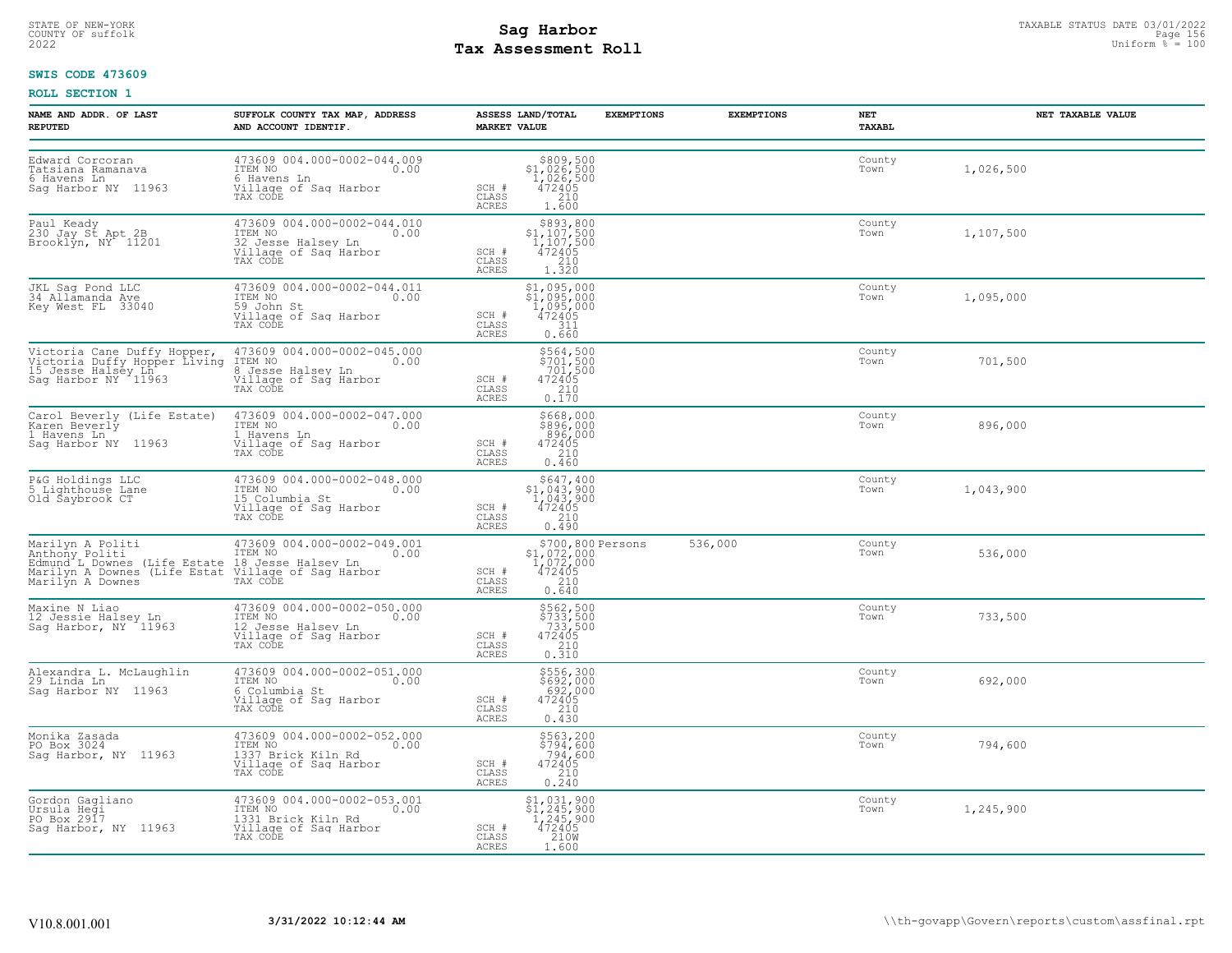# STATE OF NEW-YORK STATUS DATE 03/01/2022<br>
COUNTY OF suffolk **Sag From State Page 156**<br>
2022 Pay Assessment Roll **Tax Assessment Roll**

### **SWIS CODE 473609**

| NAME AND ADDR. OF LAST<br><b>REPUTED</b>                                           | SUFFOLK COUNTY TAX MAP, ADDRESS<br>AND ACCOUNT IDENTIF.                                                                                                                                                                                   | ASSESS LAND/TOTAL<br><b>MARKET VALUE</b>                                                                                                      | <b>EXEMPTIONS</b> | <b>EXEMPTIONS</b> | NET<br>TAXABL  | NET TAXABLE VALUE |
|------------------------------------------------------------------------------------|-------------------------------------------------------------------------------------------------------------------------------------------------------------------------------------------------------------------------------------------|-----------------------------------------------------------------------------------------------------------------------------------------------|-------------------|-------------------|----------------|-------------------|
| Edward Corcoran<br>Tatsiana Ramanava<br>6 Havens Ln<br>Sag Harbor NY 11963         | 473609 004.000-0002-044.009<br>ITEM NO 0.00<br>----- ne<br>G Havens Ln<br>Village of Sag Harbor<br>TAX CODE                                                                                                                               | $$809,500$<br>$$1,026,500$<br>$1,026,500$<br>$472405$<br>210<br>SCH #<br>CLASS<br>1,600<br>ACRES                                              |                   |                   | County<br>Town | 1,026,500         |
| Paul Keady<br>230 Jay St Apt 2B<br>Brooklyn, NY 11201                              | 473609 004.000-0002-044.010<br>ITEM NO<br>32 Jesse Halsey Ln 0.00<br>Village of Saq Harbor<br>TAX CODE                                                                                                                                    | $$893,800$<br>$$1,107,500$<br>$1,107,500$<br>$472405$<br>SCH #<br>CLASS<br>$\begin{array}{c} 1.7210 \\ 1.320 \end{array}$<br>ACRES            |                   |                   | County<br>Town | 1,107,500         |
| JKL Sag Pond LLC<br>34 Allamanda Ave<br>Key West FL 33040                          | 473609 004.000-0002-044.011<br>ITEM NO 0.00<br>----- no<br>59 John St<br>Village of Sag Harbor<br>TAX CODE                                                                                                                                | $$1,095,000$<br>$$1,095,000$<br>$1,095,000$<br>$472405$<br>$$11$<br>SCH #<br>CLASS<br>ACRES<br>0.660                                          |                   |                   | County<br>Town | 1,095,000         |
|                                                                                    | Victoria Cane Duffy Hopper, 473609 004.000-0002-045.000<br>Victoria Duffy Hopper Living ITEM NO 000 15 Jesse Halsey Ln<br>15 Jesse Halsey Ln<br>Sag Harbor NY 11963 (111age of Sag Harbor<br>TAX CODE                                     | \$564,500<br>\$701,500<br>701,500<br>SCH #<br>472405<br>$\begin{array}{c} 210 \\ 0.170 \end{array}$<br>CLASS<br><b>ACRES</b>                  |                   |                   | County<br>Town | 701,500           |
| Carol Beverly (Life Estate)<br>Karen Beverly<br>1 Havens Ln<br>Sag Harbor NY 11963 | 473609 004.000-0002-047.000<br>ITEM NO 0.00<br>1.Havens Ln .<br>Village of Sag Harbor<br>TAX CODE                                                                                                                                         | \$668,000<br>\$896,000<br>896,000<br>472405<br>SCH #<br>210<br>CLASS<br>0.460<br>ACRES                                                        |                   |                   | County<br>Town | 896,000           |
| P&G Holdings LLC<br>5 Lighthouse Lane<br>Old Saybrook CT                           | 473609 004.000-0002-048.000<br>ITEM NO 0.00<br>15 Columbia St<br>Village of Saq Harbor<br>TAX CODE                                                                                                                                        | $\begin{array}{r} 5647,400 \\ 51,043,900 \\ 1,043,900 \\ 472405 \\ 210 \end{array}$<br>SCH #<br>CLASS<br>ACRES<br>0.490                       |                   |                   | County<br>Town | 1,043,900         |
|                                                                                    | Marilyn A Politi (173609 004.000-0002-049.001<br>Anthony Politi (International Common Capital Common Capital Common<br>Edmund L Downes (Life Estat Village of Saq Harbor<br>Marilyn A Downes (Life Estat Village of Saq Harbor<br>Marilyn | $$1,072,000$<br>1,072,000<br>472405<br>210<br>SCH #<br>CLASS<br><b>ACRES</b><br>0.640                                                         | \$700,800 Persons | 536,000           | County<br>Town | 536,000           |
| Maxine N Liao<br>12 Jessie Halsey Ln<br>Sag Harbor, NY 11963                       | 473609 004.000-0002-050.000<br>ITEM NO<br>IZ Jesse Halsey Ln<br>Willage of Sag Harbor<br>TAX CODE                                                                                                                                         | $$733, 500$<br>$$733, 500$<br>$$733, 500$<br>$472405$<br>$$210$<br>SCH #<br>CLASS<br>ACRES<br>0.310                                           |                   |                   | County<br>Town | 733,500           |
| Alexandra L. McLaughlin<br>29 Linda Ln<br>Sag Harbor NY 11963                      | 473609 004.000-0002-051.000<br>ITEM NO 0.00<br>6 Columbia St<br>Village of Sag Harbor<br>TAX CODE                                                                                                                                         | \$556,300<br>\$692,000<br>692,000<br>472405<br>SCH #<br>CLASS<br>210<br>0.430<br><b>ACRES</b>                                                 |                   |                   | County<br>Town | 692,000           |
| Monika Zasada<br>PO Box 3024<br>Sag Harbor, NY 11963                               | 473609 004.000-0002-052.000<br>10.00 0.00<br>1337 Brick Kiln Rd<br>Village of Saq Harbor<br>TAX CODE                                                                                                                                      | \$563,200<br>\$794,600<br>794,600<br>SCH #<br>472405<br>CLASS<br>$\frac{210}{0.240}$<br><b>ACRES</b>                                          |                   |                   | County<br>Town | 794,600           |
| Gordon Gagliano<br>Ursula Heği<br>PO Box 2917<br>Sag Harbor, NY 11963              | 473609 004.000-0002-053.001<br>ITEM NO 0.00<br>0.00<br>1331 Brick Kiln Rd<br>Village of Sag Harbor<br>TAX CODE                                                                                                                            | $\begin{array}{l} 51,031,900 \\ 51,245,900 \\ 1,245,900 \\ 472405 \\ 210W \\ 1\end{array}$<br>$SCH$ $#$<br>$\mathtt{CLASS}$<br>ACRES<br>1.600 |                   |                   | County<br>Town | 1,245,900         |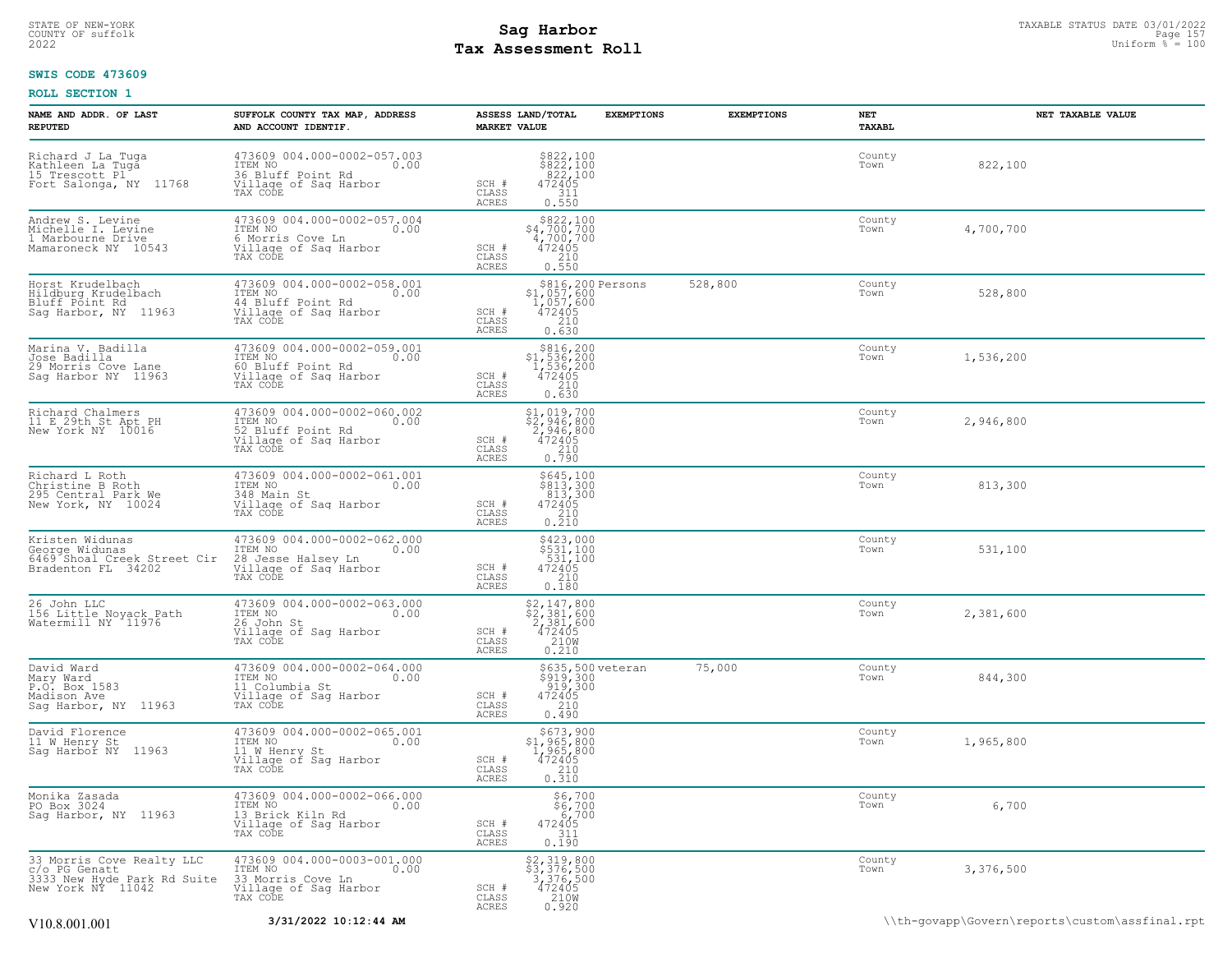# STATE OF NEW-YORK STATUS DATE 03/01/2022<br>
COUNTY OF suffolk **Sag From State Page 157**<br>
2022 Pay Assessment Roll **Tax Assessment Roll**

### **SWIS CODE 473609**

| NAME AND ADDR. OF LAST<br><b>REPUTED</b>                                                       | SUFFOLK COUNTY TAX MAP, ADDRESS<br>AND ACCOUNT IDENTIF.                                                   | ASSESS LAND/TOTAL<br><b>MARKET VALUE</b> | <b>EXEMPTIONS</b>                                                                                                     | <b>EXEMPTIONS</b> | NET<br>TAXABL  | NET TAXABLE VALUE |
|------------------------------------------------------------------------------------------------|-----------------------------------------------------------------------------------------------------------|------------------------------------------|-----------------------------------------------------------------------------------------------------------------------|-------------------|----------------|-------------------|
| Richard J La Tuga<br>Kathleen La Tuga<br>15 Trescott Pl<br>Fort Salonga, NY 11768              | 473609 004.000-0002-057.003<br>ITEM NO<br>0.00<br>36 Bluff Point Rd<br>Village of Sag Harbor<br>TAX CODE  | SCH #<br>CLASS<br><b>ACRES</b>           | $$822,100$<br>$$822,100$<br>$822,100$<br>$472405$<br>$311$<br>0.550                                                   |                   | County<br>Town | 822,100           |
| Andrew S. Levine<br>Michelle I. Levine<br>1 Marbourne Drive<br>Mamaroneck NY 10543             | 473609 004.000-0002-057.004<br>ITEM NO<br>0.00<br>6 Morris Cove Ln<br>Village of Sag Harbor<br>TAX CODE   | SCH #<br>CLASS<br><b>ACRES</b>           | $\begin{array}{r} $822,100 \\ $4,700,700 \\ 4,700,700 \\ 472405 \\ 210 \\ 0.550 \end{array}$                          |                   | County<br>Town | 4,700,700         |
| Horst Krudelbach<br>Hildburg Krudelbach<br>Bluff Póint Rd<br>Sag Harbor, NY 11963              | 473609 004.000-0002-058.001<br>ITEM NO<br>0.00<br>44 Bluff Point Rd<br>Village of Sag Harbor<br>TAX CODE  | SCH #<br>CLASS<br><b>ACRES</b>           | $$816,200$ Persons<br>$$1,057,600$<br>$1,057,600$<br>$472405$<br>$210$<br>0.630                                       | 528,800           | County<br>Town | 528,800           |
| Marina V. Badilla<br>Jose Badilla<br>29 Morris Cove Lane<br>Sag Harbor NY 11963                | 473609 004.000-0002-059.001<br>ITEM NO<br>0.00<br>60 Bluff Point Rd<br>Village of Saq Harbor<br>TAX CODE  | SCH #<br>CLASS<br>ACRES                  | $536, 200$<br>$1, 536, 200$<br>$472405$<br>$210$<br>0.630                                                             |                   | County<br>Town | 1,536,200         |
| Richard Chalmers<br>11 E 29th St Apt PH<br>New York NY 10016                                   | 473609 004.000-0002-060.002<br>ITEM NO<br>0.00<br>52 Bluff Point Rd<br>Village of Sag Harbor<br>TAX CODE  | SCH #<br>CLASS<br>ACRES                  | $\begin{array}{r} \texttt{\$1,019,700} \\ \texttt{\$2,946,800} \\ 2,946,800 \\ 472405 \\ 210 \\ 0.790 \\ \end{array}$ |                   | County<br>Town | 2,946,800         |
| Richard L Roth<br>Christine B Roth<br>295 Central Park We<br>New York, NY 10024                | 473609 004.000-0002-061.001<br>ITEM NO<br>0.00<br>348 Main St<br>Village of Sag Harbor<br>TAX CODE        | SCH #<br>CLASS<br>ACRES                  | \$645,100<br>\$813,300<br>813,300<br>472405<br>210<br>0.210                                                           |                   | County<br>Town | 813,300           |
| Kristen Widunas<br>George Widunas<br>6469 Shoal Creek Street Cir<br>Bradenton FL 34202         | 473609 004.000-0002-062.000<br>ITEM NO<br>0.00<br>28 Jesse Halsey Ln<br>Village of Sag Harbor<br>TAX CODE | SCH #<br>CLASS<br><b>ACRES</b>           | \$423,000<br>\$531,100<br>531,100<br>472405<br>$\frac{210}{0.180}$                                                    |                   | County<br>Town | 531,100           |
| 26 John LLC<br>156 Little Noyack Path<br>Watermill NY 11976                                    | 473609 004.000-0002-063.000<br>ITEM NO<br>0.00<br>26 John St<br>Village of Sag Harbor<br>TAX CODE         | SCH #<br>CLASS<br><b>ACRES</b>           | $\begin{array}{c} $2,147,800 \\ $2,381,600 \\ 2,381,600 \\ 472405 \\ 210W \\ 210W \end{array}$<br>0.210               |                   | County<br>Town | 2,381,600         |
| David Ward<br>Mary Ward<br>P.O. Box 1583<br>Madison Ave<br>Sag Harbor, NY 11963                | 473609 004.000-0002-064.000<br>ITEM NO<br>0.00<br>11 Columbia St<br>Village of Sag Harbor<br>TAX CODE     | SCH #<br>CLASS<br>ACRES                  | \$635,500 veteran<br>\$919,300<br>919,300<br>472405<br>2100<br>0.490                                                  | 75,000            | County<br>Town | 844,300           |
| David Florence<br>11 W Henry St<br>Sag Harbor NY 11963                                         | 473609 004.000-0002-065.001<br>ITEM NO<br>0.00<br>11 W Henry St<br>Village of Sag Harbor<br>TAX CODE      | SCH #<br>CLASS<br>ACRES                  | \$673,900<br>\$1,965,800<br>1,965,800<br>472405<br>210<br>0.310                                                       |                   | County<br>Town | 1,965,800         |
| Monika Zasada<br>PO Box 3024<br>Sag Harbor, NY 11963                                           | 473609 004.000-0002-066.000<br>ITEM NO<br>0.00<br>13 Brick Kiln Rd<br>Village of Sag Harbor<br>TAX CODE   | SCH #<br>CLASS<br><b>ACRES</b>           | \$6,700<br>$\begin{array}{r} 56,700 \\ 6,700 \\ 472405 \\ 311 \end{array}$<br>0.190                                   |                   | County<br>Town | 6,700             |
| 33 Morris Cove Realty LLC<br>C/o PG Genatt<br>3333 New Hyde Park Rd Suite<br>New York NY 11042 | 473609 004.000-0003-001.000<br>ITEM NO<br>0.00<br>33 Morris Cove Ln<br>Village of Sag Harbor<br>TAX CODE  | SCH #<br>CLASS<br><b>ACRES</b>           | $$2,319,800$<br>$$3,376,500$<br>$3,376,500$<br>$472405$<br>$210W$<br>0.920                                            |                   | County<br>Town | 3,376,500         |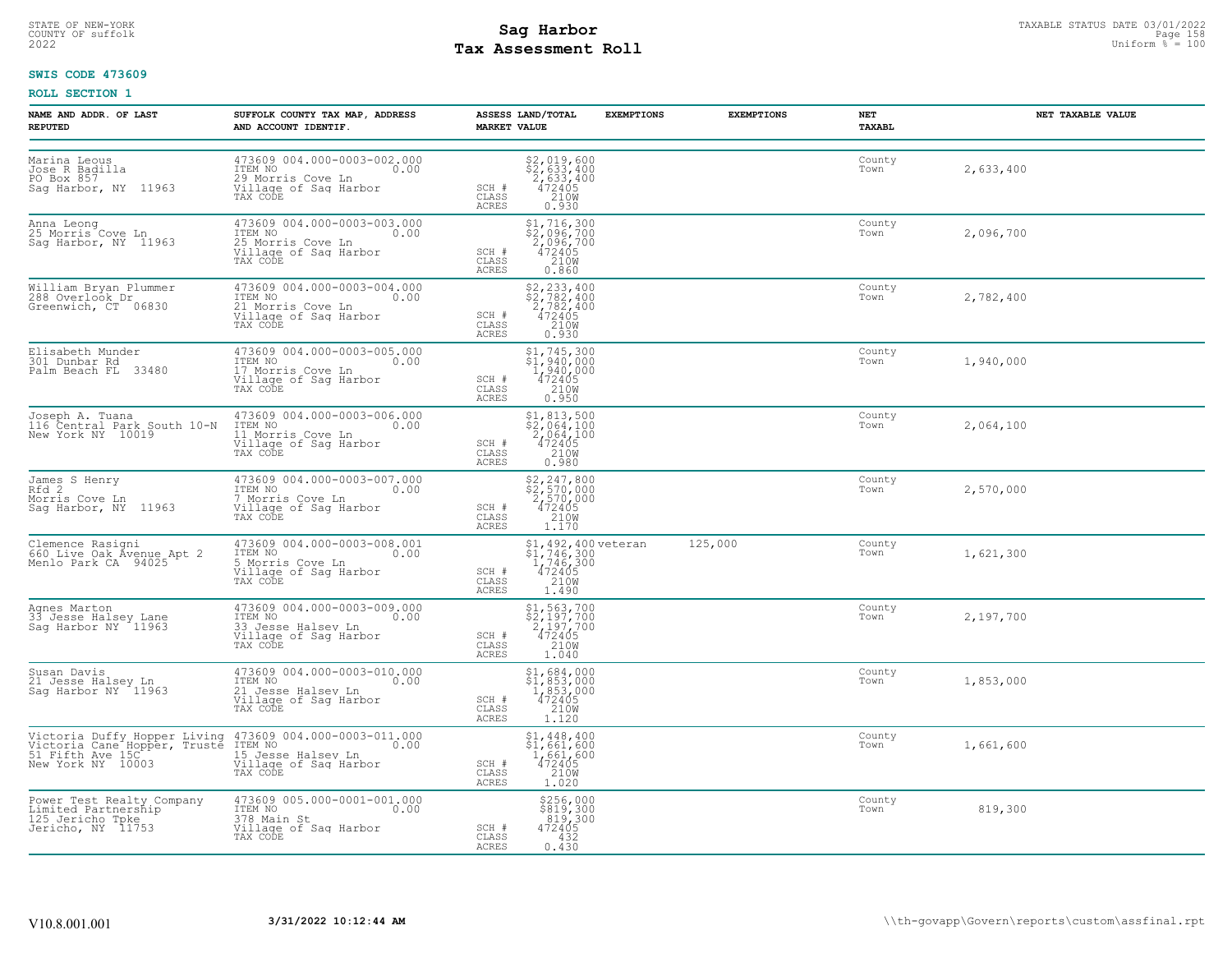# STATE OF NEW-YORK STATUS DATE 03/01/2022<br>
COUNTY OF suffolk **Sag From State of the Sage In the Sage 158**<br>
2022 Man Distorm <sup>Fay</sup> **Assessment Roll Tax Assessment Roll**

### **SWIS CODE 473609**

| NAME AND ADDR. OF LAST<br><b>REPUTED</b>                                                  | SUFFOLK COUNTY TAX MAP, ADDRESS<br>AND ACCOUNT IDENTIF.                                                                                                                               | ASSESS LAND/TOTAL<br><b>MARKET VALUE</b> | <b>EXEMPTIONS</b>                                                                               | <b>EXEMPTIONS</b> | NET<br>TAXABL  | NET TAXABLE VALUE |
|-------------------------------------------------------------------------------------------|---------------------------------------------------------------------------------------------------------------------------------------------------------------------------------------|------------------------------------------|-------------------------------------------------------------------------------------------------|-------------------|----------------|-------------------|
| Marina Leous<br>Jose R Badilla<br>PO Box 857<br>Sag Harbor, NY 11963                      | 473609 004.000-0003-002.000<br>ITEM NO<br>0.00<br>29 Morris Cove Ln<br>Village of Sag Harbor<br>TAX CODE                                                                              | SCH #<br>CLASS<br>ACRES                  | $\begin{array}{r} 52,019,600 \\ 52,633,400 \\ 2,633,400 \\ 472405 \\ 210W \\ 0.930 \end{array}$ |                   | County<br>Town | 2,633,400         |
| Anna Leong<br>25 Morris Cove Ln<br>Sag Harbor, NY  11963                                  | 473609 004.000-0003-003.000<br>TTEM NO<br>25 Morris Cove Ln<br>Village of Sag Harbor<br>TAX CODE                                                                                      | SCH #<br>CLASS<br>ACRES                  | \$1,716,300<br>$\frac{2}{2}$ , 096, 700<br>2, 096, 700<br>472405<br>210M<br>0.860               |                   | County<br>Town | 2,096,700         |
| William Bryan Plummer<br>288 Overlook Dr<br>Greenwich, CT 06830                           | 473609 004.000-0003-004.000<br>TTEM NO 0.00<br>The Norris Cove Ln<br>Village of Sag Harbor<br>TAX CODE                                                                                | SCH #<br>CLASS<br>ACRES                  | \$2,233,400<br>\$2,782,400<br>2,782,400<br>472405<br>210W<br>0.930                              |                   | County<br>Town | 2,782,400         |
| Elisabeth Munder<br>301 Dunbar Rd<br>Palm Beach FL 33480                                  | 473609 004.000-0003-005.000<br>10.00 0.00<br>17 Morris Cove Ln<br>Village of Sag Harbor<br>TAX CODE                                                                                   | SCH #<br>CLASS<br><b>ACRES</b>           | $$1,745,300$<br>$$1,940,000$<br>$\frac{1,940,000}{472405}$<br>0.950                             |                   | County<br>Town | 1,940,000         |
| Joseph A. Tuana<br>116 Central Park South 10-N<br>New York NY 10019                       | 473609 004.000-0003-006.000<br>ITEM NO 0.00<br>11 Morris Cove Ln<br>Village of Sag Harbor<br>TAX CODE                                                                                 | SCH #<br>CLASS<br>ACRES                  | $$2,064,100$<br>$$2,064,100$<br>$2,064,100$<br>$472405$<br>210W<br>0.980                        |                   | County<br>Town | 2,064,100         |
| James S Henry<br>Rfd 2<br>Morris Cove Ln<br>Sag Harbor, NY 11963                          | 473609 004.000-0003-007.000<br>10.00 0.00<br>7 Morris Cove Ln<br>Village of Saq Harbor<br>TAX CODE                                                                                    | SCH #<br>CLASS<br>ACRES                  | \$2,247,800<br>\$2,570,000<br>2,570,000<br>472405<br>210W<br>1.170                              |                   | County<br>Town | 2,570,000         |
| Clemence Rasigni<br>660 Live Oak Avenue Apt 2<br>Menlo Park CA 94025                      | 473609 004.000-0003-008.001<br>ITEM NO 0.00<br>-----<br>5 Morris Cove Ln<br>Village of Sag Harbor<br>TAX CODE                                                                         | SCH #<br>CLASS<br><b>ACRES</b>           | \$1,492,400 veteran<br>\$1,746,300<br>1,746,300<br>472405<br>210W<br>1.490                      | 125,000           | County<br>Town | 1,621,300         |
| Agnes Marton<br>33 Jesse Halsey Lane<br>Sag Harbor NY 11963                               | 473609 004.000-0003-009.000<br>ITEM NO 0.00<br>33 Jesse Halsey Ln<br>Village of Sag Harbor<br>TAX CODE                                                                                | SCH #<br>CLASS<br>ACRES                  | \$1,563,700<br>\$2,197,700<br>2,197,700<br>472405<br>210M<br>1,040                              |                   | County<br>Town | 2,197,700         |
| Susan Davis<br>21 Jesse Halsey Ln<br>Sag Harbor NY 11963                                  | 473609 004.000-0003-010.000<br>ITEM NO<br>0.00<br>21 Jesse Halsey Ln<br>Village of Sag Harbor<br>TAX CODE                                                                             | SCH #<br>CLASS<br><b>ACRES</b>           | $$1,684,000$<br>$$1,853,000$<br>$1,853,000$<br>$472405$<br>$2108$<br>1.120                      |                   | County<br>Town | 1,853,000         |
|                                                                                           | Victoria Duffy Hopper Living 473609 004.000-0003-011.000<br>Victoria Cane Hopper, Truste ITEM NO 1000 000<br>51 Fifth Ave 15C<br>New York NY 10003 21.11age of Saq Harbor<br>TAX CODE | SCH #<br>CLASS<br>ACRES                  | $$1,448,400$<br>$$1,661,600$<br>$1,661,600$<br>$472405$<br>210W<br>1.020                        |                   | County<br>Town | 1,661,600         |
| Power Test Realty Company<br>Limited Partnership<br>125 Jericho Tpke<br>Jericho, NY 11753 | 473609 005.000-0001-001.000<br>TTEM NO 0.00<br>378 Main St<br>Village of Sag Harbor<br>TAX CODE                                                                                       | SCH #<br>CLASS<br>ACRES                  | \$256,000<br>\$819,300<br>$819,300$<br>$472405$<br>$432$<br>0.430                               |                   | County<br>Town | 819,300           |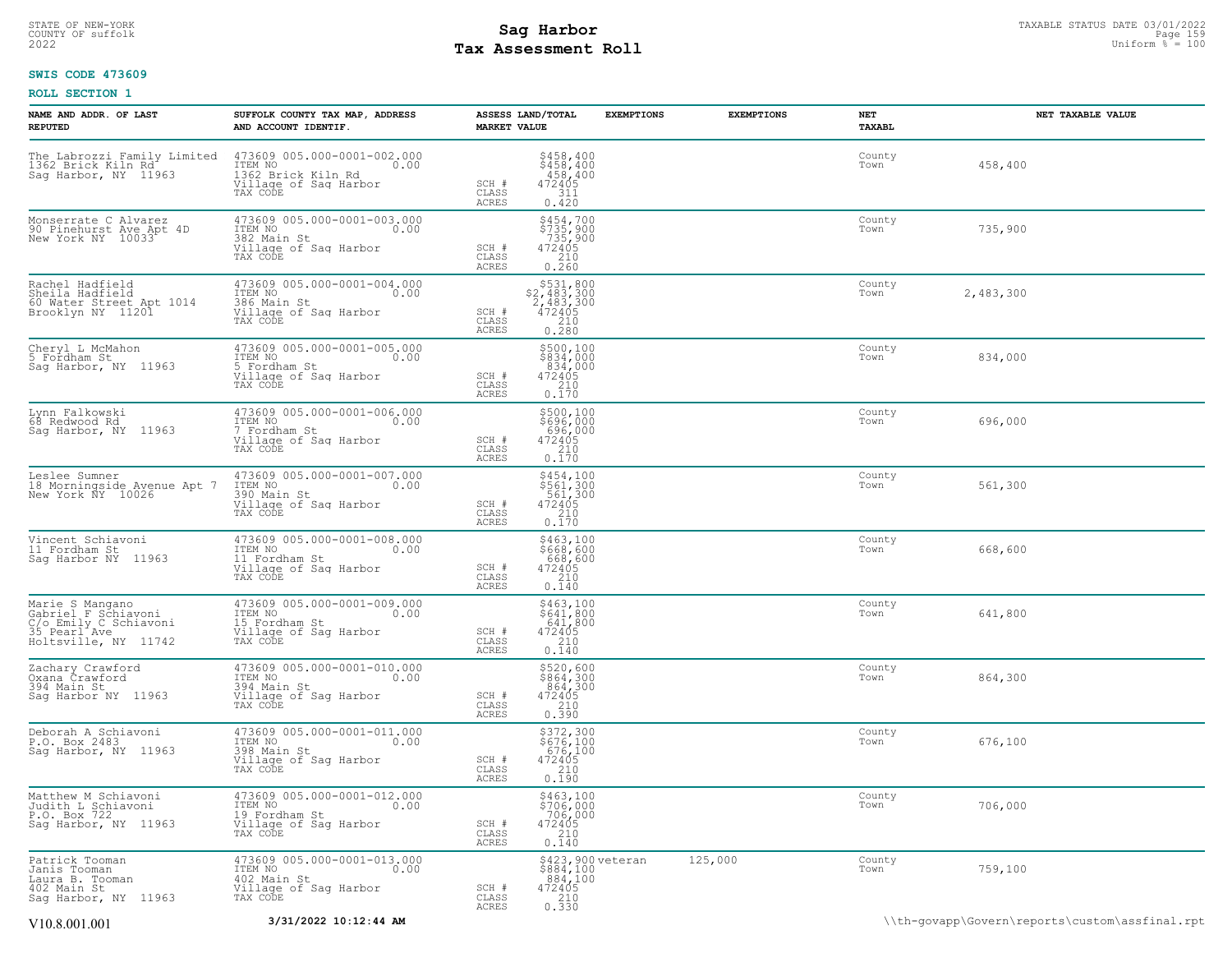# STATE OF NEW-YORK STATUS DATE 03/01/2022<br>COUNTY OF suffolk Page 1590 12022<br>2022 Pay Assessment Roll **Tax Assessment Roll**

### **SWIS CODE 473609**

| NAME AND ADDR. OF LAST<br><b>REPUTED</b>                                                                | SUFFOLK COUNTY TAX MAP, ADDRESS<br>AND ACCOUNT IDENTIF.                                                      | ASSESS LAND/TOTAL<br><b>MARKET VALUE</b> | <b>EXEMPTIONS</b>                                                                            | <b>EXEMPTIONS</b> | NET<br>TAXABL  | NET TAXABLE VALUE                              |
|---------------------------------------------------------------------------------------------------------|--------------------------------------------------------------------------------------------------------------|------------------------------------------|----------------------------------------------------------------------------------------------|-------------------|----------------|------------------------------------------------|
| The Labrozzi Family Limited<br>1362 Brick Kiln Rd<br>Sag Harbor, NY 11963                               | 473609 005.000-0001-002.000<br>10.00 0.00<br>0.00<br>1362 Brick Kiln Rd<br>Village of Sag Harbor<br>TAX CODE | SCH #<br>CLASS<br>ACRES                  | \$458,400<br>\$458,400<br>458,400<br>472405<br>311<br>0.420                                  |                   | County<br>Town | 458,400                                        |
| Monserrate C Alvarez<br>90 Pinehurst Ave Apt 4D<br>New York NY 10033                                    | 473609 005.000-0001-003.000<br>ITEM NO<br>0.00<br>382 Main St<br>Village of Sag Harbor<br>TAX CODE           | SCH #<br>CLASS<br>ACRES                  | \$454,700<br>\$735,900<br>735,900<br>472405<br>0.260                                         |                   | County<br>Town | 735,900                                        |
| Rachel Hadfield<br>Sheila Hadfield<br>60 Water Street Apt 1014<br>Brooklyn NY 11201                     | 473609 005.000-0001-004.000<br>ITEM NO<br>386 Main St<br>0.00<br>Village of Sag Harbor<br>TAX CODE           | SCH #<br>CLASS<br>ACRES                  | \$531,800<br>$\begin{array}{r} 2,483,300 \\ 2,483,300 \\ 472405 \\ 210 \\ 0.280 \end{array}$ |                   | County<br>Town | 2,483,300                                      |
| Cheryl L McMahon<br>5 Fordham St<br>Sag Harbor, NY 11963                                                | 473609 005.000-0001-005.000<br>ITEM NO<br>0.00<br>5 Fordham St<br>Village of Sag Harbor<br>TAX CODE          | SCH #<br>CLASS<br>ACRES                  | \$500,100<br>\$834,000<br>834,000<br>472405<br>210<br>0.170                                  |                   | County<br>Town | 834,000                                        |
| Lynn Falkowski<br>68 Redwood Rd<br>Sag Harbor, NY 11963                                                 | 473609 005.000-0001-006.000<br>ITEM NO 0.00<br>7 Fordham St<br>Village of Saq Harbor<br>TAX CODE             | SCH #<br>CLASS<br>ACRES                  | \$500,100<br>\$696,000<br>$\begin{array}{r} 696,000 \\ 472405 \\ 210 \\ 0.170 \end{array}$   |                   | County<br>Town | 696,000                                        |
| Leslee Sumner<br>18 Morningside Avenue Apt 7<br>New York NY 10026                                       | 473609 005.000-0001-007.000<br>ITEM NO<br>0.00<br>390 Main St<br>Village of Sag Harbor<br>TAX CODE           | SCH #<br>CLASS<br>ACRES                  | \$454,100<br>\$561,300<br>561,300<br>472405<br>0.170                                         |                   | County<br>Town | 561,300                                        |
| Vincent Schiavoni<br>11 Fordham St<br>Saq Harbor NY 11963                                               | 473609 005.000-0001-008.000<br>ITEM NO<br>0.00<br>11 Fordham St<br>Village of Sag Harbor<br>TAX CODE         | SCH #<br>CLASS<br>ACRES                  | \$463,100<br>\$668,600<br>668,600<br>472405<br>210<br>0.140                                  |                   | County<br>Town | 668,600                                        |
| Marie S Mangano<br>Gabriel F Schiavoni<br>C/o Emily C Schiavoni<br>35 Pearl Ave<br>Holtsville, NY 11742 | 473609 005.000-0001-009.000<br>ITEM NO<br>$\sim$ 0.00<br>15 Fordham St<br>Village of Sag Harbor<br>TAX CODE  | SCH #<br>CLASS<br>ACRES                  | $$463,100$<br>$$641,800$<br>$641,800$<br>$472405$<br>0.140                                   |                   | County<br>Town | 641,800                                        |
| Zachary Crawford<br>Oxana Crawford<br>394 Main St<br>Saq Harbor NY 11963                                | 473609 005.000-0001-010.000<br>ITEM NO<br>0.00<br>394 Main St<br>Village of Sag Harbor<br>TAX CODE           | SCH #<br>CLASS<br>ACRES                  | \$520,600<br>\$864,300<br>864,300<br>472405<br>210<br>0.390                                  |                   | County<br>Town | 864,300                                        |
| Deborah A Schiavoni<br>P.O. Box 2483<br>Sag Harbor, NY 11963                                            | 473609 005.000-0001-011.000<br>ITEM NO<br>0.00<br>398 Main St<br>Village of Sag Harbor<br>TAX CODE           | SCH #<br>CLASS<br>ACRES                  | \$372,300<br>\$676,100<br>676,100<br>$472405$<br>$210$<br>0.190                              |                   | County<br>Town | 676,100                                        |
| Matthew M Schiavoni<br>Judith L Schiavoni<br>P.O. Box 722<br>Sag Harbor, NY 11963                       | 473609 005.000-0001-012.000<br>ITEM NO<br>0.00<br>19 Fordham St<br>Village of Sag Harbor<br>TAX CODE         | SCH #<br>CLASS<br>ACRES                  | \$463,100<br>\$706,000<br>706,000<br>472405<br>$\frac{210}{0.140}$                           |                   | County<br>Town | 706,000                                        |
| Patrick Tooman<br>Janis Tooman<br>Laura B. Tooman<br>402 Main St<br>Sag Harbor, NY 11963                | 473609 005.000-0001-013.000<br>TTEM NO 0.00<br>402 Main St<br>Village of Saq Harbor<br>TAX CODE              | SCH #<br>CLASS<br>ACRES                  | \$423,900 veteran<br>\$884,100<br>884,100<br>472405<br>0.330                                 | 125,000           | County<br>Town | 759,100                                        |
| V10.8.001.001                                                                                           | 3/31/2022 10:12:44 AM                                                                                        |                                          |                                                                                              |                   |                | \\th-govapp\Govern\reports\custom\assfinal.rpt |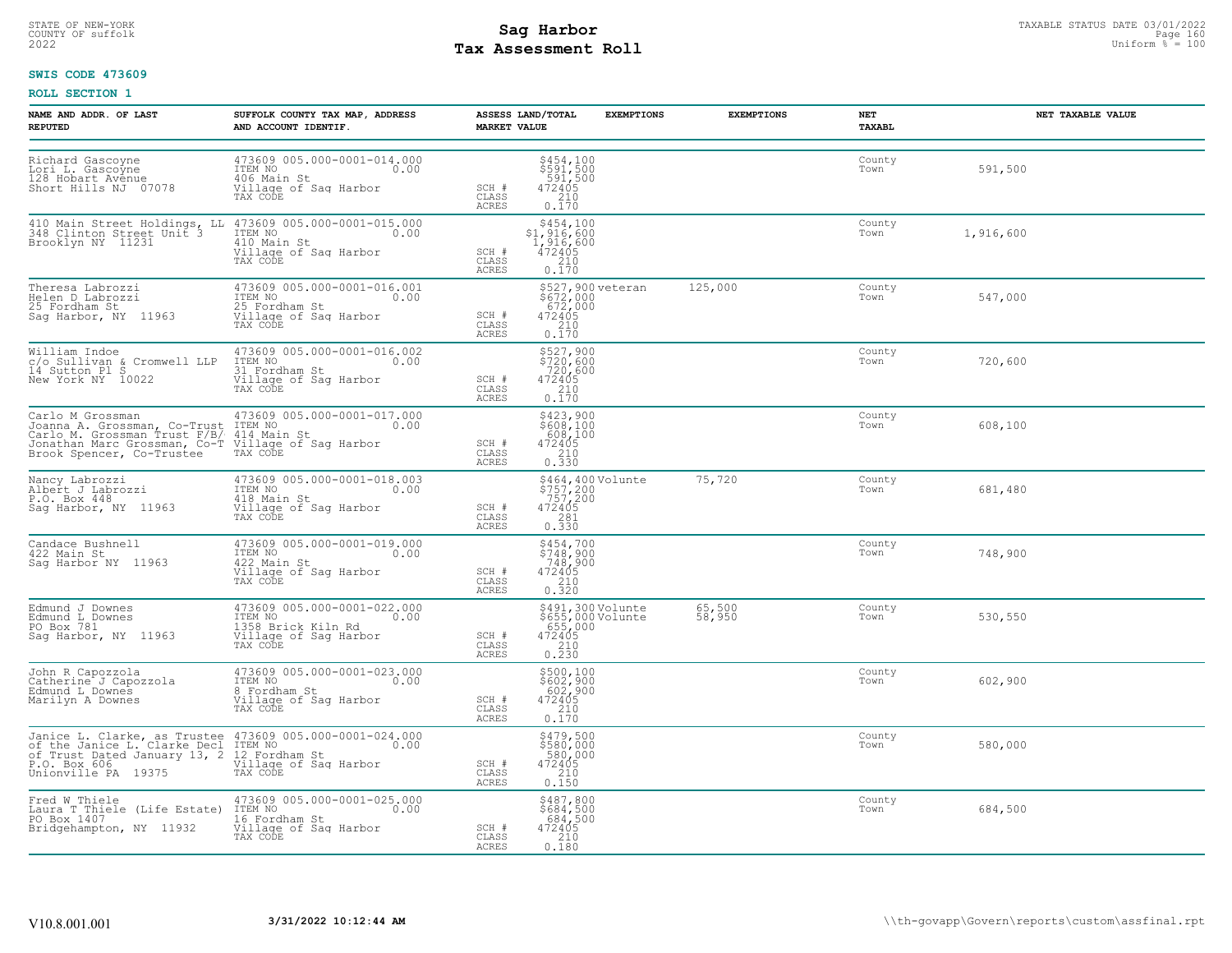# STATE OF NEW-YORK STATUS DATE 03/01/2022<br>
COUNTY OF suffolk **Sag From State of the Sage In the Sage 160**<br>
2022 Man Distorm <sup>Fay</sup> Assessment Roll **Tax Assessment Roll**

### **SWIS CODE 473609**

| NAME AND ADDR. OF LAST<br><b>REPUTED</b>                                                                                                                                                                                                   | SUFFOLK COUNTY TAX MAP, ADDRESS<br>AND ACCOUNT IDENTIF.                                                                                                                                                     | ASSESS LAND/TOTAL<br><b>MARKET VALUE</b> | <b>EXEMPTIONS</b>                                                                                     | <b>EXEMPTIONS</b> | NET<br>TAXABL  | NET TAXABLE VALUE |
|--------------------------------------------------------------------------------------------------------------------------------------------------------------------------------------------------------------------------------------------|-------------------------------------------------------------------------------------------------------------------------------------------------------------------------------------------------------------|------------------------------------------|-------------------------------------------------------------------------------------------------------|-------------------|----------------|-------------------|
| Richard Gascoyne<br>Lori L. Gascoyne<br>128 Hobart Avenue<br>Short Hills NJ 07078                                                                                                                                                          | 473609 005.000-0001-014.000<br>ITEM NO 0.00<br>406 Main St<br>Village of Sag Harbor<br>TAX CODE                                                                                                             | SCH #<br>CLASS<br>ACRES                  | $$454,100$<br>$$591,500$<br>$$591,500$<br>$472405$<br>$$210$<br>0.170                                 |                   | County<br>Town | 591,500           |
|                                                                                                                                                                                                                                            | 410 Main Street Holdings, LL 473609 005.000-0001-015.000<br>348 Clinton Street Unit 3 1TEM NO 0.00<br>Brooklyn NY 11231 410 Main St<br>Village of Sag Harbor<br>TAX CODE                                    | SCH #<br>CLASS<br>ACRES                  | $$454,100$<br>$$1,916,600$<br>$1,916,600$<br>$472405$<br>$$210$<br>0.170                              |                   | County<br>Town | 1,916,600         |
| Theresa Labrozzi<br>Helen D Labrozzi<br>25 Fordham St<br>Sag Harbor, NY 11963                                                                                                                                                              | 473609 005.000-0001-016.001<br>ITEM NO. 0.00<br>11221 No<br>25 Fordham St<br>Village of Sag Harbor<br>TAX CODE                                                                                              | SCH #<br>CLASS<br>ACRES                  | \$527,900 veteran<br>\$672,000<br>672,000<br>472405<br>0.170                                          | 125,000           | County<br>Town | 547,000           |
| William Indoe<br>c/o Sullivan & Cromwell LLP<br>14 Sutton Pl S<br>New York NY 10022                                                                                                                                                        | 473609 005.000-0001-016.002<br>ITEM NO 0.00<br>31 Fordham St<br>Village of Sag Harbor<br>TAX CODE                                                                                                           | SCH #<br>CLASS<br><b>ACRES</b>           | \$527,900<br>\$720,600<br>720,600<br>472405<br>$\frac{210}{0.170}$                                    |                   | County<br>Town | 720,600           |
| Carlo M Grossman (Co-Trust 173609 005.000-0001-017.000<br>Joanna A. Grossman, Co-Trust 1TEM NO Carlo M. Grossman (Co-Trust 14 Main St<br>Carlo M. Grossman (Co-Trust 14 Main St<br>Jonathan Marc Grossman, Co-T Village of Sag Harbor<br>B | 473609 005.000-0001-017.000                                                                                                                                                                                 | SCH #<br>CLASS<br><b>ACRES</b>           | \$423,900<br>\$608,100<br>$\begin{array}{r} 608,100 \\ 608,100 \\ 472405 \\ 210 \\ 0.330 \end{array}$ |                   | County<br>Town | 608,100           |
| Nancy Labrozzi<br>Albert J Labrozzi<br>P.O. Box 448<br>Sag Harbor, NY 11963                                                                                                                                                                | 473609 005.000-0001-018.003<br>ITEM NO 0.00<br>118 Main St<br>Village of Saq Harbor<br>TAX CODE                                                                                                             | SCH #<br>CLASS<br>ACRES                  | \$464,400 Volunte<br>\$757,200<br>757,200<br>472405<br>0.330                                          | 75,720            | County<br>Town | 681,480           |
| Candace Bushnell<br>422 Main St<br>Saq Harbor NY 11963                                                                                                                                                                                     | 473609 005.000-0001-019.000<br>ITEM NO 0.00<br>422 Main St<br>422 Main St<br>Village of Sag Harbor<br>TAX CODE                                                                                              | SCH #<br>CLASS<br>ACRES                  | \$454,700<br>\$748,900<br>748,900<br>472405<br>210<br>0.320                                           |                   | County<br>Town | 748,900           |
| Edmund J Downes<br>Edmund L Downes<br>PO Box 781<br>Sag Harbor, NY 11963                                                                                                                                                                   | 473609 005.000-0001-022.000<br>ITEM NO 0.00<br>1358 Brick Kiln Rd<br>Village of Sag Harbor<br>TAX CODE                                                                                                      | SCH #<br>CLASS<br>ACRES                  | \$491,300 Volunte<br>\$655,000 Volunte<br>655,000<br>472405<br>2310<br>0.230                          | 65,500<br>58,950  | County<br>Town | 530,550           |
| John R Capozzola<br>Catherine J Capozzola<br>Edmund L Downes<br>Marilyn A Downes                                                                                                                                                           | 473609 005.000-0001-023.000<br>TTEM NO<br>8 Fordham St<br>Village of Sag Harbor<br>TAX CODE                                                                                                                 | SCH #<br>CLASS<br><b>ACRES</b>           | \$500,100<br>\$602,900<br>602,900<br>472405<br>$\begin{array}{c} 210 \\ 0.170 \end{array}$            |                   | County<br>Town | 602,900           |
|                                                                                                                                                                                                                                            | Janice L. Clarke, as Trustee 473609 005.000-0001-024.000<br>of the Janice L. Clarke Decl ITEM NO<br>of Trust Dated January 13, 2 12 Fordham St<br>P.O. Box 606<br>Unionville PA 19375 TAX CODE<br>TRAX CODE | SCH #<br>CLASS<br>ACRES                  | \$479,500<br>\$580,000<br>580,000<br>472405<br>$\begin{array}{c} 210 \\ 0.150 \end{array}$            |                   | County<br>Town | 580,000           |
| PO Box 1407<br>Bridgehampton, NY 11932                                                                                                                                                                                                     | Fred W Thiele (Life Estate) 473609 005.000-0001-025.000<br>Laura T Thiele (Life Estate) ITEM NO., 200000001-025.000<br>16 Fordham St<br>Village of Sag Harbor<br>TAX CODE                                   | SCH #<br>CLASS<br>ACRES                  | \$487,800<br>\$684,500<br>684,500<br>472405<br>0.180                                                  |                   | County<br>Town | 684,500           |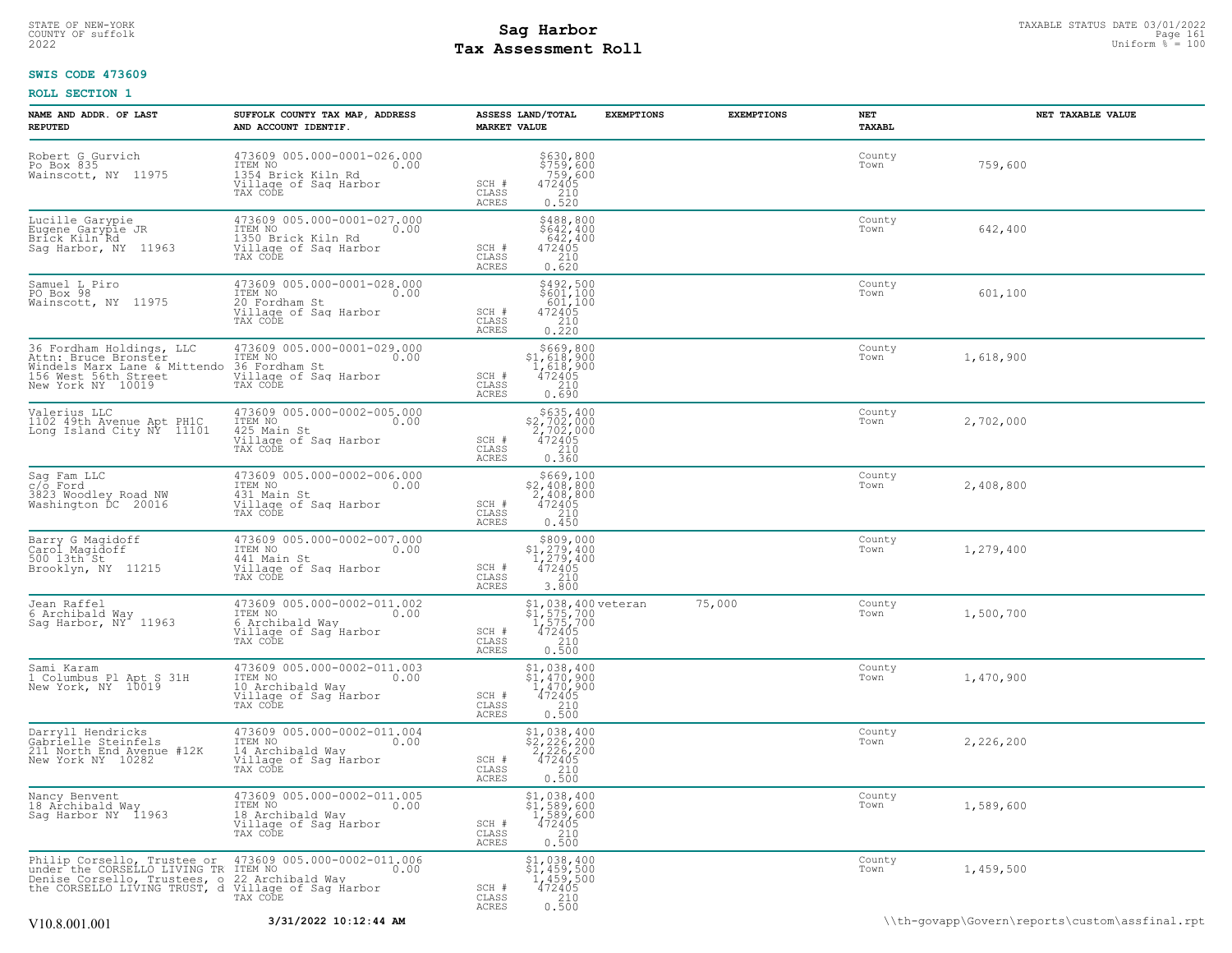# STATE OF NEW-YORK STATUS DATE 03/01/2022<br>
COUNTY OF suffolk Taxable Page 161 and 2020<br>
2022 Pay Assessment Roll **Tax Assessment Roll**

### **SWIS CODE 473609**

| NAME AND ADDR. OF LAST<br><b>REPUTED</b>                                                                                      | SUFFOLK COUNTY TAX MAP, ADDRESS<br>AND ACCOUNT IDENTIF.                                                   | <b>MARKET VALUE</b>                       | ASSESS LAND/TOTAL                                                                                 | <b>EXEMPTIONS</b> | <b>EXEMPTIONS</b> | NET<br>TAXABL  | NET TAXABLE VALUE |
|-------------------------------------------------------------------------------------------------------------------------------|-----------------------------------------------------------------------------------------------------------|-------------------------------------------|---------------------------------------------------------------------------------------------------|-------------------|-------------------|----------------|-------------------|
| Robert G Gurvich<br>Po Box 835<br>Wainscott, NY 11975                                                                         | 473609 005.000-0001-026.000<br>ITEM NO<br>0.00<br>1354 Brick Kiln Rd<br>Village of Sag Harbor<br>TAX CODE | SCH #<br>CLASS<br>ACRES                   | \$630,800<br>\$759,600<br>759,600<br>$\begin{array}{r}472405\\210\\0.520\end{array}$              |                   |                   | County<br>Town | 759,600           |
| Lucille Garypie<br>Eugene Garypie JR<br>Brick Kiln Rd<br>Sag Harbor, NY 11963                                                 | 473609 005.000-0001-027.000<br>ITEM NO<br>0.00<br>1350 Brick Kiln Rd<br>Village of Sag Harbor<br>TAX CODE | SCH #<br>CLASS<br>ACRES                   | $$488,800$<br>$$642,400$<br>$642,400$<br>$472405$<br>$210$<br>0.620                               |                   |                   | County<br>Town | 642,400           |
| Samuel L Piro<br>PO Box 98<br>Wainscott, NY 11975                                                                             | 473609 005.000-0001-028.000<br>ITEM NO<br>0.00<br>20 Fordham St<br>Village of Sag Harbor<br>TAX CODE      | SCH #<br>CLASS<br>ACRES                   | $\begin{array}{r} 5492, 500 \\ 5601, 100 \\ 601, 100 \\ 472405 \\ 210 \\ 0.220 \end{array}$       |                   |                   | County<br>Town | 601,100           |
| 36 Fordham Holdings, LLC<br>Attn: Bruce Bronster<br>Windels Marx Lane & Mittendo<br>156 West 56th Street<br>New York NY 10019 | 473609 005.000-0001-029.000<br>TTEM NO 0.00<br>16 Fordham St<br>Village of Sag Harbor<br>TAX CODE         | SCH #<br>CLASS<br>ACRES                   | \$669,800<br>$$1,618,900$<br>1,618,900<br>472405<br>210<br>0.690                                  |                   |                   | County<br>Town | 1,618,900         |
| Valerius LLC<br>1102 49th Avenue Apt PH1C<br>Long Island City NY 11101                                                        | 473609 005.000-0002-005.000<br>ITEM NO<br>0.00<br>425 Main St<br>Village of Saq Harbor<br>TAX CODE        | SCH #<br>CLASS<br><b>ACRES</b>            | $$635, 400$<br>$$2, 702, 000$<br>$2, 702, 000$<br>$472405$<br>210<br>0.360                        |                   |                   | County<br>Town | 2,702,000         |
| Sag Fam LLC<br>c/o Ford<br>3823 Woodley Road NW<br>Washington DC 20016                                                        | 473609 005.000-0002-006.000<br>ITEM NO<br>0.00<br>431 Main St<br>Village of Sag Harbor<br>TAX CODE        | SCH #<br>$\mathtt{CLASS}$<br><b>ACRES</b> | \$669,100<br>$$2,408,800$<br>2,408,800<br>472405<br>210<br>0.450                                  |                   |                   | County<br>Town | 2,408,800         |
| Barry G Magidoff<br>Carol Magidoff<br>500 13th St.<br>Brooklyn, NY 11215                                                      | 473609 005.000-0002-007.000<br>ITEM NO<br>0.00<br>441 Main St<br>Village of Sag Harbor<br>TAX CODE        | SCH #<br>CLASS<br><b>ACRES</b>            | \$809,000<br>$$1,279,400$<br>1,279,400<br>472405<br>2,210<br>3.800                                |                   |                   | County<br>Town | 1,279,400         |
| Jean Raffel<br>6 Archibald Way<br>Sag Harbor, NY 11963                                                                        | 473609 005.000-0002-011.002<br>ITEM NO<br>0.00<br>6 Archibald Way<br>Village of Sag Harbor<br>TAX CODE    | SCH #<br>CLASS<br>ACRES                   | $$1,038,400 \text{ veteran}$<br>$$1,575,700$<br>$1,575,700$<br>$472405$<br>$$210$<br>0.500        |                   | 75,000            | County<br>Town | 1,500,700         |
| Sami Karam<br>1 Columbus P1 Apt S 31H<br>New York, NY 10019                                                                   | 473609 005.000-0002-011.003<br>ITEM NO<br>0.00<br>10 Archibald Way<br>Village of Sag Harbor<br>TAX CODE   | $SCH$ $#$<br>CLASS<br>ACRES               | $$1,038,400$<br>$$1,470,900$<br>$1,470,900$<br>$472405$<br>$$210$<br>0.500                        |                   |                   | County<br>Town | 1,470,900         |
| Darryll Hendricks<br>Gabrielle Steinfels<br>211 North End Avenue #12K<br>New York NY 10282                                    | 473609 005.000-0002-011.004<br>ITEM NO<br>0.00<br>14 Archibald Wav<br>Village of Sag Harbor<br>TAX CODE   | SCH #<br>CLASS<br>ACRES                   | $\begin{array}{r} $1,038,400 \\ $2,226,200 \\ $2,226,200 \\ $472405 \\ $210 \end{array}$<br>0.500 |                   |                   | County<br>Town | 2,226,200         |
| Nancy Benvent<br>18 Archibald Way<br>Sag Harbor NY 11963                                                                      | 473609 005.000-0002-011.005<br>ITEM NO<br>0.00<br>18 Archibald Way<br>Village of Sag Harbor<br>TAX CODE   | SCH #<br>CLASS<br><b>ACRES</b>            | \$1,038,400<br>\$1,589,600<br>1,589,600<br>472405<br>210<br>0.500                                 |                   |                   | County<br>Town | 1,589,600         |
| Philip Corsello, Trustee or<br>under the CORSELLO LIVING TR<br>Denise Corsello, Trustees, o<br>the CORSELLO LIVING TRUST, d   | 473609 005.000-0002-011.006<br>ITEM NO<br>0.00<br>22 Archibald Way<br>Village of Sag Harbor<br>TAX CODE   | SCH #<br>CLASS<br>ACRES                   | \$1,038,400<br>\$1,459,500<br>1,459,500<br>472405<br>210<br>0.500                                 |                   |                   | County<br>Town | 1,459,500         |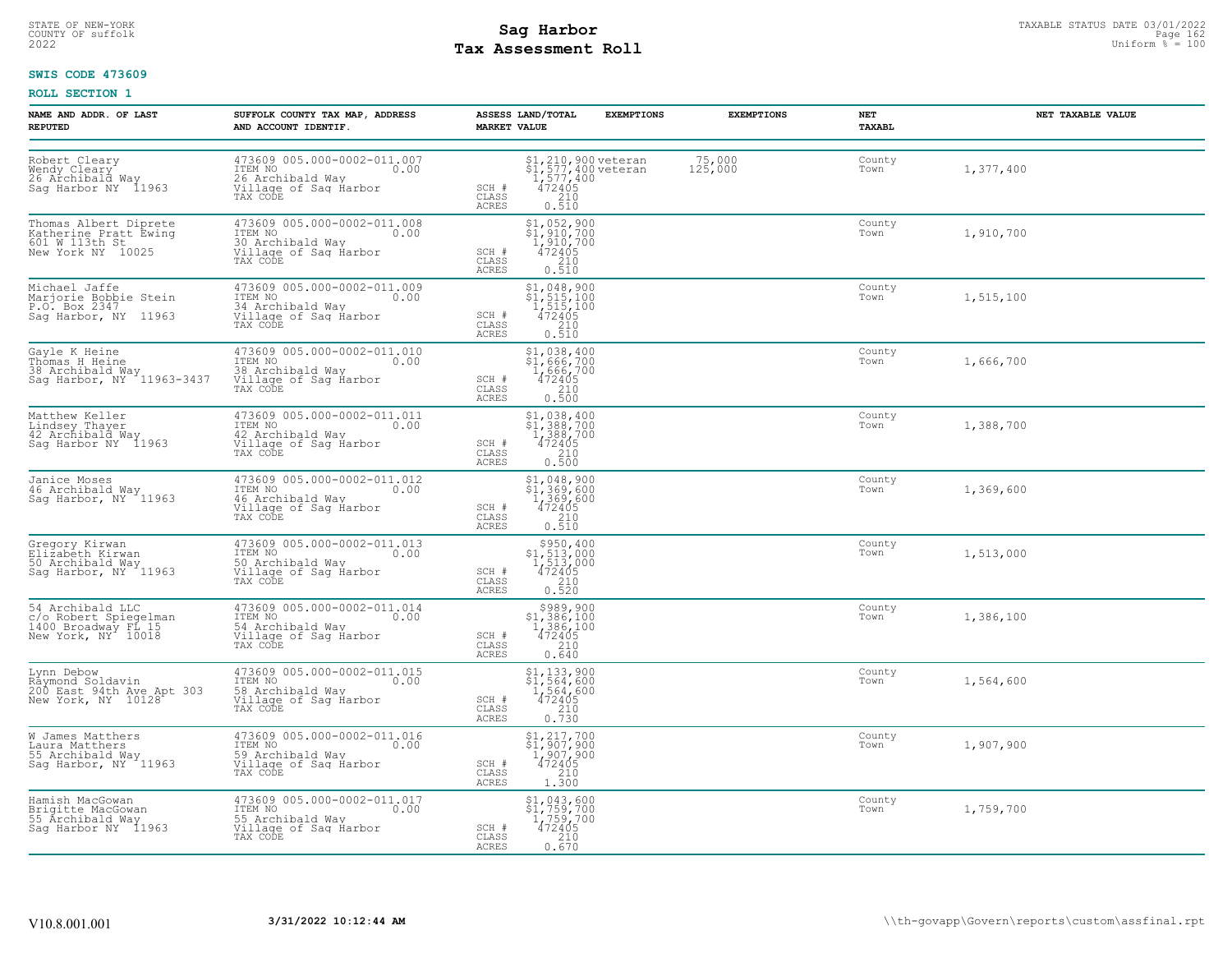# STATE OF NEW-YORK STATUS DATE 03/01/2022<br>
COUNTY OF suffolk Taxable Page 162<br>
2022 MageSone Taxable Page 162 Uniform % = 100 **Tax Assessment Roll**

### **SWIS CODE 473609**

| NAME AND ADDR. OF LAST<br><b>REPUTED</b>                                               | SUFFOLK COUNTY TAX MAP, ADDRESS<br>AND ACCOUNT IDENTIF.                                                 | ASSESS LAND/TOTAL<br><b>EXEMPTIONS</b><br><b>MARKET VALUE</b>                                                                                                                                                                | <b>EXEMPTIONS</b> | NET<br>TAXABL  | NET TAXABLE VALUE |
|----------------------------------------------------------------------------------------|---------------------------------------------------------------------------------------------------------|------------------------------------------------------------------------------------------------------------------------------------------------------------------------------------------------------------------------------|-------------------|----------------|-------------------|
| Robert Cleary<br>Wendy Cleary<br>26 Archibald Way<br>Sag Harbor NY 11963               | 473609 005.000-0002-011.007<br>ITEM NO<br>0.00<br>26 Archibald Wav<br>Village of Sag Harbor<br>TAX CODE | \$1,210,900 veteran<br>\$1,577,400 veteran<br>1,577,400<br>472405<br>210<br>0.510<br>SCH #<br>CLASS<br><b>ACRES</b>                                                                                                          | 75,000<br>125,000 | County<br>Town | 1,377,400         |
| Thomas Albert Diprete<br>Katherine Pratt Ewing<br>601 W 113th St<br>New York NY 10025  | 473609 005.000-0002-011.008<br>ITEM NO<br>0.00<br>30 Archibald Wav<br>Village of Sag Harbor<br>TAX CODE | $$1,952,900$<br>$$1,910,700$<br>1,910,700<br>SCH #<br>472405<br>$\begin{array}{c} 210 \\ 0.510 \end{array}$<br>CLASS<br><b>ACRES</b>                                                                                         |                   | County<br>Town | 1,910,700         |
| Michael Jaffe<br>Marjorie Bobbie Stein<br>P.O. Box 2347<br>Saq Harbor, NY 11963        | 473609 005.000-0002-011.009<br>ITEM NO<br>0.00<br>34 Archibald Way<br>Village of Sag Harbor<br>TAX CODE | $$1,048,900$<br>$$1,515,100$<br>$1,515,100$<br>$472405$<br>SCH #<br>CLASS<br>$\frac{210}{0.510}$<br>ACRES                                                                                                                    |                   | County<br>Town | 1,515,100         |
| Gayle K Heine<br>Thomas H Heine<br>38 Archibald Way<br>Sag Harbor, NY 11963-3437       | 473609 005.000-0002-011.010<br>ITEM NO<br>0.00<br>38 Archibald Way<br>Village of Sag Harbor<br>TAX CODE | \$1,038,400<br>$\frac{1}{666}$ , 700<br>1, 666, 700<br>SCH #<br>$472405$<br>210<br>0.500<br>CLASS<br>ACRES                                                                                                                   |                   | County<br>Town | 1,666,700         |
| Matthew Keller<br>Lindsey Thayer<br>42 Archibald Way<br>Sag Harbor NY 11963            | 473609 005.000-0002-011.011<br>ITEM NO<br>0.00<br>42 Archibald Way<br>Village of Sag Harbor<br>TAX CODE | $\begin{array}{r} \texttt{\$1,\,038,\,400$} \\ \texttt{\$1,\,388,\,700$} \\ 1,388,700 \\ 472405 \\ 210 \\ 0.500 \end{array}$<br>SCH #<br>CLASS<br>ACRES                                                                      |                   | County<br>Town | 1,388,700         |
| Janice Moses<br>46 Archibald Way<br>Sag Harbor, NY 11963                               | 473609 005.000-0002-011.012<br>ITEM NO<br>0.00<br>46 Archibald Way<br>Village of Sag Harbor<br>TAX CODE | $\begin{array}{r} \texttt{\$1,\,048,\,900}\ \texttt{\$1,\,369,\,600}\ \texttt{\$1,\,369,\,600}\ \texttt{\$1,\,369,\,600}\ \texttt{\$12405}\ \texttt{\$210}\ \texttt{\$0.510}\ \end{array}$<br>SCH #<br>CLASS<br><b>ACRES</b> |                   | County<br>Town | 1,369,600         |
| Gregory Kirwan<br>Elizabeth Kirwan<br>50 Archibald Way<br>Sag Harbor, NY 11963         | 473609 005.000-0002-011.013<br>ITEM NO 0.00<br>50 Archibald Way<br>Village of Sag Harbor<br>TAX CODE    | $\begin{array}{c} $950,400 \\ $1,513,000 \\ $1,513,000 \\ $472405 \end{array}$<br>SCH #<br>CLASS<br>$\frac{210}{0.520}$<br><b>ACRES</b>                                                                                      |                   | County<br>Town | 1,513,000         |
| 54 Archibald LLC<br>c/o Robert Spiegelman<br>1400 Broadway FL 15<br>New York, NY 10018 | 473609 005.000-0002-011.014<br>ITEM NO<br>0.00<br>54 Archibald Way<br>Village of Sag Harbor<br>TAX CODE | $$389,900$1,386,1001,386,100$<br>SCH #<br>$\frac{472405}{210}$<br>CLASS<br>ACRES<br>0.640                                                                                                                                    |                   | County<br>Town | 1,386,100         |
| Lynn Debow<br>Råymond Soldavin<br>200 East 94th Ave Apt 303<br>New York, NY 10128      | 473609 005.000-0002-011.015<br>ITEM NO<br>0.00<br>58 Archibald Wav<br>Village of Sag Harbor<br>TAX CODE | \$1,133,900<br>\$1,564,600<br>1,564,600<br>472405<br>SCH #<br>CLASS<br>$\frac{210}{0.730}$<br><b>ACRES</b>                                                                                                                   |                   | County<br>Town | 1,564,600         |
| W James Matthers<br>Laura Matthers<br>55 Archibald Way<br>Sag Harbor, NY 11963         | 473609 005.000-0002-011.016<br>ITEM NO<br>0.00<br>59 Archibald Way<br>Village of Saq Harbor<br>TAX CODE | \$1,217,700<br>\$1,907,900<br>1,907,900<br>472405<br>SCH #<br>CLASS<br>$\frac{210}{1.300}$<br>ACRES                                                                                                                          |                   | County<br>Town | 1,907,900         |
| Hamish MacGowan<br>Brigitte MacGowan<br>55 Archibald Way<br>Sag Harbor NY 11963        | 473609 005.000-0002-011.017<br>ITEM NO 0.00<br>55 Archibald Way<br>Village of Sag Harbor<br>TAX CODE    | $$1,043,600$<br>$$1,759,700$<br>1,759,700<br>472405<br>SCH #<br>CLASS<br>210<br>ACRES<br>0.670                                                                                                                               |                   | County<br>Town | 1,759,700         |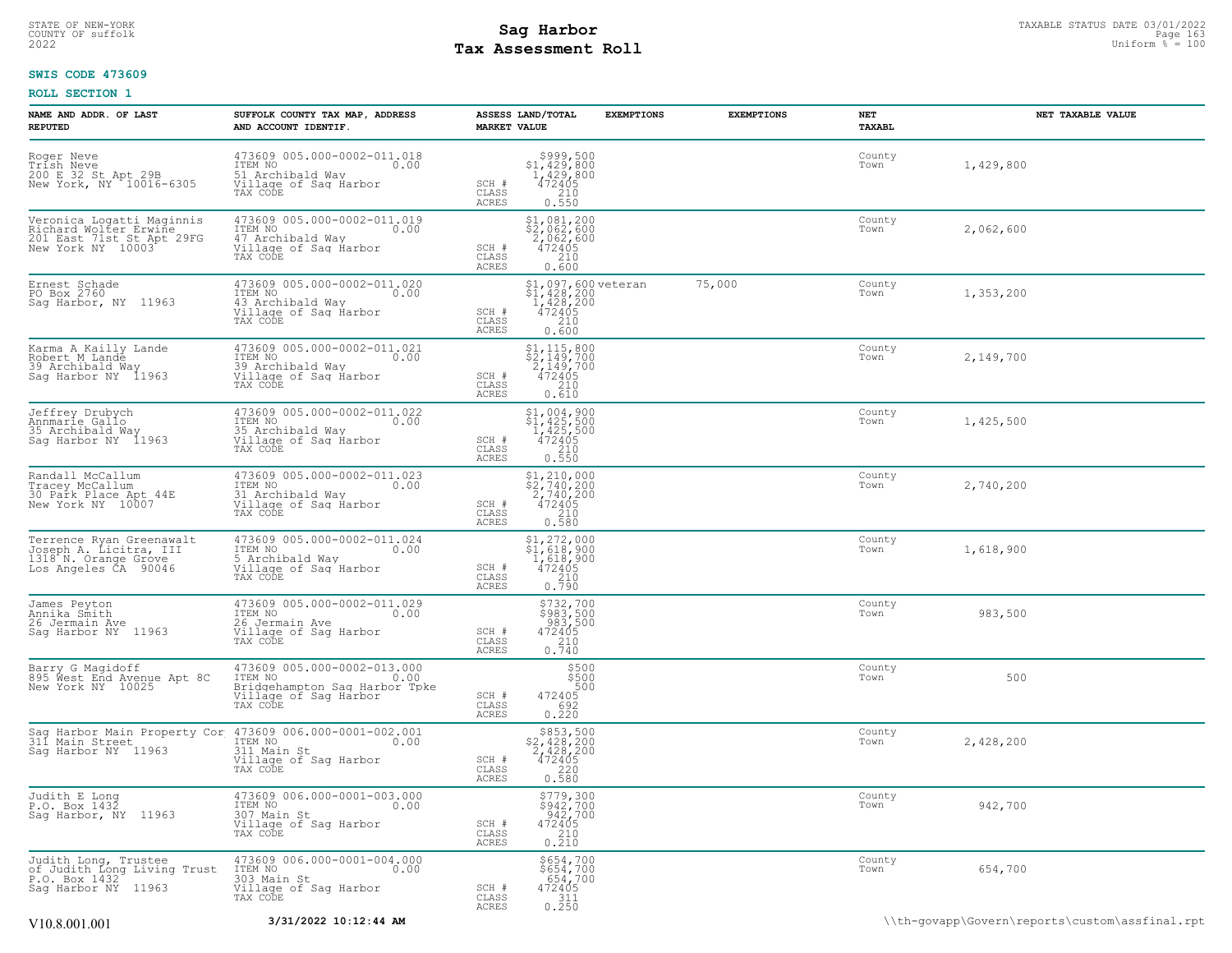# STATE OF NEW-YORK STATUS DATE 03/01/2022<br>
COUNTY OF suffolk **Sag From State of the Sage of All County of Sage 163**<br>
2022 May **Assessment Roll** Page 160 **Tax Assessment Roll**

### **SWIS CODE 473609**

| NAME AND ADDR. OF LAST<br><b>REPUTED</b>                                                             | SUFFOLK COUNTY TAX MAP, ADDRESS<br>AND ACCOUNT IDENTIF.                                                              | <b>MARKET VALUE</b>            | ASSESS LAND/TOTAL                                                                                                                                        | <b>EXEMPTIONS</b> | <b>EXEMPTIONS</b> | NET<br>TAXABL  | NET TAXABLE VALUE |  |
|------------------------------------------------------------------------------------------------------|----------------------------------------------------------------------------------------------------------------------|--------------------------------|----------------------------------------------------------------------------------------------------------------------------------------------------------|-------------------|-------------------|----------------|-------------------|--|
| Roger Neve<br>Trish Neve<br>200 E 32 St Apt 29B<br>New York, NY 10016-6305                           | 473609 005.000-0002-011.018<br>ITEM NO<br>0.00<br>51 Archibald Way<br>Village of Sag Harbor<br>TAX CODE              | SCH #<br>CLASS<br><b>ACRES</b> | $$3999,500\n$1,429,800\n1,429,800\n472405\n210$<br>0.550                                                                                                 |                   |                   | County<br>Town | 1,429,800         |  |
| Veronica Logatti Maginnis<br>violard Wolter Erwine<br>201 East 71st St Apt 29FG<br>New York NY 10003 | 473609 005.000-0002-011.019<br>ITEM NO<br>0.00<br>47 Archibald Wav<br>Village of Sag Harbor<br>TAX CODE              | SCH #<br>CLASS<br><b>ACRES</b> | $\begin{array}{r} \texttt{\$1,081,200} \\ \texttt{\$2,062,600} \\ \texttt{2,062,600} \\ \texttt{472405} \\ \texttt{0.600} \\ \texttt{0.600} \end{array}$ |                   |                   | County<br>Town | 2,062,600         |  |
| Ernest Schade<br>PO Box 2760<br>Saq Harbor, NY 11963                                                 | 473609 005.000-0002-011.020<br>ITEM NO<br>0.00<br>43 Archibald Way<br>Village of Sag Harbor<br>TAX CODE              | SCH #<br>CLASS<br><b>ACRES</b> | $$1,097,600 \text{ veteran}$<br>$$1,428,200$<br>$1,428,200$<br>$472405$<br>$210$<br>0.600                                                                |                   | 75,000            | County<br>Town | 1,353,200         |  |
| Karma A Kailly Lande<br>Robert M Lande<br>39 Archibald Way<br>Sag Harbor NY 11963                    | 473609 005.000-0002-011.021<br>ITEM NO<br>0.00<br>39 Archibald Way<br>Village of Sag Harbor<br>TAX CODE              | SCH #<br>CLASS<br>ACRES        | $\begin{array}{l} 51,115,800 \\ 52,149,700 \\ 2,149,700 \\ 472405 \\ 210 \\ 210 \end{array}$<br>0.610                                                    |                   |                   | County<br>Town | 2,149,700         |  |
| Jeffrey Drubych<br>Annmarie Gallo<br>35 Archibald Way<br>Sag Harbor NY 11963                         | 473609 005.000-0002-011.022<br>ITEM NO 0.00<br>0.00<br>35 Archibald Way<br>Village of Sag Harbor<br>TAX CODE         | SCH #<br>CLASS<br><b>ACRES</b> | $$1,004,900$<br>$$1,425,500$<br>$1,425,500$<br>$472405$<br>$\begin{array}{c} 210 \\ 0.550 \end{array}$                                                   |                   |                   | County<br>Town | 1,425,500         |  |
| Randall McCallum<br>Tracey McCallum<br>30 Park Place Apt 44E<br>New York NY 10007                    | 473609 005.000-0002-011.023<br>ITEM NO<br>0.00<br>31 Archibald Way<br>Village of Sag Harbor<br>TAX CODE              | SCH #<br>CLASS<br>ACRES        | $$2,740,000$<br>$$2,740,200$<br>$2,740,200$<br>$472405$<br>0.580                                                                                         |                   |                   | County<br>Town | 2,740,200         |  |
| Terrence Ryan Greenawalt<br>Joseph A. Licitra, III<br>1318 N. Orange Grove<br>Los Angeles CA 90046   | 473609 005.000-0002-011.024<br>ITEM NO<br>0.00<br>5 Archibald Way<br>Village of Sag Harbor<br>TAX CODE               | SCH #<br>CLASS<br>ACRES        | $$1,272,000$<br>$$1,618,900$<br>1,618,900<br>472405<br>$\frac{210}{0.790}$                                                                               |                   |                   | County<br>Town | 1,618,900         |  |
| James Peyton<br>Annika Smith<br>26 Jermain Ave<br>Sag Harbor NY 11963                                | 473609 005.000-0002-011.029<br>ITEM NO<br>0.00<br>26 Jermain Ave<br>Village of Sag Harbor<br>TAX CODE                | SCH #<br>CLASS<br><b>ACRES</b> | \$732,700<br>\$983,500<br>983,500<br>472405<br>$\frac{210}{0.740}$                                                                                       |                   |                   | County<br>Town | 983,500           |  |
| Barry G Magidoff<br>895 West End Avenue Apt 8C<br>New York NY 10025                                  | 473609 005.000-0002-013.000<br>ITEM NO<br>0.00<br>Dridgehampton Saq Harbor Tpke<br>Village of Sag Harbor<br>TAX CODE | SCH #<br>CLASS<br>ACRES        | \$500<br>\$500<br>500<br>472405<br>692<br>0.220                                                                                                          |                   |                   | County<br>Town | 500               |  |
| Sag Harbor Main Property Cor 473609 006.000-0001-002.001<br>311 Main Street<br>Saq Harbor NY 11963   | 311 Main St<br>Village of Sag Harbor<br>TAX CODE                                                                     | SCH #<br>CLASS<br><b>ACRES</b> | $$853,500$<br>$$2,428,200$<br>$2,428,200$<br>$472405$<br>0.580                                                                                           |                   |                   | County<br>Town | 2,428,200         |  |
| Judith E Long<br>P.O. Box 1432<br>Sag Harbor, NY 11963                                               | 473609 006.000-0001-003.000<br>TTEM NO 0.00<br>0.00<br>307 Main St<br>Village of Sag Harbor<br>TAX CODE              | SCH #<br>CLASS<br><b>ACRES</b> | \$779,300<br>\$942,700<br>942,700<br>472405<br>$\frac{210}{0.210}$                                                                                       |                   |                   | County<br>Town | 942,700           |  |
| Judith Long, Trustee<br>of Judith Long Living Trust<br>P.O. Box 1432<br>Sag Harbor NY 11963          | $473609006.000-0001-004.000$<br>ITEM NO<br>303 Main St<br>Village of Sag Harbor<br>TAX CODE                          | SCH #<br>CLASS<br><b>ACRES</b> | \$654,700<br>\$654,700<br>654,700<br>472405<br>311<br>0.250                                                                                              |                   |                   | County<br>Town | 654,700           |  |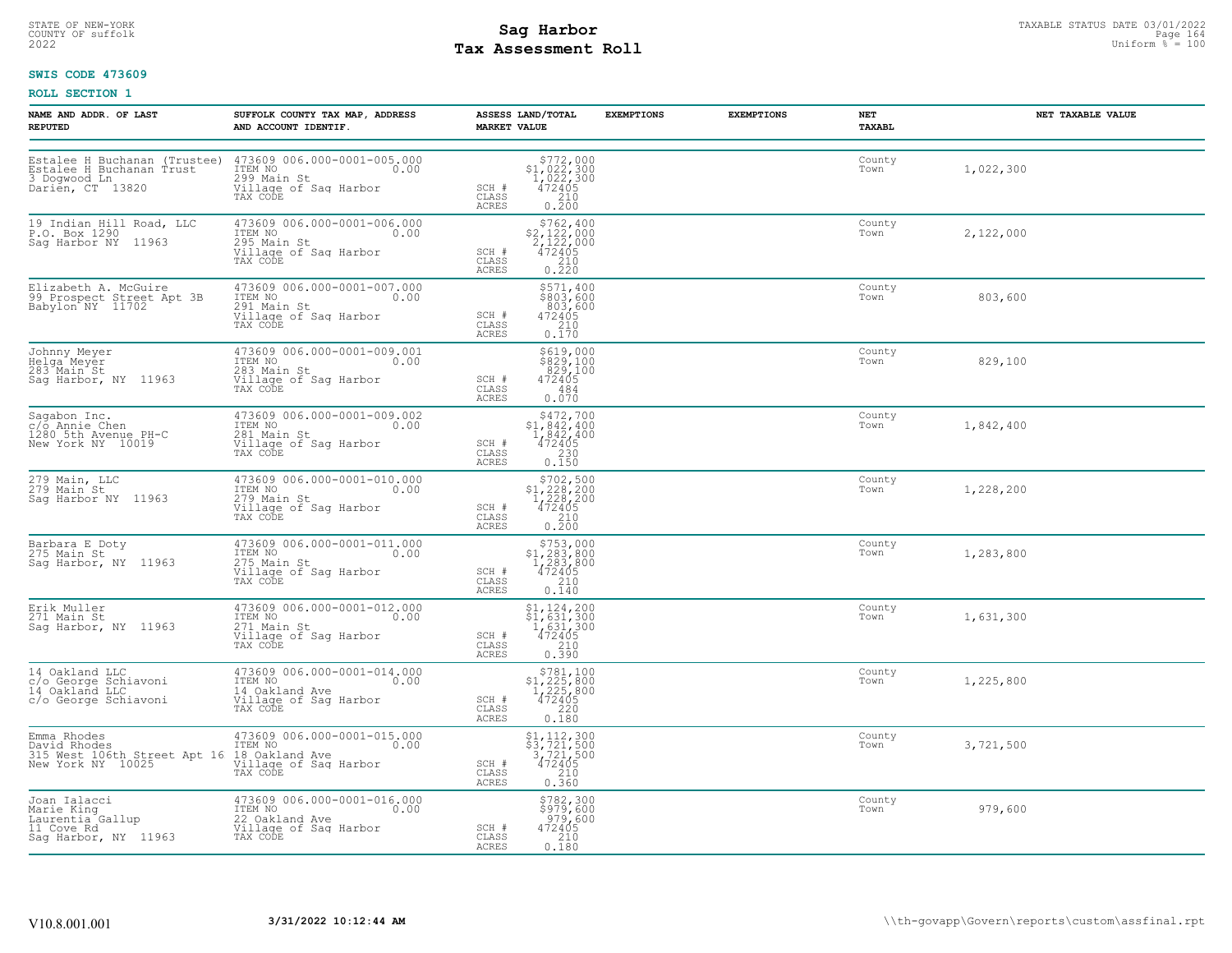# STATE OF NEW-YORK STATUS DATE 03/01/2022<br>
COUNTY OF suffolk **Sag From State of the Sage In the Sage 164 Mage 164**<br>
2022 Mage **Pay Assessment Roll** Page 160 **Tax Assessment Roll**

### **SWIS CODE 473609**

| NAME AND ADDR. OF LAST<br><b>REPUTED</b>                                                                                                                   | SUFFOLK COUNTY TAX MAP, ADDRESS<br>AND ACCOUNT IDENTIF.                                                                                                                                                                      | ASSESS LAND/TOTAL<br><b>MARKET VALUE</b>                                                                                                                                                          | <b>EXEMPTIONS</b> | <b>EXEMPTIONS</b> | NET<br>TAXABL  | NET TAXABLE VALUE |
|------------------------------------------------------------------------------------------------------------------------------------------------------------|------------------------------------------------------------------------------------------------------------------------------------------------------------------------------------------------------------------------------|---------------------------------------------------------------------------------------------------------------------------------------------------------------------------------------------------|-------------------|-------------------|----------------|-------------------|
|                                                                                                                                                            | Estalee H Buchanan (Trustee) 473609 006.000-0001-005.000<br>Estalee H Buchanan Trust ITEM NO 0.00<br>3 Dogwood Ln 299 Main St<br>Darien, CT 13820 Village of Sag Harbor<br>TAX CODE<br>TAX CODE                              | $\begin{array}{r} $772,000$ \\ $1,022,300$ \\ $1,022,300$ \\ $472405$ \\ $210$ \end{array}$<br>SCH #<br>CLASS<br>0.200<br>ACRES                                                                   |                   |                   | County<br>Town | 1,022,300         |
| 19 Indian Hill Road, LLC<br>P.O. Box 1290<br>Sag Harbor NY 11963                                                                                           | 473609 006.000-0001-006.000<br>TTEM NO<br>295 Main St<br>Village of Saq Harbor<br>TAX CODE                                                                                                                                   | $\begin{array}{r}  \  \  \, 5762,400 \\  \  \, 2,122,000 \\  \  \, 2,122,000 \\  \  \, 472405 \\  \  \, 210 \\  \  \, 0.220 \end{array}$<br>SCH #<br>CLASS<br>ACRES                               |                   |                   | County<br>Town | 2,122,000         |
| Elizabeth A. McGuire<br>99 Prospect Street Apt 3B<br>Babylon NY 11702                                                                                      | 473609 006.000-0001-007.000<br>ITEM NO<br>291 Main St 0.00<br>Village of Saq Harbor<br>TAX CODE                                                                                                                              | \$571,400<br>\$803,600<br>803,600<br>SCH #<br>472405<br>CLASS<br>$\frac{210}{0.170}$<br>ACRES                                                                                                     |                   |                   | County<br>Town | 803,600           |
| Johnny Meyer<br>Helga Meyer<br>283 Main St<br>Sag Harbor, NY 11963                                                                                         | 473609 006.000-0001-009.001<br>ITEM NO 0.00<br>283 Main St<br>Village of Sag Harbor<br>TAX CODE                                                                                                                              | \$619,000<br>\$829,100<br>829,100<br>472405<br>SCH #<br>CLASS<br>484<br>0.070<br>ACRES                                                                                                            |                   |                   | County<br>Town | 829,100           |
| Sagabon Inc.<br>c/o Annie Chen<br>1280 5th Avenue PH-C<br>New York NY 10019                                                                                | 473609 006.000-0001-009.002<br>ITEM NO 0.00<br>281 Main St 0.00<br>Village of Sag Harbor<br>TAX CODE                                                                                                                         | $\begin{array}{r}  \  \  \, 5472,700 \\  \  \, 51,842,400 \\  \  \, 1,842,400 \\  \  \, 472405 \\  \  \, 230 \\  \  \, 0.150 \end{array}$<br>SCH #<br>CLASS<br>ACRES                              |                   |                   | County<br>Town | 1,842,400         |
| 279 Main, LLC<br>279 Main St<br>Saq Harbor NY 11963                                                                                                        | 473609 006.000-0001-010.000<br>ITEM NO<br>279 Main St 0.00<br>ITER NO<br>279 Main St<br>Village of Saq Harbor<br>TAX CODE                                                                                                    | $\begin{array}{r} 5702, 500 \\ 51, 228, 200 \\ 1, 228, 200 \\ 472405 \\ 210 \\ 0.200 \end{array}$<br>SCH #<br>CLASS<br>ACRES                                                                      |                   |                   | County<br>Town | 1,228,200         |
| Barbara E Doty<br>275 Main St<br>Sag Harbor, NY 11963                                                                                                      | 473609 006.000-0001-011.000<br>ITEM NO<br>275 Main St<br>Willage of Saq Harbor<br>TAX CODE                                                                                                                                   | $$753,000$<br>$$1,283,800$<br>$1,283,800$<br>$472405$<br>SCH #<br>CLASS<br>210<br>ACRES<br>0.140                                                                                                  |                   |                   | County<br>Town | 1,283,800         |
| Erik Muller<br>271 Main St<br>Sag Harbor, NY 11963                                                                                                         | 473609 006.000-0001-012.000<br>ITEM NO<br>271 Main St 0.00<br>Village of Sag Harbor<br>TAX CODE                                                                                                                              | $\begin{array}{l} $1,124,200\\ $1,631,300\\ $1,631,300\\ $472405\\ $210\\ $210 \end{array}$<br>SCH #<br>CLASS<br>ACRES<br>0.390                                                                   |                   |                   | County<br>Town | 1,631,300         |
| 14 Oakland LLC<br>c/o George Schiavoni<br>14 Oakland LLC<br>c/o George Schiavoni                                                                           | 473609 006.000-0001-014.000<br>ITEM NO 0.00<br>14.0akland Ave<br>Village of Sag Harbor<br>TAX CODE                                                                                                                           | \$781,100<br>\$1,225,800<br>1,225,800<br>472405<br>SCH #<br>CLASS<br>$\begin{array}{c} 220 \\ 0.180 \end{array}$<br>ACRES                                                                         |                   |                   | County<br>Town | 1,225,800         |
| Emma Rhodes<br>David Rhodes<br>Emma Aniverse ITEM NO<br>315 West 106th Street Apt 16 18 Oakland Ave<br>New York NY 10025 Village of Saq Harbor<br>TAX CODE | 473609 006.000-0001-015.000<br>ITEM NO 0.00                                                                                                                                                                                  | $\begin{array}{r} \texttt{\$1,112,300}\ \texttt{\$3,721,500}\ \texttt{\$3,721,500}\ \texttt{\$72405}\ \texttt{\$472405}\ \texttt{\$10}\ \texttt{\$0.360}\ \end{array}$<br>SCH #<br>CLASS<br>ACRES |                   |                   | County<br>Town | 3,721,500         |
|                                                                                                                                                            | Joan Ialacci (173609 006.000-0001-016.000<br>Marie King (1788 North Caurentia Gallup (1898 1720 A)<br>Laurentia Gallup (1898 220 Oakland Ave 11 Cove Rd<br>11 Cove Rd (111aqe of Saq Harbor<br>Sag Harbor, NY 11963 TAX CODE | $$782,300$<br>$$979,600$<br>$979,600$<br>$472405$<br>$210$<br>SCH #<br>CLASS<br>0.180<br>ACRES                                                                                                    |                   |                   | County<br>Town | 979,600           |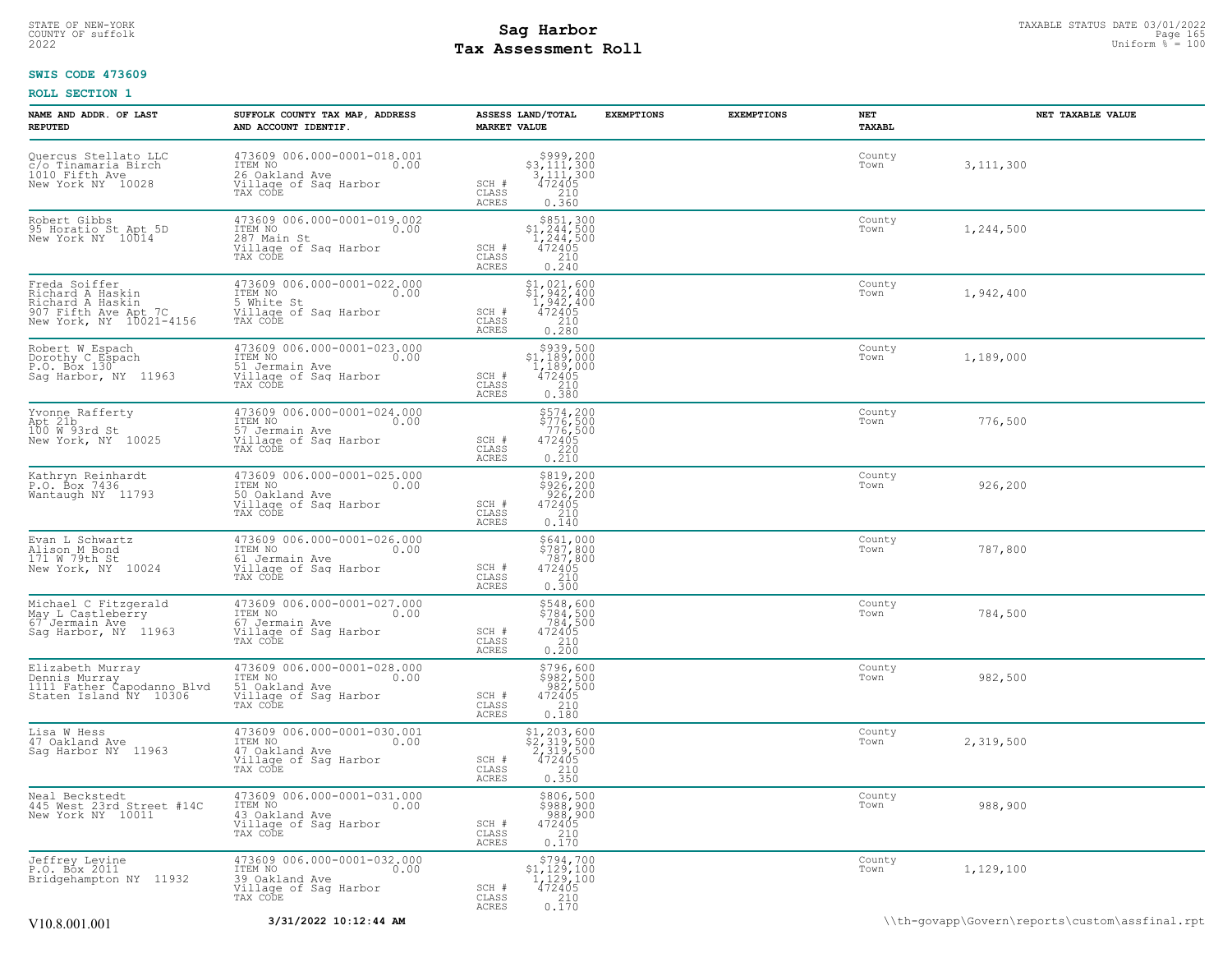# STATE OF NEW-YORK STATUS DATE 03/01/2022<br>
COUNTY OF suffolk **Sag From the Sag State of Taxable State Page 165**<br>
2022 Man Duiform % = 100 **Tax Assessment Roll**

### **SWIS CODE 473609**

| NAME AND ADDR. OF LAST<br><b>REPUTED</b>                                                                 | SUFFOLK COUNTY TAX MAP, ADDRESS<br>AND ACCOUNT IDENTIF.                                                                                             | ASSESS LAND/TOTAL<br><b>EXEMPTIONS</b><br><b>MARKET VALUE</b>                                                                                                   | <b>EXEMPTIONS</b> | NET<br><b>TAXABL</b> | NET TAXABLE VALUE |
|----------------------------------------------------------------------------------------------------------|-----------------------------------------------------------------------------------------------------------------------------------------------------|-----------------------------------------------------------------------------------------------------------------------------------------------------------------|-------------------|----------------------|-------------------|
| Quercus Stellato LLC<br>C/o Tinamaria Birch<br>1010 Fifth Ave<br>New York NY 10028                       | 473609 006.000-0001-018.001<br>ITEM NO 0081<br>26 Oakland Ave 0.00<br>Village of Saq Harbor<br>TAX CODE                                             | $$3,111,300$<br>$$3,111,300$<br>$$472405$<br>$$210$<br>SCH #<br>CLASS<br>ACRES<br>0.360                                                                         |                   | County<br>Town       | 3, 111, 300       |
| Robert Gibbs<br>95 Horatio St Apt 5D<br>New York NY 10014                                                | 473609 006.000-0001-019.002<br>ITEM NO<br>0.00<br>0.00<br>0.00<br>0.00<br>287 Main St<br>Village of Sag Harbor<br>Tillage of Sag Harbor<br>TAX CODE | \$851,300<br>$$^{1,244,500}_{1,244,500}_{472405}$<br>SCH #<br>CLASS<br>0.240<br>ACRES                                                                           |                   | County<br>Town       | 1,244,500         |
| Freda Soiffer<br>Richard A Haskin<br>Richard A Haskin<br>907 Fifth Ave Apt 7C<br>New York, NY 10021-4156 | 473609 006.000-0001-022.000<br>TTEM NO<br>F White St 0.00<br>5 White St<br>Village of Sag Harbor<br>TAX CODE                                        | $\begin{array}{r} \texttt{\$1,021,600} \\ \texttt{\$1,942,400} \\ 1,942,400 \\ 472405 \\ 210 \\ 0.280 \end{array}$<br>SCH #<br>$\mathtt{CLASS}$<br><b>ACRES</b> |                   | County<br>Town       | 1,942,400         |
| Robert W Espach<br>Dorothy C Espach<br>P.O. Box 130<br>Sag Harbor, NY 11963                              | 473609 006.000-0001-023.000<br>ITEM NO 0.00<br>51 Jermain Ave 0.00<br>Tim No<br>51 Jermain Ave<br>Village of Sag Harbor<br>TAX CODE                 | $$939,500$<br>$$1,189,000$<br>$1,189,000$<br>$472405$<br>210<br>SCH #<br>CLASS<br>ACRES<br>0.380                                                                |                   | County<br>Town       | 1,189,000         |
| Yvonne Rafferty<br>Apt 21b<br>100 W 93rd St<br>New York, NY 10025                                        | 473609 006.000-0001-024.000<br>ITEM NO 0.00<br>57 Iommain Avo 0.00<br>ITEN NO<br>57 Jermain Ave<br>Village of Sag Harbor<br>TAX CODE                | \$574,200<br>\$776,500<br>776,500<br>472405<br>220<br>0.210<br>SCH #<br>CLASS<br>ACRES                                                                          |                   | County<br>Town       | 776,500           |
| Kathryn Reinhardt<br>P.O. Box 7436<br>Wantaugh NY 11793                                                  | 473609 006.000-0001-025.000<br>TIEM NO<br>50 Oakland Ave<br>50 Oakland Ave<br>Village of Sag Harbor<br>TAX CODE                                     | \$819,200<br>\$926,200<br>926,200<br>SCH #<br>$472405$<br>210<br>CLASS<br>0.140<br>ACRES                                                                        |                   | County<br>Town       | 926,200           |
| Evan L Schwartz<br>Alison M Bond<br>171 W 79th St<br>New York, NY 10024                                  | 473609 006.000-0001-026.000<br>ITEM NO<br>61 Jermain Ave 0.00<br>Village of Saq Harbor<br>TAX CODE                                                  | \$641,000<br>\$787,800<br>787,800<br>SCH #<br>$\frac{472405}{210}$<br>CLASS<br>0.300<br>ACRES                                                                   |                   | County<br>Town       | 787,800           |
| Michael C Fitzgerald<br>May L Castleberry<br>67 Jermain Ave<br>Sag Harbor, NY 11963                      | 473609 006.000-0001-027.000<br>ITEM NO<br>67 Jermain Ave 0.00<br>Willage of Saq Harbor<br>TAX CODE                                                  | \$548,600<br>\$784,500<br>784,500<br>SCH #<br>$\frac{472405}{210}$<br>CLASS<br>ACRES<br>0.200                                                                   |                   | County<br>Town       | 784,500           |
| Elizabeth Murray<br>Dennis Murray<br>1111 Father Capodanno Blvd<br>Staten Island NY 10306                | 473609 006.000-0001-028.000<br>ITEM NO<br>51 Oakland Ave 0.00<br>Willage of Sag Harbor<br>TAX CODE                                                  | \$796,600<br>\$982,500<br>982,500<br>SCH #<br>472405<br>210<br>CLASS<br>ACRES<br>0.180                                                                          |                   | County<br>Town       | 982,500           |
| Lisa W Hess<br>47 Oakland Ave<br>Sag Harbor NY 11963                                                     | 473609 006.000-0001-030.001<br>1TEM NO<br>47 Oakland Ave 0.00<br>Village of Sag Harbor<br>TAX CODE                                                  | $$1, 203, 600$<br>$$2, 319, 500$<br>$2, 319, 500$<br>472405<br>SCH #<br>CLASS<br>210<br>0.350<br>ACRES                                                          |                   | County<br>Town       | 2,319,500         |
| Neal Beckstedt<br>445 West 23rd Street #14C<br>New York NY 10011                                         | 473609 006.000-0001-031.000<br>ITEM NO 0.00<br>43.Qakland Ave<br>Village of Sag Harbor<br>TAX CODE                                                  | \$806,500<br>\$988,900<br>988,900<br>SCH #<br>472405<br>CLASS<br>210<br>ACRES<br>0.170                                                                          |                   | County<br>Town       | 988,900           |
| Jeffrey Levine<br>P.O. Box 2011<br>Bridgehampton NY 11932                                                | 473609 006.000-0001-032.000<br>ITEM NO 0.00<br>39 Oakland Ave 0.00<br>Village of Sag Harbor<br>TAX CODE                                             | $$794,700$<br>$$1,129,100$<br>$1,129,100$<br>SCH #<br>472405<br>CLASS<br>210<br>$0.\bar{1}\bar{7}\bar{0}$<br>ACRES                                              |                   | County<br>Town       | 1,129,100         |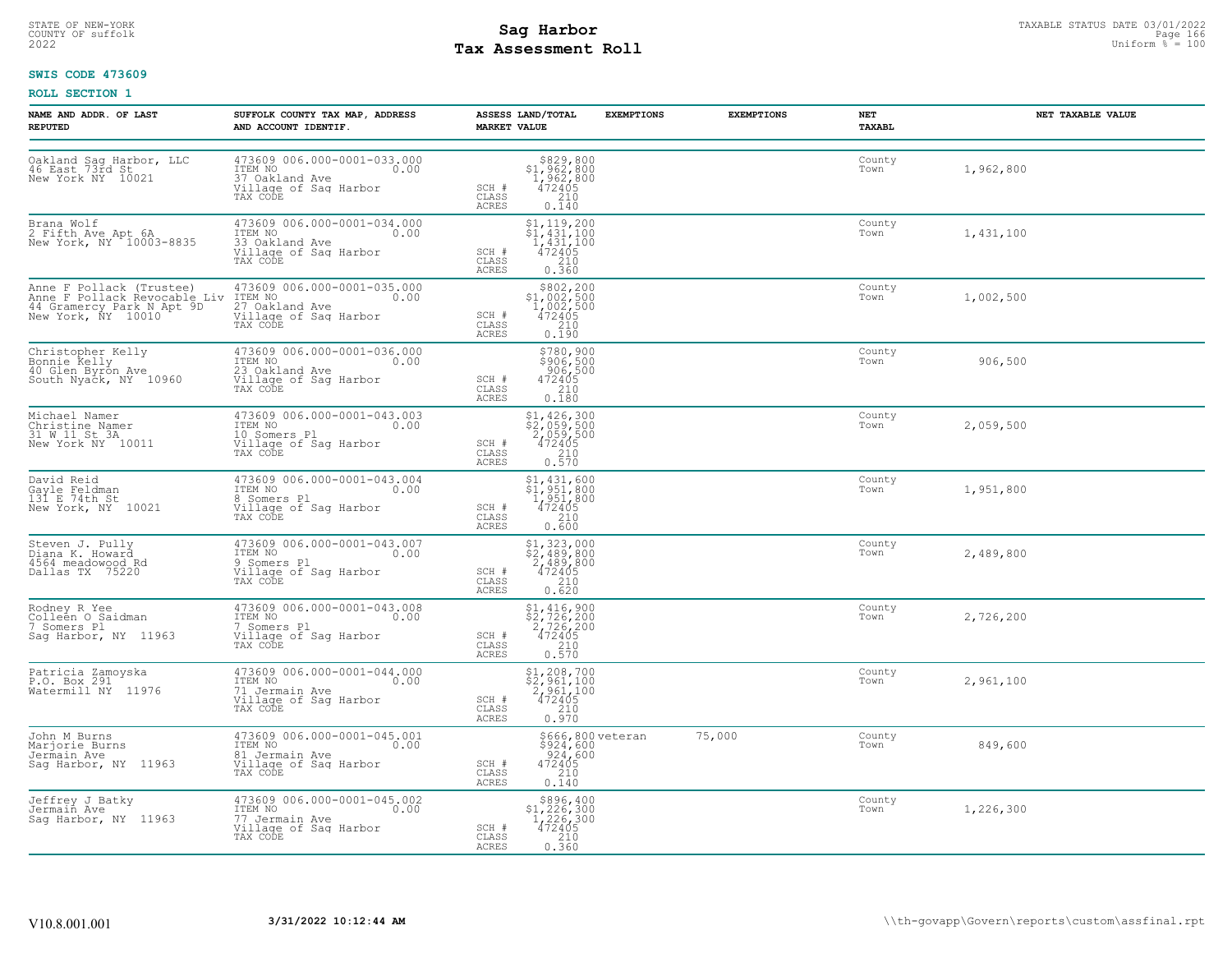# STATE OF NEW-YORK STATUS DATE 03/01/2022<br>
COUNTY OF suffolk **Sag From State of the Sage International Page 166**<br>
2022 Man Duiform % = 100 **Tax Assessment Roll**

### **SWIS CODE 473609**

| <b>NAME AND ADDR. OF LAST</b><br><b>REPUTED</b>                                                             | SUFFOLK COUNTY TAX MAP, ADDRESS<br>AND ACCOUNT IDENTIF.                                                                                         | ASSESS LAND/TOTAL<br><b>MARKET VALUE</b>                                                                                                            | <b>EXEMPTIONS</b> | <b>EXEMPTIONS</b> | NET<br>TAXABL  | NET TAXABLE VALUE |
|-------------------------------------------------------------------------------------------------------------|-------------------------------------------------------------------------------------------------------------------------------------------------|-----------------------------------------------------------------------------------------------------------------------------------------------------|-------------------|-------------------|----------------|-------------------|
| Oakland Sag Harbor, LLC<br>46 East 73rd St<br>New York NY 10021                                             | 473609 006.000-0001-033.000<br>ITEM NO<br>0.00<br>37 Oakland Ave<br>Village of Sag Harbor<br>TAX CODE                                           | $$829,800$<br>$$1,962,800$<br>$1,962,800$<br>$472405$<br>SCH #<br>210<br>CLASS<br>0.140<br>ACRES                                                    |                   |                   | County<br>Town | 1,962,800         |
| Brana Wolf<br>2 Fifth Ave Apt 6A<br>New York, NY 10003-8835                                                 | 473609 006.000-0001-034.000<br>ITEM NO<br>0.00<br>33 Oakland Ave<br>Village of Sag Harbor<br>TAX CODE                                           | $$1, 119, 200$<br>$$1, 431, 100$<br>$1, 431, 100$<br>$472405$<br>SCH #<br>210<br>CLASS<br>ACRES<br>0.360                                            |                   |                   | County<br>Town | 1,431,100         |
| Anne F Pollack (Trustee)<br>Anne F Pollack Revocable Liv<br>44 Gramercy Park N Apt 9D<br>New York, NY 10010 | 473609 006.000-0001-035.000<br>ITEM NO 0.00<br>27 Oakland Ave<br>Village of Sag Harbor<br>TAX CODE                                              | $\begin{array}{r} $802,200\\ $1,002,500\\ 1,002,500\\ 472405 \end{array}$<br>SCH #<br>CLASS<br>$\begin{array}{c} 210 \\ 0.190 \end{array}$<br>ACRES |                   |                   | County<br>Town | 1,002,500         |
| Christopher Kelly<br>Bonnie Kelly<br>40 Glen Byron Ave<br>South Nyack, NY 10960                             | $\begin{array}{cccc} 473609 & 006.000-0001-036.000 \\ \text{ITEM NO} & 0.00 \end{array}$<br>23 Oakland Ave<br>Village of Sag Harbor<br>TAX CODE | \$780,900<br>\$206,500<br>906,500<br>SCH #<br>472405<br>CLASS<br>0.180<br>ACRES                                                                     |                   |                   | County<br>Town | 906,500           |
| Michael Namer<br>Christine Namer<br>31 W 11 St 3A<br>New York NY 10011                                      | 473609 006.000-0001-043.003<br>ITEM NO<br>0.00<br>10 Somers Pl<br>Village of Sag Harbor<br>TAX CODE                                             | \$1,426,300<br>$\frac{2}{2}$ , $\frac{759}{059}$ , 500<br>2, 059, 500<br>472405<br>210<br>SCH #<br>$\mathtt{CLASS}$<br>0.570<br>ACRES               |                   |                   | County<br>Town | 2,059,500         |
| David Reid<br>Gayle Feldman<br>131 E 74th St<br>New York, NY 10021                                          | 473609 006.000-0001-043.004<br>ITEM NO<br>0.00<br>8 Somers Pl<br>Village of Sag Harbor<br>TAX CODE                                              | $\begin{array}{l} $1,431,600 \ $1,951,800 \ $1,951,800 \ $472405 \ $210 \end{array}$<br>SCH #<br>CLASS<br><b>ACRES</b><br>0.600                     |                   |                   | County<br>Town | 1,951,800         |
| Steven J. Pully<br>Diana K. Howard<br>4564 meadowood Rd<br>Dallas TX 75220                                  | 473609 006.000-0001-043.007<br>TTEM NO 0.00<br>9 Somers Pl<br>Village of Sag Harbor<br>TAX CODE                                                 | $$2,489,800$<br>$$2,489,800$<br>$2,489,800$<br>$472405$<br>SCH #<br>CLASS<br>210<br>ACRES<br>0.620                                                  |                   |                   | County<br>Town | 2,489,800         |
| Rodney R Yee<br>Colleen O Saidman<br>7 Somers Pl<br>Sag Harbor, NY 11963                                    | 473609 006.000-0001-043.008<br>ITEM NO<br>0.00<br>7 Somers Pl<br>Village of Sag Harbor<br>TAX CODE                                              | $$2, 726, 200$<br>$$2, 726, 200$<br>$472405$<br>$$210$<br>SCH #<br>CLASS<br>0.570<br>ACRES                                                          |                   |                   | County<br>Town | 2,726,200         |
| Patricia Zamoyska<br>P.O. Box 291<br>Watermill NY 11976                                                     | 473609 006.000-0001-044.000<br>ITEM NO<br>0.00<br>71 Jermain Ave<br>Village of Sag Harbor<br>TAX CODE                                           | $$1,208,700$<br>$$2,961,100$<br>2,961,100<br>472405<br>SCH #<br>$\begin{array}{c} 210 \\ 0.970 \end{array}$<br>CLASS<br><b>ACRES</b>                |                   |                   | County<br>Town | 2,961,100         |
| John M Burns<br>Marjorie Burns<br>Jermain Ave<br>Sag Harbor, NY 11963                                       | 473609 006.000-0001-045.001<br>TTEM NO 0.00<br>81 Jermain Ave<br>Village of Sag Harbor<br>TAX CODE                                              | \$924,600<br>924,600<br>SCH #<br>$\begin{array}{r} 472405 \\ 210 \\ 0.140 \end{array}$<br>CLASS<br>ACRES                                            | \$666,800 veteran | 75,000            | County<br>Town | 849,600           |
| Jeffrey J Batky<br>Jermain Ave<br>Sag Harbor, NY 11963                                                      | 473609 006.000-0001-045.002<br>ITEM NO<br>0.00<br>77 Jermain Ave<br>Village of Sag Harbor<br>TAX CODE                                           | $$896, 400$<br>$$1, 226, 300$<br>$1, 226, 300$<br>$472405$<br>$$210$<br>SCH #<br>CLASS<br>ACRES<br>0.360                                            |                   |                   | County<br>Town | 1,226,300         |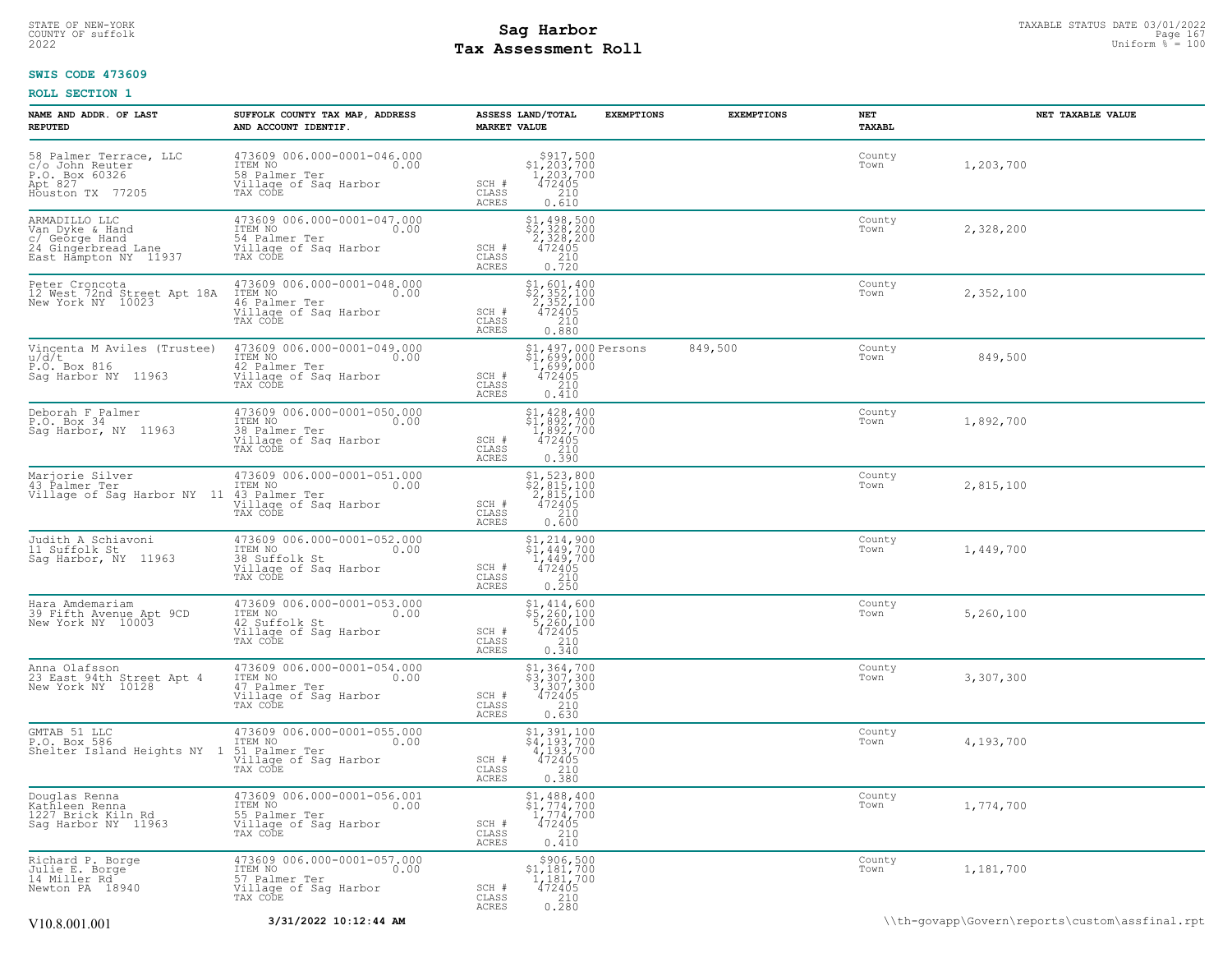# STATE OF NEW-YORK STATUS DATE 03/01/2022<br>
COUNTY OF suffolk **Sag From State Page 167**<br>
2022 Pay Assessment Roll **Tax Assessment Roll**

### **SWIS CODE 473609**

| NAME AND ADDR. OF LAST<br><b>REPUTED</b>                                                           | SUFFOLK COUNTY TAX MAP, ADDRESS<br>AND ACCOUNT IDENTIF.                                                                                                   | ASSESS LAND/TOTAL<br><b>MARKET VALUE</b> | <b>EXEMPTIONS</b>                                                                                                           | <b>EXEMPTIONS</b> | NET<br>TAXABL  | NET TAXABLE VALUE |
|----------------------------------------------------------------------------------------------------|-----------------------------------------------------------------------------------------------------------------------------------------------------------|------------------------------------------|-----------------------------------------------------------------------------------------------------------------------------|-------------------|----------------|-------------------|
| 58 Palmer Terrace, LLC<br>c/o John Reuter<br>P.O. Box 60326<br>Apt 827<br>Houston TX 77205         | 473609 006.000-0001-046.000<br>ITEM NO<br>58 Palmer Ter 0.00<br>Willage of Saq Harbor<br>TAX CODE                                                         | SCH #<br>CLASS<br>ACRES                  | $\begin{array}{r} $917,500 \\ $1,203,700 \\ $1,203,700 \\ $472405 \\ $210 \end{array}$<br>0.610                             |                   | County<br>Town | 1,203,700         |
| ARMADILLO LLC<br>Van Dyke & Hand<br>C/ George Hand<br>24 Gingerbread Lane<br>East Hampton NY 11937 | 473609 006.000-0001-047.000<br>TTEM NO<br>54 Palmer Ter 0.00<br>Village of Sag Harbor<br>TAX CODE                                                         | SCH #<br>CLASS<br>ACRES                  | $\begin{array}{r} \texttt{\$1,\$4\,98,\$5\,00}\\ \texttt{\$2,\$2\,8\,2\,00}\\ 2,328,200\\ 472405\\ 210\\ 0.720 \end{array}$ |                   | County<br>Town | 2,328,200         |
|                                                                                                    | Peter Croncota (173609 006.000-0001-048.000<br>12 West 72nd Street Apt 18A ITEM NO<br>New York NY 10023 (1810)<br>Village of Sag Harbor<br>TAX CODE       | SCH #<br>CLASS<br>ACRES                  | $\begin{array}{r} $1,601,400 \ $2,352,100 \ $2,352,100 \ $472405 \ $210 \ 2210 \end{array}$<br>0.880                        |                   | County<br>Town | 2,352,100         |
| $\overline{P}$ , $\overline{O}$ , $\overline{B}$ ox 816<br>Sag Harbor NY 11963                     | Vincenta M Aviles (Trustee) $473609\ 006.000-0001-049.000$<br>$u/d/t$ (0.00<br>P.O. Box 816<br>Village of Saq Harbor<br>Village of Saq Harbor<br>TAX CODE | SCH #<br>CLASS<br>ACRES                  | $$^{1}_{21},^{497},^{000}$ Persons<br>$$^{1}_{1699},^{699},^{000}$<br>$$^{472405}_{210}$<br>0.410                           | 849,500           | County<br>Town | 849,500           |
| Deborah F Palmer<br>P.O. Box 34<br>Sag Harbor, NY 11963                                            | 473609 006.000-0001-050.000<br>ITEM NO 0.00<br>38 Palmer Ter<br>Village of Sag Harbor<br>TAX CODE                                                         | SCH #<br>CLASS<br>ACRES                  | $$1,428,400$<br>$$1,892,700$<br>$1,892,700$<br>$472405$<br>$210$<br>0.390                                                   |                   | County<br>Town | 1,892,700         |
|                                                                                                    | Marjorie Silver 473609 006.000-0001-051.000<br>43 Palmer Ter 1 11 43 Palmer Ter 0.00<br>Village of Sag Harbor NY 11 43 Palmer Ter 10.00<br>TAX CODE       | SCH #<br>CLASS<br>ACRES                  | $$2,815,100$<br>$$2,815,100$<br>$2,815,100$<br>$472405$<br>$$210$<br>0.600                                                  |                   | County<br>Town | 2,815,100         |
| Judith A Schiavoni<br>11 Suffolk St<br>Sag Harbor, NY 11963                                        | 473609 006.000-0001-052.000<br>ITEM NO<br>38 Suffolk St 0.00<br>Village of Saq Harbor<br>TAX CODE                                                         | SCH #<br>CLASS<br>ACRES                  | $\begin{array}{r} $1,214,900 \\ $1,449,700 \\ $1,449,700 \\ $472405 \\ $210 \\ 0.250 \end{array}$                           |                   | County<br>Town | 1,449,700         |
| Hara Amdemariam<br>39 Fifth Avenue Apt 9CD<br>New York NY 10003                                    | 473609 006.000-0001-053.000<br>ITEM NO<br>42 Suffolk St 0.00<br>Willage of Saq Harbor<br>TAX CODE                                                         | SCH #<br>CLASS<br>ACRES                  | $$5, 260, 100$<br>$$5, 260, 100$<br>$$72405$<br>$$210$<br>0.340                                                             |                   | County<br>Town | 5,260,100         |
| Anna Olafsson<br>23 East 94th Street Apt 4<br>New York NY 10128                                    | 473609 006.000-0001-054.000<br>ITEM NO<br>47 Palmer Ter 0.00<br>Willage of Sag Harbor<br>TAX CODE                                                         | SCH #<br>CLASS<br>ACRES                  | \$1,364,700<br>\$3,307,300<br>3,307,300<br>472405<br>210<br>0.630                                                           |                   | County<br>Town | 3,307,300         |
|                                                                                                    | GMTAB 51 LLC 473609 006.000-0001-055.000<br>P.O. Box 586 ITEM NO 1.000 Shelter Island Heights NY 1 51. Palmer Ter<br>Village of Sag Harbor<br>TAX CODE    | SCH #<br>CLASS<br>ACRES                  | \$1,391,100<br>\$4,193,700<br>4,193,700<br>472405<br>210<br>0.380                                                           |                   | County<br>Town | 4,193,700         |
| Douglas Renna<br>Kathleen Renna<br>1227 Brick Kiln Rd<br>Sag Harbor NY 11963                       | 473609 006.000-0001-056.001<br>ITEM NO 0.00<br>55 Palmer Ter<br>Village of Sag Harbor<br>TAX CODE                                                         | SCH #<br>CLASS<br>ACRES                  | $$1,488,400$<br>$$1,774,700$<br>$1,774,700$<br>$\begin{array}{r} 472405 \\ 210 \end{array}$<br>0.410                        |                   | County<br>Town | 1,774,700         |
| Richard P. Borge<br>Julie E. Borge<br>14 Miller Rd<br>Newton PA 18940                              | 473609 006.000-0001-057.000<br>ITEM NO 0.00<br>57 Palmer Ter<br>Village of Sag Harbor<br>TAX CODE                                                         | SCH #<br>CLASS<br>ACRES                  | $\substack{ \\ \$1,181,700 \\ 1,181,700 \\ \ }$<br>$472405$<br>210<br>0.280                                                 |                   | County<br>Town | 1,181,700         |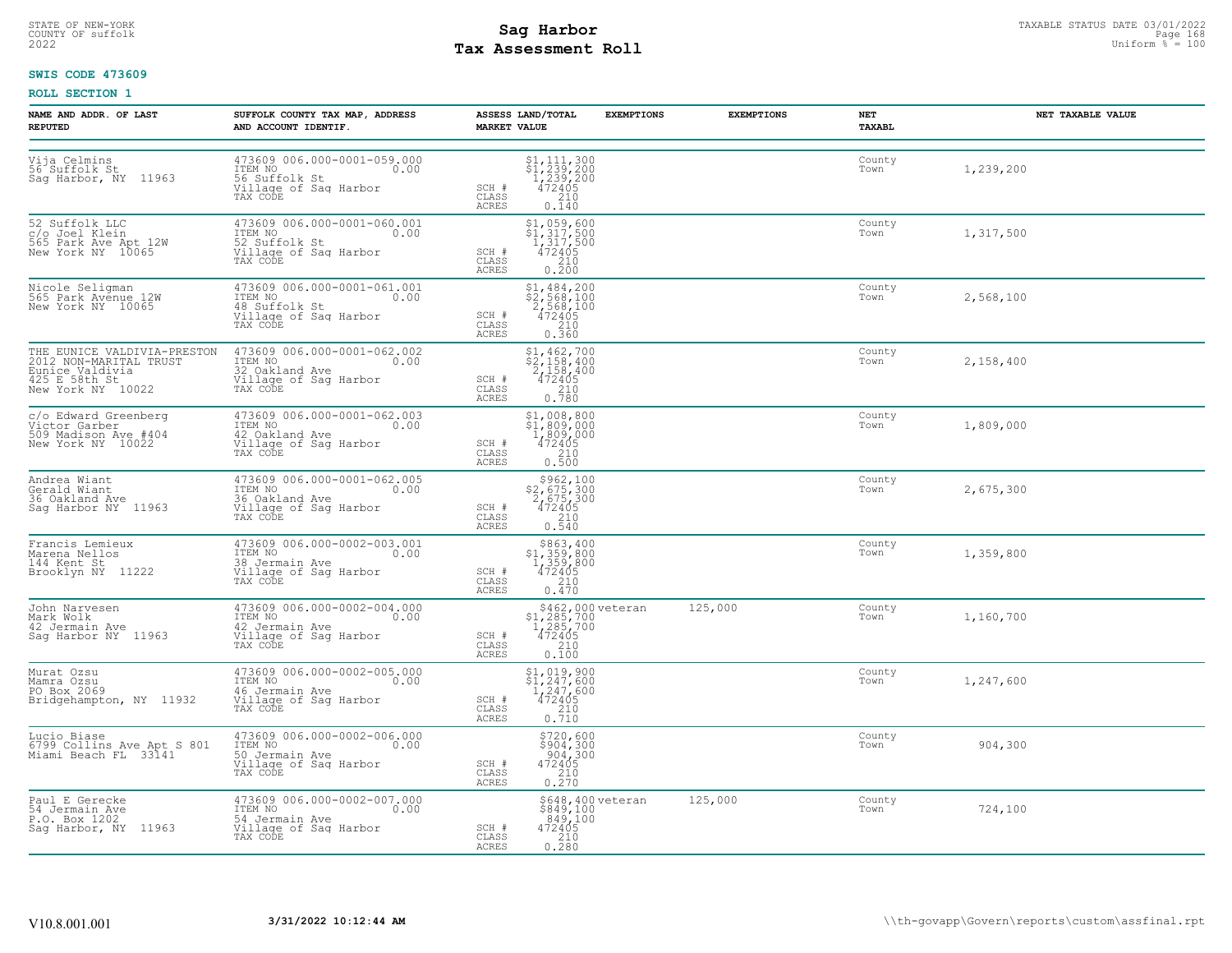# STATE OF NEW-YORK STATUS DATE 03/01/2022<br>
COUNTY OF suffolk **Sag From State 168 Assessment Roll**<br>
2022 Max **Assessment Roll Tax Assessment Roll**

### **SWIS CODE 473609**

| NAME AND ADDR. OF LAST<br><b>REPUTED</b>                                                                       | SUFFOLK COUNTY TAX MAP, ADDRESS<br>AND ACCOUNT IDENTIF.                                               | ASSESS LAND/TOTAL<br><b>MARKET VALUE</b>                                                                                                                                                            | <b>EXEMPTIONS</b>                                                  | <b>EXEMPTIONS</b> | NET<br>TAXABL  | NET TAXABLE VALUE |
|----------------------------------------------------------------------------------------------------------------|-------------------------------------------------------------------------------------------------------|-----------------------------------------------------------------------------------------------------------------------------------------------------------------------------------------------------|--------------------------------------------------------------------|-------------------|----------------|-------------------|
| Vija Celmins<br>56 Suffolk St<br>Saq Harbor, NY 11963                                                          | 473609 006.000-0001-059.000<br>ITEM NO<br>0.00<br>56 Suffolk St<br>Village of Sag Harbor<br>TAX CODE  | \$1,111,300<br>\$1,239,200<br>1,239,200<br>472405<br>210<br>SCH #<br>CLASS<br>0.140<br><b>ACRES</b>                                                                                                 |                                                                    |                   | County<br>Town | 1,239,200         |
| 52 Suffolk LLC<br>c/o Joel Klein<br>565 Park Ave Apt 12W<br>New York NY 10065                                  | 473609 006.000-0001-060.001<br>ITEM NO<br>0.00<br>52 Suffolk St<br>Village of Sag Harbor<br>TAX CODE  | \$1,059,600<br>\$1,317,500<br>1,317,500<br>472405<br>SCH #<br>$\begin{array}{c} 210 \\ 0.200 \end{array}$<br>CLASS<br><b>ACRES</b>                                                                  |                                                                    |                   | County<br>Town | 1,317,500         |
| Nicole Seligman<br>565 Park Avenue 12W<br>New York NY 10065                                                    | 473609 006.000-0001-061.001<br>ITEM NO 0.00<br>48 Suffolk St<br>Village of Sag Harbor<br>TAX CODE     | $$2, 568, 100$<br>$$2, 568, 100$<br>$2, 568, 100$<br>$472405$<br>SCH #<br>CLASS<br>$\begin{array}{c} 210 \\ 0.360 \end{array}$<br>ACRES                                                             |                                                                    |                   | County<br>Town | 2,568,100         |
| THE EUNICE VALDIVIA-PRESTON<br>2012 NON-MARITAL TRUST<br>Eunice Valdivia<br>425 E 58th St<br>New York NY 10022 | 473609 006.000-0001-062.002<br>ITEM NO<br>0.00<br>32 Oakland Ave<br>Village of Sag Harbor<br>TAX CODE | $\begin{array}{l} $1,462,700 \\ $2,158,400 \\ 2,158,400 \\ 472405 \\ 210 \end{array}$<br>SCH #<br>CLASS<br>0.780<br><b>ACRES</b>                                                                    |                                                                    |                   | County<br>Town | 2,158,400         |
| c/o Edward Greenberg<br>Victor Garber<br>509 Madison Ave #404<br>New York NY 10022                             | 473609 006.000-0001-062.003<br>ITEM NO<br>0.00<br>42 Oakland Ave<br>Village of Sag Harbor<br>TAX CODE | $\begin{array}{c} \texttt{\$1,008,800}\ \texttt{\$1,809,000}\ \texttt{1,809,000}\ \texttt{1,809,000}\ \texttt{472405}\ \texttt{210}\ \texttt{0.500}\ \end{array}$<br>SCH #<br>CLASS<br><b>ACRES</b> |                                                                    |                   | County<br>Town | 1,809,000         |
| Andrea Wiant<br>Gerald Wiant<br>36 Oakland Ave<br>Sag Harbor NY 11963                                          | 473609 006.000-0001-062.005<br>ITEM NO 0.00<br>16 Oakland Ave<br>Village of Sag Harbor<br>TAX CODE    | $$2,675,300$<br>2,675,300<br>2,675,300<br>472405<br>210<br>SCH #<br>CLASS<br><b>ACRES</b><br>0.540                                                                                                  |                                                                    |                   | County<br>Town | 2,675,300         |
| Francis Lemieux<br>Marena Nellos<br>144 Kent St<br>Brooklyn NY 11222                                           | 473609 006.000-0002-003.001<br>1TEM NO 0.00<br>38 Jermain Ave<br>Village of Sag Harbor<br>TAX CODE    | \$863,400<br>\$1,359,800<br>1,359,800<br>472405<br>SCH #<br>CLASS<br>ACRES<br>0.470                                                                                                                 | 210                                                                |                   | County<br>Town | 1,359,800         |
| John Narvesen<br>Mark Wolk<br>42 Jermain Ave<br>Saq Harbor NY 11963                                            | 473609 006.000-0002-004.000<br>ITEM NO 0.00<br>42 Jermain Ave<br>Village of Sag Harbor<br>TAX CODE    | SCH #<br>$\frac{210}{0.100}$<br>CLASS<br>ACRES                                                                                                                                                      | \$462,000 veteran<br>\$1,285,700<br>1,285,700<br>472405            | 125,000           | County<br>Town | 1,160,700         |
| Murat Ozsu<br>Mamra Ozsu<br>PO Box 2069<br>Bridgehampton, NY 11932                                             | 473609 006.000-0002-005.000<br>ITEM NO<br>0.00<br>46 Jermain Ave<br>Village of Sag Harbor<br>TAX CODE | \$1,019,900<br>$\frac{1}{247}$ , $\frac{2}{600}$<br>1, 247, 600<br>472405<br>SCH #<br>$\frac{210}{0.710}$<br>CLASS<br><b>ACRES</b>                                                                  |                                                                    |                   | County<br>Town | 1,247,600         |
| Lucio Biase<br>6799 Collins Ave Apt S 801<br>Miami Beach FL 33141                                              | 473609 006.000-0002-006.000<br>ITEM NO<br>0.00<br>50 Jermain Ave<br>Village of Sag Harbor<br>TAX CODE | SCH #<br>CLASS<br><b>ACRES</b>                                                                                                                                                                      | \$720,600<br>$$904,300$<br>$904,300$<br>$472405$<br>$210$<br>0.270 |                   | County<br>Town | 904,300           |
| Paul E Gerecke<br>54 Jermain Ave<br>P.O. Box 1202<br>Saq Harbor, NY 11963                                      | 473609 006.000-0002-007.000<br>ITEM NO<br>0.00<br>54 Jermain Ave<br>Village of Sag Harbor<br>TAX CODE | SCH #<br>CLASS<br>ACRES<br>0.280                                                                                                                                                                    | \$648,400 veteran<br>\$849,100<br>849,100<br>472405<br>2300        | 125,000           | County<br>Town | 724,100           |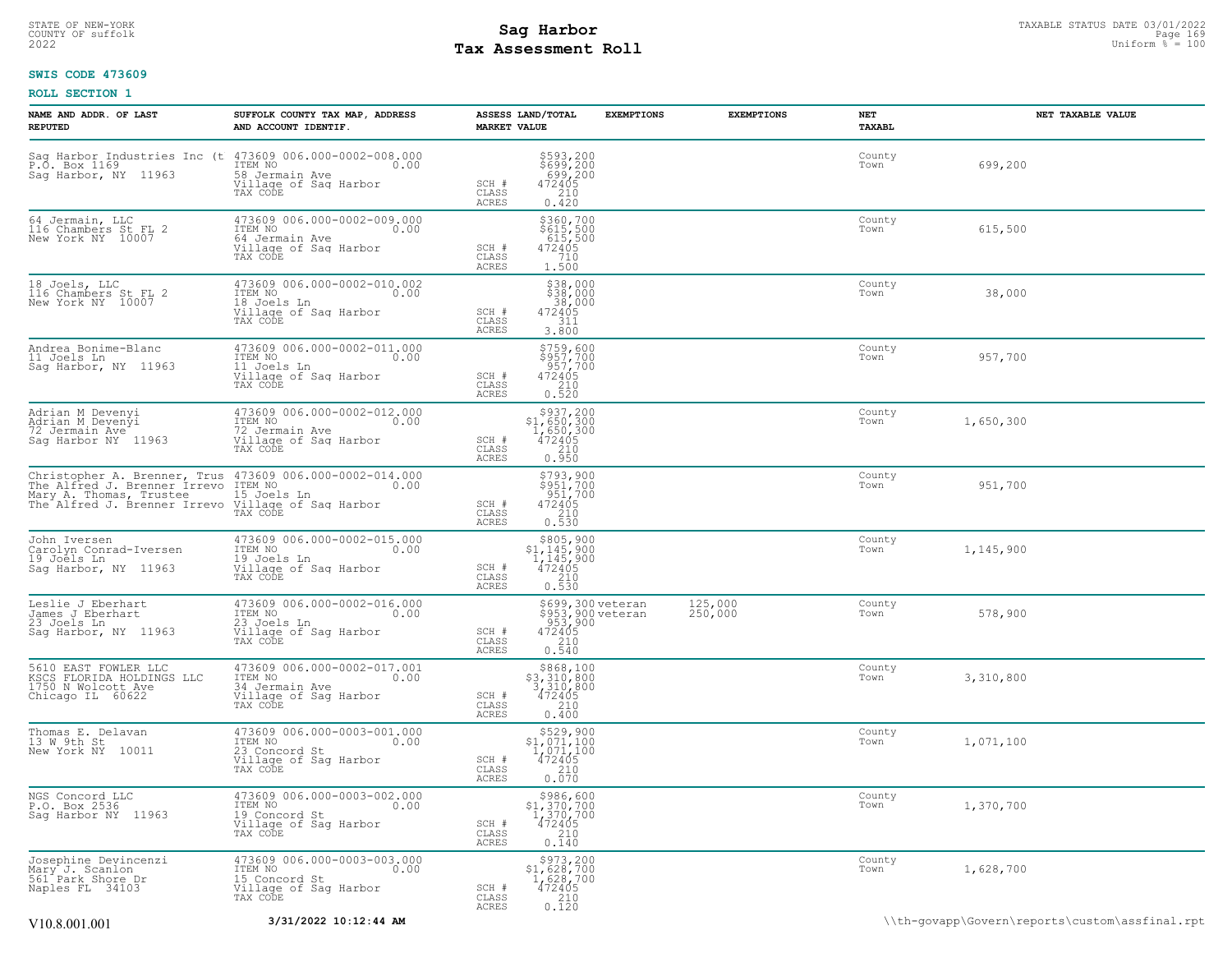# STATE OF NEW-YORK STATUS DATE 03/01/2022<br>
COUNTY OF suffolk Page 1699 lassessment Roll<br>
Pay Assessment Roll Discomment Roll Distorm % = 100 **Tax Assessment Roll**

### **SWIS CODE 473609**

| NAME AND ADDR. OF LAST<br><b>REPUTED</b>                                                                                                                                                                                                     | SUFFOLK COUNTY TAX MAP, ADDRESS<br>AND ACCOUNT IDENTIF.                                                                                                                                  | <b>MARKET VALUE</b>                       | ASSESS LAND/TOTAL                                                                                                                        | <b>EXEMPTIONS</b> | <b>EXEMPTIONS</b>  | NET<br>TAXABL  | NET TAXABLE VALUE |  |
|----------------------------------------------------------------------------------------------------------------------------------------------------------------------------------------------------------------------------------------------|------------------------------------------------------------------------------------------------------------------------------------------------------------------------------------------|-------------------------------------------|------------------------------------------------------------------------------------------------------------------------------------------|-------------------|--------------------|----------------|-------------------|--|
|                                                                                                                                                                                                                                              | Sag Harbor Industries Inc (t 473609 006.000-0002-008.000<br>P.O. Box 1169 1TEM NO 1000 5ag Harbor, NY 11963 58 Jermain Ave 0.00<br>Sag Harbor, NY 11963 58 Jermain Ave 11120<br>TAX CODE | SCH #<br>$\mathtt{CLASS}$<br><b>ACRES</b> | \$593,200<br>\$699,200<br>699,200<br>472405<br>210<br>0.420                                                                              |                   |                    | County<br>Town | 699,200           |  |
| 64 Jermain, LLC<br>116 Chambers St FL 2<br>New York NY 10007                                                                                                                                                                                 | 473609 006.000-0002-009.000<br>ITEM NO 0.00<br>11201<br>G4 Jermain Ave<br>Village of Sag Harbor<br>TAX CODE                                                                              | SCH #<br>CLASS<br>ACRES                   | $5360,700$<br>$5615,500$<br>$615,500$<br>$472405$<br>$710$<br>$710$<br>1,500                                                             |                   |                    | County<br>Town | 615,500           |  |
| 18 Joels, LLC<br>116 Chambers St FL 2<br>New York NY 10007                                                                                                                                                                                   | 473609 006.000-0002-010.002<br>$\begin{array}{c}\n\text{IFEM NO} \\ \hline\n1.64 \text{ N} \\ \end{array}$<br>18 Joels Ln<br>Village of Sag Harbor<br>TAX CODE                           | SCH #<br>$\mathtt{CLASS}$<br>ACRES        | \$38,000<br>\$38,000<br>$\frac{38}{3600}$<br>311<br>3.800                                                                                |                   |                    | County<br>Town | 38,000            |  |
| Andrea Bonime-Blanc<br>11 Joels Ln<br>Saq Harbor, NY 11963                                                                                                                                                                                   | 473609 006.000-0002-011.000<br>ITEM NO 0.00<br>11 Joels Ln<br>Village of Saq Harbor<br>TAX CODE                                                                                          | SCH #<br>CLASS<br>ACRES                   | \$759,600<br>\$957,700<br>957,700<br>472405<br>$\begin{array}{c} 210 \\ 0.520 \end{array}$                                               |                   |                    | County<br>Town | 957,700           |  |
| Adrian M Devenyi<br>Adrian M Devenyi<br>72 Jermain Ave<br>Sag Harbor NY 11963                                                                                                                                                                | 473609 006.000-0002-012.000<br>ITEM NO 0.00<br>T2 Jermain Ave<br>Village of Saq Harbor<br>TAX CODE                                                                                       | SCH #<br>CLASS<br>ACRES                   | \$937,200<br>$$1,650,300$<br>1,650,300<br>472405<br>210<br>0.950                                                                         |                   |                    | County<br>Town | 1,650,300         |  |
| Christopher A. Brenner, Trus $473609\ 006.000-0002-014.000$<br>The Alfred J. Brenner Irrevo ITEM NO. 000<br>Max: A Theory Thurstock 15 Joels In<br>Mary A. Thomas, Trustee 15 Joels Ln<br>The Alfred J. Brenner Irrevo Village of Sag Harbor | TAX CODE                                                                                                                                                                                 | SCH #<br>CLASS<br>ACRES                   | \$793,900<br>\$951,700<br>951,700<br>472405<br>210<br>0.530                                                                              |                   |                    | County<br>Town | 951,700           |  |
| John Iversen<br>Carolyn Conrad-Iversen<br>19 Joels Ln<br>Sag Harbor, NY 11963                                                                                                                                                                | 19 Joels Ln<br>Village of Sag Harbor<br>TAV CODE<br>TAX CODE                                                                                                                             | SCH #<br>CLASS<br><b>ACRES</b>            | $\begin{array}{r}  \  \  \, 8805,900 \\  \  \, 1,145,900 \\  \  \, 1,145,900 \\  \  \, 472405 \\  \  \, 210 \\  \  \, 0.530 \end{array}$ |                   |                    | County<br>Town | 1,145,900         |  |
| Leslie J Eberhart<br>James J Eberhart<br>23 Joels Ln<br>Sag Harbor, NY 11963                                                                                                                                                                 | 473609 006.000-0002-016.000<br>ITEM NO $0.00$<br>The Noels Ln<br>Village of Sag Harbor<br>TAX CODE                                                                                       | SCH #<br>CLASS<br>ACRES                   | \$699,300 veteran<br>\$953,900 veteran<br>953,900<br>472405<br>2540<br>0.540                                                             |                   | 125,000<br>250,000 | County<br>Town | 578,900           |  |
| 5610 EAST FOWLER LLC<br>KSCS FLORIDA HOLDINGS LLC<br>1750 N Wolcott Ave<br>Chicago IL 60622                                                                                                                                                  | 473609 006.000-0002-017.001<br>ITEM NO<br>34 Jermain Ave 0.00<br>Village of Sag Harbor<br>TAX CODE                                                                                       | SCH #<br>CLASS<br><b>ACRES</b>            | $\begin{array}{r} $868,100\n$3,310,800\n3,310,800\n472405\n210\n\end{array}$<br>0.400                                                    |                   |                    | County<br>Town | 3,310,800         |  |
| Thomas E. Delavan<br>13 W 9th St<br>New York NY 10011                                                                                                                                                                                        | 473609 006.000-0003-001.000<br>ITEM NO 0.00<br>23 Concord St<br>Village of Sag Harbor<br>TAX CODE                                                                                        | SCH #<br>CLASS<br><b>ACRES</b>            | $\begin{array}{r} 529,900 \\ 51,071,100 \\ 1,071,100 \\ 472405 \\ 210 \end{array}$<br>0.070                                              |                   |                    | County<br>Town | 1,071,100         |  |
| NGS Concord LLC<br>P.O. Box 2536<br>Sag Harbor NY 11963                                                                                                                                                                                      | 473609 006.000-0003-002.000<br>ITEM NO 0.00<br>19 Concord St<br>Village of Sag Harbor<br>TAX CODE                                                                                        | SCH #<br>CLASS<br><b>ACRES</b>            | $$3986,600\n$1,370,700\n1,370,700\n472405$<br>210<br>0.140                                                                               |                   |                    | County<br>Town | 1,370,700         |  |
| Josephine Devincenzi<br>Mary J. Scanlon<br>561 Park Shore Dr<br>Naples FL 34103                                                                                                                                                              | 473609 006.000-0003-003.000<br>15 Concord St<br>Village of Sag Harbor<br>TAX CODE                                                                                                        | SCH #<br>$\mathtt{CLASS}$<br>ACRES        | $\begin{array}{r} \text{\small $>$973,200$} \\ \text{\small $>$1$, $628,700$} \\ 1,628,700 \\ 472405 \\ 210 \\ 0.120 \end{array}$        |                   |                    | County<br>Town | 1,628,700         |  |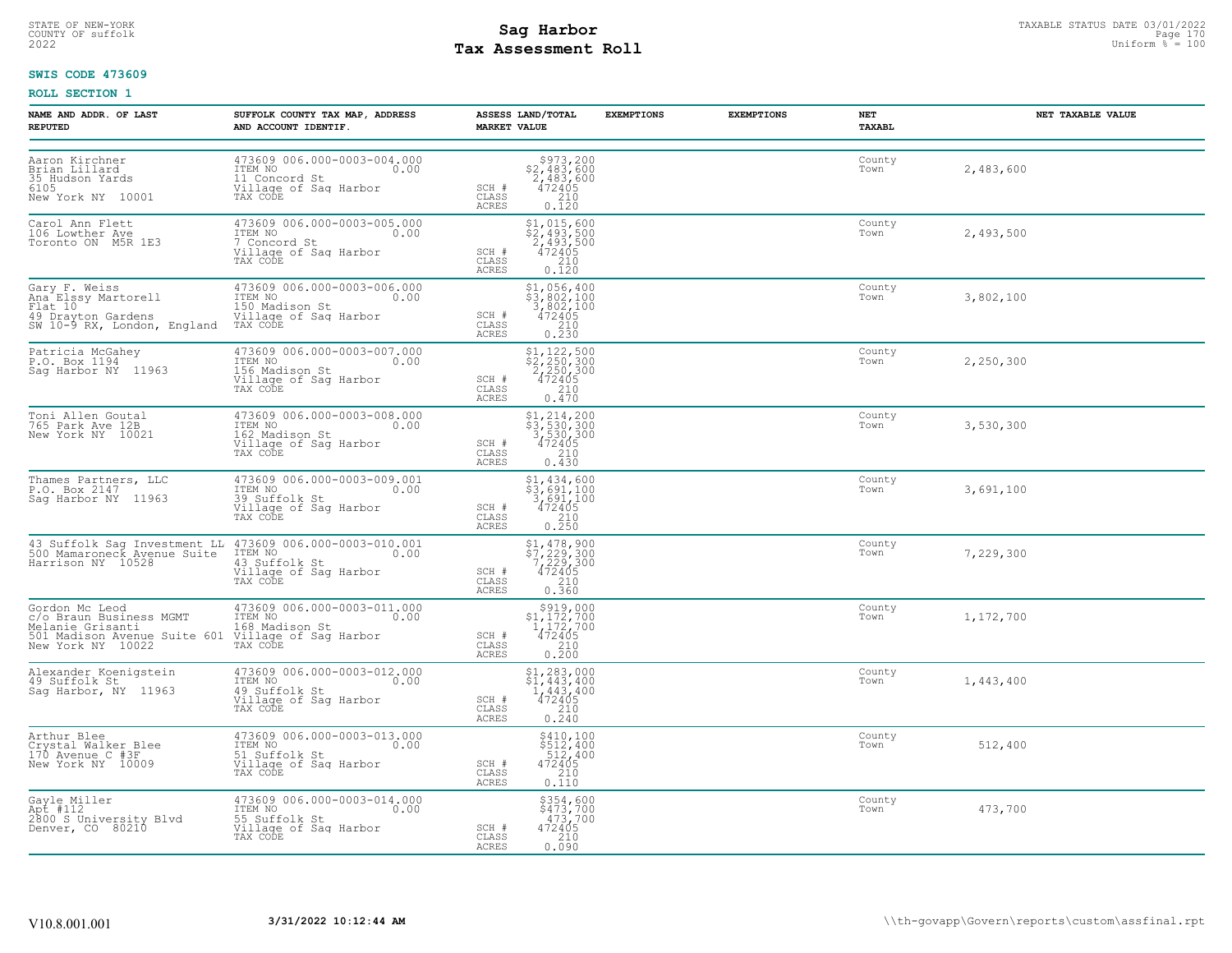# STATE OF NEW-YORK STATUS DATE 03/01/2022<br>
COUNTY OF suffolk **Sag From State Page 170**<br>
2022 Pay Assessment Roll **Tax Assessment Roll**

### **SWIS CODE 473609**

| NAME AND ADDR. OF LAST<br><b>REPUTED</b>                                        | SUFFOLK COUNTY TAX MAP, ADDRESS<br>AND ACCOUNT IDENTIF.                                                                                                                                                                               | ASSESS LAND/TOTAL EXEMPTIONS<br><b>MARKET VALUE</b>                                                                                                                                                | <b>EXEMPTIONS</b> | NET<br>TAXABL  | NET TAXABLE VALUE |
|---------------------------------------------------------------------------------|---------------------------------------------------------------------------------------------------------------------------------------------------------------------------------------------------------------------------------------|----------------------------------------------------------------------------------------------------------------------------------------------------------------------------------------------------|-------------------|----------------|-------------------|
| Aaron Kirchner<br>Brian Lillard<br>35 Hudson Yards<br>6105<br>New York NY 10001 | 473609 006.000-0003-004.000<br>TIEM NO<br>11 Concord St<br>Village of Sag Harbor<br>Village of Sag Harbor<br>01 TAX CODE                                                                                                              | $$973, 200$<br>$$2, 483, 600$<br>$$2, 483, 600$<br>SCH #<br>$\frac{472405}{210}$<br>CLASS<br>ACRES<br>0.120                                                                                        |                   | County<br>Town | 2,483,600         |
| Carol Ann Flett<br>106 Lowther Ave<br>Toronto ON M5R 1E3                        | 473609 006.000-0003-005.000<br>TTEM NO<br>7 Concord St<br>Village of Sag Harbor<br>Village of Sag Harbor<br>TAX CODE                                                                                                                  | $\begin{array}{r} \texttt{\$1,\,015,\,600} \\ \texttt{\$2,\,493,\,500} \\ 2,493,\,500 \\ 472405 \\ 210 \\ 0.120 \end{array}$<br>SCH #<br>CLASS<br>ACRES                                            |                   | County<br>Town | 2,493,500         |
|                                                                                 | Gary F. Weiss<br>Ana Elssy Martorell<br>TIEM NO Machine 150 Madison St<br>49 Drayton Gardens<br>49 Drayton Gardens<br>50 Machine 150 Madison St<br>50 Machine 161 Machine of Saq Harbor<br>50 Machine 174 CODE<br>50 Machine 174 CODE | \$1,056,400<br>\$3,802,100<br>3,802,100<br>472405<br>SCH #<br>CLASS<br>$\begin{bmatrix} 210 \\ 0.230 \end{bmatrix}$<br>ACRES                                                                       |                   | County<br>Town | 3,802,100         |
| Patricia McGahey<br>P.O. Box 1194<br>Sag Harbor NY 11963                        | 473609 006.000-0003-007.000<br>ITEM NO 0.00<br>156 Madison St<br>ITEM NO<br>156 Madison St<br>Village of Sag Harbor<br>Tillage of Sag Harbor<br>TAX CODE                                                                              | $$2, 250, 300$<br>$$2, 250, 300$<br>$2, 250, 300$<br>$472405$<br>$$210$<br>SCH #<br>CLASS<br>ACRES<br>0.470                                                                                        |                   | County<br>Town | 2,250,300         |
| Toni Allen Goutal<br>765 Park Ave 12B<br>New York NY 10021                      | 473609 006.000-0003-008.000<br>1TEM NO<br>162 Madison St 0.00<br>Village of Sag Harbor<br>TAX CODE                                                                                                                                    | $\begin{array}{l} $1,214,200 \\ $3,530,300 \\ 3,530,300 \\ 472405 \\ 210 \end{array}$<br>SCH #<br>CLASS<br>0.430<br>ACRES                                                                          |                   | County<br>Town | 3,530,300         |
| Thames Partners, LLC<br>P.O. Box 2147<br>Sag Harbor NY 11963                    | 473609 006.000-0003-009.001<br>ITEM NO<br>39 Suffolk St 0.00<br>Village of Saq Harbor<br>TAX CODE                                                                                                                                     | $\begin{array}{r} \texttt{\$1,\,434,\,600}\ \\ \texttt{\$3,\,691,\,100}\ \\ \texttt{3,\,691,\,100}\ \\ \texttt{472405}\ \\ \texttt{210}\ \\ \texttt{0.250} \end{array}$<br>SCH #<br>CLASS<br>ACRES |                   | County<br>Town | 3,691,100         |
|                                                                                 | 43 Suffolk Sag Investment LL 473609 006.000-0003-010.001<br>500 Mamaroneck Avenue Suite 1TEM NO<br>Harrison NY 10528 (111age of Sag Harbor<br>TAX CODE                                                                                | \$1,478,900<br>\$7,229,300<br>7,229,300<br>472405<br>SCH #<br>CLASS<br>$\begin{bmatrix} 210 \\ 0.360 \end{bmatrix}$<br>ACRES                                                                       |                   | County<br>Town | 7,229,300         |
|                                                                                 | Gordon Mc Leod 473609 006.000-0003-011.000<br>C/O Braun Business MGMT ITEM NO<br>Melanie Grisanti 168 Madison St<br>501 Madison Avenue Suite 601 Village of Sag Harbor<br>New York NY 10022 TAX CODE TAX CODE                         | $$919,000$<br>$$1,172,700$<br>$1,172,700$<br>$472405$<br>$SCH$ #<br>$\begin{array}{c} 210 \\ 0.200 \end{array}$<br>CLASS<br>ACRES                                                                  |                   | County<br>Town | 1,172,700         |
| Alexander Koenigstein<br>49 Suffolk St<br>Sag Harbor, NY 11963                  | 473609 006.000-0003-012.000<br>ITEM NO<br>49 Suffolk St<br>Village of Sag Harbor<br>TAX CODE                                                                                                                                          | \$1,283,000<br>$$1,443,400$<br>$1,443,400$<br>472405<br>SCH #<br>$\frac{210}{0.240}$<br>CLASS<br>ACRES                                                                                             |                   | County<br>Town | 1,443,400         |
| Arthur Blee<br>nrundr Dicker Blee<br>170 Avenue C #3F<br>New York NY 10009      | 473609 006.000-0003-013.000<br>ITEM NO 0.00<br>51 0:550lk St<br>The No.<br>51 Suffolk St<br>Village of Sag Harbor<br>TAX CODE                                                                                                         | \$410,100<br>\$512,400<br>512,400<br>472405<br>210<br>0.110<br>SCH #<br>CLASS<br>ACRES                                                                                                             |                   | County<br>Town | 512,400           |
| Gayle Miller<br>Apt #112<br>2800 S University Blvd<br>Denver, CO 80210          | 473609 006.000-0003-014.000<br>ITEM NO 0.00<br>55 Suffolk St<br>Village of Sag Harbor<br>TAX CODE                                                                                                                                     | \$354,600<br>$\frac{5473}{173}$ , 700<br>SCH #<br>472405<br>210<br>CLASS<br>0.090<br>ACRES                                                                                                         |                   | County<br>Town | 473,700           |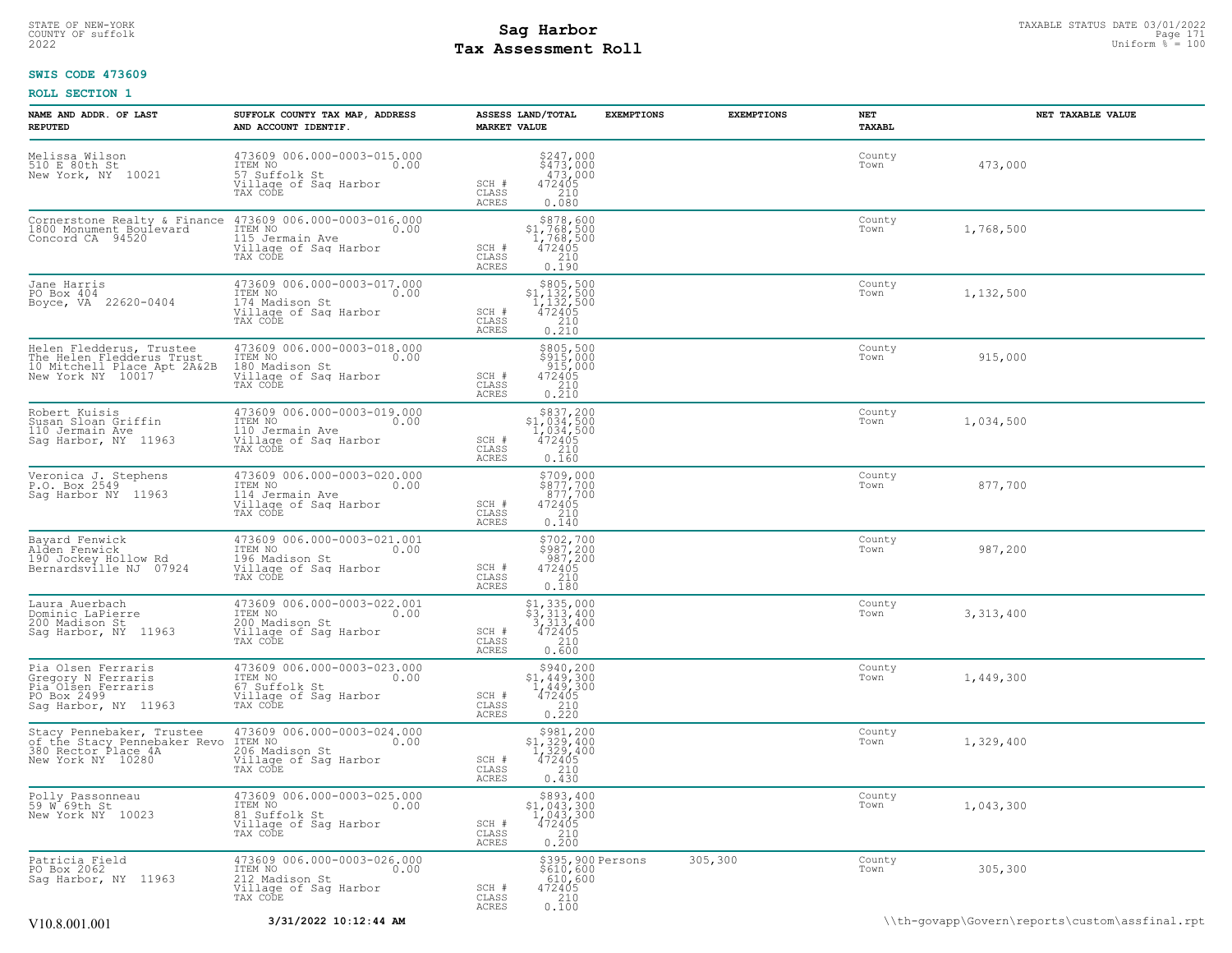# STATE OF NEW-YORK STATUS DATE 03/01/2022<br>
COUNTY OF suffolk **Sag From State Page 171**<br>
2022 Pay Assessment Roll **Tax Assessment Roll**

### **SWIS CODE 473609**

| NAME AND ADDR. OF LAST<br><b>REPUTED</b>                                                                         | SUFFOLK COUNTY TAX MAP, ADDRESS<br>AND ACCOUNT IDENTIF.                                                | ASSESS LAND/TOTAL<br><b>MARKET VALUE</b>                                                                                                                               | <b>EXEMPTIONS</b> | <b>EXEMPTIONS</b> | NET<br>TAXABL  | NET TAXABLE VALUE                              |
|------------------------------------------------------------------------------------------------------------------|--------------------------------------------------------------------------------------------------------|------------------------------------------------------------------------------------------------------------------------------------------------------------------------|-------------------|-------------------|----------------|------------------------------------------------|
| Melissa Wilson<br>510 E 80th St<br>New York, NY 10021                                                            | 473609 006.000-0003-015.000<br>ITEM NO<br>0.00<br>57 Suffolk St<br>Village of Sag Harbor<br>TAX CODE   | \$247,000<br>\$473,000<br>473,000<br>SCH #<br>472405<br>CLASS<br>210<br>ACRES<br>0.080                                                                                 |                   |                   | County<br>Town | 473,000                                        |
| Cornerstone Realty & Finance<br>1800 Monument Boulevard<br>Concord CA 94520                                      | 473609 006.000-0003-016.000<br>ITEM NO<br>0.00<br>115 Jermain Ave<br>Village of Sag Harbor<br>TAX CODE | $\begin{array}{r}  \  \  \,  \, 878,600 \\  \  \, 1,768,500 \\  \  \, 1,768,500 \\  \  \, 472405 \\  \  \, 210 \\  \  \, 0.190 \end{array}$<br>SCH #<br>CLASS<br>ACRES |                   |                   | County<br>Town | 1,768,500                                      |
| Jane Harris<br>PO Box 404<br>Boyce, VA 22620-0404                                                                | 473609 006.000-0003-017.000<br>ITEM NO<br>0.00<br>174 Madison St<br>Village of Sag Harbor<br>TAX CODE  | $$805,500$<br>$$1,132,500$<br>$1,132,500$<br>$472405$<br>SCH #<br>$\frac{210}{0.210}$<br>CLASS<br>ACRES                                                                |                   |                   | County<br>Town | 1,132,500                                      |
| Helen Fledderus, Trustee<br>The Helen Fledderus Trust<br>10 Mitchell Place Apt 2A&2B<br>New York NY 10017        | 473609 006.000-0003-018.000<br>ITEM NO<br>0.00<br>180 Madison St<br>Village of Saq Harbor<br>TAX CODE  | \$805,500<br>\$915,000<br>915,000<br>472405<br>SCH #<br>CLASS<br>210<br>ACRES<br>0.210                                                                                 |                   |                   | County<br>Town | 915,000                                        |
| Robert Kuisis<br>Susan Sloan Griffin<br>110 Jermain Ave<br>Saq Harbor, NY 11963                                  | 473609 006.000-0003-019.000<br>ITEM NO<br>0.00<br>110 Jermain Ave<br>Village of Sag Harbor<br>TAX CODE | \$837,200<br>\$1,034,500<br>1,034,500<br>472405<br>SCH #<br>CLASS<br>210<br>ACRES<br>0.160                                                                             |                   |                   | County<br>Town | 1,034,500                                      |
| Veronica J. Stephens<br>P.O. Box 2549<br>Sag Harbor NY 11963                                                     | 473609 006.000-0003-020.000<br>ITEM NO<br>0.00<br>114 Jermain Ave<br>Village of Sag Harbor<br>TAX CODE | \$709,000<br>\$877,700<br>877,700<br>472405<br>SCH #<br>$\begin{array}{c} 210 \\ 0.140 \end{array}$<br>CLASS<br>ACRES                                                  |                   |                   | County<br>Town | 877,700                                        |
| Bayard Fenwick<br>Alden Fenwick<br>190 Jockey Hollow Rd<br>Bernardsville NJ 07924                                | 473609 006.000-0003-021.001<br>ITEM NO<br>0.00<br>196 Madison St<br>Village of Sag Harbor<br>TAX CODE  | \$702,700<br>\$987,200<br>987,200<br>472405<br>SCH #<br>CLASS<br>210<br>0.180<br>ACRES                                                                                 |                   |                   | County<br>Town | 987,200                                        |
| Laura Auerbach<br>Dominic LaPierre<br>200 Madison St<br>Sag Harbor, NY 11963                                     | 473609 006.000-0003-022.001<br>ITEM NO<br>0.00<br>200 Madison St<br>Village of Saq Harbor<br>TAX CODE  | $\begin{array}{l} 51,335,000 \\ 53,313,400 \\ 3,313,400 \\ 472405 \\ 210 \end{array}$<br>SCH #<br>CLASS<br>ACRES<br>0.600                                              |                   |                   | County<br>Town | 3,313,400                                      |
| Pia Olsen Ferraris<br>Gregory N Ferraris<br>Pia <sup>Olsen</sup> Ferraris<br>PO Box 2499<br>Sag Harbor, NY 11963 | 473609 006.000-0003-023.000<br>ITEM NO<br>0.00<br>67 Suffolk St<br>Village of Sag Harbor<br>TAX CODE   | $$3940, 200$<br>$$1, 449, 300$<br>$472405$<br>$$472405$<br>SCH #<br>CLASS<br>0.210<br>ACRES                                                                            |                   |                   | County<br>Town | 1,449,300                                      |
| Stacy Pennebaker, Trustee<br>of the Stacy Pennebaker Revo<br>380 Rector Place 4A<br>New York NY 10280            | 473609 006.000-0003-024.000<br>ITEM NO<br>0.00<br>206 Madison St<br>Village of Sag Harbor<br>TAX CODE  | $\begin{array}{c} $981,200 \\ $1,329,400 \\ $1,329,400 \\ $472405 \end{array}$<br>SCH #<br>210<br>CLASS<br>ACRES<br>0.430                                              |                   |                   | County<br>Town | 1,329,400                                      |
| Polly Passonneau<br>59 W 69th St<br>New York NY 10023                                                            | 473609 006.000-0003-025.000<br>ITEM NO<br>0.00<br>81 Suffolk St<br>Village of Sag Harbor<br>TAX CODE   | \$893,400<br>$51,043,300\n1,043,300\n472405\n210\n0.200$<br>SCH #<br>CLASS<br><b>ACRES</b>                                                                             |                   |                   | County<br>Town | 1,043,300                                      |
| Patricia Field<br>PO Box 2062<br>Sag Harbor, NY 11963                                                            | 473609 006.000-0003-026.000<br>ITEM NO 0.00<br>212 Madison St<br>Village of Sag Harbor<br>TAX CODE     | \$610, 600<br>610,600<br>SCH #<br>472405<br>CLASS<br>0.100<br>ACRES                                                                                                    | \$395,900 Persons | 305,300           | County<br>Town | 305,300                                        |
| V <sub>10.8</sub> .001.001                                                                                       | 3/31/2022 10:12:44 AM                                                                                  |                                                                                                                                                                        |                   |                   |                | \\th-qovapp\Govern\reports\custom\assfinal.rpt |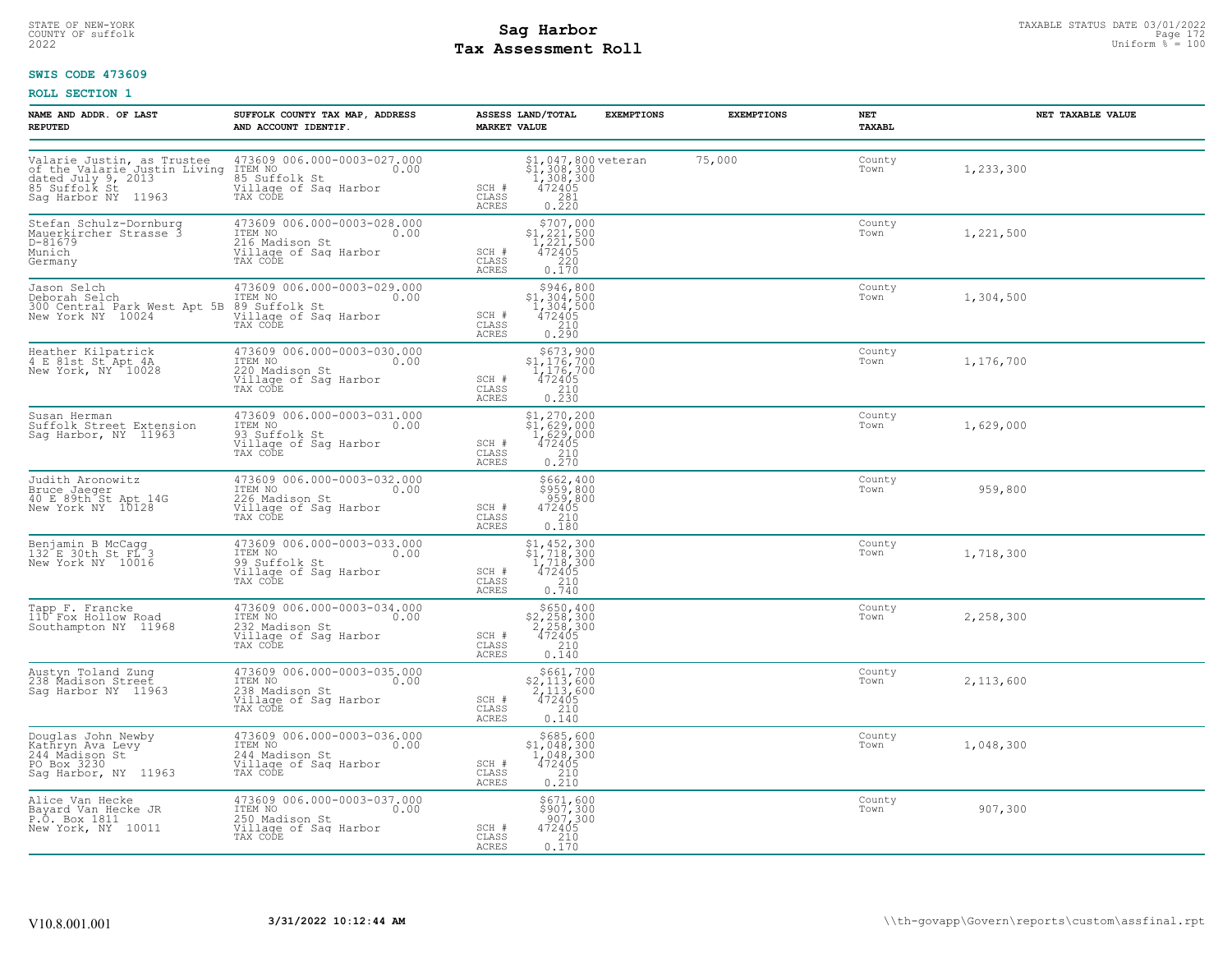# STATE OF NEW-YORK STATUS DATE 03/01/2022<br>
COUNTY OF suffolk **Sag From State Page 172 Mage 172 Mage 172 Mage 172 Mage 172 Mage 172 Mage 172 Mage 172 Mag<br>
Pay Assessment Roll Tax Assessment Roll**

### **SWIS CODE 473609**

| NAME AND ADDR. OF LAST<br><b>REPUTED</b>                                                        | SUFFOLK COUNTY TAX MAP, ADDRESS<br>AND ACCOUNT IDENTIF.                                                                                                                                                                 | <b>EXEMPTIONS</b><br>ASSESS LAND/TOTAL<br><b>MARKET VALUE</b>                                                                                             | <b>EXEMPTIONS</b> | NET<br>TAXABL  | NET TAXABLE VALUE |
|-------------------------------------------------------------------------------------------------|-------------------------------------------------------------------------------------------------------------------------------------------------------------------------------------------------------------------------|-----------------------------------------------------------------------------------------------------------------------------------------------------------|-------------------|----------------|-------------------|
| Sag Harbor NY 11963                                                                             | Valarie Justin, as Trustee 473609 006.000-0003-027.000<br>of the Valarie Justin Living ITEM NO dated July 9, 2013<br>dated July 9, 2013 (85 Suffolk St 10.00)<br>85 Suffolk St 11063 (111.000 of Sag Harbor<br>TAX CODE | $$1,047,800$ veteran<br>$$1,308,300$<br>$1,308,300$<br>$472405$<br>$0.220$<br>SCH #<br>CLASS<br>ACRES                                                     | 75,000            | County<br>Town | 1,233,300         |
| Stefan Schulz-Dornburg<br>Mauerkircher Strasse 3<br>D-81679<br>Munich<br>Germany                | 473609 006.000-0003-028.000<br>ITEM NO 0.00<br>216 Madison St .<br>Village of Sag Harbor<br>TAX CODE                                                                                                                    | $\begin{array}{r} \text{\small $>$707,000$} \\ \text{\small $>$1,221,500$} \\ 1,221,500 \\ 472405 \\ 220 \\ 0.170 \end{array}$<br>SCH #<br>CLASS<br>ACRES |                   | County<br>Town | 1,221,500         |
|                                                                                                 | Jason Selch (173609 006.000-0003-029.000<br>Deborah Selch (175M NO 1176M NO 0003-029.000<br>300 Central Park West Apt 5B 89 Suffolk St<br>New York NY 10024 (1911-1990 of Saq Harbor<br>TAX CODE                        | $\substack{\$946,800\\\$1,304,500\\\$1,304,500\\\$472405$<br>SCH #<br>CLASS<br>$0.210$<br>$0.290$<br>ACRES                                                |                   | County<br>Town | 1,304,500         |
| Heather Kilpatrick<br>4 E 81st St Apt 4A<br>New York, NY 10028                                  | 473609 006.000-0003-030.000<br>ITEM NO 0.00<br>220 Modison St<br>220 Madison St<br>Village of Sag Harbor<br>TAX CODE                                                                                                    | $$673,900$<br>$$1,176,700$<br>$1,176,700$<br>SCH #<br>$\begin{array}{r} 472405 \\ 210 \\ 0.230 \end{array}$<br>CLASS<br>ACRES                             |                   | County<br>Town | 1,176,700         |
| Susan Herman<br>Suffolk Street Extension<br>Sag Harbor, NY 11963                                | 473609 006.000-0003-031.000<br>TEM NO<br>17EM NO<br>93 Suffolk St<br>Village of Sag Harbor<br>TAX CODE                                                                                                                  | \$1,270,200<br>31, 270, 200<br>\$1, 629, 000<br>1, 629, 000<br>472405<br>210<br>0.270<br>SCH #<br>CLASS<br>ACRES                                          |                   | County<br>Town | 1,629,000         |
| Judith Aronowitz<br>Bruce Jaeger<br>40 E 89th St Apt 14G<br>New York NY 10128                   | 473609 006.000-0003-032.000<br>ITEM NO 0.00<br><br>226 Madison St<br>Village of Saq Harbor<br>TAX CODE                                                                                                                  | \$662,400<br>\$959,800<br>959,800<br>472405<br>210<br>0.180<br>SCH #<br>CLASS<br>ACRES                                                                    |                   | County<br>Town | 959,800           |
| Benjamin B McCagg<br>132 E 30th St FL 3<br>New York NY 10016                                    | 473609 006.000-0003-033.000<br>ITEM NO 0.00<br>99 Suffolk St<br>99 Suffolk St<br>Village of Sag Harbor<br>TAX CODE                                                                                                      | \$1,452,300<br>\$1,718,300<br>1,718,300<br>472405<br>SCH #<br>CLASS<br>210<br>ACRES<br>0.740                                                              |                   | County<br>Town | 1,718,300         |
| Tapp F. Francke<br>110 Fox Hollow Road<br>Southampton NY 11968                                  | 473609 006.000-0003-034.000<br>ITEM NO<br>232 Madison St<br>Village of Sag Harbor<br>TAX CODE                                                                                                                           | $$650, 400$<br>$$2, 258, 300$<br>$2, 258, 300$<br>SCH #<br>$\frac{7472405}{210}$<br>CLASS<br>ACRES<br>0.140                                               |                   | County<br>Town | 2,258,300         |
| Austyn Toland Zung<br>238 Madison Street<br>Sag Harbor NY 11963                                 | 473609 006.000-0003-035.000<br>ITEM NO 0.00<br>238 Madison St<br>Village of Sag Harbor<br>TAX CODE                                                                                                                      | $$661,700$<br>$$2,113,600$<br>$2,113,600$<br>$472405$<br>SCH #<br>CLASS<br>$\frac{210}{0.140}$<br>ACRES                                                   |                   | County<br>Town | 2,113,600         |
| Douglas John Newby<br>Kathryn Ava Levy<br>244_Madison St<br>PO Box 3230<br>Sag Harbor, NY 11963 | 473609 006.000-0003-036.000<br>ITEM NO<br>244 Madison St<br>Village of Sag Harbor<br>TAX CODE                                                                                                                           | \$685,600<br>$$1,048,300$<br>1,048,300<br>SCH #<br>472405<br>CLASS<br>$\frac{210}{0.210}$<br>ACRES                                                        |                   | County<br>Town | 1,048,300         |
| Alice Van Hecke<br>Bayard Van Hecke JR<br>P.O. Box 1811<br>New York, NY 10011                   | 473609 006.000-0003-037.000<br>ITEM NO 0.00<br>250 Madison St<br>Village of Sag Harbor<br>TAX CODE                                                                                                                      | \$671,600<br>\$907,300<br>907,300<br>SCH #<br>472405<br>CLASS<br>0.170<br>ACRES                                                                           |                   | County<br>Town | 907,300           |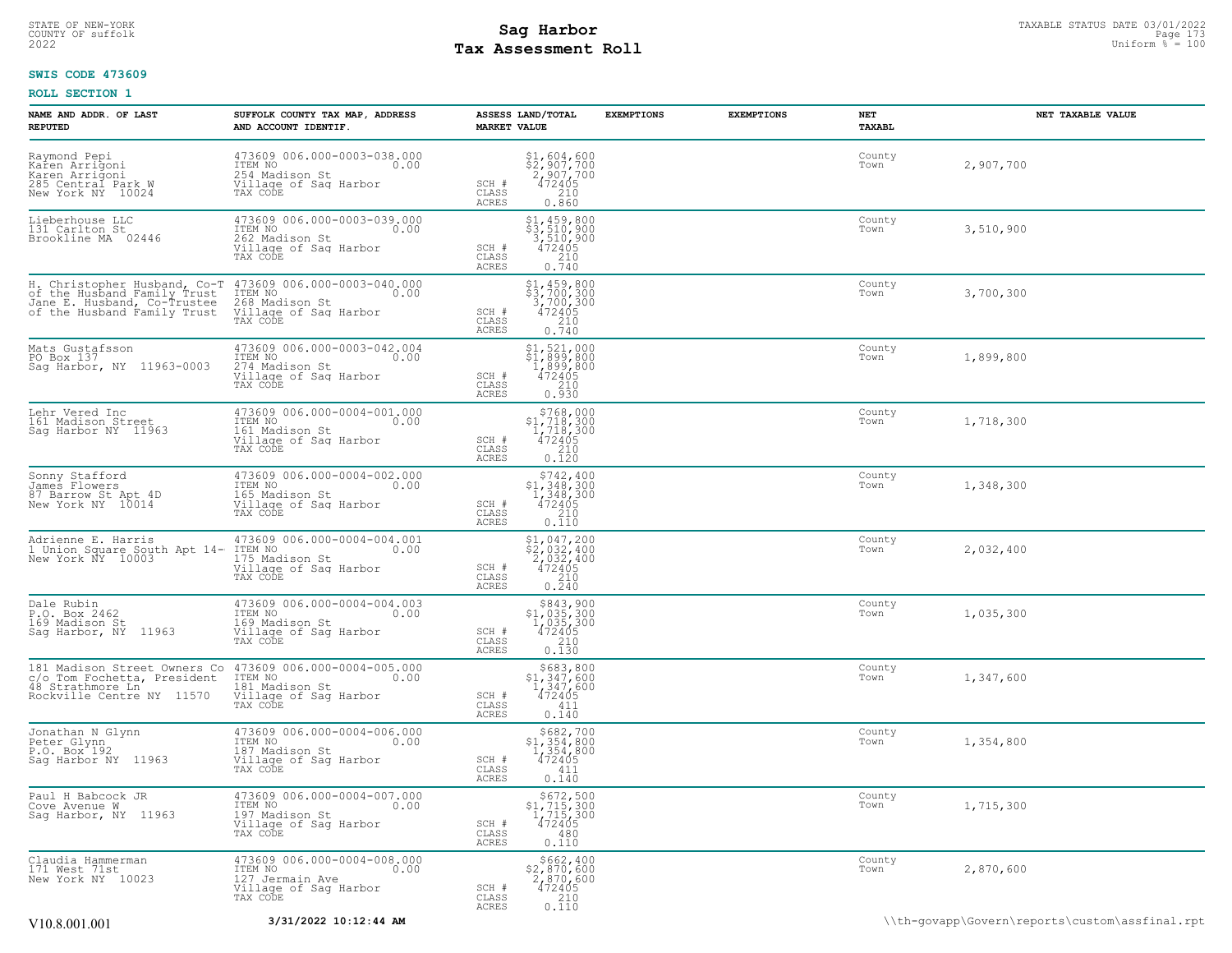# STATE OF NEW-YORK STATUS DATE 03/01/2022<br>
COUNTY OF suffolk **Sag From State Page 173 and Sag Harbor**<br>
2022 Mage **Pay Assessment Roll Tax Assessment Roll**

### **SWIS CODE 473609**

| NAME AND ADDR. OF LAST<br><b>REPUTED</b>                                                                                                 | SUFFOLK COUNTY TAX MAP, ADDRESS<br>AND ACCOUNT IDENTIF.                                                     | ASSESS LAND/TOTAL<br><b>MARKET VALUE</b>                                                                                                                                                     | <b>EXEMPTIONS</b> | <b>EXEMPTIONS</b> | NET<br><b>TAXABL</b> | NET TAXABLE VALUE |
|------------------------------------------------------------------------------------------------------------------------------------------|-------------------------------------------------------------------------------------------------------------|----------------------------------------------------------------------------------------------------------------------------------------------------------------------------------------------|-------------------|-------------------|----------------------|-------------------|
| Raymond Pepi<br>Karen Arrigoni<br>Karen Arrigoni<br>285 Central Park W<br>New York NY 10024                                              | 473609 006.000-0003-038.000<br>10.00 0.00<br>254 Madison St<br>Village of Sag Harbor<br>TAX CODE            | $$2,907,700$<br>$$2,907,700$<br>$472405$<br>$$210$<br>SCH #<br>CLASS<br><b>ACRES</b><br>0.860                                                                                                |                   |                   | County<br>Town       | 2,907,700         |
| Lieberhouse LLC<br>131 Carlton St<br>Brookline MA 02446                                                                                  | 473609 006.000-0003-039.000<br>TTEM NO<br>262 Madison St<br>Village of Sag Harbor<br>0.00<br>TAX CODE       | $\begin{array}{r} \texttt{\$1,459,800} \\ \texttt{\$3,510,900} \\ \texttt{3,510,900} \\ \texttt{472405} \\ \texttt{210} \\ \texttt{0.740} \end{array}$<br>$SCH$ $#$<br>CLASS<br><b>ACRES</b> |                   |                   | County<br>Town       | 3,510,900         |
| H. Christopher Husband, Co-T<br>of the Husband Family Trust<br>Jane E. Husband, Co-Trustee<br>of the Husband Family Trust                | 473609 006.000-0003-040.000<br>ITEM NO<br>0.00<br>268 Madison St<br>Village of Sag Harbor<br>TAX CODE       | $\begin{array}{l} \xi 1, 459, 800 \\ \xi 3, 700, 300 \\ 3, 700, 300 \\ 472405 \\ 210 \\ 0.740 \end{array}$<br>SCH #<br>CLASS<br><b>ACRES</b>                                                 |                   |                   | County<br>Town       | 3,700,300         |
| Mats Gustafsson<br>PO Box 137<br>Sag Harbor, NY 11963-0003                                                                               | 473609 006.000-0003-042.004<br>ITEM NO<br>0.00<br>274 Madison St<br>Village of Sag Harbor<br>TAX CODE       | $$1, 521, 000$<br>$$1, 899, 800$<br>$1, 899, 800$<br>$472405$<br>$210$<br>SCH #<br>CLASS<br>ACRES<br>0.930                                                                                   |                   |                   | County<br>Town       | 1,899,800         |
| Lehr Vered Inc<br>161 Madison Street<br>Sag Harbor NY 11963                                                                              | 473609 006.000-0004-001.000<br>ITEM NO<br>0.00<br>161 Madison St<br>Village of Saq Harbor<br>TAX CODE       | $$768,000$<br>$$1,718,300$<br>$1,718,300$<br>$472405$<br>210<br>SCH #<br>CLASS<br>ACRES<br>0.120                                                                                             |                   |                   | County<br>Town       | 1,718,300         |
| Sonny Stafford<br>James Flowers<br>87 Barrow St Apt 4D<br>New York NY 10014                                                              | 473609 006.000-0004-002.000<br>ITEM NO<br>0.00<br>165 Madison St<br>Village of Sag Harbor<br>TAX CODE       | $\begin{array}{r} 5742, 400 \\ 51, 348, 300 \\ 1, 348, 300 \\ 472405 \\ 210 \\ 0.110 \end{array}$<br>SCH #<br>CLASS<br><b>ACRES</b>                                                          |                   |                   | County<br>Town       | 1,348,300         |
| Adrienne E. Harris<br>1 Union Square South Apt 14-<br>New York NY 10003                                                                  | 473609 006.000-0004-004.001<br>ITEM NO<br>0.00<br>175 Madison St<br>Village of Sag Harbor<br>TAX CODE       | $\begin{array}{l} $1,047,200 \\ $2,032,400 \\ $2,032,400 \\ $472405 \\ $2.10 \\ $2.10 \end{array}$<br>SCH #<br>CLASS<br><b>ACRES</b><br>0.240                                                |                   |                   | County<br>Town       | 2,032,400         |
| Dale Rubin<br>P.O. Box 2462<br>169 Madison St<br>Sag Harbor, NY 11963                                                                    | 473609 006.000-0004-004.003<br>ITEM NO 0.00<br>0.00<br>169 Madison St<br>Village of Sag Harbor<br>TAX CODE  | $$843,900$<br>$$1,035,300$<br>$1,035,300$<br>$472405$<br>SCH #<br>CLASS<br>$\frac{210}{0.130}$<br>ACRES                                                                                      |                   |                   | County<br>Town       | 1,035,300         |
| 181 Madison Street Owners Co 473609 006.000-0004-005.000<br>c/o Tom Fochetta, President<br>48 Strathmore Ln<br>Rockville Centre NY 11570 | ITEM NO<br>0.00<br>181 Madison St<br>Village of Sag Harbor<br>TAX CODE                                      | $\begin{array}{r} 5683,800 \\ 51,347,600 \\ 1,347,600 \\ 472405 \\ 411 \\ 2,412 \end{array}$<br>SCH #<br>CLASS<br><b>ACRES</b><br>0.140                                                      |                   |                   | County<br>Town       | 1,347,600         |
| Jonathan N Glynn<br>Peter Glynn<br>P.O. Box 192<br>Sag Harbor NY 11963                                                                   | 473609 006.000-0004-006.000<br>ITEM NO<br>0.00<br>187 Madison St<br>Village of Sag Harbor<br>TAX CODE       | $5682,700$<br>$354,800$<br>$472405$<br>$411$<br>SCH #<br>CLASS<br><b>ACRES</b><br>0.140                                                                                                      |                   |                   | County<br>Town       | 1,354,800         |
| Paul H Babcock JR<br>Cove Avenue W<br>Sag Harbor, NY 11963                                                                               | 473609 006.000-0004-007.000<br>ITEM NO<br>0.00<br>197 Madison St<br>Village of Sag Harbor<br>TAX CODE       | $$^{5672}_{1715,300}_{1715,300}$<br>$1,715,300$<br>$472405$<br>SCH #<br>CLASS<br>480<br><b>ACRES</b><br>0.110                                                                                |                   |                   | County<br>Town       | 1,715,300         |
| Claudia Hammerman<br>171 West 71st<br>New York NY 10023                                                                                  | 473609 006.000-0004-008.000<br>TTEM NO 0.00<br>0.00<br>127 Jermain Ave<br>Village of Sag Harbor<br>TAX CODE | \$662,400<br>\$2,870,600<br>2,870,600<br>472405<br>SCH #<br>CLASS<br>210<br><b>ACRES</b><br>0.110                                                                                            |                   |                   | County<br>Town       | 2,870,600         |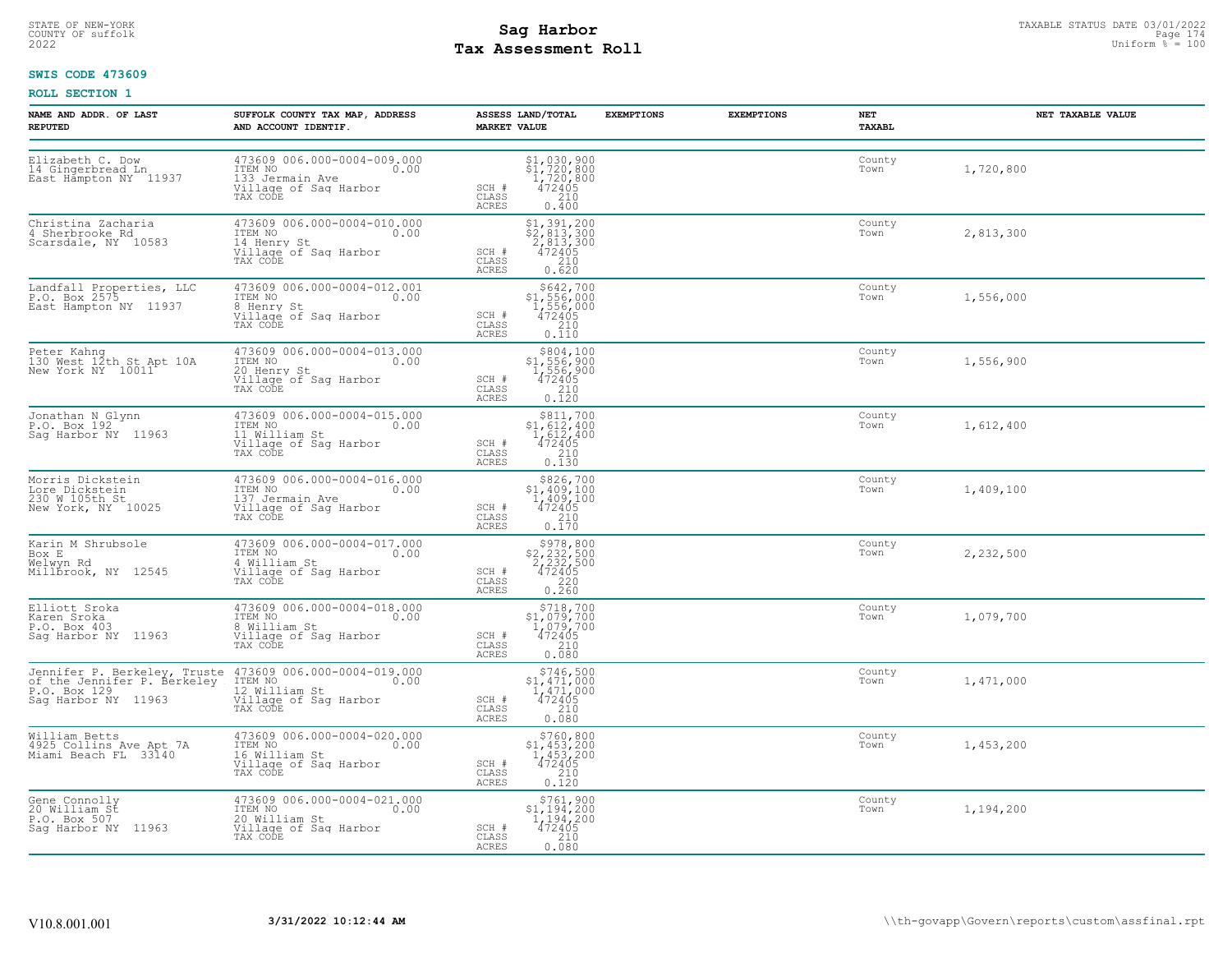# STATE OF NEW-YORK STATUS DATE 03/01/2022<br>
COUNTY OF suffolk **Sag From State Page 174 assessment Roll**<br>
2022 Max **Assessment Roll Tax Assessment Roll**

### **SWIS CODE 473609**

| NAME AND ADDR. OF LAST<br><b>REPUTED</b>                                   | SUFFOLK COUNTY TAX MAP, ADDRESS<br>AND ACCOUNT IDENTIF.                                                                                                                                             | ASSESS LAND/TOTAL<br><b>MARKET VALUE</b>                                                                                                                                                                                         | <b>EXEMPTIONS</b> | <b>EXEMPTIONS</b><br>NET<br>TAXABL | NET TAXABLE VALUE |
|----------------------------------------------------------------------------|-----------------------------------------------------------------------------------------------------------------------------------------------------------------------------------------------------|----------------------------------------------------------------------------------------------------------------------------------------------------------------------------------------------------------------------------------|-------------------|------------------------------------|-------------------|
| Elizabeth C. Dow<br>14 Gingerbread Ln<br>East Hampton NY 11937             | 473609 006.000-0004-009.000<br>ITEM NO<br>0.00<br>133 Jermain Ave<br>Village of Sag Harbor<br>TAX CODE                                                                                              | $\begin{array}{r} \texttt{\$1,\,030,\,900}\ \texttt{\$1,\,720,\,800}\ \texttt{\$1,\,720,\,800}\ \texttt{\$1,\,720,\,800}\ \texttt{\$1,\,72405}\ \texttt{\$210}\ \texttt{\$0.400}\ \end{array}$<br>SCH #<br>CLASS<br><b>ACRES</b> |                   | County<br>Town                     | 1,720,800         |
| Christina Zacharia<br>4 Sherbrooke Rd<br>Scarsdale, NY 10583               | 473609 006.000-0004-010.000<br>ITEM NO<br>0.00<br>14 Henry St<br>Village of Sag Harbor<br>TAX CODE                                                                                                  | $$2,813,300$<br>$$2,813,300$<br>$2,813,300$<br>$472405$<br>$$210$<br>SCH #<br>CLASS<br><b>ACRES</b><br>0.620                                                                                                                     |                   | County<br>Town                     | 2,813,300         |
| Landfall Properties, LLC<br>P.O. Box 2575<br>East Hampton NY 11937         | 473609 006.000-0004-012.001<br>ITEM NO<br>0.00<br>8 Henry St<br>Village of Saq Harbor<br>TAX CODE                                                                                                   | $5642,700\n$1,556,000\n1,556,000\n472405\n210$<br>SCH #<br>$\mathtt{CLASS}$<br>ACRES<br>0.110                                                                                                                                    |                   | County<br>Town                     | 1,556,000         |
| Peter Kahng<br>130 West 12th St Apt 10A<br>New York NY 10011               | 473609 006.000-0004-013.000<br>ITEM NO<br>0.00<br>20 Henry St<br>Village of Sag Harbor<br>TAX CODE                                                                                                  | \$804,100<br>\$804,100<br>\$1,556,900<br>1,556,900<br>472405<br>210<br>0.120<br>SCH #<br>CLASS<br>ACRES                                                                                                                          |                   | County<br>Town                     | 1,556,900         |
| Jonathan N Glynn<br>P.O. Box 192<br>Sag Harbor NY 11963                    | 473609 006.000-0004-015.000<br>ITEM NO<br>0.00<br>11 William St<br>Village of Sag Harbor<br>TAX CODE                                                                                                | $\begin{array}{r} \text{\small $\$811$, 700} \\ \text{\small $51$, 612, 400} \\ \text{\small $1$, 612, 400} \\ \text{\small $472405} \\ \text{\small $210} \\ \text{\small $0.130}\end{array}$<br>SCH #<br>CLASS<br>ACRES        |                   | County<br>Town                     | 1,612,400         |
| Morris Dickstein<br>Lore Dickstein<br>230 M 105th St<br>New York, NY 10025 | 473609 006.000-0004-016.000<br>ITEM NO<br>0.00<br>137 Jermain Ave<br>Village of Sag Harbor<br>TAX CODE                                                                                              | $\begin{array}{r} $826,700 \\ $1,409,100 \\ $1,409,100 \\ $472405 \\ $210 \\ $0.170 \end{array}$<br>SCH #<br>CLASS<br>ACRES                                                                                                      |                   | County<br>Town                     | 1,409,100         |
| Karin M Shrubsole<br>Box E<br>Welwyn Rd<br>Millḃrook, NY 12545             | 473609 006.000-0004-017.000<br>ITEM NO 0.00<br>4 William St<br>Village of Saq Harbor<br>TAX CODE                                                                                                    | $$978,800$<br>$$2,232,500$<br>$2,232,500$<br>$472405$<br>SCH #<br>CLASS<br>$0.220$<br>0.260<br>ACRES                                                                                                                             |                   | County<br>Town                     | 2,232,500         |
| Elliott Sroka<br>Karen Sroka<br>P.O. Box 403<br>Sag Harbor NY 11963        | 473609 006.000-0004-018.000<br>ITEM NO<br>0.00<br>8 William St<br>Village of Sag Harbor<br>TAX CODE                                                                                                 | $\begin{array}{r} $718,700\n $1,079,700\n 1,079,700\n 472405\n 210\n \end{array}$<br>$SCH$ $#$<br>CLASS<br>0.080<br>ACRES                                                                                                        |                   | County<br>Town                     | 1,079,700         |
|                                                                            | Jennifer P. Berkeley, Truste 473609 006.000-0004-019.000<br>of the Jennifer P. Berkeley ITEM NO 1000 000<br>P.O. Box 129 129 12 William St<br>Sag Harbor NY 11963 Village of Sag Harbor<br>TAX CODE | $$746,500$<br>$$1,471,000$<br>$\frac{1}{472405}$<br>SCH #<br>0.080<br>CLASS<br><b>ACRES</b>                                                                                                                                      |                   | County<br>Town                     | 1,471,000         |
| William Betts<br>4925 Collins Ave Apt 7A<br>Miami Beach FL  33140          | 473609 006.000-0004-020.000<br>10.00 0.00<br>16 William St<br>Village of Sag Harbor<br>TAX CODE                                                                                                     | \$760,800<br>$$1,453,200$<br>$1,453,200$<br>$472405$<br>SCH #<br>CLASS<br>$\frac{210}{0.120}$<br>ACRES                                                                                                                           |                   | County<br>Town                     | 1,453,200         |
| Gene Connolly<br>20 William St<br>P.O. Box 507<br>Saq Harbor NY 11963      | 473609 006.000-0004-021.000<br>ITEM NO 0.00<br>20 William St<br>Village of Sag Harbor<br>TAX CODE                                                                                                   | $$761,900$<br>$$1,194,200$<br>$1,194,200$<br>SCH #<br>$\begin{array}{r} 472405 \\ 210 \\ 0.080 \end{array}$<br>CLASS<br>ACRES                                                                                                    |                   | County<br>Town                     | 1,194,200         |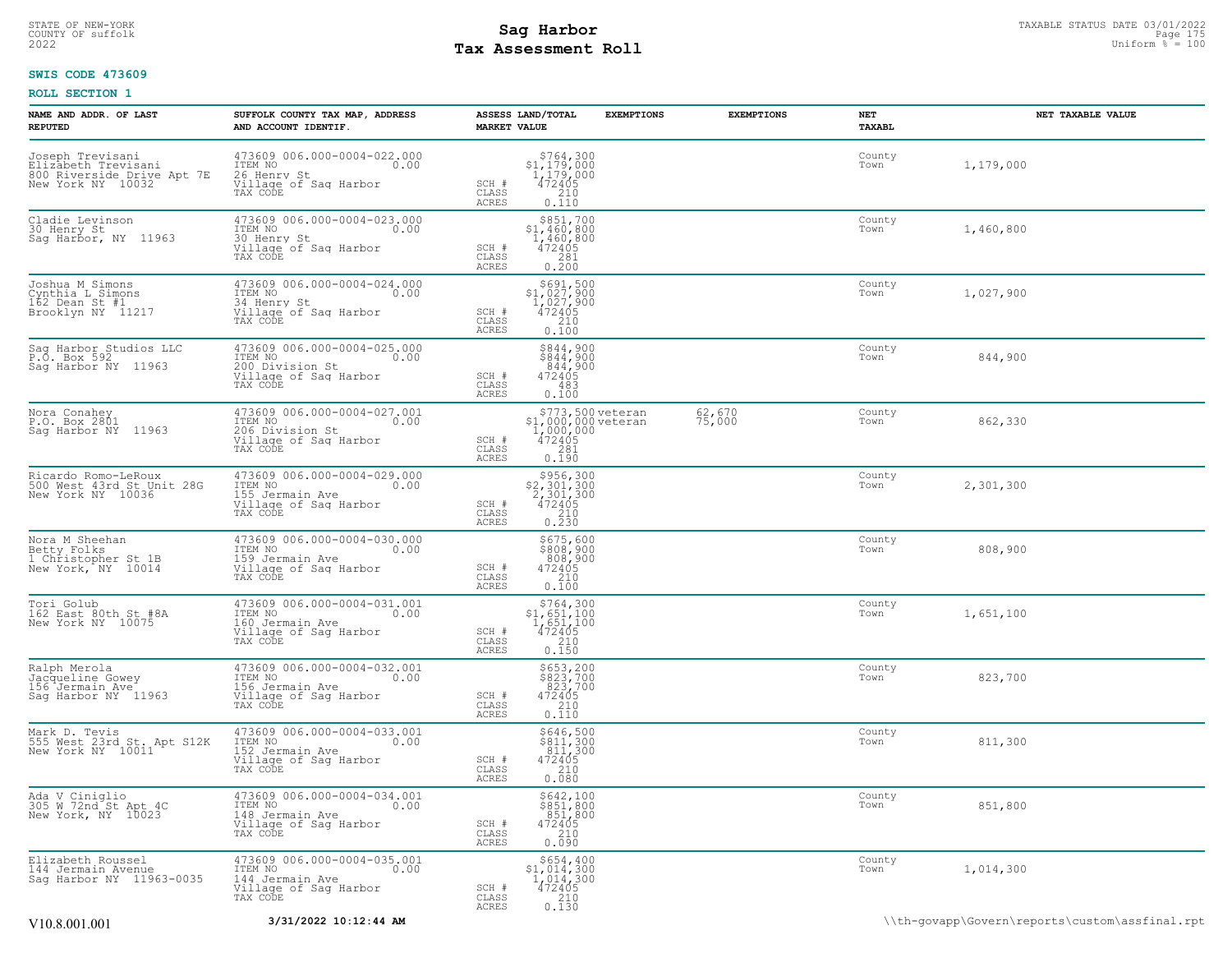# STATE OF NEW-YORK STATUS DATE 03/01/2022<br>
COUNTY OF suffolk **Sag From State Page 175 and Sag Harbor**<br>
2022 Mage **Pay Assessment Roll Tax Assessment Roll**

### **SWIS CODE 473609**

| NAME AND ADDR. OF LAST<br><b>REPUTED</b>                                                   | SUFFOLK COUNTY TAX MAP, ADDRESS<br>AND ACCOUNT IDENTIF.                                                     | ASSESS LAND/TOTAL<br><b>EXEMPTIONS</b><br><b>MARKET VALUE</b>                                                                                                   | <b>EXEMPTIONS</b>    | NET<br>TAXABL  | NET TAXABLE VALUE |
|--------------------------------------------------------------------------------------------|-------------------------------------------------------------------------------------------------------------|-----------------------------------------------------------------------------------------------------------------------------------------------------------------|----------------------|----------------|-------------------|
| Joseph Trevisani<br>Elizabeth Trevisani<br>800 Riverside Drive Apt 7E<br>New York NY 10032 | 473609 006.000-0004-022.000<br>ITEM NO<br>0.00<br>26 Henry St<br>Village of Sag Harbor<br>TAX CODE          | $$764,300$<br>$$1,179,000$<br>$1,179,000$<br>$472405$<br>210<br>SCH #<br>$\mathtt{CLASS}$<br>ACRES<br>0.110                                                     |                      | County<br>Town | 1,179,000         |
| Cladie Levinson<br>30 Henry St<br>Sag Harbor, NY 11963                                     | 473609 006.000-0004-023.000<br>ITEM NO<br>0.00<br>30 Henry St<br>Village of Sag Harbor<br>TAX CODE          | $\begin{array}{r} \text{\small $\$851,700$} \\ \text{\small $51,460,800$} \\ 1,460,800 \\ 472405 \\ 281 \\ 0.200 \end{array}$<br>SCH #<br>CLASS<br><b>ACRES</b> |                      | County<br>Town | 1,460,800         |
| Joshua M Simons<br>Cynthia L Simons<br>162 Dean St #1<br>Brooklyn NY 11217                 | 473609 006.000-0004-024.000<br>ITEM NO<br>0.00<br>34 Henry St<br>Village of Sag Harbor<br>TAX CODE          | $\begin{array}{r} \text{\small $\$691,500$} \\ \text{\small $51,027,900$} \\ 1,027,900 \\ 472405 \\ 210 \\ 0.100 \end{array}$<br>SCH #<br>CLASS<br>ACRES        |                      | County<br>Town | 1,027,900         |
| Sag Harbor Studios LLC<br>P.O. Box 592.<br>Saq Harbor NY 11963                             | 473609 006.000-0004-025.000<br>ITEM NO<br>0.00<br>200 Division St<br>Village of Sag Harbor<br>TAX CODE      | $$844,900$<br>$$844,900$<br>$844,900$<br>$472405$<br>SCH #<br>CLASS<br>483<br>ACRES<br>0.100                                                                    |                      | County<br>Town | 844,900           |
| Nora Conahey<br>P.O. Box 2801<br>Sag Harbor NY 11963                                       | 473609 006.000-0004-027.001<br>ITEM NO<br>0.00<br>206 Division St<br>Village of Sag Harbor<br>TAX CODE      | \$773,500 veteran<br>\$1,000,000 veteran<br>1,000,000<br>472405<br>SCH #<br>CLASS<br>$\begin{array}{c} 281 \\ 0.190 \end{array}$<br>ACRES                       | $62,670$<br>$75,000$ | County<br>Town | 862,330           |
| Ricardo Romo-LeRoux<br>500 West 43rd St Unit 28G<br>New York NY 10036                      | 473609 006.000-0004-029.000<br>ITEM NO<br>0.00<br>155 Jermain Ave<br>Village of Sag Harbor<br>TAX CODE      | $$2,301,3002,301,3002,301,300472405$<br>SCH #<br>CLASS<br>210<br>0.230<br>ACRES                                                                                 |                      | County<br>Town | 2,301,300         |
| Nora M Sheehan<br>Betty Folks<br>1 Christopher St 1B<br>New York, NY 10014                 | 473609 006.000-0004-030.000<br>ITEM NO<br>0.00<br>159 Jermain Ave<br>Village of Sag Harbor<br>TAX CODE      | \$675,600<br>\$808,900<br>808,900<br>SCH #<br>472405<br>CLASS<br>210<br>$0.\overline{100}$<br>ACRES                                                             |                      | County<br>Town | 808,900           |
| Tori Golub<br>162 East 80th St #8A<br>New York NY 10075                                    | 473609 006.000-0004-031.001<br>ITEM NO<br>0.00<br>160 Jermain Ave<br>Village of Sag Harbor<br>TAX CODE      | $$764,300$<br>$$1,651,100$<br>$1,651,100$<br>SCH #<br>472405<br>CLASS<br>0.150<br>ACRES                                                                         |                      | County<br>Town | 1,651,100         |
| Ralph Merola<br>Jacqueline Gowey<br>156 Jermain Ave<br>Saq Harbor NY 11963                 | 473609 006.000-0004-032.001<br>ITEM NO<br>0.00<br>156 Jermain Ave<br>Village of Sag Harbor<br>TAX CODE      | \$653,200<br>\$823,700<br>823,700<br>472405<br>210<br>0.110<br>SCH #<br>CLASS<br>ACRES                                                                          |                      | County<br>Town | 823,700           |
| Mark D. Tevis<br>555 West 23rd St. Apt S12K<br>New York NY 10011                           | 473609 006.000-0004-033.001<br>ITEM NO<br>0.00<br>152 Jermain Ave<br>Village of Sag Harbor<br>TAX CODE      | \$646,500<br>\$811,300<br>811,300<br>472405<br>SCH #<br>210<br>CLASS<br>ACRES<br>0.080                                                                          |                      | County<br>Town | 811,300           |
| Ada V Ciniglio<br>305 W 72nd St Apt 4C<br>New York, NY 10023                               | 473609 006.000-0004-034.001<br>ITEM NO<br>0.00<br>148 Jermain Ave<br>Village of Sag Harbor<br>TAX CODE      | \$642,100<br>\$851,800<br>851,800<br>472405<br>SCH #<br>CLASS<br>0.090<br>ACRES                                                                                 |                      | County<br>Town | 851,800           |
| Elizabeth Roussel<br>144 Jermain Avenue<br>Saq Harbor NY 11963-0035                        | 473609 006.000-0004-035.001<br>TTEM NO 0.00<br>0.00<br>144 Jermain Ave<br>Village of Sag Harbor<br>TAX CODE | \$654,400<br>\$1,014,300<br>1,014,300<br>472405<br>SCH #<br>CLASS<br>210<br>ACRES<br>0.130                                                                      |                      | County<br>Town | 1,014,300         |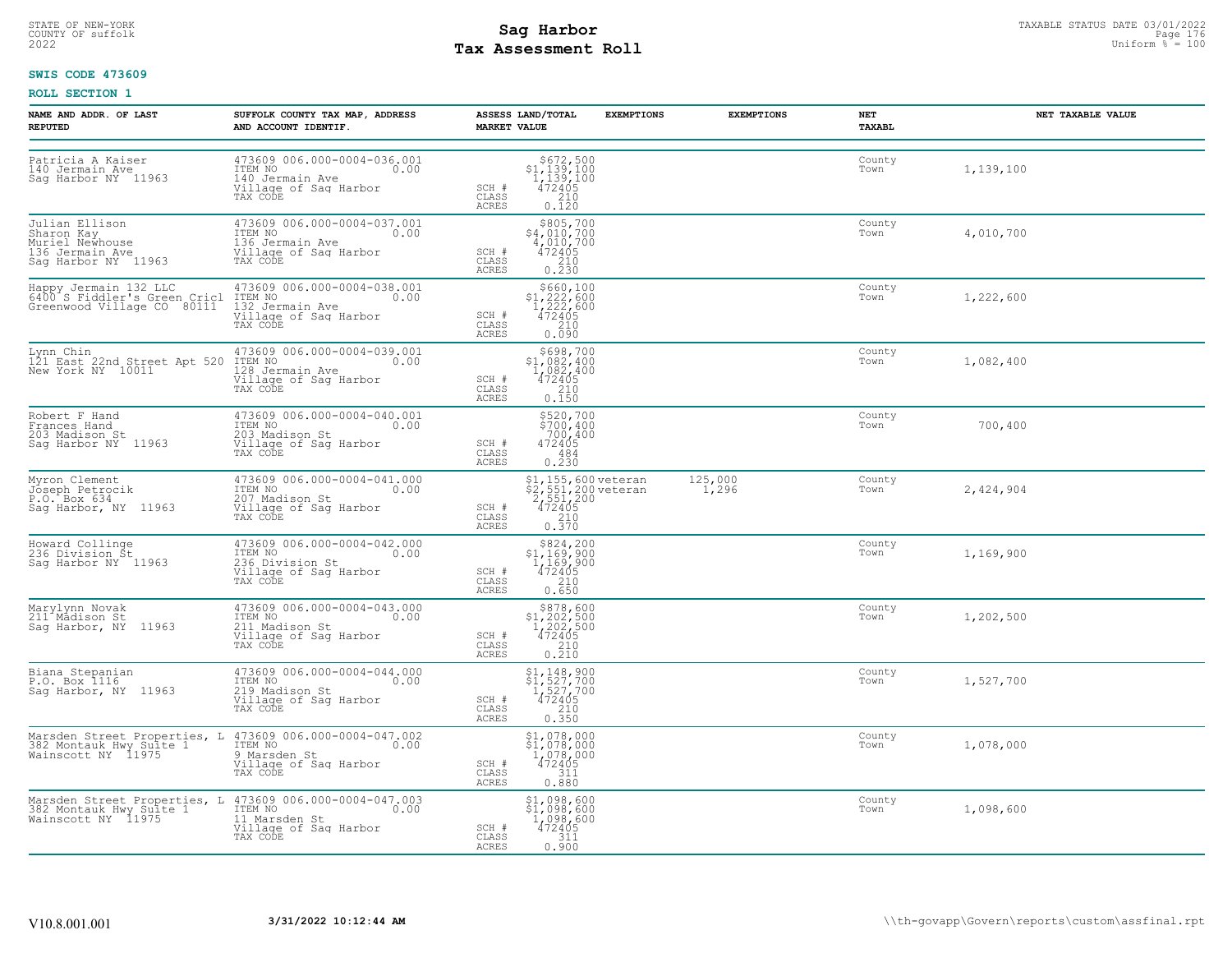# STATE OF NEW-YORK STATUS DATE 03/01/2022<br>
COUNTY OF suffolk **Sag From State Page 176**<br>
2022 Pay Assessment Roll **Tax Assessment Roll**

### **SWIS CODE 473609**

| <b>NAME AND ADDR. OF LAST</b><br><b>REPUTED</b>                                                                                           | SUFFOLK COUNTY TAX MAP, ADDRESS<br>AND ACCOUNT IDENTIF.                                                                                                                         | <b>MARKET VALUE</b>            | ASSESS LAND/TOTAL                                                                                           | <b>EXEMPTIONS</b> | <b>EXEMPTIONS</b> | NET<br>TAXABL  |           | NET TAXABLE VALUE |
|-------------------------------------------------------------------------------------------------------------------------------------------|---------------------------------------------------------------------------------------------------------------------------------------------------------------------------------|--------------------------------|-------------------------------------------------------------------------------------------------------------|-------------------|-------------------|----------------|-----------|-------------------|
| Patricia A Kaiser<br>140 Jermain Ave<br>Sag Harbor NY 11963                                                                               | 473609 006.000-0004-036.001<br>ITEM NO<br>0.00<br>140 Jermain Ave<br>Village of Sag Harbor<br>TAX CODE                                                                          | SCH #<br>CLASS<br><b>ACRES</b> | $$672,500$<br>$$1,139,100$<br>$1,139,100$<br>$\frac{472405}{210}$<br>0.120                                  |                   |                   | County<br>Town | 1,139,100 |                   |
| Julian Ellison<br>Sharon Kay<br>Muriel Newืhouse<br>136 Jermain Ave<br>Sag Harbor NY 11963                                                | 473609 006.000-0004-037.001<br>ITEM NO<br>0.00<br>136 Jermain Ave<br>Village of Sag Harbor<br>TAX CODE                                                                          | SCH #<br>CLASS<br><b>ACRES</b> | \$805,700<br>\$4,010,700<br>$4,010,700$<br>$472405$<br>$210$<br>0.230                                       |                   |                   | County<br>Town | 4,010,700 |                   |
|                                                                                                                                           | 132 Jermain Ave<br>Village of Sag Harbor<br>TAX CODE                                                                                                                            | SCH #<br>CLASS<br>ACRES        | \$660,100<br>$$1,222,600$<br>$1,222,600$<br>$472405$<br>0.090                                               |                   |                   | County<br>Town | 1,222,600 |                   |
| Lynn Chin<br>121 East 22nd Street Apt 520<br>10011<br>New York NY 10011                                                                   | 473609 006.000-0004-039.001<br>ITEM NO<br>0.00<br>128 Jermain Ave<br>Village of Sag Harbor<br>TAX CODE                                                                          | SCH #<br>CLASS<br>ACRES        | \$698,700<br>$$1,082,400$<br>$1,082,400$<br>$\frac{472405}{210}$<br>0.150                                   |                   |                   | County<br>Town | 1,082,400 |                   |
| Robert F Hand<br>Frances Hand<br>203 Madison St<br>Saq Harbor NY 11963                                                                    | 473609 006.000-0004-040.001<br>ITEM NO<br>0.00<br>203 Madison St<br>Village of Sag Harbor<br>TAX CODE                                                                           | SCH #<br>CLASS<br><b>ACRES</b> | \$520,700<br>$\frac{5700}{400}$<br>$700, 400$<br>472405<br>484<br>0.230                                     |                   |                   | County<br>Town | 700,400   |                   |
| Myron Clement<br>Jóseph Petrocik<br>P.O. Box 634<br>Sag Harbor, NY 11963                                                                  | 473609 006.000-0004-041.000<br>ITEM NO 0.00<br>0.00<br>107 Madison St<br>Village of Saq Harbor<br>TAX CODE                                                                      | SCH #<br>CLASS<br>ACRES        | \$1,155,600 veteran<br>\$2,551,200 veteran<br>2,551,200<br>472405<br>472405<br>210<br>0.370                 |                   | 125,000<br>1,296  | County<br>Town | 2,424,904 |                   |
| Howard Collinge<br>236 Division St<br>Sag Harbor NY 11963                                                                                 | 473609 006.000-0004-042.000<br>TTEM NO 0.00<br>236 Division St<br>Village of Sag Harbor<br>TAX CODE                                                                             | SCH #<br>CLASS<br><b>ACRES</b> | $$824, 200$<br>$$1, 169, 900$<br>$1, 169, 900$<br>$472405$<br>$\frac{210}{0.650}$                           |                   |                   | County<br>Town | 1,169,900 |                   |
| Marylynn Novak<br>211 <sup>4</sup> Mådison St<br>Saq Harbor, NY 11963                                                                     | 473609 006.000-0004-043.000<br>ITEM NO<br>0.00<br>211 Madison St<br>Village of Sag Harbor<br>TAX CODE                                                                           | SCH #<br>CLASS<br>ACRES        | $$878,600$<br>$$1,202,500$<br>$1,202,500$<br>$\frac{472405}{210}$<br>0.210                                  |                   |                   | County<br>Town | 1,202,500 |                   |
| Biana Stepanian<br>P.O. Box 1116<br>Sag Harbor, NY 11963                                                                                  | 473609 006.000-0004-044.000<br>ITEM NO<br>0.00<br>219 Madison St<br>Village of Sag Harbor<br>TAX CODE                                                                           | SCH #<br>CLASS<br><b>ACRES</b> | \$1,148,900<br>\$1,527,700<br>1,527,700<br>472405<br>$\frac{210}{0.350}$                                    |                   |                   | County<br>Town | 1,527,700 |                   |
| Marsden Street Properties, L 473609 006.000-0004-047.002<br>382 Montauk Hwy Suite 1 - ITEM NO - 0.00<br>Wainscott NY 11975 - 9 Marsden St | Village of Sag Harbor<br>TAX CODE                                                                                                                                               | SCH #<br>CLASS<br>ACRES        | \$1,078,000<br>$\begin{smallmatrix} 51,078,000\ 1,078,000\ 472405 \end{smallmatrix}$<br>$\frac{311}{0.880}$ |                   |                   | County<br>Town | 1,078,000 |                   |
|                                                                                                                                           | Marsden Street Properties, L 473609 006.000-0004-047.003<br>382 Montauk Hwy Suite 1 - TTEM NO - 0.00<br>Wainscott NY 11975 - 11 Marsden St<br>Village of Sag Harbor<br>TAX CODE | SCH #<br>CLASS<br>ACRES        | $$1,098,600$<br>$$1,098,600$<br>1,ŏ98,ĕŏŏ<br>472405<br>311<br>0.900                                         |                   |                   | County<br>Town | 1,098,600 |                   |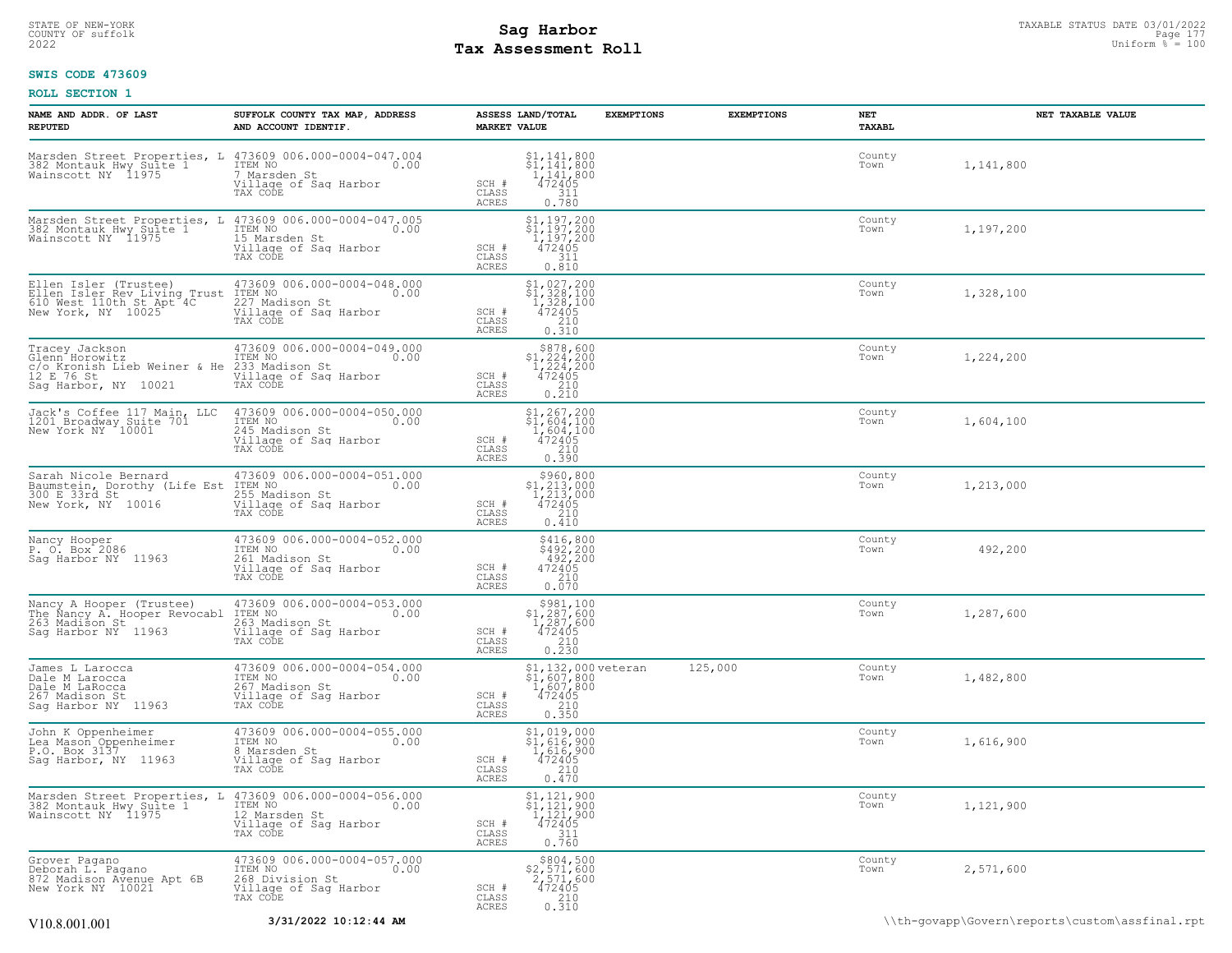# STATE OF NEW-YORK STATUS DATE 03/01/2022<br>
COUNTY OF suffolk **Sag From State Page 177**<br>
2022 Pay Assessment Roll **Tax Assessment Roll**

### **SWIS CODE 473609**

| NAME AND ADDR. OF LAST<br><b>REPUTED</b>                                                                                                     | SUFFOLK COUNTY TAX MAP, ADDRESS<br>AND ACCOUNT IDENTIF.                                                                          | ASSESS LAND/TOTAL<br><b>MARKET VALUE</b>                                                                                   | <b>EXEMPTIONS</b>                                                  | <b>EXEMPTIONS</b> | NET<br>TAXABL  | NET TAXABLE VALUE                              |
|----------------------------------------------------------------------------------------------------------------------------------------------|----------------------------------------------------------------------------------------------------------------------------------|----------------------------------------------------------------------------------------------------------------------------|--------------------------------------------------------------------|-------------------|----------------|------------------------------------------------|
| 382 Montauk Hwy Suite 1<br>Wainscott NY 11975                                                                                                | Marsden Street Properties, L 473609 006.000-0004-047.004<br>ITEM NO<br>0.00<br>7 Marsden St<br>Village of Sag Harbor<br>TAX CODE | $\begin{array}{c} $1,141,800 \ $1,141,800 \ 1,141,800 \end{array}$<br>SCH #<br>472405<br>CLASS<br>311<br>ACRES<br>0.780    |                                                                    |                   | County<br>Town | 1,141,800                                      |
| Marsden Street Properties, L 473609 006.000-0004-047.005<br>382 Montauk Hwy Suite 1 1 1 1 1 1 1 1 1 0.00<br>Wainscott NY 11975 15 Marsden St | 15 Marsden St<br>Village of Sag Harbor<br>TAX CODE                                                                               | \$1,197,200<br>\$1,197,200<br>1,197,200<br>472405<br>SCH #<br>311<br>CLASS<br><b>ACRES</b><br>0.810                        |                                                                    |                   | County<br>Town | 1,197,200                                      |
| Ellen Isler (Trustee)                                                                                                                        | 473609 006.000-0004-048.000<br>0.00<br>Village of Sag Harbor<br>TAX CODE                                                         | $$1,027,200$<br>$$1,328,100$<br>$1,328,100$<br>472405<br>SCH #<br>210<br>CLASS<br>ACRES<br>0.310                           |                                                                    |                   | County<br>Town | 1,328,100                                      |
| Tracey Jackson<br>Glenn Horowitz<br>C/o_Kronish Lieb Weiner & He 233 Madison St<br>12 E 76 St<br>Sag Harbor, NY 10021                        | 473609 006.000-0004-049.000<br>ITEM NO<br>0.00<br>Village of Sag Harbor<br>TAX CODE                                              | \$878,600<br>$$1,224,200$<br>$1,224,200$<br>$472405$<br>SCH #<br>CLASS<br>210<br>ACRES<br>0.210                            |                                                                    |                   | County<br>Town | 1,224,200                                      |
| Jack's Coffee 117 Main, LLC<br>1201 Broadway Suite 701<br>New York NY 10001                                                                  | 473609 006.000-0004-050.000<br>ITEM NO<br>0.00<br>245 Madison St<br>Village of Sag Harbor<br>TAX CODE                            | $$1, 267, 200$<br>$$1, 604, 100$<br>$1, 604, 100$<br>SCH #<br>472405<br>CLASS<br>210<br>ACRES<br>0.390                     |                                                                    |                   | County<br>Town | 1,604,100                                      |
| Sarah Nicole Bernard<br>Baumstein, Dorothy (Life Est ITEM NO<br>300 E 33rd St<br>New York, NY 10016                                          | 473609 006.000-0004-051.000<br>0.00<br>155 Madison St<br>Village of Sag Harbor<br>TAX CODE                                       | $\begin{array}{c} $960,800\\ $1,213,000\\ 1,213,000\\ 472405 \end{array}$<br>SCH #<br>210<br>CLASS<br>ACRES<br>0.410       |                                                                    |                   | County<br>Town | 1,213,000                                      |
| Nancy Hooper<br>P. O. Box 2086<br>Saq Harbor NY 11963                                                                                        | 473609 006.000-0004-052.000<br>TTEM NO 0.00<br>261 Madison St<br>Village of Sag Harbor<br>TAX CODE                               | \$416,800<br>\$492,200<br>492,200<br>SCH #<br>472405<br>CLASS<br>$0.210$<br>$0.070$<br><b>ACRES</b>                        |                                                                    |                   | County<br>Town | 492,200                                        |
| Nancy A Hooper (Trustee) 473609<br>The Nancy A. Hooper Revocabl ITEM NO<br>263 Madison St<br>Saq Harbor NY 11963                             | 473609 006.000-0004-053.000<br>0.00<br>263 Madison St<br>Village of Sag Harbor<br>TAX CODE                                       | $$981,100$<br>$$1,287,600$<br>$\frac{1}{4}$ $\frac{287}{495}$<br>SCH #<br>CLASS<br>210<br><b>ACRES</b><br>0.230            |                                                                    |                   | County<br>Town | 1,287,600                                      |
| James L Larocca<br>Dale M Larocca<br>Dale M LaRocca<br>267 Madison St<br>Sag Harbor NY 11963                                                 | 473609 006.000-0004-054.000<br>ITEM NO<br>0.00<br>11.11 No<br>267 Madison St<br>Village of Sag Harbor<br>TAX CODE                | SCH #<br>CLASS<br>ACRES                                                                                                    | $$1,132,000 \text{ veteran} $1,607,800 1,607,800 472405 210 0.350$ | 125,000           | County<br>Town | 1,482,800                                      |
| John K Oppenheimer<br>Lea Mason Oppenheimer<br>P.O. Box 3137<br>Sag Harbor, NY 11963                                                         | 473609 006.000-0004-055.000<br>ITEM NO<br>0.00<br>8 Marsden St<br>Village of Sag Harbor<br>TAX CODE                              | \$1,019,000<br>$\begin{array}{r} 51,616,900 \\ 1,616,900 \\ 472405 \end{array}$<br>SCH #<br>CLASS<br>210<br>ACRES<br>0.470 |                                                                    |                   | County<br>Town | 1,616,900                                      |
| Marsden Street Properties, L<br>382 Montauk Hwy Sulte 1<br>Wainscott NY 11975                                                                | 473609 006.000-0004-056.000<br>ITEM NO 0.00<br>12 Marsden St<br>Village of Sag Harbor<br>TAX CODE                                | \$1,121,900<br>\$1,121,900<br>1,121,900<br>472405<br>SCH #<br>CLASS<br>311<br>0.760<br>ACRES                               |                                                                    |                   | County<br>Town | 1,121,900                                      |
| Grover Pagano<br>Deborah L. Pagano<br>872 Madison Avenue Apt 6B<br>New York NY 10021                                                         | 473609 006.000-0004-057.000<br>ITEM NO 0.00<br>268 Division St<br>Village of Saq Harbor<br>TAX CODE                              | $$804,500$<br>$$2,571,600$<br>$2,571,600$<br>472405<br>SCH #<br>CLASS<br>0.310<br>ACRES                                    |                                                                    |                   | County<br>Town | 2,571,600                                      |
| V <sub>10.8</sub> .001.001                                                                                                                   | 3/31/2022 10:12:44 AM                                                                                                            |                                                                                                                            |                                                                    |                   |                | \\th-govapp\Govern\reports\custom\assfinal.rpt |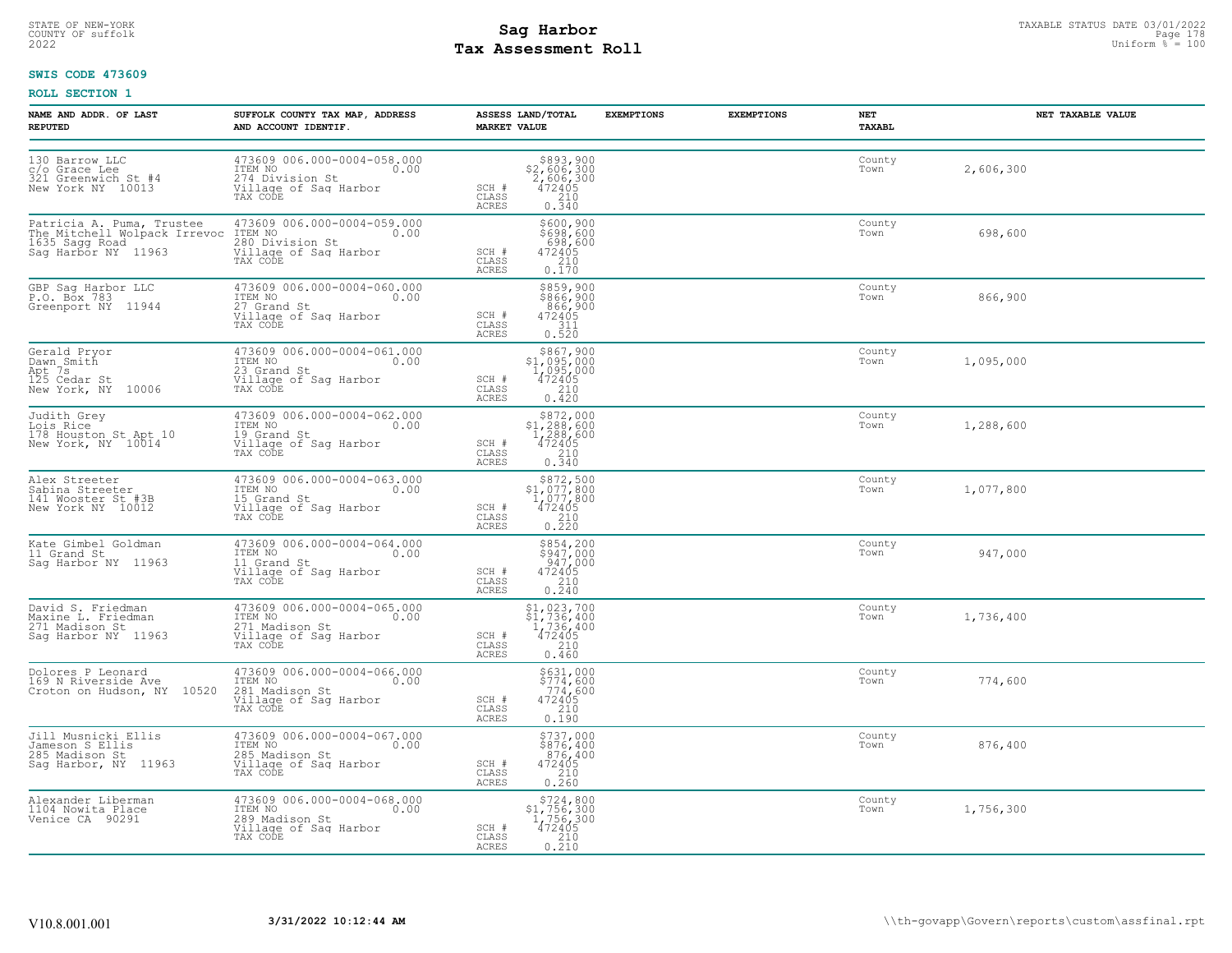# STATE OF NEW-YORK STATUS DATE 03/01/2022<br>
COUNTY OF suffolk **Sag From State Page 178 and Sag Harbor**<br>
2022 Man Duiform % = 100 **Tax Assessment Roll**

### **SWIS CODE 473609**

| NAME AND ADDR. OF LAST<br><b>REPUTED</b>                                         | SUFFOLK COUNTY TAX MAP, ADDRESS<br>AND ACCOUNT IDENTIF.                                               | ASSESS LAND/TOTAL<br><b>MARKET VALUE</b>                                                                                                                      | <b>EXEMPTIONS</b> | <b>EXEMPTIONS</b> | NET<br>TAXABL  | NET TAXABLE VALUE |
|----------------------------------------------------------------------------------|-------------------------------------------------------------------------------------------------------|---------------------------------------------------------------------------------------------------------------------------------------------------------------|-------------------|-------------------|----------------|-------------------|
| 130 Barrow LLC<br>c/o Grace Lee<br>321 Greenwich St #4<br>New York NY 10013      | 473609 006.000-0004-058.000<br>ITEM NO 0.00<br>274 Division St<br>Village of Sag Harbor<br>TAX CODE   | $\begin{array}{r} 5893, 900 \\ 52, 606, 300 \\ 2, 606, 300 \\ 472405 \\ 210 \\ 0.340 \end{array}$<br>SCH #<br>CLASS<br><b>ACRES</b>                           |                   |                   | County<br>Town | 2,606,300         |
| Sag Harbor NY 11963                                                              | 473609 006.000-0004-059.000<br>0.00<br>Village of Sag Harbor<br>TAX CODE                              | \$600,900<br>\$698,600<br>$472405$<br>$472405$<br>$210$<br>SCH #<br>CLASS<br><b>ACRES</b><br>0.170                                                            |                   |                   | County<br>Town | 698,600           |
| GBP Sag Harbor LLC<br>P.O. Box 783<br>Greenport NY 11944                         | 473609 006.000-0004-060.000<br>ITEM NO<br>27 Grand St<br>Village of Sag Harbor<br>TAX CODE            | \$859,900<br>\$866,900<br>866,900<br>472405<br>SCH #<br>CLASS<br>$\begin{array}{c} 311 \\ 0.520 \end{array}$<br>ACRES                                         |                   |                   | County<br>Town | 866,900           |
| Gerald Pryor<br>Dawn Smith<br>Apt 7s<br>125 Cedar St<br>New York, NY 10006       | 473609 006.000-0004-061.000<br>ITEM NO 0.00<br>23 Grand St<br>Village of Sag Harbor<br>TAX CODE       | \$867,900<br>\$1,095,000<br>1,095,000<br>472405<br>SCH #<br>CLASS<br>$\frac{210}{0.420}$<br><b>ACRES</b>                                                      |                   |                   | County<br>Town | 1,095,000         |
| Judith Grey<br>Lois Rice<br>178 Houston St Apt 10<br>New York, NY 10014          | 473609 006.000-0004-062.000<br>ITEM NO 0.00<br>19 Grand St<br>Village of Sag Harbor<br>TAX CODE       | \$872,000<br>$$1,288,600$<br>1,288,600<br>472405<br>210<br>SCH #<br>CLASS<br>0.340<br><b>ACRES</b>                                                            |                   |                   | County<br>Town | 1,288,600         |
| Alex Streeter<br>Sabina Streeter<br>141 Wooster St #3B<br>New York NY 10012      | 473609 006.000-0004-063.000<br>ITEM NO 0.00<br>15 Grand St<br>Village of Saq Harbor<br>TAX CODE       | $\begin{array}{r} \text{\small $\$72,500} \\ \text{\small $\$1,077,800} \\ 1,077,800 \\ 472405 \\ 210 \\ 0.220 \end{array}$<br>SCH #<br>CLASS<br><b>ACRES</b> |                   |                   | County<br>Town | 1,077,800         |
| Kate Gimbel Goldman<br>11 Grand St<br>Saq Harbor NY 11963                        | 473609 006.000-0004-064.000<br>ITEM NO 0.00<br>11 Grand St<br>Village of Sag Harbor<br>TAX CODE       | $$854, 200$<br>$$947, 000$<br>$947, 000$<br>$472405$<br>SCH #<br>CLASS<br>$\frac{210}{0.240}$<br><b>ACRES</b>                                                 |                   |                   | County<br>Town | 947,000           |
| David S. Friedman<br>Maxine L. Friedman<br>271 Madison St<br>Sag Harbor NY 11963 | 473609 006.000-0004-065.000<br>ITEM NO 0.00<br>271 Madison St<br>Village of Sag Harbor<br>TAX CODE    | $\begin{array}{r} $1,023,700 \\ $1,736,400 \\ $1,736,400 \\ $472405 \\ $210 \end{array}$<br>SCH #<br>CLASS<br>0.460<br>ACRES                                  |                   |                   | County<br>Town | 1,736,400         |
| Dolores P Leonard<br>169 N Riverside Ave<br>Croton on Hudson, NY 10520           | 473609 006.000-0004-066.000<br>ITEM NO 0.00<br>281 Madison St<br>Village of Sag Harbor<br>TAX CODE    | \$631,000<br>\$774,600<br>774,600<br>SCH #<br>472405<br>$\begin{array}{c} 210 \\ 0.190 \end{array}$<br>CLASS<br><b>ACRES</b>                                  |                   |                   | County<br>Town | 774,600           |
| Jill Musnicki Ellis<br>Jameson S Ellis<br>285 Madison St<br>Sag Harbor, NY 11963 | 473609 006.000-0004-067.000<br>ITEM NO.00<br>285 Madison St<br>Village of Sag Harbor<br>TAX CODE      | \$737,000<br>\$876,400<br>876,400<br>$SCH$ $#$<br>$\begin{array}{r} 472405 \\ 210 \\ 0.260 \end{array}$<br>CLASS<br>ACRES                                     |                   |                   | County<br>Town | 876,400           |
| Alexander Liberman<br>1104 Nowita Place<br>Venice CA 90291                       | 473609 006.000-0004-068.000<br>ITEM NO<br>0.00<br>289 Madison St<br>Village of Sag Harbor<br>TAX CODE | $$724, 800$<br>$$1, 756, 300$<br>$1, 756, 300$<br>$472405$<br>$$210$<br>SCH #<br>CLASS<br>0.210<br>ACRES                                                      |                   |                   | County<br>Town | 1,756,300         |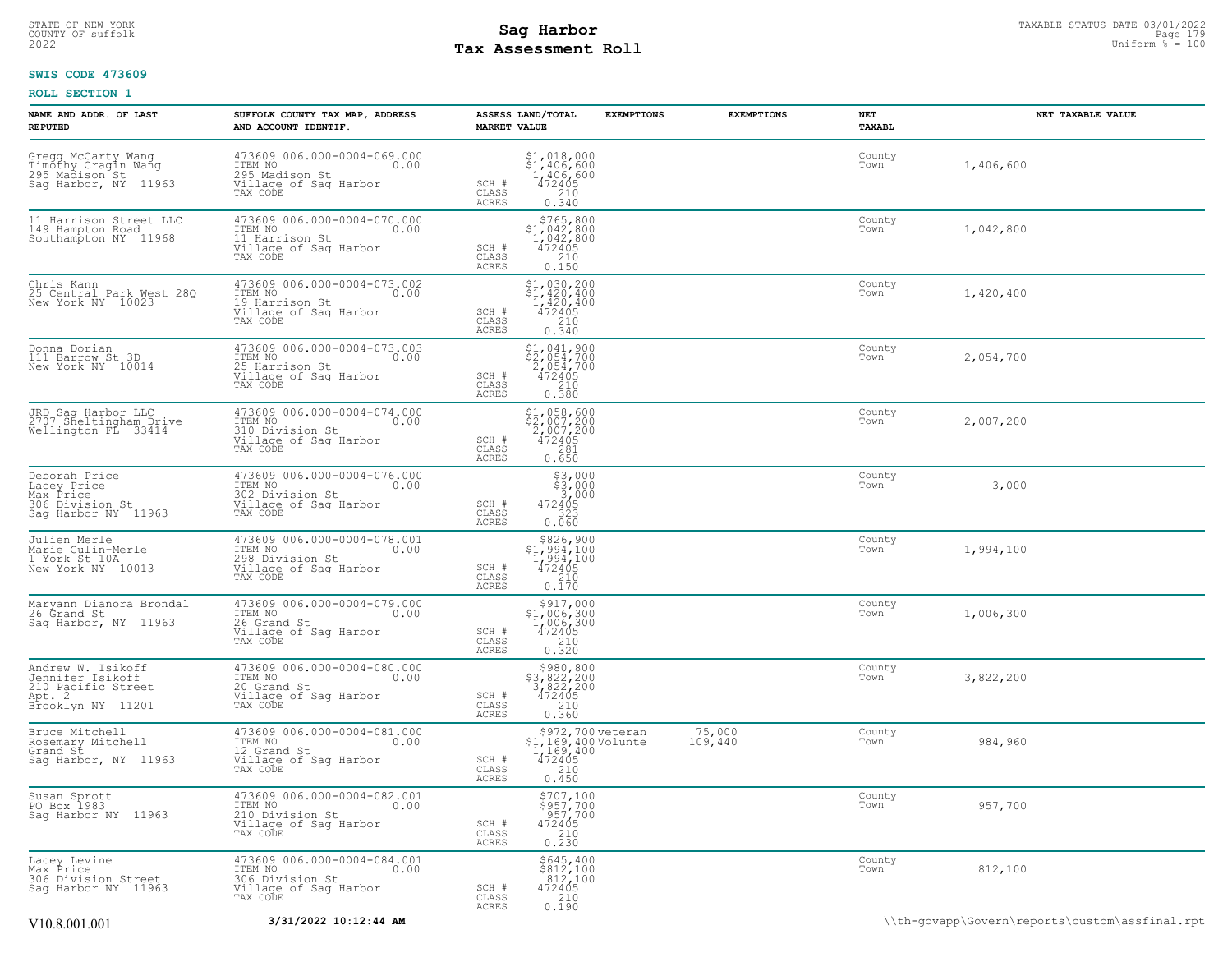# STATE OF NEW-YORK STATUS DATE 03/01/2022<br>
COUNTY OF suffolk **Sag From State Page 179**<br>
2022 Pay Assessment Roll **Tax Assessment Roll**

### **SWIS CODE 473609**

| NAME AND ADDR. OF LAST<br><b>REPUTED</b>                                                       | SUFFOLK COUNTY TAX MAP, ADDRESS<br>AND ACCOUNT IDENTIF.                                                | ASSESS LAND/TOTAL<br><b>MARKET VALUE</b>                                                                                                                 | <b>EXEMPTIONS</b>                      | <b>EXEMPTIONS</b><br>NET | TAXABL                      | NET TAXABLE VALUE                              |
|------------------------------------------------------------------------------------------------|--------------------------------------------------------------------------------------------------------|----------------------------------------------------------------------------------------------------------------------------------------------------------|----------------------------------------|--------------------------|-----------------------------|------------------------------------------------|
| Gregg McCarty Wang<br>Timothy Cragin Wang<br>295 Madison St<br>Sag Harbor, NY 11963            | 473609 006.000-0004-069.000<br>ITEM NO<br>0.00<br>295 Madison St<br>Village of Sag Harbor<br>TAX CODE  | $\begin{array}{r} \texttt{\$1$, 018, 000} \\ \texttt{\$1$, 406, 600} \\ 1, 406, 600 \\ 472405 \\ 210 \\ 0.340 \end{array}$<br>SCH #<br>CLASS<br>ACRES    |                                        | Town                     | County<br>1,406,600         |                                                |
| 11 Harrison Street LLC<br>149 Hampton Road<br>Southampton NY 11968                             | 473609 006.000-0004-070.000<br>ITEM NO<br>0.00<br>11 Harrison St<br>Village of Sag Harbor<br>TAX CODE  | \$765,800<br>\$1,042,800<br>1,042,800<br>472405<br>SCH #<br>0.150<br>CLASS<br>ACRES                                                                      |                                        | Town                     | County<br>1,042,800         |                                                |
| Chris Kann<br>25 Central Park West 28Q<br>New York NY 10023                                    | 473609 006.000-0004-073.002<br>ITEM NO<br>0.00<br>19 Harrison St<br>Village of Sag Harbor<br>TAX CODE  | \$1,030,200<br>\$1,420,400<br>1,420,400<br>472405<br>SCH #<br>CLASS<br>210<br>0.340<br>ACRES                                                             |                                        |                          | County<br>Town<br>1,420,400 |                                                |
| Donna Dorian<br>111 Barrow St 3D<br>New York NY 10014                                          | 473609 006.000-0004-073.003<br>TTEM NO 0.00<br>25 Harrison St<br>Village of Sag Harbor<br>TAX CODE     | \$1,041,900<br>\$2,054,700<br>2,054,700<br>472405<br>SCH #<br>CLASS<br>0.380<br><b>ACRES</b>                                                             |                                        | Town                     | County<br>2,054,700         |                                                |
| JRD Sag Harbor LLC<br>2707 Sheltingham Drive<br>Wellington FL 33414                            | 473609 006.000-0004-074.000<br>ITEM NO<br>0.00<br>310 Division St<br>Village of Sag Harbor<br>TAX CODE | \$1,058,600<br>\$2,007,200<br>2,007,200<br>472405<br>SCH #<br>CLASS<br>$\frac{281}{0.650}$<br>ACRES                                                      |                                        | Town                     | County<br>2,007,200         |                                                |
| Deborah Price<br>Lacey Price<br>Max Price<br>306 Division St<br>Sag Harbor NY 11963            | 473609 006.000-0004-076.000<br>ITEM NO<br>0.00<br>302 Division St<br>Village of Sag Harbor<br>TAX CODE | $$3,000$<br>$$3,000$<br>3,000<br>472405<br>SCH #<br>323<br>CLASS<br><b>ACRES</b><br>0.060                                                                |                                        | Town                     | County                      | 3,000                                          |
| Julien Merle<br>Marie Gulin-Merle<br>1 York St 10A<br>New York NY 10013                        | 473609 006.000-0004-078.001<br>ITEM NO<br>0.00<br>298 Division St<br>Village of Sag Harbor<br>TAX CODE | \$826,900<br>\$1,994,100<br>1,994,100<br>SCH #<br>472405<br>CLASS<br>0.170<br>ACRES                                                                      |                                        |                          | County<br>Town<br>1,994,100 |                                                |
| Maryann Dianora Brondal<br>26 Grand St<br>Sag Harbor, NY 11963                                 | 473609 006.000-0004-079.000<br>ITEM NO<br>0.00<br>26 Grand St<br>Village of Sag Harbor<br>TAX CODE     | $\begin{array}{c} $917,000 \\ $1,006,300 \\ $1,006,300 \\ $472405 \end{array}$<br>SCH #<br>$\begin{array}{c} 210 \\ 0.320 \end{array}$<br>CLASS<br>ACRES |                                        | Town                     | County<br>1,006,300         |                                                |
| Andrew W. Isikoff<br>Jennifer Isikoff<br>210 Pacific Street<br>Apt.<br>-2<br>Brooklyn NY 11201 | 473609 006.000-0004-080.000<br>ITEM NO<br>0.00<br>20 Grand St<br>Village of Sag Harbor<br>TAX CODE     | \$980,800<br>\$3,822,200<br>3,822,200<br>472405<br>SCH #<br>0.360<br>CLASS<br><b>ACRES</b>                                                               |                                        | Town                     | County<br>3,822,200         |                                                |
| Bruce Mitchell<br>Rosemary Mitchell<br>Grand St<br>Sag Harbor, NY 11963                        | 473609 006.000-0004-081.000<br>ITEM NO<br>0.00<br>12 Grand St<br>Village of Sag Harbor<br>TAX CODE     | \$1,169,400 Volunte<br>$\frac{1}{4}$ $\frac{169}{42405}$<br>SCH #<br>CLASS<br>210<br>0.450<br>ACRES                                                      | \$972,700 veteran<br>75,000<br>109,440 |                          | County<br>984,960<br>Town   |                                                |
| Susan Sprott<br>PO Box 1983<br>Sag Harbor NY 11963                                             | 473609 006.000-0004-082.001<br>ITEM NO<br>0.00<br>210 Division St<br>Village of Saq Harbor<br>TAX CODE | $\begin{array}{c} $707,100$ \\ $957,700$ \\ 957,700 \\ 472405 \\ 210 \\ 0.230 \\ \end{array}$<br>SCH #<br>CLASS<br>ACRES                                 |                                        | Town                     | County<br>957,700           |                                                |
| Lacey Levine<br>Max Price<br>306 Division Street<br>Saq Harbor NY 11963                        | 473609 006.000-0004-084.001<br>ITEM NO 0.00<br>306 Division St<br>Village of Sag Harbor<br>TAX CODE    | $$845, 400$<br>$$812, 100$<br>$812, 100$<br>$472405$<br>SCH #<br>CLASS<br>0.190<br>ACRES                                                                 |                                        | Town                     | County<br>812,100           |                                                |
| V10.8.001.001                                                                                  | 3/31/2022 10:12:44 AM                                                                                  |                                                                                                                                                          |                                        |                          |                             | \\th-qovapp\Govern\reports\custom\assfinal.rpt |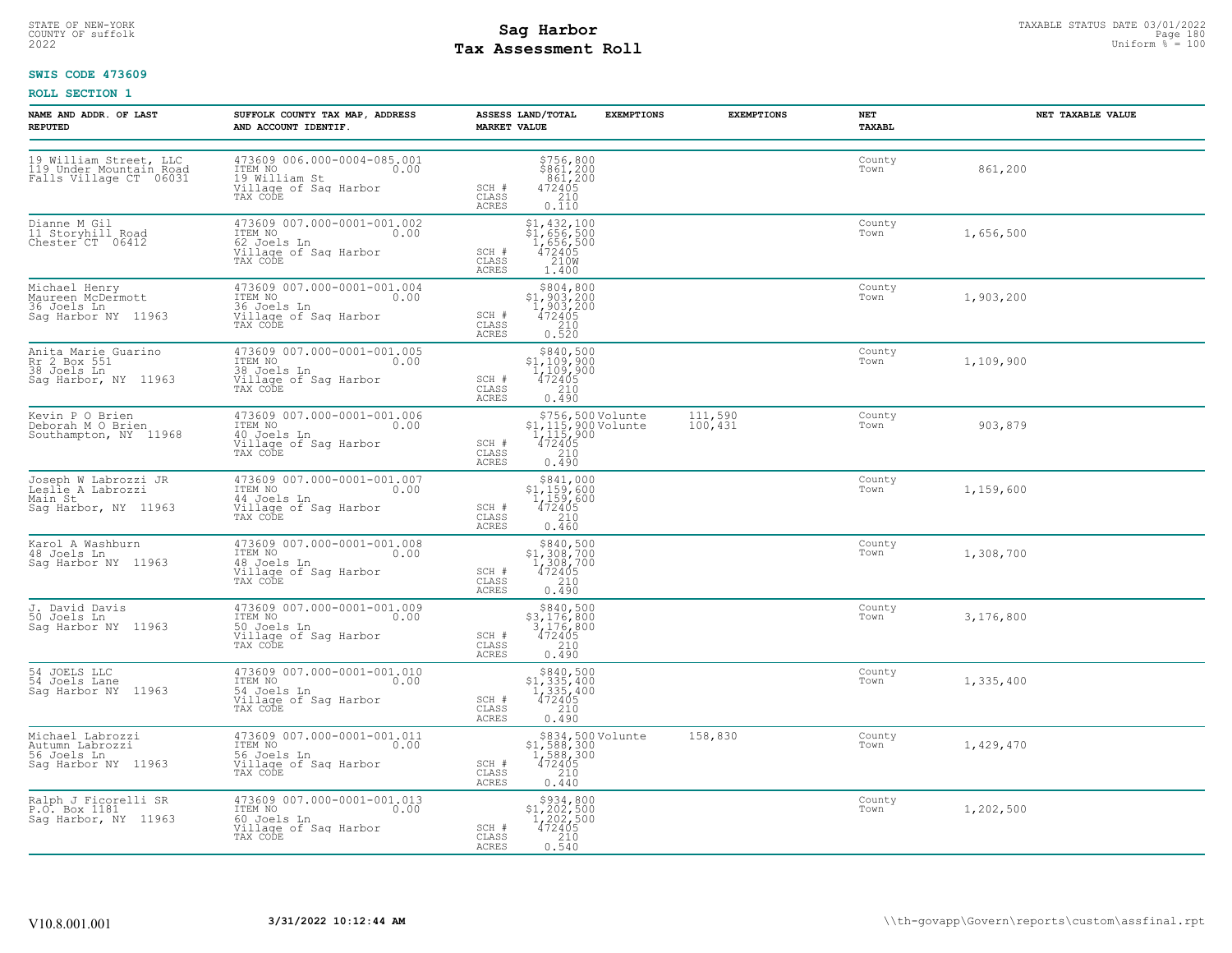# STATE OF NEW-YORK STATUS DATE 03/01/2022<br>
COUNTY OF suffolk **Sag From the Sag State Page 180**<br>
2022 Pay Assessment Roll **Tax Assessment Roll**

### **SWIS CODE 473609**

| NAME AND ADDR. OF LAST<br><b>REPUTED</b>                                     | SUFFOLK COUNTY TAX MAP, ADDRESS<br>AND ACCOUNT IDENTIF.                                                   | ASSESS LAND/TOTAL<br><b>EXEMPTIONS</b><br><b>MARKET VALUE</b>                                                                    | <b>EXEMPTIONS</b><br>NET<br>TAXABL | NET TAXABLE VALUE |
|------------------------------------------------------------------------------|-----------------------------------------------------------------------------------------------------------|----------------------------------------------------------------------------------------------------------------------------------|------------------------------------|-------------------|
| 19 William Street, LLC<br>119 Under Mountain Road<br>Falls Village CT 06031  | 473609 006.000-0004-085.001<br>ITEM NO<br>0.00<br>19 William St<br>Village of Sag Harbor<br>TAX CODE      | \$756,800<br>\$861,200<br>.861,200<br>SCH #<br>$472405$<br>$210$<br>CLASS<br><b>ACRES</b><br>0.110                               | County<br>Town                     | 861,200           |
| Dianne M Gil<br>11 Storyhill Road<br>Chester CT 06412                        | 473609 007.000-0001-001.002<br>ITEM NO<br>0.00<br>62 Joels Ln<br>Village of Sag Harbor<br>TAX CODE        | \$1,432,100<br>\$1,656,500<br>1,656,500<br>472405<br>210M<br>SCH #<br>$\mathtt{CLASS}$<br><b>ACRES</b><br>1.400                  | County<br>Town                     | 1,656,500         |
| Michael Henry<br>Maureen McDermott<br>36 Joels Ln<br>Saq Harbor NY 11963     | 473609 007.000-0001-001.004<br>ITEM NO 0.00<br>16 Joels Ln<br>Village of Saq Harbor<br>TAX CODE           | \$804,800<br>\$1,903,200<br>1,903,200<br>472405<br>SCH #<br>CLASS<br>$\frac{210}{0.520}$<br>ACRES                                | County<br>Town                     | 1,903,200         |
| Anita Marie Guarino<br>Rr 2 Box 551<br>38 Joels Ln<br>Sag Harbor, NY 11963   | 473609 007.000-0001-001.005<br>ITEM NO<br>0.00<br>38 Joels Ln<br>Village of Sag Harbor<br>TAX CODE        | $5840,500\n51,109,900\n1,109,900\n472405\n210$<br>SCH #<br>CLASS<br>ACRES<br>0.490                                               | County<br>Town                     | 1,109,900         |
| Kevin P O Brien<br>Deborah M O Brien<br>Southampton, NY 11968                | 473609 007.000-0001-001.006<br>ITEM NO<br>0.00<br>10 Joels Ln<br>Village of Sag Harbor<br>TAX CODE        | \$756,500 Volunte<br>\$1,115,900 Volunte<br>1,115,900<br>472405<br>210<br>111,590<br>100,431<br>SCH #<br>CLASS<br>0.490<br>ACRES | County<br>Town                     | 903,879           |
| Joseph W Labrozzi JR<br>Leslie A Labrozzi<br>Main St<br>Saq Harbor, NY 11963 | 473609 007.000-0001-001.007<br>ITEM NO<br>0.00<br>44 Joels Ln<br>Village of Sag Harbor<br>TAX CODE        | $\begin{array}{r} 5841,000 \\ 51,159,600 \\ 1,159,600 \\ 472405 \\ 210 \end{array}$<br>SCH #<br>CLASS<br><b>ACRES</b><br>0.460   | County<br>Town                     | 1,159,600         |
| Karol A Washburn<br>48 Joels Ln<br>Saq Harbor NY 11963                       | 473609 007.000-0001-001.008<br>ITEM NO 0.00<br>48 Joels Ln<br>Village of Saq Harbor<br>TAX CODE           | \$840,500<br>\$1,308,700<br>1,308,700<br>472405<br>SCH #<br>CLASS<br>210<br>ACRES<br>0.490                                       | County<br>Town                     | 1,308,700         |
| J. David Davis<br>50 Joels Ln<br>Sag Harbor NY 11963                         | 473609 007.000-0001-001.009<br>ITEM NO 0.00<br>50 Joels Ln<br>Village of Sag Harbor<br>TAX CODE           | $\begin{array}{r} $840,500\n$3,176,800\n3,176,800\n472405\n210\n\end{array}$<br>SCH #<br>CLASS<br>ACRES<br>0.490                 | County<br>Town                     | 3,176,800         |
| 54 JOELS LLC<br>54 Joels Lane<br>Sag Harbor NY 11963                         | 473609 007.000-0001-001.010<br>ITEM NO<br>$\sim$ 0.00<br>54 Joels Ln<br>Village of Sag Harbor<br>TAX CODE | \$840,500<br>$$1,335,400$<br>$1,335,400$<br>$472405$<br>SCH #<br>210<br>CLASS<br>ACRES<br>0.490                                  | County<br>Town                     | 1,335,400         |
| Michael Labrozzi<br>Autumn Labrozzi<br>56 Joels Ln<br>Sag Harbor NY 11963    | 473609 007.000-0001-001.011<br>ITEM NO 0.00<br>0.00<br>The Noels Ln<br>Village of Sag Harbor<br>TAX CODE  | \$834,500 Volunte<br>158,830<br>$$1,588,300$<br>1,588,300<br>472405<br>210<br>SCH #<br>CLASS<br>ACRES<br>0.440                   | County<br>Town                     | 1,429,470         |
| Ralph J Ficorelli SR<br>P.O. Box 1181<br>Saq Harbor, NY 11963                | 473609 007.000-0001-001.013<br>ITEM NO<br>0.00<br>60 Joels Ln<br>Village of Sag Harbor<br>TAX CODE        | $$934, 800$<br>$$1, 202, 500$<br>$1, 202, 500$<br>$472405$<br>$$210$<br>SCH #<br>CLASS<br>0.540<br>ACRES                         | County<br>Town                     | 1,202,500         |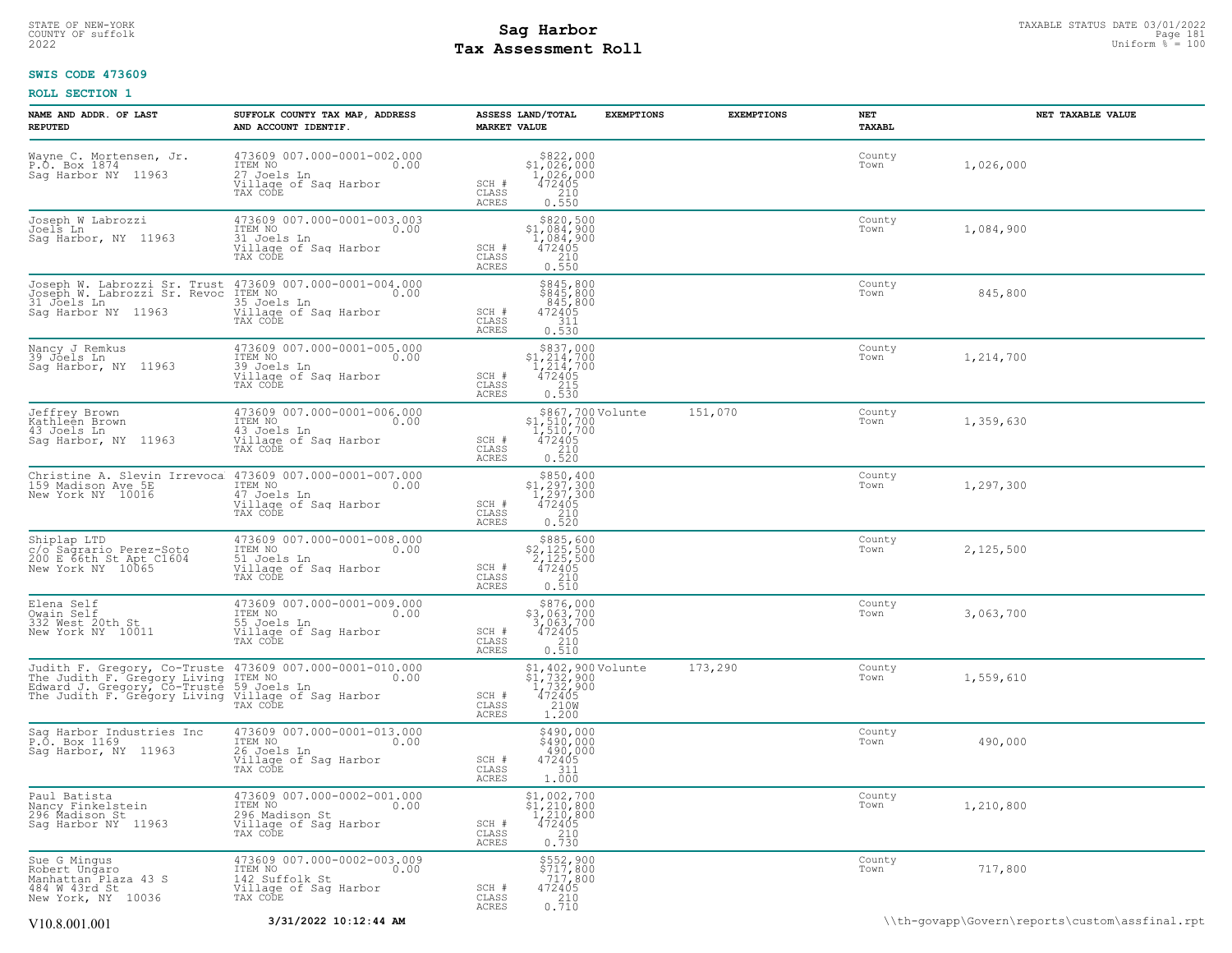# STATE OF NEW-YORK STATUS DATE 03/01/2022<br>
COUNTY OF suffolk Taxable Page 181<br>
2022 MageSosment Roll Page 1810 **Tax Assessment Roll**

#### **SWIS CODE 473609**

| NAME AND ADDR. OF LAST<br><b>REPUTED</b>                                                                           | SUFFOLK COUNTY TAX MAP, ADDRESS<br>AND ACCOUNT IDENTIF.                                                              | ASSESS LAND/TOTAL<br><b>MARKET VALUE</b>                                                                                 | <b>EXEMPTIONS</b>                                                                   | <b>EXEMPTIONS</b> | NET<br>TAXABL  | NET TAXABLE VALUE                              |
|--------------------------------------------------------------------------------------------------------------------|----------------------------------------------------------------------------------------------------------------------|--------------------------------------------------------------------------------------------------------------------------|-------------------------------------------------------------------------------------|-------------------|----------------|------------------------------------------------|
| Wayne C. Mortensen, Jr.<br>P.O. Box 1874<br>Sag Harbor NY 11963                                                    | 473609 007.000-0001-002.000<br>ITEM NO<br>0.00<br>27 Joels Ln<br>Village of Saq Harbor<br>TAX CODE                   | $$822,000$<br>$$1,026,000$<br>$1,026,000$<br>$472405$<br>210<br>SCH #<br>CLASS<br>ACRES<br>0.550                         |                                                                                     |                   | County<br>Town | 1,026,000                                      |
| Joseph W Labrozzi<br>Joels Ln<br>Sag Harbor, NY 11963                                                              | 473609 007.000-0001-003.003<br>ITEM NO<br>0.00<br>31 Joels Ln<br>Village of Sag Harbor<br>TAX CODE                   | \$820,500<br>$$1,084,900$<br>$1,084,900$<br>SCH #<br>472405<br>210<br>CLASS<br>ACRES<br>0.550                            |                                                                                     |                   | County<br>Town | 1,084,900                                      |
| Joseph W. Labrozzi Sr. Revoc ITEM NO<br>31 Joels Ln<br>Saq Harbor NY 11963                                         | Joseph W. Labrozzi Sr. Trust 473609 007.000-0001-004.000<br>0.00<br>35 Joels Ln<br>Village of Sag Harbor<br>TAX CODE | \$845,800<br>\$845,800<br>SCH #<br>472405<br>311<br>CLASS<br>0.530<br>ACRES                                              | 845,800                                                                             |                   | County<br>Town | 845,800                                        |
| Nancy J Remkus<br>39 Jõels Ln<br>Sag Harbor, NY 11963                                                              | 473609 007.000-0001-005.000<br>0.00 0.00<br>39 Joels Ln<br>Village of Saq Harbor<br>TAX CODE                         | $$837,000$<br>$$1,214,700$<br>$1,214,700$<br>$472405$<br>$$215$<br>SCH #<br>CLASS<br>ACRES<br>0.530                      |                                                                                     |                   | County<br>Town | 1,214,700                                      |
| Jeffrey Brown<br>Kathleen Brown<br>43 Joels Ln<br>Sag Harbor, NY 11963                                             | 473609 007.000-0001-006.000<br>ITEM NO<br>0.00<br>43 Joels Ln<br>Village of Sag Harbor<br>TAX CODE                   | SCH #<br>CLASS<br>0.520<br>ACRES                                                                                         | \$867,700 Volunte<br>\$1,510,700<br>1,510,700<br>472405                             | 151,070           | County<br>Town | 1,359,630                                      |
| Christine A. Slevin Irrevoca<br>159 Madison Ave 5E<br>New York NY 10016                                            | 473609 007.000-0001-007.000<br>ITEM NO<br>0.00<br>47 Joels Ln<br>Village of Sag Harbor<br>TAX CODE                   | $$850, 400$<br>$$1, 297, 300$<br>$1, 297, 300$<br>472405<br>SCH #<br>CLASS<br>ACRES<br>0.520                             | 210                                                                                 |                   | County<br>Town | 1,297,300                                      |
| Shiplap LTD<br>c/o Sagrario Perez-Soto<br>200 E 66th St Apt C1604<br>New York NY 10065                             | 473609 007.000-0001-008.000<br>ITEM NO<br>0.00<br>51 Joels Ln<br>Village of Sag Harbor<br>TAX CODE                   | $$885,600$<br>$$2,125,500$<br>$2,125,500$<br>$472405$<br>SCH #<br>CLASS<br>0.210<br>ACRES                                |                                                                                     |                   | County<br>Town | 2,125,500                                      |
| Elena Self<br>Owain Self<br>332 West 20th St<br>New York NY 10011                                                  | 473609 007.000-0001-009.000<br>ITEM NO<br>0.00<br>55 Joels Ln<br>Village of Sag Harbor<br>TAX CODE                   | $$876,000$<br>$$3,063,700$<br>$3,063,700$<br>$472405$<br>$$210$<br>SCH #<br>CLASS<br>0.510<br>ACRES                      |                                                                                     |                   | County<br>Town | 3,063,700                                      |
| The Judith F. Gregory Living<br>Edward J. Gregory, Cô-Trusté<br>The Judith F. Gregory Living Village of Sag Harbor | Judith F. Gregory, Co-Truste 473609 007.000-0001-010.000<br>ITEM NO<br>0.00<br>59 Joels Ln<br>TAX CODE               | SCH #<br>CLASS<br>ACRES<br>1.200                                                                                         | $$1,402,900$ Volunte<br>$$1,732,900$<br>$1,732,900$<br>$472405$<br>$2100$<br>$1000$ | 173,290           | County<br>Town | 1,559,610                                      |
| Sag Harbor Industries Inc<br>P.O. Box 1169<br>Sag Harbor, NY 11963                                                 | 473609 007.000-0001-013.000<br>ITEM NO<br>0.00<br>26 Joels Ln<br>Village of Sag Harbor<br>TAX CODE                   | \$490,000<br>\$490,000<br>SCH #<br>472405<br>311<br>CLASS<br>1.000<br>ACRES                                              | 490,000                                                                             |                   | County<br>Town | 490,000                                        |
| Paul Batista<br>Nancy Finkelstein<br>296 Madison St<br>Saq Harbor NY 11963                                         | 473609 007.000-0002-001.000<br>ITEM NO<br>0.00<br>296 Madison St<br>Village of Sag Harbor<br>TAX CODE                | $\begin{array}{c} $1,002,700 \\ $1,210,800 \\ $1,210,800 \\ $472405 \\ $0.730 \\ \end{array}$<br>SCH #<br>CLASS<br>ACRES |                                                                                     |                   | County<br>Town | 1,210,800                                      |
| Sue G Mingus<br>Robert Ungaro<br>Manhattan Plaza 43 S<br>484 W 43rd St<br>New York, NY 10036                       | 473609 007.000-0002-003.009<br>ITEM NO<br>0.00<br>142 Suffolk St<br>Village of Saq Harbor<br>TAX CODE                | \$552,900<br>\$717,800<br>717,800<br>472405<br>SCH #<br>CLASS<br>$\frac{210}{0.710}$<br>ACRES                            |                                                                                     |                   | County<br>Town | 717,800                                        |
| V <sub>10.8</sub> .001.001                                                                                         | 3/31/2022 10:12:44 AM                                                                                                |                                                                                                                          |                                                                                     |                   |                | \\th-govapp\Govern\reports\custom\assfinal.rpt |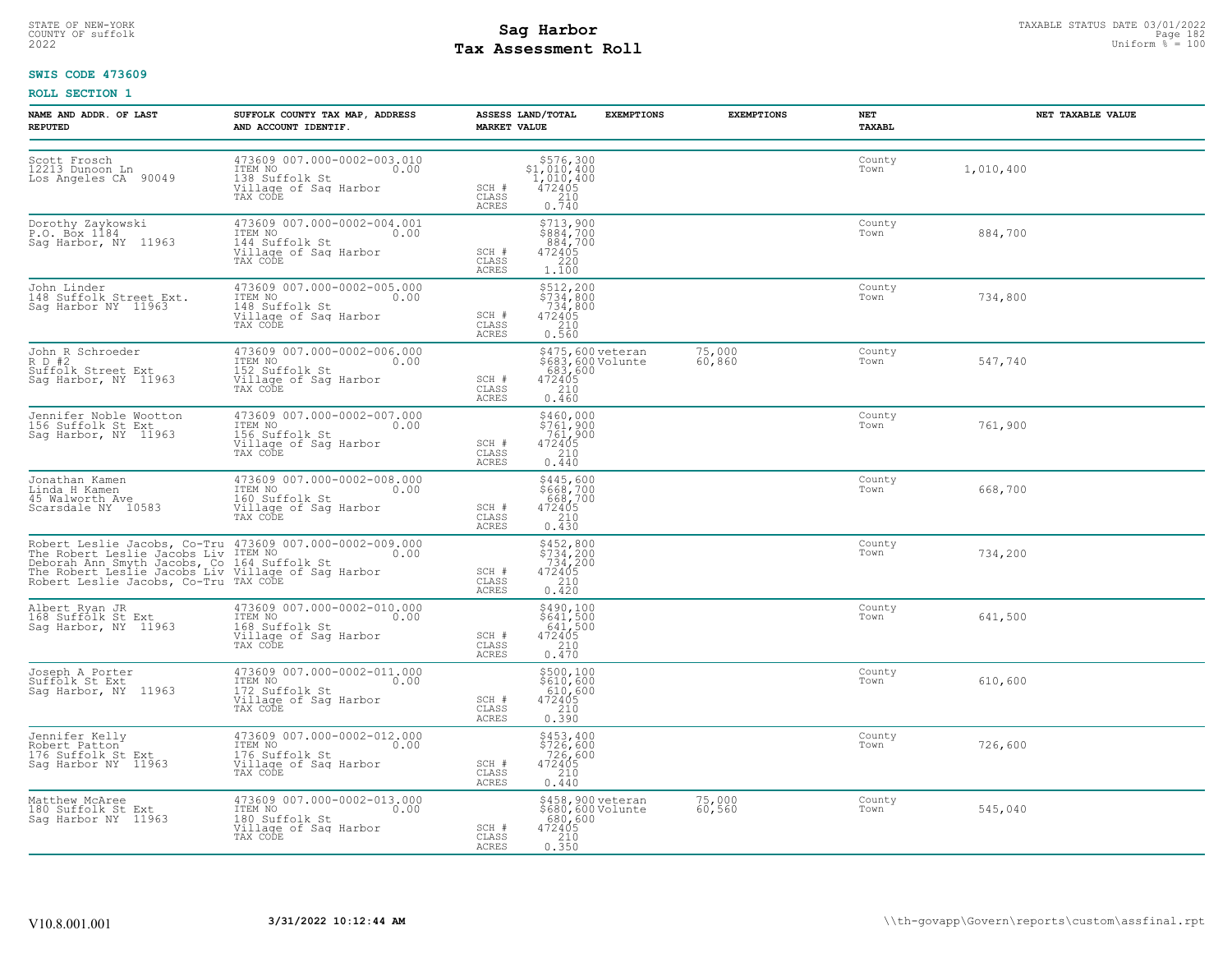# STATE OF NEW-YORK STATUS DATE 03/01/2022<br>
COUNTY OF suffolk Taxable Page 182<br>
2022 MageSosment Roll Page 182 Uniform % = 100 **Tax Assessment Roll**

#### **SWIS CODE 473609**

| NAME AND ADDR. OF LAST<br><b>REPUTED</b>                                       | SUFFOLK COUNTY TAX MAP, ADDRESS<br>AND ACCOUNT IDENTIF.                                                                                                                                                                               | <b>MARKET VALUE</b>            | ASSESS LAND/TOTAL<br><b>EXEMPTIONS</b>                                                                                                  | <b>EXEMPTIONS</b> | NET<br>TAXABL  | NET TAXABLE VALUE |
|--------------------------------------------------------------------------------|---------------------------------------------------------------------------------------------------------------------------------------------------------------------------------------------------------------------------------------|--------------------------------|-----------------------------------------------------------------------------------------------------------------------------------------|-------------------|----------------|-------------------|
| Scott Frosch<br>12213 Dunoon Ln<br>Los Angeles CA 90049                        | 473609 007.000-0002-003.010<br>TEM NO<br>138 Suffolk St<br>Village of Sag Harbor<br>Village of Sag Harbor<br>TAX CODE                                                                                                                 | SCH #<br>CLASS<br>ACRES        | $\begin{array}{r}  \  \  \, 576,300 \\  \  \, 1,010,400 \\  \  \, 1,010,400 \\  \  \, 472405 \\  \  \, 210 \\  \  \, 0.740 \end{array}$ |                   | County<br>Town | 1,010,400         |
| Dorothy Zaykowski<br>P.O. Box 1184<br>Sag Harbor, NY 11963                     | 473609 007.000-0002-004.001<br>ITEM NO 0.00<br>144 Suffolk St .<br>Village of Sag Harbor<br>TAX CODE                                                                                                                                  | SCH #<br>CLASS<br>ACRES        | \$713,900<br>\$884,700<br>.884,700<br>$\frac{472405}{220}$<br>1,100                                                                     |                   | County<br>Town | 884,700           |
| John Linder<br>148 Suffolk Street Ext.<br>Sag Harbor NY 11963                  | 473609 007.000-0002-005.000<br>ITEM NO<br>148 Suffolk St<br>Village of Sag Harbor<br>TAX CODE                                                                                                                                         | SCH #<br>CLASS<br>ACRES        | \$512,200<br>\$734,800<br>734,800<br>472405<br>210<br>0.560                                                                             |                   | County<br>Town | 734,800           |
| John R Schroeder<br>R D #2<br>Suffolk Street Ext<br>Sag Harbor, NY 11963       | 473609 007.000-0002-006.000<br>ITEM NO 0.00<br>152 Suffolk St<br>152 Suffolk St<br>Village of Sag Harbor<br>TAX CODE TAX                                                                                                              | SCH #<br>CLASS<br>ACRES        | \$475,600 veteran<br>\$683,600 Volunte<br>.683,600<br>472405<br>0.460                                                                   | 75,000<br>60,860  | County<br>Town | 547,740           |
| Jennifer Noble Wootton<br>156 Suffolk St Ext<br>Sag Harbor, NY 11963           | 473609 007.000-0002-007.000<br>ITEM NO<br>156 Suffolk St<br>Village of Sag Harbor<br>TAX CODE                                                                                                                                         | SCH #<br>CLASS<br>ACRES        | \$460,000<br>$\frac{5761,900}{761,900}$<br>472405<br>210<br>0.440                                                                       |                   | County<br>Town | 761,900           |
| Jonathan Kamen<br>Linda H Kamen<br>45 Walworth Ave<br>Scarsdale NY 10583       | 473609 007.000-0002-008.000<br>ITEM NO 0.00<br>160 Suffolk St<br>Village of Sag Harbor<br>TAX CODE                                                                                                                                    | SCH #<br>CLASS<br><b>ACRES</b> | \$445,600<br>\$668,700<br>668,700<br>472405<br>210<br>0.430                                                                             |                   | County<br>Town | 668,700           |
|                                                                                | Robert Leslie Jacobs, Co-Tru 473609 007.000-0002-009.000<br>The Robert Leslie Jacobs Liv ITEM NO<br>Deborah Ann Smyth Jacobs, Co 164 Suffolk St<br>The Robert Leslie Jacobs, Co-Tru TAX CODE<br>Robert Leslie Jacobs, Co-Tru TAX CODE | SCH #<br>CLASS<br>ACRES        | $$452,800$<br>$$734,200$<br>$734,200$<br>$472405$<br>210<br>0.420                                                                       |                   | County<br>Town | 734,200           |
| Albert Ryan JR<br>168 Suffolk St Ext<br>Sag Harbor, NY  11963                  | 473609 007.000-0002-010.000<br>ITEM NO 0.00<br>168 Suffolk St .<br>Village of Sag Harbor<br>TAX CODE                                                                                                                                  | SCH #<br>CLASS<br>ACRES        | $$490,100$<br>$$641,500$<br>$641,500$<br>$472405$<br>$210$<br>0.470                                                                     |                   | County<br>Town | 641,500           |
| Joseph A Porter<br>Suffolk St Ext<br>Sag Harbor, NY 11963                      | 473609 007.000-0002-011.000<br>ITEM NO 0.002 011.000<br>172 Suffolk St 0.00<br>Village of Sag Harbor<br>TAX CODE                                                                                                                      | SCH #<br>CLASS<br><b>ACRES</b> | \$500,100<br>\$610,600<br>610,600<br>472405<br>$\begin{array}{c} 210 \\ 0.390 \end{array}$                                              |                   | County<br>Town | 610,600           |
| Jennifer Kelly<br>Committer Atton<br>176 Suffolk St Ext<br>Sag Harbor NY 11963 | 473609 007.000-0002-012.000<br>ITEM NO 0.00<br>176 Suffolk St<br>Village of Sag Harbor<br>TAX CODE                                                                                                                                    | SCH #<br>CLASS<br>ACRES        | \$453,400<br>\$726,600<br>726,600<br>472405<br>210<br>0.440                                                                             |                   | County<br>Town | 726,600           |
| Matthew McAree<br>180 Suffolk St Ext<br>Sag Harbor NY 11963                    | 473609 007.000-0002-013.000<br>ITEM NO<br>0.00<br>180 Suffolk St<br>Village of Saq Harbor<br>TAX CODE                                                                                                                                 | SCH #<br>CLASS<br>ACRES        | \$458,900 veteran<br>\$680,600 Volunte<br>680,600<br>472405<br>210<br>0.350                                                             | 75,000<br>60,560  | County<br>Town | 545,040           |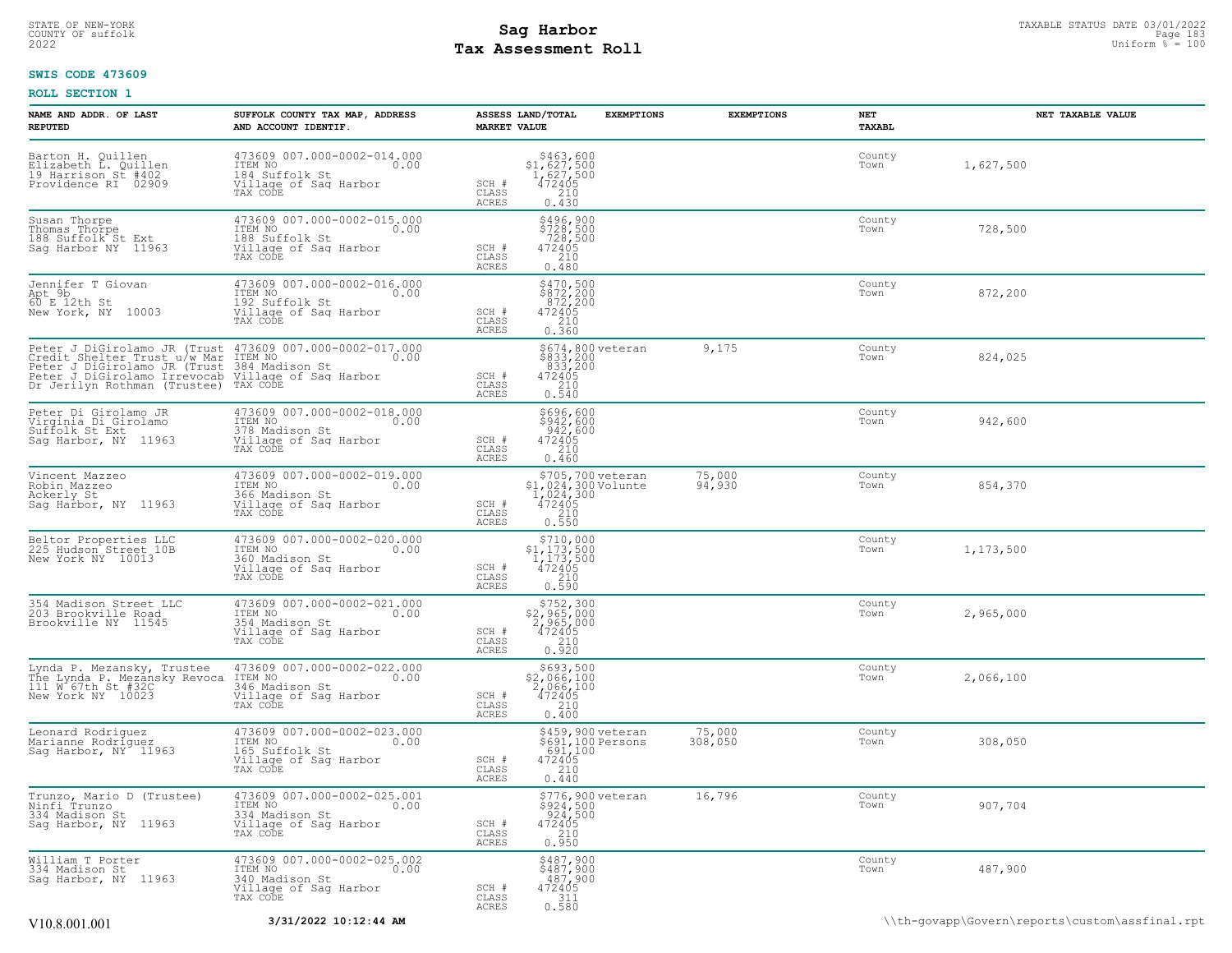# STATE OF NEW-YORK STATUS DATE 03/01/2022<br>
COUNTY OF suffolk **Sag From the Sag State Page 183**<br>
2022 Pay Assessment Roll **Tax Assessment Roll**

#### **SWIS CODE 473609**

| NAME AND ADDR. OF LAST<br><b>REPUTED</b>                                                                                                                                                                                                            | SUFFOLK COUNTY TAX MAP, ADDRESS<br>AND ACCOUNT IDENTIF.                                               | <b>MARKET VALUE</b>     | ASSESS LAND/TOTAL<br><b>EXEMPTIONS</b>                                                         | <b>EXEMPTIONS</b> | NET<br>TAXABL  | NET TAXABLE VALUE                              |
|-----------------------------------------------------------------------------------------------------------------------------------------------------------------------------------------------------------------------------------------------------|-------------------------------------------------------------------------------------------------------|-------------------------|------------------------------------------------------------------------------------------------|-------------------|----------------|------------------------------------------------|
| Barton H. Quillen<br>Elizabeth L. Quillen<br>19 Harrison St #402.<br>Providence RI 02909                                                                                                                                                            | 473609 007.000-0002-014.000<br>ITEM NO<br>0.00<br>184 Suffolk St<br>Village of Sag Harbor<br>TAX CODE | SCH #<br>CLASS<br>ACRES | $$463,600$<br>$$1,627,500$<br>$1,627,500$<br>$472405$<br>$210$<br>0.430                        |                   | County<br>Town | 1,627,500                                      |
| Susan Thorpe<br>Thomas Thorpe<br>188 Suffolk St Ext<br>Sag Harbor NY 11963                                                                                                                                                                          | 473609 007.000-0002-015.000<br>ITEM NO<br>0.00<br>188 Suffolk St<br>Village of Sag Harbor<br>TAX CODE | SCH #<br>CLASS<br>ACRES | \$496,900<br>\$728,500<br>728,500<br>472405<br>210<br>0.480                                    |                   | County<br>Town | 728,500                                        |
| Jennifer T Giovan<br>Apt 9b<br>60 E 12th St<br>New York, NY 10003                                                                                                                                                                                   | 473609 007.000-0002-016.000<br>ITEM NO<br>0.00<br>192 Suffolk St<br>Village of Sag Harbor<br>TAX CODE | SCH #<br>CLASS<br>ACRES | $$470,500$<br>$$872,200$<br>$872,200$<br>$472405$<br>210<br>0.360                              |                   | County<br>Town | 872,200                                        |
| Peter J DiGirolamo JR (Trust 473609 007.000-0002-017.000<br>Credit_Shelter_Trust_u/w_Mar ITEM_NO 0.00<br>Peter J DiGirolamo JR (Trust 384 Madison St<br>Peter J DiGirolamo Irrevocab Village of Saq Harbor<br>Dr Jerilyn Rothman (Trustee) TAX CODE |                                                                                                       | SCH #<br>CLASS<br>ACRES | \$674,800 veteran<br>\$833,200<br>833,200<br>472405<br>240<br>0.540                            | 9,175             | County<br>Town | 824,025                                        |
| Peter Di Girolamo JR<br>Virginia Di Girolamo<br>Suffolk St Ext<br>Saq Harbor, NY 11963                                                                                                                                                              | 473609 007.000-0002-018.000<br>ITEM NO<br>0.00<br>378 Madison St<br>Village of Sag Harbor<br>TAX CODE | SCH #<br>CLASS<br>ACRES | \$696,600<br>\$942,600<br>942,600<br>472405<br>210<br>0.460                                    |                   | County<br>Town | 942,600                                        |
| Vincent Mazzeo<br>Robin Mazzeo<br>Ackerly St<br>Sag Harbor, NY 11963                                                                                                                                                                                | 473609 007.000-0002-019.000<br>ITEM NO<br>0.00<br>366 Madison St<br>Village of Sag Harbor<br>TAX CODE | SCH #<br>CLASS<br>ACRES | \$705,700 veteran<br>\$1,024,300 volunte<br>1,024,300<br>472405<br>210<br>0.550                | 75,000<br>94,930  | County<br>Town | 854,370                                        |
| Beltor Properties LLC<br>225 Hudson Street 10B<br>New York NY 10013                                                                                                                                                                                 | 473609 007.000-0002-020.000<br>ITEM NO<br>0.00<br>360 Madison St<br>Village of Sag Harbor<br>TAX CODE | SCH #<br>CLASS<br>ACRES | $\begin{array}{c} $710,000 \\ $1,173,500 \\ $1,173,500 \\ $472405 \end{array}$<br>210<br>0.590 |                   | County<br>Town | 1,173,500                                      |
| 354 Madison Street LLC<br>203 Brookville Road<br>Brookville NY 11545                                                                                                                                                                                | 473609 007.000-0002-021.000<br>ITEM NO<br>0.00<br>354 Madison St<br>Village of Saq Harbor<br>TAX CODE | SCH #<br>CLASS<br>ACRES | $$752,300$<br>$$2,965,000$<br>$2,965,000$<br>$472405$<br>$$210$<br>0.920                       |                   | County<br>Town | 2,965,000                                      |
| Lynda P. Mezansky, Trustee<br>The Lynda P. Mezánsky Revoca<br>111 W 67th St #32C<br>New York NY 10023                                                                                                                                               | 473609 007.000-0002-022.000<br>ITEM NO<br>0.00<br>346 Madison St<br>Village of Sag Harbor<br>TAX CODE | SCH #<br>CLASS<br>ACRES | \$693,500<br>\$2,066,100<br>2,066,100<br>$\frac{472405}{210}$<br>0.400                         |                   | County<br>Town | 2,066,100                                      |
| Leonard Rodriguez<br>Marianne Rodriguez<br>Sag Harbor, NY 11963                                                                                                                                                                                     | 473609 007.000-0002-023.000<br>ITEM NO<br>0.00<br>165 Suffolk St<br>Village of Sag Harbor<br>TAX CODE | SCH #<br>CLASS<br>ACRES | \$459,900 veteran<br>\$691,100 Persons<br>691,100<br>472405<br>210<br>0.440                    | 75,000<br>308,050 | County<br>Town | 308,050                                        |
| Trunzo, Mario D (Trustee)<br>Ninfi Trunzo<br>334 Madison St<br>Sag Harbor, NY 11963                                                                                                                                                                 | 473609 007.000-0002-025.001<br>ITEM NO<br>0.00<br>334 Madison St<br>Village of Sag Harbor<br>TAX CODE | SCH #<br>CLASS<br>ACRES | \$776,900 veteran<br>\$924,500<br>924,500<br>472405<br>472405<br>0.950                         | 16,796            | County<br>Town | 907,704                                        |
| William T Porter<br>334 Madison St<br>Sag Harbor, NY 11963                                                                                                                                                                                          | 473609 007.000-0002-025.002<br>ITEM NO<br>0.00<br>340 Madison St<br>Village of Sag Harbor<br>TAX CODE | SCH #<br>CLASS<br>ACRES | \$487,900<br>\$487,900<br>487,900<br>472405<br>311<br>0.580                                    |                   | County<br>Town | 487,900                                        |
| V10.8.001.001                                                                                                                                                                                                                                       | 3/31/2022 10:12:44 AM                                                                                 |                         |                                                                                                |                   |                | \\th-govapp\Govern\reports\custom\assfinal.rpt |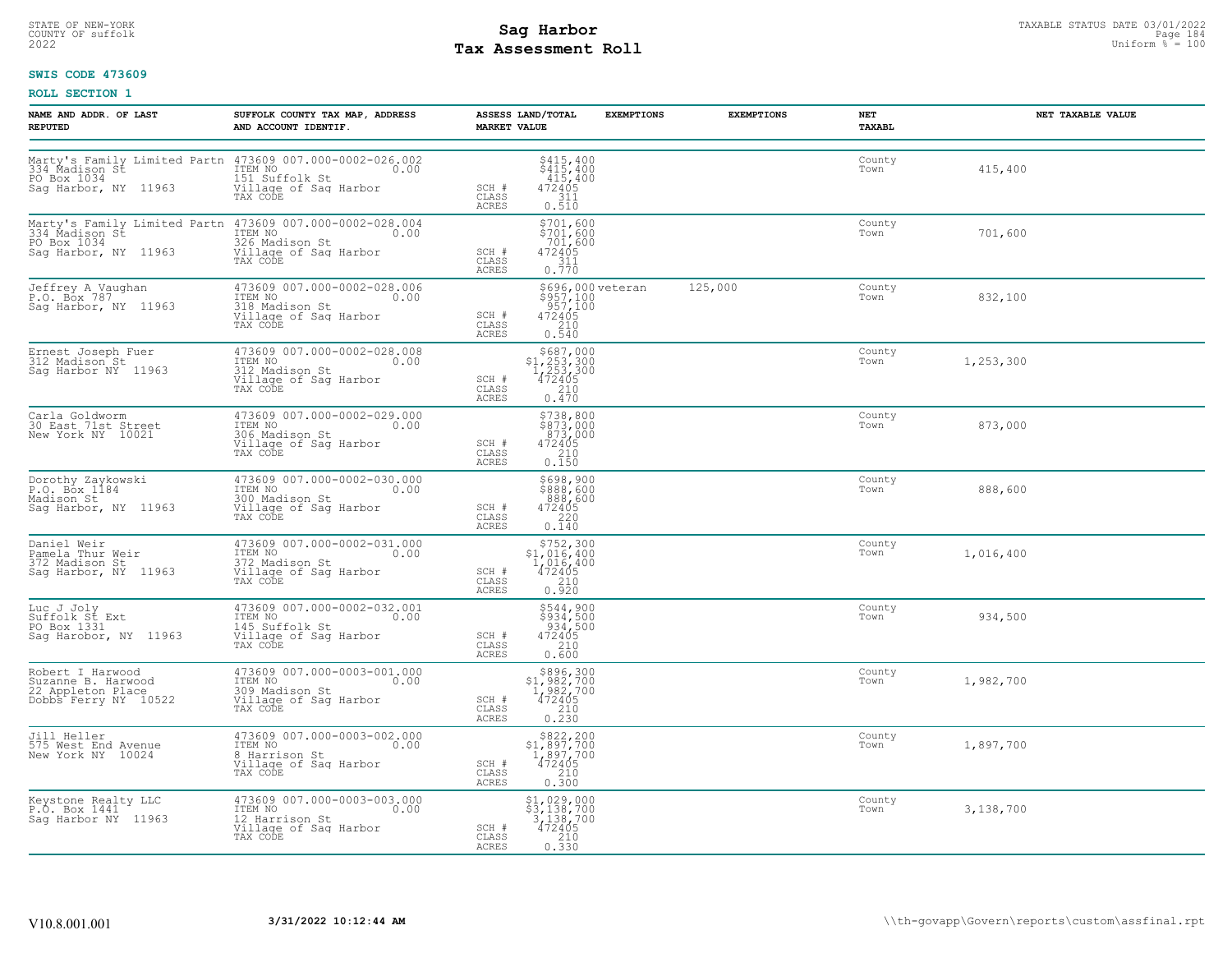# STATE OF NEW-YORK STATUS DATE 03/01/2022<br>
COUNTY OF suffolk **Sag From State of the Sage ISS**<br>
2022 Man Duiform % = 100 **Tax Assessment Roll**

#### **SWIS CODE 473609**

| NAME AND ADDR. OF LAST<br><b>REPUTED</b>                                            | SUFFOLK COUNTY TAX MAP, ADDRESS<br>AND ACCOUNT IDENTIF.                                                                                               | ASSESS LAND/TOTAL<br><b>EXEMPTIONS</b><br><b>MARKET VALUE</b>                                                                                             | <b>EXEMPTIONS</b> | NET<br>TAXABL  | NET TAXABLE VALUE |
|-------------------------------------------------------------------------------------|-------------------------------------------------------------------------------------------------------------------------------------------------------|-----------------------------------------------------------------------------------------------------------------------------------------------------------|-------------------|----------------|-------------------|
| PO Box 1034<br>Sag Harbor, NY 11963                                                 | Marty's Family Limited Partn 473609 007.000-0002-026.002<br>334_Madison St ITEM NO (1990) 0.00<br>151 Suffolk St<br>Village of Sag Harbor<br>TAX CODE | $$415, 400$<br>$$415, 400$<br>$415, 400$<br>$472405$<br>$311$<br>SCH #<br>CLASS<br>0.510<br>ACRES                                                         |                   | County<br>Town | 415,400           |
| PO Box 1034<br>Sag Harbor, NY 11963                                                 | Marty's Family Limited Partn 473609 007.000-0002-028.004<br>334 Madison St (ITEM NO 0.00<br>326 Madison St<br>Village of Saq Harbor<br>TAX CODE       | \$701,600<br>\$701,600<br>701,600<br>472405<br>SCH #<br>$\begin{array}{c} 1.75311 \\ 0.770 \end{array}$<br>CLASS<br>ACRES                                 |                   | County<br>Town | 701,600           |
| Jeffrey A Vaughan<br>P.O. Box 787<br>Sag Harbor, NY 11963                           | 473609 007.000-0002-028.006<br>ITEM NO 0.00<br>11201<br>318 Madison St<br>Village of Sag Harbor<br>TAX CODE                                           | \$696,000 veteran<br>\$957,100<br>957,100<br>472405<br>SCH #<br>CLASS<br>$\begin{array}{c} 210 \\ 0.540 \end{array}$<br>ACRES                             | 125,000           | County<br>Town | 832,100           |
| Ernest Joseph Fuer<br>312 Madison St<br>Sag Harbor NY 11963                         | 473609 007.000-0002-028.008<br>ITEM NO 0.00<br>312 Madison St<br>Village of Sag Harbor<br>TAX CODE                                                    | \$687,000<br>$$1,253,300$<br>1,253,300<br>472405<br>210<br>SCH #<br>CLASS<br>0.470<br>ACRES                                                               |                   | County<br>Town | 1,253,300         |
| Carla Goldworm<br>30 East 71st Street<br>New York NY 10021                          | 473609 007.000-0002-029.000<br>ITEM NO. 0.00<br>306 Madison St<br>Village of Sag Harbor<br>TAX CODE                                                   | \$738,800<br>\$873,000<br>873,000<br>SCH #<br>$\begin{matrix}472405\\210\\0.150\end{matrix}$<br>CLASS<br>ACRES                                            |                   | County<br>Town | 873,000           |
| Dorothy Zaykowski<br>P.O. Box 1184<br>Madison St<br>Sag Harbor, NY 11963            | 473609 007.000-0002-030.000<br>ITEM NO 0.00<br>300 Madison St<br>Village of Sag Harbor<br>TAX CODE                                                    | \$698,900<br>\$888,600<br>$472405$<br>$472405$<br>$220$<br>SCH #<br>CLASS<br>ACRES<br>0.140                                                               |                   | County<br>Town | 888,600           |
| Daniel Weir<br>Pamela Thur Weir<br>372 Madison St<br>Sag Harbor, NY 11963           | 473609 007.000-0002-031.000<br>ITEM NO<br>372 Madison St<br>Village of Sag Harbor<br>TAX CODE                                                         | $\begin{array}{c} $752,300 \\ $1,016,400 \\ $1,016,400 \\ $472405 \end{array}$<br>SCH #<br>CLASS<br>0.920<br><b>ACRES</b>                                 |                   | County<br>Town | 1,016,400         |
| Luc J Joly<br>Suffolk St Ext<br>PO Box 1331<br>Sag Harobor, NY 11963                | 473609 007.000-0002-032.001<br>ITEM NO 0.00<br>145 Suffolk St<br>Village of Sag Harbor<br>TAX CODE                                                    | \$544,900<br>\$934,500<br>934,500<br>SCH #<br>472405<br>210<br>CLASS<br>ACRES<br>0.600                                                                    |                   | County<br>Town | 934,500           |
| Robert I Harwood<br>Suzanne B. Harwood<br>22 Appleton Place<br>Dobbs Ferry NY 10522 | 473609 007.000-0003-001.000<br>TEM NO<br>309 Madison St<br>309 Madison St<br>TAX CODE CORP Harbor<br>TAX CODE                                         | \$896,300<br>\$1,982,700<br>$\frac{1}{472405}$<br>SCH #<br>$\frac{210}{0.230}$<br>CLASS<br><b>ACRES</b>                                                   |                   | County<br>Town | 1,982,700         |
| Jill Heller<br>575 West End Avenue<br>New York NY 10024                             | 473609 007.000-0003-002.000<br>ITEM NO 0.00<br>8 Harrison St<br>Village of Sag Harbor<br>TAX CODE                                                     | $\begin{array}{r} \text{\small $\$822,200$} \\ \text{\small $\$1,897,700$} \\ 1,897,700 \\ 472405 \\ 210 \\ 0.300 \end{array}$<br>SCH #<br>CLASS<br>ACRES |                   | County<br>Town | 1,897,700         |
| Keystone Realty LLC<br>P.O. Box 1441<br>Saq Harbor NY 11963                         | 473609 007.000-0003-003.000<br>10.00 0.00<br>12 Harrison St<br>Village of Sag Harbor<br>TAX CODE                                                      | $\begin{array}{c} $1,029,000\\ $3,138,700\\ 3,138,700\\ 472405\\ 210\\ 0.330 \end{array}$<br>SCH #<br>CLASS<br>ACRES                                      |                   | County<br>Town | 3,138,700         |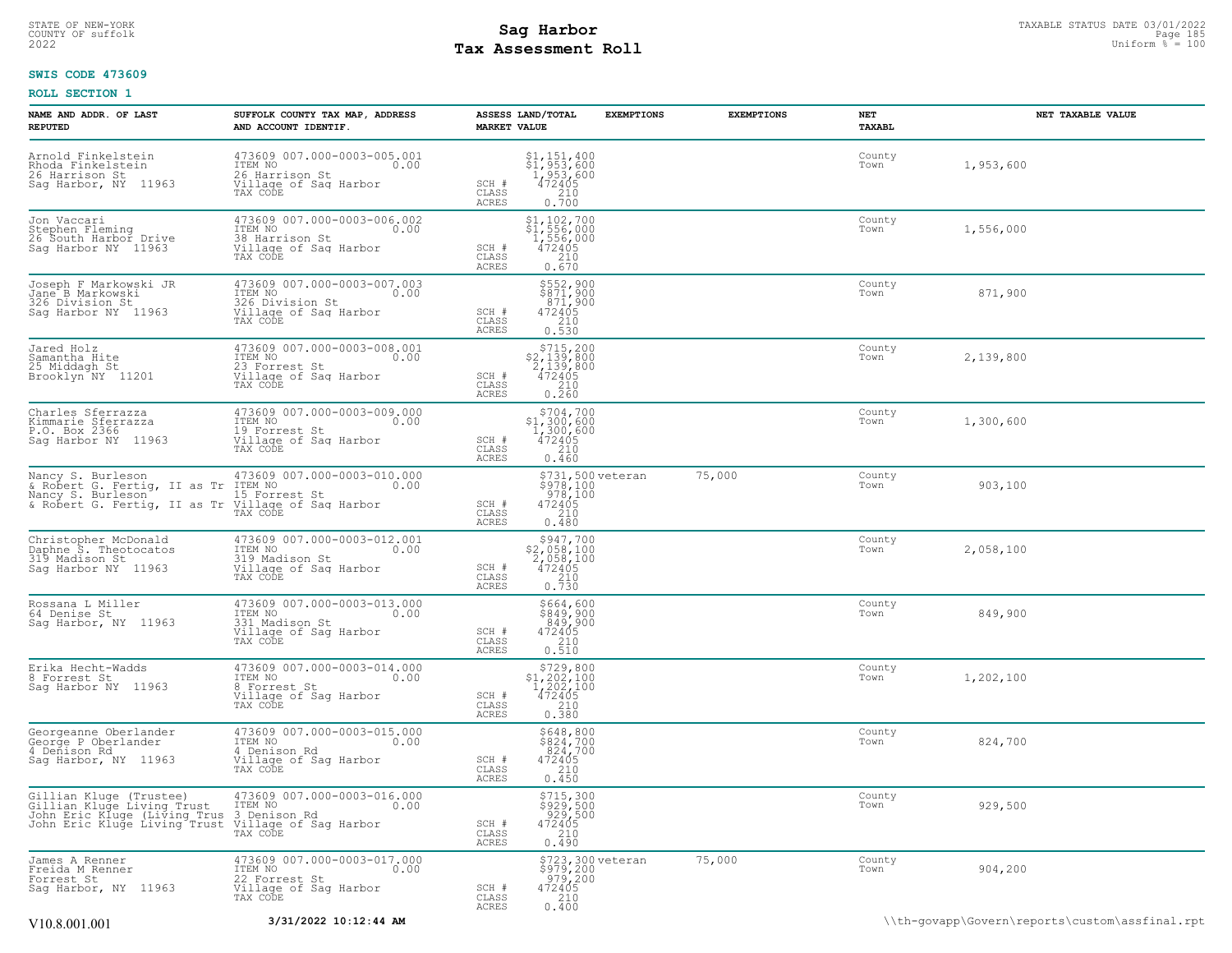# STATE OF NEW-YORK STATUS DATE 03/01/2022<br>
COUNTY OF suffolk Page 185<br>
2022 MageS**enent Roll** Page 185 MageSement Roll Page 185 Mage 185 Mage 185 Mage 185 Mage 185 Mage 185 Mage 185 M<br>
2022 MageSesment Roll Distorm % = 100 **Tax Assessment Roll**

#### **SWIS CODE 473609**

| NAME AND ADDR. OF LAST<br><b>REPUTED</b>                                                                                                                                                                        | SUFFOLK COUNTY TAX MAP, ADDRESS<br>AND ACCOUNT IDENTIF.                                                   | <b>MARKET VALUE</b>            | ASSESS LAND/TOTAL                                                                                         | <b>EXEMPTIONS</b> | <b>EXEMPTIONS</b> | NET<br>TAXABL  | NET TAXABLE VALUE |  |
|-----------------------------------------------------------------------------------------------------------------------------------------------------------------------------------------------------------------|-----------------------------------------------------------------------------------------------------------|--------------------------------|-----------------------------------------------------------------------------------------------------------|-------------------|-------------------|----------------|-------------------|--|
| Arnold Finkelstein<br>Rhoda Finkelstein<br>26 Harrison St<br>Sag Harbor, NY 11963                                                                                                                               | 473609 007.000-0003-005.001<br>TTEM NO 0.00<br>26 Harrison St<br>Village of Sag Harbor<br>TAX CODE        | SCH #<br>CLASS<br><b>ACRES</b> | \$1,151,400<br>\$1,953,600<br>1,953,600<br>472405<br>210<br>0.700                                         |                   |                   | County<br>Town | 1,953,600         |  |
| Jon Vaccari<br>Stephen Fleming<br>26 South Harbor Drive<br>Sag Harbor NY 11963                                                                                                                                  | 473609 007.000-0003-006.002<br>ITEM NO<br>0.00<br>38 Harrison St<br>Village of Sag Harbor<br>TAX CODE     | SCH #<br>CLASS<br><b>ACRES</b> | \$1,102,700<br>$\begin{array}{r} 51,556,000 \\ 1,556,000 \\ 472405 \\ 210 \end{array}$<br>0.670           |                   |                   | County<br>Town | 1,556,000         |  |
| Joseph F Markowski JR<br>Jane B Markowski<br>326 Division St<br>Saq Harbor NY 11963                                                                                                                             | 473609 007.000-0003-007.003<br>ITEM NO<br>0.00<br>326 Division St<br>Village of Sag Harbor<br>TAX CODE    | SCH #<br>CLASS<br>ACRES        | $$8552, 900$<br>$$871, 900$<br>$871, 900$<br>$472405$<br>$210$<br>0.530                                   |                   |                   | County<br>Town | 871,900           |  |
| Jared Holz<br>Samantha Hite<br>25 Middagh St<br>Brooklyn NY 11201                                                                                                                                               | 473609 007.000-0003-008.001<br>ITEM NO<br>0.00<br>23 Forrest St<br>Village of Saq Harbor<br>TAX CODE      | SCH #<br>CLASS<br>ACRES        | $$715, 200$<br>$$2, 139, 800$<br>$2, 139, 800$<br>$472405$<br>$$210$<br>0.260                             |                   |                   | County<br>Town | 2,139,800         |  |
| Charles Sferrazza<br>Kimmarie Sferrazza<br>P.O. Box 2366<br>Sag Harbor NY 11963                                                                                                                                 | 473609 007.000-0003-009.000<br>TTEM NO 0.00<br>19 Forrest St<br>Village of Sag Harbor<br>TAX CODE         | SCH #<br>CLASS<br>ACRES        | $\begin{array}{r} $704,700\n $1,300,600\n 1,300,600\n 472405\n 210\n \end{array}$<br>0.460                |                   |                   | County<br>Town | 1,300,600         |  |
| Nancy S. Burleson<br>& Robert G. Fertig, II as Tr<br>Nancy S. Burleson<br>& Robert G. Fertig, II as Tr Village of Sag Harbor<br>& Robert G. Fertig, II as Tr Willage of Sag Harbor                              | 473609 007.000-0003-010.000<br>ITEM NO<br>0.00<br>TAX CODE                                                | SCH #<br>CLASS<br>ACRES        | \$731,500 veteran<br>\$978,100<br>.978,100<br>472405<br>210<br>0.480                                      |                   | 75,000            | County<br>Town | 903,100           |  |
| Christopher McDonald<br>Daphne S. Theotocatos<br>319 Madison St<br>Saq Harbor NY 11963                                                                                                                          | 473609 007.000-0003-012.001<br>ITEM NO<br>0.00<br>319 Madison St<br>Village of Sag Harbor<br>TAX CODE     | SCH #<br>CLASS<br><b>ACRES</b> | $$947,700$<br>$$2,058,100$<br>$2,058,100$<br>$\begin{smallmatrix} 472405\\ 210\\ 0.730 \end{smallmatrix}$ |                   |                   | County<br>Town | 2,058,100         |  |
| Rossana L Miller<br>64 Denise St<br>Sag Harbor, NY 11963                                                                                                                                                        | 473609 007.000-0003-013.000<br>ITEM NO<br>0.00<br>331 Madison St<br>Village of Sag Harbor<br>TAX CODE     | SCH #<br>CLASS<br><b>ACRES</b> | \$664,600<br>\$849,900<br>849,900<br>472405<br>210<br>0.510                                               |                   |                   | County<br>Town | 849,900           |  |
| Erika Hecht-Wadds<br>8 Forrest St<br>Saq Harbor NY 11963                                                                                                                                                        | 473609 007.000-0003-014.000<br>ITEM NO<br>0.00<br>8 Forrest St<br>Village of Sag Harbor<br>TAX CODE       | SCH #<br>CLASS<br>ACRES        | $\begin{array}{r} 5729,800 \\ 51,202,100 \\ 1,202,100 \\ 472405 \\ 210 \\ 210 \end{array}$<br>0.380       |                   |                   | County<br>Town | 1,202,100         |  |
| Georgeanne Oberlander<br>George P Oberlander<br>4 Denison Rd<br>Sag Harbor, NY 11963                                                                                                                            | 473609 007.000-0003-015.000<br>ITEM NO<br>0.00<br>4 Denison Rd<br>Village of Sag Harbor<br>TAX CODE       | SCH #<br>CLASS<br>ACRES        | $$648,800$<br>$$824,700$<br>$824,700$<br>$472405$<br>$210$<br>0.450                                       |                   |                   | County<br>Town | 824,700           |  |
| Gillian Kluge (Trustee)<br>Gillian Kluge Living Trust<br>John Eric Kluge (Living Trus 3 Denison Rd<br>John Eric Kluge (Living Trust Village of Saq Harbor<br>John Eric Kluge Living Trust Village of Saq Harbor | 473609 007.000-0003-016.000<br>10.00 0.00                                                                 | SCH #<br>CLASS<br><b>ACRES</b> | $$929,500$<br>$$929,500$<br>$929,500$<br>$472405$<br>$210$<br>0.490                                       |                   |                   | County<br>Town | 929,500           |  |
| James A Renner<br>Freida M Renner<br>Forrest St<br>Sag Harbor, NY 11963                                                                                                                                         | 473609 007.000-0003-017.000<br>ITEM NO 0.00<br>0.00<br>22 Forrest St<br>Village of Sag Harbor<br>TAX CODE | SCH #<br>CLASS<br><b>ACRES</b> | \$723,300 veteran<br>\$979,200<br>979,200<br>472405<br>210<br>0.400                                       |                   | 75,000            | County<br>Town | 904,200           |  |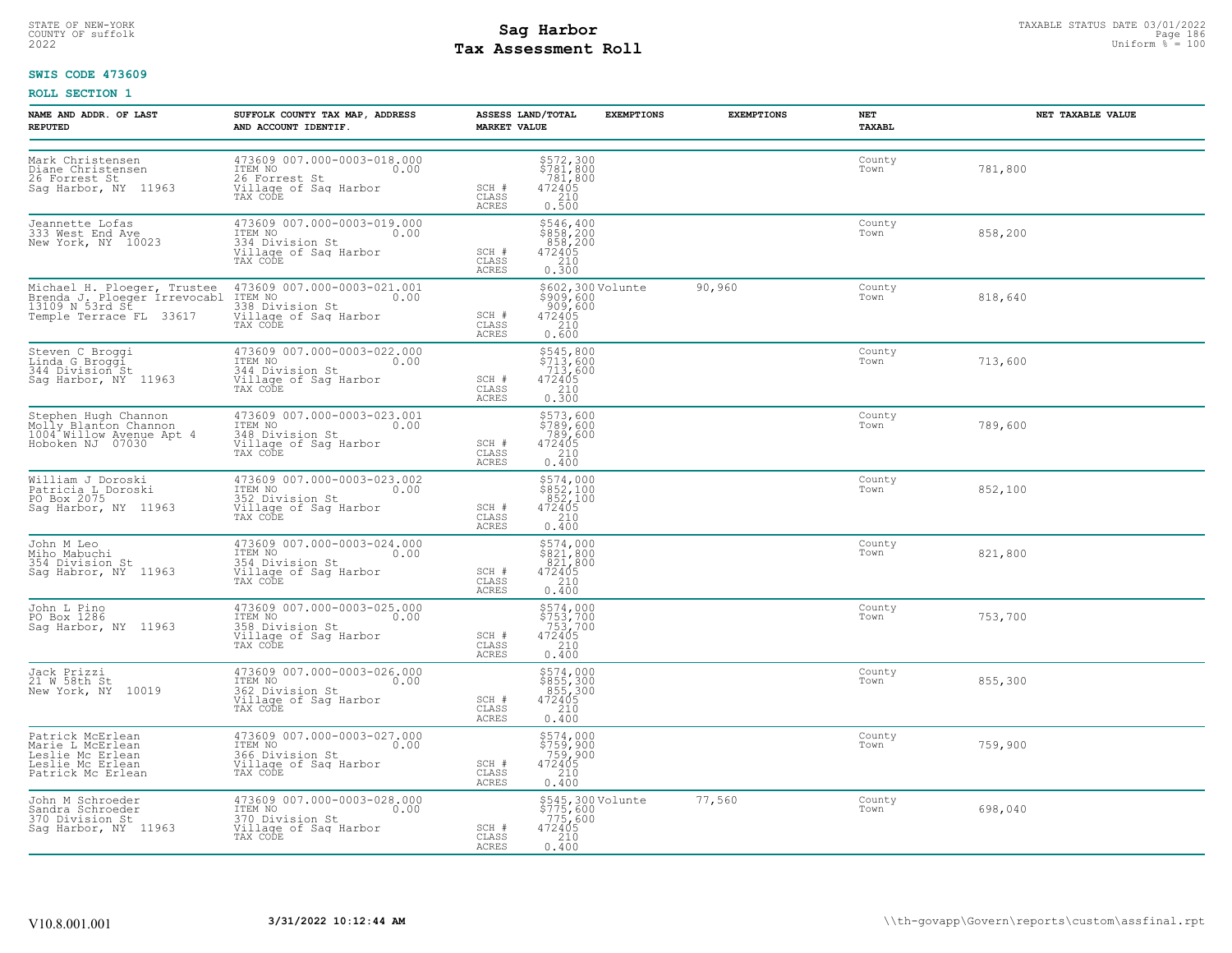# STATE OF NEW-YORK STATUS DATE 03/01/2022<br>
COUNTY OF suffolk **Sag From the Sag State Page 186**<br>
2022 Pay Assessment Roll **Tax Assessment Roll**

#### **SWIS CODE 473609**

| NAME AND ADDR. OF LAST<br><b>REPUTED</b>                                                          | SUFFOLK COUNTY TAX MAP, ADDRESS<br>AND ACCOUNT IDENTIF.                                                                                                                                             | <b>MARKET VALUE</b>            | ASSESS LAND/TOTAL<br><b>EXEMPTIONS</b>                                                          | <b>EXEMPTIONS</b> | NET<br>TAXABL  | NET TAXABLE VALUE |
|---------------------------------------------------------------------------------------------------|-----------------------------------------------------------------------------------------------------------------------------------------------------------------------------------------------------|--------------------------------|-------------------------------------------------------------------------------------------------|-------------------|----------------|-------------------|
| Mark Christensen<br>Diane Christensen<br>26 Forrest St.<br>Sag Harbor, NY 11963                   | 473609 007.000-0003-018.000<br>ITEM NO 0.00<br>26 Forrest St<br>Village of Sag Harbor<br>TAX CODE                                                                                                   | SCH #<br>CLASS<br><b>ACRES</b> | \$572,300<br>\$781,800<br>781,800<br>$472405$<br>$210$<br>0.500                                 |                   | County<br>Town | 781,800           |
| Jeannette Lofas<br>333 West End Ave<br>New York, NY 10023                                         | 473609 007.000-0003-019.000<br>ITEM NO<br>334 Division St<br>Village of Saq Harbor<br>TAX CODE                                                                                                      | SCH #<br>CLASS<br>ACRES        | \$546,400<br>\$858,200<br>858,200<br>472405<br>210<br>0.300                                     |                   | County<br>Town | 858,200           |
| Temple Terrace FL 33617                                                                           | Michael H. Ploeger, Trustee 473609 007.000-0003-021.001<br>Brenda J. Ploeger Irrevocabl ITEM NO<br>13109 N 53rd St Corress 338 Division St<br>1338 Division St<br>Village of Sag Harbor<br>TAX CODE | SCH #<br>CLASS<br>ACRES        | \$602,300 Volunte<br>\$909,600<br>.909,600<br>472405<br>210<br>0.600                            | 90,960            | County<br>Town | 818,640           |
| Steven C Broggi<br>Linda G Broggi<br>344 Division St<br>Sag Harbor, NY 11963                      | 473609 007.000-0003-022.000<br>ITEM NO 0.00<br>344 Division St<br>Village of Sag Harbor<br>TAX CODE                                                                                                 | SCH #<br>CLASS<br>ACRES        | \$545,800<br>\$713,600<br>713,600<br>472405<br>210<br>0.300                                     |                   | County<br>Town | 713,600           |
| Stephen Hugh Channon<br>Molly Blanton Channon<br>1004 Willow Avenue Apt 4<br>Hoboken NJ 07030     | 473609 007.000-0003-023.001<br>ITEM NO<br>348 Division St<br>Village of Sag Harbor<br>TAX CODE                                                                                                      | SCH #<br>CLASS<br>ACRES        | $\begin{array}{r} 5573,600 \\ 5789,600 \\ 789,600 \\ 472405 \\ 210 \\ 240 \end{array}$<br>0.400 |                   | County<br>Town | 789,600           |
| William J Doroski<br>Patricia L Doroski<br>PO Box 2075<br>Saq Harbor, NY 11963                    | 473609 007.000-0003-023.002<br>ITEM NO 0.00<br>11201<br>352 Division St<br>Village of Sag Harbor<br>TAX CODE                                                                                        | SCH #<br>CLASS<br>ACRES        | $\begin{array}{r} 5574,000\\ 5852,100\\ 852,100\\ 472405\\ 210\\ 240\\ \end{array}$<br>0.400    |                   | County<br>Town | 852,100           |
| John M Leo<br>Miho Mabuchi<br>354 Division St<br>Sag Habror, NY 11963                             | 473609 007.000-0003-024.000<br>ITEM NO 0.00<br>354 Division St<br>Village of Sag Harbor<br>TAX CODE                                                                                                 | SCH #<br>CLASS<br>ACRES        | \$574,000<br>\$821,800<br>821,800<br>472405<br>210<br>0.400                                     |                   | County<br>Town | 821,800           |
| John L Pino<br>PO Box 1286<br>Sag Harbor, NY 11963                                                | 473609 007.000-0003-025.000<br>ITEM NO 0.00<br>358 Division St<br>Village of Sag Harbor<br>TAX CODE                                                                                                 | SCH #<br>CLASS<br>ACRES        | \$574,000<br>\$753,700<br>753,700<br>472405<br>210<br>0.400                                     |                   | County<br>Town | 753,700           |
| Jack Prizzi<br>21 W 58th St<br>New York, NY 10019                                                 | 473609 007.000-0003-026.000<br>ITEM NO 0.00<br>1128 NV<br>362 Division St<br>Village of Sag Harbor<br>TAX CODE                                                                                      | SCH #<br>CLASS<br>ACRES        | \$574,000<br>\$855,300<br>855,300<br>472405<br>210<br>0.400                                     |                   | County<br>Town | 855,300           |
| Patrick McErlean<br>Marie L McErlean<br>Leslie Mc Erlean<br>Leslie Mc Erlean<br>Patrick Mc Erlean | 473609 007.000-0003-027.000<br>ITEM NO 0.00<br>366 Division St<br>Village of Sag Harbor<br>TAX CODE                                                                                                 | SCH #<br>CLASS<br>ACRES        | \$574,000<br>\$759,900<br>759,900<br>472405<br>210<br>0.400                                     |                   | County<br>Town | 759,900           |
| John M Schroeder<br>Sandra Schroeder<br>370 Division St<br>Sag Harbor, NY 11963                   | 473609 007.000-0003-028.000<br>ITEM NO<br>0.00<br>370 Division St<br>Village of Saq Harbor<br>TAX CODE                                                                                              | SCH #<br>CLASS<br>ACRES        | \$545,300 Volunte<br>\$775,600<br>775,600<br>472405<br>210<br>0.400                             | 77,560            | County<br>Town | 698,040           |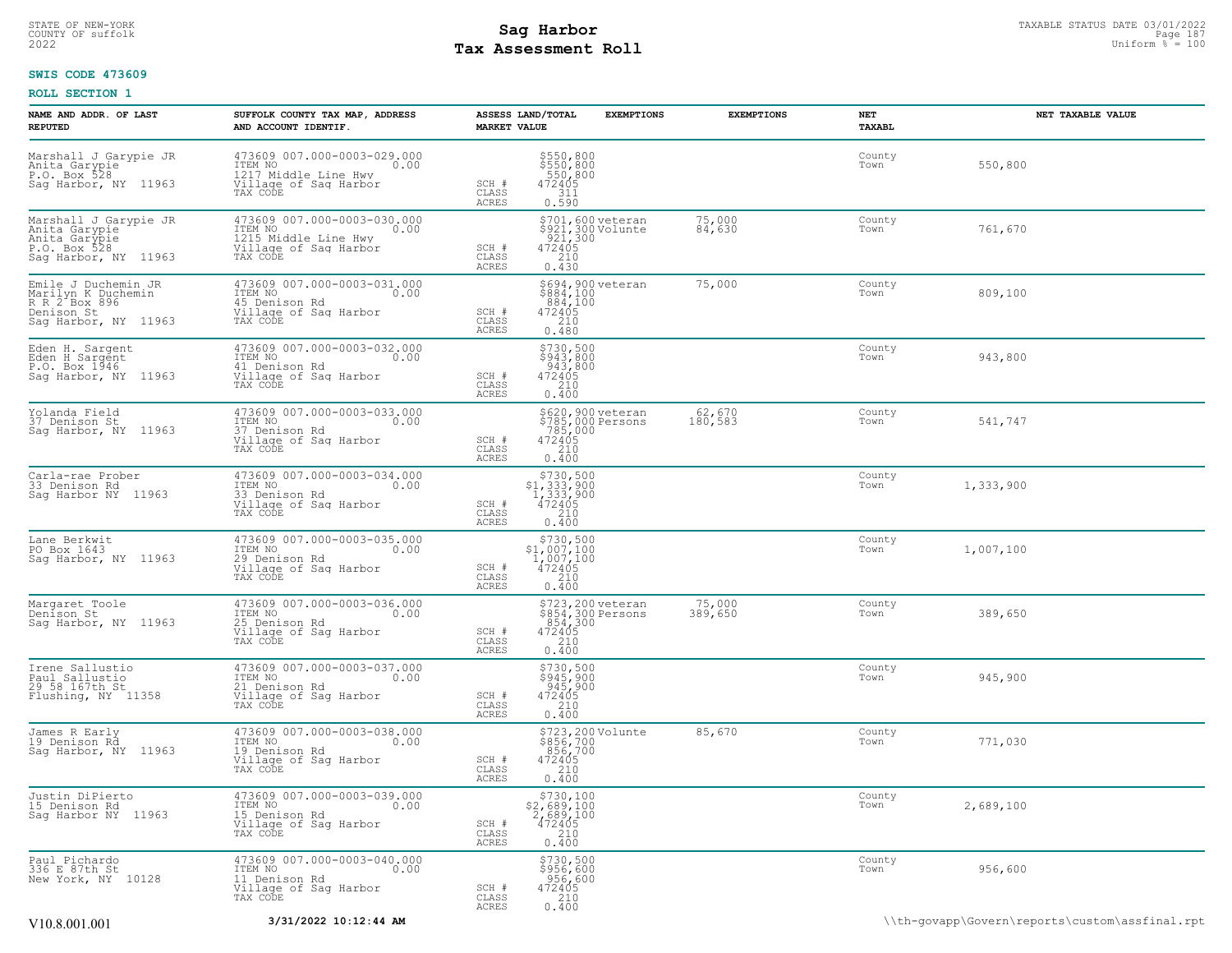# STATE OF NEW-YORK STATUS DATE 03/01/2022<br>
COUNTY OF suffolk **Sag From State Page 187**<br>
2022 Mage **Pay Assessment Roll** Page 187 **Tax Assessment Roll**

#### **SWIS CODE 473609**

| NAME AND ADDR. OF LAST<br><b>REPUTED</b>                                                         | SUFFOLK COUNTY TAX MAP, ADDRESS<br>AND ACCOUNT IDENTIF.                                                     | ASSESS LAND/TOTAL<br><b>EXEMPTIONS</b><br><b>MARKET VALUE</b>                                                               | <b>EXEMPTIONS</b> | NET<br>TAXABL  | NET TAXABLE VALUE                              |
|--------------------------------------------------------------------------------------------------|-------------------------------------------------------------------------------------------------------------|-----------------------------------------------------------------------------------------------------------------------------|-------------------|----------------|------------------------------------------------|
| Marshall J Garypie JR<br>Anita Garypie<br>P.O. Box 528<br>Sag Harbor, NY 11963                   | 473609 007.000-0003-029.000<br>ITEM NO<br>0.00<br>1217 Middle Line Hwy<br>Village of Sag Harbor<br>TAX CODE | \$550,800<br>\$550,800<br>550,800<br>472405<br>SCH #<br>CLASS<br>311<br>0.590<br>ACRES                                      |                   | County<br>Town | 550,800                                        |
| Marshall J Garypie JR<br>Anita Garypie<br>Anita Garypie<br>P.O. Box 528<br>Sag Harbor, NY 11963  | 473609 007.000-0003-030.000<br>ITEM NO<br>0.00<br>1215 Middle Line Hwy<br>Village of Sag Harbor<br>TAX CODE | \$701,600 veteran<br>\$921,300 Volunte<br>921,300<br>.921,300<br>472405<br>SCH #<br>210<br>CLASS<br>ACRES<br>0.430          | 75,000<br>84,630  | County<br>Town | 761,670                                        |
| Emile J Duchemin JR<br>Marilyn K Duchemin<br>R R 2 Box 896<br>Denison St<br>Sag Harbor, NY 11963 | 473609 007.000-0003-031.000<br>ITEM NO<br>0.00<br>45 Denison Rd<br>Village of Sag Harbor<br>TAX CODE        | \$694,900 veteran<br>\$884,100<br>884,100<br>SCH #<br>472405<br>$\frac{210}{0.480}$<br>CLASS<br>ACRES                       | 75,000            | County<br>Town | 809,100                                        |
| Eden H. Sargent<br>Eden H Sargent<br>P.O. Box 1946<br>Sag Harbor, NY 11963                       | 473609 007.000-0003-032.000<br>10.00 0.00<br>41 Denison Rd<br>Village of Sag Harbor<br>TAX CODE             | \$730,500<br>\$943,800<br>943,800<br>472405<br>SCH #<br>CLASS<br>210<br>ACRES<br>0.400                                      |                   | County<br>Town | 943,800                                        |
| Yolanda Field<br>37 Denison St<br>Saq Harbor, NY 11963                                           | 473609 007.000-0003-033.000<br>ITEM NO<br>0.00<br>37 Denison Rd<br>Village of Sag Harbor<br>TAX CODE        | \$620,900 veteran<br>\$785,000 Persons<br>785,000<br>472405<br>SCH #<br>CLASS<br>$\frac{210}{0.400}$<br>ACRES               | 62,670<br>180,583 | County<br>Town | 541,747                                        |
| Carla-rae Prober<br>33 Denison Rd<br>Sag Harbor NY 11963                                         | 473609 007.000-0003-034.000<br>ITEM NO<br>0.00<br>33 Denison Rd<br>Village of Sag Harbor<br>TAX CODE        | $$730,500$<br>$$1,333,900$<br>$1,333,900$<br>472405<br>SCH #<br>CLASS<br>210<br>0.400<br>ACRES                              |                   | County<br>Town | 1,333,900                                      |
| Lane Berkwit<br>PO Box 1643<br>Sag Harbor, NY 11963                                              | 473609 007.000-0003-035.000<br>ITEM NO<br>0.00<br>29 Denison Rd<br>Village of Sag Harbor<br>TAX CODE        | $$730,500$<br>$$1,007,100$<br>$1,007,100$<br>$472405$<br>SCH #<br>CLASS<br>210<br>ACRES<br>0.400                            |                   | County<br>Town | 1,007,100                                      |
| Margaret Toole<br>Denison St<br>Sag Harbor, NY 11963                                             | 473609 007.000-0003-036.000<br>ITEM NO<br>0.00<br>25 Denison Rd<br>Village of Sag Harbor<br>TAX CODE        | \$723,200 veteran<br>\$854,300 Persons<br>854,300<br>472405<br>210<br>0.400<br>SCH #<br>CLASS<br>ACRES                      | 75,000<br>389,650 | County<br>Town | 389,650                                        |
| Irene Sallustio<br>Paul Sallustio<br>29 58 167th St<br>Flushing, NY 11358                        | 473609 007.000-0003-037.000<br>ITEM NO<br>0.00<br>21 Denison Rd<br>Village of Sag Harbor<br>TAX CODE        | \$730,500<br>\$945,900<br>945,900<br>472405<br>SCH #<br>210<br>CLASS<br>ACRES<br>0.400                                      |                   | County<br>Town | 945,900                                        |
| James R Early<br>19 Denison Rd<br>Sag Harbor, NY 11963                                           | 473609 007.000-0003-038.000<br>ITEM NO<br>0.00<br>19 Denison Rd<br>Village of Sag Harbor<br>TAX CODE        | \$723,200 Volunte<br>\$856,700<br>856,700<br>472405<br>SCH #<br>210<br>CLASS<br>0.400<br>ACRES                              | 85,670            | County<br>Town | 771,030                                        |
| Justin DiPierto<br>15 Denison Rd<br>Sag Harbor NY 11963                                          | 473609 007.000-0003-039.000<br>ITEM NO<br>0.00<br>15 Denison Rd<br>Village of Saq Harbor<br>TAX CODE        | $\begin{array}{r} 5730, 100 \\ 2, 689, 100 \\ 2, 689, 100 \\ 472405 \\ 210 \\ 0.400 \end{array}$<br>SCH #<br>CLASS<br>ACRES |                   | County<br>Town | 2,689,100                                      |
| Paul Pichardo<br>336 E 87th St<br>New York, NY 10128                                             | 473609 007.000-0003-040.000<br>TTEM NO 0.00<br>11 Denison Rd<br>Village of Sag Harbor<br>TAX CODE           | \$730,500<br>\$956,600<br>956,600<br>472405<br>SCH #<br>CLASS<br>0.400<br>ACRES                                             |                   | County<br>Town | 956,600                                        |
| V10.8.001.001                                                                                    | 3/31/2022 10:12:44 AM                                                                                       |                                                                                                                             |                   |                | \\th-qovapp\Govern\reports\custom\assfinal.rpt |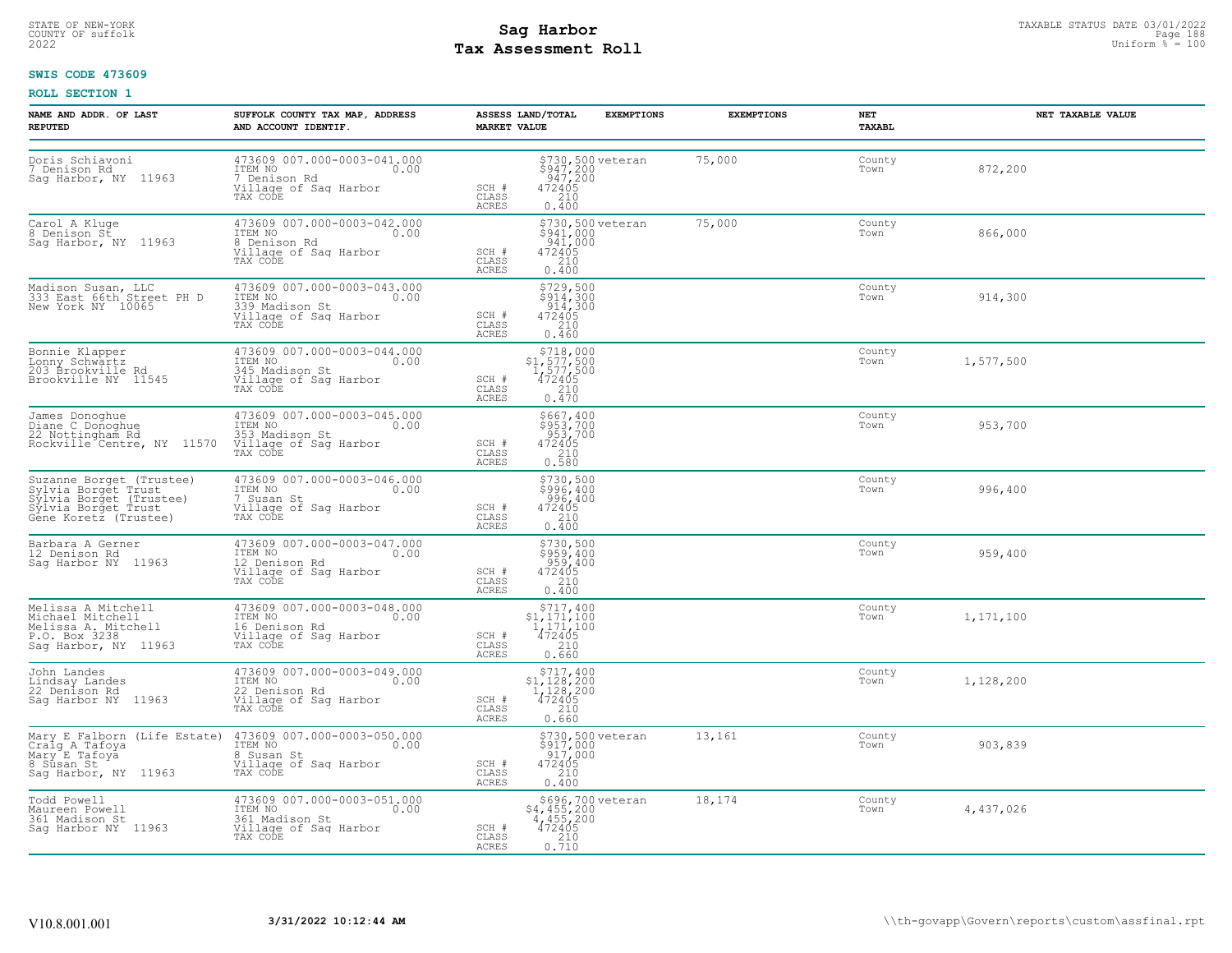# STATE OF NEW-YORK STATUS DATE 03/01/2022<br>
COUNTY OF suffolk **Sag From State Page 188**<br>
2022 Pay Assessment Roll **Tax Assessment Roll**

#### **SWIS CODE 473609**

| NAME AND ADDR. OF LAST<br><b>REPUTED</b>                                                                                   | SUFFOLK COUNTY TAX MAP, ADDRESS<br>AND ACCOUNT IDENTIF.                                                                 | ASSESS LAND/TOTAL<br><b>MARKET VALUE</b>                                                                                  | <b>EXEMPTIONS</b>                                                                                  | <b>EXEMPTIONS</b> | NET<br>TAXABL  | <b>NET TAXABLE VALUE</b> |
|----------------------------------------------------------------------------------------------------------------------------|-------------------------------------------------------------------------------------------------------------------------|---------------------------------------------------------------------------------------------------------------------------|----------------------------------------------------------------------------------------------------|-------------------|----------------|--------------------------|
| Doris Schiavoni<br>7 Denison Rd<br>Sag Harbor, NY 11963                                                                    | 473609 007.000-0003-041.000<br>ITEM NO<br>0.00<br>7 Denison Rd<br>Village of Sag Harbor<br>TAX CODE                     | SCH #<br>CLASS<br><b>ACRES</b><br>0.400                                                                                   | \$730,500 veteran<br>\$947,200<br>947,200<br>472405<br>210                                         | 75,000            | County<br>Town | 872,200                  |
| Carol A Kluge<br>8 Denison St<br>Sag Harbor, NY 11963                                                                      | 473609 007.000-0003-042.000<br>ITEM NO<br>0.00<br>8 Denison Rd<br>Village of Saq Harbor<br>TAX CODE                     | SCH #<br>CLASS<br>0.400<br>ACRES                                                                                          | \$730,500 veteran<br>\$941,000<br>$\begin{smallmatrix} 941,000 \\ 472405 \\ 210 \end{smallmatrix}$ | 75,000            | County<br>Town | 866,000                  |
| Madison Susan, LLC<br>333 East 66th Street PH D<br>New York NY 10065                                                       | 473609 007.000-0003-043.000<br>ITEM NO 0.00<br>339 Madison St<br>Village of Sag Harbor<br>TAX CODE                      | 472405<br>SCH #<br>CLASS<br>ACRES<br>0.460                                                                                | \$729,500<br>\$914,300<br>914,300<br>210                                                           |                   | County<br>Town | 914,300                  |
| Bonnie Klapper<br>Lonny Schwartz<br>203 Brookville Rd<br>Brookville NY 11545                                               | 473609 007.000-0003-044.000<br>ITEM NO 0.00<br>345 Madison St<br>Village of Sag Harbor<br>TAX CODE                      | $51,577,500\n1,577,500\n472405\n210\n0.470$<br>SCH #<br>CLASS<br><b>ACRES</b>                                             | \$718,000                                                                                          |                   | County<br>Town | 1,577,500                |
| James Donoghue<br>Diane C Donoghue<br>22 Nottingham Rd<br>Rockville Centre, NY 11570                                       | 473609 007.000-0003-045.000<br>ITEM NO<br>0.00<br>353 Madison St<br>Village of Sag Harbor<br>TAX CODE                   | \$953,700<br>953,700<br>472405<br>472405<br>0.580<br>SCH #<br>CLASS<br><b>ACRES</b>                                       | \$667,400                                                                                          |                   | County<br>Town | 953,700                  |
| Suzanne Borget (Trustee)<br>Sylvia Borget Trust<br>Sylvia Borget (Trustee)<br>Sylvia Borget Trust<br>Gene Koretz (Trustee) | 473609 007.000-0003-046.000<br>ITEM NO 0.00<br>T Susan St<br>Village of Saq Harbor<br>Village of Saq Harbor<br>TAX CODE | SCH #<br>CLASS<br><b>ACRES</b><br>0.400                                                                                   | \$730,500<br>\$996,400<br>$472405$<br>$472405$<br>$210$                                            |                   | County<br>Town | 996,400                  |
| Barbara A Gerner<br>12 Denison Rd<br>Saq Harbor NY 11963                                                                   | 473609 007.000-0003-047.000<br>TTEM NO 0.00<br>12 Denison Rd<br>Village of Sag Harbor<br>TAX CODE                       | SCH #<br>CLASS<br>210<br><b>ACRES</b><br>0.400                                                                            | \$730,500<br>\$959,400<br>959,400<br>472405                                                        |                   | County<br>Town | 959,400                  |
| Melissa A Mitchell<br>Michael Mitchell<br>Melissa A. Mitchell<br>P.O. Box 3238<br>Sag Harbor, NY 11963                     | 473609 007.000-0003-048.000<br>ITEM NO 0.00<br>16 Denison Rd<br>Village of Sag Harbor<br>TAX CODE                       | $$717, 400$<br>$$1, 171, 100$<br>$1, 171, 100$<br>$472405$<br>210<br>SCH #<br>CLASS<br>ACRES<br>0.660                     |                                                                                                    |                   | County<br>Town | 1,171,100                |
| John Landes<br>Lindsay Landes<br>22 Denison Rd<br>Sag Harbor NY 11963                                                      | 473609 007.000-0003-049.000<br>ITEM NO<br>0.00<br>22 Denison Rd<br>Village of Sag Harbor<br>TAX CODE                    | $\begin{array}{c} $717,400 \\ $1,128,200 \\ $1,128,200 \\ $472405 \end{array}$<br>SCH #<br>CLASS<br>0.660<br><b>ACRES</b> | 210                                                                                                |                   | County<br>Town | 1,128,200                |
| Mary E Falborn (Life Estate)<br>Craig A Tafoya<br>Mary E Tafoya<br>8 Susan St<br>Sag Harbor, NY 11963                      | 473609 007.000-0003-050.000<br>1TEM NO 0.00<br>0.00<br>8 Susan St<br>Village of Sag Harbor<br>TAX CODE                  | SCH #<br>CLASS<br><b>ACRES</b><br>0.400                                                                                   | \$730,500 veteran<br>\$917,000<br>$\frac{517}{472405}$<br>210                                      | 13,161            | County<br>Town | 903,839                  |
| Todd Powell<br>Maureen Powell<br>361 Madison St<br>Saq Harbor NY 11963                                                     | 473609 007.000-0003-051.000<br>ITEM NO 0.00<br>361 Madison St<br>Village of Sag Harbor<br>TAX CODE                      | SCH #<br>CLASS<br>0.210<br>ACRES                                                                                          | \$696,700 veteran<br>\$4,455,200<br>4,455,200<br>472405                                            | 18,174            | County<br>Town | 4,437,026                |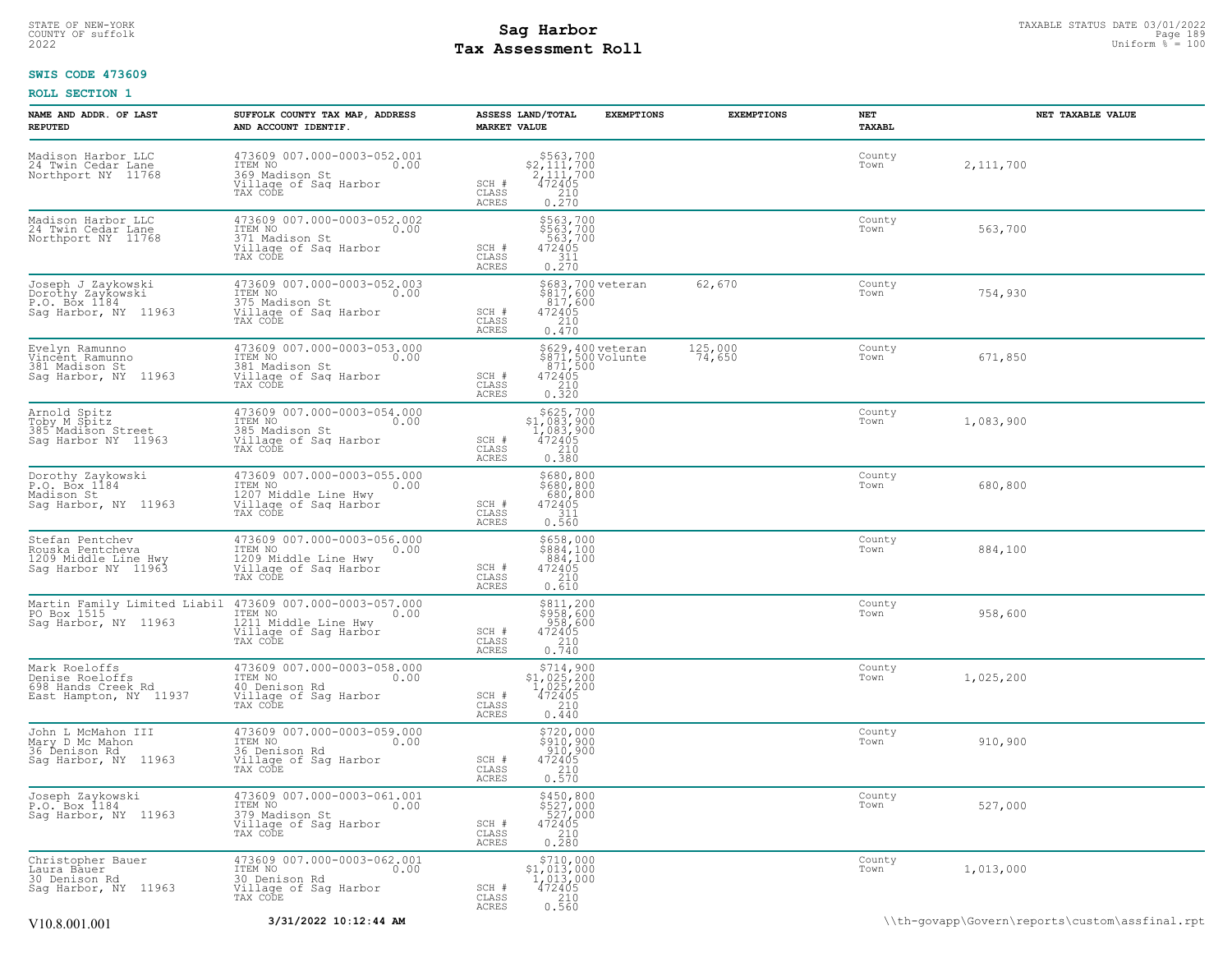# STATE OF NEW-YORK STATUS DATE 03/01/2022<br>
COUNTY OF suffolk Page 1899 **Sag Harbor**<br>
2022 **Pay Assessment Roll** Page 1890 **Page 1899 Page 1899 Page 1899 Page 1899 Tax Assessment Roll**

#### **SWIS CODE 473609**

| NAME AND ADDR. OF LAST<br><b>REPUTED</b>                                           | SUFFOLK COUNTY TAX MAP, ADDRESS<br>AND ACCOUNT IDENTIF.                                                      | ASSESS LAND/TOTAL<br><b>EXEMPTIONS</b><br><b>MARKET VALUE</b>                                                                                                           | <b>EXEMPTIONS</b> | NET<br><b>TAXABL</b> | NET TAXABLE VALUE |
|------------------------------------------------------------------------------------|--------------------------------------------------------------------------------------------------------------|-------------------------------------------------------------------------------------------------------------------------------------------------------------------------|-------------------|----------------------|-------------------|
| Madison Harbor LLC<br>24 Twin Cedar Lane<br>Northport NY 11768                     | 473609 007.000-0003-052.001<br>ITEM NO 0.00<br>369 Madison St<br>Village of Saq Harbor<br>TAX CODE           | $$563,700$<br>$2,111,700$<br>$472405$<br>$$210$<br>$\begin{array}{c} \text{SCH} \ \# \\ \text{CLASS} \end{array}$<br>$0.\bar{2}\bar{7}\bar{0}$<br>ACRES                 |                   | County<br>Town       | 2,111,700         |
| Madison Harbor LLC<br>24 Twin Cedar Lane<br>Northport NY 11768                     | 473609 007.000-0003-052.002<br>ITEM NO<br>0.00<br>371 Madison St<br>Village of Sag Harbor<br>TAX CODE        | \$563,700<br>\$563,700<br>563,700<br>472405<br>SCH #<br>CLASS<br>$\frac{311}{0.270}$<br><b>ACRES</b>                                                                    |                   | County<br>Town       | 563,700           |
| Joseph J Zaykowski<br>Dorothy Zaykowski<br>P.O. Box 1184<br>Sag Harbor, NY 11963   | 473609 007.000-0003-052.003<br>TTEM NO<br>375 Madison St<br>Village of Sag Harbor<br>0.00<br>TAX CODE        | \$683,700 veteran<br>\$817,600<br>817,600<br>472405<br>2410<br>SCH #<br>CLASS<br>0.470<br>ACRES                                                                         | 62,670            | County<br>Town       | 754,930           |
| Evelyn Ramunno<br>Vincent Ramunno<br>381 Madison St<br>Sag Harbor, NY 11963        | 473609 007.000-0003-053.000<br>ITEM NO<br>0.00<br>381 Madison St<br>Village of Sag Harbor<br>TAX CODE        | \$629,400 veteran<br>\$871,500 Volunte<br>871,500<br>472405<br>210<br>0.320<br>SCH #<br>CLASS<br>ACRES                                                                  | 125,000<br>74,650 | County<br>Town       | 671,850           |
| Arnold Spitz<br>Toby M Spitz<br>385 Madison Street<br>Sag Harbor NY 11963          | 473609 007.000-0003-054.000<br>ITEM NO<br>0.00<br>385 Madison St<br>Village of Sag Harbor<br>TAX CODE        | $\begin{array}{r} $625,700\n$1,083,900\n1,083,900\n472405\n210\n\end{array}$<br>SCH #<br>CLASS<br>ACRES<br>0.380                                                        |                   | County<br>Town       | 1,083,900         |
| Dorothy Zaykowski<br>P.O. Box 1184<br>Madison St<br>Sag Harbor, NY 11963           | 473609 007.000-0003-055.000<br>ITEM NO<br>0.00<br>11207 Middle Line Hwy<br>Village of Sag Harbor<br>TAX CODE | \$680,800<br>\$680,800<br>680,800<br>472405<br>SCH #<br>$\begin{array}{c} 311 \\ 0.560 \end{array}$<br>CLASS<br>ACRES                                                   |                   | County<br>Town       | 680,800           |
| Stefan Pentchev<br>Rouska Pentcheva<br>1209 Middle Line Hwy<br>Sag Harbor NY 11963 | 473609 007.000-0003-056.000<br>ITEM NO<br>0.00<br>1209 Middle Line Hwy<br>Village of Sag Harbor<br>TAX CODE  | \$658,000<br>\$884,100<br>884,100<br>472405<br>SCH #<br>CLASS<br>210<br>0.610<br>ACRES                                                                                  |                   | County<br>Town       | 884,100           |
| Martin Family Limited Liabil<br>PO Box 1515<br>Sag Harbor, NY 11963                | 473609 007.000-0003-057.000<br>TTEM NO 0.00<br>1211 Middle Line Hwy<br>Village of Sag Harbor<br>TAX CODE     | \$811,200<br>\$958,600<br>958,600<br>SCH #<br>472405<br>CLASS<br>$\frac{210}{0.740}$<br>ACRES                                                                           |                   | County<br>Town       | 958,600           |
| Mark Roeloffs<br>Denise Roeloffs<br>698 Hands Creek Rd<br>East Hampton, NY 11937   | 473609 007.000-0003-058.000<br>ITEM NO<br>0.00<br>40 Denison Rd<br>Village of Sag Harbor<br>TAX CODE         | $$714,900$<br>$$1,025,200$<br>$1,025,200$<br>$472405$<br>SCH #<br>210<br>CLASS<br>0.440<br>ACRES                                                                        |                   | County<br>Town       | 1,025,200         |
| John L McMahon III<br>Mary D Mc Mahon<br>36 Ďenison Rd<br>Sag Harbor, NY 11963     | 473609 007.000-0003-059.000<br>ITEM NO<br>0.00<br>36 Denison Rd<br>Village of Sag Harbor<br>TAX CODE         | $\begin{array}{r} \sqrt{5720,000} \\ \sqrt{5910,900} \\ \sqrt{910,900} \\ \sqrt{472405} \\ \sqrt{210} \\ \sqrt{0.570} \\ \end{array}$<br>SCH #<br>CLASS<br><b>ACRES</b> |                   | County<br>Town       | 910,900           |
| Joseph Zaykowski<br>P.O. Box 1184<br>Sag Harbor, NY 11963                          | 473609 007.000-0003-061.001<br>ITEM NO<br>0.00<br>379 Madison St<br>Village of Sag Harbor<br>TAX CODE        | $\begin{array}{r} 5450,800 \\ 5527,000 \\ 527,000 \\ 472405 \\ 210 \\ 0.280 \end{array}$<br>SCH #<br>CLASS<br><b>ACRES</b>                                              |                   | County<br>Town       | 527,000           |
| Christopher Bauer<br>Laura Bauer<br>30 Denison Rd<br>Sag Harbor, NY 11963          | 473609 007.000-0003-062.001<br>TTEM NO 0.00<br>0.00<br>30 Denison Rd<br>Village of Saq Harbor<br>TAX CODE    | $\begin{array}{r} \text{\small $>$710,000$} \\ \text{\small $>$1,013,000$} \\ 1,013,000 \\ 472405 \\ 210 \\ 0.560 \end{array}$<br>SCH #<br>CLASS<br>ACRES               |                   | County<br>Town       | 1,013,000         |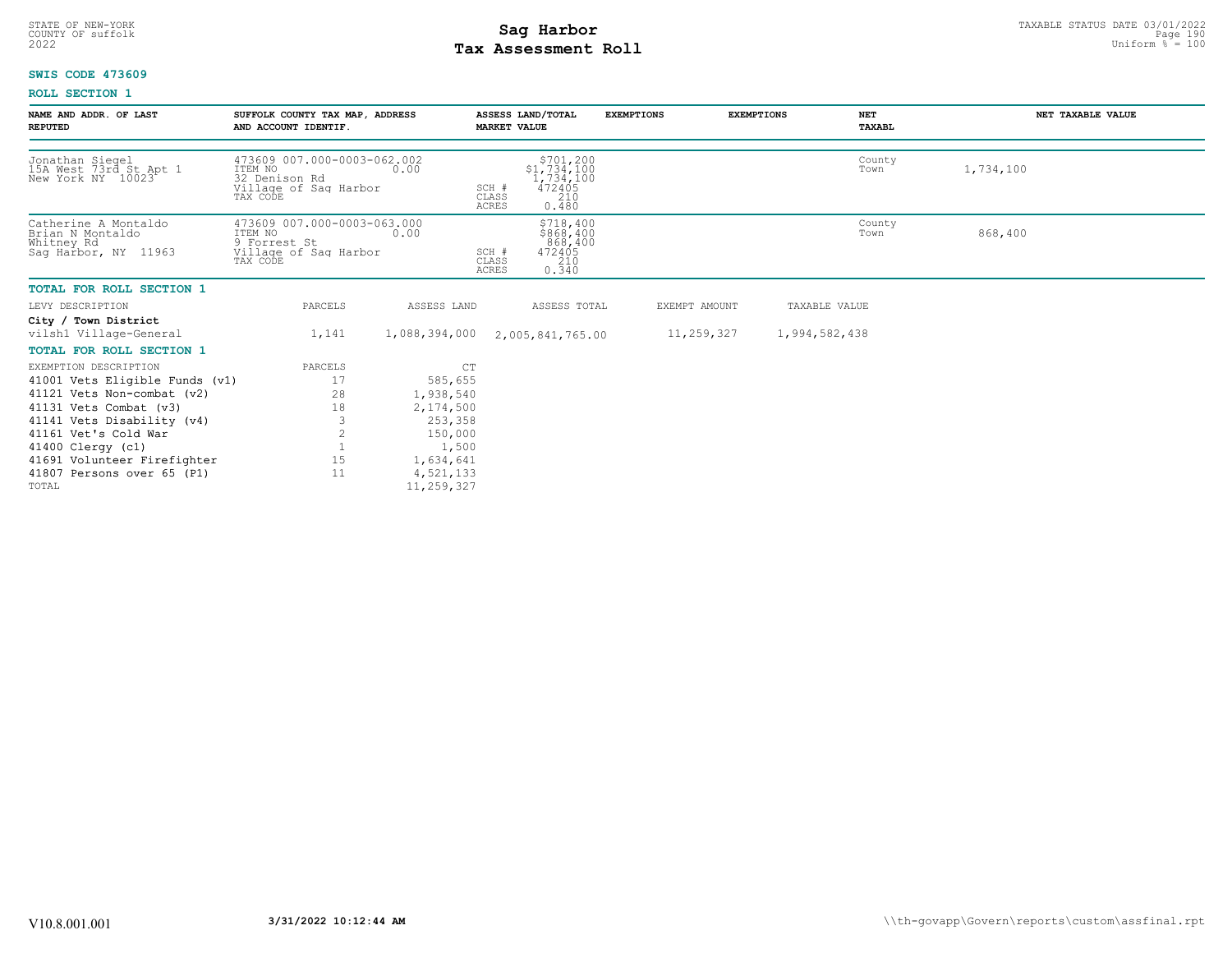# STATE OF NEW-YORK STATUS DATE 03/01/2022<br>
COUNTY OF suffolk **Sag From the Sag State Page 190**<br>
2022 Pay Assessment Roll **Tax Assessment Roll**

#### **SWIS CODE 473609**

| NAME AND ADDR. OF LAST<br><b>REPUTED</b>                                       | SUFFOLK COUNTY TAX MAP, ADDRESS<br>AND ACCOUNT IDENTIF.                                      |                         | ASSESS LAND/TOTAL<br><b>MARKET VALUE</b>                                                                 | <b>EXEMPTIONS</b> |               | <b>NET</b><br><b>EXEMPTIONS</b><br>TAXABL | NET TAXABLE VALUE |  |
|--------------------------------------------------------------------------------|----------------------------------------------------------------------------------------------|-------------------------|----------------------------------------------------------------------------------------------------------|-------------------|---------------|-------------------------------------------|-------------------|--|
| Jonathan Siegel<br>15A West 73rd St Apt 1<br>New York NY 10023                 | 473609 007.000-0003-062.002<br>ITEM NO<br>32 Denison Rd<br>Village of Sag Harbor<br>TAX CODE | 0.00                    | $\substack{\$701,200\\\$1,734,100\\1,734,100\\472405}$<br>SCH #<br>210<br>CLASS<br><b>ACRES</b><br>0.480 |                   |               | County<br>Town                            | 1,734,100         |  |
| Catherine A Montaldo<br>Brian N Montaldo<br>Whitney Rd<br>Sag Harbor, NY 11963 | 473609 007.000-0003-063.000<br>ITEM NO<br>9 Forrest St<br>Village of Sag Harbor<br>TAX CODE  | 0.00                    | \$718,400<br>\$868,400<br>868,400<br>472405<br>SCH #<br>210<br>CLASS<br>0.340<br><b>ACRES</b>            |                   |               | County<br>Town                            | 868,400           |  |
| <b>TOTAL FOR ROLL SECTION 1</b>                                                |                                                                                              |                         |                                                                                                          |                   |               |                                           |                   |  |
| LEVY DESCRIPTION                                                               | PARCELS                                                                                      | ASSESS LAND             | ASSESS TOTAL                                                                                             |                   | EXEMPT AMOUNT | TAXABLE VALUE                             |                   |  |
| City / Town District<br>vilsh1 Village-General                                 | 1,141                                                                                        | 1,088,394,000           | 2,005,841,765.00                                                                                         |                   | 11,259,327    | 1,994,582,438                             |                   |  |
| <b>TOTAL FOR ROLL SECTION 1</b>                                                |                                                                                              |                         |                                                                                                          |                   |               |                                           |                   |  |
| EXEMPTION DESCRIPTION                                                          | PARCELS                                                                                      | CT                      |                                                                                                          |                   |               |                                           |                   |  |
| 41001 Vets Eligible Funds (v1)                                                 | 17                                                                                           | 585,655                 |                                                                                                          |                   |               |                                           |                   |  |
| 41121<br>Vets Non-combat (v2)                                                  | 28                                                                                           | 1,938,540               |                                                                                                          |                   |               |                                           |                   |  |
| 41131 Vets Combat (v3)                                                         | 18                                                                                           | 2,174,500               |                                                                                                          |                   |               |                                           |                   |  |
| 41141 Vets Disability (v4)                                                     | 3                                                                                            | 253,358                 |                                                                                                          |                   |               |                                           |                   |  |
| 41161 Vet's Cold War                                                           | $\overline{2}$                                                                               | 150,000                 |                                                                                                          |                   |               |                                           |                   |  |
| 41400 Clergy (c1)                                                              |                                                                                              | 1,500                   |                                                                                                          |                   |               |                                           |                   |  |
| 41691 Volunteer Firefighter                                                    | 15                                                                                           | 1,634,641               |                                                                                                          |                   |               |                                           |                   |  |
| 41807 Persons over 65 (P1)<br>TOTAL                                            | 11                                                                                           | 4,521,133<br>11,259,327 |                                                                                                          |                   |               |                                           |                   |  |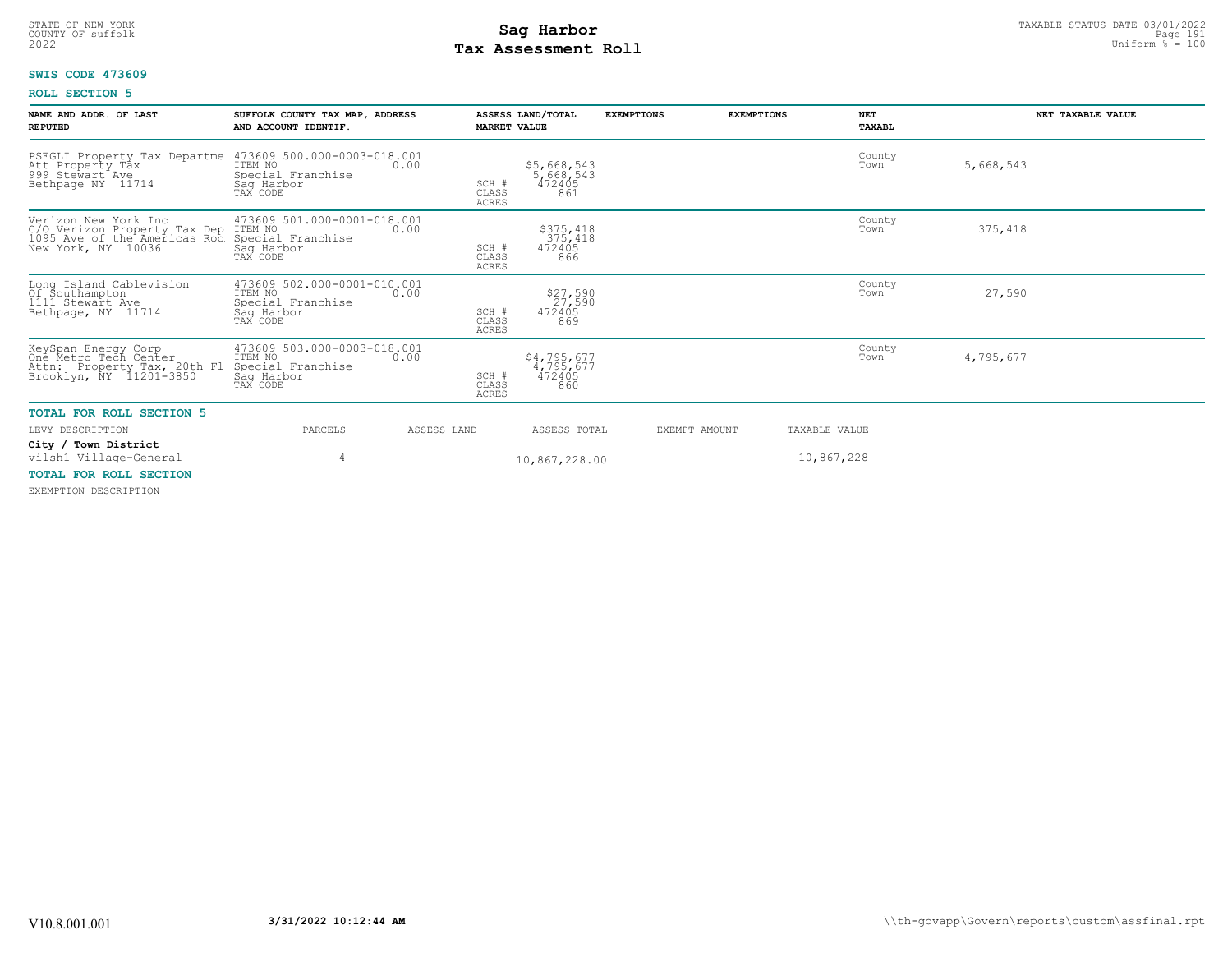# **Tax Assessment Roll Existed Strategies of the Contract Strategies** of  $\frac{100}{2022}$

#### **SWIS CODE 473609**

#### **ROLL SECTION 5**

| NAME AND ADDR. OF LAST<br><b>REPUTED</b>                                                                                   | SUFFOLK COUNTY TAX MAP, ADDRESS<br>AND ACCOUNT IDENTIF.                               |             | ASSESS LAND/TOTAL<br><b>MARKET VALUE</b> |                                           | <b>EXEMPTIONS</b> | <b>EXEMPTIONS</b> | <b>NET</b><br><b>TAXABL</b> |           | NET TAXABLE VALUE |
|----------------------------------------------------------------------------------------------------------------------------|---------------------------------------------------------------------------------------|-------------|------------------------------------------|-------------------------------------------|-------------------|-------------------|-----------------------------|-----------|-------------------|
| PSEGLI Property Tax Departme 473609 500.000-0003-018.001<br>Att Property Tax<br>999 Stewart Ave<br>Bethpage NY 11714       | ITEM NO<br>Special Franchise<br>Saq Harbor<br>TAX CODE                                | 0.00        | SCH #<br>CLASS<br>ACRES                  | \$5,668,543<br>5,668,543<br>472405<br>861 |                   |                   | County<br>Town              | 5,668,543 |                   |
| Verizon New York Inc<br>C/O Verizon Property Tax Dep ITEM NO<br>1095 Ave of the Americas Roo Special<br>New York, NY 10036 | 473609 501.000-0001-018.001<br>Special Franchise<br>Saq Harbor<br>TAX CODE            | 0.00        | SCH #<br>CLASS<br>ACRES                  | \$375,418<br>375,418<br>472405<br>866     |                   |                   | County<br>Town              | 375,418   |                   |
| Long Island Cablevision<br>Of Southampton<br>1111 Stewart Ave<br>Bethpage, NY 11714                                        | 473609 502.000-0001-010.001<br>ITEM NO<br>Special Franchise<br>Sag Harbor<br>TAX CODE | 0.00        | SCH #<br>CLASS<br><b>ACRES</b>           | \$27,590<br>27,590<br>472405<br>869       |                   |                   | County<br>Town              | 27,590    |                   |
| KeySpan Energy Corp<br>One Metro Tech Center<br>Attn: Property Tax, 20th Fl<br>Brooklyn, NY 11201-3850                     | 473609 503.000-0003-018.001<br>ITEM NO<br>Special Franchise<br>Saq Harbor<br>TAX CODE | 0.00        | SCH #<br>CLASS<br><b>ACRES</b>           | \$4,795,677<br>4,795,677<br>472405<br>860 |                   |                   | County<br>Town              | 4,795,677 |                   |
| <b>TOTAL FOR ROLL SECTION 5</b>                                                                                            |                                                                                       |             |                                          |                                           |                   |                   |                             |           |                   |
| LEVY DESCRIPTION                                                                                                           | PARCELS                                                                               | ASSESS LAND |                                          | ASSESS TOTAL                              |                   | EXEMPT AMOUNT     | TAXABLE VALUE               |           |                   |
| City / Town District<br>vilsh1 Village-General                                                                             |                                                                                       |             |                                          | 10,867,228.00                             |                   |                   | 10,867,228                  |           |                   |
| <b>TOTAL FOR ROLL SECTION</b>                                                                                              |                                                                                       |             |                                          |                                           |                   |                   |                             |           |                   |

EXEMPTION DESCRIPTION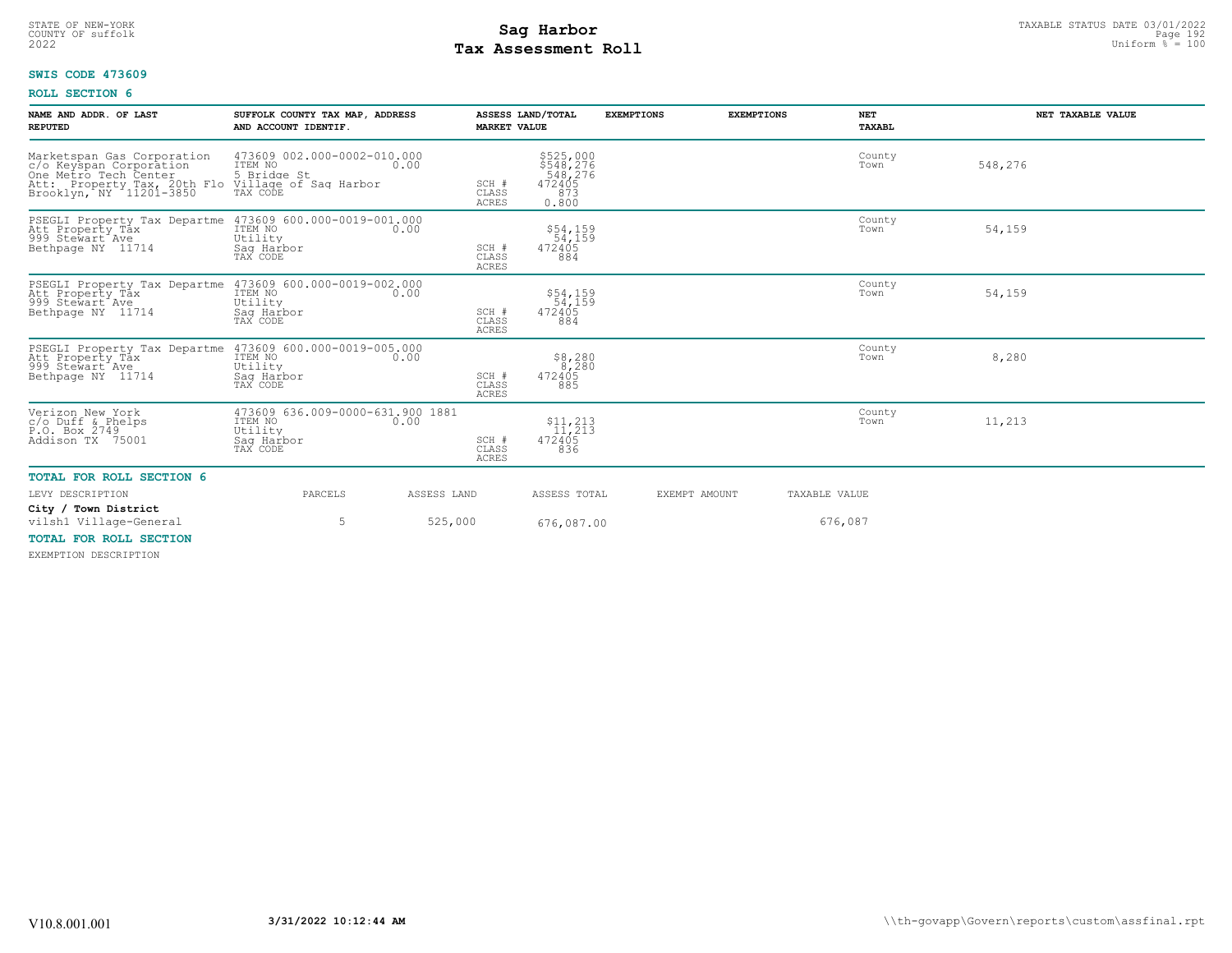# STATE OF NEW-YORK STATUS DATE 03/01/2022<br>
COUNTY OF suffolk Page 192 Uniform % = 100<br>
2022 Pay Assessment Roll **Tax Assessment Roll**

#### **SWIS CODE 473609**

#### **ROLL SECTION 6**

| NAME AND ADDR. OF LAST<br><b>REPUTED</b>                                                                                                                                                         | SUFFOLK COUNTY TAX MAP, ADDRESS<br>AND ACCOUNT IDENTIF.                                  | <b>MARKET VALUE</b>            | ASSESS LAND/TOTAL                                           | <b>EXEMPTIONS</b> | <b>EXEMPTIONS</b> | <b>NET</b><br>TAXABL | NET TAXABLE VALUE |
|--------------------------------------------------------------------------------------------------------------------------------------------------------------------------------------------------|------------------------------------------------------------------------------------------|--------------------------------|-------------------------------------------------------------|-------------------|-------------------|----------------------|-------------------|
| Marketspan Gas Corporation<br>c/o Keyspan Corporation<br>One Metro Tech Center<br>One Metro Tech Center<br>Att: Property Tax, 20th Flo Village of Sag Harbor<br>Brooklyn, NY 11201-3850 TAX CODE | 473609 002.000-0002-010.000<br>ITEM NO 0.00                                              | SCH #<br>CLASS<br><b>ACRES</b> | \$525,000<br>\$548,276<br>548,276<br>472405<br>873<br>0.800 |                   |                   | County<br>Town       | 548,276           |
| PSEGLI Property Tax Departme 473609 600.000-0019-001.000<br>Att Property Tax<br>999 Stewart Ave<br>Bethpage NY 11714                                                                             | ITEM NO<br>0.00<br>Utility<br>Saq Harbor<br>TAX CODE                                     | SCH #<br>CLASS<br><b>ACRES</b> | \$54,159<br>54,159<br>472405<br>884                         |                   |                   | County<br>Town       | 54,159            |
| PSEGLI Property Tax Departme 473609 600.000-0019-002.000<br>Att Property Tax<br>999 Stewart Ave<br>Bethpage NY 11714                                                                             | ITEM NO<br>0.00<br>Utility<br>Saq Harbor<br>TAX CODE                                     | SCH #<br>CLASS<br><b>ACRES</b> | \$54,159<br>54,159<br>472405<br>884                         |                   |                   | County<br>Town       | 54,159            |
| PSEGLI Property Tax Departme 473609 600.000-0019-005.000<br>Att Property Tax<br>999 Stewart <sup>Ave</sup><br>Bethpage NY 11714                                                                  | ITEM NO<br>0.00<br>Utility<br>Saq Harbor<br>TAX CODE                                     | SCH #<br>CLASS<br><b>ACRES</b> | \$8,280<br>8,280<br>472405<br>885                           |                   |                   | County<br>Town       | 8,280             |
| Verizon New York<br>c/o Duff & Phelps<br>P.O. Box 2749<br>Addison TX 75001                                                                                                                       | 473609 636.009-0000-631.900 1881<br>ITEM NO<br>0.00<br>Utility<br>Saq Harbor<br>TAX CODE | SCH #<br>CLASS<br><b>ACRES</b> | $\frac{11,213}{11,213}$<br>472405<br>836                    |                   |                   | County<br>Town       | 11,213            |
| <b>TOTAL FOR ROLL SECTION 6</b>                                                                                                                                                                  |                                                                                          |                                |                                                             |                   |                   |                      |                   |
| LEVY DESCRIPTION                                                                                                                                                                                 | PARCELS                                                                                  | ASSESS LAND                    | ASSESS TOTAL                                                | EXEMPT AMOUNT     |                   | TAXABLE VALUE        |                   |
| City / Town District<br>vilsh1 Village-General<br><b>TOTAL FOR ROLL SECTION</b>                                                                                                                  | 5                                                                                        | 525,000                        | 676,087.00                                                  |                   |                   | 676,087              |                   |

EXEMPTION DESCRIPTION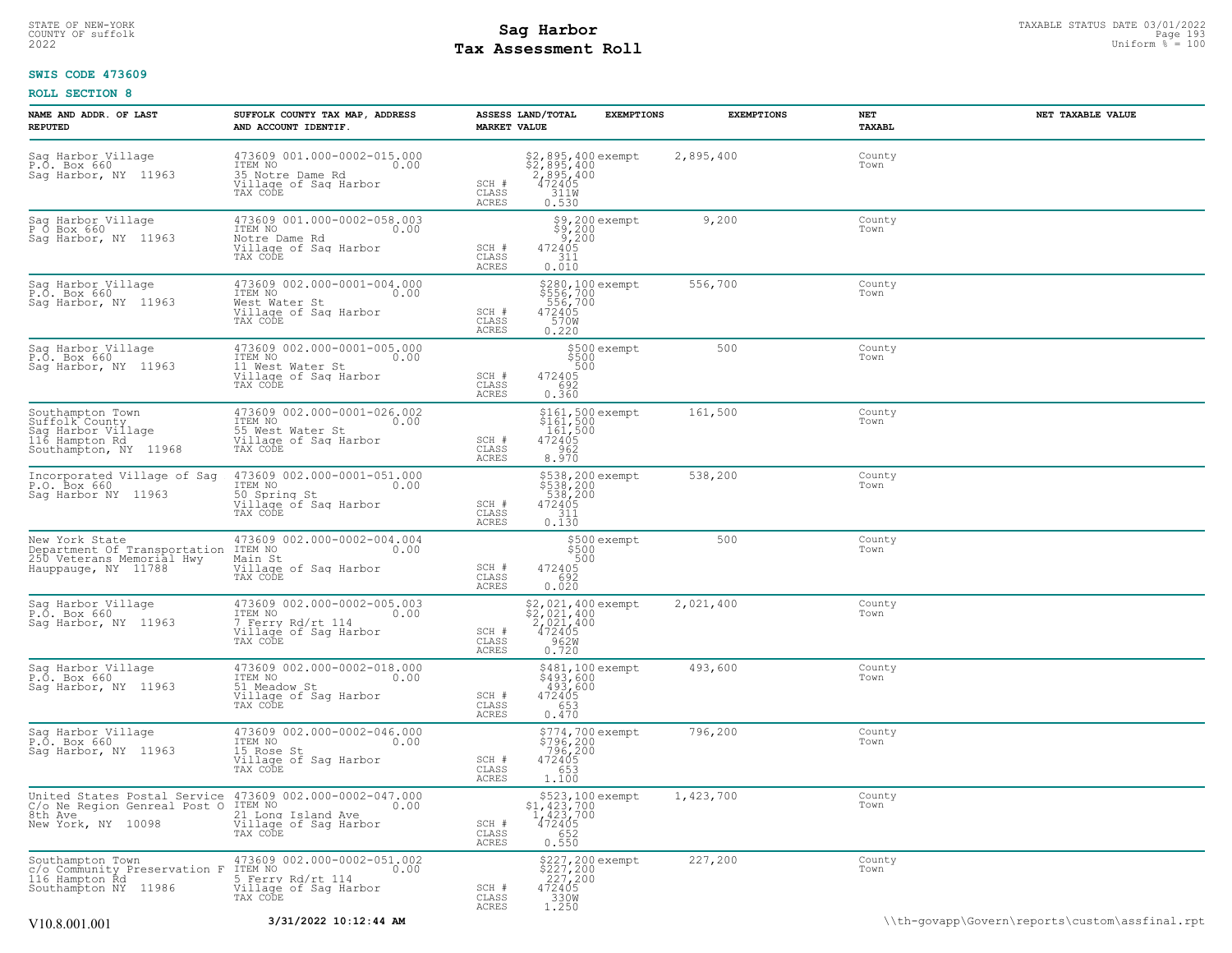# **Tax Assessment Roll Existed Strategies of the Contract Strategies** of  $\frac{100}{2022}$

### **SWIS CODE 473609**

| NAME AND ADDR. OF LAST<br><b>REPUTED</b>                                                            | SUFFOLK COUNTY TAX MAP, ADDRESS<br>AND ACCOUNT IDENTIF.                                                                     | <b>MARKET VALUE</b>            | ASSESS LAND/TOTAL<br><b>EXEMPTIONS</b>                                              | <b>EXEMPTIONS</b> | NET<br>TAXABL  | NET TAXABLE VALUE                              |
|-----------------------------------------------------------------------------------------------------|-----------------------------------------------------------------------------------------------------------------------------|--------------------------------|-------------------------------------------------------------------------------------|-------------------|----------------|------------------------------------------------|
| Sag Harbor Village<br>P.O. Box 660<br>Sag Harbor, NY 11963                                          | 473609 001.000-0002-015.000<br>ITEM NO<br>0.00<br>35 Notre Dame Rd<br>Village of Saq Harbor<br>TAX CODE                     | SCH #<br>CLASS<br>ACRES        | \$2,895,400 exempt<br>\$2,895,400<br>2,895,400<br>472405<br>472405<br>311W<br>0.530 | 2,895,400         | County<br>Town |                                                |
| Sag Harbor Village<br>P O Box 660<br>Sag Harbor, NY 11963                                           | 473609 001.000-0002-058.003<br>ITEM NO<br>0.00<br>Notre Dame Rd<br>Village of Sag Harbor<br>TAX CODE                        | SCH #<br>CLASS<br><b>ACRES</b> | \$9,200 exempt<br>\$9,200<br>9,200<br>472405<br>311<br>0.010                        | 9,200             | County<br>Town |                                                |
| Saq Harbor Village<br>P.O. Box 660<br>Sag Harbor, NY 11963                                          | 473609 002.000-0001-004.000<br>ITEM NO<br>0.00<br>West Water St<br>Village of Sag Harbor<br>TAX CODE                        | SCH #<br>CLASS<br>ACRES        | \$280,100 exempt<br>\$556,700<br>.556,700<br>472405<br>570W<br>0.220                | 556,700           | County<br>Town |                                                |
| Sag Harbor Village<br>P.O. Box 660<br>Sag Harbor, NY 11963                                          | 473609 002.000-0001-005.000<br>TTEM NO 0.00<br>11 West Water St<br>Village of Saq Harbor<br>TAX CODE                        | SCH #<br>CLASS<br>ACRES        | \$500 exempt<br>\$500<br>500<br>472405<br>692<br>0.360                              | 500               | County<br>Town |                                                |
| Southampton Town<br>Suffolk County<br>Sag Harbor Village<br>116 Hampton Rd<br>Southampton, NY 11968 | 473609 002.000-0001-026.002<br>ITEM NO<br>0.00<br>55 West Water St<br>Village of Sag Harbor<br>TAX CODE                     | SCH #<br>CLASS<br>ACRES        | \$161,500 exempt<br>\$161,500<br>161,500<br>472405<br>962<br>8.970                  | 161,500           | County<br>Town |                                                |
| Incorporated Village of Sag<br>P.O. Box 660<br>Sag Harbor NY 11963                                  | 473609 002.000-0001-051.000<br>ITEM NO<br>0.00<br>50 Spring St<br>Village of Sag Harbor<br>TAX CODE                         | SCH #<br>CLASS<br>ACRES        | \$538,200 exempt<br>\$538,200<br>538,200<br>472405<br>311<br>0.130                  | 538,200           | County<br>Town |                                                |
| New York State<br>Department Of Transportation<br>250 Veterans Memorial Hwy<br>Hauppauge, NY 11788  | 473609 002.000-0002-004.004<br>ITEM NO<br>0.00<br>Main St<br>Village of Sag Harbor<br>TAX CODE                              | SCH #<br>CLASS<br>ACRES        | \$500 exempt<br>\$500<br>500<br>472405<br>692<br>0.020                              | 500               | County<br>Town |                                                |
| Sag Harbor Village<br>P.O. Box 660<br>Sag Harbor, NY 11963                                          | 473609 002.000-0002-005.003<br>ITEM NO<br>0.00<br>7 Ferry Rd/rt 114<br>Village of Saq Harbor<br>TAX CODE                    | SCH #<br>CLASS<br>ACRES        | \$2,021,400 exempt<br>\$2,021,400<br>2,021,400<br>472405<br>0.720                   | 2,021,400         | County<br>Town |                                                |
| Sag Harbor Village<br>P.O. Box 660<br>Sag Harbor, NY 11963                                          | 473609 002.000-0002-018.000<br>ITEM NO<br>0.00<br>51 Meadow St<br>Village of Sag Harbor<br>TAX CODE                         | SCH #<br>CLASS<br>ACRES        | \$481,100 exempt<br>\$493,600<br>493,600<br>472405<br>653<br>0.470                  | 493,600           | County<br>Town |                                                |
| Saq Harbor Village<br>P.O. Box 660<br>Sag Harbor, NY 11963                                          | 473609 002.000-0002-046.000<br>ITEM NO<br>0.00<br>15 Rose St<br>Village of Sag Harbor<br>TAX CODE                           | SCH #<br>CLASS<br>ACRES        | \$774,700 exempt<br>\$796,200<br>796,200<br>472405<br>653<br>1.100                  | 796,200           | County<br>Town |                                                |
| C/o Ne Region Genreal Post O ITEM NO<br>8th Ave<br>New York, NY 10098                               | United States Postal Service 473609 002.000-0002-047.000<br>0.00<br>21 Long Island Ave<br>Village of Sag Harbor<br>TAX CODE | SCH #<br>CLASS<br>ACRES        | \$523,100 exempt<br>\$1,423,700<br>1,423,700<br>472405<br>6.550                     | 1,423,700         | County<br>Town |                                                |
| Southampton Town<br>c/o Community Preservation F<br>116 Hampton Rd<br>Southampton NY 11986          | 473609 002.000-0002-051.002<br>ITEM NO<br>0.00<br>5 Ferry Rd/rt 114<br>Village of Sag Harbor<br>TAX CODE                    | SCH #<br>CLASS<br>ACRES        | \$227,200 exempt<br>\$227,200<br>227,200<br>472405<br>330W<br>1.250                 | 227,200           | County<br>Town |                                                |
| V <sub>10.8</sub> .001.001                                                                          | 3/31/2022 10:12:44 AM                                                                                                       |                                |                                                                                     |                   |                | \\th-qovapp\Govern\reports\custom\assfinal.rpt |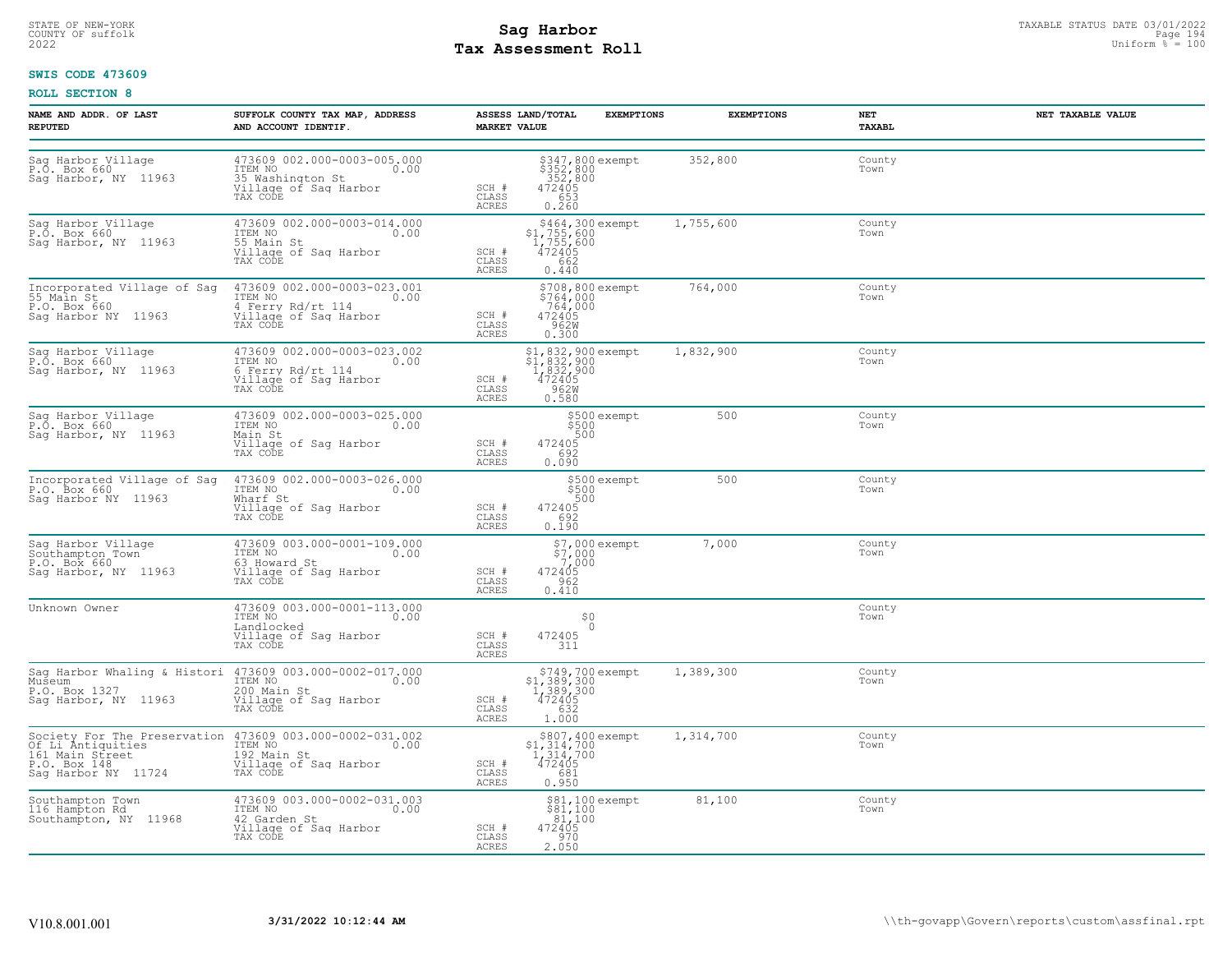# STATE OF NEW-YORK STATUS DATE 03/01/2022<br>
COUNTY OF suffolk Page 194<br>
2022 - Taxable Pay Assessment Roll **Tax Assessment Roll**

#### **SWIS CODE 473609**

| NAME AND ADDR. OF LAST<br><b>REPUTED</b>                                                                    | SUFFOLK COUNTY TAX MAP, ADDRESS<br>AND ACCOUNT IDENTIF.                                                                         | ASSESS LAND/TOTAL<br><b>MARKET VALUE</b>                                               | <b>EXEMPTIONS</b>                                                                                               | <b>EXEMPTIONS</b> | NET<br>TAXABL  | NET TAXABLE VALUE |
|-------------------------------------------------------------------------------------------------------------|---------------------------------------------------------------------------------------------------------------------------------|----------------------------------------------------------------------------------------|-----------------------------------------------------------------------------------------------------------------|-------------------|----------------|-------------------|
| Sag Harbor Village<br>P.O. Box 660<br>Sag Harbor, NY 11963                                                  | 473609 002.000-0003-005.000<br>ITEM NO<br>0.00<br>35 Washington St<br>Village of Sag Harbor<br>TAX CODE                         | SCH #<br>$472405$<br>653<br>CLASS<br>ACRES<br>0.260                                    | \$347,800 exempt<br>\$352,800<br>.352,800                                                                       | 352,800           | County<br>Town |                   |
| Sag Harbor Village<br>P.O. Box 660<br>Sag Harbor, NY 11963                                                  | 473609 002.000-0003-014.000<br>ITEM NO<br>0.00<br>55 Main St<br>Village of Sag Harbor<br>TAX CODE                               | SCH #<br>662<br>CLASS<br>0.440<br>ACRES                                                | $$464,300$ exempt<br>\$1,755,600<br>1,755,600<br>472405                                                         | 1,755,600         | County<br>Town |                   |
| Incorporated Village of Sag<br>55 Main St<br>P.O. Box 660<br>Saq Harbor NY 11963                            | 473609 002.000-0003-023.001<br>ITEM NO 0.00<br>4 Ferry Rd/rt 114<br>Village of Sag Harbor<br>TAX CODE                           | \$764,000<br>764,000<br>SCH #<br>472405<br>CLASS<br>962W<br>ACRES<br>0.300             | \$708,800 exempt                                                                                                | 764,000           | County<br>Town |                   |
| Sag Harbor Village<br>P.O. Box 660<br>Sag Harbor, NY 11963                                                  | 473609 002.000-0003-023.002<br>ITEM NO 0.00<br>6 Ferry Rd/rt 114<br>Village of Sag Harbor<br>TAX CODE                           | SCH #<br>CLASS<br>0.580<br>ACRES                                                       | $$^{1}_{21}, $^{832}_{82}, $^{900}_{900}$$<br>$$^{1}_{1}, $^{832}_{82}, $^{900}_{900}$$<br>$$^{472405}_{962W}$$ | 1,832,900         | County<br>Town |                   |
| Sag Harbor Village<br>P.O. Box 660<br>Sag Harbor, NY 11963                                                  | 473609 002.000-0003-025.000<br>ITEM NO<br>0.00<br>Main St<br>Village of Sag Harbor<br>TAX CODE                                  | 472405<br>SCH #<br>692<br>CLASS<br>0.090<br>ACRES                                      | \$500 exempt<br>\$500<br>500                                                                                    | 500               | County<br>Town |                   |
| Incorporated Village of Sag<br>P.O. Box 660<br>Sag Harbor NY 11963                                          | 473609 002.000-0003-026.000<br>ITEM NO<br>0.00<br>Wharf St<br>Village of Sag Harbor<br>TAX CODE                                 | SCH #<br>472405<br>CLASS<br>692<br><b>ACRES</b><br>0.190                               | \$500 exempt<br>\$500<br>500                                                                                    | 500               | County<br>Town |                   |
| Sag Harbor Village<br>Southampton Town<br>P.O. Box 660<br>Sag Harbor, NY 11963                              | 473609 003.000-0001-109.000<br>ITEM NO 0.00<br>63 Howard St<br>Village of Sag Harbor<br>TAX CODE                                | SCH #<br>CLASS<br>0.962<br>ACRES                                                       | $$7,000$ exempt<br>$$7,000$<br>$7,000$<br>$472405$                                                              | 7,000             | County<br>Town |                   |
| Unknown Owner                                                                                               | 473609 003.000-0001-113.000<br>ITEM NO<br>0.00<br>Landlocked<br>Village of Sag Harbor<br>TAX CODE                               | 472405<br>SCH #<br>311<br>CLASS<br>ACRES                                               | \$0<br>$\circ$                                                                                                  |                   | County<br>Town |                   |
| Museum<br>P.O. Box 1327<br>Sag Harbor, NY 11963                                                             | Sag Harbor Whaling & Histori 473609 003.000-0002-017.000<br>ITEM NO<br>0.00<br>200 Main St<br>Village of Sag Harbor<br>TAX CODE | SCH #<br>632<br>CLASS<br>1.000<br>ACRES                                                | \$749,700 exempt<br>\$1,389,300<br>1,389,300<br>472405                                                          | 1,389,300         | County<br>Town |                   |
| Society For The Preservation<br>Of Li Antiquities<br>161 Main Street<br>P.O. Box 148<br>Sag Harbor NY 11724 | 473609 003.000-0002-031.002<br>ITEM NO 0.00<br>0.00<br>192 Main St<br>Village of Sag Harbor<br>TAX CODE                         | \$1,314,700<br>1,314,700<br>472405<br>SCH #<br>CLASS<br>0.950<br>ACRES                 | \$807,400 exempt                                                                                                | 1,314,700         | County<br>Town |                   |
| Southampton Town<br>116 Hampton Rd<br>Southampton, NY 11968                                                 | 473609 003.000-0002-031.003<br>ITEM NO<br>0.00<br>42 Garden St<br>Village of Sag Harbor<br>TAX CODE                             | $\frac{381}{100}$<br>$472405$<br>$472405$<br>$970$<br>SCH #<br>CLASS<br>ACRES<br>2.050 | \$81,100 exempt                                                                                                 | 81,100            | County<br>Town |                   |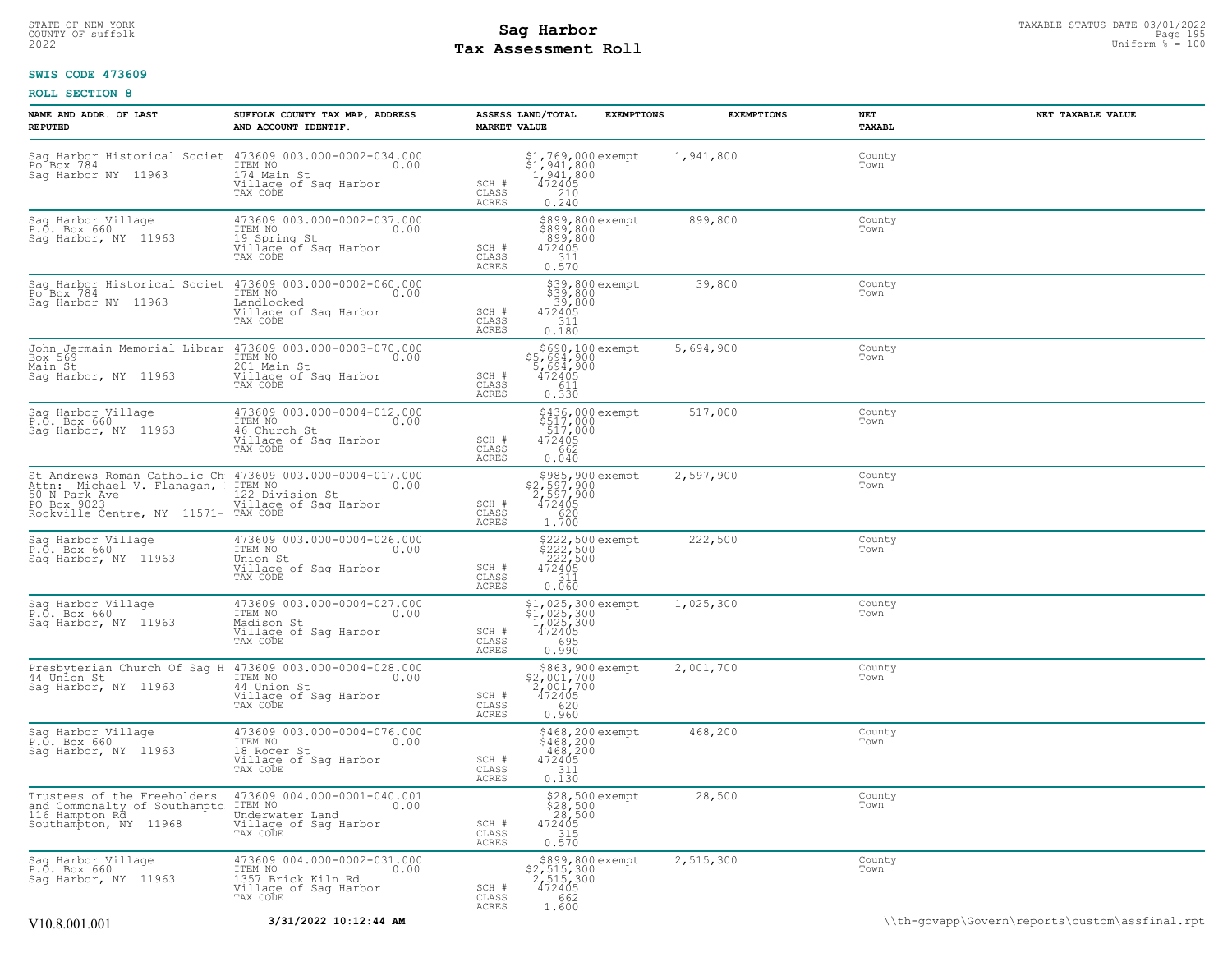# **Tax Assessment Roll Existed Strategies of the Contract Strategies** of  $\frac{100}{2022}$

#### **SWIS CODE 473609**

| NAME AND ADDR. OF LAST<br><b>REPUTED</b>                                                               | SUFFOLK COUNTY TAX MAP, ADDRESS<br>AND ACCOUNT IDENTIF.                                                                         | ASSESS LAND/TOTAL<br><b>MARKET VALUE</b> | <b>EXEMPTIONS</b>                                                               | <b>EXEMPTIONS</b> | NET<br>TAXABL  | NET TAXABLE VALUE                              |
|--------------------------------------------------------------------------------------------------------|---------------------------------------------------------------------------------------------------------------------------------|------------------------------------------|---------------------------------------------------------------------------------|-------------------|----------------|------------------------------------------------|
| Sag Harbor NY 11963                                                                                    | 174 Main St<br>Village of Sag Harbor<br>TAX CODE                                                                                | SCH #<br>CLASS<br>ACRES                  | $$1,769,000$ exempt<br>$$1,941,800$<br>$1941,800$<br>$472405$<br>$210$<br>0.240 | 1,941,800         | County<br>Town |                                                |
| Sag Harbor Village<br>P.O. Box 660<br>Sag Harbor, NY 11963                                             | 473609 003.000-0002-037.000<br>ITEM NO<br>0.00<br>19 Spring St<br>Village of Sag Harbor<br>TAX CODE                             | SCH #<br>CLASS<br>ACRES                  | \$899,800 exempt<br>\$899,800<br>899,800<br>472405<br>311<br>0.570              | 899,800           | County<br>Town |                                                |
| Po Box 784<br>Saq Harbor NY 11963                                                                      | Sag Harbor Historical Societ 473609 003.000-0002-060.000<br>ITEM NO<br>0.00<br>Landlocked<br>Village of Sag Harbor<br>TAX CODE  | SCH #<br>CLASS<br>ACRES                  | \$39,800 exempt<br>\$39,800<br>39,800<br>472405<br>311<br>0.180                 | 39,800            | County<br>Town |                                                |
| Box 569<br>Main St<br>Sag Harbor, NY 11963                                                             | John Jermain Memorial Librar 473609 003.000-0003-070.000<br>ITEM NO<br>0.00<br>201 Main St<br>Village of Sag Harbor<br>TAX CODE | SCH #<br>CLASS<br>ACRES                  | \$690,100 exempt<br>\$5,694,900<br>5,694,900<br>472405<br>611<br>0.330          | 5,694,900         | County<br>Town |                                                |
| Sag Harbor Village<br>P.O. Box 660<br>Saq Harbor, NY 11963                                             | 473609 003.000-0004-012.000<br>ITEM NO<br>0.00<br>46 Church St<br>Village of Sag Harbor<br>TAX CODE                             | SCH #<br>CLASS<br>ACRES                  | \$436,000 exempt<br>\$517,000<br>517,000<br>472405<br>662<br>0.040              | 517,000           | County<br>Town |                                                |
| Attn: Michael V. Flanagan,<br>50 N Park Ave<br>PO Box 9023<br>Rockville Centre, NY 11571- TAX CODE     | St Andrews Roman Catholic Ch 473609 003.000-0004-017.000<br>ITEM NO<br>0.00<br>122 Division St<br>Village of Sag Harbor         | SCH #<br>CLASS<br>ACRES                  | \$985,900 exempt<br>\$2,597,900<br>2,597,900<br>472405<br>620<br>1.700          | 2,597,900         | County<br>Town |                                                |
| Sag Harbor Village<br>P.O. Box 660<br>Sag Harbor, NY 11963                                             | 473609 003.000-0004-026.000<br>ITEM NO<br>0.00<br>Union St<br>Village of Sag Harbor<br>TAX CODE                                 | SCH #<br>CLASS<br>ACRES                  | \$222,500 exempt<br>\$222,500<br>\$222,500<br>472405<br>311<br>0.060            | 222,500           | County<br>Town |                                                |
| Sag Harbor Village<br>P.O. Box 660<br>Sag Harbor, NY 11963                                             | 473609 003.000-0004-027.000<br>ITEM NO<br>0.00<br>Madison St<br>Village of Sag Harbor<br>TAX CODE                               | SCH #<br>CLASS<br>ACRES                  | \$1,025,300 exempt<br>\$1,025,300<br>1,025,300<br>472405<br>695<br>0.990        | 1,025,300         | County<br>Town |                                                |
| 44 Union St<br>Sag Harbor, NY 11963                                                                    | Presbyterian Church Of Sag H 473609 003.000-0004-028.000<br>ITEM NO<br>0.00<br>44 Union St<br>Village of Sag Harbor<br>TAX CODE | SCH #<br>CLASS<br>ACRES                  | \$863,900 exempt<br>\$2,001,700<br>2,001,700<br>472405<br>620<br>0.960          | 2,001,700         | County<br>Town |                                                |
| Sag Harbor Village<br>P.O. Box 660<br>Sag Harbor, NY 11963                                             | 473609 003.000-0004-076.000<br>ITEM NO<br>0.00<br>18 Roger St<br>Village of Sag Harbor<br>TAX CODE                              | SCH #<br>CLASS<br>ACRES                  | \$468,200 exempt<br>\$468,200<br>.468,200<br>472405<br>311<br>0.130             | 468,200           | County<br>Town |                                                |
| Trustees of the Freeholders<br>and Commonalty of Southampto<br>116 Hampton Rd<br>Southampton, NY 11968 | 473609 004.000-0001-040.001<br>ITEM NO<br>0.00<br>Underwater Land<br>Village of Sag Harbor<br>TAX CODE                          | SCH #<br>CLASS<br>ACRES                  | \$28,500 exempt<br>\$28,500<br>28,500<br>472405<br>472405<br>0.570              | 28,500            | County<br>Town |                                                |
| Sag Harbor Village<br>P.O. Box 660<br>Saq Harbor, NY 11963                                             | 473609 004.000-0002-031.000<br>TTEM NO 0.00<br>1357 Brick Kiln Rd<br>Village of Sag Harbor<br>TAX CODE                          | SCH #<br>CLASS<br>ACRES                  | \$899,800 exempt<br>\$2,515,300<br>2,515,300<br>472405<br>662<br>1.600          | 2,515,300         | County<br>Town |                                                |
| V <sub>10.8</sub> .001.001                                                                             | 3/31/2022 10:12:44 AM                                                                                                           |                                          |                                                                                 |                   |                | \\th-govapp\Govern\reports\custom\assfinal.rpt |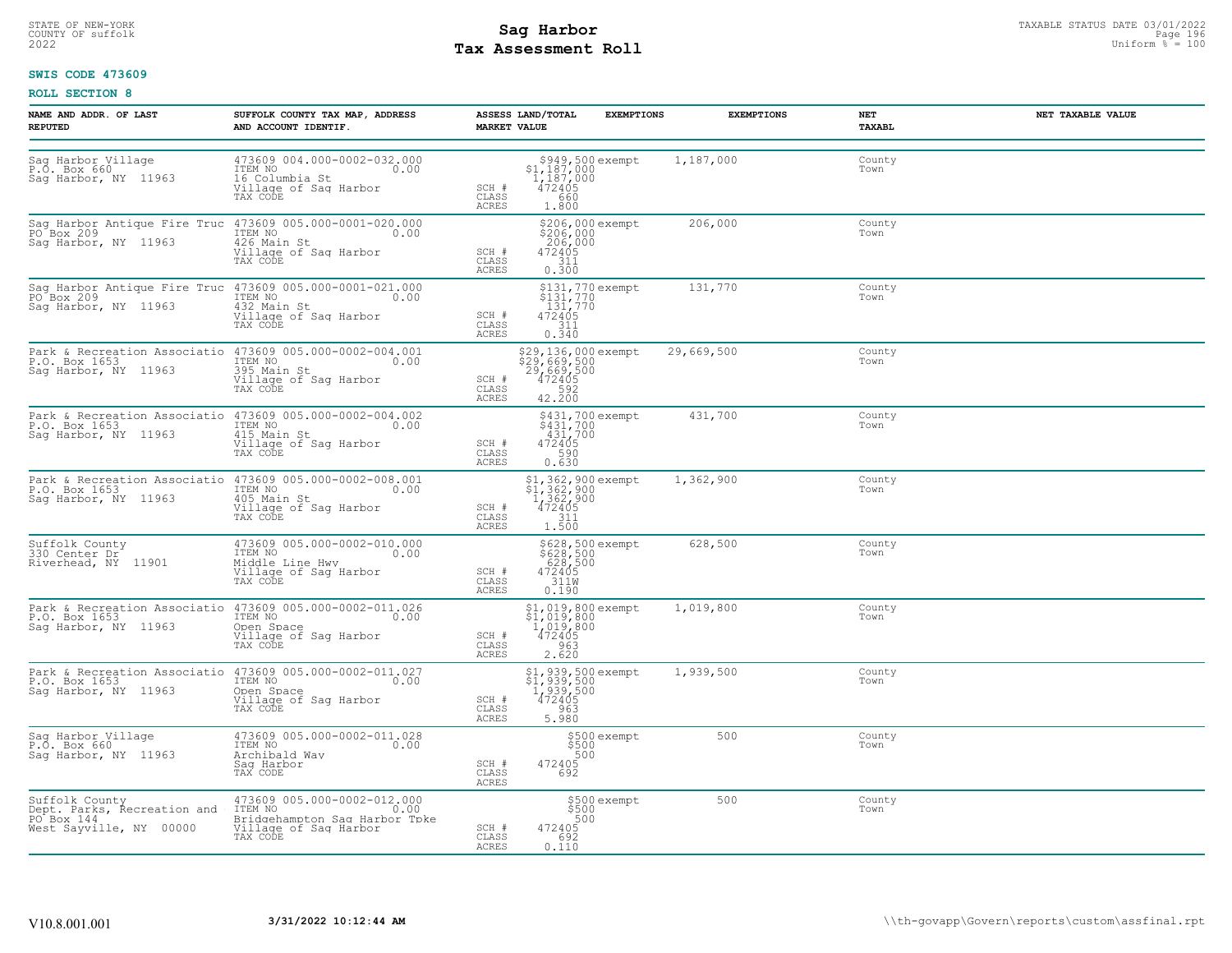# STATE OF NEW-YORK STATUS DATE 03/01/2022<br>
COUNTY OF suffolk **Sag From the Sag State Page 196**<br>
2022 Pay Assessment Roll **Tax Assessment Roll**

#### **SWIS CODE 473609**

| NAME AND ADDR. OF LAST<br><b>REPUTED</b>                                                          | SUFFOLK COUNTY TAX MAP, ADDRESS<br>AND ACCOUNT IDENTIF.                                                                         | ASSESS LAND/TOTAL<br><b>MARKET VALUE</b>                                                                                | <b>EXEMPTIONS</b>                                          | <b>EXEMPTIONS</b> | NET<br>TAXABL  | NET TAXABLE VALUE |
|---------------------------------------------------------------------------------------------------|---------------------------------------------------------------------------------------------------------------------------------|-------------------------------------------------------------------------------------------------------------------------|------------------------------------------------------------|-------------------|----------------|-------------------|
| Sag Harbor Village<br>P.O. Box 660<br>Saq Harbor, NY 11963                                        | 473609 004.000-0002-032.000<br>ITEM NO<br>0.00<br>16 Columbia St<br>Village of Sag Harbor<br>TAX CODE                           | SCH #<br>CLASS<br>660<br><b>ACRES</b><br>1.800                                                                          | \$949,500 exempt<br>\$1,187,000<br>1,187,000<br>472405     | 1,187,000         | County<br>Town |                   |
| Sag Harbor Antique Fire Truc 473609 005.000-0001-020.000<br>PO Box 209<br>Saq Harbor, NY 11963    | ITEM NO<br>0.00<br>426 Main St<br>Village of Sag Harbor<br>TAX CODE                                                             | SCH #<br>472405<br>311<br>CLASS<br><b>ACRES</b><br>0.300                                                                | \$206,000 exempt<br>\$206,000<br>206,000                   | 206,000           | County<br>Town |                   |
| Sag Harbor Antique Fire Truc 473609 005.000-0001-021.000<br>PO Box 209<br>Saq Harbor, NY 11963    | ITEM NO<br>0.00<br>432 Main St<br>Village of Sag Harbor<br>TAX CODE                                                             | 472405<br>SCH #<br>CLASS<br>311<br>ACRES<br>0.340                                                                       | \$131,770 exempt<br>\$131,770<br>131,770                   | 131,770           | County<br>Town |                   |
| Park & Recreation Associatio 473609 005.000-0002-004.001<br>P.O. Box 1653<br>Saq Harbor, NY 11963 | ITEM NO<br>0.00<br>395 Main St<br>Village of Sag Harbor<br>TAX CODE                                                             | \$29,136,000 exempt<br>$\frac{25}{29}$ , 669, 500<br>29, 669, 500<br>472405<br>582<br>SCH #<br>CLASS<br>42.200<br>ACRES |                                                            | 29,669,500        | County<br>Town |                   |
| P.O. Box 1653<br>Saq Harbor, NY 11963                                                             | Park & Recreation Associatio 473609 005.000-0002-004.002<br>ITEM NO<br>0.00<br>415 Main St<br>Village of Sag Harbor<br>TAX CODE | SCH #<br>590<br>CLASS<br>0.630<br>ACRES                                                                                 | \$431,700 exempt<br>\$431,700<br>431,700<br>472405         | 431,700           | County<br>Town |                   |
| Park & Recreation Associatio 473609 005.000-0002-008.001<br>P.O. Box 1653<br>Saq Harbor, NY 11963 | ITEM NO<br>0.00<br>405 Main St<br>Village of Saq Harbor<br>TAX CODE                                                             | SCH #<br>CLASS<br>311<br><b>ACRES</b><br>1.500                                                                          | \$1,362,900 exempt<br>\$1,362,900<br>1,362,900<br>472405   | 1,362,900         | County<br>Town |                   |
| Suffolk County<br>330 Center Dr<br>Riverhead, NY 11901                                            | 473609 005.000-0002-010.000<br>TTEM NO 0.00<br>Middle Line Hwy<br>Village of Sag Harbor<br>TAX CODE                             | SCH #<br>CLASS<br>ACRES<br>0.190                                                                                        | \$628,500 exempt<br>\$628,500<br>628,500<br>472405<br>311M | 628,500           | County<br>Town |                   |
| P.O. Box 1653<br>Sag Harbor, NY 11963                                                             | Park & Recreation Associatio 473609 005.000-0002-011.026<br>ITEM NO<br>0.00<br>Open Space<br>Village of Sag Harbor<br>TAX CODE  | \$1,019,800<br>1,019,800<br>472405<br>SCH #<br>CLASS<br>963<br>2.620<br>ACRES                                           | \$1,019,800 exempt                                         | 1,019,800         | County<br>Town |                   |
| Park & Recreation Associatio<br>P.O. Box 1653<br>Saq Harbor, NY 11963                             | 473609 005.000-0002-011.027<br>ITEM NO<br>0.00<br>Open Space<br>Village of Sag Harbor<br>TAX CODE                               | 1,939,500<br>472405<br>SCH #<br>CLASS<br>963<br>5.980<br>ACRES                                                          | \$1,939,500 exempt<br>\$1,939,500                          | 1,939,500         | County<br>Town |                   |
| Sag Harbor Village<br>P.O. Box 660<br>Saq Harbor, NY 11963                                        | 473609 005.000-0002-011.028<br>ITEM NO<br>0.00<br>Archibald Way<br>Saq Harbor<br>TAX CODE                                       | \$500<br>500<br>SCH #<br>472405<br>CLASS<br>692<br><b>ACRES</b>                                                         | \$500 exempt                                               | 500               | County<br>Town |                   |
| Suffolk County<br>Dept. Parks, Recreation and<br>PO Box 144<br>West Sayville, NY 00000            | 473609 005.000-0002-012.000<br>ITEM NO<br>0.00<br>Bridgehampton Sag Harbor Tpke<br>Village of Sag Harbor<br>TAX CODE            | SCH #<br>472405<br>CLASS<br>692<br>ACRES<br>0.110                                                                       | \$500 exempt<br>\$500<br>500                               | 500               | County<br>Town |                   |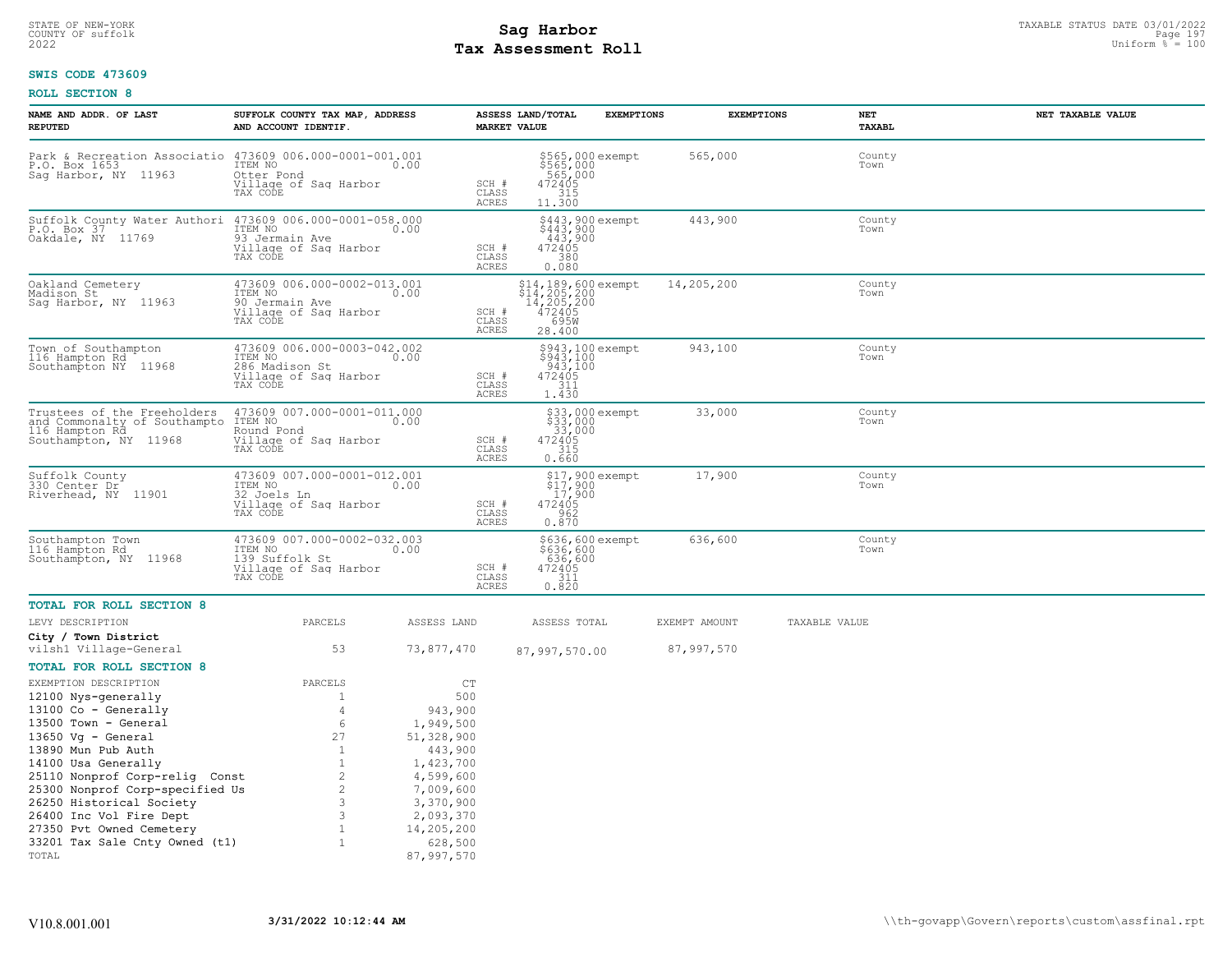# STATE OF NEW-YORK STATUS DATE 03/01/2022<br>
COUNTY OF suffolk **Sag From State Page 197 Mage 197 Mage 197 Mage 197 Mage 197 Mage 197 Mage 197 Mage 197 Mag<br>
Pay Assessment Roll Tax Assessment Roll**

#### **SWIS CODE 473609**

| NAME AND ADDR. OF LAST<br>REPUTED                                                                      | SUFFOLK COUNTY TAX MAP, ADDRESS<br>AND ACCOUNT IDENTIF.                                            |                                        | ASSESS LAND/TOTAL<br><b>MARKET VALUE</b>                                      | <b>EXEMPTIONS</b> | <b>EXEMPTIONS</b> | <b>NET</b><br>TAXABL | NET TAXABLE VALUE |
|--------------------------------------------------------------------------------------------------------|----------------------------------------------------------------------------------------------------|----------------------------------------|-------------------------------------------------------------------------------|-------------------|-------------------|----------------------|-------------------|
| Park & Recreation Associatio<br>P.O. Box 1653<br>Sag Harbor, NY 11963                                  | 473609 006.000-0001-001.001<br>ITEM NO<br>Otter Pond<br>Village of Sag Harbor<br>TAX CODE          | 0.00<br>SCH #<br>CLASS<br>ACRES        | \$565,000 exempt<br>\$565,000<br>565,000<br>472405<br>41356<br>11.300         |                   | 565,000           | County<br>Town       |                   |
| Suffolk County Water Authori<br>P.O. Box 37<br>Oakdale, NY 11769                                       | 473609 006.000-0001-058.000<br>ITEM NO<br>93 Jermain Ave<br>Village of Sag Harbor<br>TAX CODE      | 0.00<br>SCH #<br>CLASS<br>ACRES        | \$443,900 exempt<br>\$443,900<br>443,900<br>472405<br>380<br>0.080            |                   | 443,900           | County<br>Town       |                   |
| Oakland Cemetery<br>Madison St<br>Saq Harbor, NY 11963                                                 | 473609 006.000-0002-013.001<br>ITEM NO<br>90 Jermain Ave<br>Village of Sag Harbor<br>TAX CODE      | 0.00<br>SCH #<br>CLASS<br><b>ACRES</b> | \$14,189,600 exempt<br>\$14,205,200<br>14,205,200<br>472405<br>695M<br>28.400 |                   | 14,205,200        | County<br>Town       |                   |
| Town of Southampton<br>116 Hampton Rd<br>Southampton NY 11968                                          | 473609 006.000-0003-042.002<br>ITEM NO 0.00<br>286 Madison St<br>Village of Saq Harbor<br>TAX CODE | SCH #<br>CLASS<br>ACRES                | \$943,100 exempt<br>\$943,100<br>943,100<br>472405<br>311<br>1.430            |                   | 943,100           | County<br>Town       |                   |
| Trustees of the Freeholders<br>and Commonalty of Southampto<br>116 Hampton Rd<br>Southampton, NY 11968 | 473609 007.000-0001-011.000<br>ITEM NO<br>Round Pond<br>Village of Sag Harbor<br>TAX CODE          | 0.00<br>SCH #<br>CLASS<br><b>ACRES</b> | \$33,000 exempt<br>$$33,000$<br>33,000<br>472405<br>315<br>0.660              |                   | 33,000            | County<br>Town       |                   |
| Suffolk County<br>330 Center Dr<br>11901<br>Riverhead, NY                                              | 473609 007.000-0001-012.001<br>ITEM NO<br>32 Joels Ln<br>Village of Sag Harbor<br>TAX CODE         | 0.00<br>SCH #<br>CLASS<br>ACRES        | \$17,900 exempt<br>\$17,900<br>-17,900<br>472405<br>962<br>0.870              |                   | 17,900            | County<br>Town       |                   |
| Southampton Town<br>116 Hampton Rd<br>Southampton, NY 11968                                            | 473609 007.000-0002-032.003<br>ITEM NO<br>139 Suffolk St<br>Village of Sag Harbor<br>TAX CODE      | 0.00<br>SCH #<br>CLASS<br>ACRES        | \$636,600 exempt<br>\$636,600<br>636,600<br>472405<br>311<br>0.820            |                   | 636,600           | County<br>Town       |                   |
| <b>TOTAL FOR ROLL SECTION 8</b>                                                                        |                                                                                                    |                                        |                                                                               |                   |                   |                      |                   |
| LEVY DESCRIPTION                                                                                       | PARCELS                                                                                            | ASSESS LAND                            | ASSESS TOTAL                                                                  |                   | EXEMPT AMOUNT     | TAXABLE VALUE        |                   |
| City / Town District<br>vilsh1 Village-General                                                         | 53                                                                                                 | 73,877,470                             | 87,997,570.00                                                                 |                   | 87,997,570        |                      |                   |
| <b>TOTAL FOR ROLL SECTION 8</b>                                                                        |                                                                                                    |                                        |                                                                               |                   |                   |                      |                   |
| EXEMPTION DESCRIPTION                                                                                  | PARCELS                                                                                            | CT                                     |                                                                               |                   |                   |                      |                   |
| 12100 Nys-generally                                                                                    | 1                                                                                                  | 500                                    |                                                                               |                   |                   |                      |                   |
| 13100 Co - Generally                                                                                   | $\overline{4}$                                                                                     | 943,900                                |                                                                               |                   |                   |                      |                   |
| 13500 Town - General<br>$13650$ Vg - General                                                           | 6<br>27                                                                                            | 1,949,500<br>51,328,900                |                                                                               |                   |                   |                      |                   |
| 13890 Mun Pub Auth                                                                                     | $\mathbf{1}$                                                                                       | 443,900                                |                                                                               |                   |                   |                      |                   |
| 14100 Usa Generally                                                                                    | $\mathbf{1}$                                                                                       | 1,423,700                              |                                                                               |                   |                   |                      |                   |
| 25110 Nonprof Corp-relig Const                                                                         | $\overline{c}$                                                                                     | 4,599,600                              |                                                                               |                   |                   |                      |                   |
| 25300 Nonprof Corp-specified Us                                                                        | $\mathbf{2}^{\prime}$                                                                              | 7,009,600                              |                                                                               |                   |                   |                      |                   |
| 26250 Historical Society<br>26400 Inc Vol Fire Dept                                                    | 3<br>3                                                                                             | 3,370,900<br>2,093,370                 |                                                                               |                   |                   |                      |                   |
| 27350 Pvt Owned Cemetery                                                                               | $\mathbf{1}$                                                                                       | 14,205,200                             |                                                                               |                   |                   |                      |                   |
| 33201 Tax Sale Cnty Owned (t1)                                                                         | $\mathbf{1}$                                                                                       | 628,500                                |                                                                               |                   |                   |                      |                   |
| TOTAL                                                                                                  |                                                                                                    | 87,997,570                             |                                                                               |                   |                   |                      |                   |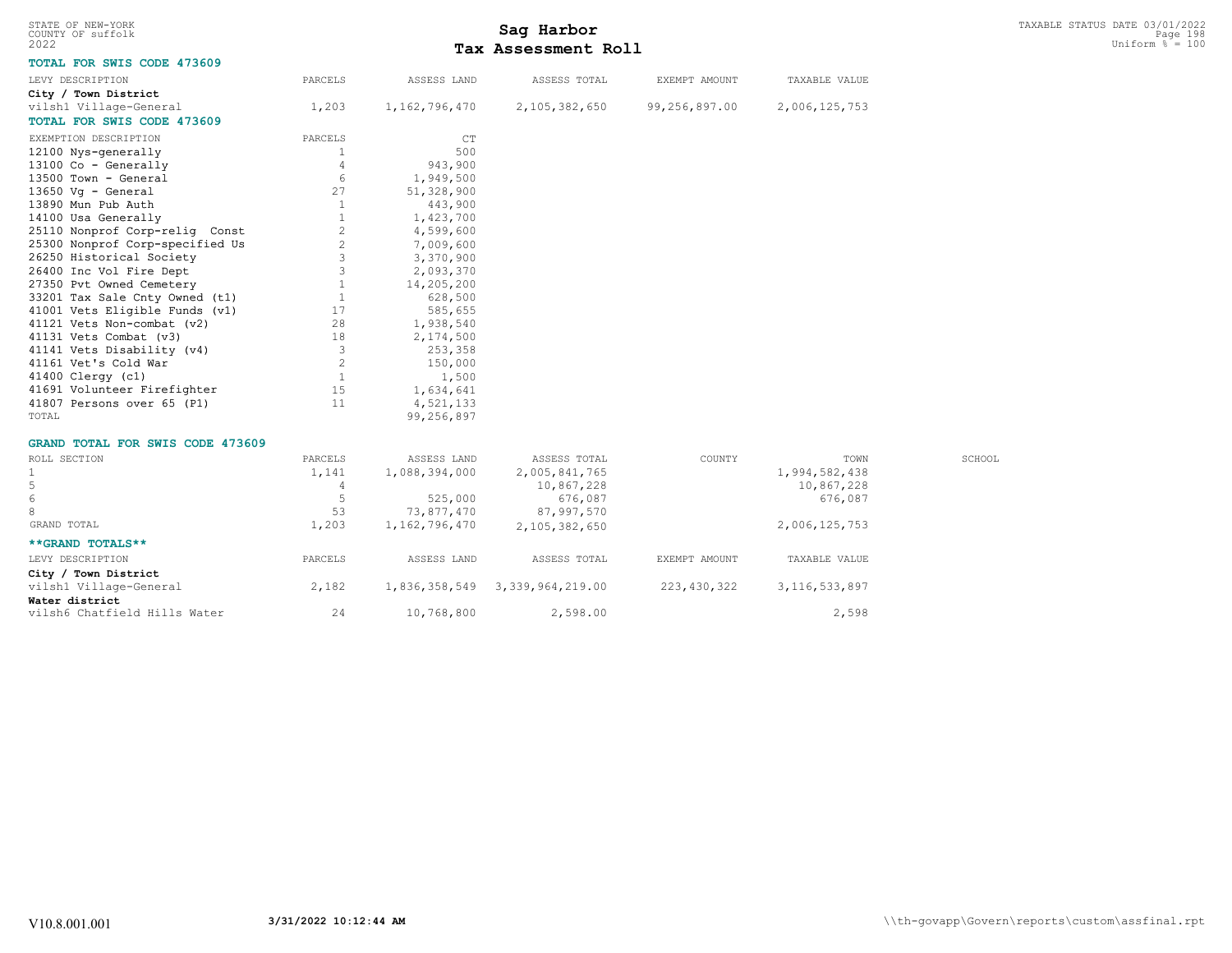| STATE OF NEW-YORK<br>COUNTY OF suffolk<br>2022 |                |               | Sag Harbor<br>Tax Assessment Roll |               |                  | TAXABLE STATUS DATE 03/01/2022<br>Page 198<br>Uniform $\frac{1}{6}$ = 100 |
|------------------------------------------------|----------------|---------------|-----------------------------------|---------------|------------------|---------------------------------------------------------------------------|
| TOTAL FOR SWIS CODE 473609                     |                |               |                                   |               |                  |                                                                           |
| LEVY DESCRIPTION                               | PARCELS        | ASSESS LAND   | ASSESS TOTAL                      | EXEMPT AMOUNT | TAXABLE VALUE    |                                                                           |
| City / Town District                           |                |               |                                   |               |                  |                                                                           |
| vilsh1 Village-General                         | 1,203          | 1,162,796,470 | 2,105,382,650                     | 99,256,897.00 | 2,006,125,753    |                                                                           |
| TOTAL FOR SWIS CODE 473609                     |                |               |                                   |               |                  |                                                                           |
| EXEMPTION DESCRIPTION                          | PARCELS        | CT            |                                   |               |                  |                                                                           |
| 12100 Nys-generally                            |                | 500           |                                   |               |                  |                                                                           |
| 13100 Co - Generally                           | 4              | 943,900       |                                   |               |                  |                                                                           |
| 13500 Town - General                           | 6              | 1,949,500     |                                   |               |                  |                                                                           |
| 13650 Vg - General                             | 27             | 51,328,900    |                                   |               |                  |                                                                           |
| 13890 Mun Pub Auth                             | $\mathbf{1}$   | 443,900       |                                   |               |                  |                                                                           |
| 14100 Usa Generally                            | 1              | 1,423,700     |                                   |               |                  |                                                                           |
| 25110 Nonprof Corp-relig Const                 | $\overline{c}$ | 4,599,600     |                                   |               |                  |                                                                           |
| 25300 Nonprof Corp-specified Us                | $\overline{c}$ | 7,009,600     |                                   |               |                  |                                                                           |
| 26250 Historical Society                       | 3              | 3,370,900     |                                   |               |                  |                                                                           |
| 26400 Inc Vol Fire Dept                        | 3              | 2,093,370     |                                   |               |                  |                                                                           |
| 27350 Pvt Owned Cemetery                       | $\mathbf{1}$   | 14,205,200    |                                   |               |                  |                                                                           |
| 33201 Tax Sale Cnty Owned (t1)                 | $\mathbf{1}$   |               |                                   |               |                  |                                                                           |
| 41001 Vets Eligible Funds (v1)                 | 17             | 628,500       |                                   |               |                  |                                                                           |
|                                                |                | 585,655       |                                   |               |                  |                                                                           |
| 41121 Vets Non-combat (v2)                     | 28             | 1,938,540     |                                   |               |                  |                                                                           |
| 41131 Vets Combat (v3)                         | 18             | 2,174,500     |                                   |               |                  |                                                                           |
| 41141 Vets Disability (v4)                     | 3              | 253,358       |                                   |               |                  |                                                                           |
| 41161 Vet's Cold War                           | $\overline{c}$ | 150,000       |                                   |               |                  |                                                                           |
| 41400 Clergy (c1)                              | $\mathbf{1}$   | 1,500         |                                   |               |                  |                                                                           |
| 41691 Volunteer Firefighter                    | 15             | 1,634,641     |                                   |               |                  |                                                                           |
| 41807 Persons over 65 (P1)                     | 11             | 4,521,133     |                                   |               |                  |                                                                           |
| TOTAL                                          |                | 99,256,897    |                                   |               |                  |                                                                           |
| <b>GRAND TOTAL FOR SWIS CODE 473609</b>        |                |               |                                   |               |                  |                                                                           |
| ROLL SECTION                                   | PARCELS        | ASSESS LAND   | ASSESS TOTAL                      | COUNTY        | TOWN             | SCHOOL                                                                    |
| $\mathbf{1}$                                   | 1,141          | 1,088,394,000 | 2,005,841,765                     |               | 1,994,582,438    |                                                                           |
| 5                                              | 4              |               | 10,867,228                        |               | 10,867,228       |                                                                           |
| 6                                              | 5              | 525,000       | 676,087                           |               | 676,087          |                                                                           |
| 8                                              | 53             | 73,877,470    | 87,997,570                        |               |                  |                                                                           |
| GRAND TOTAL                                    | 1,203          | 1,162,796,470 | 2,105,382,650                     |               | 2,006,125,753    |                                                                           |
| **GRAND TOTALS**                               |                |               |                                   |               |                  |                                                                           |
| LEVY DESCRIPTION                               | PARCELS        | ASSESS LAND   | ASSESS TOTAL                      | EXEMPT AMOUNT | TAXABLE VALUE    |                                                                           |
| City / Town District                           |                |               |                                   |               |                  |                                                                           |
| vilsh1 Village-General                         | 2,182          | 1,836,358,549 | 3, 339, 964, 219.00               | 223, 430, 322 | 3, 116, 533, 897 |                                                                           |
| Water district                                 |                |               |                                   |               |                  |                                                                           |
| vilsh6 Chatfield Hills Water                   | 24             | 10,768,800    | 2,598.00                          |               | 2,598            |                                                                           |